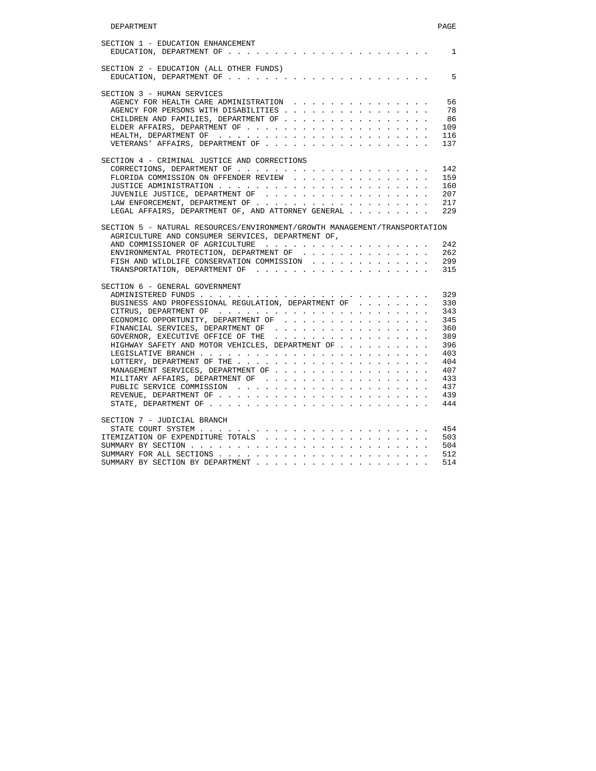| SECTION 1 - EDUCATION ENHANCEMENT                   |  |  |  |  |  |  |  |
|-----------------------------------------------------|--|--|--|--|--|--|--|
| SECTION 2 - EDUCATION (ALL OTHER FUNDS)             |  |  |  |  |  |  |  |
|                                                     |  |  |  |  |  |  |  |
| SECTION 3 - HUMAN SERVICES                          |  |  |  |  |  |  |  |
| AGENCY FOR HEALTH CARE ADMINISTRATION               |  |  |  |  |  |  |  |
| AGENCY FOR PERSONS WITH DISABILITIES                |  |  |  |  |  |  |  |
| CHILDREN AND FAMILIES, DEPARTMENT OF                |  |  |  |  |  |  |  |
|                                                     |  |  |  |  |  |  |  |
|                                                     |  |  |  |  |  |  |  |
|                                                     |  |  |  |  |  |  |  |
| SECTION 4 - CRIMINAL JUSTICE AND CORRECTIONS        |  |  |  |  |  |  |  |
|                                                     |  |  |  |  |  |  |  |
| FLORIDA COMMISSION ON OFFENDER REVIEW               |  |  |  |  |  |  |  |
|                                                     |  |  |  |  |  |  |  |
|                                                     |  |  |  |  |  |  |  |
|                                                     |  |  |  |  |  |  |  |
| LEGAL AFFAIRS, DEPARTMENT OF, AND ATTORNEY GENERAL  |  |  |  |  |  |  |  |
| FISH AND WILDLIFE CONSERVATION COMMISSION           |  |  |  |  |  |  |  |
|                                                     |  |  |  |  |  |  |  |
| SECTION 6 - GENERAL GOVERNMENT                      |  |  |  |  |  |  |  |
|                                                     |  |  |  |  |  |  |  |
| BUSINESS AND PROFESSIONAL REGULATION, DEPARTMENT OF |  |  |  |  |  |  |  |
|                                                     |  |  |  |  |  |  |  |
| ECONOMIC OPPORTUNITY, DEPARTMENT OF $\ldots$        |  |  |  |  |  |  |  |
| FINANCIAL SERVICES, DEPARTMENT OF                   |  |  |  |  |  |  |  |
| GOVERNOR, EXECUTIVE OFFICE OF THE                   |  |  |  |  |  |  |  |
| HIGHWAY SAFETY AND MOTOR VEHICLES, DEPARTMENT OF    |  |  |  |  |  |  |  |
|                                                     |  |  |  |  |  |  |  |
|                                                     |  |  |  |  |  |  |  |
|                                                     |  |  |  |  |  |  |  |
| MANAGEMENT SERVICES, DEPARTMENT OF                  |  |  |  |  |  |  |  |
|                                                     |  |  |  |  |  |  |  |
|                                                     |  |  |  |  |  |  |  |
|                                                     |  |  |  |  |  |  |  |
|                                                     |  |  |  |  |  |  |  |
| SECTION 7 - JUDICIAL BRANCH                         |  |  |  |  |  |  |  |
|                                                     |  |  |  |  |  |  |  |
|                                                     |  |  |  |  |  |  |  |
|                                                     |  |  |  |  |  |  |  |
|                                                     |  |  |  |  |  |  |  |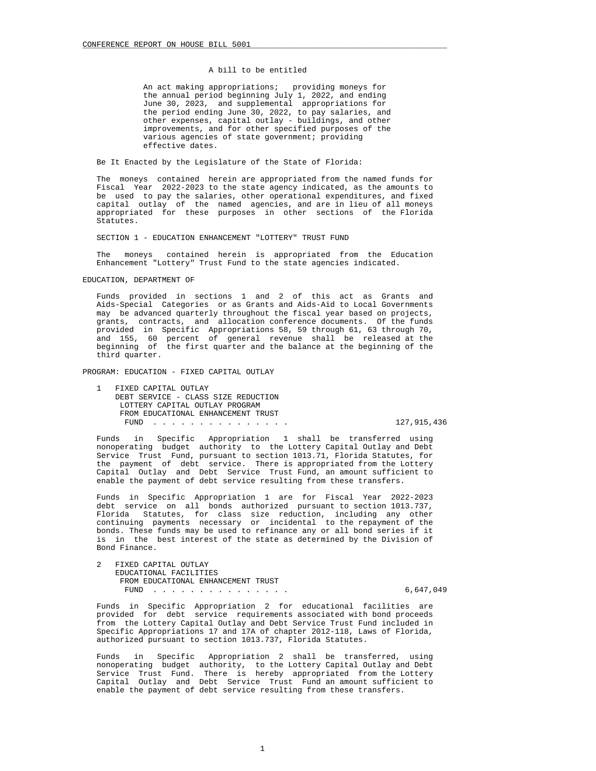# A bill to be entitled

 An act making appropriations; providing moneys for the annual period beginning July 1, 2022, and ending June 30, 2023, and supplemental appropriations for the period ending June 30, 2022, to pay salaries, and other expenses, capital outlay - buildings, and other improvements, and for other specified purposes of the various agencies of state government; providing effective dates.

Be It Enacted by the Legislature of the State of Florida:

 The moneys contained herein are appropriated from the named funds for Fiscal Year 2022-2023 to the state agency indicated, as the amounts to be used to pay the salaries, other operational expenditures, and fixed capital outlay of the named agencies, and are in lieu of all moneys appropriated for these purposes in other sections of the Florida Statutes.

SECTION 1 - EDUCATION ENHANCEMENT "LOTTERY" TRUST FUND

 The moneys contained herein is appropriated from the Education Enhancement "Lottery" Trust Fund to the state agencies indicated.

EDUCATION, DEPARTMENT OF

 Funds provided in sections 1 and 2 of this act as Grants and Aids-Special Categories or as Grants and Aids-Aid to Local Governments may be advanced quarterly throughout the fiscal year based on projects, grants, contracts, and allocation conference documents. Of the funds provided in Specific Appropriations 58, 59 through 61, 63 through 70, and 155, 60 percent of general revenue shall be released at the beginning of the first quarter and the balance at the beginning of the third quarter.

PROGRAM: EDUCATION - FIXED CAPITAL OUTLAY

 1 FIXED CAPITAL OUTLAY DEBT SERVICE - CLASS SIZE REDUCTION LOTTERY CAPITAL OUTLAY PROGRAM FROM EDUCATIONAL ENHANCEMENT TRUST FUND . . . . . . . . . . . . . . . 127,915,436

 Funds in Specific Appropriation 1 shall be transferred using nonoperating budget authority to the Lottery Capital Outlay and Debt Service Trust Fund, pursuant to section 1013.71, Florida Statutes, for the payment of debt service. There is appropriated from the Lottery Capital Outlay and Debt Service Trust Fund, an amount sufficient to enable the payment of debt service resulting from these transfers.

 Funds in Specific Appropriation 1 are for Fiscal Year 2022-2023 debt service on all bonds authorized pursuant to section 1013.737, Florida Statutes, for class size reduction, including any other continuing payments necessary or incidental to the repayment of the bonds. These funds may be used to refinance any or all bond series if it is in the best interest of the state as determined by the Division of Bond Finance.

 2 FIXED CAPITAL OUTLAY EDUCATIONAL FACILITIES FROM EDUCATIONAL ENHANCEMENT TRUST FUND . . . . . . . . . . . . . . . 6,647,049

 Funds in Specific Appropriation 2 for educational facilities are provided for debt service requirements associated with bond proceeds from the Lottery Capital Outlay and Debt Service Trust Fund included in Specific Appropriations 17 and 17A of chapter 2012-118, Laws of Florida, authorized pursuant to section 1013.737, Florida Statutes.

 Funds in Specific Appropriation 2 shall be transferred, using nonoperating budget authority, to the Lottery Capital Outlay and Debt Service Trust Fund. There is hereby appropriated from the Lottery Capital Outlay and Debt Service Trust Fund an amount sufficient to enable the payment of debt service resulting from these transfers.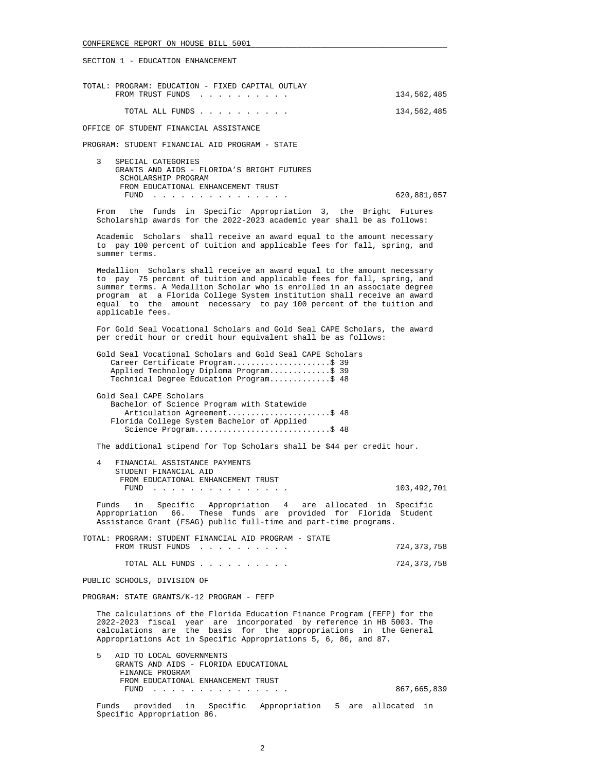SECTION 1 - EDUCATION ENHANCEMENT

| TOTAL: PROGRAM: EDUCATION - FIXED CAPITAL OUTLAY |             |
|--------------------------------------------------|-------------|
| FROM TRUST FUNDS                                 | 134,562,485 |
|                                                  |             |
| TOTAL ALL FUNDS                                  | 134,562,485 |

OFFICE OF STUDENT FINANCIAL ASSISTANCE

PROGRAM: STUDENT FINANCIAL AID PROGRAM - STATE

 3 SPECIAL CATEGORIES GRANTS AND AIDS - FLORIDA'S BRIGHT FUTURES SCHOLARSHIP PROGRAM FROM EDUCATIONAL ENHANCEMENT TRUST FUND . . . . . . . . . . . . . . . 620,881,057

 From the funds in Specific Appropriation 3, the Bright Futures Scholarship awards for the 2022-2023 academic year shall be as follows:

 Academic Scholars shall receive an award equal to the amount necessary to pay 100 percent of tuition and applicable fees for fall, spring, and summer terms.

 Medallion Scholars shall receive an award equal to the amount necessary to pay 75 percent of tuition and applicable fees for fall, spring, and summer terms. A Medallion Scholar who is enrolled in an associate degree program at a Florida College System institution shall receive an award equal to the amount necessary to pay 100 percent of the tuition and applicable fees.

 For Gold Seal Vocational Scholars and Gold Seal CAPE Scholars, the award per credit hour or credit hour equivalent shall be as follows:

 Gold Seal Vocational Scholars and Gold Seal CAPE Scholars Career Certificate Program.......................\$ 39 Applied Technology Diploma Program.............\$ 39 Technical Degree Education Program.............\$ 48

 Gold Seal CAPE Scholars Bachelor of Science Program with Statewide Articulation Agreement........................\$ 48 Florida College System Bachelor of Applied Science Program.............................\$ 48

The additional stipend for Top Scholars shall be \$44 per credit hour.

 4 FINANCIAL ASSISTANCE PAYMENTS STUDENT FINANCIAL AID FROM EDUCATIONAL ENHANCEMENT TRUST FUND . . . . . . . . . . . . . . . 103,492,701

 Funds in Specific Appropriation 4 are allocated in Specific Appropriation 66. These funds are provided for Florida Student Assistance Grant (FSAG) public full-time and part-time programs.

 TOTAL: PROGRAM: STUDENT FINANCIAL AID PROGRAM - STATE FROM TRUST FUNDS . . . . . . . . . . . . . . . 724,373,758

TOTAL ALL FUNDS . . . . . . . . . . 724,373,758

PUBLIC SCHOOLS, DIVISION OF

PROGRAM: STATE GRANTS/K-12 PROGRAM - FEFP

 The calculations of the Florida Education Finance Program (FEFP) for the 2022-2023 fiscal year are incorporated by reference in HB 5003. The calculations are the basis for the appropriations in the General Appropriations Act in Specific Appropriations 5, 6, 86, and 87.

 5 AID TO LOCAL GOVERNMENTS GRANTS AND AIDS - FLORIDA EDUCATIONAL FINANCE PROGRAM FROM EDUCATIONAL ENHANCEMENT TRUST FUND . . . . . . . . . . . . . . . 867,665,839

 Funds provided in Specific Appropriation 5 are allocated in Specific Appropriation 86.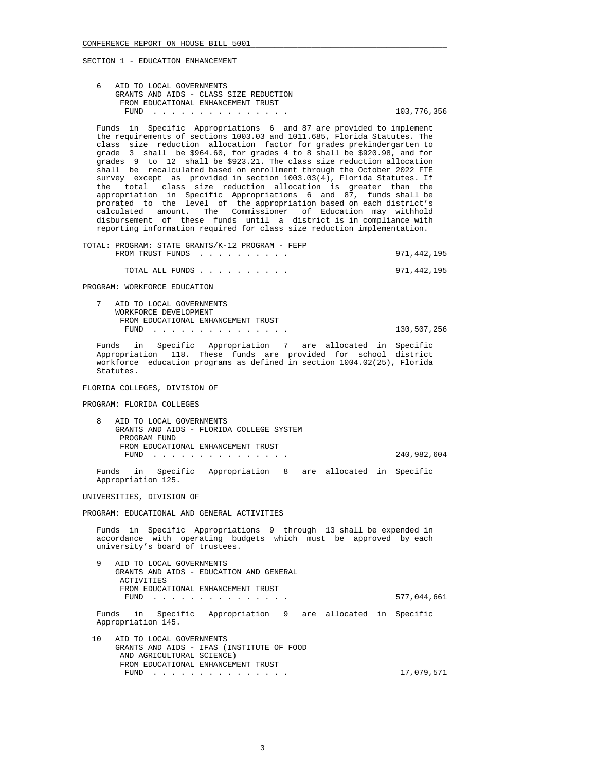SECTION 1 - EDUCATION ENHANCEMENT

| 6 AID TO LOCAL GOVERNMENTS             |             |
|----------------------------------------|-------------|
| GRANTS AND AIDS - CLASS SIZE REDUCTION |             |
| FROM EDUCATIONAL ENHANCEMENT TRUST     |             |
| FUND                                   | 103,776,356 |

 Funds in Specific Appropriations 6 and 87 are provided to implement the requirements of sections 1003.03 and 1011.685, Florida Statutes. The class size reduction allocation factor for grades prekindergarten to grade 3 shall be \$964.60, for grades 4 to 8 shall be \$920.98, and for grades 9 to 12 shall be \$923.21. The class size reduction allocation shall be recalculated based on enrollment through the October 2022 FTE survey except as provided in section 1003.03(4), Florida Statutes. If the total class size reduction allocation is greater than the appropriation in Specific Appropriations 6 and 87, funds shall be prorated to the level of the appropriation based on each district's calculated amount. The Commissioner of Education may withhold disbursement of these funds until a district is in compliance with reporting information required for class size reduction implementation.

 TOTAL: PROGRAM: STATE GRANTS/K-12 PROGRAM - FEFP FROM TRUST FUNDS . . . . . . . . . . . . . . . . . 971,442,195

TOTAL ALL FUNDS . . . . . . . . . . 971,442,195

PROGRAM: WORKFORCE EDUCATION

 7 AID TO LOCAL GOVERNMENTS WORKFORCE DEVELOPMENT FROM EDUCATIONAL ENHANCEMENT TRUST FUND . . . . . . . . . . . . . . . 130,507,256

 Funds in Specific Appropriation 7 are allocated in Specific Appropriation 118. These funds are provided for school district workforce education programs as defined in section 1004.02(25), Florida Statutes.

# FLORIDA COLLEGES, DIVISION OF

PROGRAM: FLORIDA COLLEGES

 8 AID TO LOCAL GOVERNMENTS GRANTS AND AIDS - FLORIDA COLLEGE SYSTEM PROGRAM FUND FROM EDUCATIONAL ENHANCEMENT TRUST FUND . . . . . . . . . . . . . . . 240,982,604

 Funds in Specific Appropriation 8 are allocated in Specific Appropriation 125.

UNIVERSITIES, DIVISION OF

PROGRAM: EDUCATIONAL AND GENERAL ACTIVITIES

 Funds in Specific Appropriations 9 through 13 shall be expended in accordance with operating budgets which must be approved by each university's board of trustees.

 9 AID TO LOCAL GOVERNMENTS GRANTS AND AIDS - EDUCATION AND GENERAL ACTIVITIES FROM EDUCATIONAL ENHANCEMENT TRUST FUND . . . . . . . . . . . . . . . 577,044,661

 Funds in Specific Appropriation 9 are allocated in Specific Appropriation 145.

 10 AID TO LOCAL GOVERNMENTS GRANTS AND AIDS - IFAS (INSTITUTE OF FOOD AND AGRICULTURAL SCIENCE) FROM EDUCATIONAL ENHANCEMENT TRUST FUND . . . . . . . . . . . . . . . 17,079,571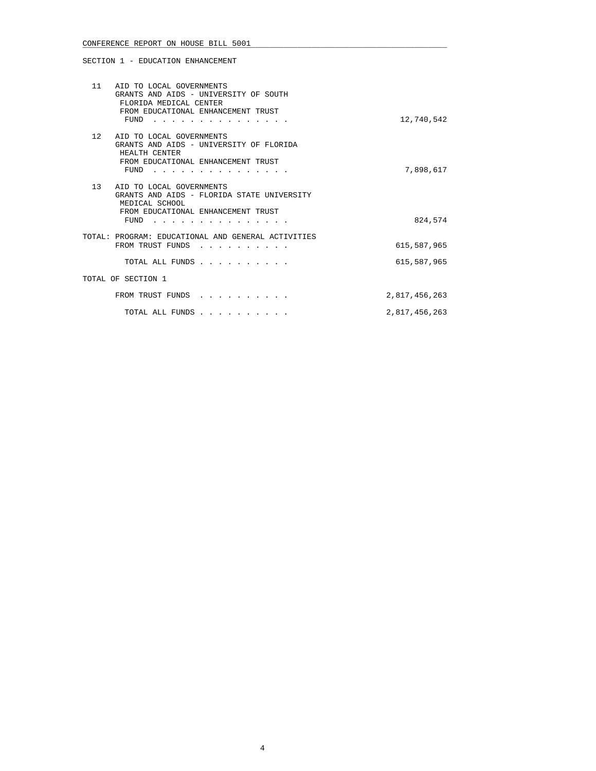# SECTION 1 - EDUCATION ENHANCEMENT

|    | 11 AID TO LOCAL GOVERNMENTS<br>GRANTS AND AIDS - UNIVERSITY OF SOUTH<br>FLORIDA MEDICAL CENTER<br>FROM EDUCATIONAL ENHANCEMENT TRUST<br>FUND                          | 12,740,542                 |
|----|-----------------------------------------------------------------------------------------------------------------------------------------------------------------------|----------------------------|
|    | 12 AID TO LOCAL GOVERNMENTS<br>GRANTS AND AIDS - UNIVERSITY OF FLORIDA<br>HEALTH CENTER<br>FROM EDUCATIONAL ENHANCEMENT TRUST<br>FUND                                 | 7,898,617                  |
| 13 | AID TO LOCAL GOVERNMENTS<br>GRANTS AND AIDS - FLORIDA STATE UNIVERSITY<br>MEDICAL SCHOOL<br>FROM EDUCATIONAL ENHANCEMENT TRUST<br>FUND<br>$\sim$ $\sim$ $\sim$ $\sim$ | 824,574                    |
|    | TOTAL: PROGRAM: EDUCATIONAL AND GENERAL ACTIVITIES<br>FROM TRUST FUNDS<br>TOTAL ALL FUNDS                                                                             | 615,587,965<br>615,587,965 |
|    | TOTAL OF SECTION 1                                                                                                                                                    |                            |
|    | FROM TRUST FUNDS                                                                                                                                                      | 2,817,456,263              |
|    | TOTAL ALL FUNDS                                                                                                                                                       | 2,817,456,263              |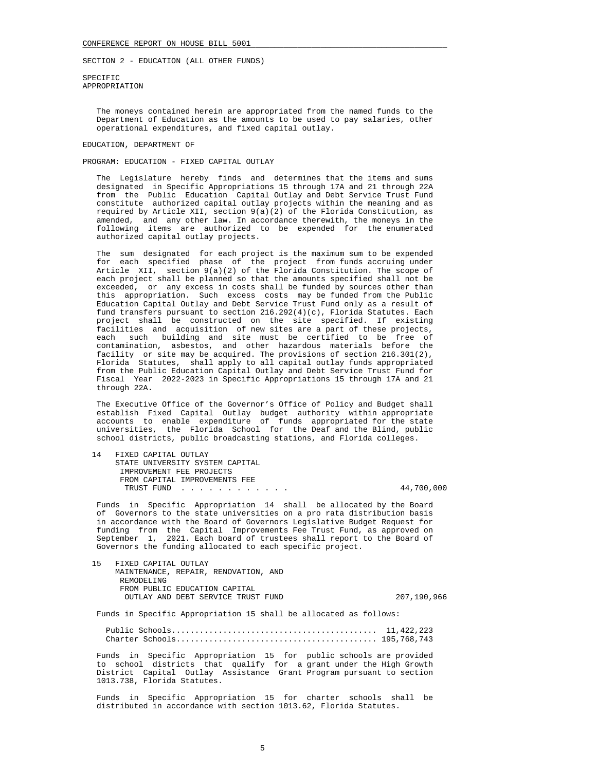SPECIFIC APPROPRIATION

> The moneys contained herein are appropriated from the named funds to the Department of Education as the amounts to be used to pay salaries, other operational expenditures, and fixed capital outlay.

## EDUCATION, DEPARTMENT OF

PROGRAM: EDUCATION - FIXED CAPITAL OUTLAY

 The Legislature hereby finds and determines that the items and sums designated in Specific Appropriations 15 through 17A and 21 through 22A from the Public Education Capital Outlay and Debt Service Trust Fund constitute authorized capital outlay projects within the meaning and as required by Article XII, section 9(a)(2) of the Florida Constitution, as amended, and any other law. In accordance therewith, the moneys in the following items are authorized to be expended for the enumerated authorized capital outlay projects.

 The sum designated for each project is the maximum sum to be expended for each specified phase of the project from funds accruing under Article XII, section 9(a)(2) of the Florida Constitution. The scope of each project shall be planned so that the amounts specified shall not be exceeded, or any excess in costs shall be funded by sources other than this appropriation. Such excess costs may be funded from the Public Education Capital Outlay and Debt Service Trust Fund only as a result of fund transfers pursuant to section 216.292(4)(c), Florida Statutes. Each project shall be constructed on the site specified. If existing facilities and acquisition of new sites are a part of these projects, each such building and site must be certified to be free of contamination, asbestos, and other hazardous materials before the facility or site may be acquired. The provisions of section 216.301(2), Florida Statutes, shall apply to all capital outlay funds appropriated from the Public Education Capital Outlay and Debt Service Trust Fund for Fiscal Year 2022-2023 in Specific Appropriations 15 through 17A and 21 through 22A.

 The Executive Office of the Governor's Office of Policy and Budget shall establish Fixed Capital Outlay budget authority within appropriate accounts to enable expenditure of funds appropriated for the state universities, the Florida School for the Deaf and the Blind, public school districts, public broadcasting stations, and Florida colleges.

 14 FIXED CAPITAL OUTLAY STATE UNIVERSITY SYSTEM CAPITAL IMPROVEMENT FEE PROJECTS FROM CAPITAL IMPROVEMENTS FEE TRUST FUND . . . . . . . . . . . . 44,700,000

 Funds in Specific Appropriation 14 shall be allocated by the Board of Governors to the state universities on a pro rata distribution basis in accordance with the Board of Governors Legislative Budget Request for funding from the Capital Improvements Fee Trust Fund, as approved on September 1, 2021. Each board of trustees shall report to the Board of Governors the funding allocated to each specific project.

 15 FIXED CAPITAL OUTLAY MAINTENANCE, REPAIR, RENOVATION, AND REMODELING FROM PUBLIC EDUCATION CAPITAL OUTLAY AND DEBT SERVICE TRUST FUND 207,190,966

Funds in Specific Appropriation 15 shall be allocated as follows:

 Public Schools............................................ 11,422,223 Charter Schools........................................... 195,768,743

 Funds in Specific Appropriation 15 for public schools are provided to school districts that qualify for a grant under the High Growth District Capital Outlay Assistance Grant Program pursuant to section 1013.738, Florida Statutes.

 Funds in Specific Appropriation 15 for charter schools shall be distributed in accordance with section 1013.62, Florida Statutes.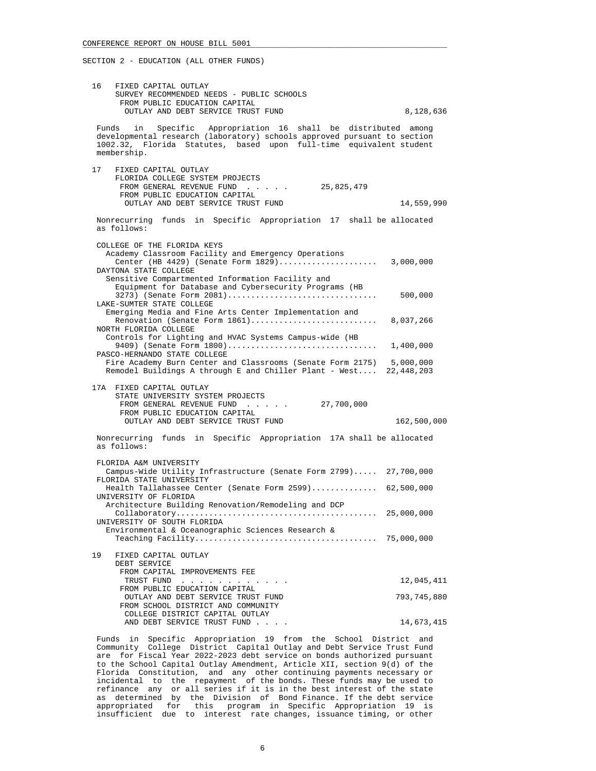| 16    | FIXED CAPITAL OUTLAY<br>SURVEY RECOMMENDED NEEDS - PUBLIC SCHOOLS<br>FROM PUBLIC EDUCATION CAPITAL<br>OUTLAY AND DEBT SERVICE TRUST FUND                                                                                          | 8,128,636   |
|-------|-----------------------------------------------------------------------------------------------------------------------------------------------------------------------------------------------------------------------------------|-------------|
|       | Specific Appropriation 16 shall be distributed among<br>Funds in<br>developmental research (laboratory) schools approved pursuant to section<br>1002.32, Florida Statutes, based upon full-time equivalent student<br>membership. |             |
| 17    | FIXED CAPITAL OUTLAY<br>FLORIDA COLLEGE SYSTEM PROJECTS<br>25,825,479<br>FROM GENERAL REVENUE FUND<br>FROM PUBLIC EDUCATION CAPITAL<br>OUTLAY AND DEBT SERVICE TRUST FUND                                                         | 14,559,990  |
|       | Nonrecurring funds in Specific Appropriation 17 shall be allocated<br>as follows:                                                                                                                                                 |             |
|       | COLLEGE OF THE FLORIDA KEYS<br>Academy Classroom Facility and Emergency Operations<br>Center (HB 4429) (Senate Form 1829) 3,000,000<br>DAYTONA STATE COLLEGE<br>Sensitive Compartmented Information Facility and                  |             |
|       | Equipment for Database and Cybersecurity Programs (HB<br>LAKE-SUMTER STATE COLLEGE                                                                                                                                                |             |
|       | Emerging Media and Fine Arts Center Implementation and<br>Renovation (Senate Form 1861) 8,037,266<br>NORTH FLORIDA COLLEGE                                                                                                        |             |
|       | Controls for Lighting and HVAC Systems Campus-wide (HB<br>PASCO-HERNANDO STATE COLLEGE                                                                                                                                            |             |
|       | Fire Academy Burn Center and Classrooms (Senate Form 2175) 5,000,000<br>Remodel Buildings A through E and Chiller Plant - West 22,448,203                                                                                         |             |
|       | 17A FIXED CAPITAL OUTLAY<br>STATE UNIVERSITY SYSTEM PROJECTS<br>FROM GENERAL REVENUE FUND<br>27,700,000<br>FROM PUBLIC EDUCATION CAPITAL<br>OUTLAY AND DEBT SERVICE TRUST FUND                                                    | 162,500,000 |
|       | Nonrecurring funds in Specific Appropriation 17A shall be allocated                                                                                                                                                               |             |
|       | as follows:                                                                                                                                                                                                                       |             |
|       | FLORIDA A&M UNIVERSITY<br>Campus-Wide Utility Infrastructure (Senate Form 2799) 27,700,000<br>FLORIDA STATE UNIVERSITY                                                                                                            |             |
|       | Health Tallahassee Center (Senate Form 2599) 62,500,000<br>UNIVERSITY OF FLORIDA                                                                                                                                                  |             |
|       | Architecture Building Renovation/Remodeling and DCP<br>UNIVERSITY OF SOUTH FLORIDA                                                                                                                                                | 25,000,000  |
|       | Environmental & Oceanographic Sciences Research &                                                                                                                                                                                 | 75,000,000  |
| 19    | FIXED CAPITAL OUTLAY<br>DEBT SERVICE<br>FROM CAPITAL IMPROVEMENTS FEE                                                                                                                                                             |             |
|       | TRUST FUND<br>FROM PUBLIC EDUCATION CAPITAL                                                                                                                                                                                       | 12,045,411  |
|       | OUTLAY AND DEBT SERVICE TRUST FUND<br>FROM SCHOOL DISTRICT AND COMMUNITY                                                                                                                                                          | 793,745,880 |
|       | COLLEGE DISTRICT CAPITAL OUTLAY<br>AND DEBT SERVICE TRUST FUND                                                                                                                                                                    | 14,673,415  |
| Funds | in<br>Specific Appropriation 19 from the<br>School District                                                                                                                                                                       | and         |

 Community College District Capital Outlay and Debt Service Trust Fund are for Fiscal Year 2022-2023 debt service on bonds authorized pursuant to the School Capital Outlay Amendment, Article XII, section 9(d) of the Florida Constitution, and any other continuing payments necessary or incidental to the repayment of the bonds. These funds may be used to refinance any or all series if it is in the best interest of the state as determined by the Division of Bond Finance. If the debt service appropriated for this program in Specific Appropriation 19 is insufficient due to interest rate changes, issuance timing, or other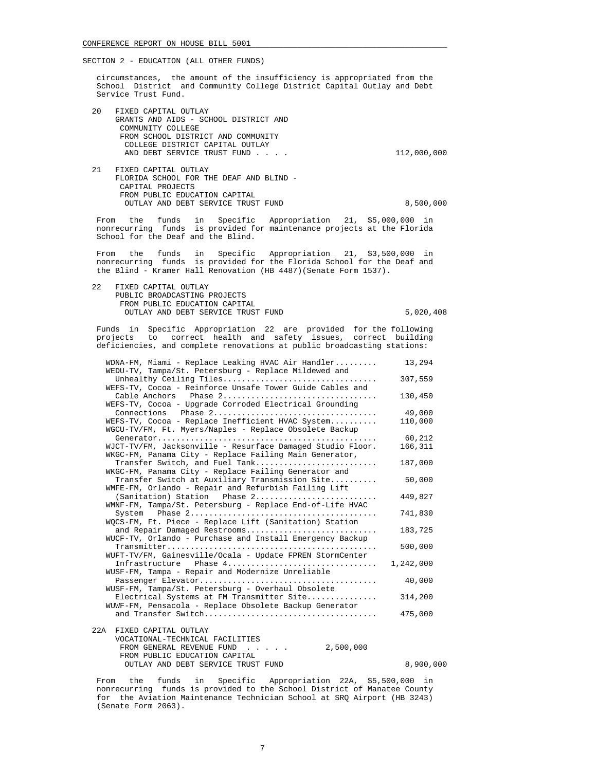circumstances, the amount of the insufficiency is appropriated from the School District and Community College District Capital Outlay and Debt Service Trust Fund.

- 20 FIXED CAPITAL OUTLAY GRANTS AND AIDS - SCHOOL DISTRICT AND COMMUNITY COLLEGE FROM SCHOOL DISTRICT AND COMMUNITY COLLEGE DISTRICT CAPITAL OUTLAY AND DEBT SERVICE TRUST FUND . . . . . . . . . . . 112,000,000 21 FIXED CAPITAL OUTLAY FLORIDA SCHOOL FOR THE DEAF AND BLIND -
- CAPITAL PROJECTS FROM PUBLIC EDUCATION CAPITAL OUTLAY AND DEBT SERVICE TRUST FUND 8,500,000

 From the funds in Specific Appropriation 21, \$5,000,000 in nonrecurring funds is provided for maintenance projects at the Florida School for the Deaf and the Blind.

 From the funds in Specific Appropriation 21, \$3,500,000 in nonrecurring funds is provided for the Florida School for the Deaf and the Blind - Kramer Hall Renovation (HB 4487)(Senate Form 1537).

 22 FIXED CAPITAL OUTLAY PUBLIC BROADCASTING PROJECTS FROM PUBLIC EDUCATION CAPITAL OUTLAY AND DEBT SERVICE TRUST FUND 5,020,408

FROM PUBLIC EDUCATION CAPITAL

 Funds in Specific Appropriation 22 are provided for the following projects to correct health and safety issues, correct building deficiencies, and complete renovations at public broadcasting stations:

| WDNA-FM, Miami - Replace Leaking HVAC Air Handler<br>WEDU-TV, Tampa/St. Petersburg - Replace Mildewed and            | 13,294    |
|----------------------------------------------------------------------------------------------------------------------|-----------|
| Unhealthy Ceiling Tiles                                                                                              | 307,559   |
| WEFS-TV, Cocoa - Reinforce Unsafe Tower Guide Cables and                                                             |           |
| Phase 2<br>Cable Anchors                                                                                             | 130,450   |
| WEFS-TV, Cocoa - Upgrade Corroded Electrical Grounding                                                               |           |
| Connections Phase 2                                                                                                  | 49,000    |
| WEFS-TV, Cocoa - Replace Inefficient HVAC System<br>WGCU-TV/FM, Ft. Myers/Naples - Replace Obsolete Backup           | 110,000   |
|                                                                                                                      | 60,212    |
| WJCT-TV/FM, Jacksonville - Resurface Damaged Studio Floor.<br>WKGC-FM, Panama City - Replace Failing Main Generator, | 166,311   |
| Transfer Switch, and Fuel Tank<br>WKGC-FM, Panama City - Replace Failing Generator and                               | 187,000   |
| Transfer Switch at Auxiliary Transmission Site                                                                       | 50,000    |
| WMFE-FM, Orlando - Repair and Refurbish Failing Lift                                                                 |           |
| (Sanitation) Station    Phase 2                                                                                      | 449,827   |
| WMNF-FM, Tampa/St. Petersburg - Replace End-of-Life HVAC                                                             |           |
|                                                                                                                      | 741,830   |
| WQCS-FM, Ft. Piece - Replace Lift (Sanitation) Station                                                               |           |
| and Repair Damaged Restrooms                                                                                         | 183,725   |
| WUCF-TV, Orlando - Purchase and Install Emergency Backup                                                             |           |
|                                                                                                                      | 500,000   |
| WUFT-TV/FM, Gainesville/Ocala - Update FPREN StormCenter                                                             |           |
| Phase 4<br>Infrastructure                                                                                            | 1,242,000 |
| WUSF-FM, Tampa - Repair and Modernize Unreliable                                                                     |           |
|                                                                                                                      | 40,000    |
| WUSF-FM, Tampa/St. Petersburg - Overhaul Obsolete                                                                    |           |
| Electrical Systems at FM Transmitter Site                                                                            | 314,200   |
| WUWF-FM, Pensacola - Replace Obsolete Backup Generator                                                               |           |
|                                                                                                                      | 475,000   |
| 22A FIXED CAPITAL OUTLAY                                                                                             |           |
| VOCATIONAL-TECHNICAL FACILITIES                                                                                      |           |
| FROM GENERAL REVENUE FUND<br>2,500,000                                                                               |           |
|                                                                                                                      |           |

OUTLAY AND DEBT SERVICE TRUST FUND 8,900,000 From the funds in Specific Appropriation 22A, \$5,500,000 in nonrecurring funds is provided to the School District of Manatee County for the Aviation Maintenance Technician School at SRQ Airport (HB 3243) (Senate Form 2063).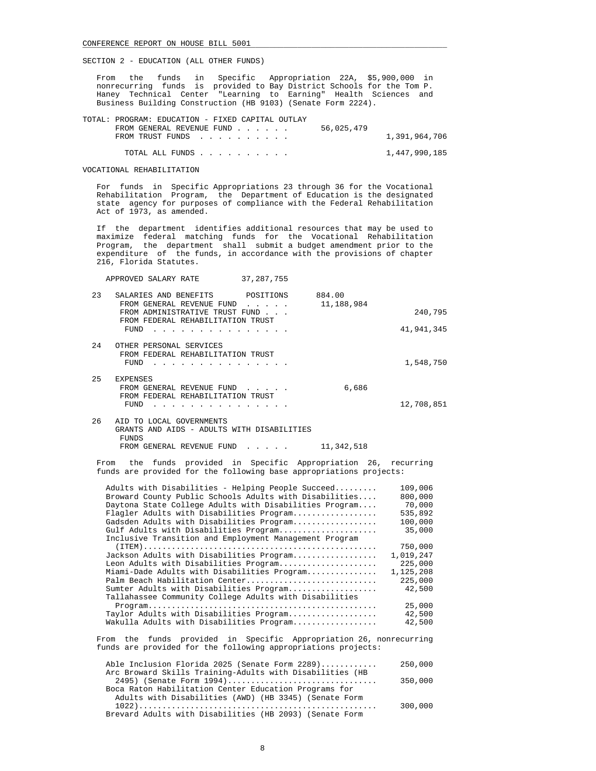From the funds in Specific Appropriation 22A, \$5,900,000 in nonrecurring funds is provided to Bay District Schools for the Tom P. Haney Technical Center "Learning to Earning" Health Sciences and Business Building Construction (HB 9103) (Senate Form 2224).

|                  | TOTAL: PROGRAM: EDUCATION - FIXED CAPITAL OUTLAY |               |
|------------------|--------------------------------------------------|---------------|
|                  | 56,025,479<br>FROM GENERAL REVENUE FUND          |               |
| FROM TRUST FUNDS |                                                  | 1,391,964,706 |
|                  |                                                  |               |
| TOTAL ALL FUNDS  |                                                  | 1,447,990,185 |

VOCATIONAL REHABILITATION

 For funds in Specific Appropriations 23 through 36 for the Vocational Rehabilitation Program, the Department of Education is the designated state agency for purposes of compliance with the Federal Rehabilitation Act of 1973, as amended.

 If the department identifies additional resources that may be used to maximize federal matching funds for the Vocational Rehabilitation Program, the department shall submit a budget amendment prior to the expenditure of the funds, in accordance with the provisions of chapter 216, Florida Statutes.

APPROVED SALARY RATE 37,287,755

| 23  | POSITIONS<br>SALARIES AND BENEFITS<br>FROM GENERAL REVENUE FUND<br>$\mathbf{r}$ , $\mathbf{r}$ , $\mathbf{r}$ , $\mathbf{r}$<br>FROM ADMINISTRATIVE TRUST FUND | 884.00<br>11,188,984 | 240,795    |
|-----|----------------------------------------------------------------------------------------------------------------------------------------------------------------|----------------------|------------|
|     | FROM FEDERAL REHABILITATION TRUST<br>FUND<br>.                                                                                                                 |                      | 41,941,345 |
| 2.4 | OTHER PERSONAL SERVICES<br>FROM FEDERAL REHABILITATION TRUST<br>FUND                                                                                           |                      | 1,548,750  |
| 25  | <b>EXPENSES</b><br>FROM GENERAL REVENUE FUND<br>FROM FEDERAL REHABILITATION TRUST<br>FUND                                                                      | 6,686                | 12,708,851 |
| 26  | LOCAL GOVERNMENTS<br>TО<br>ATD                                                                                                                                 |                      |            |

| . | www.common.communication.com               |            |
|---|--------------------------------------------|------------|
|   | GRANTS AND AIDS - ADULTS WITH DISABILITIES |            |
|   | FUNDS.                                     |            |
|   | FROM GENERAL REVENUE FUND                  | 11,342,518 |

 From the funds provided in Specific Appropriation 26, recurring funds are provided for the following base appropriations projects:

| Adults with Disabilities - Helping People Succeed      | 109,006   |
|--------------------------------------------------------|-----------|
| Broward County Public Schools Adults with Disabilities | 800,000   |
| Daytona State College Adults with Disabilities Program | 70,000    |
| Flagler Adults with Disabilities Program               | 535,892   |
| Gadsden Adults with Disabilities Program               | 100,000   |
| Gulf Adults with Disabilities Program                  | 35,000    |
| Inclusive Transition and Employment Management Program |           |
|                                                        | 750,000   |
| Jackson Adults with Disabilities Program               | 1,019,247 |
| Leon Adults with Disabilities Program                  | 225,000   |
| Miami-Dade Adults with Disabilities Program            | 1,125,208 |
| Palm Beach Habilitation Center                         | 225,000   |
| Sumter Adults with Disabilities Program                | 42,500    |
| Tallahassee Community College Adults with Disabilities |           |
|                                                        | 25,000    |
| Taylor Adults with Disabilities Program                | 42,500    |
| Wakulla Adults with Disabilities Program               | 42,500    |
|                                                        |           |

 From the funds provided in Specific Appropriation 26, nonrecurring funds are provided for the following appropriations projects:

| Able Inclusion Florida 2025 (Senate Form 2289)           | 250,000 |
|----------------------------------------------------------|---------|
| Arc Broward Skills Training-Adults with Disabilities (HB |         |
| 2495) (Senate Form 1994)                                 | 350,000 |
| Boca Raton Habilitation Center Education Programs for    |         |
| Adults with Disabilities (AWD) (HB 3345) (Senate Form    |         |
|                                                          | 300,000 |
| Brevard Adults with Disabilities (HB 2093) (Senate Form  |         |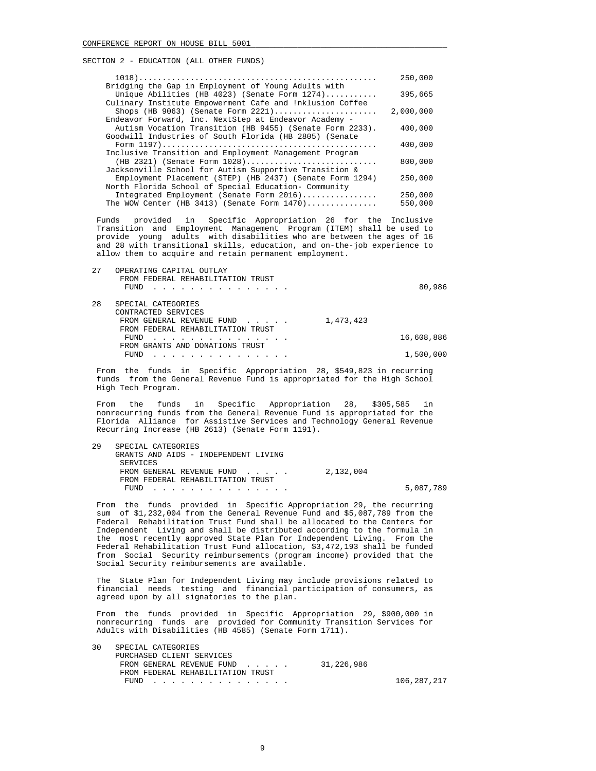|                                                          | 250,000   |
|----------------------------------------------------------|-----------|
| Bridging the Gap in Employment of Young Adults with      |           |
| Unique Abilities (HB 4023) (Senate Form $1274$ )         | 395,665   |
| Culinary Institute Empowerment Cafe and !nklusion Coffee |           |
| Shops (HB 9063) (Senate Form $2221)$                     | 2,000,000 |
| Endeavor Forward, Inc. NextStep at Endeavor Academy -    |           |
| Autism Vocation Transition (HB 9455) (Senate Form 2233). | 400,000   |
| Goodwill Industries of South Florida (HB 2805) (Senate   |           |
|                                                          | 400,000   |
| Inclusive Transition and Employment Management Program   |           |
| (HB 2321) (Senate Form 1028)                             | 800,000   |
| Jacksonville School for Autism Supportive Transition &   |           |
| Employment Placement (STEP) (HB 2437) (Senate Form 1294) | 250,000   |
| North Florida School of Special Education- Community     |           |
| Integrated Employment (Senate Form 2016)                 | 250,000   |
| The WOW Center (HB 3413) (Senate Form $1470$ )           | 550,000   |

 Funds provided in Specific Appropriation 26 for the Inclusive Transition and Employment Management Program (ITEM) shall be used to provide young adults with disabilities who are between the ages of 16 and 28 with transitional skills, education, and on-the-job experience to allow them to acquire and retain permanent employment.

| 27 | OPERATING CAPITAL OUTLAY<br>FROM FEDERAL REHABILITATION TRUST<br>FUND |           | 80,986     |
|----|-----------------------------------------------------------------------|-----------|------------|
| 28 | SPECIAL CATEGORIES<br>CONTRACTED SERVICES                             |           |            |
|    | FROM GENERAL REVENUE FUND<br>FROM FEDERAL REHABILITATION TRUST        | 1,473,423 |            |
|    | FUND                                                                  |           | 16,608,886 |
|    | FROM GRANTS AND DONATIONS TRUST<br>FUND                               |           | 1,500,000  |

 From the funds in Specific Appropriation 28, \$549,823 in recurring funds from the General Revenue Fund is appropriated for the High School High Tech Program.

 From the funds in Specific Appropriation 28, \$305,585 in nonrecurring funds from the General Revenue Fund is appropriated for the Florida Alliance for Assistive Services and Technology General Revenue Recurring Increase (HB 2613) (Senate Form 1191).

| 29 | SPECIAL CATEGORIES                   |           |           |
|----|--------------------------------------|-----------|-----------|
|    | GRANTS AND AIDS - INDEPENDENT LIVING |           |           |
|    | SERVICES                             |           |           |
|    | FROM GENERAL REVENUE FUND            | 2,132,004 |           |
|    | FROM FEDERAL REHABILITATION TRUST    |           |           |
|    | FUND                                 |           | 5,087,789 |

 From the funds provided in Specific Appropriation 29, the recurring sum of \$1,232,004 from the General Revenue Fund and \$5,087,789 from the Federal Rehabilitation Trust Fund shall be allocated to the Centers for Independent Living and shall be distributed according to the formula in the most recently approved State Plan for Independent Living. From the Federal Rehabilitation Trust Fund allocation, \$3,472,193 shall be funded from Social Security reimbursements (program income) provided that the Social Security reimbursements are available.

 The State Plan for Independent Living may include provisions related to financial needs testing and financial participation of consumers, as agreed upon by all signatories to the plan.

 From the funds provided in Specific Appropriation 29, \$900,000 in nonrecurring funds are provided for Community Transition Services for Adults with Disabilities (HB 4585) (Senate Form 1711).

| 30 | SPECIAL CATEGORIES                |            |             |
|----|-----------------------------------|------------|-------------|
|    | PURCHASED CLIENT SERVICES         |            |             |
|    | FROM GENERAL REVENUE FUND         | 31,226,986 |             |
|    | FROM FEDERAL REHABILITATION TRUST |            |             |
|    | FUND                              |            | 106,287,217 |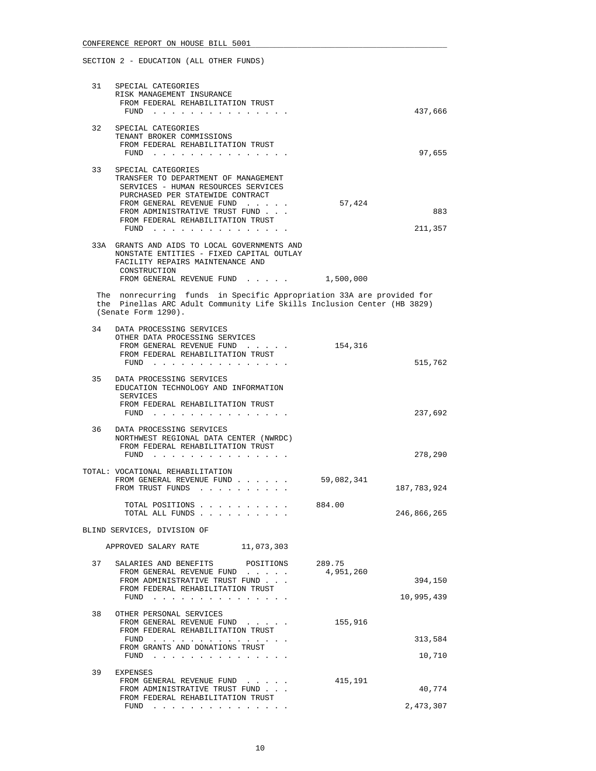| 31 | SPECIAL CATEGORIES<br>RISK MANAGEMENT INSURANCE<br>FROM FEDERAL REHABILITATION TRUST<br>$FUND$                                                                                                                                                             |            | 437,666        |
|----|------------------------------------------------------------------------------------------------------------------------------------------------------------------------------------------------------------------------------------------------------------|------------|----------------|
| 32 | SPECIAL CATEGORIES                                                                                                                                                                                                                                         |            |                |
|    | TENANT BROKER COMMISSIONS                                                                                                                                                                                                                                  |            |                |
|    | FROM FEDERAL REHABILITATION TRUST<br>FUND $\cdots$                                                                                                                                                                                                         |            | 97,655         |
|    |                                                                                                                                                                                                                                                            |            |                |
| 33 | SPECIAL CATEGORIES<br>TRANSFER TO DEPARTMENT OF MANAGEMENT<br>SERVICES - HUMAN RESOURCES SERVICES<br>PURCHASED PER STATEWIDE CONTRACT<br>FROM GENERAL REVENUE FUND<br>FROM ADMINISTRATIVE TRUST FUND<br>FROM FEDERAL REHABILITATION TRUST<br>FUND $\cdots$ | 57,424     | 883<br>211,357 |
|    |                                                                                                                                                                                                                                                            |            |                |
|    | 33A GRANTS AND AIDS TO LOCAL GOVERNMENTS AND<br>NONSTATE ENTITIES - FIXED CAPITAL OUTLAY<br>FACILITY REPAIRS MAINTENANCE AND<br>CONSTRUCTION<br>FROM GENERAL REVENUE FUND 1,500,000                                                                        |            |                |
|    | The nonrecurring funds in Specific Appropriation 33A are provided for                                                                                                                                                                                      |            |                |
|    | the Pinellas ARC Adult Community Life Skills Inclusion Center (HB 3829)<br>(Senate Form 1290).                                                                                                                                                             |            |                |
| 34 | DATA PROCESSING SERVICES                                                                                                                                                                                                                                   |            |                |
|    | OTHER DATA PROCESSING SERVICES<br>FROM GENERAL REVENUE FUND                                                                                                                                                                                                | 154,316    |                |
|    | FROM FEDERAL REHABILITATION TRUST                                                                                                                                                                                                                          |            |                |
|    | FUND                                                                                                                                                                                                                                                       |            | 515,762        |
| 35 | DATA PROCESSING SERVICES<br>EDUCATION TECHNOLOGY AND INFORMATION<br>SERVICES<br>FROM FEDERAL REHABILITATION TRUST                                                                                                                                          |            |                |
|    |                                                                                                                                                                                                                                                            |            | 237,692        |
| 36 | DATA PROCESSING SERVICES                                                                                                                                                                                                                                   |            |                |
|    | NORTHWEST REGIONAL DATA CENTER (NWRDC)                                                                                                                                                                                                                     |            |                |
|    | FROM FEDERAL REHABILITATION TRUST                                                                                                                                                                                                                          |            |                |
|    |                                                                                                                                                                                                                                                            |            | 278,290        |
|    | TOTAL: VOCATIONAL REHABILITATION<br>FROM GENERAL REVENUE FUND<br>FROM TRUST FUNDS                                                                                                                                                                          | 59,082,341 | 187,783,924    |
|    | TOTAL POSITIONS                                                                                                                                                                                                                                            | 884.00     |                |
|    | TOTAL ALL FUNDS                                                                                                                                                                                                                                            |            | 246,866,265    |
|    | BLIND SERVICES, DIVISION OF                                                                                                                                                                                                                                |            |                |
|    | APPROVED SALARY RATE<br>11,073,303                                                                                                                                                                                                                         |            |                |
| 37 | SALARIES AND BENEFITS<br>POSITIONS                                                                                                                                                                                                                         | 289.75     |                |
|    | FROM GENERAL REVENUE FUND<br>FROM ADMINISTRATIVE TRUST FUND                                                                                                                                                                                                | 4,951,260  | 394,150        |
|    | FROM FEDERAL REHABILITATION TRUST                                                                                                                                                                                                                          |            |                |
|    | FUND $\cdots$                                                                                                                                                                                                                                              |            | 10,995,439     |
| 38 | OTHER PERSONAL SERVICES<br>FROM GENERAL REVENUE FUND<br>FROM FEDERAL REHABILITATION TRUST                                                                                                                                                                  | 155,916    |                |
|    | FUND                                                                                                                                                                                                                                                       |            | 313,584        |
|    | FROM GRANTS AND DONATIONS TRUST<br>FUND $\cdots$                                                                                                                                                                                                           |            | 10,710         |
|    |                                                                                                                                                                                                                                                            |            |                |
| 39 | EXPENSES<br>FROM GENERAL REVENUE FUND                                                                                                                                                                                                                      | 415,191    |                |
|    | FROM ADMINISTRATIVE TRUST FUND                                                                                                                                                                                                                             |            | 40,774         |
|    | FROM FEDERAL REHABILITATION TRUST<br>FUND $\cdots$                                                                                                                                                                                                         |            | 2,473,307      |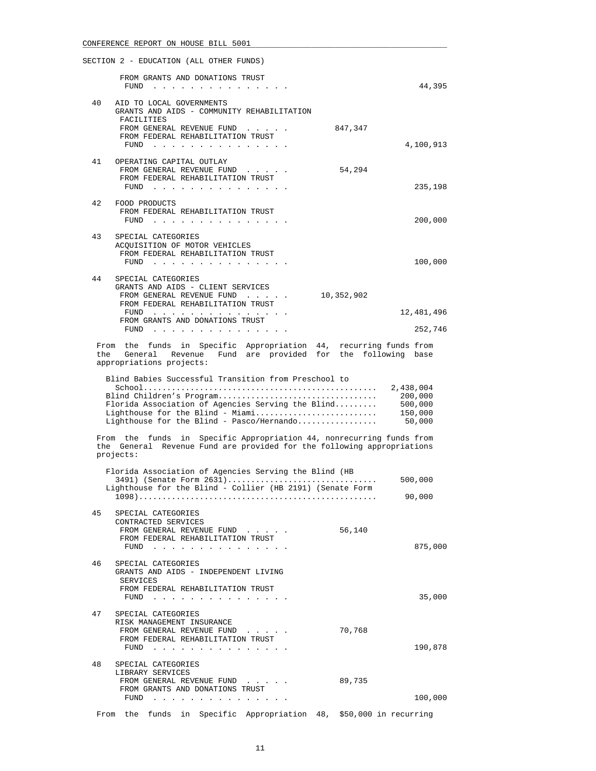|     | SECTION 2 - EDUCATION (ALL OTHER FUNDS)                                                                                                                        |            |                                                      |
|-----|----------------------------------------------------------------------------------------------------------------------------------------------------------------|------------|------------------------------------------------------|
|     | FROM GRANTS AND DONATIONS TRUST<br>FUND                                                                                                                        |            | 44,395                                               |
| 40  | AID TO LOCAL GOVERNMENTS<br>GRANTS AND AIDS - COMMUNITY REHABILITATION<br>FACILITIES                                                                           |            |                                                      |
|     | FROM GENERAL REVENUE FUND<br>FROM FEDERAL REHABILITATION TRUST<br>FUND $\cdots$                                                                                | 847,347    | 4,100,913                                            |
| 41  | OPERATING CAPITAL OUTLAY                                                                                                                                       |            |                                                      |
|     | FROM GENERAL REVENUE FUND<br>FROM FEDERAL REHABILITATION TRUST<br>FUND $\cdots$                                                                                | 54,294     | 235,198                                              |
| 42  | FOOD PRODUCTS<br>FROM FEDERAL REHABILITATION TRUST<br>FUND                                                                                                     |            | 200,000                                              |
| 43  | SPECIAL CATEGORIES<br>ACQUISITION OF MOTOR VEHICLES<br>FROM FEDERAL REHABILITATION TRUST                                                                       |            | 100,000                                              |
| 44  | SPECIAL CATEGORIES<br>GRANTS AND AIDS - CLIENT SERVICES                                                                                                        |            |                                                      |
|     | FROM GENERAL REVENUE FUND<br>FROM FEDERAL REHABILITATION TRUST                                                                                                 | 10,352,902 |                                                      |
|     | FUND $\cdots$<br>FROM GRANTS AND DONATIONS TRUST                                                                                                               |            | 12,481,496                                           |
|     |                                                                                                                                                                |            | 252,746                                              |
| the | From the funds in Specific Appropriation 44, recurring funds from<br>General Revenue Fund are provided for the following base<br>appropriations projects:      |            |                                                      |
|     | Blind Children's Program<br>Florida Association of Agencies Serving the Blind<br>Lighthouse for the Blind - Miami<br>Lighthouse for the Blind - Pasco/Hernando |            | 2,438,004<br>200,000<br>500,000<br>150,000<br>50,000 |
|     | From the funds in Specific Appropriation 44, nonrecurring funds from<br>the General Revenue Fund are provided for the following appropriations<br>projects:    |            |                                                      |
|     | Florida Association of Agencies Serving the Blind (HB                                                                                                          |            |                                                      |
|     | 3491) (Senate Form 2631)<br>Lighthouse for the Blind - Collier (HB 2191) (Senate Form                                                                          |            | 500,000                                              |
|     |                                                                                                                                                                |            | 90,000                                               |
| 45  | SPECIAL CATEGORIES<br>CONTRACTED SERVICES<br>FROM GENERAL REVENUE FUND                                                                                         | 56,140     |                                                      |
|     | FROM FEDERAL REHABILITATION TRUST                                                                                                                              |            | 875,000                                              |
| 46  | FUND $\cdots$<br>SPECIAL CATEGORIES<br>GRANTS AND AIDS - INDEPENDENT LIVING                                                                                    |            |                                                      |
|     | SERVICES<br>FROM FEDERAL REHABILITATION TRUST                                                                                                                  |            | 35,000                                               |
| 47  | SPECIAL CATEGORIES<br>RISK MANAGEMENT INSURANCE<br>FROM GENERAL REVENUE FUND<br>FROM FEDERAL REHABILITATION TRUST<br>FUND                                      | 70,768     | 190,878                                              |
| 48  | SPECIAL CATEGORIES<br>LIBRARY SERVICES                                                                                                                         |            |                                                      |
|     | FROM GENERAL REVENUE FUND<br>FROM GRANTS AND DONATIONS TRUST                                                                                                   | 89,735     |                                                      |
|     | FUND                                                                                                                                                           |            | 100,000                                              |
|     | From the funds in Specific Appropriation 48, \$50,000 in recurring                                                                                             |            |                                                      |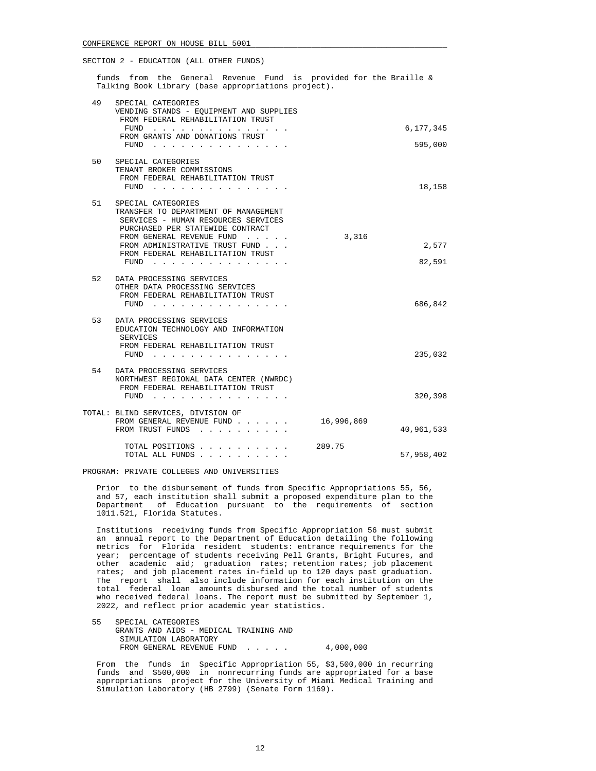funds from the General Revenue Fund is provided for the Braille & Talking Book Library (base appropriations project).

| 49 | SPECIAL CATEGORIES<br>VENDING STANDS - EQUIPMENT AND SUPPLIES<br>FROM FEDERAL REHABILITATION TRUST                                                                                                                                                  |            |                 |
|----|-----------------------------------------------------------------------------------------------------------------------------------------------------------------------------------------------------------------------------------------------------|------------|-----------------|
|    | FUND                                                                                                                                                                                                                                                |            | 6,177,345       |
|    | FROM GRANTS AND DONATIONS TRUST<br>$FUND$                                                                                                                                                                                                           |            | 595,000         |
| 50 | SPECIAL CATEGORIES<br>TENANT BROKER COMMISSIONS<br>FROM FEDERAL REHABILITATION TRUST<br>FUND                                                                                                                                                        |            | 18,158          |
| 51 | SPECIAL CATEGORIES<br>TRANSFER TO DEPARTMENT OF MANAGEMENT<br>SERVICES - HUMAN RESOURCES SERVICES<br>PURCHASED PER STATEWIDE CONTRACT<br>FROM GENERAL REVENUE FUND<br>FROM ADMINISTRATIVE TRUST FUND<br>FROM FEDERAL REHABILITATION TRUST<br>$FUND$ | 3,316      | 2,577<br>82,591 |
| 52 | DATA PROCESSING SERVICES<br>OTHER DATA PROCESSING SERVICES<br>FROM FEDERAL REHABILITATION TRUST<br>FUND                                                                                                                                             |            | 686,842         |
| 53 | DATA PROCESSING SERVICES<br>EDUCATION TECHNOLOGY AND INFORMATION<br>SERVICES<br>FROM FEDERAL REHABILITATION TRUST<br>FUND                                                                                                                           |            | 235,032         |
| 54 | DATA PROCESSING SERVICES<br>NORTHWEST REGIONAL DATA CENTER (NWRDC)<br>FROM FEDERAL REHABILITATION TRUST<br>FUND                                                                                                                                     |            | 320,398         |
|    | TOTAL: BLIND SERVICES, DIVISION OF<br>FROM GENERAL REVENUE FUND<br>FROM TRUST FUNDS                                                                                                                                                                 | 16,996,869 | 40,961,533      |
|    | TOTAL POSITIONS<br>TOTAL ALL FUNDS.                                                                                                                                                                                                                 | 289.75     | 57,958,402      |

PROGRAM: PRIVATE COLLEGES AND UNIVERSITIES

 Prior to the disbursement of funds from Specific Appropriations 55, 56, and 57, each institution shall submit a proposed expenditure plan to the Department of Education pursuant to the requirements of section 1011.521, Florida Statutes.

 Institutions receiving funds from Specific Appropriation 56 must submit an annual report to the Department of Education detailing the following metrics for Florida resident students: entrance requirements for the year; percentage of students receiving Pell Grants, Bright Futures, and other academic aid; graduation rates; retention rates; job placement rates; and job placement rates in-field up to 120 days past graduation. The report shall also include information for each institution on the total federal loan amounts disbursed and the total number of students who received federal loans. The report must be submitted by September 1, 2022, and reflect prior academic year statistics.

 55 SPECIAL CATEGORIES GRANTS AND AIDS - MEDICAL TRAINING AND SIMULATION LABORATORY FROM GENERAL REVENUE FUND . . . . . 4,000,000

 From the funds in Specific Appropriation 55, \$3,500,000 in recurring funds and \$500,000 in nonrecurring funds are appropriated for a base appropriations project for the University of Miami Medical Training and Simulation Laboratory (HB 2799) (Senate Form 1169).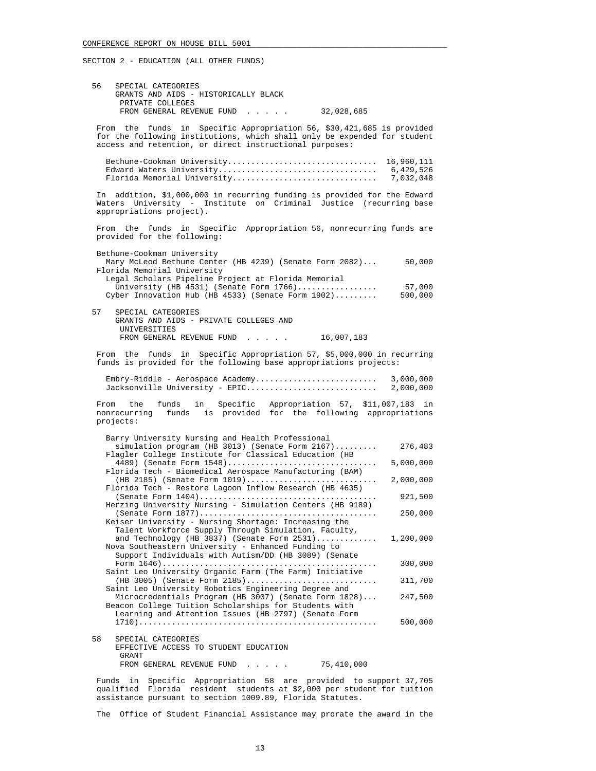| 56   | SPECIAL CATEGORIES<br>GRANTS AND AIDS - HISTORICALLY BLACK                                                                                                                                                      |                                      |
|------|-----------------------------------------------------------------------------------------------------------------------------------------------------------------------------------------------------------------|--------------------------------------|
|      | PRIVATE COLLEGES<br>FROM GENERAL REVENUE FUND<br>32,028,685                                                                                                                                                     |                                      |
|      | funds in Specific Appropriation 56, \$30,421,685 is provided<br>From the<br>for the following institutions, which shall only be expended for student<br>access and retention, or direct instructional purposes: |                                      |
|      | Bethune-Cookman University<br>Edward Waters University<br>Florida Memorial University                                                                                                                           | 16,960,111<br>6,429,526<br>7,032,048 |
|      | In addition, \$1,000,000 in recurring funding is provided for the Edward<br>Waters University - Institute on Criminal Justice (recurring base<br>appropriations project).                                       |                                      |
|      | From the funds in Specific Appropriation 56, nonrecurring funds are<br>provided for the following:                                                                                                              |                                      |
|      | Bethune-Cookman University<br>Mary McLeod Bethune Center (HB 4239) (Senate Form 2082)<br>Florida Memorial University<br>Legal Scholars Pipeline Project at Florida Memorial                                     | 50,000                               |
|      | University (HB 4531) (Senate Form 1766)<br>Cyber Innovation Hub (HB 4533) (Senate Form 1902)                                                                                                                    | 57,000<br>500,000                    |
| 57   | SPECIAL CATEGORIES<br>GRANTS AND AIDS - PRIVATE COLLEGES AND<br>UNIVERSITIES<br>FROM GENERAL REVENUE FUND<br>16,007,183                                                                                         |                                      |
|      | From the funds in Specific Appropriation 57, \$5,000,000 in recurring<br>funds is provided for the following base appropriations projects:                                                                      |                                      |
|      | Embry-Riddle - Aerospace Academy<br>Jacksonville University - EPIC                                                                                                                                              | 3,000,000<br>2,000,000               |
| From | Specific Appropriation 57, \$11,007,183 in<br>the<br>funds<br>in<br>nonrecurring funds is provided for the following appropriations<br>projects:                                                                |                                      |
|      | Barry University Nursing and Health Professional<br>$simulation program (HB 3013) (Senate Form 2167)$<br>Flagler College Institute for Classical Education (HB                                                  | 276,483                              |
|      | 4489) (Senate Form 1548)<br>Florida Tech - Biomedical Aerospace Manufacturing (BAM)                                                                                                                             | 5,000,000                            |
|      | $(HB 2185)$ (Senate Form $1019)$<br>Florida Tech - Restore Lagoon Inflow Research (HB 4635)                                                                                                                     | 2,000,000                            |
|      | Herzing University Nursing - Simulation Centers (HB 9189)                                                                                                                                                       | 921,500                              |
|      | (Senate Form $1877)$<br>Keiser University - Nursing Shortage: Increasing the<br>Talent Workforce Supply Through Simulation, Faculty,                                                                            | 250,000                              |
|      | and Technology (HB 3837) (Senate Form $2531)$<br>Nova Southeastern University - Enhanced Funding to<br>Support Individuals with Autism/DD (HB 3089) (Senate                                                     | 1,200,000                            |
|      | Saint Leo University Organic Farm (The Farm) Initiative                                                                                                                                                         | 300,000                              |
|      | (HB 3005) (Senate Form 2185)<br>Saint Leo University Robotics Engineering Degree and                                                                                                                            | 311,700                              |
|      | Microcredentials Program (HB 3007) (Senate Form 1828)<br>Beacon College Tuition Scholarships for Students with<br>Learning and Attention Issues (HB 2797) (Senate Form                                          | 247,500                              |
|      |                                                                                                                                                                                                                 | 500,000                              |
| 58   | SPECIAL CATEGORIES<br>EFFECTIVE ACCESS TO STUDENT EDUCATION<br>GRANT                                                                                                                                            |                                      |
|      | FROM GENERAL REVENUE FUND<br>75,410,000                                                                                                                                                                         |                                      |

 Funds in Specific Appropriation 58 are provided to support 37,705 qualified Florida resident students at \$2,000 per student for tuition assistance pursuant to section 1009.89, Florida Statutes.

The Office of Student Financial Assistance may prorate the award in the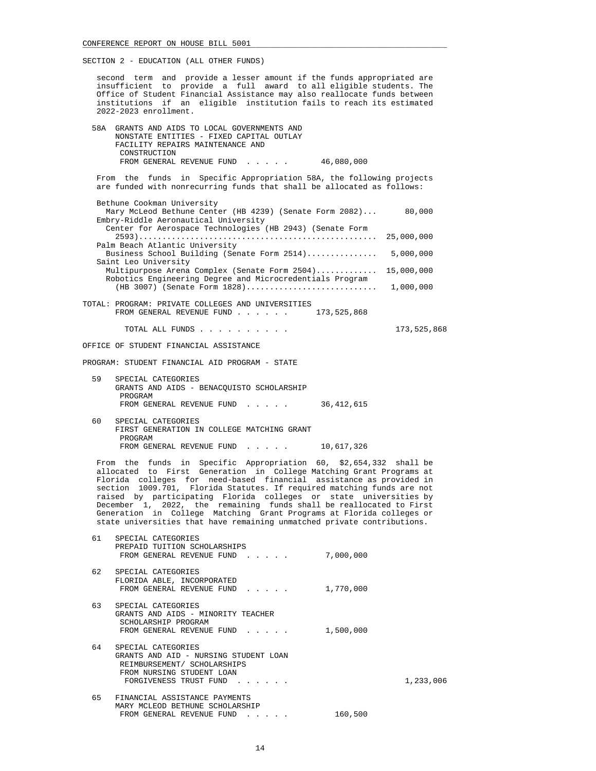second term and provide a lesser amount if the funds appropriated are insufficient to provide a full award to all eligible students. The Office of Student Financial Assistance may also reallocate funds between institutions if an eligible institution fails to reach its estimated 2022-2023 enrollment.

 58A GRANTS AND AIDS TO LOCAL GOVERNMENTS AND NONSTATE ENTITIES - FIXED CAPITAL OUTLAY FACILITY REPAIRS MAINTENANCE AND **CONSTRUCTION** FROM GENERAL REVENUE FUND . . . . . 46,080,000

 From the funds in Specific Appropriation 58A, the following projects are funded with nonrecurring funds that shall be allocated as follows:

- Bethune Cookman University Mary McLeod Bethune Center (HB 4239) (Senate Form 2082)... 80,000 Embry-Riddle Aeronautical University Center for Aerospace Technologies (HB 2943) (Senate Form 2593)................................................... 25,000,000 Palm Beach Atlantic University Business School Building (Senate Form 2514)............... 5,000,000 Saint Leo University Multipurpose Arena Complex (Senate Form 2504)............. 15,000,000 Robotics Engineering Degree and Microcredentials Program (HB 3007) (Senate Form 1828)............................ 1,000,000 TOTAL: PROGRAM: PRIVATE COLLEGES AND UNIVERSITIES<br>FROM GENERAL REVENUE FUND . . . . . . 173,525,868
	- FROM GENERAL REVENUE FUND . . . . . .

TOTAL ALL FUNDS . . . . . . . . . . 173,525,868

- OFFICE OF STUDENT FINANCIAL ASSISTANCE
- PROGRAM: STUDENT FINANCIAL AID PROGRAM STATE
	- 59 SPECIAL CATEGORIES GRANTS AND AIDS - BENACQUISTO SCHOLARSHIP PROGRAM FROM GENERAL REVENUE FUND . . . . . 36,412,615
	- 60 SPECIAL CATEGORIES FIRST GENERATION IN COLLEGE MATCHING GRANT PROGRAM FROM GENERAL REVENUE FUND . . . . . 10,617,326

 From the funds in Specific Appropriation 60, \$2,654,332 shall be allocated to First Generation in College Matching Grant Programs at Florida colleges for need-based financial assistance as provided in section 1009.701, Florida Statutes. If required matching funds are not raised by participating Florida colleges or state universities by December 1, 2022, the remaining funds shall be reallocated to First Generation in College Matching Grant Programs at Florida colleges or state universities that have remaining unmatched private contributions.

| 61 | SPECIAL CATEGORIES<br>PREPAID TUITION SCHOLARSHIPS<br>FROM GENERAL REVENUE FUND                                                                   | 7,000,000 |           |
|----|---------------------------------------------------------------------------------------------------------------------------------------------------|-----------|-----------|
|    |                                                                                                                                                   |           |           |
| 62 | SPECIAL CATEGORIES<br>FLORIDA ABLE, INCORPORATED<br>FROM GENERAL REVENUE FUND<br>$\mathbf{r}$ , $\mathbf{r}$ , $\mathbf{r}$ , $\mathbf{r}$        | 1,770,000 |           |
| 63 | SPECIAL CATEGORIES<br>GRANTS AND AIDS - MINORITY TEACHER<br>SCHOLARSHIP PROGRAM<br>FROM GENERAL REVENUE FUND                                      | 1,500,000 |           |
| 64 | SPECIAL CATEGORIES<br>GRANTS AND AID - NURSING STUDENT LOAN<br>REIMBURSEMENT/ SCHOLARSHIPS<br>FROM NURSING STUDENT LOAN<br>FORGIVENESS TRUST FUND |           | 1,233,006 |
| 65 | FINANCIAL ASSISTANCE PAYMENTS<br>MARY MCLEOD BETHUNE SCHOLARSHIP<br>FROM GENERAL REVENUE FUND<br>and a state of the                               | 160,500   |           |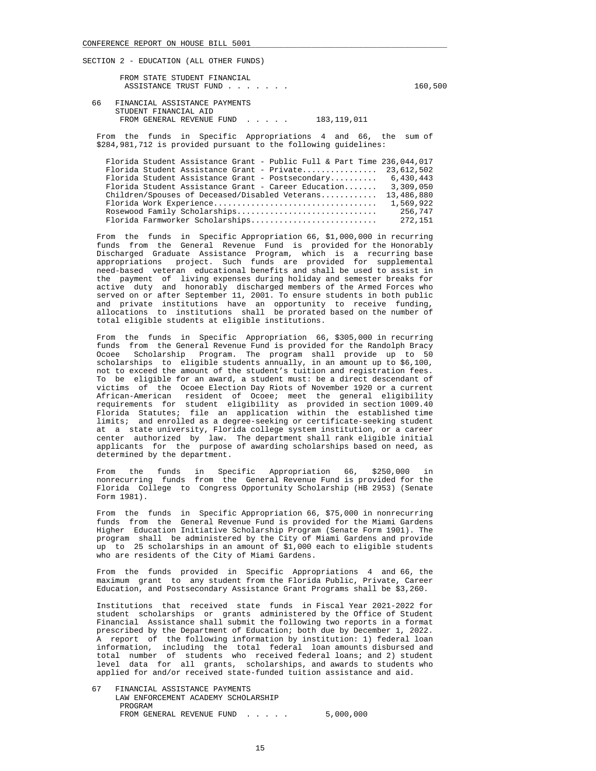FROM STATE STUDENT FINANCIAL ASSISTANCE TRUST FUND . . . . . . . . . . . . . . 160,500

 66 FINANCIAL ASSISTANCE PAYMENTS STUDENT FINANCIAL AID FROM GENERAL REVENUE FUND . . . . . 183,119,011

 From the funds in Specific Appropriations 4 and 66, the sum of \$284,981,712 is provided pursuant to the following guidelines:

|  |                                                     |  |  |  | Florida Student Assistance Grant - Public Full & Part Time 236,044,017 |  |
|--|-----------------------------------------------------|--|--|--|------------------------------------------------------------------------|--|
|  |                                                     |  |  |  | Florida Student Assistance Grant - Private $23.612.502$                |  |
|  | Florida Student Assistance Grant - Postsecondary    |  |  |  | 6,430,443                                                              |  |
|  | Florida Student Assistance Grant - Career Education |  |  |  | 3,309,050                                                              |  |
|  | $Children/Spouses$ of Deceased/Disabled Veterans    |  |  |  | 13,486,880                                                             |  |
|  |                                                     |  |  |  | 1,569,922                                                              |  |
|  | Rosewood Family Scholarships                        |  |  |  | 256,747                                                                |  |
|  | Florida Farmworker Scholarships                     |  |  |  | 272,151                                                                |  |
|  |                                                     |  |  |  |                                                                        |  |

 From the funds in Specific Appropriation 66, \$1,000,000 in recurring funds from the General Revenue Fund is provided for the Honorably Discharged Graduate Assistance Program, which is a recurring base appropriations project. Such funds are provided for supplemental need-based veteran educational benefits and shall be used to assist in the payment of living expenses during holiday and semester breaks for active duty and honorably discharged members of the Armed Forces who served on or after September 11, 2001. To ensure students in both public and private institutions have an opportunity to receive funding, allocations to institutions shall be prorated based on the number of total eligible students at eligible institutions.

 From the funds in Specific Appropriation 66, \$305,000 in recurring funds from the General Revenue Fund is provided for the Randolph Bracy<br>Ocoee Scholarship Program. The program shall provide up to 50 Scholarship Program. The program shall provide up to 50 scholarships to eligible students annually, in an amount up to \$6,100, not to exceed the amount of the student's tuition and registration fees. To be eligible for an award, a student must: be a direct descendant of victims of the Ocoee Election Day Riots of November 1920 or a current African-American resident of Ocoee; meet the general eligibility requirements for student eligibility as provided in section 1009.40 Florida Statutes; file an application within the established time limits; and enrolled as a degree-seeking or certificate-seeking student and enrolled as a degree-seeking or certificate-seeking student at a state university, Florida college system institution, or a career center authorized by law. The department shall rank eligible initial applicants for the purpose of awarding scholarships based on need, as determined by the department.

 From the funds in Specific Appropriation 66, \$250,000 in nonrecurring funds from the General Revenue Fund is provided for the Florida College to Congress Opportunity Scholarship (HB 2953) (Senate Form 1981).

 From the funds in Specific Appropriation 66, \$75,000 in nonrecurring funds from the General Revenue Fund is provided for the Miami Gardens Higher Education Initiative Scholarship Program (Senate Form 1901). The program shall be administered by the City of Miami Gardens and provide up to 25 scholarships in an amount of \$1,000 each to eligible students who are residents of the City of Miami Gardens.

 From the funds provided in Specific Appropriations 4 and 66, the maximum grant to any student from the Florida Public, Private, Career Education, and Postsecondary Assistance Grant Programs shall be \$3,260.

 Institutions that received state funds in Fiscal Year 2021-2022 for student scholarships or grants administered by the Office of Student Financial Assistance shall submit the following two reports in a format prescribed by the Department of Education; both due by December 1, 2022. A report of the following information by institution: 1) federal loan information, including the total federal loan amounts disbursed and total number of students who received federal loans; and 2) student level data for all grants, scholarships, and awards to students who applied for and/or received state-funded tuition assistance and aid.

 67 FINANCIAL ASSISTANCE PAYMENTS LAW ENFORCEMENT ACADEMY SCHOLARSHIP PROGRAM FROM GENERAL REVENUE FUND . . . . . 5,000,000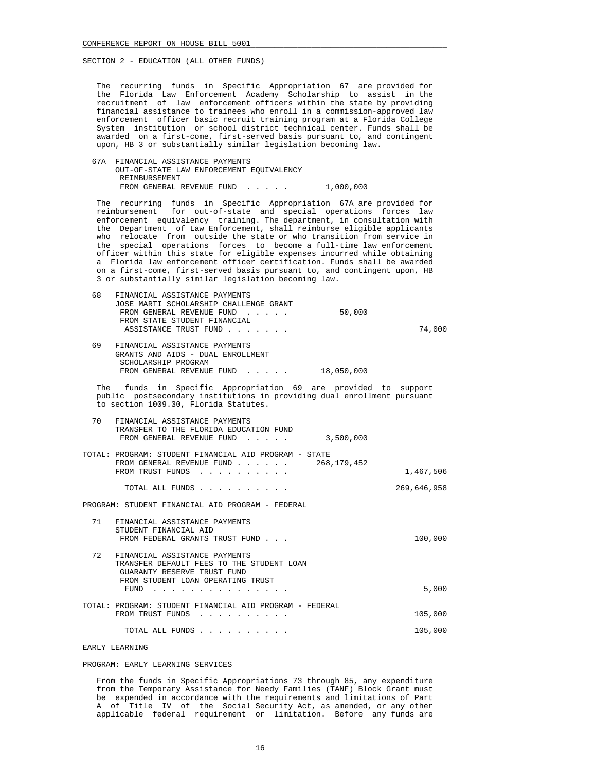The recurring funds in Specific Appropriation 67 are provided for the Florida Law Enforcement Academy Scholarship to assist in the recruitment of law enforcement officers within the state by providing financial assistance to trainees who enroll in a commission-approved law enforcement officer basic recruit training program at a Florida College System institution or school district technical center. Funds shall be awarded on a first-come, first-served basis pursuant to, and contingent upon, HB 3 or substantially similar legislation becoming law.

 67A FINANCIAL ASSISTANCE PAYMENTS OUT-OF-STATE LAW ENFORCEMENT EQUIVALENCY REIMBURSEMENT FROM GENERAL REVENUE FUND . . . . . 1,000,000

 The recurring funds in Specific Appropriation 67A are provided for reimbursement for out-of-state and special operations forces law enforcement equivalency training. The department, in consultation with the Department of Law Enforcement, shall reimburse eligible applicants who relocate from outside the state or who transition from service in the special operations forces to become a full-time law enforcement officer within this state for eligible expenses incurred while obtaining a Florida law enforcement officer certification. Funds shall be awarded on a first-come, first-served basis pursuant to, and contingent upon, HB 3 or substantially similar legislation becoming law.

| 68 | FINANCIAL ASSISTANCE PAYMENTS<br>JOSE MARTI SCHOLARSHIP CHALLENGE GRANT<br>50,000<br>FROM GENERAL REVENUE FUND<br>FROM STATE STUDENT FINANCIAL<br>ASSISTANCE TRUST FUND            | 74,000      |
|----|------------------------------------------------------------------------------------------------------------------------------------------------------------------------------------|-------------|
| 69 | FINANCIAL ASSISTANCE PAYMENTS<br>GRANTS AND AIDS - DUAL ENROLLMENT<br>SCHOLARSHIP PROGRAM<br>FROM GENERAL REVENUE FUND 18,050,000                                                  |             |
|    | The funds in Specific Appropriation 69 are provided to support<br>public postsecondary institutions in providing dual enrollment pursuant<br>to section 1009.30, Florida Statutes. |             |
| 70 | FINANCIAL ASSISTANCE PAYMENTS<br>TRANSFER TO THE FLORIDA EDUCATION FUND<br>FROM GENERAL REVENUE FUND<br>3,500,000                                                                  |             |
|    | TOTAL: PROGRAM: STUDENT FINANCIAL AID PROGRAM - STATE<br>FROM GENERAL REVENUE FUND<br>268, 179, 452<br>FROM TRUST FUNDS                                                            | 1,467,506   |
|    | TOTAL ALL FUNDS                                                                                                                                                                    | 269,646,958 |
|    | PROGRAM: STUDENT FINANCIAL AID PROGRAM - FEDERAL                                                                                                                                   |             |
| 71 | FINANCIAL ASSISTANCE PAYMENTS<br>STUDENT FINANCIAL AID<br>FROM FEDERAL GRANTS TRUST FUND                                                                                           | 100,000     |
| 72 | FINANCIAL ASSISTANCE PAYMENTS<br>TRANSFER DEFAULT FEES TO THE STUDENT LOAN<br>GUARANTY RESERVE TRUST FUND<br>FROM STUDENT LOAN OPERATING TRUST                                     |             |
|    | FUND                                                                                                                                                                               | 5,000       |
|    | TOTAL: PROGRAM: STUDENT FINANCIAL AID PROGRAM - FEDERAL<br>FROM TRUST FUNDS                                                                                                        | 105,000     |
|    | TOTAL ALL FUNDS                                                                                                                                                                    | 105,000     |

EARLY LEARNING

#### PROGRAM: EARLY LEARNING SERVICES

 From the funds in Specific Appropriations 73 through 85, any expenditure from the Temporary Assistance for Needy Families (TANF) Block Grant must be expended in accordance with the requirements and limitations of Part A of Title IV of the Social Security Act, as amended, or any other applicable federal requirement or limitation. Before any funds are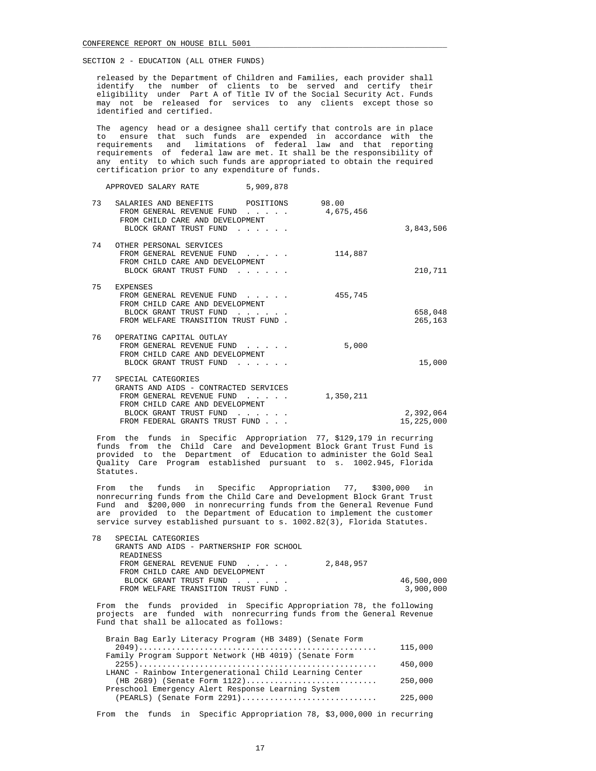released by the Department of Children and Families, each provider shall identify the number of clients to be served and certify their eligibility under Part A of Title IV of the Social Security Act. Funds may not be released for services to any clients except those so identified and certified.

 The agency head or a designee shall certify that controls are in place to ensure that such funds are expended in accordance with the requirements and limitations of federal law and that reporting requirements of federal law are met. It shall be the responsibility of any entity to which such funds are appropriated to obtain the required certification prior to any expenditure of funds.

| APPROVED SALARY RATE |  | 5,909,878 |  |
|----------------------|--|-----------|--|
|----------------------|--|-----------|--|

| 3,843,506               | 98.00<br>4,675,456 | SALARIES AND BENEFITS<br>POSITIONS<br>FROM GENERAL REVENUE FUND<br>FROM CHILD CARE AND DEVELOPMENT<br>BLOCK GRANT TRUST FUND                                                            | 73 |
|-------------------------|--------------------|-----------------------------------------------------------------------------------------------------------------------------------------------------------------------------------------|----|
| 210,711                 | 114,887            | OTHER PERSONAL SERVICES<br>FROM GENERAL REVENUE FUND<br>FROM CHILD CARE AND DEVELOPMENT<br>BLOCK GRANT TRUST FUND                                                                       | 74 |
| 658,048<br>265,163      | 455,745            | EXPENSES<br>FROM GENERAL REVENUE FUND<br>FROM CHILD CARE AND DEVELOPMENT<br>BLOCK GRANT TRUST FUND<br>FROM WELFARE TRANSITION TRUST FUND.                                               | 75 |
| 15,000                  | 5,000              | OPERATING CAPITAL OUTLAY<br>FROM GENERAL REVENUE FUND<br>FROM CHILD CARE AND DEVELOPMENT<br>BLOCK GRANT TRUST FUND                                                                      | 76 |
| 2,392,064<br>15,225,000 | 1,350,211          | SPECIAL CATEGORIES<br>GRANTS AND AIDS - CONTRACTED SERVICES<br>FROM GENERAL REVENUE FUND<br>FROM CHILD CARE AND DEVELOPMENT<br>BLOCK GRANT TRUST FUND<br>FROM FEDERAL GRANTS TRUST FUND | 77 |

 From the funds in Specific Appropriation 77, \$129,179 in recurring funds from the Child Care and Development Block Grant Trust Fund is provided to the Department of Education to administer the Gold Seal Quality Care Program established pursuant to s. 1002.945, Florida Statutes.

 From the funds in Specific Appropriation 77, \$300,000 in nonrecurring funds from the Child Care and Development Block Grant Trust Fund and \$200,000 in nonrecurring funds from the General Revenue Fund are provided to the Department of Education to implement the customer service survey established pursuant to s. 1002.82(3), Florida Statutes.

| 78 | SPECIAL CATEGORIES                       |           |            |
|----|------------------------------------------|-----------|------------|
|    | GRANTS AND AIDS - PARTNERSHIP FOR SCHOOL |           |            |
|    | READINESS                                |           |            |
|    | FROM GENERAL REVENUE FUND                | 2,848,957 |            |
|    | FROM CHILD CARE AND DEVELOPMENT          |           |            |
|    | BLOCK GRANT TRUST FUND                   |           | 46,500,000 |
|    | FROM WELFARE TRANSITION TRUST FUND.      |           | 3,900,000  |
|    |                                          |           |            |

 From the funds provided in Specific Appropriation 78, the following projects are funded with nonrecurring funds from the General Revenue Fund that shall be allocated as follows:

| Brain Bag Early Literacy Program (HB 3489) (Senate Form | 115,000 |
|---------------------------------------------------------|---------|
| Family Program Support Network (HB 4019) (Senate Form   |         |
|                                                         | 450,000 |
| LHANC - Rainbow Intergenerational Child Learning Center |         |
| $(HB 2689)$ (Senate Form $1122)$                        | 250,000 |
| Preschool Emergency Alert Response Learning System      |         |
| $(PEARLS)$ (Senate Form 2291)                           | 225,000 |
|                                                         |         |

From the funds in Specific Appropriation 78, \$3,000,000 in recurring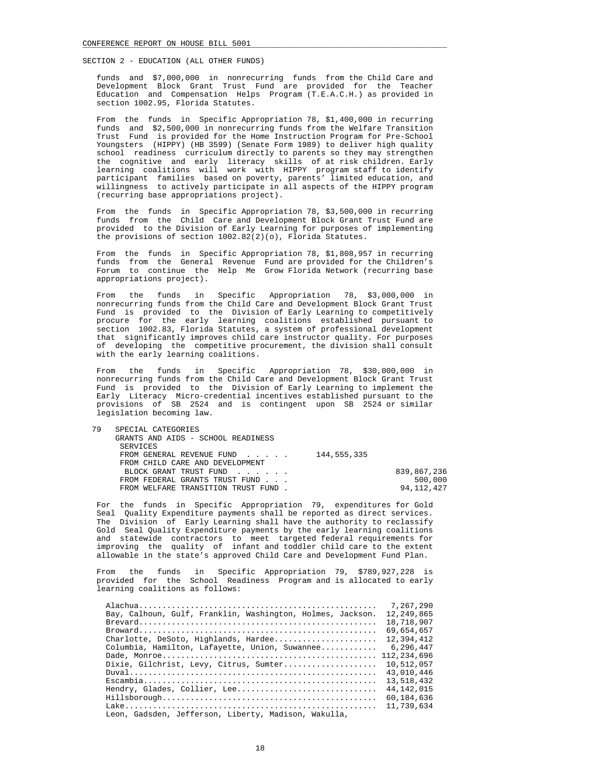funds and \$7,000,000 in nonrecurring funds from the Child Care and Development Block Grant Trust Fund are provided for the Teacher Education and Compensation Helps Program (T.E.A.C.H.) as provided in section 1002.95, Florida Statutes.

 From the funds in Specific Appropriation 78, \$1,400,000 in recurring funds and \$2,500,000 in nonrecurring funds from the Welfare Transition Trust Fund is provided for the Home Instruction Program for Pre-School Youngsters (HIPPY) (HB 3599) (Senate Form 1989) to deliver high quality school readiness curriculum directly to parents so they may strengthen the cognitive and early literacy skills of at risk children. Early learning coalitions will work with HIPPY program staff to identify participant families based on poverty, parents' limited education, and willingness to actively participate in all aspects of the HIPPY program (recurring base appropriations project).

 From the funds in Specific Appropriation 78, \$3,500,000 in recurring funds from the Child Care and Development Block Grant Trust Fund are provided to the Division of Early Learning for purposes of implementing the provisions of section 1002.82(2)(o), Florida Statutes.

 From the funds in Specific Appropriation 78, \$1,808,957 in recurring funds from the General Revenue Fund are provided for the Children's Forum to continue the Help Me Grow Florida Network (recurring base appropriations project).

 From the funds in Specific Appropriation 78, \$3,000,000 in nonrecurring funds from the Child Care and Development Block Grant Trust Fund is provided to the Division of Early Learning to competitively procure for the early learning coalitions established pursuant to section 1002.83, Florida Statutes, a system of professional development that significantly improves child care instructor quality. For purposes of developing the competitive procurement, the division shall consult with the early learning coalitions.

 From the funds in Specific Appropriation 78, \$30,000,000 in nonrecurring funds from the Child Care and Development Block Grant Trust Fund is provided to the Division of Early Learning to implement the Early Literacy Micro-credential incentives established pursuant to the provisions of SB 2524 and is contingent upon SB 2524 or similar legislation becoming law.

| 79 | SPECIAL CATEGORIES                  |             |              |
|----|-------------------------------------|-------------|--------------|
|    | GRANTS AND AIDS - SCHOOL READINESS  |             |              |
|    | SERVICES                            |             |              |
|    | FROM GENERAL REVENUE FUND           | 144,555,335 |              |
|    | FROM CHILD CARE AND DEVELOPMENT     |             |              |
|    | BLOCK GRANT TRUST FUND              |             | 839,867,236  |
|    | FROM FEDERAL GRANTS TRUST FUND      |             | 500,000      |
|    | FROM WELFARE TRANSITION TRUST FUND. |             | 94, 112, 427 |
|    |                                     |             |              |

 For the funds in Specific Appropriation 79, expenditures for Gold Seal Quality Expenditure payments shall be reported as direct services. The Division of Early Learning shall have the authority to reclassify Gold Seal Quality Expenditure payments by the early learning coalitions and statewide contractors to meet targeted federal requirements for improving the quality of infant and toddler child care to the extent allowable in the state's approved Child Care and Development Fund Plan.

 From the funds in Specific Appropriation 79, \$789,927,228 is provided for the School Readiness Program and is allocated to early learning coalitions as follows:

|                                                            | 7,267,290    |
|------------------------------------------------------------|--------------|
| Bay, Calhoun, Gulf, Franklin, Washington, Holmes, Jackson. | 12,249,865   |
|                                                            | 18,718,907   |
|                                                            | 69,654,657   |
| Charlotte, DeSoto, Highlands, Hardee                       | 12,394,412   |
| Columbia, Hamilton, Lafayette, Union, Suwannee             | 6,296,447    |
|                                                            | 112,234,696  |
| Dixie, Gilchrist, Levy, Citrus, Sumter                     | 10,512,057   |
|                                                            | 43,010,446   |
|                                                            | 13,518,432   |
| Hendry, Glades, Collier, Lee                               | 44, 142, 015 |
|                                                            | 60,184,636   |
|                                                            | 11.739.634   |
| Leon, Gadsden, Jefferson, Liberty, Madison, Wakulla,       |              |
|                                                            |              |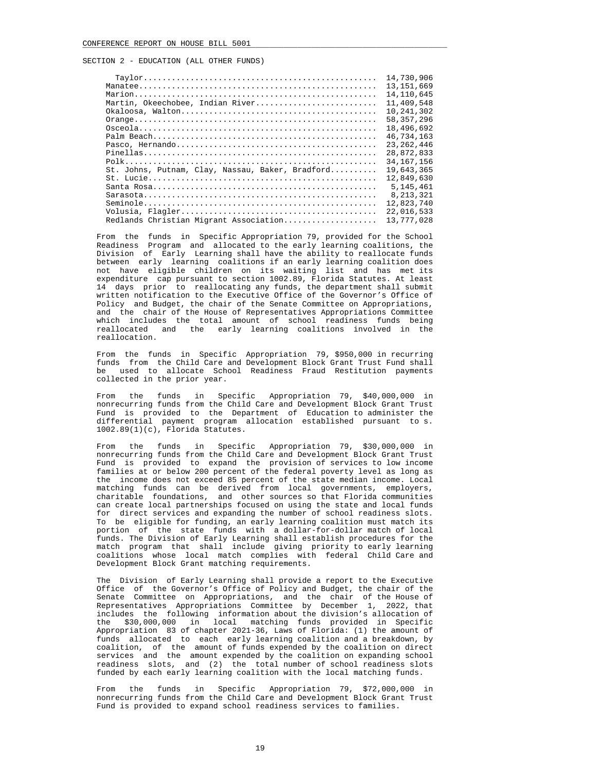|                                                  | 14,730,906   |
|--------------------------------------------------|--------------|
|                                                  | 13, 151, 669 |
|                                                  | 14,110,645   |
| Martin, Okeechobee, Indian River                 | 11,409,548   |
|                                                  | 10,241,302   |
|                                                  | 58, 357, 296 |
|                                                  | 18,496,692   |
|                                                  | 46,734,163   |
|                                                  | 23, 262, 446 |
|                                                  | 28,872,833   |
|                                                  | 34, 167, 156 |
| St. Johns, Putnam, Clay, Nassau, Baker, Bradford | 19,643,365   |
| $St. Iucie$                                      | 12,849,630   |
|                                                  | 5, 145, 461  |
|                                                  | 8, 213, 321  |
|                                                  | 12,823,740   |
|                                                  | 22,016,533   |
| Redlands Christian Migrant Association           | 13,777,028   |
|                                                  |              |

 From the funds in Specific Appropriation 79, provided for the School Readiness Program and allocated to the early learning coalitions, the Division of Early Learning shall have the ability to reallocate funds between early learning coalitions if an early learning coalition does not have eligible children on its waiting list and has met its expenditure cap pursuant to section 1002.89, Florida Statutes. At least 14 days prior to reallocating any funds, the department shall submit written notification to the Executive Office of the Governor's Office of Policy and Budget, the chair of the Senate Committee on Appropriations, and the chair of the House of Representatives Appropriations Committee which includes the total amount of school readiness funds being reallocated and the early learning coalitions involved in the reallocation.

 From the funds in Specific Appropriation 79, \$950,000 in recurring funds from the Child Care and Development Block Grant Trust Fund shall be used to allocate School Readiness Fraud Restitution payments collected in the prior year.

 From the funds in Specific Appropriation 79, \$40,000,000 in nonrecurring funds from the Child Care and Development Block Grant Trust Fund is provided to the Department of Education to administer the differential payment program allocation established pursuant to s. 1002.89(1)(c), Florida Statutes.

 From the funds in Specific Appropriation 79, \$30,000,000 in nonrecurring funds from the Child Care and Development Block Grant Trust Fund is provided to expand the provision of services to low income families at or below 200 percent of the federal poverty level as long as the income does not exceed 85 percent of the state median income. Local matching funds can be derived from local governments, employers, charitable foundations, and other sources so that Florida communities can create local partnerships focused on using the state and local funds for direct services and expanding the number of school readiness slots. To be eligible for funding, an early learning coalition must match its portion of the state funds with a dollar-for-dollar match of local funds. The Division of Early Learning shall establish procedures for the match program that shall include giving priority to early learning coalitions whose local match complies with federal Child Care and Development Block Grant matching requirements.

 The Division of Early Learning shall provide a report to the Executive Office of the Governor's Office of Policy and Budget, the chair of the Senate Committee on Appropriations, and the chair of the House of Representatives Appropriations Committee by December 1, 2022, that includes the following information about the division's allocation of the \$30,000,000 in local matching funds provided in Specific Appropriation 83 of chapter 2021-36, Laws of Florida: (1) the amount of funds allocated to each early learning coalition and a breakdown, by coalition, of the amount of funds expended by the coalition on direct services and the amount expended by the coalition on expanding school readiness slots, and (2) the total number of school readiness slots funded by each early learning coalition with the local matching funds.

 From the funds in Specific Appropriation 79, \$72,000,000 in nonrecurring funds from the Child Care and Development Block Grant Trust Fund is provided to expand school readiness services to families.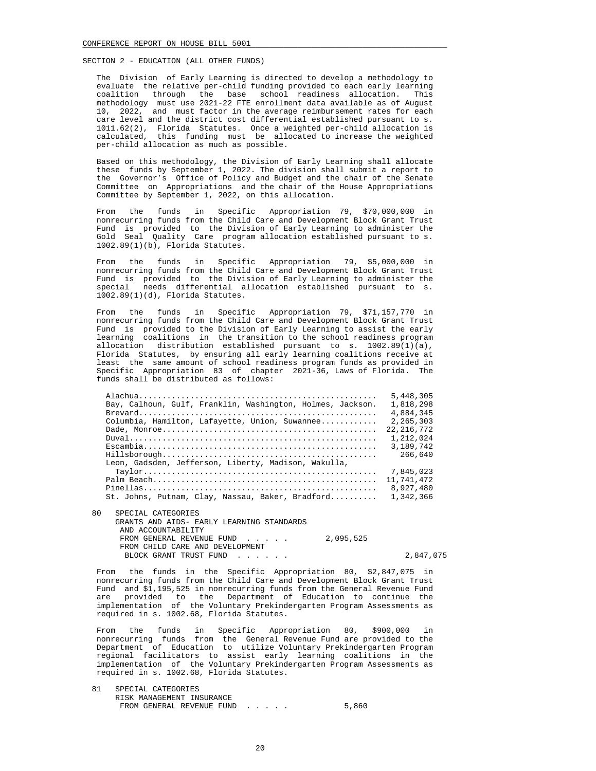The Division of Early Learning is directed to develop a methodology to evaluate the relative per-child funding provided to each early learning coalition through the base school readiness allocation. This methodology must use 2021-22 FTE enrollment data available as of August 10, 2022, and must factor in the average reimbursement rates for each care level and the district cost differential established pursuant to s. 1011.62(2), Florida Statutes. Once a weighted per-child allocation is calculated, this funding must be allocated to increase the weighted per-child allocation as much as possible.

 Based on this methodology, the Division of Early Learning shall allocate these funds by September 1, 2022. The division shall submit a report to the Governor's Office of Policy and Budget and the chair of the Senate Committee on Appropriations and the chair of the House Appropriations Committee by September 1, 2022, on this allocation.

 From the funds in Specific Appropriation 79, \$70,000,000 in nonrecurring funds from the Child Care and Development Block Grant Trust Fund is provided to the Division of Early Learning to administer the Gold Seal Quality Care program allocation established pursuant to s. 1002.89(1)(b), Florida Statutes.

 From the funds in Specific Appropriation 79, \$5,000,000 in nonrecurring funds from the Child Care and Development Block Grant Trust Fund is provided to the Division of Early Learning to administer the special needs differential allocation established pursuant to s. 1002.89(1)(d), Florida Statutes.

 From the funds in Specific Appropriation 79, \$71,157,770 in nonrecurring funds from the Child Care and Development Block Grant Trust Fund is provided to the Division of Early Learning to assist the early learning coalitions in the transition to the school readiness program allocation distribution established pursuant to s. 1002.89(1)(a), Florida Statutes, by ensuring all early learning coalitions receive at least the same amount of school readiness program funds as provided in Specific Appropriation 83 of chapter 2021-36, Laws of Florida. The funds shall be distributed as follows:

|                                                            | 5,448,305    |
|------------------------------------------------------------|--------------|
| Bay, Calhoun, Gulf, Franklin, Washington, Holmes, Jackson. | 1,818,298    |
|                                                            | 4,884,345    |
| Columbia, Hamilton, Lafayette, Union, Suwannee             | 2,265,303    |
|                                                            | 22, 216, 772 |
|                                                            | 1,212,024    |
|                                                            | 3,189,742    |
|                                                            | 266,640      |
| Leon, Gadsden, Jefferson, Liberty, Madison, Wakulla,       |              |
|                                                            | 7,845,023    |
|                                                            | 11,741,472   |
| $Pinellas$                                                 | 8,927,480    |
| St. Johns, Putnam, Clay, Nassau, Baker, Bradford           | 1,342,366    |
|                                                            |              |

 80 SPECIAL CATEGORIES GRANTS AND AIDS- EARLY LEARNING STANDARDS AND ACCOUNTABILITY FROM GENERAL REVENUE FUND . . . . . 2,095,525 FROM CHILD CARE AND DEVELOPMENT BLOCK GRANT TRUST FUND . . . . . . . . . . . . . . 2,847,075

 From the funds in the Specific Appropriation 80, \$2,847,075 in nonrecurring funds from the Child Care and Development Block Grant Trust Fund and \$1,195,525 in nonrecurring funds from the General Revenue Fund are provided to the Department of Education to continue the implementation of the Voluntary Prekindergarten Program Assessments as required in s. 1002.68, Florida Statutes.

 From the funds in Specific Appropriation 80, \$900,000 in nonrecurring funds from the General Revenue Fund are provided to the Department of Education to utilize Voluntary Prekindergarten Program regional facilitators to assist early learning coalitions in the implementation of the Voluntary Prekindergarten Program Assessments as required in s. 1002.68, Florida Statutes.

 81 SPECIAL CATEGORIES RISK MANAGEMENT INSURANCE FROM GENERAL REVENUE FUND . . . . . 5,860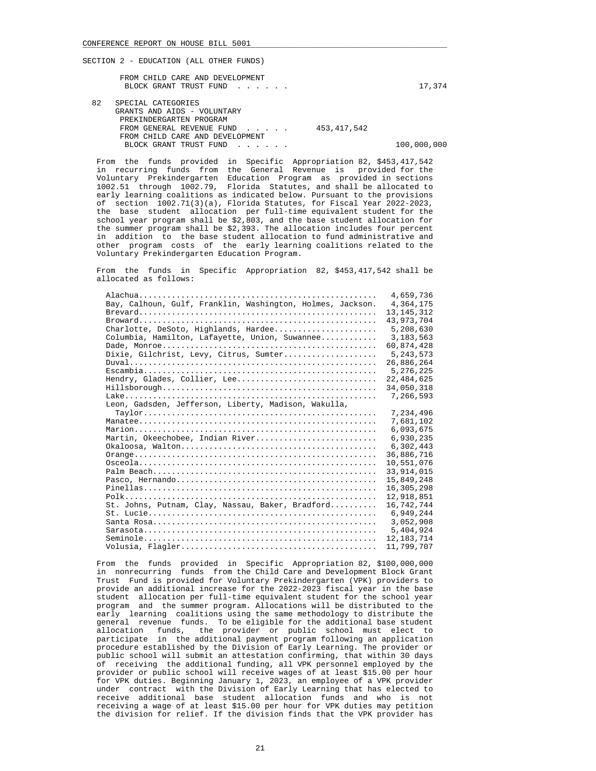|    | FROM CHILD CARE AND DEVELOPMENT<br>BLOCK GRANT TRUST FUND |               | 17,374 |
|----|-----------------------------------------------------------|---------------|--------|
| 82 | SPECIAL CATEGORIES<br>GRANTS AND AIDS - VOLUNTARY         |               |        |
|    | PREKINDERGARTEN PROGRAM<br>FROM GENERAL REVENUE FUND      | 453, 417, 542 |        |
|    | FROM CHILD CARE AND DEVELOPMENT                           |               |        |

 From the funds provided in Specific Appropriation 82, \$453,417,542 in recurring funds from the General Revenue is provided for the Voluntary Prekindergarten Education Program as provided in sections 1002.51 through 1002.79, Florida Statutes, and shall be allocated to early learning coalitions as indicated below. Pursuant to the provisions of section 1002.71(3)(a), Florida Statutes, for Fiscal Year 2022-2023, the base student allocation per full-time equivalent student for the school year program shall be \$2,803, and the base student allocation for the summer program shall be \$2,393. The allocation includes four percent in addition to the base student allocation to fund administrative and other program costs of the early learning coalitions related to the Voluntary Prekindergarten Education Program.

BLOCK GRANT TRUST FUND . . . . . . . . . . . 100,000,000

 From the funds in Specific Appropriation 82, \$453,417,542 shall be allocated as follows:

|                                                            | 4,659,736    |
|------------------------------------------------------------|--------------|
| Bay, Calhoun, Gulf, Franklin, Washington, Holmes, Jackson. | 4,364,175    |
|                                                            | 13, 145, 312 |
|                                                            | 43,973,704   |
| Charlotte, DeSoto, Highlands, Hardee                       | 5,208,630    |
| Columbia, Hamilton, Lafayette, Union, Suwannee             | 3, 183, 563  |
|                                                            | 60,874,428   |
| Dixie, Gilchrist, Levy, Citrus, Sumter                     | 5, 243, 573  |
|                                                            | 26,886,264   |
|                                                            | 5,276,225    |
| Hendry, Glades, Collier, Lee                               | 22, 484, 625 |
|                                                            | 34,050,318   |
|                                                            | 7,266,593    |
| Leon, Gadsden, Jefferson, Liberty, Madison, Wakulla,       |              |
|                                                            | 7,234,496    |
|                                                            | 7,681,102    |
|                                                            | 6,093,675    |
| Martin, Okeechobee, Indian River                           | 6,930,235    |
| $Okaloosa, Walton$                                         | 6,302,443    |
|                                                            | 36,886,716   |
|                                                            | 10,551,076   |
|                                                            | 33, 914, 015 |
|                                                            | 15,849,248   |
| $Pinellas$                                                 | 16, 305, 298 |
|                                                            | 12,918,851   |
| St. Johns, Putnam, Clay, Nassau, Baker, Bradford           | 16,742,744   |
| $St. Iucie$                                                | 6,949,244    |
|                                                            | 3,052,908    |
|                                                            | 5,404,924    |
|                                                            | 12, 183, 714 |
|                                                            | 11,799,707   |
|                                                            |              |

 From the funds provided in Specific Appropriation 82, \$100,000,000 in nonrecurring funds from the Child Care and Development Block Grant Trust Fund is provided for Voluntary Prekindergarten (VPK) providers to provide an additional increase for the 2022-2023 fiscal year in the base student allocation per full-time equivalent student for the school year program and the summer program. Allocations will be distributed to the early learning coalitions using the same methodology to distribute the general revenue funds. To be eligible for the additional base student allocation funds, the provider or public school must elect to participate in the additional payment program following an application procedure established by the Division of Early Learning. The provider or public school will submit an attestation confirming, that within 30 days of receiving the additional funding, all VPK personnel employed by the provider or public school will receive wages of at least \$15.00 per hour for VPK duties. Beginning January 1, 2023, an employee of a VPK provider under contract with the Division of Early Learning that has elected to receive additional base student allocation funds and who is not receiving a wage of at least \$15.00 per hour for VPK duties may petition the division for relief. If the division finds that the VPK provider has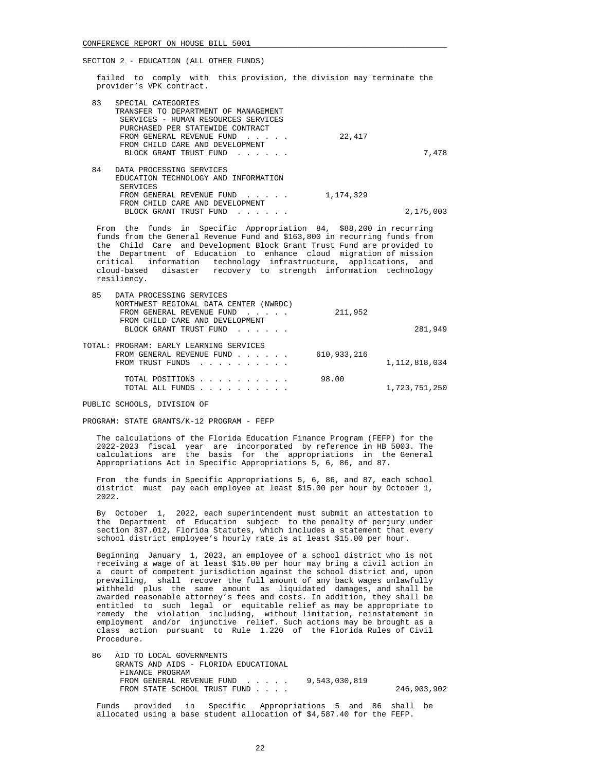failed to comply with this provision, the division may terminate the provider's VPK contract.

| 83 | SPECIAL CATEGORIES<br>TRANSFER TO DEPARTMENT OF MANAGEMENT<br>SERVICES - HUMAN RESOURCES SERVICES<br>PURCHASED PER STATEWIDE CONTRACT<br>FROM GENERAL REVENUE FUND<br>FROM CHILD CARE AND DEVELOPMENT | 22,417      |           |
|----|-------------------------------------------------------------------------------------------------------------------------------------------------------------------------------------------------------|-------------|-----------|
|    | BLOCK GRANT TRUST FUND                                                                                                                                                                                |             | 7,478     |
| 84 | DATA PROCESSING SERVICES                                                                                                                                                                              |             |           |
|    | EDUCATION TECHNOLOGY AND INFORMATION                                                                                                                                                                  |             |           |
|    | SERVICES                                                                                                                                                                                              |             |           |
|    | FROM GENERAL REVENUE FUND                                                                                                                                                                             | 1, 174, 329 |           |
|    | FROM CHILD CARE AND DEVELOPMENT                                                                                                                                                                       |             |           |
|    | BLOCK GRANT TRUST FUND                                                                                                                                                                                |             | 2,175,003 |

 From the funds in Specific Appropriation 84, \$88,200 in recurring funds from the General Revenue Fund and \$163,800 in recurring funds from the Child Care and Development Block Grant Trust Fund are provided to the Department of Education to enhance cloud migration of mission critical information technology infrastructure, applications, and cloud-based disaster recovery to strength information technology resiliency.

| 85 | DATA PROCESSING SERVICES                                                                                                                                         |             |                  |
|----|------------------------------------------------------------------------------------------------------------------------------------------------------------------|-------------|------------------|
|    | NORTHWEST REGIONAL DATA CENTER (NWRDC)<br>FROM GENERAL REVENUE FUND<br>$\mathbf{r}$ . The set of $\mathbf{r}$                                                    | 211,952     |                  |
|    | FROM CHILD CARE AND DEVELOPMENT<br>BLOCK GRANT TRUST FUND                                                                                                        |             | 281,949          |
|    | TOTAL: PROGRAM: EARLY LEARNING SERVICES                                                                                                                          |             |                  |
|    | FROM GENERAL REVENUE FUND<br>FROM TRUST FUNDS<br>the contract of the contract of the contract of the contract of the contract of the contract of the contract of | 610,933,216 | 1, 112, 818, 034 |
|    | TOTAL POSITIONS                                                                                                                                                  | 98.00       |                  |
|    | TOTAL ALL FUNDS                                                                                                                                                  |             | 1,723,751,250    |

PUBLIC SCHOOLS, DIVISION OF

PROGRAM: STATE GRANTS/K-12 PROGRAM - FEFP

 The calculations of the Florida Education Finance Program (FEFP) for the 2022-2023 fiscal year are incorporated by reference in HB 5003. The calculations are the basis for the appropriations in the General Appropriations Act in Specific Appropriations 5, 6, 86, and 87.

 From the funds in Specific Appropriations 5, 6, 86, and 87, each school district must pay each employee at least \$15.00 per hour by October 1, 2022.

 By October 1, 2022, each superintendent must submit an attestation to the Department of Education subject to the penalty of perjury under section 837.012, Florida Statutes, which includes a statement that every school district employee's hourly rate is at least \$15.00 per hour.

 Beginning January 1, 2023, an employee of a school district who is not receiving a wage of at least \$15.00 per hour may bring a civil action in a court of competent jurisdiction against the school district and, upon prevailing, shall recover the full amount of any back wages unlawfully withheld plus the same amount as liquidated damages, and shall be awarded reasonable attorney's fees and costs. In addition, they shall be entitled to such legal or equitable relief as may be appropriate to remedy the violation including, without limitation, reinstatement in employment and/or injunctive relief. Such actions may be brought as a class action pursuant to Rule 1.220 of the Florida Rules of Civil Procedure.

 86 AID TO LOCAL GOVERNMENTS GRANTS AND AIDS - FLORIDA EDUCATIONAL FINANCE PROGRAM FROM GENERAL REVENUE FUND . . . . . 9,543,030,819 FROM STATE SCHOOL TRUST FUND . . . . . . . . . . . 246,903,902

 Funds provided in Specific Appropriations 5 and 86 shall be allocated using a base student allocation of \$4,587.40 for the FEFP.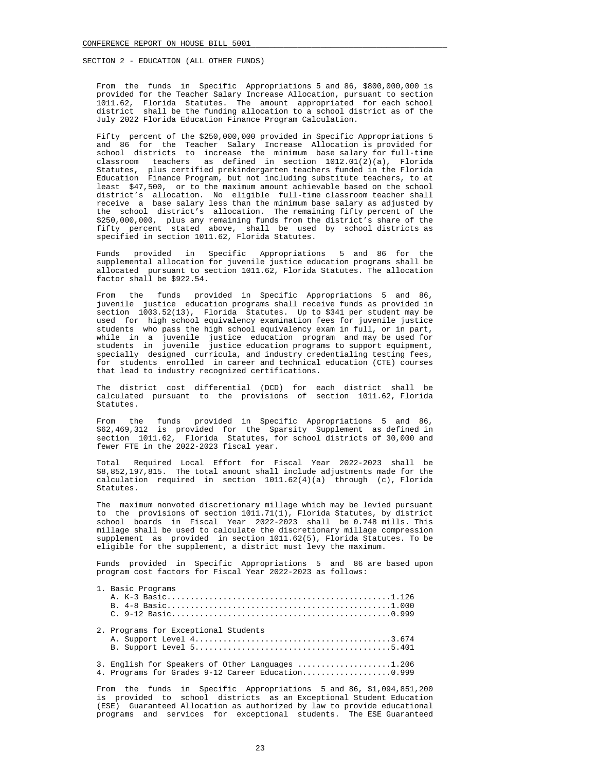From the funds in Specific Appropriations 5 and 86, \$800,000,000 is provided for the Teacher Salary Increase Allocation, pursuant to section 1011.62, Florida Statutes. The amount appropriated for each school district shall be the funding allocation to a school district as of the July 2022 Florida Education Finance Program Calculation.

 Fifty percent of the \$250,000,000 provided in Specific Appropriations 5 and 86 for the Teacher Salary Increase Allocation is provided for school districts to increase the minimum base salary for full-time classroom teachers as defined in section  $1012.01(2)(a)$ , Florida Statutes, plus certified prekindergarten teachers funded in the Florida Education Finance Program, but not including substitute teachers, to at least \$47,500, or to the maximum amount achievable based on the school district's allocation. No eligible full-time classroom teacher shall receive a base salary less than the minimum base salary as adjusted by the school district's allocation. The remaining fifty percent of the \$250,000,000, plus any remaining funds from the district's share of the fifty percent stated above, shall be used by school districts as specified in section 1011.62, Florida Statutes.

 Funds provided in Specific Appropriations 5 and 86 for the supplemental allocation for juvenile justice education programs shall be allocated pursuant to section 1011.62, Florida Statutes. The allocation factor shall be \$922.54.

 From the funds provided in Specific Appropriations 5 and 86, juvenile justice education programs shall receive funds as provided in section 1003.52(13), Florida Statutes. Up to \$341 per student may be used for high school equivalency examination fees for juvenile justice students who pass the high school equivalency exam in full, or in part, while in a juvenile justice education program and may be used for students in juvenile justice education programs to support equipment, specially designed curricula, and industry credentialing testing fees, for students enrolled in career and technical education (CTE) courses that lead to industry recognized certifications.

 The district cost differential (DCD) for each district shall be calculated pursuant to the provisions of section 1011.62, Florida Statutes.

 From the funds provided in Specific Appropriations 5 and 86, \$62,469,312 is provided for the Sparsity Supplement as defined in section 1011.62, Florida Statutes, for school districts of 30,000 and fewer FTE in the 2022-2023 fiscal year.

 Total Required Local Effort for Fiscal Year 2022-2023 shall be \$8,852,197,815. The total amount shall include adjustments made for the calculation required in section 1011.62(4)(a) through (c), Florida Statutes.

 The maximum nonvoted discretionary millage which may be levied pursuant to the provisions of section 1011.71(1), Florida Statutes, by district school boards in Fiscal Year 2022-2023 shall be 0.748 mills. This millage shall be used to calculate the discretionary millage compression supplement as provided in section 1011.62(5), Florida Statutes. To be eligible for the supplement, a district must levy the maximum.

 Funds provided in Specific Appropriations 5 and 86 are based upon program cost factors for Fiscal Year 2022-2023 as follows:

|  | 1. Basic Programs                                                                                     |
|--|-------------------------------------------------------------------------------------------------------|
|  | 2. Programs for Exceptional Students                                                                  |
|  | 3. English for Speakers of Other Languages 1.206<br>4. Programs for Grades 9-12 Career Education0.999 |

 From the funds in Specific Appropriations 5 and 86, \$1,094,851,200 is provided to school districts as an Exceptional Student Education (ESE) Guaranteed Allocation as authorized by law to provide educational programs and services for exceptional students. The ESE Guaranteed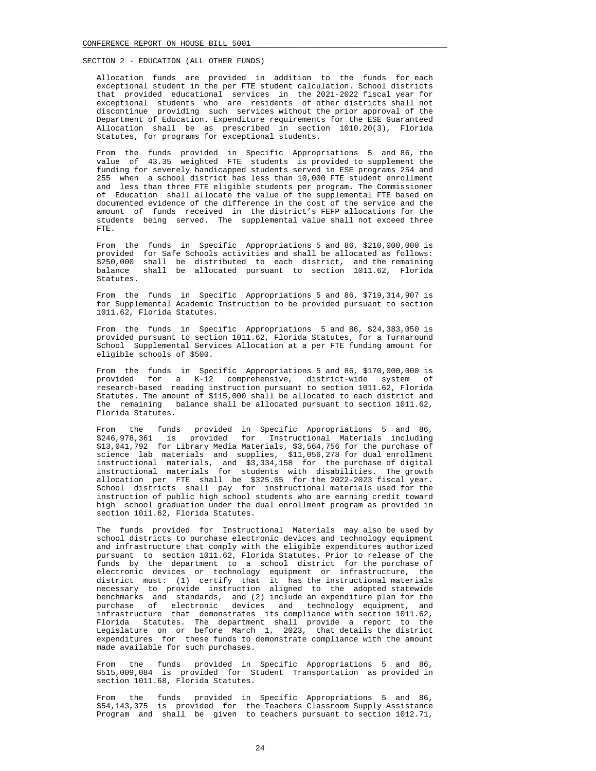Allocation funds are provided in addition to the funds for each exceptional student in the per FTE student calculation. School districts that provided educational services in the 2021-2022 fiscal year for exceptional students who are residents of other districts shall not discontinue providing such services without the prior approval of the Department of Education. Expenditure requirements for the ESE Guaranteed Allocation shall be as prescribed in section 1010.20(3), Florida Statutes, for programs for exceptional students.

 From the funds provided in Specific Appropriations 5 and 86, the value of 43.35 weighted FTE students is provided to supplement the funding for severely handicapped students served in ESE programs 254 and 255 when a school district has less than 10,000 FTE student enrollment and less than three FTE eligible students per program. The Commissioner of Education shall allocate the value of the supplemental FTE based on documented evidence of the difference in the cost of the service and the amount of funds received in the district's FEFP allocations for the students being served. The supplemental value shall not exceed three FTE.

 From the funds in Specific Appropriations 5 and 86, \$210,000,000 is provided for Safe Schools activities and shall be allocated as follows: \$250,000 shall be distributed to each district, and the remaining balance shall be allocated pursuant to section 1011.62, Florida Statutes.

 From the funds in Specific Appropriations 5 and 86, \$719,314,907 is for Supplemental Academic Instruction to be provided pursuant to section 1011.62, Florida Statutes.

 From the funds in Specific Appropriations 5 and 86, \$24,383,050 is provided pursuant to section 1011.62, Florida Statutes, for a Turnaround School Supplemental Services Allocation at a per FTE funding amount for eligible schools of \$500.

 From the funds in Specific Appropriations 5 and 86, \$170,000,000 is provided for a K-12 comprehensive, district-wide system of research-based reading instruction pursuant to section 1011.62, Florida Statutes. The amount of \$115,000 shall be allocated to each district and the remaining balance shall be allocated pursuant to section 1011.62, Florida Statutes.

 From the funds provided in Specific Appropriations 5 and 86, \$246,978,361 is provided for Instructional Materials including \$13,041,792 for Library Media Materials, \$3,564,756 for the purchase of science lab materials and supplies, \$11,056,278 for dual enrollment instructional materials, and \$3,334,158 for the purchase of digital instructional materials for students with disabilities. The growth allocation per FTE shall be \$325.05 for the 2022-2023 fiscal year. School districts shall pay for instructional materials used for the instruction of public high school students who are earning credit toward high school graduation under the dual enrollment program as provided in section 1011.62, Florida Statutes.

 The funds provided for Instructional Materials may also be used by school districts to purchase electronic devices and technology equipment and infrastructure that comply with the eligible expenditures authorized pursuant to section 1011.62, Florida Statutes. Prior to release of the funds by the department to a school district for the purchase of electronic devices or technology equipment or infrastructure, the district must: (1) certify that it has the instructional materials necessary to provide instruction aligned to the adopted statewide benchmarks and standards, and (2) include an expenditure plan for the purchase of electronic devices and technology equipment, and infrastructure that demonstrates its compliance with section 1011.62, Florida Statutes. The department shall provide a report to the Legislature on or before March 1, 2023, that details the district expenditures for these funds to demonstrate compliance with the amount made available for such purchases.

 From the funds provided in Specific Appropriations 5 and 86, \$515,009,084 is provided for Student Transportation as provided in section 1011.68, Florida Statutes.

 From the funds provided in Specific Appropriations 5 and 86, \$54,143,375 is provided for the Teachers Classroom Supply Assistance Program and shall be given to teachers pursuant to section 1012.71,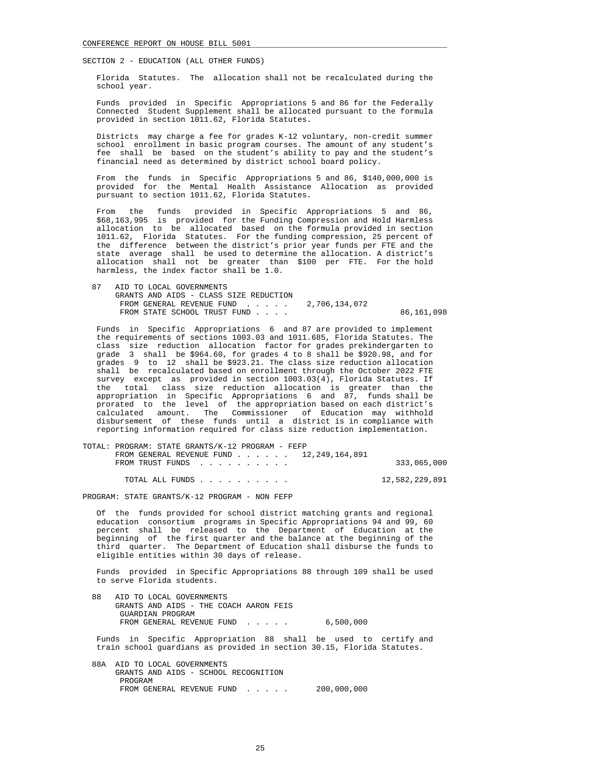Florida Statutes. The allocation shall not be recalculated during the school year.

 Funds provided in Specific Appropriations 5 and 86 for the Federally Connected Student Supplement shall be allocated pursuant to the formula provided in section 1011.62, Florida Statutes.

 Districts may charge a fee for grades K-12 voluntary, non-credit summer school enrollment in basic program courses. The amount of any student's fee shall be based on the student's ability to pay and the student's financial need as determined by district school board policy.

 From the funds in Specific Appropriations 5 and 86, \$140,000,000 is provided for the Mental Health Assistance Allocation as provided pursuant to section 1011.62, Florida Statutes.

 From the funds provided in Specific Appropriations 5 and 86, \$68,163,995 is provided for the Funding Compression and Hold Harmless allocation to be allocated based on the formula provided in section 1011.62, Florida Statutes. For the funding compression, 25 percent of the difference between the district's prior year funds per FTE and the state average shall be used to determine the allocation. A district's allocation shall not be greater than \$100 per FTE. For the hold harmless, the index factor shall be 1.0.

| AID TO LOCAL GOVERNMENTS                |            |
|-----------------------------------------|------------|
| GRANTS AND AIDS - CLASS SIZE REDUCTION  |            |
| FROM GENERAL REVENUE FUND 2.706.134.072 |            |
| FROM STATE SCHOOL TRUST FUND            | 86,161,098 |

 Funds in Specific Appropriations 6 and 87 are provided to implement the requirements of sections 1003.03 and 1011.685, Florida Statutes. The class size reduction allocation factor for grades prekindergarten to grade 3 shall be \$964.60, for grades 4 to 8 shall be \$920.98, and for grades 9 to 12 shall be \$923.21. The class size reduction allocation shall be recalculated based on enrollment through the October 2022 FTE survey except as provided in section 1003.03(4), Florida Statutes. If the total class size reduction allocation is greater than the appropriation in Specific Appropriations 6 and 87, funds shall be prorated to the level of the appropriation based on each district's calculated amount. The Commissioner of Education may withhold disbursement of these funds until a district is in compliance with reporting information required for class size reduction implementation.

| TOTAL: PROGRAM: STATE GRANTS/K-12 PROGRAM - FEFP |                                                                        |             |
|--------------------------------------------------|------------------------------------------------------------------------|-------------|
|                                                  | FROM GENERAL REVENUE FUND $\ldots$ $\ldots$ $\ldots$ 12, 249, 164, 891 |             |
| FROM TRUST FUNDS                                 |                                                                        | 333,065,000 |
|                                                  |                                                                        |             |

TOTAL ALL FUNDS . . . . . . . . . . 12,582,229,891

PROGRAM: STATE GRANTS/K-12 PROGRAM - NON FEFP

 Of the funds provided for school district matching grants and regional education consortium programs in Specific Appropriations 94 and 99, 60 percent shall be released to the Department of Education at the beginning of the first quarter and the balance at the beginning of the third quarter. The Department of Education shall disburse the funds to eligible entities within 30 days of release.

 Funds provided in Specific Appropriations 88 through 109 shall be used to serve Florida students.

 88 AID TO LOCAL GOVERNMENTS GRANTS AND AIDS - THE COACH AARON FEIS GUARDIAN PROGRAM FROM GENERAL REVENUE FUND . . . . . 6,500,000

 Funds in Specific Appropriation 88 shall be used to certify and train school guardians as provided in section 30.15, Florida Statutes.

 88A AID TO LOCAL GOVERNMENTS GRANTS AND AIDS - SCHOOL RECOGNITION PROGRAM FROM GENERAL REVENUE FUND . . . . . 200,000,000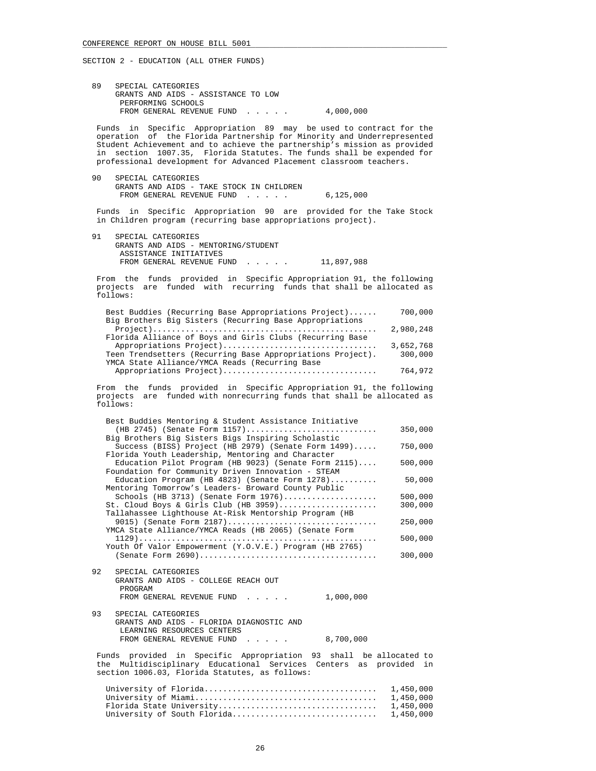89 SPECIAL CATEGORIES GRANTS AND AIDS - ASSISTANCE TO LOW PERFORMING SCHOOLS FROM GENERAL REVENUE FUND . . . . . 4,000,000

 Funds in Specific Appropriation 89 may be used to contract for the operation of the Florida Partnership for Minority and Underrepresented Student Achievement and to achieve the partnership's mission as provided in section 1007.35, Florida Statutes. The funds shall be expended for professional development for Advanced Placement classroom teachers.

 90 SPECIAL CATEGORIES GRANTS AND AIDS - TAKE STOCK IN CHILDREN FROM GENERAL REVENUE FUND . . . . . 6,125,000

 Funds in Specific Appropriation 90 are provided for the Take Stock in Children program (recurring base appropriations project).

 91 SPECIAL CATEGORIES GRANTS AND AIDS - MENTORING/STUDENT ASSISTANCE INITIATIVES FROM GENERAL REVENUE FUND . . . . . 11,897,988

 From the funds provided in Specific Appropriation 91, the following projects are funded with recurring funds that shall be allocated as follows:

| Best Buddies (Recurring Base Appropriations Project)       | 700,000   |
|------------------------------------------------------------|-----------|
| Big Brothers Big Sisters (Recurring Base Appropriations    |           |
|                                                            | 2,980,248 |
| Florida Alliance of Boys and Girls Clubs (Recurring Base   |           |
| Appropriations Project)                                    | 3,652,768 |
| Teen Trendsetters (Recurring Base Appropriations Project). | 300,000   |
| YMCA State Alliance/YMCA Reads (Recurring Base             |           |
| Appropriations Project)                                    | 764,972   |
|                                                            |           |

 From the funds provided in Specific Appropriation 91, the following projects are funded with nonrecurring funds that shall be allocated as follows:

| Best Buddies Mentoring & Student Assistance Initiative            |           |
|-------------------------------------------------------------------|-----------|
| (HB 2745) (Senate Form 1157)                                      | 350,000   |
| Big Brothers Big Sisters Bigs Inspiring Scholastic                |           |
| Success (BISS) Project (HB 2979) (Senate Form 1499)               | 750,000   |
| Florida Youth Leadership, Mentoring and Character                 |           |
| Education Pilot Program (HB 9023) (Senate Form 2115)              | 500,000   |
| Foundation for Community Driven Innovation - STEAM                |           |
| Education Program (HB $4823$ ) (Senate Form $1278$ )              | 50,000    |
| Mentoring Tomorrow's Leaders- Broward County Public               |           |
| Schools (HB 3713) (Senate Form 1976)                              | 500,000   |
| St. Cloud Boys & Girls Club (HB 3959)                             | 300,000   |
| Tallahassee Lighthouse At-Risk Mentorship Program (HB             |           |
| 9015) (Senate Form $2187)$                                        | 250,000   |
| YMCA State Alliance/YMCA Reads (HB 2065) (Senate Form             |           |
|                                                                   | 500,000   |
| Youth Of Valor Empowerment (Y.O.V.E.) Program (HB 2765)           |           |
|                                                                   | 300,000   |
|                                                                   |           |
| 92<br>SPECIAL CATEGORIES                                          |           |
| GRANTS AND AIDS - COLLEGE REACH OUT                               |           |
| PROGRAM                                                           |           |
| 1,000,000                                                         |           |
| FROM GENERAL REVENUE FUND                                         |           |
| 93<br>SPECIAL CATEGORIES                                          |           |
| GRANTS AND AIDS - FLORIDA DIAGNOSTIC AND                          |           |
|                                                                   |           |
| LEARNING RESOURCES CENTERS                                        |           |
| FROM GENERAL REVENUE FUND<br>8,700,000                            |           |
|                                                                   |           |
| Funds provided in Specific Appropriation 93 shall be allocated to |           |
| the Multidisciplinary Educational Services Centers as provided in |           |
| section 1006.03, Florida Statutes, as follows:                    |           |
|                                                                   |           |
|                                                                   | 1,450,000 |
|                                                                   | 1,450,000 |
| Florida State University                                          | 1,450,000 |

University of South Florida............................... 1,450,000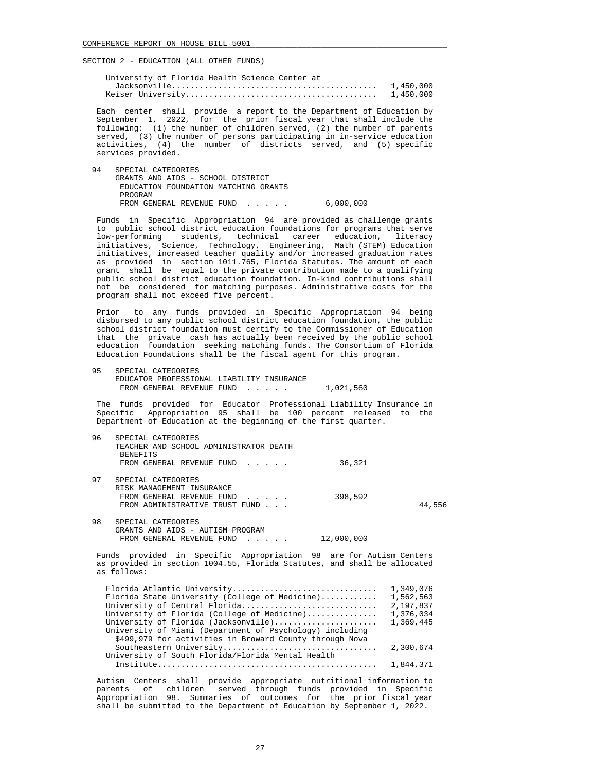| University of Florida Health Science Center at |           |
|------------------------------------------------|-----------|
|                                                | 1,450,000 |
|                                                | 1,450,000 |

 Each center shall provide a report to the Department of Education by September 1, 2022, for the prior fiscal year that shall include the following: (1) the number of children served, (2) the number of parents served, (3) the number of persons participating in in-service education activities, (4) the number of districts served, and (5) specific services provided.

 94 SPECIAL CATEGORIES GRANTS AND AIDS - SCHOOL DISTRICT EDUCATION FOUNDATION MATCHING GRANTS PROGRAM FROM GENERAL REVENUE FUND . . . . . 6,000,000

 Funds in Specific Appropriation 94 are provided as challenge grants to public school district education foundations for programs that serve low-performing students, technical career education, literacy initiatives, Science, Technology, Engineering, Math (STEM) Education initiatives, increased teacher quality and/or increased graduation rates as provided in section 1011.765, Florida Statutes. The amount of each grant shall be equal to the private contribution made to a qualifying public school district education foundation. In-kind contributions shall not be considered for matching purposes. Administrative costs for the program shall not exceed five percent.

 Prior to any funds provided in Specific Appropriation 94 being disbursed to any public school district education foundation, the public school district foundation must certify to the Commissioner of Education that the private cash has actually been received by the public school education foundation seeking matching funds. The Consortium of Florida Education Foundations shall be the fiscal agent for this program.

 95 SPECIAL CATEGORIES EDUCATOR PROFESSIONAL LIABILITY INSURANCE FROM GENERAL REVENUE FUND . . . . . 1,021,560

 The funds provided for Educator Professional Liability Insurance in Specific Appropriation 95 shall be 100 percent released to the Department of Education at the beginning of the first quarter.

| 96 | SPECIAL CATEGORIES<br>TEACHER AND SCHOOL ADMINISTRATOR DEATH<br><b>BENEFITS</b><br>FROM GENERAL REVENUE FUND<br>36,321                                                                                                                                                                                                       |                                                               |
|----|------------------------------------------------------------------------------------------------------------------------------------------------------------------------------------------------------------------------------------------------------------------------------------------------------------------------------|---------------------------------------------------------------|
| 97 | SPECIAL CATEGORIES                                                                                                                                                                                                                                                                                                           |                                                               |
|    | RISK MANAGEMENT INSURANCE<br>398,592<br>FROM GENERAL REVENUE FUND<br>FROM ADMINISTRATIVE TRUST FUND                                                                                                                                                                                                                          | 44,556                                                        |
| 98 | SPECIAL CATEGORIES<br>GRANTS AND AIDS - AUTISM PROGRAM<br>12,000,000<br>FROM GENERAL REVENUE FUND                                                                                                                                                                                                                            |                                                               |
|    | Funds provided in Specific Appropriation 98 are for Autism Centers<br>as provided in section 1004.55, Florida Statutes, and shall be allocated<br>as follows:                                                                                                                                                                |                                                               |
|    | Florida Atlantic University<br>Florida State University (College of Medicine)<br>University of Central Florida<br>University of Florida (College of Medicine)<br>University of Florida (Jacksonville)<br>University of Miami (Department of Psychology) including<br>\$499,979 for activities in Broward County through Nova | 1,349,076<br>1,562,563<br>2,197,837<br>1,376,034<br>1,369,445 |

 Southeastern University................................. 2,300,674 University of South Florida/Florida Mental Health Institute............................................... 1,844,371

 Autism Centers shall provide appropriate nutritional information to parents of children served through funds provided in Specific Appropriation 98. Summaries of outcomes for the prior fiscal year shall be submitted to the Department of Education by September 1, 2022.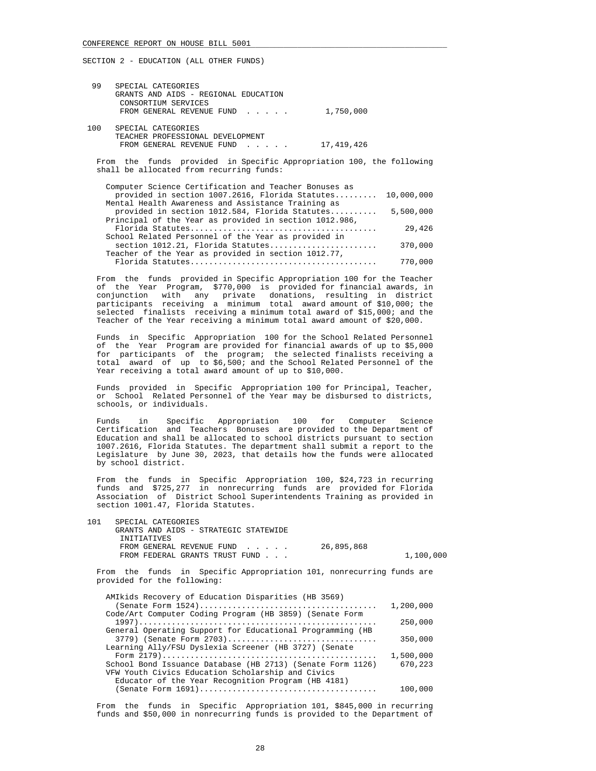| 99  | SPECIAL CATEGORIES<br>GRANTS AND AIDS - REGIONAL EDUCATION<br>CONSORTIUM SERVICES<br>FROM GENERAL REVENUE FUND | 1,750,000  |
|-----|----------------------------------------------------------------------------------------------------------------|------------|
| 100 | SPECIAL CATEGORIES<br>TEACHER PROFESSIONAL DEVELOPMENT<br>FROM GENERAL REVENUE FUND                            | 17,419,426 |

 From the funds provided in Specific Appropriation 100, the following shall be allocated from recurring funds:

| Computer Science Certification and Teacher Bonuses as  |            |
|--------------------------------------------------------|------------|
| provided in section 1007.2616, Florida Statutes        | 10,000,000 |
| Mental Health Awareness and Assistance Training as     |            |
| provided in section 1012.584, Florida Statutes         | 5,500,000  |
| Principal of the Year as provided in section 1012.986, |            |
|                                                        | 29,426     |
| School Related Personnel of the Year as provided in    |            |
| section 1012.21, Florida Statutes                      | 370,000    |
| Teacher of the Year as provided in section 1012.77,    |            |
|                                                        | 770,000    |

 From the funds provided in Specific Appropriation 100 for the Teacher of the Year Program, \$770,000 is provided for financial awards, in conjunction with any private donations, resulting in district participants receiving a minimum total award amount of \$10,000; the selected finalists receiving a minimum total award of \$15,000; and the Teacher of the Year receiving a minimum total award amount of \$20,000.

 Funds in Specific Appropriation 100 for the School Related Personnel of the Year Program are provided for financial awards of up to \$5,000 for participants of the program; the selected finalists receiving a total award of up to \$6,500; and the School Related Personnel of the Year receiving a total award amount of up to \$10,000.

 Funds provided in Specific Appropriation 100 for Principal, Teacher, or School Related Personnel of the Year may be disbursed to districts, schools, or individuals.

 Funds in Specific Appropriation 100 for Computer Science Certification and Teachers Bonuses are provided to the Department of Education and shall be allocated to school districts pursuant to section 1007.2616, Florida Statutes. The department shall submit a report to the Legislature by June 30, 2023, that details how the funds were allocated by school district.

 From the funds in Specific Appropriation 100, \$24,723 in recurring funds and \$725,277 in nonrecurring funds are provided for Florida Association of District School Superintendents Training as provided in section 1001.47, Florida Statutes.

| 101 | SPECIAL CATEGORIES                    |            |           |
|-----|---------------------------------------|------------|-----------|
|     | GRANTS AND AIDS - STRATEGIC STATEWIDE |            |           |
|     | INITIATIVES                           |            |           |
|     | FROM GENERAL REVENUE FUND             | 26,895,868 |           |
|     | FROM FEDERAL GRANTS TRUST FUND        |            | 1,100,000 |
|     |                                       |            |           |

 From the funds in Specific Appropriation 101, nonrecurring funds are provided for the following:

| AMIkids Recovery of Education Disparities (HB 3569)        |           |
|------------------------------------------------------------|-----------|
|                                                            | 1,200,000 |
| Code/Art Computer Coding Program (HB 3859) (Senate Form    |           |
|                                                            | 250,000   |
| General Operating Support for Educational Programming (HB  |           |
| 3779) (Senate Form 2703)                                   | 350,000   |
| Learning Ally/FSU Dyslexia Screener (HB 3727) (Senate      |           |
|                                                            | 1,500,000 |
| School Bond Issuance Database (HB 2713) (Senate Form 1126) | 670,223   |
| VFW Youth Civics Education Scholarship and Civics          |           |
| Educator of the Year Recognition Program (HB 4181)         |           |
|                                                            | 100,000   |
|                                                            |           |

 From the funds in Specific Appropriation 101, \$845,000 in recurring funds and \$50,000 in nonrecurring funds is provided to the Department of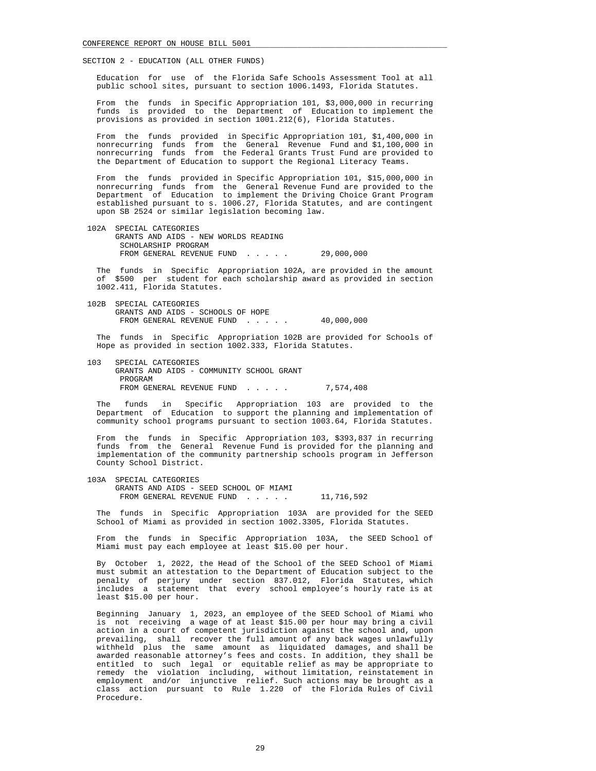Education for use of the Florida Safe Schools Assessment Tool at all public school sites, pursuant to section 1006.1493, Florida Statutes.

 From the funds in Specific Appropriation 101, \$3,000,000 in recurring funds is provided to the Department of Education to implement the provisions as provided in section 1001.212(6), Florida Statutes.

 From the funds provided in Specific Appropriation 101, \$1,400,000 in nonrecurring funds from the General Revenue Fund and \$1,100,000 in nonrecurring funds from the Federal Grants Trust Fund are provided to the Department of Education to support the Regional Literacy Teams.

 From the funds provided in Specific Appropriation 101, \$15,000,000 in nonrecurring funds from the General Revenue Fund are provided to the Department of Education to implement the Driving Choice Grant Program established pursuant to s. 1006.27, Florida Statutes, and are contingent upon SB 2524 or similar legislation becoming law.

 102A SPECIAL CATEGORIES GRANTS AND AIDS - NEW WORLDS READING SCHOLARSHIP PROGRAM FROM GENERAL REVENUE FUND . . . . . 29,000,000

 The funds in Specific Appropriation 102A, are provided in the amount of \$500 per student for each scholarship award as provided in section 1002.411, Florida Statutes.

 102B SPECIAL CATEGORIES GRANTS AND AIDS - SCHOOLS OF HOPE FROM GENERAL REVENUE FUND...... 40,000,000

 The funds in Specific Appropriation 102B are provided for Schools of Hope as provided in section 1002.333, Florida Statutes.

 103 SPECIAL CATEGORIES GRANTS AND AIDS - COMMUNITY SCHOOL GRANT PROGRAM FROM GENERAL REVENUE FUND . . . . . 7,574,408

 The funds in Specific Appropriation 103 are provided to the Department of Education to support the planning and implementation of community school programs pursuant to section 1003.64, Florida Statutes.

 From the funds in Specific Appropriation 103, \$393,837 in recurring funds from the General Revenue Fund is provided for the planning and implementation of the community partnership schools program in Jefferson County School District.

 103A SPECIAL CATEGORIES GRANTS AND AIDS - SEED SCHOOL OF MIAMI FROM GENERAL REVENUE FUND . . . . . 11,716,592

 The funds in Specific Appropriation 103A are provided for the SEED School of Miami as provided in section 1002.3305, Florida Statutes.

 From the funds in Specific Appropriation 103A, the SEED School of Miami must pay each employee at least \$15.00 per hour.

 By October 1, 2022, the Head of the School of the SEED School of Miami must submit an attestation to the Department of Education subject to the penalty of perjury under section 837.012, Florida Statutes, which includes a statement that every school employee's hourly rate is at least \$15.00 per hour.

 Beginning January 1, 2023, an employee of the SEED School of Miami who is not receiving a wage of at least \$15.00 per hour may bring a civil action in a court of competent jurisdiction against the school and, upon prevailing, shall recover the full amount of any back wages unlawfully withheld plus the same amount as liquidated damages, and shall be awarded reasonable attorney's fees and costs. In addition, they shall be entitled to such legal or equitable relief as may be appropriate to remedy the violation including, without limitation, reinstatement in employment and/or injunctive relief. Such actions may be brought as a class action pursuant to Rule 1.220 of the Florida Rules of Civil Procedure.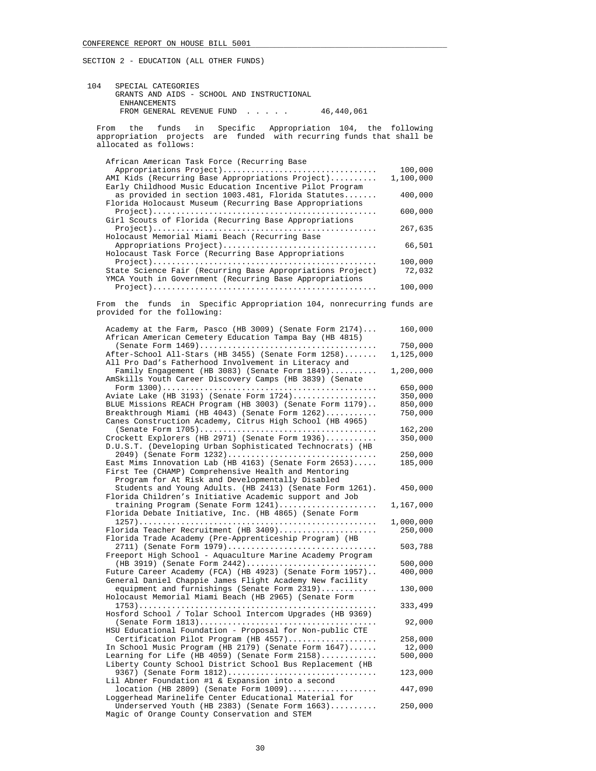| 104 | SPECIAL CATEGORIES                         |            |
|-----|--------------------------------------------|------------|
|     | GRANTS AND AIDS - SCHOOL AND INSTRUCTIONAL |            |
|     | ENHANCEMENTS                               |            |
|     | FROM GENERAL REVENUE FUND                  | 46,440,061 |

 From the funds in Specific Appropriation 104, the following appropriation projects are funded with recurring funds that shall be allocated as follows:

| African American Task Force (Recurring Base                                                                                                                             |                      |
|-------------------------------------------------------------------------------------------------------------------------------------------------------------------------|----------------------|
| Appropriations Project)<br>AMI Kids (Recurring Base Appropriations Project)                                                                                             | 100,000<br>1,100,000 |
| Early Childhood Music Education Incentive Pilot Program<br>as provided in section 1003.481, Florida Statutes<br>Florida Holocaust Museum (Recurring Base Appropriations | 400,000              |
| Girl Scouts of Florida (Recurring Base Appropriations                                                                                                                   | 600,000              |
| Holocaust Memorial Miami Beach (Recurring Base                                                                                                                          | 267,635              |
| Appropriations Project)<br>Holocaust Task Force (Recurring Base Appropriations                                                                                          | 66,501               |
| State Science Fair (Recurring Base Appropriations Project)<br>YMCA Youth in Government (Recurring Base Appropriations                                                   | 100,000<br>72,032    |
|                                                                                                                                                                         | 100,000              |
| From the funds in Specific Appropriation 104, nonrecurring funds are<br>provided for the following:                                                                     |                      |
| Academy at the Farm, Pasco (HB 3009) (Senate Form 2174)<br>African American Cemetery Education Tampa Bay (HB 4815)                                                      | 160,000              |
| After-School All-Stars (HB 3455) (Senate Form 1258)                                                                                                                     | 750,000<br>1,125,000 |
| All Pro Dad's Fatherhood Involvement in Literacy and<br>Family Engagement (HB 3083) (Senate Form 1849)<br>AmSkills Youth Career Discovery Camps (HB 3839) (Senate       | 1,200,000            |
| Aviate Lake (HB 3193) (Senate Form 1724)                                                                                                                                | 650,000<br>350,000   |
| BLUE Missions REACH Program (HB 3003) (Senate Form 1179)                                                                                                                | 850,000              |
| Breakthrough Miami (HB 4043) (Senate Form 1262)<br>Canes Construction Academy, Citrus High School (HB 4965)                                                             | 750,000<br>162,200   |
| Crockett Explorers (HB 2971) (Senate Form 1936)<br>D.U.S.T. (Developing Urban Sophisticated Technocrats) (HB                                                            | 350,000              |
| 2049) (Senate Form 1232)<br>East Mims Innovation Lab (HB 4163) (Senate Form 2653)                                                                                       | 250,000<br>185,000   |
| First Tee (CHAMP) Comprehensive Health and Mentoring<br>Program for At Risk and Developmentally Disabled                                                                |                      |
| Students and Young Adults. (HB 2413) (Senate Form 1261).<br>Florida Children's Initiative Academic support and Job                                                      | 450,000              |
| training Program (Senate Form 1241)<br>Florida Debate Initiative, Inc. (HB 4865) (Senate Form                                                                           | 1,167,000            |
| Florida Teacher Recruitment (HB 3409)<br>Florida Trade Academy (Pre-Apprenticeship Program) (HB                                                                         | 1,000,000<br>250,000 |
| 2711) (Senate Form 1979)<br>Freeport High School - Aquaculture Marine Academy Program                                                                                   | 503,788              |
| (HB 3919) (Senate Form 2442)<br>Future Career Academy (FCA) (HB 4923) (Senate Form 1957)                                                                                | 500,000<br>400,000   |
| General Daniel Chappie James Flight Academy New facility<br>equipment and furnishings (Senate Form 2319)                                                                | 130,000              |
| Holocaust Memorial Miami Beach (HB 2965) (Senate Form                                                                                                                   | 333,499              |
| Hosford School / Tolar School Intercom Upgrades (HB 9369)                                                                                                               | 92,000               |
| HSU Educational Foundation - Proposal for Non-public CTE<br>Certification Pilot Program (HB 4557)                                                                       | 258,000              |
| In School Music Program (HB 2179) (Senate Form 1647)                                                                                                                    | 12,000               |
| Learning for Life (HB 4059) (Senate Form 2158)<br>Liberty County School District School Bus Replacement (HB                                                             | 500,000              |
| 9367) (Senate Form 1812)<br>Lil Abner Foundation #1 & Expansion into a second                                                                                           | 123,000              |
| $location$ (HB 2809) (Senate Form $1009)$<br>Loggerhead Marinelife Center Educational Material for                                                                      | 447,090              |
| Underserved Youth (HB 2383) (Senate Form $1663)$                                                                                                                        | 250,000              |

Magic of Orange County Conservation and STEM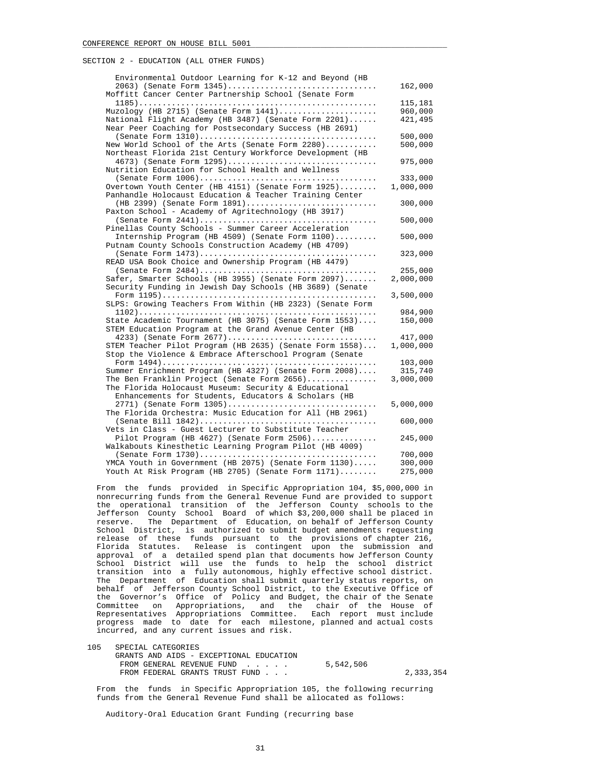| Environmental Outdoor Learning for K-12 and Beyond (HB    |           |
|-----------------------------------------------------------|-----------|
| 2063) (Senate Form 1345)                                  | 162,000   |
| Moffitt Cancer Center Partnership School (Senate Form     |           |
|                                                           | 115,181   |
| Muzology (HB 2715) (Senate Form 1441)                     | 960,000   |
| National Flight Academy (HB 3487) (Senate Form 2201)      | 421,495   |
| Near Peer Coaching for Postsecondary Success (HB 2691)    |           |
|                                                           | 500,000   |
| New World School of the Arts (Senate Form 2280)           | 500,000   |
| Northeast Florida 21st Century Workforce Development (HB  |           |
| 4673) (Senate Form 1295)                                  | 975,000   |
| Nutrition Education for School Health and Wellness        |           |
| Overtown Youth Center (HB 4151) (Senate Form 1925)        | 333,000   |
| Panhandle Holocaust Education & Teacher Training Center   | 1,000,000 |
| (HB 2399) (Senate Form 1891)                              | 300,000   |
| Paxton School - Academy of Agritechnology (HB 3917)       |           |
|                                                           | 500,000   |
| Pinellas County Schools - Summer Career Acceleration      |           |
| Internship Program (HB 4509) (Senate Form 1100)           | 500,000   |
| Putnam County Schools Construction Academy (HB 4709)      |           |
|                                                           | 323,000   |
| READ USA Book Choice and Ownership Program (HB 4479)      |           |
|                                                           | 255,000   |
| Safer, Smarter Schools (HB 3955) (Senate Form 2097)       | 2,000,000 |
| Security Funding in Jewish Day Schools (HB 3689) (Senate  |           |
|                                                           | 3,500,000 |
| SLPS: Growing Teachers From Within (HB 2323) (Senate Form |           |
|                                                           | 984,900   |
| State Academic Tournament (HB 3075) (Senate Form 1553)    | 150,000   |
| STEM Education Program at the Grand Avenue Center (HB     |           |
| 4233) (Senate Form 2677)                                  | 417,000   |
| STEM Teacher Pilot Program (HB 2635) (Senate Form 1558)   | 1,000,000 |
| Stop the Violence & Embrace Afterschool Program (Senate   | 103,000   |
| Summer Enrichment Program (HB 4327) (Senate Form 2008)    | 315,740   |
| The Ben Franklin Project (Senate Form $2656)$             | 3,000,000 |
| The Florida Holocaust Museum: Security & Educational      |           |
| Enhancements for Students, Educators & Scholars (HB       |           |
| 2771) (Senate Form 1305)                                  | 5,000,000 |
| The Florida Orchestra: Music Education for All (HB 2961)  |           |
|                                                           | 600,000   |
| Vets in Class - Guest Lecturer to Substitute Teacher      |           |
| Pilot Program (HB $4627$ ) (Senate Form $2506)$           | 245,000   |
| Walkabouts Kinesthetic Learning Program Pilot (HB 4009)   |           |
|                                                           | 700,000   |
| YMCA Youth in Government (HB 2075) (Senate Form 1130)     | 300,000   |
| Youth At Risk Program (HB 2705) (Senate Form 1171)        | 275,000   |

 From the funds provided in Specific Appropriation 104, \$5,000,000 in nonrecurring funds from the General Revenue Fund are provided to support the operational transition of the Jefferson County schools to the Jefferson County School Board of which \$3,200,000 shall be placed in reserve. The Department of Education, on behalf of Jefferson County School District, is authorized to submit budget amendments requesting release of these funds pursuant to the provisions of chapter 216, Florida Statutes. Release is contingent upon the submission and approval of a detailed spend plan that documents how Jefferson County School District will use the funds to help the school district transition into a fully autonomous, highly effective school district. The Department of Education shall submit quarterly status reports, on behalf of Jefferson County School District, to the Executive Office of the Governor's Office of Policy and Budget, the chair of the Senate Committee on Appropriations, and the chair of the House of Representatives Appropriations Committee. Each report must include progress made to date for each milestone, planned and actual costs incurred, and any current issues and risk.

| 105 | SPECIAL CATEGORIES                      |           |           |
|-----|-----------------------------------------|-----------|-----------|
|     | GRANTS AND AIDS - EXCEPTIONAL EDUCATION |           |           |
|     | FROM GENERAL REVENUE FUND               | 5,542,506 |           |
|     | FROM FEDERAL GRANTS TRUST FUND          |           | 2,333,354 |

 From the funds in Specific Appropriation 105, the following recurring funds from the General Revenue Fund shall be allocated as follows:

Auditory-Oral Education Grant Funding (recurring base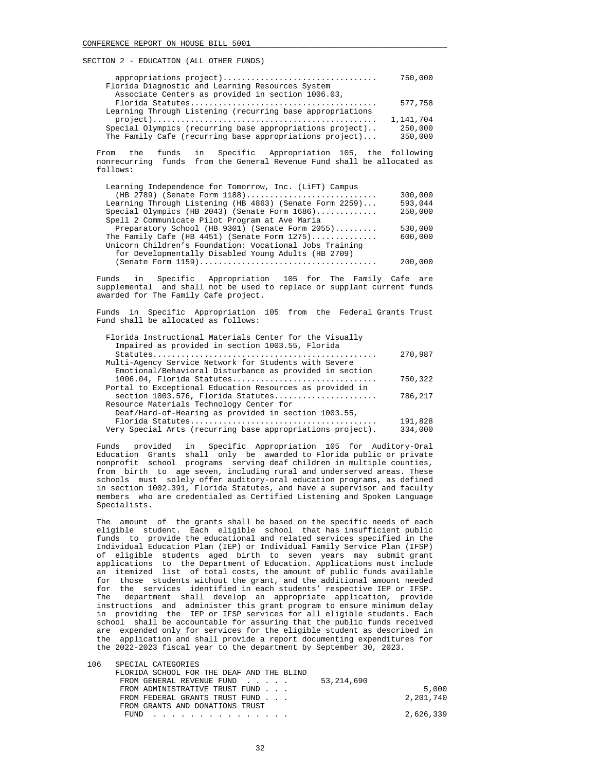| appropriations project)                                   | 750,000   |
|-----------------------------------------------------------|-----------|
| Florida Diagnostic and Learning Resources System          |           |
| Associate Centers as provided in section 1006.03,         |           |
|                                                           | 577,758   |
| Learning Through Listening (recurring base appropriations |           |
|                                                           | 1,141,704 |
| Special Olympics (recurring base appropriations project)  | 250,000   |
| The Family Cafe (recurring base appropriations project)   | 350,000   |

 From the funds in Specific Appropriation 105, the following nonrecurring funds from the General Revenue Fund shall be allocated as follows:

| 300,000 |
|---------|
| 593,044 |
| 250,000 |
|         |
| 530,000 |
| 600,000 |
|         |
|         |
| 200,000 |
|         |

 Funds in Specific Appropriation 105 for The Family Cafe are supplemental and shall not be used to replace or supplant current funds awarded for The Family Cafe project.

 Funds in Specific Appropriation 105 from the Federal Grants Trust Fund shall be allocated as follows:

| Florida Instructional Materials Center for the Visually<br>Impaired as provided in section 1003.55, Florida      |         |
|------------------------------------------------------------------------------------------------------------------|---------|
| $Statutes \ldots \ldots \ldots \ldots \ldots \ldots \ldots \ldots \ldots \ldots \ldots \ldots \ldots$            | 270,987 |
| Multi-Agency Service Network for Students with Severe<br>Emotional/Behavioral Disturbance as provided in section |         |
| 1006.04, Florida Statutes                                                                                        | 750,322 |
| Portal to Exceptional Education Resources as provided in                                                         |         |
| section 1003.576, Florida Statutes                                                                               | 786,217 |
| Resource Materials Technology Center for                                                                         |         |
| Deaf/Hard-of-Hearing as provided in section 1003.55,                                                             |         |
|                                                                                                                  | 191,828 |
| Very Special Arts (recurring base appropriations project).                                                       | 334,000 |
|                                                                                                                  |         |

 Funds provided in Specific Appropriation 105 for Auditory-Oral Education Grants shall only be awarded to Florida public or private nonprofit school programs serving deaf children in multiple counties, from birth to age seven, including rural and underserved areas. These schools must solely offer auditory-oral education programs, as defined in section 1002.391, Florida Statutes, and have a supervisor and faculty members who are credentialed as Certified Listening and Spoken Language Specialists.

 The amount of the grants shall be based on the specific needs of each eligible student. Each eligible school that has insufficient public funds to provide the educational and related services specified in the Individual Education Plan (IEP) or Individual Family Service Plan (IFSP) of eligible students aged birth to seven years may submit grant applications to the Department of Education. Applications must include an itemized list of total costs, the amount of public funds available for those students without the grant, and the additional amount needed for the services identified in each students' respective IEP or IFSP. The department shall develop an appropriate application, provide instructions and administer this grant program to ensure minimum delay in providing the IEP or IFSP services for all eligible students. Each school shall be accountable for assuring that the public funds received are expended only for services for the eligible student as described in the application and shall provide a report documenting expenditures for the 2022-2023 fiscal year to the department by September 30, 2023.

| T NP. | SPECIAL CAIEGORIES                        |           |
|-------|-------------------------------------------|-----------|
|       | FLORIDA SCHOOL FOR THE DEAF AND THE BLIND |           |
|       | 53,214,690<br>FROM GENERAL REVENUE FUND   |           |
|       | FROM ADMINISTRATIVE TRUST FUND            | 5,000     |
|       | FROM FEDERAL GRANTS TRUST FUND            | 2,201,740 |
|       | FROM GRANTS AND DONATIONS TRUST           |           |
|       | FUND                                      | 2,626,339 |

 $106$  Special categories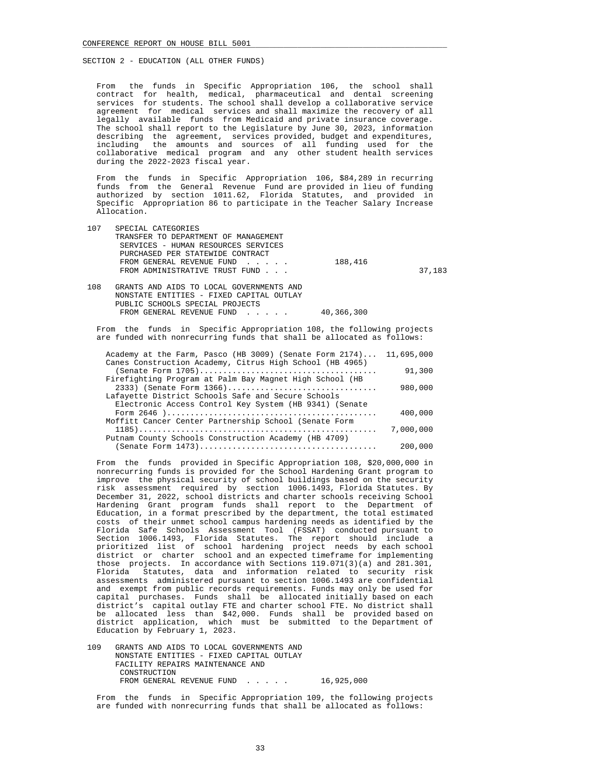From the funds in Specific Appropriation 106, the school shall contract for health, medical, pharmaceutical and dental screening services for students. The school shall develop a collaborative service agreement for medical services and shall maximize the recovery of all legally available funds from Medicaid and private insurance coverage. The school shall report to the Legislature by June 30, 2023, information describing the agreement, services provided, budget and expenditures,<br>including the amounts and sources of all funding used for the the amounts and sources of all funding used for the collaborative medical program and any other student health services during the 2022-2023 fiscal year.

 From the funds in Specific Appropriation 106, \$84,289 in recurring funds from the General Revenue Fund are provided in lieu of funding authorized by section 1011.62, Florida Statutes, and provided in Specific Appropriation 86 to participate in the Teacher Salary Increase Allocation.

| 107 | SPECIAL CATEGORIES                   |         |        |
|-----|--------------------------------------|---------|--------|
|     | TRANSFER TO DEPARTMENT OF MANAGEMENT |         |        |
|     | SERVICES - HUMAN RESOURCES SERVICES  |         |        |
|     | PURCHASED PER STATEWIDE CONTRACT     |         |        |
|     | FROM GENERAL REVENUE FUND            | 188,416 |        |
|     | FROM ADMINISTRATIVE TRUST FUND       |         | 37,183 |
|     |                                      |         |        |

| 108 | GRANTS AND AIDS TO LOCAL GOVERNMENTS AND |            |
|-----|------------------------------------------|------------|
|     | NONSTATE ENTITIES - FIXED CAPITAL OUTLAY |            |
|     | PUBLIC SCHOOLS SPECIAL PROJECTS          |            |
|     | FROM GENERAL REVENUE FUND                | 40,366,300 |

 From the funds in Specific Appropriation 108, the following projects are funded with nonrecurring funds that shall be allocated as follows:

| 11,695,000 | Academy at the Farm, Pasco (HB 3009) (Senate Form 2174)  |
|------------|----------------------------------------------------------|
|            | Canes Construction Academy, Citrus High School (HB 4965) |
| 91,300     |                                                          |
|            | Firefighting Program at Palm Bay Magnet High School (HB  |
| 980,000    | 2333) (Senate Form 1366)                                 |
|            | Lafayette District Schools Safe and Secure Schools       |
|            | Electronic Access Control Key System (HB 9341) (Senate   |
| 400,000    |                                                          |
|            | Moffitt Cancer Center Partnership School (Senate Form    |
| 7,000,000  |                                                          |
|            | Putnam County Schools Construction Academy (HB 4709)     |
| 200,000    |                                                          |

 From the funds provided in Specific Appropriation 108, \$20,000,000 in nonrecurring funds is provided for the School Hardening Grant program to improve the physical security of school buildings based on the security risk assessment required by section 1006.1493, Florida Statutes. By December 31, 2022, school districts and charter schools receiving School Hardening Grant program funds shall report to the Department of Education, in a format prescribed by the department, the total estimated costs of their unmet school campus hardening needs as identified by the Florida Safe Schools Assessment Tool (FSSAT) conducted pursuant to Section 1006.1493, Florida Statutes. The report should include a prioritized list of school hardening project needs by each school district or charter school and an expected timeframe for implementing those projects. In accordance with Sections 119.071(3)(a) and 281.301, Florida Statutes, data and information related to security risk assessments administered pursuant to section 1006.1493 are confidential and exempt from public records requirements. Funds may only be used for capital purchases. Funds shall be allocated initially based on each district's capital outlay FTE and charter school FTE. No district shall be allocated less than \$42,000. Funds shall be provided based on district application, which must be submitted to the Department of Education by February 1, 2023.

 109 GRANTS AND AIDS TO LOCAL GOVERNMENTS AND NONSTATE ENTITIES - FIXED CAPITAL OUTLAY FACILITY REPAIRS MAINTENANCE AND CONSTRUCTION FROM GENERAL REVENUE FUND...... 16,925,000

 From the funds in Specific Appropriation 109, the following projects are funded with nonrecurring funds that shall be allocated as follows: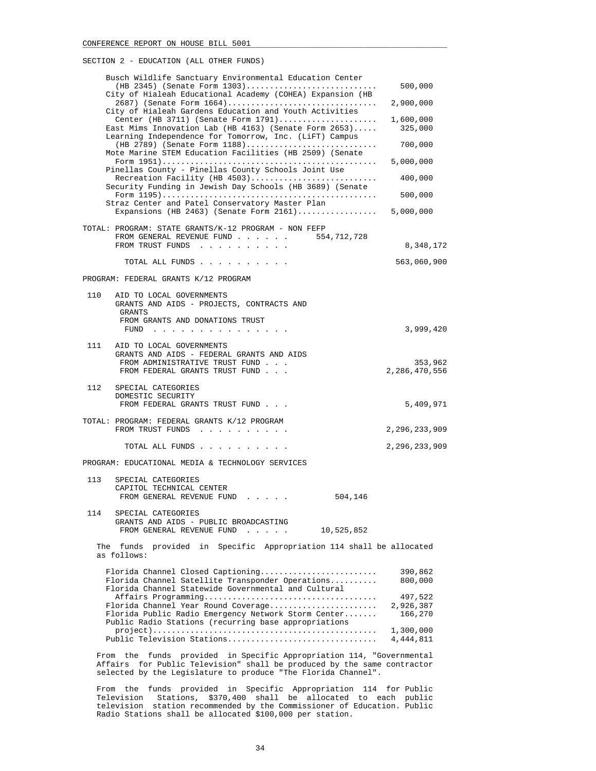| Busch Wildlife Sanctuary Environmental Education Center<br>(HB 2345) (Senate Form 1303)<br>City of Hialeah Educational Academy (COHEA) Expansion (HB<br>2687) (Senate Form 1664)<br>City of Hialeah Gardens Education and Youth Activities<br>Center (HB 3711) (Senate Form 1791)<br>East Mims Innovation Lab (HB 4163) (Senate Form 2653)<br>Learning Independence for Tomorrow, Inc. (LiFT) Campus<br>(HB 2789) (Senate Form 1188)<br>Mote Marine STEM Education Facilities (HB 2509) (Senate<br>Pinellas County - Pinellas County Schools Joint Use<br>Recreation Facility (HB 4503)<br>Security Funding in Jewish Day Schools (HB 3689) (Senate<br>Straz Center and Patel Conservatory Master Plan<br>Expansions (HB 2463) (Senate Form 2161) 5,000,000 | 500,000<br>2,900,000<br>1,600,000<br>325,000<br>700,000<br>5,000,000<br>400,000<br>500,000 |
|-------------------------------------------------------------------------------------------------------------------------------------------------------------------------------------------------------------------------------------------------------------------------------------------------------------------------------------------------------------------------------------------------------------------------------------------------------------------------------------------------------------------------------------------------------------------------------------------------------------------------------------------------------------------------------------------------------------------------------------------------------------|--------------------------------------------------------------------------------------------|
| TOTAL: PROGRAM: STATE GRANTS/K-12 PROGRAM - NON FEFP<br>FROM GENERAL REVENUE FUND<br>554,712,728<br>FROM TRUST FUNDS                                                                                                                                                                                                                                                                                                                                                                                                                                                                                                                                                                                                                                        | 8,348,172                                                                                  |
| TOTAL ALL FUNDS                                                                                                                                                                                                                                                                                                                                                                                                                                                                                                                                                                                                                                                                                                                                             | 563,060,900                                                                                |
| PROGRAM: FEDERAL GRANTS K/12 PROGRAM                                                                                                                                                                                                                                                                                                                                                                                                                                                                                                                                                                                                                                                                                                                        |                                                                                            |
| 110<br>AID TO LOCAL GOVERNMENTS<br>GRANTS AND AIDS - PROJECTS, CONTRACTS AND<br>GRANTS<br>FROM GRANTS AND DONATIONS TRUST                                                                                                                                                                                                                                                                                                                                                                                                                                                                                                                                                                                                                                   | 3,999,420                                                                                  |
| FUND $\cdots$<br>111<br>AID TO LOCAL GOVERNMENTS<br>GRANTS AND AIDS - FEDERAL GRANTS AND AIDS<br>FROM ADMINISTRATIVE TRUST FUND<br>FROM FEDERAL GRANTS TRUST FUND                                                                                                                                                                                                                                                                                                                                                                                                                                                                                                                                                                                           | 353,962<br>2,286,470,556                                                                   |
| 112<br>SPECIAL CATEGORIES<br>DOMESTIC SECURITY<br>FROM FEDERAL GRANTS TRUST FUND                                                                                                                                                                                                                                                                                                                                                                                                                                                                                                                                                                                                                                                                            | 5,409,971                                                                                  |
| TOTAL: PROGRAM: FEDERAL GRANTS K/12 PROGRAM<br>FROM TRUST FUNDS                                                                                                                                                                                                                                                                                                                                                                                                                                                                                                                                                                                                                                                                                             | 2,296,233,909                                                                              |
| TOTAL ALL FUNDS                                                                                                                                                                                                                                                                                                                                                                                                                                                                                                                                                                                                                                                                                                                                             | 2,296,233,909                                                                              |
| PROGRAM: EDUCATIONAL MEDIA & TECHNOLOGY SERVICES                                                                                                                                                                                                                                                                                                                                                                                                                                                                                                                                                                                                                                                                                                            |                                                                                            |
| 113<br>SPECIAL CATEGORIES<br>CAPITOL TECHNICAL CENTER<br>504,146<br>FROM GENERAL REVENUE FUND                                                                                                                                                                                                                                                                                                                                                                                                                                                                                                                                                                                                                                                               |                                                                                            |
| 114<br>SPECIAL CATEGORIES<br>GRANTS AND AIDS - PUBLIC BROADCASTING<br>FROM GENERAL REVENUE FUND<br>10,525,852                                                                                                                                                                                                                                                                                                                                                                                                                                                                                                                                                                                                                                               |                                                                                            |
| Specific Appropriation 114 shall be allocated<br>The<br>funds<br>provided<br>in<br>as follows:                                                                                                                                                                                                                                                                                                                                                                                                                                                                                                                                                                                                                                                              |                                                                                            |
| Florida Channel Closed Captioning<br>Florida Channel Satellite Transponder Operations<br>Florida Channel Statewide Governmental and Cultural<br>Florida Channel Year Round Coverage<br>Florida Public Radio Emergency Network Storm Center<br>Public Radio Stations (recurring base appropriations<br>Public Television Stations                                                                                                                                                                                                                                                                                                                                                                                                                            | 390,862<br>800,000<br>497,522<br>2,926,387<br>166,270<br>1,300,000<br>4,444,811            |
| From the funds provided in Specific Appropriation 114, "Governmental<br>for public Foloniaion, aboll be produced by the came contractor                                                                                                                                                                                                                                                                                                                                                                                                                                                                                                                                                                                                                     |                                                                                            |

 Affairs for Public Television" shall be produced by the same contractor selected by the Legislature to produce "The Florida Channel".

 From the funds provided in Specific Appropriation 114 for Public Television Stations, \$370,400 shall be allocated to each public television station recommended by the Commissioner of Education. Public Radio Stations shall be allocated \$100,000 per station.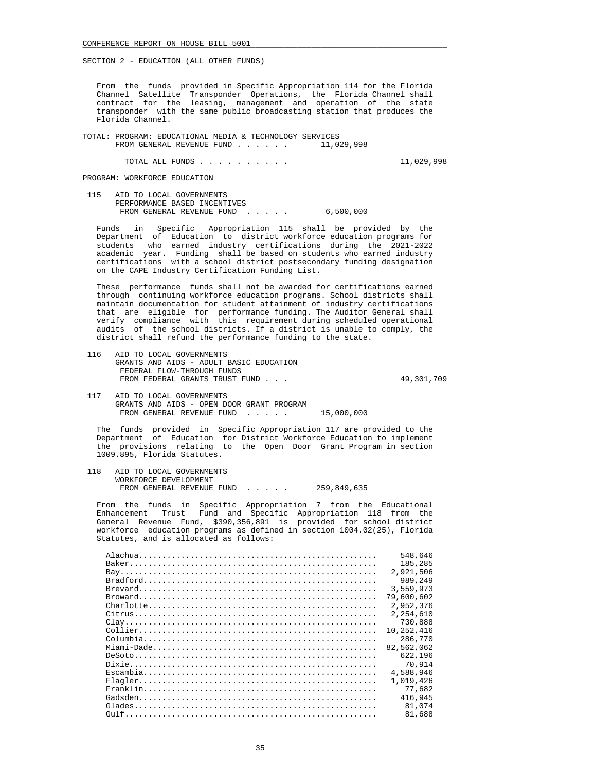From the funds provided in Specific Appropriation 114 for the Florida Channel Satellite Transponder Operations, the Florida Channel shall contract for the leasing, management and operation of the state transponder with the same public broadcasting station that produces the Florida Channel.

 TOTAL: PROGRAM: EDUCATIONAL MEDIA & TECHNOLOGY SERVICES FROM GENERAL REVENUE FUND . . . . . .

TOTAL ALL FUNDS . . . . . . . . . . 11,029,998

PROGRAM: WORKFORCE EDUCATION

 115 AID TO LOCAL GOVERNMENTS PERFORMANCE BASED INCENTIVES FROM GENERAL REVENUE FUND . . . . . 6,500,000

 Funds in Specific Appropriation 115 shall be provided by the Department of Education to district workforce education programs for students who earned industry certifications during the 2021-2022 academic year. Funding shall be based on students who earned industry certifications with a school district postsecondary funding designation on the CAPE Industry Certification Funding List.

 These performance funds shall not be awarded for certifications earned through continuing workforce education programs. School districts shall maintain documentation for student attainment of industry certifications that are eligible for performance funding. The Auditor General shall verify compliance with this requirement during scheduled operational audits of the school districts. If a district is unable to comply, the district shall refund the performance funding to the state.

 116 AID TO LOCAL GOVERNMENTS GRANTS AND AIDS - ADULT BASIC EDUCATION FEDERAL FLOW-THROUGH FUNDS FROM FEDERAL GRANTS TRUST FUND . . .  $\hspace{2cm} 49,301,709$ 

 117 AID TO LOCAL GOVERNMENTS GRANTS AND AIDS - OPEN DOOR GRANT PROGRAM FROM GENERAL REVENUE FUND . . . . . 15,000,000

 The funds provided in Specific Appropriation 117 are provided to the Department of Education for District Workforce Education to implement the provisions relating to the Open Door Grant Program in section 1009.895, Florida Statutes.

 118 AID TO LOCAL GOVERNMENTS WORKFORCE DEVELOPMENT FROM GENERAL REVENUE FUND . . . . . 259,849,635

 From the funds in Specific Appropriation 7 from the Educational Enhancement Trust Fund and Specific Appropriation 118 from the General Revenue Fund, \$390,356,891 is provided for school district workforce education programs as defined in section 1004.02(25), Florida Statutes, and is allocated as follows:

|                                                                                                        | 548,646    |
|--------------------------------------------------------------------------------------------------------|------------|
|                                                                                                        | 185,285    |
|                                                                                                        | 2,921,506  |
|                                                                                                        | 989,249    |
|                                                                                                        | 3,559,973  |
|                                                                                                        | 79,600,602 |
| $Charlotte \ldots \ldots \ldots \ldots \ldots \ldots \ldots \ldots \ldots \ldots \ldots \ldots \ldots$ | 2,952,376  |
|                                                                                                        | 2,254,610  |
|                                                                                                        | 730,888    |
|                                                                                                        | 10,252,416 |
|                                                                                                        | 286,770    |
|                                                                                                        | 82,562,062 |
|                                                                                                        | 622,196    |
|                                                                                                        | 70,914     |
|                                                                                                        | 4,588,946  |
|                                                                                                        | 1,019,426  |
|                                                                                                        | 77,682     |
|                                                                                                        | 416,945    |
|                                                                                                        | 81,074     |
|                                                                                                        | 81,688     |
|                                                                                                        |            |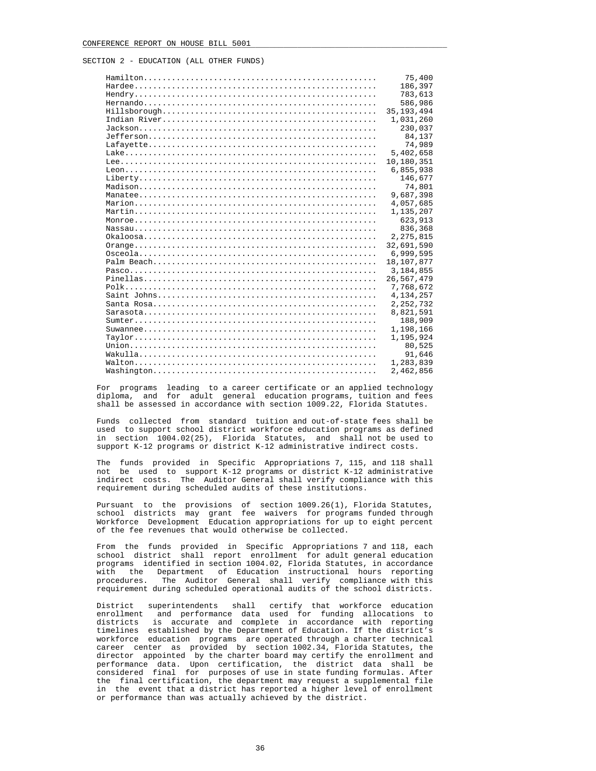|                                                                                                                         | 75,400       |
|-------------------------------------------------------------------------------------------------------------------------|--------------|
|                                                                                                                         | 186,397      |
|                                                                                                                         | 783,613      |
| $Hermand 0, , , , , , , , , , , , , , , , ,$                                                                            | 586,986      |
| $\texttt{Hillsborough} \dots \dots \dots \dots \dots \dots \dots \dots \dots \dots \dots \dots \dots \dots \dots \dots$ | 35, 193, 494 |
|                                                                                                                         | 1,031,260    |
|                                                                                                                         | 230,037      |
|                                                                                                                         | 84,137       |
|                                                                                                                         | 74,989       |
|                                                                                                                         | 5,402,658    |
|                                                                                                                         | 10,180,351   |
|                                                                                                                         | 6,855,938    |
|                                                                                                                         | 146,677      |
|                                                                                                                         | 74,801       |
|                                                                                                                         | 9,687,398    |
|                                                                                                                         | 4,057,685    |
|                                                                                                                         | 1,135,207    |
|                                                                                                                         | 623,913      |
|                                                                                                                         | 836,368      |
|                                                                                                                         | 2, 275, 815  |
|                                                                                                                         | 32,691,590   |
|                                                                                                                         | 6,999,595    |
|                                                                                                                         | 18,107,877   |
|                                                                                                                         | 3,184,855    |
|                                                                                                                         | 26,567,479   |
|                                                                                                                         | 7,768,672    |
|                                                                                                                         | 4,134,257    |
|                                                                                                                         | 2, 252, 732  |
|                                                                                                                         | 8,821,591    |
|                                                                                                                         | 188,909      |
|                                                                                                                         | 1,198,166    |
|                                                                                                                         | 1,195,924    |
|                                                                                                                         | 80,525       |
|                                                                                                                         | 91,646       |
|                                                                                                                         | 1,283,839    |
|                                                                                                                         | 2,462,856    |

 For programs leading to a career certificate or an applied technology diploma, and for adult general education programs, tuition and fees shall be assessed in accordance with section 1009.22, Florida Statutes.

 Funds collected from standard tuition and out-of-state fees shall be used to support school district workforce education programs as defined in section 1004.02(25), Florida Statutes, and shall not be used to support K-12 programs or district K-12 administrative indirect costs.

 The funds provided in Specific Appropriations 7, 115, and 118 shall not be used to support K-12 programs or district K-12 administrative indirect costs. The Auditor General shall verify compliance with this requirement during scheduled audits of these institutions.

 Pursuant to the provisions of section 1009.26(1), Florida Statutes, school districts may grant fee waivers for programs funded through Workforce Development Education appropriations for up to eight percent of the fee revenues that would otherwise be collected.

 From the funds provided in Specific Appropriations 7 and 118, each school district shall report enrollment for adult general education programs identified in section 1004.02, Florida Statutes, in accordance with the Department of Education instructional hours reporting procedures. The Auditor General shall verify compliance with this requirement during scheduled operational audits of the school districts.

 District superintendents shall certify that workforce education enrollment and performance data used for funding allocations to districts is accurate and complete in accordance with reporting timelines established by the Department of Education. If the district's workforce education programs are operated through a charter technical career center as provided by section 1002.34, Florida Statutes, the director appointed by the charter board may certify the enrollment and performance data. Upon certification, the district data shall be considered final for purposes of use in state funding formulas. After the final certification, the department may request a supplemental file in the event that a district has reported a higher level of enrollment or performance than was actually achieved by the district.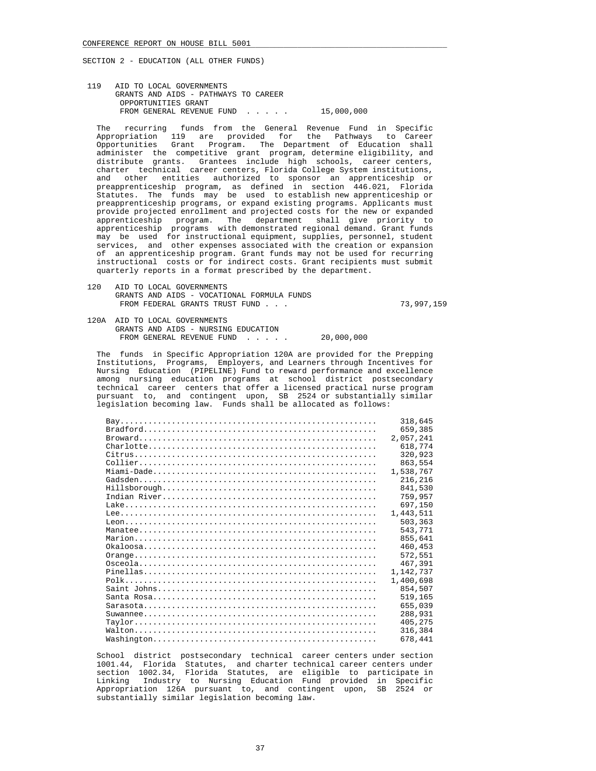119 AID TO LOCAL GOVERNMENTS GRANTS AND AIDS - PATHWAYS TO CAREER OPPORTUNITIES GRANT FROM GENERAL REVENUE FUND . . . . . 15,000,000

 The recurring funds from the General Revenue Fund in Specific Appropriation 119 are provided for the Pathways to Career Opportunities Grant Program. The Department of Education shall administer the competitive grant program, determine eligibility, and distribute grants. Grantees include high schools, career centers, charter technical career centers, Florida College System institutions, and other entities authorized to sponsor an apprenticeship or preapprenticeship program, as defined in section 446.021, Florida Statutes. The funds may be used to establish new apprenticeship or preapprenticeship programs, or expand existing programs. Applicants must provide projected enrollment and projected costs for the new or expanded apprenticeship program. The department shall give priority to apprenticeship programs with demonstrated regional demand. Grant funds may be used for instructional equipment, supplies, personnel, student services, and other expenses associated with the creation or expansion of an apprenticeship program. Grant funds may not be used for recurring instructional costs or for indirect costs. Grant recipients must submit quarterly reports in a format prescribed by the department.

 120 AID TO LOCAL GOVERNMENTS GRANTS AND AIDS - VOCATIONAL FORMULA FUNDS FROM FEDERAL GRANTS TRUST FUND . . . 73,997,159

 120A AID TO LOCAL GOVERNMENTS GRANTS AND AIDS - NURSING EDUCATION FROM GENERAL REVENUE FUND . . . . . 20,000,000

 The funds in Specific Appropriation 120A are provided for the Prepping Institutions, Programs, Employers, and Learners through Incentives for Nursing Education (PIPELINE) Fund to reward performance and excellence among nursing education programs at school district postsecondary technical career centers that offer a licensed practical nurse program pursuant to, and contingent upon, SB 2524 or substantially similar legislation becoming law. Funds shall be allocated as follows:

|                     | 659,385<br>2,057,241<br>618,774<br>320,923 |
|---------------------|--------------------------------------------|
|                     |                                            |
|                     |                                            |
|                     |                                            |
|                     |                                            |
|                     | 863,554                                    |
|                     | 1,538,767                                  |
|                     | 216,216                                    |
|                     | 841,530                                    |
|                     | 759,957                                    |
|                     | 697,150                                    |
|                     | 1,443,511                                  |
|                     | 503,363                                    |
|                     | 543,771                                    |
|                     | 855,641                                    |
|                     | 460,453                                    |
|                     | 572,551                                    |
| $0$ sceola $\ldots$ | 467,391                                    |
| $Pinellas$          | 1,142,737                                  |
|                     | 1,400,698                                  |
|                     | 854,507                                    |
|                     | 519,165                                    |
|                     | 655,039                                    |
|                     | 288,931                                    |
|                     |                                            |
|                     | 405,275                                    |
| 678,441             | 316,384                                    |

 School district postsecondary technical career centers under section 1001.44, Florida Statutes, and charter technical career centers under section 1002.34, Florida Statutes, are eligible to participate in Linking Industry to Nursing Education Fund provided in Specific Appropriation 126A pursuant to, and contingent upon, SB 2524 or substantially similar legislation becoming law.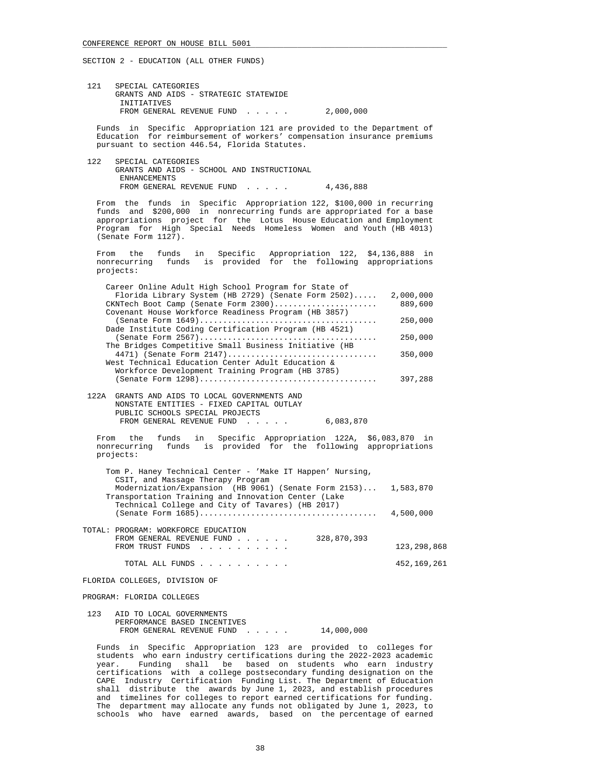121 SPECIAL CATEGORIES GRANTS AND AIDS - STRATEGIC STATEWIDE INITIATIVES FROM GENERAL REVENUE FUND . . . . . 2,000,000

 Funds in Specific Appropriation 121 are provided to the Department of Education for reimbursement of workers' compensation insurance premiums pursuant to section 446.54, Florida Statutes.

 122 SPECIAL CATEGORIES GRANTS AND AIDS - SCHOOL AND INSTRUCTIONAL ENHANCEMENTS FROM GENERAL REVENUE FUND . . . . . 4,436,888

 From the funds in Specific Appropriation 122, \$100,000 in recurring funds and \$200,000 in nonrecurring funds are appropriated for a base appropriations project for the Lotus House Education and Employment Program for High Special Needs Homeless Women and Youth (HB 4013) (Senate Form 1127).

 From the funds in Specific Appropriation 122, \$4,136,888 in nonrecurring funds is provided for the following appropriations projects:

| Career Online Adult High School Program for State of  |           |
|-------------------------------------------------------|-----------|
| Florida Library System (HB 2729) (Senate Form 2502)   | 2,000,000 |
| CKNTech Boot Camp (Senate Form 2300)                  | 889,600   |
| Covenant House Workforce Readiness Program (HB 3857)  |           |
|                                                       | 250,000   |
| Dade Institute Coding Certification Program (HB 4521) |           |
|                                                       | 250,000   |
| The Bridges Competitive Small Business Initiative (HB |           |
| 4471) (Senate Form 2147)                              | 350,000   |
| West Technical Education Center Adult Education &     |           |
| Workforce Development Training Program (HB 3785)      |           |
|                                                       | 397,288   |
|                                                       |           |

 122A GRANTS AND AIDS TO LOCAL GOVERNMENTS AND NONSTATE ENTITIES - FIXED CAPITAL OUTLAY PUBLIC SCHOOLS SPECIAL PROJECTS FROM GENERAL REVENUE FUND . . . . . 6,083,870

 From the funds in Specific Appropriation 122A, \$6,083,870 in nonrecurring funds is provided for the following appropriations projects:

| Tom P. Haney Technical Center - 'Make IT Happen' Nursing,<br>CSIT, and Massage Therapy Program                        |             |
|-----------------------------------------------------------------------------------------------------------------------|-------------|
| Modernization/Expansion (HB 9061) (Senate Form 2153) 1,583,870<br>Transportation Training and Innovation Center (Lake |             |
| Technical College and City of Tavares) (HB 2017)                                                                      | 4,500,000   |
| TOTAL: PROGRAM: WORKFORCE EDUCATION                                                                                   |             |
| 328,870,393<br>FROM GENERAL REVENUE FUND<br>FROM TRUST FUNDS                                                          | 123,298,868 |
| TOTAL ALL FUNDS                                                                                                       | 452,169,261 |

FLORIDA COLLEGES, DIVISION OF

PROGRAM: FLORIDA COLLEGES

 123 AID TO LOCAL GOVERNMENTS PERFORMANCE BASED INCENTIVES FROM GENERAL REVENUE FUND . . . . . 14,000,000

 Funds in Specific Appropriation 123 are provided to colleges for students who earn industry certifications during the 2022-2023 academic year. Funding shall be based on students who earn industry certifications with a college postsecondary funding designation on the CAPE Industry Certification Funding List. The Department of Education shall distribute the awards by June 1, 2023, and establish procedures and timelines for colleges to report earned certifications for funding. The department may allocate any funds not obligated by June 1, 2023, to schools who have earned awards, based on the percentage of earned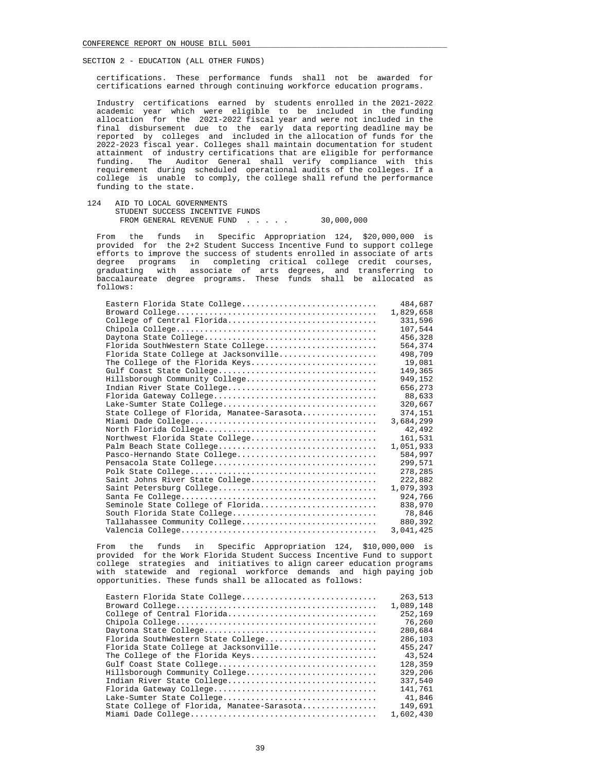certifications. These performance funds shall not be awarded for certifications earned through continuing workforce education programs.

 Industry certifications earned by students enrolled in the 2021-2022 academic year which were eligible to be included in the funding allocation for the 2021-2022 fiscal year and were not included in the final disbursement due to the early data reporting deadline may be reported by colleges and included in the allocation of funds for the 2022-2023 fiscal year. Colleges shall maintain documentation for student attainment of industry certifications that are eligible for performance funding. The Auditor General shall verify compliance with this requirement during scheduled operational audits of the colleges. If a college is unable to comply, the college shall refund the performance funding to the state.

 124 AID TO LOCAL GOVERNMENTS STUDENT SUCCESS INCENTIVE FUNDS FROM GENERAL REVENUE FUND . . . . . 30,000,000

 From the funds in Specific Appropriation 124, \$20,000,000 is provided for the 2+2 Student Success Incentive Fund to support college efforts to improve the success of students enrolled in associate of arts degree programs in completing critical college credit courses, graduating with associate of arts degrees, and transferring to baccalaureate degree programs. These funds shall be allocated as follows:

| Eastern Florida State College              | 484,687   |
|--------------------------------------------|-----------|
|                                            | 1,829,658 |
| College of Central Florida                 | 331,596   |
|                                            | 107,544   |
|                                            | 456,328   |
| Florida SouthWestern State College         | 564,374   |
| Florida State College at Jacksonville      | 498,709   |
| The College of the Florida Keys            | 19,081    |
|                                            | 149,365   |
| Hillsborough Community College             | 949,152   |
| Indian River State College                 | 656,273   |
|                                            | 88,633    |
| Lake-Sumter State College                  | 320,667   |
| State College of Florida, Manatee-Sarasota | 374,151   |
|                                            | 3,684,299 |
|                                            | 42,492    |
| Northwest Florida State College            | 161,531   |
|                                            | 1,051,933 |
| Pasco-Hernando State College               | 584,997   |
|                                            | 299,571   |
|                                            | 278,285   |
| Saint Johns River State College            | 222,882   |
|                                            | 1,079,393 |
|                                            | 924,766   |
| Seminole State College of Florida          | 838,970   |
| South Florida State College                | 78,846    |
| Tallahassee Community College              | 880,392   |
|                                            | 3,041,425 |

 From the funds in Specific Appropriation 124, \$10,000,000 is provided for the Work Florida Student Success Incentive Fund to support college strategies and initiatives to align career education programs with statewide and regional workforce demands and high paying job opportunities. These funds shall be allocated as follows:

| Eastern Florida State College              | 263,513   |
|--------------------------------------------|-----------|
|                                            | 1,089,148 |
| College of Central Florida                 | 252,169   |
|                                            | 76,260    |
|                                            | 280,684   |
| Florida SouthWestern State College         | 286,103   |
| Florida State College at Jacksonville      | 455,247   |
| The College of the Florida Keys            | 43,524    |
|                                            | 128,359   |
| Hillsborough Community College             | 329,206   |
| Indian River State College                 | 337,540   |
|                                            | 141,761   |
|                                            | 41,846    |
| State College of Florida, Manatee-Sarasota | 149,691   |
|                                            | 1,602,430 |
|                                            |           |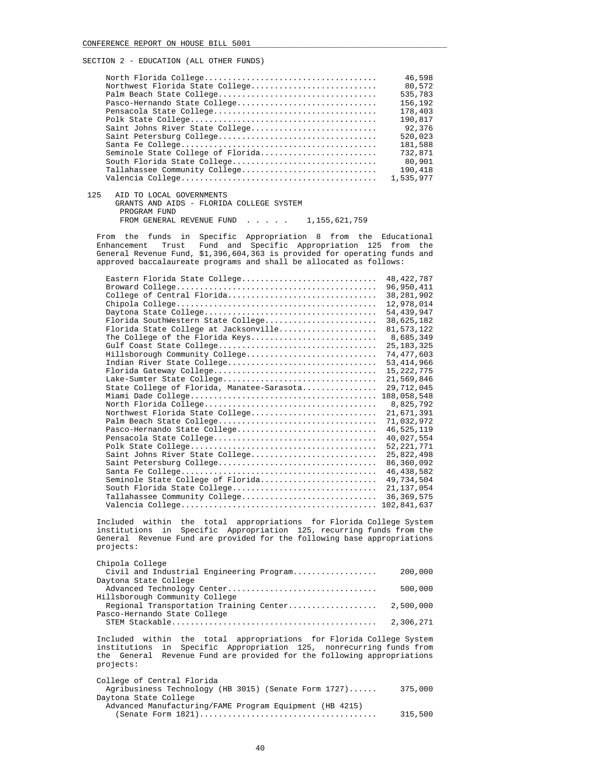|                                   | 46,598    |
|-----------------------------------|-----------|
| Northwest Florida State College   | 80,572    |
|                                   | 535,783   |
| Pasco-Hernando State College      | 156,192   |
|                                   | 178,403   |
|                                   | 190,817   |
| Saint Johns River State College   | 92,376    |
|                                   | 520,023   |
|                                   | 181,588   |
| Seminole State College of Florida | 732,871   |
| South Florida State College       | 80,901    |
| Tallahassee Community College     | 190,418   |
|                                   | 1,535,977 |
|                                   |           |

125 AID TO LOCAL GOVERNMENTS

 GRANTS AND AIDS - FLORIDA COLLEGE SYSTEM PROGRAM FUND FROM GENERAL REVENUE FUND . . . . . 1,155,621,759

 From the funds in Specific Appropriation 8 from the Educational Enhancement Trust Fund and Specific Appropriation 125 from the General Revenue Fund, \$1,396,604,363 is provided for operating funds and approved baccalaureate programs and shall be allocated as follows:

| Eastern Florida State College              | 48, 422, 787 |
|--------------------------------------------|--------------|
|                                            | 96,950,411   |
| College of Central Florida                 | 38, 281, 902 |
|                                            | 12,978,014   |
|                                            | 54, 439, 947 |
| Florida SouthWestern State College         | 38,625,182   |
| Florida State College at Jacksonville      | 81, 573, 122 |
| The College of the Florida Keys            | 8,685,349    |
|                                            | 25, 183, 325 |
| Hillsborough Community College             | 74, 477, 603 |
| Indian River State College                 | 53, 414, 966 |
|                                            | 15, 222, 775 |
| Lake-Sumter State College                  | 21,569,846   |
| State College of Florida, Manatee-Sarasota | 29,712,045   |
|                                            | 188,058,548  |
|                                            | 8,825,792    |
| Northwest Florida State College            | 21,671,391   |
|                                            | 71,032,972   |
| Pasco-Hernando State College               | 46,525,119   |
|                                            | 40,027,554   |
|                                            | 52, 221, 771 |
| Saint Johns River State College            | 25,822,498   |
|                                            | 86,360,092   |
|                                            | 46, 438, 582 |
| Seminole State College of Florida          | 49,734,504   |
| South Florida State College                | 21, 137, 054 |
| Tallahassee Community College              | 36, 369, 575 |
|                                            | 102,841,637  |

 Included within the total appropriations for Florida College System institutions in Specific Appropriation 125, recurring funds from the General Revenue Fund are provided for the following base appropriations projects:

| Chipola College                          |           |
|------------------------------------------|-----------|
| Civil and Industrial Engineering Program | 200,000   |
| Daytona State College                    |           |
| Advanced Technology Center               | 500,000   |
| Hillsborough Community College           |           |
|                                          |           |
| Pasco-Hernando State College             |           |
|                                          | 2,306,271 |

 Included within the total appropriations for Florida College System institutions in Specific Appropriation 125, nonrecurring funds from the General Revenue Fund are provided for the following appropriations projects:

| College of Central Florida                              |         |
|---------------------------------------------------------|---------|
| Agribusiness Technology (HB 3015) (Senate Form 1727)    | 375,000 |
| Daytona State College                                   |         |
| Advanced Manufacturing/FAME Program Equipment (HB 4215) |         |
|                                                         | 315,500 |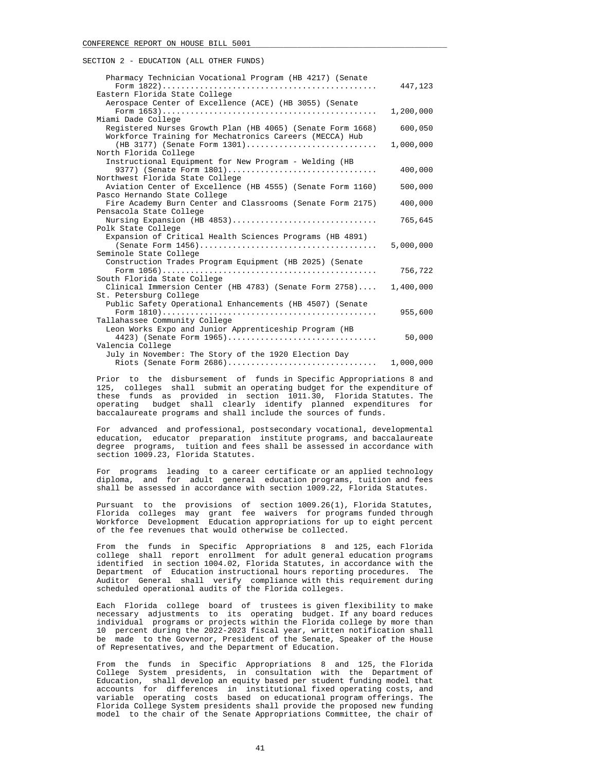| Pharmacy Technician Vocational Program (HB 4217) (Senate                               | 447,123   |
|----------------------------------------------------------------------------------------|-----------|
| Eastern Florida State College                                                          |           |
| Aerospace Center of Excellence (ACE) (HB 3055) (Senate                                 |           |
|                                                                                        | 1,200,000 |
| Miami Dade College                                                                     |           |
| Registered Nurses Growth Plan (HB 4065) (Senate Form 1668)                             | 600,050   |
| Workforce Training for Mechatronics Careers (MECCA) Hub                                |           |
| $(HB 3177)$ (Senate Form 1301)                                                         | 1,000,000 |
| North Florida College                                                                  |           |
| Instructional Equipment for New Program - Welding (HB                                  |           |
| 9377) (Senate Form 1801)                                                               | 400,000   |
| Northwest Florida State College                                                        |           |
| Aviation Center of Excellence (HB 4555) (Senate Form 1160)                             | 500,000   |
| Pasco Hernando State College                                                           |           |
| Fire Academy Burn Center and Classrooms (Senate Form 2175)                             | 400,000   |
| Pensacola State College                                                                |           |
| Nursing Expansion (HB 4853)                                                            | 765,645   |
| Polk State College                                                                     |           |
| Expansion of Critical Health Sciences Programs (HB 4891)                               |           |
|                                                                                        | 5,000,000 |
| Seminole State College                                                                 |           |
| Construction Trades Program Equipment (HB 2025) (Senate                                |           |
|                                                                                        | 756,722   |
| South Florida State College                                                            |           |
| Clinical Immersion Center (HB 4783) (Senate Form 2758)                                 | 1,400,000 |
| St. Petersburg College                                                                 |           |
| Public Safety Operational Enhancements (HB 4507) (Senate                               |           |
|                                                                                        | 955,600   |
| Tallahassee Community College<br>Leon Works Expo and Junior Apprenticeship Program (HB |           |
| 4423) (Senate Form 1965)                                                               | 50,000    |
| Valencia College                                                                       |           |
| July in November: The Story of the 1920 Election Day                                   |           |
| Riots (Senate Form 2686)                                                               | 1,000,000 |
|                                                                                        |           |

 Prior to the disbursement of funds in Specific Appropriations 8 and 125, colleges shall submit an operating budget for the expenditure of these funds as provided in section 1011.30, Florida Statutes. The operating budget shall clearly identify planned expenditures for baccalaureate programs and shall include the sources of funds.

 For advanced and professional, postsecondary vocational, developmental education, educator preparation institute programs, and baccalaureate degree programs, tuition and fees shall be assessed in accordance with section 1009.23, Florida Statutes.

 For programs leading to a career certificate or an applied technology diploma, and for adult general education programs, tuition and fees shall be assessed in accordance with section 1009.22, Florida Statutes.

 Pursuant to the provisions of section 1009.26(1), Florida Statutes, Florida colleges may grant fee waivers for programs funded through Workforce Development Education appropriations for up to eight percent of the fee revenues that would otherwise be collected.

 From the funds in Specific Appropriations 8 and 125, each Florida college shall report enrollment for adult general education programs identified in section 1004.02, Florida Statutes, in accordance with the Department of Education instructional hours reporting procedures. The Auditor General shall verify compliance with this requirement during scheduled operational audits of the Florida colleges.

 Each Florida college board of trustees is given flexibility to make necessary adjustments to its operating budget. If any board reduces individual programs or projects within the Florida college by more than 10 percent during the 2022-2023 fiscal year, written notification shall be made to the Governor, President of the Senate, Speaker of the House of Representatives, and the Department of Education.

 From the funds in Specific Appropriations 8 and 125, the Florida College System presidents, in consultation with the Department of Education, shall develop an equity based per student funding model that accounts for differences in institutional fixed operating costs, and variable operating costs based on educational program offerings. The Florida College System presidents shall provide the proposed new funding model to the chair of the Senate Appropriations Committee, the chair of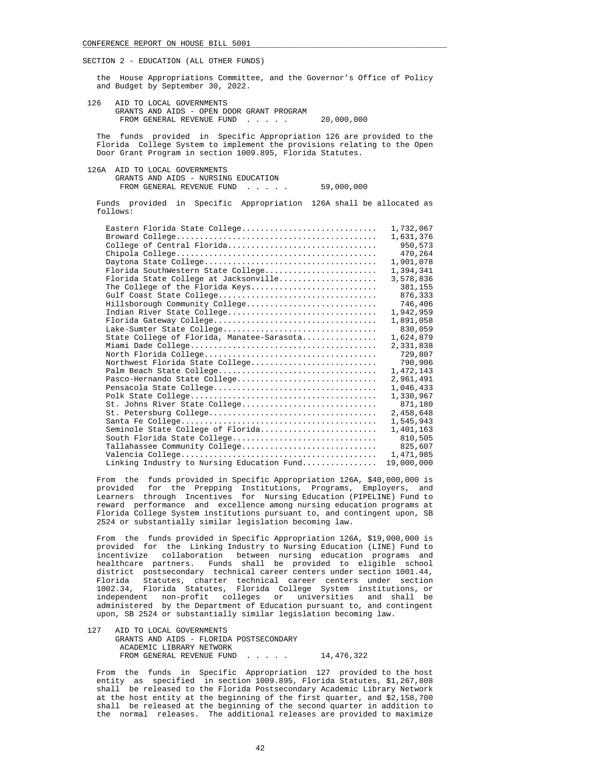the House Appropriations Committee, and the Governor's Office of Policy and Budget by September 30, 2022.

 126 AID TO LOCAL GOVERNMENTS GRANTS AND AIDS - OPEN DOOR GRANT PROGRAM FROM GENERAL REVENUE FUND . . . . . 20,000,000

 The funds provided in Specific Appropriation 126 are provided to the Florida College System to implement the provisions relating to the Open Door Grant Program in section 1009.895, Florida Statutes.

 126A AID TO LOCAL GOVERNMENTS GRANTS AND AIDS - NURSING EDUCATION FROM GENERAL REVENUE FUND . . . . . 59,000,000

 Funds provided in Specific Appropriation 126A shall be allocated as follows:

| Eastern Florida State College              | 1,732,067  |
|--------------------------------------------|------------|
|                                            | 1,631,376  |
| College of Central Florida                 | 950,573    |
|                                            | 470,264    |
|                                            | 1,901,078  |
| Florida SouthWestern State College         | 1,394,341  |
| Florida State College at Jacksonville      | 3,578,836  |
| The College of the Florida Keys            | 381,155    |
|                                            | 876,333    |
| Hillsborough Community College             | 746,406    |
| Indian River State College                 | 1,942,959  |
|                                            | 1,891,058  |
| Lake-Sumter State College                  | 830,059    |
| State College of Florida, Manatee-Sarasota | 1,624,879  |
|                                            | 2,331,838  |
|                                            | 729,807    |
| Northwest Florida State College            | 790,906    |
|                                            | 1,472,143  |
| Pasco-Hernando State College               | 2,961,491  |
|                                            | 1,046,433  |
|                                            | 1,330,967  |
| St. Johns River State College              | 871,180    |
|                                            | 2,458,648  |
|                                            | 1,545,943  |
| Seminole State College of Florida          | 1,401,163  |
| South Florida State College                | 810,505    |
| Tallahassee Community College              | 825,607    |
|                                            | 1,471,985  |
| Linking Industry to Nursing Education Fund | 19,000,000 |

 From the funds provided in Specific Appropriation 126A, \$40,000,000 is provided for the Prepping Institutions, Programs, Employers, and Learners through Incentives for Nursing Education (PIPELINE) Fund to reward performance and excellence among nursing education programs at Florida College System institutions pursuant to, and contingent upon, SB 2524 or substantially similar legislation becoming law.

 From the funds provided in Specific Appropriation 126A, \$19,000,000 is provided for the Linking Industry to Nursing Education (LINE) Fund to incentivize collaboration between nursing education programs and healthcare partners. Funds shall be provided to eligible school district postsecondary technical career centers under section 1001.44, Florida Statutes, charter technical career centers under section 1002.34, Florida Statutes, Florida College System institutions, or independent non-profit colleges or universities and shall be administered by the Department of Education pursuant to, and contingent upon, SB 2524 or substantially similar legislation becoming law.

 127 AID TO LOCAL GOVERNMENTS GRANTS AND AIDS - FLORIDA POSTSECONDARY ACADEMIC LIBRARY NETWORK FROM GENERAL REVENUE FUND . . . . . 14,476,322

 From the funds in Specific Appropriation 127 provided to the host entity as specified in section 1009.895, Florida Statutes, \$1,267,808 shall be released to the Florida Postsecondary Academic Library Network at the host entity at the beginning of the first quarter, and \$2,158,700 shall be released at the beginning of the second quarter in addition to the normal releases. The additional releases are provided to maximize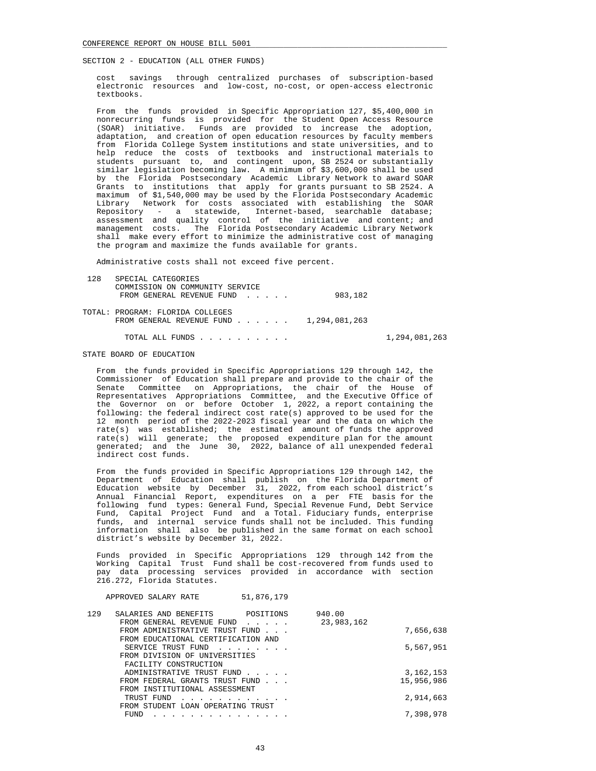cost savings through centralized purchases of subscription-based electronic resources and low-cost, no-cost, or open-access electronic textbooks.

 From the funds provided in Specific Appropriation 127, \$5,400,000 in nonrecurring funds is provided for the Student Open Access Resource (SOAR) initiative. Funds are provided to increase the adoption, adaptation, and creation of open education resources by faculty members from Florida College System institutions and state universities, and to help reduce the costs of textbooks and instructional materials to students pursuant to, and contingent upon, SB 2524 or substantially similar legislation becoming law. A minimum of \$3,600,000 shall be used by the Florida Postsecondary Academic Library Network to award SOAR Grants to institutions that apply for grants pursuant to SB 2524. A maximum of \$1,540,000 may be used by the Florida Postsecondary Academic Library Network for costs associated with establishing the SOAR Repository - a statewide, Internet-based, searchable database; assessment and quality control of the initiative and content; and management costs. The Florida Postsecondary Academic Library Network shall make every effort to minimize the administrative cost of managing the program and maximize the funds available for grants.

Administrative costs shall not exceed five percent.

| 128 | SPECIAL CATEGORIES                                                                                     |               |
|-----|--------------------------------------------------------------------------------------------------------|---------------|
|     | COMMISSION ON COMMUNITY SERVICE<br>FROM GENERAL REVENUE FUND                                           | 983,182       |
|     | TOTAL: PROGRAM: FLORIDA COLLEGES<br>FROM GENERAL REVENUE FUND $\ldots$ $\ldots$ $\ldots$ 1,294,081,263 |               |
|     | TOTAL ALL FUNDS                                                                                        | 1,294,081,263 |

# STATE BOARD OF EDUCATION

 From the funds provided in Specific Appropriations 129 through 142, the Commissioner of Education shall prepare and provide to the chair of the Senate Committee on Appropriations, the chair of the House of Representatives Appropriations Committee, and the Executive Office of the Governor on or before October 1, 2022, a report containing the following: the federal indirect cost rate(s) approved to be used for the 12 month period of the 2022-2023 fiscal year and the data on which the rate(s) was established; the estimated amount of funds the approved rate(s) will generate; the proposed expenditure plan for the amount generated; and the June 30, 2022, balance of all unexpended federal indirect cost funds.

 From the funds provided in Specific Appropriations 129 through 142, the Department of Education shall publish on the Florida Department of Education website by December 31, 2022, from each school district's Annual Financial Report, expenditures on a per FTE basis for the following fund types: General Fund, Special Revenue Fund, Debt Service Fund, Capital Project Fund and a Total. Fiduciary funds, enterprise funds, and internal service funds shall not be included. This funding information shall also be published in the same format on each school district's website by December 31, 2022.

 Funds provided in Specific Appropriations 129 through 142 from the Working Capital Trust Fund shall be cost-recovered from funds used to pay data processing services provided in accordance with section 216.272, Florida Statutes.

APPROVED SALARY RATE 51 876 179

| SALARIES AND BENEFITS | POSITIONS                          | 940.00                                                                                                                                                                                                                                                                                                                                                                                     |            |
|-----------------------|------------------------------------|--------------------------------------------------------------------------------------------------------------------------------------------------------------------------------------------------------------------------------------------------------------------------------------------------------------------------------------------------------------------------------------------|------------|
|                       | $\sim$ $\sim$ $\sim$ $\sim$ $\sim$ | 23,983,162                                                                                                                                                                                                                                                                                                                                                                                 |            |
|                       |                                    |                                                                                                                                                                                                                                                                                                                                                                                            | 7,656,638  |
|                       |                                    |                                                                                                                                                                                                                                                                                                                                                                                            |            |
| SERVICE TRUST FUND    |                                    |                                                                                                                                                                                                                                                                                                                                                                                            | 5,567,951  |
|                       |                                    |                                                                                                                                                                                                                                                                                                                                                                                            |            |
| FACILITY CONSTRUCTION |                                    |                                                                                                                                                                                                                                                                                                                                                                                            |            |
|                       |                                    |                                                                                                                                                                                                                                                                                                                                                                                            | 3,162,153  |
|                       |                                    |                                                                                                                                                                                                                                                                                                                                                                                            | 15,956,986 |
|                       |                                    |                                                                                                                                                                                                                                                                                                                                                                                            |            |
| TRUST FUND            |                                    |                                                                                                                                                                                                                                                                                                                                                                                            | 2,914,663  |
|                       |                                    |                                                                                                                                                                                                                                                                                                                                                                                            |            |
| FUND                  |                                    |                                                                                                                                                                                                                                                                                                                                                                                            | 7,398,978  |
|                       |                                    | FROM GENERAL REVENUE FUND<br>FROM ADMINISTRATIVE TRUST FUND<br>FROM EDUCATIONAL CERTIFICATION AND<br>the contract of the contract of the contract of the contract of the contract of the contract of the contract of<br>FROM DIVISION OF UNIVERSITIES<br>ADMINISTRATIVE TRUST FUND<br>FROM FEDERAL GRANTS TRUST FUND<br>FROM INSTITUTIONAL ASSESSMENT<br>FROM STUDENT LOAN OPERATING TRUST |            |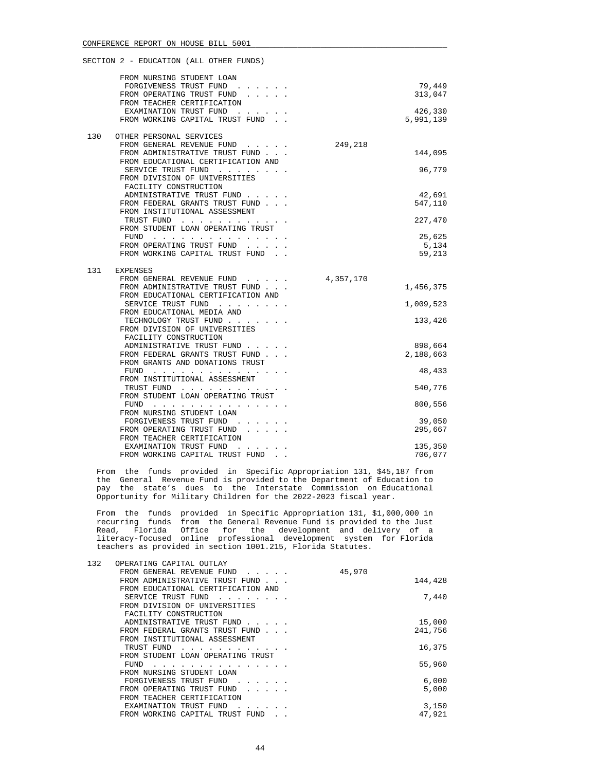|     | FROM NURSING STUDENT LOAN<br>FORGIVENESS TRUST FUND<br>FROM OPERATING TRUST FUND<br>FROM TEACHER CERTIFICATION<br>EXAMINATION TRUST FUND<br>FROM WORKING CAPITAL TRUST FUND.                                                                                |           | 79,449<br>313,047<br>426,330<br>5,991,139                 |
|-----|-------------------------------------------------------------------------------------------------------------------------------------------------------------------------------------------------------------------------------------------------------------|-----------|-----------------------------------------------------------|
| 130 | OTHER PERSONAL SERVICES<br>FROM GENERAL REVENUE FUND<br>FROM ADMINISTRATIVE TRUST FUND<br>FROM EDUCATIONAL CERTIFICATION AND<br>SERVICE TRUST FUND<br>FROM DIVISION OF UNIVERSITIES<br>FACILITY CONSTRUCTION                                                | 249,218   | 144,095<br>96,779                                         |
|     | ADMINISTRATIVE TRUST FUND<br>FROM FEDERAL GRANTS TRUST FUND<br>FROM INSTITUTIONAL ASSESSMENT<br>TRUST FUND<br>FROM STUDENT LOAN OPERATING TRUST<br>FUND $\cdots$<br>FROM OPERATING TRUST FUND<br>FROM WORKING CAPITAL TRUST FUND.                           |           | 42,691<br>547,110<br>227,470<br>25,625<br>5,134<br>59,213 |
| 131 | <b>EXPENSES</b><br>FROM GENERAL REVENUE FUND<br>FROM ADMINISTRATIVE TRUST FUND<br>FROM EDUCATIONAL CERTIFICATION AND<br>SERVICE TRUST FUND<br>FROM EDUCATIONAL MEDIA AND<br>TECHNOLOGY TRUST FUND<br>FROM DIVISION OF UNIVERSITIES<br>FACILITY CONSTRUCTION | 4,357,170 | 1,456,375<br>1,009,523<br>133,426                         |
|     | ADMINISTRATIVE TRUST FUND<br>FROM FEDERAL GRANTS TRUST FUND<br>FROM GRANTS AND DONATIONS TRUST<br>FUND $\cdots$ , $\cdots$ , $\cdots$ , $\cdots$<br>FROM INSTITUTIONAL ASSESSMENT<br>TRUST FUND<br>FROM STUDENT LOAN OPERATING TRUST<br>FUND                |           | 898,664<br>2,188,663<br>48,433<br>540,776<br>800,556      |
|     | FROM NURSING STUDENT LOAN<br>FORGIVENESS TRUST FUND<br>FROM OPERATING TRUST FUND<br>FROM TEACHER CERTIFICATION<br>EXAMINATION TRUST FUND<br>FROM WORKING CAPITAL TRUST FUND                                                                                 |           | 39,050<br>295,667<br>135,350<br>706,077                   |

 From the funds provided in Specific Appropriation 131, \$45,187 from the General Revenue Fund is provided to the Department of Education to pay the state's dues to the Interstate Commission on Educational Opportunity for Military Children for the 2022-2023 fiscal year.

 From the funds provided in Specific Appropriation 131, \$1,000,000 in recurring funds from the General Revenue Fund is provided to the Just Read, Florida Office for the development and delivery of a literacy-focused online professional development system for Florida teachers as provided in section 1001.215, Florida Statutes.

| 132 | OPERATING CAPITAL OUTLAY<br>FROM GENERAL REVENUE FUND | 45,970  |
|-----|-------------------------------------------------------|---------|
|     | FROM ADMINISTRATIVE TRUST FUND                        | 144,428 |
|     | FROM EDUCATIONAL CERTIFICATION AND                    |         |
|     | SERVICE TRUST FUND                                    | 7,440   |
|     | FROM DIVISION OF UNIVERSITIES                         |         |
|     | FACILITY CONSTRUCTION                                 |         |
|     | ADMINISTRATIVE TRUST FUND                             | 15,000  |
|     | FROM FEDERAL GRANTS TRUST FUND                        | 241,756 |
|     | FROM INSTITUTIONAL ASSESSMENT                         |         |
|     | TRUST FUND                                            | 16,375  |
|     | FROM STUDENT LOAN OPERATING TRUST                     |         |
|     | FUND                                                  | 55,960  |
|     | FROM NURSING STUDENT LOAN                             |         |
|     | FORGIVENESS TRUST FUND<br>.                           | 6,000   |
|     | FROM OPERATING TRUST FUND                             | 5,000   |
|     | FROM TEACHER CERTIFICATION                            |         |
|     | EXAMINATION TRUST FUND                                | 3,150   |
|     | FROM WORKING CAPITAL TRUST FUND                       | 47.921  |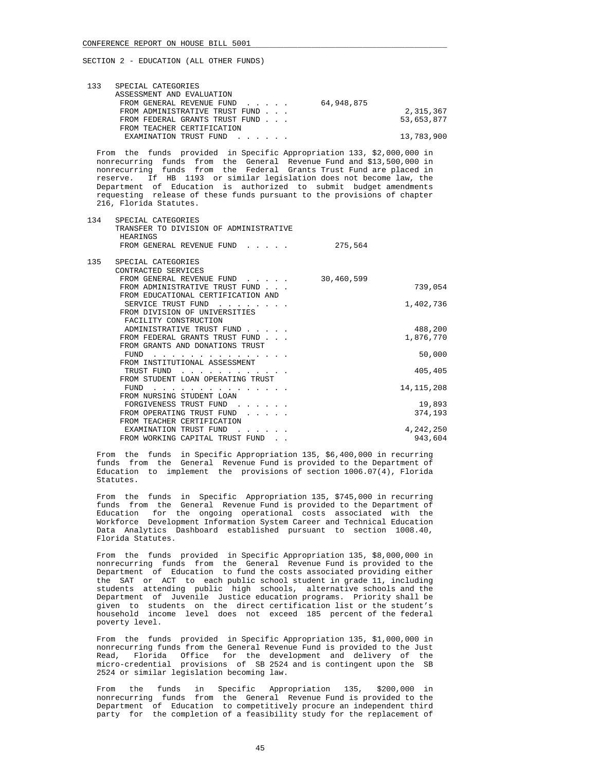| 133 | SPECIAL CATEGORIES             |            |
|-----|--------------------------------|------------|
|     |                                |            |
|     | ASSESSMENT AND EVALUATION      |            |
|     | FROM GENERAL REVENUE FUND      | 64,948,875 |
|     | FROM ADMINISTRATIVE TRUST FUND | 2,315,367  |
|     | FROM FEDERAL GRANTS TRUST FUND | 53,653,877 |
|     | FROM TEACHER CERTIFICATION     |            |
|     | EXAMINATION TRUST FUND         | 13,783,900 |

 From the funds provided in Specific Appropriation 133, \$2,000,000 in nonrecurring funds from the General Revenue Fund and \$13,500,000 in nonrecurring funds from the Federal Grants Trust Fund are placed in reserve. If HB 1193 or similar legislation does not become law, the Department of Education is authorized to submit budget amendments requesting release of these funds pursuant to the provisions of chapter 216, Florida Statutes.

| 134 | SPECIAL CATEGORIES<br>TRANSFER TO DIVISION OF ADMINISTRATIVE<br>HEARINGS |            |              |
|-----|--------------------------------------------------------------------------|------------|--------------|
|     | FROM GENERAL REVENUE FUND                                                | 275,564    |              |
| 135 | SPECIAL CATEGORIES                                                       |            |              |
|     | CONTRACTED SERVICES                                                      |            |              |
|     | FROM GENERAL REVENUE FUND                                                | 30,460,599 |              |
|     | FROM ADMINISTRATIVE TRUST FUND                                           |            | 739,054      |
|     | FROM EDUCATIONAL CERTIFICATION AND                                       |            |              |
|     | SERVICE TRUST FUND                                                       |            | 1,402,736    |
|     | FROM DIVISION OF UNIVERSITIES                                            |            |              |
|     | FACILITY CONSTRUCTION                                                    |            |              |
|     | ADMINISTRATIVE TRUST FUND                                                |            | 488,200      |
|     | FROM FEDERAL GRANTS TRUST FUND                                           |            | 1,876,770    |
|     | FROM GRANTS AND DONATIONS TRUST                                          |            |              |
|     | <b>FUND</b>                                                              |            | 50,000       |
|     | FROM INSTITUTIONAL ASSESSMENT                                            |            |              |
|     | TRUST FUND                                                               |            | 405,405      |
|     | FROM STUDENT LOAN OPERATING TRUST                                        |            |              |
|     | FUND                                                                     |            | 14, 115, 208 |
|     | FROM NURSING STUDENT LOAN                                                |            |              |
|     | FORGIVENESS TRUST FUND                                                   |            | 19,893       |
|     | FROM OPERATING TRUST FUND                                                |            | 374,193      |
|     | FROM TEACHER CERTIFICATION                                               |            |              |
|     | EXAMINATION TRUST FUND                                                   |            | 4,242,250    |
|     | FROM WORKING CAPITAL TRUST FUND                                          |            | 943,604      |

 From the funds in Specific Appropriation 135, \$6,400,000 in recurring funds from the General Revenue Fund is provided to the Department of Education to implement the provisions of section 1006.07(4), Florida Statutes.

 From the funds in Specific Appropriation 135, \$745,000 in recurring funds from the General Revenue Fund is provided to the Department of Education for the ongoing operational costs associated with the Workforce Development Information System Career and Technical Education Data Analytics Dashboard established pursuant to section 1008.40, Florida Statutes.

 From the funds provided in Specific Appropriation 135, \$8,000,000 in nonrecurring funds from the General Revenue Fund is provided to the Department of Education to fund the costs associated providing either the SAT or ACT to each public school student in grade 11, including students attending public high schools, alternative schools and the Department of Juvenile Justice education programs. Priority shall be given to students on the direct certification list or the student's household income level does not exceed 185 percent of the federal poverty level.

 From the funds provided in Specific Appropriation 135, \$1,000,000 in nonrecurring funds from the General Revenue Fund is provided to the Just Read, Florida Office for the development and delivery of the micro-credential provisions of SB 2524 and is contingent upon the SB 2524 or similar legislation becoming law.

 From the funds in Specific Appropriation 135, \$200,000 in nonrecurring funds from the General Revenue Fund is provided to the Department of Education to competitively procure an independent third party for the completion of a feasibility study for the replacement of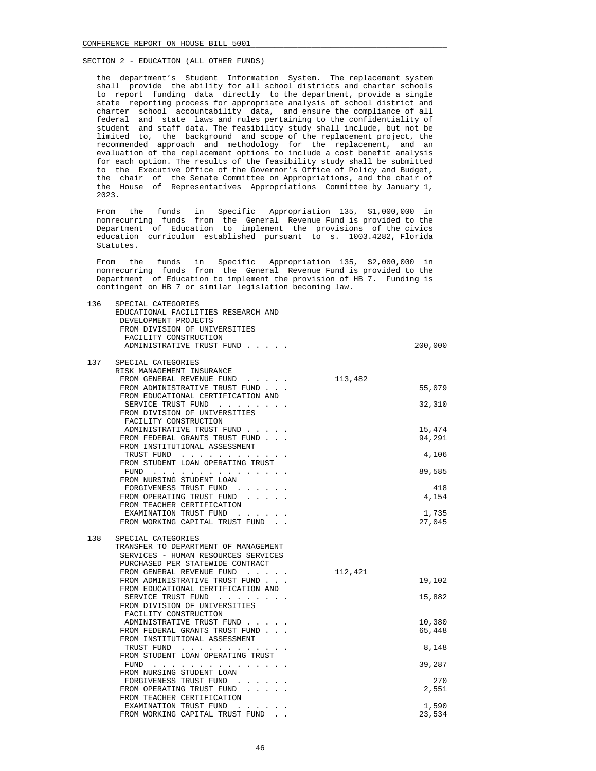the department's Student Information System. The replacement system shall provide the ability for all school districts and charter schools to report funding data directly to the department, provide a single state reporting process for appropriate analysis of school district and charter school accountability data, and ensure the compliance of all federal and state laws and rules pertaining to the confidentiality of student and staff data. The feasibility study shall include, but not be limited to, the background and scope of the replacement project, the recommended approach and methodology for the replacement, and an evaluation of the replacement options to include a cost benefit analysis for each option. The results of the feasibility study shall be submitted to the Executive Office of the Governor's Office of Policy and Budget, the chair of the Senate Committee on Appropriations, and the chair of the House of Representatives Appropriations Committee by January 1, 2023.

 From the funds in Specific Appropriation 135, \$1,000,000 in nonrecurring funds from the General Revenue Fund is provided to the Department of Education to implement the provisions of the civics education curriculum established pursuant to s. 1003.4282, Florida Statutes.

 From the funds in Specific Appropriation 135, \$2,000,000 in nonrecurring funds from the General Revenue Fund is provided to the Department of Education to implement the provision of HB 7. Funding is contingent on HB 7 or similar legislation becoming law.

| 136 | SPECIAL CATEGORIES                                      |         |         |
|-----|---------------------------------------------------------|---------|---------|
|     | EDUCATIONAL FACILITIES RESEARCH AND                     |         |         |
|     | DEVELOPMENT PROJECTS                                    |         |         |
|     | FROM DIVISION OF UNIVERSITIES                           |         |         |
|     | FACILITY CONSTRUCTION                                   |         |         |
|     | ADMINISTRATIVE TRUST FUND                               |         | 200,000 |
|     |                                                         |         |         |
| 137 | SPECIAL CATEGORIES                                      |         |         |
|     | RISK MANAGEMENT INSURANCE                               |         |         |
|     | FROM GENERAL REVENUE FUND                               | 113,482 |         |
|     | FROM ADMINISTRATIVE TRUST FUND                          |         | 55,079  |
|     | FROM EDUCATIONAL CERTIFICATION AND                      |         |         |
|     | SERVICE TRUST FUND                                      |         | 32,310  |
|     | FROM DIVISION OF UNIVERSITIES                           |         |         |
|     | FACILITY CONSTRUCTION                                   |         |         |
|     | ADMINISTRATIVE TRUST FUND                               |         | 15,474  |
|     | FROM FEDERAL GRANTS TRUST FUND                          |         | 94,291  |
|     | FROM INSTITUTIONAL ASSESSMENT                           |         |         |
|     | TRUST FUND                                              |         | 4,106   |
|     | FROM STUDENT LOAN OPERATING TRUST                       |         |         |
|     | FUND<br>$\frac{1}{2}$                                   |         | 89,585  |
|     | FROM NURSING STUDENT LOAN                               |         |         |
|     | FORGIVENESS TRUST FUND                                  |         | 418     |
|     | FROM OPERATING TRUST FUND                               |         | 4,154   |
|     | FROM TEACHER CERTIFICATION                              |         |         |
|     | EXAMINATION TRUST FUND                                  |         | 1,735   |
|     | FROM WORKING CAPITAL TRUST FUND                         |         | 27,045  |
| 138 | SPECIAL CATEGORIES                                      |         |         |
|     | TRANSFER TO DEPARTMENT OF MANAGEMENT                    |         |         |
|     | SERVICES - HUMAN RESOURCES SERVICES                     |         |         |
|     | PURCHASED PER STATEWIDE CONTRACT                        |         |         |
|     | FROM GENERAL REVENUE FUND                               | 112,421 |         |
|     | FROM ADMINISTRATIVE TRUST FUND                          |         | 19,102  |
|     | FROM EDUCATIONAL CERTIFICATION AND                      |         |         |
|     | SERVICE TRUST FUND                                      |         | 15,882  |
|     | FROM DIVISION OF UNIVERSITIES                           |         |         |
|     | FACILITY CONSTRUCTION                                   |         |         |
|     | ADMINISTRATIVE TRUST FUND                               |         | 10,380  |
|     | FROM FEDERAL GRANTS TRUST FUND                          |         | 65,448  |
|     | FROM INSTITUTIONAL ASSESSMENT                           |         |         |
|     | TRUST FUND                                              |         | 8,148   |
|     | FROM STUDENT LOAN OPERATING TRUST                       |         |         |
|     | FUND<br>the contract of the contract of the contract of |         | 39,287  |
|     | FROM NURSING STUDENT LOAN                               |         |         |
|     | FORGIVENESS TRUST FUND                                  |         | 270     |
|     | FROM OPERATING TRUST FUND                               |         | 2,551   |
|     | FROM TEACHER CERTIFICATION                              |         |         |
|     | EXAMINATION TRUST FUND                                  |         | 1,590   |
|     | FROM WORKING CAPITAL TRUST FUND                         |         | 23,534  |
|     |                                                         |         |         |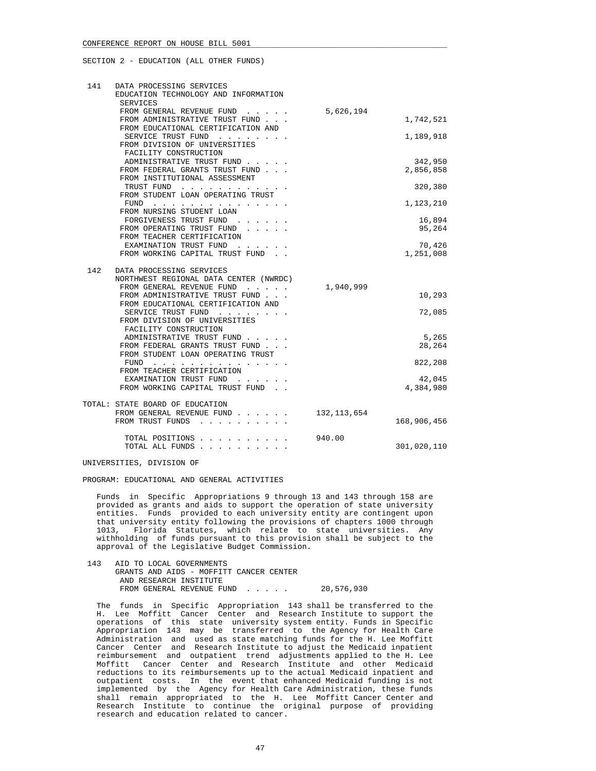| 141 | DATA PROCESSING SERVICES<br>EDUCATION TECHNOLOGY AND INFORMATION<br><b>SERVICES</b> |               |             |
|-----|-------------------------------------------------------------------------------------|---------------|-------------|
|     | FROM GENERAL REVENUE FUND                                                           | 5,626,194     |             |
|     | FROM ADMINISTRATIVE TRUST FUND<br>FROM EDUCATIONAL CERTIFICATION AND                |               | 1,742,521   |
|     | SERVICE TRUST FUND                                                                  |               | 1,189,918   |
|     | FROM DIVISION OF UNIVERSITIES<br>FACILITY CONSTRUCTION                              |               |             |
|     | ADMINISTRATIVE TRUST FUND                                                           |               | 342,950     |
|     | FROM FEDERAL GRANTS TRUST FUND                                                      |               | 2,856,858   |
|     | FROM INSTITUTIONAL ASSESSMENT                                                       |               |             |
|     | TRUST FUND                                                                          |               | 320,380     |
|     | FROM STUDENT LOAN OPERATING TRUST                                                   |               |             |
|     | FUND $\cdots$                                                                       |               | 1,123,210   |
|     | FROM NURSING STUDENT LOAN                                                           |               |             |
|     | FORGIVENESS TRUST FUND                                                              |               | 16,894      |
|     | FROM OPERATING TRUST FUND                                                           |               | 95,264      |
|     | FROM TEACHER CERTIFICATION                                                          |               |             |
|     | EXAMINATION TRUST FUND                                                              |               | 70,426      |
|     | FROM WORKING CAPITAL TRUST FUND.                                                    |               | 1,251,008   |
|     |                                                                                     |               |             |
| 142 | DATA PROCESSING SERVICES                                                            |               |             |
|     | NORTHWEST REGIONAL DATA CENTER (NWRDC)                                              |               |             |
|     | FROM GENERAL REVENUE FUND                                                           | 1,940,999     |             |
|     | FROM ADMINISTRATIVE TRUST FUND                                                      |               | 10,293      |
|     | FROM EDUCATIONAL CERTIFICATION AND                                                  |               |             |
|     | SERVICE TRUST FUND<br>FROM DIVISION OF UNIVERSITIES                                 |               | 72,085      |
|     | FACILITY CONSTRUCTION                                                               |               |             |
|     | ADMINISTRATIVE TRUST FUND                                                           |               | 5,265       |
|     | FROM FEDERAL GRANTS TRUST FUND                                                      |               | 28,264      |
|     | FROM STUDENT LOAN OPERATING TRUST                                                   |               |             |
|     | FUND $\cdots$                                                                       |               | 822,208     |
|     | FROM TEACHER CERTIFICATION                                                          |               |             |
|     | EXAMINATION TRUST FUND                                                              |               | 42,045      |
|     | FROM WORKING CAPITAL TRUST FUND.                                                    |               | 4,384,980   |
|     |                                                                                     |               |             |
|     | TOTAL: STATE BOARD OF EDUCATION                                                     |               |             |
|     | FROM GENERAL REVENUE FUND                                                           | 132, 113, 654 |             |
|     | FROM TRUST FUNDS                                                                    |               | 168,906,456 |
|     |                                                                                     |               |             |
|     | TOTAL POSITIONS                                                                     | 940.00        |             |
|     | TOTAL ALL FUNDS                                                                     |               | 301,020,110 |

UNIVERSITIES, DIVISION OF

PROGRAM: EDUCATIONAL AND GENERAL ACTIVITIES

 Funds in Specific Appropriations 9 through 13 and 143 through 158 are provided as grants and aids to support the operation of state university entities. Funds provided to each university entity are contingent upon that university entity following the provisions of chapters 1000 through 1013. Florida Statutes, which relate to state universities. Any Florida Statutes, which relate to state universities. Any withholding of funds pursuant to this provision shall be subject to the approval of the Legislative Budget Commission.

| 143 | AID TO LOCAL GOVERNMENTS                |            |
|-----|-----------------------------------------|------------|
|     | GRANTS AND AIDS - MOFFITT CANCER CENTER |            |
|     | AND RESEARCH INSTITUTE                  |            |
|     | FROM GENERAL REVENUE FUND               | 20,576,930 |

 The funds in Specific Appropriation 143 shall be transferred to the H. Lee Moffitt Cancer Center and Research Institute to support the operations of this state university system entity. Funds in Specific Appropriation 143 may be transferred to the Agency for Health Care Administration and used as state matching funds for the H. Lee Moffitt Cancer Center and Research Institute to adjust the Medicaid inpatient reimbursement and outpatient trend adjustments applied to the H. Lee Moffitt Cancer Center and Research Institute and other Medicaid reductions to its reimbursements up to the actual Medicaid inpatient and outpatient costs. In the event that enhanced Medicaid funding is not implemented by the Agency for Health Care Administration, these funds shall remain appropriated to the H. Lee Moffitt Cancer Center and Research Institute to continue the original purpose of providing research and education related to cancer.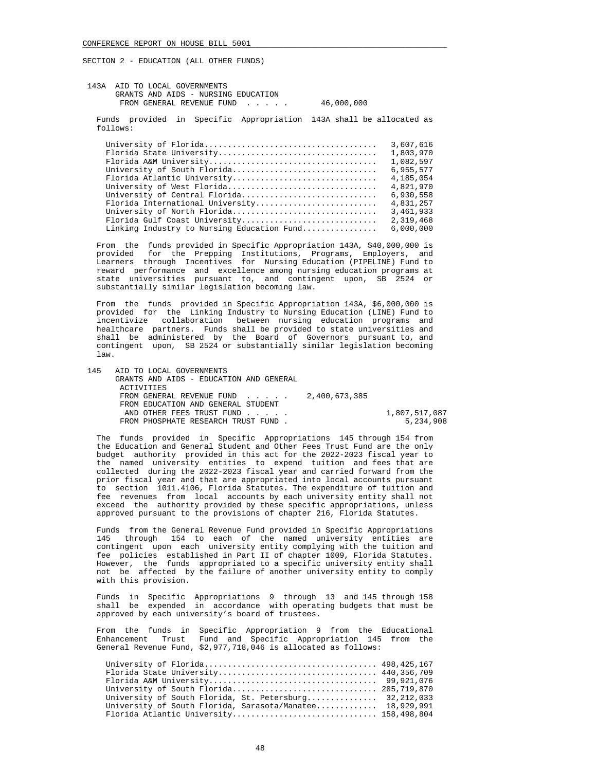|  |  | 143A AID TO LOCAL GOVERNMENTS |  |  |                                     |  |  |  |  |
|--|--|-------------------------------|--|--|-------------------------------------|--|--|--|--|
|  |  |                               |  |  | GRANTS AND AIDS - NURSING EDUCATION |  |  |  |  |
|  |  |                               |  |  | FROM GENERAL REVENUE FUND           |  |  |  |  |

# $46,000,000$

 Funds provided in Specific Appropriation 143A shall be allocated as follows:

|                                            | 3,607,616 |
|--------------------------------------------|-----------|
|                                            | 1,803,970 |
|                                            | 1,082,597 |
| University of South Florida                | 6,955,577 |
| Florida Atlantic University                | 4,185,054 |
| University of West Florida                 | 4,821,970 |
| University of Central Florida              | 6,930,558 |
| Florida International University           | 4,831,257 |
| University of North Florida                | 3,461,933 |
| Florida Gulf Coast University              | 2,319,468 |
| Linking Industry to Nursing Education Fund | 6,000,000 |
|                                            |           |

 From the funds provided in Specific Appropriation 143A, \$40,000,000 is provided for the Prepping Institutions, Programs, Employers, and Learners through Incentives for Nursing Education (PIPELINE) Fund to reward performance and excellence among nursing education programs at state universities pursuant to, and contingent upon, SB 2524 or substantially similar legislation becoming law.

 From the funds provided in Specific Appropriation 143A, \$6,000,000 is provided for the Linking Industry to Nursing Education (LINE) Fund to incentivize collaboration between nursing education programs and healthcare partners. Funds shall be provided to state universities and shall be administered by the Board of Governors pursuant to, and contingent upon, SB 2524 or substantially similar legislation becoming law.

| 145 | AID TO LOCAL GOVERNMENTS<br>GRANTS AND AIDS - EDUCATION AND GENERAL |               |
|-----|---------------------------------------------------------------------|---------------|
|     | ACTIVITIES                                                          |               |
|     | FROM GENERAL REVENUE FUND $2,400,673,385$                           |               |
|     | FROM EDUCATION AND GENERAL STUDENT                                  |               |
|     | AND OTHER FEES TRUST FUND                                           | 1,807,517,087 |
|     | FROM PHOSPHATE RESEARCH TRUST FUND.                                 | 5,234,908     |

 The funds provided in Specific Appropriations 145 through 154 from the Education and General Student and Other Fees Trust Fund are the only budget authority provided in this act for the 2022-2023 fiscal year to the named university entities to expend tuition and fees that are collected during the 2022-2023 fiscal year and carried forward from the prior fiscal year and that are appropriated into local accounts pursuant to section 1011.4106, Florida Statutes. The expenditure of tuition and fee revenues from local accounts by each university entity shall not exceed the authority provided by these specific appropriations, unless approved pursuant to the provisions of chapter 216, Florida Statutes.

 Funds from the General Revenue Fund provided in Specific Appropriations 145 through 154 to each of the named university entities are contingent upon each university entity complying with the tuition and fee policies established in Part II of chapter 1009, Florida Statutes. However, the funds appropriated to a specific university entity shall not be affected by the failure of another university entity to comply with this provision.

 Funds in Specific Appropriations 9 through 13 and 145 through 158 shall be expended in accordance with operating budgets that must be approved by each university's board of trustees.

 From the funds in Specific Appropriation 9 from the Educational Enhancement Trust Fund and Specific Appropriation 145 from the General Revenue Fund, \$2,977,718,046 is allocated as follows:

| Florida State University 440,356,709                     |  |
|----------------------------------------------------------|--|
|                                                          |  |
|                                                          |  |
| University of South Florida, St. Petersburg 32,212,033   |  |
| University of South Florida, Sarasota/Manatee 18,929,991 |  |
| Florida Atlantic University 158,498,804                  |  |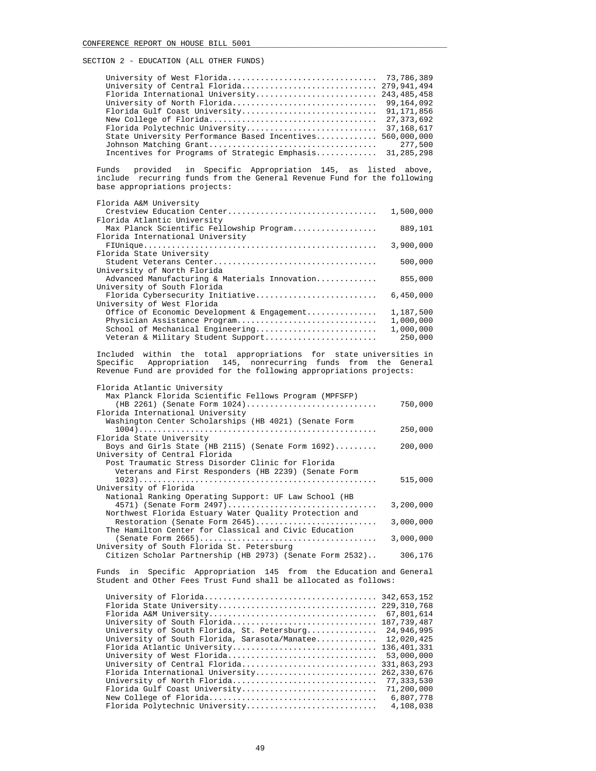| Florida International University 243, 485, 458            |         |
|-----------------------------------------------------------|---------|
|                                                           |         |
|                                                           |         |
|                                                           |         |
|                                                           |         |
| State University Performance Based Incentives 560,000,000 |         |
|                                                           | 277,500 |
| Incentives for Programs of Strategic Emphasis 31,285,298  |         |

 Funds provided in Specific Appropriation 145, as listed above, include recurring funds from the General Revenue Fund for the following base appropriations projects:

| Florida A&M University                        |           |
|-----------------------------------------------|-----------|
| Crestview Education Center                    | 1,500,000 |
| Florida Atlantic University                   |           |
| Max Planck Scientific Fellowship Program      | 889,101   |
| Florida International University              |           |
|                                               | 3,900,000 |
| Florida State University                      |           |
|                                               | 500,000   |
| University of North Florida                   |           |
| Advanced Manufacturing & Materials Innovation | 855,000   |
| University of South Florida                   |           |
| Florida Cybersecurity Initiative              | 6,450,000 |
| University of West Florida                    |           |
| Office of Economic Development & Engagement   | 1,187,500 |
| Physician Assistance Program                  | 1,000,000 |
| School of Mechanical Engineering              | 1,000,000 |
| Veteran & Military Student Support            | 250,000   |
|                                               |           |

 Included within the total appropriations for state universities in Specific Appropriation 145, nonrecurring funds from the General Revenue Fund are provided for the following appropriations projects:

| Florida Atlantic University                              |           |
|----------------------------------------------------------|-----------|
| Max Planck Florida Scientific Fellows Program (MPFSFP)   |           |
| (HB 2261) (Senate Form $1024)$                           | 750,000   |
| Florida International University                         |           |
| Washington Center Scholarships (HB 4021) (Senate Form    |           |
|                                                          | 250,000   |
| Florida State University                                 |           |
| Boys and Girls State (HB 2115) (Senate Form $1692$ )     | 200,000   |
| University of Central Florida                            |           |
| Post Traumatic Stress Disorder Clinic for Florida        |           |
| Veterans and First Responders (HB 2239) (Senate Form     |           |
|                                                          | 515,000   |
| University of Florida                                    |           |
| National Ranking Operating Support: UF Law School (HB    |           |
| 4571) (Senate Form 2497)                                 | 3,200,000 |
| Northwest Florida Estuary Water Quality Protection and   |           |
| Restoration (Senate Form 2645)                           | 3,000,000 |
| The Hamilton Center for Classical and Civic Education    |           |
|                                                          | 3,000,000 |
| University of South Florida St. Petersburg               |           |
| Citizen Scholar Partnership (HB 2973) (Senate Form 2532) | 306,176   |

 Funds in Specific Appropriation 145 from the Education and General Student and Other Fees Trust Fund shall be allocated as follows:

| 342,653,152<br>67,801,614<br>187,739,487<br>University of South Florida<br>University of South Florida, St. Petersburg<br>12,020,425<br>University of South Florida, Sarasota/Manatee<br>Florida Atlantic University<br>University of West Florida<br>331,863,293<br>University of Central Florida<br>262,330,676<br>Florida International University<br>77,333,530<br>University of North Florida<br>Florida Gulf Coast University<br>6,807,778<br>4,108,038 |                                |             |
|---------------------------------------------------------------------------------------------------------------------------------------------------------------------------------------------------------------------------------------------------------------------------------------------------------------------------------------------------------------------------------------------------------------------------------------------------------------|--------------------------------|-------------|
|                                                                                                                                                                                                                                                                                                                                                                                                                                                               |                                |             |
|                                                                                                                                                                                                                                                                                                                                                                                                                                                               |                                |             |
|                                                                                                                                                                                                                                                                                                                                                                                                                                                               |                                |             |
|                                                                                                                                                                                                                                                                                                                                                                                                                                                               |                                |             |
|                                                                                                                                                                                                                                                                                                                                                                                                                                                               |                                | 24,946,995  |
|                                                                                                                                                                                                                                                                                                                                                                                                                                                               |                                |             |
|                                                                                                                                                                                                                                                                                                                                                                                                                                                               |                                | 136,401,331 |
|                                                                                                                                                                                                                                                                                                                                                                                                                                                               |                                | 53,000,000  |
|                                                                                                                                                                                                                                                                                                                                                                                                                                                               |                                |             |
|                                                                                                                                                                                                                                                                                                                                                                                                                                                               |                                |             |
|                                                                                                                                                                                                                                                                                                                                                                                                                                                               |                                |             |
|                                                                                                                                                                                                                                                                                                                                                                                                                                                               |                                | 71,200,000  |
|                                                                                                                                                                                                                                                                                                                                                                                                                                                               |                                |             |
|                                                                                                                                                                                                                                                                                                                                                                                                                                                               | Florida Polytechnic University |             |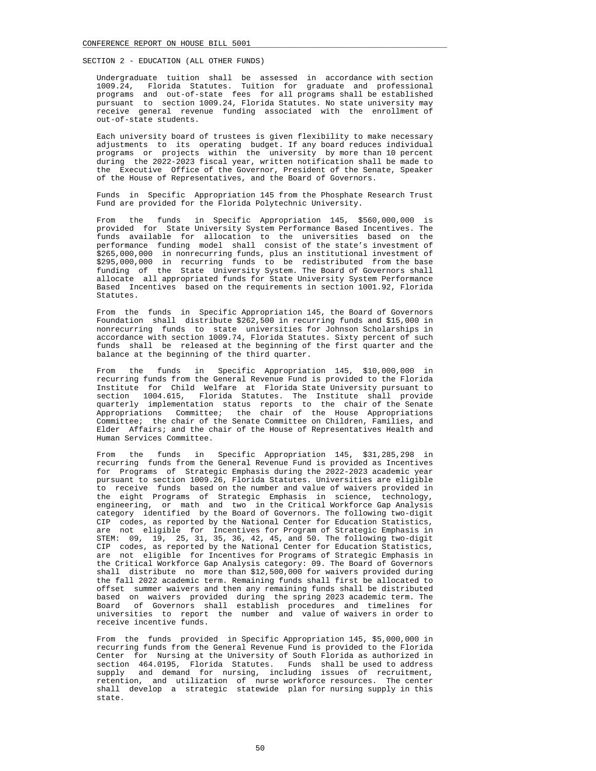Undergraduate tuition shall be assessed in accordance with section 1009.24, Florida Statutes. Tuition for graduate and professional programs and out-of-state fees for all programs shall be established pursuant to section 1009.24, Florida Statutes. No state university may receive general revenue funding associated with the enrollment of out-of-state students.

 Each university board of trustees is given flexibility to make necessary adjustments to its operating budget. If any board reduces individual programs or projects within the university by more than 10 percent during the 2022-2023 fiscal year, written notification shall be made to the Executive Office of the Governor, President of the Senate, Speaker of the House of Representatives, and the Board of Governors.

 Funds in Specific Appropriation 145 from the Phosphate Research Trust Fund are provided for the Florida Polytechnic University.

 From the funds in Specific Appropriation 145, \$560,000,000 is provided for State University System Performance Based Incentives. The funds available for allocation to the universities based on the performance funding model shall consist of the state's investment of \$265,000,000 in nonrecurring funds, plus an institutional investment of \$295,000,000 in recurring funds to be redistributed from the base funding of the State University System. The Board of Governors shall allocate all appropriated funds for State University System Performance Based Incentives based on the requirements in section 1001.92, Florida Statutes.

 From the funds in Specific Appropriation 145, the Board of Governors Foundation shall distribute \$262,500 in recurring funds and \$15,000 in nonrecurring funds to state universities for Johnson Scholarships in accordance with section 1009.74, Florida Statutes. Sixty percent of such funds shall be released at the beginning of the first quarter and the balance at the beginning of the third quarter.

 From the funds in Specific Appropriation 145, \$10,000,000 in recurring funds from the General Revenue Fund is provided to the Florida Institute for Child Welfare at Florida State University pursuant to section 1004.615, Florida Statutes. The Institute shall provide quarterly implementation status reports to the chair of the Senate Appropriations Committee; the chair of the House Appropriations Committee; the chair of the Senate Committee on Children, Families, and Elder Affairs; and the chair of the House of Representatives Health and Human Services Committee.

 From the funds in Specific Appropriation 145, \$31,285,298 in recurring funds from the General Revenue Fund is provided as Incentives for Programs of Strategic Emphasis during the 2022-2023 academic year pursuant to section 1009.26, Florida Statutes. Universities are eligible to receive funds based on the number and value of waivers provided in the eight Programs of Strategic Emphasis in science, technology, engineering, or math and two in the Critical Workforce Gap Analysis category identified by the Board of Governors. The following two-digit CIP codes, as reported by the National Center for Education Statistics, are not eligible for Incentives for Program of Strategic Emphasis in STEM: 09, 19, 25, 31, 35, 36, 42, 45, and 50. The following two-digit CIP codes, as reported by the National Center for Education Statistics, are not eligible for Incentives for Programs of Strategic Emphasis in the Critical Workforce Gap Analysis category: 09. The Board of Governors shall distribute no more than \$12,500,000 for waivers provided during the fall 2022 academic term. Remaining funds shall first be allocated to offset summer waivers and then any remaining funds shall be distributed based on waivers provided during the spring 2023 academic term. The Board of Governors shall establish procedures and timelines for universities to report the number and value of waivers in order to receive incentive funds.

 From the funds provided in Specific Appropriation 145, \$5,000,000 in recurring funds from the General Revenue Fund is provided to the Florida Center for Nursing at the University of South Florida as authorized in section 464.0195, Florida Statutes. Funds shall be used to address supply and demand for nursing, including issues of recruitment, retention, and utilization of nurse workforce resources. The center shall develop a strategic statewide plan for nursing supply in this state.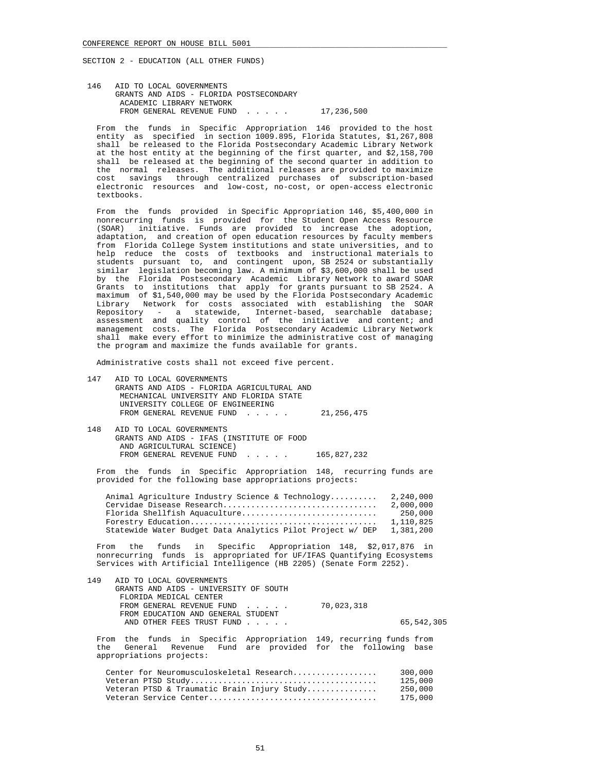146 AID TO LOCAL GOVERNMENTS GRANTS AND AIDS - FLORIDA POSTSECONDARY ACADEMIC LIBRARY NETWORK FROM GENERAL REVENUE FUND . . . . . 17,236,500

 From the funds in Specific Appropriation 146 provided to the host entity as specified in section 1009.895, Florida Statutes, \$1,267,808 shall be released to the Florida Postsecondary Academic Library Network at the host entity at the beginning of the first quarter, and \$2,158,700 shall be released at the beginning of the second quarter in addition to the normal releases. The additional releases are provided to maximize cost savings through centralized purchases of subscription-based electronic resources and low-cost, no-cost, or open-access electronic textbooks.

 From the funds provided in Specific Appropriation 146, \$5,400,000 in nonrecurring funds is provided for the Student Open Access Resource (SOAR) initiative. Funds are provided to increase the adoption, adaptation, and creation of open education resources by faculty members from Florida College System institutions and state universities, and to help reduce the costs of textbooks and instructional materials to students pursuant to, and contingent upon, SB 2524 or substantially similar legislation becoming law. A minimum of \$3,600,000 shall be used by the Florida Postsecondary Academic Library Network to award SOAR Grants to institutions that apply for grants pursuant to SB 2524. A maximum of \$1,540,000 may be used by the Florida Postsecondary Academic Library Network for costs associated with establishing the SOAR Repository - a statewide, Internet-based, searchable database; assessment and quality control of the initiative and content; and management costs. The Florida Postsecondary Academic Library Network shall make every effort to minimize the administrative cost of managing the program and maximize the funds available for grants.

Administrative costs shall not exceed five percent.

- 147 AID TO LOCAL GOVERNMENTS GRANTS AND AIDS - FLORIDA AGRICULTURAL AND MECHANICAL UNIVERSITY AND FLORIDA STATE UNIVERSITY COLLEGE OF ENGINEERING FROM GENERAL REVENUE FUND . . . . . 21,256,475
- 148 AID TO LOCAL GOVERNMENTS GRANTS AND AIDS - IFAS (INSTITUTE OF FOOD AND AGRICULTURAL SCIENCE) FROM GENERAL REVENUE FUND . . . . . 165,827,232

 From the funds in Specific Appropriation 148, recurring funds are provided for the following base appropriations projects:

| Animal Agriculture Industry Science & Technology           | 2,240,000 |
|------------------------------------------------------------|-----------|
| Cervidae Disease Research                                  | 2,000,000 |
| Florida Shellfish Aquaculture                              | 250,000   |
|                                                            | 1,110,825 |
| Statewide Water Budget Data Analytics Pilot Project w/ DEP | 1,381,200 |

 From the funds in Specific Appropriation 148, \$2,017,876 in nonrecurring funds is appropriated for UF/IFAS Quantifying Ecosystems Services with Artificial Intelligence (HB 2205) (Senate Form 2252).

| 149 | AID TO LOCAL GOVERNMENTS              |            |            |
|-----|---------------------------------------|------------|------------|
|     | GRANTS AND AIDS - UNIVERSITY OF SOUTH |            |            |
|     | FLORIDA MEDICAL CENTER                |            |            |
|     | FROM GENERAL REVENUE FUND             | 70,023,318 |            |
|     | FROM EDUCATION AND GENERAL STUDENT    |            |            |
|     | AND OTHER FEES TRUST FUND             |            | 65,542,305 |
|     |                                       |            |            |

 From the funds in Specific Appropriation 149, recurring funds from the General Revenue Fund are provided for the following base appropriations projects:

| Center for Neuromusculoskeletal Research    | 300.000 |
|---------------------------------------------|---------|
|                                             | 125,000 |
| Veteran PTSD & Traumatic Brain Injury Study | 250.000 |
|                                             | 175.000 |
|                                             |         |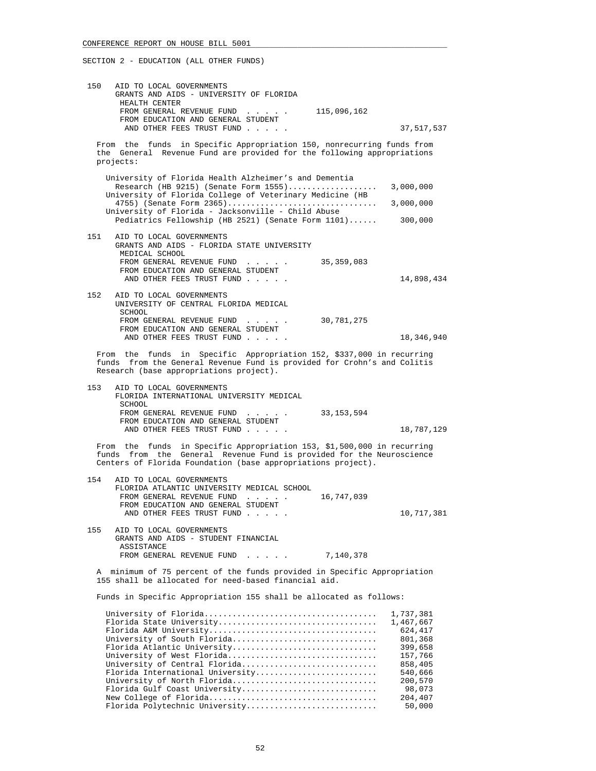| 150 | AID TO LOCAL GOVERNMENTS<br>GRANTS AND AIDS - UNIVERSITY OF FLORIDA<br>HEALTH CENTER<br>FROM GENERAL REVENUE FUND<br>$\ldots$ 115,096,162<br>FROM EDUCATION AND GENERAL STUDENT                                |                      |
|-----|----------------------------------------------------------------------------------------------------------------------------------------------------------------------------------------------------------------|----------------------|
|     | AND OTHER FEES TRUST FUND                                                                                                                                                                                      | 37,517,537           |
|     | From the funds in Specific Appropriation 150, nonrecurring funds from<br>the General Revenue Fund are provided for the following appropriations<br>projects:                                                   |                      |
|     | University of Florida Health Alzheimer's and Dementia                                                                                                                                                          |                      |
|     | Research (HB 9215) (Senate Form $1555)$<br>University of Florida College of Veterinary Medicine (HB                                                                                                            | 3,000,000            |
|     | 4755) (Senate Form 2365)                                                                                                                                                                                       | 3,000,000            |
|     | University of Florida - Jacksonville - Child Abuse<br>Pediatrics Fellowship (HB 2521) (Senate Form 1101)                                                                                                       | 300,000              |
| 151 | AID TO LOCAL GOVERNMENTS                                                                                                                                                                                       |                      |
|     | GRANTS AND AIDS - FLORIDA STATE UNIVERSITY                                                                                                                                                                     |                      |
|     | MEDICAL SCHOOL<br>FROM GENERAL REVENUE FUND<br>35, 359, 083<br>and a state of the                                                                                                                              |                      |
|     | FROM EDUCATION AND GENERAL STUDENT<br>AND OTHER FEES TRUST FUND                                                                                                                                                | 14,898,434           |
|     |                                                                                                                                                                                                                |                      |
| 152 | AID TO LOCAL GOVERNMENTS<br>UNIVERSITY OF CENTRAL FLORIDA MEDICAL                                                                                                                                              |                      |
|     | SCHOOL<br>FROM GENERAL REVENUE FUND<br>30,781,275                                                                                                                                                              |                      |
|     | and a state of the<br>FROM EDUCATION AND GENERAL STUDENT                                                                                                                                                       |                      |
|     | AND OTHER FEES TRUST FUND                                                                                                                                                                                      | 18,346,940           |
|     | From the funds in Specific Appropriation 152, \$337,000 in recurring<br>funds from the General Revenue Fund is provided for Crohn's and Colitis<br>Research (base appropriations project).                     |                      |
| 153 | AID TO LOCAL GOVERNMENTS<br>FLORIDA INTERNATIONAL UNIVERSITY MEDICAL                                                                                                                                           |                      |
|     | SCHOOL<br>FROM GENERAL REVENUE FUND<br>33,153,594                                                                                                                                                              |                      |
|     | FROM EDUCATION AND GENERAL STUDENT<br>AND OTHER FEES TRUST FUND                                                                                                                                                | 18,787,129           |
|     | From the funds in Specific Appropriation 153, \$1,500,000 in recurring<br>funds from the General Revenue Fund is provided for the Neuroscience<br>Centers of Florida Foundation (base appropriations project). |                      |
| 154 | AID TO LOCAL GOVERNMENTS                                                                                                                                                                                       |                      |
|     | FLORIDA ATLANTIC UNIVERSITY MEDICAL SCHOOL                                                                                                                                                                     |                      |
|     | FROM GENERAL REVENUE FUND<br>16,747,039<br>$\cdot$ $\cdot$ $\cdot$ $\cdot$ $\cdot$<br>FROM EDUCATION AND GENERAL STUDENT                                                                                       |                      |
|     | AND OTHER FEES TRUST FUND                                                                                                                                                                                      | 10,717,381           |
| 155 | AID TO LOCAL GOVERNMENTS<br>GRANTS AND AIDS - STUDENT FINANCIAL<br>ASSISTANCE                                                                                                                                  |                      |
|     | FROM GENERAL REVENUE FUND<br>$\mathbf{r}$ , $\mathbf{r}$ , $\mathbf{r}$ , $\mathbf{r}$<br>7,140,378                                                                                                            |                      |
| Α   | minimum of 75 percent of the funds provided in Specific Appropriation<br>155 shall be allocated for need-based financial aid.                                                                                  |                      |
|     | Funds in Specific Appropriation 155 shall be allocated as follows:                                                                                                                                             |                      |
|     |                                                                                                                                                                                                                | 1,737,381            |
|     | Florida State University                                                                                                                                                                                       | 1,467,667<br>624,417 |
|     | University of South Florida                                                                                                                                                                                    | 801,368              |
|     | Florida Atlantic University<br>University of West Florida                                                                                                                                                      | 399,658<br>157,766   |
|     | University of Central Florida                                                                                                                                                                                  | 858,405              |
|     | Florida International University                                                                                                                                                                               | 540,666              |
|     | University of North Florida<br>Florida Gulf Coast University                                                                                                                                                   | 200,570<br>98,073    |
|     |                                                                                                                                                                                                                | 204,407              |
|     | Florida Polytechnic University                                                                                                                                                                                 | 50,000               |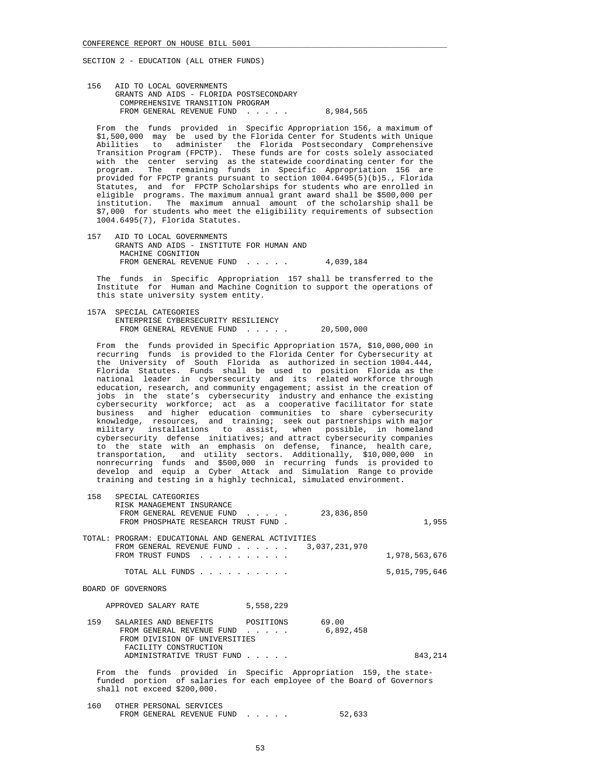156 AID TO LOCAL GOVERNMENTS GRANTS AND AIDS - FLORIDA POSTSECONDARY COMPREHENSIVE TRANSITION PROGRAM FROM GENERAL REVENUE FUND . . . . . 8,984,565

 From the funds provided in Specific Appropriation 156, a maximum of \$1,500,000 may be used by the Florida Center for Students with Unique Abilities to administer the Florida Postsecondary Comprehensive Transition Program (FPCTP). These funds are for costs solely associated with the center serving as the statewide coordinating center for the program. The remaining funds in Specific Appropriation 156 are provided for FPCTP grants pursuant to section 1004.6495(5)(b)5., Florida Statutes, and for FPCTP Scholarships for students who are enrolled in eligible programs. The maximum annual grant award shall be \$500,000 per institution. The maximum annual amount of the scholarship shall be \$7,000 for students who meet the eligibility requirements of subsection 1004.6495(7), Florida Statutes.

 157 AID TO LOCAL GOVERNMENTS GRANTS AND AIDS - INSTITUTE FOR HUMAN AND MACHINE COGNITION FROM GENERAL REVENUE FUND . . . . . 4,039,184

 The funds in Specific Appropriation 157 shall be transferred to the Institute for Human and Machine Cognition to support the operations of this state university system entity.

 157A SPECIAL CATEGORIES ENTERPRISE CYBERSECURITY RESILIENCY FROM GENERAL REVENUE FUND . . . . . 20,500,000

 From the funds provided in Specific Appropriation 157A, \$10,000,000 in recurring funds is provided to the Florida Center for Cybersecurity at the University of South Florida as authorized in section 1004.444, Florida Statutes. Funds shall be used to position Florida as the national leader in cybersecurity and its related workforce through education, research, and community engagement; assist in the creation of jobs in the state's cybersecurity industry and enhance the existing cybersecurity workforce; act as a cooperative facilitator for state business and higher education communities to share cybersecurity knowledge, resources, and training; seek out partnerships with major military installations to assist, when possible, in homeland cybersecurity defense initiatives; and attract cybersecurity companies to the state with an emphasis on defense, finance, health care, transportation, and utility sectors. Additionally, \$10,000,000 in nonrecurring funds and \$500,000 in recurring funds is provided to develop and equip a Cyber Attack and Simulation Range to provide training and testing in a highly technical, simulated environment.

| 158                                                                                                                                                                        | SPECIAL CATEGORIES<br>RISK MANAGEMENT INSURANCE<br>FROM GENERAL REVENUE FUND<br>23,836,850<br>$\sim$ $\sim$ $\sim$ $\sim$ $\sim$<br>FROM PHOSPHATE RESEARCH TRUST FUND. | 1,955         |
|----------------------------------------------------------------------------------------------------------------------------------------------------------------------------|-------------------------------------------------------------------------------------------------------------------------------------------------------------------------|---------------|
|                                                                                                                                                                            | TOTAL: PROGRAM: EDUCATIONAL AND GENERAL ACTIVITIES<br>FROM GENERAL REVENUE FUND $\ldots$ , $\ldots$ , 3,037,231,970<br>FROM TRUST FUNDS                                 | 1,978,563,676 |
|                                                                                                                                                                            | TOTAL ALL FUNDS                                                                                                                                                         | 5,015,795,646 |
|                                                                                                                                                                            | BOARD OF GOVERNORS                                                                                                                                                      |               |
|                                                                                                                                                                            | 5,558,229<br>APPROVED SALARY RATE                                                                                                                                       |               |
| 159                                                                                                                                                                        | SALARIES AND BENEFITS POSITIONS 69.00<br>6,892,458<br>FROM GENERAL REVENUE FUND<br>FROM DIVISION OF UNIVERSITIES<br>FACILITY CONSTRUCTION                               |               |
|                                                                                                                                                                            | ADMINISTRATIVE TRUST FUND                                                                                                                                               | 843,214       |
| From the funds provided in Specific Appropriation 159, the state-<br>funded portion of salaries for each employee of the Board of Governors<br>shall not exceed \$200,000. |                                                                                                                                                                         |               |
|                                                                                                                                                                            | 160 OTHER PERSONAL SERVICES                                                                                                                                             |               |

FROM GENERAL REVENUE FUND . . . . . 52,633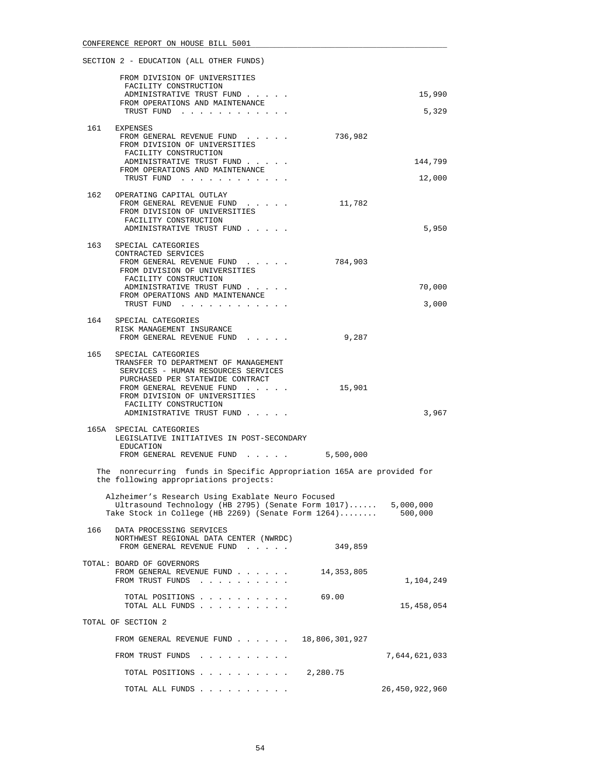|     | FROM DIVISION OF UNIVERSITIES<br>FACILITY CONSTRUCTION                                                                                                                                                                                                        |                              |
|-----|---------------------------------------------------------------------------------------------------------------------------------------------------------------------------------------------------------------------------------------------------------------|------------------------------|
|     | ADMINISTRATIVE TRUST FUND<br>FROM OPERATIONS AND MAINTENANCE                                                                                                                                                                                                  | 15,990                       |
|     | TRUST FUND                                                                                                                                                                                                                                                    | 5,329                        |
|     | 161 EXPENSES<br>FROM GENERAL REVENUE FUND<br>FROM DIVISION OF UNIVERSITIES<br>FACILITY CONSTRUCTION<br>ADMINISTRATIVE TRUST FUND<br>FROM OPERATIONS AND MAINTENANCE<br>TRUST FUND                                                                             | 736,982<br>144,799<br>12,000 |
|     | 162 OPERATING CAPITAL OUTLAY<br>FROM GENERAL REVENUE FUND<br>FROM DIVISION OF UNIVERSITIES<br>FACILITY CONSTRUCTION<br>ADMINISTRATIVE TRUST FUND                                                                                                              | 11,782<br>5,950              |
| 163 | SPECIAL CATEGORIES<br>CONTRACTED SERVICES<br>FROM GENERAL REVENUE FUND<br>FROM DIVISION OF UNIVERSITIES<br>FACILITY CONSTRUCTION<br>ADMINISTRATIVE TRUST FUND<br>FROM OPERATIONS AND MAINTENANCE<br>TRUST FUND                                                | 784,903<br>70,000<br>3,000   |
| 164 | SPECIAL CATEGORIES<br>RISK MANAGEMENT INSURANCE<br>FROM GENERAL REVENUE FUND                                                                                                                                                                                  | 9,287                        |
|     | 165 SPECIAL CATEGORIES<br>TRANSFER TO DEPARTMENT OF MANAGEMENT<br>SERVICES - HUMAN RESOURCES SERVICES<br>PURCHASED PER STATEWIDE CONTRACT<br>FROM GENERAL REVENUE FUND<br>FROM DIVISION OF UNIVERSITIES<br>FACILITY CONSTRUCTION<br>ADMINISTRATIVE TRUST FUND | 15,901<br>3,967              |
|     | 165A SPECIAL CATEGORIES<br>LEGISLATIVE INITIATIVES IN POST-SECONDARY<br>EDUCATION<br>FROM GENERAL REVENUE FUND 5,500,000                                                                                                                                      |                              |
|     | The nonrecurring funds in Specific Appropriation 165A are provided for<br>the following appropriations projects:                                                                                                                                              |                              |
|     | Alzheimer's Research Using Exablate Neuro Focused<br>Ultrasound Technology (HB 2795) (Senate Form $1017) \ldots$<br>Take Stock in College (HB 2269) (Senate Form $1264) \ldots \ldots$                                                                        | 5,000,000<br>500,000         |
| 166 | DATA PROCESSING SERVICES<br>NORTHWEST REGIONAL DATA CENTER (NWRDC)<br>FROM GENERAL REVENUE FUND                                                                                                                                                               | 349,859                      |
|     | TOTAL: BOARD OF GOVERNORS<br>FROM GENERAL REVENUE FUND<br>FROM TRUST FUNDS                                                                                                                                                                                    | 14,353,805<br>1,104,249      |
|     | TOTAL POSITIONS<br>TOTAL ALL FUNDS                                                                                                                                                                                                                            | 69.00<br>15,458,054          |
|     | TOTAL OF SECTION 2                                                                                                                                                                                                                                            |                              |
|     | FROM GENERAL REVENUE FUND $\ldots$ $\ldots$ $\ldots$ 18,806,301,927                                                                                                                                                                                           |                              |
|     | FROM TRUST FUNDS                                                                                                                                                                                                                                              | 7,644,621,033                |
|     | TOTAL POSITIONS $\ldots$ , $\ldots$ , $\ldots$ , 2,280.75                                                                                                                                                                                                     |                              |
|     | TOTAL ALL FUNDS                                                                                                                                                                                                                                               | 26, 450, 922, 960            |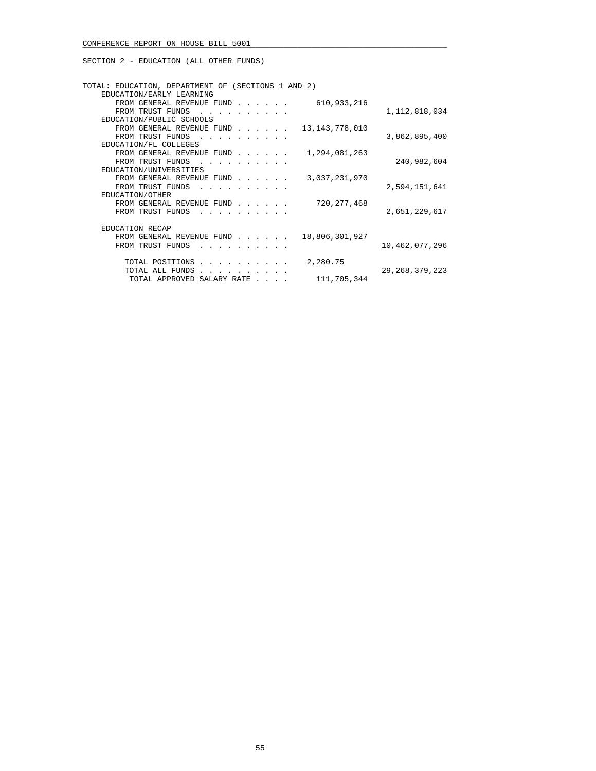| TOTAL: EDUCATION, DEPARTMENT OF (SECTIONS 1 AND 2)<br>EDUCATION/EARLY LEARNING                                                      |                   |
|-------------------------------------------------------------------------------------------------------------------------------------|-------------------|
| FROM GENERAL REVENUE FUND                                                                                                           | 610,933,216       |
| FROM TRUST FUNDS<br>and the contract of the contract of                                                                             | 1, 112, 818, 034  |
| EDUCATION/PUBLIC SCHOOLS                                                                                                            |                   |
| FROM GENERAL REVENUE FUND<br>13,143,778,010                                                                                         |                   |
| FROM TRUST FUNDS<br>and the state of the state of the state of the state of the state of the state of the state of the state of the | 3,862,895,400     |
| EDUCATION/FL COLLEGES                                                                                                               |                   |
| FROM GENERAL REVENUE FUND                                                                                                           | 1,294,081,263     |
| FROM TRUST FUNDS<br>$\sim$ $\sim$ $\sim$ $\sim$                                                                                     | 240,982,604       |
| EDUCATION/UNIVERSITIES                                                                                                              |                   |
| FROM GENERAL REVENUE FUND                                                                                                           | 3,037,231,970     |
| FROM TRUST FUNDS<br>and a strain and a strain and a                                                                                 | 2,594,151,641     |
| EDUCATION/OTHER                                                                                                                     |                   |
| FROM GENERAL REVENUE FUND                                                                                                           | 720, 277, 468     |
| FROM TRUST FUNDS                                                                                                                    | 2,651,229,617     |
| <b>EDUCATION RECAP</b>                                                                                                              |                   |
| FROM GENERAL REVENUE FUND                                                                                                           | 18,806,301,927    |
| FROM TRUST FUNDS                                                                                                                    | 10,462,077,296    |
|                                                                                                                                     |                   |
| 2,280.75<br>TOTAL POSITIONS                                                                                                         |                   |
| TOTAL ALL FUNDS<br>$\mathbf{r}$ , $\mathbf{r}$ , $\mathbf{r}$ , $\mathbf{r}$                                                        | 29, 268, 379, 223 |
| TOTAL APPROVED SALARY RATE<br>$\sim$ $\sim$ $\sim$ $\sim$                                                                           | 111,705,344       |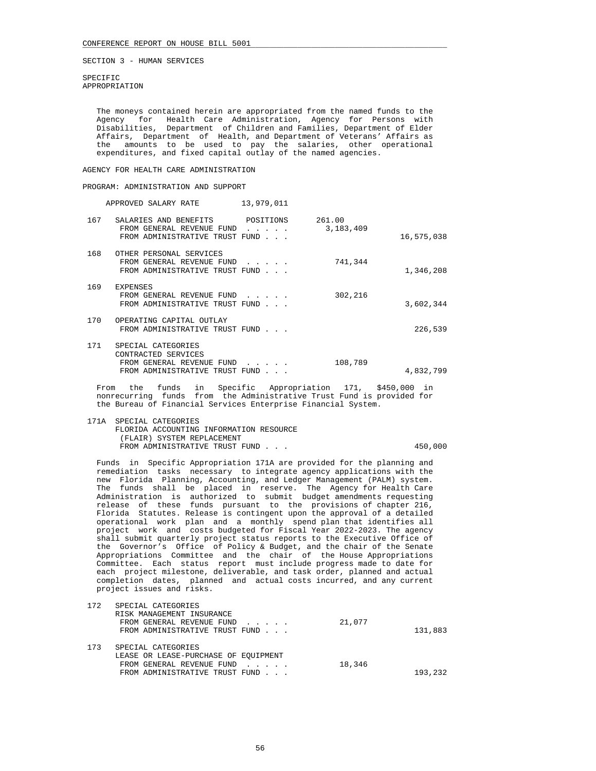SPECIFIC APPROPRIATION

 The moneys contained herein are appropriated from the named funds to the Agency for Health Care Administration, Agency for Persons with Disabilities, Department of Children and Families, Department of Elder Affairs, Department of Health, and Department of Veterans' Affairs as the amounts to be used to pay the salaries, other operational expenditures, and fixed capital outlay of the named agencies.

# AGENCY FOR HEALTH CARE ADMINISTRATION

## PROGRAM: ADMINISTRATION AND SUPPORT

171A SPECIAL CATEGORIES

APPROVED SALARY RATE 13,979,011

| 167 | SALARIES AND BENEFITS                                                                                    | POSITIONS                                                                | 261.00    |            |
|-----|----------------------------------------------------------------------------------------------------------|--------------------------------------------------------------------------|-----------|------------|
|     | FROM GENERAL REVENUE FUND<br>FROM ADMINISTRATIVE TRUST FUND                                              | .                                                                        | 3,183,409 | 16,575,038 |
| 168 | OTHER PERSONAL SERVICES<br>FROM GENERAL REVENUE FUND<br>FROM ADMINISTRATIVE TRUST FUND                   | $\mathbf{r}$ , $\mathbf{r}$ , $\mathbf{r}$ , $\mathbf{r}$ , $\mathbf{r}$ | 741,344   | 1,346,208  |
| 169 | <b>EXPENSES</b><br>FROM GENERAL REVENUE FUND<br>FROM ADMINISTRATIVE TRUST FUND                           |                                                                          | 302,216   | 3,602,344  |
| 170 | OPERATING CAPITAL OUTLAY<br>FROM ADMINISTRATIVE TRUST FUND                                               |                                                                          |           | 226,539    |
| 171 | SPECIAL CATEGORIES<br>CONTRACTED SERVICES<br>FROM GENERAL REVENUE FUND<br>FROM ADMINISTRATIVE TRUST FUND |                                                                          | 108,789   | 4,832,799  |

 From the funds in Specific Appropriation 171, \$450,000 in nonrecurring funds from the Administrative Trust Fund is provided for the Bureau of Financial Services Enterprise Financial System.

|  | I/IA SPECIAL CAIEGORIES                 |         |
|--|-----------------------------------------|---------|
|  | FLORIDA ACCOUNTING INFORMATION RESOURCE |         |
|  | (FLAIR) SYSTEM REPLACEMENT              |         |
|  | FROM ADMINISTRATIVE TRUST FUND          | 450,000 |
|  |                                         |         |

 Funds in Specific Appropriation 171A are provided for the planning and remediation tasks necessary to integrate agency applications with the new Florida Planning, Accounting, and Ledger Management (PALM) system. The funds shall be placed in reserve. The Agency for Health Care Administration is authorized to submit budget amendments requesting release of these funds pursuant to the provisions of chapter 216, Florida Statutes. Release is contingent upon the approval of a detailed operational work plan and a monthly spend plan that identifies all project work and costs budgeted for Fiscal Year 2022-2023. The agency shall submit quarterly project status reports to the Executive Office of the Governor's Office of Policy & Budget, and the chair of the Senate Appropriations Committee and the chair of the House Appropriations Committee. Each status report must include progress made to date for each project milestone, deliverable, and task order, planned and actual completion dates, planned and actual costs incurred, and any current project issues and risks.

| 172 | SPECIAL CATEGORIES<br>RISK MANAGEMENT INSURANCE<br>FROM GENERAL REVENUE FUND<br>FROM ADMINISTRATIVE TRUST FUND | 21,077 | 131,883 |
|-----|----------------------------------------------------------------------------------------------------------------|--------|---------|
| 173 | SPECIAL CATEGORIES<br>LEASE OR LEASE-PURCHASE OF EOUIPMENT<br>FROM GENERAL REVENUE FUND                        | 18,346 |         |
|     | FROM ADMINISTRATIVE TRUST FUND                                                                                 |        | 193,232 |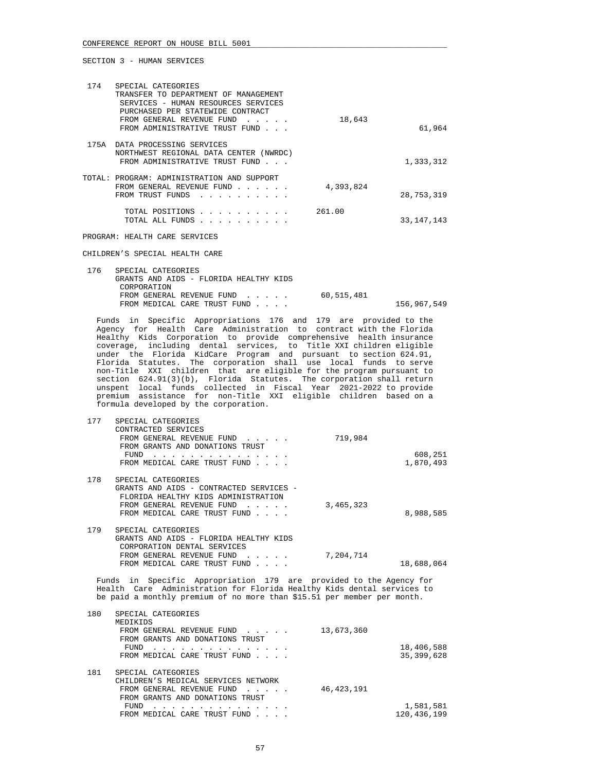| 174  | SPECIAL CATEGORIES<br>TRANSFER TO DEPARTMENT OF MANAGEMENT<br>SERVICES - HUMAN RESOURCES SERVICES<br>PURCHASED PER STATEWIDE CONTRACT<br>FROM GENERAL REVENUE FUND<br>FROM ADMINISTRATIVE TRUST FUND                                                                                                                                                                 | 18,643    | 61,964       |
|------|----------------------------------------------------------------------------------------------------------------------------------------------------------------------------------------------------------------------------------------------------------------------------------------------------------------------------------------------------------------------|-----------|--------------|
| 175A | DATA PROCESSING SERVICES<br>NORTHWEST REGIONAL DATA CENTER (NWRDC)<br>FROM ADMINISTRATIVE TRUST FUND                                                                                                                                                                                                                                                                 |           | 1,333,312    |
|      | TOTAL: PROGRAM: ADMINISTRATION AND SUPPORT<br>FROM GENERAL REVENUE FUND<br>the contract of the contract of the<br>FROM TRUST FUNDS<br>and a series of the series of the series of the series of the series of the series of the series of the series of the series of the series of the series of the series of the series of the series of the series of the series | 4,393,824 | 28,753,319   |
|      | TOTAL POSITIONS<br>$\begin{array}{cccccccccccccccccc} . & . & . & . & . & . & . & . & . & . & . & . & . & . \end{array}$<br>TOTAL ALL FUNDS                                                                                                                                                                                                                          | 261.00    | 33, 147, 143 |

PROGRAM: HEALTH CARE SERVICES

CHILDREN'S SPECIAL HEALTH CARE

| 176 | SPECIAL CATEGORIES                     |            |             |
|-----|----------------------------------------|------------|-------------|
|     | GRANTS AND AIDS - FLORIDA HEALTHY KIDS |            |             |
|     | CORPORATION                            |            |             |
|     | FROM GENERAL REVENUE FUND              | 60,515,481 |             |
|     | FROM MEDICAL CARE TRUST FUND           |            | 156,967,549 |

 Funds in Specific Appropriations 176 and 179 are provided to the Agency for Health Care Administration to contract with the Florida Healthy Kids Corporation to provide comprehensive health insurance coverage, including dental services, to Title XXI children eligible under the Florida KidCare Program and pursuant to section 624.91, Florida Statutes. The corporation shall use local funds to serve non-Title XXI children that are eligible for the program pursuant to section 624.91(3)(b), Florida Statutes. The corporation shall return unspent local funds collected in Fiscal Year 2021-2022 to provide premium assistance for non-Title XXI eligible children based on a formula developed by the corporation.

| 177 | SPECIAL CATEGORIES                                                                                                                                     |           |            |
|-----|--------------------------------------------------------------------------------------------------------------------------------------------------------|-----------|------------|
|     | CONTRACTED SERVICES                                                                                                                                    |           |            |
|     | FROM GENERAL REVENUE FUND                                                                                                                              | 719,984   |            |
|     | FROM GRANTS AND DONATIONS TRUST                                                                                                                        |           |            |
|     | FUND                                                                                                                                                   |           | 608,251    |
|     | FROM MEDICAL CARE TRUST FUND                                                                                                                           |           | 1,870,493  |
| 178 | SPECIAL CATEGORIES                                                                                                                                     |           |            |
|     | GRANTS AND AIDS - CONTRACTED SERVICES -                                                                                                                |           |            |
|     | FLORIDA HEALTHY KIDS ADMINISTRATION                                                                                                                    |           |            |
|     | FROM GENERAL REVENUE FUND<br>the contract of the contract of                                                                                           | 3,465,323 |            |
|     | FROM MEDICAL CARE TRUST FUND                                                                                                                           |           | 8,988,585  |
|     |                                                                                                                                                        |           |            |
| 179 | SPECIAL CATEGORIES                                                                                                                                     |           |            |
|     | GRANTS AND AIDS - FLORIDA HEALTHY KIDS                                                                                                                 |           |            |
|     | CORPORATION DENTAL SERVICES                                                                                                                            |           |            |
|     | FROM GENERAL REVENUE FUND<br>$\begin{array}{cccccccccccccc} \bullet & \bullet & \bullet & \bullet & \bullet & \bullet & \bullet & \bullet \end{array}$ | 7,204,714 |            |
|     | FROM MEDICAL CARE TRUST FUND<br>.                                                                                                                      |           | 18,688,064 |

 Funds in Specific Appropriation 179 are provided to the Agency for Health Care Administration for Florida Healthy Kids dental services to be paid a monthly premium of no more than \$15.51 per member per month.

| 180 | SPECIAL CATEGORIES                                                             |              |              |
|-----|--------------------------------------------------------------------------------|--------------|--------------|
|     | MEDIKIDS                                                                       |              |              |
|     | FROM GENERAL REVENUE FUND                                                      | 13,673,360   |              |
|     | FROM GRANTS AND DONATIONS TRUST                                                |              |              |
|     | FUND                                                                           |              | 18,406,588   |
|     | FROM MEDICAL CARE TRUST FUND                                                   |              | 35, 399, 628 |
|     |                                                                                |              |              |
| 181 | SPECIAL CATEGORIES                                                             |              |              |
|     | CHILDREN'S MEDICAL SERVICES NETWORK                                            |              |              |
|     | FROM GENERAL REVENUE FUND<br>$\mathbf{r}$ . The set of the set of $\mathbf{r}$ | 46, 423, 191 |              |
|     | FROM GRANTS AND DONATIONS TRUST                                                |              |              |
|     | FUND                                                                           |              | 1,581,581    |
|     | FROM MEDICAL CARE TRUST FUND                                                   |              | 120,436,199  |
|     |                                                                                |              |              |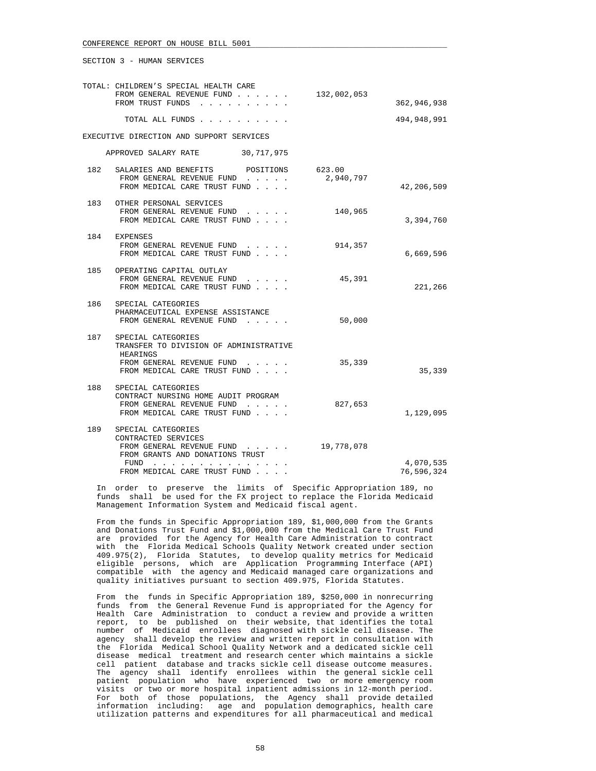|     | TOTAL: CHILDREN'S SPECIAL HEALTH CARE                                                                                                                                                                                                                                 |             |                         |
|-----|-----------------------------------------------------------------------------------------------------------------------------------------------------------------------------------------------------------------------------------------------------------------------|-------------|-------------------------|
|     | FROM GENERAL REVENUE FUND<br>FROM TRUST FUNDS                                                                                                                                                                                                                         | 132,002,053 | 362,946,938             |
|     | TOTAL ALL FUNDS                                                                                                                                                                                                                                                       |             | 494,948,991             |
|     | EXECUTIVE DIRECTION AND SUPPORT SERVICES                                                                                                                                                                                                                              |             |                         |
|     | APPROVED SALARY RATE 30,717,975                                                                                                                                                                                                                                       |             |                         |
| 182 | SALARIES AND BENEFITS POSITIONS 623.00<br>FROM GENERAL REVENUE FUND<br>FROM MEDICAL CARE TRUST FUND                                                                                                                                                                   | 2,940,797   | 42,206,509              |
| 183 | OTHER PERSONAL SERVICES<br>FROM GENERAL REVENUE FUND<br>FROM MEDICAL CARE TRUST FUND                                                                                                                                                                                  | 140,965     | 3,394,760               |
|     | 184 EXPENSES<br>FROM GENERAL REVENUE FUND<br>FROM MEDICAL CARE TRUST FUND                                                                                                                                                                                             | 914,357     | 6,669,596               |
|     | 185 OPERATING CAPITAL OUTLAY<br>FROM GENERAL REVENUE FUND<br>FROM MEDICAL CARE TRUST FUND                                                                                                                                                                             | 45,391      | 221,266                 |
| 186 | SPECIAL CATEGORIES<br>PHARMACEUTICAL EXPENSE ASSISTANCE<br>FROM GENERAL REVENUE FUND                                                                                                                                                                                  | 50,000      |                         |
|     | 187 SPECIAL CATEGORIES<br>TRANSFER TO DIVISION OF ADMINISTRATIVE<br>HEARINGS<br>FROM GENERAL REVENUE FUND<br>FROM MEDICAL CARE TRUST FUND                                                                                                                             | 35,339      | 35,339                  |
| 188 | SPECIAL CATEGORIES<br>CONTRACT NURSING HOME AUDIT PROGRAM<br>FROM GENERAL REVENUE FUND<br>and the second service of the service<br>FROM MEDICAL CARE TRUST FUND                                                                                                       | 827,653     | 1,129,095               |
| 189 | SPECIAL CATEGORIES<br>CONTRACTED SERVICES<br>FROM GENERAL REVENUE FUND<br>FROM GRANTS AND DONATIONS TRUST<br>FUND<br>the contract of the contract of the contract of the contract of the contract of the contract of the contract of<br>FROM MEDICAL CARE TRUST FUND. | 19,778,078  | 4,070,535<br>76,596,324 |
|     |                                                                                                                                                                                                                                                                       |             |                         |

 In order to preserve the limits of Specific Appropriation 189, no funds shall be used for the FX project to replace the Florida Medicaid Management Information System and Medicaid fiscal agent.

 From the funds in Specific Appropriation 189, \$1,000,000 from the Grants and Donations Trust Fund and \$1,000,000 from the Medical Care Trust Fund are provided for the Agency for Health Care Administration to contract with the Florida Medical Schools Quality Network created under section 409.975(2), Florida Statutes, to develop quality metrics for Medicaid eligible persons, which are Application Programming Interface (API) compatible with the agency and Medicaid managed care organizations and quality initiatives pursuant to section 409.975, Florida Statutes.

 From the funds in Specific Appropriation 189, \$250,000 in nonrecurring funds from the General Revenue Fund is appropriated for the Agency for Health Care Administration to conduct a review and provide a written report, to be published on their website, that identifies the total number of Medicaid enrollees diagnosed with sickle cell disease. The agency shall develop the review and written report in consultation with the Florida Medical School Quality Network and a dedicated sickle cell disease medical treatment and research center which maintains a sickle cell patient database and tracks sickle cell disease outcome measures. The agency shall identify enrollees within the general sickle cell patient population who have experienced two or more emergency room visits or two or more hospital inpatient admissions in 12-month period. For both of those populations, the Agency shall provide detailed information including: age and population demographics, health care utilization patterns and expenditures for all pharmaceutical and medical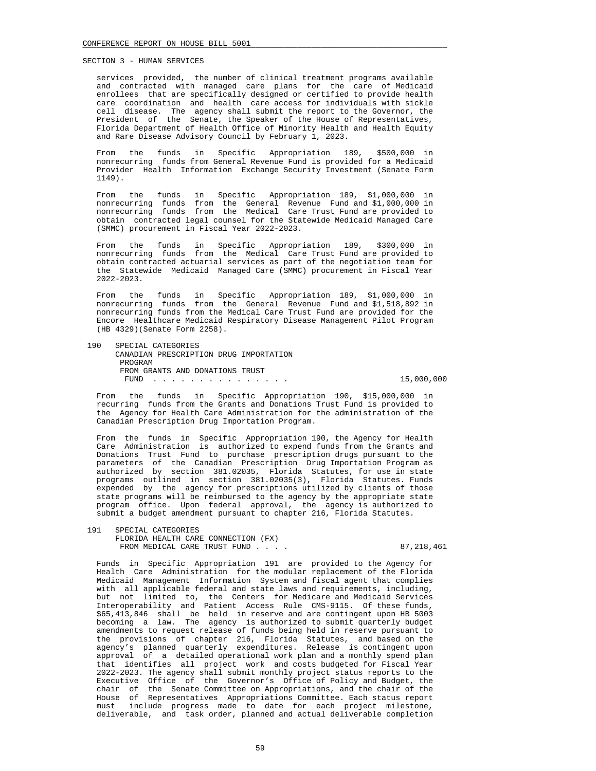services provided, the number of clinical treatment programs available and contracted with managed care plans for the care of Medicaid enrollees that are specifically designed or certified to provide health care coordination and health care access for individuals with sickle cell disease. The agency shall submit the report to the Governor, the President of the Senate, the Speaker of the House of Representatives, Florida Department of Health Office of Minority Health and Health Equity and Rare Disease Advisory Council by February 1, 2023.

 From the funds in Specific Appropriation 189, \$500,000 in nonrecurring funds from General Revenue Fund is provided for a Medicaid Provider Health Information Exchange Security Investment (Senate Form 1149).

 From the funds in Specific Appropriation 189, \$1,000,000 in nonrecurring funds from the General Revenue Fund and \$1,000,000 in nonrecurring funds from the Medical Care Trust Fund are provided to obtain contracted legal counsel for the Statewide Medicaid Managed Care (SMMC) procurement in Fiscal Year 2022-2023.

 From the funds in Specific Appropriation 189, \$300,000 in nonrecurring funds from the Medical Care Trust Fund are provided to obtain contracted actuarial services as part of the negotiation team for the Statewide Medicaid Managed Care (SMMC) procurement in Fiscal Year 2022-2023.

 From the funds in Specific Appropriation 189, \$1,000,000 in nonrecurring funds from the General Revenue Fund and \$1,518,892 in nonrecurring funds from the Medical Care Trust Fund are provided for the Encore Healthcare Medicaid Respiratory Disease Management Pilot Program (HB 4329)(Senate Form 2258).

 190 SPECIAL CATEGORIES CANADIAN PRESCRIPTION DRUG IMPORTATION PROGRAM FROM GRANTS AND DONATIONS TRUST FUND . . . . . . . . . . . . . . . 15,000,000

 From the funds in Specific Appropriation 190, \$15,000,000 in recurring funds from the Grants and Donations Trust Fund is provided to the Agency for Health Care Administration for the administration of the Canadian Prescription Drug Importation Program.

 From the funds in Specific Appropriation 190, the Agency for Health Care Administration is authorized to expend funds from the Grants and Donations Trust Fund to purchase prescription drugs pursuant to the parameters of the Canadian Prescription Drug Importation Program as authorized by section 381.02035, Florida Statutes, for use in state programs outlined in section 381.02035(3), Florida Statutes. Funds expended by the agency for prescriptions utilized by clients of those state programs will be reimbursed to the agency by the appropriate state program office. Upon federal approval, the agency is authorized to submit a budget amendment pursuant to chapter 216, Florida Statutes.

 191 SPECIAL CATEGORIES FLORIDA HEALTH CARE CONNECTION (FX) FROM MEDICAL CARE TRUST FUND . . . . . . . 87,218,461

 Funds in Specific Appropriation 191 are provided to the Agency for Health Care Administration for the modular replacement of the Florida Medicaid Management Information System and fiscal agent that complies with all applicable federal and state laws and requirements, including, but not limited to, the Centers for Medicare and Medicaid Services Interoperability and Patient Access Rule CMS-9115. Of these funds, \$65,413,846 shall be held in reserve and are contingent upon HB 5003 becoming a law. The agency is authorized to submit quarterly budget amendments to request release of funds being held in reserve pursuant to the provisions of chapter 216, Florida Statutes, and based on the agency's planned quarterly expenditures. Release is contingent upon approval of a detailed operational work plan and a monthly spend plan that identifies all project work and costs budgeted for Fiscal Year 2022-2023. The agency shall submit monthly project status reports to the Executive Office of the Governor's Office of Policy and Budget, the chair of the Senate Committee on Appropriations, and the chair of the House of Representatives Appropriations Committee. Each status report must include progress made to date for each project milestone, deliverable, and task order, planned and actual deliverable completion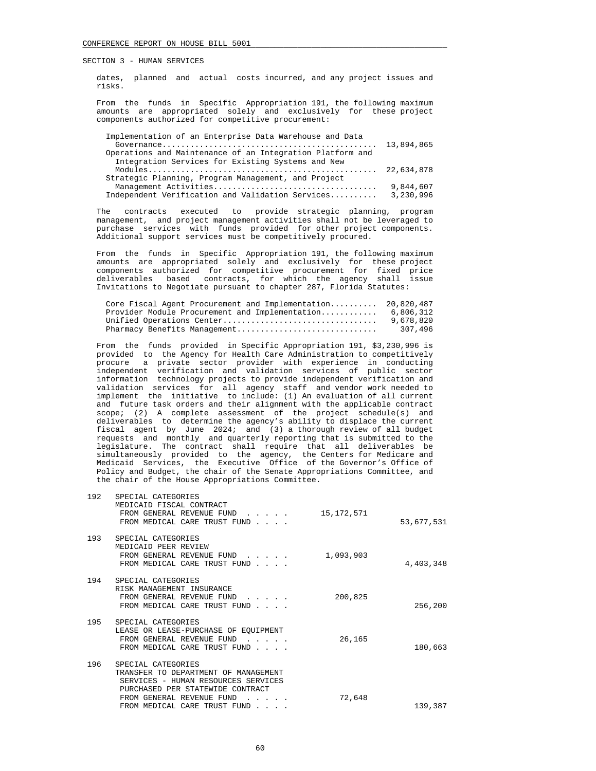dates, planned and actual costs incurred, and any project issues and risks.

 From the funds in Specific Appropriation 191, the following maximum amounts are appropriated solely and exclusively for these project components authorized for competitive procurement:

| Implementation of an Enterprise Data Warehouse and Data   |           |
|-----------------------------------------------------------|-----------|
|                                                           |           |
| Operations and Maintenance of an Integration Platform and |           |
| Integration Services for Existing Systems and New         |           |
|                                                           |           |
| Strategic Planning, Program Management, and Project       |           |
|                                                           | 9,844,607 |
| Independent Verification and Validation Services          | 3,230,996 |

 The contracts executed to provide strategic planning, program management, and project management activities shall not be leveraged to purchase services with funds provided for other project components. Additional support services must be competitively procured.

 From the funds in Specific Appropriation 191, the following maximum amounts are appropriated solely and exclusively for these project components authorized for competitive procurement for fixed price deliverables based contracts, for which the agency shall issue Invitations to Negotiate pursuant to chapter 287, Florida Statutes:

| Core Fiscal Agent Procurement and Implementation 20,820,487 |           |
|-------------------------------------------------------------|-----------|
| Provider Module Procurement and Implementation              | 6,806,312 |
| Unified Operations Center                                   | 9,678,820 |
| Pharmacy Benefits Management                                | 307,496   |

 From the funds provided in Specific Appropriation 191, \$3,230,996 is provided to the Agency for Health Care Administration to competitively procure a private sector provider with experience in conducting independent verification and validation services of public sector information technology projects to provide independent verification and validation services for all agency staff and vendor work needed to implement the initiative to include: (1) An evaluation of all current and future task orders and their alignment with the applicable contract scope; (2) A complete assessment of the project schedule(s) and deliverables to determine the agency's ability to displace the current fiscal agent by June 2024; and (3) a thorough review of all budget requests and monthly and quarterly reporting that is submitted to the legislature. The contract shall require that all deliverables be simultaneously provided to the agency, the Centers for Medicare and Medicaid Services, the Executive Office of the Governor's Office of Policy and Budget, the chair of the Senate Appropriations Committee, and the chair of the House Appropriations Committee.

| 53,677,531 | 15, 172, 571 | SPECIAL CATEGORIES<br>MEDICAID FISCAL CONTRACT<br>FROM GENERAL REVENUE FUND<br>FROM MEDICAL CARE TRUST FUND                                                                     | 192 |
|------------|--------------|---------------------------------------------------------------------------------------------------------------------------------------------------------------------------------|-----|
| 4,403,348  | 1,093,903    | SPECIAL CATEGORIES<br>MEDICAID PEER REVIEW<br>FROM GENERAL REVENUE FUND<br>and a state of the state of<br>FROM MEDICAL CARE TRUST FUND                                          | 193 |
| 256,200    | 200,825      | SPECIAL CATEGORIES<br>RISK MANAGEMENT INSURANCE<br>FROM GENERAL REVENUE FUND<br>$\mathbf{1}$ and $\mathbf{1}$ and $\mathbf{1}$ and $\mathbf{1}$<br>FROM MEDICAL CARE TRUST FUND | 194 |
| 180,663    | 26,165       | SPECIAL CATEGORIES<br>LEASE OR LEASE-PURCHASE OF EOUIPMENT<br>FROM GENERAL REVENUE FUND<br>FROM MEDICAL CARE TRUST FUND                                                         | 195 |
|            | 72,648       | SPECIAL CATEGORIES<br>TRANSFER TO DEPARTMENT OF MANAGEMENT<br>SERVICES - HUMAN RESOURCES SERVICES<br>PURCHASED PER STATEWIDE CONTRACT<br>FROM GENERAL REVENUE FUND              | 196 |
| 139,387    |              | FROM MEDICAL CARE TRUST FUND<br><b>Contract Contract</b>                                                                                                                        |     |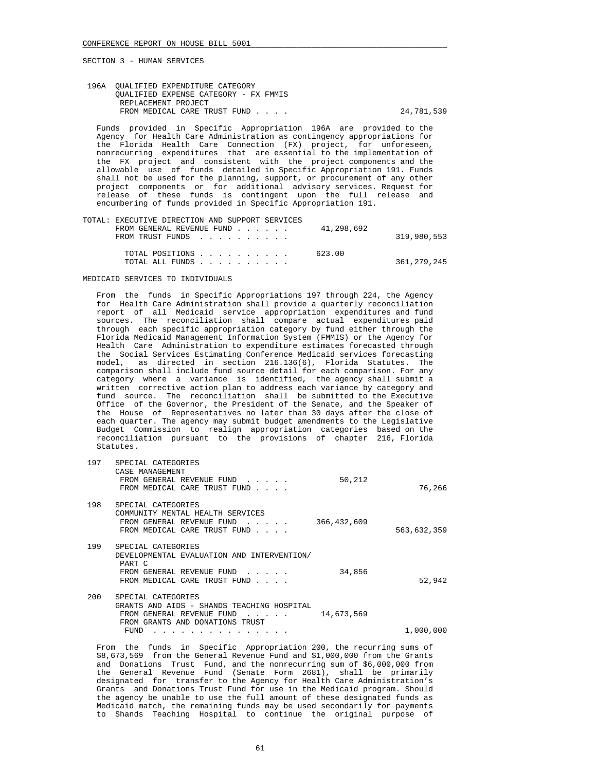196A QUALIFIED EXPENDITURE CATEGORY QUALIFIED EXPENSE CATEGORY - FX FMMIS REPLACEMENT PROJECT FROM MEDICAL CARE TRUST FUND . . . . . 24,781,539

 Funds provided in Specific Appropriation 196A are provided to the Agency for Health Care Administration as contingency appropriations for the Florida Health Care Connection (FX) project, for unforeseen, nonrecurring expenditures that are essential to the implementation of the FX project and consistent with the project components and the allowable use of funds detailed in Specific Appropriation 191. Funds shall not be used for the planning, support, or procurement of any other project components or for additional advisory services. Request for release of these funds is contingent upon the full release and encumbering of funds provided in Specific Appropriation 191.

| TOTAL: EXECUTIVE DIRECTION AND SUPPORT SERVICES                 |               |
|-----------------------------------------------------------------|---------------|
| FROM GENERAL REVENUE FUND $\ldots$ $\ldots$ $\qquad$ 41,298,692 |               |
| FROM TRUST FUNDS                                                | 319,980,553   |
| TOTAL POSITIONS                                                 | 623.00        |
| TOTAL ALL FUNDS                                                 | 361, 279, 245 |

#### MEDICAID SERVICES TO INDIVIDUALS

 From the funds in Specific Appropriations 197 through 224, the Agency for Health Care Administration shall provide a quarterly reconciliation report of all Medicaid service appropriation expenditures and fund sources. The reconciliation shall compare actual expenditures paid through each specific appropriation category by fund either through the Florida Medicaid Management Information System (FMMIS) or the Agency for Health Care Administration to expenditure estimates forecasted through the Social Services Estimating Conference Medicaid services forecasting model, as directed in section 216.136(6), Florida Statutes. The comparison shall include fund source detail for each comparison. For any category where a variance is identified, the agency shall submit a written corrective action plan to address each variance by category and fund source. The reconciliation shall be submitted to the Executive Office of the Governor, the President of the Senate, and the Speaker of the House of Representatives no later than 30 days after the close of each quarter. The agency may submit budget amendments to the Legislative Budget Commission to realign appropriation categories based on the reconciliation pursuant to the provisions of chapter 216, Florida Statutes.

| 76,266      | 50,212      | SPECIAL CATEGORIES<br>CASE MANAGEMENT<br>FROM GENERAL REVENUE FUND<br>$\mathbf{r}$ , $\mathbf{r}$ , $\mathbf{r}$ , $\mathbf{r}$<br>FROM MEDICAL CARE TRUST FUND<br>$\sim$ $\sim$ $\sim$ $\sim$                                                                                  | 197     |
|-------------|-------------|---------------------------------------------------------------------------------------------------------------------------------------------------------------------------------------------------------------------------------------------------------------------------------|---------|
| 563,632,359 | 366,432,609 | SPECIAL CATEGORIES<br>COMMUNITY MENTAL HEALTH SERVICES<br>FROM GENERAL REVENUE FUND<br>$\begin{array}{cccccccccccccc} \bullet & \bullet & \bullet & \bullet & \bullet & \bullet & \bullet & \bullet \end{array}$<br>FROM MEDICAL CARE TRUST FUND<br>$\sim$ $\sim$ $\sim$ $\sim$ | 198     |
| 52,942      | 34,856      | SPECIAL CATEGORIES<br>DEVELOPMENTAL EVALUATION AND INTERVENTION/<br>PART C<br>FROM GENERAL REVENUE FUND<br>and the contract of the<br>FROM MEDICAL CARE TRUST FUND<br>$\sim$ $\sim$ $\sim$ $\sim$                                                                               | 199     |
|             | 14,673,569  | SPECIAL CATEGORIES<br>GRANTS AND AIDS - SHANDS TEACHING HOSPITAL<br>FROM GENERAL REVENUE FUND<br>FROM GRANTS AND DONATIONS TRUST<br>FUND                                                                                                                                        | $200 -$ |
| 1,000,000   |             |                                                                                                                                                                                                                                                                                 |         |

 From the funds in Specific Appropriation 200, the recurring sums of \$8,673,569 from the General Revenue Fund and \$1,000,000 from the Grants and Donations Trust Fund, and the nonrecurring sum of \$6,000,000 from the General Revenue Fund (Senate Form 2681), shall be primarily designated for transfer to the Agency for Health Care Administration's Grants and Donations Trust Fund for use in the Medicaid program. Should the agency be unable to use the full amount of these designated funds as Medicaid match, the remaining funds may be used secondarily for payments to Shands Teaching Hospital to continue the original purpose of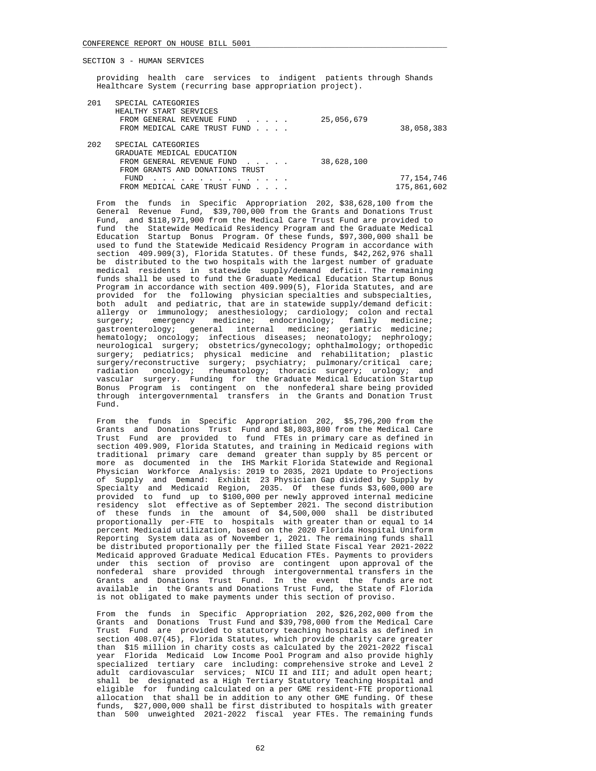providing health care services to indigent patients through Shands Healthcare System (recurring base appropriation project).

| 201 | SPECIAL CATEGORIES              |            |             |
|-----|---------------------------------|------------|-------------|
|     | HEALTHY START SERVICES          |            |             |
|     | FROM GENERAL REVENUE FUND       | 25,056,679 |             |
|     | FROM MEDICAL CARE TRUST FUND    |            | 38,058,383  |
| 202 | SPECIAL CATEGORIES              |            |             |
|     | GRADUATE MEDICAL EDUCATION      |            |             |
|     | FROM GENERAL REVENUE FUND       | 38,628,100 |             |
|     | FROM GRANTS AND DONATIONS TRUST |            |             |
|     | FUND                            |            | 77,154,746  |
|     | FROM MEDICAL CARE TRUST FUND    |            | 175,861,602 |
|     |                                 |            |             |

 From the funds in Specific Appropriation 202, \$38,628,100 from the General Revenue Fund, \$39,700,000 from the Grants and Donations Trust Fund, and \$118,971,900 from the Medical Care Trust Fund are provided to fund the Statewide Medicaid Residency Program and the Graduate Medical Education Startup Bonus Program. Of these funds, \$97,300,000 shall be used to fund the Statewide Medicaid Residency Program in accordance with section 409.909(3), Florida Statutes. Of these funds, \$42,262,976 shall be distributed to the two hospitals with the largest number of graduate medical residents in statewide supply/demand deficit. The remaining funds shall be used to fund the Graduate Medical Education Startup Bonus Program in accordance with section 409.909(5), Florida Statutes, and are provided for the following physician specialties and subspecialties, both adult and pediatric, that are in statewide supply/demand deficit: allergy or immunology; anesthesiology; cardiology; colon and rectal surgery; emergency medicine; endocrinology; family medicine; gastroenterology; general internal medicine; geriatric medicine; hematology; oncology; infectious diseases; neonatology; nephrology; neurological surgery; obstetrics/gynecology; ophthalmology; orthopedic surgery; pediatrics; physical medicine and rehabilitation; plastic surgery/reconstructive surgery; psychiatry; pulmonary/critical care; radiation oncology; rheumatology; thoracic surgery; urology; and vascular surgery. Funding for the Graduate Medical Education Startup Bonus Program is contingent on the nonfederal share being provided through intergovernmental transfers in the Grants and Donation Trust Fund.

 From the funds in Specific Appropriation 202, \$5,796,200 from the Grants and Donations Trust Fund and \$8,803,800 from the Medical Care Trust Fund are provided to fund FTEs in primary care as defined in section 409.909, Florida Statutes, and training in Medicaid regions with traditional primary care demand greater than supply by 85 percent or more as documented in the IHS Markit Florida Statewide and Regional Physician Workforce Analysis: 2019 to 2035, 2021 Update to Projections of Supply and Demand: Exhibit 23 Physician Gap divided by Supply by Specialty and Medicaid Region, 2035. Of these funds \$3,600,000 are provided to fund up to \$100,000 per newly approved internal medicine residency slot effective as of September 2021. The second distribution of these funds in the amount of \$4,500,000 shall be distributed proportionally per-FTE to hospitals with greater than or equal to 14 percent Medicaid utilization, based on the 2020 Florida Hospital Uniform Reporting System data as of November 1, 2021. The remaining funds shall be distributed proportionally per the filled State Fiscal Year 2021-2022 Medicaid approved Graduate Medical Education FTEs. Payments to providers under this section of proviso are contingent upon approval of the nonfederal share provided through intergovernmental transfers in the Grants and Donations Trust Fund. In the event the funds are not available in the Grants and Donations Trust Fund, the State of Florida is not obligated to make payments under this section of proviso.

 From the funds in Specific Appropriation 202, \$26,202,000 from the Grants and Donations Trust Fund and \$39,798,000 from the Medical Care Trust Fund are provided to statutory teaching hospitals as defined in section 408.07(45), Florida Statutes, which provide charity care greater than \$15 million in charity costs as calculated by the 2021-2022 fiscal year Florida Medicaid Low Income Pool Program and also provide highly specialized tertiary care including: comprehensive stroke and Level 2 adult cardiovascular services; NICU II and III; and adult open heart; shall be designated as a High Tertiary Statutory Teaching Hospital and eligible for funding calculated on a per GME resident-FTE proportional allocation that shall be in addition to any other GME funding. Of these funds, \$27,000,000 shall be first distributed to hospitals with greater than 500 unweighted 2021-2022 fiscal year FTEs. The remaining funds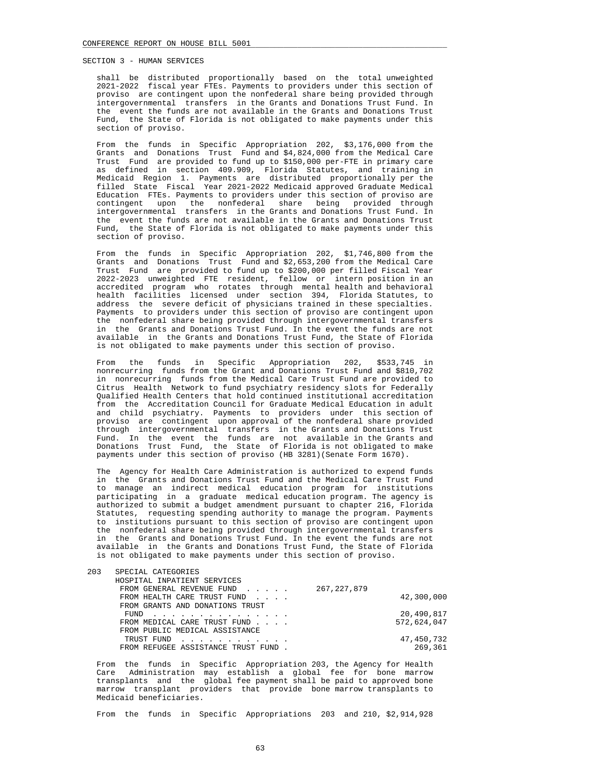shall be distributed proportionally based on the total unweighted 2021-2022 fiscal year FTEs. Payments to providers under this section of proviso are contingent upon the nonfederal share being provided through intergovernmental transfers in the Grants and Donations Trust Fund. In the event the funds are not available in the Grants and Donations Trust Fund, the State of Florida is not obligated to make payments under this section of proviso.

 From the funds in Specific Appropriation 202, \$3,176,000 from the Grants and Donations Trust Fund and \$4,824,000 from the Medical Care Trust Fund are provided to fund up to \$150,000 per-FTE in primary care as defined in section 409.909, Florida Statutes, and training in Medicaid Region 1. Payments are distributed proportionally per the filled State Fiscal Year 2021-2022 Medicaid approved Graduate Medical Education FTEs. Payments to providers under this section of proviso are contingent upon the nonfederal share being provided through intergovernmental transfers in the Grants and Donations Trust Fund. In the event the funds are not available in the Grants and Donations Trust Fund, the State of Florida is not obligated to make payments under this section of proviso.

 From the funds in Specific Appropriation 202, \$1,746,800 from the Grants and Donations Trust Fund and \$2,653,200 from the Medical Care Trust Fund are provided to fund up to \$200,000 per filled Fiscal Year 2022-2023 unweighted FTE resident, fellow or intern position in an accredited program who rotates through mental health and behavioral health facilities licensed under section 394, Florida Statutes, to address the severe deficit of physicians trained in these specialties. Payments to providers under this section of proviso are contingent upon the nonfederal share being provided through intergovernmental transfers in the Grants and Donations Trust Fund. In the event the funds are not available in the Grants and Donations Trust Fund, the State of Florida is not obligated to make payments under this section of proviso.

 From the funds in Specific Appropriation 202, \$533,745 in nonrecurring funds from the Grant and Donations Trust Fund and \$810,702 in nonrecurring funds from the Medical Care Trust Fund are provided to Citrus Health Network to fund psychiatry residency slots for Federally Qualified Health Centers that hold continued institutional accreditation from the Accreditation Council for Graduate Medical Education in adult and child psychiatry. Payments to providers under this section of proviso are contingent upon approval of the nonfederal share provided through intergovernmental transfers in the Grants and Donations Trust Fund. In the event the funds are not available in the Grants and Donations Trust Fund, the State of Florida is not obligated to make payments under this section of proviso (HB 3281)(Senate Form 1670).

 The Agency for Health Care Administration is authorized to expend funds in the Grants and Donations Trust Fund and the Medical Care Trust Fund to manage an indirect medical education program for institutions participating in a graduate medical education program. The agency is authorized to submit a budget amendment pursuant to chapter 216, Florida Statutes, requesting spending authority to manage the program. Payments to institutions pursuant to this section of proviso are contingent upon the nonfederal share being provided through intergovernmental transfers in the Grants and Donations Trust Fund. In the event the funds are not available in the Grants and Donations Trust Fund, the State of Florida is not obligated to make payments under this section of proviso.

| 203 | SPECIAL CATEGORIES                  |               |
|-----|-------------------------------------|---------------|
|     | HOSPITAL INPATIENT SERVICES         |               |
|     | FROM GENERAL REVENUE FUND           | 267, 227, 879 |
|     | FROM HEALTH CARE TRUST FUND         | 42,300,000    |
|     | FROM GRANTS AND DONATIONS TRUST     |               |
|     | FUND<br>.                           | 20,490,817    |
|     | FROM MEDICAL CARE TRUST FUND        | 572,624,047   |
|     | FROM PUBLIC MEDICAL ASSISTANCE      |               |
|     | TRUST FUND                          | 47,450,732    |
|     | FROM REFUGEE ASSISTANCE TRUST FUND. | 269,361       |
|     |                                     |               |

 From the funds in Specific Appropriation 203, the Agency for Health Care Administration may establish a global fee for bone marrow transplants and the global fee payment shall be paid to approved bone marrow transplant providers that provide bone marrow transplants to Medicaid beneficiaries.

From the funds in Specific Appropriations 203 and 210, \$2,914,928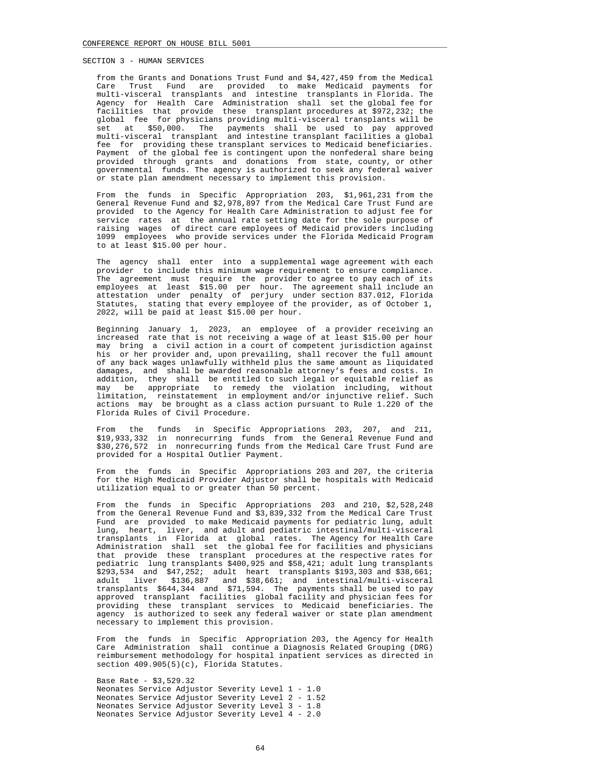from the Grants and Donations Trust Fund and \$4,427,459 from the Medical Care Trust Fund are provided to make Medicaid payments for multi-visceral transplants and intestine transplants in Florida. The Agency for Health Care Administration shall set the global fee for facilities that provide these transplant procedures at \$972,232; the global fee for physicians providing multi-visceral transplants will be set at \$50,000. The payments shall be used to pay approved multi-visceral transplant and intestine transplant facilities a global fee for providing these transplant services to Medicaid beneficiaries. Payment of the global fee is contingent upon the nonfederal share being provided through grants and donations from state, county, or other governmental funds. The agency is authorized to seek any federal waiver or state plan amendment necessary to implement this provision.

 From the funds in Specific Appropriation 203, \$1,961,231 from the General Revenue Fund and \$2,978,897 from the Medical Care Trust Fund are provided to the Agency for Health Care Administration to adjust fee for service rates at the annual rate setting date for the sole purpose of raising wages of direct care employees of Medicaid providers including 1099 employees who provide services under the Florida Medicaid Program to at least \$15.00 per hour.

 The agency shall enter into a supplemental wage agreement with each provider to include this minimum wage requirement to ensure compliance. The agreement must require the provider to agree to pay each of its employees at least \$15.00 per hour. The agreement shall include an attestation under penalty of perjury under section 837.012, Florida Statutes, stating that every employee of the provider, as of October 1, 2022, will be paid at least \$15.00 per hour.

 Beginning January 1, 2023, an employee of a provider receiving an increased rate that is not receiving a wage of at least \$15.00 per hour may bring a civil action in a court of competent jurisdiction against his or her provider and, upon prevailing, shall recover the full amount of any back wages unlawfully withheld plus the same amount as liquidated damages, and shall be awarded reasonable attorney's fees and costs. In addition, they shall be entitled to such legal or equitable relief as may be appropriate to remedy the violation including, without limitation, reinstatement in employment and/or injunctive relief. Such actions may be brought as a class action pursuant to Rule 1.220 of the Florida Rules of Civil Procedure.

 From the funds in Specific Appropriations 203, 207, and 211, \$19,933,332 in nonrecurring funds from the General Revenue Fund and \$30,276,572 in nonrecurring funds from the Medical Care Trust Fund are provided for a Hospital Outlier Payment.

 From the funds in Specific Appropriations 203 and 207, the criteria for the High Medicaid Provider Adjustor shall be hospitals with Medicaid utilization equal to or greater than 50 percent.

 From the funds in Specific Appropriations 203 and 210, \$2,528,248 from the General Revenue Fund and \$3,839,332 from the Medical Care Trust Fund are provided to make Medicaid payments for pediatric lung, adult lung, heart, liver, and adult and pediatric intestinal/multi-visceral transplants in Florida at global rates. The Agency for Health Care Administration shall set the global fee for facilities and physicians that provide these transplant procedures at the respective rates for pediatric lung transplants \$400,925 and \$58,421; adult lung transplants \$293,534 and \$47,252; adult heart transplants \$193,303 and \$38,661; adult liver \$136,887 and \$38,661; and intestinal/multi-visceral transplants \$644,344 and \$71,594. The payments shall be used to pay approved transplant facilities global facility and physician fees for providing these transplant services to Medicaid beneficiaries. The agency is authorized to seek any federal waiver or state plan amendment necessary to implement this provision.

 From the funds in Specific Appropriation 203, the Agency for Health Care Administration shall continue a Diagnosis Related Grouping (DRG) reimbursement methodology for hospital inpatient services as directed in section 409.905(5)(c), Florida Statutes.

 Base Rate - \$3,529.32 Neonates Service Adjustor Severity Level 1 - 1.0 Neonates Service Adjustor Severity Level 2 - 1.52 Neonates Service Adjustor Severity Level 3 - 1.8 Neonates Service Adjustor Severity Level 4 - 2.0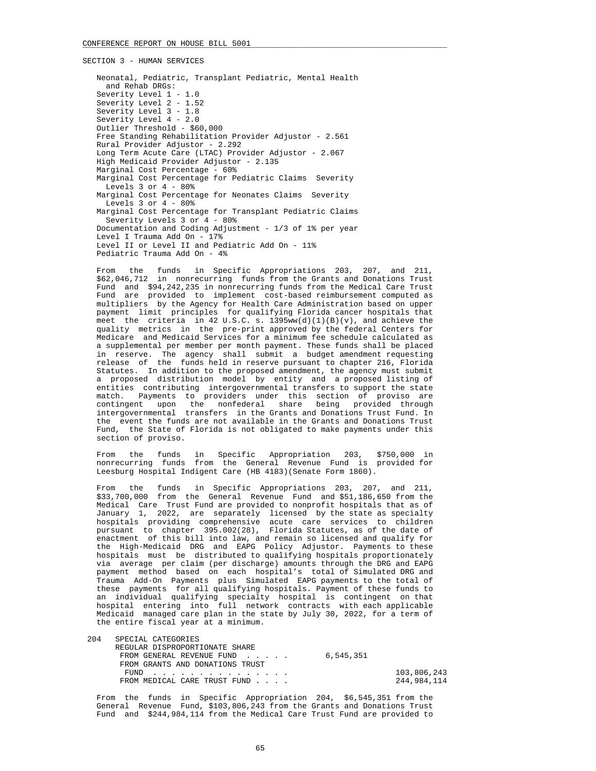Neonatal, Pediatric, Transplant Pediatric, Mental Health and Rehab DRGs: Severity Level 1 - 1.0 Severity Level 2 - 1.52 Severity Level 3 - 1.8 Severity Level 4 - 2.0 Outlier Threshold - \$60,000 Free Standing Rehabilitation Provider Adjustor - 2.561 Rural Provider Adjustor - 2.292 Long Term Acute Care (LTAC) Provider Adjustor - 2.067 High Medicaid Provider Adjustor - 2.135 Marginal Cost Percentage - 60% Marginal Cost Percentage for Pediatric Claims Severity Levels  $3$  or  $4 - 80$  % Marginal Cost Percentage for Neonates Claims Severity Levels  $3$  or  $4 - 80$ % Marginal Cost Percentage for Transplant Pediatric Claims Severity Levels 3 or 4 - 80% Documentation and Coding Adjustment - 1/3 of 1% per year Level I Trauma Add On - 17% Level II or Level II and Pediatric Add On - 11% Pediatric Trauma Add On - 4%

 From the funds in Specific Appropriations 203, 207, and 211, \$62,046,712 in nonrecurring funds from the Grants and Donations Trust Fund and \$94,242,235 in nonrecurring funds from the Medical Care Trust Fund are provided to implement cost-based reimbursement computed as multipliers by the Agency for Health Care Administration based on upper payment limit principles for qualifying Florida cancer hospitals that meet the criteria in 42 U.S.C. s.  $1395ww(d)(1)(B)(v)$ , and achieve the quality metrics in the pre-print approved by the federal Centers for Medicare and Medicaid Services for a minimum fee schedule calculated as a supplemental per member per month payment. These funds shall be placed in reserve. The agency shall submit a budget amendment requesting release of the funds held in reserve pursuant to chapter 216, Florida Statutes. In addition to the proposed amendment, the agency must submit a proposed distribution model by entity and a proposed listing of entities contributing intergovernmental transfers to support the state match. Payments to providers under this section of proviso are contingent upon the nonfederal share being provided through intergovernmental transfers in the Grants and Donations Trust Fund. In the event the funds are not available in the Grants and Donations Trust Fund, the State of Florida is not obligated to make payments under this section of proviso.

 From the funds in Specific Appropriation 203, \$750,000 in nonrecurring funds from the General Revenue Fund is provided for Leesburg Hospital Indigent Care (HB 4183)(Senate Form 1860).

 From the funds in Specific Appropriations 203, 207, and 211, \$33,700,000 from the General Revenue Fund and \$51,186,650 from the Medical Care Trust Fund are provided to nonprofit hospitals that as of January 1, 2022, are separately licensed by the state as specialty hospitals providing comprehensive acute care services to children pursuant to chapter 395.002(28), Florida Statutes, as of the date of enactment of this bill into law, and remain so licensed and qualify for the High-Medicaid DRG and EAPG Policy Adjustor. Payments to these hospitals must be distributed to qualifying hospitals proportionately via average per claim (per discharge) amounts through the DRG and EAPG payment method based on each hospital's total of Simulated DRG and Trauma Add-On Payments plus Simulated EAPG payments to the total of these payments for all qualifying hospitals. Payment of these funds to an individual qualifying specialty hospital is contingent on that hospital entering into full network contracts with each applicable Medicaid managed care plan in the state by July 30, 2022, for a term of the entire fiscal year at a minimum.

| 204 | SPECIAL CATEGORIES              |           |             |
|-----|---------------------------------|-----------|-------------|
|     | REGULAR DISPROPORTIONATE SHARE  |           |             |
|     | FROM GENERAL REVENUE FUND       | 6,545,351 |             |
|     | FROM GRANTS AND DONATIONS TRUST |           |             |
|     | FUND                            |           | 103,806,243 |
|     | FROM MEDICAL CARE TRUST FUND    |           | 244,984,114 |

 From the funds in Specific Appropriation 204, \$6,545,351 from the General Revenue Fund, \$103,806,243 from the Grants and Donations Trust Fund and \$244,984,114 from the Medical Care Trust Fund are provided to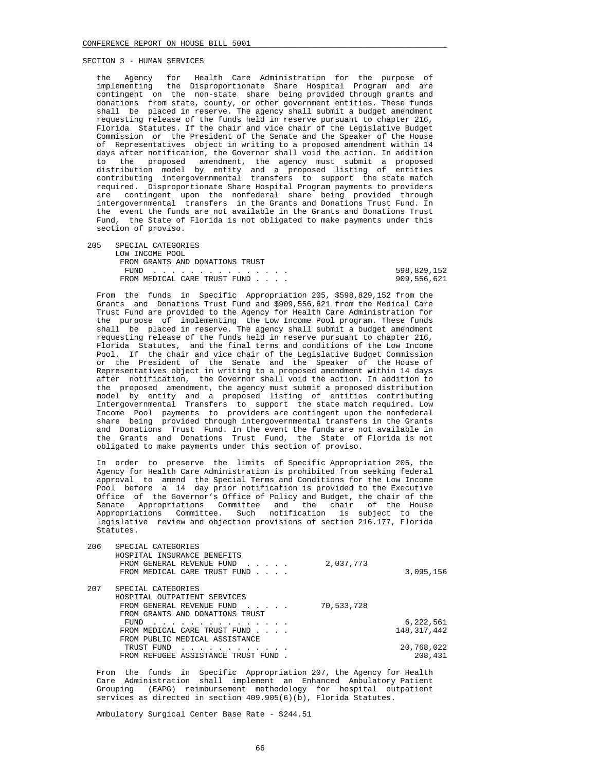the Agency for Health Care Administration for the purpose of implementing the Disproportionate Share Hospital Program and are contingent on the non-state share being provided through grants and donations from state, county, or other government entities. These funds shall be placed in reserve. The agency shall submit a budget amendment requesting release of the funds held in reserve pursuant to chapter 216, Florida Statutes. If the chair and vice chair of the Legislative Budget Commission or the President of the Senate and the Speaker of the House of Representatives object in writing to a proposed amendment within 14 days after notification, the Governor shall void the action. In addition to the proposed amendment, the agency must submit a proposed distribution model by entity and a proposed listing of entities contributing intergovernmental transfers to support the state match required. Disproportionate Share Hospital Program payments to providers are contingent upon the nonfederal share being provided through intergovernmental transfers in the Grants and Donations Trust Fund. In the event the funds are not available in the Grants and Donations Trust Fund, the State of Florida is not obligated to make payments under this section of proviso.

205 SPECIAL CATEGORIES

| LOW INCOME POOL                 |             |
|---------------------------------|-------------|
| FROM GRANTS AND DONATIONS TRUST |             |
| FUND                            | 598,829,152 |
| FROM MEDICAL CARE TRUST FUND    | 909,556,621 |

 From the funds in Specific Appropriation 205, \$598,829,152 from the Grants and Donations Trust Fund and \$909,556,621 from the Medical Care Trust Fund are provided to the Agency for Health Care Administration for the purpose of implementing the Low Income Pool program. These funds shall be placed in reserve. The agency shall submit a budget amendment requesting release of the funds held in reserve pursuant to chapter 216, Florida Statutes, and the final terms and conditions of the Low Income Pool. If the chair and vice chair of the Legislative Budget Commission or the President of the Senate and the Speaker of the House of Representatives object in writing to a proposed amendment within 14 days after notification, the Governor shall void the action. In addition to the proposed amendment, the agency must submit a proposed distribution model by entity and a proposed listing of entities contributing Intergovernmental Transfers to support the state match required. Low Income Pool payments to providers are contingent upon the nonfederal share being provided through intergovernmental transfers in the Grants and Donations Trust Fund. In the event the funds are not available in the Grants and Donations Trust Fund, the State of Florida is not obligated to make payments under this section of proviso.

 In order to preserve the limits of Specific Appropriation 205, the Agency for Health Care Administration is prohibited from seeking federal approval to amend the Special Terms and Conditions for the Low Income Pool before a 14 day prior notification is provided to the Executive Office of the Governor's Office of Policy and Budget, the chair of the Senate Appropriations Committee and the chair of the House Appropriations Committee. Such notification is subject to the legislative review and objection provisions of section 216.177, Florida Statutes.

| 206 | SPECIAL CATEGORIES<br>HOSPITAL INSURANCE BENEFITS<br>FROM GENERAL REVENUE FUND<br>$\sim$ $\sim$ $\sim$ $\sim$ $\sim$ $\sim$<br>FROM MEDICAL CARE TRUST FUND | 2,037,773  | 3,095,156     |
|-----|-------------------------------------------------------------------------------------------------------------------------------------------------------------|------------|---------------|
| 207 | SPECIAL CATEGORIES                                                                                                                                          |            |               |
|     | HOSPITAL OUTPATIENT SERVICES                                                                                                                                |            |               |
|     | FROM GENERAL REVENUE FUND<br>$\sim$ $\sim$ $\sim$ $\sim$ $\sim$                                                                                             | 70,533,728 |               |
|     | FROM GRANTS AND DONATIONS TRUST                                                                                                                             |            |               |
|     | FUND                                                                                                                                                        |            | 6,222,561     |
|     | FROM MEDICAL CARE TRUST FUND                                                                                                                                |            | 148, 317, 442 |
|     | FROM PUBLIC MEDICAL ASSISTANCE                                                                                                                              |            |               |
|     | TRUST FUND                                                                                                                                                  |            | 20,768,022    |
|     | FROM REFUGEE ASSISTANCE TRUST FUND                                                                                                                          |            | 208,431       |

 From the funds in Specific Appropriation 207, the Agency for Health Care Administration shall implement an Enhanced Ambulatory Patient Grouping (EAPG) reimbursement methodology for hospital outpatient services as directed in section 409.905(6)(b), Florida Statutes.

Ambulatory Surgical Center Base Rate - \$244.51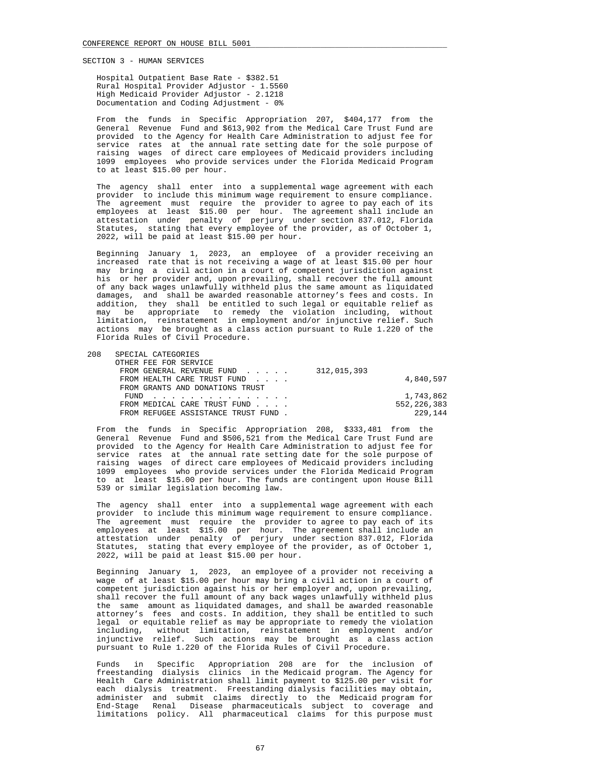Hospital Outpatient Base Rate - \$382.51 Rural Hospital Provider Adjustor - 1.5560 High Medicaid Provider Adjustor - 2.1218 Documentation and Coding Adjustment - 0%

 From the funds in Specific Appropriation 207, \$404,177 from the General Revenue Fund and \$613,902 from the Medical Care Trust Fund are provided to the Agency for Health Care Administration to adjust fee for service rates at the annual rate setting date for the sole purpose of raising wages of direct care employees of Medicaid providers including 1099 employees who provide services under the Florida Medicaid Program to at least \$15.00 per hour.

 The agency shall enter into a supplemental wage agreement with each provider to include this minimum wage requirement to ensure compliance. The agreement must require the provider to agree to pay each of its employees at least \$15.00 per hour. The agreement shall include an attestation under penalty of perjury under section 837.012, Florida Statutes, stating that every employee of the provider, as of October 1, 2022, will be paid at least \$15.00 per hour.

 Beginning January 1, 2023, an employee of a provider receiving an increased rate that is not receiving a wage of at least \$15.00 per hour may bring a civil action in a court of competent jurisdiction against his or her provider and, upon prevailing, shall recover the full amount of any back wages unlawfully withheld plus the same amount as liquidated damages, and shall be awarded reasonable attorney's fees and costs. In addition, they shall be entitled to such legal or equitable relief as may be appropriate to remedy the violation including, without limitation, reinstatement in employment and/or injunctive relief. Such actions may be brought as a class action pursuant to Rule 1.220 of the Florida Rules of Civil Procedure.

208 SPECIAL CATEGORIES

| OTHER FEE FOR SERVICE                 |      |  |               |
|---------------------------------------|------|--|---------------|
| FROM GENERAL REVENUE FUND 312,015,393 |      |  |               |
| FROM HEALTH CARE TRUST FUND           |      |  | 4,840,597     |
| FROM GRANTS AND DONATIONS TRUST       |      |  |               |
|                                       | FUND |  | 1,743,862     |
| FROM MEDICAL CARE TRUST FUND          |      |  | 552, 226, 383 |
| FROM REFUGEE ASSISTANCE TRUST FUND.   |      |  | 229.144       |
|                                       |      |  |               |

 From the funds in Specific Appropriation 208, \$333,481 from the General Revenue Fund and \$506,521 from the Medical Care Trust Fund are provided to the Agency for Health Care Administration to adjust fee for service rates at the annual rate setting date for the sole purpose of raising wages of direct care employees of Medicaid providers including 1099 employees who provide services under the Florida Medicaid Program to at least \$15.00 per hour. The funds are contingent upon House Bill 539 or similar legislation becoming law.

 The agency shall enter into a supplemental wage agreement with each provider to include this minimum wage requirement to ensure compliance. The agreement must require the provider to agree to pay each of its employees at least \$15.00 per hour. The agreement shall include an attestation under penalty of perjury under section 837.012, Florida Statutes, stating that every employee of the provider, as of October 1, 2022, will be paid at least \$15.00 per hour.

 Beginning January 1, 2023, an employee of a provider not receiving a wage of at least \$15.00 per hour may bring a civil action in a court of competent jurisdiction against his or her employer and, upon prevailing, shall recover the full amount of any back wages unlawfully withheld plus the same amount as liquidated damages, and shall be awarded reasonable attorney's fees and costs. In addition, they shall be entitled to such legal or equitable relief as may be appropriate to remedy the violation including, without limitation, reinstatement in employment and/or injunctive relief. Such actions may be brought as a class action pursuant to Rule 1.220 of the Florida Rules of Civil Procedure.

 Funds in Specific Appropriation 208 are for the inclusion of freestanding dialysis clinics in the Medicaid program. The Agency for Health Care Administration shall limit payment to \$125.00 per visit for each dialysis treatment. Freestanding dialysis facilities may obtain, administer and submit claims directly to the Medicaid program for End-Stage Renal Disease pharmaceuticals subject to coverage and limitations policy. All pharmaceutical claims for this purpose must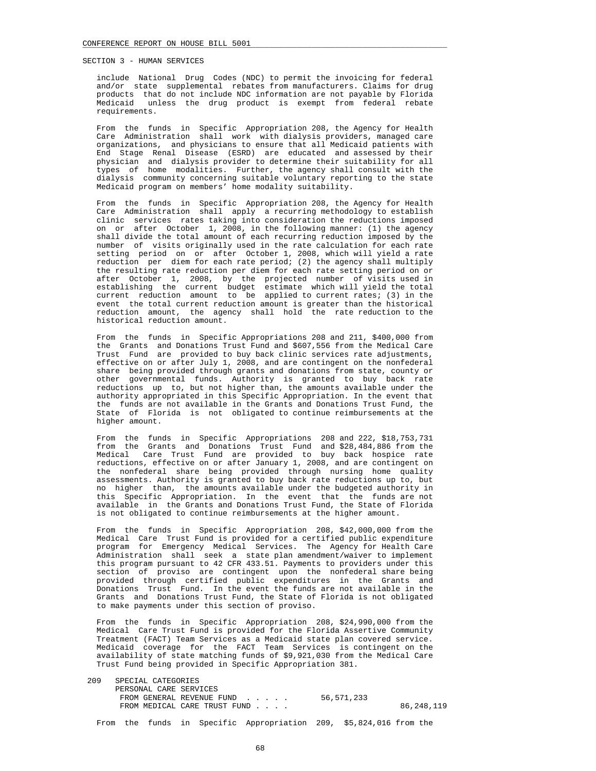include National Drug Codes (NDC) to permit the invoicing for federal and/or state supplemental rebates from manufacturers. Claims for drug products that do not include NDC information are not payable by Florida Medicaid unless the drug product is exempt from federal rebate requirements.

 From the funds in Specific Appropriation 208, the Agency for Health Care Administration shall work with dialysis providers, managed care organizations, and physicians to ensure that all Medicaid patients with End Stage Renal Disease (ESRD) are educated and assessed by their physician and dialysis provider to determine their suitability for all types of home modalities. Further, the agency shall consult with the dialysis community concerning suitable voluntary reporting to the state Medicaid program on members' home modality suitability.

 From the funds in Specific Appropriation 208, the Agency for Health Care Administration shall apply a recurring methodology to establish clinic services rates taking into consideration the reductions imposed on or after October 1, 2008, in the following manner: (1) the agency shall divide the total amount of each recurring reduction imposed by the number of visits originally used in the rate calculation for each rate setting period on or after October 1, 2008, which will yield a rate reduction per diem for each rate period; (2) the agency shall multiply the resulting rate reduction per diem for each rate setting period on or after October 1, 2008, by the projected number of visits used in establishing the current budget estimate which will yield the total current reduction amount to be applied to current rates; (3) in the event the total current reduction amount is greater than the historical reduction amount, the agency shall hold the rate reduction to the historical reduction amount.

 From the funds in Specific Appropriations 208 and 211, \$400,000 from the Grants and Donations Trust Fund and \$607,556 from the Medical Care Trust Fund are provided to buy back clinic services rate adjustments, effective on or after July 1, 2008, and are contingent on the nonfederal share being provided through grants and donations from state, county or other governmental funds. Authority is granted to buy back rate reductions up to, but not higher than, the amounts available under the authority appropriated in this Specific Appropriation. In the event that the funds are not available in the Grants and Donations Trust Fund, the State of Florida is not obligated to continue reimbursements at the higher amount.

 From the funds in Specific Appropriations 208 and 222, \$18,753,731 from the Grants and Donations Trust Fund and \$28,484,886 from the Medical Care Trust Fund are provided to buy back hospice rate reductions, effective on or after January 1, 2008, and are contingent on the nonfederal share being provided through nursing home quality assessments. Authority is granted to buy back rate reductions up to, but no higher than, the amounts available under the budgeted authority in this Specific Appropriation. In the event that the funds are not available in the Grants and Donations Trust Fund, the State of Florida is not obligated to continue reimbursements at the higher amount.

 From the funds in Specific Appropriation 208, \$42,000,000 from the Medical Care Trust Fund is provided for a certified public expenditure program for Emergency Medical Services. The Agency for Health Care Administration shall seek a state plan amendment/waiver to implement this program pursuant to 42 CFR 433.51. Payments to providers under this section of proviso are contingent upon the nonfederal share being provided through certified public expenditures in the Grants and Donations Trust Fund. In the event the funds are not available in the Grants and Donations Trust Fund, the State of Florida is not obligated to make payments under this section of proviso.

 From the funds in Specific Appropriation 208, \$24,990,000 from the Medical Care Trust Fund is provided for the Florida Assertive Community Treatment (FACT) Team Services as a Medicaid state plan covered service. Medicaid coverage for the FACT Team Services is contingent on the availability of state matching funds of \$9,921,030 from the Medical Care Trust Fund being provided in Specific Appropriation 381.

| 209 | SPECIAL CATEGORIES           |            |            |
|-----|------------------------------|------------|------------|
|     | PERSONAL CARE SERVICES       |            |            |
|     | FROM GENERAL REVENUE FUND    | 56,571,233 |            |
|     | FROM MEDICAL CARE TRUST FUND |            | 86,248,119 |
|     |                              |            |            |

From the funds in Specific Appropriation 209, \$5,824,016 from the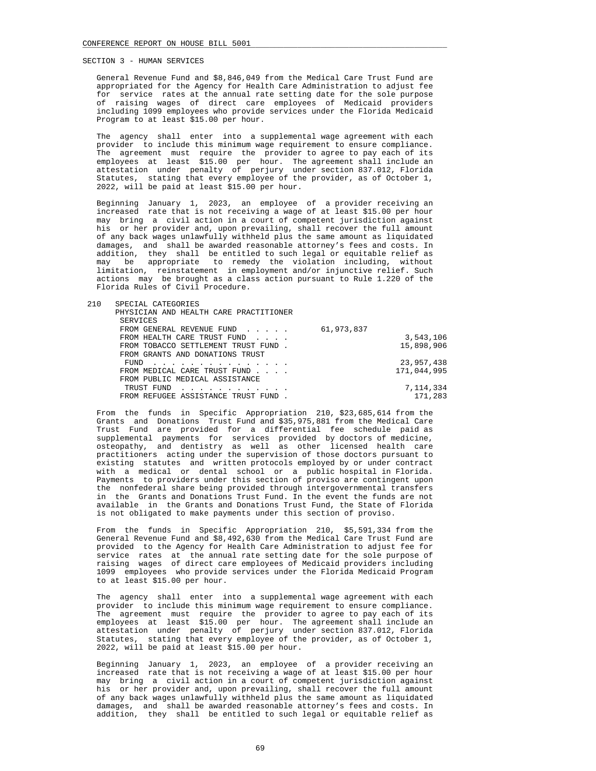General Revenue Fund and \$8,846,049 from the Medical Care Trust Fund are appropriated for the Agency for Health Care Administration to adjust fee for service rates at the annual rate setting date for the sole purpose of raising wages of direct care employees of Medicaid providers including 1099 employees who provide services under the Florida Medicaid Program to at least \$15.00 per hour.

 The agency shall enter into a supplemental wage agreement with each provider to include this minimum wage requirement to ensure compliance. The agreement must require the provider to agree to pay each of its employees at least \$15.00 per hour. The agreement shall include an attestation under penalty of perjury under section 837.012, Florida Statutes, stating that every employee of the provider, as of October 1, 2022, will be paid at least \$15.00 per hour.

 Beginning January 1, 2023, an employee of a provider receiving an increased rate that is not receiving a wage of at least \$15.00 per hour may bring a civil action in a court of competent jurisdiction against his or her provider and, upon prevailing, shall recover the full amount of any back wages unlawfully withheld plus the same amount as liquidated damages, and shall be awarded reasonable attorney's fees and costs. In addition, they shall be entitled to such legal or equitable relief as may be appropriate to remedy the violation including, without limitation, reinstatement in employment and/or injunctive relief. Such actions may be brought as a class action pursuant to Rule 1.220 of the Florida Rules of Civil Procedure.

| 210 | SPECIAL CATEGORIES                     |            |             |
|-----|----------------------------------------|------------|-------------|
|     | PHYSICIAN AND HEALTH CARE PRACTITIONER |            |             |
|     | SERVICES                               |            |             |
|     | FROM GENERAL REVENUE FUND              | 61,973,837 |             |
|     | FROM HEALTH CARE TRUST FUND            |            | 3,543,106   |
|     | FROM TOBACCO SETTLEMENT TRUST FUND.    |            | 15,898,906  |
|     | FROM GRANTS AND DONATIONS TRUST        |            |             |
|     | FUND                                   |            | 23,957,438  |
|     | FROM MEDICAL CARE TRUST FUND           |            | 171,044,995 |
|     | FROM PUBLIC MEDICAL ASSISTANCE         |            |             |
|     | TRUST FUND                             |            | 7,114,334   |
|     | FROM REFUGEE ASSISTANCE TRUST FUND.    |            | 171,283     |

 From the funds in Specific Appropriation 210, \$23,685,614 from the Grants and Donations Trust Fund and \$35,975,881 from the Medical Care Trust Fund are provided for a differential fee schedule paid as supplemental payments for services provided by doctors of medicine, osteopathy, and dentistry as well as other licensed health care practitioners acting under the supervision of those doctors pursuant to existing statutes and written protocols employed by or under contract with a medical or dental school or a public hospital in Florida. Payments to providers under this section of proviso are contingent upon the nonfederal share being provided through intergovernmental transfers in the Grants and Donations Trust Fund. In the event the funds are not available in the Grants and Donations Trust Fund, the State of Florida is not obligated to make payments under this section of proviso.

 From the funds in Specific Appropriation 210, \$5,591,334 from the General Revenue Fund and \$8,492,630 from the Medical Care Trust Fund are provided to the Agency for Health Care Administration to adjust fee for service rates at the annual rate setting date for the sole purpose of raising wages of direct care employees of Medicaid providers including 1099 employees who provide services under the Florida Medicaid Program to at least \$15.00 per hour.

 The agency shall enter into a supplemental wage agreement with each provider to include this minimum wage requirement to ensure compliance. The agreement must require the provider to agree to pay each of its employees at least \$15.00 per hour. The agreement shall include an attestation under penalty of perjury under section 837.012, Florida Statutes, stating that every employee of the provider, as of October 1, 2022, will be paid at least \$15.00 per hour.

 Beginning January 1, 2023, an employee of a provider receiving an increased rate that is not receiving a wage of at least \$15.00 per hour may bring a civil action in a court of competent jurisdiction against his or her provider and, upon prevailing, shall recover the full amount of any back wages unlawfully withheld plus the same amount as liquidated damages, and shall be awarded reasonable attorney's fees and costs. In addition, they shall be entitled to such legal or equitable relief as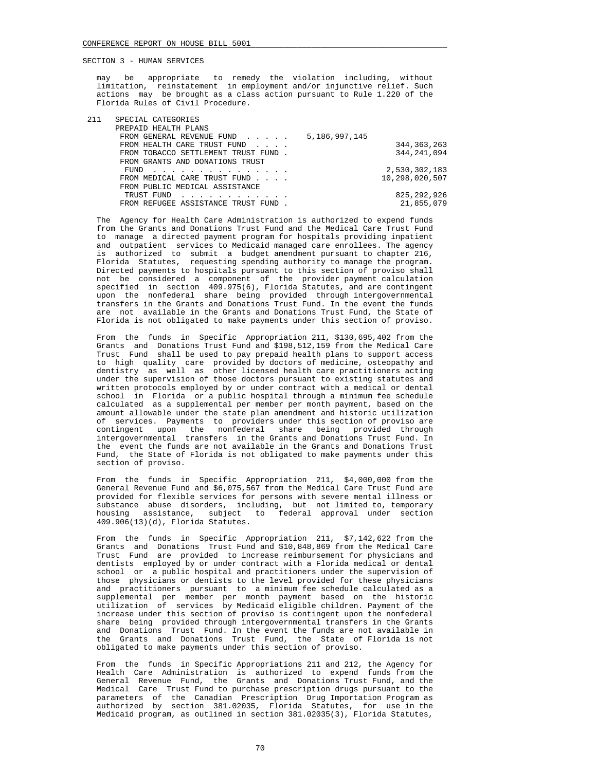may be appropriate to remedy the violation including, without limitation, reinstatement in employment and/or injunctive relief. Such actions may be brought as a class action pursuant to Rule 1.220 of the Florida Rules of Civil Procedure.

| 211 | SPECIAL CATEGORIES                                                                                                      |               |                |
|-----|-------------------------------------------------------------------------------------------------------------------------|---------------|----------------|
|     | PREPAID HEALTH PLANS                                                                                                    |               |                |
|     | FROM GENERAL REVENUE FUND                                                                                               | 5,186,997,145 |                |
|     | FROM HEALTH CARE TRUST FUND                                                                                             |               | 344, 363, 263  |
|     | FROM TOBACCO SETTLEMENT TRUST FUND.                                                                                     |               | 344, 241, 094  |
|     | FROM GRANTS AND DONATIONS TRUST                                                                                         |               |                |
|     | FUND<br>the contract of the contract of the contract of the contract of the contract of the contract of the contract of |               | 2,530,302,183  |
|     | FROM MEDICAL CARE TRUST FUND                                                                                            |               | 10,298,020,507 |
|     | FROM PUBLIC MEDICAL ASSISTANCE                                                                                          |               |                |
|     | TRUST FUND<br>and a series and a series and a                                                                           |               | 825, 292, 926  |
|     | FROM REFUGEE ASSISTANCE TRUST FUND.                                                                                     |               | 21,855,079     |
|     |                                                                                                                         |               |                |

 The Agency for Health Care Administration is authorized to expend funds from the Grants and Donations Trust Fund and the Medical Care Trust Fund to manage a directed payment program for hospitals providing inpatient and outpatient services to Medicaid managed care enrollees. The agency is authorized to submit a budget amendment pursuant to chapter 216, Florida Statutes, requesting spending authority to manage the program. Directed payments to hospitals pursuant to this section of proviso shall not be considered a component of the provider payment calculation specified in section 409.975(6), Florida Statutes, and are contingent upon the nonfederal share being provided through intergovernmental transfers in the Grants and Donations Trust Fund. In the event the funds are not available in the Grants and Donations Trust Fund, the State of Florida is not obligated to make payments under this section of proviso.

 From the funds in Specific Appropriation 211, \$130,695,402 from the Grants and Donations Trust Fund and \$198,512,159 from the Medical Care Trust Fund shall be used to pay prepaid health plans to support access to high quality care provided by doctors of medicine, osteopathy and dentistry as well as other licensed health care practitioners acting under the supervision of those doctors pursuant to existing statutes and written protocols employed by or under contract with a medical or dental school in Florida or a public hospital through a minimum fee schedule calculated as a supplemental per member per month payment, based on the amount allowable under the state plan amendment and historic utilization of services. Payments to providers under this section of proviso are contingent upon the nonfederal share being provided through intergovernmental transfers in the Grants and Donations Trust Fund. In the event the funds are not available in the Grants and Donations Trust Fund, the State of Florida is not obligated to make payments under this section of proviso.

 From the funds in Specific Appropriation 211, \$4,000,000 from the General Revenue Fund and \$6,075,567 from the Medical Care Trust Fund are provided for flexible services for persons with severe mental illness or substance abuse disorders, including, but not limited to, temporary housing assistance, subject to federal approval under section 409.906(13)(d), Florida Statutes.

 From the funds in Specific Appropriation 211, \$7,142,622 from the Grants and Donations Trust Fund and \$10,848,869 from the Medical Care Trust Fund are provided to increase reimbursement for physicians and dentists employed by or under contract with a Florida medical or dental school or a public hospital and practitioners under the supervision of those physicians or dentists to the level provided for these physicians and practitioners pursuant to a minimum fee schedule calculated as a supplemental per member per month payment based on the historic utilization of services by Medicaid eligible children. Payment of the increase under this section of proviso is contingent upon the nonfederal share being provided through intergovernmental transfers in the Grants and Donations Trust Fund. In the event the funds are not available in the Grants and Donations Trust Fund, the State of Florida is not obligated to make payments under this section of proviso.

 From the funds in Specific Appropriations 211 and 212, the Agency for Health Care Administration is authorized to expend funds from the General Revenue Fund, the Grants and Donations Trust Fund, and the Medical Care Trust Fund to purchase prescription drugs pursuant to the parameters of the Canadian Prescription Drug Importation Program as authorized by section 381.02035, Florida Statutes, for use in the Medicaid program, as outlined in section 381.02035(3), Florida Statutes,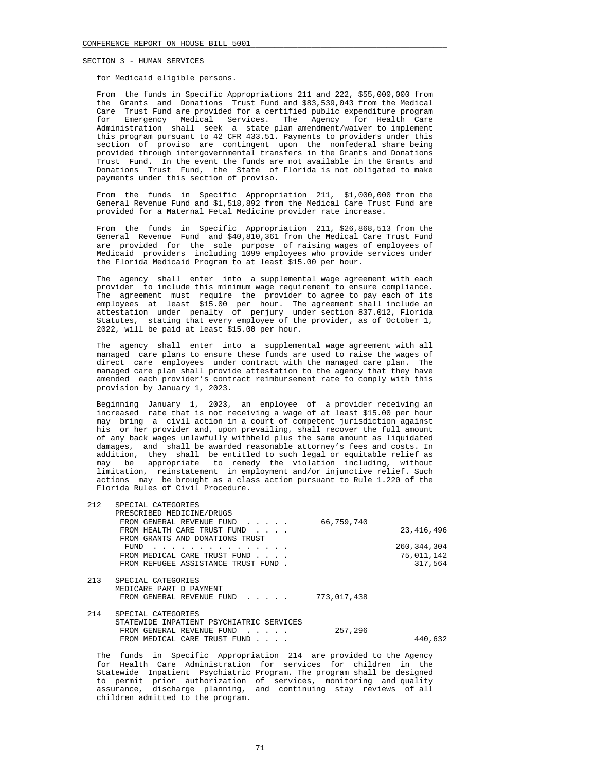# for Medicaid eligible persons.

 From the funds in Specific Appropriations 211 and 222, \$55,000,000 from the Grants and Donations Trust Fund and \$83,539,043 from the Medical Care Trust Fund are provided for a certified public expenditure program for Emergency Medical Services. The Agency for Health Care Administration shall seek a state plan amendment/waiver to implement this program pursuant to 42 CFR 433.51. Payments to providers under this section of proviso are contingent upon the nonfederal share being provided through intergovernmental transfers in the Grants and Donations Trust Fund. In the event the funds are not available in the Grants and Donations Trust Fund, the State of Florida is not obligated to make payments under this section of proviso.

 From the funds in Specific Appropriation 211, \$1,000,000 from the General Revenue Fund and \$1,518,892 from the Medical Care Trust Fund are provided for a Maternal Fetal Medicine provider rate increase.

 From the funds in Specific Appropriation 211, \$26,868,513 from the General Revenue Fund and \$40,810,361 from the Medical Care Trust Fund are provided for the sole purpose of raising wages of employees of Medicaid providers including 1099 employees who provide services under the Florida Medicaid Program to at least \$15.00 per hour.

 The agency shall enter into a supplemental wage agreement with each provider to include this minimum wage requirement to ensure compliance. The agreement must require the provider to agree to pay each of its employees at least \$15.00 per hour. The agreement shall include an attestation under penalty of perjury under section 837.012, Florida Statutes, stating that every employee of the provider, as of October 1, 2022, will be paid at least \$15.00 per hour.

 The agency shall enter into a supplemental wage agreement with all managed care plans to ensure these funds are used to raise the wages of direct care employees under contract with the managed care plan. The managed care plan shall provide attestation to the agency that they have amended each provider's contract reimbursement rate to comply with this provision by January 1, 2023.

 Beginning January 1, 2023, an employee of a provider receiving an increased rate that is not receiving a wage of at least \$15.00 per hour may bring a civil action in a court of competent jurisdiction against his or her provider and, upon prevailing, shall recover the full amount of any back wages unlawfully withheld plus the same amount as liquidated damages, and shall be awarded reasonable attorney's fees and costs. In addition, they shall be entitled to such legal or equitable relief as may be appropriate to remedy the violation including, without limitation, reinstatement in employment and/or injunctive relief. Such actions may be brought as a class action pursuant to Rule 1.220 of the Florida Rules of Civil Procedure.

| 212 | SPECIAL CATEGORIES                                                |             |               |
|-----|-------------------------------------------------------------------|-------------|---------------|
|     | PRESCRIBED MEDICINE/DRUGS                                         |             |               |
|     | FROM GENERAL REVENUE FUND                                         | 66,759,740  |               |
|     | FROM HEALTH CARE TRUST FUND<br>$\sim$ $\sim$ $\sim$ $\sim$ $\sim$ |             | 23, 416, 496  |
|     | FROM GRANTS AND DONATIONS TRUST                                   |             |               |
|     | FUND<br>.                                                         |             | 260, 344, 304 |
|     | FROM MEDICAL CARE TRUST FUND                                      |             | 75,011,142    |
|     | FROM REFUGEE ASSISTANCE TRUST FUND.                               |             | 317,564       |
|     |                                                                   |             |               |
| 213 | SPECIAL CATEGORIES                                                |             |               |
|     | MEDICARE PART D PAYMENT                                           |             |               |
|     | FROM GENERAL REVENUE FUND                                         | 773,017,438 |               |
|     |                                                                   |             |               |
| 214 | SPECIAL CATEGORIES                                                |             |               |
|     | STATEWIDE INPATIENT PSYCHIATRIC SERVICES                          |             |               |
|     | FROM GENERAL REVENUE FUND<br>$\sim$ $\sim$ $\sim$ $\sim$ $\sim$   | 257,296     |               |
|     | FROM MEDICAL CARE TRUST FUND                                      |             | 440,632       |
|     |                                                                   |             |               |

 The funds in Specific Appropriation 214 are provided to the Agency for Health Care Administration for services for children in the Statewide Inpatient Psychiatric Program. The program shall be designed to permit prior authorization of services, monitoring and quality assurance, discharge planning, and continuing stay reviews of all children admitted to the program.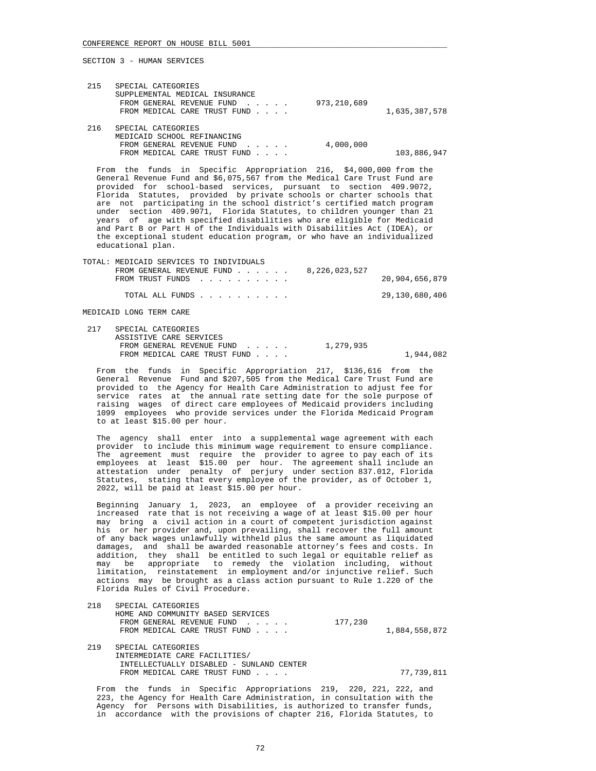| 215 | SPECIAL CATEGORIES<br>SUPPLEMENTAL MEDICAL INSURANCE<br>FROM GENERAL REVENUE FUND<br>FROM MEDICAL CARE TRUST FUND | 973,210,689 | 1,635,387,578 |
|-----|-------------------------------------------------------------------------------------------------------------------|-------------|---------------|
| 216 | SPECIAL CATEGORIES<br>MEDICAID SCHOOL REFINANCING<br>FROM GENERAL REVENUE FUND<br>FROM MEDICAL CARE TRUST FUND    | 4,000,000   | 103,886,947   |

 From the funds in Specific Appropriation 216, \$4,000,000 from the General Revenue Fund and \$6,075,567 from the Medical Care Trust Fund are provided for school-based services, pursuant to section 409.9072, Florida Statutes, provided by private schools or charter schools that are not participating in the school district's certified match program under section 409.9071, Florida Statutes, to children younger than 21 years of age with specified disabilities who are eligible for Medicaid and Part B or Part H of the Individuals with Disabilities Act (IDEA), or the exceptional student education program, or who have an individualized educational plan.

| TOTAL: MEDICAID SERVICES TO INDIVIDUALS    |                |
|--------------------------------------------|----------------|
| 8,226,023,527<br>FROM GENERAL REVENUE FUND |                |
| FROM TRUST FUNDS                           | 20,904,656,879 |
| TOTAL ALL FUNDS                            | 29,130,680,406 |
| MEDICAID LONG TERM CARE                    |                |

| 217 | SPECIAL CATEGORIES           |           |           |
|-----|------------------------------|-----------|-----------|
|     | ASSISTIVE CARE SERVICES      |           |           |
|     | FROM GENERAL REVENUE FUND    | 1,279,935 |           |
|     | FROM MEDICAL CARE TRUST FUND |           | 1,944,082 |

 From the funds in Specific Appropriation 217, \$136,616 from the General Revenue Fund and \$207,505 from the Medical Care Trust Fund are provided to the Agency for Health Care Administration to adjust fee for service rates at the annual rate setting date for the sole purpose of raising wages of direct care employees of Medicaid providers including 1099 employees who provide services under the Florida Medicaid Program to at least \$15.00 per hour.

 The agency shall enter into a supplemental wage agreement with each provider to include this minimum wage requirement to ensure compliance. The agreement must require the provider to agree to pay each of its employees at least \$15.00 per hour. The agreement shall include an attestation under penalty of perjury under section 837.012, Florida Statutes, stating that every employee of the provider, as of October 1, 2022, will be paid at least \$15.00 per hour.

 Beginning January 1, 2023, an employee of a provider receiving an increased rate that is not receiving a wage of at least \$15.00 per hour may bring a civil action in a court of competent jurisdiction against his or her provider and, upon prevailing, shall recover the full amount of any back wages unlawfully withheld plus the same amount as liquidated damages, and shall be awarded reasonable attorney's fees and costs. In addition, they shall be entitled to such legal or equitable relief as may be appropriate to remedy the violation including, without limitation, reinstatement in employment and/or injunctive relief. Such actions may be brought as a class action pursuant to Rule 1.220 of the Florida Rules of Civil Procedure.

| 218 | SPECIAL CATEGORIES                |         |               |
|-----|-----------------------------------|---------|---------------|
|     | HOME AND COMMUNITY BASED SERVICES |         |               |
|     | FROM GENERAL REVENUE FUND         | 177.230 |               |
|     | FROM MEDICAL CARE TRUST FUND      |         | 1,884,558,872 |

 219 SPECIAL CATEGORIES INTERMEDIATE CARE FACILITIES/ INTELLECTUALLY DISABLED - SUNLAND CENTER FROM MEDICAL CARE TRUST FUND . . . . . . . 77,739,811

 From the funds in Specific Appropriations 219, 220, 221, 222, and 223, the Agency for Health Care Administration, in consultation with the Agency for Persons with Disabilities, is authorized to transfer funds, in accordance with the provisions of chapter 216, Florida Statutes, to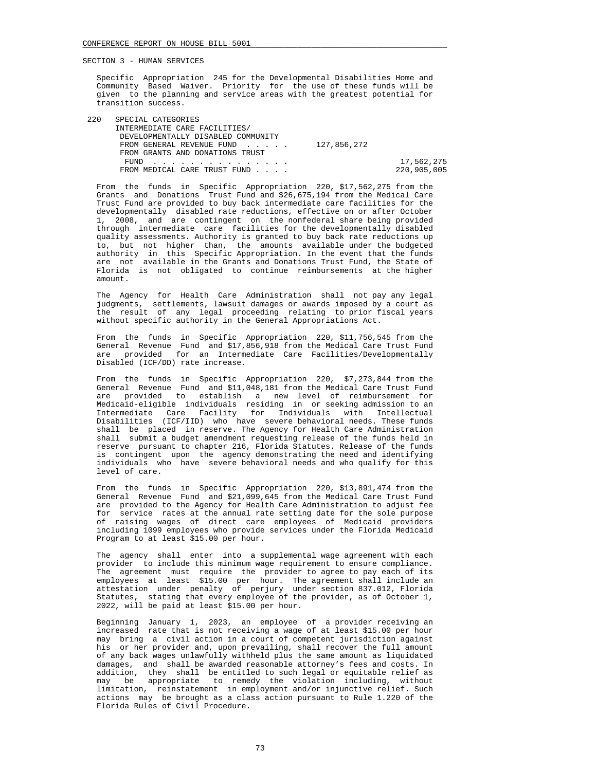Specific Appropriation 245 for the Developmental Disabilities Home and Community Based Waiver. Priority for the use of these funds will be given to the planning and service areas with the greatest potential for transition success.

| 220 | SPECIAL CATEGORIES                    |             |
|-----|---------------------------------------|-------------|
|     | INTERMEDIATE CARE FACILITIES/         |             |
|     | DEVELOPMENTALLY DISABLED COMMUNITY    |             |
|     | FROM GENERAL REVENUE FUND 127,856,272 |             |
|     | FROM GRANTS AND DONATIONS TRUST       |             |
|     | FUND                                  | 17,562,275  |
|     | FROM MEDICAL CARE TRUST FUND          | 220.905.005 |

 From the funds in Specific Appropriation 220, \$17,562,275 from the Grants and Donations Trust Fund and \$26,675,194 from the Medical Care Trust Fund are provided to buy back intermediate care facilities for the developmentally disabled rate reductions, effective on or after October 1, 2008, and are contingent on the nonfederal share being provided through intermediate care facilities for the developmentally disabled quality assessments. Authority is granted to buy back rate reductions up to, but not higher than, the amounts available under the budgeted authority in this Specific Appropriation. In the event that the funds are not available in the Grants and Donations Trust Fund, the State of Florida is not obligated to continue reimbursements at the higher amount.

 The Agency for Health Care Administration shall not pay any legal judgments, settlements, lawsuit damages or awards imposed by a court as the result of any legal proceeding relating to prior fiscal years without specific authority in the General Appropriations Act.

 From the funds in Specific Appropriation 220, \$11,756,545 from the General Revenue Fund and \$17,856,918 from the Medical Care Trust Fund are provided for an Intermediate Care Facilities/Developmentally Disabled (ICF/DD) rate increase.

 From the funds in Specific Appropriation 220, \$7,273,844 from the General Revenue Fund and \$11,048,181 from the Medical Care Trust Fund are provided to establish a new level of reimbursement for Medicaid-eligible individuals residing in or seeking admission to an Intermediate Care Facility for Individuals with Intellectual Disabilities (ICF/IID) who have severe behavioral needs. These funds shall be placed in reserve. The Agency for Health Care Administration shall submit a budget amendment requesting release of the funds held in reserve pursuant to chapter 216, Florida Statutes. Release of the funds is contingent upon the agency demonstrating the need and identifying individuals who have severe behavioral needs and who qualify for this level of care.

 From the funds in Specific Appropriation 220, \$13,891,474 from the General Revenue Fund and \$21,099,645 from the Medical Care Trust Fund are provided to the Agency for Health Care Administration to adjust fee for service rates at the annual rate setting date for the sole purpose of raising wages of direct care employees of Medicaid providers including 1099 employees who provide services under the Florida Medicaid Program to at least \$15.00 per hour.

 The agency shall enter into a supplemental wage agreement with each provider to include this minimum wage requirement to ensure compliance. The agreement must require the provider to agree to pay each of its employees at least \$15.00 per hour. The agreement shall include an attestation under penalty of perjury under section 837.012, Florida Statutes, stating that every employee of the provider, as of October 1, 2022, will be paid at least \$15.00 per hour.

 Beginning January 1, 2023, an employee of a provider receiving an increased rate that is not receiving a wage of at least \$15.00 per hour may bring a civil action in a court of competent jurisdiction against his or her provider and, upon prevailing, shall recover the full amount of any back wages unlawfully withheld plus the same amount as liquidated damages, and shall be awarded reasonable attorney's fees and costs. In addition, they shall be entitled to such legal or equitable relief as may be appropriate to remedy the violation including, without limitation, reinstatement in employment and/or injunctive relief. Such actions may be brought as a class action pursuant to Rule 1.220 of the Florida Rules of Civil Procedure.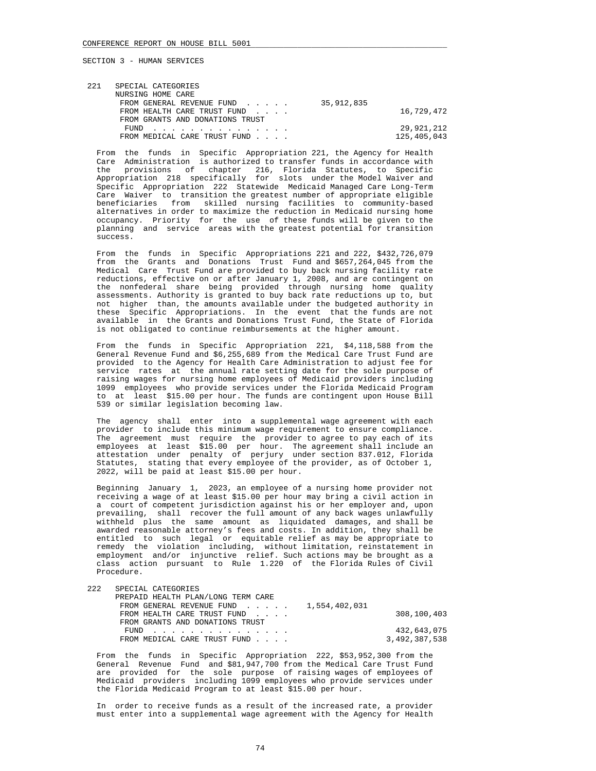| 221 | SPECIAL CATEGORIES              |            |             |
|-----|---------------------------------|------------|-------------|
|     | NURSING HOME CARE               |            |             |
|     | FROM GENERAL REVENUE FUND       | 35,912,835 |             |
|     | FROM HEALTH CARE TRUST FUND     |            | 16,729,472  |
|     | FROM GRANTS AND DONATIONS TRUST |            |             |
|     | FUND                            |            | 29,921,212  |
|     | FROM MEDICAL CARE TRUST FUND    |            | 125,405,043 |
|     |                                 |            |             |

 From the funds in Specific Appropriation 221, the Agency for Health Care Administration is authorized to transfer funds in accordance with the provisions of chapter 216, Florida Statutes, to Specific Appropriation 218 specifically for slots under the Model Waiver and Specific Appropriation 222 Statewide Medicaid Managed Care Long-Term Care Waiver to transition the greatest number of appropriate eligible beneficiaries from skilled nursing facilities to community-based alternatives in order to maximize the reduction in Medicaid nursing home occupancy. Priority for the use of these funds will be given to the planning and service areas with the greatest potential for transition  $\frac{1}{\sqrt{2}}$ 

 From the funds in Specific Appropriations 221 and 222, \$432,726,079 from the Grants and Donations Trust Fund and \$657,264,045 from the Medical Care Trust Fund are provided to buy back nursing facility rate reductions, effective on or after January 1, 2008, and are contingent on the nonfederal share being provided through nursing home quality assessments. Authority is granted to buy back rate reductions up to, but not higher than, the amounts available under the budgeted authority in these Specific Appropriations. In the event that the funds are not available in the Grants and Donations Trust Fund, the State of Florida is not obligated to continue reimbursements at the higher amount.

 From the funds in Specific Appropriation 221, \$4,118,588 from the General Revenue Fund and \$6,255,689 from the Medical Care Trust Fund are provided to the Agency for Health Care Administration to adjust fee for service rates at the annual rate setting date for the sole purpose of raising wages for nursing home employees of Medicaid providers including 1099 employees who provide services under the Florida Medicaid Program to at least \$15.00 per hour. The funds are contingent upon House Bill 539 or similar legislation becoming law.

 The agency shall enter into a supplemental wage agreement with each provider to include this minimum wage requirement to ensure compliance. The agreement must require the provider to agree to pay each of its employees at least \$15.00 per hour. The agreement shall include an attestation under penalty of perjury under section 837.012, Florida Statutes, stating that every employee of the provider, as of October 1, 2022, will be paid at least \$15.00 per hour.

 Beginning January 1, 2023, an employee of a nursing home provider not receiving a wage of at least \$15.00 per hour may bring a civil action in a court of competent jurisdiction against his or her employer and, upon prevailing, shall recover the full amount of any back wages unlawfully withheld plus the same amount as liquidated damages, and shall be awarded reasonable attorney's fees and costs. In addition, they shall be entitled to such legal or equitable relief as may be appropriate to remedy the violation including, without limitation, reinstatement in employment and/or injunctive relief. Such actions may be brought as a class action pursuant to Rule 1.220 of the Florida Rules of Civil Procedure.

| 222<br>SPECIAL CATEGORIES |  |  |
|---------------------------|--|--|
|---------------------------|--|--|

| PREPAID HEALTH PLAN/LONG TERM CARE         |               |
|--------------------------------------------|---------------|
| 1,554,402,031<br>FROM GENERAL REVENUE FUND |               |
| FROM HEALTH CARE TRUST FUND                | 308,100,403   |
| FROM GRANTS AND DONATIONS TRUST            |               |
| FUND                                       | 432,643,075   |
| FROM MEDICAL CARE TRUST FUND               | 3,492,387,538 |

 From the funds in Specific Appropriation 222, \$53,952,300 from the General Revenue Fund and \$81,947,700 from the Medical Care Trust Fund are provided for the sole purpose of raising wages of employees of Medicaid providers including 1099 employees who provide services under the Florida Medicaid Program to at least \$15.00 per hour.

 In order to receive funds as a result of the increased rate, a provider must enter into a supplemental wage agreement with the Agency for Health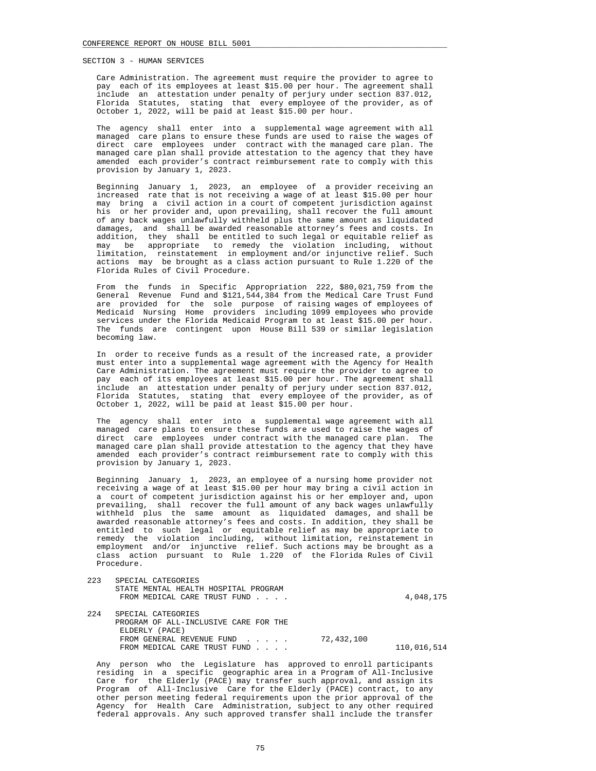Care Administration. The agreement must require the provider to agree to pay each of its employees at least \$15.00 per hour. The agreement shall include an attestation under penalty of perjury under section 837.012, Florida Statutes, stating that every employee of the provider, as of October 1, 2022, will be paid at least \$15.00 per hour.

 The agency shall enter into a supplemental wage agreement with all managed care plans to ensure these funds are used to raise the wages of direct care employees under contract with the managed care plan. The managed care plan shall provide attestation to the agency that they have amended each provider's contract reimbursement rate to comply with this provision by January 1, 2023.

 Beginning January 1, 2023, an employee of a provider receiving an increased rate that is not receiving a wage of at least \$15.00 per hour may bring a civil action in a court of competent jurisdiction against his or her provider and, upon prevailing, shall recover the full amount of any back wages unlawfully withheld plus the same amount as liquidated damages, and shall be awarded reasonable attorney's fees and costs. In addition, they shall be entitled to such legal or equitable relief as may be appropriate to remedy the violation including, without limitation, reinstatement in employment and/or injunctive relief. Such actions may be brought as a class action pursuant to Rule 1.220 of the Florida Rules of Civil Procedure.

 From the funds in Specific Appropriation 222, \$80,021,759 from the General Revenue Fund and \$121,544,384 from the Medical Care Trust Fund are provided for the sole purpose of raising wages of employees of Medicaid Nursing Home providers including 1099 employees who provide services under the Florida Medicaid Program to at least \$15.00 per hour. The funds are contingent upon House Bill 539 or similar legislation becoming law.

 In order to receive funds as a result of the increased rate, a provider must enter into a supplemental wage agreement with the Agency for Health Care Administration. The agreement must require the provider to agree to pay each of its employees at least \$15.00 per hour. The agreement shall include an attestation under penalty of perjury under section 837.012, Florida Statutes, stating that every employee of the provider, as of October 1, 2022, will be paid at least \$15.00 per hour.

 The agency shall enter into a supplemental wage agreement with all managed care plans to ensure these funds are used to raise the wages of direct care employees under contract with the managed care plan. The managed care plan shall provide attestation to the agency that they have amended each provider's contract reimbursement rate to comply with this provision by January 1, 2023.

 Beginning January 1, 2023, an employee of a nursing home provider not receiving a wage of at least \$15.00 per hour may bring a civil action in a court of competent jurisdiction against his or her employer and, upon prevailing, shall recover the full amount of any back wages unlawfully withheld plus the same amount as liquidated damages, and shall be awarded reasonable attorney's fees and costs. In addition, they shall be entitled to such legal or equitable relief as may be appropriate to remedy the violation including, without limitation, reinstatement in employment and/or injunctive relief. Such actions may be brought as a class action pursuant to Rule 1.220 of the Florida Rules of Civil Procedure.

| 223  | SPECIAL CATEGORIES<br>STATE MENTAL HEALTH HOSPITAL PROGRAM<br>FROM MEDICAL CARE TRUST FUND |            | 4,048,175   |
|------|--------------------------------------------------------------------------------------------|------------|-------------|
| 2.24 | SPECIAL CATEGORIES<br>PROGRAM OF ALL-INCLUSIVE CARE FOR THE<br>ELDERLY (PACE)              |            |             |
|      | FROM GENERAL REVENUE FUND<br>FROM MEDICAL CARE TRUST FUND                                  | 72,432,100 | 110,016,514 |

 Any person who the Legislature has approved to enroll participants residing in a specific geographic area in a Program of All-Inclusive Care for the Elderly (PACE) may transfer such approval, and assign its Program of All-Inclusive Care for the Elderly (PACE) contract, to any other person meeting federal requirements upon the prior approval of the Agency for Health Care Administration, subject to any other required federal approvals. Any such approved transfer shall include the transfer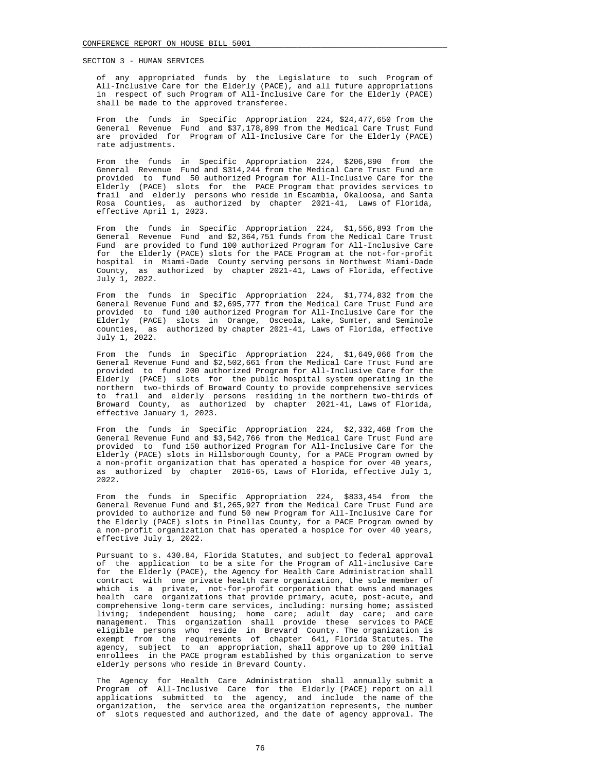of any appropriated funds by the Legislature to such Program of All-Inclusive Care for the Elderly (PACE), and all future appropriations in respect of such Program of All-Inclusive Care for the Elderly (PACE) shall be made to the approved transferee.

 From the funds in Specific Appropriation 224, \$24,477,650 from the General Revenue Fund and  $$37,178,899$  from the Medical Care Trust Fund are provided for Program of All-Inclusive Care for the Elderly (PACE) rate adjustments.

 From the funds in Specific Appropriation 224, \$206,890 from the General Revenue Fund and  $$314,244$  from the Medical Care Trust Fund are provided to fund 50 authorized Program for All-Inclusive Care for the Elderly (PACE) slots for the PACE Program that provides services to frail and elderly persons who reside in Escambia, Okaloosa, and Santa Rosa Counties, as authorized by chapter 2021-41, Laws of Florida, effective April 1, 2023.

 From the funds in Specific Appropriation 224, \$1,556,893 from the General Revenue Fund and \$2,364,751 funds from the Medical Care Trust Fund are provided to fund 100 authorized Program for All-Inclusive Care for the Elderly (PACE) slots for the PACE Program at the not-for-profit hospital in Miami-Dade County serving persons in Northwest Miami-Dade County, as authorized by chapter 2021-41, Laws of Florida, effective July 1, 2022.

 From the funds in Specific Appropriation 224, \$1,774,832 from the General Revenue Fund and \$2,695,777 from the Medical Care Trust Fund are provided to fund 100 authorized Program for All-Inclusive Care for the Elderly (PACE) slots in Orange, Osceola, Lake, Sumter, and Seminole counties, as authorized by chapter 2021-41, Laws of Florida, effective July 1, 2022.

 From the funds in Specific Appropriation 224, \$1,649,066 from the General Revenue Fund and \$2,502,661 from the Medical Care Trust Fund are provided to fund 200 authorized Program for All-Inclusive Care for the Elderly (PACE) slots for the public hospital system operating in the northern two-thirds of Broward County to provide comprehensive services to frail and elderly persons residing in the northern two-thirds of Broward County, as authorized by chapter 2021-41, Laws of Florida, effective January 1, 2023.

 From the funds in Specific Appropriation 224, \$2,332,468 from the General Revenue Fund and \$3,542,766 from the Medical Care Trust Fund are provided to fund 150 authorized Program for All-Inclusive Care for the Elderly (PACE) slots in Hillsborough County, for a PACE Program owned by a non-profit organization that has operated a hospice for over 40 years, as authorized by chapter 2016-65, Laws of Florida, effective July 1, 2022.

 From the funds in Specific Appropriation 224, \$833,454 from the General Revenue Fund and \$1,265,927 from the Medical Care Trust Fund are provided to authorize and fund 50 new Program for All-Inclusive Care for the Elderly (PACE) slots in Pinellas County, for a PACE Program owned by a non-profit organization that has operated a hospice for over 40 years, effective July 1, 2022.

 Pursuant to s. 430.84, Florida Statutes, and subject to federal approval of the application to be a site for the Program of All-inclusive Care for the Elderly (PACE), the Agency for Health Care Administration shall contract with one private health care organization, the sole member of which is a private, not-for-profit corporation that owns and manages health care organizations that provide primary, acute, post-acute, and comprehensive long-term care services, including: nursing home; assisted living; independent housing; home care; adult day care; and care management. This organization shall provide these services to PACE eligible persons who reside in Brevard County. The organization is exempt from the requirements of chapter 641, Florida Statutes. The agency, subject to an appropriation, shall approve up to 200 initial enrollees in the PACE program established by this organization to serve elderly persons who reside in Brevard County.

 The Agency for Health Care Administration shall annually submit a Program of All-Inclusive Care for the Elderly (PACE) report on all applications submitted to the agency, and include the name of the organization, the service area the organization represents, the number of slots requested and authorized, and the date of agency approval. The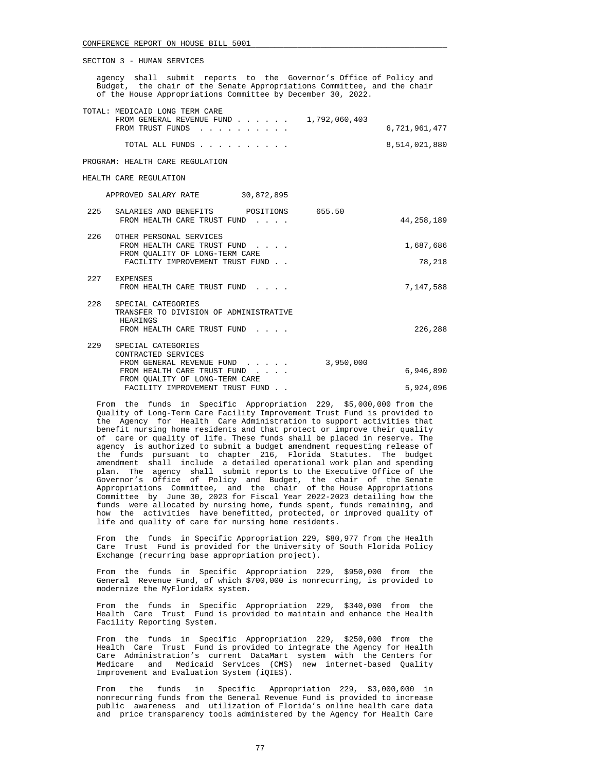agency shall submit reports to the Governor's Office of Policy and Budget, the chair of the Senate Appropriations Committee, and the chair of the House Appropriations Committee by December 30, 2022.

| TOTAL: MEDICAID LONG TERM CARE<br>FROM GENERAL REVENUE FUND $\ldots$ $\ldots$ $\ldots$ 1,792,060,403 |               |
|------------------------------------------------------------------------------------------------------|---------------|
| FROM TRUST FUNDS                                                                                     | 6,721,961,477 |
| TOTAL ALL FUNDS                                                                                      | 8,514,021,880 |
| PROGRAM: HEALTH CARE REGULATION                                                                      |               |

HEALTH CARE REGULATION

APPROVED SALARY RATE 30,872,895

| 225 | POSITIONS<br>SALARIES AND BENEFITS<br>FROM HEALTH CARE TRUST FUND                                                           | 655.50    | 44,258,189          |
|-----|-----------------------------------------------------------------------------------------------------------------------------|-----------|---------------------|
| 226 | OTHER PERSONAL SERVICES<br>FROM HEALTH CARE TRUST FUND<br>FROM OUALITY OF LONG-TERM CARE<br>FACILITY IMPROVEMENT TRUST FUND |           | 1,687,686<br>78,218 |
| 227 | <b>EXPENSES</b><br>FROM HEALTH CARE TRUST FUND                                                                              |           | 7,147,588           |
| 228 | SPECIAL CATEGORIES<br>TRANSFER TO DIVISION OF ADMINISTRATIVE<br>HEARINGS<br>FROM HEALTH CARE TRUST FUND                     |           | 226,288             |
| 229 | SPECIAL CATEGORIES<br>CONTRACTED SERVICES<br>FROM GENERAL REVENUE FUND<br>FROM HEALTH CARE TRUST FUND                       | 3,950,000 | 6,946,890           |
|     | FROM OUALITY OF LONG-TERM CARE                                                                                              |           |                     |
|     | FACILITY IMPROVEMENT TRUST FUND                                                                                             |           | 5,924,096           |

 From the funds in Specific Appropriation 229, \$5,000,000 from the Quality of Long-Term Care Facility Improvement Trust Fund is provided to the Agency for Health Care Administration to support activities that benefit nursing home residents and that protect or improve their quality of care or quality of life. These funds shall be placed in reserve. The agency is authorized to submit a budget amendment requesting release of the funds pursuant to chapter 216, Florida Statutes. The budget amendment shall include a detailed operational work plan and spending plan. The agency shall submit reports to the Executive Office of the Governor's Office of Policy and Budget, the chair of the Senate Appropriations Committee, and the chair of the House Appropriations Committee by June 30, 2023 for Fiscal Year 2022-2023 detailing how the funds were allocated by nursing home, funds spent, funds remaining, and how the activities have benefitted, protected, or improved quality of life and quality of care for nursing home residents.

 From the funds in Specific Appropriation 229, \$80,977 from the Health Care Trust Fund is provided for the University of South Florida Policy Exchange (recurring base appropriation project).

 From the funds in Specific Appropriation 229, \$950,000 from the General Revenue Fund, of which \$700,000 is nonrecurring, is provided to modernize the MyFloridaRx system.

 From the funds in Specific Appropriation 229, \$340,000 from the Health Care Trust Fund is provided to maintain and enhance the Health Facility Reporting System.

 From the funds in Specific Appropriation 229, \$250,000 from the Health Care Trust Fund is provided to integrate the Agency for Health Care Administration's current DataMart system with the Centers for Medicare and Medicaid Services (CMS) new internet-based Quality Improvement and Evaluation System (iQIES).

 From the funds in Specific Appropriation 229, \$3,000,000 in nonrecurring funds from the General Revenue Fund is provided to increase public awareness and utilization of Florida's online health care data and price transparency tools administered by the Agency for Health Care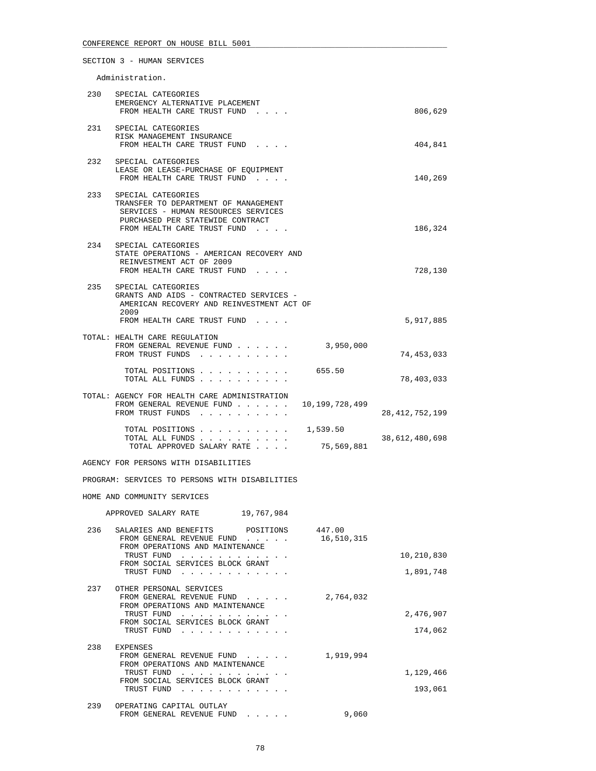Administration.

| 230 | SPECIAL CATEGORIES<br>EMERGENCY ALTERNATIVE PLACEMENT<br>FROM HEALTH CARE TRUST FUND                                                                                 |                        | 806,629                 |
|-----|----------------------------------------------------------------------------------------------------------------------------------------------------------------------|------------------------|-------------------------|
|     | 231 SPECIAL CATEGORIES<br>RISK MANAGEMENT INSURANCE<br>FROM HEALTH CARE TRUST FUND                                                                                   |                        | 404,841                 |
| 232 | SPECIAL CATEGORIES<br>LEASE OR LEASE-PURCHASE OF EQUIPMENT<br>FROM HEALTH CARE TRUST FUND                                                                            |                        | 140,269                 |
| 233 | SPECIAL CATEGORIES<br>TRANSFER TO DEPARTMENT OF MANAGEMENT<br>SERVICES - HUMAN RESOURCES SERVICES<br>PURCHASED PER STATEWIDE CONTRACT<br>FROM HEALTH CARE TRUST FUND |                        | 186,324                 |
|     | 234 SPECIAL CATEGORIES<br>STATE OPERATIONS - AMERICAN RECOVERY AND<br>REINVESTMENT ACT OF 2009<br>FROM HEALTH CARE TRUST FUND                                        |                        | 728,130                 |
| 235 | SPECIAL CATEGORIES<br>GRANTS AND AIDS - CONTRACTED SERVICES -<br>AMERICAN RECOVERY AND REINVESTMENT ACT OF<br>2009<br>FROM HEALTH CARE TRUST FUND                    |                        | 5,917,885               |
|     |                                                                                                                                                                      |                        |                         |
|     | TOTAL: HEALTH CARE REGULATION<br>FROM GENERAL REVENUE FUND<br>FROM TRUST FUNDS                                                                                       | 3,950,000              | 74,453,033              |
|     | TOTAL POSITIONS 655.50<br>TOTAL ALL FUNDS                                                                                                                            |                        | 78,403,033              |
|     | TOTAL: AGENCY FOR HEALTH CARE ADMINISTRATION<br>FROM GENERAL REVENUE FUND<br>FROM TRUST FUNDS                                                                        | 10,199,728,499         | 28, 412, 752, 199       |
|     | TOTAL POSITIONS<br>TOTAL ALL FUNDS<br>TOTAL APPROVED SALARY RATE                                                                                                     | 1,539.50<br>75,569,881 | 38,612,480,698          |
|     | AGENCY FOR PERSONS WITH DISABILITIES                                                                                                                                 |                        |                         |
|     | PROGRAM: SERVICES TO PERSONS WITH DISABILITIES                                                                                                                       |                        |                         |
|     | HOME AND COMMUNITY SERVICES                                                                                                                                          |                        |                         |
|     | APPROVED SALARY RATE 19,767,984                                                                                                                                      |                        |                         |
| 236 | SALARIES AND BENEFITS POSITIONS<br>FROM GENERAL REVENUE FUND<br>FROM OPERATIONS AND MAINTENANCE<br>TRUST FUND<br>FROM SOCIAL SERVICES BLOCK GRANT<br>TRUST FUND      | 447.00<br>16,510,315   | 10,210,830<br>1,891,748 |
| 237 | OTHER PERSONAL SERVICES<br>FROM GENERAL REVENUE FUND<br>FROM OPERATIONS AND MAINTENANCE<br>TRUST FUND<br>FROM SOCIAL SERVICES BLOCK GRANT<br>TRUST FUND              | 2,764,032              | 2,476,907<br>174,062    |
| 238 | EXPENSES<br>FROM GENERAL REVENUE FUND<br>FROM OPERATIONS AND MAINTENANCE<br>TRUST FUND<br>FROM SOCIAL SERVICES BLOCK GRANT<br>TRUST FUND                             | 1,919,994              | 1,129,466<br>193,061    |

| OPERATING CAPITAL OUTLAY  |       |
|---------------------------|-------|
| FROM GENERAL REVENUE FUND | 9,060 |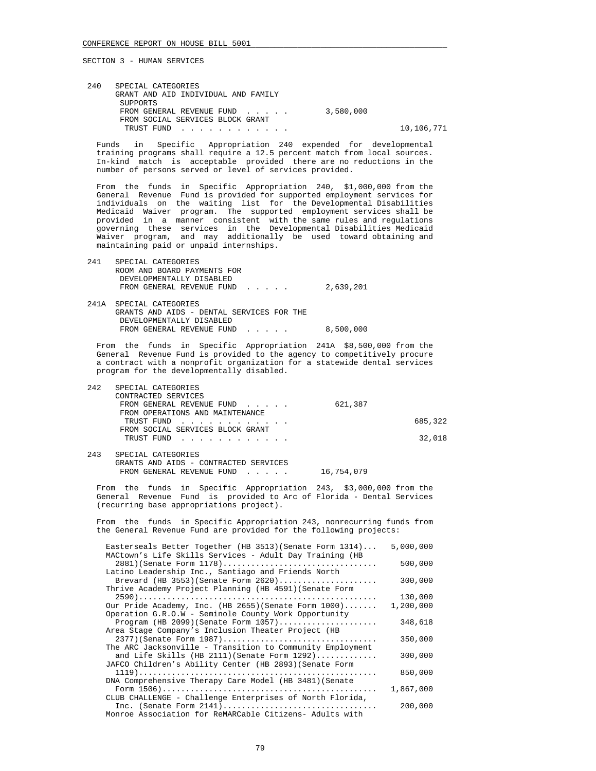| 240 | SPECIAL CATEGORIES                  |           |            |
|-----|-------------------------------------|-----------|------------|
|     | GRANT AND AID INDIVIDUAL AND FAMILY |           |            |
|     | SUPPORTS                            |           |            |
|     | FROM GENERAL REVENUE FUND           | 3,580,000 |            |
|     | FROM SOCIAL SERVICES BLOCK GRANT    |           |            |
|     | TRUST FUND                          |           | 10,106,771 |

 Funds in Specific Appropriation 240 expended for developmental training programs shall require a 12.5 percent match from local sources. In-kind match is acceptable provided there are no reductions in the number of persons served or level of services provided.

 From the funds in Specific Appropriation 240, \$1,000,000 from the General Revenue Fund is provided for supported employment services for individuals on the waiting list for the Developmental Disabilities Medicaid Waiver program. The supported employment services shall be provided in a manner consistent with the same rules and regulations governing these services in the Developmental Disabilities Medicaid Waiver program, and may additionally be used toward obtaining and maintaining paid or unpaid internships.

| 241 | SPECIAL CATEGORIES<br>ROOM AND BOARD PAYMENTS FOR<br>DEVELOPMENTALLY DISABLED<br>FROM GENERAL REVENUE FUND                    | 2,639,201 |
|-----|-------------------------------------------------------------------------------------------------------------------------------|-----------|
|     | 241A SPECIAL CATEGORIES<br>GRANTS AND AIDS - DENTAL SERVICES FOR THE<br>DEVELOPMENTALLY DISABLED<br>FROM GENERAL REVENUE FUND | 8,500,000 |

 From the funds in Specific Appropriation 241A \$8,500,000 from the General Revenue Fund is provided to the agency to competitively procure a contract with a nonprofit organization for a statewide dental services program for the developmentally disabled.

| 242 | SPECIAL CATEGORIES                    |         |         |
|-----|---------------------------------------|---------|---------|
|     | CONTRACTED SERVICES                   |         |         |
|     | FROM GENERAL REVENUE FUND             | 621,387 |         |
|     | FROM OPERATIONS AND MAINTENANCE       |         |         |
|     | TRUST FUND<br><u>.</u>                |         | 685,322 |
|     | FROM SOCIAL SERVICES BLOCK GRANT      |         |         |
|     | TRUST FUND                            |         | 32,018  |
|     |                                       |         |         |
| 243 | SPECIAL CATEGORIES                    |         |         |
|     | GRANTS AND AIDS - CONTRACTED SERVICES |         |         |

FROM GENERAL REVENUE FUND . . . . . 16,754,079

 From the funds in Specific Appropriation 243, \$3,000,000 from the General Revenue Fund is provided to Arc of Florida - Dental Services (recurring base appropriations project).

 From the funds in Specific Appropriation 243, nonrecurring funds from the General Revenue Fund are provided for the following projects:

| Easterseals Better Together (HB 3513) (Senate Form 1314)  | 5,000,000 |
|-----------------------------------------------------------|-----------|
| MACtown's Life Skills Services - Adult Day Training (HB   |           |
| 2881) (Senate Form 1178)                                  | 500,000   |
| Latino Leadership Inc., Santiago and Friends North        |           |
| Brevard (HB 3553) (Senate Form $2620)$                    | 300,000   |
| Thrive Academy Project Planning (HB 4591) (Senate Form    |           |
|                                                           | 130,000   |
| Our Pride Academy, Inc. (HB 2655) (Senate Form 1000)      | 1,200,000 |
| Operation G.R.O.W - Seminole County Work Opportunity      |           |
| Program (HB 2099) (Senate Form $1057)$                    | 348,618   |
| Area Stage Company's Inclusion Theater Project (HB        |           |
| 2377) (Senate Form 1987)                                  | 350,000   |
| The ARC Jacksonville - Transition to Community Employment |           |
| and Life Skills (HB 2111) (Senate Form $1292)$            | 300,000   |
| JAFCO Children's Ability Center (HB 2893) (Senate Form    |           |
|                                                           | 850,000   |
| DNA Comprehensive Therapy Care Model (HB 3481) (Senate    |           |
|                                                           | 1,867,000 |
| CLUB CHALLENGE - Challenge Enterprises of North Florida,  |           |
|                                                           | 200,000   |
| Monroe Association for ReMARCable Citizens- Adults with   |           |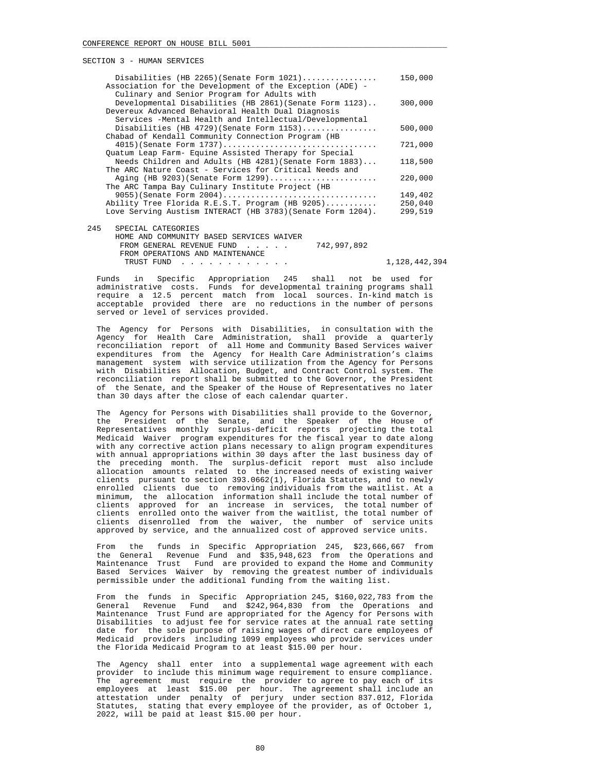| Disabilities (HB 2265) (Senate Form 1021)                   | 150,000 |
|-------------------------------------------------------------|---------|
| Association for the Development of the Exception (ADE) -    |         |
| Culinary and Senior Program for Adults with                 |         |
| Developmental Disabilities (HB 2861) (Senate Form 1123)     | 300,000 |
| Devereux Advanced Behavioral Health Dual Diagnosis          |         |
| Services -Mental Health and Intellectual/Developmental      |         |
| Disabilities (HB 4729) (Senate Form $1153)$                 | 500,000 |
| Chabad of Kendall Community Connection Program (HB          |         |
| 4015) (Senate Form 1737)                                    | 721,000 |
| Quatum Leap Farm- Equine Assisted Therapy for Special       |         |
| Needs Children and Adults (HB 4281) (Senate Form 1883)      | 118,500 |
| The ARC Nature Coast - Services for Critical Needs and      |         |
| Aging (HB 9203) (Senate Form 1299)                          | 220,000 |
| The ARC Tampa Bay Culinary Institute Project (HB            |         |
|                                                             | 149,402 |
| Ability Tree Florida R.E.S.T. Program (HB 9205)             | 250,040 |
| Love Serving Austism INTERACT (HB 3783) (Senate Form 1204). | 299,519 |
|                                                             |         |
| 245<br>SPECIAL CATEGORIES                                   |         |
|                                                             |         |

 HOME AND COMMUNITY BASED SERVICES WAIVER FROM GENERAL REVENUE FUND . . . . . 742,997,892 FROM OPERATIONS AND MAINTENANCE TRUST FUND . . . . . . . . . . . . . . . . 1,128,442,394

 Funds in Specific Appropriation 245 shall not be used for administrative costs. Funds for developmental training programs shall require a 12.5 percent match from local sources. In-kind match is acceptable provided there are no reductions in the number of persons served or level of services provided.

 The Agency for Persons with Disabilities, in consultation with the Agency for Health Care Administration, shall provide a quarterly reconciliation report of all Home and Community Based Services waiver expenditures from the Agency for Health Care Administration's claims management system with service utilization from the Agency for Persons with Disabilities Allocation, Budget, and Contract Control system. The reconciliation report shall be submitted to the Governor, the President of the Senate, and the Speaker of the House of Representatives no later than 30 days after the close of each calendar quarter.

The Agency for Persons with Disabilities shall provide to the Governor,<br>the President of the Senate, and the Speaker of the House of President of the Senate, and the Speaker of the House of Representatives monthly surplus-deficit reports projecting the total Medicaid Waiver program expenditures for the fiscal year to date along with any corrective action plans necessary to align program expenditures with annual appropriations within 30 days after the last business day of the preceding month. The surplus-deficit report must also include allocation amounts related to the increased needs of existing waiver clients pursuant to section 393.0662(1), Florida Statutes, and to newly enrolled clients due to removing individuals from the waitlist. At a minimum, the allocation information shall include the total number of clients approved for an increase in services, the total number of clients enrolled onto the waiver from the waitlist, the total number of clients disenrolled from the waiver, the number of service units approved by service, and the annualized cost of approved service units.

 From the funds in Specific Appropriation 245, \$23,666,667 from the General Revenue Fund and \$35,948,623 from the Operations and Maintenance Trust Fund are provided to expand the Home and Community Based Services Waiver by removing the greatest number of individuals permissible under the additional funding from the waiting list.

 From the funds in Specific Appropriation 245, \$160,022,783 from the General Revenue Fund and \$242,964,830 from the Operations and Maintenance Trust Fund are appropriated for the Agency for Persons with Disabilities to adjust fee for service rates at the annual rate setting date for the sole purpose of raising wages of direct care employees of Medicaid providers including 1099 employees who provide services under the Florida Medicaid Program to at least \$15.00 per hour.

 The Agency shall enter into a supplemental wage agreement with each provider to include this minimum wage requirement to ensure compliance. The agreement must require the provider to agree to pay each of its employees at least \$15.00 per hour. The agreement shall include an attestation under penalty of perjury under section 837.012, Florida Statutes, stating that every employee of the provider, as of October 1, 2022, will be paid at least \$15.00 per hour.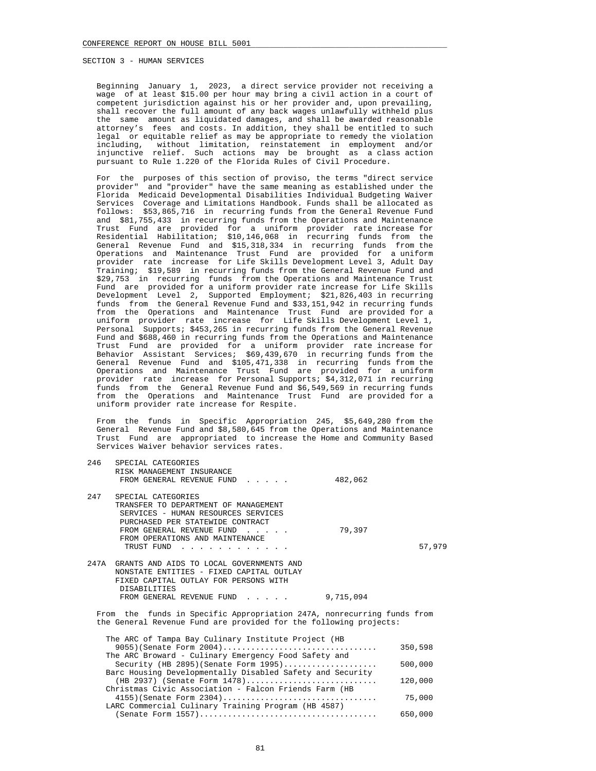Beginning January 1, 2023, a direct service provider not receiving a wage of at least \$15.00 per hour may bring a civil action in a court of competent jurisdiction against his or her provider and, upon prevailing, shall recover the full amount of any back wages unlawfully withheld plus the same amount as liquidated damages, and shall be awarded reasonable attorney's fees and costs. In addition, they shall be entitled to such legal or equitable relief as may be appropriate to remedy the violation including, without limitation, reinstatement in employment and/or injunctive relief. Such actions may be brought as a class action pursuant to Rule 1.220 of the Florida Rules of Civil Procedure.

 For the purposes of this section of proviso, the terms "direct service provider" and "provider" have the same meaning as established under the Florida Medicaid Developmental Disabilities Individual Budgeting Waiver Services Coverage and Limitations Handbook. Funds shall be allocated as follows: \$53,865,716 in recurring funds from the General Revenue Fund and \$81,755,433 in recurring funds from the Operations and Maintenance Trust Fund are provided for a uniform provider rate increase for Residential Habilitation; \$10,146,068 in recurring funds from the General Revenue Fund and \$15,318,334 in recurring funds from the Operations and Maintenance Trust Fund are provided for a uniform provider rate increase for Life Skills Development Level 3, Adult Day Training; \$19,589 in recurring funds from the General Revenue Fund and \$29,753 in recurring funds from the Operations and Maintenance Trust Fund are provided for a uniform provider rate increase for Life Skills Development Level 2, Supported Employment; \$21,826,403 in recurring funds from the General Revenue Fund and \$33,151,942 in recurring funds from the Operations and Maintenance Trust Fund are provided for a uniform provider rate increase for Life Skills Development Level 1, Personal Supports; \$453,265 in recurring funds from the General Revenue Fund and \$688,460 in recurring funds from the Operations and Maintenance Trust Fund are provided for a uniform provider rate increase for Behavior Assistant Services; \$69,439,670 in recurring funds from the General Revenue Fund and \$105,471,338 in recurring funds from the Operations and Maintenance Trust Fund are provided for a uniform provider rate increase for Personal Supports; \$4,312,071 in recurring funds from the General Revenue Fund and \$6,549,569 in recurring funds from the Operations and Maintenance Trust Fund are provided for a uniform provider rate increase for Respite.

 From the funds in Specific Appropriation 245, \$5,649,280 from the General Revenue Fund and \$8,580,645 from the Operations and Maintenance Trust Fund are appropriated to increase the Home and Community Based Services Waiver behavior services rates.

| 246                    | SPECIAL CATEGORIES                                                |           |        |
|------------------------|-------------------------------------------------------------------|-----------|--------|
|                        | RISK MANAGEMENT INSURANCE                                         |           |        |
|                        | FROM GENERAL REVENUE FUND                                         | 482,062   |        |
| 247                    | SPECIAL CATEGORIES                                                |           |        |
|                        | TRANSFER TO DEPARTMENT OF MANAGEMENT                              |           |        |
|                        | SERVICES - HUMAN RESOURCES SERVICES                               |           |        |
|                        | PURCHASED PER STATEWIDE CONTRACT                                  |           |        |
|                        | FROM GENERAL REVENUE FUND<br>$\sim$ $\sim$ $\sim$ $\sim$ $\sim$   | 79,397    |        |
|                        | FROM OPERATIONS AND MAINTENANCE                                   |           |        |
|                        | TRUST FUND                                                        |           | 57,979 |
| 247A                   | GRANTS AND AIDS TO LOCAL GOVERNMENTS AND                          |           |        |
|                        | NONSTATE ENTITIES - FIXED CAPITAL OUTLAY                          |           |        |
|                        | FIXED CAPITAL OUTLAY FOR PERSONS WITH                             |           |        |
|                        | <b>DISABILITIES</b>                                               |           |        |
|                        | FROM GENERAL REVENUE FUND                                         | 9,715,094 |        |
| $E_{\rm x}$ $\sim$ $m$ | the funda in greatfig Appropriation 2473, nonrequering funda from |           |        |

the funds in Specific Appropriation 247A, nonrecurring funds from the General Revenue Fund are provided for the following projects:

| The ARC of Tampa Bay Culinary Institute Project (HB       |         |
|-----------------------------------------------------------|---------|
| $9055$ ) (Senate Form 2004)                               | 350,598 |
| The ARC Broward - Culinary Emergency Food Safety and      |         |
| Security (HB $2895$ ) (Senate Form $1995$ )               | 500,000 |
| Barc Housing Developmentally Disabled Safety and Security |         |
| $(HB 2937)$ (Senate Form $1478)$                          | 120,000 |
| Christmas Civic Association - Falcon Friends Farm (HB     |         |
| $4155$ ) (Senate Form 2304)                               | 75,000  |
| LARC Commercial Culinary Training Program (HB 4587)       |         |
|                                                           | 650,000 |
|                                                           |         |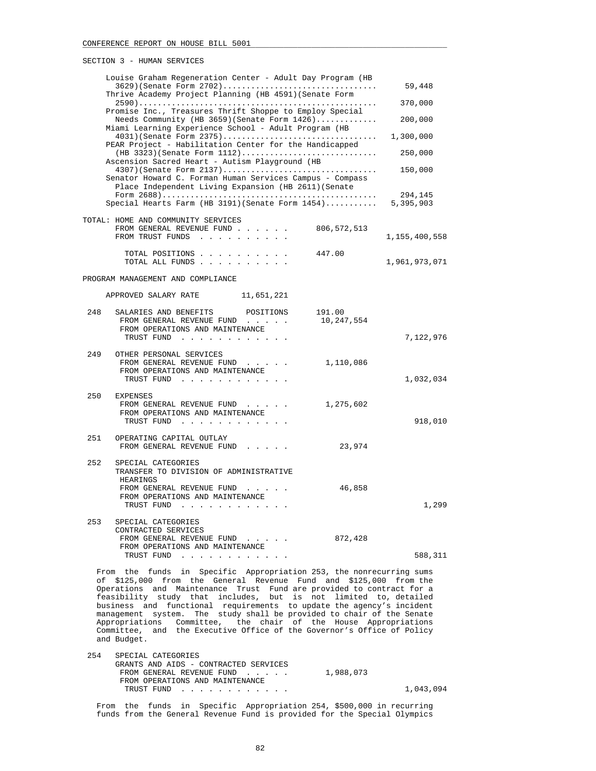|     | Louise Graham Regeneration Center - Adult Day Program (HB                                                                                                                                            |                      | 59,448        |
|-----|------------------------------------------------------------------------------------------------------------------------------------------------------------------------------------------------------|----------------------|---------------|
|     | Thrive Academy Project Planning (HB 4591) (Senate Form                                                                                                                                               |                      | 370,000       |
|     | Promise Inc., Treasures Thrift Shoppe to Employ Special<br>Needs Community (HB $3659$ ) (Senate Form $1426$ )<br>Miami Learning Experience School - Adult Program (HB                                |                      | 200,000       |
|     | 4031) (Senate Form 2375)<br>PEAR Project - Habilitation Center for the Handicapped                                                                                                                   |                      | 1,300,000     |
|     | Ascension Sacred Heart - Autism Playground (HB                                                                                                                                                       |                      | 250,000       |
|     | $4307$ (Senate Form $2137)$<br>Senator Howard C. Forman Human Services Campus - Compass<br>Place Independent Living Expansion (HB 2611) (Senate                                                      |                      | 150,000       |
|     | Special Hearts Farm (HB 3191) (Senate Form 1454) 5,395,903                                                                                                                                           |                      | 294,145       |
|     | TOTAL: HOME AND COMMUNITY SERVICES<br>FROM GENERAL REVENUE FUND 806,572,513                                                                                                                          |                      |               |
|     | FROM TRUST FUNDS                                                                                                                                                                                     |                      | 1,155,400,558 |
|     | TOTAL POSITIONS<br>TOTAL ALL FUNDS                                                                                                                                                                   | 447.00               | 1,961,973,071 |
|     | PROGRAM MANAGEMENT AND COMPLIANCE                                                                                                                                                                    |                      |               |
|     | APPROVED SALARY RATE 11,651,221                                                                                                                                                                      |                      |               |
| 248 | SALARIES AND BENEFITS POSITIONS<br>FROM GENERAL REVENUE FUND<br>FROM OPERATIONS AND MAINTENANCE                                                                                                      | 191.00<br>10,247,554 |               |
|     | TRUST FUND                                                                                                                                                                                           |                      | 7,122,976     |
| 249 | OTHER PERSONAL SERVICES<br>FROM GENERAL REVENUE FUND<br>and a state of the<br>FROM OPERATIONS AND MAINTENANCE<br>TRUST FUND                                                                          | 1,110,086            | 1,032,034     |
| 250 | EXPENSES<br>FROM GENERAL REVENUE FUND<br>FROM OPERATIONS AND MAINTENANCE<br>TRUST FUND                                                                                                               | 1,275,602            | 918,010       |
| 251 | OPERATING CAPITAL OUTLAY<br>FROM GENERAL REVENUE FUND                                                                                                                                                | 23,974               |               |
| 252 | SPECIAL CATEGORIES<br>TRANSFER TO DIVISION OF ADMINISTRATIVE<br>HEARINGS                                                                                                                             |                      |               |
|     | FROM GENERAL REVENUE FUND<br>FROM OPERATIONS AND MAINTENANCE<br>TRUST FUND<br>. The contract of the contract of the contract $\mathcal{L}_\text{c}$                                                  | 46,858               | 1,299         |
| 253 | SPECIAL CATEGORIES<br>CONTRACTED SERVICES<br>FROM GENERAL REVENUE FUND                                                                                                                               | 872,428              |               |
|     | FROM OPERATIONS AND MAINTENANCE<br>TRUST FUND                                                                                                                                                        |                      | 588,311       |
| of  | From the funds in Specific Appropriation 253, the nonrecurring sums<br>\$125,000 from the General Revenue Fund and \$125,000<br>Operations and Maintenance Trust Fund are provided to contract for a |                      | from the      |

 Operations and Maintenance Trust Fund are provided to contract for a feasibility study that includes, but is not limited to, detailed business and functional requirements to update the agency's incident management system. The study shall be provided to chair of the Senate Appropriations Committee, the chair of the House Appropriations Committee, and the Executive Office of the Governor's Office of Policy and Budget.

 254 SPECIAL CATEGORIES GRANTS AND AIDS - CONTRACTED SERVICES FROM GENERAL REVENUE FUND . . . . . 1,988,073 FROM OPERATIONS AND MAINTENANCE TRUST FUND . . . . . . . . . . . . 1,043,094

 From the funds in Specific Appropriation 254, \$500,000 in recurring funds from the General Revenue Fund is provided for the Special Olympics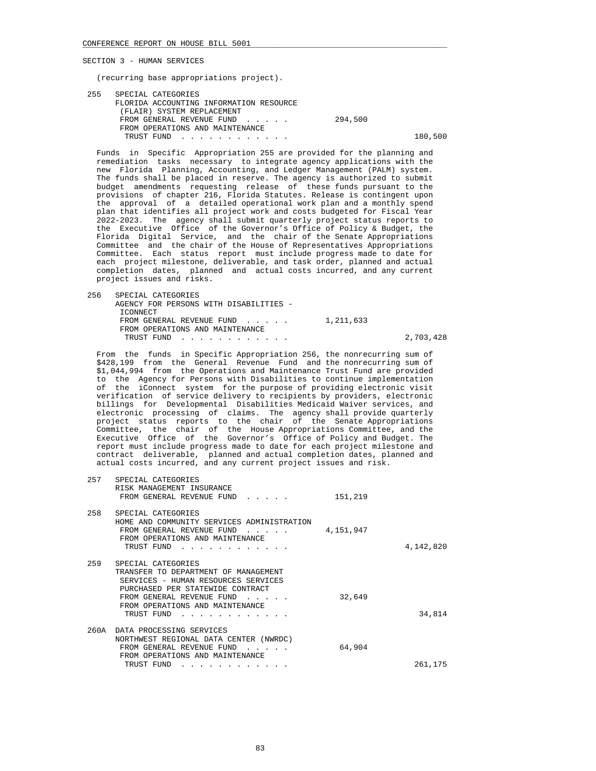(recurring base appropriations project).

| 255 | SPECIAL CATEGORIES                      |         |         |
|-----|-----------------------------------------|---------|---------|
|     | FLORIDA ACCOUNTING INFORMATION RESOURCE |         |         |
|     | (FLAIR) SYSTEM REPLACEMENT              |         |         |
|     | FROM GENERAL REVENUE FUND               | 294,500 |         |
|     | FROM OPERATIONS AND MAINTENANCE         |         |         |
|     | TRUST FUND                              |         | 180,500 |

 Funds in Specific Appropriation 255 are provided for the planning and remediation tasks necessary to integrate agency applications with the new Florida Planning, Accounting, and Ledger Management (PALM) system. The funds shall be placed in reserve. The agency is authorized to submit budget amendments requesting release of these funds pursuant to the provisions of chapter 216, Florida Statutes. Release is contingent upon the approval of a detailed operational work plan and a monthly spend plan that identifies all project work and costs budgeted for Fiscal Year 2022-2023. The agency shall submit quarterly project status reports to the Executive Office of the Governor's Office of Policy & Budget, the Florida Digital Service, and the chair of the Senate Appropriations Committee and the chair of the House of Representatives Appropriations Committee. Each status report must include progress made to date for each project milestone, deliverable, and task order, planned and actual completion dates, planned and actual costs incurred, and any current project issues and risks.

 256 SPECIAL CATEGORIES AGENCY FOR PERSONS WITH DISABILITIES - ICONNECT FROM GENERAL REVENUE FUND . . . . . 1,211,633 FROM OPERATIONS AND MAINTENANCE TRUST FUND . . . . . . . . . . . . 2,703,428

 From the funds in Specific Appropriation 256, the nonrecurring sum of \$428,199 from the General Revenue Fund and the nonrecurring sum of \$1,044,994 from the Operations and Maintenance Trust Fund are provided to the Agency for Persons with Disabilities to continue implementation of the iConnect system for the purpose of providing electronic visit verification of service delivery to recipients by providers, electronic billings for Developmental Disabilities Medicaid Waiver services, and electronic processing of claims. The agency shall provide quarterly project status reports to the chair of the Senate Appropriations Committee, the chair of the House Appropriations Committee, and the Executive Office of the Governor's Office of Policy and Budget. The report must include progress made to date for each project milestone and contract deliverable, planned and actual completion dates, planned and actual costs incurred, and any current project issues and risk.

| 257  | SPECIAL CATEGORIES<br>RISK MANAGEMENT INSURANCE<br>FROM GENERAL REVENUE FUND                                                                                                                                                                  | 151,219   |           |
|------|-----------------------------------------------------------------------------------------------------------------------------------------------------------------------------------------------------------------------------------------------|-----------|-----------|
| 258  | SPECIAL CATEGORIES<br>HOME AND COMMUNITY SERVICES ADMINISTRATION<br>FROM GENERAL REVENUE FUND<br>$\cdot$ $\cdot$ $\cdot$ $\cdot$ $\cdot$<br>FROM OPERATIONS AND MAINTENANCE<br>TRUST FUND                                                     | 4,151,947 | 4,142,820 |
| 259  | SPECIAL CATEGORIES<br>TRANSFER TO DEPARTMENT OF MANAGEMENT<br>SERVICES - HUMAN RESOURCES SERVICES<br>PURCHASED PER STATEWIDE CONTRACT<br>FROM GENERAL REVENUE FUND<br>FROM OPERATIONS AND MAINTENANCE<br>TRUST FUND                           | 32,649    | 34,814    |
| 260A | DATA PROCESSING SERVICES<br>NORTHWEST REGIONAL DATA CENTER (NWRDC)<br>FROM GENERAL REVENUE FUND<br>$\overline{a}$ and $\overline{a}$ and $\overline{a}$<br>FROM OPERATIONS AND MAINTENANCE<br>TRUST FUND<br><b>Contract Contract Contract</b> | 64,904    | 261,175   |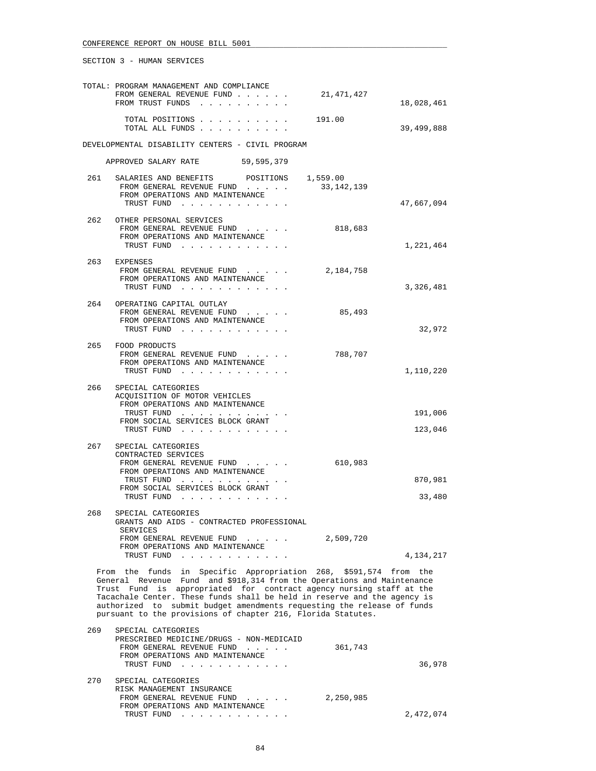|     | TOTAL: PROGRAM MANAGEMENT AND COMPLIANCE                                                                                                           |            |            |
|-----|----------------------------------------------------------------------------------------------------------------------------------------------------|------------|------------|
|     | FROM GENERAL REVENUE FUND                                                                                                                          | 21,471,427 |            |
|     | FROM TRUST FUNDS                                                                                                                                   |            | 18,028,461 |
|     | TOTAL POSITIONS                                                                                                                                    | 191.00     |            |
|     | TOTAL ALL FUNDS                                                                                                                                    |            | 39,499,888 |
|     |                                                                                                                                                    |            |            |
|     | DEVELOPMENTAL DISABILITY CENTERS - CIVIL PROGRAM                                                                                                   |            |            |
|     | APPROVED SALARY RATE 59,595,379                                                                                                                    |            |            |
| 261 | SALARIES AND BENEFITS POSITIONS 1,559.00                                                                                                           |            |            |
|     | FROM GENERAL REVENUE FUND                                                                                                                          | 33,142,139 |            |
|     | FROM OPERATIONS AND MAINTENANCE                                                                                                                    |            |            |
|     | TRUST FUND                                                                                                                                         |            | 47,667,094 |
| 262 | OTHER PERSONAL SERVICES                                                                                                                            |            |            |
|     | FROM GENERAL REVENUE FUND                                                                                                                          | 818,683    |            |
|     | FROM OPERATIONS AND MAINTENANCE                                                                                                                    |            |            |
|     | TRUST FUND                                                                                                                                         |            | 1,221,464  |
| 263 | EXPENSES                                                                                                                                           |            |            |
|     | FROM GENERAL REVENUE FUND                                                                                                                          | 2,184,758  |            |
|     | FROM OPERATIONS AND MAINTENANCE                                                                                                                    |            |            |
|     | TRUST FUND                                                                                                                                         |            | 3,326,481  |
| 264 | OPERATING CAPITAL OUTLAY                                                                                                                           |            |            |
|     | FROM GENERAL REVENUE FUND<br>$\mathbf{r}$ . The set of the set of $\mathbf{r}$                                                                     | 85,493     |            |
|     | FROM OPERATIONS AND MAINTENANCE<br>TRUST FUND                                                                                                      |            | 32,972     |
|     |                                                                                                                                                    |            |            |
| 265 | FOOD PRODUCTS                                                                                                                                      |            |            |
|     | FROM GENERAL REVENUE FUND<br>FROM OPERATIONS AND MAINTENANCE                                                                                       | 788,707    |            |
|     | TRUST FUND                                                                                                                                         |            | 1,110,220  |
|     |                                                                                                                                                    |            |            |
|     | 266 SPECIAL CATEGORIES<br>ACQUISITION OF MOTOR VEHICLES                                                                                            |            |            |
|     | FROM OPERATIONS AND MAINTENANCE                                                                                                                    |            |            |
|     | TRUST FUND                                                                                                                                         |            | 191,006    |
|     | FROM SOCIAL SERVICES BLOCK GRANT                                                                                                                   |            |            |
|     | TRUST FUND                                                                                                                                         |            | 123,046    |
| 267 | SPECIAL CATEGORIES                                                                                                                                 |            |            |
|     | CONTRACTED SERVICES                                                                                                                                |            |            |
|     | FROM GENERAL REVENUE FUND<br>FROM OPERATIONS AND MAINTENANCE                                                                                       | 610,983    |            |
|     | TRUST FUND                                                                                                                                         |            | 870,981    |
|     | FROM SOCIAL SERVICES BLOCK GRANT                                                                                                                   |            |            |
|     | TRUST FUND                                                                                                                                         |            | 33,480     |
| 268 | SPECIAL CATEGORIES                                                                                                                                 |            |            |
|     | GRANTS AND AIDS - CONTRACTED PROFESSIONAL                                                                                                          |            |            |
|     | SERVICES<br>FROM GENERAL REVENUE FUND                                                                                                              | 2,509,720  |            |
|     | FROM OPERATIONS AND MAINTENANCE                                                                                                                    |            |            |
|     | TRUST FUND                                                                                                                                         |            | 4,134,217  |
|     | From the funds in Specific Appropriation 268, \$591,574 from the                                                                                   |            |            |
|     | General Revenue Fund and \$918,314 from the Operations and Maintenance                                                                             |            |            |
|     | Trust Fund is appropriated for contract agency nursing staff at the                                                                                |            |            |
|     | Tacachale Center. These funds shall be held in reserve and the agency is<br>authorized to submit budget amendments requesting the release of funds |            |            |
|     | pursuant to the provisions of chapter 216, Florida Statutes.                                                                                       |            |            |
|     |                                                                                                                                                    |            |            |
| 269 | SPECIAL CATEGORIES                                                                                                                                 |            |            |
|     | PRESCRIBED MEDICINE/DRUGS - NON-MEDICAID<br>FROM GENERAL REVENUE FUND                                                                              | 361,743    |            |
|     | FROM OPERATIONS AND MAINTENANCE                                                                                                                    |            |            |
|     | TRUST FUND                                                                                                                                         |            | 36,978     |
| 270 | SPECIAL CATEGORIES                                                                                                                                 |            |            |
|     | RISK MANAGEMENT INSURANCE                                                                                                                          |            |            |
|     | FROM GENERAL REVENUE FUND                                                                                                                          | 2,250,985  |            |

TRUST FUND . . . . . . . . . . . . . . 2,472,074

FROM OPERATIONS AND MAINTENANCE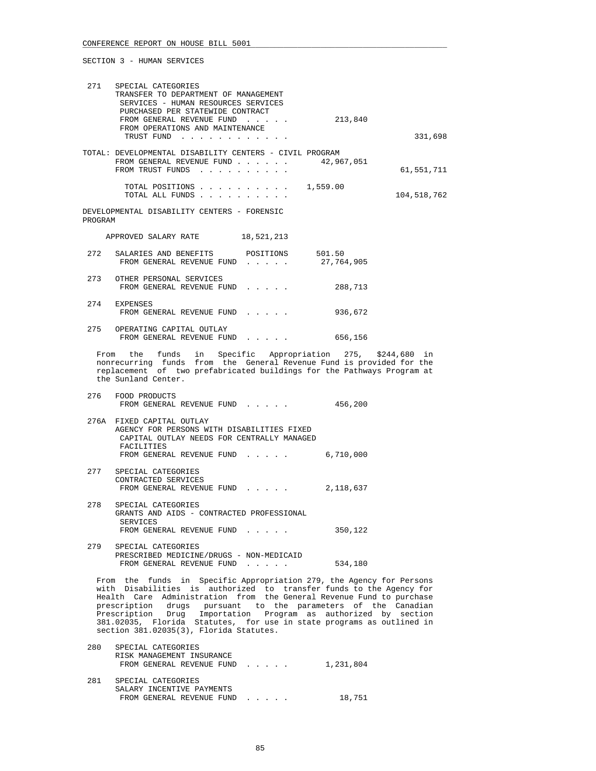| 271     | SPECIAL CATEGORIES<br>TRANSFER TO DEPARTMENT OF MANAGEMENT<br>SERVICES - HUMAN RESOURCES SERVICES<br>PURCHASED PER STATEWIDE CONTRACT                                                                                                                                                                                                                                                                                                                                         |            |             |
|---------|-------------------------------------------------------------------------------------------------------------------------------------------------------------------------------------------------------------------------------------------------------------------------------------------------------------------------------------------------------------------------------------------------------------------------------------------------------------------------------|------------|-------------|
|         | FROM GENERAL REVENUE FUND<br>FROM OPERATIONS AND MAINTENANCE                                                                                                                                                                                                                                                                                                                                                                                                                  | 213,840    |             |
|         | TRUST FUND                                                                                                                                                                                                                                                                                                                                                                                                                                                                    |            | 331,698     |
|         | TOTAL: DEVELOPMENTAL DISABILITY CENTERS - CIVIL PROGRAM<br>FROM GENERAL REVENUE FUND<br>FROM TRUST FUNDS                                                                                                                                                                                                                                                                                                                                                                      | 42,967,051 | 61,551,711  |
|         | TOTAL POSITIONS $\ldots$ , 1,559.00<br>TOTAL ALL FUNDS                                                                                                                                                                                                                                                                                                                                                                                                                        |            | 104,518,762 |
| PROGRAM | DEVELOPMENTAL DISABILITY CENTERS - FORENSIC                                                                                                                                                                                                                                                                                                                                                                                                                                   |            |             |
|         | APPROVED SALARY RATE 18,521,213                                                                                                                                                                                                                                                                                                                                                                                                                                               |            |             |
| 272     | SALARIES AND BENEFITS POSITIONS 501.50<br>FROM GENERAL REVENUE FUND 27,764,905                                                                                                                                                                                                                                                                                                                                                                                                |            |             |
| 273     | OTHER PERSONAL SERVICES<br>FROM GENERAL REVENUE FUND                                                                                                                                                                                                                                                                                                                                                                                                                          | 288,713    |             |
|         | 274 EXPENSES<br>FROM GENERAL REVENUE FUND                                                                                                                                                                                                                                                                                                                                                                                                                                     | 936,672    |             |
|         | 275 OPERATING CAPITAL OUTLAY<br>FROM GENERAL REVENUE FUND 656,156                                                                                                                                                                                                                                                                                                                                                                                                             |            |             |
|         | From the funds in Specific Appropriation 275, \$244,680 in<br>nonrecurring funds from the General Revenue Fund is provided for the<br>replacement of two prefabricated buildings for the Pathways Program at<br>the Sunland Center.                                                                                                                                                                                                                                           |            |             |
| 276     | FOOD PRODUCTS<br>FROM GENERAL REVENUE FUND                                                                                                                                                                                                                                                                                                                                                                                                                                    | 456,200    |             |
|         | 276A FIXED CAPITAL OUTLAY<br>AGENCY FOR PERSONS WITH DISABILITIES FIXED<br>CAPITAL OUTLAY NEEDS FOR CENTRALLY MANAGED<br>FACILITIES                                                                                                                                                                                                                                                                                                                                           |            |             |
|         | FROM GENERAL REVENUE FUND                                                                                                                                                                                                                                                                                                                                                                                                                                                     | 6,710,000  |             |
| 277     | SPECIAL CATEGORIES<br>CONTRACTED SERVICES<br>FROM GENERAL REVENUE FUND                                                                                                                                                                                                                                                                                                                                                                                                        | 2,118,637  |             |
| 278     | SPECIAL CATEGORIES<br>GRANTS AND AIDS - CONTRACTED PROFESSIONAL<br><b>SERVICES</b>                                                                                                                                                                                                                                                                                                                                                                                            |            |             |
|         | FROM GENERAL REVENUE FUND                                                                                                                                                                                                                                                                                                                                                                                                                                                     | 350,122    |             |
| 279     | SPECIAL CATEGORIES<br>PRESCRIBED MEDICINE/DRUGS - NON-MEDICAID<br>FROM GENERAL REVENUE FUND                                                                                                                                                                                                                                                                                                                                                                                   | 534,180    |             |
|         | From the funds in Specific Appropriation 279, the Agency for Persons<br>with Disabilities is authorized to transfer funds to the Agency for<br>Health Care Administration from the General Revenue Fund to purchase<br>drugs pursuant to the parameters of the Canadian<br>prescription<br>Prescription Drug Importation Program as authorized by section<br>381.02035, Florida Statutes, for use in state programs as outlined in<br>section 381.02035(3), Florida Statutes. |            |             |
| 280     | SPECIAL CATEGORIES                                                                                                                                                                                                                                                                                                                                                                                                                                                            |            |             |

|     | RISK MANAGEMENT INSURANCE<br>FROM GENERAL REVENUE FUND | 1,231,804 |
|-----|--------------------------------------------------------|-----------|
| 281 | SPECIAL CATEGORIES<br>SALARY INCENTIVE PAYMENTS        |           |
|     | FROM GENERAL REVENUE FUND                              | 18,751    |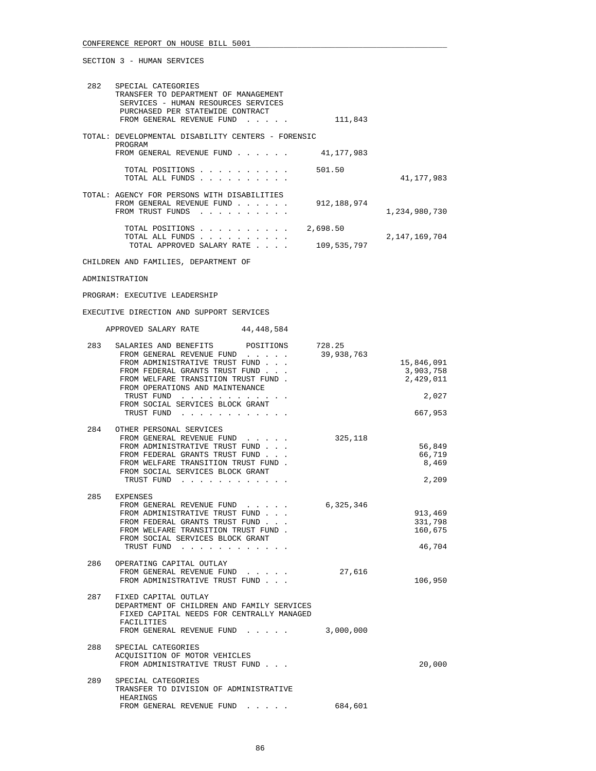| 282 | SPECIAL CATEGORIES                                            |               |                  |
|-----|---------------------------------------------------------------|---------------|------------------|
|     | TRANSFER TO DEPARTMENT OF MANAGEMENT                          |               |                  |
|     | SERVICES - HUMAN RESOURCES SERVICES                           |               |                  |
|     | PURCHASED PER STATEWIDE CONTRACT                              |               |                  |
|     | FROM GENERAL REVENUE FUND                                     | 111,843       |                  |
|     | TOTAL: DEVELOPMENTAL DISABILITY CENTERS - FORENSIC<br>PROGRAM |               |                  |
|     | FROM GENERAL REVENUE FUND                                     | 41, 177, 983  |                  |
|     |                                                               |               |                  |
|     | TOTAL POSITIONS                                               | 501.50        |                  |
|     | TOTAL ALL FUNDS                                               |               | 41, 177, 983     |
|     |                                                               |               |                  |
|     | TOTAL: AGENCY FOR PERSONS WITH DISABILITIES                   |               |                  |
|     | FROM GENERAL REVENUE FUND<br>FROM TRUST FUNDS                 | 912, 188, 974 | 1,234,980,730    |
|     | .                                                             |               |                  |
|     | TOTAL POSITIONS<br>and the contract of the contract of        | 2,698.50      |                  |
|     | TOTAL ALL FUNDS                                               |               | 2, 147, 169, 704 |
|     | TOTAL APPROVED SALARY RATE<br>$\sim$ $\sim$ $\sim$ $\sim$     | 109,535,797   |                  |
|     |                                                               |               |                  |
|     | CHILDREN AND FAMILIES, DEPARTMENT OF                          |               |                  |

ADMINISTRATION

PROGRAM: EXECUTIVE LEADERSHIP

EXECUTIVE DIRECTION AND SUPPORT SERVICES

| APPROVED SALARY RATE | 44, 448, 584 |
|----------------------|--------------|
|                      |              |

| 283 | SALARIES AND BENEFITS POSITIONS 728.25<br>FROM GENERAL REVENUE FUND 39,938,763                                                                                                                                        |           |                                      |
|-----|-----------------------------------------------------------------------------------------------------------------------------------------------------------------------------------------------------------------------|-----------|--------------------------------------|
|     | FROM ADMINISTRATIVE TRUST FUND<br>FROM FEDERAL GRANTS TRUST FUND<br>FROM WELFARE TRANSITION TRUST FUND.<br>FROM OPERATIONS AND MAINTENANCE                                                                            |           | 15,846,091<br>3,903,758<br>2,429,011 |
|     | TRUST FUND<br>FROM SOCIAL SERVICES BLOCK GRANT                                                                                                                                                                        |           | 2,027                                |
|     | TRUST FUND                                                                                                                                                                                                            |           | 667,953                              |
|     | 284 OTHER PERSONAL SERVICES<br>FROM GENERAL REVENUE FUND<br>FROM ADMINISTRATIVE TRUST FUND<br>FROM FEDERAL GRANTS TRUST FUND<br>FROM WELFARE TRANSITION TRUST FUND.<br>FROM SOCIAL SERVICES BLOCK GRANT<br>TRUST FUND | 325,118   | 56,849<br>66,719<br>8,469<br>2,209   |
| 285 | EXPENSES<br>FROM GENERAL REVENUE FUND 6,325,346<br>FROM ADMINISTRATIVE TRUST FUND<br>FROM FEDERAL GRANTS TRUST FUND<br>FROM WELFARE TRANSITION TRUST FUND.<br>FROM SOCIAL SERVICES BLOCK GRANT                        |           | 913,469<br>331,798<br>160,675        |
|     | TRUST FUND<br>the contract of the contract of the contract of the contract of the contract of the contract of the contract of                                                                                         |           | 46,704                               |
|     | 286 OPERATING CAPITAL OUTLAY<br>FROM GENERAL REVENUE FUND<br>FROM ADMINISTRATIVE TRUST FUND                                                                                                                           | 27,616    | 106,950                              |
|     | 287 FIXED CAPITAL OUTLAY<br>DEPARTMENT OF CHILDREN AND FAMILY SERVICES<br>FIXED CAPITAL NEEDS FOR CENTRALLY MANAGED<br>FACILITIES<br>FROM GENERAL REVENUE FUND                                                        | 3,000,000 |                                      |
| 288 | SPECIAL CATEGORIES<br>ACOUISITION OF MOTOR VEHICLES<br>FROM ADMINISTRATIVE TRUST FUND                                                                                                                                 |           | 20,000                               |
| 289 | SPECIAL CATEGORIES<br>TRANSFER TO DIVISION OF ADMINISTRATIVE<br>HEARINGS                                                                                                                                              |           |                                      |
|     | FROM GENERAL REVENUE FUND                                                                                                                                                                                             | 684,601   |                                      |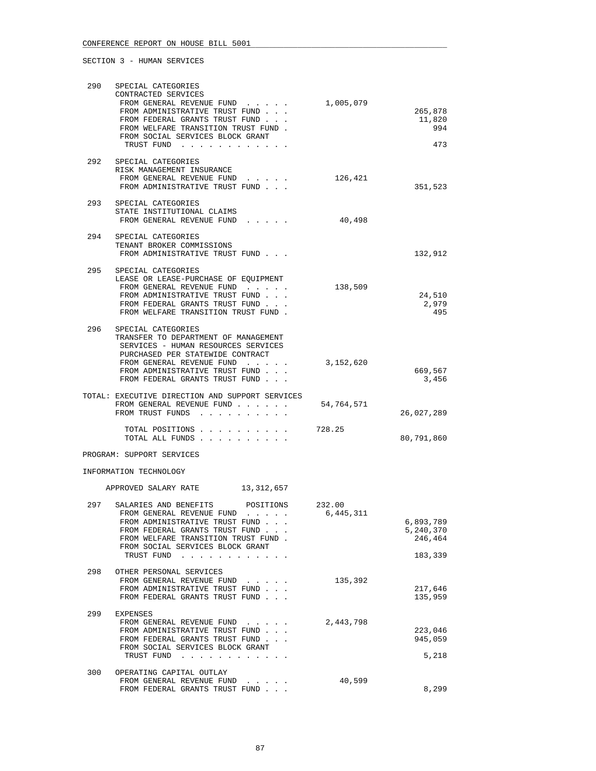| 290 | SPECIAL CATEGORIES<br>CONTRACTED SERVICES<br>FROM GENERAL REVENUE FUND                                                                                                                                                                               | 1,005,079  |                                   |
|-----|------------------------------------------------------------------------------------------------------------------------------------------------------------------------------------------------------------------------------------------------------|------------|-----------------------------------|
|     | FROM ADMINISTRATIVE TRUST FUND<br>FROM FEDERAL GRANTS TRUST FUND<br>FROM WELFARE TRANSITION TRUST FUND.                                                                                                                                              |            | 265,878<br>11,820<br>994          |
|     | FROM SOCIAL SERVICES BLOCK GRANT<br>TRUST FUND                                                                                                                                                                                                       |            | 473                               |
| 292 | SPECIAL CATEGORIES<br>RISK MANAGEMENT INSURANCE<br>FROM GENERAL REVENUE FUND<br>FROM ADMINISTRATIVE TRUST FUND                                                                                                                                       | 126,421    | 351,523                           |
| 293 | SPECIAL CATEGORIES<br>STATE INSTITUTIONAL CLAIMS<br>FROM GENERAL REVENUE FUND                                                                                                                                                                        | 40,498     |                                   |
| 294 | SPECIAL CATEGORIES<br>TENANT BROKER COMMISSIONS<br>FROM ADMINISTRATIVE TRUST FUND                                                                                                                                                                    |            | 132,912                           |
| 295 | SPECIAL CATEGORIES<br>LEASE OR LEASE-PURCHASE OF EOUIPMENT<br>FROM GENERAL REVENUE FUND<br>FROM ADMINISTRATIVE TRUST FUND<br>FROM FEDERAL GRANTS TRUST FUND<br>FROM WELFARE TRANSITION TRUST FUND.                                                   | 138,509    | 24,510<br>2,979<br>495            |
| 296 | SPECIAL CATEGORIES<br>TRANSFER TO DEPARTMENT OF MANAGEMENT<br>SERVICES - HUMAN RESOURCES SERVICES<br>PURCHASED PER STATEWIDE CONTRACT<br>FROM GENERAL REVENUE FUND<br>FROM ADMINISTRATIVE TRUST FUND<br>FROM FEDERAL GRANTS TRUST FUND.              | 3,152,620  | 669,567<br>3,456                  |
|     | TOTAL: EXECUTIVE DIRECTION AND SUPPORT SERVICES<br>FROM GENERAL REVENUE FUND<br>FROM TRUST FUNDS                                                                                                                                                     | 54,764,571 | 26,027,289                        |
|     | TOTAL POSITIONS<br>TOTAL ALL FUNDS                                                                                                                                                                                                                   | 728.25     | 80,791,860                        |
|     | PROGRAM: SUPPORT SERVICES                                                                                                                                                                                                                            |            |                                   |
|     | INFORMATION TECHNOLOGY                                                                                                                                                                                                                               |            |                                   |
| 297 | APPROVED SALARY RATE<br>13,312,657<br>SALARIES AND BENEFITS<br>POSITIONS                                                                                                                                                                             | 232.00     |                                   |
|     | FROM GENERAL REVENUE FUND<br>$\mathbf{1}$ , $\mathbf{1}$ , $\mathbf{1}$ , $\mathbf{1}$ , $\mathbf{1}$<br>FROM ADMINISTRATIVE TRUST FUND<br>FROM FEDERAL GRANTS TRUST FUND<br>FROM WELFARE TRANSITION TRUST FUND.<br>FROM SOCIAL SERVICES BLOCK GRANT | 6,445,311  | 6,893,789<br>5,240,370<br>246,464 |
| 298 | TRUST FUND<br>OTHER PERSONAL SERVICES                                                                                                                                                                                                                |            | 183,339                           |
|     | FROM GENERAL REVENUE FUND<br>FROM ADMINISTRATIVE TRUST FUND<br>FROM FEDERAL GRANTS TRUST FUND                                                                                                                                                        | 135,392    | 217,646<br>135,959                |
| 299 | EXPENSES<br>FROM GENERAL REVENUE FUND<br>FROM ADMINISTRATIVE TRUST FUND<br>FROM FEDERAL GRANTS TRUST FUND<br>FROM SOCIAL SERVICES BLOCK GRANT<br>TRUST FUND                                                                                          | 2,443,798  | 223,046<br>945,059<br>5,218       |
| 300 | OPERATING CAPITAL OUTLAY<br>FROM GENERAL REVENUE FUND<br>$\begin{array}{cccccccccccccc} \bullet & \bullet & \bullet & \bullet & \bullet & \bullet & \bullet & \bullet \end{array}$                                                                   | 40,599     |                                   |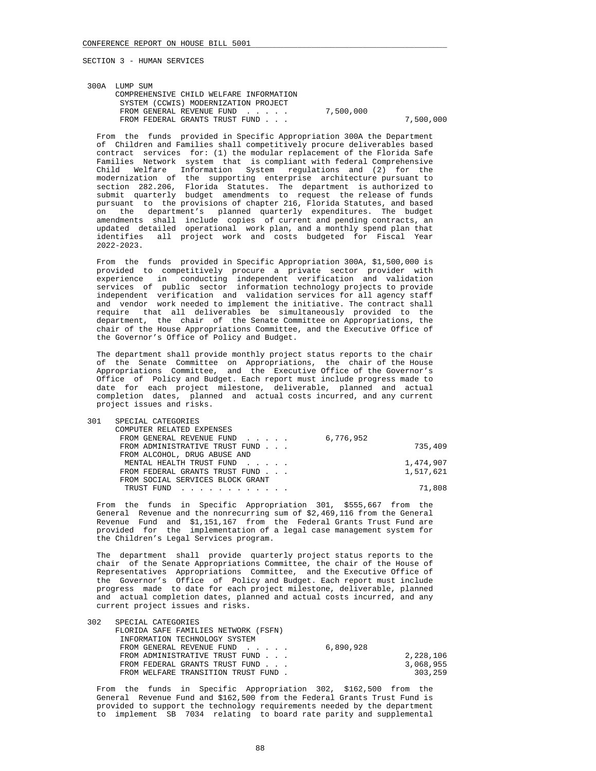| 300A LUMP SUM                           |           |           |
|-----------------------------------------|-----------|-----------|
| COMPREHENSIVE CHILD WELFARE INFORMATION |           |           |
| SYSTEM (CCWIS) MODERNIZATION PROJECT    |           |           |
| FROM GENERAL REVENUE FUND               | 7,500,000 |           |
| FROM FEDERAL GRANTS TRUST FUND          |           | 7,500,000 |

 From the funds provided in Specific Appropriation 300A the Department of Children and Families shall competitively procure deliverables based contract services for: (1) the modular replacement of the Florida Safe Families Network system that is compliant with federal Comprehensive Child Welfare Information System regulations and (2) for the modernization of the supporting enterprise architecture pursuant to section 282.206, Florida Statutes. The department is authorized to submit quarterly budget amendments to request the release of funds pursuant to the provisions of chapter 216, Florida Statutes, and based on the department's planned quarterly expenditures. The budget amendments shall include copies of current and pending contracts, an updated detailed operational work plan, and a monthly spend plan that identifies all project work and costs budgeted for Fiscal Year 2022-2023.

 From the funds provided in Specific Appropriation 300A, \$1,500,000 is provided to competitively procure a private sector provider with experience in conducting independent verification and validation services of public sector information technology projects to provide independent verification and validation services for all agency staff and vendor work needed to implement the initiative. The contract shall require that all deliverables be simultaneously provided to the department, the chair of the Senate Committee on Appropriations, the chair of the House Appropriations Committee, and the Executive Office of the Governor's Office of Policy and Budget.

 The department shall provide monthly project status reports to the chair of the Senate Committee on Appropriations, the chair of the House Appropriations Committee, and the Executive Office of the Governor's Office of Policy and Budget. Each report must include progress made to date for each project milestone, deliverable, planned and actual completion dates, planned and actual costs incurred, and any current project issues and risks.

| 301 | SPECIAL CATEGORIES                  |           |
|-----|-------------------------------------|-----------|
|     | COMPUTER RELATED EXPENSES           |           |
|     | FROM GENERAL REVENUE FUND 6,776,952 |           |
|     | FROM ADMINISTRATIVE TRUST FUND      | 735,409   |
|     | FROM ALCOHOL, DRUG ABUSE AND        |           |
|     | MENTAL HEALTH TRUST FUND            | 1,474,907 |
|     | FROM FEDERAL GRANTS TRUST FUND      | 1,517,621 |
|     | FROM SOCIAL SERVICES BLOCK GRANT    |           |
|     | TRUST FUND                          | 71,808    |
|     |                                     |           |

 From the funds in Specific Appropriation 301, \$555,667 from the General Revenue and the nonrecurring sum of \$2,469,116 from the General Revenue Fund and \$1,151,167 from the Federal Grants Trust Fund are provided for the implementation of a legal case management system for the Children's Legal Services program.

 The department shall provide quarterly project status reports to the chair of the Senate Appropriations Committee, the chair of the House of Representatives Appropriations Committee, and the Executive Office of the Governor's Office of Policy and Budget. Each report must include progress made to date for each project milestone, deliverable, planned and actual completion dates, planned and actual costs incurred, and any current project issues and risks.

| 302 | SPECIAL CATEGORIES                   |           |           |
|-----|--------------------------------------|-----------|-----------|
|     | FLORIDA SAFE FAMILIES NETWORK (FSFN) |           |           |
|     | INFORMATION TECHNOLOGY SYSTEM        |           |           |
|     | FROM GENERAL REVENUE FUND            | 6,890,928 |           |
|     | FROM ADMINISTRATIVE TRUST FUND       |           | 2,228,106 |
|     | FROM FEDERAL GRANTS TRUST FUND       |           | 3,068,955 |
|     | FROM WELFARE TRANSITION TRUST FUND.  |           | 303,259   |

 From the funds in Specific Appropriation 302, \$162,500 from the General Revenue Fund and \$162,500 from the Federal Grants Trust Fund is provided to support the technology requirements needed by the department to implement SB 7034 relating to board rate parity and supplemental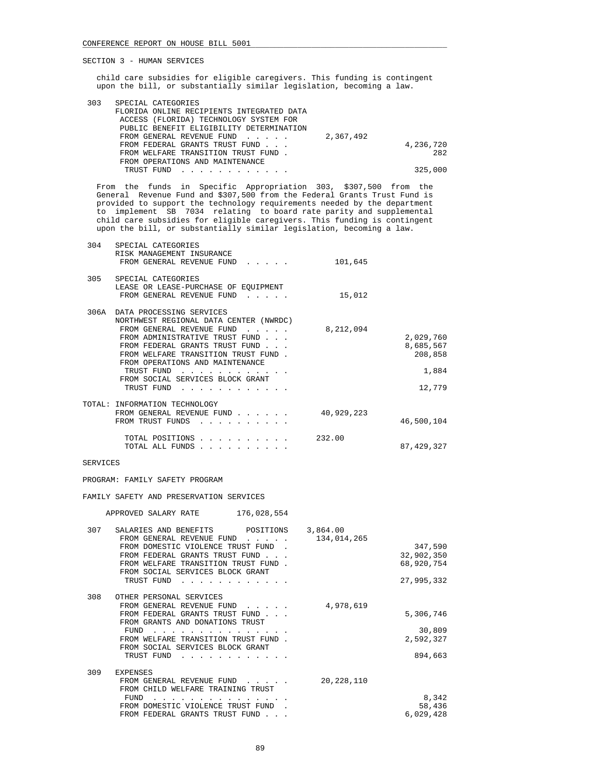child care subsidies for eligible caregivers. This funding is contingent upon the bill, or substantially similar legislation, becoming a law.

| 303 | SPECIAL CATEGORIES                                                                                                                                                        |           |           |
|-----|---------------------------------------------------------------------------------------------------------------------------------------------------------------------------|-----------|-----------|
|     | FLORIDA ONLINE RECIPIENTS INTEGRATED DATA                                                                                                                                 |           |           |
|     | ACCESS (FLORIDA) TECHNOLOGY SYSTEM FOR                                                                                                                                    |           |           |
|     | PUBLIC BENEFIT ELIGIBILITY DETERMINATION                                                                                                                                  |           |           |
|     | FROM GENERAL REVENUE FUND                                                                                                                                                 | 2,367,492 |           |
|     | FROM FEDERAL GRANTS TRUST FUND                                                                                                                                            |           | 4,236,720 |
|     | FROM WELFARE TRANSITION TRUST FUND.                                                                                                                                       |           | 282       |
|     | FROM OPERATIONS AND MAINTENANCE                                                                                                                                           |           |           |
|     | TRUST FUND<br>$\mathbf{r} = \mathbf{r} - \mathbf{r} = \mathbf{r} - \mathbf{r} - \mathbf{r} = \mathbf{r} - \mathbf{r} - \mathbf{r} - \mathbf{r} = \mathbf{r} - \mathbf{r}$ |           | 325,000   |
|     |                                                                                                                                                                           |           |           |

 From the funds in Specific Appropriation 303, \$307,500 from the General Revenue Fund and \$307,500 from the Federal Grants Trust Fund is provided to support the technology requirements needed by the department to implement SB 7034 relating to board rate parity and supplemental child care subsidies for eligible caregivers. This funding is contingent upon the bill, or substantially similar legislation, becoming a law.

| 304  | SPECIAL CATEGORIES<br>RISK MANAGEMENT INSURANCE<br>FROM GENERAL REVENUE FUND<br>$\mathbf{r}$ , $\mathbf{r}$ , $\mathbf{r}$ , $\mathbf{r}$                                                                                                                                                 | 101,645    |                                                      |
|------|-------------------------------------------------------------------------------------------------------------------------------------------------------------------------------------------------------------------------------------------------------------------------------------------|------------|------------------------------------------------------|
| 305  | SPECIAL CATEGORIES<br>LEASE OR LEASE-PURCHASE OF EQUIPMENT<br>FROM GENERAL REVENUE FUND<br>$\sim$ $\sim$ $\sim$ $\sim$ $\sim$                                                                                                                                                             | 15,012     |                                                      |
| 306A | DATA PROCESSING SERVICES<br>NORTHWEST REGIONAL DATA CENTER (NWRDC)                                                                                                                                                                                                                        |            |                                                      |
|      | FROM GENERAL REVENUE FUND<br>$\sim$ $\sim$ $\sim$ $\sim$ $\sim$<br>FROM ADMINISTRATIVE TRUST FUND<br>FROM FEDERAL GRANTS TRUST FUND<br>FROM WELFARE TRANSITION TRUST FUND.<br>FROM OPERATIONS AND MAINTENANCE<br>TRUST FUND<br>$\cdots$<br>FROM SOCIAL SERVICES BLOCK GRANT<br>TRUST FUND | 8,212,094  | 2,029,760<br>8,685,567<br>208,858<br>1,884<br>12,779 |
|      | TOTAL: INFORMATION TECHNOLOGY<br>FROM GENERAL REVENUE FUND<br>FROM TRUST FUNDS<br>.                                                                                                                                                                                                       | 40,929,223 | 46,500,104                                           |
|      | TOTAL POSITIONS<br>TOTAL ALL FUNDS                                                                                                                                                                                                                                                        | 232.00     | 87, 429, 327                                         |

## SERVICES

PROGRAM: FAMILY SAFETY PROGRAM

FAMILY SAFETY AND PRESERVATION SERVICES

APPROVED SALARY RATE 176,028,554

| 307 | SALARIES AND BENEFITS<br>POSITIONS<br>FROM GENERAL REVENUE FUND<br>$\mathbf{r}$ . The set of the set of the set of the set of the set of the set of the set of the set of the set of the set of the set of the set of the set of the set of the set of the set of the set of the set of the set of t | 3,864.00<br>134,014,265 |            |
|-----|------------------------------------------------------------------------------------------------------------------------------------------------------------------------------------------------------------------------------------------------------------------------------------------------------|-------------------------|------------|
|     | FROM DOMESTIC VIOLENCE TRUST FUND                                                                                                                                                                                                                                                                    |                         | 347,590    |
|     | FROM FEDERAL GRANTS TRUST FUND                                                                                                                                                                                                                                                                       |                         | 32,902,350 |
|     | FROM WELFARE TRANSITION TRUST FUND.                                                                                                                                                                                                                                                                  |                         | 68,920,754 |
|     | FROM SOCIAL SERVICES BLOCK GRANT                                                                                                                                                                                                                                                                     |                         |            |
|     |                                                                                                                                                                                                                                                                                                      |                         |            |
|     | TRUST FUND                                                                                                                                                                                                                                                                                           |                         | 27,995,332 |
| 308 |                                                                                                                                                                                                                                                                                                      |                         |            |
|     | OTHER PERSONAL SERVICES                                                                                                                                                                                                                                                                              |                         |            |
|     | FROM GENERAL REVENUE FUND<br>$\cdot$ $\cdot$ $\cdot$ $\cdot$ $\cdot$                                                                                                                                                                                                                                 | 4,978,619               |            |
|     | FROM FEDERAL GRANTS TRUST FUND                                                                                                                                                                                                                                                                       |                         | 5,306,746  |
|     | FROM GRANTS AND DONATIONS TRUST                                                                                                                                                                                                                                                                      |                         |            |
|     | FUND                                                                                                                                                                                                                                                                                                 |                         | 30,809     |
|     | FROM WELFARE TRANSITION TRUST FUND.                                                                                                                                                                                                                                                                  |                         | 2,592,327  |
|     | FROM SOCIAL SERVICES BLOCK GRANT                                                                                                                                                                                                                                                                     |                         |            |
|     | TRUST FUND                                                                                                                                                                                                                                                                                           |                         | 894,663    |
|     |                                                                                                                                                                                                                                                                                                      |                         |            |
| 309 | <b>EXPENSES</b>                                                                                                                                                                                                                                                                                      |                         |            |
|     | FROM GENERAL REVENUE FUND                                                                                                                                                                                                                                                                            | 20, 228, 110            |            |
|     | FROM CHILD WELFARE TRAINING TRUST                                                                                                                                                                                                                                                                    |                         |            |
|     | FUND                                                                                                                                                                                                                                                                                                 |                         | 8,342      |
|     | FROM DOMESTIC VIOLENCE TRUST FUND                                                                                                                                                                                                                                                                    |                         | 58,436     |
|     | FROM FEDERAL GRANTS TRUST FUND                                                                                                                                                                                                                                                                       |                         | 6,029,428  |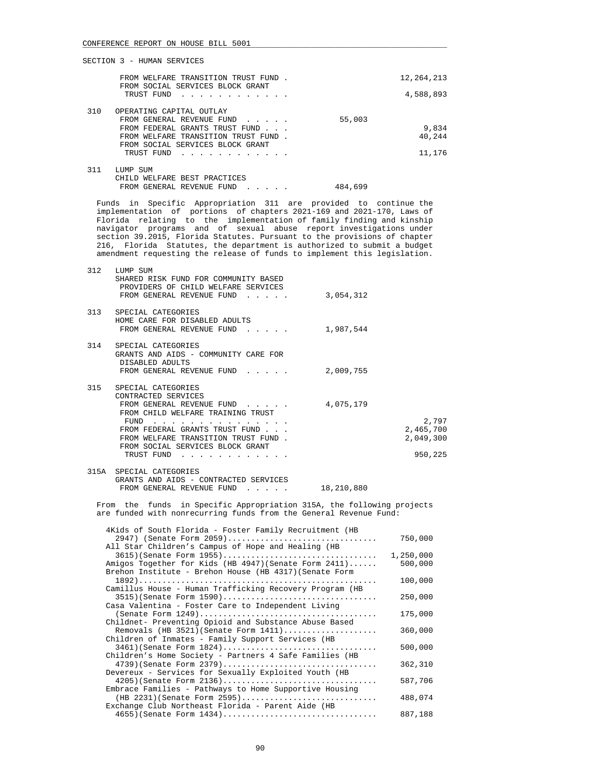|     | FROM WELFARE TRANSITION TRUST FUND<br>FROM SOCIAL SERVICES BLOCK GRANT | 12,264,213 |
|-----|------------------------------------------------------------------------|------------|
|     | TRUST FUND                                                             | 4,588,893  |
| 310 | OPERATING CAPITAL OUTLAY                                               |            |
|     | FROM GENERAL REVENUE FUND<br>$\sim$ $\sim$ $\sim$ $\sim$ $\sim$        | 55,003     |
|     | FROM FEDERAL GRANTS TRUST FUND                                         | 9,834      |
|     | FROM WELFARE TRANSITION TRUST FUND.                                    | 40,244     |
|     | FROM SOCIAL SERVICES BLOCK GRANT                                       |            |
|     | TRUST FUND                                                             | 11,176     |
|     |                                                                        |            |
| 311 | LUMP SUM                                                               |            |
|     | WELFARE BEST PRACTICES<br>CHTLD.                                       |            |

|  | FROM GENERAL REVENUE FUND |   |  |  | 484,699 |  |
|--|---------------------------|---|--|--|---------|--|
|  |                           | . |  |  |         |  |

 Funds in Specific Appropriation 311 are provided to continue the implementation of portions of chapters 2021-169 and 2021-170, Laws of Florida relating to the implementation of family finding and kinship navigator programs and of sexual abuse report investigations under section 39.2015, Florida Statutes. Pursuant to the provisions of chapter 216, Florida Statutes, the department is authorized to submit a budget amendment requesting the release of funds to implement this legislation.

| 312  | LUMP SUM<br>SHARED RISK FUND FOR COMMUNITY BASED<br>PROVIDERS OF CHILD WELFARE SERVICES<br>FROM GENERAL REVENUE FUND                                                                                                                           | 3,054,312 |                                            |
|------|------------------------------------------------------------------------------------------------------------------------------------------------------------------------------------------------------------------------------------------------|-----------|--------------------------------------------|
| 313  | SPECIAL CATEGORIES<br>HOME CARE FOR DISABLED ADULTS<br>FROM GENERAL REVENUE FUND<br>$\mathbf{r}$ , $\mathbf{r}$ , $\mathbf{r}$ , $\mathbf{r}$                                                                                                  | 1,987,544 |                                            |
| 314  | SPECIAL CATEGORIES<br>GRANTS AND AIDS - COMMUNITY CARE FOR<br>DISABLED ADULTS<br>FROM GENERAL REVENUE FUND                                                                                                                                     | 2,009,755 |                                            |
| 315  | SPECIAL CATEGORIES<br>CONTRACTED SERVICES<br>FROM GENERAL REVENUE FUND<br>FROM CHILD WELFARE TRAINING TRUST<br>FUND<br>FROM FEDERAL GRANTS TRUST FUND<br>FROM WELFARE TRANSITION TRUST FUND.<br>FROM SOCIAL SERVICES BLOCK GRANT<br>TRUST FUND | 4,075,179 | 2,797<br>2,465,700<br>2,049,300<br>950,225 |
| 315A | SPECIAL CATEGORIES                                                                                                                                                                                                                             |           |                                            |

 GRANTS AND AIDS - CONTRACTED SERVICES FROM GENERAL REVENUE FUND . . . . . 18,210,880

 From the funds in Specific Appropriation 315A, the following projects are funded with nonrecurring funds from the General Revenue Fund:

|           | 4Kids of South Florida - Foster Family Recruitment (HB                            |
|-----------|-----------------------------------------------------------------------------------|
| 750,000   | 2947) (Senate Form 2059)                                                          |
|           | All Star Children's Campus of Hope and Healing (HB                                |
| 1,250,000 | $3615$ (Senate Form $1955$ )                                                      |
| 500,000   | Amigos Together for Kids (HB 4947) (Senate Form 2411)                             |
|           | Brehon Institute - Brehon House (HB 4317) (Senate Form                            |
| 100,000   | Camillus House - Human Trafficking Recovery Program (HB                           |
| 250,000   | $3515$ (Senate Form $1590)$<br>Casa Valentina - Foster Care to Independent Living |
| 175,000   |                                                                                   |
|           | Childnet- Preventing Opioid and Substance Abuse Based                             |
| 360,000   | Removals (HB 3521) (Senate Form 1411)                                             |
|           | Children of Inmates - Family Support Services (HB                                 |
| 500,000   | $3461$ (Senate Form $1824$ )                                                      |
|           | Children's Home Society - Partners 4 Safe Families (HB                            |
| 362,310   | 4739) (Senate Form 2379)                                                          |
|           | Devereux - Services for Sexually Exploited Youth (HB                              |
| 587,706   | $4205$ (Senate Form 2136)                                                         |
|           | Embrace Families - Pathways to Home Supportive Housing                            |
| 488,074   | $(HB 2231)$ (Senate Form 2595)                                                    |
|           | Exchange Club Northeast Florida - Parent Aide (HB                                 |
| 887,188   | 4655) (Senate Form 1434)                                                          |
|           |                                                                                   |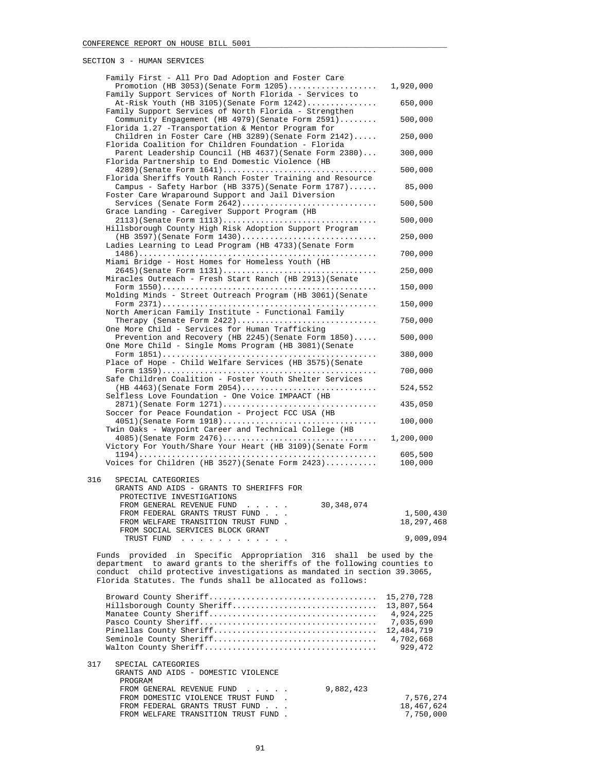|     | Family First - All Pro Dad Adoption and Foster Care                                                                                                |                         |
|-----|----------------------------------------------------------------------------------------------------------------------------------------------------|-------------------------|
|     | Promotion (HB 3053) (Senate Form $1205)$                                                                                                           | 1,920,000               |
|     | Family Support Services of North Florida - Services to<br>$At-Risk$ Youth (HB 3105) (Senate Form $1242)$                                           | 650,000                 |
|     | Family Support Services of North Florida - Strengthen                                                                                              |                         |
|     | Community Engagement (HB 4979) (Senate Form 2591)<br>Florida 1.27 - Transportation & Mentor Program for                                            | 500,000                 |
|     | Children in Foster Care (HB 3289) (Senate Form $2142$ )                                                                                            | 250,000                 |
|     | Florida Coalition for Children Foundation - Florida                                                                                                |                         |
|     | Parent Leadership Council (HB 4637) (Senate Form 2380)<br>Florida Partnership to End Domestic Violence (HB                                         | 300,000                 |
|     | 4289)(Senate Form 1641)                                                                                                                            | 500,000                 |
|     | Florida Sheriffs Youth Ranch Foster Training and Resource<br>Campus - Safety Harbor (HB 3375) (Senate Form $1787)$                                 | 85,000                  |
|     | Foster Care Wraparound Support and Jail Diversion                                                                                                  |                         |
|     | Services (Senate Form 2642)<br>Grace Landing - Caregiver Support Program (HB                                                                       | 500,500                 |
|     |                                                                                                                                                    | 500,000                 |
|     | Hillsborough County High Risk Adoption Support Program                                                                                             |                         |
|     | $(HB 3597)$ (Senate Form $1430)$<br>Ladies Learning to Lead Program (HB 4733) (Senate Form                                                         | 250,000                 |
|     |                                                                                                                                                    | 700,000                 |
|     | Miami Bridge - Host Homes for Homeless Youth (HB                                                                                                   | 250,000                 |
|     | Miracles Outreach - Fresh Start Ranch (HB 2913) (Senate                                                                                            |                         |
|     | Molding Minds - Street Outreach Program (HB 3061) (Senate                                                                                          | 150,000                 |
|     |                                                                                                                                                    | 150,000                 |
|     | North American Family Institute - Functional Family                                                                                                |                         |
|     | Therapy (Senate Form $2422)$<br>One More Child - Services for Human Trafficking                                                                    | 750,000                 |
|     | Prevention and Recovery (HB 2245) (Senate Form $1850)$                                                                                             | 500,000                 |
|     | One More Child - Single Moms Program (HB 3081) (Senate                                                                                             | 380,000                 |
|     | Place of Hope - Child Welfare Services (HB 3575) (Senate                                                                                           |                         |
|     | Safe Children Coalition - Foster Youth Shelter Services                                                                                            | 700,000                 |
|     | $(HB 4463)$ (Senate Form 2054)                                                                                                                     | 524,552                 |
|     | Selfless Love Foundation - One Voice IMPAACT (HB                                                                                                   |                         |
|     | 2871) (Senate Form 1271)<br>Soccer for Peace Foundation - Project FCC USA (HB                                                                      | 435,050                 |
|     | $4051$ )(Senate Form $1918$ )                                                                                                                      | 100,000                 |
|     | Twin Oaks - Waypoint Career and Technical College (HB<br>$4085$ (Senate Form $2476)$                                                               | 1,200,000               |
|     | Victory For Youth/Share Your Heart (HB 3109) (Senate Form                                                                                          |                         |
|     | Voices for Children (HB 3527) (Senate Form $2423)$                                                                                                 | 605,500<br>100,000      |
|     |                                                                                                                                                    |                         |
| 316 | SPECIAL CATEGORIES                                                                                                                                 |                         |
|     | GRANTS AND AIDS - GRANTS TO SHERIFFS FOR<br>PROTECTIVE INVESTIGATIONS                                                                              |                         |
|     | FROM GENERAL REVENUE FUND<br>30, 348, 074<br>$\cdots$ $\cdots$                                                                                     |                         |
|     | FROM FEDERAL GRANTS TRUST FUND<br>FROM WELFARE TRANSITION TRUST FUND.                                                                              | 1,500,430<br>18,297,468 |
|     | FROM SOCIAL SERVICES BLOCK GRANT                                                                                                                   |                         |
|     | TRUST FUND<br><u>na kara kara kara kara ka</u>                                                                                                     | 9,009,094               |
|     | Funds provided in Specific Appropriation 316 shall be used by the                                                                                  |                         |
|     | department to award grants to the sheriffs of the following counties to<br>conduct child protective investigations as mandated in section 39.3065, |                         |
|     | Florida Statutes. The funds shall be allocated as follows:                                                                                         |                         |
|     |                                                                                                                                                    | 15,270,728              |
|     | Hillsborough County Sheriff                                                                                                                        | 13,807,564              |
|     |                                                                                                                                                    | 4,924,225               |
|     |                                                                                                                                                    | 7,035,690<br>12,484,719 |
|     |                                                                                                                                                    | 4,702,668               |
|     |                                                                                                                                                    | 929,472                 |
| 317 | SPECIAL CATEGORIES                                                                                                                                 |                         |
|     | GRANTS AND AIDS - DOMESTIC VIOLENCE<br>PROGRAM                                                                                                     |                         |
|     | FROM GENERAL REVENUE FUND<br>9,882,423                                                                                                             |                         |
|     |                                                                                                                                                    |                         |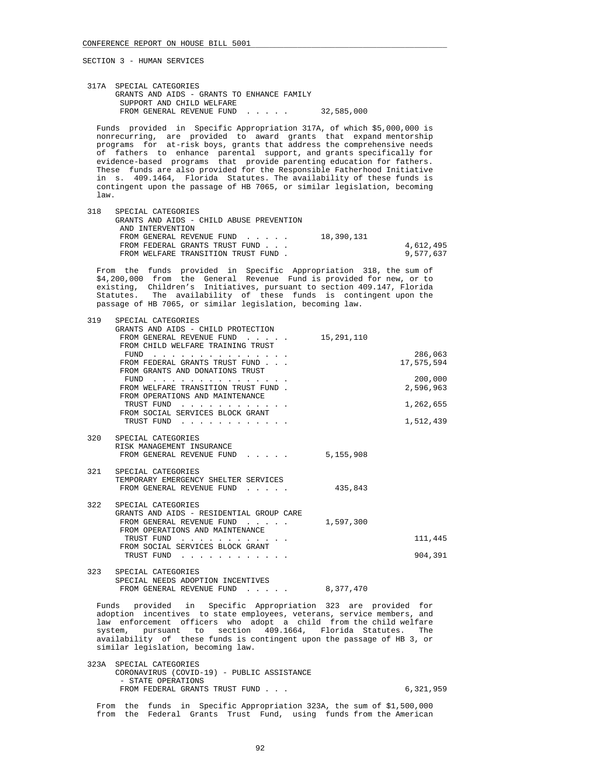317A SPECIAL CATEGORIES GRANTS AND AIDS - GRANTS TO ENHANCE FAMILY SUPPORT AND CHILD WELFARE FROM GENERAL REVENUE FUND . . . . . 32,585,000

 Funds provided in Specific Appropriation 317A, of which \$5,000,000 is nonrecurring, are provided to award grants that expand mentorship programs for at-risk boys, grants that address the comprehensive needs of fathers to enhance parental support, and grants specifically for evidence-based programs that provide parenting education for fathers. These funds are also provided for the Responsible Fatherhood Initiative in s. 409.1464, Florida Statutes. The availability of these funds is contingent upon the passage of HB 7065, or similar legislation, becoming law.

| 318 | SPECIAL CATEGORIES<br>GRANTS AND AIDS - CHILD ABUSE PREVENTION |            |           |
|-----|----------------------------------------------------------------|------------|-----------|
|     |                                                                |            |           |
|     | AND INTERVENTION                                               |            |           |
|     | FROM GENERAL REVENUE FUND                                      | 18,390,131 |           |
|     | FROM FEDERAL GRANTS TRUST FUND                                 |            | 4,612,495 |
|     | FROM WELFARE TRANSITION TRUST FUND.                            |            | 9,577,637 |

 From the funds provided in Specific Appropriation 318, the sum of \$4,200,000 from the General Revenue Fund is provided for new, or to existing, Children's Initiatives, pursuant to section 409.147, Florida Statutes. The availability of these funds is contingent upon the passage of HB 7065, or similar legislation, becoming law.

| 319 | SPECIAL CATEGORIES                                                                                    |                            |  |
|-----|-------------------------------------------------------------------------------------------------------|----------------------------|--|
|     | GRANTS AND AIDS - CHILD PROTECTION                                                                    |                            |  |
|     | FROM GENERAL REVENUE FUND 15,291,110                                                                  |                            |  |
|     | FROM CHILD WELFARE TRAINING TRUST                                                                     |                            |  |
|     | FUND $\cdots$                                                                                         | 286,063                    |  |
|     | FROM FEDERAL GRANTS TRUST FUND<br>FROM GRANTS AND DONATIONS TRUST                                     | 17,575,594                 |  |
|     | FUND $\cdots$ , $\cdots$ , $\cdots$                                                                   | 200,000                    |  |
|     | FROM WELFARE TRANSITION TRUST FUND.                                                                   | 2,596,963                  |  |
|     | FROM OPERATIONS AND MAINTENANCE                                                                       |                            |  |
|     | TRUST FUND                                                                                            | 1,262,655                  |  |
|     | FROM SOCIAL SERVICES BLOCK GRANT                                                                      |                            |  |
|     | TRUST FUND                                                                                            | 1,512,439                  |  |
|     | 320 SPECIAL CATEGORIES                                                                                |                            |  |
|     | RISK MANAGEMENT INSURANCE                                                                             |                            |  |
|     | FROM GENERAL REVENUE FUND                                                                             | 5,155,908                  |  |
|     |                                                                                                       |                            |  |
|     | 321 SPECIAL CATEGORIES                                                                                |                            |  |
|     | TEMPORARY EMERGENCY SHELTER SERVICES                                                                  |                            |  |
|     | FROM GENERAL REVENUE FUND                                                                             | 435,843                    |  |
| 322 | SPECIAL CATEGORIES                                                                                    |                            |  |
|     | GRANTS AND AIDS - RESIDENTIAL GROUP CARE                                                              |                            |  |
|     | FROM GENERAL REVENUE FUND 1,597,300                                                                   |                            |  |
|     | FROM OPERATIONS AND MAINTENANCE                                                                       |                            |  |
|     | TRUST FUND<br><u>na kara kara kara kara ka</u>                                                        | 111,445                    |  |
|     | FROM SOCIAL SERVICES BLOCK GRANT                                                                      |                            |  |
|     | TRUST FUND                                                                                            | 904,391                    |  |
| 323 | SPECIAL CATEGORIES                                                                                    |                            |  |
|     | SPECIAL NEEDS ADOPTION INCENTIVES                                                                     |                            |  |
|     | FROM GENERAL REVENUE FUND 8,377,470                                                                   |                            |  |
|     |                                                                                                       |                            |  |
|     | Funds provided in Specific Appropriation 323 are provided for                                         |                            |  |
|     | adoption incentives to state employees, veterans, service members, and<br>$\sim$ $\sim$ $\sim$ $\sim$ | a a a anns anns an anns an |  |
|     |                                                                                                       |                            |  |

 law enforcement officers who adopt a child from the child welfare system, pursuant to section 409.1664, Florida Statutes. The availability of these funds is contingent upon the passage of HB 3, or similar legislation, becoming law.

 323A SPECIAL CATEGORIES CORONAVIRUS (COVID-19) - PUBLIC ASSISTANCE - STATE OPERATIONS FROM FEDERAL GRANTS TRUST FUND . . . 6,321,959

 From the funds in Specific Appropriation 323A, the sum of \$1,500,000 from the Federal Grants Trust Fund, using funds from the American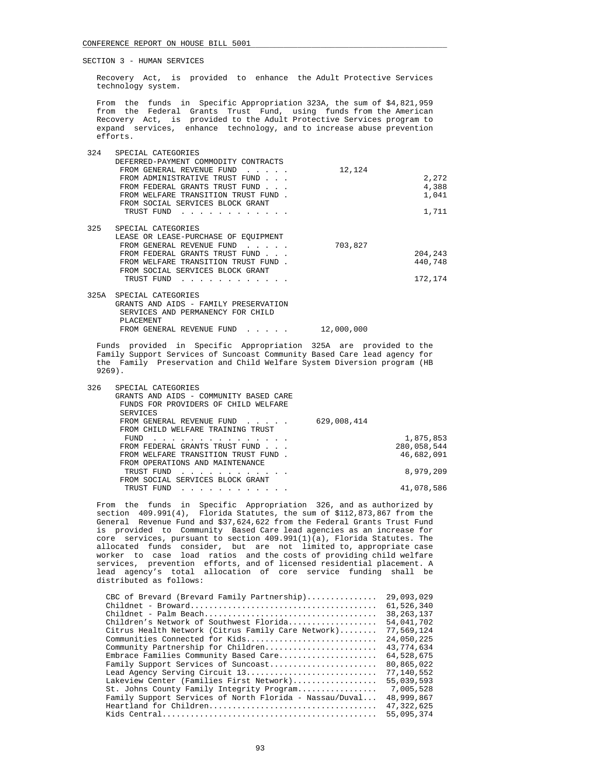Recovery Act, is provided to enhance the Adult Protective Services technology system.

 From the funds in Specific Appropriation 323A, the sum of \$4,821,959 from the Federal Grants Trust Fund, using funds from the American Recovery Act, is provided to the Adult Protective Services program to expand services, enhance technology, and to increase abuse prevention efforts.

| 324  | SPECIAL CATEGORIES                    |         |         |
|------|---------------------------------------|---------|---------|
|      | DEFERRED-PAYMENT COMMODITY CONTRACTS  |         |         |
|      | FROM GENERAL REVENUE FUND             | 12,124  |         |
|      | FROM ADMINISTRATIVE TRUST FUND        |         | 2,272   |
|      | FROM FEDERAL GRANTS TRUST FUND        |         | 4,388   |
|      | FROM WELFARE TRANSITION TRUST FUND.   |         | 1,041   |
|      | FROM SOCIAL SERVICES BLOCK GRANT      |         |         |
|      | TRUST FUND                            |         | 1,711   |
| 325  | SPECIAL CATEGORIES                    |         |         |
|      | LEASE OR LEASE-PURCHASE OF EQUIPMENT  |         |         |
|      | FROM GENERAL REVENUE FUND             | 703,827 |         |
|      | FROM FEDERAL GRANTS TRUST FUND        |         | 204,243 |
|      | FROM WELFARE TRANSITION TRUST FUND.   |         | 440,748 |
|      | FROM SOCIAL SERVICES BLOCK GRANT      |         |         |
|      | TRUST FUND                            |         | 172,174 |
| 325A | SPECIAL CATEGORIES                    |         |         |
|      | GRANTS AND AIDS - FAMILY PRESERVATION |         |         |
|      | SERVICES AND PERMANENCY FOR CHILD     |         |         |

 PLACEMENT FROM GENERAL REVENUE FUND . . . . . 12,000,000 Funds provided in Specific Appropriation 325A are provided to the

 Family Support Services of Suncoast Community Based Care lead agency for the Family Preservation and Child Welfare System Diversion program (HB 9269).

| 326 | SPECIAL CATEGORIES                     |             |             |
|-----|----------------------------------------|-------------|-------------|
|     | GRANTS AND AIDS - COMMUNITY BASED CARE |             |             |
|     | FUNDS FOR PROVIDERS OF CHILD WELFARE   |             |             |
|     | SERVICES                               |             |             |
|     | FROM GENERAL REVENUE FUND              | 629,008,414 |             |
|     | FROM CHILD WELFARE TRAINING TRUST      |             |             |
|     | FUND<br>.                              |             | 1,875,853   |
|     | FROM FEDERAL GRANTS TRUST FUND         |             | 280,058,544 |
|     | FROM WELFARE TRANSITION TRUST FUND.    |             | 46,682,091  |
|     | FROM OPERATIONS AND MAINTENANCE        |             |             |
|     | TRUST FUND                             |             | 8,979,209   |
|     | FROM SOCIAL SERVICES BLOCK GRANT       |             |             |
|     | TRUST FUND                             |             | 41,078,586  |
|     |                                        |             |             |

 From the funds in Specific Appropriation 326, and as authorized by section 409.991(4), Florida Statutes, the sum of \$112,873,867 from the General Revenue Fund and \$37,624,622 from the Federal Grants Trust Fund is provided to Community Based Care lead agencies as an increase for core services, pursuant to section 409.991(1)(a), Florida Statutes. The allocated funds consider, but are not limited to, appropriate case worker to case load ratios and the costs of providing child welfare services, prevention efforts, and of licensed residential placement. A lead agency's total allocation of core service funding shall be distributed as follows:

| CBC of Brevard (Brevard Family Partnership)             | 29,093,029   |
|---------------------------------------------------------|--------------|
|                                                         | 61,526,340   |
|                                                         | 38, 263, 137 |
| Children's Network of Southwest Florida                 | 54,041,702   |
| Citrus Health Network (Citrus Family Care Network)      | 77,569,124   |
| Communities Connected for Kids                          | 24,050,225   |
| Community Partnership for Children                      | 43,774,634   |
| Embrace Families Community Based Care                   | 64,528,675   |
| Family Support Services of Suncoast                     | 80,865,022   |
| Lead Agency Serving Circuit 13                          | 77,140,552   |
| Lakeview Center (Families First Network)                | 55,039,593   |
| St. Johns County Family Integrity Program               | 7,005,528    |
| Family Support Services of North Florida - Nassau/Duval | 48,999,867   |
|                                                         | 47, 322, 625 |
|                                                         | 55,095,374   |
|                                                         |              |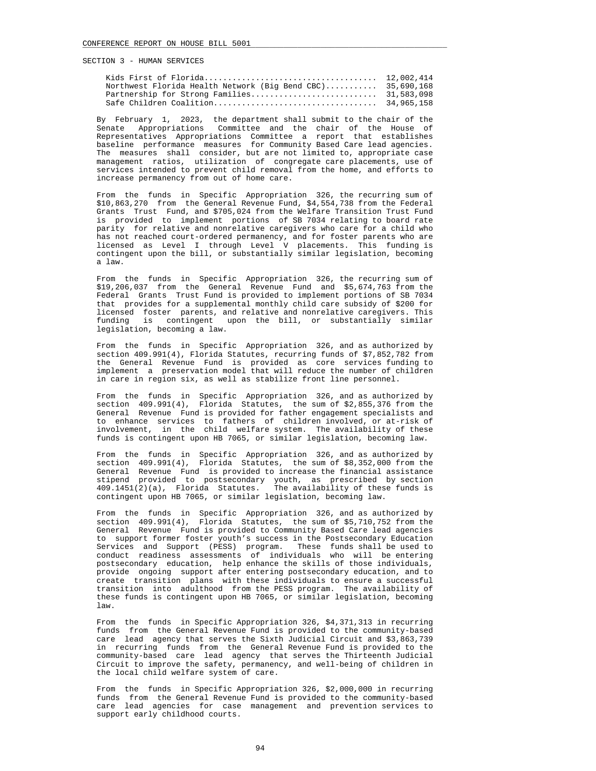| Northwest Florida Health Network (Big Bend CBC) 35,690,168 |  |
|------------------------------------------------------------|--|
|                                                            |  |
|                                                            |  |

 By February 1, 2023, the department shall submit to the chair of the Senate Appropriations Committee and the chair of the House of Representatives Appropriations Committee a report that establishes baseline performance measures for Community Based Care lead agencies. The measures shall consider, but are not limited to, appropriate case management ratios, utilization of congregate care placements, use of services intended to prevent child removal from the home, and efforts to increase permanency from out of home care.

 From the funds in Specific Appropriation 326, the recurring sum of \$10,863,270 from the General Revenue Fund, \$4,554,738 from the Federal Grants Trust Fund, and \$705,024 from the Welfare Transition Trust Fund is provided to implement portions of SB 7034 relating to board rate parity for relative and nonrelative caregivers who care for a child who has not reached court-ordered permanency, and for foster parents who are licensed as Level I through Level V placements. This funding is contingent upon the bill, or substantially similar legislation, becoming a law.

 From the funds in Specific Appropriation 326, the recurring sum of \$19,206,037 from the General Revenue Fund and \$5,674,763 from the Federal Grants Trust Fund is provided to implement portions of SB 7034 that provides for a supplemental monthly child care subsidy of \$200 for licensed foster parents, and relative and nonrelative caregivers. This funding is contingent upon the bill, or substantially similar legislation, becoming a law.

 From the funds in Specific Appropriation 326, and as authorized by section 409.991(4), Florida Statutes, recurring funds of \$7,852,782 from the General Revenue Fund is provided as core services funding to implement a preservation model that will reduce the number of children in care in region six, as well as stabilize front line personnel.

 From the funds in Specific Appropriation 326, and as authorized by section 409.991(4), Florida Statutes, the sum of \$2,855,376 from the General Revenue Fund is provided for father engagement specialists and to enhance services to fathers of children involved, or at-risk of involvement, in the child welfare system. The availability of these funds is contingent upon HB 7065, or similar legislation, becoming law.

 From the funds in Specific Appropriation 326, and as authorized by section 409.991(4), Florida Statutes, the sum of \$8,352,000 from the General Revenue Fund is provided to increase the financial assistance stipend provided to postsecondary youth, as prescribed by section 409.1451(2)(a), Florida Statutes. The availability of these funds is contingent upon HB 7065, or similar legislation, becoming law.

 From the funds in Specific Appropriation 326, and as authorized by section 409.991(4), Florida Statutes, the sum of \$5,710,752 from the General Revenue Fund is provided to Community Based Care lead agencies to support former foster youth's success in the Postsecondary Education Services and Support (PESS) program. These funds shall be used to conduct readiness assessments of individuals who will be entering postsecondary education, help enhance the skills of those individuals, provide ongoing support after entering postsecondary education, and to create transition plans with these individuals to ensure a successful transition into adulthood from the PESS program. The availability of these funds is contingent upon HB 7065, or similar legislation, becoming law.

 From the funds in Specific Appropriation 326, \$4,371,313 in recurring funds from the General Revenue Fund is provided to the community-based care lead agency that serves the Sixth Judicial Circuit and \$3,863,739 in recurring funds from the General Revenue Fund is provided to the community-based care lead agency that serves the Thirteenth Judicial Circuit to improve the safety, permanency, and well-being of children in the local child welfare system of care.

 From the funds in Specific Appropriation 326, \$2,000,000 in recurring funds from the General Revenue Fund is provided to the community-based care lead agencies for case management and prevention services to support early childhood courts.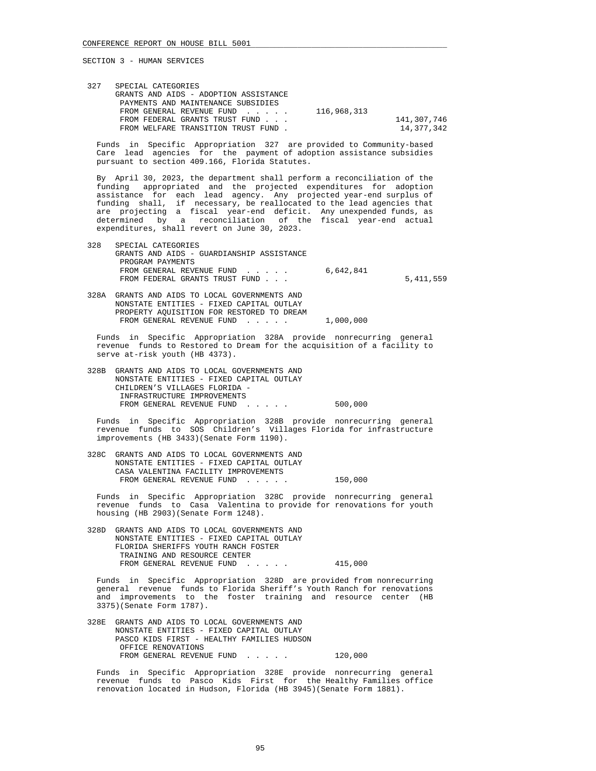| 327 | SPECIAL CATEGORIES                    |             |             |
|-----|---------------------------------------|-------------|-------------|
|     | GRANTS AND AIDS - ADOPTION ASSISTANCE |             |             |
|     | PAYMENTS AND MAINTENANCE SUBSIDIES    |             |             |
|     | FROM GENERAL REVENUE FUND             | 116,968,313 |             |
|     | FROM FEDERAL GRANTS TRUST FUND        |             | 141,307,746 |
|     | FROM WELFARE TRANSITION TRUST FUND.   |             | 14,377,342  |
|     |                                       |             |             |

 Funds in Specific Appropriation 327 are provided to Community-based Care lead agencies for the payment of adoption assistance subsidies pursuant to section 409.166, Florida Statutes.

 By April 30, 2023, the department shall perform a reconciliation of the funding appropriated and the projected expenditures for adoption assistance for each lead agency. Any projected year-end surplus of funding shall, if necessary, be reallocated to the lead agencies that are projecting a fiscal year-end deficit. Any unexpended funds, as determined by a reconciliation of the fiscal year-end actual expenditures, shall revert on June 30, 2023.

- 328 SPECIAL CATEGORIES GRANTS AND AIDS - GUARDIANSHIP ASSISTANCE PROGRAM PAYMENTS FROM GENERAL REVENUE FUND . . . . . 6,642,841 FROM FEDERAL GRANTS TRUST FUND . . .  $5,411,559$
- 328A GRANTS AND AIDS TO LOCAL GOVERNMENTS AND NONSTATE ENTITIES - FIXED CAPITAL OUTLAY PROPERTY AQUISITION FOR RESTORED TO DREAM FROM GENERAL REVENUE FUND . . . . . 1,000,000

 Funds in Specific Appropriation 328A provide nonrecurring general revenue funds to Restored to Dream for the acquisition of a facility to serve at-risk youth (HB 4373).

 328B GRANTS AND AIDS TO LOCAL GOVERNMENTS AND NONSTATE ENTITIES - FIXED CAPITAL OUTLAY CHILDREN'S VILLAGES FLORIDA - INFRASTRUCTURE IMPROVEMENTS FROM GENERAL REVENUE FUND . . . . . 500,000

 Funds in Specific Appropriation 328B provide nonrecurring general revenue funds to SOS Children's Villages Florida for infrastructure improvements (HB 3433)(Senate Form 1190).

 328C GRANTS AND AIDS TO LOCAL GOVERNMENTS AND NONSTATE ENTITIES - FIXED CAPITAL OUTLAY CASA VALENTINA FACILITY IMPROVEMENTS FROM GENERAL REVENUE FUND . . . . . 150,000

 Funds in Specific Appropriation 328C provide nonrecurring general revenue funds to Casa Valentina to provide for renovations for youth housing (HB 2903)(Senate Form 1248).

 328D GRANTS AND AIDS TO LOCAL GOVERNMENTS AND NONSTATE ENTITIES - FIXED CAPITAL OUTLAY FLORIDA SHERIFFS YOUTH RANCH FOSTER TRAINING AND RESOURCE CENTER FROM GENERAL REVENUE FUND . . . . . 415,000

 Funds in Specific Appropriation 328D are provided from nonrecurring general revenue funds to Florida Sheriff's Youth Ranch for renovations and improvements to the foster training and resource center (HB 3375)(Senate Form 1787).

 328E GRANTS AND AIDS TO LOCAL GOVERNMENTS AND NONSTATE ENTITIES - FIXED CAPITAL OUTLAY PASCO KIDS FIRST - HEALTHY FAMILIES HUDSON OFFICE RENOVATIONS FROM GENERAL REVENUE FUND . . . . . 120,000

 Funds in Specific Appropriation 328E provide nonrecurring general revenue funds to Pasco Kids First for the Healthy Families office renovation located in Hudson, Florida (HB 3945)(Senate Form 1881).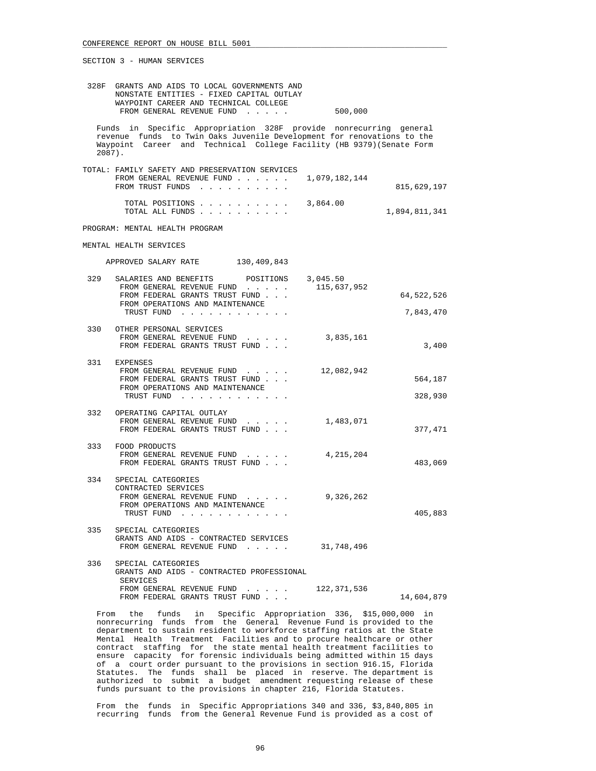| 328F GRANTS AND AIDS TO LOCAL GOVERNMENTS AND |         |
|-----------------------------------------------|---------|
| NONSTATE ENTITIES - FIXED CAPITAL OUTLAY      |         |
| WAYPOINT CAREER AND TECHNICAL COLLEGE         |         |
| FROM GENERAL REVENUE FUND                     | 500,000 |

 Funds in Specific Appropriation 328F provide nonrecurring general revenue funds to Twin Oaks Juvenile Development for renovations to the Waypoint Career and Technical College Facility (HB 9379)(Senate Form 2087).

| TOTAL: FAMILY SAFETY AND PRESERVATION SERVICES<br>FROM GENERAL REVENUE FUND $\ldots$ $\ldots$ $\ldots$ 1,079,182,144<br>FROM TRUST FUNDS | 815,629,197   |
|------------------------------------------------------------------------------------------------------------------------------------------|---------------|
| TOTAL POSITIONS $\ldots$ , , , , , , , , 3,864.00<br>TOTAL ALL FUNDS                                                                     | 1,894,811,341 |

PROGRAM: MENTAL HEALTH PROGRAM

MENTAL HEALTH SERVICES

APPROVED SALARY RATE 130,409,843

| 329 | SALARIES AND BENEFITS POSITIONS 3,045.50<br>FROM GENERAL REVENUE FUND                                                                                                                                                                                           | 115,637,952   |                    |
|-----|-----------------------------------------------------------------------------------------------------------------------------------------------------------------------------------------------------------------------------------------------------------------|---------------|--------------------|
|     | FROM FEDERAL GRANTS TRUST FUND                                                                                                                                                                                                                                  |               | 64,522,526         |
|     | FROM OPERATIONS AND MAINTENANCE<br>TRUST FUND<br>$\begin{array}{cccccccccccccc} \bullet & \bullet & \bullet & \bullet & \bullet & \bullet & \bullet & \bullet & \bullet & \bullet & \bullet & \bullet \end{array}$                                              |               | 7,843,470          |
|     | 330 OTHER PERSONAL SERVICES<br>FROM GENERAL REVENUE FUND<br>FROM FEDERAL GRANTS TRUST FUND                                                                                                                                                                      | 3,835,161     | 3,400              |
|     | 331 EXPENSES<br>FROM GENERAL REVENUE FUND<br>FROM FEDERAL GRANTS TRUST FUND<br>FROM OPERATIONS AND MAINTENANCE<br>TRUST FUND                                                                                                                                    | 12,082,942    | 564,187<br>328,930 |
|     |                                                                                                                                                                                                                                                                 |               |                    |
|     | 332 OPERATING CAPITAL OUTLAY<br>FROM GENERAL REVENUE FUND<br>$\sim$ $\sim$ $\sim$ $\sim$<br>FROM FEDERAL GRANTS TRUST FUND                                                                                                                                      | 1,483,071     | 377,471            |
|     | 333 FOOD PRODUCTS<br>FROM GENERAL REVENUE FUND<br>$\mathbf{r}$ and $\mathbf{r}$ and $\mathbf{r}$<br>FROM FEDERAL GRANTS TRUST FUND                                                                                                                              | 4,215,204     | 483,069            |
| 334 | SPECIAL CATEGORIES<br>CONTRACTED SERVICES<br>FROM GENERAL REVENUE FUND<br>$\mathbf{r}$ , $\mathbf{r}$ , $\mathbf{r}$ , $\mathbf{r}$ , $\mathbf{r}$ , $\mathbf{r}$<br>FROM OPERATIONS AND MAINTENANCE<br>TRUST FUND<br>$\sim$ $\sim$ $\sim$ $\sim$ $\sim$ $\sim$ | 9,326,262     | 405,883            |
| 335 | SPECIAL CATEGORIES<br>GRANTS AND AIDS - CONTRACTED SERVICES<br>FROM GENERAL REVENUE FUND<br>$\begin{array}{cccccccccccccc} \bullet & \bullet & \bullet & \bullet & \bullet & \bullet & \bullet & \bullet & \bullet \end{array}$                                 | 31,748,496    |                    |
| 336 | SPECIAL CATEGORIES<br>GRANTS AND AIDS - CONTRACTED PROFESSIONAL<br><b>SERVICES</b>                                                                                                                                                                              |               |                    |
|     | FROM GENERAL REVENUE FUND                                                                                                                                                                                                                                       | 122, 371, 536 |                    |

 From the funds in Specific Appropriation 336, \$15,000,000 in nonrecurring funds from the General Revenue Fund is provided to the department to sustain resident to workforce staffing ratios at the State Mental Health Treatment Facilities and to procure healthcare or other contract staffing for the state mental health treatment facilities to ensure capacity for forensic individuals being admitted within 15 days of a court order pursuant to the provisions in section 916.15, Florida Statutes. The funds shall be placed in reserve. The department is authorized to submit a budget amendment requesting release of these funds pursuant to the provisions in chapter 216, Florida Statutes.

FROM FEDERAL GRANTS TRUST FUND . . .  $14,604,879$ 

 From the funds in Specific Appropriations 340 and 336, \$3,840,805 in recurring funds from the General Revenue Fund is provided as a cost of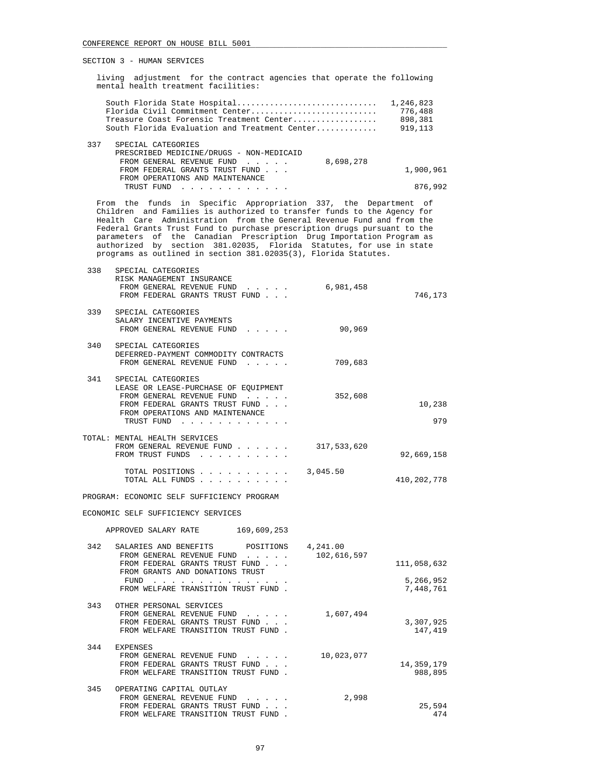living adjustment for the contract agencies that operate the following mental health treatment facilities:

| Florida Civil Commitment Center                                                                                               | 776,488   |
|-------------------------------------------------------------------------------------------------------------------------------|-----------|
| Treasure Coast Forensic Treatment Center                                                                                      | 898,381   |
| South Florida Evaluation and Treatment Center                                                                                 | 919, 113  |
| 337<br>SPECIAL CATEGORIES<br>PRESCRIBED MEDICINE/DRUGS - NON-MEDICAID<br>8,698,278<br>FROM GENERAL REVENUE FUND               |           |
| FROM FEDERAL GRANTS TRUST FUND                                                                                                | 1,900,961 |
| FROM OPERATIONS AND MAINTENANCE                                                                                               |           |
| TRUST FUND<br>the contract of the contract of the contract of the contract of the contract of the contract of the contract of | 876,992   |

 From the funds in Specific Appropriation 337, the Department of Children and Families is authorized to transfer funds to the Agency for Health Care Administration from the General Revenue Fund and from the Federal Grants Trust Fund to purchase prescription drugs pursuant to the parameters of the Canadian Prescription Drug Importation Program as authorized by section 381.02035, Florida Statutes, for use in state programs as outlined in section 381.02035(3), Florida Statutes.

| 746,173                               |             | SPECIAL CATEGORIES<br>RISK MANAGEMENT INSURANCE<br>FROM GENERAL REVENUE FUND 6,981,458<br>FROM FEDERAL GRANTS TRUST FUND                                                                           | 338 |
|---------------------------------------|-------------|----------------------------------------------------------------------------------------------------------------------------------------------------------------------------------------------------|-----|
|                                       | 90,969      | SPECIAL CATEGORIES<br>SALARY INCENTIVE PAYMENTS<br>FROM GENERAL REVENUE FUND                                                                                                                       | 339 |
|                                       | 709,683     | SPECIAL CATEGORIES<br>DEFERRED-PAYMENT COMMODITY CONTRACTS<br>FROM GENERAL REVENUE FUND                                                                                                            | 340 |
| 10,238<br>979                         | 352,608     | SPECIAL CATEGORIES<br>LEASE OR LEASE-PURCHASE OF EOUIPMENT<br>FROM GENERAL REVENUE FUND<br>FROM FEDERAL GRANTS TRUST FUND<br>FROM OPERATIONS AND MAINTENANCE<br>TRUST FUND                         | 341 |
| 92,669,158                            | 317,533,620 | TOTAL: MENTAL HEALTH SERVICES<br>FROM GENERAL REVENUE FUND<br>FROM TRUST FUNDS                                                                                                                     |     |
| 410,202,778                           | 3,045.50    | TOTAL POSITIONS<br>TOTAL ALL FUNDS                                                                                                                                                                 |     |
|                                       |             | PROGRAM: ECONOMIC SELF SUFFICIENCY PROGRAM                                                                                                                                                         |     |
|                                       |             | ECONOMIC SELF SUFFICIENCY SERVICES                                                                                                                                                                 |     |
|                                       |             | APPROVED SALARY RATE 169,609,253                                                                                                                                                                   |     |
| 111,058,632<br>5,266,952<br>7,448,761 | 102,616,597 | SALARIES AND BENEFITS POSITIONS 4,241.00<br>FROM GENERAL REVENUE FUND<br>FROM FEDERAL GRANTS TRUST FUND<br>FROM GRANTS AND DONATIONS TRUST<br>FUND $\cdots$<br>FROM WELFARE TRANSITION TRUST FUND. | 342 |
| 3,307,925<br>147,419                  | 1,607,494   | OTHER PERSONAL SERVICES<br>FROM GENERAL REVENUE FUND<br>FROM FEDERAL GRANTS TRUST FUND<br>FROM WELFARE TRANSITION TRUST FUND.                                                                      | 343 |
| 14,359,179<br>988,895                 | 10,023,077  | <b>EXPENSES</b><br>FROM GENERAL REVENUE FUND<br>FROM FEDERAL GRANTS TRUST FUND<br>FROM WELFARE TRANSITION TRUST FUND.                                                                              | 344 |
| 25,594<br>474                         | 2,998       | OPERATING CAPITAL OUTLAY<br>FROM GENERAL REVENUE FUND<br>FROM FEDERAL GRANTS TRUST FUND<br>FROM WELFARE TRANSITION TRUST FUND<br>$\sim$                                                            | 345 |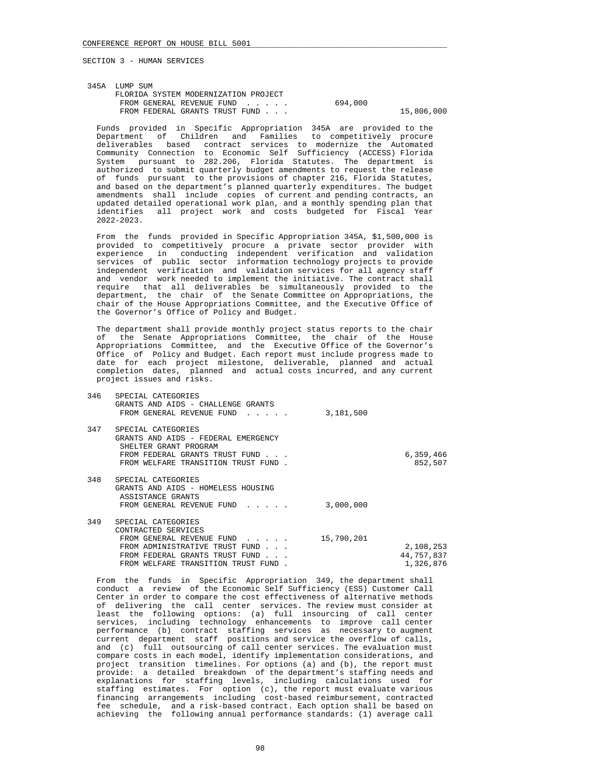| 345A LUMP SUM                        |         |            |
|--------------------------------------|---------|------------|
| FLORIDA SYSTEM MODERNIZATION PROJECT |         |            |
| FROM GENERAL REVENUE FUND            | 694,000 |            |
| FROM FEDERAL GRANTS TRUST FUND       |         | 15,806,000 |
|                                      |         |            |

 Funds provided in Specific Appropriation 345A are provided to the Department of Children and Families to competitively procure deliverables based contract services to modernize the Automated Community Connection to Economic Self Sufficiency (ACCESS) Florida System pursuant to 282.206, Florida Statutes. The department is authorized to submit quarterly budget amendments to request the release of funds pursuant to the provisions of chapter 216, Florida Statutes, and based on the department's planned quarterly expenditures. The budget amendments shall include copies of current and pending contracts, an updated detailed operational work plan, and a monthly spending plan that identifies all project work and costs budgeted for Fiscal Year 2022-2023.

 From the funds provided in Specific Appropriation 345A, \$1,500,000 is provided to competitively procure a private sector provider with experience in conducting independent verification and validation services of public sector information technology projects to provide independent verification and validation services for all agency staff and vendor work needed to implement the initiative. The contract shall require that all deliverables be simultaneously provided to the department, the chair of the Senate Committee on Appropriations, the chair of the House Appropriations Committee, and the Executive Office of the Governor's Office of Policy and Budget.

 The department shall provide monthly project status reports to the chair of the Senate Appropriations Committee, the chair of the House Appropriations Committee, and the Executive Office of the Governor's Office of Policy and Budget. Each report must include progress made to date for each project milestone, deliverable, planned and actual completion dates, planned and actual costs incurred, and any current project issues and risks.

| 346 | SPECIAL CATEGORIES<br>GRANTS AND AIDS - CHALLENGE GRANTS<br>FROM GENERAL REVENUE FUND                                                                                                                                               | 3,181,500  |                                      |
|-----|-------------------------------------------------------------------------------------------------------------------------------------------------------------------------------------------------------------------------------------|------------|--------------------------------------|
| 347 | SPECIAL CATEGORIES<br>GRANTS AND AIDS - FEDERAL EMERGENCY<br>SHELTER GRANT PROGRAM<br>FROM FEDERAL GRANTS TRUST FUND<br>FROM WELFARE TRANSITION TRUST FUND.                                                                         |            | 6,359,466<br>852,507                 |
| 348 | SPECIAL CATEGORIES<br>GRANTS AND AIDS - HOMELESS HOUSING<br>ASSISTANCE GRANTS<br>FROM GENERAL REVENUE FUND                                                                                                                          | 3,000,000  |                                      |
| 349 | SPECIAL CATEGORIES<br>CONTRACTED SERVICES<br>FROM GENERAL REVENUE FUND<br>$\mathbf{r}$ and $\mathbf{r}$ and $\mathbf{r}$<br>FROM ADMINISTRATIVE TRUST FUND<br>FROM FEDERAL GRANTS TRUST FUND<br>FROM WELFARE TRANSITION TRUST FUND. | 15,790,201 | 2,108,253<br>44,757,837<br>1,326,876 |

 From the funds in Specific Appropriation 349, the department shall conduct a review of the Economic Self Sufficiency (ESS) Customer Call Center in order to compare the cost effectiveness of alternative methods of delivering the call center services. The review must consider at least the following options: (a) full insourcing of call center services, including technology enhancements to improve call center performance (b) contract staffing services as necessary to augment current department staff positions and service the overflow of calls, and (c) full outsourcing of call center services. The evaluation must compare costs in each model, identify implementation considerations, and project transition timelines. For options (a) and (b), the report must provide: a detailed breakdown of the department's staffing needs and explanations for staffing levels, including calculations used for staffing estimates. For option (c), the report must evaluate various financing arrangements including cost-based reimbursement, contracted fee schedule, and a risk-based contract. Each option shall be based on achieving the following annual performance standards: (1) average call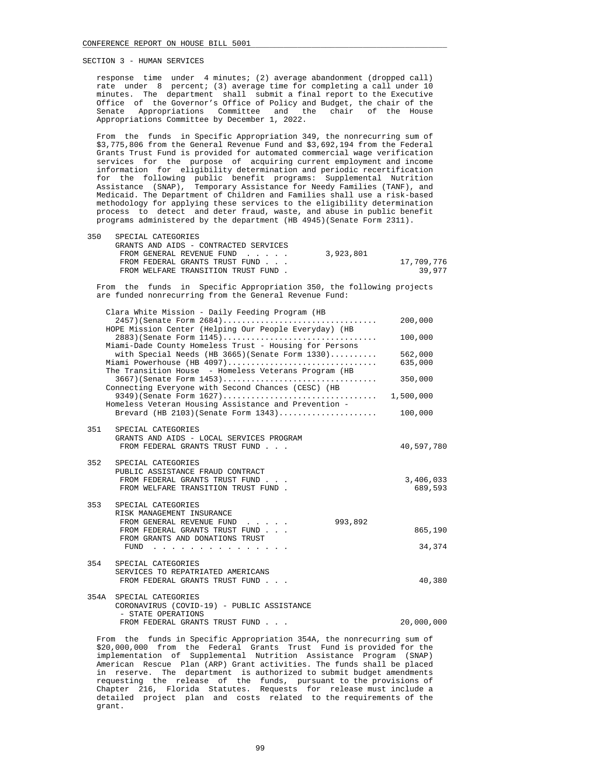response time under 4 minutes; (2) average abandonment (dropped call) rate under 8 percent; (3) average time for completing a call under 10 minutes. The department shall submit a final report to the Executive Office of the Governor's Office of Policy and Budget, the chair of the Senate Appropriations Committee and the chair of the House Appropriations Committee by December 1, 2022.

 From the funds in Specific Appropriation 349, the nonrecurring sum of \$3,775,806 from the General Revenue Fund and \$3,692,194 from the Federal Grants Trust Fund is provided for automated commercial wage verification services for the purpose of acquiring current employment and income information for eligibility determination and periodic recertification for the following public benefit programs: Supplemental Nutrition Assistance (SNAP), Temporary Assistance for Needy Families (TANF), and Medicaid. The Department of Children and Families shall use a risk-based methodology for applying these services to the eligibility determination process to detect and deter fraud, waste, and abuse in public benefit programs administered by the department (HB 4945)(Senate Form 2311).

| 350 | SPECIAL CATEGORIES                    |           |            |
|-----|---------------------------------------|-----------|------------|
|     | GRANTS AND AIDS - CONTRACTED SERVICES |           |            |
|     | FROM GENERAL REVENUE FUND             | 3,923,801 |            |
|     | FROM FEDERAL GRANTS TRUST FUND        |           | 17,709,776 |
|     | FROM WELFARE TRANSITION TRUST FUND.   |           | 39.977     |

 From the funds in Specific Appropriation 350, the following projects are funded nonrecurring from the General Revenue Fund:

|      | Clara White Mission - Daily Feeding Program (HB                                                                                            |                      |
|------|--------------------------------------------------------------------------------------------------------------------------------------------|----------------------|
|      | 2457)(Senate Form 2684)<br>HOPE Mission Center (Helping Our People Everyday) (HB                                                           | 200,000              |
|      | 2883) (Senate Form 1145)<br>Miami-Dade County Homeless Trust - Housing for Persons                                                         | 100,000              |
|      | with Special Needs (HB 3665) (Senate Form $1330)$<br>Miami Powerhouse (HB 4097)                                                            | 562,000<br>635,000   |
|      | The Transition House - Homeless Veterans Program (HB<br>$3667$ (Senate Form $1453$ )<br>Connecting Everyone with Second Chances (CESC) (HB | 350,000              |
|      | 9349)(Senate Form 1627)<br>Homeless Veteran Housing Assistance and Prevention -                                                            | 1,500,000            |
|      | Brevard (HB 2103) (Senate Form 1343)                                                                                                       | 100,000              |
| 351  | SPECIAL CATEGORIES<br>GRANTS AND AIDS - LOCAL SERVICES PROGRAM<br>FROM FEDERAL GRANTS TRUST FUND                                           | 40,597,780           |
| 352  | SPECIAL CATEGORIES<br>PUBLIC ASSISTANCE FRAUD CONTRACT<br>FROM FEDERAL GRANTS TRUST FUND<br>FROM WELFARE TRANSITION TRUST FUND.            | 3,406,033<br>689,593 |
| 353  | SPECIAL CATEGORIES<br>RISK MANAGEMENT INSURANCE<br>FROM GENERAL REVENUE FUND<br>993,892                                                    |                      |
|      | FROM FEDERAL GRANTS TRUST FUND<br>FROM GRANTS AND DONATIONS TRUST                                                                          | 865,190              |
|      | FUND $\cdots$ , $\cdots$ , $\cdots$ , $\cdots$                                                                                             | 34,374               |
| 354  | SPECIAL CATEGORIES<br>SERVICES TO REPATRIATED AMERICANS<br>FROM FEDERAL GRANTS TRUST FUND                                                  | 40,380               |
| 354A | SPECIAL CATEGORIES<br>CORONAVIRUS (COVID-19) - PUBLIC ASSISTANCE                                                                           |                      |
|      | - STATE OPERATIONS<br>FROM FEDERAL GRANTS TRUST FUND                                                                                       | 20,000,000           |

 From the funds in Specific Appropriation 354A, the nonrecurring sum of \$20,000,000 from the Federal Grants Trust Fund is provided for the implementation of Supplemental Nutrition Assistance Program (SNAP) American Rescue Plan (ARP) Grant activities. The funds shall be placed in reserve. The department is authorized to submit budget amendments requesting the release of the funds, pursuant to the provisions of Chapter 216, Florida Statutes. Requests for release must include a detailed project plan and costs related to the requirements of the grant.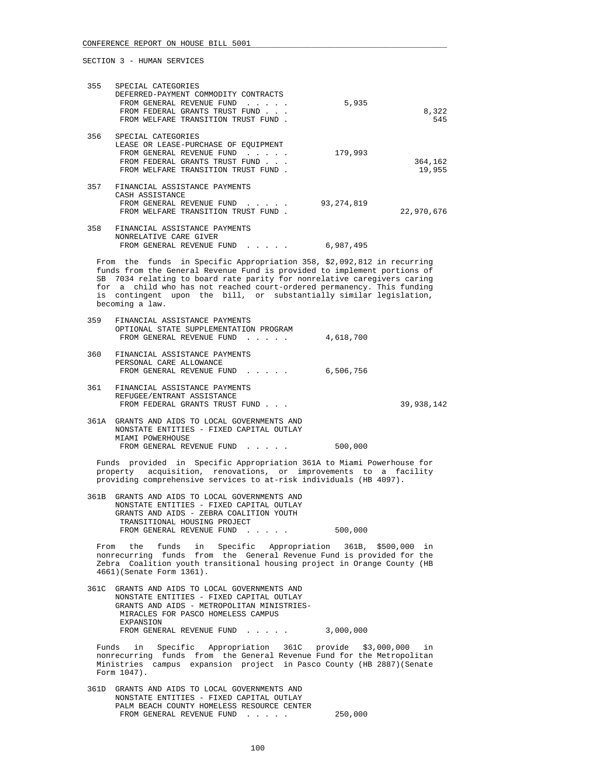| 355 | SPECIAL CATEGORIES<br>DEFERRED-PAYMENT COMMODITY CONTRACTS<br>FROM GENERAL REVENUE FUND<br>FROM FEDERAL GRANTS TRUST FUND                                                                                                     | 5,935        | 8,322             |
|-----|-------------------------------------------------------------------------------------------------------------------------------------------------------------------------------------------------------------------------------|--------------|-------------------|
|     | FROM WELFARE TRANSITION TRUST FUND.                                                                                                                                                                                           |              | 545               |
| 356 | SPECIAL CATEGORIES<br>LEASE OR LEASE-PURCHASE OF EOUIPMENT<br>FROM GENERAL REVENUE FUND<br>$\mathbf{r}$ , $\mathbf{r}$ , $\mathbf{r}$ , $\mathbf{r}$<br>FROM FEDERAL GRANTS TRUST FUND<br>FROM WELFARE TRANSITION TRUST FUND. | 179,993      | 364,162<br>19,955 |
| 357 | FINANCIAL ASSISTANCE PAYMENTS<br>CASH ASSISTANCE<br>FROM GENERAL REVENUE FUND<br>FROM WELFARE TRANSITION TRUST FUND.                                                                                                          | 93, 274, 819 | 22,970,676        |
| 358 | FINANCIAL ASSISTANCE PAYMENTS<br>NONRELATIVE CARE GIVER                                                                                                                                                                       |              |                   |

 From the funds in Specific Appropriation 358, \$2,092,812 in recurring funds from the General Revenue Fund is provided to implement portions of SB 7034 relating to board rate parity for nonrelative caregivers caring for a child who has not reached court-ordered permanency. This funding is contingent upon the bill, or substantially similar legislation, becoming a law.

FROM GENERAL REVENUE FUND . . . . . 6,987,495

| 359  | FINANCIAL ASSISTANCE PAYMENTS<br>OPTIONAL STATE SUPPLEMENTATION PROGRAM                                                                                                                          |           |            |
|------|--------------------------------------------------------------------------------------------------------------------------------------------------------------------------------------------------|-----------|------------|
|      | FROM GENERAL REVENUE FUND                                                                                                                                                                        | 4,618,700 |            |
| 360  | FINANCIAL ASSISTANCE PAYMENTS                                                                                                                                                                    |           |            |
|      | PERSONAL CARE ALLOWANCE                                                                                                                                                                          |           |            |
|      | FROM GENERAL REVENUE FUND                                                                                                                                                                        | 6,506,756 |            |
| 361  | FINANCIAL ASSISTANCE PAYMENTS                                                                                                                                                                    |           |            |
|      | REFUGEE/ENTRANT ASSISTANCE                                                                                                                                                                       |           |            |
|      |                                                                                                                                                                                                  |           |            |
|      | FROM FEDERAL GRANTS TRUST FUND                                                                                                                                                                   |           | 39,938,142 |
| つよりた | $CD$ $\Lambda$ $\overline{\rm MPC}$ $\Lambda$ $\overline{\rm MPC}$ $\overline{\rm ANC}$ $\overline{\rm ANC}$ $\overline{\rm ANC}$ $\overline{\rm ANC}$ $\overline{\rm ANC}$ $\overline{\rm ANC}$ |           |            |

| 361A GRANTS AND AIDS TO LOCAL GOVERNMENTS AND |         |
|-----------------------------------------------|---------|
| NONSTATE ENTITIES - FIXED CAPITAL OUTLAY      |         |
| MIAMI POWERHOUSE                              |         |
| FROM GENERAL REVENUE FUND                     | 500,000 |
|                                               |         |

 Funds provided in Specific Appropriation 361A to Miami Powerhouse for property acquisition, renovations, or improvements to a facility providing comprehensive services to at-risk individuals (HB 4097).

 361B GRANTS AND AIDS TO LOCAL GOVERNMENTS AND NONSTATE ENTITIES - FIXED CAPITAL OUTLAY GRANTS AND AIDS - ZEBRA COALITION YOUTH TRANSITIONAL HOUSING PROJECT FROM GENERAL REVENUE FUND . . . . . 500,000

 From the funds in Specific Appropriation 361B, \$500,000 in nonrecurring funds from the General Revenue Fund is provided for the Zebra Coalition youth transitional housing project in Orange County (HB 4661)(Senate Form 1361).

 361C GRANTS AND AIDS TO LOCAL GOVERNMENTS AND NONSTATE ENTITIES - FIXED CAPITAL OUTLAY GRANTS AND AIDS - METROPOLITAN MINISTRIES- MIRACLES FOR PASCO HOMELESS CAMPUS EXPANSION FROM GENERAL REVENUE FUND . . . . . 3,000,000

 Funds in Specific Appropriation 361C provide \$3,000,000 in nonrecurring funds from the General Revenue Fund for the Metropolitan Ministries campus expansion project in Pasco County (HB 2887)(Senate Form 1047).

 361D GRANTS AND AIDS TO LOCAL GOVERNMENTS AND NONSTATE ENTITIES - FIXED CAPITAL OUTLAY PALM BEACH COUNTY HOMELESS RESOURCE CENTER FROM GENERAL REVENUE FUND . . . . . 250,000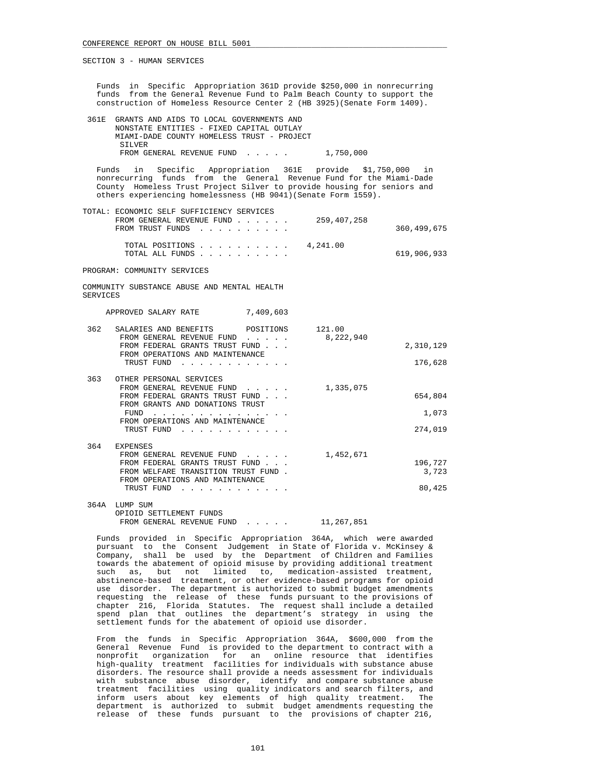| Funds in Specific Appropriation 361D provide \$250,000 in nonrecurring<br>funds from the General Revenue Fund to Palm Beach County to support the<br>construction of Homeless Resource Center 2 (HB 3925) (Senate Form 1409).   |                                                       |
|---------------------------------------------------------------------------------------------------------------------------------------------------------------------------------------------------------------------------------|-------------------------------------------------------|
| GRANTS AND AIDS TO LOCAL GOVERNMENTS AND<br>361E<br>NONSTATE ENTITIES - FIXED CAPITAL OUTLAY<br>MIAMI-DADE COUNTY HOMELESS TRUST - PROJECT<br>SILVER                                                                            |                                                       |
| FROM GENERAL REVENUE FUND 1,750,000                                                                                                                                                                                             |                                                       |
| Funds<br>in<br>nonrecurring funds from the General Revenue Fund for the Miami-Dade<br>County Homeless Trust Project Silver to provide housing for seniors and<br>others experiencing homelessness (HB 9041) (Senate Form 1559). | Specific Appropriation 361E provide \$1,750,000 in    |
| TOTAL: ECONOMIC SELF SUFFICIENCY SERVICES<br>FROM GENERAL REVENUE FUND $\ldots$ 259,407,258<br>FROM TRUST FUNDS                                                                                                                 | 360, 499, 675                                         |
| TOTAL POSITIONS $\ldots$ , $\ldots$ , $\ldots$ , 4,241.00<br>TOTAL ALL FUNDS                                                                                                                                                    | 619,906,933                                           |
| PROGRAM: COMMUNITY SERVICES                                                                                                                                                                                                     |                                                       |
| COMMUNITY SUBSTANCE ABUSE AND MENTAL HEALTH<br><b>SERVICES</b>                                                                                                                                                                  |                                                       |
| APPROVED SALARY RATE<br>7,409,603                                                                                                                                                                                               |                                                       |
| SALARIES AND BENEFITS<br>362<br>FROM GENERAL REVENUE FUND<br>FROM FEDERAL GRANTS TRUST FUND<br>FROM OPERATIONS AND MAINTENANCE<br>TRUST FUND                                                                                    | POSITIONS 121.00<br>8,222,940<br>2,310,129<br>176,628 |
| 363<br>OTHER PERSONAL SERVICES<br>FROM GENERAL REVENUE FUND<br>FROM FEDERAL GRANTS TRUST FUND<br>FROM GRANTS AND DONATIONS TRUST<br>FROM OPERATIONS AND MAINTENANCE<br>TRUST FUND                                               | 1,335,075<br>654,804<br>1,073<br>274,019              |
| 364<br><b>EXPENSES</b><br>FROM GENERAL REVENUE FUND 1,452,671<br>FROM FEDERAL GRANTS TRUST FUND<br>FROM WELFARE TRANSITION TRUST FUND.<br>FROM OPERATIONS AND MAINTENANCE<br>TRUST FUND                                         | 196,727<br>3,723<br>80,425                            |
| 364A LUMP SUM<br>OPIOID SETTLEMENT FUNDS<br>FROM GENERAL REVENUE FUND 11,267,851                                                                                                                                                |                                                       |
| Funds provided in Specific Appropriation 364A, which were awarded<br>pursuant to the Consent Judgement in State of Florida v. McKinsey &<br>Company, shall be used by the Department of Children and Families                   |                                                       |

 Company, shall be used by the Department of Children and Families towards the abatement of opioid misuse by providing additional treatment such as, but not limited to, medication-assisted treatment, abstinence-based treatment, or other evidence-based programs for opioid use disorder. The department is authorized to submit budget amendments requesting the release of these funds pursuant to the provisions of chapter 216, Florida Statutes. The request shall include a detailed spend plan that outlines the department's strategy in using the settlement funds for the abatement of opioid use disorder.

 From the funds in Specific Appropriation 364A, \$600,000 from the General Revenue Fund is provided to the department to contract with a nonprofit organization for an online resource that identifies high-quality treatment facilities for individuals with substance abuse disorders. The resource shall provide a needs assessment for individuals with substance abuse disorder, identify and compare substance abuse treatment facilities using quality indicators and search filters, and inform users about key elements of high quality treatment. The department is authorized to submit budget amendments requesting the release of these funds pursuant to the provisions of chapter 216,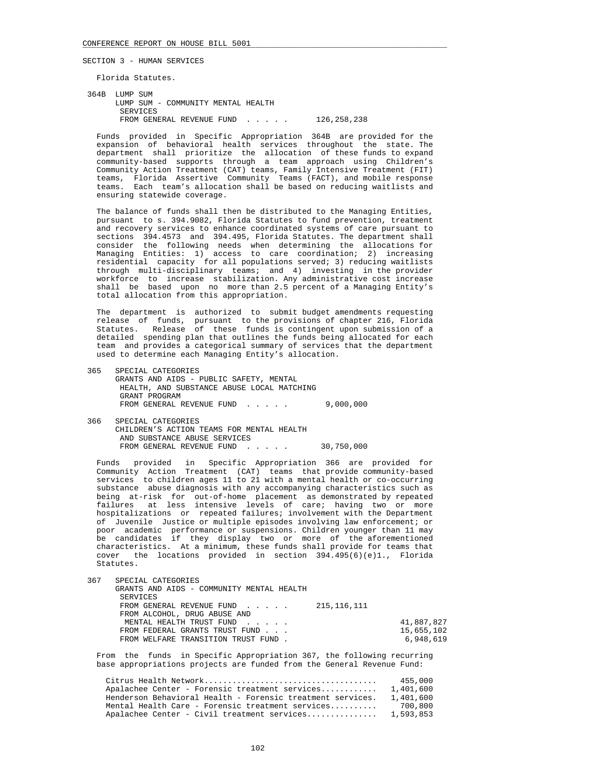Florida Statutes.

 364B LUMP SUM LUMP SUM - COMMUNITY MENTAL HEALTH SERVICES FROM GENERAL REVENUE FUND . . . . . 126,258,238

 Funds provided in Specific Appropriation 364B are provided for the expansion of behavioral health services throughout the state. The department shall prioritize the allocation of these funds to expand community-based supports through a team approach using Children's Community Action Treatment (CAT) teams, Family Intensive Treatment (FIT) teams, Florida Assertive Community Teams (FACT), and mobile response teams. Each team's allocation shall be based on reducing waitlists and ensuring statewide coverage.

 The balance of funds shall then be distributed to the Managing Entities, pursuant to s. 394.9082, Florida Statutes to fund prevention, treatment and recovery services to enhance coordinated systems of care pursuant to sections 394.4573 and 394.495, Florida Statutes. The department shall consider the following needs when determining the allocations for Managing Entities: 1) access to care coordination; 2) increasing residential capacity for all populations served; 3) reducing waitlists through multi-disciplinary teams; and 4) investing in the provider workforce to increase stabilization. Any administrative cost increase shall be based upon no more than 2.5 percent of a Managing Entity's total allocation from this appropriation.

 The department is authorized to submit budget amendments requesting release of funds, pursuant to the provisions of chapter 216, Florida Statutes. Release of these funds is contingent upon submission of a detailed spending plan that outlines the funds being allocated for each team and provides a categorical summary of services that the department used to determine each Managing Entity's allocation.

- 365 SPECIAL CATEGORIES GRANTS AND AIDS - PUBLIC SAFETY, MENTAL HEALTH, AND SUBSTANCE ABUSE LOCAL MATCHING GRANT PROGRAM FROM GENERAL REVENUE FUND . . . . . 9,000,000
- 366 SPECIAL CATEGORIES CHILDREN'S ACTION TEAMS FOR MENTAL HEALTH AND SUBSTANCE ABUSE SERVICES FROM GENERAL REVENUE FUND . . . . . 30,750,000

 Funds provided in Specific Appropriation 366 are provided for Community Action Treatment (CAT) teams that provide community-based services to children ages 11 to 21 with a mental health or co-occurring substance abuse diagnosis with any accompanying characteristics such as being at-risk for out-of-home placement as demonstrated by repeated failures at less intensive levels of care; having two or more hospitalizations or repeated failures; involvement with the Department of Juvenile Justice or multiple episodes involving law enforcement; or poor academic performance or suspensions. Children younger than 11 may be candidates if they display two or more of the aforementioned characteristics. At a minimum, these funds shall provide for teams that cover the locations provided in section 394.495(6)(e)1., Florida Statutes.

| 367 |  | SPECIAL CATEGORIES |
|-----|--|--------------------|
|-----|--|--------------------|

| GRANTS AND AIDS - COMMUNITY MENTAL HEALTH                 |            |
|-----------------------------------------------------------|------------|
| SERVICES                                                  |            |
| FROM GENERAL REVENUE FUND $\ldots$ $\ldots$ 215, 116, 111 |            |
| FROM ALCOHOL, DRUG ABUSE AND                              |            |
| MENTAL HEALTH TRUST FUND                                  | 41,887,827 |
| FROM FEDERAL GRANTS TRUST FUND                            | 15,655,102 |
| FROM WELFARE TRANSITION TRUST FUND.                       | 6,948,619  |

 From the funds in Specific Appropriation 367, the following recurring base appropriations projects are funded from the General Revenue Fund:

|                                                            | 455,000   |
|------------------------------------------------------------|-----------|
| Apalachee Center - Forensic treatment services             | 1,401,600 |
| Henderson Behavioral Health - Forensic treatment services. | 1,401,600 |
| Mental Health Care - Forensic treatment services           | 700,800   |
| Apalachee Center - Civil treatment services                | 1,593,853 |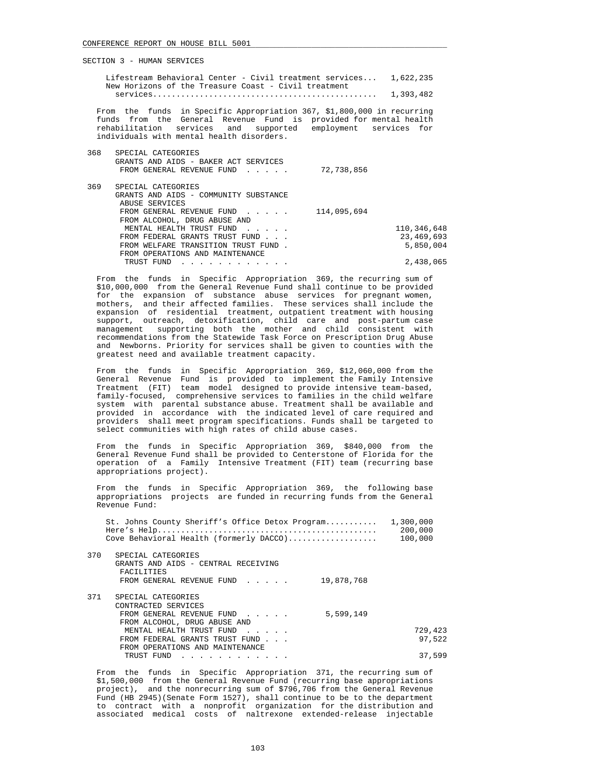| New Horizons of the Treasure Coast - Civil treatment                                                                                                                                                                                                      |             |
|-----------------------------------------------------------------------------------------------------------------------------------------------------------------------------------------------------------------------------------------------------------|-------------|
| From the funds in Specific Appropriation 367, \$1,800,000 in recurring<br>funds from the General Revenue Fund is provided for mental health<br>rehabilitation services and supported employment services for<br>individuals with mental health disorders. |             |
| 368<br>SPECIAL CATEGORIES<br>GRANTS AND AIDS - BAKER ACT SERVICES<br>FROM GENERAL REVENUE FUND<br>$\mathbf{1}$ . $\mathbf{1}$ . $\mathbf{1}$                                                                                                              | 72,738,856  |
| 369<br>SPECIAL CATEGORIES<br>GRANTS AND AIDS - COMMUNITY SUBSTANCE<br>ABUSE SERVICES                                                                                                                                                                      |             |
| FROM GENERAL REVENUE FUND<br>FROM ALCOHOL, DRUG ABUSE AND                                                                                                                                                                                                 | 114,095,694 |
| MENTAL HEALTH TRUST FUND                                                                                                                                                                                                                                  | 110,346,648 |
| FROM FEDERAL GRANTS TRUST FUND                                                                                                                                                                                                                            | 23,469,693  |
| FROM WELFARE TRANSITION TRUST FUND.<br>FROM OPERATIONS AND MAINTENANCE                                                                                                                                                                                    | 5,850,004   |
| TRUST FUND<br>$\mathbf{r}$ , and $\mathbf{r}$ , and $\mathbf{r}$ , and $\mathbf{r}$ , and $\mathbf{r}$ , and $\mathbf{r}$                                                                                                                                 | 2,438,065   |

Lifestream Behavioral Center - Civil treatment services... 1,622,235

 From the funds in Specific Appropriation 369, the recurring sum of \$10,000,000 from the General Revenue Fund shall continue to be provided for the expansion of substance abuse services for pregnant women, mothers, and their affected families. These services shall include the expansion of residential treatment, outpatient treatment with housing support, outreach, detoxification, child care and post-partum case management supporting both the mother and child consistent with recommendations from the Statewide Task Force on Prescription Drug Abuse and Newborns. Priority for services shall be given to counties with the greatest need and available treatment capacity.

 From the funds in Specific Appropriation 369, \$12,060,000 from the General Revenue Fund is provided to implement the Family Intensive Treatment (FIT) team model designed to provide intensive team-based, family-focused, comprehensive services to families in the child welfare system with parental substance abuse. Treatment shall be available and provided in accordance with the indicated level of care required and providers shall meet program specifications. Funds shall be targeted to select communities with high rates of child abuse cases.

 From the funds in Specific Appropriation 369, \$840,000 from the General Revenue Fund shall be provided to Centerstone of Florida for the operation of a Family Intensive Treatment (FIT) team (recurring base appropriations project).

 From the funds in Specific Appropriation 369, the following base appropriations projects are funded in recurring funds from the General Revenue Fund:

| St. Johns County Sheriff's Office Detox Program<br>Cove Behavioral Health (formerly DACCO)                                    | 1,300,000<br>200,000<br>100,000 |
|-------------------------------------------------------------------------------------------------------------------------------|---------------------------------|
| 370<br>SPECIAL CATEGORIES<br>GRANTS AND AIDS - CENTRAL RECEIVING<br>FACILITIES<br>19,878,768<br>FROM GENERAL REVENUE FUND     |                                 |
| 371<br>SPECIAL CATEGORIES<br>CONTRACTED SERVICES<br>5,599,149<br>FROM GENERAL REVENUE FUND                                    |                                 |
| FROM ALCOHOL, DRUG ABUSE AND<br>MENTAL HEALTH TRUST FUND<br>FROM FEDERAL GRANTS TRUST FUND<br>FROM OPERATIONS AND MAINTENANCE | 729,423<br>97,522               |
| TRUST FUND                                                                                                                    | 37,599                          |

 From the funds in Specific Appropriation 371, the recurring sum of \$1,500,000 from the General Revenue Fund (recurring base appropriations project), and the nonrecurring sum of \$796,706 from the General Revenue Fund (HB 2945)(Senate Form 1527), shall continue to be to the department to contract with a nonprofit organization for the distribution and associated medical costs of naltrexone extended-release injectable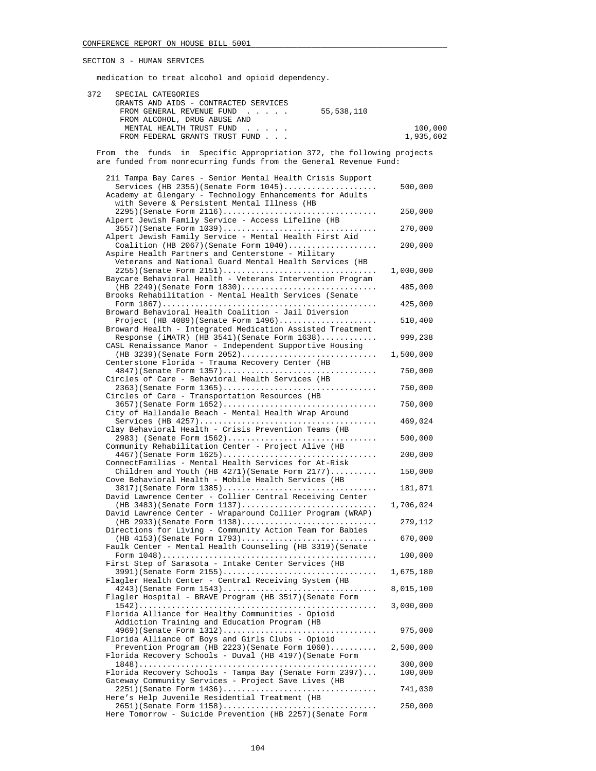medication to treat alcohol and opioid dependency.

| 372<br>SPECIAL CATEGORIES | GRANTS AND AIDS - CONTRACTED SERVICES<br>FROM GENERAL REVENUE FUND<br>55,538,110<br>and a state of the<br>FROM ALCOHOL, DRUG ABUSE AND<br>MENTAL HEALTH TRUST FUND<br>$\mathbf{r} = \mathbf{r} + \mathbf{r} + \mathbf{r} + \mathbf{r}$ . | 100,000            |
|---------------------------|------------------------------------------------------------------------------------------------------------------------------------------------------------------------------------------------------------------------------------------|--------------------|
|                           | FROM FEDERAL GRANTS TRUST FUND                                                                                                                                                                                                           | 1,935,602          |
|                           | From the funds in Specific Appropriation 372, the following projects<br>are funded from nonrecurring funds from the General Revenue Fund:                                                                                                |                    |
|                           | 211 Tampa Bay Cares - Senior Mental Health Crisis Support                                                                                                                                                                                |                    |
|                           | Services (HB 2355) (Senate Form $1045)$<br>Academy at Glengary - Technology Enhancements for Adults<br>with Severe & Persistent Mental Illness (HB                                                                                       | 500,000            |
|                           | 2295)(Senate Form 2116)<br>Alpert Jewish Family Service - Access Lifeline (HB                                                                                                                                                            | 250,000            |
|                           | 3557)(Senate Form 1039)                                                                                                                                                                                                                  | 270,000            |
|                           | Alpert Jewish Family Service - Mental Health First Aid<br>Coalition (HB 2067) (Senate Form $1040)$<br>Aspire Health Partners and Centerstone - Military                                                                                  | 200,000            |
|                           | Veterans and National Guard Mental Health Services (HB                                                                                                                                                                                   | 1,000,000          |
|                           | Baycare Behavioral Health - Veterans Intervention Program                                                                                                                                                                                |                    |
|                           | $(HB 2249)$ (Senate Form $1830)$<br>Brooks Rehabilitation - Mental Health Services (Senate                                                                                                                                               | 485,000            |
|                           | Broward Behavioral Health Coalition - Jail Diversion                                                                                                                                                                                     | 425,000            |
|                           | Project (HB $4089$ ) (Senate Form $1496)$                                                                                                                                                                                                | 510,400            |
|                           | Broward Health - Integrated Medication Assisted Treatment<br>Response (iMATR) (HB 3541) (Senate Form $1638)$<br>CASL Renaissance Manor - Independent Supportive Housing                                                                  | 999,238            |
|                           | (HB 3239) (Senate Form 2052)<br>Centerstone Florida - Trauma Recovery Center (HB                                                                                                                                                         | 1,500,000          |
|                           | 4847)(Senate Form 1357)                                                                                                                                                                                                                  | 750,000            |
|                           | Circles of Care - Behavioral Health Services (HB<br>2363)(Senate Form 1365)                                                                                                                                                              | 750,000            |
|                           | Circles of Care - Transportation Resources (HB<br>3657)(Senate Form 1652)                                                                                                                                                                | 750,000            |
|                           | City of Hallandale Beach - Mental Health Wrap Around                                                                                                                                                                                     | 469,024            |
|                           | Clay Behavioral Health - Crisis Prevention Teams (HB                                                                                                                                                                                     |                    |
|                           | 2983) (Senate Form 1562)<br>Community Rehabilitation Center - Project Alive (HB                                                                                                                                                          | 500,000            |
|                           | 4467)(Senate Form 1625)<br>ConnectFamilias - Mental Health Services for At-Risk                                                                                                                                                          | 200,000            |
|                           | Children and Youth (HB $4271$ ) (Senate Form $2177$ )<br>Cove Behavioral Health - Mobile Health Services (HB                                                                                                                             | 150,000            |
|                           | 3817) (Senate Form 1385)                                                                                                                                                                                                                 | 181,871            |
|                           | David Lawrence Center - Collier Central Receiving Center<br>(HB 3483) (Senate Form 1137)                                                                                                                                                 | 1,706,024          |
|                           | David Lawrence Center - Wraparound Collier Program (WRAP)<br>$(HB 2933)$ (Senate Form $1138)$                                                                                                                                            | 279,112            |
|                           | Directions for Living - Community Action Team for Babies<br>$(HB 4153)$ (Senate Form 1793)                                                                                                                                               | 670,000            |
|                           | Faulk Center - Mental Health Counseling (HB 3319) (Senate                                                                                                                                                                                |                    |
|                           | First Step of Sarasota - Intake Center Services (HB                                                                                                                                                                                      | 100,000            |
|                           | 3991)(Senate Form 2155)<br>Flagler Health Center - Central Receiving System (HB                                                                                                                                                          | 1,675,180          |
|                           | 4243) (Senate Form 1543)<br>Flagler Hospital - BRAVE Program (HB 3517) (Senate Form                                                                                                                                                      | 8,015,100          |
|                           | Florida Alliance for Healthy Communities - Opioid<br>Addiction Training and Education Program (HB                                                                                                                                        | 3,000,000          |
|                           | $4969$ (Senate Form $1312$ )                                                                                                                                                                                                             | 975,000            |
|                           | Florida Alliance of Boys and Girls Clubs - Opioid<br>Prevention Program (HB 2223) (Senate Form $1060)$<br>Florida Recovery Schools - Duval (HB 4197) (Senate Form                                                                        | 2,500,000          |
|                           | Florida Recovery Schools - Tampa Bay (Senate Form 2397)                                                                                                                                                                                  | 300,000<br>100,000 |
|                           | Gateway Community Services - Project Save Lives (HB                                                                                                                                                                                      |                    |
|                           | 2251)(Senate Form 1436)<br>Here's Help Juvenile Residential Treatment (HB                                                                                                                                                                | 741,030            |
|                           | 2651)(Senate Form 1158)                                                                                                                                                                                                                  | 250,000            |

Here Tomorrow - Suicide Prevention (HB 2257)(Senate Form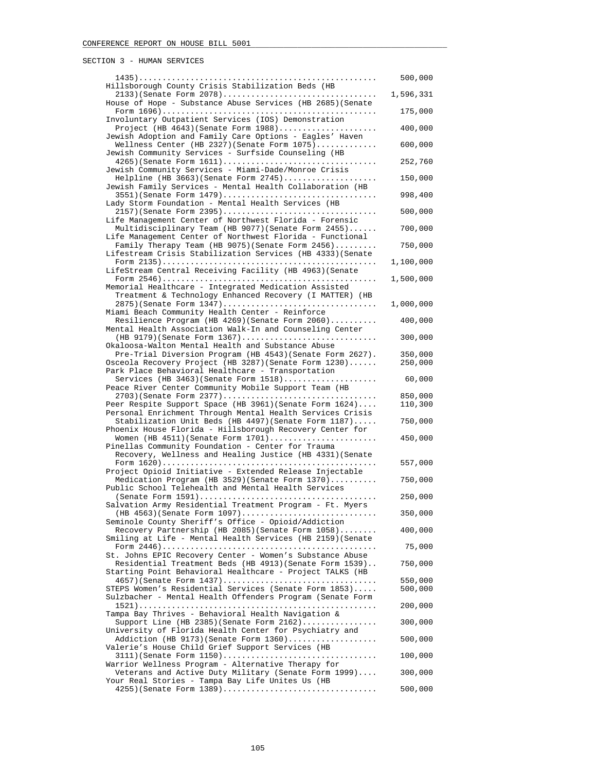|                                                                                                                      | 500,000            |
|----------------------------------------------------------------------------------------------------------------------|--------------------|
| Hillsborough County Crisis Stabilization Beds (HB<br>2133) (Senate Form 2078)                                        | 1,596,331          |
| House of Hope - Substance Abuse Services (HB 2685) (Senate                                                           | 175,000            |
| Involuntary Outpatient Services (IOS) Demonstration<br>Project (HB $4643$ ) (Senate Form $1988$ )                    | 400,000            |
| Jewish Adoption and Family Care Options - Eagles' Haven<br>Wellness Center (HB 2327) (Senate Form $1075)$            | 600,000            |
| Jewish Community Services - Surfside Counseling (HB<br>$4265$ (Senate Form $1611)$                                   | 252,760            |
| Jewish Community Services - Miami-Dade/Monroe Crisis<br>Helpline (HB 3663) (Senate Form 2745)                        | 150,000            |
| Jewish Family Services - Mental Health Collaboration (HB                                                             |                    |
| 3551)(Senate Form 1479)<br>Lady Storm Foundation - Mental Health Services (HB                                        | 998,400            |
| 2157)(Senate Form 2395)<br>Life Management Center of Northwest Florida - Forensic                                    | 500,000            |
| Multidisciplinary Team (HB 9077) (Senate Form 2455)<br>Life Management Center of Northwest Florida - Functional      | 700,000            |
| Family Therapy Team (HB 9075) (Senate Form 2456)<br>Lifestream Crisis Stabilization Services (HB 4333) (Senate       | 750,000            |
| LifeStream Central Receiving Facility (HB 4963) (Senate                                                              | 1,100,000          |
| Memorial Healthcare - Integrated Medication Assisted                                                                 | 1,500,000          |
| Treatment & Technology Enhanced Recovery (I MATTER) (HB<br>2875) (Senate Form 1347)                                  |                    |
| Miami Beach Community Health Center - Reinforce                                                                      | 1,000,000          |
| Resilience Program (HB 4269) (Senate Form 2060)<br>Mental Health Association Walk-In and Counseling Center           | 400,000            |
| (HB 9179) (Senate Form 1367)<br>Okaloosa-Walton Mental Health and Substance Abuse                                    | 300,000            |
| Pre-Trial Diversion Program (HB 4543) (Senate Form 2627).<br>Osceola Recovery Project (HB 3287) (Senate Form 1230)   | 350,000<br>250,000 |
| Park Place Behavioral Healthcare - Transportation<br>Services (HB 3463) (Senate Form $1518$ )                        | 60,000             |
| Peace River Center Community Mobile Support Team (HB<br>2703)(Senate Form 2377)                                      | 850,000            |
| Peer Respite Support Space (HB 3961) (Senate Form 1624)<br>Personal Enrichment Through Mental Health Services Crisis | 110,300            |
| Stabilization Unit Beds (HB 4497) (Senate Form 1187)                                                                 | 750,000            |
| Phoenix House Florida - Hillsborough Recovery Center for<br>Women (HB $4511$ ) (Senate Form $1701)$                  | 450,000            |
| Pinellas Community Foundation - Center for Trauma<br>Recovery, Wellness and Healing Justice (HB 4331) (Senate        |                    |
| Project Opioid Initiative - Extended Release Injectable                                                              | 557,000            |
| Medication Program (HB 3529) (Senate Form 1370)<br>Public School Telehealth and Mental Health Services               | 750,000            |
| Salvation Army Residential Treatment Program - Ft. Myers                                                             | 250,000            |
| $(HB 4563)$ (Senate Form $1097)$<br>Seminole County Sheriff's Office - Opioid/Addiction                              | 350,000            |
| Recovery Partnership (HB 2085) (Senate Form 1058)<br>Smiling at Life - Mental Health Services (HB 2159) (Senate      | 400,000            |
|                                                                                                                      | 75,000             |
| St. Johns EPIC Recovery Center - Women's Substance Abuse<br>Residential Treatment Beds (HB 4913) (Senate Form 1539)  | 750,000            |
| Starting Point Behavioral Healthcare - Project TALKS (HB<br>4657)(Senate Form 1437)                                  | 550,000            |
| STEPS Women's Residential Services (Senate Form 1853)<br>Sulzbacher - Mental Health Offenders Program (Senate Form   | 500,000            |
| Tampa Bay Thrives - Behavioral Health Navigation &                                                                   | 200,000            |
| Support Line (HB 2385) (Senate Form $2162)$<br>University of Florida Health Center for Psychiatry and                | 300,000            |
| Addiction (HB $9173$ ) (Senate Form $1360)$<br>Valerie's House Child Grief Support Services (HB                      | 500,000            |
| 3111)(Senate Form 1150)<br>Warrior Wellness Program - Alternative Therapy for                                        | 100,000            |
| Veterans and Active Duty Military (Senate Form 1999)                                                                 | 300,000            |
| Your Real Stories - Tampa Bay Life Unites Us (HB<br>4255) (Senate Form 1389)                                         | 500,000            |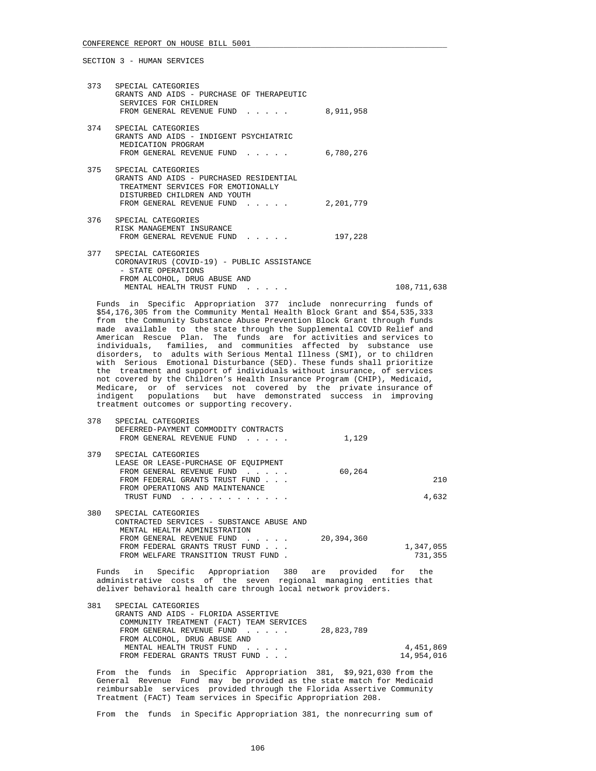| 373 SPECIAL CATEGORIES<br>GRANTS AND AIDS - PURCHASE OF THERAPEUTIC<br>SERVICES FOR CHILDREN<br>FROM GENERAL REVENUE FUND 8,911,958                                  |           |             |
|----------------------------------------------------------------------------------------------------------------------------------------------------------------------|-----------|-------------|
| 374 SPECIAL CATEGORIES<br>GRANTS AND AIDS - INDIGENT PSYCHIATRIC<br>MEDICATION PROGRAM<br>FROM GENERAL REVENUE FUND                                                  | 6,780,276 |             |
| 375 SPECIAL CATEGORIES<br>GRANTS AND AIDS - PURCHASED RESIDENTIAL<br>TREATMENT SERVICES FOR EMOTIONALLY<br>DISTURBED CHILDREN AND YOUTH<br>FROM GENERAL REVENUE FUND | 2,201,779 |             |
| 376 SPECIAL CATEGORIES<br>RISK MANAGEMENT INSURANCE<br>FROM GENERAL REVENUE FUND                                                                                     | 197,228   |             |
| 377 SPECIAL CATEGORIES<br>CORONAVIRUS (COVID-19) - PUBLIC ASSISTANCE<br>- STATE OPERATIONS<br>FROM ALCOHOL, DRUG ABUSE AND<br>MENTAL HEALTH TRUST FUND               |           | 108,711,638 |

 Funds in Specific Appropriation 377 include nonrecurring funds of \$54,176,305 from the Community Mental Health Block Grant and \$54,535,333 from the Community Substance Abuse Prevention Block Grant through funds made available to the state through the Supplemental COVID Relief and American Rescue Plan. The funds are for activities and services to individuals, families, and communities affected by substance use disorders, to adults with Serious Mental Illness (SMI), or to children with Serious Emotional Disturbance (SED). These funds shall prioritize the treatment and support of individuals without insurance, of services not covered by the Children's Health Insurance Program (CHIP), Medicaid, Medicare, or of services not covered by the private insurance of indigent populations but have demonstrated success in improving treatment outcomes or supporting recovery.

| 378 | SPECIAL CATEGORIES<br>DEFERRED-PAYMENT COMMODITY CONTRACTS                                            |            |           |
|-----|-------------------------------------------------------------------------------------------------------|------------|-----------|
|     | FROM GENERAL REVENUE FUND                                                                             | 1,129      |           |
| 379 | SPECIAL CATEGORIES                                                                                    |            |           |
|     | LEASE OR LEASE-PURCHASE OF EOUIPMENT                                                                  |            |           |
|     | FROM GENERAL REVENUE FUND<br>the contract of the contract of                                          | 60,264     |           |
|     | FROM FEDERAL GRANTS TRUST FUND                                                                        |            | 210       |
|     | FROM OPERATIONS AND MAINTENANCE                                                                       |            |           |
|     | TRUST FUND<br>$\mathbf{r}$ , $\mathbf{r}$ , $\mathbf{r}$ , $\mathbf{r}$ , $\mathbf{r}$ , $\mathbf{r}$ |            | 4,632     |
| 380 | SPECIAL CATEGORIES                                                                                    |            |           |
|     | CONTRACTED SERVICES - SUBSTANCE ABUSE AND                                                             |            |           |
|     | MENTAL HEALTH ADMINISTRATION                                                                          |            |           |
|     | FROM GENERAL REVENUE FUND<br>$\sim$ $\sim$ $\sim$ $\sim$ $\sim$                                       | 20,394,360 |           |
|     | FROM FEDERAL GRANTS TRUST FUND                                                                        |            | 1,347,055 |
|     | FROM WELFARE TRANSITION TRUST FUND                                                                    |            | 731,355   |

 Funds in Specific Appropriation 380 are provided for the administrative costs of the seven regional managing entities that deliver behavioral health care through local network providers.

| 381 | SPECIAL CATEGORIES                       |            |            |
|-----|------------------------------------------|------------|------------|
|     | GRANTS AND AIDS - FLORIDA ASSERTIVE      |            |            |
|     | COMMUNITY TREATMENT (FACT) TEAM SERVICES |            |            |
|     | FROM GENERAL REVENUE FUND                | 28,823,789 |            |
|     | FROM ALCOHOL, DRUG ABUSE AND             |            |            |
|     | MENTAL HEALTH TRUST FUND                 |            | 4,451,869  |
|     | FROM FEDERAL GRANTS TRUST FUND           |            | 14,954,016 |
|     |                                          |            |            |

 From the funds in Specific Appropriation 381, \$9,921,030 from the General Revenue Fund may be provided as the state match for Medicaid reimbursable services provided through the Florida Assertive Community Treatment (FACT) Team services in Specific Appropriation 208.

From the funds in Specific Appropriation 381, the nonrecurring sum of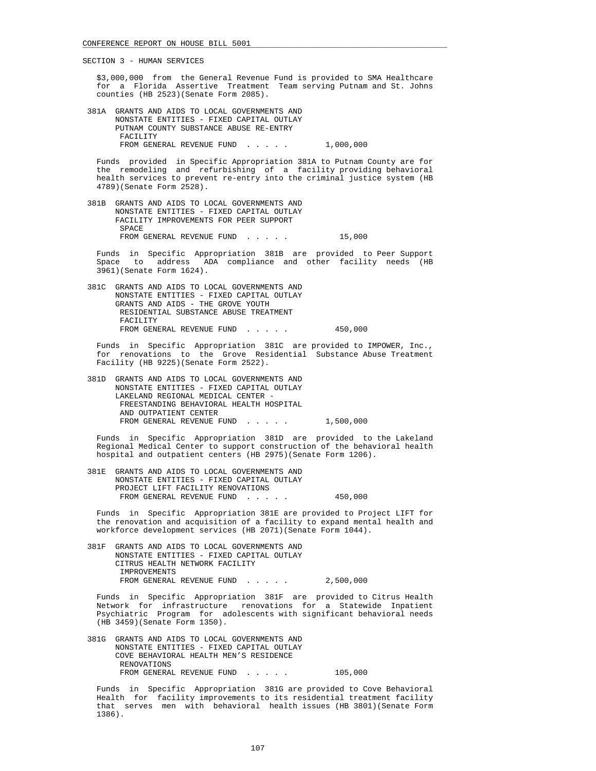\$3,000,000 from the General Revenue Fund is provided to SMA Healthcare for a Florida Assertive Treatment Team serving Putnam and St. Johns counties (HB 2523)(Senate Form 2085).

 381A GRANTS AND AIDS TO LOCAL GOVERNMENTS AND NONSTATE ENTITIES - FIXED CAPITAL OUTLAY PUTNAM COUNTY SUBSTANCE ABUSE RE-ENTRY FACILITY FROM GENERAL REVENUE FUND . . . . . 1,000,000

 Funds provided in Specific Appropriation 381A to Putnam County are for the remodeling and refurbishing of a facility providing behavioral health services to prevent re-entry into the criminal justice system (HB 4789)(Senate Form 2528).

 381B GRANTS AND AIDS TO LOCAL GOVERNMENTS AND NONSTATE ENTITIES - FIXED CAPITAL OUTLAY FACILITY IMPROVEMENTS FOR PEER SUPPORT SPACE FROM GENERAL REVENUE FUND . . . . . 15,000

Funds in Specific Appropriation 381B are provided to Peer-Support<br>Space to address ADA compliance and other facility needs (HR to address ADA compliance and other facility needs (HB 3961)(Senate Form 1624).

 381C GRANTS AND AIDS TO LOCAL GOVERNMENTS AND NONSTATE ENTITIES - FIXED CAPITAL OUTLAY GRANTS AND AIDS - THE GROVE YOUTH RESIDENTIAL SUBSTANCE ABUSE TREATMENT FACILITY FROM GENERAL REVENUE FUND . . . . . 450,000

 Funds in Specific Appropriation 381C are provided to IMPOWER, Inc., for renovations to the Grove Residential Substance Abuse Treatment Facility (HB 9225)(Senate Form 2522).

 381D GRANTS AND AIDS TO LOCAL GOVERNMENTS AND NONSTATE ENTITIES - FIXED CAPITAL OUTLAY LAKELAND REGIONAL MEDICAL CENTER - FREESTANDING BEHAVIORAL HEALTH HOSPITAL AND OUTPATIENT CENTER FROM GENERAL REVENUE FUND . . . . . 1,500,000

 Funds in Specific Appropriation 381D are provided to the Lakeland Regional Medical Center to support construction of the behavioral health hospital and outpatient centers (HB 2975)(Senate Form 1206).

 381E GRANTS AND AIDS TO LOCAL GOVERNMENTS AND NONSTATE ENTITIES - FIXED CAPITAL OUTLAY PROJECT LIFT FACILITY RENOVATIONS FROM GENERAL REVENUE FUND . . . . . 450,000

 Funds in Specific Appropriation 381E are provided to Project LIFT for the renovation and acquisition of a facility to expand mental health and workforce development services (HB 2071)(Senate Form 1044).

 381F GRANTS AND AIDS TO LOCAL GOVERNMENTS AND NONSTATE ENTITIES - FIXED CAPITAL OUTLAY CITRUS HEALTH NETWORK FACILITY IMPROVEMENTS FROM GENERAL REVENUE FUND . . . . . 2,500,000

 Funds in Specific Appropriation 381F are provided to Citrus Health Network for infrastructure renovations for a Statewide Inpatient Psychiatric Program for adolescents with significant behavioral needs (HB 3459)(Senate Form 1350).

 381G GRANTS AND AIDS TO LOCAL GOVERNMENTS AND NONSTATE ENTITIES - FIXED CAPITAL OUTLAY COVE BEHAVIORAL HEALTH MEN'S RESIDENCE RENOVATIONS FROM GENERAL REVENUE FUND . . . . . 105,000

 Funds in Specific Appropriation 381G are provided to Cove Behavioral Health for facility improvements to its residential treatment facility that serves men with behavioral health issues (HB 3801)(Senate Form 1386).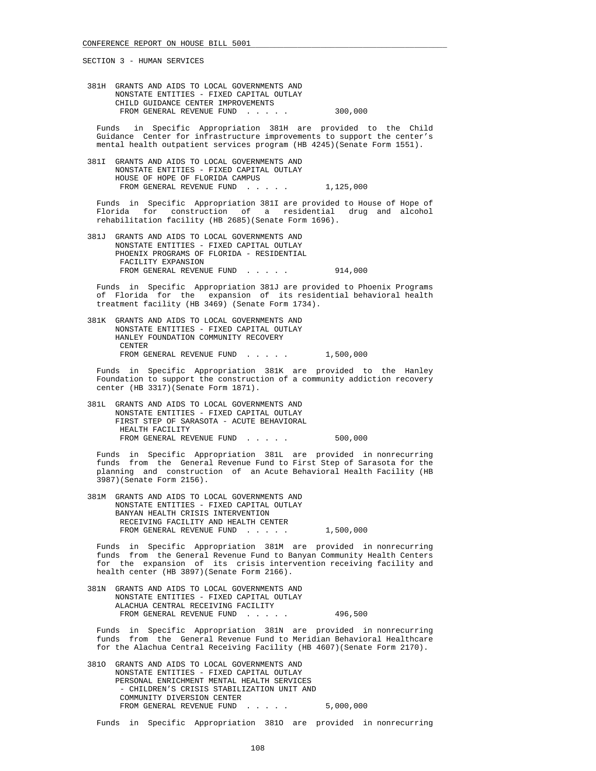381H GRANTS AND AIDS TO LOCAL GOVERNMENTS AND NONSTATE ENTITIES - FIXED CAPITAL OUTLAY CHILD GUIDANCE CENTER IMPROVEMENTS FROM GENERAL REVENUE FUND . . . . . 300.000

 Funds in Specific Appropriation 381H are provided to the Child Guidance Center for infrastructure improvements to support the center's mental health outpatient services program (HB 4245)(Senate Form 1551).

 381I GRANTS AND AIDS TO LOCAL GOVERNMENTS AND NONSTATE ENTITIES - FIXED CAPITAL OUTLAY HOUSE OF HOPE OF FLORIDA CAMPUS FROM GENERAL REVENUE FUND . . . . . 1,125,000

 Funds in Specific Appropriation 381I are provided to House of Hope of Florida for construction of a residential drug and alcohol rehabilitation facility (HB 2685)(Senate Form 1696).

 381J GRANTS AND AIDS TO LOCAL GOVERNMENTS AND NONSTATE ENTITIES - FIXED CAPITAL OUTLAY PHOENIX PROGRAMS OF FLORIDA - RESIDENTIAL FACILITY EXPANSION FROM GENERAL REVENUE FUND . . . . . 914,000

 Funds in Specific Appropriation 381J are provided to Phoenix Programs of Florida for the expansion of its residential behavioral health treatment facility (HB 3469) (Senate Form 1734).

 381K GRANTS AND AIDS TO LOCAL GOVERNMENTS AND NONSTATE ENTITIES - FIXED CAPITAL OUTLAY HANLEY FOUNDATION COMMUNITY RECOVERY CENTER FROM GENERAL REVENUE FUND . . . . . 1,500,000

 Funds in Specific Appropriation 381K are provided to the Hanley Foundation to support the construction of a community addiction recovery center (HB 3317)(Senate Form 1871).

 381L GRANTS AND AIDS TO LOCAL GOVERNMENTS AND NONSTATE ENTITIES - FIXED CAPITAL OUTLAY FIRST STEP OF SARASOTA - ACUTE BEHAVIORAL HEALTH FACILITY FROM GENERAL REVENUE FUND . . . . . 500,000

 Funds in Specific Appropriation 381L are provided in nonrecurring funds from the General Revenue Fund to First Step of Sarasota for the planning and construction of an Acute Behavioral Health Facility (HB 3987)(Senate Form 2156).

 381M GRANTS AND AIDS TO LOCAL GOVERNMENTS AND NONSTATE ENTITIES - FIXED CAPITAL OUTLAY BANYAN HEALTH CRISIS INTERVENTION RECEIVING FACILITY AND HEALTH CENTER FROM GENERAL REVENUE FUND . . . . . 1,500,000

 Funds in Specific Appropriation 381M are provided in nonrecurring funds from the General Revenue Fund to Banyan Community Health Centers for the expansion of its crisis intervention receiving facility and health center (HB 3897)(Senate Form 2166).

 381N GRANTS AND AIDS TO LOCAL GOVERNMENTS AND NONSTATE ENTITIES - FIXED CAPITAL OUTLAY ALACHUA CENTRAL RECEIVING FACILITY FROM GENERAL REVENUE FUND...... 496,500

 Funds in Specific Appropriation 381N are provided in nonrecurring funds from the General Revenue Fund to Meridian Behavioral Healthcare for the Alachua Central Receiving Facility (HB 4607)(Senate Form 2170).

 381O GRANTS AND AIDS TO LOCAL GOVERNMENTS AND NONSTATE ENTITIES - FIXED CAPITAL OUTLAY PERSONAL ENRICHMENT MENTAL HEALTH SERVICES - CHILDREN'S CRISIS STABILIZATION UNIT AND COMMUNITY DIVERSION CENTER FROM GENERAL REVENUE FUND . . . . . 5,000,000

Funds in Specific Appropriation 381O are provided in nonrecurring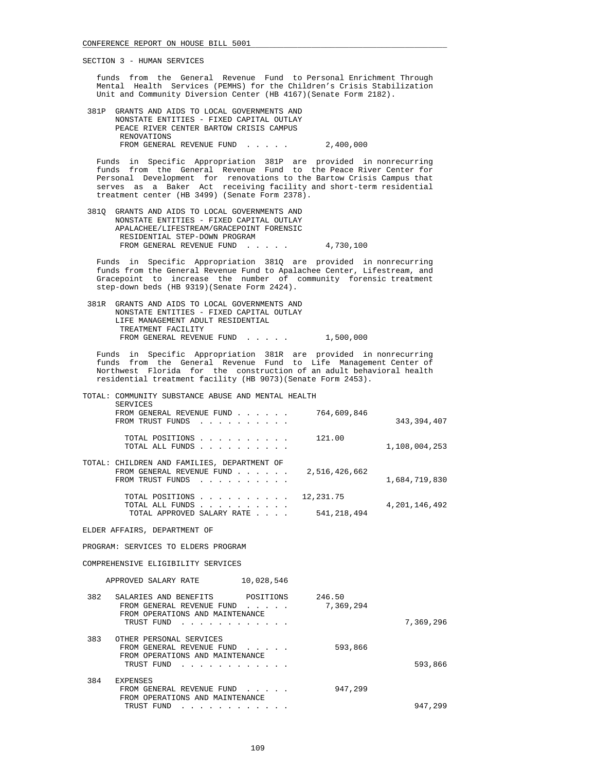funds from the General Revenue Fund to Personal Enrichment Through Mental Health Services (PEMHS) for the Children's Crisis Stabilization Unit and Community Diversion Center (HB 4167)(Senate Form 2182).

 381P GRANTS AND AIDS TO LOCAL GOVERNMENTS AND NONSTATE ENTITIES - FIXED CAPITAL OUTLAY PEACE RIVER CENTER BARTOW CRISIS CAMPUS RENOVATIONS FROM GENERAL REVENUE FUND . . . . . 2,400,000

 Funds in Specific Appropriation 381P are provided in nonrecurring funds from the General Revenue Fund to the Peace River Center for Personal Development for renovations to the Bartow Crisis Campus that serves as a Baker Act receiving facility and short-term residential treatment center (HB 3499) (Senate Form 2378).

 381Q GRANTS AND AIDS TO LOCAL GOVERNMENTS AND NONSTATE ENTITIES - FIXED CAPITAL OUTLAY APALACHEE/LIFESTREAM/GRACEPOINT FORENSIC RESIDENTIAL STEP-DOWN PROGRAM FROM GENERAL REVENUE FUND...... 4,730,100

 Funds in Specific Appropriation 381Q are provided in nonrecurring funds from the General Revenue Fund to Apalachee Center, Lifestream, and Gracepoint to increase the number of community forensic treatment step-down beds (HB 9319)(Senate Form 2424).

 381R GRANTS AND AIDS TO LOCAL GOVERNMENTS AND NONSTATE ENTITIES - FIXED CAPITAL OUTLAY LIFE MANAGEMENT ADULT RESIDENTIAL TREATMENT FACILITY FROM GENERAL REVENUE FUND . . . . . 1,500,000

 Funds in Specific Appropriation 381R are provided in nonrecurring funds from the General Revenue Fund to Life Management Center of Northwest Florida for the construction of an adult behavioral health residential treatment facility (HB 9073)(Senate Form 2453).

|     | TOTAL: COMMUNITY SUBSTANCE ABUSE AND MENTAL HEALTH<br><b>SERVICES</b>                                         |                     |                  |
|-----|---------------------------------------------------------------------------------------------------------------|---------------------|------------------|
|     | FROM GENERAL REVENUE FUND<br>FROM TRUST FUNDS                                                                 | 764,609,846         | 343,394,407      |
|     | TOTAL POSITIONS<br>TOTAL ALL FUNDS                                                                            | 121.00              | 1,108,004,253    |
|     | TOTAL: CHILDREN AND FAMILIES, DEPARTMENT OF<br>FROM GENERAL REVENUE FUND<br>FROM TRUST FUNDS                  | 2,516,426,662       | 1,684,719,830    |
|     | TOTAL POSITIONS 12,231.75                                                                                     |                     |                  |
|     | TOTAL ALL FUNDS<br>TOTAL APPROVED SALARY RATE                                                                 | 541,218,494         | 4, 201, 146, 492 |
|     | ELDER AFFAIRS, DEPARTMENT OF                                                                                  |                     |                  |
|     | PROGRAM: SERVICES TO ELDERS PROGRAM                                                                           |                     |                  |
|     | COMPREHENSIVE ELIGIBILITY SERVICES                                                                            |                     |                  |
|     | APPROVED SALARY RATE 10,028,546                                                                               |                     |                  |
| 382 | SALARIES AND BENEFITS POSITIONS<br>FROM GENERAL REVENUE FUND<br>FROM OPERATIONS AND MAINTENANCE<br>TRUST FUND | 246.50<br>7,369,294 | 7,369,296        |
|     | 383 OTHER PERSONAL SERVICES                                                                                   |                     |                  |
|     | FROM GENERAL REVENUE FUND<br>.<br>FROM OPERATIONS AND MAINTENANCE<br>TRUST FUND<br>.                          | 593,866             | 593,866          |
| 384 | <b>EXPENSES</b>                                                                                               |                     |                  |
|     | FROM GENERAL REVENUE FUND                                                                                     | 947,299             |                  |

TRUST FUND . . . . . . . . . . . . . . . . . . 947,299

FROM OPERATIONS AND MAINTENANCE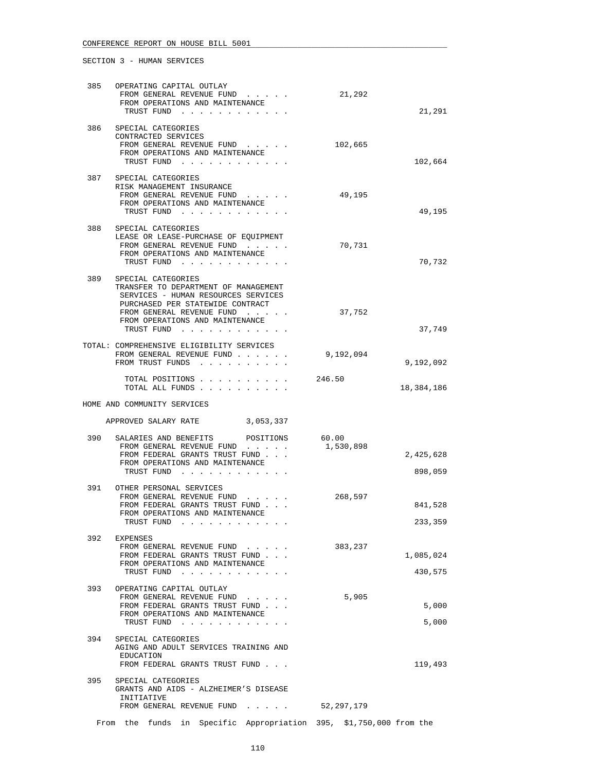| 385 | OPERATING CAPITAL OUTLAY<br>FROM GENERAL REVENUE FUND<br>FROM OPERATIONS AND MAINTENANCE<br>TRUST FUND                                                                                                              | 21,292             | 21,291               |
|-----|---------------------------------------------------------------------------------------------------------------------------------------------------------------------------------------------------------------------|--------------------|----------------------|
| 386 | SPECIAL CATEGORIES<br>CONTRACTED SERVICES<br>FROM GENERAL REVENUE FUND<br>FROM OPERATIONS AND MAINTENANCE<br>TRUST FUND                                                                                             | 102,665            | 102,664              |
| 387 | SPECIAL CATEGORIES<br>RISK MANAGEMENT INSURANCE<br>FROM GENERAL REVENUE FUND<br>FROM OPERATIONS AND MAINTENANCE<br>TRUST FUND                                                                                       | 49,195             | 49,195               |
| 388 | SPECIAL CATEGORIES<br>LEASE OR LEASE-PURCHASE OF EQUIPMENT<br>FROM GENERAL REVENUE FUND<br>FROM OPERATIONS AND MAINTENANCE<br>TRUST FUND                                                                            | 70,731             | 70,732               |
| 389 | SPECIAL CATEGORIES<br>TRANSFER TO DEPARTMENT OF MANAGEMENT<br>SERVICES - HUMAN RESOURCES SERVICES<br>PURCHASED PER STATEWIDE CONTRACT<br>FROM GENERAL REVENUE FUND<br>FROM OPERATIONS AND MAINTENANCE<br>TRUST FUND | 37,752             | 37,749               |
|     | TOTAL: COMPREHENSIVE ELIGIBILITY SERVICES<br>FROM GENERAL REVENUE FUND<br>FROM TRUST FUNDS                                                                                                                          | 9,192,094          | 9,192,092            |
|     | TOTAL POSITIONS<br>TOTAL ALL FUNDS                                                                                                                                                                                  | 246.50             | 18,384,186           |
|     | HOME AND COMMUNITY SERVICES                                                                                                                                                                                         |                    |                      |
|     | APPROVED SALARY RATE 3,053,337                                                                                                                                                                                      |                    |                      |
| 390 | SALARIES AND BENEFITS POSITIONS<br>FROM GENERAL REVENUE FUND<br>FROM FEDERAL GRANTS TRUST FUND<br>FROM OPERATIONS AND MAINTENANCE<br>TRUST FUND                                                                     | 60.00<br>1,530,898 | 2,425,628<br>898,059 |
| 391 | OTHER PERSONAL SERVICES<br>FROM GENERAL REVENUE FUND<br>FROM FEDERAL GRANTS TRUST FUND<br>FROM OPERATIONS AND MAINTENANCE<br>TRUST FUND                                                                             | 268,597            | 841,528<br>233,359   |
| 392 | EXPENSES<br>FROM GENERAL REVENUE FUND<br>FROM FEDERAL GRANTS TRUST FUND<br>FROM OPERATIONS AND MAINTENANCE<br>TRUST FUND                                                                                            | 383,237            | 1,085,024<br>430,575 |
| 393 | OPERATING CAPITAL OUTLAY<br>FROM GENERAL REVENUE FUND<br>FROM FEDERAL GRANTS TRUST FUND<br>FROM OPERATIONS AND MAINTENANCE<br>TRUST FUND                                                                            | 5,905              | 5,000<br>5,000       |
| 394 | SPECIAL CATEGORIES<br>AGING AND ADULT SERVICES TRAINING AND<br>EDUCATION<br>FROM FEDERAL GRANTS TRUST FUND                                                                                                          |                    | 119,493              |
| 395 | SPECIAL CATEGORIES<br>GRANTS AND AIDS - ALZHEIMER'S DISEASE<br>INITIATIVE<br>FROM GENERAL REVENUE FUND                                                                                                              | 52,297,179         |                      |
|     | From the funds in Specific Appropriation 395, \$1,750,000 from the                                                                                                                                                  |                    |                      |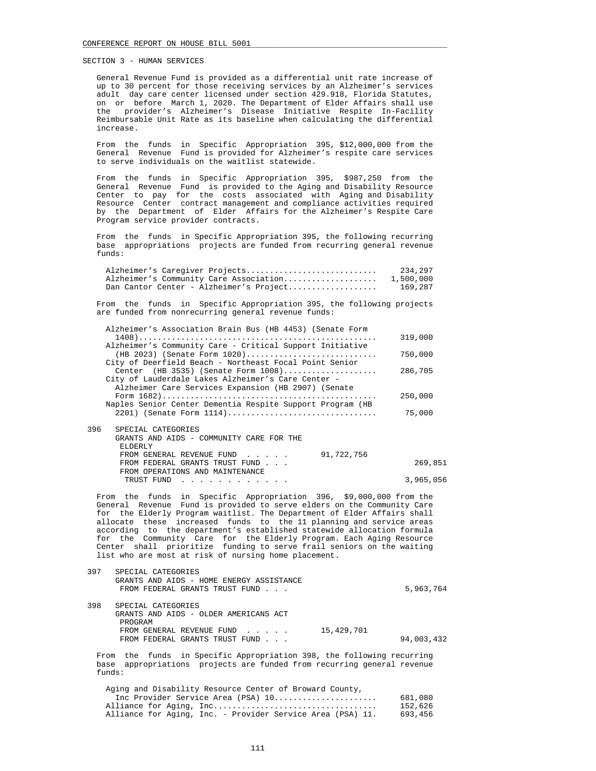General Revenue Fund is provided as a differential unit rate increase of up to 30 percent for those receiving services by an Alzheimer's services adult day care center licensed under section 429.918, Florida Statutes, on or before March 1, 2020. The Department of Elder Affairs shall use the provider's Alzheimer's Disease Initiative Respite In-Facility Reimbursable Unit Rate as its baseline when calculating the differential increase.

 From the funds in Specific Appropriation 395, \$12,000,000 from the General Revenue Fund is provided for Alzheimer's respite care services to serve individuals on the waitlist statewide.

 From the funds in Specific Appropriation 395, \$987,250 from the General Revenue Fund is provided to the Aging and Disability Resource Center to pay for the costs associated with Aging and Disability Resource Center contract management and compliance activities required by the Department of Elder Affairs for the Alzheimer's Respite Care Program service provider contracts.

 From the funds in Specific Appropriation 395, the following recurring base appropriations projects are funded from recurring general revenue funds:

| Alzheimer's Caregiver Projects          | 234,297   |
|-----------------------------------------|-----------|
| Alzheimer's Community Care Association  | 1,500,000 |
| Dan Cantor Center - Alzheimer's Project | 169,287   |

 From the funds in Specific Appropriation 395, the following projects are funded from nonrecurring general revenue funds:

| 91,722,756<br>FROM GENERAL REVENUE FUND<br>FROM FEDERAL GRANTS TRUST FUND                                 | 269,851 |
|-----------------------------------------------------------------------------------------------------------|---------|
| GRANTS AND AIDS - COMMUNITY CARE FOR THE<br>ELDERLY                                                       |         |
| 396<br>SPECIAL CATEGORIES                                                                                 |         |
| Naples Senior Center Dementia Respite Support Program (HB<br>2201) (Senate Form 1114)                     | 75,000  |
|                                                                                                           | 250,000 |
| City of Lauderdale Lakes Alzheimer's Care Center -<br>Alzheimer Care Services Expansion (HB 2907) (Senate |         |
| City of Deerfield Beach - Northeast Focal Point Senior<br>Center (HB 3535) (Senate Form $1008)$           | 286,705 |
| (HB 2023) (Senate Form $1020)$                                                                            | 750,000 |
| Alzheimer's Community Care - Critical Support Initiative                                                  | 319,000 |
| Alzheimer's Association Brain Bus (HB 4453) (Senate Form                                                  |         |

 FROM OPERATIONS AND MAINTENANCE TRUST FUND . . . . . . . . . . . . 3,965,056

 From the funds in Specific Appropriation 396, \$9,000,000 from the General Revenue Fund is provided to serve elders on the Community Care for the Elderly Program waitlist. The Department of Elder Affairs shall allocate these increased funds to the 11 planning and service areas according to the department's established statewide allocation formula for the Community Care for the Elderly Program. Each Aging Resource Center shall prioritize funding to serve frail seniors on the waiting list who are most at risk of nursing home placement.

| 397 | SPECIAL CATEGORIES                       |            |
|-----|------------------------------------------|------------|
|     | GRANTS AND AIDS - HOME ENERGY ASSISTANCE |            |
|     | FROM FEDERAL GRANTS TRUST FUND           | 5,963,764  |
|     |                                          |            |
| 398 | SPECIAL CATEGORIES                       |            |
|     | GRANTS AND AIDS - OLDER AMERICANS ACT    |            |
|     | PROGRAM                                  |            |
|     | 15,429,701<br>FROM GENERAL REVENUE FUND  |            |
|     | FROM FEDERAL GRANTS TRUST FUND           | 94,003,432 |
|     |                                          |            |

 From the funds in Specific Appropriation 398, the following recurring base appropriations projects are funded from recurring general revenue funds:

| Aging and Disability Resource Center of Broward County,    |         |
|------------------------------------------------------------|---------|
| Inc Provider Service Area (PSA) 10                         | 681,080 |
|                                                            | 152,626 |
| Alliance for Aging, Inc. - Provider Service Area (PSA) 11. | 693,456 |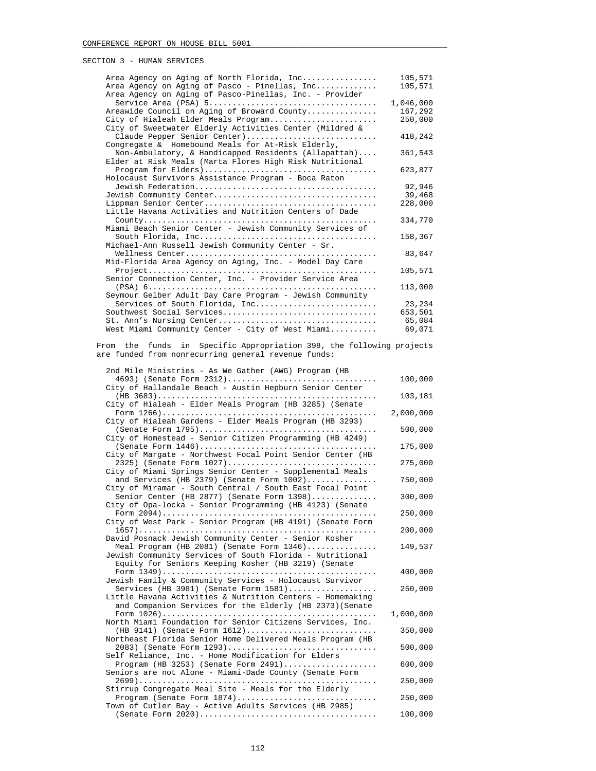| Area Agency on Aging of North Florida, Inc               | 105,571   |
|----------------------------------------------------------|-----------|
| Area Agency on Aging of Pasco - Pinellas, Inc            | 105,571   |
| Area Agency on Aging of Pasco-Pinellas, Inc. - Provider  |           |
|                                                          | 1,046,000 |
| Areawide Council on Aging of Broward County              | 167,292   |
| City of Hialeah Elder Meals Program                      | 250,000   |
| City of Sweetwater Elderly Activities Center (Mildred &  |           |
| Claude Pepper Senior Center)                             | 418,242   |
| Congregate & Homebound Meals for At-Risk Elderly,        |           |
| Non-Ambulatory, & Handicapped Residents (Allapattah)     | 361,543   |
| Elder at Risk Meals (Marta Flores High Risk Nutritional  |           |
|                                                          | 623,877   |
| Holocaust Survivors Assistance Program - Boca Raton      |           |
|                                                          | 92,946    |
|                                                          | 39,468    |
|                                                          | 228,000   |
| Little Havana Activities and Nutrition Centers of Dade   |           |
|                                                          | 334,770   |
| Miami Beach Senior Center - Jewish Community Services of |           |
|                                                          | 158,367   |
| Michael-Ann Russell Jewish Community Center - Sr.        |           |
|                                                          | 83,647    |
| Mid-Florida Area Agency on Aging, Inc. - Model Day Care  |           |
|                                                          | 105,571   |
| Senior Connection Center, Inc. - Provider Service Area   |           |
|                                                          | 113,000   |
| Seymour Gelber Adult Day Care Program - Jewish Community |           |
| Services of South Florida, Inc                           | 23,234    |
| Southwest Social Services                                | 653,501   |
| St. Ann's Nursing Center                                 | 65,084    |
| West Miami Community Center - City of West Miami         | 69,071    |

## From the funds in Specific Appropriation 398, the following projects are funded from nonrecurring general revenue funds:

| 2nd Mile Ministries - As We Gather (AWG) Program (HB                                                            |           |
|-----------------------------------------------------------------------------------------------------------------|-----------|
| 4693) (Senate Form 2312)                                                                                        | 100,000   |
| City of Hallandale Beach - Austin Hepburn Senior Center                                                         |           |
|                                                                                                                 | 103,181   |
| City of Hialeah - Elder Meals Program (HB 3285) (Senate                                                         |           |
|                                                                                                                 | 2,000,000 |
| City of Hialeah Gardens - Elder Meals Program (HB 3293)                                                         |           |
|                                                                                                                 | 500,000   |
| City of Homestead - Senior Citizen Programming (HB 4249)                                                        |           |
| City of Margate - Northwest Focal Point Senior Center (HB                                                       | 175,000   |
| 2325) (Senate Form 1027)                                                                                        | 275,000   |
| City of Miami Springs Senior Center - Supplemental Meals                                                        |           |
| and Services (HB 2379) (Senate Form 1002)                                                                       | 750,000   |
| City of Miramar - South Central / South East Focal Point                                                        |           |
| Senior Center (HB 2877) (Senate Form 1398)                                                                      | 300,000   |
| City of Opa-locka - Senior Programming (HB 4123) (Senate                                                        |           |
|                                                                                                                 | 250,000   |
| City of West Park - Senior Program (HB 4191) (Senate Form                                                       |           |
|                                                                                                                 | 200,000   |
| David Posnack Jewish Community Center - Senior Kosher                                                           |           |
| Meal Program (HB 2081) (Senate Form 1346)                                                                       | 149,537   |
| Jewish Community Services of South Florida - Nutritional<br>Equity for Seniors Keeping Kosher (HB 3219) (Senate |           |
|                                                                                                                 | 400,000   |
| Jewish Family & Community Services - Holocaust Survivor                                                         |           |
| Services (HB 3981) (Senate Form $1581)$                                                                         | 250,000   |
| Little Havana Activities & Nutrition Centers - Homemaking                                                       |           |
| and Companion Services for the Elderly (HB 2373) (Senate                                                        |           |
|                                                                                                                 | 1,000,000 |
| North Miami Foundation for Senior Citizens Services, Inc.                                                       |           |
| (HB 9141) (Senate Form 1612)                                                                                    | 350,000   |
| Northeast Florida Senior Home Delivered Meals Program (HB                                                       | 500,000   |
| 2083) (Senate Form 1293)<br>Self Reliance, Inc. - Home Modification for Elders                                  |           |
| Program (HB 3253) (Senate Form 2491)                                                                            | 600,000   |
| Seniors are not Alone - Miami-Dade County (Senate Form                                                          |           |
|                                                                                                                 | 250,000   |
| Stirrup Congregate Meal Site - Meals for the Elderly                                                            |           |
| Program (Senate Form 1874)                                                                                      | 250,000   |
| Town of Cutler Bay - Active Adults Services (HB 2985)                                                           |           |
|                                                                                                                 | 100,000   |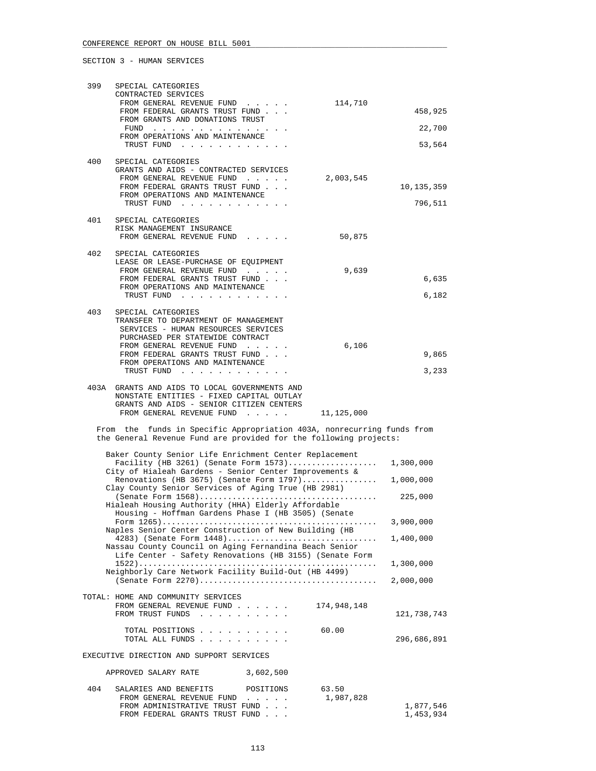| 399 | SPECIAL CATEGORIES                                                                                                                                                                                                                                    |                        |
|-----|-------------------------------------------------------------------------------------------------------------------------------------------------------------------------------------------------------------------------------------------------------|------------------------|
|     | CONTRACTED SERVICES<br>FROM GENERAL REVENUE FUND<br>114,710                                                                                                                                                                                           |                        |
|     | FROM FEDERAL GRANTS TRUST FUND                                                                                                                                                                                                                        | 458,925                |
|     | FROM GRANTS AND DONATIONS TRUST                                                                                                                                                                                                                       | 22,700                 |
|     | FROM OPERATIONS AND MAINTENANCE                                                                                                                                                                                                                       |                        |
|     | TRUST FUND                                                                                                                                                                                                                                            | 53,564                 |
| 400 | SPECIAL CATEGORIES                                                                                                                                                                                                                                    |                        |
|     | GRANTS AND AIDS - CONTRACTED SERVICES<br>FROM GENERAL REVENUE FUND<br>2,003,545                                                                                                                                                                       |                        |
|     | FROM FEDERAL GRANTS TRUST FUND<br>FROM OPERATIONS AND MAINTENANCE                                                                                                                                                                                     | 10,135,359             |
|     | TRUST FUND                                                                                                                                                                                                                                            | 796,511                |
| 401 | SPECIAL CATEGORIES                                                                                                                                                                                                                                    |                        |
|     | RISK MANAGEMENT INSURANCE                                                                                                                                                                                                                             |                        |
|     | FROM GENERAL REVENUE FUND<br>50,875                                                                                                                                                                                                                   |                        |
| 402 | SPECIAL CATEGORIES                                                                                                                                                                                                                                    |                        |
|     | LEASE OR LEASE-PURCHASE OF EQUIPMENT<br>9,639<br>FROM GENERAL REVENUE FUND                                                                                                                                                                            |                        |
|     | FROM FEDERAL GRANTS TRUST FUND                                                                                                                                                                                                                        | 6,635                  |
|     | FROM OPERATIONS AND MAINTENANCE<br>TRUST FUND                                                                                                                                                                                                         | 6,182                  |
|     |                                                                                                                                                                                                                                                       |                        |
| 403 | SPECIAL CATEGORIES<br>TRANSFER TO DEPARTMENT OF MANAGEMENT                                                                                                                                                                                            |                        |
|     | SERVICES - HUMAN RESOURCES SERVICES                                                                                                                                                                                                                   |                        |
|     | PURCHASED PER STATEWIDE CONTRACT<br>FROM GENERAL REVENUE FUND<br>6,106                                                                                                                                                                                |                        |
|     | FROM FEDERAL GRANTS TRUST FUND                                                                                                                                                                                                                        | 9,865                  |
|     | FROM OPERATIONS AND MAINTENANCE<br>TRUST FUND                                                                                                                                                                                                         | 3,233                  |
|     |                                                                                                                                                                                                                                                       |                        |
|     | 403A GRANTS AND AIDS TO LOCAL GOVERNMENTS AND<br>NONSTATE ENTITIES - FIXED CAPITAL OUTLAY                                                                                                                                                             |                        |
|     | GRANTS AND AIDS - SENIOR CITIZEN CENTERS<br>FROM GENERAL REVENUE FUND 11,125,000                                                                                                                                                                      |                        |
|     |                                                                                                                                                                                                                                                       |                        |
|     | From the funds in Specific Appropriation 403A, nonrecurring funds from<br>the General Revenue Fund are provided for the following projects:                                                                                                           |                        |
|     |                                                                                                                                                                                                                                                       |                        |
|     | Baker County Senior Life Enrichment Center Replacement<br>Facility (HB 3261) (Senate Form 1573) 1,300,000                                                                                                                                             |                        |
|     | City of Hialeah Gardens - Senior Center Improvements &                                                                                                                                                                                                |                        |
|     | Renovations (HB 3675) (Senate Form 1797) 1,000,000<br>Clay County Senior Services of Aging True (HB 2981)                                                                                                                                             |                        |
|     |                                                                                                                                                                                                                                                       | 225,000                |
|     | Hialeah Housing Authority (HHA) Elderly Affordable<br>Housing - Hoffman Gardens Phase I (HB 3505) (Senate                                                                                                                                             |                        |
|     | Naples Senior Center Construction of New Building (HB                                                                                                                                                                                                 | 3,900,000              |
|     | 4283) (Senate Form 1448)                                                                                                                                                                                                                              | 1,400,000              |
|     | Nassau County Council on Aging Fernandina Beach Senior<br>Life Center - Safety Renovations (HB 3155) (Senate Form                                                                                                                                     |                        |
|     |                                                                                                                                                                                                                                                       | 1,300,000              |
|     | Neighborly Care Network Facility Build-Out (HB 4499)                                                                                                                                                                                                  | 2,000,000              |
|     |                                                                                                                                                                                                                                                       |                        |
|     | TOTAL: HOME AND COMMUNITY SERVICES<br>174,948,148<br>FROM GENERAL REVENUE FUND                                                                                                                                                                        |                        |
|     | FROM TRUST FUNDS<br>$\mathbf{r}$ . The set of the set of the set of the set of the set of the set of the set of the set of the set of the set of the set of the set of the set of the set of the set of the set of the set of the set of the set of t | 121,738,743            |
|     | 60.00<br>TOTAL POSITIONS                                                                                                                                                                                                                              |                        |
|     | TOTAL ALL FUNDS                                                                                                                                                                                                                                       | 296,686,891            |
|     | EXECUTIVE DIRECTION AND SUPPORT SERVICES                                                                                                                                                                                                              |                        |
|     | APPROVED SALARY RATE<br>3,602,500                                                                                                                                                                                                                     |                        |
| 404 | SALARIES AND BENEFITS<br>63.50<br>POSITIONS                                                                                                                                                                                                           |                        |
|     | 1,987,828<br>FROM GENERAL REVENUE FUND                                                                                                                                                                                                                |                        |
|     | FROM ADMINISTRATIVE TRUST FUND<br>FROM FEDERAL GRANTS TRUST FUND                                                                                                                                                                                      | 1,877,546<br>1,453,934 |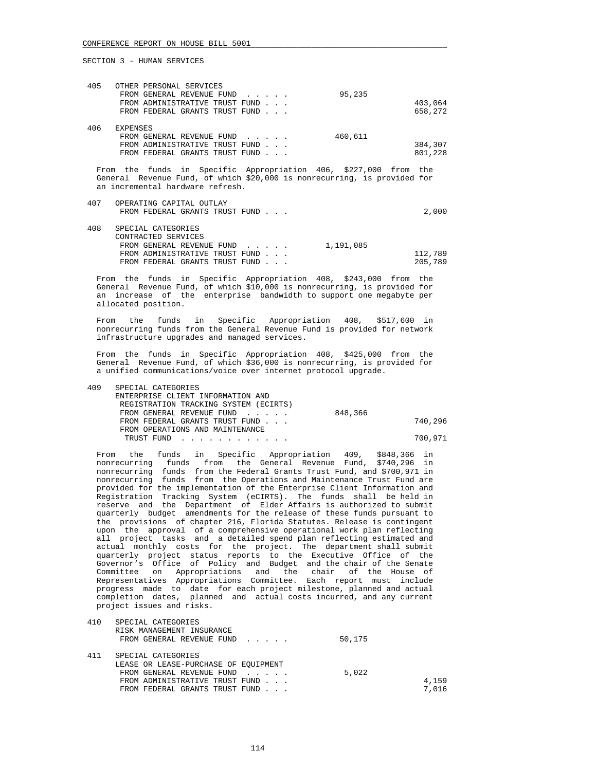an incremental hardware refresh.

SECTION 3 - HUMAN SERVICES

| 405 | OTHER PERSONAL SERVICES        |                                                                          |         |
|-----|--------------------------------|--------------------------------------------------------------------------|---------|
|     | FROM GENERAL REVENUE FUND      | 95,235                                                                   |         |
|     | FROM ADMINISTRATIVE TRUST FUND |                                                                          | 403,064 |
|     | FROM FEDERAL GRANTS TRUST FUND |                                                                          | 658,272 |
| 406 | <b>EXPENSES</b>                |                                                                          |         |
|     | FROM GENERAL REVENUE FUND      | 460,611                                                                  |         |
|     | FROM ADMINISTRATIVE TRUST FUND |                                                                          | 384,307 |
|     | FROM FEDERAL GRANTS TRUST FUND |                                                                          | 801,228 |
|     |                                | From the funds in Specific Appropriation 406, \$227,000 from the         |         |
|     |                                | General Revenue Fund, of which \$20,000 is nonrecurring, is provided for |         |

 407 OPERATING CAPITAL OUTLAY FROM FEDERAL GRANTS TRUST FUND . . . 2,000

| 408 | SPECIAL CATEGORIES             |           |         |
|-----|--------------------------------|-----------|---------|
|     | CONTRACTED SERVICES            |           |         |
|     | FROM GENERAL REVENUE FUND      | 1,191,085 |         |
|     | FROM ADMINISTRATIVE TRUST FUND |           | 112,789 |
|     | FROM FEDERAL GRANTS TRUST FUND |           | 205,789 |

 From the funds in Specific Appropriation 408, \$243,000 from the General Revenue Fund, of which \$10,000 is nonrecurring, is provided for an increase of the enterprise bandwidth to support one megabyte per allocated position.

 From the funds in Specific Appropriation 408, \$517,600 in nonrecurring funds from the General Revenue Fund is provided for network infrastructure upgrades and managed services.

 From the funds in Specific Appropriation 408, \$425,000 from the General Revenue Fund, of which \$36,000 is nonrecurring, is provided for a unified communications/voice over internet protocol upgrade.

| 409 | SPECIAL CATEGORIES                    |         |         |
|-----|---------------------------------------|---------|---------|
|     | ENTERPRISE CLIENT INFORMATION AND     |         |         |
|     | REGISTRATION TRACKING SYSTEM (ECIRTS) |         |         |
|     | FROM GENERAL REVENUE FUND             | 848,366 |         |
|     | FROM FEDERAL GRANTS TRUST FUND        |         | 740,296 |
|     | FROM OPERATIONS AND MAINTENANCE       |         |         |
|     | TRUST FUND                            |         | 700,971 |

 From the funds in Specific Appropriation 409, \$848,366 in nonrecurring funds from the General Revenue Fund, \$740,296 in nonrecurring funds from the Federal Grants Trust Fund, and \$700,971 in nonrecurring funds from the Operations and Maintenance Trust Fund are provided for the implementation of the Enterprise Client Information and Registration Tracking System (eCIRTS). The funds shall be held in reserve and the Department of Elder Affairs is authorized to submit quarterly budget amendments for the release of these funds pursuant to the provisions of chapter 216, Florida Statutes. Release is contingent upon the approval of a comprehensive operational work plan reflecting all project tasks and a detailed spend plan reflecting estimated and actual monthly costs for the project. The department shall submit quarterly project status reports to the Executive Office of the Governor's Office of Policy and Budget and the chair of the Senate Committee on Appropriations and the chair of the House of Representatives Appropriations Committee. Each report must include progress made to date for each project milestone, planned and actual completion dates, planned and actual costs incurred, and any current project issues and risks.

| 410 | SPECIAL CATEGORIES                   |        |       |
|-----|--------------------------------------|--------|-------|
|     | RISK MANAGEMENT INSURANCE            |        |       |
|     | FROM GENERAL REVENUE FUND            | 50,175 |       |
|     |                                      |        |       |
| 411 | SPECIAL CATEGORIES                   |        |       |
|     | LEASE OR LEASE-PURCHASE OF EOUIPMENT |        |       |
|     | FROM GENERAL REVENUE FUND            | 5,022  |       |
|     | FROM ADMINISTRATIVE TRUST FUND       |        | 4,159 |
|     | FROM FEDERAL GRANTS TRUST FUND       |        | 7,016 |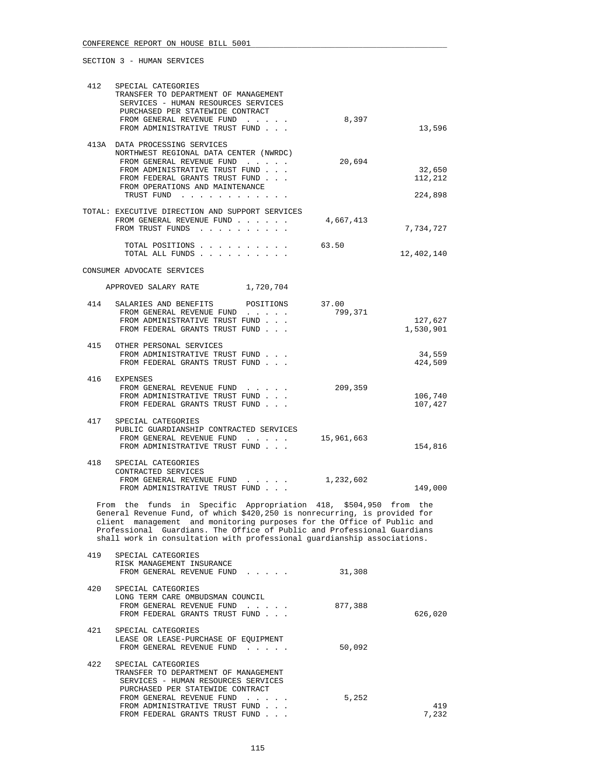| 412 | SPECIAL CATEGORIES<br>TRANSFER TO DEPARTMENT OF MANAGEMENT<br>SERVICES - HUMAN RESOURCES SERVICES<br>PURCHASED PER STATEWIDE CONTRACT<br>FROM GENERAL REVENUE FUND<br>FROM ADMINISTRATIVE TRUST FUND                                                                                                                                                                          | 8,397            | 13,596               |
|-----|-------------------------------------------------------------------------------------------------------------------------------------------------------------------------------------------------------------------------------------------------------------------------------------------------------------------------------------------------------------------------------|------------------|----------------------|
|     | 413A DATA PROCESSING SERVICES<br>NORTHWEST REGIONAL DATA CENTER (NWRDC)<br>FROM GENERAL REVENUE FUND<br>FROM ADMINISTRATIVE TRUST FUND<br>FROM FEDERAL GRANTS TRUST FUND<br>FROM OPERATIONS AND MAINTENANCE                                                                                                                                                                   | 20,694           | 32,650<br>112,212    |
|     | TRUST FUND<br>TOTAL: EXECUTIVE DIRECTION AND SUPPORT SERVICES<br>FROM GENERAL REVENUE FUND<br>FROM TRUST FUNDS                                                                                                                                                                                                                                                                | 4,667,413        | 224,898<br>7,734,727 |
|     | TOTAL POSITIONS                                                                                                                                                                                                                                                                                                                                                               | 63.50            | 12,402,140           |
|     | CONSUMER ADVOCATE SERVICES<br>APPROVED SALARY RATE 1,720,704                                                                                                                                                                                                                                                                                                                  |                  |                      |
| 414 | SALARIES AND BENEFITS<br>POSITIONS<br>FROM GENERAL REVENUE FUND<br>FROM ADMINISTRATIVE TRUST FUND<br>FROM FEDERAL GRANTS TRUST FUND                                                                                                                                                                                                                                           | 37.00<br>799,371 | 127,627<br>1,530,901 |
| 415 | OTHER PERSONAL SERVICES<br>FROM ADMINISTRATIVE TRUST FUND<br>FROM FEDERAL GRANTS TRUST FUND                                                                                                                                                                                                                                                                                   |                  | 34,559<br>424,509    |
| 416 | EXPENSES<br>FROM GENERAL REVENUE FUND<br>FROM ADMINISTRATIVE TRUST FUND<br>FROM FEDERAL GRANTS TRUST FUND                                                                                                                                                                                                                                                                     | 209,359          | 106,740<br>107,427   |
| 417 | SPECIAL CATEGORIES<br>PUBLIC GUARDIANSHIP CONTRACTED SERVICES<br>FROM GENERAL REVENUE FUND<br>FROM ADMINISTRATIVE TRUST FUND                                                                                                                                                                                                                                                  | 15,961,663       | 154,816              |
| 418 | SPECIAL CATEGORIES<br>CONTRACTED SERVICES<br>FROM GENERAL REVENUE FUND<br>FROM ADMINISTRATIVE TRUST FUND                                                                                                                                                                                                                                                                      | 1,232,602        | 149,000              |
|     | From the funds in Specific Appropriation 418, \$504,950 from the<br>General Revenue Fund, of which \$420,250 is nonrecurring, is provided for<br>client management and monitoring purposes for the Office of Public and<br>Professional Guardians. The Office of Public and Professional Guardians<br>shall work in consultation with professional quardianship associations. |                  |                      |
| 419 | SPECIAL CATEGORIES<br>RISK MANAGEMENT INSURANCE<br>FROM GENERAL REVENUE FUND                                                                                                                                                                                                                                                                                                  | 31,308           |                      |
| 420 | SPECIAL CATEGORIES<br>LONG TERM CARE OMBUDSMAN COUNCIL<br>FROM GENERAL REVENUE FUND<br>FROM FEDERAL GRANTS TRUST FUND                                                                                                                                                                                                                                                         | 877,388          | 626,020              |
| 421 | SPECIAL CATEGORIES<br>LEASE OR LEASE-PURCHASE OF EQUIPMENT<br>FROM GENERAL REVENUE FUND                                                                                                                                                                                                                                                                                       | 50,092           |                      |
| 422 | SPECIAL CATEGORIES<br>TRANSFER TO DEPARTMENT OF MANAGEMENT<br>SERVICES - HUMAN RESOURCES SERVICES<br>PURCHASED PER STATEWIDE CONTRACT<br>FROM GENERAL REVENUE FUND<br>FROM ADMINISTRATIVE TRUST FUND<br>FROM FEDERAL GRANTS TRUST FUND                                                                                                                                        | 5,252            | 419<br>7,232         |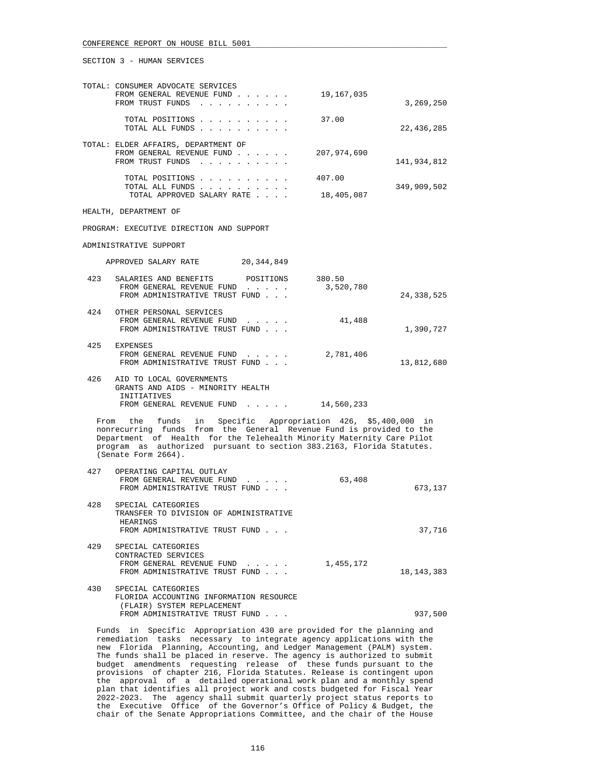|     | TOTAL: CONSUMER ADVOCATE SERVICES<br>FROM GENERAL REVENUE FUND<br>FROM TRUST FUNDS                                                                                                                                                                                                                           | 19,167,035           | 3,269,250    |
|-----|--------------------------------------------------------------------------------------------------------------------------------------------------------------------------------------------------------------------------------------------------------------------------------------------------------------|----------------------|--------------|
|     | TOTAL POSITIONS<br>TOTAL ALL FUNDS                                                                                                                                                                                                                                                                           | 37.00                | 22,436,285   |
|     | TOTAL: ELDER AFFAIRS, DEPARTMENT OF<br>FROM GENERAL REVENUE FUND<br>FROM TRUST FUNDS                                                                                                                                                                                                                         | 207,974,690          | 141,934,812  |
|     | TOTAL POSITIONS<br>TOTAL ALL FUNDS<br>TOTAL APPROVED SALARY RATE                                                                                                                                                                                                                                             | 407.00<br>18,405,087 | 349,909,502  |
|     | HEALTH, DEPARTMENT OF                                                                                                                                                                                                                                                                                        |                      |              |
|     | PROGRAM: EXECUTIVE DIRECTION AND SUPPORT                                                                                                                                                                                                                                                                     |                      |              |
|     | ADMINISTRATIVE SUPPORT                                                                                                                                                                                                                                                                                       |                      |              |
|     | APPROVED SALARY RATE 20,344,849                                                                                                                                                                                                                                                                              |                      |              |
| 423 | SALARIES AND BENEFITS POSITIONS 380.50<br>FROM GENERAL REVENUE FUND<br>FROM ADMINISTRATIVE TRUST FUND                                                                                                                                                                                                        | 3,520,780            | 24,338,525   |
| 424 | OTHER PERSONAL SERVICES<br>FROM GENERAL REVENUE FUND<br>FROM ADMINISTRATIVE TRUST FUND                                                                                                                                                                                                                       | 41,488               | 1,390,727    |
|     | 425 EXPENSES<br>FROM GENERAL REVENUE FUND<br>FROM ADMINISTRATIVE TRUST FUND                                                                                                                                                                                                                                  | 2,781,406            | 13,812,680   |
| 426 | AID TO LOCAL GOVERNMENTS<br>GRANTS AND AIDS - MINORITY HEALTH<br>INITIATIVES<br>FROM GENERAL REVENUE FUND 14,560,233                                                                                                                                                                                         |                      |              |
|     | From the funds in Specific Appropriation 426, \$5,400,000 in<br>nonrecurring funds from the General Revenue Fund is provided to the<br>Department of Health for the Telehealth Minority Maternity Care Pilot<br>program as authorized pursuant to section 383.2163, Florida Statutes.<br>(Senate Form 2664). |                      |              |
| 427 | OPERATING CAPITAL OUTLAY<br>FROM GENERAL REVENUE FUND<br>FROM ADMINISTRATIVE TRUST FUND                                                                                                                                                                                                                      | 63,408               | 673,137      |
| 428 | SPECIAL CATEGORIES<br>TRANSFER TO DIVISION OF ADMINISTRATIVE<br>HEARINGS<br>FROM ADMINISTRATIVE TRUST FUND                                                                                                                                                                                                   |                      | 37,716       |
| 429 | SPECIAL CATEGORIES<br>CONTRACTED SERVICES<br>FROM GENERAL REVENUE FUND<br>FROM ADMINISTRATIVE TRUST FUND                                                                                                                                                                                                     | 1,455,172            | 18, 143, 383 |
| 430 | SPECIAL CATEGORIES<br>FLORIDA ACCOUNTING INFORMATION RESOURCE<br>(FLAIR) SYSTEM REPLACEMENT<br>FROM ADMINISTRATIVE TRUST FUND                                                                                                                                                                                |                      | 937,500      |
|     |                                                                                                                                                                                                                                                                                                              |                      |              |

 Funds in Specific Appropriation 430 are provided for the planning and remediation tasks necessary to integrate agency applications with the new Florida Planning, Accounting, and Ledger Management (PALM) system. The funds shall be placed in reserve. The agency is authorized to submit budget amendments requesting release of these funds pursuant to the provisions of chapter 216, Florida Statutes. Release is contingent upon the approval of a detailed operational work plan and a monthly spend plan that identifies all project work and costs budgeted for Fiscal Year 2022-2023. The agency shall submit quarterly project status reports to the Executive Office of the Governor's Office of Policy & Budget, the chair of the Senate Appropriations Committee, and the chair of the House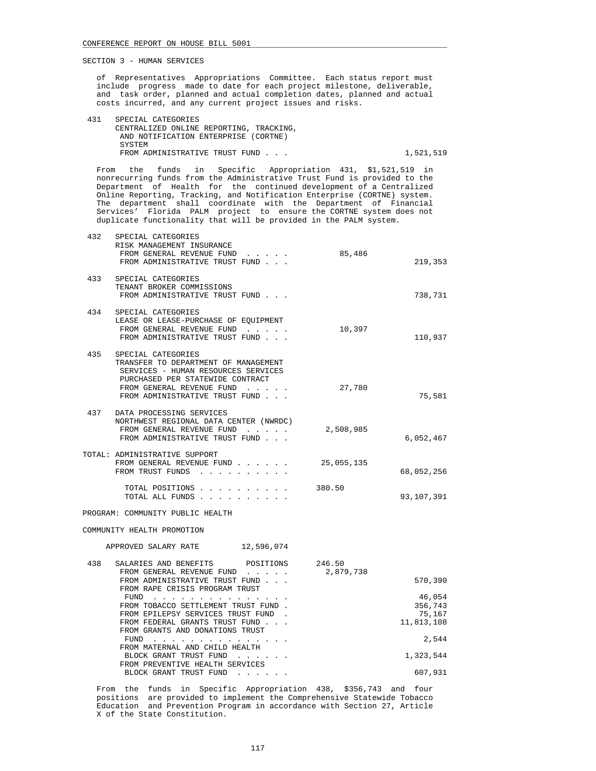432 SPECIAL CATEGORIES

 of Representatives Appropriations Committee. Each status report must include progress made to date for each project milestone, deliverable, and task order, planned and actual completion dates, planned and actual costs incurred, and any current project issues and risks.

 431 SPECIAL CATEGORIES CENTRALIZED ONLINE REPORTING, TRACKING, AND NOTIFICATION ENTERPRISE (CORTNE) **SYSTEM** FROM ADMINISTRATIVE TRUST FUND . . . 1,521,519

 From the funds in Specific Appropriation 431, \$1,521,519 in nonrecurring funds from the Administrative Trust Fund is provided to the Department of Health for the continued development of a Centralized Online Reporting, Tracking, and Notification Enterprise (CORTNE) system. The department shall coordinate with the Department of Financial Services' Florida PALM project to ensure the CORTNE system does not duplicate functionality that will be provided in the PALM system.

|     | SPECIAL CAIEGONIES                     |            |            |
|-----|----------------------------------------|------------|------------|
|     | RISK MANAGEMENT INSURANCE              |            |            |
|     | FROM GENERAL REVENUE FUND              | 85,486     |            |
|     | FROM ADMINISTRATIVE TRUST FUND         |            | 219,353    |
|     |                                        |            |            |
| 433 | SPECIAL CATEGORIES                     |            |            |
|     | TENANT BROKER COMMISSIONS              |            |            |
|     | FROM ADMINISTRATIVE TRUST FUND         |            | 738,731    |
|     |                                        |            |            |
|     | 434 SPECIAL CATEGORIES                 |            |            |
|     | LEASE OR LEASE-PURCHASE OF EQUIPMENT   |            |            |
|     | FROM GENERAL REVENUE FUND              | 10,397     |            |
|     | FROM ADMINISTRATIVE TRUST FUND         |            | 110,937    |
|     |                                        |            |            |
| 435 | SPECIAL CATEGORIES                     |            |            |
|     | TRANSFER TO DEPARTMENT OF MANAGEMENT   |            |            |
|     | SERVICES - HUMAN RESOURCES SERVICES    |            |            |
|     | PURCHASED PER STATEWIDE CONTRACT       |            |            |
|     | FROM GENERAL REVENUE FUND              | 27,780     |            |
|     | FROM ADMINISTRATIVE TRUST FUND         |            | 75,581     |
|     |                                        |            |            |
|     | 437 DATA PROCESSING SERVICES           |            |            |
|     | NORTHWEST REGIONAL DATA CENTER (NWRDC) |            |            |
|     | FROM GENERAL REVENUE FUND              | 2,508,985  |            |
|     | FROM ADMINISTRATIVE TRUST FUND         |            | 6,052,467  |
|     |                                        |            |            |
|     | TOTAL: ADMINISTRATIVE SUPPORT          |            |            |
|     | FROM GENERAL REVENUE FUND              | 25,055,135 |            |
|     | FROM TRUST FUNDS                       |            | 68,052,256 |
|     |                                        |            |            |
|     | TOTAL POSITIONS                        | 380.50     |            |
|     | TOTAL ALL FUNDS                        |            | 93,107,391 |
|     |                                        |            |            |
|     | PROGRAM: COMMUNITY PUBLIC HEALTH       |            |            |
|     |                                        |            |            |
|     | COMMUNITY HEALTH PROMOTION             |            |            |
|     |                                        |            |            |
|     | APPROVED SALARY RATE 12,596,074        |            |            |
|     |                                        |            |            |
| 438 | SALARIES AND BENEFITS POSITIONS 246.50 |            |            |
|     | FROM GENERAL REVENUE FUND              | 2,879,738  |            |
|     | FROM ADMINISTRATIVE TRUST FUND         |            | 570,390    |
|     | FROM RAPE CRISIS PROGRAM TRUST         |            |            |
|     | FUND                                   |            | 46,054     |
|     | FROM TOBACCO SETTLEMENT TRUST FUND.    |            | 356,743    |
|     | FROM EPILEPSY SERVICES TRUST FUND.     |            | 75,167     |
|     | FROM FEDERAL GRANTS TRUST FUND         |            | 11,813,108 |
|     | FROM GRANTS AND DONATIONS TRUST        |            |            |
|     | FUND $\cdots$                          |            | 2,544      |
|     | FROM MATERNAL AND CHILD HEALTH         |            |            |
|     | BLOCK GRANT TRUST FUND                 |            | 1,323,544  |
|     | FROM PREVENTIVE HEALTH SERVICES        |            |            |
|     | BLOCK GRANT TRUST FUND                 |            | 607,931    |
|     |                                        |            |            |
|     |                                        |            |            |

 From the funds in Specific Appropriation 438, \$356,743 and four positions are provided to implement the Comprehensive Statewide Tobacco Education and Prevention Program in accordance with Section 27, Article X of the State Constitution.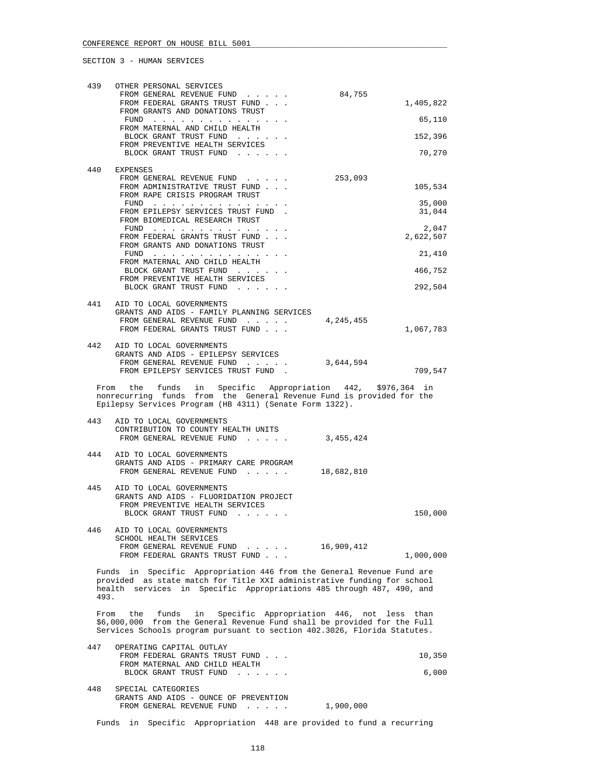| 439  | OTHER PERSONAL SERVICES                                                                                                                                                                                                  |                  |
|------|--------------------------------------------------------------------------------------------------------------------------------------------------------------------------------------------------------------------------|------------------|
|      | FROM GENERAL REVENUE FUND<br>84,755<br>FROM FEDERAL GRANTS TRUST FUND<br>FROM GRANTS AND DONATIONS TRUST                                                                                                                 | 1,405,822        |
|      | FUND<br>FROM MATERNAL AND CHILD HEALTH                                                                                                                                                                                   | 65,110           |
|      | BLOCK GRANT TRUST FUND                                                                                                                                                                                                   | 152,396          |
|      | FROM PREVENTIVE HEALTH SERVICES<br>BLOCK GRANT TRUST FUND                                                                                                                                                                | 70,270           |
| 440  | EXPENSES                                                                                                                                                                                                                 |                  |
|      | 253,093<br>FROM GENERAL REVENUE FUND<br>FROM ADMINISTRATIVE TRUST FUND<br>FROM RAPE CRISIS PROGRAM TRUST                                                                                                                 | 105,534          |
|      | $FUND$<br>FROM EPILEPSY SERVICES TRUST FUND.                                                                                                                                                                             | 35,000<br>31,044 |
|      | FROM BIOMEDICAL RESEARCH TRUST<br>FUND                                                                                                                                                                                   | 2,047            |
|      | FROM FEDERAL GRANTS TRUST FUND<br>FROM GRANTS AND DONATIONS TRUST                                                                                                                                                        | 2,622,507        |
|      | FUND<br>FROM MATERNAL AND CHILD HEALTH                                                                                                                                                                                   | 21,410           |
|      | BLOCK GRANT TRUST FUND<br>FROM PREVENTIVE HEALTH SERVICES                                                                                                                                                                | 466,752          |
|      | BLOCK GRANT TRUST FUND                                                                                                                                                                                                   | 292,504          |
|      | 441 AID TO LOCAL GOVERNMENTS                                                                                                                                                                                             |                  |
|      | GRANTS AND AIDS - FAMILY PLANNING SERVICES<br>FROM GENERAL REVENUE FUND<br>4,245,455                                                                                                                                     |                  |
|      | FROM FEDERAL GRANTS TRUST FUND                                                                                                                                                                                           | 1,067,783        |
| 442  | AID TO LOCAL GOVERNMENTS                                                                                                                                                                                                 |                  |
|      | GRANTS AND AIDS - EPILEPSY SERVICES<br>FROM GENERAL REVENUE FUND<br>3,644,594                                                                                                                                            |                  |
|      | FROM EPILEPSY SERVICES TRUST FUND<br>$\sim$                                                                                                                                                                              | 709,547          |
|      | From the funds in Specific Appropriation 442, \$976,364 in<br>nonrecurring funds from the General Revenue Fund is provided for the<br>Epilepsy Services Program (HB 4311) (Senate Form 1322).                            |                  |
| 443  | AID TO LOCAL GOVERNMENTS                                                                                                                                                                                                 |                  |
|      | CONTRIBUTION TO COUNTY HEALTH UNITS<br>FROM GENERAL REVENUE FUND<br>3,455,424                                                                                                                                            |                  |
| 444  | AID TO LOCAL GOVERNMENTS                                                                                                                                                                                                 |                  |
|      | GRANTS AND AIDS - PRIMARY CARE PROGRAM<br>FROM GENERAL REVENUE FUND<br>18,682,810                                                                                                                                        |                  |
| 445  | AID TO LOCAL GOVERNMENTS<br>GRANTS AND AIDS - FLUORIDATION PROJECT                                                                                                                                                       |                  |
|      | FROM PREVENTIVE HEALTH SERVICES                                                                                                                                                                                          |                  |
|      | BLOCK GRANT TRUST FUND<br>$\mathcal{A}=\mathcal{A}=\mathcal{A}=\mathcal{A}=\mathcal{A}=\mathcal{A}=\mathcal{A}$                                                                                                          | 150,000          |
| 446  | AID TO LOCAL GOVERNMENTS<br>SCHOOL HEALTH SERVICES                                                                                                                                                                       |                  |
|      | FROM GENERAL REVENUE FUND<br>16,909,412<br>FROM FEDERAL GRANTS TRUST FUND                                                                                                                                                |                  |
|      |                                                                                                                                                                                                                          | 1,000,000        |
| 493. | Funds in Specific Appropriation 446 from the General Revenue Fund are<br>provided as state match for Title XXI administrative funding for school<br>health services in Specific Appropriations 485 through 487, 490, and |                  |
| From | the funds<br>in<br>Specific Appropriation 446, not less than                                                                                                                                                             |                  |
|      | \$6,000,000 from the General Revenue Fund shall be provided for the Full<br>Services Schools program pursuant to section 402.3026, Florida Statutes.                                                                     |                  |
| 447  | OPERATING CAPITAL OUTLAY                                                                                                                                                                                                 |                  |
|      | FROM FEDERAL GRANTS TRUST FUND<br>FROM MATERNAL AND CHILD HEALTH                                                                                                                                                         | 10,350           |
|      | BLOCK GRANT TRUST FUND                                                                                                                                                                                                   | 6,000            |
| 448  | SPECIAL CATEGORIES<br>GRANTS AND AIDS - OUNCE OF PREVENTION<br>1,900,000<br>FROM GENERAL REVENUE FUND                                                                                                                    |                  |
|      |                                                                                                                                                                                                                          |                  |

Funds in Specific Appropriation 448 are provided to fund a recurring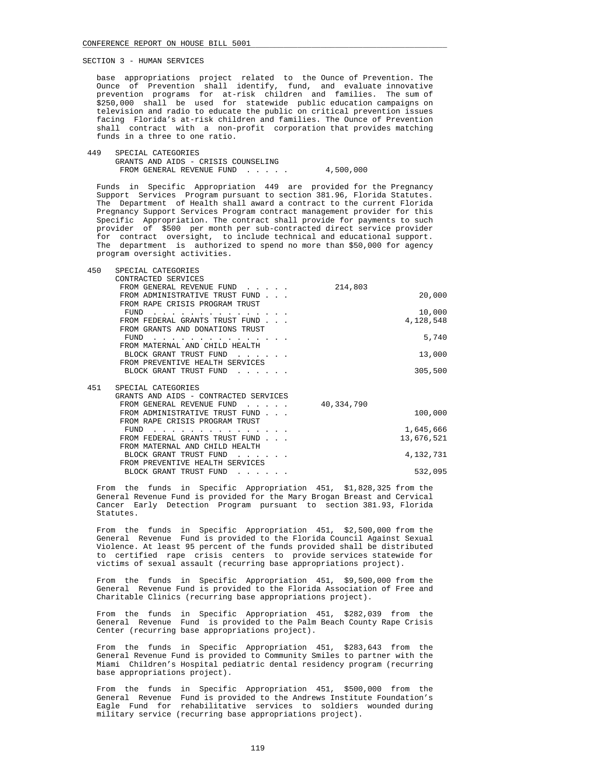base appropriations project related to the Ounce of Prevention. The Ounce of Prevention shall identify, fund, and evaluate innovative prevention programs for at-risk children and families. The sum of \$250,000 shall be used for statewide public education campaigns on television and radio to educate the public on critical prevention issues facing Florida's at-risk children and families. The Ounce of Prevention shall contract with a non-profit corporation that provides matching funds in a three to one ratio.

 449 SPECIAL CATEGORIES GRANTS AND AIDS - CRISIS COUNSELING FROM GENERAL REVENUE FUND . . . . . 4,500,000

 Funds in Specific Appropriation 449 are provided for the Pregnancy Support Services Program pursuant to section 381.96, Florida Statutes. The Department of Health shall award a contract to the current Florida Pregnancy Support Services Program contract management provider for this Specific Appropriation. The contract shall provide for payments to such provider of \$500 per month per sub-contracted direct service provider for contract oversight, to include technical and educational support. The department is authorized to spend no more than \$50,000 for agency program oversight activities.

| 450 | SPECIAL CATEGORIES                     |            |            |
|-----|----------------------------------------|------------|------------|
|     | CONTRACTED SERVICES                    |            |            |
|     | FROM GENERAL REVENUE FUND              | 214,803    |            |
|     | FROM ADMINISTRATIVE TRUST FUND         |            | 20,000     |
|     | FROM RAPE CRISIS PROGRAM TRUST         |            |            |
|     | FUND                                   |            | 10,000     |
|     | FROM FEDERAL GRANTS TRUST FUND         |            | 4,128,548  |
|     | FROM GRANTS AND DONATIONS TRUST        |            |            |
|     | FUND                                   |            | 5,740      |
|     | FROM MATERNAL AND CHILD HEALTH         |            |            |
|     | BLOCK GRANT TRUST FUND                 |            | 13,000     |
|     | FROM PREVENTIVE HEALTH SERVICES        |            |            |
|     | BLOCK GRANT TRUST FUND                 |            | 305,500    |
|     |                                        |            |            |
| 451 | SPECIAL CATEGORIES                     |            |            |
|     | GRANTS AND AIDS - CONTRACTED SERVICES  |            |            |
|     | FROM GENERAL REVENUE FUND              | 40,334,790 |            |
|     | FROM ADMINISTRATIVE TRUST FUND         |            | 100,000    |
|     | FROM RAPE CRISIS PROGRAM TRUST<br>FUND |            |            |
|     | FROM FEDERAL GRANTS TRUST FUND         |            | 1,645,666  |
|     | FROM MATERNAL AND CHILD HEALTH         |            | 13,676,521 |
|     | BLOCK GRANT TRUST FUND                 |            | 4,132,731  |
|     | FROM PREVENTIVE HEALTH SERVICES        |            |            |
|     | BLOCK GRANT TRUST FUND                 |            | 532,095    |
|     | .                                      |            |            |

 From the funds in Specific Appropriation 451, \$1,828,325 from the General Revenue Fund is provided for the Mary Brogan Breast and Cervical Cancer Early Detection Program pursuant to section 381.93, Florida Statutes.

 From the funds in Specific Appropriation 451, \$2,500,000 from the General Revenue Fund is provided to the Florida Council Against Sexual Violence. At least 95 percent of the funds provided shall be distributed to certified rape crisis centers to provide services statewide for victims of sexual assault (recurring base appropriations project).

 From the funds in Specific Appropriation 451, \$9,500,000 from the General Revenue Fund is provided to the Florida Association of Free and Charitable Clinics (recurring base appropriations project).

 From the funds in Specific Appropriation 451, \$282,039 from the General Revenue Fund is provided to the Palm Beach County Rape Crisis Center (recurring base appropriations project).

 From the funds in Specific Appropriation 451, \$283,643 from the General Revenue Fund is provided to Community Smiles to partner with the Miami Children's Hospital pediatric dental residency program (recurring base appropriations project).

 From the funds in Specific Appropriation 451, \$500,000 from the General Revenue Fund is provided to the Andrews Institute Foundation's Eagle Fund for rehabilitative services to soldiers wounded during military service (recurring base appropriations project).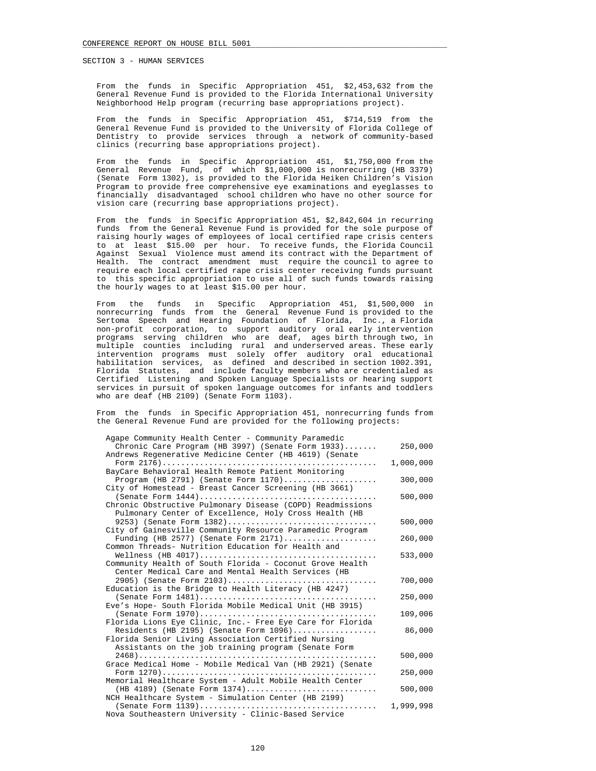From the funds in Specific Appropriation 451, \$2,453,632 from the General Revenue Fund is provided to the Florida International University Neighborhood Help program (recurring base appropriations project).

 From the funds in Specific Appropriation 451, \$714,519 from the General Revenue Fund is provided to the University of Florida College of Dentistry to provide services through a network of community-based clinics (recurring base appropriations project).

 From the funds in Specific Appropriation 451, \$1,750,000 from the General Revenue Fund, of which \$1,000,000 is nonrecurring (HB 3379) (Senate Form 1302), is provided to the Florida Heiken Children's Vision Program to provide free comprehensive eye examinations and eyeglasses to financially disadvantaged school children who have no other source for vision care (recurring base appropriations project).

 From the funds in Specific Appropriation 451, \$2,842,604 in recurring funds from the General Revenue Fund is provided for the sole purpose of raising hourly wages of employees of local certified rape crisis centers to at least \$15.00 per hour. To receive funds, the Florida Council Against Sexual Violence must amend its contract with the Department of Health. The contract amendment must require the council to agree to The contract amendment must require the council to agree to require each local certified rape crisis center receiving funds pursuant to this specific appropriation to use all of such funds towards raising the hourly wages to at least \$15.00 per hour.

 From the funds in Specific Appropriation 451, \$1,500,000 in nonrecurring funds from the General Revenue Fund is provided to the Sertoma Speech and Hearing Foundation of Florida, Inc., a Florida non-profit corporation, to support auditory oral early intervention programs serving children who are deaf, ages birth through two, in multiple counties including rural and underserved areas. These early intervention programs must solely offer auditory oral educational habilitation services, as defined and described in section 1002.391, Florida Statutes, and include faculty members who are credentialed as Certified Listening and Spoken Language Specialists or hearing support services in pursuit of spoken language outcomes for infants and toddlers who are deaf (HB 2109) (Senate Form 1103).

 From the funds in Specific Appropriation 451, nonrecurring funds from the General Revenue Fund are provided for the following projects:

| Agape Community Health Center - Community Paramedic                                               |           |
|---------------------------------------------------------------------------------------------------|-----------|
| Chronic Care Program (HB 3997) (Senate Form 1933)                                                 | 250,000   |
| Andrews Regenerative Medicine Center (HB 4619) (Senate                                            |           |
|                                                                                                   | 1,000,000 |
| BayCare Behavioral Health Remote Patient Monitoring                                               |           |
| Program (HB 2791) (Senate Form $1170)$                                                            | 300,000   |
| City of Homestead - Breast Cancer Screening (HB 3661)                                             |           |
|                                                                                                   | 500,000   |
| Chronic Obstructive Pulmonary Disease (COPD) Readmissions                                         |           |
| Pulmonary Center of Excellence, Holy Cross Health (HB                                             |           |
| 9253) (Senate Form 1382)                                                                          | 500,000   |
| City of Gainesville Community Resource Paramedic Program                                          |           |
| Funding (HB 2577) (Senate Form $2171$ )                                                           | 260,000   |
| Common Threads- Nutrition Education for Health and                                                |           |
|                                                                                                   | 533,000   |
| Community Health of South Florida - Coconut Grove Health                                          |           |
| Center Medical Care and Mental Health Services (HB                                                |           |
| 2905) (Senate Form 2103)                                                                          | 700,000   |
| Education is the Bridge to Health Literacy (HB 4247)                                              |           |
|                                                                                                   | 250,000   |
| Eve's Hope- South Florida Mobile Medical Unit (HB 3915)                                           |           |
|                                                                                                   | 109,006   |
| Florida Lions Eye Clinic, Inc.- Free Eye Care for Florida                                         |           |
| Residents (HB 2195) (Senate Form 1096)                                                            | 86,000    |
| Florida Senior Living Association Certified Nursing                                               |           |
| Assistants on the job training program (Senate Form                                               |           |
|                                                                                                   | 500,000   |
| Grace Medical Home - Mobile Medical Van (HB 2921) (Senate                                         |           |
|                                                                                                   | 250,000   |
| Memorial Healthcare System - Adult Mobile Health Center                                           |           |
| (HB 4189) (Senate Form 1374)                                                                      | 500,000   |
| NCH Healthcare System - Simulation Center (HB 2199)                                               |           |
| $(Senate Form 1139) \ldots \ldots \ldots \ldots \ldots \ldots \ldots \ldots \ldots \ldots \ldots$ | 1,999,998 |
| Nova Southeastern University - Clinic-Based Service                                               |           |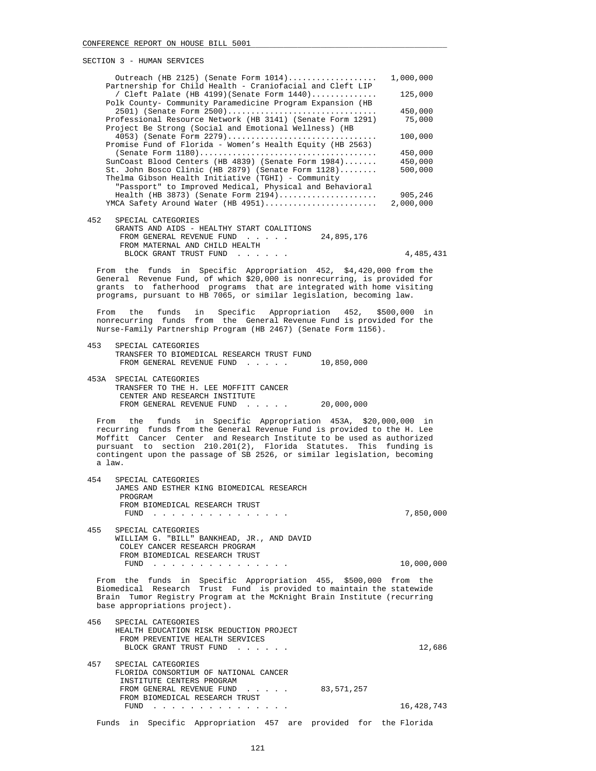| PECITOM ? - HOMAN PEKATCEP                                                                                                                                                                                                                                                                                                                                                             |            |
|----------------------------------------------------------------------------------------------------------------------------------------------------------------------------------------------------------------------------------------------------------------------------------------------------------------------------------------------------------------------------------------|------------|
| Outreach (HB 2125) (Senate Form $1014)$<br>Partnership for Child Health - Craniofacial and Cleft LIP                                                                                                                                                                                                                                                                                   | 1,000,000  |
| / Cleft Palate (HB 4199) (Senate Form $1440)$<br>Polk County- Community Paramedicine Program Expansion (HB                                                                                                                                                                                                                                                                             | 125,000    |
| 2501) (Senate Form 2500)                                                                                                                                                                                                                                                                                                                                                               | 450,000    |
| Professional Resource Network (HB 3141) (Senate Form 1291)<br>Project Be Strong (Social and Emotional Wellness) (HB                                                                                                                                                                                                                                                                    | 75,000     |
| 4053) (Senate Form 2279)<br>Promise Fund of Florida - Women's Health Equity (HB 2563)                                                                                                                                                                                                                                                                                                  | 100,000    |
|                                                                                                                                                                                                                                                                                                                                                                                        | 450,000    |
| SunCoast Blood Centers (HB 4839) (Senate Form 1984)                                                                                                                                                                                                                                                                                                                                    | 450,000    |
| St. John Bosco Clinic (HB 2879) (Senate Form 1128)<br>Thelma Gibson Health Initiative (TGHI) - Community<br>"Passport" to Improved Medical, Physical and Behavioral                                                                                                                                                                                                                    | 500,000    |
| Health (HB 3873) (Senate Form 2194)                                                                                                                                                                                                                                                                                                                                                    | 905,246    |
| YMCA Safety Around Water (HB 4951)                                                                                                                                                                                                                                                                                                                                                     | 2,000,000  |
| 452<br>SPECIAL CATEGORIES<br>GRANTS AND AIDS - HEALTHY START COALITIONS                                                                                                                                                                                                                                                                                                                |            |
| FROM GENERAL REVENUE FUND<br>24,895,176                                                                                                                                                                                                                                                                                                                                                |            |
| FROM MATERNAL AND CHILD HEALTH<br>BLOCK GRANT TRUST FUND                                                                                                                                                                                                                                                                                                                               | 4,485,431  |
|                                                                                                                                                                                                                                                                                                                                                                                        |            |
| From the funds in Specific Appropriation 452, \$4,420,000 from the<br>General Revenue Fund, of which \$20,000 is nonrecurring, is provided for<br>grants to fatherhood programs that are integrated with home visiting<br>programs, pursuant to HB 7065, or similar legislation, becoming law.                                                                                         |            |
| Specific Appropriation 452, \$500,000 in<br>the<br>funds<br>in<br>From                                                                                                                                                                                                                                                                                                                 |            |
| nonrecurring funds from the General Revenue Fund is provided for the<br>Nurse-Family Partnership Program (HB 2467) (Senate Form 1156).                                                                                                                                                                                                                                                 |            |
| 453<br>SPECIAL CATEGORIES<br>TRANSFER TO BIOMEDICAL RESEARCH TRUST FUND<br>FROM GENERAL REVENUE FUND<br>10,850,000                                                                                                                                                                                                                                                                     |            |
| 453A SPECIAL CATEGORIES<br>TRANSFER TO THE H. LEE MOFFITT CANCER<br>CENTER AND RESEARCH INSTITUTE<br>FROM GENERAL REVENUE FUND 20,000,000                                                                                                                                                                                                                                              |            |
| in Specific Appropriation 453A, \$20,000,000 in<br>the<br>funds<br>From<br>recurring funds from the General Revenue Fund is provided to the H. Lee<br>Moffitt Cancer Center and Research Institute to be used as authorized<br>pursuant to section 210.201(2), Florida Statutes. This funding is<br>contingent upon the passage of SB 2526, or similar legislation, becoming<br>a law. |            |
| 454<br>SPECIAL CATEGORIES<br>JAMES AND ESTHER KING BIOMEDICAL RESEARCH<br>PROGRAM<br>FROM BIOMEDICAL RESEARCH TRUST                                                                                                                                                                                                                                                                    |            |
| $FUND$                                                                                                                                                                                                                                                                                                                                                                                 | 7,850,000  |
| 455<br>SPECIAL CATEGORIES<br>WILLIAM G. "BILL" BANKHEAD, JR., AND DAVID<br>COLEY CANCER RESEARCH PROGRAM<br>FROM BIOMEDICAL RESEARCH TRUST                                                                                                                                                                                                                                             |            |
| FUND $\cdots$                                                                                                                                                                                                                                                                                                                                                                          | 10,000,000 |
| From the funds in Specific Appropriation 455, \$500,000 from the<br>Biomedical Research Trust Fund is provided to maintain the statewide<br>Brain Tumor Registry Program at the McKnight Brain Institute (recurring<br>base appropriations project).                                                                                                                                   |            |
| 456<br>SPECIAL CATEGORIES<br>HEALTH EDUCATION RISK REDUCTION PROJECT                                                                                                                                                                                                                                                                                                                   |            |
| FROM PREVENTIVE HEALTH SERVICES<br>BLOCK GRANT TRUST FUND                                                                                                                                                                                                                                                                                                                              | 12,686     |
| 457<br>SPECIAL CATEGORIES                                                                                                                                                                                                                                                                                                                                                              |            |

 FLORIDA CONSORTIUM OF NATIONAL CANCER INSTITUTE CENTERS PROGRAM FROM GENERAL REVENUE FUND . . . . . 83,571,257 FROM BIOMEDICAL RESEARCH TRUST FUND . . . . . . . . . . . . . . . 16,428,743

Funds in Specific Appropriation 457 are provided for the Florida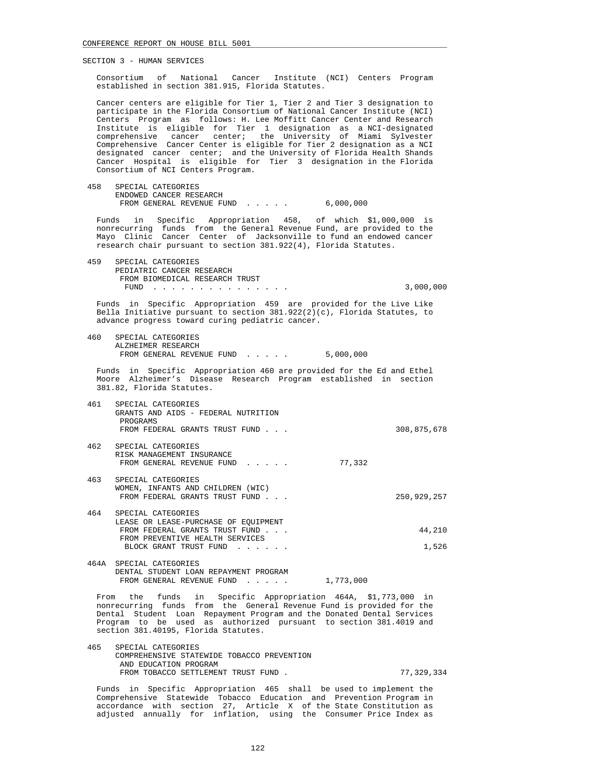Consortium of National Cancer Institute (NCI) Centers Program established in section 381.915, Florida Statutes.

 Cancer centers are eligible for Tier 1, Tier 2 and Tier 3 designation to participate in the Florida Consortium of National Cancer Institute (NCI) Centers Program as follows: H. Lee Moffitt Cancer Center and Research Institute is eligible for Tier 1 designation as a NCI-designated comprehensive cancer center; the University of Miami Sylvester Comprehensive Cancer Center is eligible for Tier 2 designation as a NCI designated cancer center; and the University of Florida Health Shands Cancer Hospital is eligible for Tier 3 designation in the Florida Consortium of NCI Centers Program.

 458 SPECIAL CATEGORIES ENDOWED CANCER RESEARCH FROM GENERAL REVENUE FUND . . . . . 6,000,000

 Funds in Specific Appropriation 458, of which \$1,000,000 is nonrecurring funds from the General Revenue Fund, are provided to the Mayo Clinic Cancer Center of Jacksonville to fund an endowed cancer research chair pursuant to section 381.922(4), Florida Statutes.

 459 SPECIAL CATEGORIES PEDIATRIC CANCER RESEARCH FROM BIOMEDICAL RESEARCH TRUST FUND . . . . . . . . . . . . . . . 3,000,000

 Funds in Specific Appropriation 459 are provided for the Live Like Bella Initiative pursuant to section  $381.922(2)(c)$ , Florida Statutes, to advance progress toward curing pediatric cancer.

 460 SPECIAL CATEGORIES ALZHEIMER RESEARCH FROM GENERAL REVENUE FUND . . . . . 5,000,000

 Funds in Specific Appropriation 460 are provided for the Ed and Ethel Moore Alzheimer's Disease Research Program established in section 381.82, Florida Statutes.

- 461 SPECIAL CATEGORIES GRANTS AND AIDS - FEDERAL NUTRITION PROGRAMS FROM FEDERAL GRANTS TRUST FUND . . .  $308,875,678$ 462 SPECIAL CATEGORIES
- RISK MANAGEMENT INSURANCE FROM GENERAL REVENUE FUND . . . . . 77,332
- 463 SPECIAL CATEGORIES WOMEN, INFANTS AND CHILDREN (WIC) FROM FEDERAL GRANTS TRUST FUND . . . 250,929,257
- 464 SPECIAL CATEGORIES LEASE OR LEASE-PURCHASE OF EQUIPMENT FROM FEDERAL GRANTS TRUST FUND . . . . . . . . . . . . . . . . . . 44, 210 FROM PREVENTIVE HEALTH SERVICES BLOCK GRANT TRUST FUND . . . . . . . . . . . . . . . 1,526
- 464A SPECIAL CATEGORIES DENTAL STUDENT LOAN REPAYMENT PROGRAM FROM GENERAL REVENUE FUND . . . . . 1,773,000

 From the funds in Specific Appropriation 464A, \$1,773,000 in nonrecurring funds from the General Revenue Fund is provided for the Dental Student Loan Repayment Program and the Donated Dental Services Program to be used as authorized pursuant to section 381.4019 and section 381.40195, Florida Statutes.

 465 SPECIAL CATEGORIES COMPREHENSIVE STATEWIDE TOBACCO PREVENTION AND EDUCATION PROGRAM FROM TOBACCO SETTLEMENT TRUST FUND . 77,329,334

 Funds in Specific Appropriation 465 shall be used to implement the Comprehensive Statewide Tobacco Education and Prevention Program in accordance with section 27, Article X of the State Constitution as adjusted annually for inflation, using the Consumer Price Index as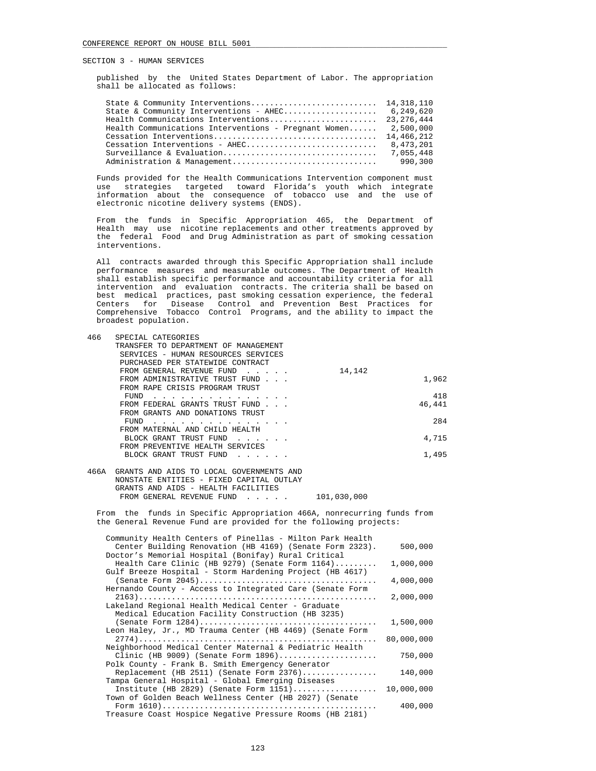published by the United States Department of Labor. The appropriation shall be allocated as follows:

| State & Community Interventions - AHEC 6,249,620                 |  |
|------------------------------------------------------------------|--|
|                                                                  |  |
| Health Communications Interventions - Pregnant Women $2,500,000$ |  |
|                                                                  |  |
|                                                                  |  |
|                                                                  |  |
|                                                                  |  |
|                                                                  |  |

 Funds provided for the Health Communications Intervention component must use strategies targeted toward Florida's youth which integrate information about the consequence of tobacco use and the use of electronic nicotine delivery systems (ENDS).

 From the funds in Specific Appropriation 465, the Department of Health may use nicotine replacements and other treatments approved by the federal Food and Drug Administration as part of smoking cessation interventions.

 All contracts awarded through this Specific Appropriation shall include performance measures and measurable outcomes. The Department of Health shall establish specific performance and accountability criteria for all intervention and evaluation contracts. The criteria shall be based on best medical practices, past smoking cessation experience, the federal Centers for Disease Control and Prevention Best Practices for Comprehensive Tobacco Control Programs, and the ability to impact the broadest population.

| 466 | SPECIAL CATEGORIES                   |        |        |
|-----|--------------------------------------|--------|--------|
|     | TRANSFER TO DEPARTMENT OF MANAGEMENT |        |        |
|     | SERVICES - HUMAN RESOURCES SERVICES  |        |        |
|     | PURCHASED PER STATEWIDE CONTRACT     |        |        |
|     | FROM GENERAL REVENUE FUND            | 14,142 |        |
|     | FROM ADMINISTRATIVE TRUST FUND       |        | 1,962  |
|     | FROM RAPE CRISIS PROGRAM TRUST       |        |        |
|     | FUND                                 |        | 418    |
|     | FROM FEDERAL GRANTS TRUST FUND       |        | 46,441 |
|     | FROM GRANTS AND DONATIONS TRUST      |        |        |
|     | FUND                                 |        | 284    |
|     | FROM MATERNAL AND CHILD HEALTH       |        |        |
|     | BLOCK GRANT TRUST FUND               |        | 4,715  |
|     | FROM PREVENTIVE HEALTH SERVICES      |        |        |
|     | BLOCK GRANT TRUST FUND               |        | 1,495  |
|     |                                      |        |        |

| 466A GRANTS AND AIDS TO LOCAL GOVERNMENTS AND |             |
|-----------------------------------------------|-------------|
| NONSTATE ENTITIES - FIXED CAPITAL OUTLAY      |             |
| GRANTS AND AIDS - HEALTH FACILITIES           |             |
| FROM GENERAL REVENUE FUND                     | 101,030,000 |

 From the funds in Specific Appropriation 466A, nonrecurring funds from the General Revenue Fund are provided for the following projects:

| Community Health Centers of Pinellas - Milton Park Health |            |
|-----------------------------------------------------------|------------|
| Center Building Renovation (HB 4169) (Senate Form 2323).  | 500,000    |
| Doctor's Memorial Hospital (Bonifay) Rural Critical       |            |
| Health Care Clinic (HB 9279) (Senate Form $1164)$         | 1,000,000  |
| Gulf Breeze Hospital - Storm Hardening Project (HB 4617)  |            |
|                                                           | 4,000,000  |
| Hernando County - Access to Integrated Care (Senate Form  |            |
|                                                           | 2,000,000  |
| Lakeland Regional Health Medical Center - Graduate        |            |
| Medical Education Facility Construction (HB 3235)         |            |
|                                                           | 1,500,000  |
| Leon Haley, Jr., MD Trauma Center (HB 4469) (Senate Form  |            |
|                                                           | 80,000,000 |
| Neighborhood Medical Center Maternal & Pediatric Health   |            |
| Clinic (HB 9009) (Senate Form $1896)$                     | 750,000    |
| Polk County - Frank B. Smith Emergency Generator          |            |
| Replacement (HB 2511) (Senate Form $2376)$                | 140,000    |
| Tampa General Hospital - Global Emerging Diseases         |            |
| Institute (HB 2829) (Senate Form $1151)$                  | 10,000,000 |
| Town of Golden Beach Wellness Center (HB 2027) (Senate    |            |
|                                                           | 400,000    |
| Treasure Coast Hospice Negative Pressure Rooms (HB 2181)  |            |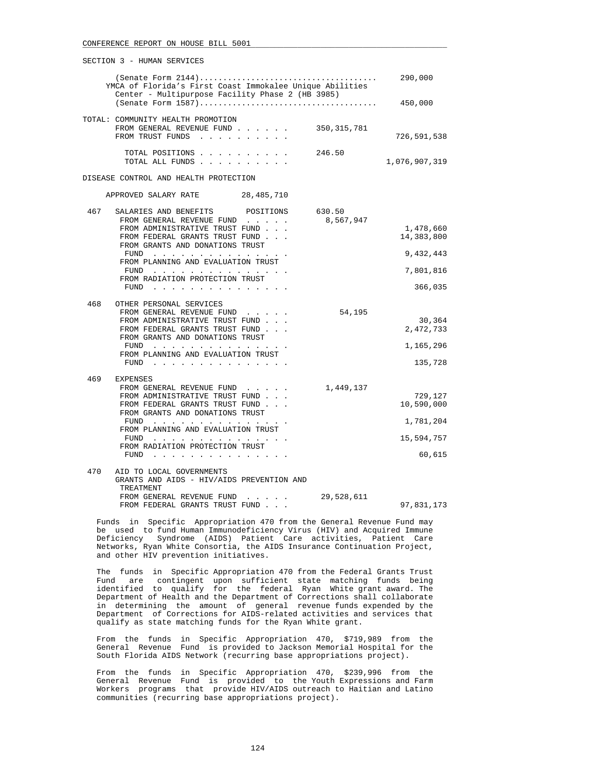|     | SECTION 3 - HUMAN SERVICES                                                                                   |                     |                         |
|-----|--------------------------------------------------------------------------------------------------------------|---------------------|-------------------------|
|     | YMCA of Florida's First Coast Immokalee Unique Abilities<br>Center - Multipurpose Facility Phase 2 (HB 3985) |                     |                         |
|     |                                                                                                              |                     | 450,000                 |
|     | TOTAL: COMMUNITY HEALTH PROMOTION<br>FROM GENERAL REVENUE FUND 350,315,781<br>FROM TRUST FUNDS               |                     | 726,591,538             |
|     |                                                                                                              |                     |                         |
|     | TOTAL POSITIONS<br>TOTAL ALL FUNDS                                                                           | 246.50              | 1,076,907,319           |
|     | DISEASE CONTROL AND HEALTH PROTECTION                                                                        |                     |                         |
|     | APPROVED SALARY RATE 28,485,710                                                                              |                     |                         |
| 467 | SALARIES AND BENEFITS POSITIONS<br>FROM GENERAL REVENUE FUND                                                 | 630.50<br>8,567,947 |                         |
|     | FROM ADMINISTRATIVE TRUST FUND<br>FROM FEDERAL GRANTS TRUST FUND<br>FROM GRANTS AND DONATIONS TRUST          |                     | 1,478,660<br>14,383,800 |
|     | FUND                                                                                                         |                     | 9,432,443               |
|     | FROM PLANNING AND EVALUATION TRUST<br>$FUND$<br>FROM RADIATION PROTECTION TRUST                              |                     | 7,801,816               |
|     | FUND $\cdots$                                                                                                |                     | 366,035                 |
| 468 | OTHER PERSONAL SERVICES                                                                                      |                     |                         |
|     | FROM GENERAL REVENUE FUND<br>FROM ADMINISTRATIVE TRUST FUND                                                  | 54,195              | 30,364                  |
|     | FROM FEDERAL GRANTS TRUST FUND                                                                               |                     | 2,472,733               |
|     | FROM GRANTS AND DONATIONS TRUST                                                                              |                     |                         |
|     | FUND                                                                                                         |                     | 1,165,296               |
|     | FROM PLANNING AND EVALUATION TRUST<br>FUND $\cdots$                                                          |                     | 135,728                 |
| 469 | <b>EXPENSES</b>                                                                                              |                     |                         |
|     | FROM GENERAL REVENUE FUND                                                                                    | 1,449,137           |                         |
|     | FROM ADMINISTRATIVE TRUST FUND                                                                               |                     | 729,127                 |
|     | FROM FEDERAL GRANTS TRUST FUND<br>FROM GRANTS AND DONATIONS TRUST                                            |                     | 10,590,000              |
|     | FUND $\cdots$                                                                                                |                     | 1,781,204               |
|     | FROM PLANNING AND EVALUATION TRUST                                                                           |                     |                         |
|     | FUND                                                                                                         |                     | 15,594,757              |
|     | FROM RADIATION PROTECTION TRUST<br>FUND $\cdots$                                                             |                     | 60,615                  |
|     |                                                                                                              |                     |                         |
| 470 | AID TO LOCAL GOVERNMENTS<br>GRANTS AND AIDS - HIV/AIDS PREVENTION AND<br>TREATMENT                           |                     |                         |
|     | FROM GENERAL REVENUE FUND<br>and the contract of the con-                                                    | 29,528,611          |                         |
|     | FROM FEDERAL GRANTS TRUST FUND.                                                                              |                     | 97,831,173              |

 Funds in Specific Appropriation 470 from the General Revenue Fund may be used to fund Human Immunodeficiency Virus (HIV) and Acquired Immune Deficiency Syndrome (AIDS) Patient Care activities, Patient Care Networks, Ryan White Consortia, the AIDS Insurance Continuation Project, and other HIV prevention initiatives.

 The funds in Specific Appropriation 470 from the Federal Grants Trust Fund are contingent upon sufficient state matching funds being identified to qualify for the federal Ryan White grant award. The Department of Health and the Department of Corrections shall collaborate in determining the amount of general revenue funds expended by the Department of Corrections for AIDS-related activities and services that qualify as state matching funds for the Ryan White grant.

 From the funds in Specific Appropriation 470, \$719,989 from the General Revenue Fund is provided to Jackson Memorial Hospital for the South Florida AIDS Network (recurring base appropriations project).

 From the funds in Specific Appropriation 470, \$239,996 from the General Revenue Fund is provided to the Youth Expressions and Farm Workers programs that provide HIV/AIDS outreach to Haitian and Latino communities (recurring base appropriations project).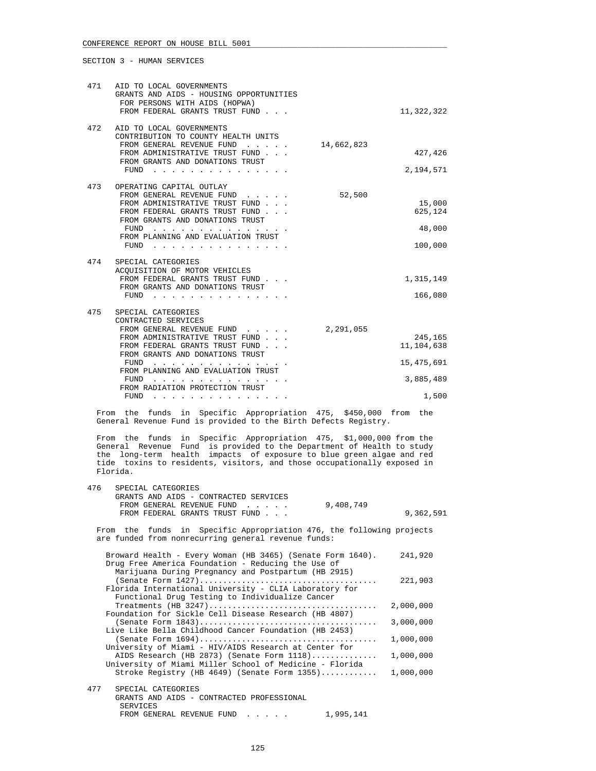| AID TO LOCAL GOVERNMENTS<br>GRANTS AND AIDS - HOUSING OPPORTUNITIES<br>FOR PERSONS WITH AIDS (HOPWA)<br>FROM FEDERAL GRANTS TRUST FUND                                                                                                                                         |            | 11,322,322                                                  |
|--------------------------------------------------------------------------------------------------------------------------------------------------------------------------------------------------------------------------------------------------------------------------------|------------|-------------------------------------------------------------|
| AID TO LOCAL GOVERNMENTS<br>CONTRIBUTION TO COUNTY HEALTH UNITS<br>FROM GENERAL REVENUE FUND<br>FROM ADMINISTRATIVE TRUST FUND<br>FROM GRANTS AND DONATIONS TRUST<br>FUND                                                                                                      | 14,662,823 | 427,426<br>2,194,571                                        |
| OPERATING CAPITAL OUTLAY<br>FROM GENERAL REVENUE FUND<br>FROM ADMINISTRATIVE TRUST FUND<br>FROM FEDERAL GRANTS TRUST FUND<br>FROM GRANTS AND DONATIONS TRUST<br>FUND<br>.<br>FROM PLANNING AND EVALUATION TRUST<br>FUND                                                        | 52,500     | 15,000<br>625,124<br>48,000<br>100,000                      |
| SPECIAL CATEGORIES<br>ACQUISITION OF MOTOR VEHICLES<br>FROM FEDERAL GRANTS TRUST FUND.<br>FROM GRANTS AND DONATIONS TRUST<br>FUND                                                                                                                                              |            | 1,315,149<br>166,080                                        |
| SPECIAL CATEGORIES<br>CONTRACTED SERVICES<br>FROM GENERAL REVENUE FUND<br>FROM ADMINISTRATIVE TRUST FUND<br>FROM FEDERAL GRANTS TRUST FUND<br>FROM GRANTS AND DONATIONS TRUST<br>FUND<br>FROM PLANNING AND EVALUATION TRUST<br>FUND<br>FROM RADIATION PROTECTION TRUST<br>FUND | 2,291,055  | 245,165<br>11,104,638<br>15, 475, 691<br>3,885,489<br>1,500 |
|                                                                                                                                                                                                                                                                                |            |                                                             |

 From the funds in Specific Appropriation 475, \$450,000 from the General Revenue Fund is provided to the Birth Defects Registry.

 From the funds in Specific Appropriation 475, \$1,000,000 from the General Revenue Fund is provided to the Department of Health to study the long-term health impacts of exposure to blue green algae and red tide toxins to residents, visitors, and those occupationally exposed in Florida.

| 476 | SPECIAL CATEGORIES                    |           |           |
|-----|---------------------------------------|-----------|-----------|
|     | GRANTS AND AIDS - CONTRACTED SERVICES |           |           |
|     | FROM GENERAL REVENUE FUND             | 9,408,749 |           |
|     | FROM FEDERAL GRANTS TRUST FUND        |           | 9,362,591 |
|     |                                       |           |           |

 From the funds in Specific Appropriation 476, the following projects are funded from nonrecurring general revenue funds:

| Broward Health - Every Woman (HB 3465) (Senate Form 1640). | 241,920   |
|------------------------------------------------------------|-----------|
| Drug Free America Foundation - Reducing the Use of         |           |
| Marijuana During Pregnancy and Postpartum (HB 2915)        |           |
|                                                            | 221,903   |
| Florida International University - CLIA Laboratory for     |           |
| Functional Drug Testing to Individualize Cancer            |           |
|                                                            | 2,000,000 |
| Foundation for Sickle Cell Disease Research (HB 4807)      |           |
|                                                            | 3,000,000 |
| Live Like Bella Childhood Cancer Foundation (HB 2453)      |           |
|                                                            | 1,000,000 |
| University of Miami - HIV/AIDS Research at Center for      |           |
| AIDS Research (HB 2873) (Senate Form 1118)                 | 1,000,000 |
| University of Miami Miller School of Medicine - Florida    |           |
| Stroke Registry (HB $4649$ ) (Senate Form $1355$ )         | 1,000,000 |
|                                                            |           |
| 477<br>SPECIAL CATEGORIES                                  |           |
| GRANTS AND AIDS - CONTRACTED PROFESSIONAL                  |           |
| SERVICES                                                   |           |
| 1,995,141<br>FROM GENERAL REVENUE FUND                     |           |
|                                                            |           |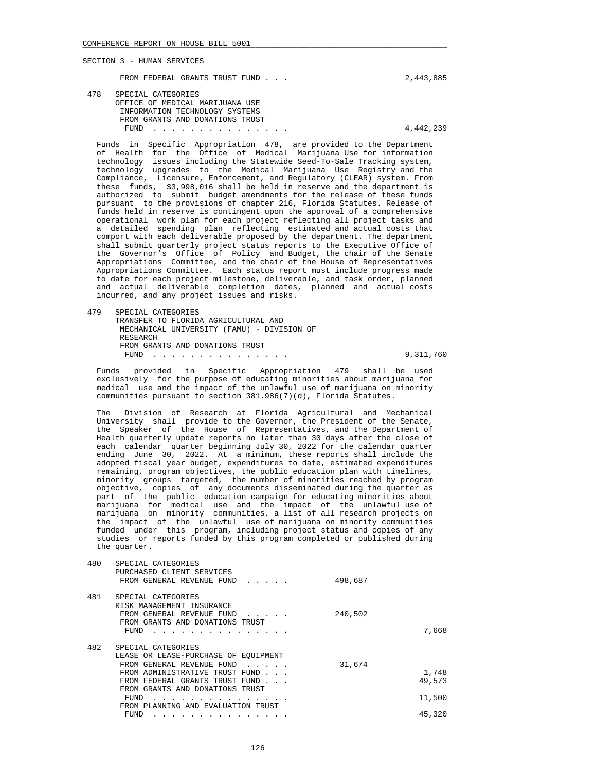FROM FEDERAL GRANTS TRUST FUND . . .  $2,443,885$ 

 478 SPECIAL CATEGORIES OFFICE OF MEDICAL MARIJUANA USE INFORMATION TECHNOLOGY SYSTEMS FROM GRANTS AND DONATIONS TRUST FUND . . . . . . . . . . . . . . . 4,442,239

 Funds in Specific Appropriation 478, are provided to the Department of Health for the Office of Medical Marijuana Use for information technology issues including the Statewide Seed-To-Sale Tracking system, technology upgrades to the Medical Marijuana Use Registry and the Compliance, Licensure, Enforcement, and Regulatory (CLEAR) system. From these funds, \$3,998,016 shall be held in reserve and the department is authorized to submit budget amendments for the release of these funds pursuant to the provisions of chapter 216, Florida Statutes. Release of funds held in reserve is contingent upon the approval of a comprehensive operational work plan for each project reflecting all project tasks and a detailed spending plan reflecting estimated and actual costs that comport with each deliverable proposed by the department. The department shall submit quarterly project status reports to the Executive Office of the Governor's Office of Policy and Budget, the chair of the Senate Appropriations Committee, and the chair of the House of Representatives Appropriations Committee. Each status report must include progress made to date for each project milestone, deliverable, and task order, planned and actual deliverable completion dates, planned and actual costs incurred, and any project issues and risks.

 479 SPECIAL CATEGORIES TRANSFER TO FLORIDA AGRICULTURAL AND MECHANICAL UNIVERSITY (FAMU) - DIVISION OF RESEARCH FROM GRANTS AND DONATIONS TRUST FUND . . . . . . . . . . . . . . . 9,311,760

 Funds provided in Specific Appropriation 479 shall be used exclusively for the purpose of educating minorities about marijuana for medical use and the impact of the unlawful use of marijuana on minority communities pursuant to section 381.986(7)(d), Florida Statutes.

 The Division of Research at Florida Agricultural and Mechanical University shall provide to the Governor, the President of the Senate, the Speaker of the House of Representatives, and the Department of Health quarterly update reports no later than 30 days after the close of each calendar quarter beginning July 30, 2022 for the calendar quarter ending June 30, 2022. At a minimum, these reports shall include the adopted fiscal year budget, expenditures to date, estimated expenditures remaining, program objectives, the public education plan with timelines, minority groups targeted, the number of minorities reached by program objective, copies of any documents disseminated during the quarter as part of the public education campaign for educating minorities about marijuana for medical use and the impact of the unlawful use of marijuana on minority communities, a list of all research projects on the impact of the unlawful use of marijuana on minority communities funded under this program, including project status and copies of any studies or reports funded by this program completed or published during the quarter.

| 480 | SPECIAL CATEGORIES<br>PURCHASED CLIENT SERVICES<br>FROM GENERAL REVENUE FUND                                         | 498,687 |        |
|-----|----------------------------------------------------------------------------------------------------------------------|---------|--------|
| 481 | SPECIAL CATEGORIES<br>RISK MANAGEMENT INSURANCE<br>FROM GENERAL REVENUE FUND<br>.<br>FROM GRANTS AND DONATIONS TRUST | 240,502 |        |
|     | FUND                                                                                                                 |         | 7,668  |
| 482 | SPECIAL CATEGORIES<br>LEASE OR LEASE-PURCHASE OF EQUIPMENT                                                           |         |        |
|     | FROM GENERAL REVENUE FUND<br>$\mathbf{r}$ , $\mathbf{r}$ , $\mathbf{r}$ , $\mathbf{r}$                               | 31,674  |        |
|     | FROM ADMINISTRATIVE TRUST FUND                                                                                       |         | 1,748  |
|     | FROM FEDERAL GRANTS TRUST FUND                                                                                       |         | 49,573 |
|     | FROM GRANTS AND DONATIONS TRUST                                                                                      |         |        |
|     | FUND                                                                                                                 |         | 11,500 |
|     | FROM PLANNING AND EVALUATION TRUST                                                                                   |         |        |
|     | FUND                                                                                                                 |         | 45,320 |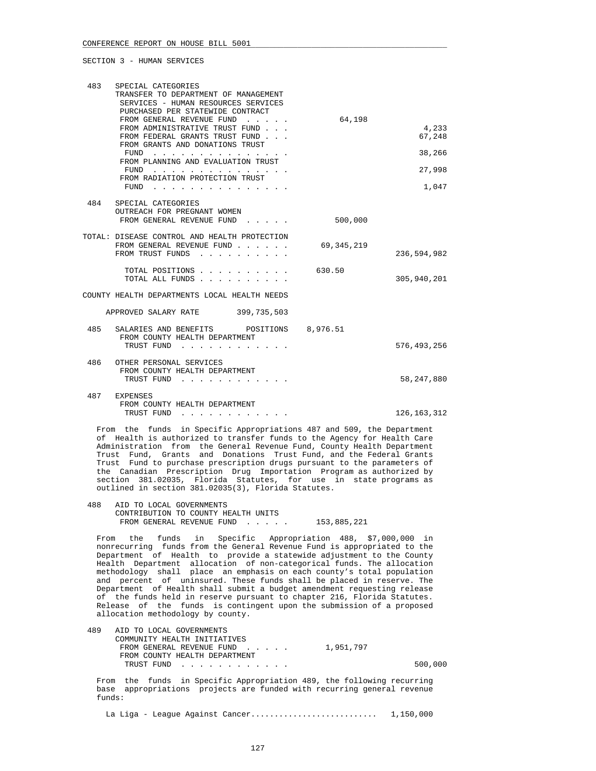| 483 | SPECIAL CATEGORIES<br>TRANSFER TO DEPARTMENT OF MANAGEMENT<br>SERVICES - HUMAN RESOURCES SERVICES<br>PURCHASED PER STATEWIDE CONTRACT                                                                                                                                              |            |                 |
|-----|------------------------------------------------------------------------------------------------------------------------------------------------------------------------------------------------------------------------------------------------------------------------------------|------------|-----------------|
|     | FROM GENERAL REVENUE FUND<br>FROM ADMINISTRATIVE TRUST FUND<br>FROM FEDERAL GRANTS TRUST FUND<br>FROM GRANTS AND DONATIONS TRUST                                                                                                                                                   | 64,198     | 4,233<br>67,248 |
|     | FUND<br><u>in the series of the series of the series of the series of the series of the series of the series of the series of the series of the series of the series of the series of the series of the series of the series of the seri</u><br>FROM PLANNING AND EVALUATION TRUST |            | 38,266          |
|     | FUND<br>the contract of the contract of the contract of<br>FROM RADIATION PROTECTION TRUST                                                                                                                                                                                         |            | 27,998          |
|     | FUND                                                                                                                                                                                                                                                                               |            | 1,047           |
|     | 484 SPECIAL CATEGORIES<br>OUTREACH FOR PREGNANT WOMEN<br>FROM GENERAL REVENUE FUND                                                                                                                                                                                                 | 500,000    |                 |
|     | TOTAL: DISEASE CONTROL AND HEALTH PROTECTION<br>FROM GENERAL REVENUE FUND<br>FROM TRUST FUNDS<br>$\mathbf{r}$ and $\mathbf{r}$ and $\mathbf{r}$                                                                                                                                    | 69,345,219 | 236,594,982     |
|     | TOTAL POSITIONS<br>TOTAL ALL FUNDS                                                                                                                                                                                                                                                 | 630.50     | 305,940,201     |
|     | COUNTY HEALTH DEPARTMENTS LOCAL HEALTH NEEDS                                                                                                                                                                                                                                       |            |                 |
|     | APPROVED SALARY RATE 399, 735, 503                                                                                                                                                                                                                                                 |            |                 |
| 485 | SALARIES AND BENEFITS<br>POSITIONS                                                                                                                                                                                                                                                 | 8,976.51   |                 |
|     | FROM COUNTY HEALTH DEPARTMENT<br>TRUST FUND                                                                                                                                                                                                                                        |            | 576, 493, 256   |
| 486 | OTHER PERSONAL SERVICES<br>FROM COUNTY HEALTH DEPARTMENT<br>TRUST FUND<br>$\sim$ $\sim$ $\sim$ $\sim$ $\sim$                                                                                                                                                                       |            | 58, 247, 880    |
| 487 | <b>EXPENSES</b><br>FROM COUNTY HEALTH DEPARTMENT<br>TRUST FUND                                                                                                                                                                                                                     |            | 126, 163, 312   |

 From the funds in Specific Appropriations 487 and 509, the Department of Health is authorized to transfer funds to the Agency for Health Care Administration from the General Revenue Fund, County Health Department Trust Fund, Grants and Donations Trust Fund, and the Federal Grants Trust Fund to purchase prescription drugs pursuant to the parameters of the Canadian Prescription Drug Importation Program as authorized by section 381.02035, Florida Statutes, for use in state programs as outlined in section 381.02035(3), Florida Statutes.

 488 AID TO LOCAL GOVERNMENTS CONTRIBUTION TO COUNTY HEALTH UNITS FROM GENERAL REVENUE FUND . . . . . 153,885,221

 From the funds in Specific Appropriation 488, \$7,000,000 in nonrecurring funds from the General Revenue Fund is appropriated to the Department of Health to provide a statewide adjustment to the County Health Department allocation of non-categorical funds. The allocation methodology shall place an emphasis on each county's total population and percent of uninsured. These funds shall be placed in reserve. The Department of Health shall submit a budget amendment requesting release of the funds held in reserve pursuant to chapter 216, Florida Statutes. Release of the funds is contingent upon the submission of a proposed allocation methodology by county.

| 489 | AID TO LOCAL GOVERNMENTS      |           |         |
|-----|-------------------------------|-----------|---------|
|     | COMMUNITY HEALTH INITIATIVES  |           |         |
|     | FROM GENERAL REVENUE FUND     | 1,951,797 |         |
|     | FROM COUNTY HEALTH DEPARTMENT |           |         |
|     | TRUST FUND                    |           | 500,000 |
|     |                               |           |         |

 From the funds in Specific Appropriation 489, the following recurring base appropriations projects are funded with recurring general revenue funds:

La Liga - League Against Cancer........................... 1,150,000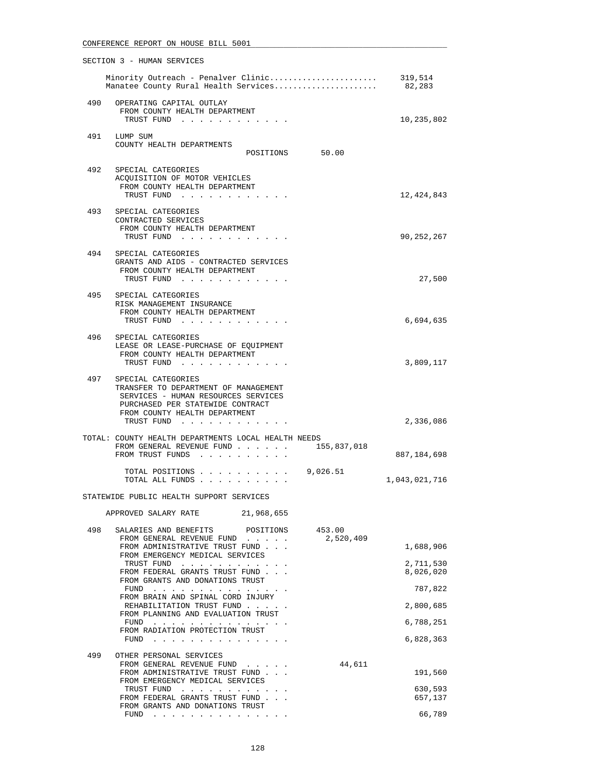|     | SECTION 3 - HUMAN SERVICES                                                                                                                                                                                                                                                        |                        |
|-----|-----------------------------------------------------------------------------------------------------------------------------------------------------------------------------------------------------------------------------------------------------------------------------------|------------------------|
|     | Minority Outreach - Penalver Clinic<br>Manatee County Rural Health Services                                                                                                                                                                                                       | 319,514<br>82,283      |
|     | 490 OPERATING CAPITAL OUTLAY<br>FROM COUNTY HEALTH DEPARTMENT<br>TRUST FUND                                                                                                                                                                                                       | 10,235,802             |
|     | 491 LUMP SUM<br>COUNTY HEALTH DEPARTMENTS<br>POSITIONS 50.00                                                                                                                                                                                                                      |                        |
| 492 | SPECIAL CATEGORIES                                                                                                                                                                                                                                                                |                        |
|     | ACQUISITION OF MOTOR VEHICLES<br>FROM COUNTY HEALTH DEPARTMENT<br>TRUST FUND                                                                                                                                                                                                      | 12,424,843             |
| 493 | SPECIAL CATEGORIES<br>CONTRACTED SERVICES<br>FROM COUNTY HEALTH DEPARTMENT<br>TRUST FUND                                                                                                                                                                                          | 90,252,267             |
| 494 | SPECIAL CATEGORIES<br>GRANTS AND AIDS - CONTRACTED SERVICES<br>FROM COUNTY HEALTH DEPARTMENT                                                                                                                                                                                      |                        |
|     | TRUST FUND<br>495 SPECIAL CATEGORIES                                                                                                                                                                                                                                              | 27,500                 |
|     | RISK MANAGEMENT INSURANCE<br>FROM COUNTY HEALTH DEPARTMENT<br>TRUST FUND                                                                                                                                                                                                          | 6,694,635              |
|     | 496 SPECIAL CATEGORIES<br>LEASE OR LEASE-PURCHASE OF EQUIPMENT<br>FROM COUNTY HEALTH DEPARTMENT<br>TRUST FUND                                                                                                                                                                     | 3,809,117              |
| 497 | SPECIAL CATEGORIES<br>TRANSFER TO DEPARTMENT OF MANAGEMENT<br>SERVICES - HUMAN RESOURCES SERVICES<br>PURCHASED PER STATEWIDE CONTRACT<br>FROM COUNTY HEALTH DEPARTMENT<br>TRUST FUND                                                                                              | 2,336,086              |
|     | TOTAL: COUNTY HEALTH DEPARTMENTS LOCAL HEALTH NEEDS<br>FROM GENERAL REVENUE FUND<br>155,837,018<br>FROM TRUST FUNDS                                                                                                                                                               | 887,184,698            |
|     | 9,026.51<br>TOTAL POSITIONS<br>TOTAL ALL FUNDS                                                                                                                                                                                                                                    | 1,043,021,716          |
|     | STATEWIDE PUBLIC HEALTH SUPPORT SERVICES                                                                                                                                                                                                                                          |                        |
|     | APPROVED SALARY RATE<br>21,968,655                                                                                                                                                                                                                                                |                        |
| 498 | SALARIES AND BENEFITS<br>453.00<br>POSITIONS<br>FROM GENERAL REVENUE FUND<br>2,520,409<br>$\mathbf{r}=\mathbf{r}+\mathbf{r}+\mathbf{r}+\mathbf{r}+\mathbf{r}$<br>FROM ADMINISTRATIVE TRUST FUND                                                                                   | 1,688,906              |
|     | FROM EMERGENCY MEDICAL SERVICES<br>TRUST FUND<br>FROM FEDERAL GRANTS TRUST FUND                                                                                                                                                                                                   | 2,711,530<br>8,026,020 |
|     | FROM GRANTS AND DONATIONS TRUST<br>FUND                                                                                                                                                                                                                                           | 787,822                |
|     | FROM BRAIN AND SPINAL CORD INJURY<br>REHABILITATION TRUST FUND                                                                                                                                                                                                                    | 2,800,685              |
|     | FROM PLANNING AND EVALUATION TRUST<br>$FUND$                                                                                                                                                                                                                                      | 6,788,251              |
|     | FROM RADIATION PROTECTION TRUST<br>FUND $\cdots$                                                                                                                                                                                                                                  | 6,828,363              |
| 499 | OTHER PERSONAL SERVICES                                                                                                                                                                                                                                                           |                        |
|     | 44,611<br>FROM GENERAL REVENUE FUND<br>FROM ADMINISTRATIVE TRUST FUND<br>FROM EMERGENCY MEDICAL SERVICES                                                                                                                                                                          | 191,560                |
|     | TRUST FUND<br>$\mathbf{r}$ . The set of the set of the set of the set of the set of the set of the set of the set of the set of the set of the set of the set of the set of the set of the set of the set of the set of the set of the set of t<br>FROM FEDERAL GRANTS TRUST FUND | 630,593<br>657,137     |
|     | FROM GRANTS AND DONATIONS TRUST<br>FUND $\ldots$                                                                                                                                                                                                                                  | 66,789                 |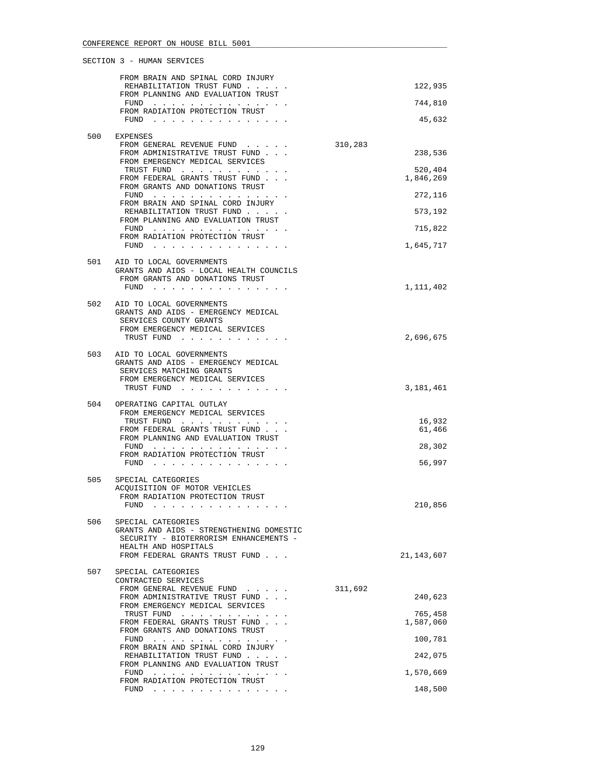|     | FROM BRAIN AND SPINAL CORD INJURY<br>REHABILITATION TRUST FUND<br>FROM PLANNING AND EVALUATION TRUST                           |         | 122,935          |
|-----|--------------------------------------------------------------------------------------------------------------------------------|---------|------------------|
|     | FUND $\cdots$                                                                                                                  |         | 744,810          |
|     | FROM RADIATION PROTECTION TRUST<br>$FUND$                                                                                      |         | 45,632           |
| 500 | EXPENSES<br>FROM GENERAL REVENUE FUND                                                                                          | 310,283 |                  |
|     | FROM ADMINISTRATIVE TRUST FUND                                                                                                 |         | 238,536          |
|     | FROM EMERGENCY MEDICAL SERVICES<br>TRUST FUND                                                                                  |         | 520,404          |
|     | FROM FEDERAL GRANTS TRUST FUND<br>FROM GRANTS AND DONATIONS TRUST                                                              |         | 1,846,269        |
|     | FUND<br>FROM BRAIN AND SPINAL CORD INJURY                                                                                      |         | 272,116          |
|     | REHABILITATION TRUST FUND<br>FROM PLANNING AND EVALUATION TRUST                                                                |         | 573,192          |
|     | FUND $\cdots$<br>FROM RADIATION PROTECTION TRUST                                                                               |         | 715,822          |
|     | FUND                                                                                                                           |         | 1,645,717        |
| 501 | AID TO LOCAL GOVERNMENTS<br>GRANTS AND AIDS - LOCAL HEALTH COUNCILS<br>FROM GRANTS AND DONATIONS TRUST                         |         |                  |
|     | FUND<br>the company of the company of the company of                                                                           |         | 1,111,402        |
| 502 | AID TO LOCAL GOVERNMENTS<br>GRANTS AND AIDS - EMERGENCY MEDICAL<br>SERVICES COUNTY GRANTS<br>FROM EMERGENCY MEDICAL SERVICES   |         |                  |
|     | TRUST FUND                                                                                                                     |         | 2,696,675        |
| 503 | AID TO LOCAL GOVERNMENTS<br>GRANTS AND AIDS - EMERGENCY MEDICAL<br>SERVICES MATCHING GRANTS<br>FROM EMERGENCY MEDICAL SERVICES |         |                  |
|     | TRUST FUND                                                                                                                     |         | 3,181,461        |
| 504 | OPERATING CAPITAL OUTLAY<br>FROM EMERGENCY MEDICAL SERVICES                                                                    |         |                  |
|     | TRUST FUND<br>FROM FEDERAL GRANTS TRUST FUND<br>FROM PLANNING AND EVALUATION TRUST                                             |         | 16,932<br>61,466 |
|     | FUND<br>.<br>FROM RADIATION PROTECTION TRUST                                                                                   |         | 28,302           |
|     | FUND<br>the contract of the contract of the contract of the                                                                    |         | 56,997           |
| 505 | SPECIAL CATEGORIES<br>ACQUISITION OF MOTOR VEHICLES                                                                            |         |                  |
|     | FROM RADIATION PROTECTION TRUST                                                                                                |         |                  |
|     | FUND<br>.                                                                                                                      |         | 210,856          |
| 506 | SPECIAL CATEGORIES<br>GRANTS AND AIDS - STRENGTHENING DOMESTIC<br>SECURITY - BIOTERRORISM ENHANCEMENTS -                       |         |                  |
|     | HEALTH AND HOSPITALS<br>FROM FEDERAL GRANTS TRUST FUND                                                                         |         | 21,143,607       |
| 507 | SPECIAL CATEGORIES<br>CONTRACTED SERVICES                                                                                      |         |                  |
|     | FROM GENERAL REVENUE FUND<br>FROM ADMINISTRATIVE TRUST FUND                                                                    | 311,692 | 240,623          |
|     | FROM EMERGENCY MEDICAL SERVICES<br>TRUST FUND                                                                                  |         | 765,458          |
|     | FROM FEDERAL GRANTS TRUST FUND<br>FROM GRANTS AND DONATIONS TRUST                                                              |         | 1,587,060        |
|     | FUND<br>FROM BRAIN AND SPINAL CORD INJURY                                                                                      |         | 100,781          |
|     | REHABILITATION TRUST FUND<br>FROM PLANNING AND EVALUATION TRUST                                                                |         | 242,075          |
|     | FUND                                                                                                                           |         | 1,570,669        |
|     | FROM RADIATION PROTECTION TRUST<br>FUND $\cdots$                                                                               |         | 148,500          |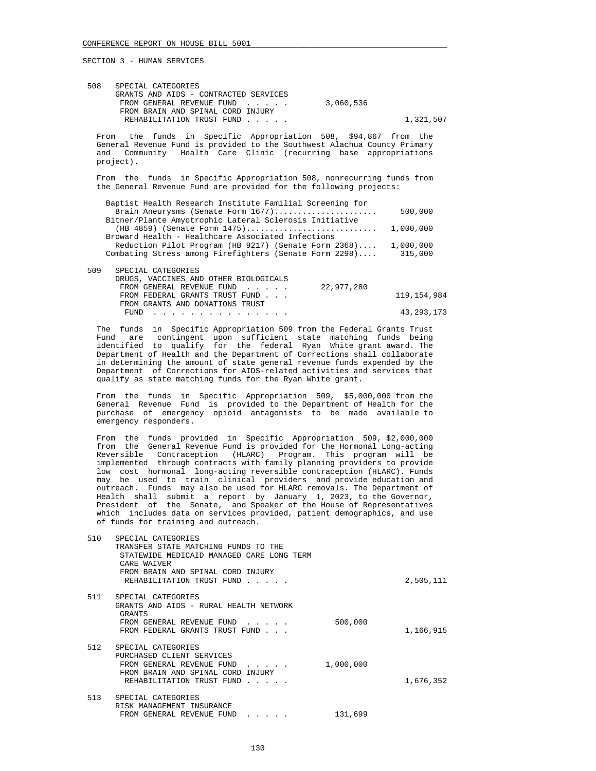| 508 | SPECIAL CATEGORIES                    |           |           |
|-----|---------------------------------------|-----------|-----------|
|     | GRANTS AND AIDS - CONTRACTED SERVICES |           |           |
|     | FROM GENERAL REVENUE FUND             | 3,060,536 |           |
|     | FROM BRAIN AND SPINAL CORD INJURY     |           |           |
|     | REHABILITATION TRUST FUND             |           | 1,321,507 |
|     |                                       |           |           |

 From the funds in Specific Appropriation 508, \$94,867 from the General Revenue Fund is provided to the Southwest Alachua County Primary and Community Health Care Clinic (recurring base appropriations project).

 From the funds in Specific Appropriation 508, nonrecurring funds from the General Revenue Fund are provided for the following projects:

| Baptist Health Research Institute Familial Screening for |           |
|----------------------------------------------------------|-----------|
| Brain Aneurysms (Senate Form 1677)                       | 500,000   |
| Bitner/Plante Amyotrophic Lateral Sclerosis Initiative   |           |
| $(HB 4859)$ (Senate Form $1475)$                         | 1,000,000 |
| Broward Health - Healthcare Associated Infections        |           |
| Reduction Pilot Program (HB 9217) (Senate Form 2368)     | 1,000,000 |
| Combating Stress among Firefighters (Senate Form 2298)   | 315,000   |
|                                                          |           |

| 509 | SPECIAL CATEGORIES                    |            |              |
|-----|---------------------------------------|------------|--------------|
|     | DRUGS, VACCINES AND OTHER BIOLOGICALS |            |              |
|     | FROM GENERAL REVENUE FUND             | 22,977,280 |              |
|     | FROM FEDERAL GRANTS TRUST FUND        |            | 119,154,984  |
|     | FROM GRANTS AND DONATIONS TRUST       |            |              |
|     | FUND                                  |            | 43, 293, 173 |
|     |                                       |            |              |

 The funds in Specific Appropriation 509 from the Federal Grants Trust Fund are contingent upon sufficient state matching funds being identified to qualify for the federal Ryan White grant award. The Department of Health and the Department of Corrections shall collaborate in determining the amount of state general revenue funds expended by the Department of Corrections for AIDS-related activities and services that qualify as state matching funds for the Ryan White grant.

 From the funds in Specific Appropriation 509, \$5,000,000 from the General Revenue Fund is provided to the Department of Health for the purchase of emergency opioid antagonists to be made available to emergency responders.

 From the funds provided in Specific Appropriation 509, \$2,000,000 from the General Revenue Fund is provided for the Hormonal Long-acting Reversible Contraception (HLARC) Program. This program will be implemented through contracts with family planning providers to provide low cost hormonal long-acting reversible contraception (HLARC). Funds may be used to train clinical providers and provide education and outreach. Funds may also be used for HLARC removals. The Department of Health shall submit a report by January 1, 2023, to the Governor, President of the Senate, and Speaker of the House of Representatives which includes data on services provided, patient demographics, and use of funds for training and outreach.

| 510 | SPECIAL CATEGORIES<br>TRANSFER STATE MATCHING FUNDS TO THE<br>STATEWIDE MEDICAID MANAGED CARE LONG TERM<br>CARE WAIVER<br>FROM BRAIN AND SPINAL CORD<br>INJURY<br>REHABILITATION TRUST FUND<br>$\mathbf{r}$ and $\mathbf{r}$ |           | 2,505,111 |
|-----|------------------------------------------------------------------------------------------------------------------------------------------------------------------------------------------------------------------------------|-----------|-----------|
| 511 | SPECIAL CATEGORIES<br>GRANTS AND AIDS - RURAL HEALTH NETWORK<br>GRANTS<br>FROM GENERAL REVENUE FUND<br>FROM FEDERAL GRANTS TRUST FUND                                                                                        | 500,000   | 1,166,915 |
| 512 | SPECIAL CATEGORIES<br>PURCHASED CLIENT SERVICES<br>FROM GENERAL REVENUE FUND<br>FROM BRAIN AND SPINAL CORD<br>INJURY<br>REHABILITATION TRUST FUND                                                                            | 1,000,000 | 1,676,352 |
| 513 | SPECIAL CATEGORIES<br>RISK MANAGEMENT INSURANCE<br>FROM GENERAL REVENUE FUND<br>$\cdot$ $\cdot$ $\cdot$ $\cdot$ $\cdot$                                                                                                      | 131,699   |           |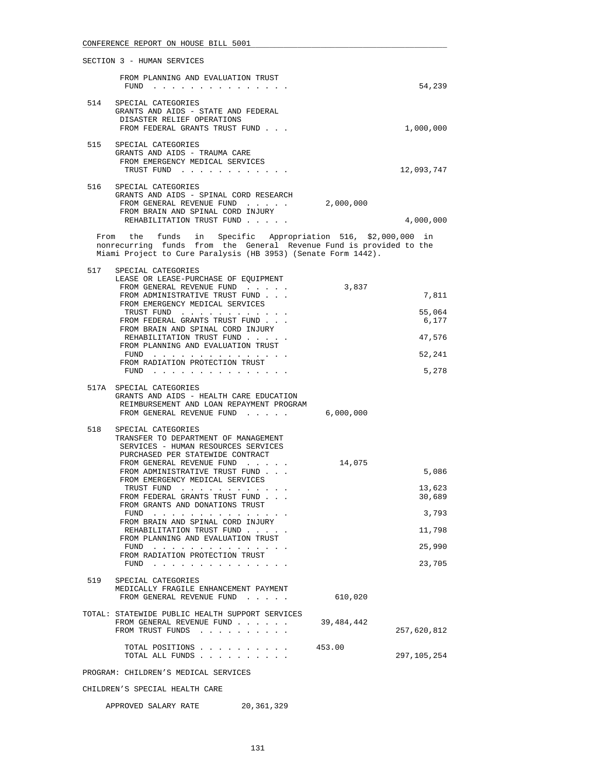| SECTION 3 - HUMAN SERVICES                                                                                                                            |            |
|-------------------------------------------------------------------------------------------------------------------------------------------------------|------------|
| FROM PLANNING AND EVALUATION TRUST<br>FUND                                                                                                            | 54,239     |
| 514<br>SPECIAL CATEGORIES<br>GRANTS AND AIDS - STATE AND<br>FEDERAL<br>DISASTER RELIEF OPERATIONS<br>FROM FEDERAL GRANTS TRUST FUND                   | 1,000,000  |
| 515<br>SPECIAL CATEGORIES<br>GRANTS AND AIDS - TRAUMA CARE<br>FROM EMERGENCY MEDICAL SERVICES<br>TRUST FUND                                           | 12,093,747 |
| 516<br>SPECIAL CATEGORIES<br>GRANTS AND AIDS - SPINAL CORD RESEARCH<br>2,000,000<br>FROM GENERAL REVENUE FUND<br>FROM BRAIN AND SPINAL CORD<br>INJURY |            |
| REHABILITATION<br>TRUST FUND                                                                                                                          | 4,000,000  |

 From the funds in Specific Appropriation 516, \$2,000,000 in nonrecurring funds from the General Revenue Fund is provided to the Miami Project to Cure Paralysis (HB 3953) (Senate Form 1442).

| 517 | SPECIAL CATEGORIES<br>LEASE OR LEASE-PURCHASE OF EQUIPMENT<br>FROM GENERAL REVENUE FUND                                                                                                                                                                                   | 3,837        |                  |
|-----|---------------------------------------------------------------------------------------------------------------------------------------------------------------------------------------------------------------------------------------------------------------------------|--------------|------------------|
|     | FROM ADMINISTRATIVE TRUST FUND                                                                                                                                                                                                                                            |              | 7,811            |
|     | FROM EMERGENCY MEDICAL SERVICES<br>TRUST FUND<br>FROM FEDERAL GRANTS TRUST FUND                                                                                                                                                                                           |              | 55,064<br>6,177  |
|     | FROM BRAIN AND SPINAL CORD INJURY<br>REHABILITATION TRUST FUND<br>FROM PLANNING AND EVALUATION TRUST                                                                                                                                                                      |              | 47,576           |
|     | FUND<br>FROM RADIATION PROTECTION TRUST                                                                                                                                                                                                                                   |              | 52,241           |
|     | FUND<br>the contract of the contract of the contract of the contract of the contract of the contract of the contract of                                                                                                                                                   |              | 5,278            |
|     | 517A SPECIAL CATEGORIES<br>GRANTS AND AIDS - HEALTH CARE EDUCATION<br>REIMBURSEMENT AND LOAN REPAYMENT PROGRAM                                                                                                                                                            |              |                  |
|     | FROM GENERAL REVENUE FUND                                                                                                                                                                                                                                                 | 6,000,000    |                  |
| 518 | SPECIAL CATEGORIES<br>TRANSFER TO DEPARTMENT OF MANAGEMENT<br>SERVICES - HUMAN RESOURCES SERVICES<br>PURCHASED PER STATEWIDE CONTRACT                                                                                                                                     |              |                  |
|     | FROM GENERAL REVENUE FUND<br>FROM ADMINISTRATIVE TRUST FUND                                                                                                                                                                                                               | 14,075       | 5,086            |
|     | FROM EMERGENCY MEDICAL SERVICES<br>TRUST FUND<br>FROM FEDERAL GRANTS TRUST FUND                                                                                                                                                                                           |              | 13,623<br>30,689 |
|     | FROM GRANTS AND DONATIONS TRUST<br>FUND<br>the contract of the contract of the contract of the contract of the contract of the contract of the contract of the contract of the contract of the contract of the contract of the contract of the contract of the contract o |              | 3,793            |
|     | FROM BRAIN AND SPINAL CORD INJURY<br>REHABILITATION TRUST FUND<br>FROM PLANNING AND EVALUATION TRUST                                                                                                                                                                      |              | 11,798           |
|     | FUND<br>.<br>FROM RADIATION PROTECTION TRUST                                                                                                                                                                                                                              |              | 25,990           |
|     | FUND                                                                                                                                                                                                                                                                      |              | 23,705           |
| 519 | SPECIAL CATEGORIES<br>MEDICALLY FRAGILE ENHANCEMENT PAYMENT<br>FROM GENERAL REVENUE FUND                                                                                                                                                                                  |              |                  |
|     |                                                                                                                                                                                                                                                                           | 610,020      |                  |
|     | TOTAL: STATEWIDE PUBLIC HEALTH SUPPORT SERVICES<br>FROM GENERAL REVENUE FUND<br>FROM TRUST FUNDS                                                                                                                                                                          | 39, 484, 442 | 257,620,812      |
|     | TOTAL POSITIONS<br>TOTAL ALL FUNDS                                                                                                                                                                                                                                        | 453.00       | 297,105,254      |
|     | PROGRAM: CHILDREN'S MEDICAL SERVICES                                                                                                                                                                                                                                      |              |                  |

CHILDREN'S SPECIAL HEALTH CARE

APPROVED SALARY RATE 20,361,329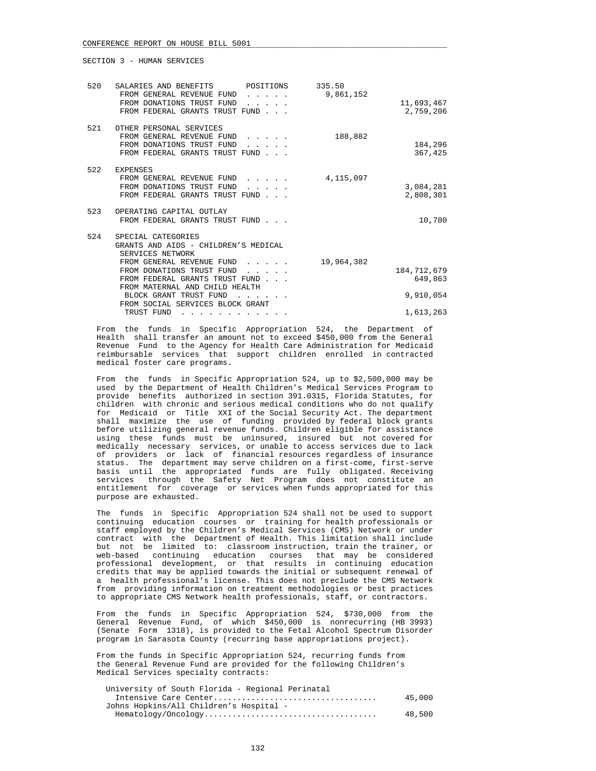| 520 | SALARIES AND BENEFITS POSITIONS<br>FROM GENERAL REVENUE FUND<br>FROM DONATIONS TRUST FUND<br>FROM FEDERAL GRANTS TRUST FUND                                                                                                                                                                                                                                                                                                                                              | .                                                                        | 335.50<br>9,861,152 | 11,693,467<br>2,759,206  |
|-----|--------------------------------------------------------------------------------------------------------------------------------------------------------------------------------------------------------------------------------------------------------------------------------------------------------------------------------------------------------------------------------------------------------------------------------------------------------------------------|--------------------------------------------------------------------------|---------------------|--------------------------|
| 521 | OTHER PERSONAL SERVICES<br>FROM GENERAL REVENUE FUND<br>FROM DONATIONS TRUST FUND<br>FROM FEDERAL GRANTS TRUST FUND                                                                                                                                                                                                                                                                                                                                                      | .                                                                        | 188,882             | 184,296<br>367,425       |
| 522 | <b>EXPENSES</b><br>FROM GENERAL REVENUE FUND<br>FROM DONATIONS TRUST FUND<br>FROM FEDERAL GRANTS TRUST FUND                                                                                                                                                                                                                                                                                                                                                              | $\mathbf{r}$ and $\mathbf{r}$ and $\mathbf{r}$ and $\mathbf{r}$          | 4,115,097           | 3,084,281<br>2,808,301   |
| 523 | OPERATING CAPITAL OUTLAY<br>FROM FEDERAL GRANTS TRUST FUND                                                                                                                                                                                                                                                                                                                                                                                                               |                                                                          |                     | 10,700                   |
| 524 | SPECIAL CATEGORIES<br>GRANTS AND AIDS - CHILDREN'S MEDICAL<br>SERVICES NETWORK<br>FROM GENERAL REVENUE FUND                                                                                                                                                                                                                                                                                                                                                              | $\mathbf{r}$ , $\mathbf{r}$ , $\mathbf{r}$ , $\mathbf{r}$ , $\mathbf{r}$ | 19,964,382          |                          |
|     | FROM DONATIONS TRUST FUND<br>FROM FEDERAL GRANTS TRUST FUND<br>FROM MATERNAL AND CHILD HEALTH                                                                                                                                                                                                                                                                                                                                                                            |                                                                          |                     | 184, 712, 679<br>649,863 |
|     | BLOCK GRANT TRUST FUND<br>FROM SOCIAL SERVICES BLOCK GRANT                                                                                                                                                                                                                                                                                                                                                                                                               |                                                                          |                     | 9,910,054                |
|     | TRUST FUND<br>$\mathbf{1} \qquad \mathbf{1} \qquad \mathbf{1} \qquad \mathbf{1} \qquad \mathbf{1} \qquad \mathbf{1} \qquad \mathbf{1} \qquad \mathbf{1} \qquad \mathbf{1} \qquad \mathbf{1} \qquad \mathbf{1} \qquad \mathbf{1} \qquad \mathbf{1} \qquad \mathbf{1} \qquad \mathbf{1} \qquad \mathbf{1} \qquad \mathbf{1} \qquad \mathbf{1} \qquad \mathbf{1} \qquad \mathbf{1} \qquad \mathbf{1} \qquad \mathbf{1} \qquad \mathbf{1} \qquad \mathbf{1} \qquad \mathbf{$ |                                                                          |                     | 1,613,263                |

 From the funds in Specific Appropriation 524, the Department of Health shall transfer an amount not to exceed \$450,000 from the General Revenue Fund to the Agency for Health Care Administration for Medicaid reimbursable services that support children enrolled in contracted medical foster care programs.

 From the funds in Specific Appropriation 524, up to \$2,500,000 may be used by the Department of Health Children's Medical Services Program to provide benefits authorized in section 391.0315, Florida Statutes, for children with chronic and serious medical conditions who do not qualify for Medicaid or Title XXI of the Social Security Act. The department shall maximize the use of funding provided by federal block grants before utilizing general revenue funds. Children eligible for assistance using these funds must be uninsured, insured but not covered for medically necessary services, or unable to access services due to lack of providers or lack of financial resources regardless of insurance status. The department may serve children on a first-come, first-serve basis until the appropriated funds are fully obligated. Receiving services through the Safety Net Program does not constitute an entitlement for coverage or services when funds appropriated for this purpose are exhausted.

 The funds in Specific Appropriation 524 shall not be used to support continuing education courses or training for health professionals or staff employed by the Children's Medical Services (CMS) Network or under contract with the Department of Health. This limitation shall include but not be limited to: classroom instruction, train the trainer, or web-based continuing education courses that may be considered professional development, or that results in continuing education credits that may be applied towards the initial or subsequent renewal of a health professional's license. This does not preclude the CMS Network from providing information on treatment methodologies or best practices to appropriate CMS Network health professionals, staff, or contractors.

 From the funds in Specific Appropriation 524, \$730,000 from the General Revenue Fund, of which \$450,000 is nonrecurring (HB 3993) (Senate Form 1318), is provided to the Fetal Alcohol Spectrum Disorder program in Sarasota County (recurring base appropriations project).

 From the funds in Specific Appropriation 524, recurring funds from the General Revenue Fund are provided for the following Children's Medical Services specialty contracts:

| University of South Florida - Regional Perinatal |        |
|--------------------------------------------------|--------|
|                                                  | 45,000 |
| Johns Hopkins/All Children's Hospital -          |        |
|                                                  | 48,500 |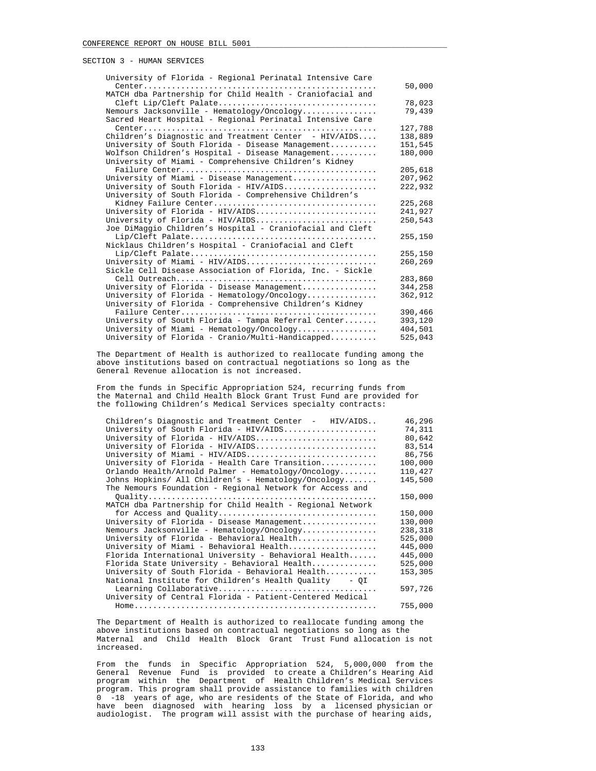| University of Florida - Regional Perinatal Intensive Care |         |
|-----------------------------------------------------------|---------|
|                                                           | 50,000  |
| MATCH dba Partnership for Child Health - Craniofacial and |         |
| Cleft Lip/Cleft Palate                                    | 78,023  |
| Nemours Jacksonville - Hematology/Oncology                | 79,439  |
| Sacred Heart Hospital - Regional Perinatal Intensive Care |         |
|                                                           | 127,788 |
| Children's Diagnostic and Treatment Center - $HIV/ALDS$   | 138,889 |
| University of South Florida - Disease Management          | 151,545 |
| Wolfson Children's Hospital - Disease Management          | 180,000 |
| University of Miami - Comprehensive Children's Kidney     |         |
|                                                           | 205,618 |
| University of Miami - Disease Management                  | 207,962 |
| University of South Florida - HIV/AIDS                    | 222,932 |
| University of South Florida - Comprehensive Children's    |         |
|                                                           | 225,268 |
| University of Florida - HIV/AIDS                          | 241,927 |
| University of Florida - HIV/AIDS                          | 250,543 |
| Joe DiMaggio Children's Hospital - Craniofacial and Cleft |         |
|                                                           | 255,150 |
| Nicklaus Children's Hospital - Craniofacial and Cleft     |         |
|                                                           | 255,150 |
| University of Miami - HIV/AIDS                            | 260,269 |
| Sickle Cell Disease Association of Florida, Inc. - Sickle |         |
|                                                           | 283,860 |
| University of Florida - Disease Management                | 344,258 |
| University of Florida - Hematology/Oncology               | 362,912 |
| University of Florida - Comprehensive Children's Kidney   |         |
|                                                           | 390,466 |
| University of South Florida - Tampa Referral Center       | 393,120 |
| University of Miami - Hematology/Oncology                 | 404,501 |
| University of Florida - Cranio/Multi-Handicapped          | 525,043 |

 The Department of Health is authorized to reallocate funding among the above institutions based on contractual negotiations so long as the General Revenue allocation is not increased.

 From the funds in Specific Appropriation 524, recurring funds from the Maternal and Child Health Block Grant Trust Fund are provided for the following Children's Medical Services specialty contracts:

| Children's Diagnostic and Treatment Center - HIV/AIDS     | 46,296  |
|-----------------------------------------------------------|---------|
| University of South Florida - HIV/AIDS                    | 74,311  |
| University of Florida - HIV/AIDS                          | 80,642  |
| University of Florida - HIV/AIDS                          | 83,514  |
| University of Miami - HIV/AIDS                            | 86,756  |
| University of Florida - Health Care Transition            | 100,000 |
| Orlando Health/Arnold Palmer - Hematology/Oncology        | 110,427 |
| Johns Hopkins/ All Children's - Hematology/Oncology       | 145,500 |
| The Nemours Foundation - Regional Network for Access and  |         |
|                                                           | 150,000 |
| MATCH dba Partnership for Child Health - Regional Network |         |
| for Access and Quality                                    | 150,000 |
| University of Florida - Disease Management                | 130,000 |
| Nemours Jacksonville - Hematology/Oncology                | 238,318 |
| University of Florida - Behavioral Health                 | 525,000 |
| University of Miami - Behavioral Health                   | 445,000 |
| Florida International University - Behavioral Health      | 445,000 |
| Florida State University - Behavioral Health              | 525,000 |
| University of South Florida - Behavioral Health           | 153,305 |
| National Institute for Children's Health Ouality - OI     |         |
| Learning Collaborative                                    | 597,726 |
| University of Central Florida - Patient-Centered Medical  |         |
|                                                           | 755,000 |
|                                                           |         |

 The Department of Health is authorized to reallocate funding among the above institutions based on contractual negotiations so long as the Maternal and Child Health Block Grant Trust Fund allocation is not increased.

 From the funds in Specific Appropriation 524, 5,000,000 from the General Revenue Fund is provided to create a Children's Hearing Aid program within the Department of Health Children's Medical Services program. This program shall provide assistance to families with children 0 -18 years of age, who are residents of the State of Florida, and who have been diagnosed with hearing loss by a licensed physician or audiologist. The program will assist with the purchase of hearing aids,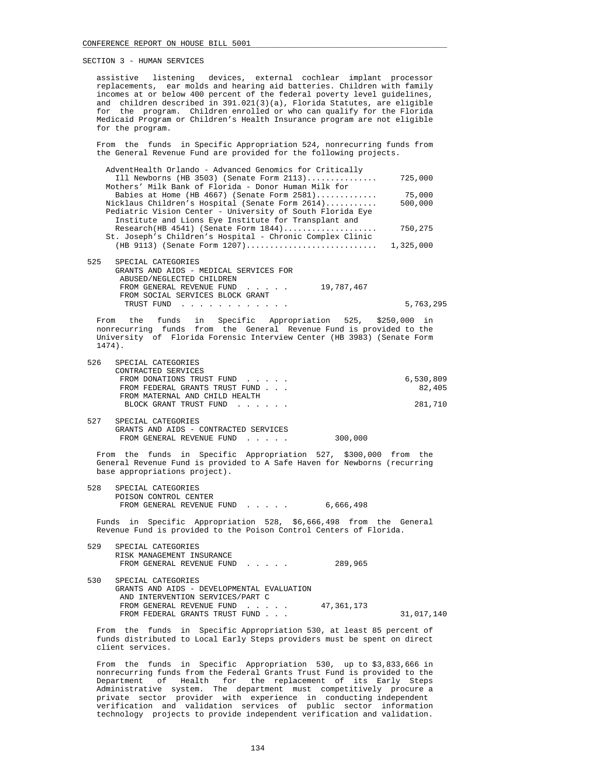assistive listening devices, external cochlear implant processor replacements, ear molds and hearing aid batteries. Children with family incomes at or below 400 percent of the federal poverty level guidelines, and children described in 391.021(3)(a), Florida Statutes, are eligible for the program. Children enrolled or who can qualify for the Florida Medicaid Program or Children's Health Insurance program are not eligible for the program.

 From the funds in Specific Appropriation 524, nonrecurring funds from the General Revenue Fund are provided for the following projects.

| AdventHealth Orlando - Advanced Genomics for Critically   |           |
|-----------------------------------------------------------|-----------|
| Ill Newborns (HB 3503) (Senate Form $2113$ )              | 725,000   |
| Mothers' Milk Bank of Florida - Donor Human Milk for      |           |
| Babies at Home (HB 4667) (Senate Form 2581)               | 75,000    |
| Nicklaus Children's Hospital (Senate Form 2614)           | 500,000   |
| Pediatric Vision Center - University of South Florida Eye |           |
| Institute and Lions Eye Institute for Transplant and      |           |
| $Research(HB 4541)$ (Senate Form $1844)$                  | 750,275   |
| St. Joseph's Children's Hospital - Chronic Complex Clinic |           |
| $(HB 9113)$ (Senate Form 1207)                            | 1,325,000 |
| 525<br>SPECIAL CATEGORIES                                 |           |
| GRANTS AND AIDS - MEDICAL SERVICES FOR                    |           |
|                                                           |           |

| ABUSED/NEGLECTED CHILDREN        |  |            |           |
|----------------------------------|--|------------|-----------|
| FROM GENERAL REVENUE FUND        |  | 19,787,467 |           |
| FROM SOCIAL SERVICES BLOCK GRANT |  |            |           |
| TRUST FUND                       |  |            | 5,763,295 |
|                                  |  |            |           |

 From the funds in Specific Appropriation 525, \$250,000 in nonrecurring funds from the General Revenue Fund is provided to the University of Florida Forensic Interview Center (HB 3983) (Senate Form 1474).

| 6,530,809 |
|-----------|
| 82.405    |
|           |
| 281,710   |
|           |

 527 SPECIAL CATEGORIES GRANTS AND AIDS - CONTRACTED SERVICES FROM GENERAL REVENUE FUND . . . . . 300,000

 From the funds in Specific Appropriation 527, \$300,000 from the General Revenue Fund is provided to A Safe Haven for Newborns (recurring base appropriations project).

 528 SPECIAL CATEGORIES POISON CONTROL CENTER FROM GENERAL REVENUE FUND . . . . . 6,666,498

 Funds in Specific Appropriation 528, \$6,666,498 from the General Revenue Fund is provided to the Poison Control Centers of Florida.

| 529 | SPECIAL CATEGORIES                         |            |            |
|-----|--------------------------------------------|------------|------------|
|     | RISK MANAGEMENT INSURANCE                  |            |            |
|     | FROM GENERAL REVENUE FUND                  | 289,965    |            |
|     |                                            |            |            |
| 530 | SPECIAL CATEGORIES                         |            |            |
|     | GRANTS AND AIDS - DEVELOPMENTAL EVALUATION |            |            |
|     | AND INTERVENTION SERVICES/PART C           |            |            |
|     | FROM GENERAL REVENUE FUND                  | 47,361,173 |            |
|     | FROM FEDERAL GRANTS TRUST FUND             |            | 31,017,140 |
|     |                                            |            |            |

 From the funds in Specific Appropriation 530, at least 85 percent of funds distributed to Local Early Steps providers must be spent on direct client services.

 From the funds in Specific Appropriation 530, up to \$3,833,666 in nonrecurring funds from the Federal Grants Trust Fund is provided to the Department of Health for the replacement of its Early Steps Administrative system. The department must competitively procure a private sector provider with experience in conducting independent verification and validation services of public sector information technology projects to provide independent verification and validation.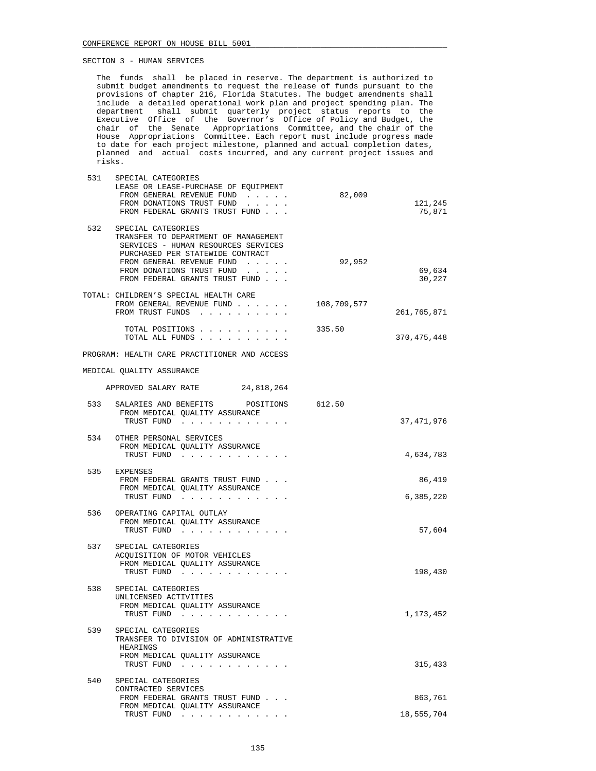The funds shall be placed in reserve. The department is authorized to submit budget amendments to request the release of funds pursuant to the provisions of chapter 216, Florida Statutes. The budget amendments shall include a detailed operational work plan and project spending plan. The department shall submit quarterly project status reports to the Executive Office of the Governor's Office of Policy and Budget, the chair of the Senate Appropriations Committee, and the chair of the House Appropriations Committee. Each report must include progress made to date for each project milestone, planned and actual completion dates, planned and actual costs incurred, and any current project issues and risks.

| 531 | SPECIAL CATEGORIES<br>LEASE OR LEASE-PURCHASE OF EQUIPMENT<br>FROM GENERAL REVENUE FUND<br>FROM DONATIONS TRUST FUND<br>FROM FEDERAL GRANTS TRUST FUND                                                                                                        | 82,009 | 121,245<br>75,871   |
|-----|---------------------------------------------------------------------------------------------------------------------------------------------------------------------------------------------------------------------------------------------------------------|--------|---------------------|
| 532 | SPECIAL CATEGORIES<br>TRANSFER TO DEPARTMENT OF MANAGEMENT<br>SERVICES - HUMAN RESOURCES SERVICES<br>PURCHASED PER STATEWIDE CONTRACT<br>FROM GENERAL REVENUE FUND<br>FROM DONATIONS TRUST FUND<br>and a state of the state<br>FROM FEDERAL GRANTS TRUST FUND | 92,952 | 69,634<br>30,227    |
|     | TOTAL: CHILDREN'S SPECIAL HEALTH CARE<br>FROM GENERAL REVENUE FUND 108,709,577<br>FROM TRUST FUNDS                                                                                                                                                            |        | 261,765,871         |
|     | TOTAL POSITIONS<br>TOTAL ALL FUNDS                                                                                                                                                                                                                            | 335.50 | 370, 475, 448       |
|     | PROGRAM: HEALTH CARE PRACTITIONER AND ACCESS                                                                                                                                                                                                                  |        |                     |
|     | MEDICAL QUALITY ASSURANCE                                                                                                                                                                                                                                     |        |                     |
|     | APPROVED SALARY RATE<br>24,818,264                                                                                                                                                                                                                            |        |                     |
| 533 | SALARIES AND BENEFITS POSITIONS 612.50<br>FROM MEDICAL QUALITY ASSURANCE<br>TRUST FUND                                                                                                                                                                        |        | 37, 471, 976        |
| 534 | OTHER PERSONAL SERVICES<br>FROM MEDICAL QUALITY ASSURANCE<br>TRUST FUND                                                                                                                                                                                       |        | 4,634,783           |
| 535 | EXPENSES<br>FROM FEDERAL GRANTS TRUST FUND<br>FROM MEDICAL OUALITY ASSURANCE<br>TRUST FUND                                                                                                                                                                    |        | 86,419<br>6,385,220 |
| 536 | OPERATING CAPITAL OUTLAY<br>FROM MEDICAL QUALITY ASSURANCE<br>TRUST FUND                                                                                                                                                                                      |        | 57,604              |
|     | 537 SPECIAL CATEGORIES<br>ACQUISITION OF MOTOR VEHICLES<br>FROM MEDICAL QUALITY ASSURANCE<br>TRUST FUND                                                                                                                                                       |        | 198,430             |
| 538 | SPECIAL CATEGORIES<br>UNLICENSED ACTIVITIES<br>FROM MEDICAL QUALITY ASSURANCE<br>TRUST FUND                                                                                                                                                                   |        | 1,173,452           |
| 539 | SPECIAL CATEGORIES                                                                                                                                                                                                                                            |        |                     |

| - 33 | SPECIAL CAIEGORIES                     |            |
|------|----------------------------------------|------------|
|      | TRANSFER TO DIVISION OF ADMINISTRATIVE |            |
|      | HEARINGS                               |            |
|      | FROM MEDICAL OUALITY ASSURANCE         |            |
|      | TRUST FUND                             | 315,433    |
| 540  | SPECIAL CATEGORIES                     |            |
|      | CONTRACTED SERVICES                    |            |
|      | FROM FEDERAL GRANTS TRUST FUND         | 863,761    |
|      | FROM MEDICAL OUALITY ASSURANCE         |            |
|      | TRUST FUND                             | 18,555,704 |
|      |                                        |            |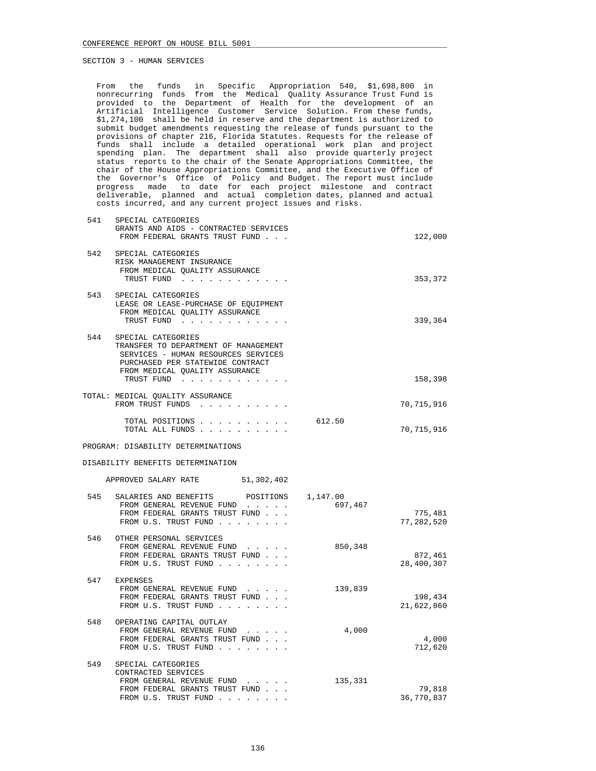From the funds in Specific Appropriation 540, \$1,698,800 in nonrecurring funds from the Medical Quality Assurance Trust Fund is provided to the Department of Health for the development of an Artificial Intelligence Customer Service Solution. From these funds, \$1,274,100 shall be held in reserve and the department is authorized to submit budget amendments requesting the release of funds pursuant to the provisions of chapter 216, Florida Statutes. Requests for the release of funds shall include a detailed operational work plan and project spending plan. The department shall also provide quarterly project status reports to the chair of the Senate Appropriations Committee, the chair of the House Appropriations Committee, and the Executive Office of the Governor's Office of Policy and Budget. The report must include progress made to date for each project milestone and contract deliverable, planned and actual completion dates, planned and actual costs incurred, and any current project issues and risks.

| 541 | SPECIAL CATEGORIES<br>GRANTS AND AIDS - CONTRACTED SERVICES<br>FROM FEDERAL GRANTS TRUST FUND                                                                           |         | 122,000               |
|-----|-------------------------------------------------------------------------------------------------------------------------------------------------------------------------|---------|-----------------------|
| 542 | SPECIAL CATEGORIES<br>RISK MANAGEMENT INSURANCE<br>FROM MEDICAL QUALITY ASSURANCE<br>TRUST FUND                                                                         |         | 353,372               |
| 543 | SPECIAL CATEGORIES<br>LEASE OR LEASE-PURCHASE OF EQUIPMENT<br>FROM MEDICAL QUALITY ASSURANCE<br>TRUST FUND                                                              |         | 339,364               |
| 544 | SPECIAL CATEGORIES<br>TRANSFER TO DEPARTMENT OF MANAGEMENT<br>SERVICES - HUMAN RESOURCES SERVICES<br>PURCHASED PER STATEWIDE CONTRACT<br>FROM MEDICAL OUALITY ASSURANCE |         |                       |
|     | TRUST FUND<br>the contract of the contract of the contract of                                                                                                           |         | 158,398               |
|     | TOTAL: MEDICAL QUALITY ASSURANCE<br>FROM TRUST FUNDS                                                                                                                    |         | 70,715,916            |
|     | TOTAL POSITIONS<br>TOTAL ALL FUNDS                                                                                                                                      | 612.50  | 70,715,916            |
|     | PROGRAM: DISABILITY DETERMINATIONS                                                                                                                                      |         |                       |
|     | DISABILITY BENEFITS DETERMINATION                                                                                                                                       |         |                       |
|     | APPROVED SALARY RATE 51,302,402                                                                                                                                         |         |                       |
| 545 | SALARIES AND BENEFITS POSITIONS 1,147.00<br>FROM GENERAL REVENUE FUND<br>FROM FEDERAL GRANTS TRUST FUND<br>FROM U.S. TRUST FUND                                         | 697,467 | 775,481<br>77,282,520 |
| 546 | OTHER PERSONAL SERVICES<br>FROM GENERAL REVENUE FUND<br>FROM FEDERAL GRANTS TRUST FUND<br>FROM U.S. TRUST FUND                                                          | 850,348 | 872,461<br>28,400,307 |
| 547 | EXPENSES<br>FROM GENERAL REVENUE FUND<br>FROM FEDERAL GRANTS TRUST FUND<br>FROM U.S. TRUST FUND                                                                         | 139,839 | 198,434<br>21,622,860 |
|     |                                                                                                                                                                         |         |                       |

| OPERATING CAPITAL OUTLAY       |         |            |
|--------------------------------|---------|------------|
| FROM GENERAL REVENUE FUND      | 4,000   |            |
| FROM FEDERAL GRANTS TRUST FUND |         | 4,000      |
| FROM U.S. TRUST FUND           |         | 712,620    |
| SPECIAL CATEGORIES             |         |            |
| CONTRACTED SERVICES            |         |            |
| FROM GENERAL REVENUE FUND      | 135,331 |            |
| FROM FEDERAL GRANTS TRUST FUND |         | 79,818     |
| FROM U.S. TRUST FUND           |         | 36,770,837 |
|                                |         |            |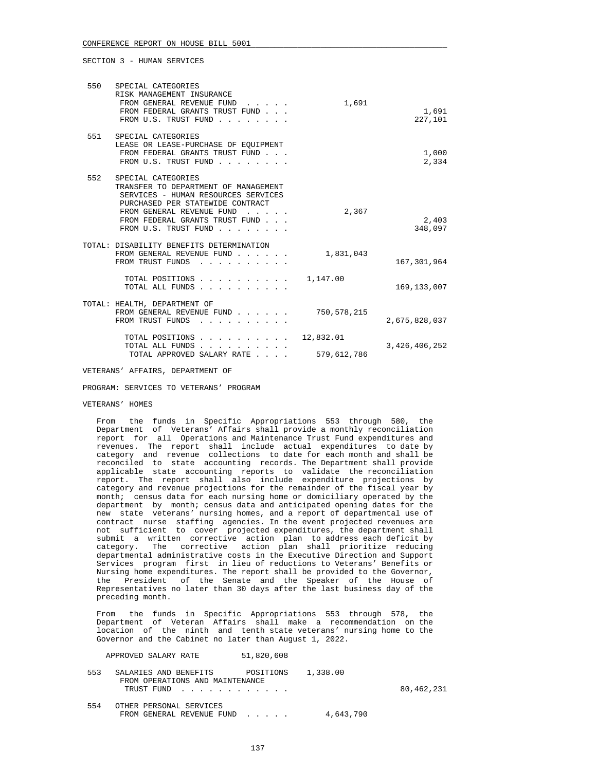| 550 | SPECIAL CATEGORIES<br>RISK MANAGEMENT INSURANCE<br>FROM GENERAL REVENUE FUND<br>FROM FEDERAL GRANTS TRUST FUND<br>FROM U.S. TRUST FUND                                                                                       | 1,691                    | 1,691<br>227,101 |
|-----|------------------------------------------------------------------------------------------------------------------------------------------------------------------------------------------------------------------------------|--------------------------|------------------|
| 551 | SPECIAL CATEGORIES<br>LEASE OR LEASE-PURCHASE OF EOUIPMENT<br>FROM FEDERAL GRANTS TRUST FUND<br>FROM U.S. TRUST FUND                                                                                                         |                          | 1,000<br>2,334   |
| 552 | SPECIAL CATEGORIES<br>TRANSFER TO DEPARTMENT OF MANAGEMENT<br>SERVICES - HUMAN RESOURCES SERVICES<br>PURCHASED PER STATEWIDE CONTRACT<br>FROM GENERAL REVENUE FUND<br>FROM FEDERAL GRANTS TRUST FUND<br>FROM U.S. TRUST FUND | 2,367                    | 2,403<br>348,097 |
|     | TOTAL: DISABILITY BENEFITS DETERMINATION<br>FROM GENERAL REVENUE FUND<br>FROM TRUST FUNDS                                                                                                                                    | 1,831,043                | 167,301,964      |
|     | TOTAL POSITIONS<br>TOTAL ALL FUNDS                                                                                                                                                                                           | 1,147.00                 | 169, 133, 007    |
|     | TOTAL: HEALTH, DEPARTMENT OF<br>FROM GENERAL REVENUE FUND<br>FROM TRUST FUNDS                                                                                                                                                | 750,578,215              | 2,675,828,037    |
|     | TOTAL POSITIONS<br>TOTAL ALL FUNDS<br>TOTAL APPROVED SALARY RATE                                                                                                                                                             | 12,832.01<br>579,612,786 | 3,426,406,252    |

VETERANS' AFFAIRS, DEPARTMENT OF

PROGRAM: SERVICES TO VETERANS' PROGRAM

## VETERANS' HOMES

 From the funds in Specific Appropriations 553 through 580, the Department of Veterans' Affairs shall provide a monthly reconciliation report for all Operations and Maintenance Trust Fund expenditures and revenues. The report shall include actual expenditures to date by category and revenue collections to date for each month and shall be reconciled to state accounting records. The Department shall provide applicable state accounting reports to validate the reconciliation report. The report shall also include expenditure projections by category and revenue projections for the remainder of the fiscal year by month; census data for each nursing home or domiciliary operated by the department by month; census data and anticipated opening dates for the new state veterans' nursing homes, and a report of departmental use of contract nurse staffing agencies. In the event projected revenues are not sufficient to cover projected expenditures, the department shall submit a written corrective action plan to address each deficit by category. The corrective action plan shall prioritize reducing departmental administrative costs in the Executive Direction and Support Services program first in lieu of reductions to Veterans' Benefits or Nursing home expenditures. The report shall be provided to the Governor, the President of the Senate and the Speaker of the House of Representatives no later than 30 days after the last business day of the preceding month.

 From the funds in Specific Appropriations 553 through 578, the Department of Veteran Affairs shall make a recommendation on the location of the ninth and tenth state veterans' nursing home to the Governor and the Cabinet no later than August 1, 2022.

APPROVED SALARY RATE 51,820,608

| 553 | SALARIES AND BENEFITS POSITIONS<br>FROM OPERATIONS AND MAINTENANCE<br>TRUST FUND | 1,338.00  | 80,462,231 |
|-----|----------------------------------------------------------------------------------|-----------|------------|
| 554 | OTHER PERSONAL SERVICES<br>FROM GENERAL REVENUE FUND                             | 4,643,790 |            |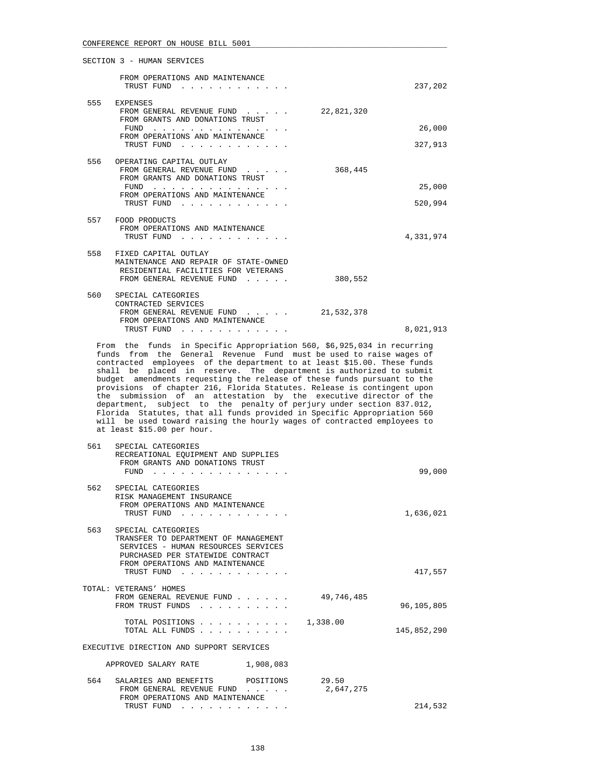|     | SECTION 3 - HUMAN SERVICES                                                                                                                                                                                                                                                      |            |                   |
|-----|---------------------------------------------------------------------------------------------------------------------------------------------------------------------------------------------------------------------------------------------------------------------------------|------------|-------------------|
|     | FROM OPERATIONS AND MAINTENANCE<br>TRUST FUND<br>$\mathbf{r}$ , $\mathbf{r}$ , $\mathbf{r}$ , $\mathbf{r}$ , $\mathbf{r}$                                                                                                                                                       |            | 237,202           |
| 555 | EXPENSES<br>FROM GENERAL REVENUE FUND<br>FROM GRANTS AND DONATIONS TRUST<br>FUND                                                                                                                                                                                                | 22,821,320 | 26,000            |
|     | FROM OPERATIONS AND MAINTENANCE<br>TRUST FUND<br>design and a state of the state of the state of the state of the state of the state of the state of the state of the state of the state of the state of the state of the state of the state of the state of the state of the s |            | 327,913           |
| 556 | OPERATING CAPITAL OUTLAY<br>FROM GENERAL REVENUE FUND<br>FROM GRANTS AND DONATIONS TRUST<br>FIJND<br>FROM OPERATIONS AND MAINTENANCE<br>TRUST FUND<br>$\mathbf{r}$ , $\mathbf{r}$ , $\mathbf{r}$ , $\mathbf{r}$ , $\mathbf{r}$<br>and the second control of the second          | 368,445    | 25,000<br>520,994 |
|     | 557 FOOD PRODUCTS<br>FROM OPERATIONS AND MAINTENANCE<br>TRUST FUND<br>$\sim$ $\sim$ $\sim$ $\sim$ $\sim$                                                                                                                                                                        |            | 4,331,974         |
| 558 | FIXED CAPITAL OUTLAY<br>MAINTENANCE AND REPAIR OF STATE-OWNED<br>RESIDENTIAL FACILITIES FOR VETERANS<br>FROM GENERAL REVENUE FUND                                                                                                                                               | 380,552    |                   |
| 560 | SPECIAL CATEGORIES<br>CONTRACTED SERVICES<br>FROM GENERAL REVENUE FUND<br>FROM OPERATIONS AND MAINTENANCE                                                                                                                                                                       | 21,532,378 |                   |
|     | TRUST FUND                                                                                                                                                                                                                                                                      |            | 8,021,913         |

 From the funds in Specific Appropriation 560, \$6,925,034 in recurring funds from the General Revenue Fund must be used to raise wages of contracted employees of the department to at least \$15.00. These funds shall be placed in reserve. The department is authorized to submit budget amendments requesting the release of these funds pursuant to the provisions of chapter 216, Florida Statutes. Release is contingent upon the submission of an attestation by the executive director of the department, subject to the penalty of perjury under section 837.012, Florida Statutes, that all funds provided in Specific Appropriation 560 will be used toward raising the hourly wages of contracted employees to at least \$15.00 per hour.

| 561 | SPECIAL CATEGORIES<br>RECREATIONAL EQUIPMENT AND SUPPLIES<br>FROM GRANTS AND DONATIONS TRUST<br>FUND                                                                                                                  |                    | 99,000      |
|-----|-----------------------------------------------------------------------------------------------------------------------------------------------------------------------------------------------------------------------|--------------------|-------------|
|     | 562 SPECIAL CATEGORIES<br>RISK MANAGEMENT INSURANCE<br>FROM OPERATIONS AND MAINTENANCE<br>TRUST FUND                                                                                                                  |                    | 1,636,021   |
| 563 | SPECIAL CATEGORIES<br>TRANSFER TO DEPARTMENT OF MANAGEMENT<br>SERVICES - HUMAN RESOURCES SERVICES<br>PURCHASED PER STATEWIDE CONTRACT<br>FROM OPERATIONS AND MAINTENANCE<br>TRUST FUND<br><u>in the second second</u> |                    | 417,557     |
|     | TOTAL: VETERANS' HOMES<br>FROM GENERAL REVENUE FUND<br>FROM TRUST FUNDS                                                                                                                                               | 49,746,485         | 96,105,805  |
|     | TOTAL POSITIONS<br>TOTAL ALL FUNDS                                                                                                                                                                                    | 1,338.00           | 145,852,290 |
|     | EXECUTIVE DIRECTION AND SUPPORT SERVICES                                                                                                                                                                              |                    |             |
|     | APPROVED SALARY RATE<br>1,908,083                                                                                                                                                                                     |                    |             |
| 564 | SALARIES AND BENEFITS POSITIONS<br>FROM GENERAL REVENUE FUND<br>$\mathbf{r}$ , $\mathbf{r}$ , $\mathbf{r}$ , $\mathbf{r}$<br>FROM OPERATIONS AND MAINTENANCE                                                          | 29.50<br>2,647,275 |             |
|     | TRUST FUND<br>the company of the company of                                                                                                                                                                           |                    | 214,532     |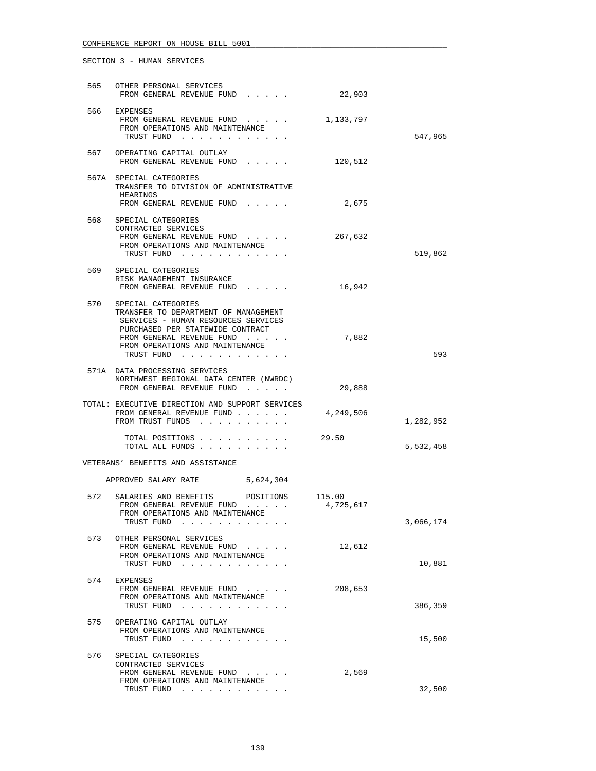| 565 | OTHER PERSONAL SERVICES<br>FROM GENERAL REVENUE FUND                                                                                                                                                                    | 22,903    |           |
|-----|-------------------------------------------------------------------------------------------------------------------------------------------------------------------------------------------------------------------------|-----------|-----------|
|     | 566 EXPENSES<br>FROM GENERAL REVENUE FUND<br>FROM OPERATIONS AND MAINTENANCE<br>TRUST FUND                                                                                                                              | 1,133,797 | 547,965   |
|     | 567 OPERATING CAPITAL OUTLAY<br>FROM GENERAL REVENUE FUND                                                                                                                                                               | 120,512   |           |
|     | 567A SPECIAL CATEGORIES<br>TRANSFER TO DIVISION OF ADMINISTRATIVE<br>HEARINGS<br>FROM GENERAL REVENUE FUND                                                                                                              | 2,675     |           |
| 568 | SPECIAL CATEGORIES<br>CONTRACTED SERVICES<br>FROM GENERAL REVENUE FUND<br>FROM OPERATIONS AND MAINTENANCE<br>TRUST FUND                                                                                                 | 267,632   | 519,862   |
|     | 569 SPECIAL CATEGORIES<br>RISK MANAGEMENT INSURANCE<br>FROM GENERAL REVENUE FUND                                                                                                                                        | 16,942    |           |
|     | 570 SPECIAL CATEGORIES<br>TRANSFER TO DEPARTMENT OF MANAGEMENT<br>SERVICES - HUMAN RESOURCES SERVICES<br>PURCHASED PER STATEWIDE CONTRACT<br>FROM GENERAL REVENUE FUND<br>FROM OPERATIONS AND MAINTENANCE<br>TRUST FUND | 7,882     | 593       |
|     | 571A DATA PROCESSING SERVICES<br>NORTHWEST REGIONAL DATA CENTER (NWRDC)<br>FROM GENERAL REVENUE FUND                                                                                                                    | 29,888    |           |
|     | TOTAL: EXECUTIVE DIRECTION AND SUPPORT SERVICES<br>FROM GENERAL REVENUE FUND<br>FROM TRUST FUNDS                                                                                                                        | 4,249,506 | 1,282,952 |
|     | TOTAL POSITIONS<br>TOTAL ALL FUNDS                                                                                                                                                                                      | 29.50     | 5,532,458 |
|     | VETERANS' BENEFITS AND ASSISTANCE                                                                                                                                                                                       |           |           |
|     | APPROVED SALARY RATE 5,624,304                                                                                                                                                                                          |           |           |
| 572 | SALARIES AND BENEFITS POSITIONS 115.00<br>FROM GENERAL REVENUE FUND<br>FROM OPERATIONS AND MAINTENANCE<br>TRUST FUND                                                                                                    | 4,725,617 | 3,066,174 |
| 573 | OTHER PERSONAL SERVICES<br>FROM GENERAL REVENUE FUND<br>FROM OPERATIONS AND MAINTENANCE<br>TRUST FUND                                                                                                                   | 12,612    | 10,881    |
|     | 574 EXPENSES<br>FROM GENERAL REVENUE FUND<br>FROM OPERATIONS AND MAINTENANCE<br>TRUST FUND                                                                                                                              | 208,653   | 386,359   |
| 575 | OPERATING CAPITAL OUTLAY<br>FROM OPERATIONS AND MAINTENANCE<br>TRUST FUND                                                                                                                                               |           | 15,500    |
| 576 | SPECIAL CATEGORIES<br>CONTRACTED SERVICES<br>FROM GENERAL REVENUE FUND<br>FROM OPERATIONS AND MAINTENANCE<br>TRUST FUND                                                                                                 | 2,569     | 32,500    |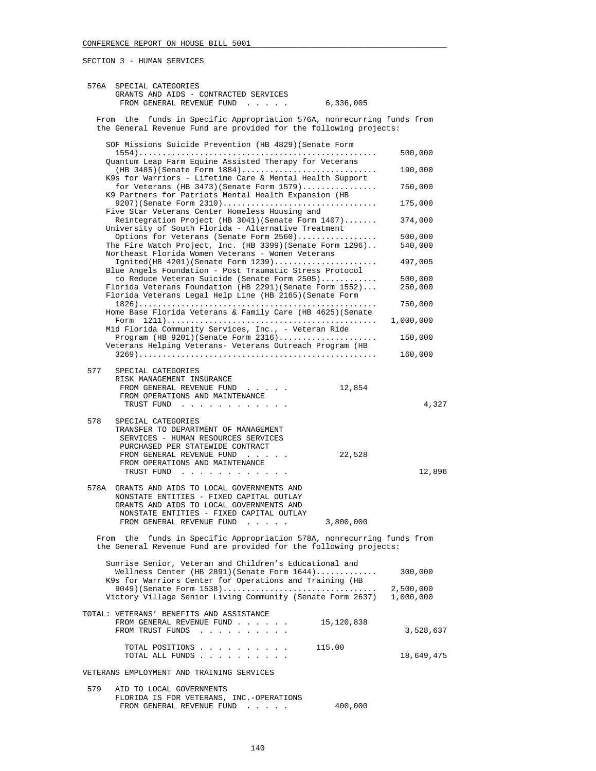| 576A | SPECIAL CATEGORIES                                                                                                                          |                        |
|------|---------------------------------------------------------------------------------------------------------------------------------------------|------------------------|
|      | GRANTS AND AIDS - CONTRACTED SERVICES<br>FROM GENERAL REVENUE FUND<br>6,336,005<br>and the state of the state of                            |                        |
|      | From the funds in Specific Appropriation 576A, nonrecurring funds from<br>the General Revenue Fund are provided for the following projects: |                        |
|      | SOF Missions Suicide Prevention (HB 4829) (Senate Form                                                                                      |                        |
|      | Quantum Leap Farm Equine Assisted Therapy for Veterans                                                                                      | 500,000                |
|      | $(HB 3485)$ (Senate Form $1884)$<br>K9s for Warriors - Lifetime Care & Mental Health Support                                                | 190,000                |
|      | for Veterans (HB 3473) (Senate Form 1579)<br>K9 Partners for Patriots Mental Health Expansion (HB                                           | 750,000                |
|      | $9207$ (Senate Form $2310)$<br>Five Star Veterans Center Homeless Housing and                                                               | 175,000                |
|      | Reintegration Project (HB 3041) (Senate Form 1407)<br>University of South Florida - Alternative Treatment                                   | 374,000                |
|      | Options for Veterans (Senate Form 2560)                                                                                                     | 500,000                |
|      | The Fire Watch Project, Inc. (HB 3399) (Senate Form 1296)<br>Northeast Florida Women Veterans - Women Veterans                              | 540,000                |
|      | Ignited(HB 4201)(Senate Form 1239)<br>Blue Angels Foundation - Post Traumatic Stress Protocol                                               | 497,005                |
|      | to Reduce Veteran Suicide (Senate Form 2505)                                                                                                | 500,000                |
|      | Florida Veterans Foundation (HB 2291) (Senate Form 1552)<br>Florida Veterans Legal Help Line (HB 2165) (Senate Form                         | 250,000                |
|      | Home Base Florida Veterans & Family Care (HB $4625$ ) (Senate                                                                               | 750,000                |
|      | Mid Florida Community Services, Inc., - Veteran Ride                                                                                        | 1,000,000              |
|      | Veterans Helping Veterans- Veterans Outreach Program (HB                                                                                    | 150,000                |
|      |                                                                                                                                             | 160,000                |
| 577  | SPECIAL CATEGORIES                                                                                                                          |                        |
|      | RISK MANAGEMENT INSURANCE                                                                                                                   |                        |
|      | 12,854<br>FROM GENERAL REVENUE FUND                                                                                                         |                        |
|      | FROM OPERATIONS AND MAINTENANCE<br>TRUST FUND                                                                                               | 4,327                  |
|      |                                                                                                                                             |                        |
| 578  | SPECIAL CATEGORIES                                                                                                                          |                        |
|      | TRANSFER TO DEPARTMENT OF MANAGEMENT<br>SERVICES - HUMAN RESOURCES SERVICES                                                                 |                        |
|      | PURCHASED PER STATEWIDE CONTRACT                                                                                                            |                        |
|      | FROM GENERAL REVENUE FUND<br>22,528                                                                                                         |                        |
|      | FROM OPERATIONS AND MAINTENANCE                                                                                                             |                        |
|      | TRUST FUND                                                                                                                                  | 12,896                 |
| 578A | GRANTS AND AIDS TO LOCAL GOVERNMENTS AND                                                                                                    |                        |
|      | NONSTATE ENTITIES - FIXED CAPITAL OUTLAY<br>GRANTS AND AIDS TO LOCAL GOVERNMENTS AND                                                        |                        |
|      | NONSTATE ENTITIES - FIXED CAPITAL OUTLAY                                                                                                    |                        |
|      | 3,800,000<br>FROM GENERAL REVENUE FUND<br>$\sim$ $\sim$ $\sim$ $\sim$ $\sim$                                                                |                        |
|      | From the funds in Specific Appropriation 578A, nonrecurring funds from                                                                      |                        |
|      | the General Revenue Fund are provided for the following projects:                                                                           |                        |
|      | Sunrise Senior, Veteran and Children's Educational and                                                                                      |                        |
|      | Wellness Center (HB 2891) (Senate Form $1644)$                                                                                              | 300,000                |
|      | K9s for Warriors Center for Operations and Training (HB                                                                                     |                        |
|      | $9049$ (Senate Form $1538$ )<br>Victory Village Senior Living Community (Senate Form 2637)                                                  | 2,500,000<br>1,000,000 |
|      |                                                                                                                                             |                        |
|      | TOTAL: VETERANS' BENEFITS AND ASSISTANCE                                                                                                    |                        |
|      | FROM GENERAL REVENUE FUND<br>15,120,838<br>FROM TRUST FUNDS                                                                                 | 3,528,637              |
|      | 115.00<br>TOTAL POSITIONS                                                                                                                   |                        |
|      | TOTAL ALL FUNDS                                                                                                                             | 18,649,475             |
|      | VETERANS EMPLOYMENT AND TRAINING SERVICES                                                                                                   |                        |
| 579  | AID TO LOCAL GOVERNMENTS<br>FLORIDA IS FOR VETERANS, INC.-OPERATIONS                                                                        |                        |
|      |                                                                                                                                             |                        |

FROM GENERAL REVENUE FUND . . . . . 400,000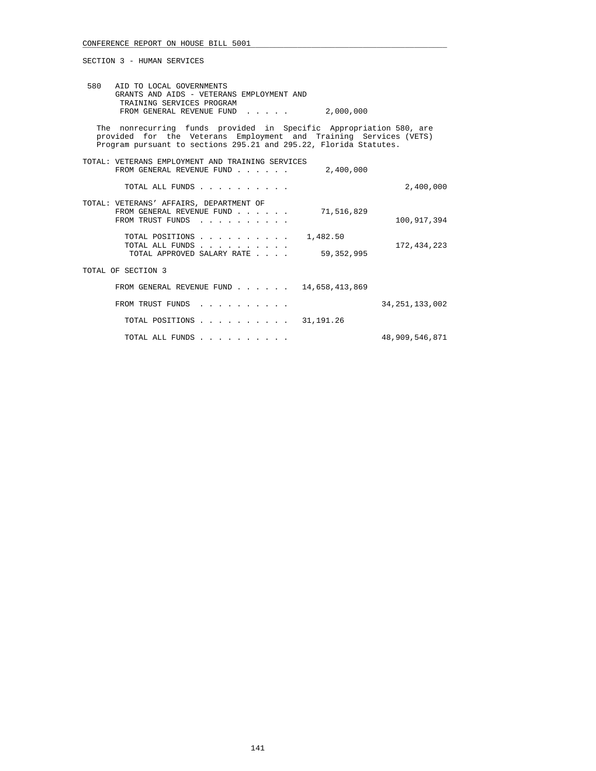| 580 AID TO LOCAL GOVERNMENTS<br>GRANTS AND AIDS - VETERANS EMPLOYMENT AND<br>TRAINING SERVICES PROGRAM<br>FROM GENERAL REVENUE FUND 2,000,000                                                                |                   |
|--------------------------------------------------------------------------------------------------------------------------------------------------------------------------------------------------------------|-------------------|
| The nonrecurring funds provided in Specific Appropriation 580, are<br>provided for the Veterans Employment and Training Services (VETS)<br>Program pursuant to sections 295.21 and 295.22, Florida Statutes. |                   |
| TOTAL: VETERANS EMPLOYMENT AND TRAINING SERVICES<br>FROM GENERAL REVENUE FUND<br>2,400,000                                                                                                                   |                   |
| TOTAL ALL FUNDS                                                                                                                                                                                              | 2,400,000         |
| TOTAL: VETERANS' AFFAIRS, DEPARTMENT OF<br>FROM GENERAL REVENUE FUND<br>71,516,829<br>FROM TRUST FUNDS                                                                                                       | 100,917,394       |
| TOTAL POSITIONS<br>1,482.50<br>TOTAL ALL FUNDS<br>59,352,995<br>TOTAL APPROVED SALARY RATE                                                                                                                   | 172,434,223       |
| TOTAL OF SECTION 3                                                                                                                                                                                           |                   |
| FROM GENERAL REVENUE FUND $\ldots$ , , , 14,658,413,869                                                                                                                                                      |                   |
| FROM TRUST FUNDS                                                                                                                                                                                             | 34, 251, 133, 002 |
| TOTAL POSITIONS 31, 191. 26                                                                                                                                                                                  |                   |
| TOTAL ALL FUNDS                                                                                                                                                                                              | 48,909,546,871    |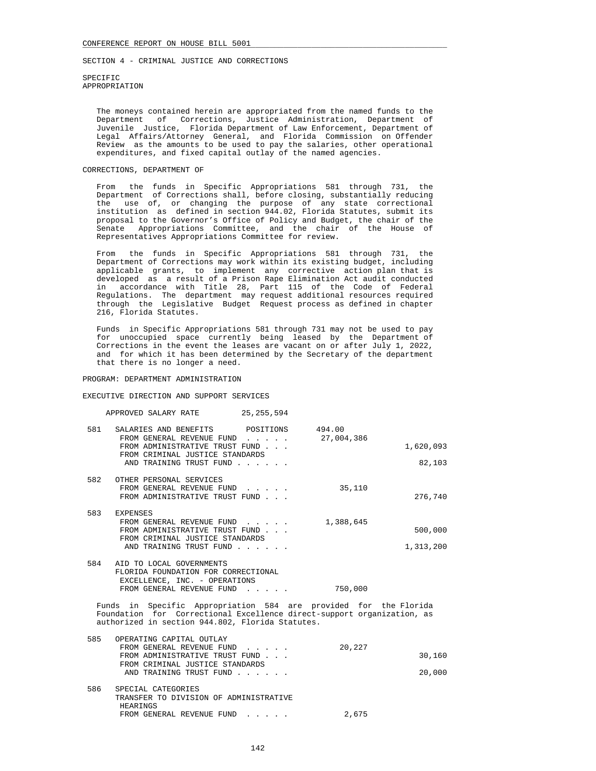SECTION 4 - CRIMINAL JUSTICE AND CORRECTIONS

 SPECIFIC APPROPRIATION

 The moneys contained herein are appropriated from the named funds to the Department of Corrections, Justice Administration, Department of Juvenile Justice, Florida Department of Law Enforcement, Department of Legal Affairs/Attorney General, and Florida Commission on Offender Review as the amounts to be used to pay the salaries, other operational expenditures, and fixed capital outlay of the named agencies.

## CORRECTIONS, DEPARTMENT OF

 From the funds in Specific Appropriations 581 through 731, the Department of Corrections shall, before closing, substantially reducing the use of, or changing the purpose of any state correctional institution as defined in section 944.02, Florida Statutes, submit its proposal to the Governor's Office of Policy and Budget, the chair of the Senate Appropriations Committee, and the chair of the House of Representatives Appropriations Committee for review.

 From the funds in Specific Appropriations 581 through 731, the Department of Corrections may work within its existing budget, including applicable grants, to implement any corrective action plan that is developed as a result of a Prison Rape Elimination Act audit conducted in accordance with Title 28, Part 115 of the Code of Federal Regulations. The department may request additional resources required through the Legislative Budget Request process as defined in chapter 216, Florida Statutes.

 Funds in Specific Appropriations 581 through 731 may not be used to pay for unoccupied space currently being leased by the Department of Corrections in the event the leases are vacant on or after July 1, 2022, and for which it has been determined by the Secretary of the department that there is no longer a need.

### PROGRAM: DEPARTMENT ADMINISTRATION

## EXECUTIVE DIRECTION AND SUPPORT SERVICES

 APPROVED SALARY RATE 25,255,594 581 SALARIES AND BENEFITS POSITIONS 494.00<br>FROM GENERAL REVENUE FUND . . . . . 27,004,386 FROM GENERAL REVENUE FUND . . . . . FROM ADMINISTRATIVE TRUST FUND . . .  $1,620,093$  FROM CRIMINAL JUSTICE STANDARDS AND TRAINING TRUST FUND . . . . . . . . 82,103 582 OTHER PERSONAL SERVICES FROM GENERAL REVENUE FUND . . . . . 35,110 FROM ADMINISTRATIVE TRUST FUND . . . 276,740 583 EXPENSES FROM GENERAL REVENUE FUND . . . . . . 1,388,645 FROM ADMINISTRATIVE TRUST FUND . . .  $\qquad \qquad$  500,000 FROM CRIMINAL JUSTICE STANDARDS AND TRAINING TRUST FUND . . . . . . . . . . . . . . . 1,313,200

| 584 | AID TO LOCAL GOVERNMENTS            |         |
|-----|-------------------------------------|---------|
|     | FLORIDA FOUNDATION FOR CORRECTIONAL |         |
|     | EXCELLENCE, INC. - OPERATIONS       |         |
|     | FROM GENERAL REVENUE FUND           | 750,000 |
|     |                                     |         |

 Funds in Specific Appropriation 584 are provided for the Florida Foundation for Correctional Excellence direct-support organization, as authorized in section 944.802, Florida Statutes.

| 585 | OPERATING CAPITAL OUTLAY               |        |        |
|-----|----------------------------------------|--------|--------|
|     | FROM GENERAL REVENUE FUND              | 20,227 |        |
|     | FROM ADMINISTRATIVE TRUST FUND         |        | 30,160 |
|     | FROM CRIMINAL JUSTICE STANDARDS        |        |        |
|     | AND TRAINING TRUST FUND                |        | 20,000 |
| 586 | SPECIAL CATEGORIES                     |        |        |
|     | TRANSFER TO DIVISION OF ADMINISTRATIVE |        |        |
|     | <b>HEARINGS</b>                        |        |        |
|     | FROM GENERAL REVENUE FUND              | 2,675  |        |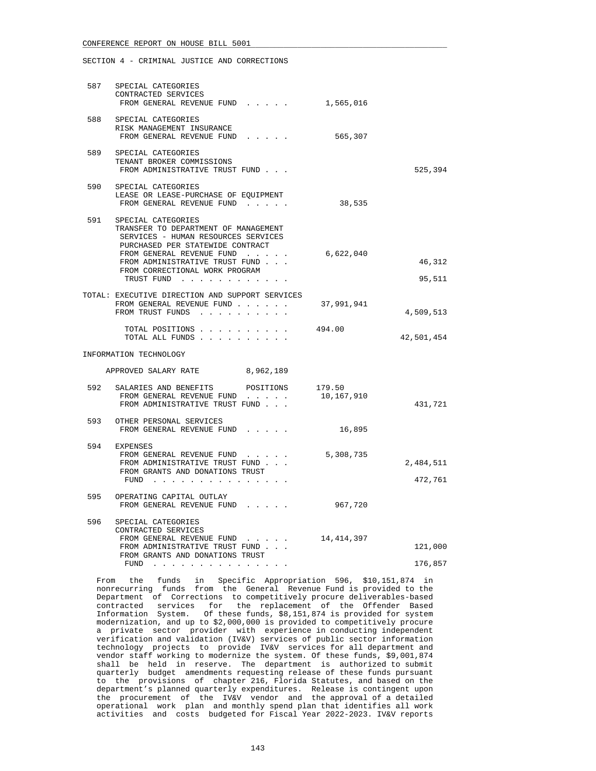## CONFERENCE REPORT ON HOUSE BILL 5001

SECTION 4 - CRIMINAL JUSTICE AND CORRECTIONS

|                                | 587 SPECIAL CATEGORIES<br>CONTRACTED SERVICES<br>FROM GENERAL REVENUE FUND                                                                                                                                                                               | 1,565,016            |                      |
|--------------------------------|----------------------------------------------------------------------------------------------------------------------------------------------------------------------------------------------------------------------------------------------------------|----------------------|----------------------|
|                                | 588 SPECIAL CATEGORIES<br>RISK MANAGEMENT INSURANCE<br>FROM GENERAL REVENUE FUND                                                                                                                                                                         | 565,307              |                      |
|                                | 589 SPECIAL CATEGORIES<br>TENANT BROKER COMMISSIONS<br>FROM ADMINISTRATIVE TRUST FUND                                                                                                                                                                    |                      | 525,394              |
|                                | 590 SPECIAL CATEGORIES<br>LEASE OR LEASE-PURCHASE OF EQUIPMENT<br>FROM GENERAL REVENUE FUND                                                                                                                                                              | 38,535               |                      |
|                                | 591 SPECIAL CATEGORIES<br>TRANSFER TO DEPARTMENT OF MANAGEMENT<br>SERVICES - HUMAN RESOURCES SERVICES<br>PURCHASED PER STATEWIDE CONTRACT<br>FROM GENERAL REVENUE FUND<br>FROM ADMINISTRATIVE TRUST FUND<br>FROM CORRECTIONAL WORK PROGRAM<br>TRUST FUND | 6,622,040            | 46,312<br>95,511     |
|                                | TOTAL: EXECUTIVE DIRECTION AND SUPPORT SERVICES<br>FROM GENERAL REVENUE FUND<br>FROM TRUST FUNDS                                                                                                                                                         | 37,991,941           | 4,509,513            |
|                                | TOTAL POSITIONS<br>TOTAL ALL FUNDS                                                                                                                                                                                                                       | 494.00               | 42,501,454           |
| INFORMATION TECHNOLOGY         |                                                                                                                                                                                                                                                          |                      |                      |
| APPROVED SALARY RATE 8,962,189 |                                                                                                                                                                                                                                                          |                      |                      |
|                                | 592 SALARIES AND BENEFITS<br>POSITIONS<br>FROM GENERAL REVENUE FUND<br>FROM ADMINISTRATIVE TRUST FUND                                                                                                                                                    | 179.50<br>10,167,910 | 431,721              |
|                                | 593 OTHER PERSONAL SERVICES<br>FROM GENERAL REVENUE FUND                                                                                                                                                                                                 | 16,895               |                      |
|                                | 594 EXPENSES<br>FROM GENERAL REVENUE FUND<br>FROM ADMINISTRATIVE TRUST FUND<br>FROM GRANTS AND DONATIONS TRUST<br>FUND                                                                                                                                   | 5,308,735            | 2,484,511<br>472,761 |
|                                | 595 OPERATING CAPITAL OUTLAY<br>FROM GENERAL REVENUE FUND                                                                                                                                                                                                | 967,720              |                      |
| 596                            | SPECIAL CATEGORIES<br>CONTRACTED SERVICES<br>FROM GENERAL REVENUE FUND<br>FROM ADMINISTRATIVE TRUST FUND<br>FROM GRANTS AND DONATIONS TRUST<br>$FUND$                                                                                                    | 14, 414, 397         | 121,000<br>176,857   |

 From the funds in Specific Appropriation 596, \$10,151,874 in nonrecurring funds from the General Revenue Fund is provided to the Department of Corrections to competitively procure deliverables-based contracted services for the replacement of the Offender Based Information System. Of these funds, \$8,151,874 is provided for system modernization, and up to \$2,000,000 is provided to competitively procure a private sector provider with experience in conducting independent verification and validation (IV&V) services of public sector information technology projects to provide IV&V services for all department and vendor staff working to modernize the system. Of these funds, \$9,001,874 shall be held in reserve. The department is authorized to submit quarterly budget amendments requesting release of these funds pursuant to the provisions of chapter 216, Florida Statutes, and based on the department's planned quarterly expenditures. Release is contingent upon the procurement of the IV&V vendor and the approval of a detailed operational work plan and monthly spend plan that identifies all work activities and costs budgeted for Fiscal Year 2022-2023. IV&V reports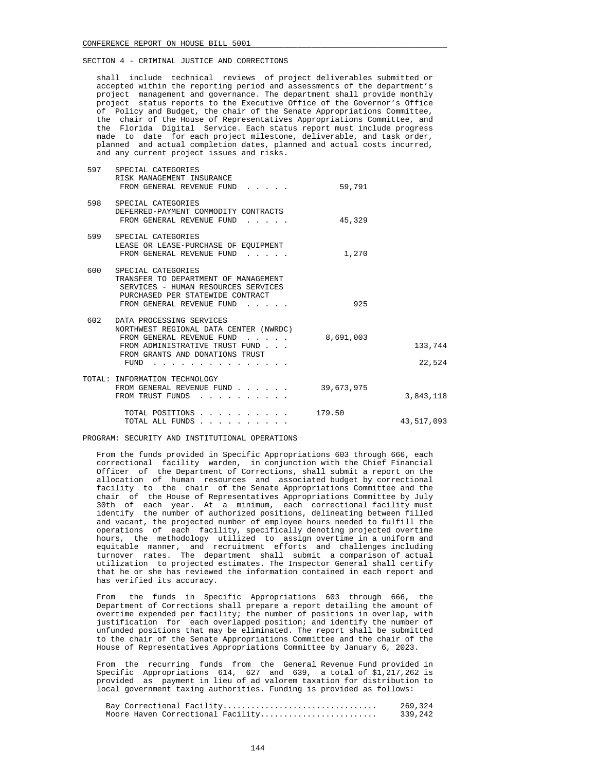shall include technical reviews of project deliverables submitted or accepted within the reporting period and assessments of the department's project management and governance. The department shall provide monthly project status reports to the Executive Office of the Governor's Office of Policy and Budget, the chair of the Senate Appropriations Committee, the chair of the House of Representatives Appropriations Committee, and the Florida Digital Service. Each status report must include progress made to date for each project milestone, deliverable, and task order, planned and actual completion dates, planned and actual costs incurred, and any current project issues and risks.

|                   | 59,791     | SPECIAL CATEGORIES<br>RISK MANAGEMENT INSURANCE<br>FROM GENERAL REVENUE FUND<br>and a state of                                                                                                                       | 597 |
|-------------------|------------|----------------------------------------------------------------------------------------------------------------------------------------------------------------------------------------------------------------------|-----|
|                   | 45,329     | SPECIAL CATEGORIES<br>DEFERRED-PAYMENT COMMODITY CONTRACTS<br>FROM GENERAL REVENUE FUND<br>$\cdot$ $\cdot$ $\cdot$ $\cdot$ $\cdot$                                                                                   | 598 |
|                   | 1,270      | SPECIAL CATEGORIES<br>LEASE OR LEASE-PURCHASE OF EQUIPMENT<br>FROM GENERAL REVENUE FUND                                                                                                                              | 599 |
|                   | 925        | SPECIAL CATEGORIES<br>TRANSFER TO DEPARTMENT OF MANAGEMENT<br>SERVICES - HUMAN RESOURCES SERVICES<br>PURCHASED PER STATEWIDE CONTRACT<br>FROM GENERAL REVENUE FUND<br>$\mathbf{r}$ and $\mathbf{r}$ and $\mathbf{r}$ | 600 |
| 133,744<br>22,524 | 8,691,003  | DATA PROCESSING SERVICES<br>NORTHWEST REGIONAL DATA CENTER (NWRDC)<br>FROM GENERAL REVENUE FUND<br>FROM ADMINISTRATIVE TRUST FUND<br>FROM GRANTS AND DONATIONS TRUST<br>FUND                                         | 602 |
| 3,843,118         | 39,673,975 | TOTAL: INFORMATION TECHNOLOGY<br>FROM GENERAL REVENUE FUND<br>FROM TRUST FUNDS                                                                                                                                       |     |
| 43,517,093        | 179.50     | TOTAL POSITIONS<br>TOTAL ALL FUNDS                                                                                                                                                                                   |     |

PROGRAM: SECURITY AND INSTITUTIONAL OPERATIONS

 From the funds provided in Specific Appropriations 603 through 666, each correctional facility warden, in conjunction with the Chief Financial Officer of the Department of Corrections, shall submit a report on the allocation of human resources and associated budget by correctional facility to the chair of the Senate Appropriations Committee and the chair of the House of Representatives Appropriations Committee by July 30th of each year. At a minimum, each correctional facility must identify the number of authorized positions, delineating between filled and vacant, the projected number of employee hours needed to fulfill the operations of each facility, specifically denoting projected overtime hours, the methodology utilized to assign overtime in a uniform and equitable manner, and recruitment efforts and challenges including turnover rates. The department shall submit a comparison of actual utilization to projected estimates. The Inspector General shall certify that he or she has reviewed the information contained in each report and has verified its accuracy.

 From the funds in Specific Appropriations 603 through 666, the Department of Corrections shall prepare a report detailing the amount of overtime expended per facility; the number of positions in overlap, with justification for each overlapped position; and identify the number of unfunded positions that may be eliminated. The report shall be submitted to the chair of the Senate Appropriations Committee and the chair of the House of Representatives Appropriations Committee by January 6, 2023.

 From the recurring funds from the General Revenue Fund provided in Specific Appropriations 614, 627 and 639, a total of \$1,217,262 is provided as payment in lieu of ad valorem taxation for distribution to local government taxing authorities. Funding is provided as follows:

|  | Bay Correctional Facility         | 269,324 |
|--|-----------------------------------|---------|
|  | Moore Haven Correctional Facility | 339,242 |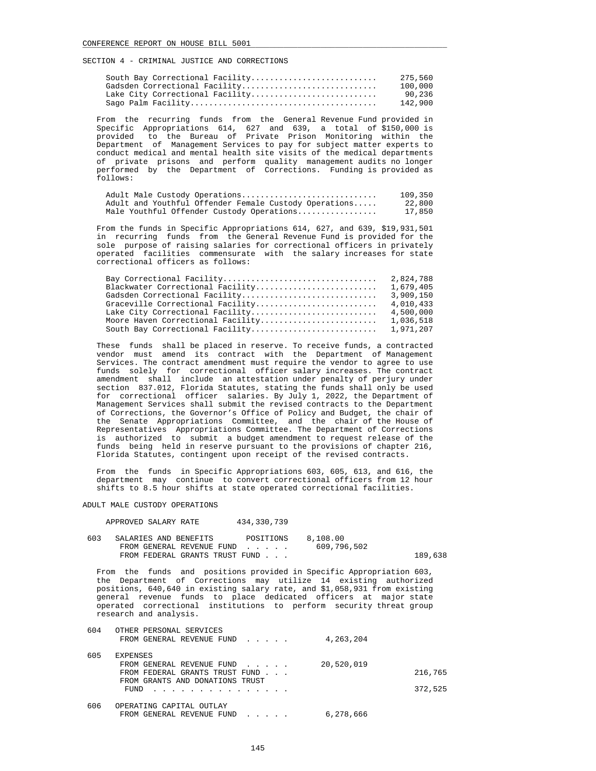| South Bay Correctional Facility | 275,560 |
|---------------------------------|---------|
| Gadsden Correctional Facility   | 100,000 |
| Lake City Correctional Facility | 90,236  |
|                                 | 142,900 |

 From the recurring funds from the General Revenue Fund provided in Specific Appropriations 614, 627 and 639, a total of \$150,000 is provided to the Bureau of Private Prison Monitoring within the Department of Management Services to pay for subject matter experts to conduct medical and mental health site visits of the medical departments of private prisons and perform quality management audits no longer performed by the Department of Corrections. Funding is provided as follows:

| Adult Male Custody Operations                         | 109,350 |
|-------------------------------------------------------|---------|
| Adult and Youthful Offender Female Custody Operations | 22,800  |
| Male Youthful Offender Custody Operations             | 17,850  |

 From the funds in Specific Appropriations 614, 627, and 639, \$19,931,501 in recurring funds from the General Revenue Fund is provided for the sole purpose of raising salaries for correctional officers in privately operated facilities commensurate with the salary increases for state correctional officers as follows:

| Bay Correctional Facility         | 2,824,788 |
|-----------------------------------|-----------|
| Blackwater Correctional Facility  | 1,679,405 |
| Gadsden Correctional Facility     | 3,909,150 |
| Graceville Correctional Facility  | 4,010,433 |
| Lake City Correctional Facility   | 4,500,000 |
| Moore Haven Correctional Facility | 1,036,518 |
| South Bay Correctional Facility   | 1,971,207 |

 These funds shall be placed in reserve. To receive funds, a contracted vendor must amend its contract with the Department of Management Services. The contract amendment must require the vendor to agree to use funds solely for correctional officer salary increases. The contract amendment shall include an attestation under penalty of perjury under section 837.012, Florida Statutes, stating the funds shall only be used for correctional officer salaries. By July 1, 2022, the Department of Management Services shall submit the revised contracts to the Department of Corrections, the Governor's Office of Policy and Budget, the chair of the Senate Appropriations Committee, and the chair of the House of Representatives Appropriations Committee. The Department of Corrections is authorized to submit a budget amendment to request release of the funds being held in reserve pursuant to the provisions of chapter 216, Florida Statutes, contingent upon receipt of the revised contracts.

 From the funds in Specific Appropriations 603, 605, 613, and 616, the department may continue to convert correctional officers from 12 hour shifts to 8.5 hour shifts at state operated correctional facilities.

### ADULT MALE CUSTODY OPERATIONS

APPROVED SALARY RATE 434,330,739

| 603 | SALARIES AND BENEFITS          | POSITIONS | 8.108.00    |         |
|-----|--------------------------------|-----------|-------------|---------|
|     | FROM GENERAL REVENUE FUND      |           | 609,796,502 |         |
|     | FROM FEDERAL GRANTS TRUST FUND |           |             | 189,638 |

 From the funds and positions provided in Specific Appropriation 603, the Department of Corrections may utilize 14 existing authorized positions, 640,640 in existing salary rate, and \$1,058,931 from existing general revenue funds to place dedicated officers at major state operated correctional institutions to perform security threat group research and analysis.

| 604 | OTHER PERSONAL SERVICES         |            |         |
|-----|---------------------------------|------------|---------|
|     | FROM GENERAL REVENUE FUND       | 4,263,204  |         |
|     |                                 |            |         |
| 605 | <b>EXPENSES</b>                 |            |         |
|     | FROM GENERAL REVENUE FUND       | 20,520,019 |         |
|     | FROM FEDERAL GRANTS TRUST FUND  |            | 216,765 |
|     | FROM GRANTS AND DONATIONS TRUST |            |         |
|     | FUND<br>.                       |            | 372,525 |
| 606 | OPERATING CAPITAL OUTLAY        |            |         |
|     | FROM GENERAL REVENUE FUND       | 6,278,666  |         |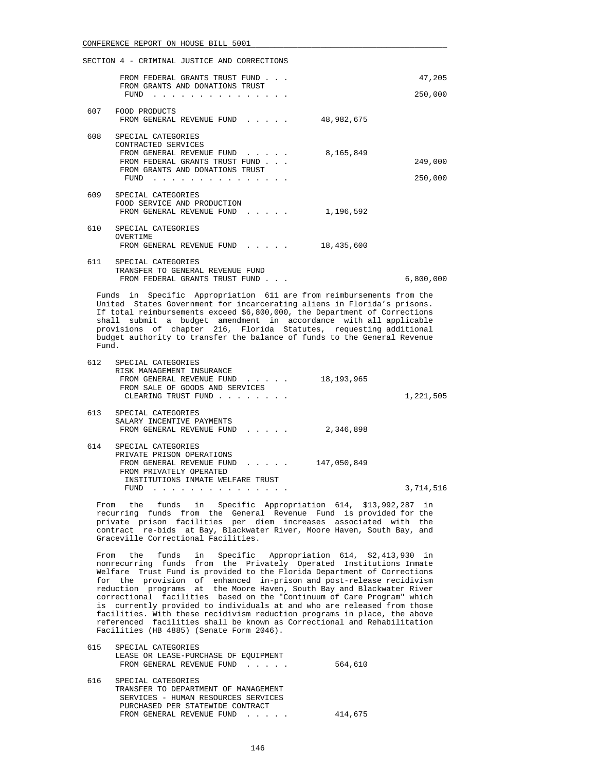|     | SECTION 4 - CRIMINAL JUSTICE AND CORRECTIONS                                                                                                 |           |
|-----|----------------------------------------------------------------------------------------------------------------------------------------------|-----------|
|     | FROM FEDERAL GRANTS TRUST FUND                                                                                                               | 47,205    |
|     | FROM GRANTS AND DONATIONS TRUST<br>FUND                                                                                                      | 250,000   |
| 607 | FOOD PRODUCTS<br>FROM GENERAL REVENUE FUND<br>48,982,675<br>$\mathbf{r}$ , $\mathbf{r}$ , $\mathbf{r}$ , $\mathbf{r}$                        |           |
| 608 | SPECIAL CATEGORIES<br>CONTRACTED SERVICES<br>8,165,849<br>FROM GENERAL REVENUE FUND                                                          |           |
|     | FROM FEDERAL GRANTS TRUST FUND<br>FROM GRANTS AND DONATIONS TRUST                                                                            | 249,000   |
|     | FUND                                                                                                                                         | 250,000   |
| 609 | SPECIAL CATEGORIES<br>FOOD SERVICE AND PRODUCTION<br>1,196,592<br>FROM GENERAL REVENUE FUND                                                  |           |
| 610 | SPECIAL CATEGORIES<br>OVERTIME<br>18,435,600<br>FROM GENERAL REVENUE FUND<br>$\mathbf{1}$ and $\mathbf{1}$ and $\mathbf{1}$ and $\mathbf{1}$ |           |
| 611 | SPECIAL CATEGORIES<br>TRANSFER TO GENERAL REVENUE FUND<br>FROM FEDERAL GRANTS TRUST FUND                                                     | 6,800,000 |

 Funds in Specific Appropriation 611 are from reimbursements from the United States Government for incarcerating aliens in Florida's prisons. If total reimbursements exceed \$6,800,000, the Department of Corrections shall submit a budget amendment in accordance with all applicable provisions of chapter 216, Florida Statutes, requesting additional budget authority to transfer the balance of funds to the General Revenue Fund.

| 612 | SPECIAL CATEGORIES<br>RISK MANAGEMENT INSURANCE<br>18, 193, 965<br>FROM GENERAL REVENUE FUND<br>FROM SALE OF GOODS AND SERVICES<br>CLEARING TRUST FUND | 1,221,505 |
|-----|--------------------------------------------------------------------------------------------------------------------------------------------------------|-----------|
|     |                                                                                                                                                        |           |
| 613 | SPECIAL CATEGORIES                                                                                                                                     |           |
|     | SALARY INCENTIVE PAYMENTS                                                                                                                              |           |
|     | 2,346,898<br>FROM GENERAL REVENUE FUND                                                                                                                 |           |
| 614 | SPECIAL CATEGORIES                                                                                                                                     |           |
|     | PRIVATE PRISON OPERATIONS                                                                                                                              |           |
|     | 147,050,849<br>FROM GENERAL REVENUE FUND<br>$\mathbf{r}$ and $\mathbf{r}$ and $\mathbf{r}$                                                             |           |
|     | FROM PRIVATELY OPERATED                                                                                                                                |           |
|     | INSTITUTIONS INMATE WELFARE TRUST                                                                                                                      |           |
|     | FUND<br>the contract of the contract of the contract of the contract of the contract of the contract of the contract of                                | 3,714,516 |

 From the funds in Specific Appropriation 614, \$13,992,287 in recurring funds from the General Revenue Fund is provided for the private prison facilities per diem increases associated with the contract re-bids at Bay, Blackwater River, Moore Haven, South Bay, and Graceville Correctional Facilities.

 From the funds in Specific Appropriation 614, \$2,413,930 in nonrecurring funds from the Privately Operated Institutions Inmate Welfare Trust Fund is provided to the Florida Department of Corrections for the provision of enhanced in-prison and post-release recidivism reduction programs at the Moore Haven, South Bay and Blackwater River correctional facilities based on the "Continuum of Care Program" which is currently provided to individuals at and who are released from those facilities. With these recidivism reduction programs in place, the above referenced facilities shall be known as Correctional and Rehabilitation Facilities (HB 4885) (Senate Form 2046).

|     | LEASE OR LEASE-PURCHASE OF EOUIPMENT |         |
|-----|--------------------------------------|---------|
|     | FROM GENERAL REVENUE FUND            | 564,610 |
|     |                                      |         |
| 616 | SPECIAL CATEGORIES                   |         |
|     | TRANSFER TO DEPARTMENT OF MANAGEMENT |         |
|     | SERVICES - HUMAN RESOURCES SERVICES  |         |
|     | PURCHASED PER STATEWIDE CONTRACT     |         |
|     | FROM GENERAL REVENUE FUND            | 414,675 |
|     |                                      |         |

615 SPECIAL CATEGORIES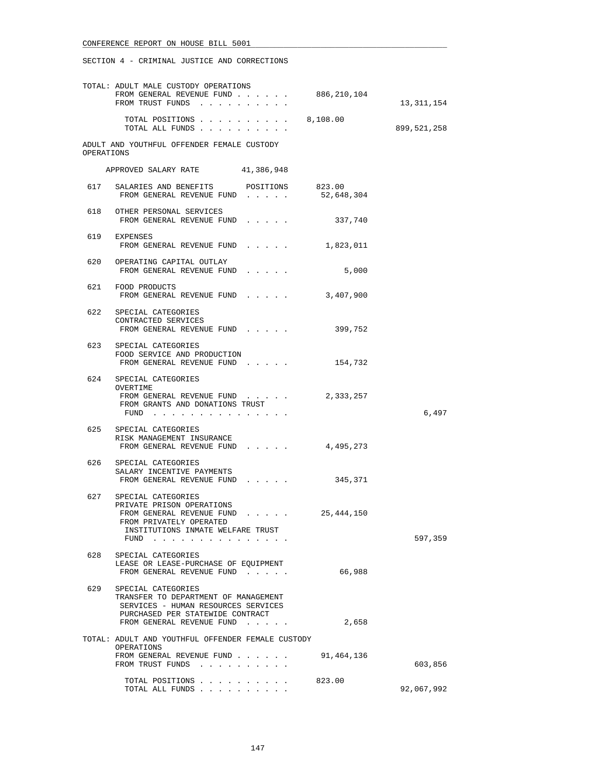|            | TOTAL: ADULT MALE CUSTODY OPERATIONS<br>FROM GENERAL REVENUE FUND<br>FROM TRUST FUNDS                                                                                                                       | 886,210,104 | 13, 311, 154  |
|------------|-------------------------------------------------------------------------------------------------------------------------------------------------------------------------------------------------------------|-------------|---------------|
|            | TOTAL POSITIONS $\ldots$ 8,108.00<br>TOTAL ALL FUNDS                                                                                                                                                        |             | 899, 521, 258 |
| OPERATIONS | ADULT AND YOUTHFUL OFFENDER FEMALE CUSTODY                                                                                                                                                                  |             |               |
|            | APPROVED SALARY RATE 41,386,948                                                                                                                                                                             |             |               |
|            | 617 SALARIES AND BENEFITS POSITIONS 823.00<br>FROM GENERAL REVENUE FUND                                                                                                                                     | 52,648,304  |               |
|            | 618 OTHER PERSONAL SERVICES<br>FROM GENERAL REVENUE FUND                                                                                                                                                    | 337,740     |               |
| 619        | EXPENSES<br>FROM GENERAL REVENUE FUND                                                                                                                                                                       | 1,823,011   |               |
|            | 620 OPERATING CAPITAL OUTLAY<br>FROM GENERAL REVENUE FUND<br>$1 - 1 - 1 - 1 = 1$                                                                                                                            | 5,000       |               |
|            | 621 FOOD PRODUCTS<br>FROM GENERAL REVENUE FUND                                                                                                                                                              | 3,407,900   |               |
|            | 622 SPECIAL CATEGORIES<br>CONTRACTED SERVICES<br>FROM GENERAL REVENUE FUND                                                                                                                                  | 399,752     |               |
|            | 623 SPECIAL CATEGORIES<br>FOOD SERVICE AND PRODUCTION<br>FROM GENERAL REVENUE FUND                                                                                                                          | 154,732     |               |
|            | 624 SPECIAL CATEGORIES<br>OVERTIME<br>FROM GENERAL REVENUE FUND<br>FROM GRANTS AND DONATIONS TRUST<br>FUND $\cdots$                                                                                         | 2,333,257   | 6,497         |
|            | 625 SPECIAL CATEGORIES<br>RISK MANAGEMENT INSURANCE<br>FROM GENERAL REVENUE FUND                                                                                                                            | 4,495,273   |               |
|            | 626 SPECIAL CATEGORIES<br>SALARY INCENTIVE PAYMENTS<br>FROM GENERAL REVENUE FUND<br>and a state of the                                                                                                      | 345,371     |               |
|            | 627 SPECIAL CATEGORIES<br>PRIVATE PRISON OPERATIONS<br>FROM GENERAL REVENUE FUND<br>the contract of the contract of the contract of<br>FROM PRIVATELY OPERATED<br>INSTITUTIONS INMATE WELFARE TRUST<br>FUND | 25,444,150  | 597,359       |
| 628        | SPECIAL CATEGORIES<br>LEASE OR LEASE-PURCHASE OF EQUIPMENT<br>FROM GENERAL REVENUE FUND                                                                                                                     | 66,988      |               |
| 629        | SPECIAL CATEGORIES<br>TRANSFER TO DEPARTMENT OF MANAGEMENT<br>SERVICES - HUMAN RESOURCES SERVICES<br>PURCHASED PER STATEWIDE CONTRACT<br>FROM GENERAL REVENUE FUND                                          | 2,658       |               |
|            | TOTAL: ADULT AND YOUTHFUL OFFENDER FEMALE CUSTODY<br>OPERATIONS                                                                                                                                             |             |               |
|            | FROM GENERAL REVENUE FUND<br>FROM TRUST FUNDS                                                                                                                                                               | 91,464,136  | 603,856       |
|            | TOTAL POSITIONS<br>TOTAL ALL FUNDS                                                                                                                                                                          | 823.00      | 92,067,992    |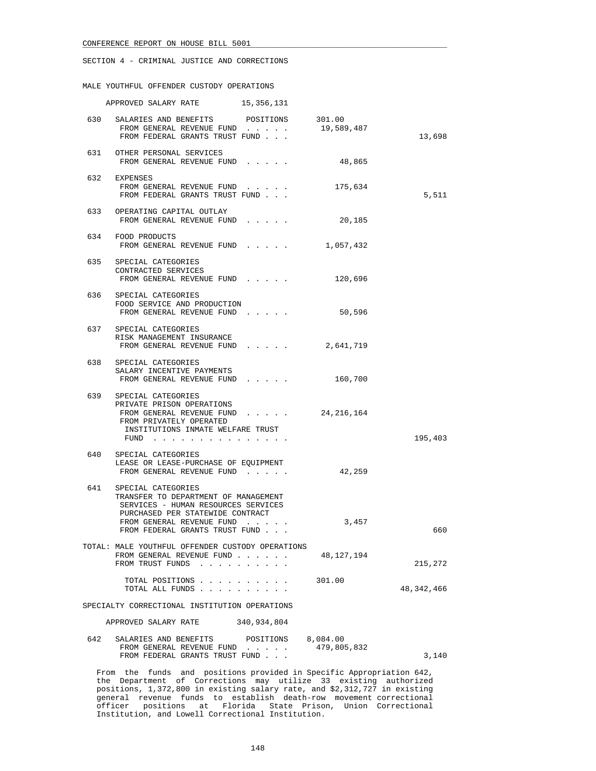## SECTION 4 - CRIMINAL JUSTICE AND CORRECTIONS

MALE YOUTHFUL OFFENDER CUSTODY OPERATIONS

|                                               | APPROVED SALARY RATE                                                                                                                                                                                                 | 15,356,131 |                         |            |
|-----------------------------------------------|----------------------------------------------------------------------------------------------------------------------------------------------------------------------------------------------------------------------|------------|-------------------------|------------|
|                                               | 630 SALARIES AND BENEFITS POSITIONS 301.00<br>FROM GENERAL REVENUE FUND<br>FROM FEDERAL GRANTS TRUST FUND                                                                                                            |            | 19,589,487              | 13,698     |
|                                               | 631 OTHER PERSONAL SERVICES<br>FROM GENERAL REVENUE FUND                                                                                                                                                             |            | 48,865                  |            |
|                                               | 632 EXPENSES<br>FROM GENERAL REVENUE FUND<br>FROM FEDERAL GRANTS TRUST FUND                                                                                                                                          |            | 175,634                 | 5,511      |
| 633                                           | OPERATING CAPITAL OUTLAY<br>FROM GENERAL REVENUE FUND                                                                                                                                                                |            | 20,185                  |            |
|                                               | 634 FOOD PRODUCTS<br>FROM GENERAL REVENUE FUND                                                                                                                                                                       |            | 1,057,432               |            |
|                                               | 635 SPECIAL CATEGORIES<br>CONTRACTED SERVICES<br>FROM GENERAL REVENUE FUND                                                                                                                                           |            | 120,696                 |            |
|                                               | 636 SPECIAL CATEGORIES<br>FOOD SERVICE AND PRODUCTION<br>FROM GENERAL REVENUE FUND                                                                                                                                   |            | 50,596                  |            |
|                                               | 637 SPECIAL CATEGORIES<br>RISK MANAGEMENT INSURANCE<br>FROM GENERAL REVENUE FUND                                                                                                                                     |            | 2,641,719               |            |
| 638                                           | SPECIAL CATEGORIES<br>SALARY INCENTIVE PAYMENTS<br>FROM GENERAL REVENUE FUND                                                                                                                                         |            | 160,700                 |            |
|                                               | 639 SPECIAL CATEGORIES<br>PRIVATE PRISON OPERATIONS<br>FROM GENERAL REVENUE FUND $24,216,164$<br>FROM PRIVATELY OPERATED<br>INSTITUTIONS INMATE WELFARE TRUST<br>FUND $\cdots$                                       |            |                         | 195,403    |
|                                               | 640 SPECIAL CATEGORIES<br>LEASE OR LEASE-PURCHASE OF EQUIPMENT<br>FROM GENERAL REVENUE FUND                                                                                                                          |            | 42,259                  |            |
|                                               | 641 SPECIAL CATEGORIES<br>TRANSFER TO DEPARTMENT OF MANAGEMENT<br>SERVICES - HUMAN RESOURCES SERVICES<br>PURCHASED PER STATEWIDE CONTRACT<br>FROM GENERAL REVENUE FUND                                               |            | 3,457                   |            |
|                                               | FROM FEDERAL GRANTS TRUST FUND                                                                                                                                                                                       |            |                         | 660        |
|                                               | TOTAL: MALE YOUTHFUL OFFENDER CUSTODY OPERATIONS<br>FROM GENERAL REVENUE FUND<br>FROM TRUST FUNDS                                                                                                                    |            | 48,127,194              | 215,272    |
|                                               | TOTAL POSITIONS<br>TOTAL ALL FUNDS                                                                                                                                                                                   |            | 301.00                  | 48,342,466 |
| SPECIALTY CORRECTIONAL INSTITUTION OPERATIONS |                                                                                                                                                                                                                      |            |                         |            |
| APPROVED SALARY RATE<br>340,934,804           |                                                                                                                                                                                                                      |            |                         |            |
| 642                                           | SALARIES AND BENEFITS POSITIONS<br>FROM GENERAL REVENUE FUND<br>FROM FEDERAL GRANTS TRUST FUND                                                                                                                       |            | 8,084.00<br>479,805,832 | 3,140      |
|                                               | From the funds and positions provided in Specific Appropriation 642,<br>the Department of Corrections may utilize 33 existing authorized<br>positions 1 272.900 in ovisting solomy rate, and \$2.212.727 in ovisting |            |                         |            |

 positions, 1,372,800 in existing salary rate, and \$2,312,727 in existing general revenue funds to establish death-row movement correctional officer positions at Florida State Prison, Union Correctional Institution, and Lowell Correctional Institution.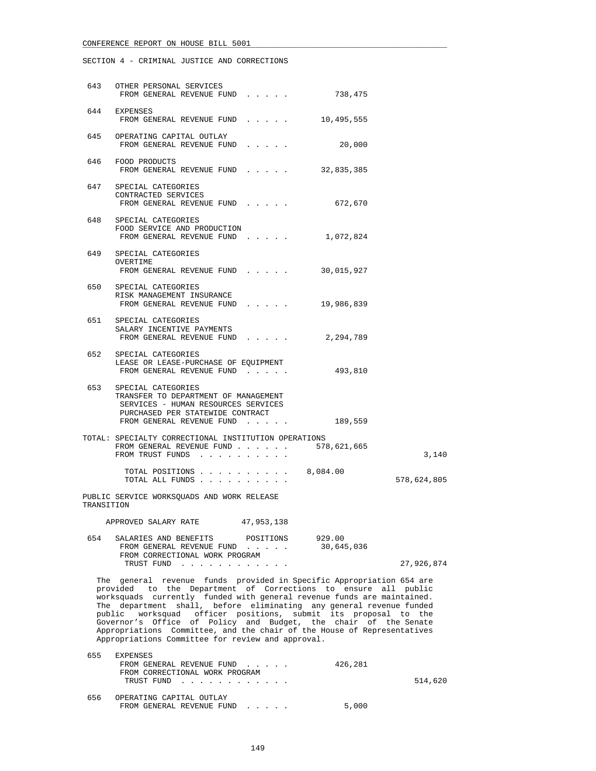SECTION 4 - CRIMINAL JUSTICE AND CORRECTIONS

|            | 643 OTHER PERSONAL SERVICES<br>FROM GENERAL REVENUE FUND                                                                                                                                                                                                                                                                                                                                                                                                                                                                                                     | 738,475              |             |
|------------|--------------------------------------------------------------------------------------------------------------------------------------------------------------------------------------------------------------------------------------------------------------------------------------------------------------------------------------------------------------------------------------------------------------------------------------------------------------------------------------------------------------------------------------------------------------|----------------------|-------------|
|            | 644 EXPENSES<br>FROM GENERAL REVENUE FUND                                                                                                                                                                                                                                                                                                                                                                                                                                                                                                                    | 10,495,555           |             |
|            | 645 OPERATING CAPITAL OUTLAY<br>FROM GENERAL REVENUE FUND                                                                                                                                                                                                                                                                                                                                                                                                                                                                                                    | 20,000               |             |
|            | 646 FOOD PRODUCTS<br>FROM GENERAL REVENUE FUND                                                                                                                                                                                                                                                                                                                                                                                                                                                                                                               | 32,835,385           |             |
|            | 647 SPECIAL CATEGORIES<br>CONTRACTED SERVICES<br>FROM GENERAL REVENUE FUND                                                                                                                                                                                                                                                                                                                                                                                                                                                                                   | 672,670              |             |
|            | 648 SPECIAL CATEGORIES<br>FOOD SERVICE AND PRODUCTION<br>FROM GENERAL REVENUE FUND                                                                                                                                                                                                                                                                                                                                                                                                                                                                           | 1,072,824            |             |
|            | 649 SPECIAL CATEGORIES<br>OVERTIME<br>FROM GENERAL REVENUE FUND                                                                                                                                                                                                                                                                                                                                                                                                                                                                                              | 30,015,927           |             |
|            | 650 SPECIAL CATEGORIES<br>RISK MANAGEMENT INSURANCE<br>FROM GENERAL REVENUE FUND 19,986,839                                                                                                                                                                                                                                                                                                                                                                                                                                                                  |                      |             |
|            | 651 SPECIAL CATEGORIES<br>SALARY INCENTIVE PAYMENTS<br>FROM GENERAL REVENUE FUND                                                                                                                                                                                                                                                                                                                                                                                                                                                                             | 2,294,789            |             |
|            | 652 SPECIAL CATEGORIES<br>LEASE OR LEASE-PURCHASE OF EQUIPMENT<br>FROM GENERAL REVENUE FUND                                                                                                                                                                                                                                                                                                                                                                                                                                                                  | 493,810              |             |
|            | 653 SPECIAL CATEGORIES<br>TRANSFER TO DEPARTMENT OF MANAGEMENT<br>SERVICES - HUMAN RESOURCES SERVICES<br>PURCHASED PER STATEWIDE CONTRACT<br>FROM GENERAL REVENUE FUND                                                                                                                                                                                                                                                                                                                                                                                       | 189,559              |             |
|            | TOTAL: SPECIALTY CORRECTIONAL INSTITUTION OPERATIONS<br>FROM GENERAL REVENUE FUND 578,621,665<br>FROM TRUST FUNDS                                                                                                                                                                                                                                                                                                                                                                                                                                            |                      | 3,140       |
|            | TOTAL POSITIONS<br>TOTAL ALL FUNDS                                                                                                                                                                                                                                                                                                                                                                                                                                                                                                                           | 8,084.00             | 578,624,805 |
| TRANSITION | PUBLIC SERVICE WORKSOUADS AND WORK RELEASE                                                                                                                                                                                                                                                                                                                                                                                                                                                                                                                   |                      |             |
|            | 47,953,138<br>APPROVED SALARY RATE                                                                                                                                                                                                                                                                                                                                                                                                                                                                                                                           |                      |             |
| 654        | SALARIES AND BENEFITS POSITIONS<br>FROM GENERAL REVENUE FUND<br>FROM CORRECTIONAL WORK PROGRAM                                                                                                                                                                                                                                                                                                                                                                                                                                                               | 929.00<br>30,645,036 |             |
|            | TRUST FUND                                                                                                                                                                                                                                                                                                                                                                                                                                                                                                                                                   |                      | 27,926,874  |
|            | The general revenue funds provided in Specific Appropriation 654 are<br>provided to the Department of Corrections to ensure all public<br>worksquads currently funded with general revenue funds are maintained.<br>The department shall, before eliminating any general revenue funded<br>public worksquad officer positions, submit its proposal to the<br>Governor's Office of Policy and Budget, the chair of the Senate<br>Appropriations Committee, and the chair of the House of Representatives<br>Appropriations Committee for review and approval. |                      |             |
| 655        | EXPENSES<br>FROM GENERAL REVENUE FUND<br>FROM CORRECTIONAL WORK PROGRAM<br>TRUST FUND                                                                                                                                                                                                                                                                                                                                                                                                                                                                        | 426,281              | 514,620     |
| 656        | OPERATING CAPITAL OUTLAY                                                                                                                                                                                                                                                                                                                                                                                                                                                                                                                                     |                      |             |

FROM GENERAL REVENUE FUND . . . . . . 5,000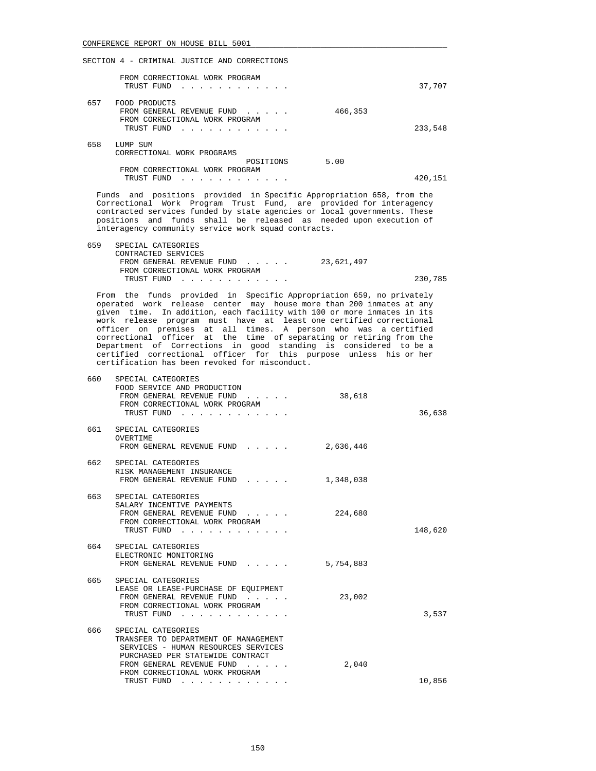### SECTION 4 - CRIMINAL JUSTICE AND CORRECTIONS

|     | FROM CORRECTIONAL WORK PROGRAM<br>TRUST FUND<br>a construction of the construction of the construction of the construction of the construction of the construction of the construction of the construction of the construction of the construction of the construction of the |         | 37,707  |
|-----|-------------------------------------------------------------------------------------------------------------------------------------------------------------------------------------------------------------------------------------------------------------------------------|---------|---------|
| 657 | FOOD PRODUCTS<br>FROM GENERAL REVENUE FUND<br>$\mathbf{r}$ , $\mathbf{r}$ , $\mathbf{r}$ , $\mathbf{r}$<br>FROM CORRECTIONAL WORK PROGRAM<br>TRUST FUND<br>.                                                                                                                  | 466,353 | 233,548 |
| 658 | LUMP SUM<br>CORRECTIONAL WORK PROGRAMS<br>POSITIONS<br>FROM CORRECTIONAL WORK PROGRAM                                                                                                                                                                                         | 5.00    |         |
|     | TRUST FUND                                                                                                                                                                                                                                                                    |         | 420,151 |

 Funds and positions provided in Specific Appropriation 658, from the Correctional Work Program Trust Fund, are provided for interagency contracted services funded by state agencies or local governments. These positions and funds shall be released as needed upon execution of interagency community service work squad contracts.

| 659 | SPECIAL CATEGORIES             |            |         |
|-----|--------------------------------|------------|---------|
|     | CONTRACTED SERVICES            |            |         |
|     | FROM GENERAL REVENUE FUND      | 23,621,497 |         |
|     | FROM CORRECTIONAL WORK PROGRAM |            |         |
|     | TRUST FUND                     |            | 230,785 |

 From the funds provided in Specific Appropriation 659, no privately operated work release center may house more than 200 inmates at any given time. In addition, each facility with 100 or more inmates in its work release program must have at least one certified correctional officer on premises at all times. A person who was a certified correctional officer at the time of separating or retiring from the Department of Corrections in good standing is considered to be a certified correctional officer for this purpose unless his or her certification has been revoked for misconduct.

| 660 | SPECIAL CATEGORIES<br>FOOD SERVICE AND PRODUCTION<br>FROM GENERAL REVENUE FUND<br>FROM CORRECTIONAL WORK PROGRAM<br>TRUST FUND                                                                                     | 38,618    | 36,638  |
|-----|--------------------------------------------------------------------------------------------------------------------------------------------------------------------------------------------------------------------|-----------|---------|
|     | 661 SPECIAL CATEGORIES<br>OVERTIME<br>FROM GENERAL REVENUE FUND                                                                                                                                                    | 2,636,446 |         |
|     | 662 SPECIAL CATEGORIES<br>RISK MANAGEMENT INSURANCE<br>FROM GENERAL REVENUE FUND<br>$\cdots$ $\cdots$                                                                                                              | 1,348,038 |         |
|     | 663 SPECIAL CATEGORIES<br>SALARY INCENTIVE PAYMENTS<br>FROM GENERAL REVENUE FUND<br>$\mathbf{r}$ and $\mathbf{r}$ and $\mathbf{r}$ and $\mathbf{r}$<br>FROM CORRECTIONAL WORK PROGRAM<br>TRUST FUND                | 224,680   | 148,620 |
|     | 664 SPECIAL CATEGORIES<br>ELECTRONIC MONITORING<br>FROM GENERAL REVENUE FUND<br>$\mathbf{r}$ and $\mathbf{r}$ and $\mathbf{r}$                                                                                     | 5,754,883 |         |
|     | 665 SPECIAL CATEGORIES<br>LEASE OR LEASE-PURCHASE OF EOUIPMENT<br>FROM GENERAL REVENUE FUND<br>FROM CORRECTIONAL WORK PROGRAM<br>TRUST FUND                                                                        | 23,002    | 3,537   |
| 666 | SPECIAL CATEGORIES<br>TRANSFER TO DEPARTMENT OF MANAGEMENT<br>SERVICES - HUMAN RESOURCES SERVICES<br>PURCHASED PER STATEWIDE CONTRACT<br>FROM GENERAL REVENUE FUND<br>FROM CORRECTIONAL WORK PROGRAM<br>TRUST FUND | 2,040     | 10,856  |
|     |                                                                                                                                                                                                                    |           |         |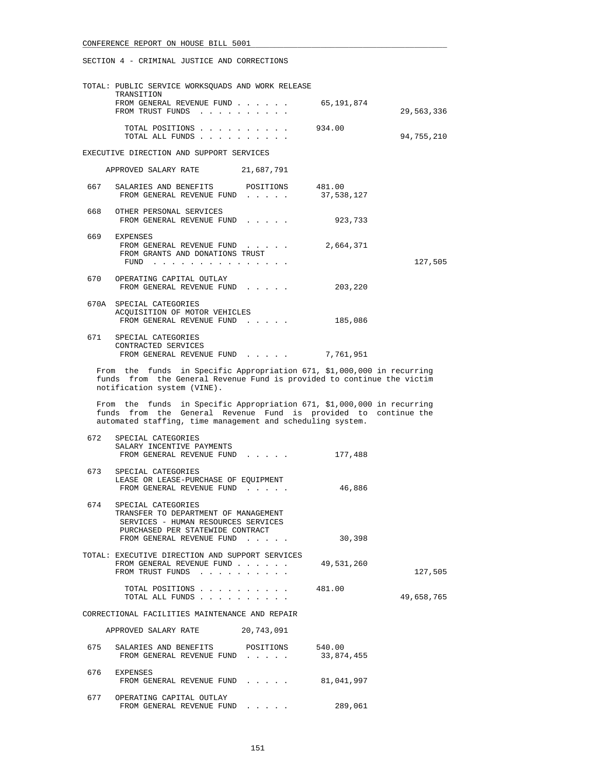|       | TOTAL: PUBLIC SERVICE WORKSQUADS AND WORK RELEASE                                                                                                                                                       |            |            |
|-------|---------------------------------------------------------------------------------------------------------------------------------------------------------------------------------------------------------|------------|------------|
|       | TRANSITION<br>FROM GENERAL REVENUE FUND<br>FROM TRUST FUNDS                                                                                                                                             | 65,191,874 | 29,563,336 |
|       | TOTAL POSITIONS<br>TOTAL ALL FUNDS                                                                                                                                                                      | 934.00     | 94,755,210 |
|       | EXECUTIVE DIRECTION AND SUPPORT SERVICES                                                                                                                                                                |            |            |
|       | APPROVED SALARY RATE 21,687,791                                                                                                                                                                         |            |            |
| 667   | SALARIES AND BENEFITS POSITIONS 481.00<br>FROM GENERAL REVENUE FUND                                                                                                                                     | 37,538,127 |            |
|       | 668 OTHER PERSONAL SERVICES<br>FROM GENERAL REVENUE FUND                                                                                                                                                | 923,733    |            |
|       | 669 EXPENSES<br>FROM GENERAL REVENUE FUND<br>FROM GRANTS AND DONATIONS TRUST<br>FUND                                                                                                                    | 2,664,371  | 127,505    |
| 670 — | OPERATING CAPITAL OUTLAY<br>FROM GENERAL REVENUE FUND                                                                                                                                                   | 203,220    |            |
|       | 670A SPECIAL CATEGORIES<br>ACQUISITION OF MOTOR VEHICLES<br>FROM GENERAL REVENUE FUND                                                                                                                   | 185,086    |            |
| 671   | SPECIAL CATEGORIES<br>CONTRACTED SERVICES<br>FROM GENERAL REVENUE FUND $\ldots$ 7,761,951                                                                                                               |            |            |
|       | From the funds in Specific Appropriation 671, \$1,000,000 in recurring<br>funds from the General Revenue Fund is provided to continue the victim<br>notification system (VINE).                         |            |            |
|       | From the funds in Specific Appropriation 671, \$1,000,000 in recurring<br>funds from the General Revenue Fund is provided to continue the<br>automated staffing, time management and scheduling system. |            |            |
| 672   | SPECIAL CATEGORIES<br>SALARY INCENTIVE PAYMENTS<br>FROM GENERAL REVENUE FUND                                                                                                                            | 177,488    |            |
| 673   | SPECIAL CATEGORIES<br>LEASE OR LEASE-PURCHASE OF EQUIPMENT<br>FROM GENERAL REVENUE FUND                                                                                                                 | 46,886     |            |
| 674   | SPECIAL CATEGORIES<br>TRANSFER TO DEPARTMENT OF MANAGEMENT<br>SERVICES - HUMAN RESOURCES SERVICES<br>PURCHASED PER STATEWIDE CONTRACT<br>FROM GENERAL REVENUE FUND                                      | 30,398     |            |
|       | TOTAL: EXECUTIVE DIRECTION AND SUPPORT SERVICES<br>FROM GENERAL REVENUE FUND<br>FROM TRUST FUNDS                                                                                                        | 49,531,260 | 127,505    |
|       | TOTAL POSITIONS<br>TOTAL ALL FUNDS                                                                                                                                                                      | 481.00     | 49,658,765 |
|       | CORRECTIONAL FACILITIES MAINTENANCE AND REPAIR                                                                                                                                                          |            |            |
|       | APPROVED SALARY RATE<br>20,743,091                                                                                                                                                                      |            |            |
| 675   | SALARIES AND BENEFITS POSITIONS 540.00<br>FROM GENERAL REVENUE FUND                                                                                                                                     | 33,874,455 |            |
|       | 676 EXPENSES<br>FROM GENERAL REVENUE FUND                                                                                                                                                               | 81,041,997 |            |
| 677   | OPERATING CAPITAL OUTLAY<br>FROM GENERAL REVENUE FUND                                                                                                                                                   | 289,061    |            |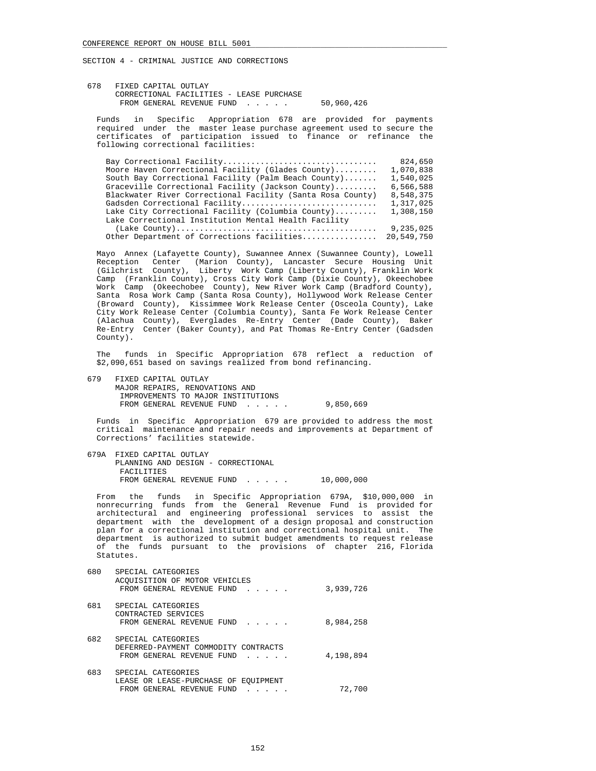678 FIXED CAPITAL OUTLAY CORRECTIONAL FACILITIES - LEASE PURCHASE FROM GENERAL REVENUE FUND . . . . . 50,960,426

 Funds in Specific Appropriation 678 are provided for payments required under the master lease purchase agreement used to secure the certificates of participation issued to finance or refinance the following correctional facilities:

| Bay Correctional Facility                                  | 824,650    |
|------------------------------------------------------------|------------|
| Moore Haven Correctional Facility (Glades County)          | 1,070,838  |
| South Bay Correctional Facility (Palm Beach County)        | 1,540,025  |
| Graceville Correctional Facility (Jackson County)          | 6,566,588  |
| Blackwater River Correctional Facility (Santa Rosa County) | 8,548,375  |
| Gadsden Correctional Facility                              | 1,317,025  |
| Lake City Correctional Facility (Columbia County)          | 1,308,150  |
| Lake Correctional Institution Mental Health Facility       |            |
|                                                            | 9,235,025  |
| Other Department of Corrections facilities                 | 20,549,750 |
|                                                            |            |

 Mayo Annex (Lafayette County), Suwannee Annex (Suwannee County), Lowell Reception Center (Marion County), Lancaster Secure Housing Unit (Gilchrist County), Liberty Work Camp (Liberty County), Franklin Work Camp (Franklin County), Cross City Work Camp (Dixie County), Okeechobee Work Camp (Okeechobee County), New River Work Camp (Bradford County), Santa Rosa Work Camp (Santa Rosa County), Hollywood Work Release Center (Broward County), Kissimmee Work Release Center (Osceola County), Lake City Work Release Center (Columbia County), Santa Fe Work Release Center (Alachua County), Everglades Re-Entry Center (Dade County), Baker Re-Entry Center (Baker County), and Pat Thomas Re-Entry Center (Gadsden County).

 The funds in Specific Appropriation 678 reflect a reduction of \$2,090,651 based on savings realized from bond refinancing.

 679 FIXED CAPITAL OUTLAY MAJOR REPAIRS, RENOVATIONS AND IMPROVEMENTS TO MAJOR INSTITUTIONS FROM GENERAL REVENUE FUND . . . . . 9,850,669

 Funds in Specific Appropriation 679 are provided to address the most critical maintenance and repair needs and improvements at Department of Corrections' facilities statewide.

 679A FIXED CAPITAL OUTLAY PLANNING AND DESIGN - CORRECTIONAL FACILITIES FROM GENERAL REVENUE FUND . . . . . 10,000,000

 From the funds in Specific Appropriation 679A, \$10,000,000 in nonrecurring funds from the General Revenue Fund is provided for architectural and engineering professional services to assist the department with the development of a design proposal and construction plan for a correctional institution and correctional hospital unit. The department is authorized to submit budget amendments to request release of the funds pursuant to the provisions of chapter 216, Florida Statutes.

| 680 | SPECIAL CATEGORIES                                                                                                                        |           |
|-----|-------------------------------------------------------------------------------------------------------------------------------------------|-----------|
|     | ACOUISITION OF MOTOR VEHICLES<br>FROM GENERAL REVENUE FUND<br>$\mathbf{r}$ , $\mathbf{r}$ , $\mathbf{r}$ , $\mathbf{r}$                   | 3,939,726 |
| 681 | SPECIAL CATEGORIES<br>CONTRACTED SERVICES<br>FROM GENERAL REVENUE FUND<br>$\mathbf{r}$ and $\mathbf{r}$ and $\mathbf{r}$                  | 8,984,258 |
| 682 | SPECIAL CATEGORIES<br>DEFERRED-PAYMENT COMMODITY CONTRACTS<br>FROM GENERAL REVENUE FUND<br>$\mathbf{r}$ and $\mathbf{r}$ and $\mathbf{r}$ | 4,198,894 |
| 683 | SPECIAL CATEGORIES<br>LEASE OR LEASE-PURCHASE OF EOUIPMENT<br>FROM GENERAL REVENUE FUND                                                   | 72,700    |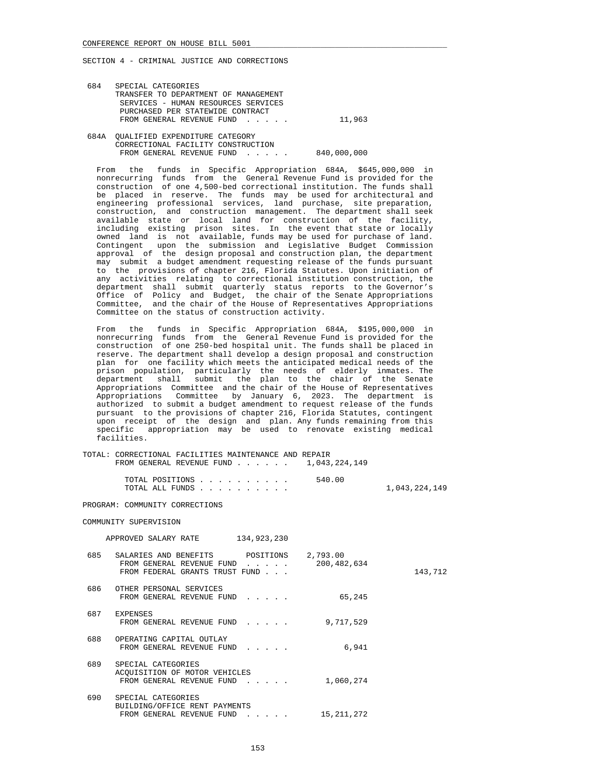| 684  | SPECIAL CATEGORIES                   |             |
|------|--------------------------------------|-------------|
|      | TRANSFER TO DEPARTMENT OF MANAGEMENT |             |
|      | SERVICES - HUMAN RESOURCES SERVICES  |             |
|      | PURCHASED PER STATEWIDE CONTRACT     |             |
|      | FROM GENERAL REVENUE FUND            | 11,963      |
|      |                                      |             |
| 684A | OUALIFIED EXPENDITURE CATEGORY       |             |
|      | CORRECTIONAL FACILITY CONSTRUCTION   |             |
|      | FROM GENERAL REVENUE FUND            | 840,000,000 |

 From the funds in Specific Appropriation 684A, \$645,000,000 in nonrecurring funds from the General Revenue Fund is provided for the construction of one 4,500-bed correctional institution. The funds shall be placed in reserve. The funds may be used for architectural and engineering professional services, land purchase, site preparation, construction, and construction management. The department shall seek available state or local land for construction of the facility, including existing prison sites. In the event that state or locally owned land is not available, funds may be used for purchase of land. Contingent upon the submission and Legislative Budget Commission approval of the design proposal and construction plan, the department may submit a budget amendment requesting release of the funds pursuant to the provisions of chapter 216, Florida Statutes. Upon initiation of any activities relating to correctional institution construction, the department shall submit quarterly status reports to the Governor's Office of Policy and Budget, the chair of the Senate Appropriations Committee, and the chair of the House of Representatives Appropriations Committee on the status of construction activity.

 From the funds in Specific Appropriation 684A, \$195,000,000 in nonrecurring funds from the General Revenue Fund is provided for the construction of one 250-bed hospital unit. The funds shall be placed in reserve. The department shall develop a design proposal and construction plan for one facility which meets the anticipated medical needs of the prison population, particularly the needs of elderly inmates. The department shall submit the plan to the chair of the Senate Appropriations Committee and the chair of the House of Representatives Appropriations Committee by January 6, 2023. The department is authorized to submit a budget amendment to request release of the funds pursuant to the provisions of chapter 216, Florida Statutes, contingent upon receipt of the design and plan. Any funds remaining from this specific appropriation may be used to renovate existing medical facilities.

 TOTAL: CORRECTIONAL FACILITIES MAINTENANCE AND REPAIR FROM GENERAL REVENUE FUND . . . . . . 1,043,224,149

| TOTAL POSITIONS |  |  |  |  |  | 540.00 |               |
|-----------------|--|--|--|--|--|--------|---------------|
| TOTAL ALL FUNDS |  |  |  |  |  |        | 1,043,224,149 |

### PROGRAM: COMMUNITY CORRECTIONS

### COMMUNITY SUPERVISION

|     | 134,923,230<br>APPROVED SALARY RATE                                                                                                                               |              |         |
|-----|-------------------------------------------------------------------------------------------------------------------------------------------------------------------|--------------|---------|
| 685 | SALARIES AND BENEFITS POSITIONS 2,793.00<br>FROM GENERAL REVENUE FUND<br>FROM FEDERAL GRANTS TRUST FUND                                                           | 200,482,634  | 143,712 |
| 686 | OTHER PERSONAL SERVICES<br>FROM GENERAL REVENUE FUND                                                                                                              | 65,245       |         |
| 687 | EXPENSES<br>FROM GENERAL REVENUE FUND                                                                                                                             | 9,717,529    |         |
| 688 | OPERATING CAPITAL OUTLAY<br>FROM GENERAL REVENUE FUND                                                                                                             | 6,941        |         |
| 689 | SPECIAL CATEGORIES<br>ACOUISITION OF MOTOR VEHICLES<br>FROM GENERAL REVENUE FUND                                                                                  | 1,060,274    |         |
| 690 | SPECIAL CATEGORIES<br>BUILDING/OFFICE RENT PAYMENTS<br>FROM GENERAL REVENUE FUND<br>$\mathbf{r} = \mathbf{r} + \mathbf{r} + \mathbf{r} + \mathbf{r} + \mathbf{r}$ | 15, 211, 272 |         |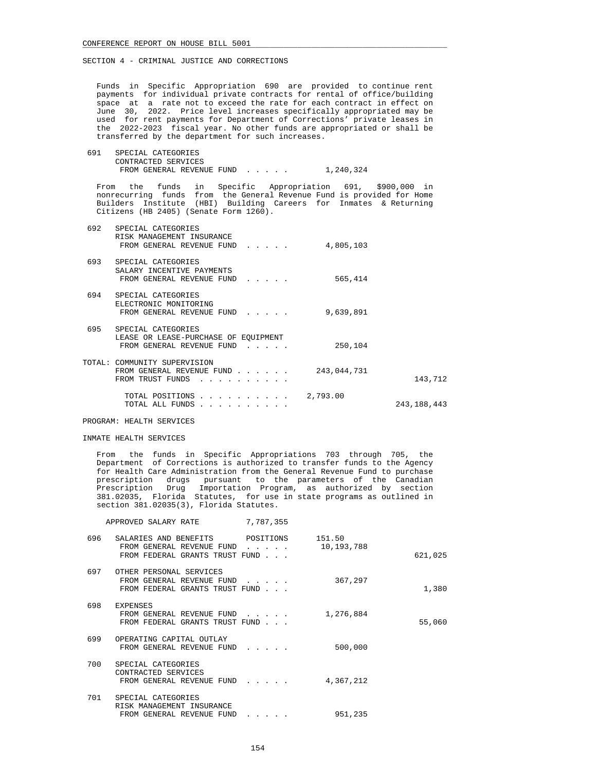Funds in Specific Appropriation 690 are provided to continue rent payments for individual private contracts for rental of office/building space at a rate not to exceed the rate for each contract in effect on June 30, 2022. Price level increases specifically appropriated may be used for rent payments for Department of Corrections' private leases in the 2022-2023 fiscal year. No other funds are appropriated or shall be transferred by the department for such increases.

 691 SPECIAL CATEGORIES CONTRACTED SERVICES FROM GENERAL REVENUE FUND . . . . . 1,240,324

 From the funds in Specific Appropriation 691, \$900,000 in nonrecurring funds from the General Revenue Fund is provided for Home Builders Institute (HBI) Building Careers for Inmates & Returning Citizens (HB 2405) (Senate Form 1260).

| 692 | SPECIAL CATEGORIES<br>RISK MANAGEMENT INSURANCE<br>FROM GENERAL REVENUE FUND<br>$\mathbf{1}$ , $\mathbf{1}$ , $\mathbf{1}$ , $\mathbf{1}$ , $\mathbf{1}$                                                                                                                                                                                                                                    | 4,805,103   |               |
|-----|---------------------------------------------------------------------------------------------------------------------------------------------------------------------------------------------------------------------------------------------------------------------------------------------------------------------------------------------------------------------------------------------|-------------|---------------|
| 693 | SPECIAL CATEGORIES<br>SALARY INCENTIVE PAYMENTS<br>FROM GENERAL REVENUE FUND<br>$\mathcal{L}^{\text{max}}$ , and $\mathcal{L}^{\text{max}}$ , and $\mathcal{L}^{\text{max}}$                                                                                                                                                                                                                | 565,414     |               |
| 694 | SPECIAL CATEGORIES<br>ELECTRONIC MONITORING<br>FROM GENERAL REVENUE FUND                                                                                                                                                                                                                                                                                                                    | 9,639,891   |               |
| 695 | SPECIAL CATEGORIES<br>LEASE OR LEASE-PURCHASE OF EOUIPMENT<br>FROM GENERAL REVENUE FUND<br>$\mathbf{r}$ and $\mathbf{r}$ and $\mathbf{r}$                                                                                                                                                                                                                                                   | 250,104     |               |
|     | TOTAL: COMMUNITY SUPERVISION<br>FROM GENERAL REVENUE FUND<br>FROM TRUST FUNDS<br>$\begin{array}{cccccccccccccccccc} . & . & . & . & . & . & . & . & . & . & . & . & . \end{array}$                                                                                                                                                                                                          | 243,044,731 | 143,712       |
|     | TOTAL POSITIONS.<br>$\mathbf{r}$ . The set of the set of the set of the set of the set of the set of the set of the set of the set of the set of the set of the set of the set of the set of the set of the set of the set of the set of the set of t<br>TOTAL ALL FUNDS<br>the contract of the contract of the contract of the contract of the contract of the contract of the contract of | 2,793.00    | 243, 188, 443 |

PROGRAM: HEALTH SERVICES

#### INMATE HEALTH SERVICES

 From the funds in Specific Appropriations 703 through 705, the Department of Corrections is authorized to transfer funds to the Agency for Health Care Administration from the General Revenue Fund to purchase prescription drugs pursuant to the parameters of the Canadian Prescription Drug Importation Program, as authorized by section 381.02035, Florida Statutes, for use in state programs as outlined in section 381.02035(3), Florida Statutes.

|         |                      | 7,787,355                                                                | APPROVED SALARY RATE                                                                           |     |
|---------|----------------------|--------------------------------------------------------------------------|------------------------------------------------------------------------------------------------|-----|
| 621,025 | 151.50<br>10,193,788 | $\mathbf{r}$ and $\mathbf{r}$ and $\mathbf{r}$                           | SALARIES AND BENEFITS POSITIONS<br>FROM GENERAL REVENUE FUND<br>FROM FEDERAL GRANTS TRUST FUND | 696 |
| 1,380   | 367,297              | $\cdot$ $\cdot$ $\cdot$ $\cdot$ $\cdot$                                  | OTHER PERSONAL SERVICES<br>FROM GENERAL REVENUE FUND<br>FROM FEDERAL GRANTS TRUST FUND         | 697 |
| 55,060  | 1,276,884            | $\cdots$                                                                 | <b>EXPENSES</b><br>FROM GENERAL REVENUE FUND<br>FROM FEDERAL GRANTS TRUST FUND                 | 698 |
|         | 500,000              | $\cdots$                                                                 | OPERATING CAPITAL OUTLAY<br>FROM GENERAL REVENUE FUND                                          | 699 |
|         | 4,367,212            | $\mathbf{r}$ , $\mathbf{r}$ , $\mathbf{r}$ , $\mathbf{r}$ , $\mathbf{r}$ | SPECIAL CATEGORIES<br>CONTRACTED SERVICES<br>FROM GENERAL REVENUE FUND                         | 700 |
|         | 951,235              | and a strategic con-                                                     | SPECIAL CATEGORIES<br>RISK MANAGEMENT INSURANCE<br>FROM GENERAL REVENUE FUND                   | 701 |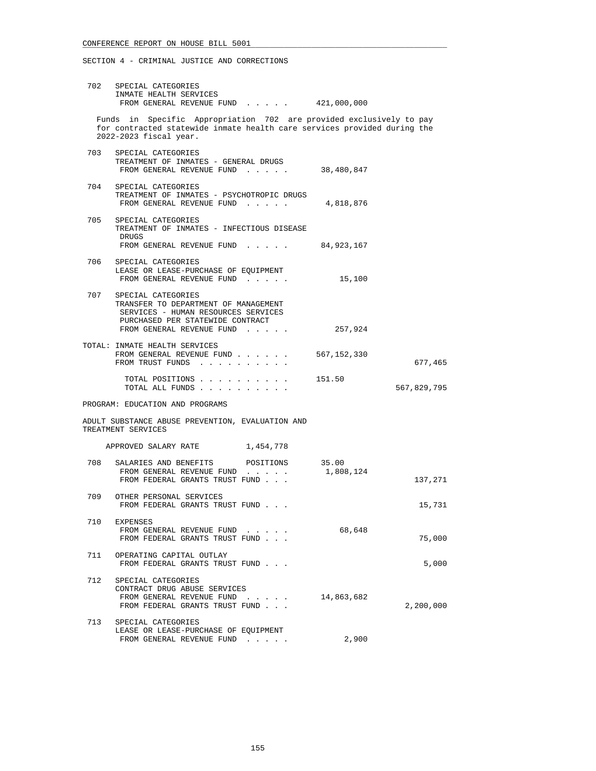| 702   | SPECIAL CATEGORIES<br>INMATE HEALTH SERVICES<br>FROM GENERAL REVENUE FUND 421,000,000                                                                                     |             |             |
|-------|---------------------------------------------------------------------------------------------------------------------------------------------------------------------------|-------------|-------------|
|       | Funds in Specific Appropriation 702 are provided exclusively to pay<br>for contracted statewide inmate health care services provided during the<br>2022-2023 fiscal year. |             |             |
|       |                                                                                                                                                                           |             |             |
|       | 703 SPECIAL CATEGORIES<br>TREATMENT OF INMATES - GENERAL DRUGS<br>FROM GENERAL REVENUE FUND 38,480,847                                                                    |             |             |
| 704   | SPECIAL CATEGORIES<br>TREATMENT OF INMATES - PSYCHOTROPIC DRUGS<br>FROM GENERAL REVENUE FUND $\ldots$ 4,818,876                                                           |             |             |
| 705 — | SPECIAL CATEGORIES<br>TREATMENT OF INMATES - INFECTIOUS DISEASE<br>DRUGS<br>FROM GENERAL REVENUE FUND 84,923,167                                                          |             |             |
| 706   | SPECIAL CATEGORIES<br>LEASE OR LEASE-PURCHASE OF EQUIPMENT<br>FROM GENERAL REVENUE FUND                                                                                   | 15,100      |             |
| 707   | SPECIAL CATEGORIES<br>TRANSFER TO DEPARTMENT OF MANAGEMENT<br>SERVICES - HUMAN RESOURCES SERVICES<br>PURCHASED PER STATEWIDE CONTRACT<br>FROM GENERAL REVENUE FUND        | 257,924     |             |
|       | TOTAL: INMATE HEALTH SERVICES<br>FROM GENERAL REVENUE FUND<br>FROM TRUST FUNDS                                                                                            | 567,152,330 | 677,465     |
|       | TOTAL POSITIONS $\ldots$ , $\ldots$ , $\ldots$ , 151.50<br>TOTAL ALL FUNDS                                                                                                |             | 567,829,795 |
|       | PROGRAM: EDUCATION AND PROGRAMS                                                                                                                                           |             |             |
|       | ADULT SUBSTANCE ABUSE PREVENTION, EVALUATION AND<br>TREATMENT SERVICES                                                                                                    |             |             |
|       | APPROVED SALARY RATE<br>1,454,778                                                                                                                                         |             |             |
|       | 708 SALARIES AND BENEFITS POSITIONS 35.00<br>FROM GENERAL REVENUE FUND<br>FROM FEDERAL GRANTS TRUST FUND                                                                  | 1,808,124   | 137,271     |
| 709   | OTHER PERSONAL SERVICES<br>FROM FEDERAL GRANTS TRUST FUND                                                                                                                 |             | 15,731      |
| 710   | <b>EXPENSES</b><br>FROM GENERAL REVENUE FUND<br>FROM FEDERAL GRANTS TRUST FUND                                                                                            | 68,648      | 75,000      |
| 711   | OPERATING CAPITAL OUTLAY<br>FROM FEDERAL GRANTS TRUST FUND                                                                                                                |             | 5,000       |
| 712   | SPECIAL CATEGORIES<br>CONTRACT DRUG ABUSE SERVICES<br>FROM GENERAL REVENUE FUND<br>the contract of the contract of<br>FROM FEDERAL GRANTS TRUST FUND                      | 14,863,682  | 2,200,000   |
| 713   | SPECIAL CATEGORIES<br>LEASE OR LEASE-PURCHASE OF EQUIPMENT<br>FROM GENERAL REVENUE FUND                                                                                   | 2,900       |             |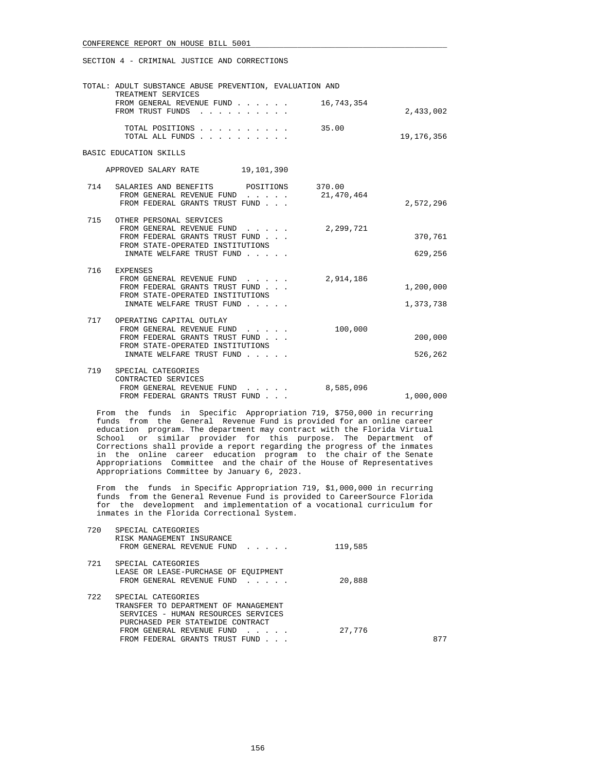SECTION 4 - CRIMINAL JUSTICE AND CORRECTIONS

|     | TOTAL: ADULT SUBSTANCE ABUSE PREVENTION, EVALUATION AND<br>TREATMENT SERVICES                                                                                                                             |                      |                        |
|-----|-----------------------------------------------------------------------------------------------------------------------------------------------------------------------------------------------------------|----------------------|------------------------|
|     | FROM GENERAL REVENUE FUND<br>FROM TRUST FUNDS                                                                                                                                                             | 16,743,354           | 2,433,002              |
|     | TOTAL POSITIONS<br>TOTAL ALL FUNDS.<br>$\begin{array}{cccccccccccccccccc} . & . & . & . & . & . & . & . & . & . & . & . \end{array}$                                                                      | 35.00                | 19, 176, 356           |
|     | BASIC EDUCATION SKILLS                                                                                                                                                                                    |                      |                        |
|     | 19,101,390<br>APPROVED SALARY RATE                                                                                                                                                                        |                      |                        |
| 714 | SALARIES AND BENEFITS POSITIONS<br>FROM GENERAL REVENUE FUND<br>$\mathbf{1}$ . The set of the set of $\mathbf{1}$<br>FROM FEDERAL GRANTS TRUST FUND                                                       | 370.00<br>21,470,464 | 2,572,296              |
| 715 | OTHER PERSONAL SERVICES<br>FROM GENERAL REVENUE FUND<br>$\mathbf{r}$ and $\mathbf{r}$ and $\mathbf{r}$<br>FROM FEDERAL GRANTS TRUST FUND<br>FROM STATE-OPERATED INSTITUTIONS<br>INMATE WELFARE TRUST FUND | 2,299,721            | 370,761<br>629,256     |
| 716 | <b>EXPENSES</b><br>FROM GENERAL REVENUE FUND<br>$\mathbf{r}$ and $\mathbf{r}$ and $\mathbf{r}$<br>FROM FEDERAL GRANTS TRUST FUND<br>FROM STATE-OPERATED INSTITUTIONS<br>INMATE WELFARE TRUST FUND         | 2,914,186            | 1,200,000<br>1,373,738 |
| 717 | OPERATING CAPITAL OUTLAY<br>FROM GENERAL REVENUE FUND<br>FROM FEDERAL GRANTS TRUST FUND<br>FROM STATE-OPERATED INSTITUTIONS<br>INMATE WELFARE TRUST FUND                                                  | 100,000              | 200,000<br>526,262     |
| 719 | SPECIAL CATEGORIES<br>CONTRACTED SERVICES<br>FROM GENERAL REVENUE FUND<br>FROM FEDERAL GRANTS TRUST FUND                                                                                                  | 8,585,096            | 1,000,000              |

 From the funds in Specific Appropriation 719, \$750,000 in recurring funds from the General Revenue Fund is provided for an online career education program. The department may contract with the Florida Virtual School or similar provider for this purpose. The Department of Corrections shall provide a report regarding the progress of the inmates in the online career education program to the chair of the Senate Appropriations Committee and the chair of the House of Representatives Appropriations Committee by January 6, 2023.

 From the funds in Specific Appropriation 719, \$1,000,000 in recurring funds from the General Revenue Fund is provided to CareerSource Florida for the development and implementation of a vocational curriculum for inmates in the Florida Correctional System.

| 720 | SPECIAL CATEGORIES<br>RISK MANAGEMENT INSURANCE |         |     |
|-----|-------------------------------------------------|---------|-----|
|     | FROM GENERAL REVENUE FUND                       | 119,585 |     |
| 721 | SPECIAL CATEGORIES                              |         |     |
|     | LEASE OR LEASE-PURCHASE OF EOUIPMENT            |         |     |
|     | FROM GENERAL REVENUE FUND                       | 20,888  |     |
| 722 | SPECIAL CATEGORIES                              |         |     |
|     | TRANSFER TO DEPARTMENT OF MANAGEMENT            |         |     |
|     | SERVICES - HUMAN RESOURCES SERVICES             |         |     |
|     | PURCHASED PER STATEWIDE CONTRACT                |         |     |
|     | FROM GENERAL REVENUE FUND                       | 27,776  |     |
|     | FROM FEDERAL GRANTS TRUST FUND                  |         | 877 |
|     |                                                 |         |     |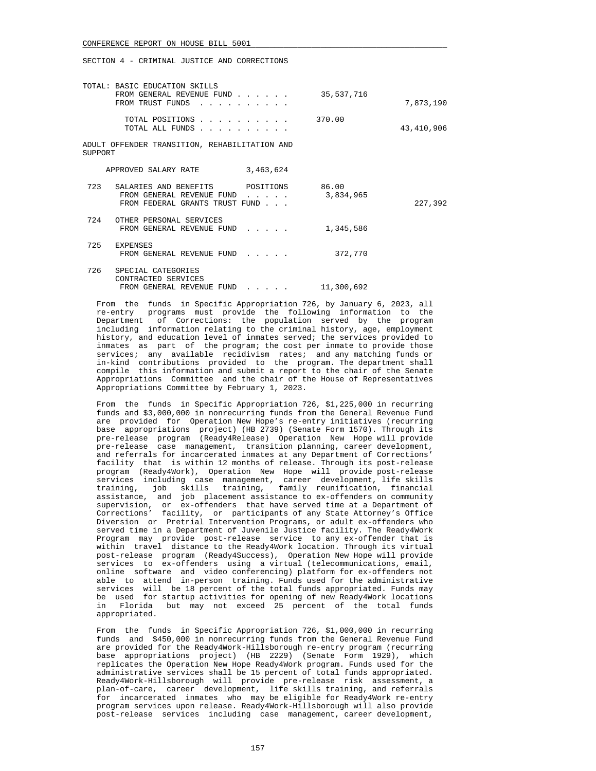| TOTAL: BASIC EDUCATION SKILLS<br>FROM TRUST FUNDS        | FROM GENERAL REVENUE FUND                                   |                                                                          | 35,537,716 | 7,873,190  |
|----------------------------------------------------------|-------------------------------------------------------------|--------------------------------------------------------------------------|------------|------------|
|                                                          | TOTAL POSITIONS<br>TOTAL ALL FUNDS                          |                                                                          | 370.00     | 43,410,906 |
| ADULT OFFENDER TRANSITION, REHABILITATION AND<br>SUPPORT |                                                             |                                                                          |            |            |
| APPROVED SALARY RATE                                     |                                                             | 3,463,624                                                                |            |            |
| 723 SALARIES AND BENEFITS POSITIONS 86.00                | FROM GENERAL REVENUE FUND<br>FROM FEDERAL GRANTS TRUST FUND | $\mathbf{r}$ , $\mathbf{r}$ , $\mathbf{r}$ , $\mathbf{r}$ , $\mathbf{r}$ | 3,834,965  | 227,392    |
| 724<br>OTHER PERSONAL SERVICES                           | FROM GENERAL REVENUE FUND                                   |                                                                          | 1,345,586  |            |
| 725 EXPENSES                                             | FROM GENERAL REVENUE FUND                                   |                                                                          | 372,770    |            |
| 726<br>SPECIAL CATEGORIES<br>CONTRACTED SERVICES         | FROM GENERAL REVENUE FUND                                   | $\mathbf{1}$ . $\mathbf{1}$ . $\mathbf{1}$                               | 11,300,692 |            |

 From the funds in Specific Appropriation 726, by January 6, 2023, all re-entry programs must provide the following information to the Department of Corrections: the population served by the program including information relating to the criminal history, age, employment history, and education level of inmates served; the services provided to inmates as part of the program; the cost per inmate to provide those services; any available recidivism rates; and any matching funds or in-kind contributions provided to the program. The department shall compile this information and submit a report to the chair of the Senate Appropriations Committee and the chair of the House of Representatives Appropriations Committee by February 1, 2023.

 From the funds in Specific Appropriation 726, \$1,225,000 in recurring funds and \$3,000,000 in nonrecurring funds from the General Revenue Fund are provided for Operation New Hope's re-entry initiatives (recurring base appropriations project) (HB 2739) (Senate Form 1570). Through its pre-release program (Ready4Release) Operation New Hope will provide pre-release case management, transition planning, career development, and referrals for incarcerated inmates at any Department of Corrections' facility that is within 12 months of release. Through its post-release program (Ready4Work), Operation New Hope will provide post-release services including case management, career development, life skills training, job skills training, family reunification, financial assistance, and job placement assistance to ex-offenders on community supervision, or ex-offenders that have served time at a Department of Corrections' facility, or participants of any State Attorney's Office Diversion or Pretrial Intervention Programs, or adult ex-offenders who served time in a Department of Juvenile Justice facility. The Ready4Work Program may provide post-release service to any ex-offender that is within travel distance to the Ready4Work location. Through its virtual post-release program (Ready4Success), Operation New Hope will provide services to ex-offenders using a virtual (telecommunications, email, online software and video conferencing) platform for ex-offenders not able to attend in-person training. Funds used for the administrative services will be 18 percent of the total funds appropriated. Funds may be used for startup activities for opening of new Ready4Work locations in Florida but may not exceed 25 percent of the total funds appropriated.

 From the funds in Specific Appropriation 726, \$1,000,000 in recurring funds and \$450,000 in nonrecurring funds from the General Revenue Fund are provided for the Ready4Work-Hillsborough re-entry program (recurring base appropriations project) (HB 2229) (Senate Form 1929), which replicates the Operation New Hope Ready4Work program. Funds used for the administrative services shall be 15 percent of total funds appropriated. Ready4Work-Hillsborough will provide pre-release risk assessment, a plan-of-care, career development, life skills training, and referrals for incarcerated inmates who may be eligible for Ready4Work re-entry program services upon release. Ready4Work-Hillsborough will also provide post-release services including case management, career development,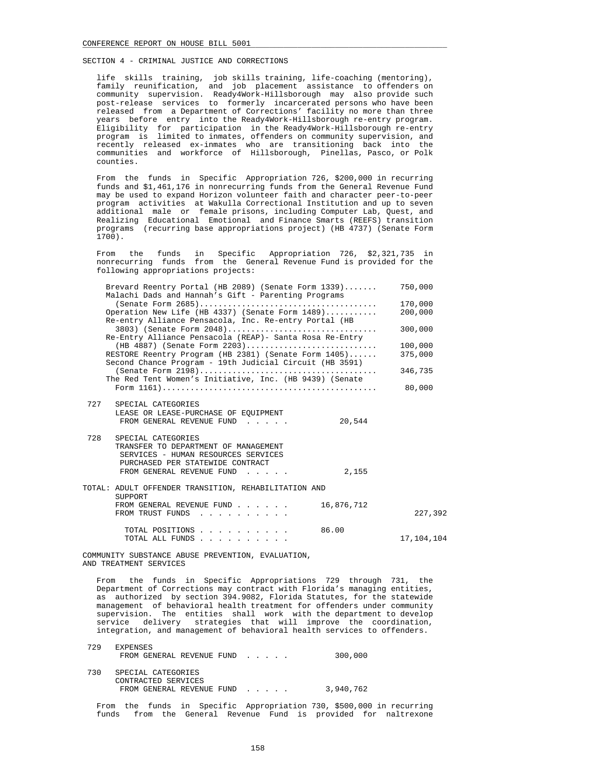life skills training, job skills training, life-coaching (mentoring), family reunification, and job placement assistance to offenders on community supervision. Ready4Work-Hillsborough may also provide such post-release services to formerly incarcerated persons who have been released from a Department of Corrections' facility no more than three years before entry into the Ready4Work-Hillsborough re-entry program. Eligibility for participation in the Ready4Work-Hillsborough re-entry program is limited to inmates, offenders on community supervision, and recently released ex-inmates who are transitioning back into the communities and workforce of Hillsborough, Pinellas, Pasco, or Polk counties.

 From the funds in Specific Appropriation 726, \$200,000 in recurring funds and \$1,461,176 in nonrecurring funds from the General Revenue Fund may be used to expand Horizon volunteer faith and character peer-to-peer program activities at Wakulla Correctional Institution and up to seven additional male or female prisons, including Computer Lab, Quest, and Realizing Educational Emotional and Finance Smarts (REEFS) transition programs (recurring base appropriations project) (HB 4737) (Senate Form  $1700$ ).

 From the funds in Specific Appropriation 726, \$2,321,735 in nonrecurring funds from the General Revenue Fund is provided for the following appropriations projects:

|     | Brevard Reentry Portal (HB 2089) (Senate Form 1339)      | 750,000    |
|-----|----------------------------------------------------------|------------|
|     | Malachi Dads and Hannah's Gift - Parenting Programs      | 170,000    |
|     | Operation New Life (HB 4337) (Senate Form 1489)          | 200,000    |
|     | Re-entry Alliance Pensacola, Inc. Re-entry Portal (HB    |            |
|     | $3803)$ (Senate Form $2048)$                             | 300,000    |
|     | Re-Entry Alliance Pensacola (REAP) - Santa Rosa Re-Entry |            |
|     | (HB 4887) (Senate Form 2203)                             | 100,000    |
|     | RESTORE Reentry Program (HB 2381) (Senate Form 1405)     | 375,000    |
|     | Second Chance Program - 19th Judicial Circuit (HB 3591)  |            |
|     | The Red Tent Women's Initiative, Inc. (HB 9439) (Senate  | 346,735    |
|     |                                                          | 80,000     |
|     |                                                          |            |
| 727 | SPECIAL CATEGORIES                                       |            |
|     | LEASE OR LEASE-PURCHASE OF EQUIPMENT                     |            |
|     | FROM GENERAL REVENUE FUND<br>20,544                      |            |
| 728 | SPECIAL CATEGORIES                                       |            |
|     | TRANSFER TO DEPARTMENT OF MANAGEMENT                     |            |
|     | SERVICES - HUMAN RESOURCES SERVICES                      |            |
|     | PURCHASED PER STATEWIDE CONTRACT                         |            |
|     | 2,155<br>FROM GENERAL REVENUE FUND                       |            |
|     | TOTAL: ADULT OFFENDER TRANSITION, REHABILITATION AND     |            |
|     | SUPPORT                                                  |            |
|     | FROM GENERAL REVENUE FUND<br>16,876,712                  |            |
|     | FROM TRUST FUNDS                                         | 227,392    |
|     | 86.00<br>TOTAL POSITIONS                                 |            |
|     | TOTAL ALL FUNDS                                          | 17,104,104 |
|     |                                                          |            |

 COMMUNITY SUBSTANCE ABUSE PREVENTION, EVALUATION, AND TREATMENT SERVICES

 From the funds in Specific Appropriations 729 through 731, the Department of Corrections may contract with Florida's managing entities, as authorized by section 394.9082, Florida Statutes, for the statewide management of behavioral health treatment for offenders under community supervision. The entities shall work with the department to develop service delivery strategies that will improve the coordination, integration, and management of behavioral health services to offenders.

| 729 | <b>EXPENSES</b><br>FROM GENERAL REVENUE FUND                           | 300,000   |
|-----|------------------------------------------------------------------------|-----------|
| 730 | SPECIAL CATEGORIES<br>CONTRACTED SERVICES<br>FROM GENERAL REVENUE FUND | 3,940,762 |

From the funds in Specific Appropriation 730, \$500,000 in recurring<br>funds from the General Revenue Fund is provided for naltrexone from the General Revenue Fund is provided for naltrexone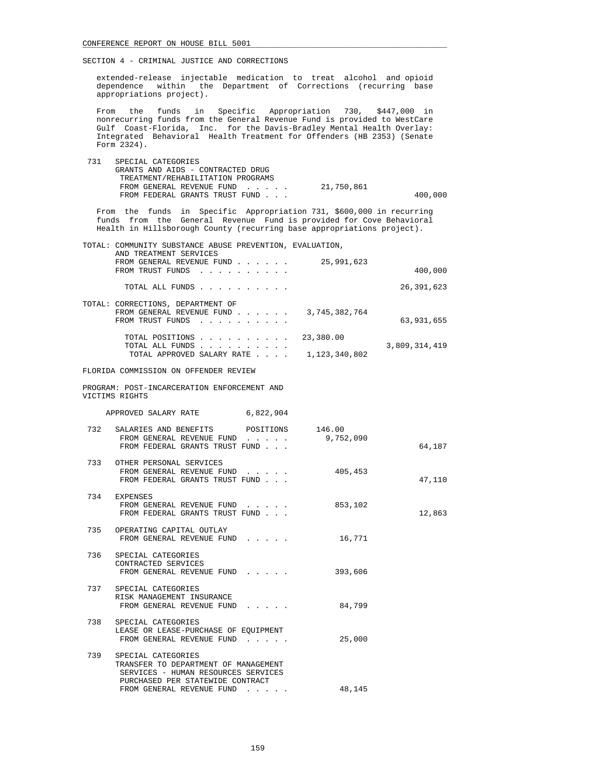extended-release injectable medication to treat alcohol and opioid dependence within the Department of Corrections (recurring base appropriations project).

 From the funds in Specific Appropriation 730, \$447,000 in nonrecurring funds from the General Revenue Fund is provided to WestCare Gulf Coast-Florida, Inc. for the Davis-Bradley Mental Health Overlay: Integrated Behavioral Health Treatment for Offenders (HB 2353) (Senate Form 2324).

| 731 | SPECIAL CATEGORIES                |            |         |
|-----|-----------------------------------|------------|---------|
|     | GRANTS AND AIDS - CONTRACTED DRUG |            |         |
|     | TREATMENT/REHABILITATION PROGRAMS |            |         |
|     | FROM GENERAL REVENUE FUND         | 21,750,861 |         |
|     | FROM FEDERAL GRANTS TRUST FUND    |            | 400,000 |
|     |                                   |            |         |

 From the funds in Specific Appropriation 731, \$600,000 in recurring funds from the General Revenue Fund is provided for Cove Behavioral Health in Hillsborough County (recurring base appropriations project).

| TOTAL: COMMUNITY SUBSTANCE ABUSE PREVENTION, EVALUATION, |                                |
|----------------------------------------------------------|--------------------------------|
| AND TREATMENT SERVICES<br>FROM GENERAL REVENUE FUND      | 25,991,623                     |
| FROM TRUST FUNDS                                         | 400,000                        |
| TOTAL ALL FUNDS                                          | 26, 391, 623                   |
| TOTAL: CORRECTIONS, DEPARTMENT OF                        |                                |
| FROM GENERAL REVENUE FUND<br>FROM TRUST FUNDS            | 3,745,382,764<br>63,931,655    |
| TOTAL POSITIONS                                          | 23,380.00                      |
| TOTAL ALL FUNDS<br>TOTAL APPROVED SALARY RATE            | 3,809,314,419<br>1,123,340,802 |

FLORIDA COMMISSION ON OFFENDER REVIEW

 PROGRAM: POST-INCARCERATION ENFORCEMENT AND VICTIMS RIGHTS

| APPROVED SALARY RATE                                                                                                                         | 6,822,904                                                                                                                                                                                                                         |         |        |
|----------------------------------------------------------------------------------------------------------------------------------------------|-----------------------------------------------------------------------------------------------------------------------------------------------------------------------------------------------------------------------------------|---------|--------|
| 732 SALARIES AND BENEFITS POSITIONS 146.00<br>FROM GENERAL REVENUE FUND 9,752,090<br>FROM FEDERAL GRANTS TRUST FUND                          |                                                                                                                                                                                                                                   |         | 64,187 |
| 733 OTHER PERSONAL SERVICES<br>FROM GENERAL REVENUE FUND<br>FROM FEDERAL GRANTS TRUST FUND                                                   | $\mathbf{r}$ . The set of the set of the set of the set of the set of the set of the set of the set of the set of the set of the set of the set of the set of the set of the set of the set of the set of the set of the set of t | 405,453 | 47,110 |
| 734 EXPENSES<br>FROM GENERAL REVENUE FUND<br>FROM FEDERAL GRANTS TRUST FUND                                                                  |                                                                                                                                                                                                                                   | 853,102 | 12,863 |
| 735 OPERATING CAPITAL OUTLAY<br>FROM GENERAL REVENUE FUND                                                                                    |                                                                                                                                                                                                                                   | 16,771  |        |
| 736 SPECIAL CATEGORIES<br>CONTRACTED SERVICES<br>FROM GENERAL REVENUE FUND                                                                   |                                                                                                                                                                                                                                   | 393,606 |        |
| 737 SPECIAL CATEGORIES<br>RISK MANAGEMENT INSURANCE<br>FROM GENERAL REVENUE FUND                                                             |                                                                                                                                                                                                                                   | 84,799  |        |
| 738 SPECIAL CATEGORIES<br>LEASE OR LEASE-PURCHASE OF EQUIPMENT<br>FROM GENERAL REVENUE FUND                                                  |                                                                                                                                                                                                                                   | 25,000  |        |
| 739<br>SPECIAL CATEGORIES<br>TRANSFER TO DEPARTMENT OF MANAGEMENT<br>SERVICES - HUMAN RESOURCES SERVICES<br>PURCHASED PER STATEWIDE CONTRACT |                                                                                                                                                                                                                                   |         |        |
| FROM GENERAL REVENUE FUND                                                                                                                    | $\mathbf{r}$ . The set of the set of the set of the set of the set of the set of the set of the set of the set of the set of the set of the set of the set of the set of the set of the set of the set of the set of the set of t | 48,145  |        |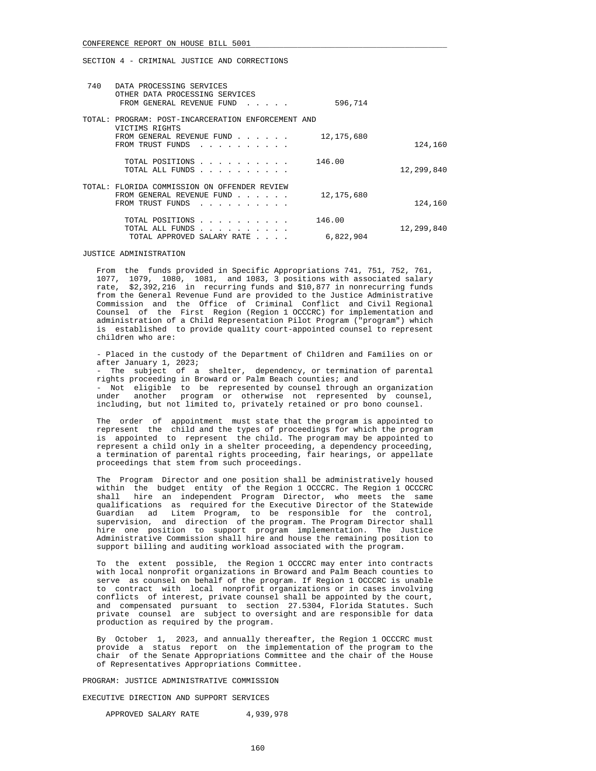| 740 | DATA PROCESSING SERVICES<br>OTHER DATA PROCESSING SERVICES<br>FROM GENERAL REVENUE FUND<br>$\cdots$                                                                                            | 596,714             |            |
|-----|------------------------------------------------------------------------------------------------------------------------------------------------------------------------------------------------|---------------------|------------|
|     | TOTAL: PROGRAM: POST-INCARCERATION ENFORCEMENT AND<br>VICTIMS RIGHTS<br>FROM GENERAL REVENUE FUND<br>FROM TRUST FUNDS                                                                          | 12, 175, 680        | 124,160    |
|     | TOTAL POSITIONS<br>and a series of the series of<br>TOTAL ALL FUNDS<br>designed and contract and contract and                                                                                  | 146.00              | 12,299,840 |
|     | TOTAL: FLORIDA COMMISSION ON OFFENDER REVIEW<br>FROM GENERAL REVENUE FUND<br>FROM TRUST FUNDS                                                                                                  | 12, 175, 680        | 124,160    |
|     | TOTAL POSITIONS<br>and a series of the control of<br>TOTAL ALL FUNDS<br>$\mathbf{r}$ , and $\mathbf{r}$ , and $\mathbf{r}$ , and $\mathbf{r}$ , and $\mathbf{r}$<br>TOTAL APPROVED SALARY RATE | 146.00<br>6,822,904 | 12,299,840 |

### JUSTICE ADMINISTRATION

 From the funds provided in Specific Appropriations 741, 751, 752, 761, 1077, 1079, 1080, 1081, and 1083, 3 positions with associated salary rate, \$2,392,216 in recurring funds and \$10,877 in nonrecurring funds from the General Revenue Fund are provided to the Justice Administrative Commission and the Office of Criminal Conflict and Civil Regional Counsel of the First Region (Region 1 OCCCRC) for implementation and administration of a Child Representation Pilot Program ("program") which is established to provide quality court-appointed counsel to represent children who are:

 - Placed in the custody of the Department of Children and Families on or after January 1, 2023;

 - The subject of a shelter, dependency, or termination of parental rights proceeding in Broward or Palm Beach counties; and

 - Not eligible to be represented by counsel through an organization under another program or otherwise not represented by counsel, including, but not limited to, privately retained or pro bono counsel.

 The order of appointment must state that the program is appointed to represent the child and the types of proceedings for which the program is appointed to represent the child. The program may be appointed to represent a child only in a shelter proceeding, a dependency proceeding, a termination of parental rights proceeding, fair hearings, or appellate proceedings that stem from such proceedings.

 The Program Director and one position shall be administratively housed within the budget entity of the Region 1 OCCCRC. The Region 1 OCCCRC shall hire an independent Program Director, who meets the same qualifications as required for the Executive Director of the Statewide Guardian ad Litem Program, to be responsible for the control, supervision, and direction of the program. The Program Director shall hire one position to support program implementation. The Justice Administrative Commission shall hire and house the remaining position to support billing and auditing workload associated with the program.

 To the extent possible, the Region 1 OCCCRC may enter into contracts with local nonprofit organizations in Broward and Palm Beach counties to serve as counsel on behalf of the program. If Region 1 OCCCRC is unable to contract with local nonprofit organizations or in cases involving conflicts of interest, private counsel shall be appointed by the court, and compensated pursuant to section 27.5304, Florida Statutes. Such private counsel are subject to oversight and are responsible for data production as required by the program.

 By October 1, 2023, and annually thereafter, the Region 1 OCCCRC must provide a status report on the implementation of the program to the chair of the Senate Appropriations Committee and the chair of the House of Representatives Appropriations Committee.

PROGRAM: JUSTICE ADMINISTRATIVE COMMISSION

EXECUTIVE DIRECTION AND SUPPORT SERVICES

APPROVED SALARY RATE 4,939,978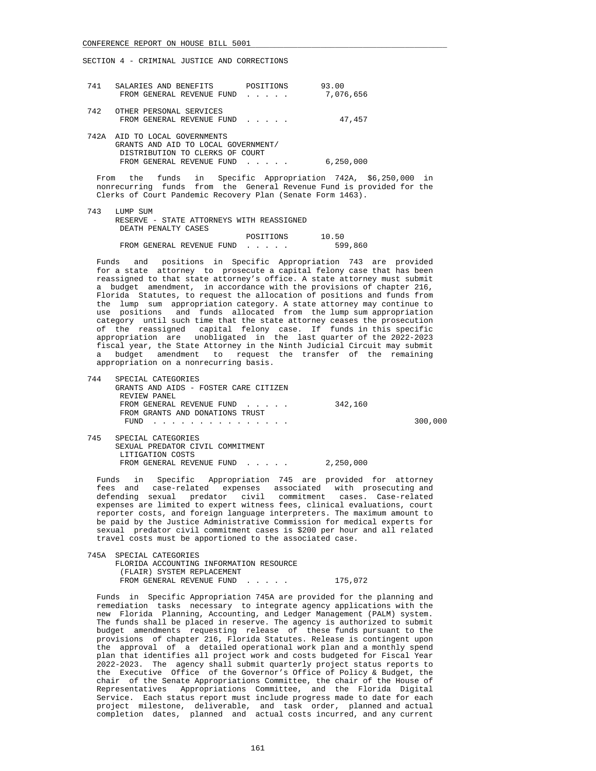| 741  | SALARIES AND BENEFITS<br>FROM GENERAL REVENUE FUND                                                                              | POSITIONS<br>$\mathbf{r}$ , $\mathbf{r}$ , $\mathbf{r}$ , $\mathbf{r}$ | 93.00<br>7,076,656 |
|------|---------------------------------------------------------------------------------------------------------------------------------|------------------------------------------------------------------------|--------------------|
| 742  | OTHER PERSONAL SERVICES<br>FROM GENERAL REVENUE FUND                                                                            |                                                                        | 47,457             |
| 742A | AID TO LOCAL GOVERNMENTS<br>GRANTS AND AID TO LOCAL GOVERNMENT/<br>DISTRIBUTION TO CLERKS OF COURT<br>FROM GENERAL REVENUE FUND | $\mathbf{r}$ and $\mathbf{r}$ and $\mathbf{r}$                         | 6,250,000          |

 From the funds in Specific Appropriation 742A, \$6,250,000 in nonrecurring funds from the General Revenue Fund is provided for the Clerks of Court Pandemic Recovery Plan (Senate Form 1463).

| 743 | LUMP SUM                                  |         |
|-----|-------------------------------------------|---------|
|     | RESERVE - STATE ATTORNEYS WITH REASSIGNED |         |
|     | DEATH PENALTY CASES                       |         |
|     | POSITIONS                                 | 10.50   |
|     | FROM GENERAL REVENUE FUND                 | 599,860 |

 Funds and positions in Specific Appropriation 743 are provided for a state attorney to prosecute a capital felony case that has been reassigned to that state attorney's office. A state attorney must submit a budget amendment, in accordance with the provisions of chapter 216, Florida Statutes, to request the allocation of positions and funds from the lump sum appropriation category. A state attorney may continue to use positions and funds allocated from the lump sum appropriation category until such time that the state attorney ceases the prosecution of the reassigned capital felony case. If funds in this specific appropriation are unobligated in the last quarter of the 2022-2023 fiscal year, the State Attorney in the Ninth Judicial Circuit may submit a budget amendment to request the transfer of the remaining appropriation on a nonrecurring basis.

| 744 | SPECIAL CATEGORIES                                                                                                      |           |         |
|-----|-------------------------------------------------------------------------------------------------------------------------|-----------|---------|
|     | GRANTS AND AIDS - FOSTER CARE CITIZEN                                                                                   |           |         |
|     | REVIEW PANEL                                                                                                            |           |         |
|     | FROM GENERAL REVENUE FUND                                                                                               | 342,160   |         |
|     | FROM GRANTS AND DONATIONS TRUST                                                                                         |           |         |
|     | FUND<br>and the state of the state of the state of the state of the state of the state of the state of the state of the |           | 300,000 |
| 745 | SPECIAL CATEGORIES                                                                                                      |           |         |
|     |                                                                                                                         |           |         |
|     | SEXUAL PREDATOR CIVIL COMMITMENT                                                                                        |           |         |
|     | LITIGATION COSTS                                                                                                        |           |         |
|     | FROM GENERAL REVENUE FUND                                                                                               | 2,250,000 |         |

 Funds in Specific Appropriation 745 are provided for attorney fees and case-related expenses associated with prosecuting and defending sexual predator civil commitment cases. Case-related expenses are limited to expert witness fees, clinical evaluations, court reporter costs, and foreign language interpreters. The maximum amount to be paid by the Justice Administrative Commission for medical experts for sexual predator civil commitment cases is \$200 per hour and all related travel costs must be apportioned to the associated case.

 745A SPECIAL CATEGORIES FLORIDA ACCOUNTING INFORMATION RESOURCE (FLAIR) SYSTEM REPLACEMENT FROM GENERAL REVENUE FUND . . . . . 175,072

 Funds in Specific Appropriation 745A are provided for the planning and remediation tasks necessary to integrate agency applications with the new Florida Planning, Accounting, and Ledger Management (PALM) system. The funds shall be placed in reserve. The agency is authorized to submit budget amendments requesting release of these funds pursuant to the provisions of chapter 216, Florida Statutes. Release is contingent upon the approval of a detailed operational work plan and a monthly spend plan that identifies all project work and costs budgeted for Fiscal Year 2022-2023. The agency shall submit quarterly project status reports to the Executive Office of the Governor's Office of Policy & Budget, the chair of the Senate Appropriations Committee, the chair of the House of Representatives Appropriations Committee, and the Florida Digital Service. Each status report must include progress made to date for each project milestone, deliverable, and task order, planned and actual completion dates, planned and actual costs incurred, and any current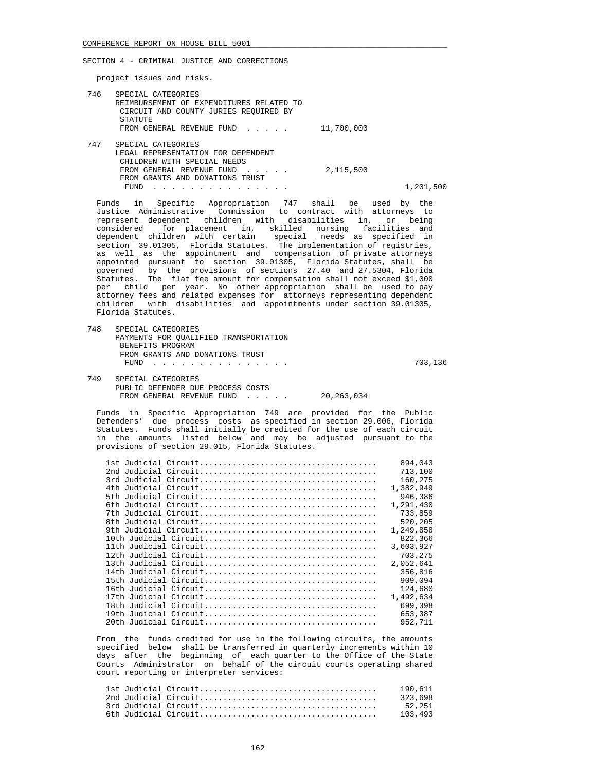project issues and risks.

| 746 | SPECIAL CATEGORIES<br>REIMBURSEMENT OF EXPENDITURES RELATED TO<br>CIRCUIT AND COUNTY JURIES REOUIRED BY<br>STATUTE |            |           |
|-----|--------------------------------------------------------------------------------------------------------------------|------------|-----------|
|     | FROM GENERAL REVENUE FUND                                                                                          | 11,700,000 |           |
| 747 | SPECIAL CATEGORIES                                                                                                 |            |           |
|     | LEGAL REPRESENTATION FOR DEPENDENT                                                                                 |            |           |
|     | CHILDREN WITH SPECIAL NEEDS                                                                                        |            |           |
|     | FROM GENERAL REVENUE FUND                                                                                          | 2,115,500  |           |
|     | FROM GRANTS AND DONATIONS TRUST                                                                                    |            |           |
|     | FUND                                                                                                               |            | 1,201,500 |
|     |                                                                                                                    |            |           |

 Funds in Specific Appropriation 747 shall be used by the Justice Administrative Commission to contract with attorneys to represent dependent children with disabilities in, or being considered for placement in, skilled nursing facilities and dependent children with certain special needs as specified in section 39.01305, Florida Statutes. The implementation of registries, as well as the appointment and compensation of private attorneys appointed pursuant to section 39.01305, Florida Statutes, shall be governed by the provisions of sections 27.40 and 27.5304, Florida Statutes. The flat fee amount for compensation shall not exceed \$1,000 per child per year. No other appropriation shall be used to pay attorney fees and related expenses for attorneys representing dependent children with disabilities and appointments under section 39.01305, Florida Statutes.

 748 SPECIAL CATEGORIES PAYMENTS FOR QUALIFIED TRANSPORTATION BENEFITS PROGRAM FROM GRANTS AND DONATIONS TRUST FUND . . . . . . . . . . . . . . . 703,136 749 SPECIAL CATEGORIES PUBLIC DEFENDER DUE PROCESS COSTS FROM GENERAL REVENUE FUND . . . . . 20,263,034

 Funds in Specific Appropriation 749 are provided for the Public Defenders' due process costs as specified in section 29.006, Florida Statutes. Funds shall initially be credited for the use of each circuit in the amounts listed below and may be adjusted pursuant to the provisions of section 29.015, Florida Statutes.

|  | 894,043   |
|--|-----------|
|  | 713,100   |
|  | 160,275   |
|  | 1,382,949 |
|  | 946,386   |
|  | 1,291,430 |
|  | 733,859   |
|  | 520,205   |
|  | 1,249,858 |
|  | 822,366   |
|  | 3,603,927 |
|  | 703,275   |
|  | 2,052,641 |
|  | 356,816   |
|  | 909,094   |
|  | 124,680   |
|  | 1,492,634 |
|  | 699,398   |
|  | 653,387   |
|  | 952,711   |
|  |           |

 From the funds credited for use in the following circuits, the amounts specified below shall be transferred in quarterly increments within 10 days after the beginning of each quarter to the Office of the State Courts Administrator on behalf of the circuit courts operating shared court reporting or interpreter services:

| 190.611 |
|---------|
| 323.698 |
| 52.251  |
| 103.493 |
|         |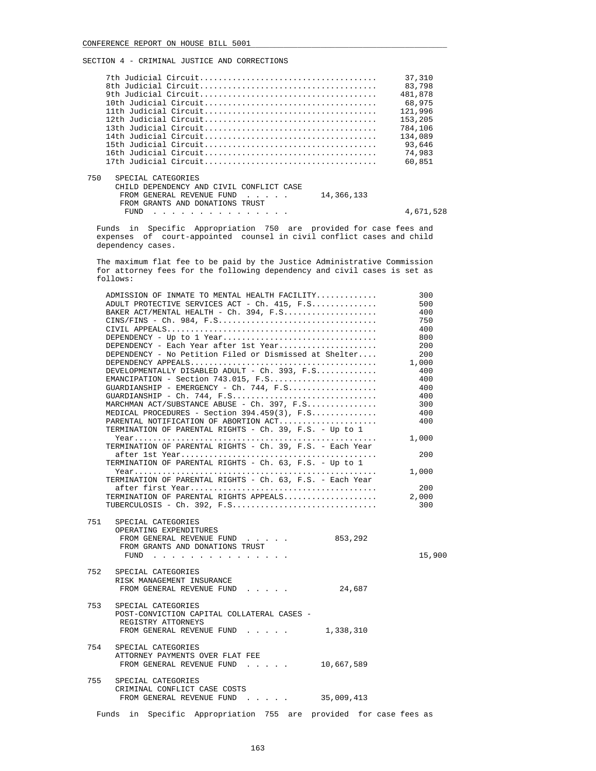|                                                                                                                                                        | 37,310    |
|--------------------------------------------------------------------------------------------------------------------------------------------------------|-----------|
|                                                                                                                                                        | 83,798    |
|                                                                                                                                                        | 481,878   |
|                                                                                                                                                        | 68,975    |
|                                                                                                                                                        | 121,996   |
|                                                                                                                                                        | 153,205   |
|                                                                                                                                                        | 784,106   |
|                                                                                                                                                        | 134,089   |
|                                                                                                                                                        | 93,646    |
|                                                                                                                                                        | 74,983    |
|                                                                                                                                                        | 60,851    |
| 750<br>SPECIAL CATEGORIES<br>CHILD DEPENDENCY AND CIVIL CONFLICT CASE<br>14,366,133<br>FROM GENERAL REVENUE FUND<br>$\sim$ $\sim$ $\sim$ $\sim$ $\sim$ |           |
| FROM GRANTS AND DONATIONS TRUST                                                                                                                        |           |
| FUND                                                                                                                                                   | 4,671,528 |

 Funds in Specific Appropriation 750 are provided for case fees and expenses of court-appointed counsel in civil conflict cases and child dependency cases.

 The maximum flat fee to be paid by the Justice Administrative Commission for attorney fees for the following dependency and civil cases is set as follows:

|     | ADMISSION OF INMATE TO MENTAL HEALTH FACILITY                                                                           | 300    |
|-----|-------------------------------------------------------------------------------------------------------------------------|--------|
|     | ADULT PROTECTIVE SERVICES ACT - Ch. 415, F.S                                                                            | 500    |
|     | BAKER ACT/MENTAL HEALTH - Ch. 394, F.S                                                                                  | 400    |
|     |                                                                                                                         | 750    |
|     |                                                                                                                         | 400    |
|     |                                                                                                                         | 800    |
|     | DEPENDENCY - Each Year after 1st Year                                                                                   | 200    |
|     | DEPENDENCY - No Petition Filed or Dismissed at Shelter                                                                  | 200    |
|     |                                                                                                                         | 1,000  |
|     | DEVELOPMENTALLY DISABLED ADULT - Ch. 393, F.S                                                                           | 400    |
|     |                                                                                                                         | 400    |
|     | GUARDIANSHIP - EMERGENCY - Ch. 744, $F.S.$                                                                              | - 400  |
|     |                                                                                                                         | 400    |
|     | MARCHMAN ACT/SUBSTANCE ABUSE - Ch. 397, F.S                                                                             | 300    |
|     | MEDICAL PROCEDURES - Section $394.459(3)$ , F.S                                                                         | 400    |
|     | PARENTAL NOTIFICATION OF ABORTION ACT                                                                                   | 400    |
|     | TERMINATION OF PARENTAL RIGHTS - Ch. 39, F.S. - Up to 1                                                                 |        |
|     |                                                                                                                         | 1,000  |
|     | TERMINATION OF PARENTAL RIGHTS - Ch. 39, F.S. - Each Year                                                               |        |
|     |                                                                                                                         | 200    |
|     | TERMINATION OF PARENTAL RIGHTS - Ch. 63, F.S. - Up to 1                                                                 |        |
|     |                                                                                                                         | 1,000  |
|     | TERMINATION OF PARENTAL RIGHTS - Ch. 63, F.S. - Each Year                                                               |        |
|     |                                                                                                                         | 200    |
|     | TERMINATION OF PARENTAL RIGHTS APPEALS                                                                                  | 2,000  |
|     |                                                                                                                         | 300    |
| 751 | SPECIAL CATEGORIES<br>OPERATING EXPENDITURES<br>FROM GENERAL REVENUE FUND<br>853,292<br>FROM GRANTS AND DONATIONS TRUST |        |
|     | FUND $\cdots$                                                                                                           | 15,900 |
| 752 | SPECIAL CATEGORIES<br>RISK MANAGEMENT INSURANCE<br>FROM GENERAL REVENUE FUND<br>24,687                                  |        |
|     |                                                                                                                         |        |
| 753 | SPECIAL CATEGORIES<br>POST-CONVICTION CAPITAL COLLATERAL CASES -                                                        |        |
|     | REGISTRY ATTORNEYS                                                                                                      |        |
|     | FROM GENERAL REVENUE FUND<br>1,338,310                                                                                  |        |
|     |                                                                                                                         |        |
| 754 | SPECIAL CATEGORIES                                                                                                      |        |
|     | ATTORNEY PAYMENTS OVER FLAT FEE                                                                                         |        |
|     | FROM GENERAL REVENUE FUND 10,667,589                                                                                    |        |
|     |                                                                                                                         |        |
| 755 | SPECIAL CATEGORIES                                                                                                      |        |
|     | CRIMINAL CONFLICT CASE COSTS                                                                                            |        |
|     | FROM GENERAL REVENUE FUND 35,009,413                                                                                    |        |
|     |                                                                                                                         |        |
|     | Funds in Specific Appropriation 755 are provided for case fees as                                                       |        |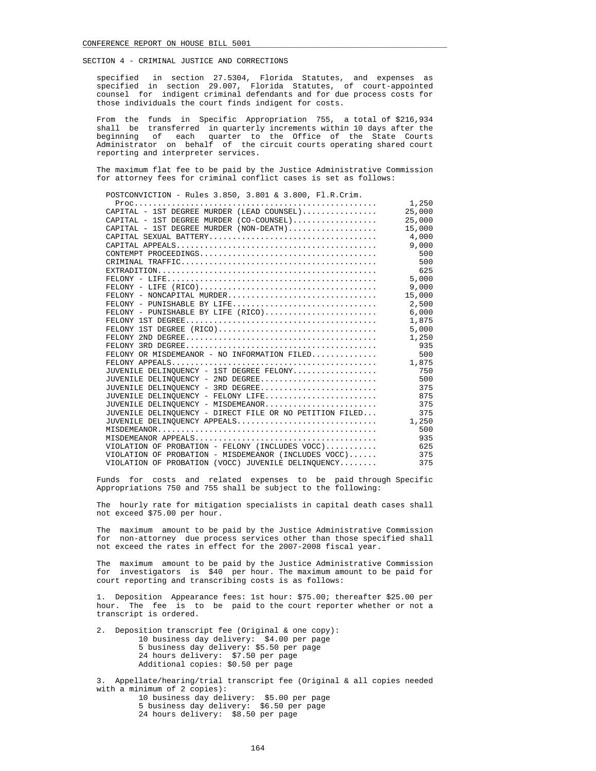specified in section 27.5304, Florida Statutes, and expenses as specified in section 29.007, Florida Statutes, of court-appointed counsel for indigent criminal defendants and for due process costs for those individuals the court finds indigent for costs.

 From the funds in Specific Appropriation 755, a total of \$216,934 shall be transferred in quarterly increments within 10 days after the beginning of each quarter to the Office of the State Courts Administrator on behalf of the circuit courts operating shared court reporting and interpreter services.

 The maximum flat fee to be paid by the Justice Administrative Commission for attorney fees for criminal conflict cases is set as follows:

POSTCONVICTION - Rules 3.850, 3.801 & 3.800, Fl.R.Crim.

|                                                                             | 1,250  |
|-----------------------------------------------------------------------------|--------|
| $CAPITAL - 1ST DEGREE MURDER (LEAD COUNSEL) \dots \dots \dots \dots$ 25,000 |        |
|                                                                             |        |
|                                                                             | 15,000 |
|                                                                             | 4,000  |
|                                                                             | 9,000  |
|                                                                             | 500    |
|                                                                             | 500    |
|                                                                             | 625    |
|                                                                             | 5,000  |
|                                                                             |        |
|                                                                             | 15,000 |
|                                                                             |        |
|                                                                             |        |
|                                                                             | 1,875  |
| FELONY 1ST DEGREE (RICO)                                                    | 5,000  |
|                                                                             | 1,250  |
|                                                                             | 935    |
| FELONY OR MISDEMEANOR - NO INFORMATION FILED                                | 500    |
|                                                                             |        |
| JUVENILE DELINQUENCY - 1ST DEGREE FELONY                                    | 750    |
| JUVENILE DELINOUENCY - 2ND DEGREE                                           | 500    |
| JUVENILE DELINOUENCY - 3RD DEGREE                                           | 375    |
| JUVENILE DELINOUENCY - FELONY LIFE                                          | 875    |
| JUVENILE DELINOUENCY - MISDEMEANOR                                          | 375    |
| JUVENILE DELINOUENCY - DIRECT FILE OR NO PETITION FILED                     | 375    |
| JUVENILE DELINOUENCY APPEALS                                                | 1,250  |
|                                                                             | 500    |
|                                                                             | 935    |
| VIOLATION OF PROBATION - FELONY (INCLUDES VOCC)                             | 625    |
| VIOLATION OF PROBATION - MISDEMEANOR (INCLUDES VOCC)                        | 375    |
| VIOLATION OF PROBATION (VOCC) JUVENILE DELINOUENCY                          | 375    |

 Funds for costs and related expenses to be paid through Specific Appropriations 750 and 755 shall be subject to the following:

 The hourly rate for mitigation specialists in capital death cases shall not exceed \$75.00 per hour.

 The maximum amount to be paid by the Justice Administrative Commission for non-attorney due process services other than those specified shall not exceed the rates in effect for the 2007-2008 fiscal year.

 The maximum amount to be paid by the Justice Administrative Commission for investigators is \$40 per hour. The maximum amount to be paid for court reporting and transcribing costs is as follows:

 1. Deposition Appearance fees: 1st hour: \$75.00; thereafter \$25.00 per hour. The fee is to be paid to the court reporter whether or not a transcript is ordered.

 2. Deposition transcript fee (Original & one copy): 10 business day delivery: \$4.00 per page 5 business day delivery: \$5.50 per page 24 hours delivery: \$7.50 per page Additional copies: \$0.50 per page

 3. Appellate/hearing/trial transcript fee (Original & all copies needed with a minimum of 2 copies): 10 business day delivery: \$5.00 per page 5 business day delivery: \$6.50 per page

24 hours delivery: \$8.50 per page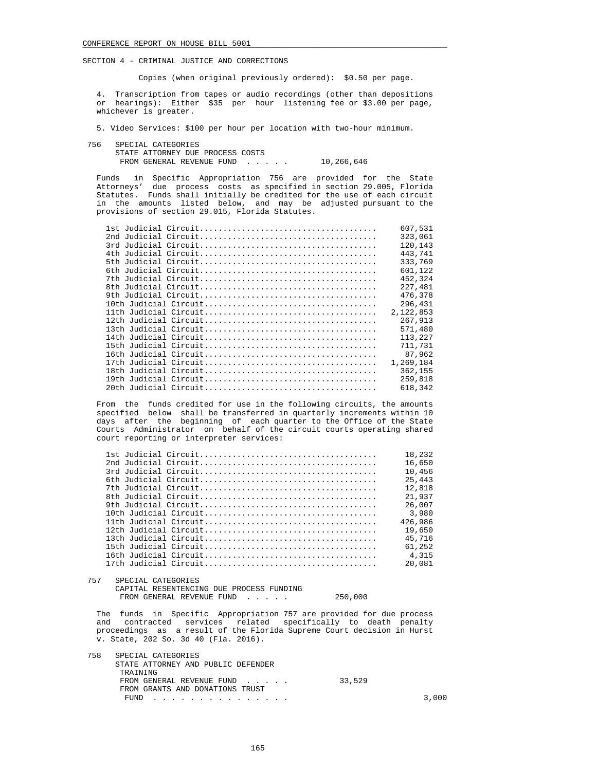Copies (when original previously ordered): \$0.50 per page.

 4. Transcription from tapes or audio recordings (other than depositions or hearings): Either \$35 per hour listening fee or \$3.00 per page, whichever is greater.

5. Video Services: \$100 per hour per location with two-hour minimum.

 756 SPECIAL CATEGORIES STATE ATTORNEY DUE PROCESS COSTS FROM GENERAL REVENUE FUND . . . . . 10,266,646

 Funds in Specific Appropriation 756 are provided for the State Attorneys' due process costs as specified in section 29.005, Florida Statutes. Funds shall initially be credited for the use of each circuit in the amounts listed below, and may be adjusted pursuant to the provisions of section 29.015, Florida Statutes.

| 607,531   |
|-----------|
| 323,061   |
| 120,143   |
| 443,741   |
| 333,769   |
| 601,122   |
| 452,324   |
| 227,481   |
| 476,378   |
| 296,431   |
| 2,122,853 |
| 267,913   |
| 571,480   |
| 113,227   |
| 711,731   |
| 87,962    |
| 1,269,184 |
| 362,155   |
| 259,818   |
| 618,342   |

 From the funds credited for use in the following circuits, the amounts specified below shall be transferred in quarterly increments within 10 days after the beginning of each quarter to the Office of the State Courts Administrator on behalf of the circuit courts operating shared court reporting or interpreter services:

|  | 18.232  |
|--|---------|
|  | 16,650  |
|  | 10,456  |
|  | 25.443  |
|  | 12,818  |
|  | 21.937  |
|  | 26.007  |
|  | 3.980   |
|  | 426.986 |
|  | 19,650  |
|  | 45.716  |
|  | 61,252  |
|  | 4,315   |
|  | 20,081  |
|  |         |

757 SPECIAL CATEGORIES

 CAPITAL RESENTENCING DUE PROCESS FUNDING FROM GENERAL REVENUE FUND . . . . . 250,000

 The funds in Specific Appropriation 757 are provided for due process and contracted services related specifically to death penalty proceedings as a result of the Florida Supreme Court decision in Hurst v. State, 202 So. 3d 40 (Fla. 2016).

| 758 | SPECIAL CATEGORIES                 |        |       |
|-----|------------------------------------|--------|-------|
|     | STATE ATTORNEY AND PUBLIC DEFENDER |        |       |
|     | TRAINING                           |        |       |
|     | FROM GENERAL REVENUE FUND          | 33,529 |       |
|     | FROM GRANTS AND DONATIONS TRUST    |        |       |
|     | FUND<br>.                          |        | 3,000 |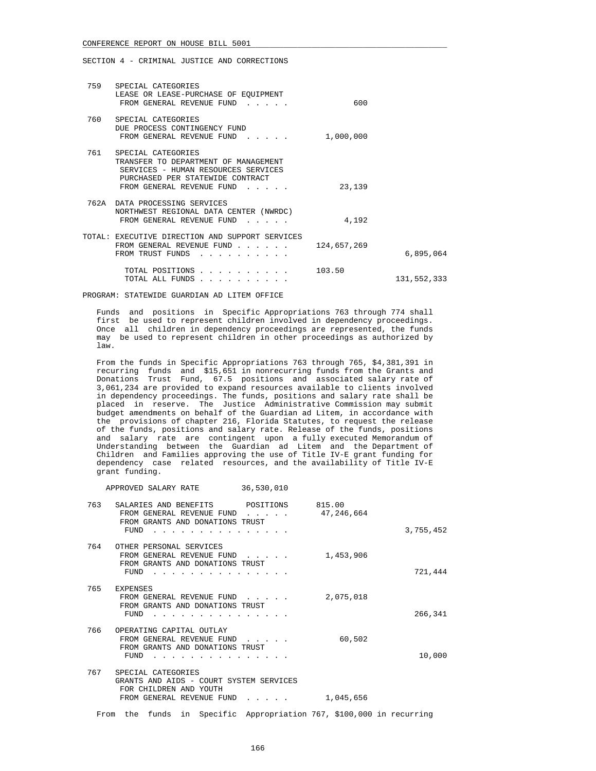SECTION 4 - CRIMINAL JUSTICE AND CORRECTIONS

| 759 | SPECIAL CATEGORIES<br>LEASE OR LEASE-PURCHASE OF EOUIPMENT<br>FROM GENERAL REVENUE FUND<br>and the state of the state of                                           | 600         |               |
|-----|--------------------------------------------------------------------------------------------------------------------------------------------------------------------|-------------|---------------|
| 760 | SPECIAL CATEGORIES<br>DUE PROCESS CONTINGENCY FUND<br>FROM GENERAL REVENUE FUND<br>$\sim$ $\sim$ $\sim$ $\sim$ $\sim$                                              | 1,000,000   |               |
| 761 | SPECIAL CATEGORIES<br>TRANSFER TO DEPARTMENT OF MANAGEMENT<br>SERVICES - HUMAN RESOURCES SERVICES<br>PURCHASED PER STATEWIDE CONTRACT<br>FROM GENERAL REVENUE FUND | 23,139      |               |
|     | 762A DATA PROCESSING SERVICES<br>NORTHWEST REGIONAL DATA CENTER (NWRDC)<br>FROM GENERAL REVENUE FUND<br>$\sim$ $\sim$ $\sim$ $\sim$ $\sim$                         | 4,192       |               |
|     | TOTAL: EXECUTIVE DIRECTION AND SUPPORT SERVICES<br>FROM GENERAL REVENUE FUND<br>$\sim$ $\sim$ $\sim$ $\sim$ $\sim$ $\sim$<br>FROM TRUST FUNDS                      | 124,657,269 | 6,895,064     |
|     | TOTAL POSITIONS<br>TOTAL ALL FUNDS                                                                                                                                 | 103.50      | 131, 552, 333 |

PROGRAM: STATEWIDE GUARDIAN AD LITEM OFFICE

 Funds and positions in Specific Appropriations 763 through 774 shall first be used to represent children involved in dependency proceedings. Once all children in dependency proceedings are represented, the funds may be used to represent children in other proceedings as authorized by law.

 From the funds in Specific Appropriations 763 through 765, \$4,381,391 in recurring funds and \$15,651 in nonrecurring funds from the Grants and Donations Trust Fund, 67.5 positions and associated salary rate of 3,061,234 are provided to expand resources available to clients involved in dependency proceedings. The funds, positions and salary rate shall be placed in reserve. The Justice Administrative Commission may submit budget amendments on behalf of the Guardian ad Litem, in accordance with the provisions of chapter 216, Florida Statutes, to request the release of the funds, positions and salary rate. Release of the funds, positions and salary rate are contingent upon a fully executed Memorandum of Understanding between the Guardian ad Litem and the Department of Children and Families approving the use of Title IV-E grant funding for dependency case related resources, and the availability of Title IV-E grant funding.

APPROVED SALARY RATE 36,530,010

| 3,755,452 | 815.00<br>47,246,664 | POSITIONS | SALARIES AND BENEFITS<br>FROM GENERAL REVENUE FUND<br>FROM GRANTS AND DONATIONS TRUST<br>FUND                        | 763 |
|-----------|----------------------|-----------|----------------------------------------------------------------------------------------------------------------------|-----|
|           |                      |           |                                                                                                                      |     |
| 721,444   | 1,453,906            |           | OTHER PERSONAL SERVICES<br>FROM GENERAL REVENUE FUND<br>FROM GRANTS AND DONATIONS TRUST<br>FUND                      | 764 |
| 266,341   | 2,075,018            |           | EXPENSES<br>FROM GENERAL REVENUE FUND<br>FROM GRANTS AND DONATIONS TRUST<br>FUND                                     | 765 |
| 10,000    | 60,502               |           | OPERATING CAPITAL OUTLAY<br>FROM GENERAL REVENUE FUND<br>FROM GRANTS AND DONATIONS TRUST<br>FUND                     | 766 |
|           | 1,045,656            |           | SPECIAL CATEGORIES<br>GRANTS AND AIDS - COURT SYSTEM SERVICES<br>FOR CHILDREN AND YOUTH<br>FROM GENERAL REVENUE FUND | 767 |

From the funds in Specific Appropriation 767, \$100,000 in recurring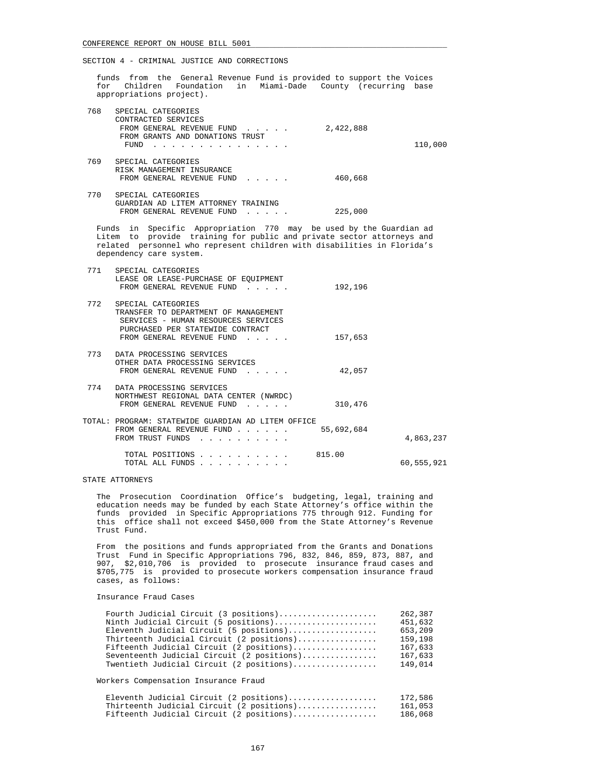funds from the General Revenue Fund is provided to support the Voices for Children Foundation in Miami-Dade County (recurring base appropriations project).

| 768 | SPECIAL CATEGORIES<br>CONTRACTED SERVICES<br>FROM GENERAL REVENUE FUND<br>FROM GRANTS AND DONATIONS TRUST<br>FUND                                                                                                                                 | 2,422,888  | 110,000    |
|-----|---------------------------------------------------------------------------------------------------------------------------------------------------------------------------------------------------------------------------------------------------|------------|------------|
|     | 769 SPECIAL CATEGORIES<br>RISK MANAGEMENT INSURANCE<br>FROM GENERAL REVENUE FUND                                                                                                                                                                  | 460,668    |            |
|     | 770 SPECIAL CATEGORIES<br>GUARDIAN AD LITEM ATTORNEY TRAINING<br>FROM GENERAL REVENUE FUND                                                                                                                                                        | 225,000    |            |
|     | Funds in Specific Appropriation 770 may be used by the Guardian ad<br>Litem to provide training for public and private sector attorneys and<br>related personnel who represent children with disabilities in Florida's<br>dependency care system. |            |            |
| 771 | SPECIAL CATEGORIES<br>LEASE OR LEASE-PURCHASE OF EQUIPMENT<br>FROM GENERAL REVENUE FUND                                                                                                                                                           | 192,196    |            |
| 772 | SPECIAL CATEGORIES<br>TRANSFER TO DEPARTMENT OF MANAGEMENT<br>SERVICES - HUMAN RESOURCES SERVICES<br>PURCHASED PER STATEWIDE CONTRACT<br>FROM GENERAL REVENUE FUND                                                                                | 157,653    |            |
|     | 773 DATA PROCESSING SERVICES<br>OTHER DATA PROCESSING SERVICES<br>FROM GENERAL REVENUE FUND                                                                                                                                                       | 42,057     |            |
| 774 | DATA PROCESSING SERVICES<br>NORTHWEST REGIONAL DATA CENTER (NWRDC)<br>FROM GENERAL REVENUE FUND                                                                                                                                                   | 310,476    |            |
|     | TOTAL: PROGRAM: STATEWIDE GUARDIAN AD LITEM OFFICE<br>FROM GENERAL REVENUE FUND<br>FROM TRUST FUNDS                                                                                                                                               | 55,692,684 | 4,863,237  |
|     | TOTAL POSITIONS<br>TOTAL ALL FUNDS                                                                                                                                                                                                                | 815.00     | 60,555,921 |

## STATE ATTORNEYS

 The Prosecution Coordination Office's budgeting, legal, training and education needs may be funded by each State Attorney's office within the funds provided in Specific Appropriations 775 through 912. Funding for this office shall not exceed \$450,000 from the State Attorney's Revenue Trust Fund.

 From the positions and funds appropriated from the Grants and Donations Trust Fund in Specific Appropriations 796, 832, 846, 859, 873, 887, and 907, \$2,010,706 is provided to prosecute insurance fraud cases and \$705,775 is provided to prosecute workers compensation insurance fraud cases, as follows:

### Insurance Fraud Cases

| Fourth Judicial Circuit (3 positions)      | 262,387 |
|--------------------------------------------|---------|
| Ninth Judicial Circuit (5 positions)       | 451,632 |
| Eleventh Judicial Circuit (5 positions)    | 653,209 |
| Thirteenth Judicial Circuit (2 positions)  | 159,198 |
| Fifteenth Judicial Circuit (2 positions)   | 167,633 |
| Seventeenth Judicial Circuit (2 positions) | 167,633 |
| Twentieth Judicial Circuit (2 positions)   | 149,014 |

Workers Compensation Insurance Fraud

| Eleventh Judicial Circuit (2 positions)   | 172,586 |
|-------------------------------------------|---------|
| Thirteenth Judicial Circuit (2 positions) | 161,053 |
| Fifteenth Judicial Circuit (2 positions)  | 186,068 |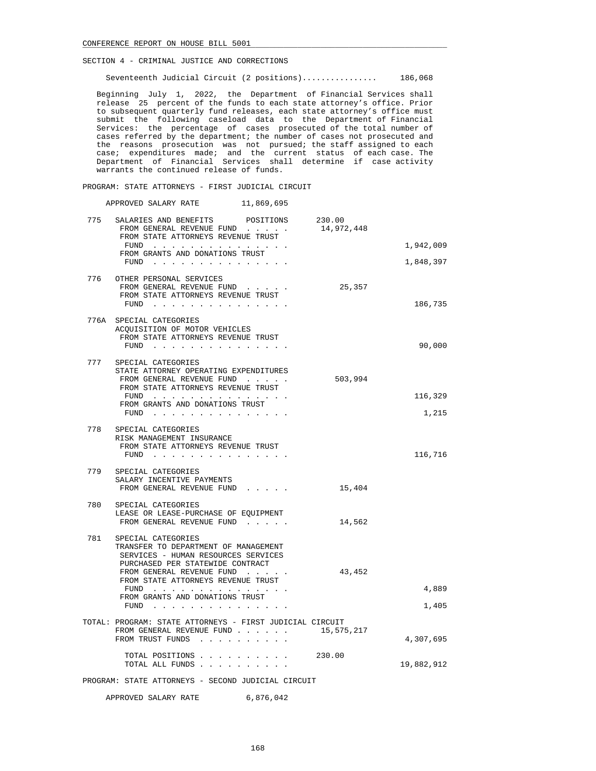Seventeenth Judicial Circuit (2 positions)................ 186,068

 Beginning July 1, 2022, the Department of Financial Services shall release 25 percent of the funds to each state attorney's office. Prior to subsequent quarterly fund releases, each state attorney's office must submit the following caseload data to the Department of Financial Services: the percentage of cases prosecuted of the total number of cases referred by the department; the number of cases not prosecuted and the reasons prosecution was not pursued; the staff assigned to each case; expenditures made; and the current status of each case. The Department of Financial Services shall determine if case activity warrants the continued release of funds.

PROGRAM: STATE ATTORNEYS - FIRST JUDICIAL CIRCUIT

APPROVED SALARY RATE 11,869,695

| 775 | SALARIES AND BENEFITS<br>POSITIONS                                                                                              | 230.00     |            |
|-----|---------------------------------------------------------------------------------------------------------------------------------|------------|------------|
|     | FROM GENERAL REVENUE FUND<br>FROM STATE ATTORNEYS REVENUE TRUST                                                                 | 14,972,448 |            |
|     | FUND                                                                                                                            |            | 1,942,009  |
|     | FROM GRANTS AND DONATIONS TRUST<br>${\tt FUND} \quad . \quad . \quad . \quad . \quad . \quad . \quad . \quad . \quad . \quad .$ |            | 1,848,397  |
|     |                                                                                                                                 |            |            |
|     | 776 OTHER PERSONAL SERVICES<br>FROM GENERAL REVENUE FUND<br>FROM STATE ATTORNEYS REVENUE TRUST                                  | 25,357     |            |
|     |                                                                                                                                 |            | 186,735    |
|     | 776A SPECIAL CATEGORIES                                                                                                         |            |            |
|     | ACQUISITION OF MOTOR VEHICLES<br>FROM STATE ATTORNEYS REVENUE TRUST                                                             |            |            |
|     | FUND $\cdots$                                                                                                                   |            | 90,000     |
|     | 777 SPECIAL CATEGORIES                                                                                                          |            |            |
|     | STATE ATTORNEY OPERATING EXPENDITURES<br>FROM GENERAL REVENUE FUND                                                              | 503,994    |            |
|     | FROM STATE ATTORNEYS REVENUE TRUST                                                                                              |            |            |
|     | FUND $\cdots$<br>FROM GRANTS AND DONATIONS TRUST                                                                                |            | 116,329    |
|     | FUND                                                                                                                            |            | 1,215      |
|     | 778 SPECIAL CATEGORIES                                                                                                          |            |            |
|     | RISK MANAGEMENT INSURANCE                                                                                                       |            |            |
|     | FROM STATE ATTORNEYS REVENUE TRUST                                                                                              |            | 116,716    |
|     |                                                                                                                                 |            |            |
| 779 | SPECIAL CATEGORIES<br>SALARY INCENTIVE PAYMENTS                                                                                 |            |            |
|     | FROM GENERAL REVENUE FUND                                                                                                       | 15,404     |            |
|     | 780 SPECIAL CATEGORIES                                                                                                          |            |            |
|     | LEASE OR LEASE-PURCHASE OF EQUIPMENT                                                                                            |            |            |
|     | FROM GENERAL REVENUE FUND                                                                                                       | 14,562     |            |
|     | 781 SPECIAL CATEGORIES                                                                                                          |            |            |
|     | TRANSFER TO DEPARTMENT OF MANAGEMENT<br>SERVICES - HUMAN RESOURCES SERVICES                                                     |            |            |
|     | PURCHASED PER STATEWIDE CONTRACT                                                                                                |            |            |
|     | FROM GENERAL REVENUE FUND<br>FROM STATE ATTORNEYS REVENUE TRUST                                                                 | 43,452     |            |
|     | FUND                                                                                                                            |            | 4,889      |
|     | FROM GRANTS AND DONATIONS TRUST<br>FUND $\cdots$                                                                                |            | 1,405      |
|     |                                                                                                                                 |            |            |
|     | TOTAL: PROGRAM: STATE ATTORNEYS - FIRST JUDICIAL CIRCUIT<br>FROM GENERAL REVENUE FUND                                           | 15,575,217 |            |
|     | FROM TRUST FUNDS                                                                                                                |            | 4,307,695  |
|     | TOTAL POSITIONS 230.00                                                                                                          |            |            |
|     | TOTAL ALL FUNDS                                                                                                                 |            | 19,882,912 |
|     | PROGRAM: STATE ATTORNEYS - SECOND JUDICIAL CIRCUIT                                                                              |            |            |

APPROVED SALARY RATE 6,876,042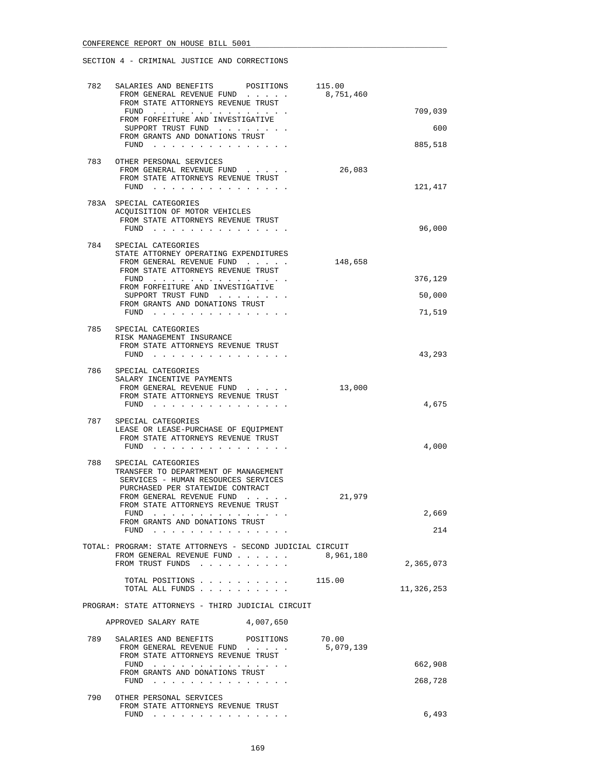| 782 | SALARIES AND BENEFITS<br>POSITIONS                                                                                                                                                                                                     | 115.00    |            |
|-----|----------------------------------------------------------------------------------------------------------------------------------------------------------------------------------------------------------------------------------------|-----------|------------|
|     | FROM GENERAL REVENUE FUND<br>FROM STATE ATTORNEYS REVENUE TRUST                                                                                                                                                                        | 8,751,460 | 709,039    |
|     | FUND<br>FROM FORFEITURE AND INVESTIGATIVE                                                                                                                                                                                              |           |            |
|     | SUPPORT TRUST FUND<br>FROM GRANTS AND DONATIONS TRUST                                                                                                                                                                                  |           | 600        |
|     | FUND $\cdots$ $\cdots$ $\cdots$ $\cdots$ $\cdots$ $\cdots$ $\cdots$                                                                                                                                                                    |           | 885,518    |
| 783 | OTHER PERSONAL SERVICES                                                                                                                                                                                                                |           |            |
|     | FROM GENERAL REVENUE FUND<br>FROM STATE ATTORNEYS REVENUE TRUST                                                                                                                                                                        | 26,083    |            |
|     | FUND                                                                                                                                                                                                                                   |           | 121,417    |
|     | 783A SPECIAL CATEGORIES                                                                                                                                                                                                                |           |            |
|     | ACQUISITION OF MOTOR VEHICLES                                                                                                                                                                                                          |           |            |
|     | FROM STATE ATTORNEYS REVENUE TRUST<br>FUND $\cdots$                                                                                                                                                                                    |           | 96,000     |
|     |                                                                                                                                                                                                                                        |           |            |
| 784 | SPECIAL CATEGORIES<br>STATE ATTORNEY OPERATING EXPENDITURES                                                                                                                                                                            |           |            |
|     | FROM GENERAL REVENUE FUND                                                                                                                                                                                                              | 148,658   |            |
|     | FROM STATE ATTORNEYS REVENUE TRUST<br>FUND                                                                                                                                                                                             |           | 376,129    |
|     | FROM FORFEITURE AND INVESTIGATIVE                                                                                                                                                                                                      |           |            |
|     | SUPPORT TRUST FUND<br>FROM GRANTS AND DONATIONS TRUST                                                                                                                                                                                  |           | 50,000     |
|     | FUND $\cdots$                                                                                                                                                                                                                          |           | 71,519     |
|     | 785 SPECIAL CATEGORIES                                                                                                                                                                                                                 |           |            |
|     | RISK MANAGEMENT INSURANCE                                                                                                                                                                                                              |           |            |
|     | FROM STATE ATTORNEYS REVENUE TRUST<br>FUND $\cdots$                                                                                                                                                                                    |           | 43,293     |
|     |                                                                                                                                                                                                                                        |           |            |
| 786 | SPECIAL CATEGORIES<br>SALARY INCENTIVE PAYMENTS                                                                                                                                                                                        |           |            |
|     | FROM GENERAL REVENUE FUND                                                                                                                                                                                                              | 13,000    |            |
|     | FROM STATE ATTORNEYS REVENUE TRUST<br>FUND $\cdots$ $\cdots$ $\cdots$ $\cdots$ $\cdots$ $\cdots$                                                                                                                                       |           | 4,675      |
|     |                                                                                                                                                                                                                                        |           |            |
| 787 | SPECIAL CATEGORIES<br>LEASE OR LEASE-PURCHASE OF EQUIPMENT                                                                                                                                                                             |           |            |
|     | FROM STATE ATTORNEYS REVENUE TRUST                                                                                                                                                                                                     |           |            |
|     | FUND                                                                                                                                                                                                                                   |           | 4,000      |
| 788 | SPECIAL CATEGORIES                                                                                                                                                                                                                     |           |            |
|     | TRANSFER TO DEPARTMENT OF MANAGEMENT<br>SERVICES - HUMAN RESOURCES SERVICES                                                                                                                                                            |           |            |
|     | PURCHASED PER STATEWIDE CONTRACT                                                                                                                                                                                                       |           |            |
|     | FROM GENERAL REVENUE FUND<br>FROM STATE ATTORNEYS REVENUE TRUST                                                                                                                                                                        | 21,979    |            |
|     | FUND                                                                                                                                                                                                                                   |           | 2,669      |
|     | FROM GRANTS AND DONATIONS TRUST<br>FUND<br>$\sim$ $\sim$ $\sim$                                                                                                                                                                        |           | 214        |
|     |                                                                                                                                                                                                                                        |           |            |
|     | TOTAL: PROGRAM: STATE ATTORNEYS - SECOND JUDICIAL CIRCUIT<br>FROM GENERAL REVENUE FUND                                                                                                                                                 | 8,961,180 |            |
|     | FROM TRUST FUNDS                                                                                                                                                                                                                       |           | 2,365,073  |
|     | TOTAL POSITIONS                                                                                                                                                                                                                        | 115.00    |            |
|     | TOTAL ALL FUNDS                                                                                                                                                                                                                        |           | 11,326,253 |
|     | PROGRAM: STATE ATTORNEYS - THIRD JUDICIAL CIRCUIT                                                                                                                                                                                      |           |            |
|     | 4,007,650<br>APPROVED SALARY RATE                                                                                                                                                                                                      |           |            |
| 789 | SALARIES AND BENEFITS<br>POSITIONS                                                                                                                                                                                                     | 70.00     |            |
|     | FROM GENERAL REVENUE FUND<br>$\alpha$ . The second second $\alpha$<br>FROM STATE ATTORNEYS REVENUE TRUST                                                                                                                               | 5,079,139 |            |
|     | FUND<br>the contract of the contract of the contract of the contract of the contract of the contract of the contract of the contract of the contract of the contract of the contract of the contract of the contract of the contract o |           | 662,908    |
|     | FROM GRANTS AND DONATIONS TRUST<br>FUND                                                                                                                                                                                                |           | 268,728    |
|     |                                                                                                                                                                                                                                        |           |            |
| 790 | OTHER PERSONAL SERVICES<br>FROM STATE ATTORNEYS REVENUE TRUST                                                                                                                                                                          |           |            |
|     | $FUND$                                                                                                                                                                                                                                 |           | 6,493      |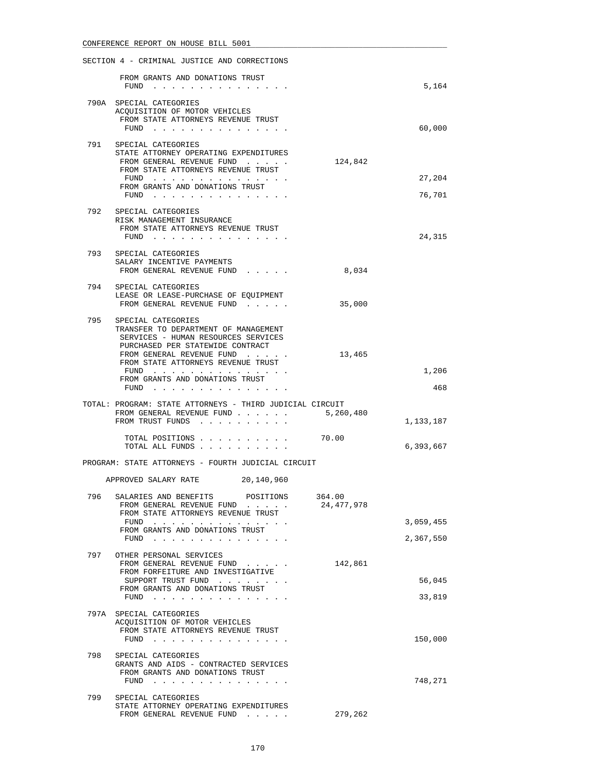|     | SECTION 4 - CRIMINAL JUSTICE AND CORRECTIONS                                                                                                                                                                                                                 |                      |                  |
|-----|--------------------------------------------------------------------------------------------------------------------------------------------------------------------------------------------------------------------------------------------------------------|----------------------|------------------|
|     | FROM GRANTS AND DONATIONS TRUST<br>FUND $\cdots$                                                                                                                                                                                                             |                      | 5,164            |
|     | 790A SPECIAL CATEGORIES<br>ACQUISITION OF MOTOR VEHICLES<br>FROM STATE ATTORNEYS REVENUE TRUST<br>FUND $\cdots$                                                                                                                                              |                      | 60,000           |
| 791 | SPECIAL CATEGORIES<br>STATE ATTORNEY OPERATING EXPENDITURES<br>FROM GENERAL REVENUE FUND<br>FROM STATE ATTORNEYS REVENUE TRUST<br>FUND<br>FROM GRANTS AND DONATIONS TRUST<br>FUND $\ldots$ $\ldots$ $\ldots$ $\ldots$ $\ldots$ $\ldots$ $\ldots$             | 124,842              | 27,204<br>76,701 |
| 792 | SPECIAL CATEGORIES<br>RISK MANAGEMENT INSURANCE<br>FROM STATE ATTORNEYS REVENUE TRUST<br>$FUND$                                                                                                                                                              |                      | 24,315           |
|     | 793 SPECIAL CATEGORIES<br>SALARY INCENTIVE PAYMENTS<br>FROM GENERAL REVENUE FUND                                                                                                                                                                             | 8,034                |                  |
|     | 794 SPECIAL CATEGORIES<br>LEASE OR LEASE-PURCHASE OF EQUIPMENT<br>FROM GENERAL REVENUE FUND                                                                                                                                                                  | 35,000               |                  |
| 795 | SPECIAL CATEGORIES<br>TRANSFER TO DEPARTMENT OF MANAGEMENT<br>SERVICES - HUMAN RESOURCES SERVICES<br>PURCHASED PER STATEWIDE CONTRACT<br>FROM GENERAL REVENUE FUND<br>FROM STATE ATTORNEYS REVENUE TRUST<br>FUND $\cdots$<br>FROM GRANTS AND DONATIONS TRUST | 13,465               | 1,206            |
|     | $FUND$                                                                                                                                                                                                                                                       |                      | 468              |
|     | TOTAL: PROGRAM: STATE ATTORNEYS - THIRD JUDICIAL CIRCUIT<br>FROM GENERAL REVENUE FUND<br>FROM TRUST FUNDS<br>TOTAL POSITIONS                                                                                                                                 | 5,260,480<br>70.00   | 1,133,187        |
|     | TOTAL ALL FUNDS<br>PROGRAM: STATE ATTORNEYS - FOURTH JUDICIAL CIRCUIT                                                                                                                                                                                        |                      | 6,393,667        |
|     | APPROVED SALARY RATE<br>20,140,960                                                                                                                                                                                                                           |                      |                  |
| 796 | SALARIES AND BENEFITS<br>POSITIONS<br>FROM GENERAL REVENUE FUND<br>FROM STATE ATTORNEYS REVENUE TRUST<br>FUND                                                                                                                                                | 364.00<br>24,477,978 | 3,059,455        |
|     | FROM GRANTS AND DONATIONS TRUST<br>FUND $\cdots$                                                                                                                                                                                                             |                      | 2,367,550        |
| 797 | OTHER PERSONAL SERVICES<br>FROM GENERAL REVENUE FUND<br>FROM FORFEITURE AND INVESTIGATIVE<br>SUPPORT TRUST FUND<br>FROM GRANTS AND DONATIONS TRUST<br>FUND $\cdots$                                                                                          | 142,861              | 56,045<br>33,819 |
|     | 797A SPECIAL CATEGORIES<br>ACQUISITION OF MOTOR VEHICLES<br>FROM STATE ATTORNEYS REVENUE TRUST<br>FUND                                                                                                                                                       |                      | 150,000          |
| 798 | SPECIAL CATEGORIES<br>GRANTS AND AIDS - CONTRACTED SERVICES<br>FROM GRANTS AND DONATIONS TRUST<br>FUND $\cdots$                                                                                                                                              |                      | 748,271          |
| 799 | SPECIAL CATEGORIES<br>STATE ATTORNEY OPERATING EXPENDITURES<br>FROM GENERAL REVENUE FUND                                                                                                                                                                     | 279,262              |                  |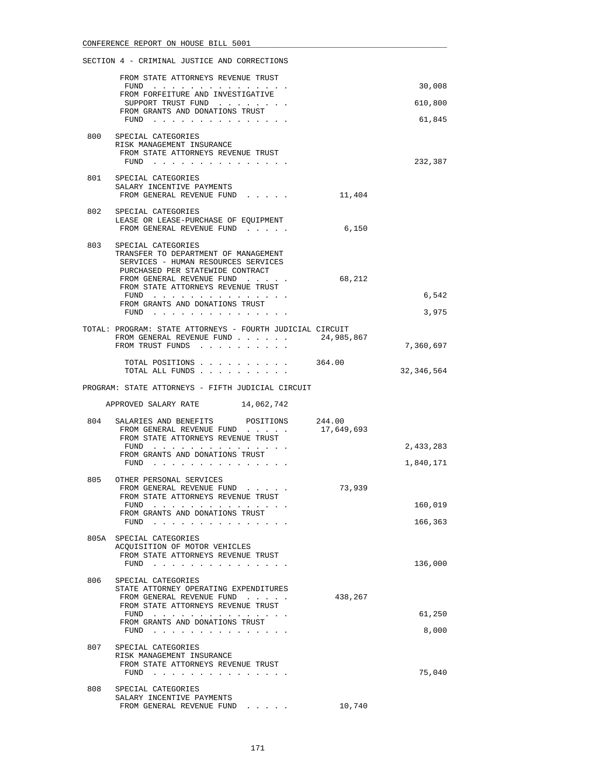# SECTION 4 - CRIMINAL JUSTICE AND CORRECTIONS FROM STATE ATTORNEYS REVENUE TRUST FUND . . . . . . . . . . . . . . . 30,008 FROM FORFEITURE AND INVESTIGATIVE SUPPORT TRUST FUND . . . . . . . . 610,800 FROM GRANTS AND DONATIONS TRUST FUND . . . . . . . . . . . . . . . 61,845 800 SPECIAL CATEGORIES RISK MANAGEMENT INSURANCE FROM STATE ATTORNEYS REVENUE TRUST FUND . . . . . . . . . . . . . . . 232,387 801 SPECIAL CATEGORIES SALARY INCENTIVE PAYMENTS FROM GENERAL REVENUE FUND . . . . . 11,404 802 SPECIAL CATEGORIES LEASE OR LEASE-PURCHASE OF EQUIPMENT FROM GENERAL REVENUE FUND...... 6,150 803 SPECIAL CATEGORIES TRANSFER TO DEPARTMENT OF MANAGEMENT SERVICES - HUMAN RESOURCES SERVICES PURCHASED PER STATEWIDE CONTRACT<br>FROM GENERAL REVENUE FUND . . . . FROM GENERAL REVENUE FUND . . . . . . . . . 68,212 FROM STATE ATTORNEYS REVENUE TRUST FUND . . . . . . . . . . . . . . . 6,542 FROM GRANTS AND DONATIONS TRUST FUND . . . . . . . . . . . . . . . 3,975 TOTAL: PROGRAM: STATE ATTORNEYS - FOURTH JUDICIAL CIRCUIT FROM GENERAL REVENUE FUND . . . . . . 24,985,867 FROM TRUST FUNDS . . . . . . . . . . . . . . . 7,360,697 TOTAL POSITIONS . . . . . . . . . . 364.00 TOTAL ALL FUNDS . . . . . . . . . . 32,346,564 PROGRAM: STATE ATTORNEYS - FIFTH JUDICIAL CIRCUIT APPROVED SALARY RATE 14,062,742 804 SALARIES AND BENEFITS POSITIONS 244.00<br>FROM GENERAL REVENUE FUND . . . . 17,649,693 FROM GENERAL REVENUE FUND . . . . . 17,649,693 FROM STATE ATTORNEYS REVENUE TRUST FUND . . . . . . . . . . . . . . . 2,433,283 FROM GRANTS AND DONATIONS TRUST FUND . . . . . . . . . . . . . . . 1,840,171 805 OTHER PERSONAL SERVICES<br>FROM GENERAL REVENUE FUND. FROM GENERAL REVENUE FUND . . . . . . 73,939 FROM STATE ATTORNEYS REVENUE TRUST FUND . . . . . . . . . . . . . . . 160,019 FROM GRANTS AND DONATIONS TRUST FUND . . . . . . . . . . . . . . . 166,363 805A SPECIAL CATEGORIES ACQUISITION OF MOTOR VEHICLES FROM STATE ATTORNEYS REVENUE TRUST FUND . . . . . . . . . . . . . . . 136,000 806 SPECIAL CATEGORIES STATE ATTORNEY OPERATING EXPENDITURES FROM GENERAL REVENUE FUND . . . . . 438,267 FROM STATE ATTORNEYS REVENUE TRUST FUND . . . . . . . . . . . . . . . 61,250 FROM GRANTS AND DONATIONS TRUST FUND . . . . . . . . . . . . . . . 8,000 807 SPECIAL CATEGORIES RISK MANAGEMENT INSURANCE FROM STATE ATTORNEYS REVENUE TRUST FUND . . . . . . . . . . . . . . . 75,040

 808 SPECIAL CATEGORIES SALARY INCENTIVE PAYMENTS FROM GENERAL REVENUE FUND . . . . . 10,740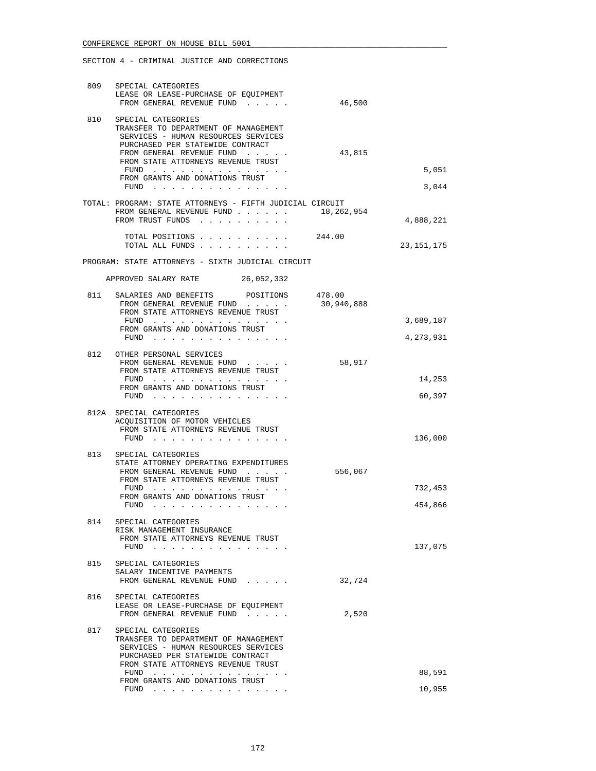| 809 | SPECIAL CATEGORIES<br>LEASE OR LEASE-PURCHASE OF EQUIPMENT<br>FROM GENERAL REVENUE FUND                                                                                                                                                             | 46,500     |                    |
|-----|-----------------------------------------------------------------------------------------------------------------------------------------------------------------------------------------------------------------------------------------------------|------------|--------------------|
| 810 | SPECIAL CATEGORIES<br>TRANSFER TO DEPARTMENT OF MANAGEMENT<br>SERVICES - HUMAN RESOURCES SERVICES<br>PURCHASED PER STATEWIDE CONTRACT<br>FROM GENERAL REVENUE FUND<br>FROM STATE ATTORNEYS REVENUE TRUST<br>FUND<br>FROM GRANTS AND DONATIONS TRUST | 43,815     | 5,051              |
|     | FUND $\cdots$<br>TOTAL: PROGRAM: STATE ATTORNEYS - FIFTH JUDICIAL CIRCUIT<br>FROM GENERAL REVENUE FUND 18, 262, 954<br>FROM TRUST FUNDS                                                                                                             |            | 3,044<br>4,888,221 |
|     | TOTAL POSITIONS 244.00<br>TOTAL ALL FUNDS                                                                                                                                                                                                           |            | 23, 151, 175       |
|     | PROGRAM: STATE ATTORNEYS - SIXTH JUDICIAL CIRCUIT                                                                                                                                                                                                   |            |                    |
|     | APPROVED SALARY RATE 26,052,332                                                                                                                                                                                                                     |            |                    |
|     | 811 SALARIES AND BENEFITS POSITIONS 478.00<br>FROM GENERAL REVENUE FUND<br>FROM STATE ATTORNEYS REVENUE TRUST                                                                                                                                       | 30,940,888 |                    |
|     | FUND $\cdots$<br>FROM GRANTS AND DONATIONS TRUST                                                                                                                                                                                                    |            | 3,689,187          |
|     | FUND $\cdots$                                                                                                                                                                                                                                       |            | 4,273,931          |
|     | 812 OTHER PERSONAL SERVICES<br>FROM GENERAL REVENUE FUND<br>FROM STATE ATTORNEYS REVENUE TRUST<br>FUND $\cdots$                                                                                                                                     | 58,917     | 14,253             |
|     | FROM GRANTS AND DONATIONS TRUST<br>FUND $\cdots$                                                                                                                                                                                                    |            | 60,397             |
|     | 812A SPECIAL CATEGORIES<br>ACQUISITION OF MOTOR VEHICLES<br>FROM STATE ATTORNEYS REVENUE TRUST<br>$FUND$                                                                                                                                            |            | 136,000            |
| 813 | SPECIAL CATEGORIES<br>STATE ATTORNEY OPERATING EXPENDITURES<br>FROM GENERAL REVENUE FUND<br>FROM STATE ATTORNEYS REVENUE TRUST<br>FUND<br>FROM GRANTS AND DONATIONS TRUST                                                                           | 556,067    | 732,453            |
| 814 | FUND $\cdots$<br>SPECIAL CATEGORIES<br>RISK MANAGEMENT INSURANCE<br>FROM STATE ATTORNEYS REVENUE TRUST                                                                                                                                              |            | 454,866            |
| 815 | FUND $\cdots$<br>SPECIAL CATEGORIES                                                                                                                                                                                                                 |            | 137,075            |
|     | SALARY INCENTIVE PAYMENTS<br>FROM GENERAL REVENUE FUND                                                                                                                                                                                              | 32,724     |                    |
| 816 | SPECIAL CATEGORIES<br>LEASE OR LEASE-PURCHASE OF EQUIPMENT<br>FROM GENERAL REVENUE FUND                                                                                                                                                             | 2,520      |                    |
| 817 | SPECIAL CATEGORIES<br>TRANSFER TO DEPARTMENT OF MANAGEMENT<br>SERVICES - HUMAN RESOURCES SERVICES<br>PURCHASED PER STATEWIDE CONTRACT<br>FROM STATE ATTORNEYS REVENUE TRUST<br>FUND                                                                 |            | 88,591             |
|     | FROM GRANTS AND DONATIONS TRUST<br>FUND $\cdots$                                                                                                                                                                                                    |            | 10,955             |
|     |                                                                                                                                                                                                                                                     |            |                    |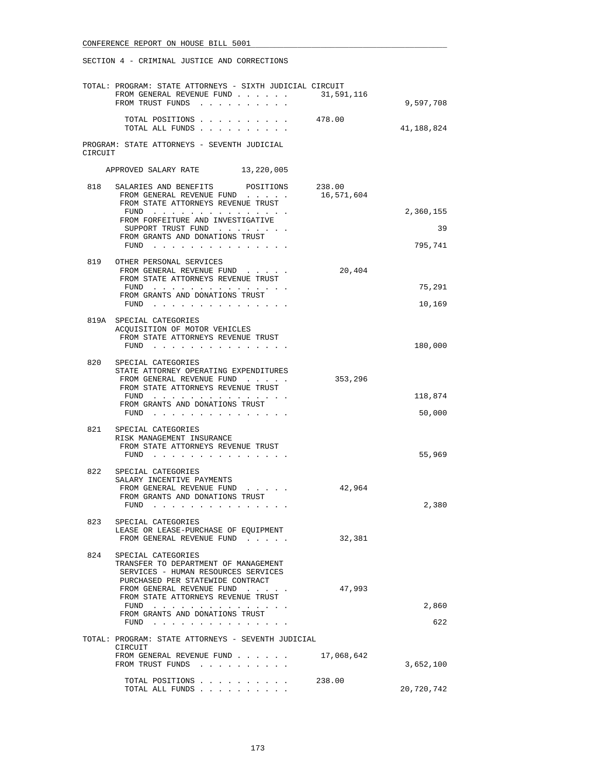|         | TOTAL: PROGRAM: STATE ATTORNEYS - SIXTH JUDICIAL CIRCUIT                    |            |            |
|---------|-----------------------------------------------------------------------------|------------|------------|
|         | FROM GENERAL REVENUE FUND<br>FROM TRUST FUNDS                               | 31,591,116 | 9,597,708  |
|         | TOTAL POSITIONS<br>TOTAL ALL FUNDS                                          | 478.00     | 41,188,824 |
| CIRCUIT | PROGRAM: STATE ATTORNEYS - SEVENTH JUDICIAL                                 |            |            |
|         | APPROVED SALARY RATE<br>13,220,005                                          |            |            |
| 818     | SALARIES AND BENEFITS POSITIONS                                             | 238.00     |            |
|         | FROM GENERAL REVENUE FUND                                                   | 16,571,604 |            |
|         | FROM STATE ATTORNEYS REVENUE TRUST<br>FUND $\cdots$                         |            | 2,360,155  |
|         | FROM FORFEITURE AND INVESTIGATIVE                                           |            |            |
|         | SUPPORT TRUST FUND                                                          |            | 39         |
|         | FROM GRANTS AND DONATIONS TRUST<br>FUND                                     |            | 795,741    |
|         |                                                                             |            |            |
| 819     | OTHER PERSONAL SERVICES                                                     | 20,404     |            |
|         | FROM GENERAL REVENUE FUND<br>FROM STATE ATTORNEYS REVENUE TRUST             |            |            |
|         | FUND                                                                        |            | 75,291     |
|         | FROM GRANTS AND DONATIONS TRUST                                             |            |            |
|         | FUND $\cdots$                                                               |            | 10,169     |
|         | 819A SPECIAL CATEGORIES                                                     |            |            |
|         | ACOUISITION OF MOTOR VEHICLES                                               |            |            |
|         | FROM STATE ATTORNEYS REVENUE TRUST<br>FUND $\cdots$                         |            | 180,000    |
|         |                                                                             |            |            |
| 820     | SPECIAL CATEGORIES                                                          |            |            |
|         | STATE ATTORNEY OPERATING EXPENDITURES<br>FROM GENERAL REVENUE FUND          | 353,296    |            |
|         | FROM STATE ATTORNEYS REVENUE TRUST                                          |            |            |
|         | FUND $\cdots$                                                               |            | 118,874    |
|         | FROM GRANTS AND DONATIONS TRUST<br>FUND $\cdots$                            |            | 50,000     |
|         |                                                                             |            |            |
|         | 821 SPECIAL CATEGORIES                                                      |            |            |
|         | RISK MANAGEMENT INSURANCE<br>FROM STATE ATTORNEYS REVENUE TRUST             |            |            |
|         | $FUND$                                                                      |            | 55,969     |
|         |                                                                             |            |            |
| 822     | SPECIAL CATEGORIES<br>SALARY INCENTIVE PAYMENTS                             |            |            |
|         | FROM GENERAL REVENUE FUND                                                   | 42,964     |            |
|         | FROM GRANTS AND DONATIONS TRUST                                             |            |            |
|         | FUND                                                                        |            | 2,380      |
| 823     | SPECIAL CATEGORIES                                                          |            |            |
|         | LEASE OR LEASE-PURCHASE OF EQUIPMENT                                        | 32,381     |            |
|         | FROM GENERAL REVENUE FUND                                                   |            |            |
| 824     | SPECIAL CATEGORIES                                                          |            |            |
|         | TRANSFER TO DEPARTMENT OF MANAGEMENT<br>SERVICES - HUMAN RESOURCES SERVICES |            |            |
|         | PURCHASED PER STATEWIDE CONTRACT                                            |            |            |
|         | FROM GENERAL REVENUE FUND                                                   | 47,993     |            |
|         | FROM STATE ATTORNEYS REVENUE TRUST<br>FUND $\cdots$                         |            | 2,860      |
|         | FROM GRANTS AND DONATIONS TRUST                                             |            |            |
|         | $FUND$                                                                      |            | 622        |
|         | TOTAL: PROGRAM: STATE ATTORNEYS - SEVENTH JUDICIAL                          |            |            |
|         | CIRCUIT                                                                     |            |            |
|         | FROM GENERAL REVENUE FUND                                                   | 17,068,642 |            |
|         | FROM TRUST FUNDS                                                            |            | 3,652,100  |
|         | TOTAL POSITIONS                                                             | 238.00     |            |
|         | TOTAL ALL FUNDS                                                             |            | 20,720,742 |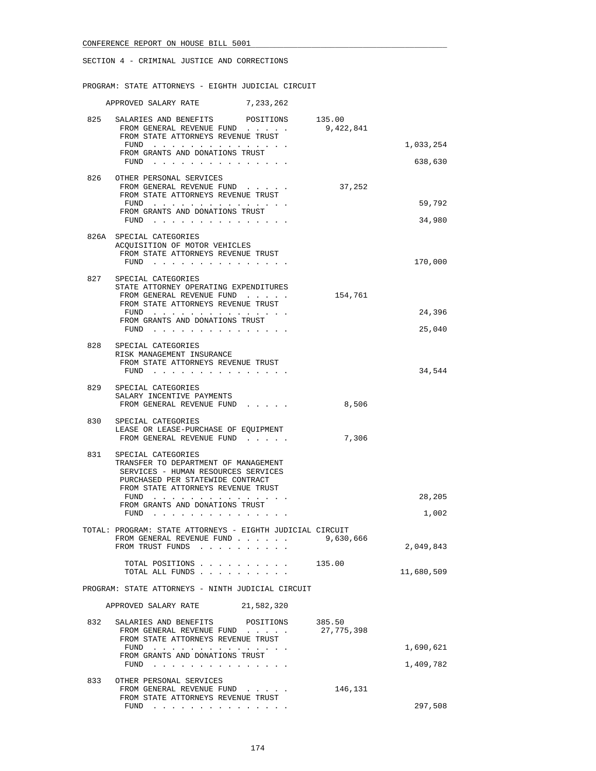PROGRAM: STATE ATTORNEYS - EIGHTH JUDICIAL CIRCUIT

|     | APPROVED SALARY RATE                                                                                                                                                        | 7,233,262 |            |            |
|-----|-----------------------------------------------------------------------------------------------------------------------------------------------------------------------------|-----------|------------|------------|
|     | 825 SALARIES AND BENEFITS POSITIONS 135.00<br>FROM GENERAL REVENUE FUND<br>FROM STATE ATTORNEYS REVENUE TRUST                                                               |           | 9,422,841  |            |
|     | FUND                                                                                                                                                                        |           |            | 1,033,254  |
|     | FROM GRANTS AND DONATIONS TRUST<br>$FUND$                                                                                                                                   |           |            | 638,630    |
| 826 | OTHER PERSONAL SERVICES<br>FROM GENERAL REVENUE FUND<br>FROM STATE ATTORNEYS REVENUE TRUST                                                                                  |           | 37,252     |            |
|     | FUND                                                                                                                                                                        |           |            | 59,792     |
|     | FROM GRANTS AND DONATIONS TRUST<br>FUND $\cdots$                                                                                                                            |           |            | 34,980     |
|     | 826A SPECIAL CATEGORIES<br>ACQUISITION OF MOTOR VEHICLES<br>FROM STATE ATTORNEYS REVENUE TRUST<br>FUND $\cdots$                                                             |           |            | 170,000    |
|     | 827 SPECIAL CATEGORIES<br>STATE ATTORNEY OPERATING EXPENDITURES<br>FROM GENERAL REVENUE FUND<br>FROM STATE ATTORNEYS REVENUE TRUST<br>FUND                                  |           | 154,761    | 24,396     |
|     | FROM GRANTS AND DONATIONS TRUST<br>FUND                                                                                                                                     |           |            | 25,040     |
| 828 | SPECIAL CATEGORIES<br>RISK MANAGEMENT INSURANCE<br>FROM STATE ATTORNEYS REVENUE TRUST<br>FUND $\cdots$                                                                      |           |            | 34,544     |
| 829 | SPECIAL CATEGORIES<br>SALARY INCENTIVE PAYMENTS<br>FROM GENERAL REVENUE FUND                                                                                                |           | 8,506      |            |
| 830 | SPECIAL CATEGORIES<br>LEASE OR LEASE-PURCHASE OF EQUIPMENT<br>FROM GENERAL REVENUE FUND                                                                                     |           | 7,306      |            |
| 831 | SPECIAL CATEGORIES<br>TRANSFER TO DEPARTMENT OF MANAGEMENT<br>SERVICES - HUMAN RESOURCES SERVICES<br>PURCHASED PER STATEWIDE CONTRACT<br>FROM STATE ATTORNEYS REVENUE TRUST |           |            |            |
|     | FUND $\cdots$<br>FROM GRANTS AND DONATIONS TRUST                                                                                                                            |           |            | 28,205     |
|     | FUND<br>$\sim$                                                                                                                                                              |           |            | 1,002      |
|     | TOTAL: PROGRAM: STATE ATTORNEYS - EIGHTH JUDICIAL CIRCUIT<br>FROM GENERAL REVENUE FUND                                                                                      |           | 9,630,666  |            |
|     | FROM TRUST FUNDS                                                                                                                                                            |           |            | 2,049,843  |
|     | TOTAL POSITIONS<br>TOTAL ALL FUNDS                                                                                                                                          |           | 135.00     | 11,680,509 |
|     | PROGRAM: STATE ATTORNEYS - NINTH JUDICIAL CIRCUIT                                                                                                                           |           |            |            |
|     | APPROVED SALARY RATE 21,582,320                                                                                                                                             |           |            |            |
| 832 | SALARIES AND BENEFITS POSITIONS 385.50<br>FROM GENERAL REVENUE FUND<br>FROM STATE ATTORNEYS REVENUE TRUST                                                                   |           | 27,775,398 |            |
|     | FUND<br>FROM GRANTS AND DONATIONS TRUST                                                                                                                                     |           |            | 1,690,621  |
|     | FUND                                                                                                                                                                        |           |            | 1,409,782  |
| 833 | OTHER PERSONAL SERVICES<br>FROM GENERAL REVENUE FUND<br>FROM STATE ATTORNEYS REVENUE TRUST                                                                                  |           | 146,131    |            |
|     | FUND                                                                                                                                                                        |           |            | 297,508    |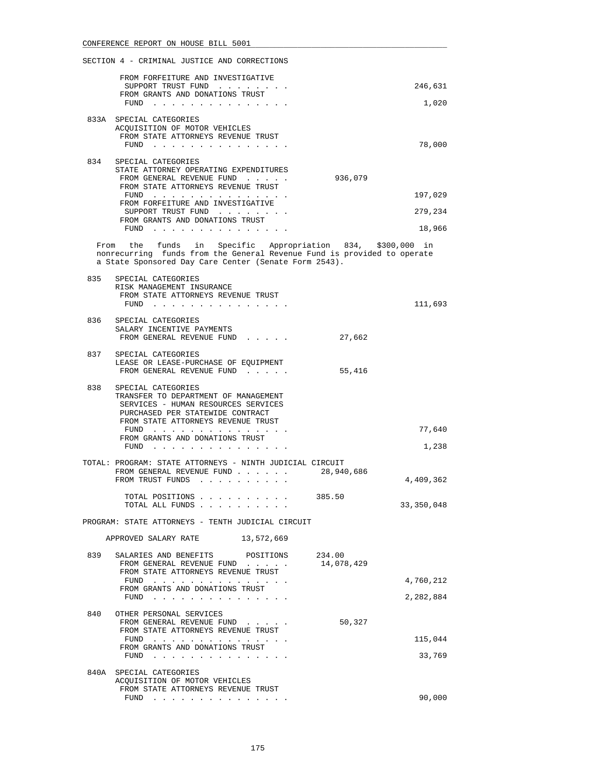|      | FROM FORFEITURE AND INVESTIGATIVE<br>SUPPORT TRUST FUND<br>FROM GRANTS AND DONATIONS TRUST<br>FUND                             | 246,631<br>1,020 |
|------|--------------------------------------------------------------------------------------------------------------------------------|------------------|
| 833A | SPECIAL CATEGORIES<br>ACOUISITION OF MOTOR VEHICLES<br>FROM STATE ATTORNEYS REVENUE TRUST<br>FUND                              | 78,000           |
| 834  | SPECIAL CATEGORIES<br>STATE ATTORNEY OPERATING EXPENDITURES<br>FROM GENERAL REVENUE FUND<br>FROM STATE ATTORNEYS REVENUE TRUST | 936,079          |
|      | FUND                                                                                                                           | 197,029          |
|      | FROM FORFEITURE AND INVESTIGATIVE<br>SUPPORT TRUST FUND<br>FROM GRANTS AND DONATIONS TRUST                                     | 279,234          |
|      | FUND                                                                                                                           | 18,966           |

 From the funds in Specific Appropriation 834, \$300,000 in nonrecurring funds from the General Revenue Fund is provided to operate a State Sponsored Day Care Center (Senate Form 2543).

| 835 | SPECIAL CATEGORIES<br>RISK MANAGEMENT INSURANCE<br>FROM STATE ATTORNEYS REVENUE TRUST<br>FUND                                                                                                                                  | 111,693         |
|-----|--------------------------------------------------------------------------------------------------------------------------------------------------------------------------------------------------------------------------------|-----------------|
| 836 | SPECIAL CATEGORIES<br>SALARY INCENTIVE PAYMENTS<br>FROM GENERAL REVENUE FUND<br>$\cdot$ $\cdot$ $\cdot$ $\cdot$ $\cdot$                                                                                                        | 27,662          |
| 837 | SPECIAL CATEGORIES<br>LEASE OR LEASE-PURCHASE OF EOUIPMENT<br>FROM GENERAL REVENUE FUND                                                                                                                                        | 55,416          |
| 838 | SPECIAL CATEGORIES<br>TRANSFER TO DEPARTMENT OF MANAGEMENT<br>SERVICES - HUMAN RESOURCES SERVICES<br>PURCHASED PER STATEWIDE CONTRACT<br>FROM STATE ATTORNEYS REVENUE TRUST<br>FUND<br>FROM GRANTS AND DONATIONS TRUST<br>FUND | 77,640<br>1,238 |
|     | TOTAL: PROGRAM: STATE ATTORNEYS - NINTH JUDICIAL CIRCUIT<br>28,940,686<br>FROM GENERAL REVENUE FUND                                                                                                                            |                 |

 FROM TRUST FUNDS . . . . . . . . . . 4,409,362 TOTAL POSITIONS . . . . . . . . . . 385.50 TOTAL ALL FUNDS . . . . . . . . . . . . . . 33,350,048

PROGRAM: STATE ATTORNEYS - TENTH JUDICIAL CIRCUIT

| 13,572,669 |
|------------|
|            |

| 839  | SALARIES AND BENEFITS<br>POSITIONS<br>FROM GENERAL REVENUE FUND<br>$\cdot$ $\cdot$ $\cdot$ $\cdot$ $\cdot$ | 234.00<br>14,078,429 |           |
|------|------------------------------------------------------------------------------------------------------------|----------------------|-----------|
|      | FROM STATE ATTORNEYS REVENUE TRUST<br>FUND<br>FROM GRANTS AND DONATIONS TRUST                              |                      | 4,760,212 |
|      | FUND<br>.                                                                                                  |                      | 2,282,884 |
| 840  | OTHER PERSONAL SERVICES                                                                                    |                      |           |
|      | FROM GENERAL REVENUE FUND<br>$\sim$ $\sim$ $\sim$ $\sim$ $\sim$                                            | 50,327               |           |
|      | FROM STATE ATTORNEYS REVENUE TRUST                                                                         |                      |           |
|      | FUND<br>.                                                                                                  |                      | 115,044   |
|      | FROM GRANTS AND DONATIONS TRUST                                                                            |                      |           |
|      | FUND                                                                                                       |                      | 33,769    |
| 840A | SPECIAL CATEGORIES                                                                                         |                      |           |
|      | ACOUISITION OF MOTOR VEHICLES                                                                              |                      |           |
|      | FROM STATE ATTORNEYS REVENUE TRUST                                                                         |                      |           |
|      | FUND                                                                                                       |                      | 90,000    |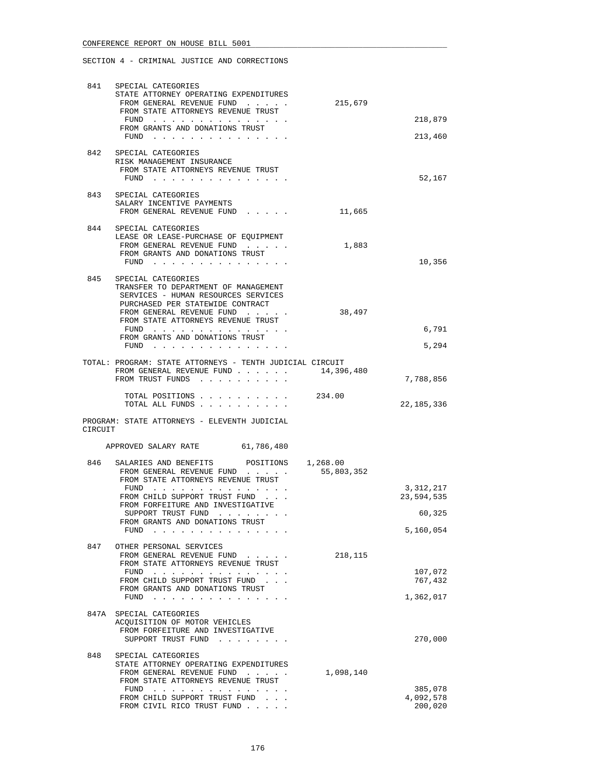| 841     | SPECIAL CATEGORIES<br>STATE ATTORNEY OPERATING EXPENDITURES<br>FROM GENERAL REVENUE FUND<br>FROM STATE ATTORNEYS REVENUE TRUST                                             | 215,679    |                         |
|---------|----------------------------------------------------------------------------------------------------------------------------------------------------------------------------|------------|-------------------------|
|         | FUND $\cdots$<br>FROM GRANTS AND DONATIONS TRUST                                                                                                                           |            | 218,879                 |
|         | FUND $\cdots$                                                                                                                                                              |            | 213,460                 |
|         | 842 SPECIAL CATEGORIES<br>RISK MANAGEMENT INSURANCE<br>FROM STATE ATTORNEYS REVENUE TRUST<br>FUND                                                                          |            | 52,167                  |
| 843     | SPECIAL CATEGORIES                                                                                                                                                         |            |                         |
|         | SALARY INCENTIVE PAYMENTS<br>FROM GENERAL REVENUE FUND                                                                                                                     | 11,665     |                         |
|         | 844 SPECIAL CATEGORIES<br>LEASE OR LEASE-PURCHASE OF EQUIPMENT                                                                                                             |            |                         |
|         | FROM GENERAL REVENUE FUND<br>FROM GRANTS AND DONATIONS TRUST                                                                                                               | 1,883      |                         |
|         | FUND $\cdots$                                                                                                                                                              |            | 10,356                  |
| 845     | SPECIAL CATEGORIES<br>TRANSFER TO DEPARTMENT OF MANAGEMENT<br>SERVICES - HUMAN RESOURCES SERVICES<br>PURCHASED PER STATEWIDE CONTRACT<br>FROM GENERAL REVENUE FUND         | 38,497     |                         |
|         | FROM STATE ATTORNEYS REVENUE TRUST                                                                                                                                         |            |                         |
|         | FUND<br>FROM GRANTS AND DONATIONS TRUST<br>FUND $\cdots$                                                                                                                   |            | 6,791<br>5,294          |
|         | TOTAL: PROGRAM: STATE ATTORNEYS - TENTH JUDICIAL CIRCUIT                                                                                                                   |            |                         |
|         | FROM GENERAL REVENUE FUND<br>FROM TRUST FUNDS                                                                                                                              | 14,396,480 | 7,788,856               |
|         | TOTAL POSITIONS 234.00<br>TOTAL ALL FUNDS                                                                                                                                  |            | 22, 185, 336            |
| CIRCUIT | PROGRAM: STATE ATTORNEYS - ELEVENTH JUDICIAL                                                                                                                               |            |                         |
|         | 61,786,480<br>APPROVED SALARY RATE                                                                                                                                         |            |                         |
| 846     | SALARIES AND BENEFITS POSITIONS 1,268.00<br>FROM GENERAL REVENUE FUND<br>FROM STATE ATTORNEYS REVENUE TRUST                                                                | 55,803,352 |                         |
|         | FUND<br>FROM CHILD SUPPORT TRUST FUND                                                                                                                                      |            | 3,312,217<br>23,594,535 |
|         | FROM FORFEITURE AND INVESTIGATIVE<br>SUPPORT TRUST FUND<br>the contract of the contract of the contract of the contract of the contract of the contract of the contract of |            | 60,325                  |
|         | FROM GRANTS AND DONATIONS TRUST<br>FUND                                                                                                                                    |            | 5,160,054               |
| 847     | OTHER PERSONAL SERVICES                                                                                                                                                    |            |                         |
|         | FROM GENERAL REVENUE FUND<br>FROM STATE ATTORNEYS REVENUE TRUST                                                                                                            | 218,115    |                         |
|         | FUND $\cdots$<br>FROM CHILD SUPPORT TRUST FUND                                                                                                                             |            | 107,072<br>767,432      |
|         | FROM GRANTS AND DONATIONS TRUST<br>FUND<br>. The second contract is a second contract of the $\alpha$                                                                      |            | 1,362,017               |
|         | 847A SPECIAL CATEGORIES<br>ACQUISITION OF MOTOR VEHICLES<br>FROM FORFEITURE AND INVESTIGATIVE                                                                              |            |                         |
|         | SUPPORT TRUST FUND                                                                                                                                                         |            | 270,000                 |
| 848     | SPECIAL CATEGORIES<br>STATE ATTORNEY OPERATING EXPENDITURES                                                                                                                |            |                         |
|         | FROM GENERAL REVENUE FUND<br>FROM STATE ATTORNEYS REVENUE TRUST                                                                                                            | 1,098,140  |                         |
|         | the contract of the contract of the contract of the contract of the contract of the contract of the contract of<br>FUND<br>FROM CHILD SUPPORT TRUST FUND                   |            | 385,078<br>4,092,578    |
|         | FROM CIVIL RICO TRUST FUND                                                                                                                                                 |            | 200,020                 |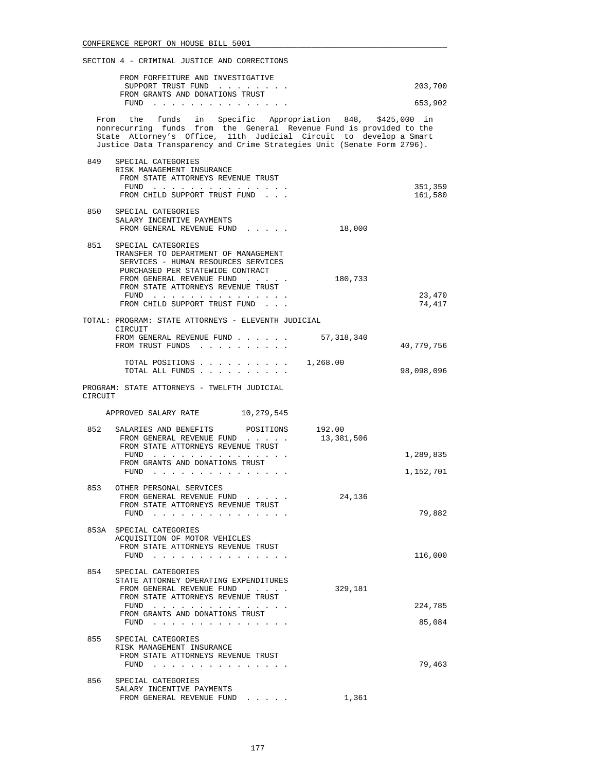|         | FROM FORFEITURE AND INVESTIGATIVE<br>SUPPORT TRUST FUND                                                                                                                                                                                                                           |            | 203,700            |
|---------|-----------------------------------------------------------------------------------------------------------------------------------------------------------------------------------------------------------------------------------------------------------------------------------|------------|--------------------|
|         | FROM GRANTS AND DONATIONS TRUST<br>FUND $\cdots$                                                                                                                                                                                                                                  |            | 653,902            |
|         | From the funds in Specific Appropriation 848, \$425,000 in<br>nonrecurring funds from the General Revenue Fund is provided to the<br>State Attorney's Office, 11th Judicial Circuit to develop a Smart<br>Justice Data Transparency and Crime Strategies Unit (Senate Form 2796). |            |                    |
| 849     | SPECIAL CATEGORIES<br>RISK MANAGEMENT INSURANCE<br>FROM STATE ATTORNEYS REVENUE TRUST<br>FUND<br>FROM CHILD SUPPORT TRUST FUND                                                                                                                                                    |            | 351,359<br>161,580 |
|         | 850 SPECIAL CATEGORIES<br>SALARY INCENTIVE PAYMENTS<br>FROM GENERAL REVENUE FUND                                                                                                                                                                                                  | 18,000     |                    |
| 851     | SPECIAL CATEGORIES<br>TRANSFER TO DEPARTMENT OF MANAGEMENT<br>SERVICES - HUMAN RESOURCES SERVICES<br>PURCHASED PER STATEWIDE CONTRACT<br>FROM GENERAL REVENUE FUND<br>FROM STATE ATTORNEYS REVENUE TRUST<br>$FUND$<br>FROM CHILD SUPPORT TRUST FUND                               | 180,733    | 23,470<br>74,417   |
|         | TOTAL: PROGRAM: STATE ATTORNEYS - ELEVENTH JUDICIAL<br>CIRCUIT<br>FROM GENERAL REVENUE FUND<br>FROM TRUST FUNDS                                                                                                                                                                   | 57,318,340 | 40,779,756         |
|         | TOTAL ALL FUNDS                                                                                                                                                                                                                                                                   |            | 98,098,096         |
| CIRCUIT | PROGRAM: STATE ATTORNEYS - TWELFTH JUDICIAL<br>APPROVED SALARY RATE 10,279,545                                                                                                                                                                                                    |            |                    |
|         |                                                                                                                                                                                                                                                                                   |            |                    |
| 852     | SALARIES AND BENEFITS POSITIONS 192.00<br>FROM GENERAL REVENUE FUND<br>FROM STATE ATTORNEYS REVENUE TRUST<br>FUND<br>FROM GRANTS AND DONATIONS TRUST                                                                                                                              | 13,381,506 | 1,289,835          |
|         | $FUND$                                                                                                                                                                                                                                                                            |            | 1,152,701          |
| 853     | OTHER PERSONAL SERVICES<br>FROM GENERAL REVENUE FUND<br>FROM STATE ATTORNEYS REVENUE TRUST<br>FUND                                                                                                                                                                                | 24,136     | 79,882             |
|         | 853A SPECIAL CATEGORIES<br>ACQUISITION OF MOTOR VEHICLES<br>FROM STATE ATTORNEYS REVENUE TRUST<br>FUND $\cdots$                                                                                                                                                                   |            | 116,000            |
| 854     | SPECIAL CATEGORIES<br>STATE ATTORNEY OPERATING EXPENDITURES<br>FROM GENERAL REVENUE FUND<br>FROM STATE ATTORNEYS REVENUE TRUST<br>$FUND$<br>FROM GRANTS AND DONATIONS TRUST<br>FUND $\cdots$                                                                                      | 329,181    | 224,785<br>85,084  |
| 855     | SPECIAL CATEGORIES<br>RISK MANAGEMENT INSURANCE<br>FROM STATE ATTORNEYS REVENUE TRUST<br>FUND $\cdots$                                                                                                                                                                            |            | 79,463             |
| 856     | SPECIAL CATEGORIES<br>SALARY INCENTIVE PAYMENTS<br>FROM GENERAL REVENUE FUND                                                                                                                                                                                                      | 1,361      |                    |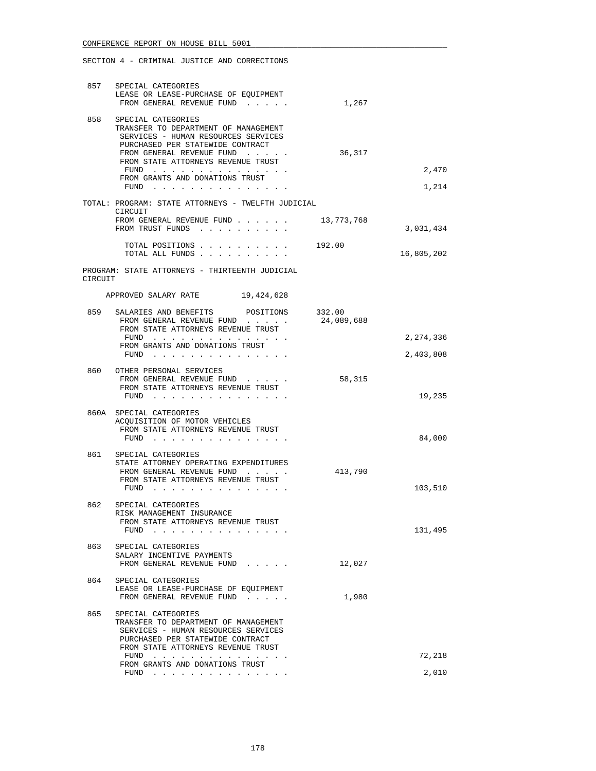| 857     | SPECIAL CATEGORIES<br>LEASE OR LEASE-PURCHASE OF EOUIPMENT<br>FROM GENERAL REVENUE FUND                                                                                     | 1,267      |                |
|---------|-----------------------------------------------------------------------------------------------------------------------------------------------------------------------------|------------|----------------|
| 858     | SPECIAL CATEGORIES<br>TRANSFER TO DEPARTMENT OF MANAGEMENT<br>SERVICES - HUMAN RESOURCES SERVICES<br>PURCHASED PER STATEWIDE CONTRACT                                       |            |                |
|         | FROM GENERAL REVENUE FUND<br>FROM STATE ATTORNEYS REVENUE TRUST                                                                                                             | 36,317     |                |
|         | FUND $\cdots$<br>FROM GRANTS AND DONATIONS TRUST<br>${\tt FUND} \quad . \quad . \quad . \quad . \quad . \quad . \quad . \quad . \quad . \quad . \quad . \quad . \quad .$    |            | 2,470<br>1,214 |
|         | TOTAL: PROGRAM: STATE ATTORNEYS - TWELFTH JUDICIAL                                                                                                                          |            |                |
|         | CIRCUIT<br>FROM GENERAL REVENUE FUND 13,773,768<br>FROM TRUST FUNDS                                                                                                         |            | 3,031,434      |
|         | TOTAL POSITIONS 192.00<br>TOTAL ALL FUNDS                                                                                                                                   |            | 16,805,202     |
| CIRCUIT | PROGRAM: STATE ATTORNEYS - THIRTEENTH JUDICIAL                                                                                                                              |            |                |
|         | APPROVED SALARY RATE 19,424,628                                                                                                                                             |            |                |
| 859     | SALARIES AND BENEFITS POSITIONS 332.00<br>FROM GENERAL REVENUE FUND<br>FROM STATE ATTORNEYS REVENUE TRUST                                                                   | 24,089,688 |                |
|         | FUND<br>FROM GRANTS AND DONATIONS TRUST                                                                                                                                     |            | 2,274,336      |
|         | FUND                                                                                                                                                                        |            | 2,403,808      |
|         | 860 OTHER PERSONAL SERVICES<br>FROM GENERAL REVENUE FUND<br>FROM STATE ATTORNEYS REVENUE TRUST<br>FUND                                                                      | 58,315     | 19,235         |
|         | 860A SPECIAL CATEGORIES<br>ACQUISITION OF MOTOR VEHICLES<br>FROM STATE ATTORNEYS REVENUE TRUST<br>FUND $\cdots$ $\cdots$ $\cdots$ $\cdots$ $\cdots$ $\cdots$                |            | 84,000         |
| 861     | SPECIAL CATEGORIES<br>STATE ATTORNEY OPERATING EXPENDITURES<br>FROM GENERAL REVENUE FUND<br>FROM STATE ATTORNEYS REVENUE TRUST<br>FUND $\cdots$                             | 413,790    | 103,510        |
| 862     | SPECIAL CATEGORIES<br>RISK MANAGEMENT INSURANCE<br>FROM STATE ATTORNEYS REVENUE TRUST<br>$FUND$                                                                             |            | 131,495        |
| 863     | SPECIAL CATEGORIES<br>SALARY INCENTIVE PAYMENTS<br>FROM GENERAL REVENUE FUND                                                                                                | 12,027     |                |
| 864     | SPECIAL CATEGORIES<br>LEASE OR LEASE-PURCHASE OF EQUIPMENT<br>FROM GENERAL REVENUE FUND                                                                                     | 1,980      |                |
| 865     | SPECIAL CATEGORIES<br>TRANSFER TO DEPARTMENT OF MANAGEMENT<br>SERVICES - HUMAN RESOURCES SERVICES<br>PURCHASED PER STATEWIDE CONTRACT<br>FROM STATE ATTORNEYS REVENUE TRUST |            |                |
|         | $FUND$<br>FROM GRANTS AND DONATIONS TRUST                                                                                                                                   |            | 72,218         |
|         | FUND $\cdots$                                                                                                                                                               |            | 2,010          |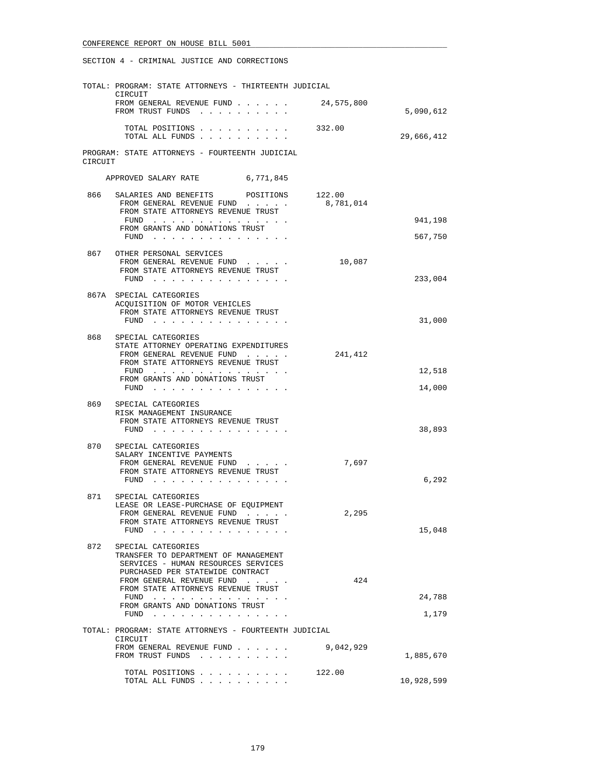|         | TOTAL: PROGRAM: STATE ATTORNEYS - THIRTEENTH JUDICIAL                                                                          |            |                    |
|---------|--------------------------------------------------------------------------------------------------------------------------------|------------|--------------------|
|         | CIRCUIT<br>FROM GENERAL REVENUE FUND<br>FROM TRUST FUNDS                                                                       | 24,575,800 | 5,090,612          |
|         | TOTAL POSITIONS<br>TOTAL ALL FUNDS                                                                                             | 332.00     | 29,666,412         |
| CIRCUIT | PROGRAM: STATE ATTORNEYS - FOURTEENTH JUDICIAL                                                                                 |            |                    |
|         | 6,771,845<br>APPROVED SALARY RATE                                                                                              |            |                    |
| 866     | SALARIES AND BENEFITS<br>POSITIONS 122.00<br>FROM GENERAL REVENUE FUND<br>FROM STATE ATTORNEYS REVENUE TRUST                   | 8,781,014  |                    |
|         | FUND $\cdots$<br>FROM GRANTS AND DONATIONS TRUST<br>FUND                                                                       |            | 941,198<br>567,750 |
|         | 867 OTHER PERSONAL SERVICES<br>FROM GENERAL REVENUE FUND<br>FROM STATE ATTORNEYS REVENUE TRUST                                 | 10,087     |                    |
|         | FUND $\cdots$                                                                                                                  |            | 233,004            |
|         | 867A SPECIAL CATEGORIES<br>ACQUISITION OF MOTOR VEHICLES<br>FROM STATE ATTORNEYS REVENUE TRUST                                 |            |                    |
|         | FUND $\cdots$                                                                                                                  |            | 31,000             |
| 868     | SPECIAL CATEGORIES<br>STATE ATTORNEY OPERATING EXPENDITURES<br>FROM GENERAL REVENUE FUND<br>FROM STATE ATTORNEYS REVENUE TRUST | 241,412    |                    |
|         | FUND<br>FROM GRANTS AND DONATIONS TRUST<br>FUND $\cdots$                                                                       |            | 12,518<br>14,000   |
| 869     | SPECIAL CATEGORIES                                                                                                             |            |                    |
|         | RISK MANAGEMENT INSURANCE<br>FROM STATE ATTORNEYS REVENUE TRUST<br>FUND                                                        |            | 38,893             |
| 870     | SPECIAL CATEGORIES<br>SALARY INCENTIVE PAYMENTS                                                                                |            |                    |
|         | FROM GENERAL REVENUE FUND<br>FROM STATE ATTORNEYS REVENUE TRUST<br>FUND                                                        | 7,697      | 6,292              |
| 871 —   | SPECIAL CATEGORIES                                                                                                             |            |                    |
|         | LEASE OR LEASE-PURCHASE OF EQUIPMENT<br>FROM GENERAL REVENUE FUND<br>FROM STATE ATTORNEYS REVENUE TRUST<br>FUND<br>.           | 2,295      | 15,048             |
| 872     | SPECIAL CATEGORIES                                                                                                             |            |                    |
|         | TRANSFER TO DEPARTMENT OF MANAGEMENT<br>SERVICES - HUMAN RESOURCES SERVICES<br>PURCHASED PER STATEWIDE CONTRACT                |            |                    |
|         | FROM GENERAL REVENUE FUND<br>FROM STATE ATTORNEYS REVENUE TRUST                                                                | 424        |                    |
|         | FUND<br>the contract of the contract of the contract of<br>FROM GRANTS AND DONATIONS TRUST                                     |            | 24,788             |
|         | FUND<br>and the contract of the state of the<br>TOTAL: PROGRAM: STATE ATTORNEYS - FOURTEENTH JUDICIAL                          |            | 1,179              |
|         | CIRCUIT                                                                                                                        | 9,042,929  |                    |
|         | FROM GENERAL REVENUE FUND<br>FROM TRUST FUNDS<br>$\cdots$                                                                      |            | 1,885,670          |
|         | TOTAL POSITIONS<br>TOTAL ALL FUNDS                                                                                             | 122.00     | 10,928,599         |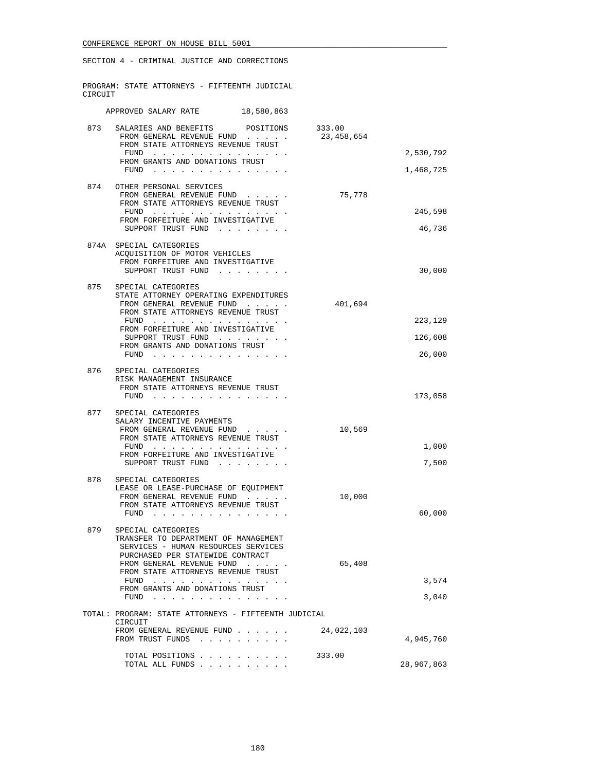|         | SECTION 4 - CRIMINAL JUSTICE AND CORRECTIONS                                                                                                                                                                                                                                                                                                                                                                                                                                                                            |            |                              |
|---------|-------------------------------------------------------------------------------------------------------------------------------------------------------------------------------------------------------------------------------------------------------------------------------------------------------------------------------------------------------------------------------------------------------------------------------------------------------------------------------------------------------------------------|------------|------------------------------|
| CIRCUIT | PROGRAM: STATE ATTORNEYS - FIFTEENTH JUDICIAL                                                                                                                                                                                                                                                                                                                                                                                                                                                                           |            |                              |
|         | 18,580,863<br>APPROVED SALARY RATE                                                                                                                                                                                                                                                                                                                                                                                                                                                                                      |            |                              |
| 873     | SALARIES AND BENEFITS POSITIONS 333.00<br>FROM GENERAL REVENUE FUND<br>FROM STATE ATTORNEYS REVENUE TRUST<br>FUND<br>FROM GRANTS AND DONATIONS TRUST<br>FUND $\cdots$                                                                                                                                                                                                                                                                                                                                                   | 23,458,654 | 2,530,792<br>1,468,725       |
|         | 874 OTHER PERSONAL SERVICES<br>FROM GENERAL REVENUE FUND<br>FROM STATE ATTORNEYS REVENUE TRUST<br>FUND<br>FROM FORFEITURE AND INVESTIGATIVE<br>SUPPORT TRUST FUND                                                                                                                                                                                                                                                                                                                                                       | 75,778     | 245,598<br>46,736            |
|         | 874A SPECIAL CATEGORIES<br>ACQUISITION OF MOTOR VEHICLES<br>FROM FORFEITURE AND INVESTIGATIVE<br>SUPPORT TRUST FUND                                                                                                                                                                                                                                                                                                                                                                                                     |            | 30,000                       |
| 875     | SPECIAL CATEGORIES<br>STATE ATTORNEY OPERATING EXPENDITURES<br>FROM GENERAL REVENUE FUND<br>FROM STATE ATTORNEYS REVENUE TRUST<br>FUND<br>FROM FORFEITURE AND INVESTIGATIVE<br>SUPPORT TRUST FUND<br>FROM GRANTS AND DONATIONS TRUST<br>FUND $\cdots$                                                                                                                                                                                                                                                                   | 401,694    | 223,129<br>126,608<br>26,000 |
| 876     | SPECIAL CATEGORIES<br>RISK MANAGEMENT INSURANCE<br>FROM STATE ATTORNEYS REVENUE TRUST<br>FUND $\cdots$                                                                                                                                                                                                                                                                                                                                                                                                                  |            | 173,058                      |
| 877     | SPECIAL CATEGORIES<br>SALARY INCENTIVE PAYMENTS<br>FROM GENERAL REVENUE FUND<br>FROM STATE ATTORNEYS REVENUE TRUST<br>FUND $\cdots$<br>FROM FORFEITURE AND INVESTIGATIVE<br>SUPPORT TRUST FUND                                                                                                                                                                                                                                                                                                                          | 10,569     | 1,000<br>7,500               |
| 878     | SPECIAL CATEGORIES<br>LEASE OR LEASE-PURCHASE OF EQUIPMENT<br>FROM GENERAL REVENUE FUND<br>FROM STATE ATTORNEYS REVENUE TRUST<br>FUND $\cdots$ $\cdots$ $\cdots$ $\cdots$                                                                                                                                                                                                                                                                                                                                               | 10,000     | 60,000                       |
| 879     | SPECIAL CATEGORIES<br>TRANSFER TO DEPARTMENT OF MANAGEMENT<br>SERVICES - HUMAN RESOURCES SERVICES<br>PURCHASED PER STATEWIDE CONTRACT<br>FROM GENERAL REVENUE FUND<br>FROM STATE ATTORNEYS REVENUE TRUST<br>FUND $\cdots$<br>FROM GRANTS AND DONATIONS TRUST<br>FUND<br>and the contract of the contract of the contract of the contract of the contract of the contract of the contract of the contract of the contract of the contract of the contract of the contract of the contract of the contra<br>$\sim$ $\sim$ | 65,408     | 3,574<br>3,040               |
|         | TOTAL: PROGRAM: STATE ATTORNEYS - FIFTEENTH JUDICIAL<br>CIRCUIT<br>FROM GENERAL REVENUE FUND                                                                                                                                                                                                                                                                                                                                                                                                                            | 24,022,103 |                              |
|         | FROM TRUST FUNDS<br>TOTAL POSITIONS<br>TOTAL ALL FUNDS                                                                                                                                                                                                                                                                                                                                                                                                                                                                  | 333.00     | 4,945,760<br>28,967,863      |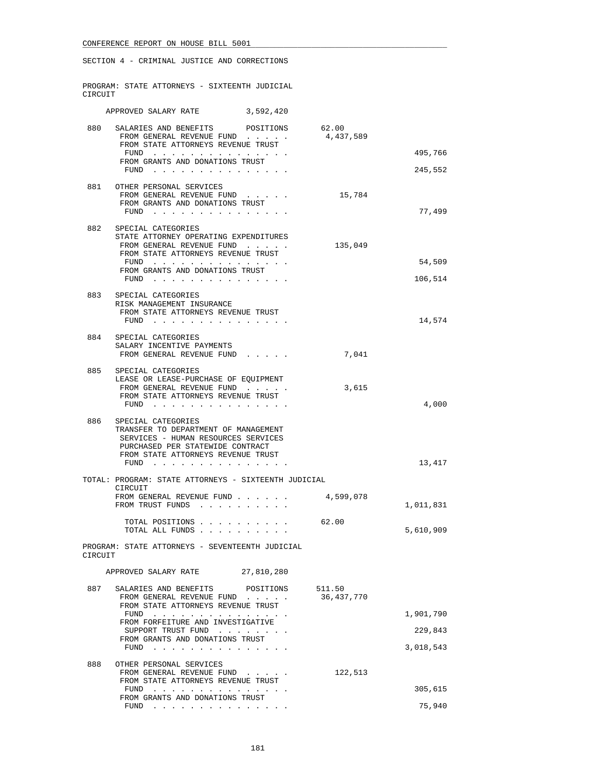|         | SECTION 4 - CRIMINAL JUSTICE AND CORRECTIONS                                                                                                                                                                                                     |                        |                                   |
|---------|--------------------------------------------------------------------------------------------------------------------------------------------------------------------------------------------------------------------------------------------------|------------------------|-----------------------------------|
| CIRCUIT | PROGRAM: STATE ATTORNEYS - SIXTEENTH JUDICIAL                                                                                                                                                                                                    |                        |                                   |
|         | APPROVED SALARY RATE 3,592,420                                                                                                                                                                                                                   |                        |                                   |
| 880     | SALARIES AND BENEFITS POSITIONS 62.00<br>FROM GENERAL REVENUE FUND<br>FROM STATE ATTORNEYS REVENUE TRUST<br>FUND<br>FROM GRANTS AND DONATIONS TRUST<br>FUND $\cdots$                                                                             | 4,437,589              | 495,766<br>245,552                |
|         | 881 OTHER PERSONAL SERVICES<br>FROM GENERAL REVENUE FUND<br>FROM GRANTS AND DONATIONS TRUST<br>FUND $\cdots$                                                                                                                                     | 15,784                 | 77,499                            |
|         | 882 SPECIAL CATEGORIES<br>STATE ATTORNEY OPERATING EXPENDITURES<br>FROM GENERAL REVENUE FUND<br>FROM STATE ATTORNEYS REVENUE TRUST<br>FUND<br>FROM GRANTS AND DONATIONS TRUST                                                                    | 135,049                | 54,509<br>106,514                 |
| 883     | SPECIAL CATEGORIES<br>RISK MANAGEMENT INSURANCE<br>FROM STATE ATTORNEYS REVENUE TRUST<br>FUND $\cdots$                                                                                                                                           |                        | 14,574                            |
|         | 884 SPECIAL CATEGORIES<br>SALARY INCENTIVE PAYMENTS<br>FROM GENERAL REVENUE FUND                                                                                                                                                                 | 7,041                  |                                   |
| 885     | SPECIAL CATEGORIES<br>LEASE OR LEASE-PURCHASE OF EQUIPMENT<br>FROM GENERAL REVENUE FUND<br>FROM STATE ATTORNEYS REVENUE TRUST<br>FUND $\cdots$                                                                                                   | 3,615                  | 4,000                             |
| 886     | SPECIAL CATEGORIES<br>TRANSFER TO DEPARTMENT OF MANAGEMENT<br>SERVICES - HUMAN RESOURCES SERVICES<br>PURCHASED PER STATEWIDE CONTRACT<br>FROM STATE ATTORNEYS REVENUE TRUST<br>FUND $\cdots$                                                     |                        | 13,417                            |
|         | TOTAL: PROGRAM: STATE ATTORNEYS - SIXTEENTH JUDICIAL                                                                                                                                                                                             |                        |                                   |
|         | CIRCUIT<br>FROM GENERAL REVENUE FUND<br>FROM TRUST FUNDS                                                                                                                                                                                         | 4,599,078              | 1,011,831                         |
|         | TOTAL POSITIONS<br>TOTAL ALL FUNDS                                                                                                                                                                                                               | 62.00                  | 5,610,909                         |
| CIRCUIT | PROGRAM: STATE ATTORNEYS - SEVENTEENTH JUDICIAL<br>APPROVED SALARY RATE<br>27,810,280                                                                                                                                                            |                        |                                   |
|         |                                                                                                                                                                                                                                                  |                        |                                   |
| 887     | SALARIES AND BENEFITS POSITIONS<br>FROM GENERAL REVENUE FUND<br>FROM STATE ATTORNEYS REVENUE TRUST<br>$FUND$ , , , , , , , , , , , , , , ,<br>FROM FORFEITURE AND INVESTIGATIVE<br>SUPPORT TRUST FUND<br>FROM GRANTS AND DONATIONS TRUST<br>FUND | 511.50<br>36, 437, 770 | 1,901,790<br>229,843<br>3,018,543 |
| 888     | OTHER PERSONAL SERVICES<br>FROM GENERAL REVENUE FUND<br>FROM STATE ATTORNEYS REVENUE TRUST                                                                                                                                                       | 122,513                |                                   |
|         | FUND<br>FROM GRANTS AND DONATIONS TRUST                                                                                                                                                                                                          |                        | 305,615                           |

FUND . . . . . . . . . . . . . . . 75,940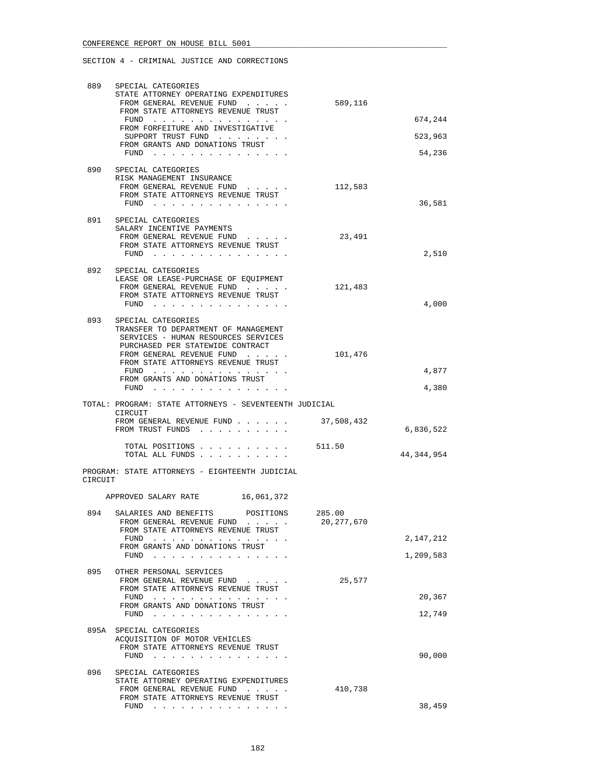| 889     | SPECIAL CATEGORIES                                                                                                           |              |              |
|---------|------------------------------------------------------------------------------------------------------------------------------|--------------|--------------|
|         | STATE ATTORNEY OPERATING EXPENDITURES<br>FROM GENERAL REVENUE FUND                                                           | 589,116      |              |
|         | FROM STATE ATTORNEYS REVENUE TRUST                                                                                           |              | 674,244      |
|         | FROM FORFEITURE AND INVESTIGATIVE<br>SUPPORT TRUST FUND                                                                      |              | 523,963      |
|         | FROM GRANTS AND DONATIONS TRUST<br>FUND                                                                                      |              | 54,236       |
|         |                                                                                                                              |              |              |
| 890     | SPECIAL CATEGORIES<br>RISK MANAGEMENT INSURANCE                                                                              |              |              |
|         | FROM GENERAL REVENUE FUND<br>FROM STATE ATTORNEYS REVENUE TRUST                                                              | 112,583      |              |
|         | FUND $\cdots$                                                                                                                |              | 36,581       |
| 891     | SPECIAL CATEGORIES                                                                                                           |              |              |
|         | SALARY INCENTIVE PAYMENTS<br>FROM GENERAL REVENUE FUND                                                                       | 23,491       |              |
|         | FROM STATE ATTORNEYS REVENUE TRUST                                                                                           |              |              |
|         | $FUND$                                                                                                                       |              | 2,510        |
|         | 892 SPECIAL CATEGORIES<br>LEASE OR LEASE-PURCHASE OF EQUIPMENT                                                               |              |              |
|         | FROM GENERAL REVENUE FUND                                                                                                    | 121,483      |              |
|         | FROM STATE ATTORNEYS REVENUE TRUST                                                                                           |              | 4,000        |
|         | FUND $\cdots$                                                                                                                |              |              |
| 893     | SPECIAL CATEGORIES<br>TRANSFER TO DEPARTMENT OF MANAGEMENT                                                                   |              |              |
|         | SERVICES - HUMAN RESOURCES SERVICES                                                                                          |              |              |
|         | PURCHASED PER STATEWIDE CONTRACT<br>FROM GENERAL REVENUE FUND                                                                | 101,476      |              |
|         | FROM STATE ATTORNEYS REVENUE TRUST                                                                                           |              |              |
|         | FUND $\cdots$<br>FROM GRANTS AND DONATIONS TRUST                                                                             |              | 4,877        |
|         | FUND<br>والمناول والمناول والمناول والمناول والمناول والمناول                                                                |              | 4,380        |
|         |                                                                                                                              |              |              |
|         | TOTAL: PROGRAM: STATE ATTORNEYS - SEVENTEENTH JUDICIAL                                                                       |              |              |
|         | CIRCUIT<br>FROM GENERAL REVENUE FUND                                                                                         | 37,508,432   |              |
|         | FROM TRUST FUNDS                                                                                                             |              | 6,836,522    |
|         | TOTAL POSITIONS<br>TOTAL ALL FUNDS                                                                                           | 511.50       | 44, 344, 954 |
| CIRCUIT | PROGRAM: STATE ATTORNEYS - EIGHTEENTH JUDICIAL                                                                               |              |              |
|         | APPROVED SALARY RATE<br>16,061,372                                                                                           |              |              |
| 894     | POSITIONS                                                                                                                    | 285.00       |              |
|         | SALARIES AND BENEFITS<br>FROM GENERAL REVENUE FUND                                                                           | 20, 277, 670 |              |
|         | FROM STATE ATTORNEYS REVENUE TRUST<br>FUND                                                                                   |              | 2,147,212    |
|         | FROM GRANTS AND DONATIONS TRUST                                                                                              |              |              |
|         | $FUND$                                                                                                                       |              | 1,209,583    |
| 895     | OTHER PERSONAL SERVICES<br>FROM GENERAL REVENUE FUND                                                                         | 25,577       |              |
|         | FROM STATE ATTORNEYS REVENUE TRUST                                                                                           |              |              |
|         | FUND<br>FROM GRANTS AND DONATIONS TRUST                                                                                      |              | 20,367       |
|         | $FUND$                                                                                                                       |              | 12,749       |
|         | 895A SPECIAL CATEGORIES                                                                                                      |              |              |
|         | ACQUISITION OF MOTOR VEHICLES<br>FROM STATE ATTORNEYS REVENUE TRUST                                                          |              |              |
|         | FUND $\cdots$                                                                                                                |              | 90,000       |
| 896     | SPECIAL CATEGORIES                                                                                                           |              |              |
|         | STATE ATTORNEY OPERATING EXPENDITURES                                                                                        |              |              |
|         | FROM GENERAL REVENUE FUND<br>FROM STATE ATTORNEYS REVENUE TRUST<br>FUND<br>والمناولة والمناولة والمناولة والمناولة والمناولة | 410,738      | 38,459       |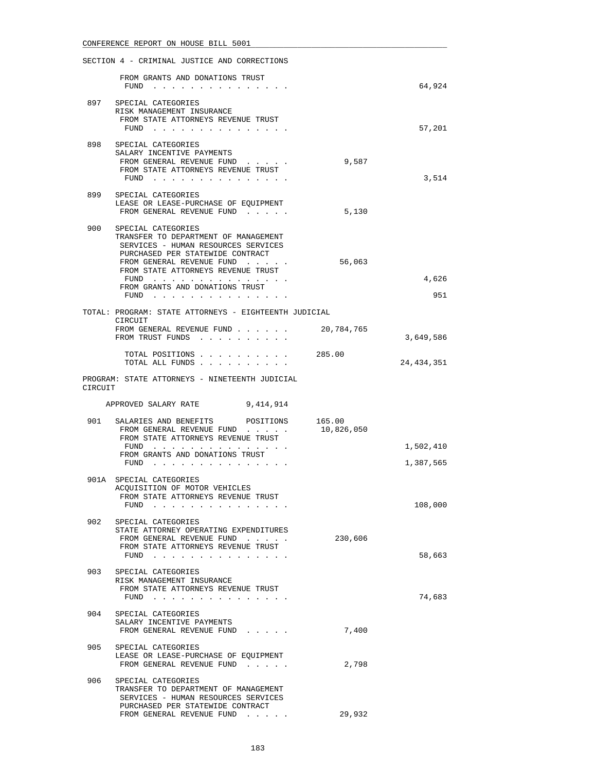|         | SECTION 4 - CRIMINAL JUSTICE AND CORRECTIONS                                                                                                                                                                                                                         |                      |                        |
|---------|----------------------------------------------------------------------------------------------------------------------------------------------------------------------------------------------------------------------------------------------------------------------|----------------------|------------------------|
|         | FROM GRANTS AND DONATIONS TRUST<br>FUND $\cdots$                                                                                                                                                                                                                     |                      | 64,924                 |
|         | 897 SPECIAL CATEGORIES<br>RISK MANAGEMENT INSURANCE<br>FROM STATE ATTORNEYS REVENUE TRUST<br>FUND $\cdots$                                                                                                                                                           |                      | 57,201                 |
|         | 898 SPECIAL CATEGORIES<br>SALARY INCENTIVE PAYMENTS<br>FROM GENERAL REVENUE FUND<br>FROM STATE ATTORNEYS REVENUE TRUST<br>FUND                                                                                                                                       | 9,587                | 3,514                  |
| 899     | SPECIAL CATEGORIES<br>LEASE OR LEASE-PURCHASE OF EQUIPMENT<br>FROM GENERAL REVENUE FUND                                                                                                                                                                              | 5,130                |                        |
| 900     | SPECIAL CATEGORIES<br>TRANSFER TO DEPARTMENT OF MANAGEMENT<br>SERVICES - HUMAN RESOURCES SERVICES<br>PURCHASED PER STATEWIDE CONTRACT<br>FROM GENERAL REVENUE FUND<br>FROM STATE ATTORNEYS REVENUE TRUST<br>FUND<br>FROM GRANTS AND DONATIONS TRUST<br>FUND $\cdots$ | 56,063               | 4,626<br>951           |
|         | TOTAL: PROGRAM: STATE ATTORNEYS - EIGHTEENTH JUDICIAL<br>CIRCUIT                                                                                                                                                                                                     |                      |                        |
|         | FROM GENERAL REVENUE FUND<br>FROM TRUST FUNDS                                                                                                                                                                                                                        | 20,784,765           | 3,649,586              |
|         | TOTAL POSITIONS 285.00<br>TOTAL ALL FUNDS                                                                                                                                                                                                                            |                      | 24, 434, 351           |
| CIRCUIT | PROGRAM: STATE ATTORNEYS - NINETEENTH JUDICIAL                                                                                                                                                                                                                       |                      |                        |
|         |                                                                                                                                                                                                                                                                      |                      |                        |
|         | APPROVED SALARY RATE<br>9,414,914                                                                                                                                                                                                                                    |                      |                        |
| 901     | SALARIES AND BENEFITS<br>POSITIONS<br>FROM GENERAL REVENUE FUND<br>FROM STATE ATTORNEYS REVENUE TRUST<br>FUND<br>FROM GRANTS AND DONATIONS TRUST<br>$FUND$                                                                                                           | 165.00<br>10,826,050 | 1,502,410<br>1,387,565 |
|         | 901A SPECIAL CATEGORIES<br>ACQUISITION OF MOTOR VEHICLES<br>FROM STATE ATTORNEYS REVENUE TRUST<br>FUND<br>the contract of the contract of the                                                                                                                        |                      | 108,000                |
| 902     | SPECIAL CATEGORIES<br>STATE ATTORNEY OPERATING EXPENDITURES<br>FROM GENERAL REVENUE FUND<br>FROM STATE ATTORNEYS REVENUE TRUST<br>FUND $\cdots$                                                                                                                      | 230,606              | 58,663                 |
| 903     | SPECIAL CATEGORIES<br>RISK MANAGEMENT INSURANCE<br>FROM STATE ATTORNEYS REVENUE TRUST<br>$FUND$                                                                                                                                                                      |                      | 74,683                 |
| 904     | SPECIAL CATEGORIES<br>SALARY INCENTIVE PAYMENTS<br>FROM GENERAL REVENUE FUND                                                                                                                                                                                         | 7,400                |                        |
|         | 905 SPECIAL CATEGORIES<br>LEASE OR LEASE-PURCHASE OF EQUIPMENT<br>FROM GENERAL REVENUE FUND                                                                                                                                                                          | 2,798                |                        |
| 906     | SPECIAL CATEGORIES<br>TRANSFER TO DEPARTMENT OF MANAGEMENT<br>SERVICES - HUMAN RESOURCES SERVICES<br>PURCHASED PER STATEWIDE CONTRACT                                                                                                                                |                      |                        |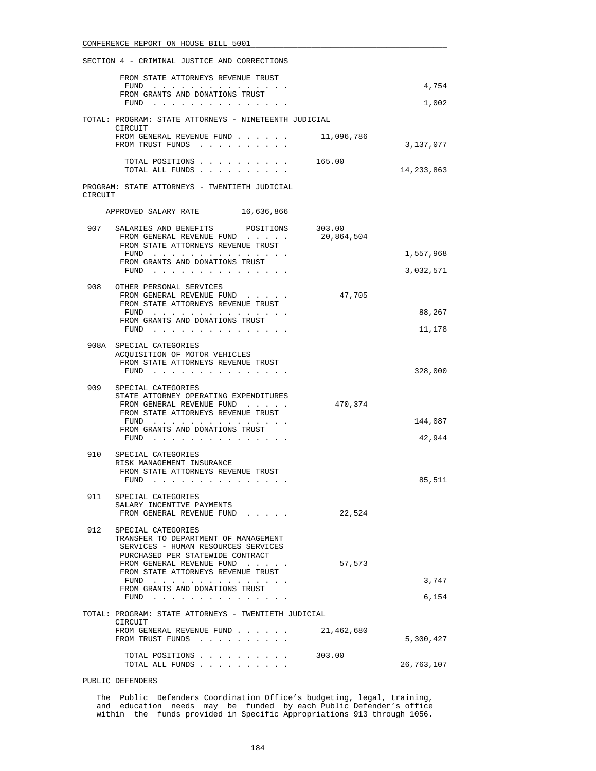|         | FROM STATE ATTORNEYS REVENUE TRUST                                                                                                          |                      |              |
|---------|---------------------------------------------------------------------------------------------------------------------------------------------|----------------------|--------------|
|         | FUND<br>FROM GRANTS AND DONATIONS TRUST                                                                                                     |                      | 4,754        |
|         | FUND $\cdots$                                                                                                                               |                      | 1,002        |
|         | TOTAL: PROGRAM: STATE ATTORNEYS - NINETEENTH JUDICIAL<br>CIRCUIT                                                                            |                      |              |
|         | FROM GENERAL REVENUE FUND<br>FROM TRUST FUNDS                                                                                               | 11,096,786           | 3,137,077    |
|         | TOTAL POSITIONS<br>TOTAL ALL FUNDS                                                                                                          | 165.00               | 14, 233, 863 |
| CIRCUIT | PROGRAM: STATE ATTORNEYS - TWENTIETH JUDICIAL                                                                                               |                      |              |
|         | APPROVED SALARY RATE 16,636,866                                                                                                             |                      |              |
| 907     | SALARIES AND BENEFITS POSITIONS<br>FROM GENERAL REVENUE FUND<br>FROM STATE ATTORNEYS REVENUE TRUST                                          | 303.00<br>20,864,504 |              |
|         | FUND<br>FROM GRANTS AND DONATIONS TRUST                                                                                                     |                      | 1,557,968    |
|         | FUND $\cdots$ $\cdots$ $\cdots$ $\cdots$ $\cdots$ $\cdots$                                                                                  |                      | 3,032,571    |
| 908     | OTHER PERSONAL SERVICES<br>FROM GENERAL REVENUE FUND<br>FROM STATE ATTORNEYS REVENUE TRUST                                                  | 47,705               |              |
|         | FUND<br>FROM GRANTS AND DONATIONS TRUST                                                                                                     |                      | 88,267       |
|         | FUND $\cdots$                                                                                                                               |                      | 11,178       |
|         | 908A SPECIAL CATEGORIES<br>ACQUISITION OF MOTOR VEHICLES<br>FROM STATE ATTORNEYS REVENUE TRUST<br>$FUND$                                    |                      | 328,000      |
| 909     | SPECIAL CATEGORIES                                                                                                                          |                      |              |
|         | STATE ATTORNEY OPERATING EXPENDITURES<br>FROM GENERAL REVENUE FUND<br>FROM STATE ATTORNEYS REVENUE TRUST                                    | 470,374              |              |
|         | FUND $\cdots$<br>FROM GRANTS AND DONATIONS TRUST                                                                                            |                      | 144,087      |
|         | FUND $\cdots$ $\cdots$ $\cdots$ $\cdots$ $\cdots$ $\cdots$                                                                                  |                      | 42,944       |
| 910     | SPECIAL CATEGORIES<br>RISK MANAGEMENT INSURANCE<br>FROM STATE ATTORNEYS REVENUE TRUST<br>$FUND$                                             |                      | 85,511       |
| 911     | SPECIAL CATEGORIES<br>SALARY INCENTIVE PAYMENTS<br>FROM GENERAL REVENUE FUND                                                                | 22,524               |              |
| 912     | SPECIAL CATEGORIES<br>TRANSFER TO DEPARTMENT OF MANAGEMENT<br>SERVICES - HUMAN RESOURCES SERVICES<br>PURCHASED PER STATEWIDE CONTRACT       |                      |              |
|         | FROM GENERAL REVENUE FUND<br>FROM STATE ATTORNEYS REVENUE TRUST                                                                             | 57,573               |              |
|         | FUND $\cdots$<br>FROM GRANTS AND DONATIONS TRUST                                                                                            |                      | 3,747        |
|         | FUND                                                                                                                                        |                      | 6,154        |
|         | TOTAL: PROGRAM: STATE ATTORNEYS - TWENTIETH JUDICIAL                                                                                        |                      |              |
|         | CIRCUIT<br>FROM GENERAL REVENUE FUND<br>FROM TRUST FUNDS<br>the contract of the contract of the contract of the contract of the contract of | 21,462,680           | 5,300,427    |
|         | TOTAL POSITIONS<br>TOTAL ALL FUNDS                                                                                                          | 303.00               | 26,763,107   |

PUBLIC DEFENDERS

 The Public Defenders Coordination Office's budgeting, legal, training, and education needs may be funded by each Public Defender's office within the funds provided in Specific Appropriations 913 through 1056.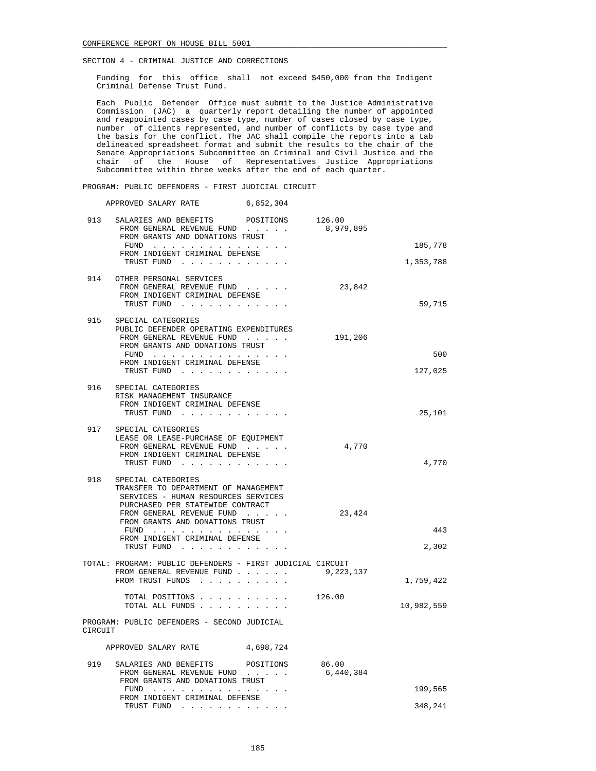Funding for this office shall not exceed \$450,000 from the Indigent Criminal Defense Trust Fund.

 Each Public Defender Office must submit to the Justice Administrative Commission (JAC) a quarterly report detailing the number of appointed and reappointed cases by case type, number of cases closed by case type, number of clients represented, and number of conflicts by case type and the basis for the conflict. The JAC shall compile the reports into a tab delineated spreadsheet format and submit the results to the chair of the Senate Appropriations Subcommittee on Criminal and Civil Justice and the chair of the House of Representatives Justice Appropriations Subcommittee within three weeks after the end of each quarter.

PROGRAM: PUBLIC DEFENDERS - FIRST JUDICIAL CIRCUIT

APPROVED SALARY RATE 6,852,304

| 913     | SALARIES AND BENEFITS POSITIONS<br>FROM GENERAL REVENUE FUND<br>FROM GRANTS AND DONATIONS TRUST                                                                                                                                                               | 126.00<br>8,979,895 |                |
|---------|---------------------------------------------------------------------------------------------------------------------------------------------------------------------------------------------------------------------------------------------------------------|---------------------|----------------|
|         | FUND<br>FROM INDIGENT CRIMINAL DEFENSE                                                                                                                                                                                                                        |                     | 185,778        |
|         | TRUST FUND                                                                                                                                                                                                                                                    |                     | 1,353,788      |
|         | 914 OTHER PERSONAL SERVICES<br>FROM GENERAL REVENUE FUND<br>FROM INDIGENT CRIMINAL DEFENSE<br>TRUST FUND                                                                                                                                                      | 23,842              | 59,715         |
| 915     | SPECIAL CATEGORIES<br>PUBLIC DEFENDER OPERATING EXPENDITURES<br>FROM GENERAL REVENUE FUND<br>FROM GRANTS AND DONATIONS TRUST<br>FUND $\cdots$<br>FROM INDIGENT CRIMINAL DEFENSE<br>TRUST FUND                                                                 | 191,206             | 500<br>127,025 |
| 916     | SPECIAL CATEGORIES<br>RISK MANAGEMENT INSURANCE<br>FROM INDIGENT CRIMINAL DEFENSE<br>TRUST FUND                                                                                                                                                               |                     | 25,101         |
| 917     | SPECIAL CATEGORIES<br>LEASE OR LEASE-PURCHASE OF EQUIPMENT<br>FROM GENERAL REVENUE FUND<br>FROM INDIGENT CRIMINAL DEFENSE<br>TRUST FUND                                                                                                                       | 4,770               | 4,770          |
| 918     | SPECIAL CATEGORIES<br>TRANSFER TO DEPARTMENT OF MANAGEMENT<br>SERVICES - HUMAN RESOURCES SERVICES<br>PURCHASED PER STATEWIDE CONTRACT<br>FROM GENERAL REVENUE FUND<br>FROM GRANTS AND DONATIONS TRUST<br>FUND<br>FROM INDIGENT CRIMINAL DEFENSE<br>TRUST FUND | 23,424              | 443<br>2,302   |
|         | TOTAL: PROGRAM: PUBLIC DEFENDERS - FIRST JUDICIAL CIRCUIT<br>FROM GENERAL REVENUE FUND<br>FROM TRUST FUNDS                                                                                                                                                    | 9,223,137           | 1,759,422      |
|         | TOTAL POSITIONS 126.00<br>TOTAL ALL FUNDS                                                                                                                                                                                                                     |                     | 10,982,559     |
| CIRCUIT | PROGRAM: PUBLIC DEFENDERS - SECOND JUDICIAL                                                                                                                                                                                                                   |                     |                |
|         | APPROVED SALARY RATE<br>4,698,724                                                                                                                                                                                                                             |                     |                |
| 919     | SALARIES AND BENEFITS<br>POSITIONS<br>FROM GENERAL REVENUE FUND<br>FROM GRANTS AND DONATIONS TRUST                                                                                                                                                            | 86.00<br>6,440,384  |                |
|         | FUND $\cdots$<br>FROM INDIGENT CRIMINAL DEFENSE                                                                                                                                                                                                               |                     | 199,565        |
|         | TRUST FUND<br>the contract of the contract of the                                                                                                                                                                                                             |                     | 348,241        |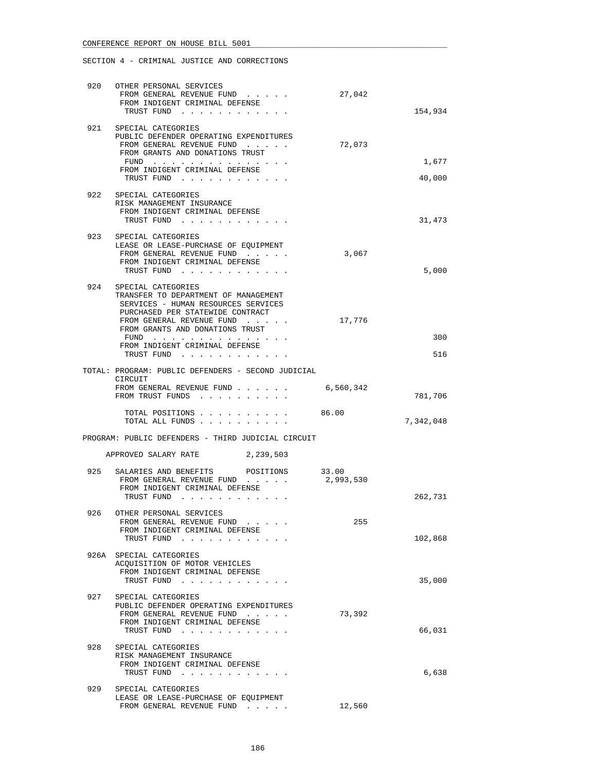| 920 | OTHER PERSONAL SERVICES<br>FROM GENERAL REVENUE FUND                                                                                    | 27,042             |                 |
|-----|-----------------------------------------------------------------------------------------------------------------------------------------|--------------------|-----------------|
|     | FROM INDIGENT CRIMINAL DEFENSE<br>TRUST FUND                                                                                            |                    | 154,934         |
|     | 921 SPECIAL CATEGORIES<br>PUBLIC DEFENDER OPERATING EXPENDITURES<br>FROM GENERAL REVENUE FUND<br>FROM GRANTS AND DONATIONS TRUST        | 72,073             |                 |
|     | FUND $\cdots$<br>FROM INDIGENT CRIMINAL DEFENSE<br>TRUST FUND                                                                           |                    | 1,677<br>40,000 |
| 922 | SPECIAL CATEGORIES<br>RISK MANAGEMENT INSURANCE                                                                                         |                    |                 |
|     | FROM INDIGENT CRIMINAL DEFENSE<br>TRUST FUND                                                                                            |                    | 31,473          |
| 923 | SPECIAL CATEGORIES<br>LEASE OR LEASE-PURCHASE OF EQUIPMENT<br>FROM GENERAL REVENUE FUND<br>FROM INDIGENT CRIMINAL DEFENSE<br>TRUST FUND | 3,067              | 5,000           |
| 924 | SPECIAL CATEGORIES<br>TRANSFER TO DEPARTMENT OF MANAGEMENT<br>SERVICES - HUMAN RESOURCES SERVICES<br>PURCHASED PER STATEWIDE CONTRACT   |                    |                 |
|     | FROM GENERAL REVENUE FUND<br>FROM GRANTS AND DONATIONS TRUST                                                                            | 17,776             |                 |
|     | FUND<br>FROM INDIGENT CRIMINAL DEFENSE<br>TRUST FUND                                                                                    |                    | 300<br>516      |
|     | TOTAL: PROGRAM: PUBLIC DEFENDERS - SECOND JUDICIAL<br>CIRCUIT                                                                           |                    |                 |
|     | FROM GENERAL REVENUE FUND<br>FROM TRUST FUNDS                                                                                           | 6,560,342          | 781,706         |
|     | TOTAL POSITIONS 86.00<br>TOTAL ALL FUNDS                                                                                                |                    | 7,342,048       |
|     | PROGRAM: PUBLIC DEFENDERS - THIRD JUDICIAL CIRCUIT                                                                                      |                    |                 |
|     | APPROVED SALARY RATE 2,239,503                                                                                                          |                    |                 |
| 925 | SALARIES AND BENEFITS<br>POSITIONS<br>FROM GENERAL REVENUE FUND<br>FROM INDIGENT CRIMINAL DEFENSE                                       | 33.00<br>2,993,530 |                 |
|     | TRUST FUND                                                                                                                              |                    | 262,731         |
| 926 | OTHER PERSONAL SERVICES<br>FROM GENERAL REVENUE FUND<br>FROM INDIGENT CRIMINAL DEFENSE                                                  | 255                |                 |
|     | TRUST FUND                                                                                                                              |                    | 102,868         |
|     | 926A SPECIAL CATEGORIES<br>ACQUISITION OF MOTOR VEHICLES<br>FROM INDIGENT CRIMINAL DEFENSE<br>TRUST FUND                                |                    | 35,000          |
| 927 | SPECIAL CATEGORIES                                                                                                                      |                    |                 |
|     | PUBLIC DEFENDER OPERATING EXPENDITURES<br>FROM GENERAL REVENUE FUND<br>FROM INDIGENT CRIMINAL DEFENSE<br>TRUST FUND                     | 73,392             | 66,031          |
| 928 | SPECIAL CATEGORIES<br>RISK MANAGEMENT INSURANCE<br>FROM INDIGENT CRIMINAL DEFENSE<br>TRUST FUND                                         |                    | 6,638           |
| 929 | SPECIAL CATEGORIES                                                                                                                      |                    |                 |
|     | LEASE OR LEASE-PURCHASE OF EQUIPMENT<br>FROM GENERAL REVENUE FUND                                                                       | 12,560             |                 |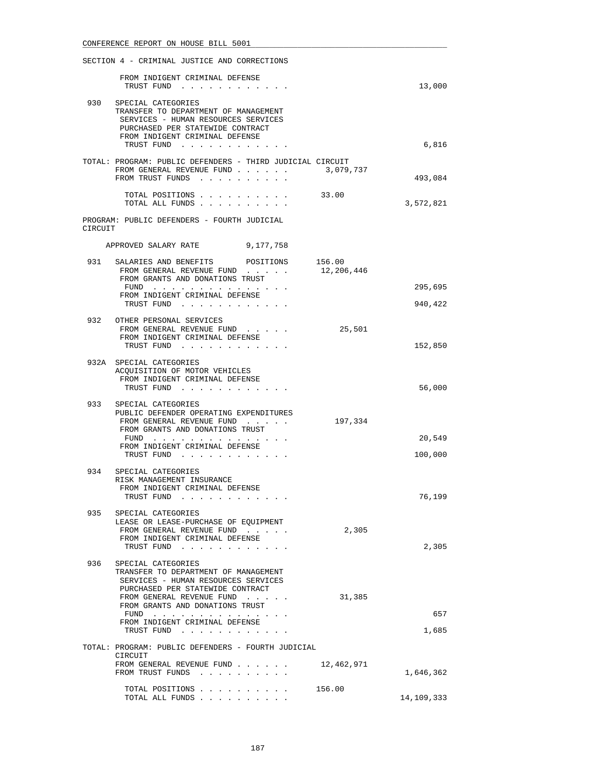|         | SECTION 4 - CRIMINAL JUSTICE AND CORRECTIONS                                                                                                                                                                  |                              |
|---------|---------------------------------------------------------------------------------------------------------------------------------------------------------------------------------------------------------------|------------------------------|
|         | FROM INDIGENT CRIMINAL DEFENSE<br>TRUST FUND                                                                                                                                                                  | 13,000                       |
|         | 930 SPECIAL CATEGORIES<br>TRANSFER TO DEPARTMENT OF MANAGEMENT<br>SERVICES - HUMAN RESOURCES SERVICES<br>PURCHASED PER STATEWIDE CONTRACT<br>FROM INDIGENT CRIMINAL DEFENSE<br>TRUST FUND                     | 6,816                        |
|         | TOTAL: PROGRAM: PUBLIC DEFENDERS - THIRD JUDICIAL CIRCUIT<br>FROM GENERAL REVENUE FUND 3,079,737<br>FROM TRUST FUNDS                                                                                          | 493,084                      |
|         | TOTAL POSITIONS 33.00<br>TOTAL ALL FUNDS                                                                                                                                                                      | 3,572,821                    |
| CIRCUIT | PROGRAM: PUBLIC DEFENDERS - FOURTH JUDICIAL                                                                                                                                                                   |                              |
|         | APPROVED SALARY RATE 9,177,758                                                                                                                                                                                |                              |
|         | 931 SALARIES AND BENEFITS POSITIONS 156.00<br>12,206,446<br>FROM GENERAL REVENUE FUND<br>FROM GRANTS AND DONATIONS TRUST                                                                                      |                              |
|         | FUND<br>FROM INDIGENT CRIMINAL DEFENSE                                                                                                                                                                        | 295,695                      |
|         | TRUST FUND                                                                                                                                                                                                    | 940,422                      |
|         | 932 OTHER PERSONAL SERVICES<br>FROM GENERAL REVENUE FUND<br>FROM INDIGENT CRIMINAL DEFENSE<br>TRUST FUND                                                                                                      | 25,501<br>152,850            |
|         | 932A SPECIAL CATEGORIES<br>ACQUISITION OF MOTOR VEHICLES<br>FROM INDIGENT CRIMINAL DEFENSE<br>TRUST FUND                                                                                                      | 56,000                       |
| 933     | SPECIAL CATEGORIES<br>PUBLIC DEFENDER OPERATING EXPENDITURES<br>FROM GENERAL REVENUE FUND<br>FROM GRANTS AND DONATIONS TRUST<br>FUND<br>FROM INDIGENT CRIMINAL DEFENSE<br>TRUST FUND                          | 197,334<br>20,549<br>100,000 |
|         | 934 SPECIAL CATEGORIES<br>RISK MANAGEMENT INSURANCE<br>FROM INDIGENT CRIMINAL DEFENSE<br>TRUST FUND                                                                                                           | 76,199                       |
| 935     | SPECIAL CATEGORIES<br>LEASE OR LEASE-PURCHASE OF EQUIPMENT<br>FROM GENERAL REVENUE FUND<br>FROM INDIGENT CRIMINAL DEFENSE<br>TRUST FUND                                                                       | 2,305<br>2,305               |
| 936     | SPECIAL CATEGORIES<br>TRANSFER TO DEPARTMENT OF MANAGEMENT<br>SERVICES - HUMAN RESOURCES SERVICES<br>PURCHASED PER STATEWIDE CONTRACT<br>FROM GENERAL REVENUE FUND<br>FROM GRANTS AND DONATIONS TRUST<br>FUND | 31,385<br>657                |
|         | FROM INDIGENT CRIMINAL DEFENSE<br>TRUST FUND                                                                                                                                                                  | 1,685                        |
|         | TOTAL: PROGRAM: PUBLIC DEFENDERS - FOURTH JUDICIAL<br>CIRCUIT                                                                                                                                                 |                              |
|         | FROM GENERAL REVENUE FUND $\ldots$ 12,462,971<br>FROM TRUST FUNDS                                                                                                                                             | 1,646,362                    |
|         | TOTAL POSITIONS<br>156.00<br>TOTAL ALL FUNDS                                                                                                                                                                  | 14,109,333                   |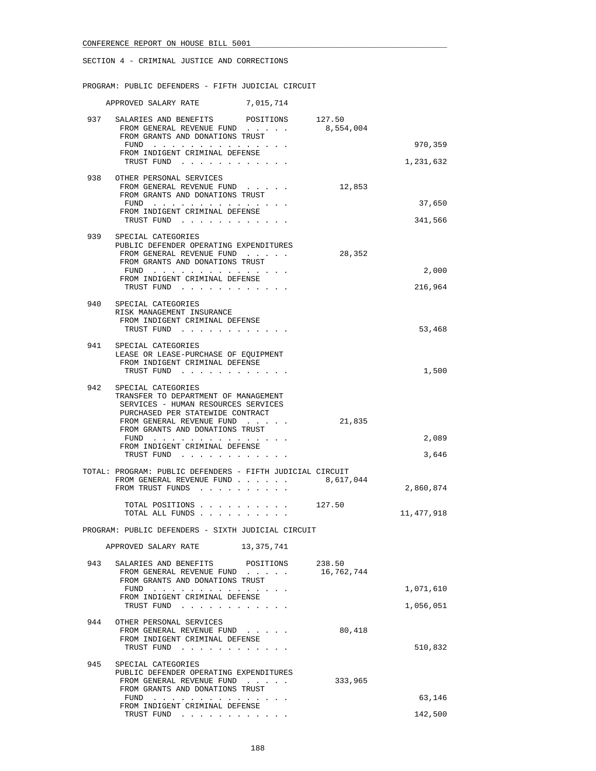PROGRAM: PUBLIC DEFENDERS - FIFTH JUDICIAL CIRCUIT

|     | APPROVED SALARY RATE<br>7,015,714                                                                                                        |            |              |
|-----|------------------------------------------------------------------------------------------------------------------------------------------|------------|--------------|
|     | 937 SALARIES AND BENEFITS POSITIONS 127.50<br>FROM GENERAL REVENUE FUND<br>FROM GRANTS AND DONATIONS TRUST                               | 8,554,004  |              |
|     | FUND                                                                                                                                     |            | 970,359      |
|     | FROM INDIGENT CRIMINAL DEFENSE<br>TRUST FUND                                                                                             |            | 1,231,632    |
| 938 | OTHER PERSONAL SERVICES<br>FROM GENERAL REVENUE FUND<br>FROM GRANTS AND DONATIONS TRUST                                                  | 12,853     |              |
|     | FUND<br>FROM INDIGENT CRIMINAL DEFENSE                                                                                                   |            | 37,650       |
|     | TRUST FUND                                                                                                                               |            | 341,566      |
|     | 939 SPECIAL CATEGORIES<br>PUBLIC DEFENDER OPERATING EXPENDITURES<br>FROM GENERAL REVENUE FUND<br>FROM GRANTS AND DONATIONS TRUST<br>FUND | 28,352     | 2,000        |
|     | FROM INDIGENT CRIMINAL DEFENSE<br>TRUST FUND                                                                                             |            | 216,964      |
|     |                                                                                                                                          |            |              |
| 940 | SPECIAL CATEGORIES<br>RISK MANAGEMENT INSURANCE<br>FROM INDIGENT CRIMINAL DEFENSE<br>TRUST FUND                                          |            | 53,468       |
| 941 | SPECIAL CATEGORIES<br>LEASE OR LEASE-PURCHASE OF EQUIPMENT<br>FROM INDIGENT CRIMINAL DEFENSE                                             |            |              |
|     | TRUST FUND                                                                                                                               |            | 1,500        |
| 942 | SPECIAL CATEGORIES<br>TRANSFER TO DEPARTMENT OF MANAGEMENT<br>SERVICES - HUMAN RESOURCES SERVICES<br>PURCHASED PER STATEWIDE CONTRACT    |            |              |
|     | FROM GENERAL REVENUE FUND<br>FROM GRANTS AND DONATIONS TRUST                                                                             | 21,835     |              |
|     | FUND<br>FROM INDIGENT CRIMINAL DEFENSE                                                                                                   |            | 2,089        |
|     | TRUST FUND                                                                                                                               |            | 3,646        |
|     | TOTAL: PROGRAM: PUBLIC DEFENDERS - FIFTH JUDICIAL CIRCUIT<br>FROM GENERAL REVENUE FUND<br>FROM TRUST FUNDS                               | 8,617,044  | 2,860,874    |
|     | TOTAL POSITIONS 127.50<br>TOTAL ALL FUNDS                                                                                                |            | 11, 477, 918 |
|     | PROGRAM: PUBLIC DEFENDERS - SIXTH JUDICIAL CIRCUIT                                                                                       |            |              |
|     | APPROVED SALARY RATE 13,375,741                                                                                                          |            |              |
| 943 | SALARIES AND BENEFITS POSITIONS 238.50<br>FROM GENERAL REVENUE FUND<br>FROM GRANTS AND DONATIONS TRUST                                   | 16,762,744 |              |
|     | FUND                                                                                                                                     |            | 1,071,610    |
|     | FROM INDIGENT CRIMINAL DEFENSE<br>TRUST FUND                                                                                             |            | 1,056,051    |
| 944 | OTHER PERSONAL SERVICES<br>FROM GENERAL REVENUE FUND<br>FROM INDIGENT CRIMINAL DEFENSE<br>TRUST FUND                                     | 80,418     | 510,832      |
| 945 | SPECIAL CATEGORIES                                                                                                                       |            |              |
|     | PUBLIC DEFENDER OPERATING EXPENDITURES<br>FROM GENERAL REVENUE FUND<br>FROM GRANTS AND DONATIONS TRUST                                   | 333,965    |              |
|     | FUND<br>FROM INDIGENT CRIMINAL DEFENSE                                                                                                   |            | 63,146       |
|     | TRUST FUND                                                                                                                               |            | 142,500      |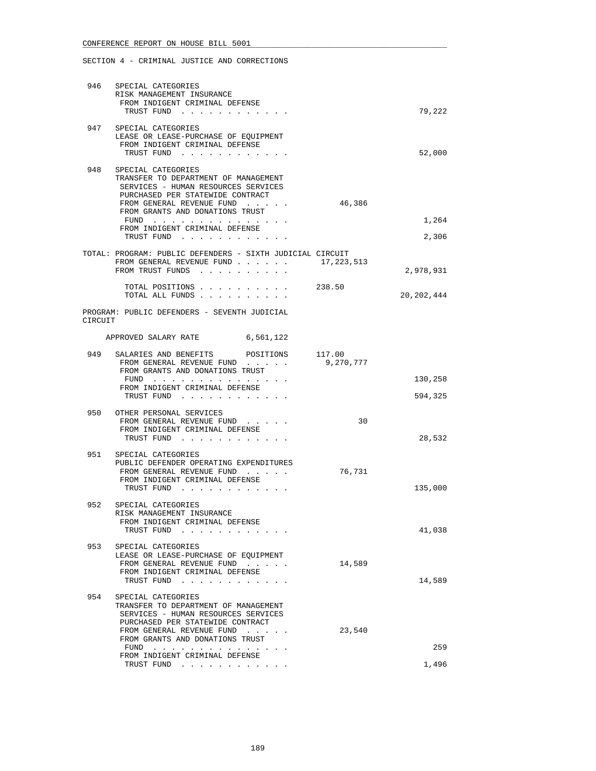|         | 946 SPECIAL CATEGORIES<br>RISK MANAGEMENT INSURANCE<br>FROM INDIGENT CRIMINAL DEFENSE<br>TRUST FUND                                                                                                                                                           |            | 79,222             |
|---------|---------------------------------------------------------------------------------------------------------------------------------------------------------------------------------------------------------------------------------------------------------------|------------|--------------------|
|         | 947 SPECIAL CATEGORIES<br>LEASE OR LEASE-PURCHASE OF EQUIPMENT<br>FROM INDIGENT CRIMINAL DEFENSE<br>TRUST FUND                                                                                                                                                |            | 52,000             |
| 948     | SPECIAL CATEGORIES<br>TRANSFER TO DEPARTMENT OF MANAGEMENT<br>SERVICES - HUMAN RESOURCES SERVICES<br>PURCHASED PER STATEWIDE CONTRACT<br>FROM GENERAL REVENUE FUND<br>FROM GRANTS AND DONATIONS TRUST<br>FUND<br>FROM INDIGENT CRIMINAL DEFENSE<br>TRUST FUND | 46,386     | 1,264<br>2,306     |
|         | TOTAL: PROGRAM: PUBLIC DEFENDERS - SIXTH JUDICIAL CIRCUIT<br>FROM GENERAL REVENUE FUND<br>FROM TRUST FUNDS                                                                                                                                                    | 17,223,513 | 2,978,931          |
| CIRCUIT | TOTAL POSITIONS 238.50<br>TOTAL ALL FUNDS<br>PROGRAM: PUBLIC DEFENDERS - SEVENTH JUDICIAL                                                                                                                                                                     |            | 20, 202, 444       |
|         | APPROVED SALARY RATE 6,561,122                                                                                                                                                                                                                                |            |                    |
| 949     | SALARIES AND BENEFITS POSITIONS 117.00<br>FROM GENERAL REVENUE FUND<br>FROM GRANTS AND DONATIONS TRUST<br>FUND<br>FROM INDIGENT CRIMINAL DEFENSE<br>TRUST FUND                                                                                                | 9,270,777  | 130,258<br>594,325 |
| 950     | OTHER PERSONAL SERVICES<br>FROM GENERAL REVENUE FUND<br>FROM INDIGENT CRIMINAL DEFENSE<br>TRUST FUND                                                                                                                                                          | 30         | 28,532             |
|         | 951 SPECIAL CATEGORIES<br>PUBLIC DEFENDER OPERATING EXPENDITURES<br>FROM GENERAL REVENUE FUND<br>FROM INDIGENT CRIMINAL DEFENSE<br>TRUST FUND                                                                                                                 | 76,731     | 135,000            |
| 952     | SPECIAL CATEGORIES<br>RISK MANAGEMENT INSURANCE<br>FROM INDIGENT CRIMINAL DEFENSE<br>TRUST FUND                                                                                                                                                               |            | 41,038             |
| 953     | SPECIAL CATEGORIES<br>LEASE OR LEASE-PURCHASE OF EQUIPMENT<br>FROM GENERAL REVENUE FUND<br>FROM INDIGENT CRIMINAL DEFENSE<br>TRUST FUND                                                                                                                       | 14,589     | 14,589             |
| 954     | SPECIAL CATEGORIES<br>TRANSFER TO DEPARTMENT OF MANAGEMENT<br>SERVICES - HUMAN RESOURCES SERVICES<br>PURCHASED PER STATEWIDE CONTRACT<br>FROM GENERAL REVENUE FUND<br>FROM GRANTS AND DONATIONS TRUST<br>FUND<br>FROM INDIGENT CRIMINAL DEFENSE<br>TRUST FUND | 23,540     | 259<br>1,496       |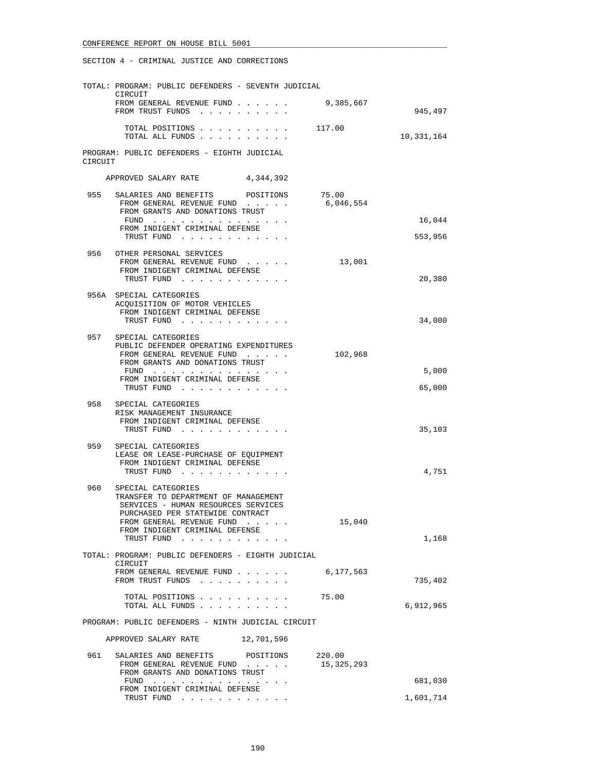|         | TOTAL: PROGRAM: PUBLIC DEFENDERS - SEVENTH JUDICIAL                                                                                      |                      |                   |
|---------|------------------------------------------------------------------------------------------------------------------------------------------|----------------------|-------------------|
|         | CIRCUIT<br>FROM GENERAL REVENUE FUND<br>FROM TRUST FUNDS                                                                                 | 9,385,667            | 945,497           |
|         | TOTAL POSITIONS<br>TOTAL ALL FUNDS                                                                                                       | 117.00               | 10,331,164        |
| CIRCUIT | PROGRAM: PUBLIC DEFENDERS - EIGHTH JUDICIAL                                                                                              |                      |                   |
|         | APPROVED SALARY RATE 4,344,392                                                                                                           |                      |                   |
|         | 955 SALARIES AND BENEFITS POSITIONS<br>FROM GENERAL REVENUE FUND 6,046,554<br>FROM GRANTS AND DONATIONS TRUST                            | 75.00                |                   |
|         | FUND<br>FROM INDIGENT CRIMINAL DEFENSE<br>TRUST FUND                                                                                     |                      | 16,044<br>553,956 |
|         | 956 OTHER PERSONAL SERVICES<br>FROM GENERAL REVENUE FUND<br>FROM INDIGENT CRIMINAL DEFENSE<br>TRUST FUND                                 | 13,001               | 20,380            |
|         | 956A SPECIAL CATEGORIES<br>ACQUISITION OF MOTOR VEHICLES<br>FROM INDIGENT CRIMINAL DEFENSE<br>TRUST FUND                                 |                      | 34,000            |
|         |                                                                                                                                          |                      |                   |
|         | 957 SPECIAL CATEGORIES<br>PUBLIC DEFENDER OPERATING EXPENDITURES<br>FROM GENERAL REVENUE FUND<br>FROM GRANTS AND DONATIONS TRUST<br>FUND | 102,968              | 5,000             |
|         | FROM INDIGENT CRIMINAL DEFENSE                                                                                                           |                      |                   |
|         | TRUST FUND                                                                                                                               |                      | 65,000            |
| 958     | SPECIAL CATEGORIES<br>RISK MANAGEMENT INSURANCE<br>FROM INDIGENT CRIMINAL DEFENSE<br>TRUST FUND                                          |                      | 35,103            |
| 959     | SPECIAL CATEGORIES<br>LEASE OR LEASE-PURCHASE OF EQUIPMENT<br>FROM INDIGENT CRIMINAL DEFENSE<br>TRUST FUND                               |                      | 4,751             |
| 960     | SPECIAL CATEGORIES<br>TRANSFER TO DEPARTMENT OF MANAGEMENT<br>SERVICES - HUMAN RESOURCES SERVICES<br>PURCHASED PER STATEWIDE CONTRACT    |                      |                   |
|         | FROM GENERAL REVENUE FUND<br>FROM INDIGENT CRIMINAL DEFENSE<br>TRUST FUND                                                                | 15,040               | 1,168             |
|         | TOTAL: PROGRAM: PUBLIC DEFENDERS - EIGHTH JUDICIAL                                                                                       |                      |                   |
|         | CIRCUIT<br>FROM GENERAL REVENUE FUND<br>FROM TRUST FUNDS                                                                                 | 6,177,563            | 735,402           |
|         | TOTAL POSITIONS<br>TOTAL ALL FUNDS                                                                                                       | 75.00                | 6,912,965         |
|         | PROGRAM: PUBLIC DEFENDERS - NINTH JUDICIAL CIRCUIT                                                                                       |                      |                   |
|         | 12,701,596<br>APPROVED SALARY RATE                                                                                                       |                      |                   |
| 961     | SALARIES AND BENEFITS<br>POSITIONS<br>FROM GENERAL REVENUE FUND<br>FROM GRANTS AND DONATIONS TRUST                                       | 220.00<br>15,325,293 |                   |
|         | FUND<br>FROM INDIGENT CRIMINAL DEFENSE                                                                                                   |                      | 681,030           |
|         | TRUST FUND                                                                                                                               |                      | 1,601,714         |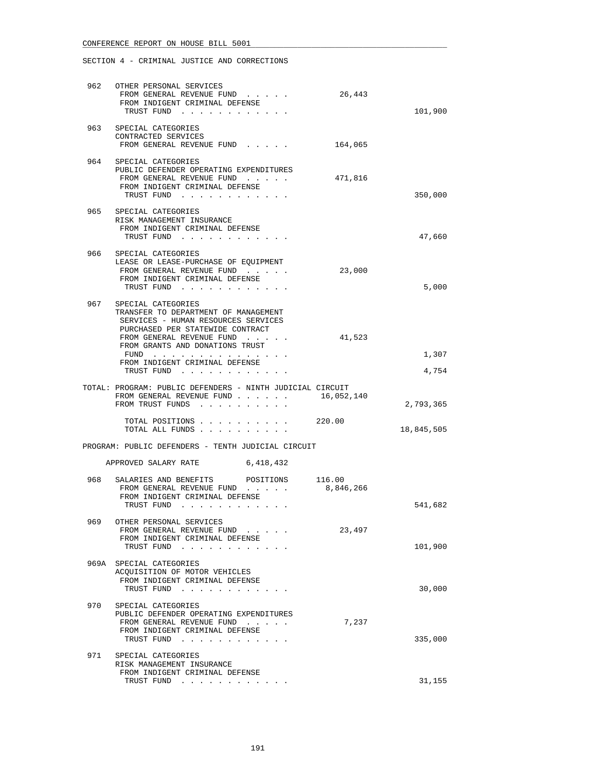|       | 962 OTHER PERSONAL SERVICES<br>FROM GENERAL REVENUE FUND<br>FROM INDIGENT CRIMINAL DEFENSE<br>TRUST FUND                                      | 26,443              | 101,900        |
|-------|-----------------------------------------------------------------------------------------------------------------------------------------------|---------------------|----------------|
| 963   | SPECIAL CATEGORIES<br>CONTRACTED SERVICES<br>FROM GENERAL REVENUE FUND                                                                        | 164,065             |                |
|       | 964 SPECIAL CATEGORIES<br>PUBLIC DEFENDER OPERATING EXPENDITURES<br>FROM GENERAL REVENUE FUND<br>FROM INDIGENT CRIMINAL DEFENSE<br>TRUST FUND | 471,816             | 350,000        |
| 965   | SPECIAL CATEGORIES<br>RISK MANAGEMENT INSURANCE<br>FROM INDIGENT CRIMINAL DEFENSE<br>TRUST FUND                                               |                     | 47,660         |
| 966 — | SPECIAL CATEGORIES<br>LEASE OR LEASE-PURCHASE OF EQUIPMENT<br>FROM GENERAL REVENUE FUND<br>FROM INDIGENT CRIMINAL DEFENSE<br>TRUST FUND       | 23,000              | 5,000          |
| 967   | SPECIAL CATEGORIES<br>TRANSFER TO DEPARTMENT OF MANAGEMENT<br>SERVICES - HUMAN RESOURCES SERVICES<br>PURCHASED PER STATEWIDE CONTRACT         |                     |                |
|       | FROM GENERAL REVENUE FUND<br>FROM GRANTS AND DONATIONS TRUST<br>FUND<br>FROM INDIGENT CRIMINAL DEFENSE<br>TRUST FUND                          | 41,523              | 1,307<br>4,754 |
|       | TOTAL: PROGRAM: PUBLIC DEFENDERS - NINTH JUDICIAL CIRCUIT<br>FROM GENERAL REVENUE FUND<br>FROM TRUST FUNDS                                    | 16,052,140          | 2,793,365      |
|       | $\cdot$ $\cdot$ $\cdot$ $\cdot$ $\cdot$ $\cdot$ $\cdot$ 220.00<br>TOTAL POSITIONS<br>TOTAL ALL FUNDS                                          |                     | 18,845,505     |
|       | PROGRAM: PUBLIC DEFENDERS - TENTH JUDICIAL CIRCUIT                                                                                            |                     |                |
|       | APPROVED SALARY RATE 6,418,432                                                                                                                |                     |                |
| 968   | SALARIES AND BENEFITS<br>POSITIONS<br>FROM GENERAL REVENUE FUND<br>FROM INDIGENT CRIMINAL DEFENSE<br>TRUST FUND                               | 116.00<br>8,846,266 | 541,682        |
| 969   | OTHER PERSONAL SERVICES<br>FROM GENERAL REVENUE FUND<br>FROM INDIGENT CRIMINAL DEFENSE<br>TRUST FUND                                          | 23,497              | 101,900        |
|       | 969A SPECIAL CATEGORIES<br>ACQUISITION OF MOTOR VEHICLES<br>FROM INDIGENT CRIMINAL DEFENSE<br>TRUST FUND                                      |                     | 30,000         |
| 970   | SPECIAL CATEGORIES<br>PUBLIC DEFENDER OPERATING EXPENDITURES<br>FROM GENERAL REVENUE FUND<br>FROM INDIGENT CRIMINAL DEFENSE<br>TRUST FUND     | 7,237               | 335,000        |
| 971   | SPECIAL CATEGORIES<br>RISK MANAGEMENT INSURANCE<br>FROM INDIGENT CRIMINAL DEFENSE<br>TRUST FUND                                               |                     | 31,155         |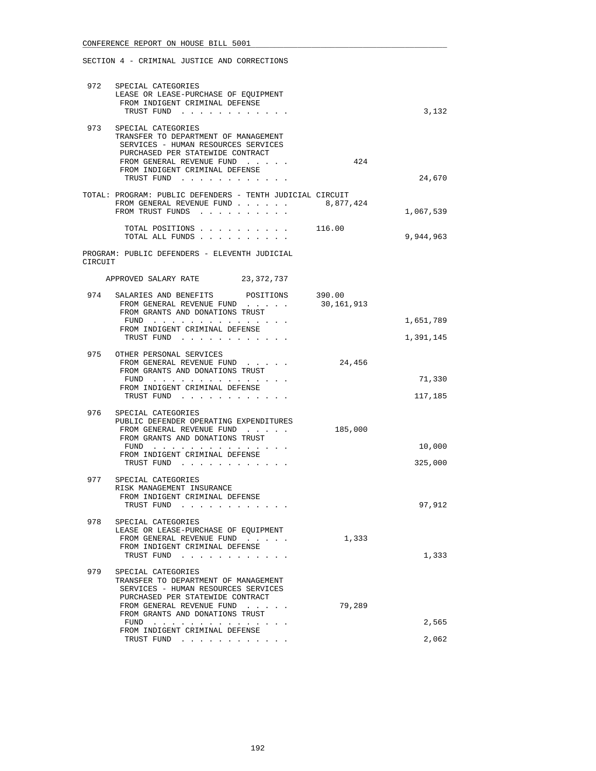|         | 972 SPECIAL CATEGORIES<br>LEASE OR LEASE-PURCHASE OF EQUIPMENT<br>FROM INDIGENT CRIMINAL DEFENSE<br>TRUST FUND                                                                                                                              |            | 3,132             |
|---------|---------------------------------------------------------------------------------------------------------------------------------------------------------------------------------------------------------------------------------------------|------------|-------------------|
| 973     | SPECIAL CATEGORIES<br>TRANSFER TO DEPARTMENT OF MANAGEMENT<br>SERVICES - HUMAN RESOURCES SERVICES<br>PURCHASED PER STATEWIDE CONTRACT<br>FROM GENERAL REVENUE FUND<br>FROM INDIGENT CRIMINAL DEFENSE<br>TRUST FUND                          | 424        | 24,670            |
|         | TOTAL: PROGRAM: PUBLIC DEFENDERS - TENTH JUDICIAL CIRCUIT                                                                                                                                                                                   |            |                   |
|         | FROM GENERAL REVENUE FUND<br>FROM TRUST FUNDS                                                                                                                                                                                               | 8,877,424  | 1,067,539         |
|         | TOTAL POSITIONS 116.00<br>TOTAL ALL FUNDS                                                                                                                                                                                                   |            | 9,944,963         |
| CIRCUIT | PROGRAM: PUBLIC DEFENDERS - ELEVENTH JUDICIAL                                                                                                                                                                                               |            |                   |
|         | APPROVED SALARY RATE 23,372,737                                                                                                                                                                                                             |            |                   |
|         | 974 SALARIES AND BENEFITS POSITIONS 390.00<br>FROM GENERAL REVENUE FUND<br>FROM GRANTS AND DONATIONS TRUST                                                                                                                                  | 30,161,913 |                   |
|         | FUND<br>FROM INDIGENT CRIMINAL DEFENSE                                                                                                                                                                                                      |            | 1,651,789         |
|         | TRUST FUND                                                                                                                                                                                                                                  |            | 1,391,145         |
|         | 975 OTHER PERSONAL SERVICES<br>FROM GENERAL REVENUE FUND<br>FROM GRANTS AND DONATIONS TRUST                                                                                                                                                 | 24,456     |                   |
|         | FUND<br>FROM INDIGENT CRIMINAL DEFENSE<br>TRUST FUND                                                                                                                                                                                        |            | 71,330<br>117,185 |
| 976     | SPECIAL CATEGORIES<br>PUBLIC DEFENDER OPERATING EXPENDITURES<br>FROM GENERAL REVENUE FUND<br>FROM GRANTS AND DONATIONS TRUST<br>FUND<br>FROM INDIGENT CRIMINAL DEFENSE                                                                      | 185,000    | 10,000            |
|         | TRUST FUND                                                                                                                                                                                                                                  |            | 325,000           |
|         | 977 SPECIAL CATEGORIES<br>RISK MANAGEMENT INSURANCE<br>FROM INDIGENT CRIMINAL DEFENSE<br>TRUST FUND                                                                                                                                         |            | 97,912            |
| 978     | SPECIAL CATEGORIES<br>LEASE OR LEASE-PURCHASE OF EOUIPMENT<br>FROM GENERAL REVENUE FUND<br>FROM INDIGENT CRIMINAL DEFENSE<br>TRUST FUND                                                                                                     | 1,333      | 1,333             |
| 979     | SPECIAL CATEGORIES<br>TRANSFER TO DEPARTMENT OF MANAGEMENT<br>SERVICES - HUMAN RESOURCES SERVICES<br>PURCHASED PER STATEWIDE CONTRACT<br>FROM GENERAL REVENUE FUND<br>$\sim$ $\sim$ $\sim$ $\sim$ $\sim$<br>FROM GRANTS AND DONATIONS TRUST | 79,289     |                   |
|         | $FUND$<br>FROM INDIGENT CRIMINAL DEFENSE                                                                                                                                                                                                    |            | 2,565             |
|         | TRUST FUND                                                                                                                                                                                                                                  |            | 2,062             |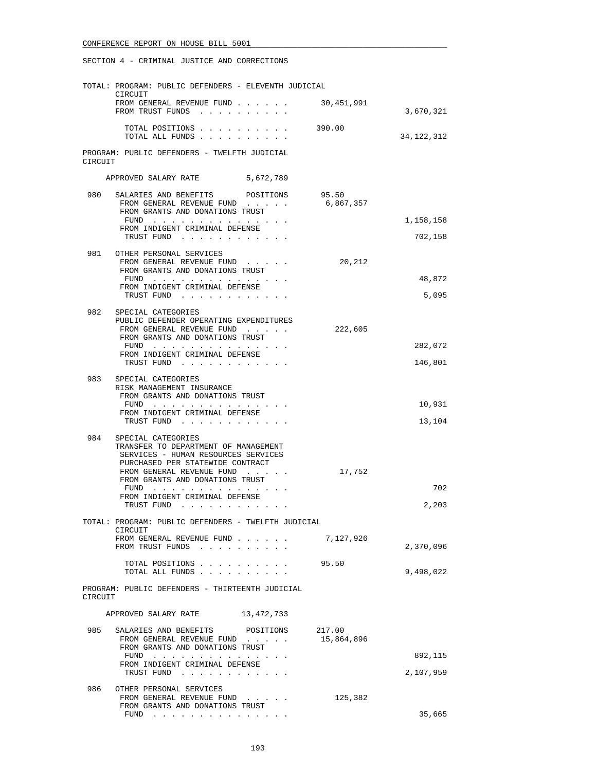|         | TOTAL: PROGRAM: PUBLIC DEFENDERS - ELEVENTH JUDICIAL<br>CIRCUIT                                                                       |                      |                      |
|---------|---------------------------------------------------------------------------------------------------------------------------------------|----------------------|----------------------|
|         | FROM GENERAL REVENUE FUND<br>FROM TRUST FUNDS                                                                                         | 30,451,991           | 3,670,321            |
|         | TOTAL POSITIONS<br>TOTAL ALL FUNDS                                                                                                    | 390.00               | 34, 122, 312         |
| CIRCUIT | PROGRAM: PUBLIC DEFENDERS - TWELFTH JUDICIAL                                                                                          |                      |                      |
|         | APPROVED SALARY RATE 5,672,789                                                                                                        |                      |                      |
| 980     | SALARIES AND BENEFITS POSITIONS 95.50<br>FROM GENERAL REVENUE FUND<br>FROM GRANTS AND DONATIONS TRUST                                 | 6,867,357            |                      |
|         | FUND $\cdots$<br>FROM INDIGENT CRIMINAL DEFENSE<br>TRUST FUND                                                                         |                      | 1,158,158<br>702,158 |
|         | 981 OTHER PERSONAL SERVICES<br>FROM GENERAL REVENUE FUND<br>FROM GRANTS AND DONATIONS TRUST<br>FUND                                   | 20,212               | 48,872               |
|         | FROM INDIGENT CRIMINAL DEFENSE<br>TRUST FUND                                                                                          |                      | 5,095                |
| 982     | SPECIAL CATEGORIES                                                                                                                    |                      |                      |
|         | PUBLIC DEFENDER OPERATING EXPENDITURES<br>FROM GENERAL REVENUE FUND<br>FROM GRANTS AND DONATIONS TRUST                                | 222,605              |                      |
|         | FUND<br>FROM INDIGENT CRIMINAL DEFENSE                                                                                                |                      | 282,072              |
|         | TRUST FUND                                                                                                                            |                      | 146,801              |
| 983     | SPECIAL CATEGORIES<br>RISK MANAGEMENT INSURANCE<br>FROM GRANTS AND DONATIONS TRUST                                                    |                      |                      |
|         | FUND<br>FROM INDIGENT CRIMINAL DEFENSE                                                                                                |                      | 10,931               |
|         | TRUST FUND                                                                                                                            |                      | 13,104               |
| 984     | SPECIAL CATEGORIES<br>TRANSFER TO DEPARTMENT OF MANAGEMENT<br>SERVICES - HUMAN RESOURCES SERVICES<br>PURCHASED PER STATEWIDE CONTRACT |                      |                      |
|         | FROM GENERAL REVENUE FUND<br>FROM GRANTS AND DONATIONS TRUST                                                                          | 17,752               | 702                  |
|         | FROM INDIGENT CRIMINAL DEFENSE<br>TRUST FUND                                                                                          |                      | 2,203                |
|         | TOTAL: PROGRAM: PUBLIC DEFENDERS - TWELFTH JUDICIAL                                                                                   |                      |                      |
|         | CIRCUIT<br>FROM GENERAL REVENUE FUND<br>FROM TRUST FUNDS                                                                              | 7,127,926            | 2,370,096            |
|         | TOTAL POSITIONS<br>TOTAL ALL FUNDS                                                                                                    | 95.50                | 9,498,022            |
| CIRCUIT | PROGRAM: PUBLIC DEFENDERS - THIRTEENTH JUDICIAL                                                                                       |                      |                      |
|         | APPROVED SALARY RATE 13,472,733                                                                                                       |                      |                      |
| 985     | SALARIES AND BENEFITS POSITIONS<br>FROM GENERAL REVENUE FUND<br>FROM GRANTS AND DONATIONS TRUST                                       | 217.00<br>15,864,896 |                      |
|         | FUND<br>FROM INDIGENT CRIMINAL DEFENSE                                                                                                |                      | 892,115              |
|         | TRUST FUND                                                                                                                            |                      | 2,107,959            |
| 986     | OTHER PERSONAL SERVICES<br>FROM GENERAL REVENUE FUND<br>FROM GRANTS AND DONATIONS TRUST                                               | 125,382              | 35,665               |
|         | FUND $\cdots$                                                                                                                         |                      |                      |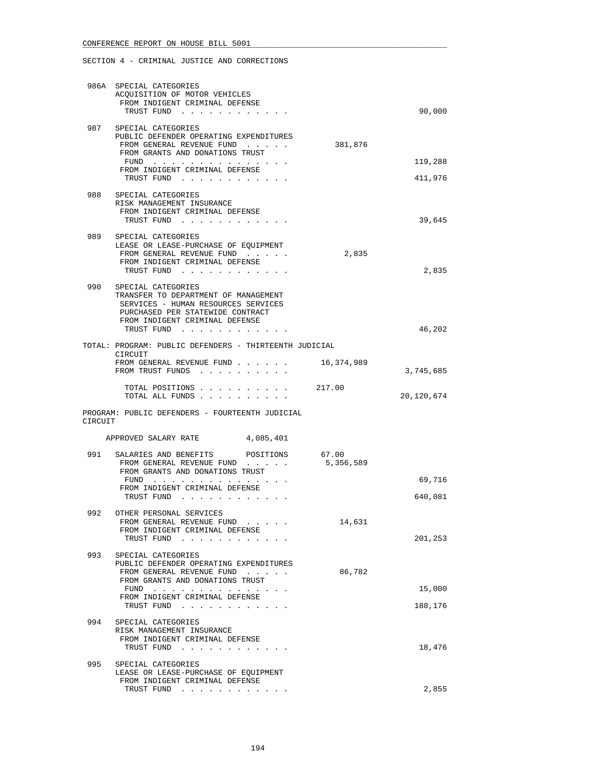|         | 986A SPECIAL CATEGORIES<br>ACQUISITION OF MOTOR VEHICLES<br>FROM INDIGENT CRIMINAL DEFENSE<br>TRUST FUND                                                                                 |                    | 90,000             |
|---------|------------------------------------------------------------------------------------------------------------------------------------------------------------------------------------------|--------------------|--------------------|
|         | 987 SPECIAL CATEGORIES<br>PUBLIC DEFENDER OPERATING EXPENDITURES<br>FROM GENERAL REVENUE FUND<br>FROM GRANTS AND DONATIONS TRUST<br>FUND<br>FROM INDIGENT CRIMINAL DEFENSE<br>TRUST FUND | 381,876            | 119,288<br>411,976 |
|         | 988 SPECIAL CATEGORIES<br>RISK MANAGEMENT INSURANCE<br>FROM INDIGENT CRIMINAL DEFENSE<br>TRUST FUND                                                                                      |                    | 39,645             |
| 989     | SPECIAL CATEGORIES<br>LEASE OR LEASE-PURCHASE OF EQUIPMENT<br>FROM GENERAL REVENUE FUND<br>FROM INDIGENT CRIMINAL DEFENSE<br>TRUST FUND                                                  | 2,835              | 2,835              |
| 990     | SPECIAL CATEGORIES<br>TRANSFER TO DEPARTMENT OF MANAGEMENT<br>SERVICES - HUMAN RESOURCES SERVICES<br>PURCHASED PER STATEWIDE CONTRACT<br>FROM INDIGENT CRIMINAL DEFENSE                  |                    |                    |
|         | TRUST FUND                                                                                                                                                                               |                    | 46,202             |
|         | TOTAL: PROGRAM: PUBLIC DEFENDERS - THIRTEENTH JUDICIAL<br>CIRCUIT<br>FROM GENERAL REVENUE FUND<br>FROM TRUST FUNDS                                                                       | 16,374,989         | 3,745,685          |
|         | TOTAL POSITIONS 217.00<br>TOTAL ALL FUNDS                                                                                                                                                |                    | 20,120,674         |
| CIRCUIT | PROGRAM: PUBLIC DEFENDERS - FOURTEENTH JUDICIAL                                                                                                                                          |                    |                    |
|         |                                                                                                                                                                                          |                    |                    |
|         | APPROVED SALARY RATE 4,085,401                                                                                                                                                           |                    |                    |
| 991     | SALARIES AND BENEFITS<br>POSITIONS<br>FROM GENERAL REVENUE FUND<br>FROM GRANTS AND DONATIONS TRUST<br>FUND<br>FROM INDIGENT CRIMINAL DEFENSE<br>TRUST FUND                               | 67.00<br>5,356,589 | 69,716<br>640,081  |
| 992     | OTHER PERSONAL SERVICES<br>FROM GENERAL REVENUE FUND<br>FROM INDIGENT CRIMINAL DEFENSE<br>TRUST FUND                                                                                     | 14,631             | 201,253            |
| 993     | SPECIAL CATEGORIES<br>PUBLIC DEFENDER OPERATING EXPENDITURES<br>FROM GENERAL REVENUE FUND<br>FROM GRANTS AND DONATIONS TRUST<br>FUND<br>FROM INDIGENT CRIMINAL DEFENSE<br>TRUST FUND     | 86,782             | 15,000<br>188,176  |
| 994     | SPECIAL CATEGORIES<br>RISK MANAGEMENT INSURANCE<br>FROM INDIGENT CRIMINAL DEFENSE<br>TRUST FUND                                                                                          |                    | 18,476             |
| 995     | SPECIAL CATEGORIES<br>LEASE OR LEASE-PURCHASE OF EQUIPMENT<br>FROM INDIGENT CRIMINAL DEFENSE<br>TRUST FUND                                                                               |                    | 2,855              |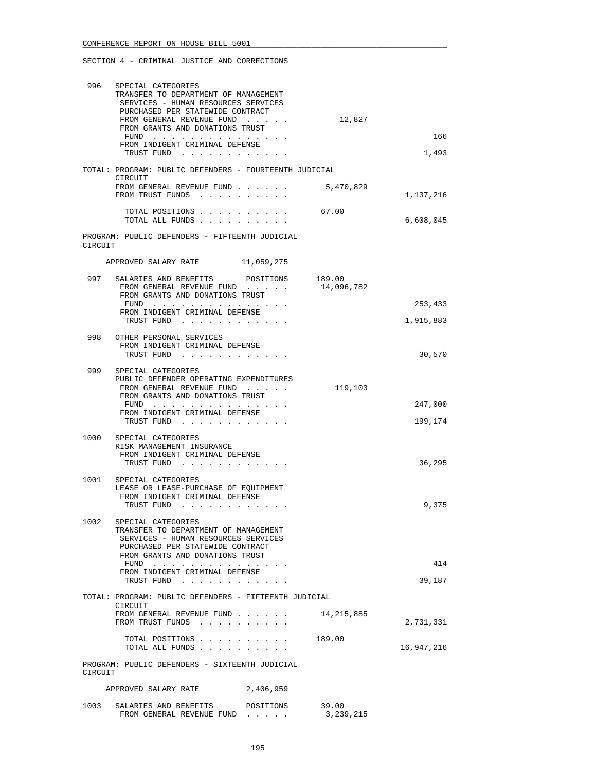| 996     | SPECIAL CATEGORIES<br>TRANSFER TO DEPARTMENT OF MANAGEMENT<br>SERVICES - HUMAN RESOURCES SERVICES<br>PURCHASED PER STATEWIDE CONTRACT<br>FROM GENERAL REVENUE FUND<br>FROM GRANTS AND DONATIONS TRUST<br>FUND $\cdots$<br>FROM INDIGENT CRIMINAL DEFENSE | 12,827               | 166        |
|---------|----------------------------------------------------------------------------------------------------------------------------------------------------------------------------------------------------------------------------------------------------------|----------------------|------------|
|         | TRUST FUND                                                                                                                                                                                                                                               |                      | 1,493      |
|         | TOTAL: PROGRAM: PUBLIC DEFENDERS - FOURTEENTH JUDICIAL<br>CIRCUIT                                                                                                                                                                                        |                      |            |
|         | FROM GENERAL REVENUE FUND<br>FROM TRUST FUNDS                                                                                                                                                                                                            | 5,470,829            | 1,137,216  |
|         | TOTAL POSITIONS 67.00<br>TOTAL ALL FUNDS                                                                                                                                                                                                                 |                      | 6,608,045  |
| CIRCUIT | PROGRAM: PUBLIC DEFENDERS - FIFTEENTH JUDICIAL                                                                                                                                                                                                           |                      |            |
|         | APPROVED SALARY RATE<br>11,059,275                                                                                                                                                                                                                       |                      |            |
| 997     | SALARIES AND BENEFITS POSITIONS 189.00<br>FROM GENERAL REVENUE FUND<br>FROM GRANTS AND DONATIONS TRUST                                                                                                                                                   | 14,096,782           |            |
|         | FUND<br>FROM INDIGENT CRIMINAL DEFENSE                                                                                                                                                                                                                   |                      | 253,433    |
|         | TRUST FUND                                                                                                                                                                                                                                               |                      | 1,915,883  |
|         | 998 OTHER PERSONAL SERVICES<br>FROM INDIGENT CRIMINAL DEFENSE<br>TRUST FUND                                                                                                                                                                              |                      | 30,570     |
| 999     | SPECIAL CATEGORIES<br>PUBLIC DEFENDER OPERATING EXPENDITURES<br>FROM GENERAL REVENUE FUND<br>FROM GRANTS AND DONATIONS TRUST                                                                                                                             | 119,103              |            |
|         | FUND $\cdots$ , $\cdots$ , $\cdots$ , $\cdots$<br>FROM INDIGENT CRIMINAL DEFENSE                                                                                                                                                                         |                      | 247,000    |
|         | TRUST FUND                                                                                                                                                                                                                                               |                      | 199,174    |
|         | 1000 SPECIAL CATEGORIES<br>RISK MANAGEMENT INSURANCE<br>FROM INDIGENT CRIMINAL DEFENSE<br>TRUST FUND                                                                                                                                                     |                      | 36,295     |
| 1001    | SPECIAL CATEGORIES<br>LEASE OR LEASE-PURCHASE OF EOUIPMENT<br>FROM INDIGENT CRIMINAL DEFENSE<br>TRUST FUND                                                                                                                                               |                      | 9,375      |
| 1002    | SPECIAL CATEGORIES<br>TRANSFER TO DEPARTMENT OF MANAGEMENT<br>SERVICES - HUMAN RESOURCES SERVICES<br>PURCHASED PER STATEWIDE CONTRACT<br>FROM GRANTS AND DONATIONS TRUST<br>$FUND$<br>FROM INDIGENT CRIMINAL DEFENSE                                     |                      | 414        |
|         | TRUST FUND                                                                                                                                                                                                                                               |                      | 39,187     |
|         | TOTAL: PROGRAM: PUBLIC DEFENDERS - FIFTEENTH JUDICIAL<br>CIRCUIT                                                                                                                                                                                         |                      |            |
|         | FROM GENERAL REVENUE FUND<br>FROM TRUST FUNDS                                                                                                                                                                                                            | 14,215,885           | 2,731,331  |
|         | TOTAL POSITIONS<br>TOTAL ALL FUNDS                                                                                                                                                                                                                       | 189.00               | 16,947,216 |
| CIRCUIT | PROGRAM: PUBLIC DEFENDERS - SIXTEENTH JUDICIAL                                                                                                                                                                                                           |                      |            |
|         | 2,406,959<br>APPROVED SALARY RATE                                                                                                                                                                                                                        |                      |            |
| 1003    | SALARIES AND BENEFITS<br>POSITIONS<br>FROM GENERAL REVENUE FUND                                                                                                                                                                                          | 39.00<br>3, 239, 215 |            |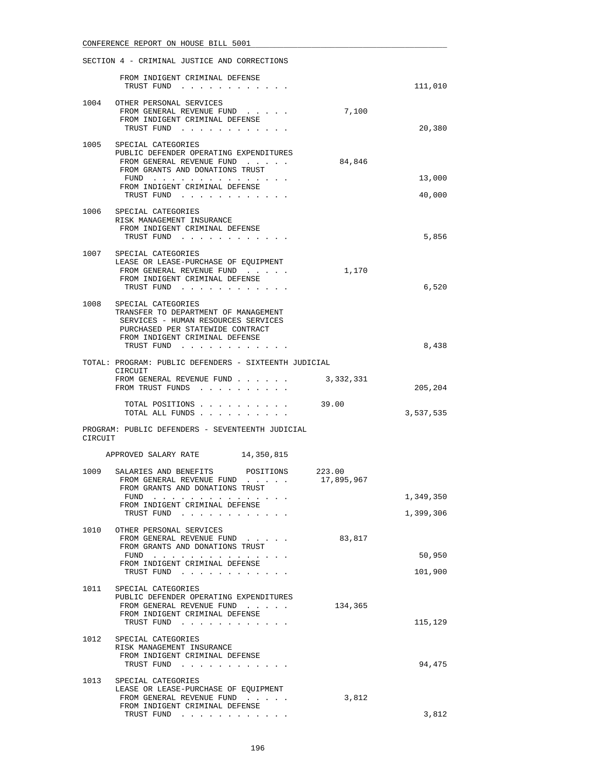|         | FROM INDIGENT CRIMINAL DEFENSE                                                                                                                                          |            |           |
|---------|-------------------------------------------------------------------------------------------------------------------------------------------------------------------------|------------|-----------|
|         | TRUST FUND                                                                                                                                                              |            | 111,010   |
|         | 1004 OTHER PERSONAL SERVICES<br>FROM GENERAL REVENUE FUND<br>FROM INDIGENT CRIMINAL DEFENSE<br>TRUST FUND                                                               | 7,100      | 20,380    |
| 1005    | SPECIAL CATEGORIES                                                                                                                                                      |            |           |
|         | PUBLIC DEFENDER OPERATING EXPENDITURES<br>FROM GENERAL REVENUE FUND<br>FROM GRANTS AND DONATIONS TRUST                                                                  | 84,846     |           |
|         | FUND<br>FROM INDIGENT CRIMINAL DEFENSE                                                                                                                                  |            | 13,000    |
|         | TRUST FUND                                                                                                                                                              |            | 40,000    |
| 1006    | SPECIAL CATEGORIES<br>RISK MANAGEMENT INSURANCE<br>FROM INDIGENT CRIMINAL DEFENSE<br>TRUST FUND                                                                         |            | 5,856     |
|         | 1007 SPECIAL CATEGORIES<br>LEASE OR LEASE-PURCHASE OF EOUIPMENT<br>FROM GENERAL REVENUE FUND<br>FROM INDIGENT CRIMINAL DEFENSE                                          | 1,170      | 6,520     |
|         | TRUST FUND                                                                                                                                                              |            |           |
| 1008    | SPECIAL CATEGORIES<br>TRANSFER TO DEPARTMENT OF MANAGEMENT<br>SERVICES - HUMAN RESOURCES SERVICES<br>PURCHASED PER STATEWIDE CONTRACT<br>FROM INDIGENT CRIMINAL DEFENSE |            |           |
|         | TRUST FUND                                                                                                                                                              |            | 8,438     |
|         | TOTAL: PROGRAM: PUBLIC DEFENDERS - SIXTEENTH JUDICIAL<br>CIRCUIT                                                                                                        |            |           |
|         | FROM GENERAL REVENUE FUND<br>FROM TRUST FUNDS                                                                                                                           | 3,332,331  | 205,204   |
|         | TOTAL POSITIONS<br>TOTAL ALL FUNDS                                                                                                                                      | 39.00      | 3,537,535 |
| CIRCUIT | PROGRAM: PUBLIC DEFENDERS - SEVENTEENTH JUDICIAL                                                                                                                        |            |           |
|         | APPROVED SALARY RATE<br>14,350,815                                                                                                                                      |            |           |
|         | 1009 SALARIES AND BENEFITS POSITIONS 223.00<br>FROM GENERAL REVENUE FUND<br>FROM GRANTS AND DONATIONS TRUST                                                             | 17,895,967 |           |
|         | FUND<br>$\mathbf{u}$ , and $\mathbf{u}$ , and $\mathbf{u}$ , and $\mathbf{u}$ , and $\mathbf{u}$ , and $\mathbf{u}$ , and<br>FROM INDIGENT CRIMINAL DEFENSE             |            | 1,349,350 |
|         | TRUST FUND                                                                                                                                                              |            | 1,399,306 |
|         | 1010 OTHER PERSONAL SERVICES<br>FROM GENERAL REVENUE FUND<br>FROM GRANTS AND DONATIONS TRUST                                                                            | 83,817     |           |
|         | FUND $\cdots$<br>FROM INDIGENT CRIMINAL DEFENSE                                                                                                                         |            | 50,950    |
|         | TRUST FUND                                                                                                                                                              |            | 101,900   |
| 1011    | SPECIAL CATEGORIES<br>PUBLIC DEFENDER OPERATING EXPENDITURES<br>FROM GENERAL REVENUE FUND                                                                               | 134,365    |           |
|         | FROM INDIGENT CRIMINAL DEFENSE<br>TRUST FUND                                                                                                                            |            | 115,129   |
| 1012    | SPECIAL CATEGORIES<br>RISK MANAGEMENT INSURANCE<br>FROM INDIGENT CRIMINAL DEFENSE<br>TRUST FUND                                                                         |            | 94,475    |
|         | 1013 SPECIAL CATEGORIES                                                                                                                                                 |            |           |
|         | LEASE OR LEASE-PURCHASE OF EQUIPMENT                                                                                                                                    | 3,812      |           |
|         | FROM GENERAL REVENUE FUND                                                                                                                                               |            |           |
|         | FROM INDIGENT CRIMINAL DEFENSE<br>TRUST FUND                                                                                                                            |            | 3,812     |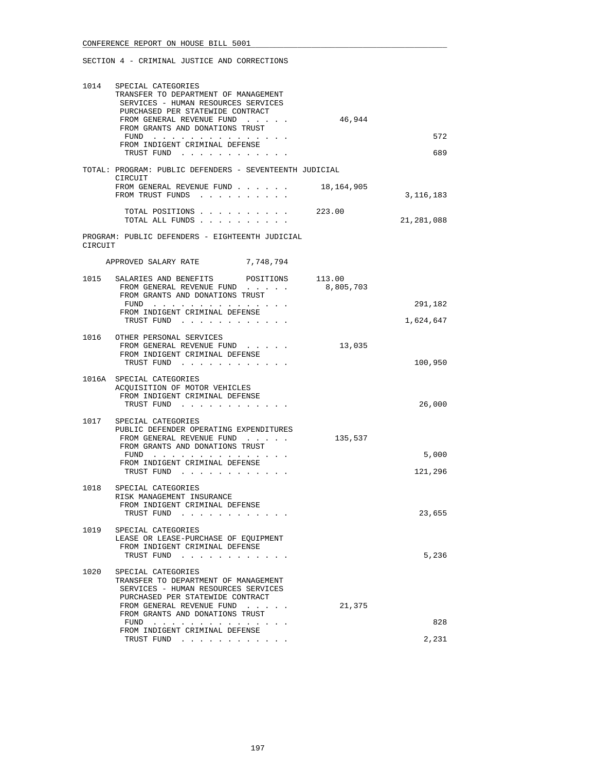|         | 1014 SPECIAL CATEGORIES<br>TRANSFER TO DEPARTMENT OF MANAGEMENT<br>SERVICES - HUMAN RESOURCES SERVICES<br>PURCHASED PER STATEWIDE CONTRACT<br>FROM GENERAL REVENUE FUND<br>FROM GRANTS AND DONATIONS TRUST                                      | 46,944    |                      |
|---------|-------------------------------------------------------------------------------------------------------------------------------------------------------------------------------------------------------------------------------------------------|-----------|----------------------|
|         | FROM INDIGENT CRIMINAL DEFENSE<br>TRUST FUND                                                                                                                                                                                                    |           | 572<br>689           |
|         | TOTAL: PROGRAM: PUBLIC DEFENDERS - SEVENTEENTH JUDICIAL                                                                                                                                                                                         |           |                      |
|         | CIRCUIT<br>FROM GENERAL REVENUE FUND 18,164,905<br>FROM TRUST FUNDS                                                                                                                                                                             |           | 3, 116, 183          |
|         | TOTAL POSITIONS 223.00<br>TOTAL ALL FUNDS                                                                                                                                                                                                       |           | 21,281,088           |
| CIRCUIT | PROGRAM: PUBLIC DEFENDERS - EIGHTEENTH JUDICIAL                                                                                                                                                                                                 |           |                      |
|         | APPROVED SALARY RATE 7,748,794                                                                                                                                                                                                                  |           |                      |
|         | 1015 SALARIES AND BENEFITS POSITIONS 113.00<br>FROM GENERAL REVENUE FUND<br>FROM GRANTS AND DONATIONS TRUST                                                                                                                                     | 8,805,703 |                      |
|         | FUND<br>FROM INDIGENT CRIMINAL DEFENSE<br>TRUST FUND                                                                                                                                                                                            |           | 291,182<br>1,624,647 |
|         | 1016 OTHER PERSONAL SERVICES<br>FROM GENERAL REVENUE FUND<br>FROM INDIGENT CRIMINAL DEFENSE<br>TRUST FUND                                                                                                                                       | 13,035    | 100,950              |
|         | 1016A SPECIAL CATEGORIES<br>ACQUISITION OF MOTOR VEHICLES<br>FROM INDIGENT CRIMINAL DEFENSE<br>TRUST FUND                                                                                                                                       |           | 26,000               |
| 1017    | SPECIAL CATEGORIES<br>PUBLIC DEFENDER OPERATING EXPENDITURES<br>FROM GENERAL REVENUE FUND<br>FROM GRANTS AND DONATIONS TRUST<br>FUND $\cdots$<br>FROM INDIGENT CRIMINAL DEFENSE<br>TRUST FUND                                                   | 135,537   | 5,000<br>121,296     |
|         | 1018 SPECIAL CATEGORIES<br>RISK MANAGEMENT INSURANCE<br>FROM INDIGENT CRIMINAL DEFENSE<br>TRUST FUND                                                                                                                                            |           | 23,655               |
| 1019    | SPECIAL CATEGORIES<br>LEASE OR LEASE-PURCHASE OF EQUIPMENT<br>FROM INDIGENT CRIMINAL DEFENSE<br>TRUST FUND                                                                                                                                      |           | 5,236                |
| 1020    | SPECIAL CATEGORIES<br>TRANSFER TO DEPARTMENT OF MANAGEMENT<br>SERVICES - HUMAN RESOURCES SERVICES<br>PURCHASED PER STATEWIDE CONTRACT<br>FROM GENERAL REVENUE FUND<br>FROM GRANTS AND DONATIONS TRUST<br>FUND<br>FROM INDIGENT CRIMINAL DEFENSE | 21,375    | 828                  |
|         | TRUST FUND                                                                                                                                                                                                                                      |           | 2,231                |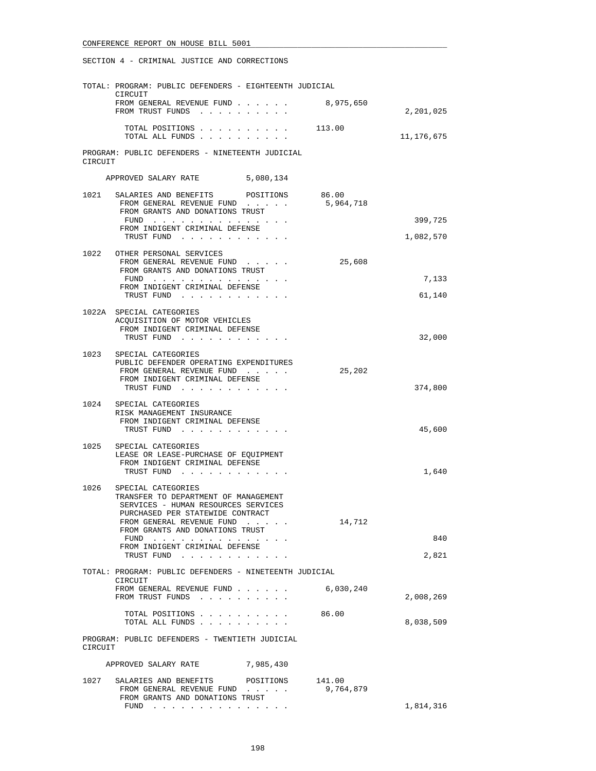|         | TOTAL: PROGRAM: PUBLIC DEFENDERS - EIGHTEENTH JUDICIAL                                                                                |           |                     |            |
|---------|---------------------------------------------------------------------------------------------------------------------------------------|-----------|---------------------|------------|
|         | CIRCUIT<br>FROM GENERAL REVENUE FUND<br>FROM TRUST FUNDS                                                                              |           | 8,975,650           | 2,201,025  |
|         | TOTAL POSITIONS 113.00<br>TOTAL ALL FUNDS                                                                                             |           |                     | 11,176,675 |
| CIRCUIT | PROGRAM: PUBLIC DEFENDERS - NINETEENTH JUDICIAL                                                                                       |           |                     |            |
|         | APPROVED SALARY RATE                                                                                                                  | 5,080,134 |                     |            |
| 1021    | SALARIES AND BENEFITS POSITIONS<br>FROM GENERAL REVENUE FUND<br>FROM GRANTS AND DONATIONS TRUST                                       |           | 86.00<br>5,964,718  |            |
|         | FUND $\cdots$<br>FROM INDIGENT CRIMINAL DEFENSE                                                                                       |           |                     | 399,725    |
|         | TRUST FUND                                                                                                                            |           |                     | 1,082,570  |
| 1022    | OTHER PERSONAL SERVICES<br>FROM GENERAL REVENUE FUND<br>FROM GRANTS AND DONATIONS TRUST                                               |           | 25,608              |            |
|         | FUND<br>FROM INDIGENT CRIMINAL DEFENSE                                                                                                |           |                     | 7,133      |
|         | TRUST FUND                                                                                                                            |           |                     | 61,140     |
|         | 1022A SPECIAL CATEGORIES<br>ACQUISITION OF MOTOR VEHICLES<br>FROM INDIGENT CRIMINAL DEFENSE<br>TRUST FUND                             |           |                     | 32,000     |
|         | 1023 SPECIAL CATEGORIES                                                                                                               |           |                     |            |
|         | PUBLIC DEFENDER OPERATING EXPENDITURES<br>FROM GENERAL REVENUE FUND<br>FROM INDIGENT CRIMINAL DEFENSE<br>TRUST FUND                   |           | 25,202              | 374,800    |
| 1024    | SPECIAL CATEGORIES                                                                                                                    |           |                     |            |
|         | RISK MANAGEMENT INSURANCE<br>FROM INDIGENT CRIMINAL DEFENSE<br>TRUST FUND                                                             |           |                     | 45,600     |
| 1025    | SPECIAL CATEGORIES<br>LEASE OR LEASE-PURCHASE OF EQUIPMENT<br>FROM INDIGENT CRIMINAL DEFENSE                                          |           |                     |            |
|         | TRUST FUND                                                                                                                            |           |                     | 1,640      |
| 1026    | SPECIAL CATEGORIES<br>TRANSFER TO DEPARTMENT OF MANAGEMENT<br>SERVICES - HUMAN RESOURCES SERVICES<br>PURCHASED PER STATEWIDE CONTRACT |           |                     |            |
|         | FROM GENERAL REVENUE FUND<br>FROM GRANTS AND DONATIONS TRUST                                                                          |           | 14,712              |            |
|         | FUND $\ldots$<br>FROM INDIGENT CRIMINAL DEFENSE                                                                                       |           |                     | 840        |
|         | TRUST FUND                                                                                                                            |           |                     | 2,821      |
|         | TOTAL: PROGRAM: PUBLIC DEFENDERS - NINETEENTH JUDICIAL<br>CIRCUIT                                                                     |           |                     |            |
|         | FROM GENERAL REVENUE FUND<br>FROM TRUST FUNDS                                                                                         |           | 6,030,240           | 2,008,269  |
|         | TOTAL POSITIONS<br>TOTAL ALL FUNDS                                                                                                    |           | 86.00               | 8,038,509  |
| CIRCUIT | PROGRAM: PUBLIC DEFENDERS - TWENTIETH JUDICIAL                                                                                        |           |                     |            |
|         | APPROVED SALARY RATE                                                                                                                  | 7,985,430 |                     |            |
| 1027    | SALARIES AND BENEFITS<br>FROM GENERAL REVENUE FUND<br>FROM GRANTS AND DONATIONS TRUST                                                 | POSITIONS | 141.00<br>9,764,879 |            |
|         |                                                                                                                                       |           |                     | 1,814,316  |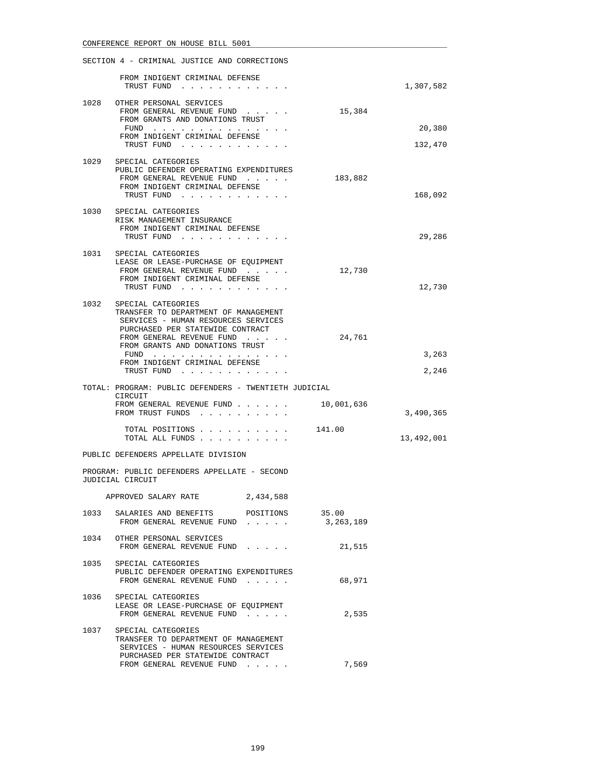|      | SECTION 4 - CRIMINAL JUSTICE AND CORRECTIONS                                                                                                                                                          |            |                |
|------|-------------------------------------------------------------------------------------------------------------------------------------------------------------------------------------------------------|------------|----------------|
|      | FROM INDIGENT CRIMINAL DEFENSE<br>TRUST FUND                                                                                                                                                          |            | 1,307,582      |
|      | 1028 OTHER PERSONAL SERVICES<br>FROM GENERAL REVENUE FUND<br>FROM GRANTS AND DONATIONS TRUST                                                                                                          | 15,384     |                |
|      | FUND                                                                                                                                                                                                  |            | 20,380         |
|      | FROM INDIGENT CRIMINAL DEFENSE<br>TRUST FUND                                                                                                                                                          |            | 132,470        |
|      | 1029 SPECIAL CATEGORIES<br>PUBLIC DEFENDER OPERATING EXPENDITURES<br>FROM GENERAL REVENUE FUND<br>FROM INDIGENT CRIMINAL DEFENSE<br>TRUST FUND                                                        | 183,882    | 168,092        |
|      | 1030 SPECIAL CATEGORIES<br>RISK MANAGEMENT INSURANCE<br>FROM INDIGENT CRIMINAL DEFENSE<br>TRUST FUND                                                                                                  |            | 29,286         |
|      | 1031 SPECIAL CATEGORIES<br>LEASE OR LEASE-PURCHASE OF EQUIPMENT<br>FROM GENERAL REVENUE FUND<br>FROM INDIGENT CRIMINAL DEFENSE<br>TRUST FUND                                                          | 12,730     | 12,730         |
| 1032 | SPECIAL CATEGORIES<br>TRANSFER TO DEPARTMENT OF MANAGEMENT<br>SERVICES - HUMAN RESOURCES SERVICES<br>PURCHASED PER STATEWIDE CONTRACT<br>FROM GENERAL REVENUE FUND<br>FROM GRANTS AND DONATIONS TRUST | 24,761     |                |
|      | FUND<br>FROM INDIGENT CRIMINAL DEFENSE<br>TRUST FUND                                                                                                                                                  |            | 3,263<br>2,246 |
|      | TOTAL: PROGRAM: PUBLIC DEFENDERS - TWENTIETH JUDICIAL                                                                                                                                                 |            |                |
|      | CIRCUIT<br>FROM GENERAL REVENUE FUND<br>FROM TRUST FUNDS                                                                                                                                              | 10,001,636 | 3,490,365      |
|      | TOTAL POSITIONS 141.00<br>TOTAL ALL FUNDS                                                                                                                                                             |            | 13,492,001     |
|      | PUBLIC DEFENDERS APPELLATE DIVISION                                                                                                                                                                   |            |                |
|      | PROGRAM: PUBLIC DEFENDERS APPELLATE - SECOND<br>JUDICIAL CIRCUIT                                                                                                                                      |            |                |
|      | 2,434,588<br>APPROVED SALARY RATE                                                                                                                                                                     |            |                |
|      | 1033 SALARIES AND BENEFITS POSITIONS 35.00<br>FROM GENERAL REVENUE FUND 3,263,189                                                                                                                     |            |                |
|      | 1034 OTHER PERSONAL SERVICES<br>FROM GENERAL REVENUE FUND                                                                                                                                             | 21,515     |                |
|      | 1035 SPECIAL CATEGORIES<br>PUBLIC DEFENDER OPERATING EXPENDITURES<br>FROM GENERAL REVENUE FUND                                                                                                        | 68,971     |                |
|      | 1036 SPECIAL CATEGORIES<br>LEASE OR LEASE-PURCHASE OF EQUIPMENT<br>FROM GENERAL REVENUE FUND                                                                                                          | 2,535      |                |
|      | 1037 SPECIAL CATEGORIES<br>TRANSFER TO DEPARTMENT OF MANAGEMENT<br>SERVICES - HUMAN RESOURCES SERVICES<br>PURCHASED PER STATEWIDE CONTRACT                                                            |            |                |
|      | FROM GENERAL REVENUE FUND                                                                                                                                                                             | 7,569      |                |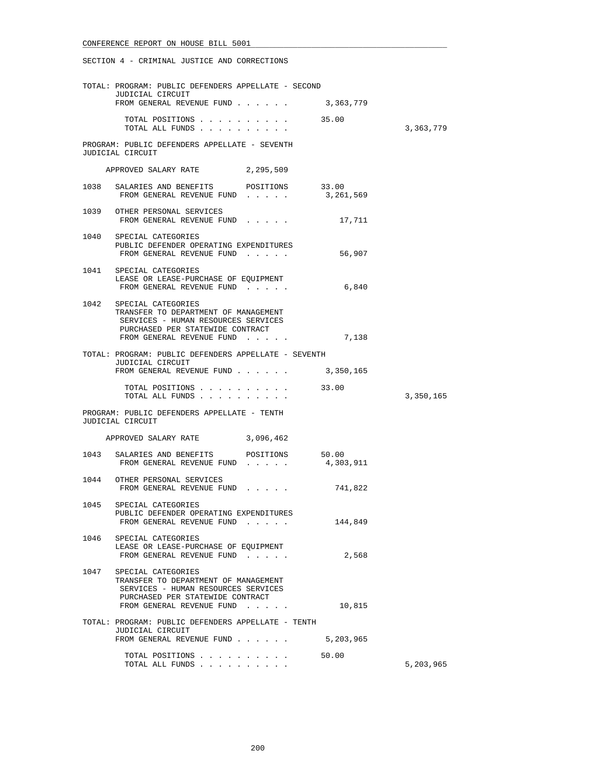|      | TOTAL: PROGRAM: PUBLIC DEFENDERS APPELLATE - SECOND<br>JUDICIAL CIRCUIT                                                                                                 |         |           |
|------|-------------------------------------------------------------------------------------------------------------------------------------------------------------------------|---------|-----------|
|      | FROM GENERAL REVENUE FUND $\ldots$ 3,363,779                                                                                                                            |         |           |
|      | TOTAL POSITIONS 35.00<br>TOTAL ALL FUNDS                                                                                                                                |         | 3,363,779 |
|      | PROGRAM: PUBLIC DEFENDERS APPELLATE - SEVENTH<br>JUDICIAL CIRCUIT                                                                                                       |         |           |
|      | APPROVED SALARY RATE<br>2,295,509                                                                                                                                       |         |           |
|      | 1038 SALARIES AND BENEFITS POSITIONS 33.00<br>FROM GENERAL REVENUE FUND 3, 261, 569                                                                                     |         |           |
|      | 1039 OTHER PERSONAL SERVICES<br>FROM GENERAL REVENUE FUND                                                                                                               | 17,711  |           |
|      | 1040 SPECIAL CATEGORIES<br>PUBLIC DEFENDER OPERATING EXPENDITURES<br>FROM GENERAL REVENUE FUND                                                                          | 56,907  |           |
|      | 1041 SPECIAL CATEGORIES<br>LEASE OR LEASE-PURCHASE OF EQUIPMENT<br>FROM GENERAL REVENUE FUND                                                                            | 6,840   |           |
|      | 1042 SPECIAL CATEGORIES<br>TRANSFER TO DEPARTMENT OF MANAGEMENT<br>SERVICES - HUMAN RESOURCES SERVICES<br>PURCHASED PER STATEWIDE CONTRACT<br>FROM GENERAL REVENUE FUND | 7,138   |           |
|      | TOTAL: PROGRAM: PUBLIC DEFENDERS APPELLATE - SEVENTH                                                                                                                    |         |           |
|      | <b>JUDICIAL CIRCUIT</b><br>FROM GENERAL REVENUE FUND $\ldots$ 3,350,165                                                                                                 |         |           |
|      | TOTAL POSITIONS 33.00<br>TOTAL ALL FUNDS                                                                                                                                |         | 3,350,165 |
|      | PROGRAM: PUBLIC DEFENDERS APPELLATE - TENTH<br>JUDICIAL CIRCUIT                                                                                                         |         |           |
|      | APPROVED SALARY RATE 3,096,462                                                                                                                                          |         |           |
|      | 1043 SALARIES AND BENEFITS POSITIONS 50.00<br>FROM GENERAL REVENUE FUND $\ldots$ 4,303,911                                                                              |         |           |
|      | 1044 OTHER PERSONAL SERVICES<br>FROM GENERAL REVENUE FUND                                                                                                               | 741,822 |           |
|      | 1045 SPECIAL CATEGORIES<br>PUBLIC DEFENDER OPERATING EXPENDITURES<br>FROM GENERAL REVENUE FUND                                                                          | 144,849 |           |
| 1046 | SPECIAL CATEGORIES<br>LEASE OR LEASE-PURCHASE OF EQUIPMENT<br>FROM GENERAL REVENUE FUND                                                                                 | 2,568   |           |
|      | 1047 SPECIAL CATEGORIES<br>TRANSFER TO DEPARTMENT OF MANAGEMENT<br>SERVICES - HUMAN RESOURCES SERVICES<br>PURCHASED PER STATEWIDE CONTRACT<br>FROM GENERAL REVENUE FUND | 10,815  |           |
|      | TOTAL: PROGRAM: PUBLIC DEFENDERS APPELLATE - TENTH<br>JUDICIAL CIRCUIT                                                                                                  |         |           |
|      | FROM GENERAL REVENUE FUND 5,203,965                                                                                                                                     |         |           |
|      | TOTAL POSITIONS<br>TOTAL ALL FUNDS                                                                                                                                      | 50.00   | 5,203,965 |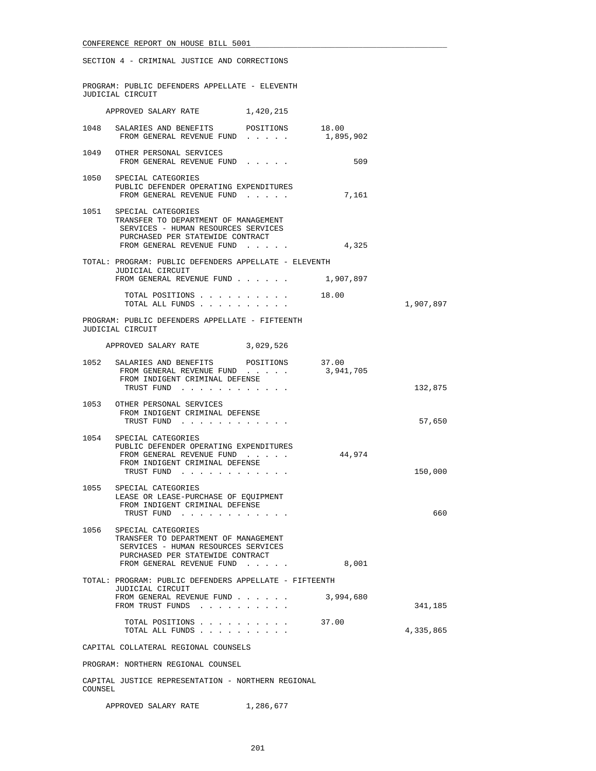|         | SECTION 4 - CRIMINAL JUSTICE AND CORRECTIONS                                                                                                                            |           |           |
|---------|-------------------------------------------------------------------------------------------------------------------------------------------------------------------------|-----------|-----------|
|         | PROGRAM: PUBLIC DEFENDERS APPELLATE - ELEVENTH<br>JUDICIAL CIRCUIT                                                                                                      |           |           |
|         | APPROVED SALARY RATE 1,420,215                                                                                                                                          |           |           |
|         | 1048 SALARIES AND BENEFITS POSITIONS 18.00<br>FROM GENERAL REVENUE FUND 1,895,902                                                                                       |           |           |
|         | 1049 OTHER PERSONAL SERVICES<br>FROM GENERAL REVENUE FUND                                                                                                               | 509       |           |
|         | 1050 SPECIAL CATEGORIES<br>PUBLIC DEFENDER OPERATING EXPENDITURES<br>FROM GENERAL REVENUE FUND                                                                          | 7,161     |           |
| 1051    | SPECIAL CATEGORIES<br>TRANSFER TO DEPARTMENT OF MANAGEMENT<br>SERVICES - HUMAN RESOURCES SERVICES<br>PURCHASED PER STATEWIDE CONTRACT<br>FROM GENERAL REVENUE FUND      | 4,325     |           |
|         | TOTAL: PROGRAM: PUBLIC DEFENDERS APPELLATE - ELEVENTH<br>JUDICIAL CIRCUIT<br>FROM GENERAL REVENUE FUND 1,907,897                                                        |           |           |
|         | TOTAL POSITIONS 18.00<br>TOTAL ALL FUNDS                                                                                                                                |           | 1,907,897 |
|         | PROGRAM: PUBLIC DEFENDERS APPELLATE - FIFTEENTH<br>JUDICIAL CIRCUIT                                                                                                     |           |           |
|         | APPROVED SALARY RATE 3,029,526                                                                                                                                          |           |           |
|         | 1052 SALARIES AND BENEFITS POSITIONS 37.00<br>FROM GENERAL REVENUE FUND 3,941,705<br>FROM INDIGENT CRIMINAL DEFENSE<br>TRUST FUND                                       |           | 132,875   |
|         | 1053 OTHER PERSONAL SERVICES<br>FROM INDIGENT CRIMINAL DEFENSE<br>TRUST FUND                                                                                            |           | 57,650    |
| 1054    | SPECIAL CATEGORIES<br>PUBLIC DEFENDER OPERATING EXPENDITURES<br>FROM GENERAL REVENUE FUND<br>FROM INDIGENT CRIMINAL DEFENSE<br>TRUST FUND                               | 44,974    | 150,000   |
|         | 1055 SPECIAL CATEGORIES<br>LEASE OR LEASE-PURCHASE OF EQUIPMENT<br>FROM INDIGENT CRIMINAL DEFENSE<br>TRUST FUND                                                         |           | 660       |
|         | 1056 SPECIAL CATEGORIES<br>TRANSFER TO DEPARTMENT OF MANAGEMENT<br>SERVICES - HUMAN RESOURCES SERVICES<br>PURCHASED PER STATEWIDE CONTRACT<br>FROM GENERAL REVENUE FUND | 8,001     |           |
|         | TOTAL: PROGRAM: PUBLIC DEFENDERS APPELLATE - FIFTEENTH                                                                                                                  |           |           |
|         | <b>JUDICIAL CIRCUIT</b><br>FROM GENERAL REVENUE FUND<br>FROM TRUST FUNDS                                                                                                | 3,994,680 | 341,185   |
|         | TOTAL POSITIONS 37.00<br>TOTAL ALL FUNDS                                                                                                                                |           | 4,335,865 |
|         | CAPITAL COLLATERAL REGIONAL COUNSELS                                                                                                                                    |           |           |
|         | PROGRAM: NORTHERN REGIONAL COUNSEL                                                                                                                                      |           |           |
| COUNSEL | CAPITAL JUSTICE REPRESENTATION - NORTHERN REGIONAL                                                                                                                      |           |           |

APPROVED SALARY RATE 1,286,677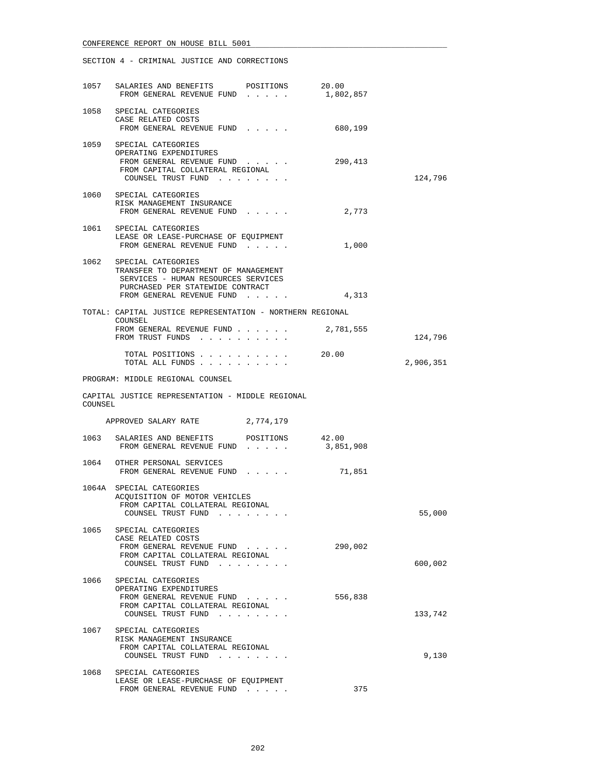|         | 1057 SALARIES AND BENEFITS POSITIONS<br>FROM GENERAL REVENUE FUND 1,802,857                                                                                             | 20.00     |           |
|---------|-------------------------------------------------------------------------------------------------------------------------------------------------------------------------|-----------|-----------|
|         | 1058 SPECIAL CATEGORIES<br>CASE RELATED COSTS<br>FROM GENERAL REVENUE FUND                                                                                              | 680,199   |           |
|         | 1059 SPECIAL CATEGORIES<br>OPERATING EXPENDITURES<br>FROM GENERAL REVENUE FUND<br>FROM CAPITAL COLLATERAL REGIONAL<br>COUNSEL TRUST FUND                                | 290,413   | 124,796   |
|         | 1060 SPECIAL CATEGORIES<br>RISK MANAGEMENT INSURANCE<br>FROM GENERAL REVENUE FUND                                                                                       | 2,773     |           |
|         | 1061 SPECIAL CATEGORIES<br>LEASE OR LEASE-PURCHASE OF EQUIPMENT<br>FROM GENERAL REVENUE FUND                                                                            | 1,000     |           |
|         | 1062 SPECIAL CATEGORIES<br>TRANSFER TO DEPARTMENT OF MANAGEMENT<br>SERVICES - HUMAN RESOURCES SERVICES<br>PURCHASED PER STATEWIDE CONTRACT<br>FROM GENERAL REVENUE FUND | 4,313     |           |
|         | TOTAL: CAPITAL JUSTICE REPRESENTATION - NORTHERN REGIONAL                                                                                                               |           |           |
|         | COUNSEL<br>FROM GENERAL REVENUE FUND 2,781,555<br>FROM TRUST FUNDS                                                                                                      |           | 124,796   |
|         | TOTAL POSITIONS<br>TOTAL ALL FUNDS                                                                                                                                      | 20.00     | 2,906,351 |
|         | PROGRAM: MIDDLE REGIONAL COUNSEL                                                                                                                                        |           |           |
|         |                                                                                                                                                                         |           |           |
| COUNSEL | CAPITAL JUSTICE REPRESENTATION - MIDDLE REGIONAL                                                                                                                        |           |           |
|         | APPROVED SALARY RATE 2,774,179                                                                                                                                          |           |           |
|         | 1063 SALARIES AND BENEFITS POSITIONS 42.00<br>FROM GENERAL REVENUE FUND                                                                                                 | 3,851,908 |           |
|         | 1064 OTHER PERSONAL SERVICES<br>FROM GENERAL REVENUE FUND                                                                                                               | 71,851    |           |
|         | 1064A SPECIAL CATEGORIES<br>ACQUISITION OF MOTOR VEHICLES<br>FROM CAPITAL COLLATERAL REGIONAL<br>COUNSEL TRUST FUND                                                     |           | 55,000    |
| 1065    | SPECIAL CATEGORIES<br>CASE RELATED COSTS<br>FROM GENERAL REVENUE FUND<br>FROM CAPITAL COLLATERAL REGIONAL<br>COUNSEL TRUST FUND                                         | 290,002   | 600,002   |
| 1066    | SPECIAL CATEGORIES<br>OPERATING EXPENDITURES<br>FROM GENERAL REVENUE FUND<br>FROM CAPITAL COLLATERAL REGIONAL<br>COUNSEL TRUST FUND                                     | 556,838   | 133,742   |
| 1067    | SPECIAL CATEGORIES<br>RISK MANAGEMENT INSURANCE<br>FROM CAPITAL COLLATERAL REGIONAL<br>COUNSEL TRUST FUND                                                               |           | 9,130     |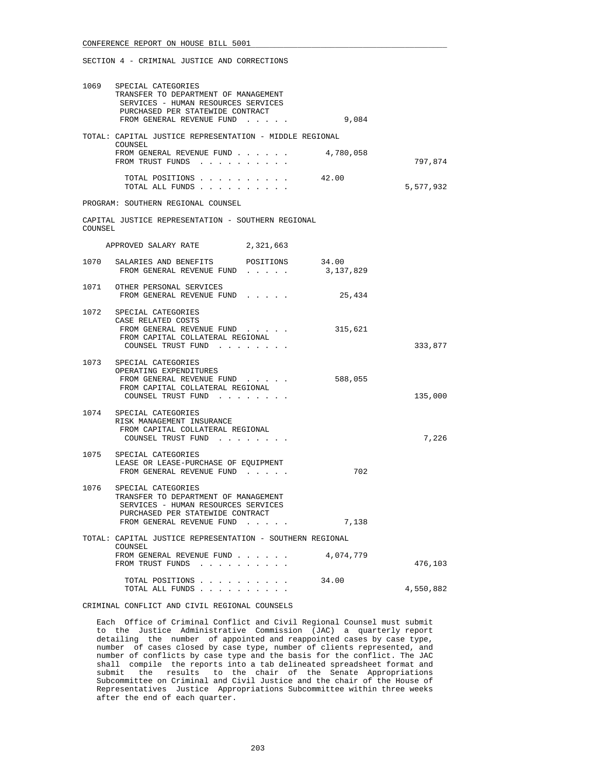| 1069    | SPECIAL CATEGORIES<br>TRANSFER TO DEPARTMENT OF MANAGEMENT<br>SERVICES - HUMAN RESOURCES SERVICES<br>PURCHASED PER STATEWIDE CONTRACT<br>FROM GENERAL REVENUE FUND | 9,084     |           |
|---------|--------------------------------------------------------------------------------------------------------------------------------------------------------------------|-----------|-----------|
|         | TOTAL: CAPITAL JUSTICE REPRESENTATION - MIDDLE REGIONAL                                                                                                            |           |           |
|         | COUNSEL<br>FROM GENERAL REVENUE FUND<br>FROM TRUST FUNDS                                                                                                           | 4,780,058 | 797,874   |
|         | TOTAL POSITIONS<br>TOTAL ALL FUNDS                                                                                                                                 | 42.00     | 5,577,932 |
|         | PROGRAM: SOUTHERN REGIONAL COUNSEL                                                                                                                                 |           |           |
| COUNSEL | CAPITAL JUSTICE REPRESENTATION - SOUTHERN REGIONAL                                                                                                                 |           |           |
|         | APPROVED SALARY RATE 2,321,663                                                                                                                                     |           |           |
|         | 1070 SALARIES AND BENEFITS POSITIONS 34.00<br>FROM GENERAL REVENUE FUND                                                                                            | 3,137,829 |           |
|         | 1071 OTHER PERSONAL SERVICES<br>FROM GENERAL REVENUE FUND                                                                                                          | 25,434    |           |
| 1072    | SPECIAL CATEGORIES<br>CASE RELATED COSTS<br>FROM GENERAL REVENUE FUND<br>FROM CAPITAL COLLATERAL REGIONAL<br>COUNSEL TRUST FUND                                    | 315,621   | 333,877   |
|         | 1073 SPECIAL CATEGORIES<br>OPERATING EXPENDITURES<br>FROM GENERAL REVENUE FUND<br>FROM CAPITAL COLLATERAL REGIONAL<br>COUNSEL TRUST FUND                           | 588,055   | 135,000   |
| 1074    | SPECIAL CATEGORIES<br>RISK MANAGEMENT INSURANCE<br>FROM CAPITAL COLLATERAL REGIONAL<br>COUNSEL TRUST FUND                                                          |           | 7,226     |
|         | 1075 SPECIAL CATEGORIES<br>LEASE OR LEASE-PURCHASE OF EQUIPMENT<br>FROM GENERAL REVENUE FUND                                                                       | 702       |           |
| 1076    | SPECIAL CATEGORIES<br>TRANSFER TO DEPARTMENT OF MANAGEMENT<br>SERVICES - HUMAN RESOURCES SERVICES<br>PURCHASED PER STATEWIDE CONTRACT                              |           |           |
|         | FROM GENERAL REVENUE FUND                                                                                                                                          | 7,138     |           |
|         | TOTAL: CAPITAL JUSTICE REPRESENTATION - SOUTHERN REGIONAL                                                                                                          |           |           |
|         | COUNSEL<br>FROM GENERAL REVENUE FUND<br>FROM TRUST FUNDS                                                                                                           | 4,074,779 | 476,103   |
|         | TOTAL POSITIONS<br>TOTAL ALL FUNDS                                                                                                                                 | 34.00     | 4,550,882 |
|         |                                                                                                                                                                    |           |           |

CRIMINAL CONFLICT AND CIVIL REGIONAL COUNSELS

 Each Office of Criminal Conflict and Civil Regional Counsel must submit to the Justice Administrative Commission (JAC) a quarterly report detailing the number of appointed and reappointed cases by case type, number of cases closed by case type, number of clients represented, and number of conflicts by case type and the basis for the conflict. The JAC shall compile the reports into a tab delineated spreadsheet format and submit the results to the chair of the Senate Appropriations Subcommittee on Criminal and Civil Justice and the chair of the House of Representatives Justice Appropriations Subcommittee within three weeks after the end of each quarter.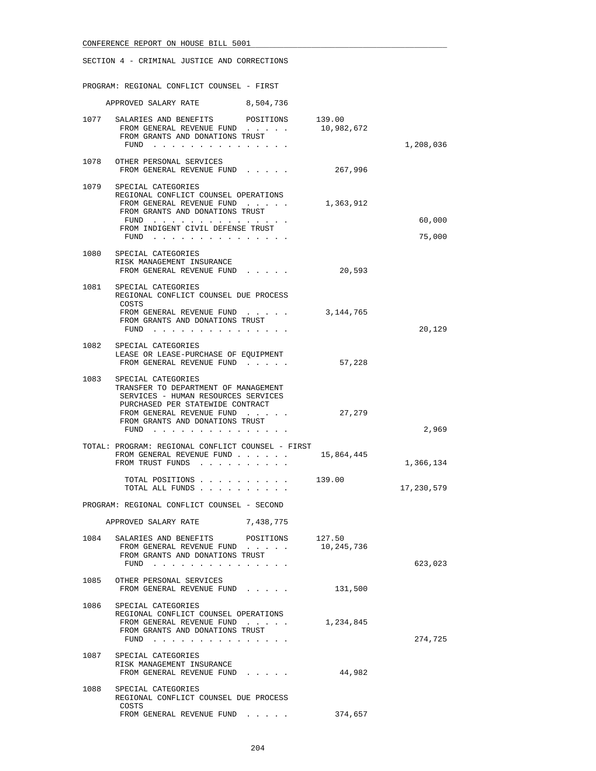|      | SECTION 4 - CRIMINAL JUSTICE AND CORRECTIONS                                                                                                                                                                  |           |            |            |
|------|---------------------------------------------------------------------------------------------------------------------------------------------------------------------------------------------------------------|-----------|------------|------------|
|      | PROGRAM: REGIONAL CONFLICT COUNSEL - FIRST                                                                                                                                                                    |           |            |            |
|      | APPROVED SALARY RATE                                                                                                                                                                                          | 8,504,736 |            |            |
|      | 1077 SALARIES AND BENEFITS POSITIONS 139.00<br>FROM GENERAL REVENUE FUND<br>FROM GRANTS AND DONATIONS TRUST<br>FUND $\ldots$ $\ldots$ $\ldots$ $\ldots$ $\ldots$ $\ldots$                                     |           | 10,982,672 | 1,208,036  |
|      | 1078 OTHER PERSONAL SERVICES<br>FROM GENERAL REVENUE FUND                                                                                                                                                     |           | 267,996    |            |
| 1079 | SPECIAL CATEGORIES<br>REGIONAL CONFLICT COUNSEL OPERATIONS<br>FROM GENERAL REVENUE FUND<br>FROM GRANTS AND DONATIONS TRUST<br>FUND $\cdots$<br>FROM INDIGENT CIVIL DEFENSE TRUST                              |           | 1,363,912  | 60,000     |
|      | FUND $\ldots$ $\ldots$ $\ldots$ $\ldots$ $\ldots$ $\ldots$<br>1080 SPECIAL CATEGORIES                                                                                                                         |           |            | 75,000     |
|      | RISK MANAGEMENT INSURANCE<br>FROM GENERAL REVENUE FUND                                                                                                                                                        |           | 20,593     |            |
|      | 1081 SPECIAL CATEGORIES<br>REGIONAL CONFLICT COUNSEL DUE PROCESS<br>COSTS                                                                                                                                     |           |            |            |
|      | FROM GENERAL REVENUE FUND<br>FROM GRANTS AND DONATIONS TRUST<br>FUND                                                                                                                                          |           | 3,144,765  | 20,129     |
|      | 1082 SPECIAL CATEGORIES<br>LEASE OR LEASE-PURCHASE OF EQUIPMENT<br>FROM GENERAL REVENUE FUND                                                                                                                  |           | 57,228     |            |
| 1083 | SPECIAL CATEGORIES<br>TRANSFER TO DEPARTMENT OF MANAGEMENT<br>SERVICES - HUMAN RESOURCES SERVICES<br>PURCHASED PER STATEWIDE CONTRACT<br>FROM GENERAL REVENUE FUND<br>FROM GRANTS AND DONATIONS TRUST<br>FUND |           | 27,279     | 2,969      |
|      | TOTAL: PROGRAM: REGIONAL CONFLICT COUNSEL - FIRST<br>FROM GENERAL REVENUE FUND<br>FROM TRUST FUNDS                                                                                                            |           | 15,864,445 | 1,366,134  |
|      | TOTAL POSITIONS<br>TOTAL ALL FUNDS                                                                                                                                                                            |           | 139.00     | 17,230,579 |
|      | PROGRAM: REGIONAL CONFLICT COUNSEL - SECOND                                                                                                                                                                   |           |            |            |
|      | APPROVED SALARY RATE                                                                                                                                                                                          | 7,438,775 |            |            |
|      | 1084 SALARIES AND BENEFITS POSITIONS 127.50<br>FROM GENERAL REVENUE FUND<br>FROM GRANTS AND DONATIONS TRUST<br>FUND                                                                                           |           | 10,245,736 | 623,023    |
|      | 1085 OTHER PERSONAL SERVICES<br>FROM GENERAL REVENUE FUND                                                                                                                                                     |           | 131,500    |            |
|      | 1086 SPECIAL CATEGORIES<br>REGIONAL CONFLICT COUNSEL OPERATIONS<br>FROM GENERAL REVENUE FUND<br>FROM GRANTS AND DONATIONS TRUST<br>FUND                                                                       |           | 1,234,845  | 274,725    |
|      | 1087 SPECIAL CATEGORIES<br>RISK MANAGEMENT INSURANCE<br>FROM GENERAL REVENUE FUND                                                                                                                             |           | 44,982     |            |
| 1088 | SPECIAL CATEGORIES<br>REGIONAL CONFLICT COUNSEL DUE PROCESS                                                                                                                                                   |           |            |            |
|      | COSTS<br>FROM GENERAL REVENUE FUND                                                                                                                                                                            |           | 374,657    |            |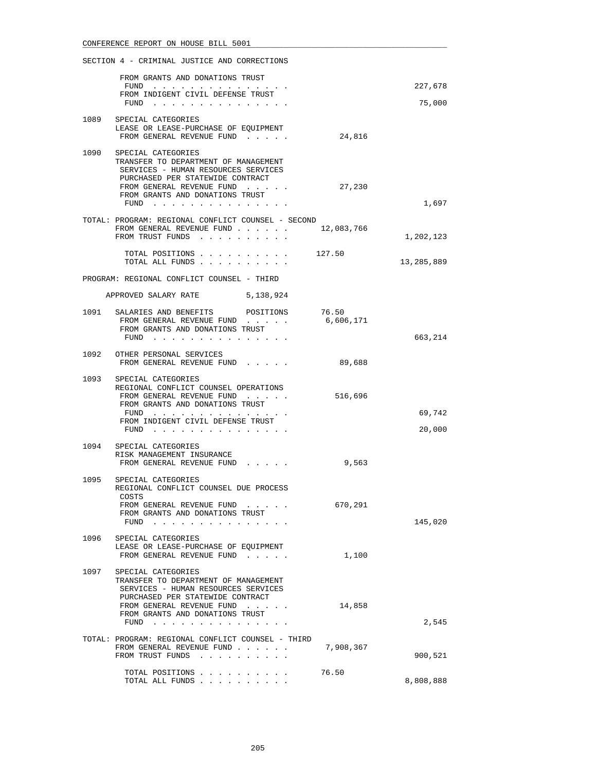|      | SECTION 4 - CRIMINAL JUSTICE AND CORRECTIONS                                               |           |            |
|------|--------------------------------------------------------------------------------------------|-----------|------------|
|      | FROM GRANTS AND DONATIONS TRUST                                                            |           | 227,678    |
|      | $FUND$<br>FROM INDIGENT CIVIL DEFENSE TRUST                                                |           |            |
|      | FUND $\cdots$                                                                              |           | 75,000     |
|      | 1089 SPECIAL CATEGORIES                                                                    |           |            |
|      | LEASE OR LEASE-PURCHASE OF EQUIPMENT                                                       |           |            |
|      | FROM GENERAL REVENUE FUND                                                                  | 24,816    |            |
|      | 1090 SPECIAL CATEGORIES                                                                    |           |            |
|      | TRANSFER TO DEPARTMENT OF MANAGEMENT                                                       |           |            |
|      | SERVICES - HUMAN RESOURCES SERVICES                                                        |           |            |
|      | PURCHASED PER STATEWIDE CONTRACT                                                           |           |            |
|      | FROM GENERAL REVENUE FUND<br>FROM GRANTS AND DONATIONS TRUST                               | 27,230    |            |
|      | FUND $\cdots$                                                                              |           | 1,697      |
|      |                                                                                            |           |            |
|      | TOTAL: PROGRAM: REGIONAL CONFLICT COUNSEL - SECOND<br>FROM GENERAL REVENUE FUND 12,083,766 |           |            |
|      | FROM TRUST FUNDS                                                                           |           | 1,202,123  |
|      |                                                                                            |           |            |
|      | TOTAL POSITIONS $\ldots$ , 127.50<br>TOTAL ALL FUNDS                                       |           | 13,285,889 |
|      |                                                                                            |           |            |
|      | PROGRAM: REGIONAL CONFLICT COUNSEL - THIRD                                                 |           |            |
|      | APPROVED SALARY RATE 5,138,924                                                             |           |            |
|      | 1091 SALARIES AND BENEFITS POSITIONS 76.50                                                 |           |            |
|      | FROM GENERAL REVENUE FUND                                                                  | 6,606,171 |            |
|      | FROM GRANTS AND DONATIONS TRUST<br>FUND $\cdots$                                           |           | 663,214    |
|      |                                                                                            |           |            |
|      | 1092 OTHER PERSONAL SERVICES                                                               |           |            |
|      | FROM GENERAL REVENUE FUND                                                                  | 89,688    |            |
| 1093 | SPECIAL CATEGORIES                                                                         |           |            |
|      | REGIONAL CONFLICT COUNSEL OPERATIONS                                                       |           |            |
|      | FROM GENERAL REVENUE FUND<br>FROM GRANTS AND DONATIONS TRUST                               | 516,696   |            |
|      | FUND $\cdots$                                                                              |           | 69,742     |
|      | FROM INDIGENT CIVIL DEFENSE TRUST                                                          |           |            |
|      | FUND $\cdots$                                                                              |           | 20,000     |
|      | 1094 SPECIAL CATEGORIES                                                                    |           |            |
|      | RISK MANAGEMENT INSURANCE                                                                  |           |            |
|      | FROM GENERAL REVENUE FUND                                                                  | 9,563     |            |
|      | 1095 SPECIAL CATEGORIES                                                                    |           |            |
|      | REGIONAL CONFLICT COUNSEL DUE PROCESS                                                      |           |            |
|      | COSTS<br>FROM GENERAL REVENUE FUND                                                         | 670,291   |            |
|      | FROM GRANTS AND DONATIONS TRUST                                                            |           |            |
|      | FUND<br>and the state of the state of                                                      |           | 145,020    |
| 1096 | SPECIAL CATEGORIES                                                                         |           |            |
|      | LEASE OR LEASE-PURCHASE OF EQUIPMENT                                                       |           |            |
|      | FROM GENERAL REVENUE FUND                                                                  | 1,100     |            |
| 1097 | SPECIAL CATEGORIES                                                                         |           |            |
|      | TRANSFER TO DEPARTMENT OF MANAGEMENT                                                       |           |            |
|      | SERVICES - HUMAN RESOURCES SERVICES                                                        |           |            |
|      | PURCHASED PER STATEWIDE CONTRACT<br>FROM GENERAL REVENUE FUND                              | 14,858    |            |
|      | FROM GRANTS AND DONATIONS TRUST                                                            |           |            |
|      | FUND $\cdots$                                                                              |           | 2,545      |
|      | TOTAL: PROGRAM: REGIONAL CONFLICT COUNSEL - THIRD                                          |           |            |
|      | FROM GENERAL REVENUE FUND                                                                  | 7,908,367 |            |
|      | FROM TRUST FUNDS                                                                           |           | 900,521    |
|      | TOTAL POSITIONS                                                                            | 76.50     |            |
|      | TOTAL ALL FUNDS                                                                            |           | 8,808,888  |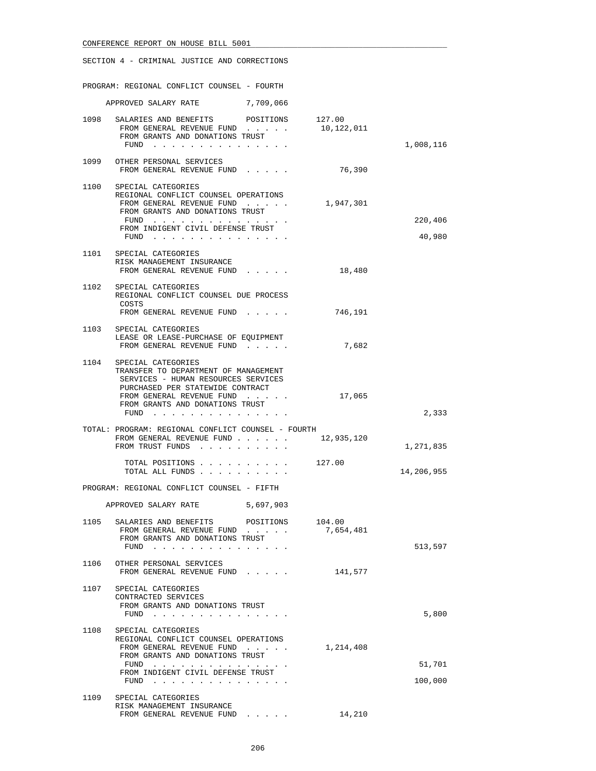|      | SECTION 4 - CRIMINAL JUSTICE AND CORRECTIONS                                                                                                                                                                  |                     |                   |
|------|---------------------------------------------------------------------------------------------------------------------------------------------------------------------------------------------------------------|---------------------|-------------------|
|      | PROGRAM: REGIONAL CONFLICT COUNSEL - FOURTH                                                                                                                                                                   |                     |                   |
|      | APPROVED SALARY RATE 7,709,066                                                                                                                                                                                |                     |                   |
|      | 1098 SALARIES AND BENEFITS POSITIONS 127.00<br>FROM GENERAL REVENUE FUND<br>FROM GRANTS AND DONATIONS TRUST<br>FUND                                                                                           | 10,122,011          | 1,008,116         |
|      | 1099 OTHER PERSONAL SERVICES<br>FROM GENERAL REVENUE FUND                                                                                                                                                     | 76,390              |                   |
|      | 1100 SPECIAL CATEGORIES<br>REGIONAL CONFLICT COUNSEL OPERATIONS<br>FROM GENERAL REVENUE FUND<br>FROM GRANTS AND DONATIONS TRUST<br>FUND<br>FROM INDIGENT CIVIL DEFENSE TRUST<br>FUND $\cdots$                 | 1,947,301           | 220,406<br>40,980 |
|      | 1101 SPECIAL CATEGORIES<br>RISK MANAGEMENT INSURANCE<br>FROM GENERAL REVENUE FUND                                                                                                                             | 18,480              |                   |
| 1102 | SPECIAL CATEGORIES<br>REGIONAL CONFLICT COUNSEL DUE PROCESS<br>COSTS<br>FROM GENERAL REVENUE FUND                                                                                                             | 746,191             |                   |
|      | 1103 SPECIAL CATEGORIES<br>LEASE OR LEASE-PURCHASE OF EQUIPMENT<br>FROM GENERAL REVENUE FUND                                                                                                                  | 7,682               |                   |
| 1104 | SPECIAL CATEGORIES<br>TRANSFER TO DEPARTMENT OF MANAGEMENT<br>SERVICES - HUMAN RESOURCES SERVICES<br>PURCHASED PER STATEWIDE CONTRACT<br>FROM GENERAL REVENUE FUND<br>FROM GRANTS AND DONATIONS TRUST<br>FUND | 17,065              | 2,333             |
|      | TOTAL: PROGRAM: REGIONAL CONFLICT COUNSEL - FOURTH<br>FROM GENERAL REVENUE FUND<br>FROM TRUST FUNDS                                                                                                           | 12,935,120          | 1,271,835         |
|      | TOTAL POSITIONS<br>TOTAL ALL FUNDS                                                                                                                                                                            | 127.00              | 14,206,955        |
|      | PROGRAM: REGIONAL CONFLICT COUNSEL - FIFTH                                                                                                                                                                    |                     |                   |
|      | APPROVED SALARY RATE 5,697,903                                                                                                                                                                                |                     |                   |
|      | 1105 SALARIES AND BENEFITS<br>POSITIONS<br>FROM GENERAL REVENUE FUND<br>FROM GRANTS AND DONATIONS TRUST<br>FUND $\cdots$                                                                                      | 104.00<br>7,654,481 | 513,597           |
| 1106 | OTHER PERSONAL SERVICES<br>FROM GENERAL REVENUE FUND                                                                                                                                                          | 141,577             |                   |
| 1107 | SPECIAL CATEGORIES<br>CONTRACTED SERVICES<br>FROM GRANTS AND DONATIONS TRUST<br>FUND $\cdots$                                                                                                                 |                     | 5,800             |
| 1108 | SPECIAL CATEGORIES<br>REGIONAL CONFLICT COUNSEL OPERATIONS<br>FROM GENERAL REVENUE FUND<br>FROM GRANTS AND DONATIONS TRUST<br>FUND<br>FROM INDIGENT CIVIL DEFENSE TRUST<br>FUND                               | 1,214,408           | 51,701<br>100,000 |
|      | 1109 SPECIAL CATEGORIES<br>RISK MANAGEMENT INSURANCE<br>FROM GENERAL REVENUE FUND                                                                                                                             | 14,210              |                   |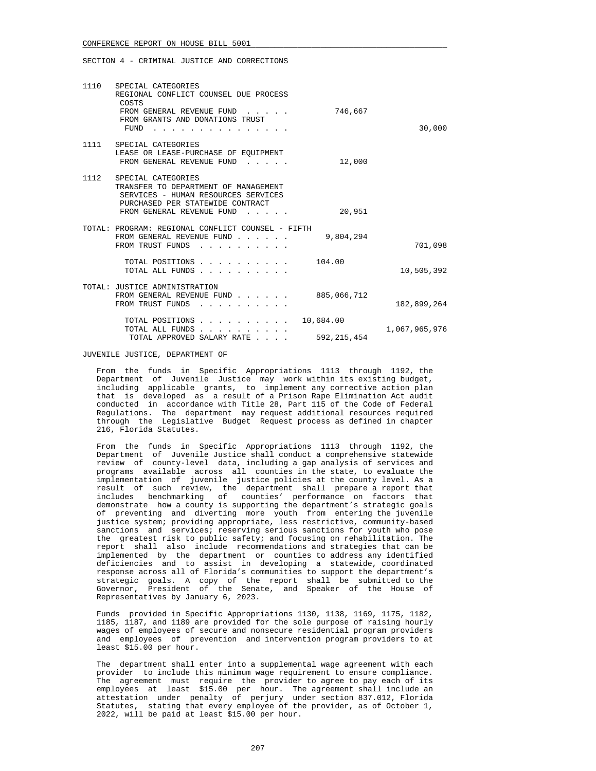|               |                            | 1110 SPECIAL CATEGORIES                                                                                                                                                                                                   |  |
|---------------|----------------------------|---------------------------------------------------------------------------------------------------------------------------------------------------------------------------------------------------------------------------|--|
| 30,000        | 746,667                    | REGIONAL CONFLICT COUNSEL DUE PROCESS<br>COSTS<br>FROM GENERAL REVENUE FUND<br>FROM GRANTS AND DONATIONS TRUST<br>FUND                                                                                                    |  |
|               | 12,000                     | 1111 SPECIAL CATEGORIES<br>LEASE OR LEASE-PURCHASE OF EQUIPMENT<br>FROM GENERAL REVENUE FUND                                                                                                                              |  |
|               | 20,951                     | 1112 SPECIAL CATEGORIES<br>TRANSFER TO DEPARTMENT OF MANAGEMENT<br>SERVICES - HUMAN RESOURCES SERVICES<br>PURCHASED PER STATEWIDE CONTRACT<br>FROM GENERAL REVENUE FUND<br>$\mathbf{r}$ and $\mathbf{r}$ and $\mathbf{r}$ |  |
| 701,098       | 9,804,294                  | TOTAL: PROGRAM: REGIONAL CONFLICT COUNSEL - FIFTH<br>FROM GENERAL REVENUE FUND<br>FROM TRUST FUNDS<br>$\sim$ $\sim$ $\sim$ $\sim$                                                                                         |  |
| 10,505,392    | 104.00                     | TOTAL POSITIONS<br>TOTAL ALL FUNDS                                                                                                                                                                                        |  |
| 182,899,264   | 885,066,712                | TOTAL: JUSTICE ADMINISTRATION<br>FROM GENERAL REVENUE FUND<br>FROM TRUST FUNDS                                                                                                                                            |  |
| 1,067,965,976 | 10,684.00<br>592, 215, 454 | TOTAL POSITIONS<br>TOTAL ALL FUNDS<br>TOTAL APPROVED SALARY RATE                                                                                                                                                          |  |

JUVENILE JUSTICE, DEPARTMENT OF

 From the funds in Specific Appropriations 1113 through 1192, the Department of Juvenile Justice may work within its existing budget, including applicable grants, to implement any corrective action plan that is developed as a result of a Prison Rape Elimination Act audit conducted in accordance with Title 28, Part 115 of the Code of Federal Regulations. The department may request additional resources required through the Legislative Budget Request process as defined in chapter 216, Florida Statutes.

 From the funds in Specific Appropriations 1113 through 1192, the Department of Juvenile Justice shall conduct a comprehensive statewide review of county-level data, including a gap analysis of services and programs available across all counties in the state, to evaluate the implementation of juvenile justice policies at the county level. As a result of such review, the department shall prepare a report that includes benchmarking of counties' performance on factors that demonstrate how a county is supporting the department's strategic goals of preventing and diverting more youth from entering the juvenile justice system; providing appropriate, less restrictive, community-based sanctions and services; reserving serious sanctions for youth who pose the greatest risk to public safety; and focusing on rehabilitation. The report shall also include recommendations and strategies that can be implemented by the department or counties to address any identified deficiencies and to assist in developing a statewide, coordinated response across all of Florida's communities to support the department's strategic goals. A copy of the report shall be submitted to the Governor, President of the Senate, and Speaker of the House of Representatives by January 6, 2023.

 Funds provided in Specific Appropriations 1130, 1138, 1169, 1175, 1182, 1185, 1187, and 1189 are provided for the sole purpose of raising hourly wages of employees of secure and nonsecure residential program providers and employees of prevention and intervention program providers to at least \$15.00 per hour.

 The department shall enter into a supplemental wage agreement with each provider to include this minimum wage requirement to ensure compliance. The agreement must require the provider to agree to pay each of its employees at least \$15.00 per hour. The agreement shall include an attestation under penalty of perjury under section 837.012, Florida Statutes, stating that every employee of the provider, as of October 1, 2022, will be paid at least \$15.00 per hour.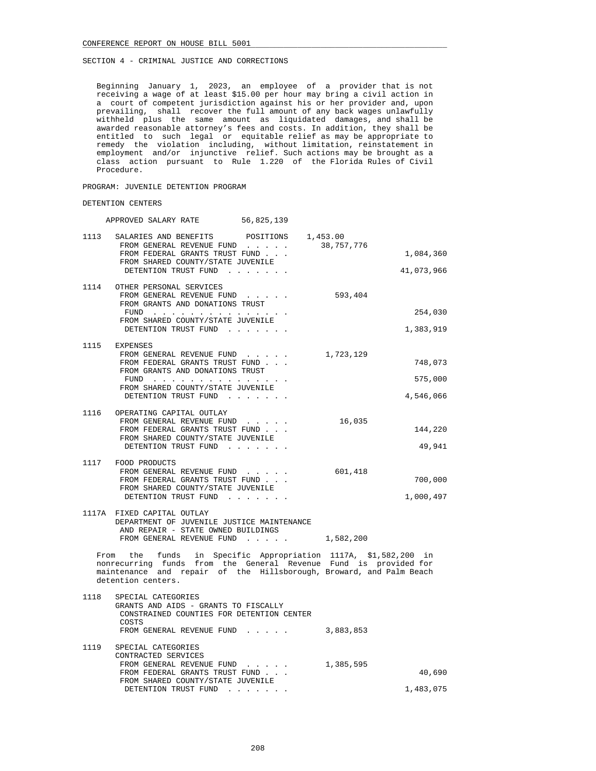Beginning January 1, 2023, an employee of a provider that is not receiving a wage of at least \$15.00 per hour may bring a civil action in a court of competent jurisdiction against his or her provider and, upon prevailing, shall recover the full amount of any back wages unlawfully withheld plus the same amount as liquidated damages, and shall be awarded reasonable attorney's fees and costs. In addition, they shall be entitled to such legal or equitable relief as may be appropriate to remedy the violation including, without limitation, reinstatement in employment and/or injunctive relief. Such actions may be brought as a class action pursuant to Rule 1.220 of the Florida Rules of Civil Procedure.

### PROGRAM: JUVENILE DETENTION PROGRAM

### DETENTION CENTERS

APPROVED SALARY RATE 56,825,139

| 1113 | SALARIES AND BENEFITS POSITIONS 1,453.00                                                                                                |                         |  |
|------|-----------------------------------------------------------------------------------------------------------------------------------------|-------------------------|--|
|      | FROM GENERAL REVENUE FUND<br>FROM FEDERAL GRANTS TRUST FUND                                                                             | 38,757,776<br>1,084,360 |  |
|      | FROM SHARED COUNTY/STATE JUVENILE                                                                                                       |                         |  |
|      | DETENTION TRUST FUND                                                                                                                    | 41,073,966              |  |
|      |                                                                                                                                         |                         |  |
|      | 1114 OTHER PERSONAL SERVICES<br>FROM GENERAL REVENUE FUND                                                                               | 593,404                 |  |
|      | FROM GRANTS AND DONATIONS TRUST                                                                                                         |                         |  |
|      |                                                                                                                                         | 254,030                 |  |
|      | FROM SHARED COUNTY/STATE JUVENILE<br>DETENTION TRUST FUND                                                                               | 1,383,919               |  |
|      |                                                                                                                                         |                         |  |
|      | 1115 EXPENSES                                                                                                                           |                         |  |
|      | FROM GENERAL REVENUE FUND<br>FROM FEDERAL GRANTS TRUST FUND                                                                             | 1,723,129<br>748,073    |  |
|      | FROM GRANTS AND DONATIONS TRUST                                                                                                         |                         |  |
|      | FUND $\cdots$                                                                                                                           | 575,000                 |  |
|      | FROM SHARED COUNTY/STATE JUVENILE                                                                                                       |                         |  |
|      | DETENTION TRUST FUND                                                                                                                    | 4,546,066               |  |
|      | 1116 OPERATING CAPITAL OUTLAY                                                                                                           |                         |  |
|      | FROM GENERAL REVENUE FUND                                                                                                               | 16,035                  |  |
|      | FROM FEDERAL GRANTS TRUST FUND<br>FROM SHARED COUNTY/STATE JUVENILE                                                                     | 144,220                 |  |
|      | DETENTION TRUST FUND                                                                                                                    | 49,941                  |  |
|      |                                                                                                                                         |                         |  |
|      | 1117 FOOD PRODUCTS<br>FROM GENERAL REVENUE FUND                                                                                         | 601,418                 |  |
|      | FROM FEDERAL GRANTS TRUST FUND                                                                                                          | 700,000                 |  |
|      | FROM SHARED COUNTY/STATE JUVENILE                                                                                                       |                         |  |
|      | DETENTION TRUST FUND                                                                                                                    | 1,000,497               |  |
|      | 1117A FIXED CAPITAL OUTLAY                                                                                                              |                         |  |
|      | DEPARTMENT OF JUVENILE JUSTICE MAINTENANCE                                                                                              |                         |  |
|      | AND REPAIR - STATE OWNED BUILDINGS<br>FROM GENERAL REVENUE FUND 1,582,200                                                               |                         |  |
|      |                                                                                                                                         |                         |  |
|      | From the funds in Specific Appropriation 1117A, \$1,582,200 in                                                                          |                         |  |
|      | nonrecurring funds from the General Revenue Fund is provided for<br>maintenance and repair of the Hillsborough, Broward, and Palm Beach |                         |  |
|      | detention centers.                                                                                                                      |                         |  |
|      |                                                                                                                                         |                         |  |
| 1118 | SPECIAL CATEGORIES                                                                                                                      |                         |  |
|      | GRANTS AND AIDS - GRANTS TO FISCALLY<br>CONSTRAINED COUNTIES FOR DETENTION CENTER                                                       |                         |  |
|      | COSTS                                                                                                                                   |                         |  |
|      | FROM GENERAL REVENUE FUND                                                                                                               | 3,883,853               |  |
| 1119 | SPECIAL CATEGORIES                                                                                                                      |                         |  |
|      | CONTRACTED SERVICES                                                                                                                     |                         |  |
|      | FROM GENERAL REVENUE FUND                                                                                                               | 1,385,595               |  |
|      | FROM FEDERAL GRANTS TRUST FUND<br>FROM SHARED COUNTY/STATE JUVENILE                                                                     | 40,690                  |  |
|      | DETENTION TRUST FUND                                                                                                                    | 1,483,075               |  |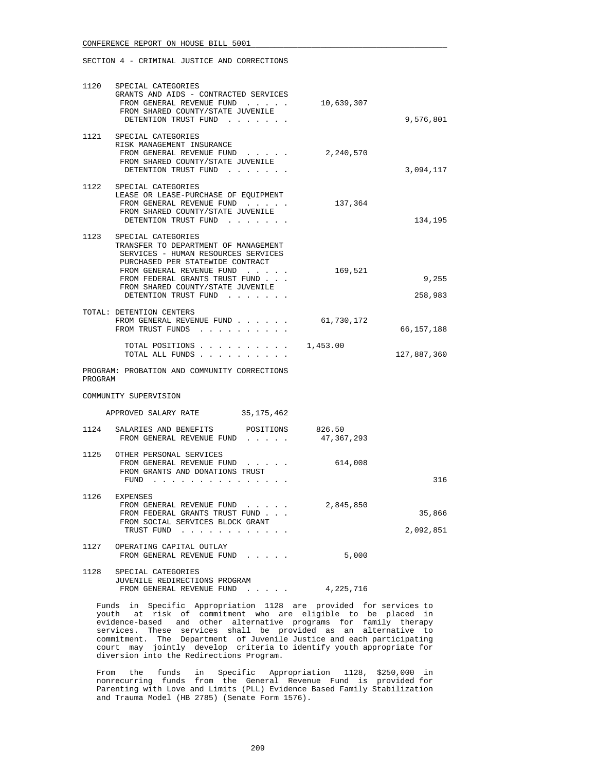SECTION 4 - CRIMINAL JUSTICE AND CORRECTIONS

| 1120    | SPECIAL CATEGORIES<br>GRANTS AND AIDS - CONTRACTED SERVICES<br>FROM GENERAL REVENUE FUND<br>FROM SHARED COUNTY/STATE JUVENILE<br>DETENTION TRUST FUND                                                                                                             | 10,639,307 | 9,576,801           |
|---------|-------------------------------------------------------------------------------------------------------------------------------------------------------------------------------------------------------------------------------------------------------------------|------------|---------------------|
| 1121    | SPECIAL CATEGORIES<br>RISK MANAGEMENT INSURANCE<br>FROM GENERAL REVENUE FUND<br>FROM SHARED COUNTY/STATE JUVENILE<br>DETENTION TRUST FUND                                                                                                                         | 2,240,570  | 3,094,117           |
|         | 1122 SPECIAL CATEGORIES<br>LEASE OR LEASE-PURCHASE OF EQUIPMENT<br>FROM GENERAL REVENUE FUND<br>FROM SHARED COUNTY/STATE JUVENILE<br>DETENTION TRUST FUND                                                                                                         | 137,364    | 134,195             |
| 1123    | SPECIAL CATEGORIES<br>TRANSFER TO DEPARTMENT OF MANAGEMENT<br>SERVICES - HUMAN RESOURCES SERVICES<br>PURCHASED PER STATEWIDE CONTRACT<br>FROM GENERAL REVENUE FUND<br>FROM FEDERAL GRANTS TRUST FUND<br>FROM SHARED COUNTY/STATE JUVENILE<br>DETENTION TRUST FUND | 169,521    | 9,255<br>258,983    |
|         | TOTAL: DETENTION CENTERS<br>FROM GENERAL REVENUE FUND $\ldots$ 61,730,172<br>FROM TRUST FUNDS                                                                                                                                                                     |            | 66, 157, 188        |
|         | TOTAL POSITIONS $\ldots$ , 1,453.00<br>TOTAL ALL FUNDS                                                                                                                                                                                                            |            | 127,887,360         |
| PROGRAM | PROGRAM: PROBATION AND COMMUNITY CORRECTIONS                                                                                                                                                                                                                      |            |                     |
|         | COMMUNITY SUPERVISION                                                                                                                                                                                                                                             |            |                     |
|         | APPROVED SALARY RATE 35,175,462                                                                                                                                                                                                                                   |            |                     |
| 1124    | SALARIES AND BENEFITS POSITIONS 826.50<br>FROM GENERAL REVENUE FUND                                                                                                                                                                                               | 47,367,293 |                     |
|         | 1125 OTHER PERSONAL SERVICES<br>FROM GENERAL REVENUE FUND<br>FROM GRANTS AND DONATIONS TRUST<br>$FUND$                                                                                                                                                            | 614,008    | 316                 |
|         | 1126 EXPENSES<br>FROM GENERAL REVENUE FUND<br>FROM FEDERAL GRANTS TRUST FUND<br>FROM SOCIAL SERVICES BLOCK GRANT<br>TRUST FUND<br>$\begin{array}{cccccccccccccc} . & . & . & . & . & . & . & . & . \end{array}$                                                   | 2,845,850  | 35,866<br>2,092,851 |
| 1127    | OPERATING CAPITAL OUTLAY<br>FROM GENERAL REVENUE FUND                                                                                                                                                                                                             | 5,000      |                     |
| 1128    | SPECIAL CATEGORIES<br>JUVENILE REDIRECTIONS PROGRAM<br>FROM GENERAL REVENUE FUND<br>and the company of                                                                                                                                                            | 4,225,716  |                     |

 Funds in Specific Appropriation 1128 are provided for services to youth at risk of commitment who are eligible to be placed in evidence-based and other alternative programs for family therapy services. These services shall be provided as an alternative to commitment. The Department of Juvenile Justice and each participating court may jointly develop criteria to identify youth appropriate for diversion into the Redirections Program.

 From the funds in Specific Appropriation 1128, \$250,000 in nonrecurring funds from the General Revenue Fund is provided for Parenting with Love and Limits (PLL) Evidence Based Family Stabilization and Trauma Model (HB 2785) (Senate Form 1576).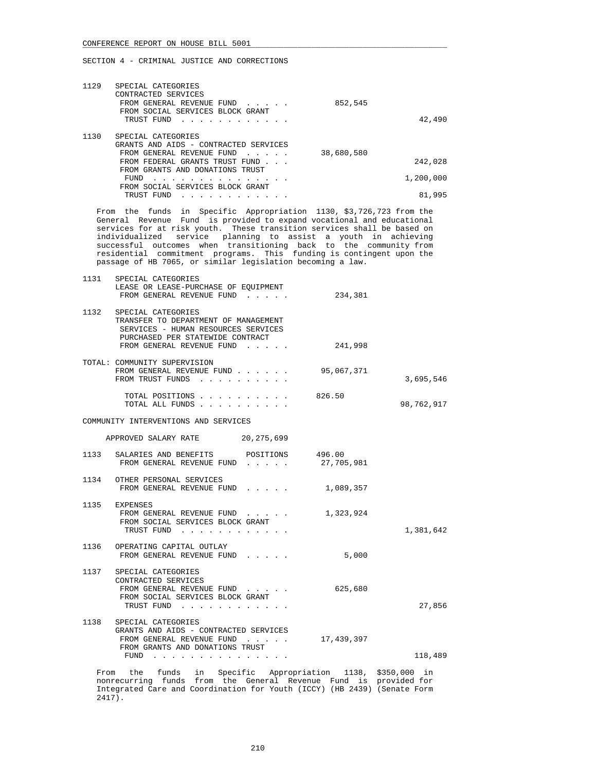| 1129 | SPECIAL CATEGORIES<br>CONTRACTED SERVICES<br>FROM GENERAL REVENUE FUND<br>$\sim$ $\sim$ $\sim$ $\sim$ $\sim$ $\sim$<br>FROM SOCIAL SERVICES BLOCK GRANT<br>TRUST FUND<br>. | 852,545    | 42,490    |
|------|----------------------------------------------------------------------------------------------------------------------------------------------------------------------------|------------|-----------|
| 1130 | SPECIAL CATEGORIES<br>GRANTS AND AIDS - CONTRACTED SERVICES                                                                                                                |            |           |
|      | FROM GENERAL REVENUE FUND<br>.                                                                                                                                             | 38,680,580 |           |
|      | FROM FEDERAL GRANTS TRUST FUND                                                                                                                                             |            | 242,028   |
|      | FROM GRANTS AND DONATIONS TRUST                                                                                                                                            |            |           |
|      | FUND                                                                                                                                                                       |            | 1,200,000 |
|      | FROM SOCIAL SERVICES BLOCK GRANT                                                                                                                                           |            |           |
|      | TRUST FUND                                                                                                                                                                 |            | 81,995    |

 From the funds in Specific Appropriation 1130, \$3,726,723 from the General Revenue Fund is provided to expand vocational and educational services for at risk youth. These transition services shall be based on individualized service planning to assist a youth in achieving successful outcomes when transitioning back to the community from residential commitment programs. This funding is contingent upon the passage of HB 7065, or similar legislation becoming a law.

|            | 234,381              | SPECIAL CATEGORIES<br>LEASE OR LEASE-PURCHASE OF EQUIPMENT<br>FROM GENERAL REVENUE FUND                                                                            | 1131          |
|------------|----------------------|--------------------------------------------------------------------------------------------------------------------------------------------------------------------|---------------|
|            | 241,998              | SPECIAL CATEGORIES<br>TRANSFER TO DEPARTMENT OF MANAGEMENT<br>SERVICES - HUMAN RESOURCES SERVICES<br>PURCHASED PER STATEWIDE CONTRACT<br>FROM GENERAL REVENUE FUND | 1132          |
| 3,695,546  | 95,067,371           | TOTAL: COMMUNITY SUPERVISION<br>FROM GENERAL REVENUE FUND<br>FROM TRUST FUNDS                                                                                      |               |
| 98,762,917 | 826.50               | TOTAL POSITIONS<br>TOTAL ALL FUNDS                                                                                                                                 |               |
|            |                      | COMMUNITY INTERVENTIONS AND SERVICES                                                                                                                               |               |
|            |                      | APPROVED SALARY RATE 20,275,699                                                                                                                                    |               |
|            | 496.00<br>27,705,981 | SALARIES AND BENEFITS POSITIONS<br>FROM GENERAL REVENUE FUND                                                                                                       | 1133          |
|            | 1,089,357            | OTHER PERSONAL SERVICES<br>FROM GENERAL REVENUE FUND                                                                                                               | 1134          |
| 1,381,642  | 1,323,924            | FROM GENERAL REVENUE FUND<br>FROM SOCIAL SERVICES BLOCK GRANT<br>TRUST FUND                                                                                        | 1135 EXPENSES |
|            | 5,000                | 1136 OPERATING CAPITAL OUTLAY<br>FROM GENERAL REVENUE FUND                                                                                                         |               |
| 27,856     | 625,680              | SPECIAL CATEGORIES<br>CONTRACTED SERVICES<br>FROM GENERAL REVENUE FUND<br>FROM SOCIAL SERVICES BLOCK GRANT<br>TRUST FUND                                           | 1137          |
| 118,489    | 17,439,397           | SPECIAL CATEGORIES<br>GRANTS AND AIDS - CONTRACTED SERVICES<br>FROM GENERAL REVENUE FUND<br>FROM GRANTS AND DONATIONS TRUST<br>FUND                                | 1138          |
|            |                      | From the funds in Specific Appropriation 1138, \$350,000 in                                                                                                        |               |
|            |                      |                                                                                                                                                                    |               |

 nonrecurring funds from the General Revenue Fund is provided for Integrated Care and Coordination for Youth (ICCY) (HB 2439) (Senate Form 2417).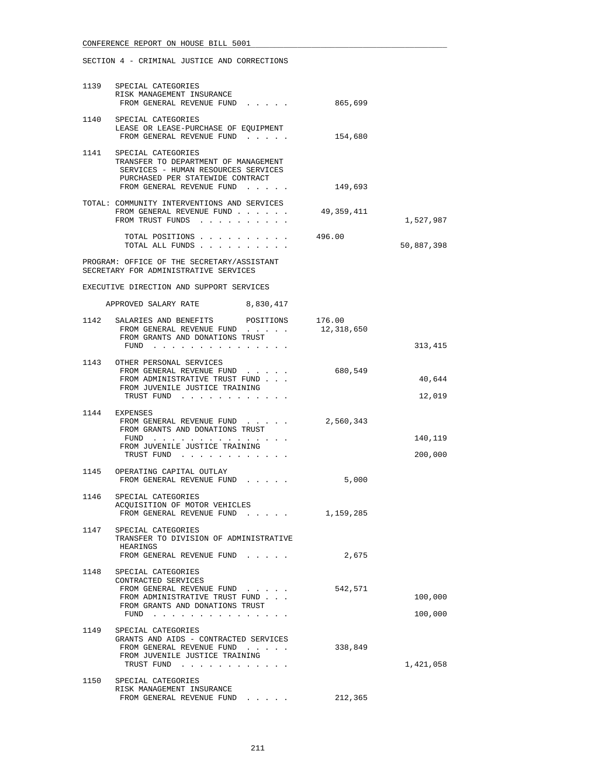|      | 1139 SPECIAL CATEGORIES<br>RISK MANAGEMENT INSURANCE<br>FROM GENERAL REVENUE FUND                                                                                       | 865,699    |            |
|------|-------------------------------------------------------------------------------------------------------------------------------------------------------------------------|------------|------------|
|      | 1140 SPECIAL CATEGORIES<br>LEASE OR LEASE-PURCHASE OF EQUIPMENT<br>FROM GENERAL REVENUE FUND                                                                            | 154,680    |            |
|      | 1141 SPECIAL CATEGORIES<br>TRANSFER TO DEPARTMENT OF MANAGEMENT<br>SERVICES - HUMAN RESOURCES SERVICES<br>PURCHASED PER STATEWIDE CONTRACT<br>FROM GENERAL REVENUE FUND | 149,693    |            |
|      | TOTAL: COMMUNITY INTERVENTIONS AND SERVICES<br>FROM GENERAL REVENUE FUND<br>FROM TRUST FUNDS                                                                            | 49,359,411 | 1,527,987  |
|      | TOTAL POSITIONS<br>TOTAL ALL FUNDS                                                                                                                                      | 496.00     | 50,887,398 |
|      | PROGRAM: OFFICE OF THE SECRETARY/ASSISTANT<br>SECRETARY FOR ADMINISTRATIVE SERVICES                                                                                     |            |            |
|      | EXECUTIVE DIRECTION AND SUPPORT SERVICES                                                                                                                                |            |            |
|      | APPROVED SALARY RATE 8,830,417                                                                                                                                          |            |            |
|      | 1142 SALARIES AND BENEFITS POSITIONS 176.00<br>FROM GENERAL REVENUE FUND<br>FROM GRANTS AND DONATIONS TRUST<br>FUND $\cdots$                                            | 12,318,650 | 313,415    |
|      | 1143 OTHER PERSONAL SERVICES                                                                                                                                            |            |            |
|      | FROM GENERAL REVENUE FUND<br>FROM ADMINISTRATIVE TRUST FUND<br>FROM JUVENILE JUSTICE TRAINING                                                                           | 680,549    | 40,644     |
|      | TRUST FUND                                                                                                                                                              |            | 12,019     |
|      | 1144 EXPENSES<br>FROM GENERAL REVENUE FUND<br>FROM GRANTS AND DONATIONS TRUST<br>FUND                                                                                   | 2,560,343  | 140,119    |
|      | FROM JUVENILE JUSTICE TRAINING<br>TRUST FUND                                                                                                                            |            | 200,000    |
|      | 1145 OPERATING CAPITAL OUTLAY<br>FROM GENERAL REVENUE FUND                                                                                                              | 5,000      |            |
|      | 1146 SPECIAL CATEGORIES<br>ACQUISITION OF MOTOR VEHICLES                                                                                                                |            |            |
| 1147 | FROM GENERAL REVENUE FUND.<br>SPECIAL CATEGORIES<br>TRANSFER TO DIVISION OF ADMINISTRATIVE                                                                              | 1,159,285  |            |
|      | HEARINGS<br>FROM GENERAL REVENUE FUND                                                                                                                                   | 2,675      |            |
| 1148 | SPECIAL CATEGORIES<br>CONTRACTED SERVICES<br>FROM GENERAL REVENUE FUND<br>FROM ADMINISTRATIVE TRUST FUND                                                                | 542,571    | 100,000    |
|      | FROM GRANTS AND DONATIONS TRUST<br>FUND $\cdots$                                                                                                                        |            | 100,000    |
| 1149 | SPECIAL CATEGORIES<br>GRANTS AND AIDS - CONTRACTED SERVICES<br>FROM GENERAL REVENUE FUND<br>FROM JUVENILE JUSTICE TRAINING<br>TRUST FUND                                | 338,849    | 1,421,058  |
|      | 1150 SPECIAL CATEGORIES<br>RISK MANAGEMENT INSURANCE                                                                                                                    |            |            |
|      | FROM GENERAL REVENUE FUND                                                                                                                                               | 212,365    |            |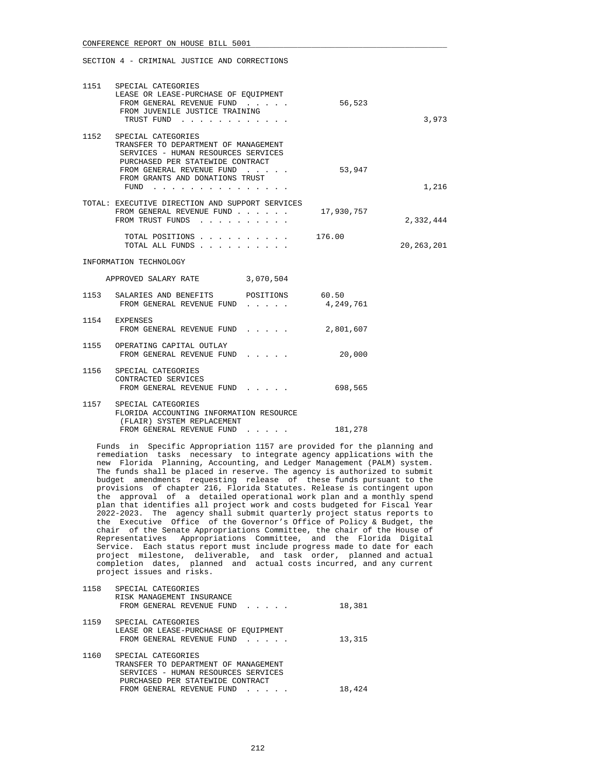|      | 1151 SPECIAL CATEGORIES<br>LEASE OR LEASE-PURCHASE OF EQUIPMENT<br>FROM GENERAL REVENUE FUND<br>FROM JUVENILE JUSTICE TRAINING<br>TRUST FUND                                                                                                                                                                                                                        | 56,523    | 3,973        |
|------|---------------------------------------------------------------------------------------------------------------------------------------------------------------------------------------------------------------------------------------------------------------------------------------------------------------------------------------------------------------------|-----------|--------------|
|      | 1152 SPECIAL CATEGORIES<br>TRANSFER TO DEPARTMENT OF MANAGEMENT<br>SERVICES - HUMAN RESOURCES SERVICES<br>PURCHASED PER STATEWIDE CONTRACT<br>FROM GENERAL REVENUE FUND<br>FROM GRANTS AND DONATIONS TRUST<br>FUND<br>$\begin{array}{cccccccccccccc} \bullet & \bullet & \bullet & \bullet & \bullet & \bullet & \bullet & \bullet & \bullet & \bullet \end{array}$ | 53,947    | 1,216        |
|      | TOTAL: EXECUTIVE DIRECTION AND SUPPORT SERVICES<br>FROM GENERAL REVENUE FUND 17,930,757<br>FROM TRUST FUNDS                                                                                                                                                                                                                                                         |           | 2,332,444    |
|      | TOTAL POSITIONS 176.00<br>TOTAL ALL FUNDS                                                                                                                                                                                                                                                                                                                           |           | 20, 263, 201 |
|      | INFORMATION TECHNOLOGY                                                                                                                                                                                                                                                                                                                                              |           |              |
|      | APPROVED SALARY RATE 3,070,504                                                                                                                                                                                                                                                                                                                                      |           |              |
| 1153 | SALARIES AND BENEFITS POSITIONS 60.50<br>FROM GENERAL REVENUE FUND                                                                                                                                                                                                                                                                                                  | 4,249,761 |              |
|      | 1154 EXPENSES<br>FROM GENERAL REVENUE FUND                                                                                                                                                                                                                                                                                                                          | 2,801,607 |              |
|      | 1155 OPERATING CAPITAL OUTLAY<br>FROM GENERAL REVENUE FUND                                                                                                                                                                                                                                                                                                          | 20,000    |              |
| 1156 | SPECIAL CATEGORIES<br>CONTRACTED SERVICES<br>FROM GENERAL REVENUE FUND                                                                                                                                                                                                                                                                                              | 698,565   |              |
|      | 1157 SPECIAL CATEGORIES<br>FLORIDA ACCOUNTING INFORMATION RESOURCE<br>(FLAIR) SYSTEM REPLACEMENT<br>FROM GENERAL REVENUE FUND                                                                                                                                                                                                                                       | 181,278   |              |
|      |                                                                                                                                                                                                                                                                                                                                                                     |           |              |

 Funds in Specific Appropriation 1157 are provided for the planning and remediation tasks necessary to integrate agency applications with the new Florida Planning, Accounting, and Ledger Management (PALM) system. The funds shall be placed in reserve. The agency is authorized to submit budget amendments requesting release of these funds pursuant to the provisions of chapter 216, Florida Statutes. Release is contingent upon the approval of a detailed operational work plan and a monthly spend plan that identifies all project work and costs budgeted for Fiscal Year 2022-2023. The agency shall submit quarterly project status reports to the Executive Office of the Governor's Office of Policy & Budget, the chair of the Senate Appropriations Committee, the chair of the House of Representatives Appropriations Committee, and the Florida Digital Service. Each status report must include progress made to date for each project milestone, deliverable, and task order, planned and actual completion dates, planned and actual costs incurred, and any current project issues and risks.

| 1158 | SPECIAL CATEGORIES<br>RISK MANAGEMENT INSURANCE<br>FROM GENERAL REVENUE FUND                                                                                       | 18,381 |
|------|--------------------------------------------------------------------------------------------------------------------------------------------------------------------|--------|
| 1159 | SPECIAL CATEGORIES<br>LEASE OR LEASE-PURCHASE OF EOUIPMENT<br>FROM GENERAL REVENUE FUND                                                                            | 13,315 |
| 1160 | SPECIAL CATEGORIES<br>TRANSFER TO DEPARTMENT OF MANAGEMENT<br>SERVICES - HUMAN RESOURCES SERVICES<br>PURCHASED PER STATEWIDE CONTRACT<br>FROM GENERAL REVENUE FUND | 18,424 |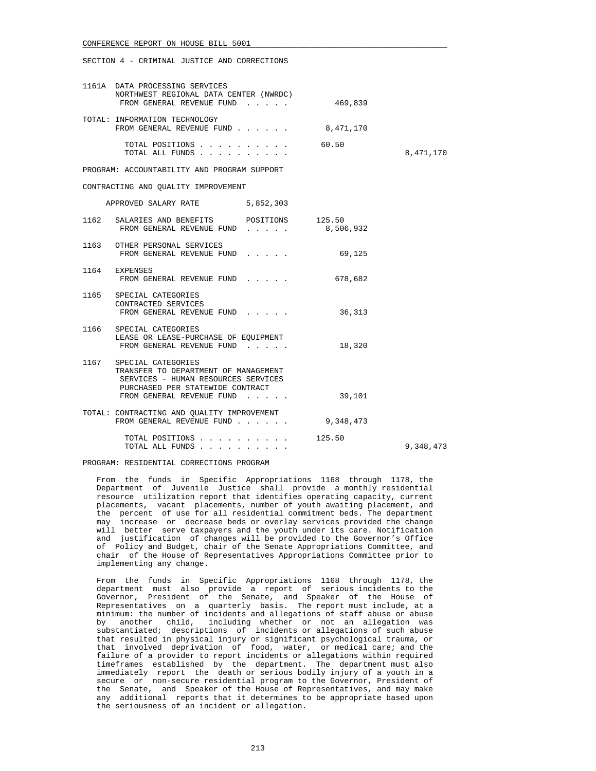SECTION 4 - CRIMINAL JUSTICE AND CORRECTIONS

| 1161A DATA PROCESSING SERVICES<br>NORTHWEST REGIONAL DATA CENTER (NWRDC)<br>FROM GENERAL REVENUE FUND                                      | 469,839   |           |
|--------------------------------------------------------------------------------------------------------------------------------------------|-----------|-----------|
| TOTAL: INFORMATION TECHNOLOGY<br>FROM GENERAL REVENUE FUND                                                                                 | 8,471,170 |           |
| TOTAL POSITIONS<br>TOTAL ALL FUNDS                                                                                                         | 60.50     | 8,471,170 |
| PROGRAM: ACCOUNTABILITY AND PROGRAM SUPPORT                                                                                                |           |           |
| CONTRACTING AND OUALITY IMPROVEMENT                                                                                                        |           |           |
| APPROVED SALARY RATE 5,852,303                                                                                                             |           |           |
| 1162 SALARIES AND BENEFITS POSITIONS 125.50<br>FROM GENERAL REVENUE FUND 8,506,932                                                         |           |           |
| 1163 OTHER PERSONAL SERVICES<br>FROM GENERAL REVENUE FUND                                                                                  | 69,125    |           |
| 1164 EXPENSES<br>FROM GENERAL REVENUE FUND                                                                                                 | 678,682   |           |
| 1165 SPECIAL CATEGORIES<br>CONTRACTED SERVICES<br>FROM GENERAL REVENUE FUND                                                                | 36,313    |           |
| 1166 SPECIAL CATEGORIES<br>LEASE OR LEASE-PURCHASE OF EQUIPMENT<br>FROM GENERAL REVENUE FUND                                               | 18,320    |           |
| 1167 SPECIAL CATEGORIES<br>TRANSFER TO DEPARTMENT OF MANAGEMENT<br>SERVICES - HUMAN RESOURCES SERVICES<br>PURCHASED PER STATEWIDE CONTRACT |           |           |
| FROM GENERAL REVENUE FUND                                                                                                                  | 39,101    |           |
| TOTAL: CONTRACTING AND OUALITY IMPROVEMENT<br>FROM GENERAL REVENUE FUND                                                                    | 9,348,473 |           |
| TOTAL POSITIONS 125.50                                                                                                                     |           | 9,348,473 |

PROGRAM: RESIDENTIAL CORRECTIONS PROGRAM

 From the funds in Specific Appropriations 1168 through 1178, the Department of Juvenile Justice shall provide a monthly residential resource utilization report that identifies operating capacity, current placements, vacant placements, number of youth awaiting placement, and the percent of use for all residential commitment beds. The department may increase or decrease beds or overlay services provided the change will better serve taxpayers and the youth under its care. Notification and justification of changes will be provided to the Governor's Office of Policy and Budget, chair of the Senate Appropriations Committee, and chair of the House of Representatives Appropriations Committee prior to implementing any change.

 From the funds in Specific Appropriations 1168 through 1178, the department must also provide a report of serious incidents to the Governor, President of the Senate, and Speaker of the House of Representatives on a quarterly basis. The report must include, at a minimum: the number of incidents and allegations of staff abuse or abuse by another child, including whether or not an allegation was substantiated; descriptions of incidents or allegations of such abuse that resulted in physical injury or significant psychological trauma, or that involved deprivation of food, water, or medical care; and the failure of a provider to report incidents or allegations within required timeframes established by the department. The department must also immediately report the death or serious bodily injury of a youth in a secure or non-secure residential program to the Governor, President of the Senate, and Speaker of the House of Representatives, and may make any additional reports that it determines to be appropriate based upon the seriousness of an incident or allegation.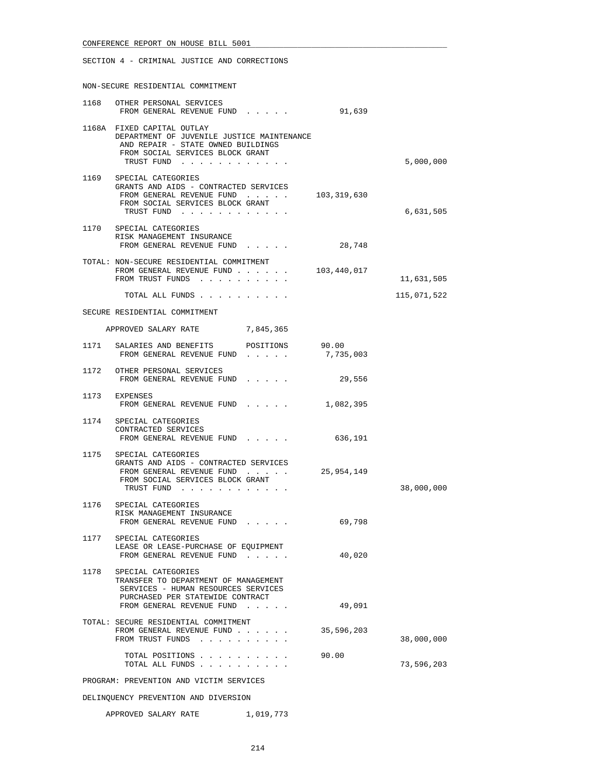SECTION 4 - CRIMINAL JUSTICE AND CORRECTIONS

NON-SECURE RESIDENTIAL COMMITMENT

| 1168 | OTHER PERSONAL SERVICES<br>FROM GENERAL REVENUE FUND                                                                                                                                                                                                                   | 91,639      |             |
|------|------------------------------------------------------------------------------------------------------------------------------------------------------------------------------------------------------------------------------------------------------------------------|-------------|-------------|
|      | 1168A FIXED CAPITAL OUTLAY<br>DEPARTMENT OF JUVENILE JUSTICE MAINTENANCE<br>AND REPAIR - STATE OWNED BUILDINGS<br>FROM SOCIAL SERVICES BLOCK GRANT<br>TRUST FUND                                                                                                       |             | 5,000,000   |
|      | 1169 SPECIAL CATEGORIES                                                                                                                                                                                                                                                |             |             |
|      | GRANTS AND AIDS - CONTRACTED SERVICES<br>FROM GENERAL REVENUE FUND<br>FROM SOCIAL SERVICES BLOCK GRANT<br>TRUST FUND                                                                                                                                                   | 103,319,630 | 6,631,505   |
|      | 1170 SPECIAL CATEGORIES<br>RISK MANAGEMENT INSURANCE<br>FROM GENERAL REVENUE FUND                                                                                                                                                                                      | 28,748      |             |
|      | TOTAL: NON-SECURE RESIDENTIAL COMMITMENT                                                                                                                                                                                                                               |             |             |
|      | FROM GENERAL REVENUE FUND<br>FROM TRUST FUNDS                                                                                                                                                                                                                          | 103,440,017 | 11,631,505  |
|      | TOTAL ALL FUNDS                                                                                                                                                                                                                                                        |             | 115,071,522 |
|      | SECURE RESIDENTIAL COMMITMENT                                                                                                                                                                                                                                          |             |             |
|      | APPROVED SALARY RATE 7,845,365                                                                                                                                                                                                                                         |             |             |
|      | 1171 SALARIES AND BENEFITS<br>POSITIONS                                                                                                                                                                                                                                | 90.00       |             |
|      | FROM GENERAL REVENUE FUND                                                                                                                                                                                                                                              | 7,735,003   |             |
|      | 1172 OTHER PERSONAL SERVICES<br>FROM GENERAL REVENUE FUND<br>$\mathbf{L} = \left\{ \mathbf{L} \mathbf{L} \right\} \left[ \mathbf{L} \mathbf{L} \right] \left[ \mathbf{L} \mathbf{L} \right] \left[ \mathbf{L} \mathbf{L} \right] \left[ \mathbf{L} \mathbf{L} \right]$ | 29,556      |             |
|      | 1173 EXPENSES<br>FROM GENERAL REVENUE FUND<br>$\mathbf{r}$ , $\mathbf{r}$ , $\mathbf{r}$ , $\mathbf{r}$ , $\mathbf{r}$                                                                                                                                                 | 1,082,395   |             |
|      | 1174 SPECIAL CATEGORIES<br>CONTRACTED SERVICES<br>FROM GENERAL REVENUE FUND                                                                                                                                                                                            | 636,191     |             |
|      | 1175 SPECIAL CATEGORIES                                                                                                                                                                                                                                                |             |             |
|      | GRANTS AND AIDS - CONTRACTED SERVICES<br>FROM GENERAL REVENUE FUND                                                                                                                                                                                                     | 25,954,149  |             |
|      | FROM SOCIAL SERVICES BLOCK GRANT<br>TRUST FUND                                                                                                                                                                                                                         |             | 38,000,000  |
|      | 1176 SPECIAL CATEGORIES                                                                                                                                                                                                                                                |             |             |
|      | RISK MANAGEMENT INSURANCE<br>FROM GENERAL REVENUE FUND<br>$\begin{array}{cccccccccccccc} \bullet & \bullet & \bullet & \bullet & \bullet & \bullet & \bullet & \bullet \end{array}$                                                                                    | 69,798      |             |
| 1177 | SPECIAL CATEGORIES<br>LEASE OR LEASE-PURCHASE OF EQUIPMENT<br>FROM GENERAL REVENUE FUND                                                                                                                                                                                | 40,020      |             |
| 1178 | SPECIAL CATEGORIES<br>TRANSFER TO DEPARTMENT OF MANAGEMENT<br>SERVICES - HUMAN RESOURCES SERVICES<br>PURCHASED PER STATEWIDE CONTRACT                                                                                                                                  |             |             |
|      | FROM GENERAL REVENUE FUND                                                                                                                                                                                                                                              | 49,091      |             |
|      | TOTAL: SECURE RESIDENTIAL COMMITMENT<br>FROM GENERAL REVENUE FUND<br>FROM TRUST FUNDS                                                                                                                                                                                  | 35,596,203  | 38,000,000  |
|      | TOTAL POSITIONS<br>TOTAL ALL FUNDS                                                                                                                                                                                                                                     | 90.00       | 73,596,203  |
|      | PROGRAM: PREVENTION AND VICTIM SERVICES                                                                                                                                                                                                                                |             |             |

DELINQUENCY PREVENTION AND DIVERSION

APPROVED SALARY RATE 1,019,773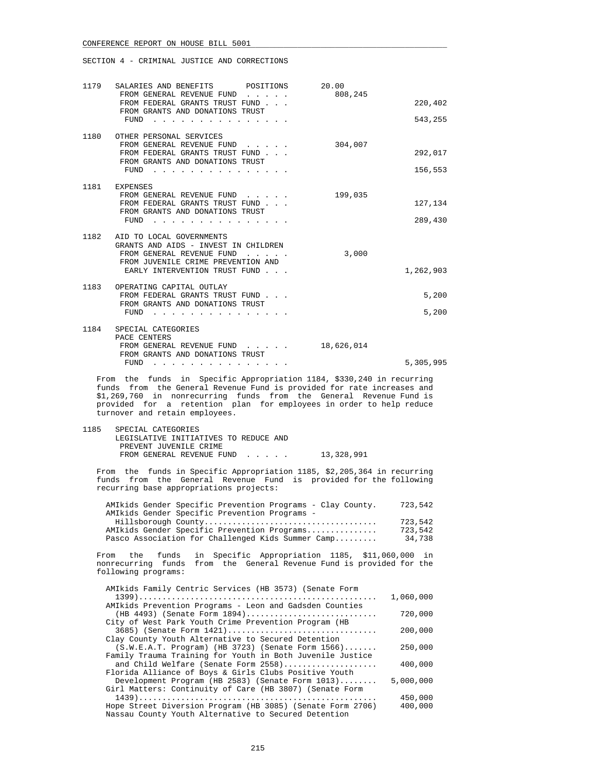| 1179 | SALARIES AND BENEFITS POSITIONS<br>FROM GENERAL REVENUE FUND<br>2.12122<br>FROM FEDERAL GRANTS TRUST FUND<br>FROM GRANTS AND DONATIONS TRUST<br>FUND                                                                                                                                                                                                                     | 20.00<br>808,245 | 220,402<br>543,255 |
|------|--------------------------------------------------------------------------------------------------------------------------------------------------------------------------------------------------------------------------------------------------------------------------------------------------------------------------------------------------------------------------|------------------|--------------------|
|      | 1180 OTHER PERSONAL SERVICES<br>FROM GENERAL REVENUE FUND<br>FROM FEDERAL GRANTS TRUST FUND<br>FROM GRANTS AND DONATIONS TRUST<br>FUND<br>and the company of the company of the company of the company of the company of the company of the company of the company of the company of the company of the company of the company of the company of the company of the comp | 304,007          | 292,017<br>156,553 |
|      | 1181 EXPENSES<br>FROM GENERAL REVENUE FUND<br>FROM FEDERAL GRANTS TRUST FUND<br>FROM GRANTS AND DONATIONS TRUST<br>FUND                                                                                                                                                                                                                                                  | 199,035          | 127,134<br>289,430 |
|      | 1182 AID TO LOCAL GOVERNMENTS<br>GRANTS AND AIDS - INVEST IN CHILDREN<br>FROM GENERAL REVENUE FUND<br>FROM JUVENILE CRIME PREVENTION AND<br>EARLY INTERVENTION TRUST FUND                                                                                                                                                                                                | 3,000            | 1,262,903          |
| 1183 | OPERATING CAPITAL OUTLAY<br>FROM FEDERAL GRANTS TRUST FUND<br>FROM GRANTS AND DONATIONS TRUST<br>FUND                                                                                                                                                                                                                                                                    |                  | 5,200<br>5,200     |
| 1184 | SPECIAL CATEGORIES<br>PACE CENTERS<br>FROM GENERAL REVENUE FUND<br>FROM GRANTS AND DONATIONS TRUST<br>FUND<br>$\sim$ $\sim$ $\sim$ $\sim$ $\sim$ $\sim$                                                                                                                                                                                                                  | 18,626,014       | 5,305,995          |

 From the funds in Specific Appropriation 1184, \$330,240 in recurring funds from the General Revenue Fund is provided for rate increases and \$1,269,760 in nonrecurring funds from the General Revenue Fund is provided for a retention plan for employees in order to help reduce turnover and retain employees.

 1185 SPECIAL CATEGORIES LEGISLATIVE INITIATIVES TO REDUCE AND PREVENT JUVENILE CRIME FROM GENERAL REVENUE FUND . . . . . 13,328,991

 From the funds in Specific Appropriation 1185, \$2,205,364 in recurring funds from the General Revenue Fund is provided for the following recurring base appropriations projects:

| AMIkids Gender Specific Prevention Programs - Clay County. | 723,542 |
|------------------------------------------------------------|---------|
| AMIkids Gender Specific Prevention Programs -              |         |
|                                                            | 723,542 |
| AMIkids Gender Specific Prevention Programs                | 723,542 |
| Pasco Association for Challenged Kids Summer Camp          | 34,738  |

 From the funds in Specific Appropriation 1185, \$11,060,000 in nonrecurring funds from the General Revenue Fund is provided for the following programs:

| AMIkids Family Centric Services (HB 3573) (Senate Form     |           |
|------------------------------------------------------------|-----------|
|                                                            | 1,060,000 |
| AMIkids Prevention Programs - Leon and Gadsden Counties    |           |
| (HB 4493) (Senate Form 1894)                               | 720,000   |
| City of West Park Youth Crime Prevention Program (HB       |           |
| 3685) (Senate Form 1421)                                   | 200,000   |
| Clay County Youth Alternative to Secured Detention         |           |
| $(S.W.E.A.T. Program)$ (HB 3723) (Senate Form $1566$ )     | 250,000   |
| Family Trauma Training for Youth in Both Juvenile Justice  |           |
| and Child Welfare (Senate Form 2558)                       | 400,000   |
| Florida Alliance of Boys & Girls Clubs Positive Youth      |           |
| Development Program (HB 2583) (Senate Form 1013)           | 5,000,000 |
| Girl Matters: Continuity of Care (HB 3807) (Senate Form    |           |
|                                                            | 450,000   |
| Hope Street Diversion Program (HB 3085) (Senate Form 2706) | 400,000   |
| Nassau County Youth Alternative to Secured Detention       |           |
|                                                            |           |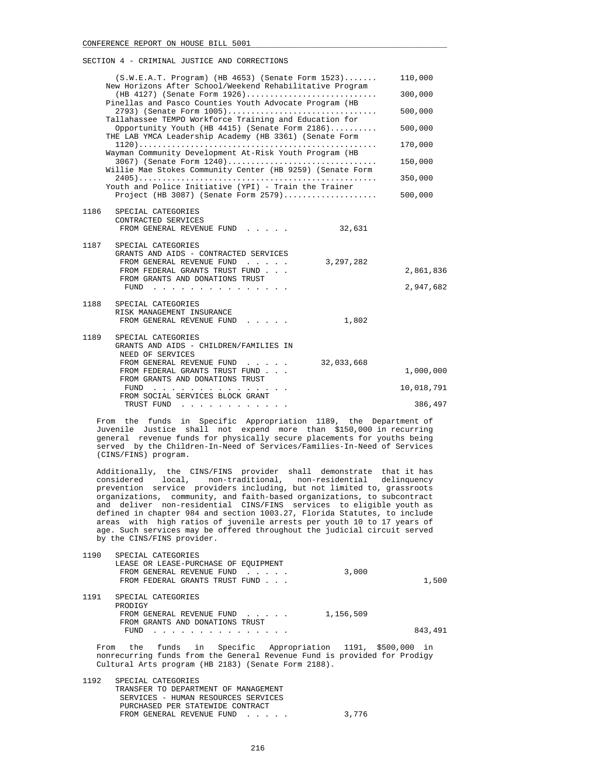|      | $(S.W.E.A.T. Program)$ (HB 4653) (Senate Form 1523)<br>New Horizons After School/Weekend Rehabilitative Program |            | 110,000    |
|------|-----------------------------------------------------------------------------------------------------------------|------------|------------|
|      | $(HB 4127)$ (Senate Form 1926)<br>Pinellas and Pasco Counties Youth Advocate Program (HB                        |            | 300,000    |
|      | 2793) (Senate Form 1005)<br>Tallahassee TEMPO Workforce Training and Education for                              |            | 500,000    |
|      | Opportunity Youth (HB 4415) (Senate Form 2186)<br>THE LAB YMCA Leadership Academy (HB 3361) (Senate Form        |            | 500,000    |
|      | Wayman Community Development At-Risk Youth Program (HB                                                          |            | 170,000    |
|      | 3067) (Senate Form 1240)<br>Willie Mae Stokes Community Center (HB 9259) (Senate Form                           |            | 150,000    |
|      | Youth and Police Initiative (YPI) - Train the Trainer                                                           |            | 350,000    |
|      | Project (HB 3087) (Senate Form $2579)$                                                                          |            | 500,000    |
| 1186 | SPECIAL CATEGORIES<br>CONTRACTED SERVICES<br>FROM GENERAL REVENUE FUND                                          | 32,631     |            |
| 1187 | SPECIAL CATEGORIES                                                                                              |            |            |
|      | GRANTS AND AIDS - CONTRACTED SERVICES<br>FROM GENERAL REVENUE FUND                                              | 3,297,282  |            |
|      | FROM FEDERAL GRANTS TRUST FUND<br>FROM GRANTS AND DONATIONS TRUST                                               |            | 2,861,836  |
|      | FUND $\cdots$                                                                                                   |            | 2,947,682  |
| 1188 | SPECIAL CATEGORIES<br>RISK MANAGEMENT INSURANCE                                                                 |            |            |
|      | FROM GENERAL REVENUE FUND                                                                                       | 1,802      |            |
| 1189 | SPECIAL CATEGORIES<br>GRANTS AND AIDS - CHILDREN/FAMILIES IN<br>NEED OF SERVICES                                |            |            |
|      | FROM GENERAL REVENUE FUND<br>FROM FEDERAL GRANTS TRUST FUND                                                     | 32,033,668 | 1,000,000  |
|      | FROM GRANTS AND DONATIONS TRUST                                                                                 |            |            |
|      | FUND $\cdots$<br>FROM SOCIAL SERVICES BLOCK GRANT                                                               |            | 10,018,791 |
|      | TRUST FUND                                                                                                      |            | 386,497    |

 From the funds in Specific Appropriation 1189, the Department of Juvenile Justice shall not expend more than \$150,000 in recurring general revenue funds for physically secure placements for youths being served by the Children-In-Need of Services/Families-In-Need of Services (CINS/FINS) program.

 Additionally, the CINS/FINS provider shall demonstrate that it has considered local, non-traditional, non-residential delinquency prevention service providers including, but not limited to, grassroots organizations, community, and faith-based organizations, to subcontract and deliver non-residential CINS/FINS services to eligible youth as defined in chapter 984 and section 1003.27, Florida Statutes, to include areas with high ratios of juvenile arrests per youth 10 to 17 years of age. Such services may be offered throughout the judicial circuit served by the CINS/FINS provider.

| 1190 | SPECIAL CATEGORIES                   |           |         |
|------|--------------------------------------|-----------|---------|
|      | LEASE OR LEASE-PURCHASE OF EOUIPMENT |           |         |
|      | FROM GENERAL REVENUE FUND            | 3,000     |         |
|      | FROM FEDERAL GRANTS TRUST FUND       |           | 1,500   |
| 1191 | SPECIAL CATEGORIES                   |           |         |
|      | PRODIGY                              |           |         |
|      | FROM GENERAL REVENUE FUND            | 1,156,509 |         |
|      | FROM GRANTS AND DONATIONS TRUST      |           |         |
|      | FUND                                 |           | 843,491 |
|      |                                      |           |         |

 From the funds in Specific Appropriation 1191, \$500,000 in nonrecurring funds from the General Revenue Fund is provided for Prodigy Cultural Arts program (HB 2183) (Senate Form 2188).

 1192 SPECIAL CATEGORIES TRANSFER TO DEPARTMENT OF MANAGEMENT SERVICES - HUMAN RESOURCES SERVICES PURCHASED PER STATEWIDE CONTRACT FROM GENERAL REVENUE FUND . . . . . 3,776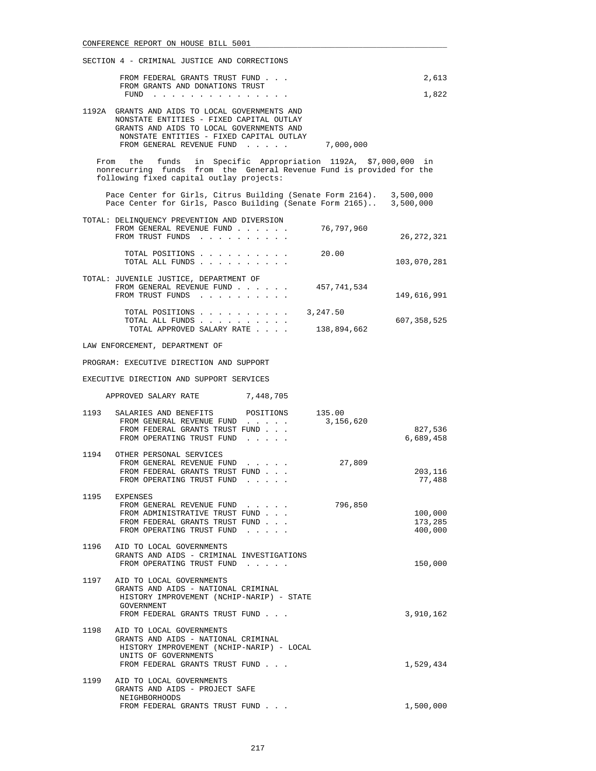| SECTION 4 - CRIMINAL JUSTICE AND CORRECTIONS |                                                                                                                                                                                                                                                                                                          |                               |  |
|----------------------------------------------|----------------------------------------------------------------------------------------------------------------------------------------------------------------------------------------------------------------------------------------------------------------------------------------------------------|-------------------------------|--|
|                                              | FROM FEDERAL GRANTS TRUST FUND<br>FROM GRANTS AND DONATIONS TRUST<br>FUND $\cdots$                                                                                                                                                                                                                       | 2,613<br>1,822                |  |
|                                              | 1192A GRANTS AND AIDS TO LOCAL GOVERNMENTS AND<br>NONSTATE ENTITIES - FIXED CAPITAL OUTLAY<br>GRANTS AND AIDS TO LOCAL GOVERNMENTS AND<br>NONSTATE ENTITIES - FIXED CAPITAL OUTLAY<br>FROM GENERAL REVENUE FUND<br>7,000,000                                                                             |                               |  |
|                                              | funds in Specific Appropriation 1192A, \$7,000,000 in<br>From the<br>nonrecurring funds from the General Revenue Fund is provided for the<br>following fixed capital outlay projects:                                                                                                                    |                               |  |
|                                              | Pace Center for Girls, Citrus Building (Senate Form 2164). 3,500,000<br>Pace Center for Girls, Pasco Building (Senate Form 2165) 3,500,000                                                                                                                                                               |                               |  |
|                                              | TOTAL: DELINQUENCY PREVENTION AND DIVERSION<br>FROM GENERAL REVENUE FUND 76,797,960<br>FROM TRUST FUNDS                                                                                                                                                                                                  | 26, 272, 321                  |  |
|                                              | TOTAL POSITIONS<br>20.00<br>TOTAL ALL FUNDS                                                                                                                                                                                                                                                              | 103,070,281                   |  |
|                                              | TOTAL: JUVENILE JUSTICE, DEPARTMENT OF<br>FROM GENERAL REVENUE FUND<br>457,741,534<br>FROM TRUST FUNDS                                                                                                                                                                                                   | 149,616,991                   |  |
|                                              | TOTAL POSITIONS<br>3,247.50<br>TOTAL ALL FUNDS<br>TOTAL APPROVED SALARY RATE<br>138,894,662                                                                                                                                                                                                              | 607,358,525                   |  |
|                                              | LAW ENFORCEMENT, DEPARTMENT OF                                                                                                                                                                                                                                                                           |                               |  |
|                                              | PROGRAM: EXECUTIVE DIRECTION AND SUPPORT                                                                                                                                                                                                                                                                 |                               |  |
|                                              | EXECUTIVE DIRECTION AND SUPPORT SERVICES                                                                                                                                                                                                                                                                 |                               |  |
|                                              | APPROVED SALARY RATE 7,448,705                                                                                                                                                                                                                                                                           |                               |  |
| 1193                                         | SALARIES AND BENEFITS<br>135.00<br>POSITIONS<br>FROM GENERAL REVENUE FUND<br>3,156,620<br>FROM FEDERAL GRANTS TRUST FUND<br>FROM OPERATING TRUST FUND                                                                                                                                                    | 827,536<br>6,689,458          |  |
|                                              | 1194 OTHER PERSONAL SERVICES<br>FROM GENERAL REVENUE FUND<br>27,809<br>$\cdot$ $\cdot$ $\cdot$ $\cdot$<br>FROM FEDERAL GRANTS TRUST FUND<br>FROM OPERATING TRUST FUND<br>$\mathcal{L}^{\mathcal{A}}$ , where $\mathcal{L}^{\mathcal{A}}$ and $\mathcal{L}^{\mathcal{A}}$ are $\mathcal{L}^{\mathcal{A}}$ | 203,116<br>77,488             |  |
| 1195                                         | <b>EXPENSES</b><br>796,850<br>FROM GENERAL REVENUE FUND<br>FROM ADMINISTRATIVE TRUST FUND<br>FROM FEDERAL GRANTS TRUST FUND<br>FROM OPERATING TRUST FUND                                                                                                                                                 | 100,000<br>173,285<br>400,000 |  |
| 1196                                         | AID TO LOCAL GOVERNMENTS<br>GRANTS AND AIDS - CRIMINAL INVESTIGATIONS<br>FROM OPERATING TRUST FUND                                                                                                                                                                                                       | 150,000                       |  |
|                                              | 1197 AID TO LOCAL GOVERNMENTS<br>GRANTS AND AIDS - NATIONAL CRIMINAL<br>HISTORY IMPROVEMENT (NCHIP-NARIP) - STATE<br>GOVERNMENT<br>FROM FEDERAL GRANTS TRUST FUND                                                                                                                                        | 3,910,162                     |  |
| 1198                                         | AID TO LOCAL GOVERNMENTS<br>GRANTS AND AIDS - NATIONAL CRIMINAL<br>HISTORY IMPROVEMENT (NCHIP-NARIP) - LOCAL<br>UNITS OF GOVERNMENTS<br>FROM FEDERAL GRANTS TRUST FUND                                                                                                                                   | 1,529,434                     |  |
| 1199                                         | AID TO LOCAL GOVERNMENTS<br>GRANTS AND AIDS - PROJECT SAFE<br>NEIGHBORHOODS                                                                                                                                                                                                                              |                               |  |
|                                              | FROM FEDERAL GRANTS TRUST FUND                                                                                                                                                                                                                                                                           | 1,500,000                     |  |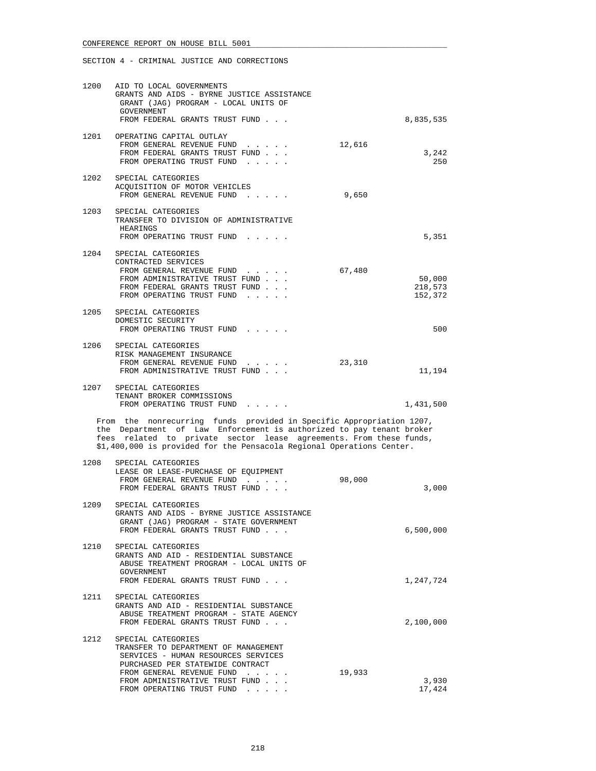| 1200 | AID TO LOCAL GOVERNMENTS<br>GRANTS AND AIDS - BYRNE JUSTICE ASSISTANCE<br>GRANT (JAG) PROGRAM - LOCAL UNITS OF<br>GOVERNMENT<br>FROM FEDERAL GRANTS TRUST FUND                                                                                                                              |        | 8,835,535                    |
|------|---------------------------------------------------------------------------------------------------------------------------------------------------------------------------------------------------------------------------------------------------------------------------------------------|--------|------------------------------|
|      | 1201 OPERATING CAPITAL OUTLAY<br>FROM GENERAL REVENUE FUND<br>FROM FEDERAL GRANTS TRUST FUND<br>FROM OPERATING TRUST FUND                                                                                                                                                                   | 12,616 | 3,242<br>250                 |
| 1202 | SPECIAL CATEGORIES<br>ACQUISITION OF MOTOR VEHICLES<br>FROM GENERAL REVENUE FUND                                                                                                                                                                                                            | 9,650  |                              |
| 1203 | SPECIAL CATEGORIES<br>TRANSFER TO DIVISION OF ADMINISTRATIVE<br>HEARINGS<br>FROM OPERATING TRUST FUND                                                                                                                                                                                       |        | 5,351                        |
| 1204 | SPECIAL CATEGORIES<br>CONTRACTED SERVICES<br>FROM GENERAL REVENUE FUND<br>FROM ADMINISTRATIVE TRUST FUND<br>FROM FEDERAL GRANTS TRUST FUND<br>FROM OPERATING TRUST FUND                                                                                                                     | 67,480 | 50,000<br>218,573<br>152,372 |
|      | 1205 SPECIAL CATEGORIES<br>DOMESTIC SECURITY<br>FROM OPERATING TRUST FUND                                                                                                                                                                                                                   |        | 500                          |
| 1206 | SPECIAL CATEGORIES<br>RISK MANAGEMENT INSURANCE<br>FROM GENERAL REVENUE FUND<br>FROM ADMINISTRATIVE TRUST FUND                                                                                                                                                                              | 23,310 | 11,194                       |
| 1207 | SPECIAL CATEGORIES<br>TENANT BROKER COMMISSIONS<br>FROM OPERATING TRUST FUND                                                                                                                                                                                                                |        | 1,431,500                    |
|      | From the nonrecurring funds provided in Specific Appropriation 1207,<br>the Department of Law Enforcement is authorized to pay tenant broker<br>fees related to private sector lease agreements. From these funds,<br>\$1,400,000 is provided for the Pensacola Regional Operations Center. |        |                              |
| 1208 | SPECIAL CATEGORIES<br>LEASE OR LEASE-PURCHASE OF EQUIPMENT<br>FROM GENERAL REVENUE FUND<br>FROM FEDERAL GRANTS TRUST FUND                                                                                                                                                                   | 98,000 | 3,000                        |
| 1209 | SPECIAL CATEGORIES<br>GRANTS AND AIDS - BYRNE JUSTICE ASSISTANCE<br>GRANT (JAG) PROGRAM - STATE GOVERNMENT<br>FROM FEDERAL GRANTS TRUST FUND                                                                                                                                                |        | 6,500,000                    |
| 1210 | SPECIAL CATEGORIES<br>GRANTS AND AID - RESIDENTIAL SUBSTANCE<br>ABUSE TREATMENT PROGRAM - LOCAL UNITS OF<br><b>GOVERNMENT</b>                                                                                                                                                               |        |                              |
| 1211 | FROM FEDERAL GRANTS TRUST FUND<br>SPECIAL CATEGORIES<br>GRANTS AND AID - RESIDENTIAL SUBSTANCE<br>ABUSE TREATMENT PROGRAM - STATE AGENCY<br>FROM FEDERAL GRANTS TRUST FUND                                                                                                                  |        | 1,247,724<br>2,100,000       |
| 1212 | SPECIAL CATEGORIES<br>TRANSFER TO DEPARTMENT OF MANAGEMENT<br>SERVICES - HUMAN RESOURCES SERVICES<br>PURCHASED PER STATEWIDE CONTRACT<br>FROM GENERAL REVENUE FUND                                                                                                                          | 19,933 |                              |
|      | FROM ADMINISTRATIVE TRUST FUND<br>FROM OPERATING TRUST FUND                                                                                                                                                                                                                                 |        | 3,930<br>17,424              |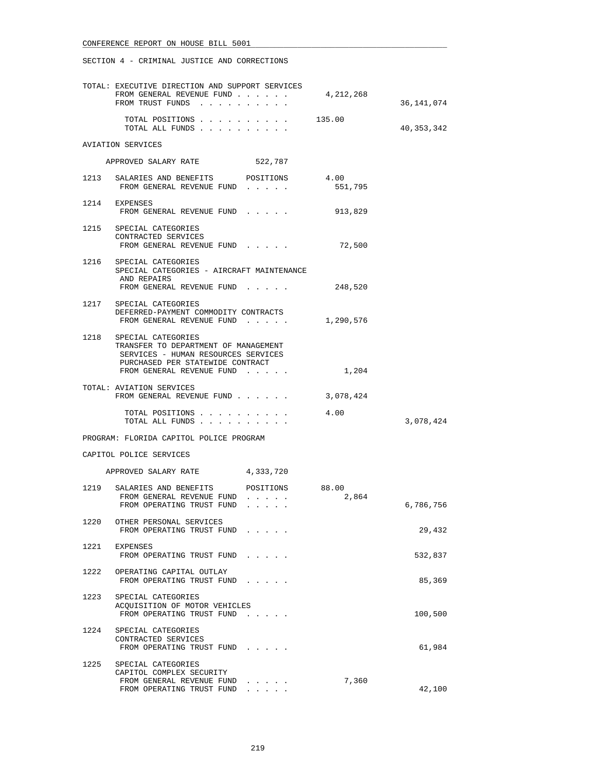|      | TOTAL: EXECUTIVE DIRECTION AND SUPPORT SERVICES<br>FROM GENERAL REVENUE FUND<br>FROM TRUST FUNDS                                           | 4,212,268 | 36,141,074   |
|------|--------------------------------------------------------------------------------------------------------------------------------------------|-----------|--------------|
|      |                                                                                                                                            |           |              |
|      | TOTAL POSITIONS 135.00<br>TOTAL ALL FUNDS                                                                                                  |           | 40, 353, 342 |
|      | AVIATION SERVICES                                                                                                                          |           |              |
|      | APPROVED SALARY RATE<br>522,787                                                                                                            |           |              |
|      | 1213 SALARIES AND BENEFITS POSITIONS 4.00<br>FROM GENERAL REVENUE FUND                                                                     | 551,795   |              |
|      | 1214 EXPENSES<br>FROM GENERAL REVENUE FUND                                                                                                 | 913,829   |              |
|      | 1215 SPECIAL CATEGORIES<br>CONTRACTED SERVICES<br>FROM GENERAL REVENUE FUND                                                                | 72,500    |              |
|      | 1216 SPECIAL CATEGORIES<br>SPECIAL CATEGORIES - AIRCRAFT MAINTENANCE<br>AND REPAIRS                                                        |           |              |
|      | FROM GENERAL REVENUE FUND                                                                                                                  | 248,520   |              |
|      | 1217 SPECIAL CATEGORIES<br>DEFERRED-PAYMENT COMMODITY CONTRACTS<br>FROM GENERAL REVENUE FUND                                               | 1,290,576 |              |
|      | 1218 SPECIAL CATEGORIES<br>TRANSFER TO DEPARTMENT OF MANAGEMENT<br>SERVICES - HUMAN RESOURCES SERVICES<br>PURCHASED PER STATEWIDE CONTRACT |           |              |
|      | FROM GENERAL REVENUE FUND                                                                                                                  | 1,204     |              |
|      | TOTAL: AVIATION SERVICES<br>FROM GENERAL REVENUE FUND                                                                                      | 3,078,424 |              |
|      | TOTAL POSITIONS<br>TOTAL ALL FUNDS                                                                                                         | 4.00      | 3,078,424    |
|      | PROGRAM: FLORIDA CAPITOL POLICE PROGRAM                                                                                                    |           |              |
|      | CAPITOL POLICE SERVICES                                                                                                                    |           |              |
|      | APPROVED SALARY RATE<br>4,333,720                                                                                                          |           |              |
|      | 1219 SALARIES AND BENEFITS POSITIONS 88.00<br>FROM GENERAL REVENUE FUND                                                                    | 2,864     |              |
|      | FROM OPERATING TRUST FUND<br>$\cdot$ $\cdot$ $\cdot$ $\cdot$ $\cdot$                                                                       |           | 6,786,756    |
| 1220 | OTHER PERSONAL SERVICES<br>FROM OPERATING TRUST FUND                                                                                       |           | 29,432       |
| 1221 | EXPENSES<br>FROM OPERATING TRUST FUND                                                                                                      |           | 532,837      |
| 1222 | OPERATING CAPITAL OUTLAY<br>FROM OPERATING TRUST FUND                                                                                      |           | 85,369       |
| 1223 | SPECIAL CATEGORIES<br>ACOUISITION OF MOTOR VEHICLES<br>FROM OPERATING TRUST FUND                                                           |           | 100,500      |
| 1224 | SPECIAL CATEGORIES<br>CONTRACTED SERVICES<br>FROM OPERATING TRUST FUND                                                                     |           | 61,984       |
| 1225 | SPECIAL CATEGORIES<br>CAPITOL COMPLEX SECURITY<br>FROM GENERAL REVENUE FUND<br>FROM OPERATING TRUST FUND                                   | 7,360     | 42,100       |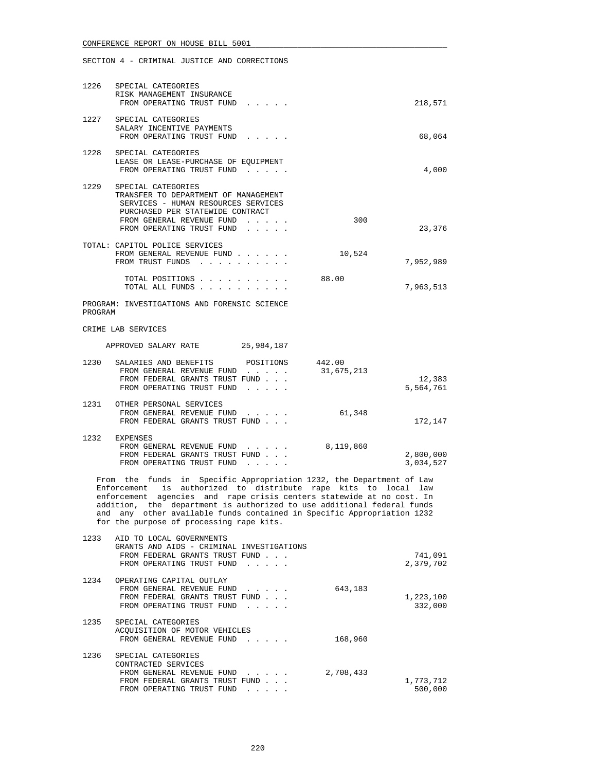|         | 1226 SPECIAL CATEGORIES<br>RISK MANAGEMENT INSURANCE<br>FROM OPERATING TRUST FUND                                                                                                                                                                                                                                                                                                                               | 218,571                |
|---------|-----------------------------------------------------------------------------------------------------------------------------------------------------------------------------------------------------------------------------------------------------------------------------------------------------------------------------------------------------------------------------------------------------------------|------------------------|
|         | 1227 SPECIAL CATEGORIES<br>SALARY INCENTIVE PAYMENTS<br>FROM OPERATING TRUST FUND                                                                                                                                                                                                                                                                                                                               | 68,064                 |
|         | 1228 SPECIAL CATEGORIES<br>LEASE OR LEASE-PURCHASE OF EQUIPMENT<br>FROM OPERATING TRUST FUND                                                                                                                                                                                                                                                                                                                    | 4,000                  |
|         | 1229 SPECIAL CATEGORIES<br>TRANSFER TO DEPARTMENT OF MANAGEMENT<br>SERVICES - HUMAN RESOURCES SERVICES<br>PURCHASED PER STATEWIDE CONTRACT<br>FROM GENERAL REVENUE FUND<br>$\mathbf{r}$ and $\mathbf{r}$ and $\mathbf{r}$<br>FROM OPERATING TRUST FUND<br>$\cdot$ $\cdot$ $\cdot$                                                                                                                               | 300<br>23,376          |
|         | TOTAL: CAPITOL POLICE SERVICES<br>FROM GENERAL REVENUE FUND<br>FROM TRUST FUNDS                                                                                                                                                                                                                                                                                                                                 | 10,524<br>7,952,989    |
|         | TOTAL POSITIONS<br>88.00<br>TOTAL ALL FUNDS                                                                                                                                                                                                                                                                                                                                                                     | 7,963,513              |
| PROGRAM | PROGRAM: INVESTIGATIONS AND FORENSIC SCIENCE                                                                                                                                                                                                                                                                                                                                                                    |                        |
|         | CRIME LAB SERVICES                                                                                                                                                                                                                                                                                                                                                                                              |                        |
|         | APPROVED SALARY RATE 25,984,187                                                                                                                                                                                                                                                                                                                                                                                 |                        |
|         | 1230 SALARIES AND BENEFITS POSITIONS 442.00<br>31,675,213<br>FROM GENERAL REVENUE FUND<br>FROM FEDERAL GRANTS TRUST FUND<br>FROM OPERATING TRUST FUND                                                                                                                                                                                                                                                           | 12,383<br>5,564,761    |
|         | 1231 OTHER PERSONAL SERVICES<br>FROM GENERAL REVENUE FUND<br>FROM FEDERAL GRANTS TRUST FUND                                                                                                                                                                                                                                                                                                                     | 61,348<br>172,147      |
|         | 1232 EXPENSES<br>FROM GENERAL REVENUE FUND<br>8,119,860<br>FROM FEDERAL GRANTS TRUST FUND<br>FROM OPERATING TRUST FUND                                                                                                                                                                                                                                                                                          | 2,800,000<br>3,034,527 |
|         | From the funds in Specific Appropriation 1232, the Department of Law<br>Enforcement is authorized to distribute rape kits to local law<br>enforcement agencies and rape crisis centers statewide at no cost. In<br>addition, the department is authorized to use additional federal funds<br>and any other available funds contained in Specific Appropriation 1232<br>for the purpose of processing rape kits. |                        |
| 1233    | AID TO LOCAL GOVERNMENTS<br>GRANTS AND AIDS - CRIMINAL INVESTIGATIONS<br>FROM FEDERAL GRANTS TRUST FUND<br>FROM OPERATING TRUST FUND                                                                                                                                                                                                                                                                            | 741,091<br>2,379,702   |
| 1234    | OPERATING CAPITAL OUTLAY<br>FROM GENERAL REVENUE FUND<br>643,183<br>FROM FEDERAL GRANTS TRUST FUND<br>FROM OPERATING TRUST FUND                                                                                                                                                                                                                                                                                 | 1,223,100<br>332,000   |
| 1235    | SPECIAL CATEGORIES<br>ACQUISITION OF MOTOR VEHICLES<br>FROM GENERAL REVENUE FUND                                                                                                                                                                                                                                                                                                                                | 168,960                |
| 1236    | SPECIAL CATEGORIES<br>CONTRACTED SERVICES<br>FROM GENERAL REVENUE FUND<br>2,708,433<br>FROM FEDERAL GRANTS TRUST FUND<br>FROM OPERATING TRUST FUND                                                                                                                                                                                                                                                              | 1,773,712<br>500,000   |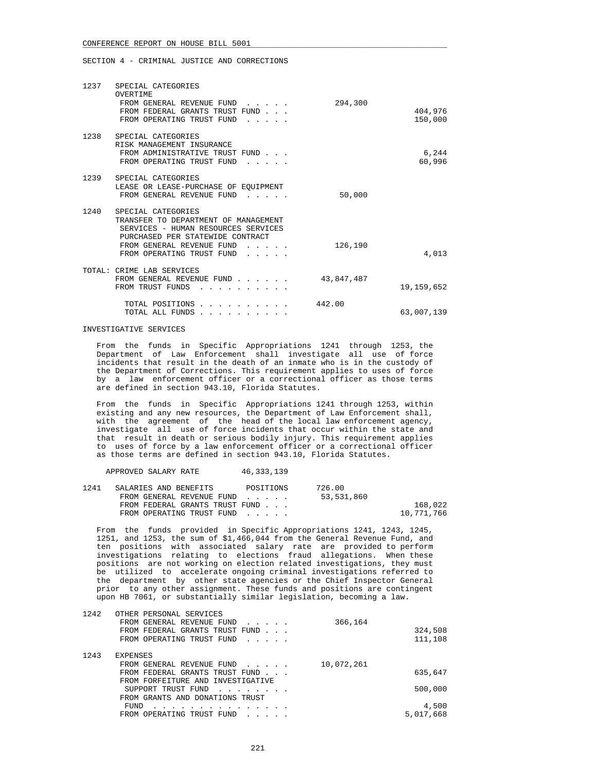|      | 1237 SPECIAL CATEGORIES                                                                                                                                                                                                                                        |            |                    |
|------|----------------------------------------------------------------------------------------------------------------------------------------------------------------------------------------------------------------------------------------------------------------|------------|--------------------|
|      | OVERTIME<br>FROM GENERAL REVENUE FUND<br>FROM FEDERAL GRANTS TRUST FUND<br>FROM OPERATING TRUST FUND<br>$\mathbf{1}$ and $\mathbf{1}$ and $\mathbf{1}$ and $\mathbf{1}$                                                                                        | 294,300    | 404,976<br>150,000 |
|      | 1238 SPECIAL CATEGORIES<br>RISK MANAGEMENT INSURANCE<br>FROM ADMINISTRATIVE TRUST FUND<br>FROM OPERATING TRUST FUND<br>$\sim$ $\sim$ $\sim$ $\sim$ $\sim$                                                                                                      |            | 6,244<br>60,996    |
| 1239 | SPECIAL CATEGORIES<br>LEASE OR LEASE-PURCHASE OF EOUIPMENT<br>FROM GENERAL REVENUE FUND                                                                                                                                                                        | 50,000     |                    |
| 1240 | SPECIAL CATEGORIES<br>TRANSFER TO DEPARTMENT OF MANAGEMENT<br>SERVICES - HUMAN RESOURCES SERVICES<br>PURCHASED PER STATEWIDE CONTRACT<br>FROM GENERAL REVENUE FUND<br>$\cdots$ $\cdots$<br>FROM OPERATING TRUST FUND<br>$\mathbf{1}$ . The set of $\mathbf{1}$ | 126,190    | 4,013              |
|      |                                                                                                                                                                                                                                                                |            |                    |
|      | TOTAL: CRIME LAB SERVICES<br>FROM GENERAL REVENUE FUND<br>FROM TRUST FUNDS                                                                                                                                                                                     | 43,847,487 | 19, 159, 652       |
|      | TOTAL POSITIONS<br>TOTAL ALL FUNDS                                                                                                                                                                                                                             | 442.00     | 63,007,139         |

#### INVESTIGATIVE SERVICES

 From the funds in Specific Appropriations 1241 through 1253, the Department of Law Enforcement shall investigate all use of force incidents that result in the death of an inmate who is in the custody of the Department of Corrections. This requirement applies to uses of force by a law enforcement officer or a correctional officer as those terms are defined in section 943.10, Florida Statutes.

 From the funds in Specific Appropriations 1241 through 1253, within existing and any new resources, the Department of Law Enforcement shall, with the agreement of the head of the local law enforcement agency, investigate all use of force incidents that occur within the state and that result in death or serious bodily injury. This requirement applies to uses of force by a law enforcement officer or a correctional officer as those terms are defined in section 943.10, Florida Statutes.

APPROVED SALARY RATE 46,333,139

| 1241 | SALARIES AND BENEFITS          | POSITIONS | 726.00     |            |
|------|--------------------------------|-----------|------------|------------|
|      | FROM GENERAL REVENUE FUND      |           | 53,531,860 |            |
|      | FROM FEDERAL GRANTS TRUST FUND |           |            | 168,022    |
|      | FROM OPERATING TRUST FUND      |           |            | 10,771,766 |

 From the funds provided in Specific Appropriations 1241, 1243, 1245, 1251, and 1253, the sum of \$1,466,044 from the General Revenue Fund, and ten positions with associated salary rate are provided to perform investigations relating to elections fraud allegations. When these positions are not working on election related investigations, they must be utilized to accelerate ongoing criminal investigations referred to the department by other state agencies or the Chief Inspector General prior to any other assignment. These funds and positions are contingent upon HB 7061, or substantially similar legislation, becoming a law.

| 1242 | OTHER PERSONAL SERVICES                                         |            |
|------|-----------------------------------------------------------------|------------|
|      | FROM GENERAL REVENUE FUND<br>.                                  | 366,164    |
|      | FROM FEDERAL GRANTS TRUST FUND<br>$\sim$ $\sim$ $\sim$          | 324,508    |
|      | FROM OPERATING TRUST FUND                                       | 111,108    |
| 1243 | <b>EXPENSES</b>                                                 |            |
|      | FROM GENERAL REVENUE FUND<br>$\sim$ $\sim$ $\sim$ $\sim$ $\sim$ | 10,072,261 |
|      | FROM FEDERAL GRANTS TRUST FUND                                  | 635,647    |
|      | FROM FORFEITURE AND INVESTIGATIVE                               |            |
|      | SUPPORT TRUST FUND                                              | 500,000    |
|      | FROM GRANTS AND DONATIONS TRUST                                 |            |
|      | FUND                                                            | 4,500      |
|      | FROM OPERATING TRUST FUND                                       | 5,017,668  |
|      |                                                                 |            |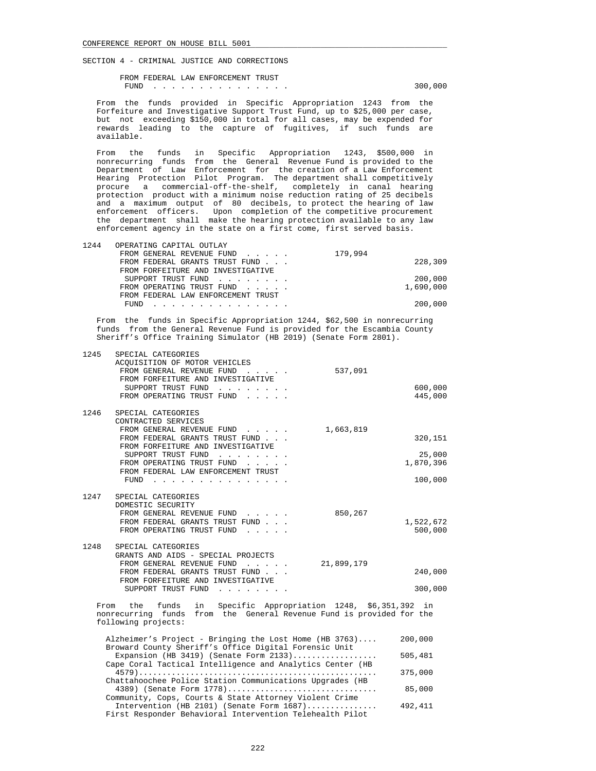FROM FEDERAL LAW ENFORCEMENT TRUST FUND . . . . . . . . . . . . . . . 300,000

 From the funds provided in Specific Appropriation 1243 from the Forfeiture and Investigative Support Trust Fund, up to \$25,000 per case, but not exceeding \$150,000 in total for all cases, may be expended for rewards leading to the capture of fugitives, if such funds are available.

 From the funds in Specific Appropriation 1243, \$500,000 in nonrecurring funds from the General Revenue Fund is provided to the Department of Law Enforcement for the creation of a Law Enforcement Hearing Protection Pilot Program. The department shall competitively procure a commercial-off-the-shelf, completely in canal hearing protection product with a minimum noise reduction rating of 25 decibels and a maximum output of 80 decibels, to protect the hearing of law enforcement officers. Upon completion of the competitive procurement the department shall make the hearing protection available to any law enforcement agency in the state on a first come, first served basis.

| 1244 | OPERATING CAPITAL OUTLAY           |           |
|------|------------------------------------|-----------|
|      | FROM GENERAL REVENUE FUND          | 179,994   |
|      | FROM FEDERAL GRANTS TRUST FUND     | 228,309   |
|      | FROM FORFEITURE AND INVESTIGATIVE  |           |
|      | SUPPORT TRUST FUND                 | 200,000   |
|      | FROM OPERATING TRUST FUND          | 1,690,000 |
|      | FROM FEDERAL LAW ENFORCEMENT TRUST |           |
|      | FUND.                              | 200,000   |

 From the funds in Specific Appropriation 1244, \$62,500 in nonrecurring funds from the General Revenue Fund is provided for the Escambia County Sheriff's Office Training Simulator (HB 2019) (Senate Form 2801).

| 1245 | SPECIAL CATEGORIES<br>ACQUISITION OF MOTOR VEHICLES<br>FROM GENERAL REVENUE FUND<br>537,091<br>$\cdots$ $\cdots$<br>FROM FORFEITURE AND INVESTIGATIVE<br>SUPPORT TRUST FUND<br>FROM OPERATING TRUST FUND                                            | 600,000<br>445,000              |
|------|-----------------------------------------------------------------------------------------------------------------------------------------------------------------------------------------------------------------------------------------------------|---------------------------------|
| 1246 | SPECIAL CATEGORIES<br>CONTRACTED SERVICES<br>FROM GENERAL REVENUE FUND<br>1,663,819<br>FROM FEDERAL GRANTS TRUST FUND<br>FROM FORFEITURE AND INVESTIGATIVE<br>SUPPORT TRUST FUND<br>FROM OPERATING TRUST FUND<br>FROM FEDERAL LAW ENFORCEMENT TRUST | 320,151<br>25,000<br>1,870,396  |
| 1247 | FUND $\cdots$<br>SPECIAL CATEGORIES<br>DOMESTIC SECURITY<br>FROM GENERAL REVENUE FUND<br>850,267<br>FROM FEDERAL GRANTS TRUST FUND<br>FROM OPERATING TRUST FUND                                                                                     | 100,000<br>1,522,672<br>500,000 |
| 1248 | SPECIAL CATEGORIES<br>GRANTS AND AIDS - SPECIAL PROJECTS<br>FROM GENERAL REVENUE FUND<br>21,899,179<br>$1 - 1 - 1 - 1 = 1$<br>FROM FEDERAL GRANTS TRUST FUND<br>FROM FORFEITURE AND INVESTIGATIVE<br>SUPPORT TRUST FUND                             | 240,000<br>300,000              |
|      | funds in Specific Appropriation 1248, \$6,351,392<br>From the<br>nonrecurring funds from the General Revenue Fund is provided for the<br>following projects:                                                                                        | in                              |
|      | Alzheimer's Project - Bringing the Lost Home (HB 3763)<br>Broward County Sheriff's Office Digital Forensic Unit<br>Expansion (HB 3419) (Senate Form $2133)$<br>Cape Coral Tactical Intelligence and Analytics Center (HB                            | 200,000<br>505,481              |
|      | Chattahoochee Police Station Communications Upgrades (HB<br>4389) (Senate Form 1778)                                                                                                                                                                | 375,000<br>85,000               |

 Community, Cops, Courts & State Attorney Violent Crime Intervention (HB 2101) (Senate Form 1687)............... 492,411 First Responder Behavioral Intervention Telehealth Pilot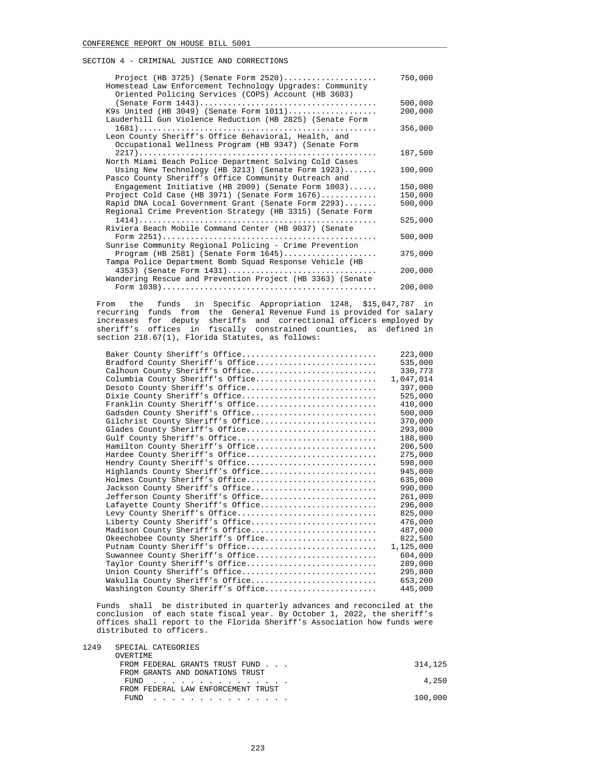| Project (HB 3725) (Senate Form $2520)$                    | 750,000 |
|-----------------------------------------------------------|---------|
| Homestead Law Enforcement Technology Upgrades: Community  |         |
| Oriented Policing Services (COPS) Account (HB 3603)       |         |
|                                                           | 500,000 |
| K9s United (HB 3049) (Senate Form 1011)                   | 200,000 |
| Lauderhill Gun Violence Reduction (HB 2825) (Senate Form  |         |
|                                                           | 356,000 |
| Leon County Sheriff's Office Behavioral, Health, and      |         |
| Occupational Wellness Program (HB 9347) (Senate Form      |         |
|                                                           | 187,500 |
| North Miami Beach Police Department Solving Cold Cases    |         |
| Using New Technology (HB 3213) (Senate Form $1923$ )      | 100,000 |
| Pasco County Sheriff's Office Community Outreach and      |         |
| Engagement Initiative (HB 2009) (Senate Form $1003)$      | 150,000 |
| Project Cold Case (HB 3971) (Senate Form $1676$ )         | 150,000 |
| Rapid DNA Local Government Grant (Senate Form 2293)       | 500,000 |
| Regional Crime Prevention Strategy (HB 3315) (Senate Form |         |
|                                                           | 525,000 |
| Riviera Beach Mobile Command Center (HB 9037) (Senate     |         |
|                                                           | 500,000 |
| Sunrise Community Regional Policing - Crime Prevention    |         |
| Program (HB 2581) (Senate Form 1645)                      | 375,000 |
| Tampa Police Department Bomb Squad Response Vehicle (HB   |         |
| 4353) (Senate Form 1431)                                  | 200,000 |
| Wandering Rescue and Prevention Project (HB 3363) (Senate |         |
|                                                           | 200,000 |

 From the funds in Specific Appropriation 1248, \$15,047,787 in recurring funds from the General Revenue Fund is provided for salary increases for deputy sheriffs and correctional officers employed by sheriff's offices in fiscally constrained counties, as defined in section 218.67(1), Florida Statutes, as follows:

| Baker County Sheriff's Office      | 223,000   |
|------------------------------------|-----------|
| Bradford County Sheriff's Office   | 535,000   |
| Calhoun County Sheriff's Office    | 330,773   |
| Columbia County Sheriff's Office   | 1,047,014 |
| Desoto County Sheriff's Office     | 397,000   |
| Dixie County Sheriff's Office      | 525,000   |
| Franklin County Sheriff's Office   | 410,000   |
| Gadsden County Sheriff's Office    | 500,000   |
| Gilchrist County Sheriff's Office  | 370,000   |
| Glades County Sheriff's Office     | 293,000   |
| Gulf County Sheriff's Office       | 188,000   |
| Hamilton County Sheriff's Office   | 206,500   |
| Hardee County Sheriff's Office     | 275,000   |
| Hendry County Sheriff's Office     | 598,000   |
| Highlands County Sheriff's Office  | 945,000   |
| Holmes County Sheriff's Office     | 635,000   |
| Jackson County Sheriff's Office    | 990,000   |
| Jefferson County Sheriff's Office  | 261,000   |
| Lafayette County Sheriff's Office  | 296,000   |
| Levy County Sheriff's Office       | 825,000   |
| Liberty County Sheriff's Office    | 476,000   |
| Madison County Sheriff's Office    | 487,000   |
| Okeechobee County Sheriff's Office | 822,500   |
| Putnam County Sheriff's Office     | 1,125,000 |
| Suwannee County Sheriff's Office   | 604,000   |
| Taylor County Sheriff's Office     | 289,000   |
| Union County Sheriff's Office      | 295,800   |
| Wakulla County Sheriff's Office    | 653,200   |
| Washington County Sheriff's Office | 445,000   |
|                                    |           |

 Funds shall be distributed in quarterly advances and reconciled at the conclusion of each state fiscal year. By October 1, 2022, the sheriff's offices shall report to the Florida Sheriff's Association how funds were distributed to officers.

1249 SPECIAL CATEGORIES

| OVERTIME                           |         |
|------------------------------------|---------|
| FROM FEDERAL GRANTS TRUST FUND     | 314,125 |
| FROM GRANTS AND DONATIONS TRUST    |         |
| FUND                               | 4,250   |
| FROM FEDERAL LAW ENFORCEMENT TRUST |         |
| FUND                               | 100,000 |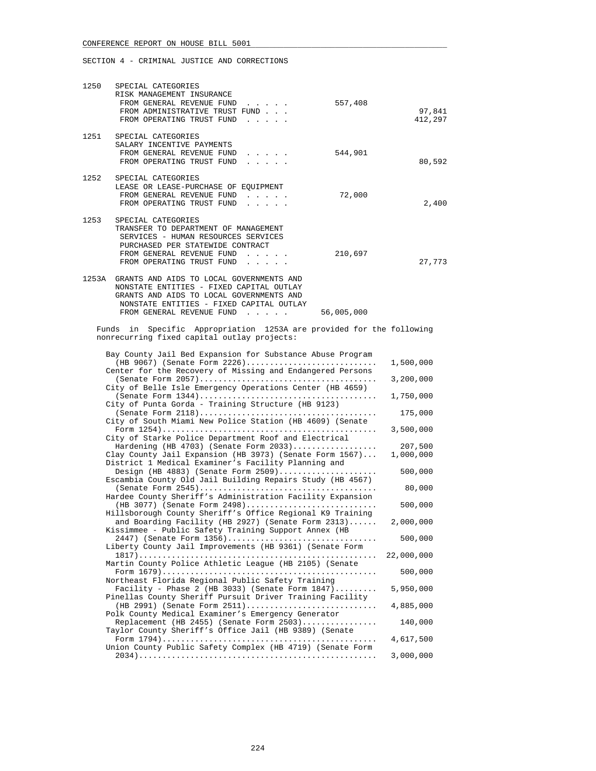| 1250 | SPECIAL CATEGORIES<br>RISK MANAGEMENT INSURANCE<br>FROM GENERAL REVENUE FUND<br>557,408<br>$\mathbf{r} = \mathbf{r} + \mathbf{r} + \mathbf{r} + \mathbf{r}$<br>FROM ADMINISTRATIVE TRUST FUND<br>FROM OPERATING TRUST FUND                                                                                                                                                        | 97,841<br>412,297      |
|------|-----------------------------------------------------------------------------------------------------------------------------------------------------------------------------------------------------------------------------------------------------------------------------------------------------------------------------------------------------------------------------------|------------------------|
| 1251 | SPECIAL CATEGORIES<br>SALARY INCENTIVE PAYMENTS<br>544,901<br>FROM GENERAL REVENUE FUND<br>$\cdots$<br>FROM OPERATING TRUST FUND                                                                                                                                                                                                                                                  | 80,592                 |
| 1252 | SPECIAL CATEGORIES<br>LEASE OR LEASE-PURCHASE OF EQUIPMENT<br>72,000<br>FROM GENERAL REVENUE FUND<br>$\mathbf{r} = \mathbf{r} + \mathbf{r} + \mathbf{r} + \mathbf{r}$<br>FROM OPERATING TRUST FUND<br>and a state of the state                                                                                                                                                    | 2,400                  |
| 1253 | SPECIAL CATEGORIES<br>TRANSFER TO DEPARTMENT OF MANAGEMENT<br>SERVICES - HUMAN RESOURCES SERVICES<br>PURCHASED PER STATEWIDE CONTRACT<br>FROM GENERAL REVENUE FUND<br>210,697<br>$\mathcal{L}^{\mathcal{A}}$ , and $\mathcal{L}^{\mathcal{A}}$ , and $\mathcal{L}^{\mathcal{A}}$<br>FROM OPERATING TRUST FUND<br>$\mathbf{r} = \mathbf{r} - \mathbf{r} = \mathbf{r} - \mathbf{r}$ | 27,773                 |
|      | 1253A GRANTS AND AIDS TO LOCAL GOVERNMENTS AND<br>NONSTATE ENTITIES - FIXED CAPITAL OUTLAY<br>GRANTS AND AIDS TO LOCAL GOVERNMENTS AND<br>NONSTATE ENTITIES - FIXED CAPITAL OUTLAY<br>FROM GENERAL REVENUE FUND<br>56,005,000                                                                                                                                                     |                        |
|      | Funds in Specific Appropriation 1253A are provided for the following<br>nonrecurring fixed capital outlay projects:                                                                                                                                                                                                                                                               |                        |
|      | Bay County Jail Bed Expansion for Substance Abuse Program<br>(HB 9067) (Senate Form 2226)<br>Center for the Recovery of Missing and Endangered Persons<br>City of Belle Isle Emergency Operations Center (HB 4659)                                                                                                                                                                | 1,500,000<br>3,200,000 |
|      | City of Punta Gorda - Training Structure (HB 9123)<br>City of South Miami New Police Station (HB 4609) (Senate                                                                                                                                                                                                                                                                    | 1,750,000<br>175,000   |
|      | City of Starke Police Department Roof and Electrical<br>Hardening (HB 4703) (Senate Form 2033)                                                                                                                                                                                                                                                                                    | 3,500,000<br>207,500   |
|      | Clay County Jail Expansion (HB 3973) (Senate Form $1567) \ldots$<br>District 1 Medical Examiner's Facility Planning and<br>Design (HB 4883) (Senate Form $2509)$                                                                                                                                                                                                                  | 1,000,000<br>500,000   |
|      | Escambia County Old Jail Building Repairs Study (HB 4567)<br>Hardee County Sheriff's Administration Facility Expansion                                                                                                                                                                                                                                                            | 80,000                 |
|      | (HB 3077) (Senate Form 2498)<br>Hillsborough County Sheriff's Office Regional K9 Training                                                                                                                                                                                                                                                                                         | 500,000                |
|      | and Boarding Facility (HB 2927) (Senate Form 2313)<br>Kissimmee - Public Safety Training Support Annex (HB<br>2447) (Senate Form 1356)                                                                                                                                                                                                                                            | 2,000,000<br>500,000   |
|      | Liberty County Jail Improvements (HB 9361) (Senate Form<br>Martin County Police Athletic League (HB 2105) (Senate                                                                                                                                                                                                                                                                 | 22,000,000             |
|      | Northeast Florida Regional Public Safety Training                                                                                                                                                                                                                                                                                                                                 | 500,000                |
|      | Facility - Phase 2 (HB 3033) (Senate Form $1847)$<br>Pinellas County Sheriff Pursuit Driver Training Facility<br>(HB 2991) (Senate Form 2511)                                                                                                                                                                                                                                     | 5,950,000<br>4,885,000 |
|      | Polk County Medical Examiner's Emergency Generator<br>Replacement (HB 2455) (Senate Form 2503)                                                                                                                                                                                                                                                                                    | 140,000                |
|      | Taylor County Sheriff's Office Jail (HB 9389) (Senate<br>Union County Public Safety Complex (HB 4719) (Senate Form                                                                                                                                                                                                                                                                | 4,617,500              |
|      |                                                                                                                                                                                                                                                                                                                                                                                   | 3,000,000              |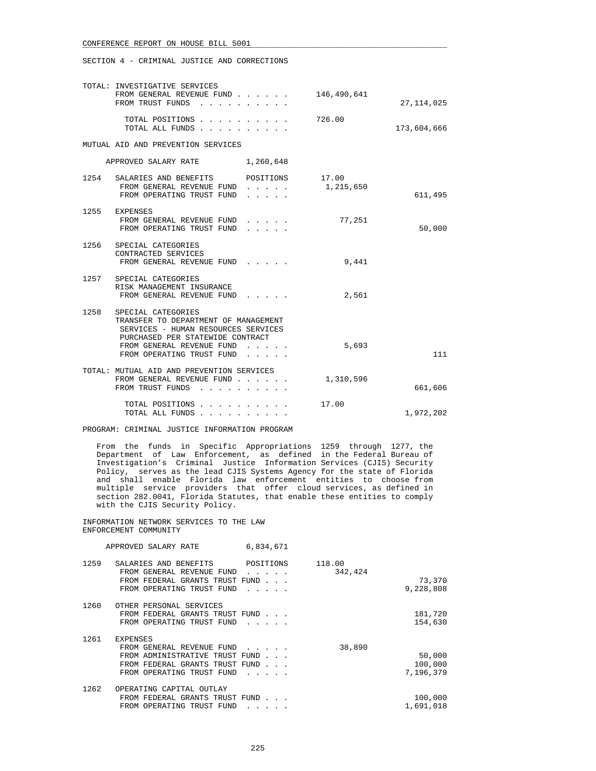SECTION 4 - CRIMINAL JUSTICE AND CORRECTIONS

|      | TOTAL: INVESTIGATIVE SERVICES<br>FROM GENERAL REVENUE FUND<br>FROM TRUST FUNDS                                                                                                                                                             | 146,490,641        | 27, 114, 025 |
|------|--------------------------------------------------------------------------------------------------------------------------------------------------------------------------------------------------------------------------------------------|--------------------|--------------|
|      | TOTAL POSITIONS<br>TOTAL ALL FUNDS                                                                                                                                                                                                         | 726.00             | 173,604,666  |
|      | MUTUAL AID AND PREVENTION SERVICES                                                                                                                                                                                                         |                    |              |
|      | APPROVED SALARY RATE<br>1,260,648                                                                                                                                                                                                          |                    |              |
|      | 1254 SALARIES AND BENEFITS POSITIONS<br>FROM GENERAL REVENUE FUND<br>$\mathbf{r}$ , $\mathbf{r}$ , $\mathbf{r}$ , $\mathbf{r}$ , $\mathbf{r}$ , $\mathbf{r}$<br>FROM OPERATING TRUST FUND                                                  | 17.00<br>1,215,650 | 611,495      |
|      | 1255 EXPENSES<br>FROM GENERAL REVENUE FUND<br>FROM OPERATING TRUST FUND<br>.                                                                                                                                                               | 77,251             | 50,000       |
| 1256 | SPECIAL CATEGORIES<br>CONTRACTED SERVICES<br>FROM GENERAL REVENUE FUND                                                                                                                                                                     | 9,441              |              |
|      | 1257 SPECIAL CATEGORIES<br>RISK MANAGEMENT INSURANCE<br>FROM GENERAL REVENUE FUND                                                                                                                                                          | 2,561              |              |
| 1258 | SPECIAL CATEGORIES<br>TRANSFER TO DEPARTMENT OF MANAGEMENT<br>SERVICES - HUMAN RESOURCES SERVICES<br>PURCHASED PER STATEWIDE CONTRACT<br>FROM GENERAL REVENUE FUND<br>FROM OPERATING TRUST FUND<br>$\cdot$ $\cdot$ $\cdot$ $\cdot$ $\cdot$ | 5,693              | 111          |
|      | TOTAL: MUTUAL AID AND PREVENTION SERVICES<br>FROM GENERAL REVENUE FUND<br>FROM TRUST FUNDS                                                                                                                                                 | 1,310,596          | 661,606      |
|      | TOTAL POSITIONS<br>TOTAL ALL FUNDS<br>the contract of the contract of the                                                                                                                                                                  | 17.00              | 1,972,202    |

PROGRAM: CRIMINAL JUSTICE INFORMATION PROGRAM

 From the funds in Specific Appropriations 1259 through 1277, the Department of Law Enforcement, as defined in the Federal Bureau of Investigation's Criminal Justice Information Services (CJIS) Security Policy, serves as the lead CJIS Systems Agency for the state of Florida and shall enable Florida law enforcement entities to choose from multiple service providers that offer cloud services, as defined in section 282.0041, Florida Statutes, that enable these entities to comply with the CJIS Security Policy.

 INFORMATION NETWORK SERVICES TO THE LAW ENFORCEMENT COMMUNITY

|      | APPROVED SALARY RATE                                                                                              | 6,834,671 |                   |                     |
|------|-------------------------------------------------------------------------------------------------------------------|-----------|-------------------|---------------------|
| 1259 | SALARIES AND BENEFITS<br>FROM GENERAL REVENUE FUND<br>FROM FEDERAL GRANTS TRUST FUND<br>FROM OPERATING TRUST FUND | POSITIONS | 118.00<br>342,424 | 73,370<br>9,228,808 |
| 1260 | OTHER PERSONAL SERVICES<br>FROM FEDERAL GRANTS TRUST FUND<br>FROM OPERATING TRUST FUND                            |           |                   | 181,720<br>154,630  |
| 1261 | <b>EXPENSES</b>                                                                                                   |           |                   |                     |

|      | FROM GENERAL REVENUE FUND      | 38,890    |
|------|--------------------------------|-----------|
|      | FROM ADMINISTRATIVE TRUST FUND | 50,000    |
|      | FROM FEDERAL GRANTS TRUST FUND | 100,000   |
|      | FROM OPERATING TRUST FUND      | 7,196,379 |
| 1262 | OPERATING CAPITAL OUTLAY       |           |
|      | FROM FEDERAL GRANTS TRUST FUND | 100,000   |
|      | FROM OPERATING TRUST FUND      | 1,691,018 |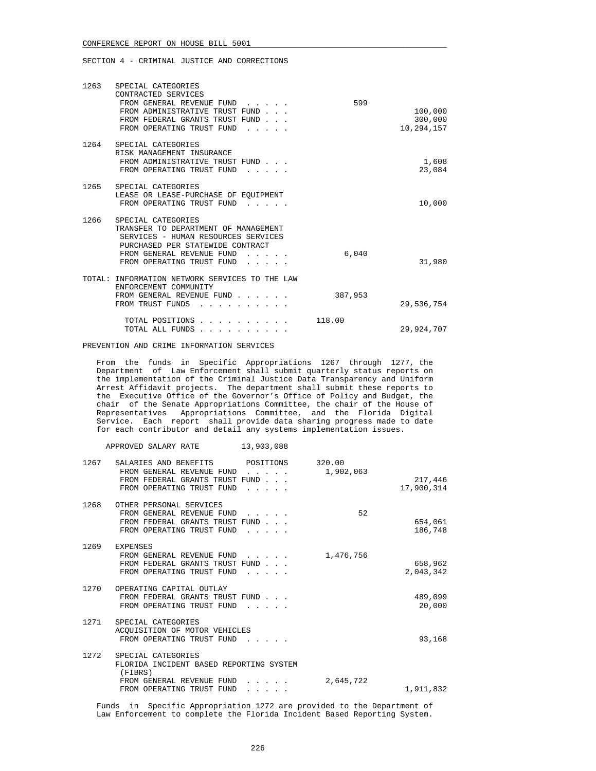| 1263 | SPECIAL CATEGORIES<br>CONTRACTED SERVICES<br>FROM GENERAL REVENUE FUND<br>FROM ADMINISTRATIVE TRUST FUND<br>FROM FEDERAL GRANTS TRUST FUND<br>FROM OPERATING TRUST FUND                              | 599     | 100,000<br>300,000<br>10,294,157 |
|------|------------------------------------------------------------------------------------------------------------------------------------------------------------------------------------------------------|---------|----------------------------------|
| 1264 | SPECIAL CATEGORIES<br>RISK MANAGEMENT INSURANCE<br>FROM ADMINISTRATIVE TRUST FUND<br>FROM OPERATING TRUST FUND                                                                                       |         | 1,608<br>23,084                  |
| 1265 | SPECIAL CATEGORIES<br>LEASE OR LEASE-PURCHASE OF EQUIPMENT<br>FROM OPERATING TRUST FUND                                                                                                              |         | 10,000                           |
| 1266 | SPECIAL CATEGORIES<br>TRANSFER TO DEPARTMENT OF MANAGEMENT<br>SERVICES - HUMAN RESOURCES SERVICES<br>PURCHASED PER STATEWIDE CONTRACT<br>FROM GENERAL REVENUE FUND<br>FROM OPERATING TRUST FUND<br>. | 6,040   | 31,980                           |
|      | TOTAL: INFORMATION NETWORK SERVICES TO THE LAW<br>ENFORCEMENT COMMUNITY<br>FROM GENERAL REVENUE FUND<br>FROM TRUST FUNDS                                                                             | 387,953 | 29,536,754                       |
|      | TOTAL POSITIONS.<br>TOTAL ALL FUNDS<br>$\cdot$ $\cdot$ $\cdot$ $\cdot$ $\cdot$                                                                                                                       | 118.00  | 29,924,707                       |

### PREVENTION AND CRIME INFORMATION SERVICES

 From the funds in Specific Appropriations 1267 through 1277, the Department of Law Enforcement shall submit quarterly status reports on the implementation of the Criminal Justice Data Transparency and Uniform Arrest Affidavit projects. The department shall submit these reports to the Executive Office of the Governor's Office of Policy and Budget, the chair of the Senate Appropriations Committee, the chair of the House of Representatives Appropriations Committee, and the Florida Digital Service. Each report shall provide data sharing progress made to date for each contributor and detail any systems implementation issues.

| APPROVED SALARY RATE |  | 13,903,088 |
|----------------------|--|------------|
|                      |  |            |

| 1267 | SALARIES AND BENEFITS<br>FROM GENERAL REVENUE FUND | POSITIONS<br>$\cdot$ $\cdot$ $\cdot$                                                    | 320.00<br>1,902,063 |            |
|------|----------------------------------------------------|-----------------------------------------------------------------------------------------|---------------------|------------|
|      | FROM FEDERAL GRANTS TRUST FUND                     |                                                                                         |                     | 217,446    |
|      | FROM OPERATING TRUST FUND                          | $\mathbf{r}$ and $\mathbf{r}$ and $\mathbf{r}$                                          |                     | 17,900,314 |
| 1268 | OTHER PERSONAL SERVICES                            |                                                                                         |                     |            |
|      | FROM GENERAL REVENUE FUND                          | $\mathbf{1}$ , $\mathbf{1}$ , $\mathbf{1}$ , $\mathbf{1}$ , $\mathbf{1}$ , $\mathbf{1}$ | 52                  |            |
|      | FROM FEDERAL GRANTS TRUST FUND                     |                                                                                         |                     | 654,061    |
|      | FROM OPERATING TRUST FUND                          |                                                                                         |                     | 186,748    |
| 1269 | <b>EXPENSES</b>                                    |                                                                                         |                     |            |
|      | FROM GENERAL REVENUE FUND                          |                                                                                         | 1,476,756           |            |
|      | FROM FEDERAL GRANTS TRUST FUND                     |                                                                                         |                     | 658,962    |
|      | FROM OPERATING TRUST FUND                          |                                                                                         |                     | 2,043,342  |
|      |                                                    |                                                                                         |                     |            |
| 1270 | OPERATING CAPITAL OUTLAY                           |                                                                                         |                     |            |
|      | FROM FEDERAL GRANTS TRUST FUND                     |                                                                                         |                     | 489,099    |
|      | FROM OPERATING TRUST FUND                          |                                                                                         |                     | 20,000     |
| 1271 | SPECIAL CATEGORIES                                 |                                                                                         |                     |            |
|      | ACOUISITION OF MOTOR VEHICLES                      |                                                                                         |                     |            |
|      | FROM OPERATING TRUST FUND                          |                                                                                         |                     | 93,168     |
|      |                                                    |                                                                                         |                     |            |
| 1272 | SPECIAL CATEGORIES                                 |                                                                                         |                     |            |
|      | FLORIDA INCIDENT BASED REPORTING SYSTEM            |                                                                                         |                     |            |
|      | (FIBRS)                                            |                                                                                         |                     |            |
|      | FROM GENERAL REVENUE FUND                          | $\mathbf{1}$ , $\mathbf{1}$ , $\mathbf{1}$ , $\mathbf{1}$ , $\mathbf{1}$                | 2,645,722           |            |
|      | FROM OPERATING TRUST FUND                          | $\cdots$                                                                                |                     | 1,911,832  |
|      |                                                    |                                                                                         |                     |            |

 Funds in Specific Appropriation 1272 are provided to the Department of Law Enforcement to complete the Florida Incident Based Reporting System.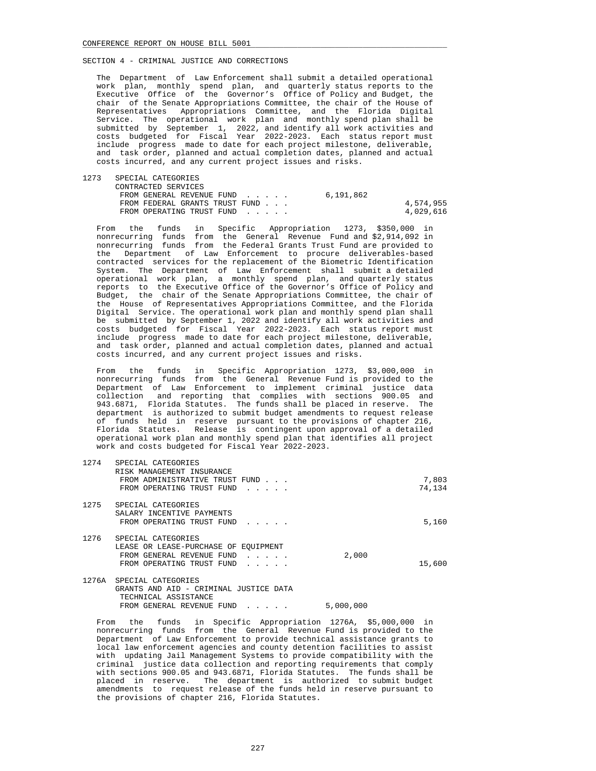1274 SPECIAL CATEGORIES

SECTION 4 - CRIMINAL JUSTICE AND CORRECTIONS

 The Department of Law Enforcement shall submit a detailed operational work plan, monthly spend plan, and quarterly status reports to the Executive Office of the Governor's Office of Policy and Budget, the chair of the Senate Appropriations Committee, the chair of the House of Representatives Appropriations Committee, and the Florida Digital Service. The operational work plan and monthly spend plan shall be submitted by September 1, 2022, and identify all work activities and costs budgeted for Fiscal Year 2022-2023. Each status report must include progress made to date for each project milestone, deliverable, and task order, planned and actual completion dates, planned and actual costs incurred, and any current project issues and risks.

 1273 SPECIAL CATEGORIES CONTRACTED SERVICES FROM GENERAL REVENUE FUND . . . . . 6,191,862 FROM FEDERAL GRANTS TRUST FUND . . . 4,574,955 FROM OPERATING TRUST FUND . . . . .

 From the funds in Specific Appropriation 1273, \$350,000 in nonrecurring funds from the General Revenue Fund and \$2,914,092 in nonrecurring funds from the Federal Grants Trust Fund are provided to the Department of Law Enforcement to procure deliverables-based contracted services for the replacement of the Biometric Identification System. The Department of Law Enforcement shall submit a detailed operational work plan, a monthly spend plan, and quarterly status reports to the Executive Office of the Governor's Office of Policy and Budget, the chair of the Senate Appropriations Committee, the chair of the House of Representatives Appropriations Committee, and the Florida Digital Service. The operational work plan and monthly spend plan shall be submitted by September 1, 2022 and identify all work activities and costs budgeted for Fiscal Year 2022-2023. Each status report must include progress made to date for each project milestone, deliverable, and task order, planned and actual completion dates, planned and actual costs incurred, and any current project issues and risks.

 From the funds in Specific Appropriation 1273, \$3,000,000 in nonrecurring funds from the General Revenue Fund is provided to the Department of Law Enforcement to implement criminal justice data collection and reporting that complies with sections 900.05 and 943.6871, Florida Statutes. The funds shall be placed in reserve. The department is authorized to submit budget amendments to request release of funds held in reserve pursuant to the provisions of chapter 216, Florida Statutes. Release is contingent upon approval of a detailed operational work plan and monthly spend plan that identifies all project work and costs budgeted for Fiscal Year 2022-2023.

| $\pm 2.14$ | SPECIAL CAILGURILS<br>RISK MANAGEMENT INSURANCE                                                                      |       |                 |
|------------|----------------------------------------------------------------------------------------------------------------------|-------|-----------------|
|            | FROM ADMINISTRATIVE TRUST FUND<br>FROM OPERATING TRUST FUND                                                          |       | 7,803<br>74,134 |
| 1275       | SPECIAL CATEGORIES<br>SALARY INCENTIVE PAYMENTS<br>FROM OPERATING TRUST FUND                                         |       | 5,160           |
| 1276       | SPECIAL CATEGORIES<br>LEASE OR LEASE-PURCHASE OF EOUIPMENT<br>FROM GENERAL REVENUE FUND<br>FROM OPERATING TRUST FUND | 2,000 | 15,600          |
|            | 1276A SPECIAL CATEGORIES<br>GRANTS AND AID - CRIMINAL JUSTICE DATA<br>TECHNICAL ASSISTANCE                           |       |                 |

FROM GENERAL REVENUE FUND . . . . . 5,000,000

 From the funds in Specific Appropriation 1276A, \$5,000,000 in nonrecurring funds from the General Revenue Fund is provided to the Department of Law Enforcement to provide technical assistance grants to local law enforcement agencies and county detention facilities to assist with updating Jail Management Systems to provide compatibility with the criminal justice data collection and reporting requirements that comply with sections 900.05 and 943.6871, Florida Statutes. The funds shall be placed in reserve. The department is authorized to submit budget amendments to request release of the funds held in reserve pursuant to the provisions of chapter 216, Florida Statutes.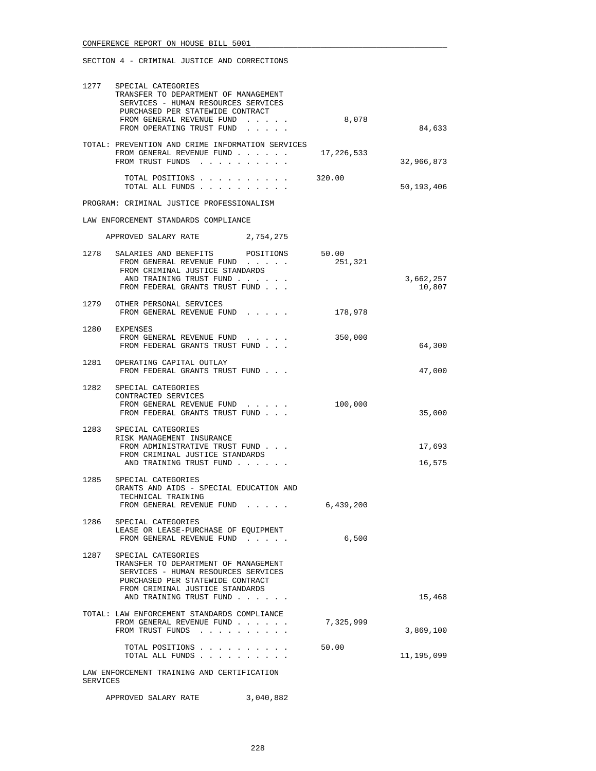|          | 1277 SPECIAL CATEGORIES<br>TRANSFER TO DEPARTMENT OF MANAGEMENT<br>SERVICES - HUMAN RESOURCES SERVICES<br>PURCHASED PER STATEWIDE CONTRACT<br>FROM GENERAL REVENUE FUND                             | 8,078      | 84,633              |
|----------|-----------------------------------------------------------------------------------------------------------------------------------------------------------------------------------------------------|------------|---------------------|
|          | FROM OPERATING TRUST FUND<br>TOTAL: PREVENTION AND CRIME INFORMATION SERVICES                                                                                                                       |            |                     |
|          | FROM GENERAL REVENUE FUND<br>FROM TRUST FUNDS                                                                                                                                                       | 17,226,533 | 32,966,873          |
|          | TOTAL POSITIONS<br>TOTAL ALL FUNDS                                                                                                                                                                  | 320.00     | 50,193,406          |
|          | PROGRAM: CRIMINAL JUSTICE PROFESSIONALISM                                                                                                                                                           |            |                     |
|          | LAW ENFORCEMENT STANDARDS COMPLIANCE                                                                                                                                                                |            |                     |
|          | APPROVED SALARY RATE 2,754,275                                                                                                                                                                      |            |                     |
| 1278     | SALARIES AND BENEFITS POSITIONS 50.00<br>FROM GENERAL REVENUE FUND<br>FROM CRIMINAL JUSTICE STANDARDS<br>AND TRAINING TRUST FUND<br>FROM FEDERAL GRANTS TRUST FUND                                  | 251,321    | 3,662,257<br>10,807 |
|          | 1279 OTHER PERSONAL SERVICES<br>FROM GENERAL REVENUE FUND                                                                                                                                           | 178,978    |                     |
|          | 1280 EXPENSES<br>FROM GENERAL REVENUE FUND<br>FROM FEDERAL GRANTS TRUST FUND                                                                                                                        | 350,000    | 64,300              |
|          | 1281 OPERATING CAPITAL OUTLAY<br>FROM FEDERAL GRANTS TRUST FUND                                                                                                                                     |            | 47,000              |
| 1282     | SPECIAL CATEGORIES<br>CONTRACTED SERVICES<br>FROM GENERAL REVENUE FUND<br>FROM FEDERAL GRANTS TRUST FUND                                                                                            | 100,000    | 35,000              |
| 1283     | SPECIAL CATEGORIES<br>RISK MANAGEMENT INSURANCE<br>FROM ADMINISTRATIVE TRUST FUND<br>FROM CRIMINAL JUSTICE STANDARDS<br>AND TRAINING TRUST FUND                                                     |            | 17,693<br>16,575    |
| 1285     | SPECIAL CATEGORIES<br>GRANTS AND AIDS - SPECIAL EDUCATION AND<br>TECHNICAL TRAINING<br>FROM GENERAL REVENUE FUND 6,439,200                                                                          |            |                     |
| 1286     | SPECIAL CATEGORIES<br>LEASE OR LEASE-PURCHASE OF EOUIPMENT<br>FROM GENERAL REVENUE FUND                                                                                                             | 6,500      |                     |
| 1287     | SPECIAL CATEGORIES<br>TRANSFER TO DEPARTMENT OF MANAGEMENT<br>SERVICES - HUMAN RESOURCES SERVICES<br>PURCHASED PER STATEWIDE CONTRACT<br>FROM CRIMINAL JUSTICE STANDARDS<br>AND TRAINING TRUST FUND |            | 15,468              |
|          | TOTAL: LAW ENFORCEMENT STANDARDS COMPLIANCE<br>FROM GENERAL REVENUE FUND<br>FROM TRUST FUNDS                                                                                                        | 7,325,999  | 3,869,100           |
|          | TOTAL POSITIONS<br>TOTAL ALL FUNDS                                                                                                                                                                  | 50.00      | 11,195,099          |
| SERVICES | LAW ENFORCEMENT TRAINING AND CERTIFICATION                                                                                                                                                          |            |                     |

APPROVED SALARY RATE 3,040,882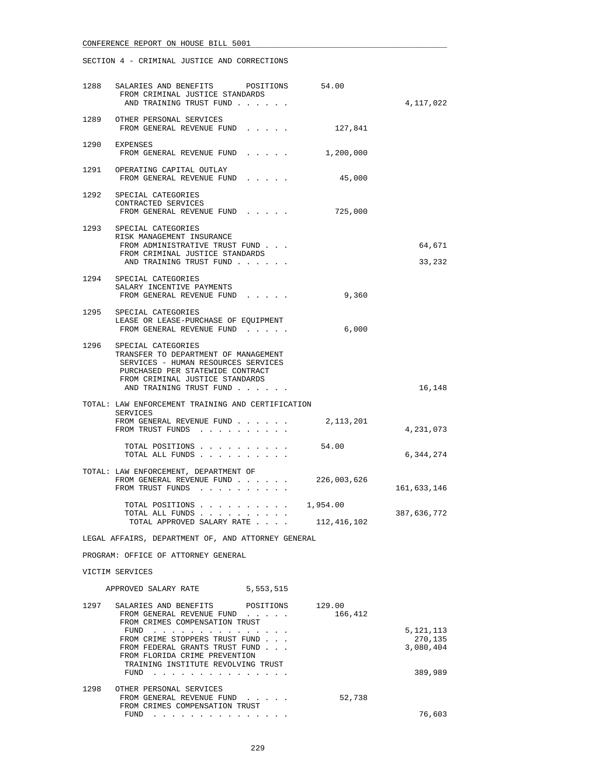|                                                    | 1288 SALARIES AND BENEFITS POSITIONS 54.00<br>FROM CRIMINAL JUSTICE STANDARDS<br>AND TRAINING TRUST FUND                                                                                                 |                   | 4,117,022        |  |
|----------------------------------------------------|----------------------------------------------------------------------------------------------------------------------------------------------------------------------------------------------------------|-------------------|------------------|--|
|                                                    | 1289 OTHER PERSONAL SERVICES<br>FROM GENERAL REVENUE FUND                                                                                                                                                | 127,841           |                  |  |
|                                                    | 1290 EXPENSES<br>FROM GENERAL REVENUE FUND 1,200,000                                                                                                                                                     |                   |                  |  |
|                                                    | 1291 OPERATING CAPITAL OUTLAY<br>FROM GENERAL REVENUE FUND                                                                                                                                               | 45,000            |                  |  |
|                                                    | 1292 SPECIAL CATEGORIES<br>CONTRACTED SERVICES<br>FROM GENERAL REVENUE FUND                                                                                                                              | 725,000           |                  |  |
|                                                    | 1293 SPECIAL CATEGORIES<br>RISK MANAGEMENT INSURANCE<br>FROM ADMINISTRATIVE TRUST FUND<br>FROM CRIMINAL JUSTICE STANDARDS<br>AND TRAINING TRUST FUND                                                     |                   | 64,671<br>33,232 |  |
|                                                    | 1294 SPECIAL CATEGORIES<br>SALARY INCENTIVE PAYMENTS<br>FROM GENERAL REVENUE FUND                                                                                                                        | 9,360             |                  |  |
|                                                    | 1295 SPECIAL CATEGORIES<br>LEASE OR LEASE-PURCHASE OF EQUIPMENT<br>FROM GENERAL REVENUE FUND                                                                                                             | 6,000             |                  |  |
|                                                    | 1296 SPECIAL CATEGORIES<br>TRANSFER TO DEPARTMENT OF MANAGEMENT<br>SERVICES - HUMAN RESOURCES SERVICES<br>PURCHASED PER STATEWIDE CONTRACT<br>FROM CRIMINAL JUSTICE STANDARDS<br>AND TRAINING TRUST FUND |                   | 16,148           |  |
|                                                    | TOTAL: LAW ENFORCEMENT TRAINING AND CERTIFICATION<br>SERVICES<br>FROM GENERAL REVENUE FUND<br>FROM TRUST FUNDS                                                                                           | 2,113,201         | 4,231,073        |  |
|                                                    | TOTAL POSITIONS<br>TOTAL ALL FUNDS                                                                                                                                                                       | 54.00             | 6,344,274        |  |
|                                                    | TOTAL: LAW ENFORCEMENT, DEPARTMENT OF<br>FROM GENERAL REVENUE FUND<br>FROM TRUST FUNDS                                                                                                                   | 226,003,626       | 161,633,146      |  |
|                                                    | TOTAL POSITIONS $\ldots$ , 1,954.00<br>TOTAL ALL FUNDS<br>TOTAL APPROVED SALARY RATE                                                                                                                     | 112,416,102       | 387,636,772      |  |
| LEGAL AFFAIRS, DEPARTMENT OF, AND ATTORNEY GENERAL |                                                                                                                                                                                                          |                   |                  |  |
|                                                    | PROGRAM: OFFICE OF ATTORNEY GENERAL                                                                                                                                                                      |                   |                  |  |
|                                                    | VICTIM SERVICES                                                                                                                                                                                          |                   |                  |  |
|                                                    | APPROVED SALARY RATE<br>5,553,515                                                                                                                                                                        |                   |                  |  |
|                                                    | 1297 SALARIES AND BENEFITS POSITIONS<br>FROM GENERAL REVENUE FUND<br>FROM CRIMES COMPENSATION TRUST<br>FIND                                                                                              | 129.00<br>166,412 | 5 1 2 1 1 1 1 2  |  |

|      | FUND<br>.                          |        | 5, 121, 113 |
|------|------------------------------------|--------|-------------|
|      | FROM CRIME STOPPERS TRUST FUND     |        | 270,135     |
|      | FROM FEDERAL GRANTS TRUST FUND     |        | 3,080,404   |
|      | FROM FLORIDA CRIME PREVENTION      |        |             |
|      | TRAINING INSTITUTE REVOLVING TRUST |        |             |
|      | FUND                               |        | 389,989     |
| 1298 | OTHER PERSONAL SERVICES            |        |             |
|      | FROM GENERAL REVENUE FUND          | 52,738 |             |
|      | FROM CRIMES COMPENSATION TRUST     |        |             |
|      | FUND                               |        | 76.603      |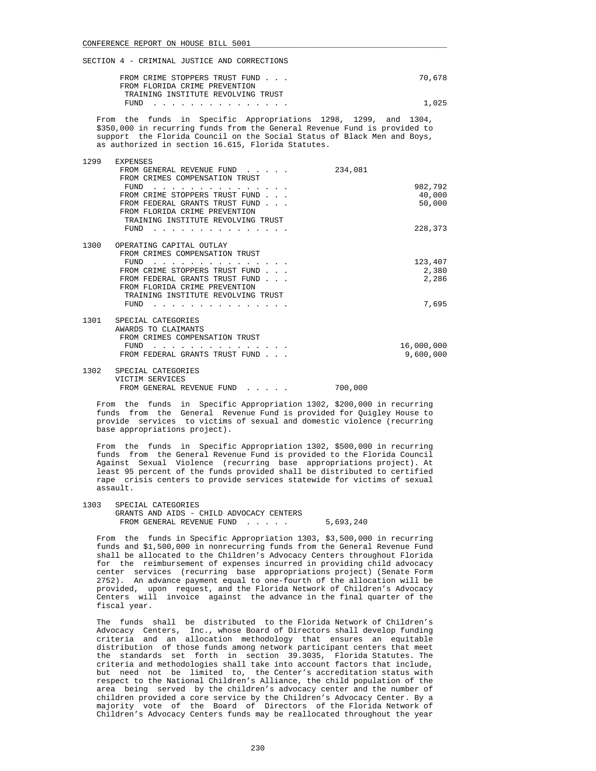| FROM CRIME STOPPERS TRUST FUND     | 70,678 |
|------------------------------------|--------|
| FROM FLORIDA CRIME PREVENTION      |        |
| TRAINING INSTITUTE REVOLVING TRUST |        |
| FUND                               | 1,025  |

 From the funds in Specific Appropriations 1298, 1299, and 1304, \$350,000 in recurring funds from the General Revenue Fund is provided to support the Florida Council on the Social Status of Black Men and Boys, as authorized in section 16.615, Florida Statutes.

| 1299 | <b>EXPENSES</b>                                                  |                |
|------|------------------------------------------------------------------|----------------|
|      | FROM GENERAL REVENUE FUND                                        | 234,081        |
|      | FROM CRIMES COMPENSATION TRUST                                   |                |
|      | FUND                                                             | 982,792        |
|      | FROM CRIME STOPPERS TRUST FUND                                   | 40,000         |
|      | FROM FEDERAL GRANTS TRUST FUND                                   | 50,000         |
|      | FROM FLORIDA CRIME PREVENTION                                    |                |
|      | TRAINING INSTITUTE REVOLVING TRUST                               |                |
|      | FUND                                                             | 228,373        |
|      |                                                                  |                |
| 1300 | OPERATING CAPITAL OUTLAY                                         |                |
|      | FROM CRIMES COMPENSATION TRUST                                   |                |
|      | FUND                                                             | 123,407        |
|      | FROM CRIME STOPPERS TRUST FUND<br>FROM FEDERAL GRANTS TRUST FUND | 2,380<br>2,286 |
|      | FROM FLORIDA CRIME PREVENTION                                    |                |
|      | TRAINING INSTITUTE REVOLVING TRUST                               |                |
|      | FUND                                                             | 7,695          |
|      |                                                                  |                |
| 1301 | SPECIAL CATEGORIES                                               |                |
|      | AWARDS TO CLAIMANTS                                              |                |
|      | FROM CRIMES COMPENSATION TRUST                                   |                |
|      | FUND                                                             | 16,000,000     |
|      | FROM FEDERAL GRANTS TRUST FUND                                   | 9,600,000      |
| 1302 | SPECIAL CATEGORIES                                               |                |
|      | VICTIM SERVICES                                                  |                |
|      | FROM GENERAL REVENUE FUND                                        | 700,000        |

 From the funds in Specific Appropriation 1302, \$200,000 in recurring funds from the General Revenue Fund is provided for Quigley House to provide services to victims of sexual and domestic violence (recurring base appropriations project).

 From the funds in Specific Appropriation 1302, \$500,000 in recurring funds from the General Revenue Fund is provided to the Florida Council Against Sexual Violence (recurring base appropriations project). At least 95 percent of the funds provided shall be distributed to certified rape crisis centers to provide services statewide for victims of sexual assault.

 1303 SPECIAL CATEGORIES GRANTS AND AIDS - CHILD ADVOCACY CENTERS FROM GENERAL REVENUE FUND . . . . . 5,693,240

 From the funds in Specific Appropriation 1303, \$3,500,000 in recurring funds and \$1,500,000 in nonrecurring funds from the General Revenue Fund shall be allocated to the Children's Advocacy Centers throughout Florida for the reimbursement of expenses incurred in providing child advocacy center services (recurring base appropriations project) (Senate Form<br>2752). An advance payment equal to one-fourth of the allocation will be An advance payment equal to one-fourth of the allocation will be provided, upon request, and the Florida Network of Children's Advocacy Centers will invoice against the advance in the final quarter of the fiscal year.

 The funds shall be distributed to the Florida Network of Children's Advocacy Centers, Inc., whose Board of Directors shall develop funding criteria and an allocation methodology that ensures an equitable distribution of those funds among network participant centers that meet the standards set forth in section 39.3035, Florida Statutes. The criteria and methodologies shall take into account factors that include, but need not be limited to, the Center's accreditation status with respect to the National Children's Alliance, the child population of the area being served by the children's advocacy center and the number of children provided a core service by the Children's Advocacy Center. By a majority vote of the Board of Directors of the Florida Network of Children's Advocacy Centers funds may be reallocated throughout the year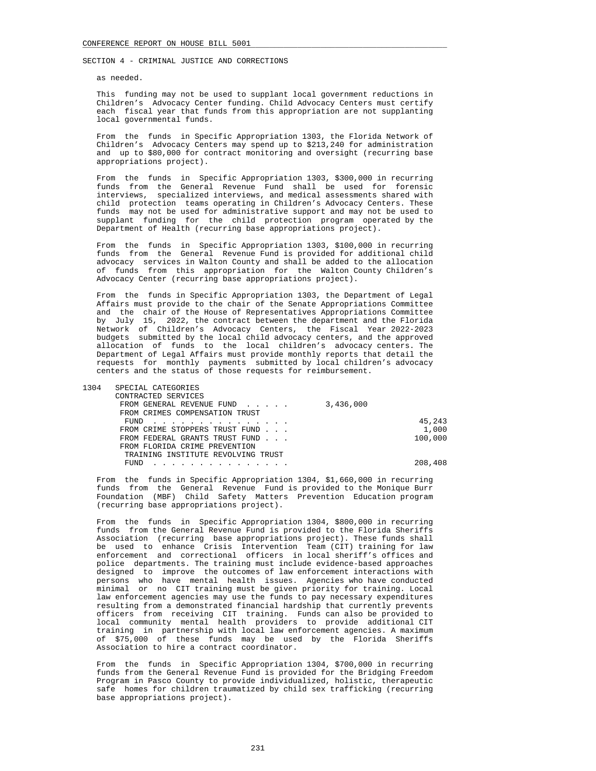as needed.

 This funding may not be used to supplant local government reductions in Children's Advocacy Center funding. Child Advocacy Centers must certify each fiscal year that funds from this appropriation are not supplanting local governmental funds.

 From the funds in Specific Appropriation 1303, the Florida Network of Children's Advocacy Centers may spend up to \$213,240 for administration and up to \$80,000 for contract monitoring and oversight (recurring base appropriations project).

 From the funds in Specific Appropriation 1303, \$300,000 in recurring funds from the General Revenue Fund shall be used for forensic interviews, specialized interviews, and medical assessments shared with child protection teams operating in Children's Advocacy Centers. These funds may not be used for administrative support and may not be used to supplant funding for the child protection program operated by the Department of Health (recurring base appropriations project).

 From the funds in Specific Appropriation 1303, \$100,000 in recurring funds from the General Revenue Fund is provided for additional child advocacy services in Walton County and shall be added to the allocation of funds from this appropriation for the Walton County Children's Advocacy Center (recurring base appropriations project).

 From the funds in Specific Appropriation 1303, the Department of Legal Affairs must provide to the chair of the Senate Appropriations Committee and the chair of the House of Representatives Appropriations Committee by July 15, 2022, the contract between the department and the Florida Network of Children's Advocacy Centers, the Fiscal Year 2022-2023 budgets submitted by the local child advocacy centers, and the approved allocation of funds to the local children's advocacy centers. The Department of Legal Affairs must provide monthly reports that detail the requests for monthly payments submitted by local children's advocacy centers and the status of those requests for reimbursement.

| 1304 |  | SPECIAL CATEGORIES |
|------|--|--------------------|
|------|--|--------------------|

| CONTRACTED SERVICES                |           |
|------------------------------------|-----------|
| FROM GENERAL REVENUE FUND          | 3,436,000 |
| FROM CRIMES COMPENSATION TRUST     |           |
| $FUND$                             | 45,243    |
| FROM CRIME STOPPERS TRUST FUND     | 1,000     |
| FROM FEDERAL GRANTS TRUST FUND     | 100,000   |
| FROM FLORIDA CRIME PREVENTION      |           |
| TRAINING INSTITUTE REVOLVING TRUST |           |
| FUND<br>.                          | 208,408   |

 From the funds in Specific Appropriation 1304, \$1,660,000 in recurring funds from the General Revenue Fund is provided to the Monique Burr Foundation (MBF) Child Safety Matters Prevention Education program (recurring base appropriations project).

 From the funds in Specific Appropriation 1304, \$800,000 in recurring funds from the General Revenue Fund is provided to the Florida Sheriffs Association (recurring base appropriations project). These funds shall be used to enhance Crisis Intervention Team (CIT) training for law enforcement and correctional officers in local sheriff's offices and police departments. The training must include evidence-based approaches designed to improve the outcomes of law enforcement interactions with persons who have mental health issues. Agencies who have conducted minimal or no CIT training must be given priority for training. Local law enforcement agencies may use the funds to pay necessary expenditures resulting from a demonstrated financial hardship that currently prevents officers from receiving CIT training. Funds can also be provided to local community mental health providers to provide additional CIT training in partnership with local law enforcement agencies. A maximum of \$75,000 of these funds may be used by the Florida Sheriffs Association to hire a contract coordinator.

 From the funds in Specific Appropriation 1304, \$700,000 in recurring funds from the General Revenue Fund is provided for the Bridging Freedom Program in Pasco County to provide individualized, holistic, therapeutic safe homes for children traumatized by child sex trafficking (recurring base appropriations project).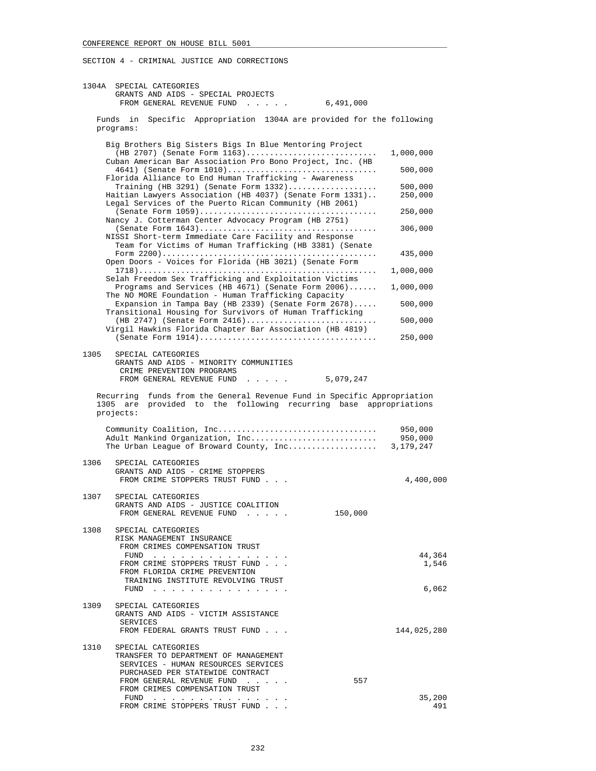| 1304A | SPECIAL CATEGORIES<br>GRANTS AND AIDS - SPECIAL PROJECTS<br>FROM GENERAL REVENUE FUND<br>6,491,000<br>$\mathbf{r}$ , $\mathbf{r}$ , $\mathbf{r}$ , $\mathbf{r}$ , $\mathbf{r}$              |                                 |
|-------|---------------------------------------------------------------------------------------------------------------------------------------------------------------------------------------------|---------------------------------|
|       | Funds in<br>Specific Appropriation 1304A are provided for the following<br>programs:                                                                                                        |                                 |
|       | Big Brothers Big Sisters Bigs In Blue Mentoring Project<br>$(HB 2707)$ (Senate Form 1163)<br>Cuban American Bar Association Pro Bono Project, Inc. (HB                                      | 1,000,000                       |
|       | 4641) (Senate Form 1010)<br>Florida Alliance to End Human Trafficking - Awareness<br>Training (HB 3291) (Senate Form $1332)$                                                                | 500,000<br>500,000              |
|       | Haitian Lawyers Association (HB 4037) (Senate Form 1331)<br>Legal Services of the Puerto Rican Community (HB 2061)                                                                          | 250,000<br>250,000              |
|       | Nancy J. Cotterman Center Advocacy Program (HB 2751)<br>NISSI Short-term Immediate Care Facility and Response                                                                               | 306,000                         |
|       | Team for Victims of Human Trafficking (HB 3381) (Senate<br>Open Doors - Voices for Florida (HB 3021) (Senate Form                                                                           | 435,000                         |
|       | Selah Freedom Sex Trafficking and Exploitation Victims<br>Programs and Services (HB 4671) (Senate Form 2006)                                                                                | 1,000,000<br>1,000,000          |
|       | The NO MORE Foundation - Human Trafficking Capacity<br>Expansion in Tampa Bay (HB 2339) (Senate Form 2678)                                                                                  | 500,000                         |
|       | Transitional Housing for Survivors of Human Trafficking<br>(HB 2747) (Senate Form 2416)<br>Virgil Hawkins Florida Chapter Bar Association (HB 4819)                                         | 500,000                         |
| 1305  | SPECIAL CATEGORIES                                                                                                                                                                          | 250,000                         |
|       | GRANTS AND AIDS - MINORITY COMMUNITIES<br>CRIME PREVENTION PROGRAMS<br>FROM GENERAL REVENUE FUND<br>5,079,247                                                                               |                                 |
|       | funds from the General Revenue Fund in Specific Appropriation<br>Recurring<br>1305 are provided to the following recurring base appropriations<br>projects:                                 |                                 |
|       | Community Coalition, Inc<br>Adult Mankind Organization, Inc<br>The Urban League of Broward County, Inc                                                                                      | 950,000<br>950,000<br>3,179,247 |
| 1306  | SPECIAL CATEGORIES<br>GRANTS AND AIDS - CRIME STOPPERS<br>FROM CRIME STOPPERS TRUST FUND                                                                                                    | 4,400,000                       |
| 1307  | SPECIAL CATEGORIES<br>GRANTS AND AIDS - JUSTICE COALITION<br>150,000<br>FROM GENERAL REVENUE FUND                                                                                           |                                 |
|       | 1308 SPECIAL CATEGORIES<br>RISK MANAGEMENT INSURANCE<br>FROM CRIMES COMPENSATION TRUST                                                                                                      | 44,364                          |
|       | FUND<br>FROM CRIME STOPPERS TRUST FUND<br>FROM FLORIDA CRIME PREVENTION<br>TRAINING INSTITUTE REVOLVING TRUST                                                                               | 1,546                           |
| 1309  | FUND $\cdots$<br>SPECIAL CATEGORIES                                                                                                                                                         | 6,062                           |
|       | GRANTS AND AIDS - VICTIM ASSISTANCE<br>SERVICES<br>FROM FEDERAL GRANTS TRUST FUND                                                                                                           | 144,025,280                     |
| 1310  | SPECIAL CATEGORIES<br>TRANSFER TO DEPARTMENT OF MANAGEMENT<br>SERVICES - HUMAN RESOURCES SERVICES<br>PURCHASED PER STATEWIDE CONTRACT<br>557<br>FROM GENERAL REVENUE FUND                   |                                 |
|       | FROM CRIMES COMPENSATION TRUST<br>FUND<br>the contract of the contract of the contract of the contract of the contract of the contract of the contract of<br>FROM CRIME STOPPERS TRUST FUND | 35,200<br>491                   |
|       |                                                                                                                                                                                             |                                 |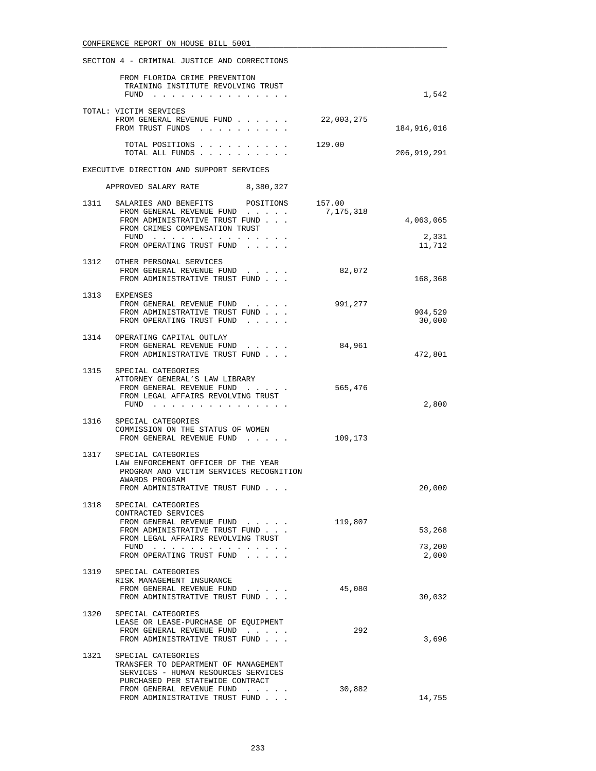| SECTION 4 - CRIMINAL JUSTICE AND CORRECTIONS |                                                                                                                                                                                   |                     |                              |
|----------------------------------------------|-----------------------------------------------------------------------------------------------------------------------------------------------------------------------------------|---------------------|------------------------------|
|                                              | FROM FLORIDA CRIME PREVENTION<br>TRAINING INSTITUTE REVOLVING TRUST<br>FUND                                                                                                       |                     | 1,542                        |
|                                              |                                                                                                                                                                                   |                     |                              |
|                                              | TOTAL: VICTIM SERVICES<br>FROM GENERAL REVENUE FUND<br>FROM TRUST FUNDS                                                                                                           | 22,003,275          | 184,916,016                  |
|                                              | TOTAL POSITIONS<br>TOTAL ALL FUNDS                                                                                                                                                | 129.00              | 206,919,291                  |
|                                              | EXECUTIVE DIRECTION AND SUPPORT SERVICES                                                                                                                                          |                     |                              |
|                                              | APPROVED SALARY RATE 8,380,327                                                                                                                                                    |                     |                              |
| 1311                                         | SALARIES AND BENEFITS<br>POSITIONS<br>FROM GENERAL REVENUE FUND<br>FROM ADMINISTRATIVE TRUST FUND<br>FROM CRIMES COMPENSATION TRUST<br>FUND $\ldots$<br>FROM OPERATING TRUST FUND | 157.00<br>7,175,318 | 4,063,065<br>2,331<br>11,712 |
|                                              |                                                                                                                                                                                   |                     |                              |
|                                              | 1312 OTHER PERSONAL SERVICES<br>FROM GENERAL REVENUE FUND<br>FROM ADMINISTRATIVE TRUST FUND                                                                                       | 82,072              | 168,368                      |
|                                              | 1313 EXPENSES<br>FROM GENERAL REVENUE FUND<br>FROM ADMINISTRATIVE TRUST FUND<br>FROM OPERATING TRUST FUND                                                                         | 991,277             | 904,529<br>30,000            |
|                                              | 1314 OPERATING CAPITAL OUTLAY<br>FROM GENERAL REVENUE FUND<br>FROM ADMINISTRATIVE TRUST FUND.                                                                                     | 84,961              | 472,801                      |
|                                              | 1315 SPECIAL CATEGORIES<br>ATTORNEY GENERAL'S LAW LIBRARY<br>FROM GENERAL REVENUE FUND<br>FROM LEGAL AFFAIRS REVOLVING TRUST<br>$FUND$                                            | 565,476             | 2,800                        |
| 1316                                         | SPECIAL CATEGORIES<br>COMMISSION ON THE STATUS OF WOMEN<br>FROM GENERAL REVENUE FUND                                                                                              | 109,173             |                              |
| 1317                                         | SPECIAL CATEGORIES<br>LAW ENFORCEMENT OFFICER OF THE YEAR<br>PROGRAM AND VICTIM SERVICES RECOGNITION<br>AWARDS PROGRAM<br>FROM ADMINISTRATIVE TRUST FUND                          |                     | 20,000                       |
|                                              | 1318 SPECIAL CATEGORIES<br>CONTRACTED SERVICES                                                                                                                                    | 119,807             |                              |
|                                              | FROM GENERAL REVENUE FUND<br>FROM ADMINISTRATIVE TRUST FUND                                                                                                                       |                     | 53,268                       |
|                                              | FROM LEGAL AFFAIRS REVOLVING TRUST<br>FUND<br>FROM OPERATING TRUST FUND                                                                                                           |                     | 73,200<br>2,000              |
| 1319                                         | SPECIAL CATEGORIES<br>RISK MANAGEMENT INSURANCE<br>FROM GENERAL REVENUE FUND<br>FROM ADMINISTRATIVE TRUST FUND                                                                    | 45,080              | 30,032                       |
| 1320                                         | SPECIAL CATEGORIES<br>LEASE OR LEASE-PURCHASE OF EQUIPMENT<br>FROM GENERAL REVENUE FUND<br>FROM ADMINISTRATIVE TRUST FUND                                                         | 292                 | 3,696                        |
|                                              | 1321 SPECIAL CATEGORIES<br>TRANSFER TO DEPARTMENT OF MANAGEMENT<br>SERVICES - HUMAN RESOURCES SERVICES<br>PURCHASED PER STATEWIDE CONTRACT                                        |                     |                              |
|                                              | FROM GENERAL REVENUE FUND<br>FROM ADMINISTRATIVE TRUST FUND                                                                                                                       | 30,882              | 14,755                       |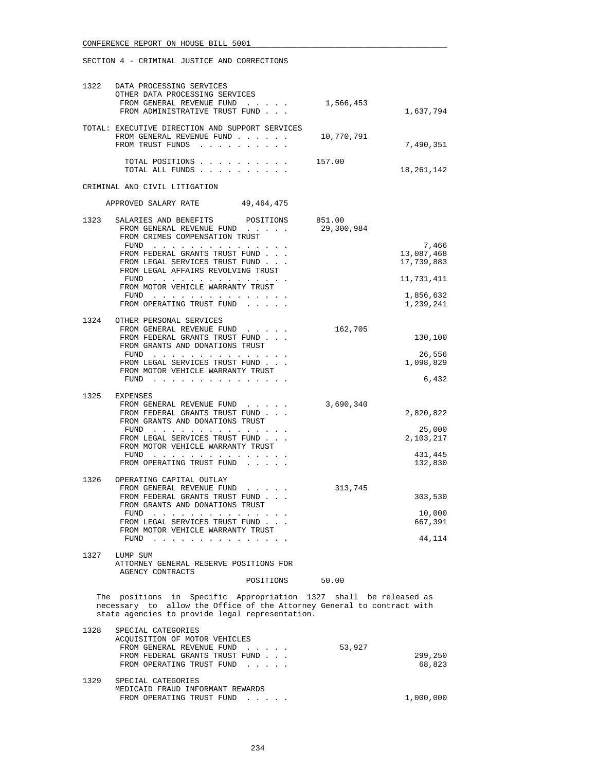| 1322 | DATA PROCESSING SERVICES<br>OTHER DATA PROCESSING SERVICES                                                                                                                                     |                      |                          |
|------|------------------------------------------------------------------------------------------------------------------------------------------------------------------------------------------------|----------------------|--------------------------|
|      | FROM GENERAL REVENUE FUND<br>FROM ADMINISTRATIVE TRUST FUND                                                                                                                                    | 1,566,453            | 1,637,794                |
|      | TOTAL: EXECUTIVE DIRECTION AND SUPPORT SERVICES<br>FROM GENERAL REVENUE FUND<br>FROM TRUST FUNDS                                                                                               | 10,770,791           | 7,490,351                |
|      | TOTAL POSITIONS<br>TOTAL ALL FUNDS                                                                                                                                                             | 157.00               | 18,261,142               |
|      | CRIMINAL AND CIVIL LITIGATION                                                                                                                                                                  |                      |                          |
|      | APPROVED SALARY RATE 49,464,475                                                                                                                                                                |                      |                          |
| 1323 | SALARIES AND BENEFITS<br>POSITIONS<br>FROM GENERAL REVENUE FUND<br>FROM CRIMES COMPENSATION TRUST                                                                                              | 851.00<br>29,300,984 | 7,466                    |
|      | FUND<br>FROM FEDERAL GRANTS TRUST FUND<br>FROM LEGAL SERVICES TRUST FUND<br>FROM LEGAL AFFAIRS REVOLVING TRUST                                                                                 |                      | 13,087,468<br>17,739,883 |
|      | FUND $\cdots$<br>FROM MOTOR VEHICLE WARRANTY TRUST                                                                                                                                             |                      | 11,731,411               |
|      | FUND $\cdots$ , $\cdots$ , $\cdots$ , $\cdots$<br>FROM OPERATING TRUST FUND                                                                                                                    |                      | 1,856,632<br>1,239,241   |
|      | 1324 OTHER PERSONAL SERVICES<br>FROM GENERAL REVENUE FUND<br>FROM FEDERAL GRANTS TRUST FUND<br>FROM GRANTS AND DONATIONS TRUST                                                                 | 162,705              | 130,100                  |
|      | FUND<br>FROM LEGAL SERVICES TRUST FUND                                                                                                                                                         |                      | 26,556<br>1,098,829      |
|      | FROM MOTOR VEHICLE WARRANTY TRUST<br>FUND                                                                                                                                                      |                      | 6,432                    |
| 1325 | EXPENSES<br>FROM GENERAL REVENUE FUND<br>FROM FEDERAL GRANTS TRUST FUND                                                                                                                        | 3,690,340            | 2,820,822                |
|      | FROM GRANTS AND DONATIONS TRUST<br>FUND<br>FROM LEGAL SERVICES TRUST FUND                                                                                                                      |                      | 25,000<br>2,103,217      |
|      | FROM MOTOR VEHICLE WARRANTY TRUST<br>FUND $\cdots$<br>FROM OPERATING TRUST FUND                                                                                                                |                      | 431,445<br>132,830       |
| 1326 | OPERATING CAPITAL OUTLAY                                                                                                                                                                       |                      |                          |
|      | FROM GENERAL REVENUE FUND<br>FROM FEDERAL GRANTS TRUST FUND<br>FROM GRANTS AND DONATIONS TRUST                                                                                                 | 313,745              | 303,530                  |
|      | FUND<br>.<br>FROM LEGAL SERVICES TRUST FUND                                                                                                                                                    |                      | 10,000<br>667,391        |
|      | FROM MOTOR VEHICLE WARRANTY TRUST<br>FUND                                                                                                                                                      |                      | 44,114                   |
| 1327 | LUMP SUM<br>ATTORNEY GENERAL RESERVE POSITIONS FOR<br>AGENCY CONTRACTS                                                                                                                         |                      |                          |
|      | POSITIONS                                                                                                                                                                                      | 50.00                |                          |
|      | The positions in Specific Appropriation 1327 shall be released as<br>necessary to allow the Office of the Attorney General to contract with<br>state agencies to provide legal representation. |                      |                          |
| 1328 | SPECIAL CATEGORIES<br>ACQUISITION OF MOTOR VEHICLES<br>FROM GENERAL REVENUE FUND<br>FROM FEDERAL GRANTS TRUST FUND<br>FROM OPERATING TRUST FUND                                                | 53,927               | 299,250<br>68,823        |
| 1329 | SPECIAL CATEGORIES<br>MEDICAID FRAUD INFORMANT REWARDS                                                                                                                                         |                      |                          |

FROM OPERATING TRUST FUND . . . . . . . . . . . . 1,000,000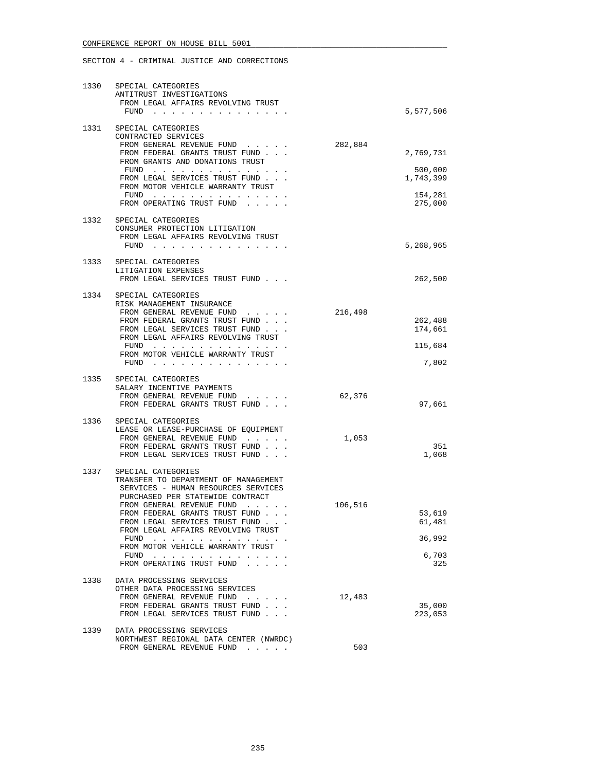|      | 1330 SPECIAL CATEGORIES<br>ANTITRUST INVESTIGATIONS<br>FROM LEGAL AFFAIRS REVOLVING TRUST<br>FUND $\cdots$                                                                                                                                                                                                                                                              |         | 5,577,506                                               |
|------|-------------------------------------------------------------------------------------------------------------------------------------------------------------------------------------------------------------------------------------------------------------------------------------------------------------------------------------------------------------------------|---------|---------------------------------------------------------|
| 1331 | SPECIAL CATEGORIES<br>CONTRACTED SERVICES<br>FROM GENERAL REVENUE FUND<br>FROM FEDERAL GRANTS TRUST FUND<br>FROM GRANTS AND DONATIONS TRUST<br>FUND $\cdots$<br>FROM LEGAL SERVICES TRUST FUND<br>FROM MOTOR VEHICLE WARRANTY TRUST<br>FUND $\cdots$<br>FROM OPERATING TRUST FUND                                                                                       | 282,884 | 2,769,731<br>500,000<br>1,743,399<br>154,281<br>275,000 |
|      | 1332 SPECIAL CATEGORIES<br>CONSUMER PROTECTION LITIGATION<br>FROM LEGAL AFFAIRS REVOLVING TRUST<br>FUND $\cdots$                                                                                                                                                                                                                                                        |         | 5,268,965                                               |
|      | 1333 SPECIAL CATEGORIES<br>LITIGATION EXPENSES<br>FROM LEGAL SERVICES TRUST FUND                                                                                                                                                                                                                                                                                        |         | 262,500                                                 |
|      | 1334 SPECIAL CATEGORIES<br>RISK MANAGEMENT INSURANCE<br>FROM GENERAL REVENUE FUND<br>FROM FEDERAL GRANTS TRUST FUND<br>FROM LEGAL SERVICES TRUST FUND<br>FROM LEGAL AFFAIRS REVOLVING TRUST<br>FUND<br>FROM MOTOR VEHICLE WARRANTY TRUST<br>FUND $\cdots$                                                                                                               | 216,498 | 262,488<br>174,661<br>115,684<br>7,802                  |
| 1335 | SPECIAL CATEGORIES<br>SALARY INCENTIVE PAYMENTS<br>FROM GENERAL REVENUE FUND<br>FROM FEDERAL GRANTS TRUST FUND                                                                                                                                                                                                                                                          | 62,376  | 97,661                                                  |
| 1336 | SPECIAL CATEGORIES<br>LEASE OR LEASE-PURCHASE OF EQUIPMENT<br>FROM GENERAL REVENUE FUND<br>FROM FEDERAL GRANTS TRUST FUND<br>FROM LEGAL SERVICES TRUST FUND                                                                                                                                                                                                             | 1,053   | 351<br>1,068                                            |
| 1337 | SPECIAL CATEGORIES<br>TRANSFER TO DEPARTMENT OF MANAGEMENT<br>SERVICES - HUMAN RESOURCES SERVICES<br>PURCHASED PER STATEWIDE CONTRACT<br>FROM GENERAL REVENUE FUND<br>FROM FEDERAL GRANTS TRUST FUND<br>FROM LEGAL SERVICES TRUST FUND<br>FROM LEGAL AFFAIRS REVOLVING TRUST<br>FUND $\cdots$<br>FROM MOTOR VEHICLE WARRANTY TRUST<br>FUND<br>FROM OPERATING TRUST FUND | 106,516 | 53,619<br>61,481<br>36,992<br>6,703<br>325              |
| 1338 | DATA PROCESSING SERVICES<br>OTHER DATA PROCESSING SERVICES<br>FROM GENERAL REVENUE FUND<br>FROM FEDERAL GRANTS TRUST FUND<br>FROM LEGAL SERVICES TRUST FUND                                                                                                                                                                                                             | 12,483  | 35,000<br>223,053                                       |
| 1339 | DATA PROCESSING SERVICES<br>NORTHWEST REGIONAL DATA CENTER (NWRDC)<br>FROM GENERAL REVENUE FUND                                                                                                                                                                                                                                                                         | 503     |                                                         |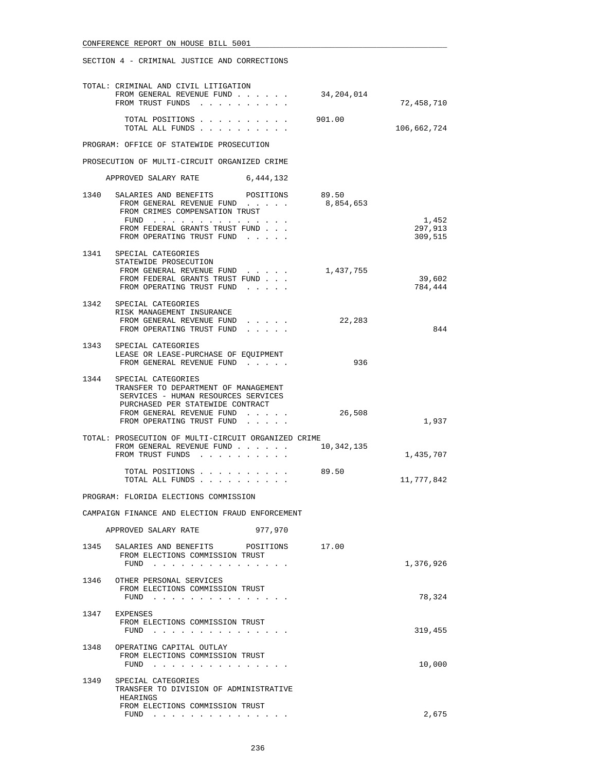|      | TOTAL: CRIMINAL AND CIVIL LITIGATION<br>FROM GENERAL REVENUE FUND<br>FROM TRUST FUNDS                                                                                                                                                                                                         | 34,204,014 | 72,458,710                  |
|------|-----------------------------------------------------------------------------------------------------------------------------------------------------------------------------------------------------------------------------------------------------------------------------------------------|------------|-----------------------------|
|      | TOTAL POSITIONS 901.00<br>TOTAL ALL FUNDS                                                                                                                                                                                                                                                     |            | 106,662,724                 |
|      | PROGRAM: OFFICE OF STATEWIDE PROSECUTION                                                                                                                                                                                                                                                      |            |                             |
|      | PROSECUTION OF MULTI-CIRCUIT ORGANIZED CRIME                                                                                                                                                                                                                                                  |            |                             |
|      | APPROVED SALARY RATE 6,444,132                                                                                                                                                                                                                                                                |            |                             |
|      | 1340 SALARIES AND BENEFITS POSITIONS<br>FROM GENERAL REVENUE FUND $\ldots$ 8,854,653<br>FROM CRIMES COMPENSATION TRUST<br>FUND<br>FROM FEDERAL GRANTS TRUST FUND<br>FROM OPERATING TRUST FUND                                                                                                 | 89.50      | 1,452<br>297,913<br>309,515 |
|      | 1341 SPECIAL CATEGORIES<br>STATEWIDE PROSECUTION<br>FROM GENERAL REVENUE FUND<br>FROM FEDERAL GRANTS TRUST FUND<br>FROM OPERATING TRUST FUND                                                                                                                                                  | 1,437,755  | 39,602<br>784,444           |
|      | 1342 SPECIAL CATEGORIES<br>RISK MANAGEMENT INSURANCE<br>FROM GENERAL REVENUE FUND<br>FROM OPERATING TRUST FUND<br>.                                                                                                                                                                           | 22,283     | 844                         |
|      | 1343 SPECIAL CATEGORIES<br>LEASE OR LEASE-PURCHASE OF EOUIPMENT<br>FROM GENERAL REVENUE FUND                                                                                                                                                                                                  | 936        |                             |
|      | 1344 SPECIAL CATEGORIES<br>TRANSFER TO DEPARTMENT OF MANAGEMENT<br>SERVICES - HUMAN RESOURCES SERVICES<br>PURCHASED PER STATEWIDE CONTRACT<br>FROM GENERAL REVENUE FUND<br>and a state of the state<br>FROM OPERATING TRUST FUND<br>$\mathbf{r}$ , $\mathbf{r}$ , $\mathbf{r}$ , $\mathbf{r}$ | 26,508     | 1,937                       |
|      | TOTAL: PROSECUTION OF MULTI-CIRCUIT ORGANIZED CRIME<br>FROM GENERAL REVENUE FUND<br>FROM TRUST FUNDS                                                                                                                                                                                          | 10,342,135 | 1,435,707                   |
|      | TOTAL POSITIONS<br>TOTAL ALL FUNDS                                                                                                                                                                                                                                                            | 89.50      | 11,777,842                  |
|      | PROGRAM: FLORIDA ELECTIONS COMMISSION                                                                                                                                                                                                                                                         |            |                             |
|      | CAMPAIGN FINANCE AND ELECTION FRAUD ENFORCEMENT                                                                                                                                                                                                                                               |            |                             |
|      | 977,970<br>APPROVED SALARY RATE                                                                                                                                                                                                                                                               |            |                             |
| 1345 | SALARIES AND BENEFITS POSITIONS<br>FROM ELECTIONS COMMISSION TRUST<br>FUND $\cdots$                                                                                                                                                                                                           | 17.00      | 1,376,926                   |
|      | 1346 OTHER PERSONAL SERVICES<br>FROM ELECTIONS COMMISSION TRUST<br>FUND                                                                                                                                                                                                                       |            | 78,324                      |
|      | 1347 EXPENSES<br>FROM ELECTIONS COMMISSION TRUST<br>FUND $\cdots$                                                                                                                                                                                                                             |            | 319,455                     |
| 1348 | OPERATING CAPITAL OUTLAY<br>FROM ELECTIONS COMMISSION TRUST<br>FUND $\cdots$                                                                                                                                                                                                                  |            | 10,000                      |
| 1349 | SPECIAL CATEGORIES<br>TRANSFER TO DIVISION OF ADMINISTRATIVE<br>HEARINGS<br>FROM ELECTIONS COMMISSION TRUST<br>$FUND$                                                                                                                                                                         |            | 2,675                       |
|      |                                                                                                                                                                                                                                                                                               |            |                             |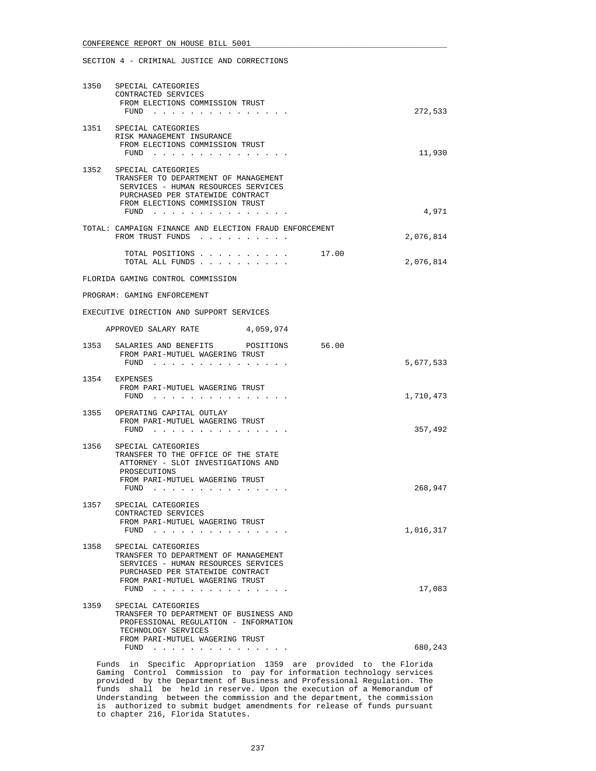### SECTION 4 - CRIMINAL JUSTICE AND CORRECTIONS

|      | 1350 SPECIAL CATEGORIES<br>CONTRACTED SERVICES<br>FROM ELECTIONS COMMISSION TRUST                                                                                                         |           |
|------|-------------------------------------------------------------------------------------------------------------------------------------------------------------------------------------------|-----------|
|      | FUND $\cdots$<br>1351 SPECIAL CATEGORIES                                                                                                                                                  | 272,533   |
|      | RISK MANAGEMENT INSURANCE<br>FROM ELECTIONS COMMISSION TRUST<br>FUND                                                                                                                      | 11,930    |
|      | 1352 SPECIAL CATEGORIES                                                                                                                                                                   |           |
|      | TRANSFER TO DEPARTMENT OF MANAGEMENT<br>SERVICES - HUMAN RESOURCES SERVICES<br>PURCHASED PER STATEWIDE CONTRACT<br>FROM ELECTIONS COMMISSION TRUST                                        |           |
|      | FUND                                                                                                                                                                                      | 4,971     |
|      | TOTAL: CAMPAIGN FINANCE AND ELECTION FRAUD ENFORCEMENT<br>FROM TRUST FUNDS                                                                                                                | 2,076,814 |
|      | TOTAL POSITIONS 17.00<br>TOTAL ALL FUNDS                                                                                                                                                  | 2,076,814 |
|      | FLORIDA GAMING CONTROL COMMISSION                                                                                                                                                         |           |
|      | PROGRAM: GAMING ENFORCEMENT                                                                                                                                                               |           |
|      | EXECUTIVE DIRECTION AND SUPPORT SERVICES                                                                                                                                                  |           |
|      | APPROVED SALARY RATE<br>4,059,974                                                                                                                                                         |           |
|      | 1353 SALARIES AND BENEFITS POSITIONS 56.00<br>FROM PARI-MUTUEL WAGERING TRUST<br>$FUND$                                                                                                   | 5,677,533 |
|      | 1354 EXPENSES<br>FROM PARI-MUTUEL WAGERING TRUST<br>FUND $\cdots$                                                                                                                         | 1,710,473 |
|      | 1355 OPERATING CAPITAL OUTLAY<br>FROM PARI-MUTUEL WAGERING TRUST                                                                                                                          |           |
|      | FUND                                                                                                                                                                                      | 357,492   |
| 1356 | SPECIAL CATEGORIES<br>TRANSFER TO THE OFFICE OF THE STATE<br>ATTORNEY - SLOT INVESTIGATIONS AND<br>PROSECUTIONS                                                                           |           |
|      | FROM PARI-MUTUEL WAGERING TRUST<br>FUND $\cdots$                                                                                                                                          | 268,947   |
| 1357 | SPECIAL CATEGORIES<br>CONTRACTED SERVICES                                                                                                                                                 |           |
|      | FROM PARI-MUTUEL WAGERING TRUST<br>FUND $\cdots$                                                                                                                                          | 1,016,317 |
| 1358 | SPECIAL CATEGORIES<br>TRANSFER TO DEPARTMENT OF MANAGEMENT<br>SERVICES - HUMAN RESOURCES SERVICES<br>PURCHASED PER STATEWIDE CONTRACT<br>FROM PARI-MUTUEL WAGERING TRUST<br>FUND $\ldots$ | 17,083    |
| 1359 | SPECIAL CATEGORIES<br>TRANSFER TO DEPARTMENT OF BUSINESS AND<br>PROFESSIONAL REGULATION - INFORMATION<br>TECHNOLOGY SERVICES                                                              |           |
|      | FROM PARI-MUTUEL WAGERING TRUST<br>FUND $\ldots$ $\ldots$ $\ldots$ $\ldots$ $\ldots$ $\ldots$                                                                                             | 680,243   |

 Funds in Specific Appropriation 1359 are provided to the Florida Gaming Control Commission to pay for information technology services provided by the Department of Business and Professional Regulation. The funds shall be held in reserve. Upon the execution of a Memorandum of Understanding between the commission and the department, the commission is authorized to submit budget amendments for release of funds pursuant to chapter 216, Florida Statutes.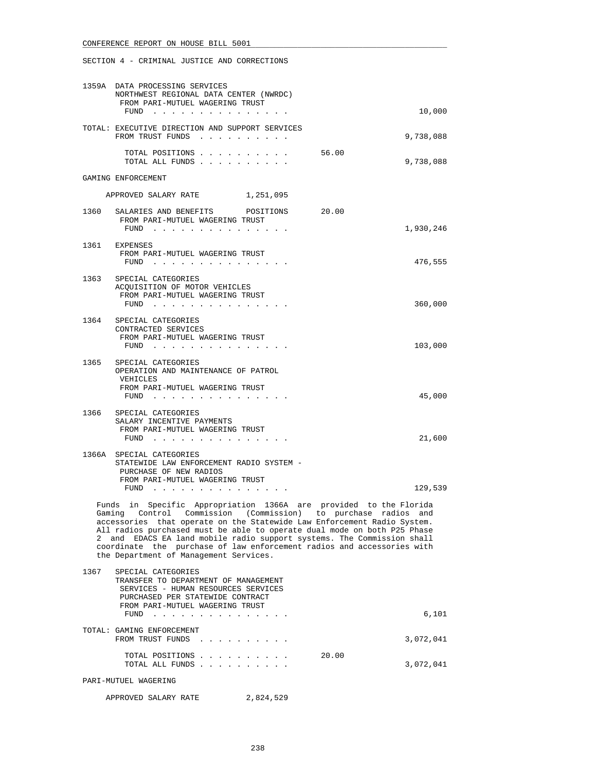SECTION 4 - CRIMINAL JUSTICE AND CORRECTIONS

|      | 1359A DATA PROCESSING SERVICES<br>NORTHWEST REGIONAL DATA CENTER (NWRDC)<br>FROM PARI-MUTUEL WAGERING TRUST                                                                                                                                                                                                                                                                                                                                                                                |           |
|------|--------------------------------------------------------------------------------------------------------------------------------------------------------------------------------------------------------------------------------------------------------------------------------------------------------------------------------------------------------------------------------------------------------------------------------------------------------------------------------------------|-----------|
|      | FUND $\cdots$                                                                                                                                                                                                                                                                                                                                                                                                                                                                              | 10,000    |
|      | TOTAL: EXECUTIVE DIRECTION AND SUPPORT SERVICES<br>FROM TRUST FUNDS                                                                                                                                                                                                                                                                                                                                                                                                                        | 9,738,088 |
|      | 56.00<br>TOTAL POSITIONS<br>TOTAL ALL FUNDS                                                                                                                                                                                                                                                                                                                                                                                                                                                | 9,738,088 |
|      | GAMING ENFORCEMENT                                                                                                                                                                                                                                                                                                                                                                                                                                                                         |           |
|      | APPROVED SALARY RATE 1,251,095                                                                                                                                                                                                                                                                                                                                                                                                                                                             |           |
|      | 1360 SALARIES AND BENEFITS POSITIONS 20.00<br>FROM PARI-MUTUEL WAGERING TRUST<br>FUND                                                                                                                                                                                                                                                                                                                                                                                                      | 1,930,246 |
|      | 1361 EXPENSES<br>FROM PARI-MUTUEL WAGERING TRUST<br>$FUND$                                                                                                                                                                                                                                                                                                                                                                                                                                 | 476,555   |
|      | 1363 SPECIAL CATEGORIES<br>ACQUISITION OF MOTOR VEHICLES<br>FROM PARI-MUTUEL WAGERING TRUST<br>FUND                                                                                                                                                                                                                                                                                                                                                                                        | 360,000   |
|      | 1364 SPECIAL CATEGORIES<br>CONTRACTED SERVICES<br>FROM PARI-MUTUEL WAGERING TRUST<br>FUND                                                                                                                                                                                                                                                                                                                                                                                                  | 103,000   |
|      | 1365 SPECIAL CATEGORIES<br>OPERATION AND MAINTENANCE OF PATROL<br>VEHICLES<br>FROM PARI-MUTUEL WAGERING TRUST<br>FUND $\cdots$                                                                                                                                                                                                                                                                                                                                                             | 45,000    |
| 1366 | SPECIAL CATEGORIES<br>SALARY INCENTIVE PAYMENTS<br>FROM PARI-MUTUEL WAGERING TRUST<br>FUND                                                                                                                                                                                                                                                                                                                                                                                                 | 21,600    |
|      | 1366A SPECIAL CATEGORIES<br>STATEWIDE LAW ENFORCEMENT RADIO SYSTEM -<br>PURCHASE OF NEW RADIOS<br>FROM PARI-MUTUEL WAGERING TRUST<br>FUND                                                                                                                                                                                                                                                                                                                                                  | 129,539   |
|      | Funds in Specific Appropriation 1366A are provided to the Florida<br>Control Commission (Commission) to purchase radios and<br>Gaming<br>accessories that operate on the Statewide Law Enforcement Radio System.<br>All radios purchased must be able to operate dual mode on both P25 Phase<br>2 and EDACS EA land mobile radio support systems. The Commission shall<br>coordinate the purchase of law enforcement radios and accessories with<br>the Department of Management Services. |           |
| 1367 | SPECIAL CATEGORIES<br>TRANSFER TO DEPARTMENT OF MANAGEMENT<br>SERVICES - HUMAN RESOURCES SERVICES<br>PURCHASED PER STATEWIDE CONTRACT<br>FROM PARI-MUTUEL WAGERING TRUST                                                                                                                                                                                                                                                                                                                   |           |
|      | FUND                                                                                                                                                                                                                                                                                                                                                                                                                                                                                       | 6,101     |
|      | TOTAL: GAMING ENFORCEMENT<br>FROM TRUST FUNDS                                                                                                                                                                                                                                                                                                                                                                                                                                              | 3,072,041 |

 TOTAL POSITIONS . . . . . . . . . . 20.00 TOTAL ALL FUNDS . . . . . . . . . . 3,072,041

PARI-MUTUEL WAGERING

APPROVED SALARY RATE 2,824,529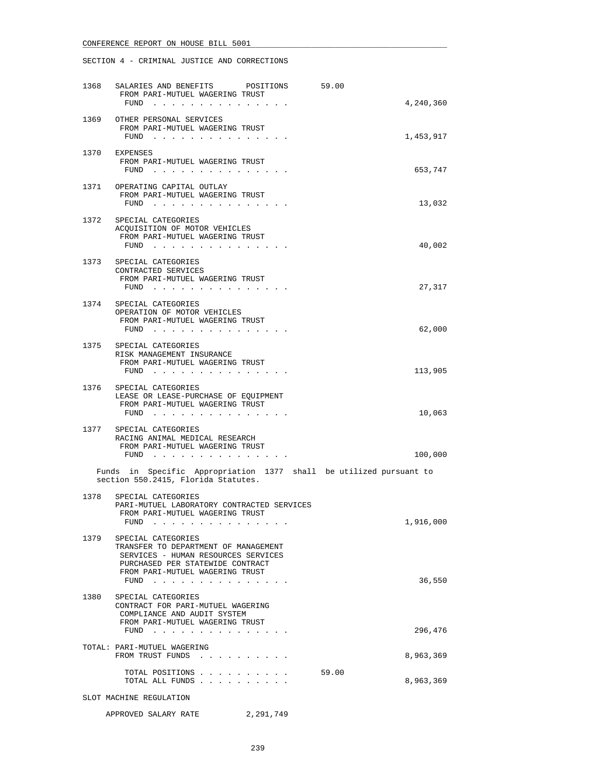| 1368 | SALARIES AND BENEFITS POSITIONS<br>FROM PARI-MUTUEL WAGERING TRUST<br>$FUND$                                                                                                              | 59.00<br>4,240,360 |
|------|-------------------------------------------------------------------------------------------------------------------------------------------------------------------------------------------|--------------------|
| 1369 | OTHER PERSONAL SERVICES<br>FROM PARI-MUTUEL WAGERING TRUST<br>FUND $\cdots$                                                                                                               | 1,453,917          |
| 1370 | EXPENSES<br>FROM PARI-MUTUEL WAGERING TRUST<br>FUND                                                                                                                                       | 653,747            |
|      | 1371 OPERATING CAPITAL OUTLAY<br>FROM PARI-MUTUEL WAGERING TRUST<br>FUND                                                                                                                  | 13,032             |
|      | 1372 SPECIAL CATEGORIES<br>ACQUISITION OF MOTOR VEHICLES<br>FROM PARI-MUTUEL WAGERING TRUST<br>FUND $\ldots$                                                                              | 40,002             |
| 1373 | SPECIAL CATEGORIES<br>CONTRACTED SERVICES<br>FROM PARI-MUTUEL WAGERING TRUST<br>FUND                                                                                                      | 27,317             |
| 1374 | SPECIAL CATEGORIES<br>OPERATION OF MOTOR VEHICLES<br>FROM PARI-MUTUEL WAGERING TRUST<br>FUND $\cdots$                                                                                     | 62,000             |
|      | 1375 SPECIAL CATEGORIES<br>RISK MANAGEMENT INSURANCE<br>FROM PARI-MUTUEL WAGERING TRUST<br>FUND $\cdots$ $\cdots$ $\cdots$ $\cdots$ $\cdots$ $\cdots$ $\cdots$                            | 113,905            |
|      | 1376 SPECIAL CATEGORIES<br>LEASE OR LEASE-PURCHASE OF EQUIPMENT<br>FROM PARI-MUTUEL WAGERING TRUST<br>FUND                                                                                | 10,063             |
|      | 1377 SPECIAL CATEGORIES<br>RACING ANIMAL MEDICAL RESEARCH<br>FROM PARI-MUTUEL WAGERING TRUST<br>FUND                                                                                      | 100,000            |
|      | Funds in Specific Appropriation 1377 shall be utilized pursuant to<br>section 550.2415, Florida Statutes.                                                                                 |                    |
| 1378 | SPECIAL CATEGORIES<br>PARI-MUTUEL LABORATORY CONTRACTED SERVICES<br>FROM PARI-MUTUEL WAGERING TRUST<br>FUND $\cdots$                                                                      | 1,916,000          |
| 1379 | SPECIAL CATEGORIES<br>TRANSFER TO DEPARTMENT OF MANAGEMENT<br>SERVICES - HUMAN RESOURCES SERVICES<br>PURCHASED PER STATEWIDE CONTRACT<br>FROM PARI-MUTUEL WAGERING TRUST<br>FUND $\cdots$ | 36,550             |
| 1380 | SPECIAL CATEGORIES<br>CONTRACT FOR PARI-MUTUEL WAGERING<br>COMPLIANCE AND AUDIT SYSTEM<br>FROM PARI-MUTUEL WAGERING TRUST<br>FUND $\cdots$                                                | 296,476            |
|      | TOTAL: PARI-MUTUEL WAGERING<br>FROM TRUST FUNDS                                                                                                                                           | 8,963,369          |
|      | TOTAL POSITIONS<br>TOTAL ALL FUNDS                                                                                                                                                        | 59.00<br>8,963,369 |
|      | SLOT MACHINE REGULATION                                                                                                                                                                   |                    |
|      | APPROVED SALARY RATE 2,291,749                                                                                                                                                            |                    |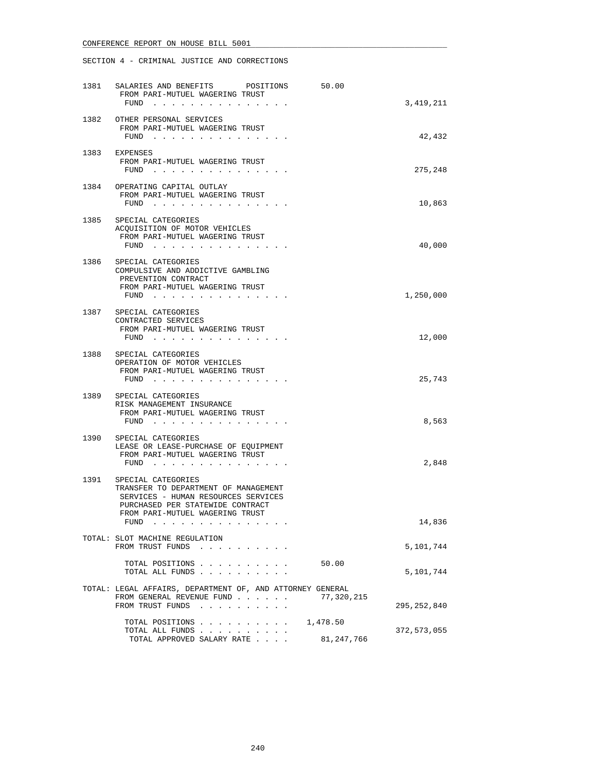| 1381 | SALARIES AND BENEFITS POSITIONS<br>50.00<br>FROM PARI-MUTUEL WAGERING TRUST<br>FUND<br>the contract of the contract of the contract of the contract of the contract of the contract of the contract of                                                                                                                                                           | 3,419,211   |
|------|------------------------------------------------------------------------------------------------------------------------------------------------------------------------------------------------------------------------------------------------------------------------------------------------------------------------------------------------------------------|-------------|
| 1382 | OTHER PERSONAL SERVICES<br>FROM PARI-MUTUEL WAGERING TRUST<br>FUND<br>. The contract of the contract of the contract of the contract of the contract of the contract of the contract of the contract of the contract of the contract of the contract of the contract of the contract of the contrac                                                              | 42,432      |
| 1383 | EXPENSES<br>FROM PARI-MUTUEL WAGERING TRUST<br>FUND<br>. The contract of the contract of the contract of the contract of the contract of the contract of the contract of the contract of the contract of the contract of the contract of the contract of the contract of the contrac                                                                             | 275,248     |
| 1384 | OPERATING CAPITAL OUTLAY<br>FROM PARI-MUTUEL WAGERING TRUST<br>FUND $\cdots$                                                                                                                                                                                                                                                                                     | 10,863      |
|      | 1385 SPECIAL CATEGORIES<br>ACQUISITION OF MOTOR VEHICLES<br>FROM PARI-MUTUEL WAGERING TRUST<br>FUND $\cdots$ $\cdots$ $\cdots$ $\cdots$ $\cdots$ $\cdots$ $\cdots$                                                                                                                                                                                               | 40,000      |
| 1386 | SPECIAL CATEGORIES<br>COMPULSIVE AND ADDICTIVE GAMBLING<br>PREVENTION CONTRACT<br>FROM PARI-MUTUEL WAGERING TRUST<br>$FUND$                                                                                                                                                                                                                                      | 1,250,000   |
|      | 1387 SPECIAL CATEGORIES<br>CONTRACTED SERVICES<br>FROM PARI-MUTUEL WAGERING TRUST<br>FUND $\cdots$                                                                                                                                                                                                                                                               | 12,000      |
| 1388 | SPECIAL CATEGORIES<br>OPERATION OF MOTOR VEHICLES<br>FROM PARI-MUTUEL WAGERING TRUST<br>$FUND$                                                                                                                                                                                                                                                                   | 25,743      |
|      | 1389 SPECIAL CATEGORIES<br>RISK MANAGEMENT INSURANCE<br>FROM PARI-MUTUEL WAGERING TRUST<br>FUND $\cdots$                                                                                                                                                                                                                                                         | 8,563       |
| 1390 | SPECIAL CATEGORIES<br>LEASE OR LEASE-PURCHASE OF EQUIPMENT<br>FROM PARI-MUTUEL WAGERING TRUST<br>FUND                                                                                                                                                                                                                                                            | 2,848       |
| 1391 | SPECIAL CATEGORIES<br>TRANSFER TO DEPARTMENT OF MANAGEMENT<br>SERVICES - HUMAN RESOURCES SERVICES<br>PURCHASED PER STATEWIDE CONTRACT<br>FROM PARI-MUTUEL WAGERING TRUST                                                                                                                                                                                         |             |
|      | FUND<br>والمناور والمناور والمناور والمناور والمناور والمناور                                                                                                                                                                                                                                                                                                    | 14,836      |
|      | TOTAL: SLOT MACHINE REGULATION<br>FROM TRUST FUNDS<br>. The second contract is a second contract of $\mathcal{A}$                                                                                                                                                                                                                                                | 5,101,744   |
|      | TOTAL POSITIONS<br>50.00<br>TOTAL ALL FUNDS                                                                                                                                                                                                                                                                                                                      | 5,101,744   |
|      | TOTAL: LEGAL AFFAIRS, DEPARTMENT OF, AND ATTORNEY GENERAL<br>FROM GENERAL REVENUE FUND<br>77,320,215<br>FROM TRUST FUNDS<br><u>in the series of the series of the series of the series of the series of the series of the series of the series of the series of the series of the series of the series of the series of the series of the series of the seri</u> | 295,252,840 |
|      | TOTAL POSITIONS<br>1,478.50<br>TOTAL ALL FUNDS<br>$\sim$ $\sim$ $\sim$ $\sim$ $\sim$<br>TOTAL APPROVED SALARY RATE<br>81,247,766                                                                                                                                                                                                                                 | 372,573,055 |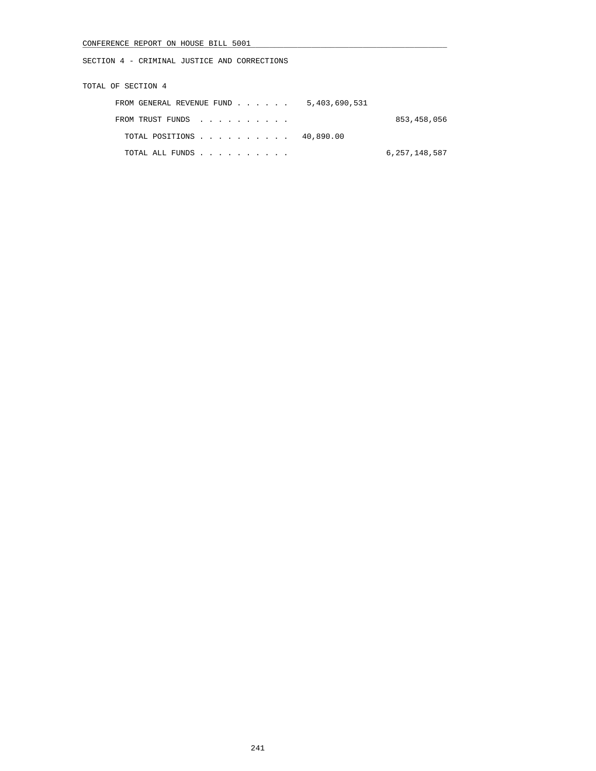SECTION 4 - CRIMINAL JUSTICE AND CORRECTIONS

TOTAL OF SECTION 4

| FROM GENERAL REVENUE FUND $\ldots$ $\ldots$ 5,403,690,531 |               |
|-----------------------------------------------------------|---------------|
| FROM TRUST FUNDS                                          | 853,458,056   |
| TOTAL POSITIONS 40,890.00                                 |               |
| TOTAL ALL FUNDS                                           | 6,257,148,587 |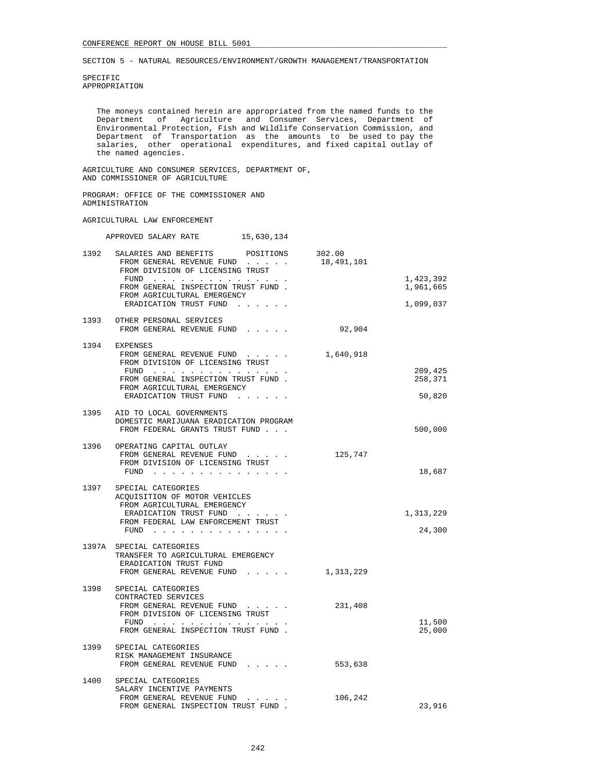SPECIFIC APPROPRIATION

 The moneys contained herein are appropriated from the named funds to the Department of Agriculture and Consumer Services, Department of Environmental Protection, Fish and Wildlife Conservation Commission, and Department of Transportation as the amounts to be used to pay the salaries, other operational expenditures, and fixed capital outlay of the named agencies.

 AGRICULTURE AND CONSUMER SERVICES, DEPARTMENT OF, AND COMMISSIONER OF AGRICULTURE

 PROGRAM: OFFICE OF THE COMMISSIONER AND ADMINISTRATION

### AGRICULTURAL LAW ENFORCEMENT

|      | 15,630,134<br>APPROVED SALARY RATE                                                                                                                                                            |            |                        |
|------|-----------------------------------------------------------------------------------------------------------------------------------------------------------------------------------------------|------------|------------------------|
| 1392 | SALARIES AND BENEFITS POSITIONS 302.00<br>FROM GENERAL REVENUE FUND<br>FROM DIVISION OF LICENSING TRUST                                                                                       | 18,491,101 |                        |
|      | FUND<br>FROM GENERAL INSPECTION TRUST FUND.                                                                                                                                                   |            | 1,423,392<br>1,961,665 |
|      | FROM AGRICULTURAL EMERGENCY<br>ERADICATION TRUST FUND                                                                                                                                         |            | 1,099,037              |
| 1393 | OTHER PERSONAL SERVICES<br>FROM GENERAL REVENUE FUND                                                                                                                                          | 92,904     |                        |
|      | 1394 EXPENSES<br>FROM GENERAL REVENUE FUND<br>FROM DIVISION OF LICENSING TRUST                                                                                                                | 1,640,918  |                        |
|      | FUND $\cdots$<br>FROM GENERAL INSPECTION TRUST FUND.<br>FROM AGRICULTURAL EMERGENCY                                                                                                           |            | 209,425<br>258,371     |
|      | ERADICATION TRUST FUND<br>and the contract of the con-                                                                                                                                        |            | 50,820                 |
|      | 1395 AID TO LOCAL GOVERNMENTS<br>DOMESTIC MARIJUANA ERADICATION PROGRAM<br>FROM FEDERAL GRANTS TRUST FUND                                                                                     |            | 500,000                |
|      | 1396 OPERATING CAPITAL OUTLAY<br>FROM GENERAL REVENUE FUND<br>FROM DIVISION OF LICENSING TRUST                                                                                                | 125,747    |                        |
|      | FUND                                                                                                                                                                                          |            | 18,687                 |
| 1397 | SPECIAL CATEGORIES<br>ACQUISITION OF MOTOR VEHICLES<br>FROM AGRICULTURAL EMERGENCY                                                                                                            |            |                        |
|      | ERADICATION TRUST FUND<br>FROM FEDERAL LAW ENFORCEMENT TRUST<br>FUND $\cdots$                                                                                                                 |            | 1,313,229<br>24,300    |
|      | 1397A SPECIAL CATEGORIES<br>TRANSFER TO AGRICULTURAL EMERGENCY<br>ERADICATION TRUST FUND                                                                                                      |            |                        |
|      | FROM GENERAL REVENUE FUND                                                                                                                                                                     | 1,313,229  |                        |
| 1398 | SPECIAL CATEGORIES<br>CONTRACTED SERVICES<br>FROM GENERAL REVENUE FUND<br>FROM DIVISION OF LICENSING TRUST<br>FUND $\cdots$                                                                   | 231,408    | 11,500                 |
|      | FROM GENERAL INSPECTION TRUST FUND.                                                                                                                                                           |            | 25,000                 |
|      | 1399 SPECIAL CATEGORIES<br>RISK MANAGEMENT INSURANCE<br>FROM GENERAL REVENUE FUND                                                                                                             | 553,638    |                        |
| 1400 | SPECIAL CATEGORIES<br>SALARY INCENTIVE PAYMENTS                                                                                                                                               |            |                        |
|      | FROM GENERAL REVENUE FUND<br>$\begin{array}{cccccccccccccc} \bullet & \bullet & \bullet & \bullet & \bullet & \bullet & \bullet & \bullet \end{array}$<br>FROM GENERAL INSPECTION TRUST FUND. | 106,242    | 23,916                 |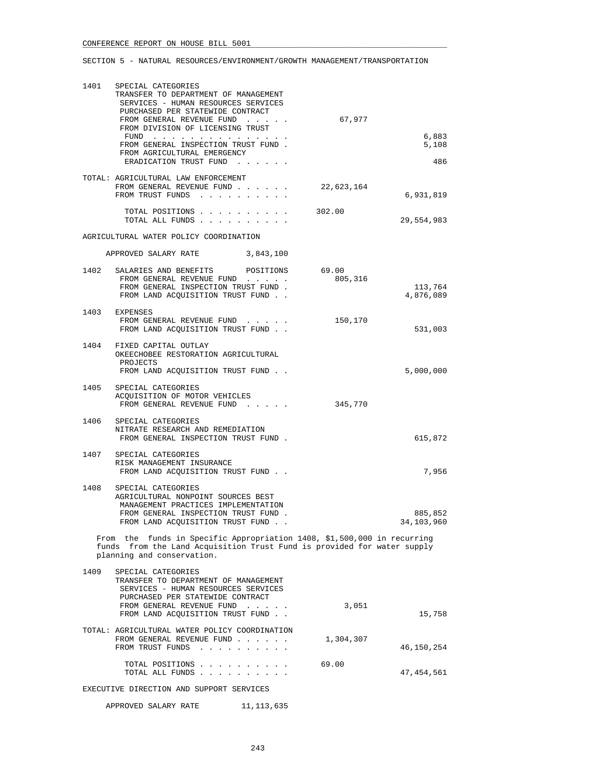| 1401 | SPECIAL CATEGORIES<br>TRANSFER TO DEPARTMENT OF MANAGEMENT<br>SERVICES - HUMAN RESOURCES SERVICES<br>PURCHASED PER STATEWIDE CONTRACT<br>FROM GENERAL REVENUE FUND<br>FROM DIVISION OF LICENSING TRUST<br>FUND<br>FROM GENERAL INSPECTION TRUST FUND.<br>FROM AGRICULTURAL EMERGENCY<br>ERADICATION TRUST FUND | 67,977     | 6,883<br>5,108<br>486 |
|------|----------------------------------------------------------------------------------------------------------------------------------------------------------------------------------------------------------------------------------------------------------------------------------------------------------------|------------|-----------------------|
|      | TOTAL: AGRICULTURAL LAW ENFORCEMENT<br>FROM GENERAL REVENUE FUND<br>FROM TRUST FUNDS                                                                                                                                                                                                                           | 22,623,164 | 6,931,819             |
|      | TOTAL POSITIONS<br>TOTAL ALL FUNDS                                                                                                                                                                                                                                                                             | 302.00     | 29,554,983            |
|      | AGRICULTURAL WATER POLICY COORDINATION                                                                                                                                                                                                                                                                         |            |                       |
|      | APPROVED SALARY RATE<br>3,843,100                                                                                                                                                                                                                                                                              |            |                       |
|      | 1402 SALARIES AND BENEFITS POSITIONS 69.00<br>FROM GENERAL REVENUE FUND<br>FROM GENERAL INSPECTION TRUST FUND.<br>FROM LAND ACOUISITION TRUST FUND.                                                                                                                                                            | 805,316    | 113,764<br>4,876,089  |
|      | 1403 EXPENSES<br>FROM GENERAL REVENUE FUND<br>FROM LAND ACQUISITION TRUST FUND                                                                                                                                                                                                                                 | 150,170    | 531,003               |
|      | 1404 FIXED CAPITAL OUTLAY<br>OKEECHOBEE RESTORATION AGRICULTURAL<br>PROJECTS<br>FROM LAND ACQUISITION TRUST FUND                                                                                                                                                                                               |            | 5,000,000             |
|      | 1405 SPECIAL CATEGORIES<br>ACQUISITION OF MOTOR VEHICLES<br>FROM GENERAL REVENUE FUND                                                                                                                                                                                                                          | 345,770    |                       |
|      | 1406 SPECIAL CATEGORIES<br>NITRATE RESEARCH AND REMEDIATION<br>FROM GENERAL INSPECTION TRUST FUND.                                                                                                                                                                                                             |            | 615,872               |
|      | 1407 SPECIAL CATEGORIES<br>RISK MANAGEMENT INSURANCE<br>FROM LAND ACQUISITION TRUST FUND                                                                                                                                                                                                                       |            | 7,956                 |
| 1408 | SPECIAL CATEGORIES<br>AGRICULTURAL NONPOINT SOURCES BEST<br>MANAGEMENT PRACTICES IMPLEMENTATION<br>FROM GENERAL INSPECTION TRUST FUND.<br>FROM LAND ACQUISITION TRUST FUND                                                                                                                                     |            | 885,852<br>34,103,960 |
|      | From the funds in Specific Appropriation 1408, \$1,500,000 in recurring<br>funds from the Land Acquisition Trust Fund is provided for water supply<br>planning and conservation.                                                                                                                               |            |                       |
| 1409 | SPECIAL CATEGORIES<br>TRANSFER TO DEPARTMENT OF MANAGEMENT<br>SERVICES - HUMAN RESOURCES SERVICES<br>PURCHASED PER STATEWIDE CONTRACT                                                                                                                                                                          |            |                       |
|      | FROM GENERAL REVENUE FUND<br>FROM LAND ACQUISITION TRUST FUND                                                                                                                                                                                                                                                  | 3,051      | 15,758                |
|      | TOTAL: AGRICULTURAL WATER POLICY COORDINATION<br>FROM GENERAL REVENUE FUND<br>FROM TRUST FUNDS                                                                                                                                                                                                                 | 1,304,307  | 46,150,254            |
|      | TOTAL POSITIONS<br>TOTAL ALL FUNDS                                                                                                                                                                                                                                                                             | 69.00      | 47,454,561            |
|      | EXECUTIVE DIRECTION AND SUPPORT SERVICES                                                                                                                                                                                                                                                                       |            |                       |
|      | APPROVED SALARY RATE<br>11,113,635                                                                                                                                                                                                                                                                             |            |                       |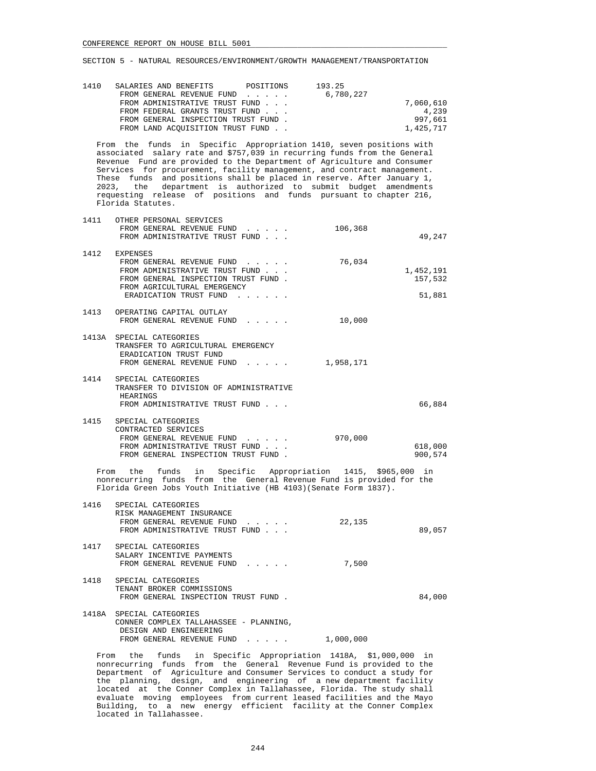| 1410 | SALARIES AND BENEFITS               | POSITIONS | 193.25    |           |
|------|-------------------------------------|-----------|-----------|-----------|
|      | FROM GENERAL REVENUE FUND           |           | 6,780,227 |           |
|      | FROM ADMINISTRATIVE TRUST FUND      |           |           | 7,060,610 |
|      | FROM FEDERAL GRANTS TRUST FUND      |           |           | 4,239     |
|      | FROM GENERAL INSPECTION TRUST FUND. |           |           | 997,661   |
|      | FROM LAND ACOUISITION TRUST FUND    |           |           | 1,425,717 |
|      |                                     |           |           |           |

 From the funds in Specific Appropriation 1410, seven positions with associated salary rate and \$757,039 in recurring funds from the General Revenue Fund are provided to the Department of Agriculture and Consumer Services for procurement, facility management, and contract management. These funds and positions shall be placed in reserve. After January 1, 2023, the department is authorized to submit budget amendments requesting release of positions and funds pursuant to chapter 216, Florida Statutes.

| 1411 | OTHER PERSONAL SERVICES                                      |           |           |
|------|--------------------------------------------------------------|-----------|-----------|
|      | FROM GENERAL REVENUE FUND                                    | 106,368   |           |
|      | FROM ADMINISTRATIVE TRUST FUND                               |           | 49,247    |
|      |                                                              |           |           |
| 1412 | EXPENSES                                                     |           |           |
|      | FROM GENERAL REVENUE FUND                                    | 76,034    |           |
|      | FROM ADMINISTRATIVE TRUST FUND.                              |           | 1,452,191 |
|      | FROM GENERAL INSPECTION TRUST FUND.                          |           | 157,532   |
|      | FROM AGRICULTURAL EMERGENCY                                  |           |           |
|      | ERADICATION TRUST FUND                                       |           | 51,881    |
|      |                                                              |           |           |
| 1413 | OPERATING CAPITAL OUTLAY                                     |           |           |
|      | FROM GENERAL REVENUE FUND                                    | 10,000    |           |
|      |                                                              |           |           |
|      | 1413A SPECIAL CATEGORIES                                     |           |           |
|      | TRANSFER TO AGRICULTURAL EMERGENCY<br>ERADICATION TRUST FUND |           |           |
|      | FROM GENERAL REVENUE FUND                                    | 1,958,171 |           |
|      |                                                              |           |           |
| 1414 | SPECIAL CATEGORIES                                           |           |           |
|      | TRANSFER TO DIVISION OF ADMINISTRATIVE                       |           |           |
|      | HEARINGS                                                     |           |           |
|      | FROM ADMINISTRATIVE TRUST FUND                               |           | 66,884    |
|      |                                                              |           |           |
| 1415 | SPECIAL CATEGORIES                                           |           |           |
|      | CONTRACTED SERVICES                                          |           |           |
|      | FROM GENERAL REVENUE FUND                                    | 970,000   |           |
|      | FROM ADMINISTRATIVE TRUST FUND                               |           | 618,000   |
|      | FROM GENERAL INSPECTION TRUST FUND                           |           | 900,574   |

 From the funds in Specific Appropriation 1415, \$965,000 in nonrecurring funds from the General Revenue Fund is provided for the Florida Green Jobs Youth Initiative (HB 4103)(Senate Form 1837).

| 1416 | SPECIAL CATEGORIES<br>RISK MANAGEMENT INSURANCE<br>FROM GENERAL REVENUE FUND<br>FROM ADMINISTRATIVE TRUST FUND | 22,135 | 89,057 |
|------|----------------------------------------------------------------------------------------------------------------|--------|--------|
| 1417 | SPECIAL CATEGORIES<br>SALARY INCENTIVE PAYMENTS<br>FROM GENERAL REVENUE FUND                                   | 7,500  |        |
| 1418 | SPECIAL CATEGORIES<br>TENANT BROKER COMMISSIONS<br>FROM GENERAL INSPECTION TRUST FUND.                         |        | 84,000 |
|      | 1418A SPECIAL CATEGORIES<br>CONNER COMPLEX TALLAHASSEE - PLANNING,<br>DESIGN AND ENGINEERING                   |        |        |

 From the funds in Specific Appropriation 1418A, \$1,000,000 in nonrecurring funds from the General Revenue Fund is provided to the Department of Agriculture and Consumer Services to conduct a study for the planning, design, and engineering of a new department facility located at the Conner Complex in Tallahassee, Florida. The study shall evaluate moving employees from current leased facilities and the Mayo Building, to a new energy efficient facility at the Conner Complex located in Tallahassee.

FROM GENERAL REVENUE FUND . . . . . 1,000,000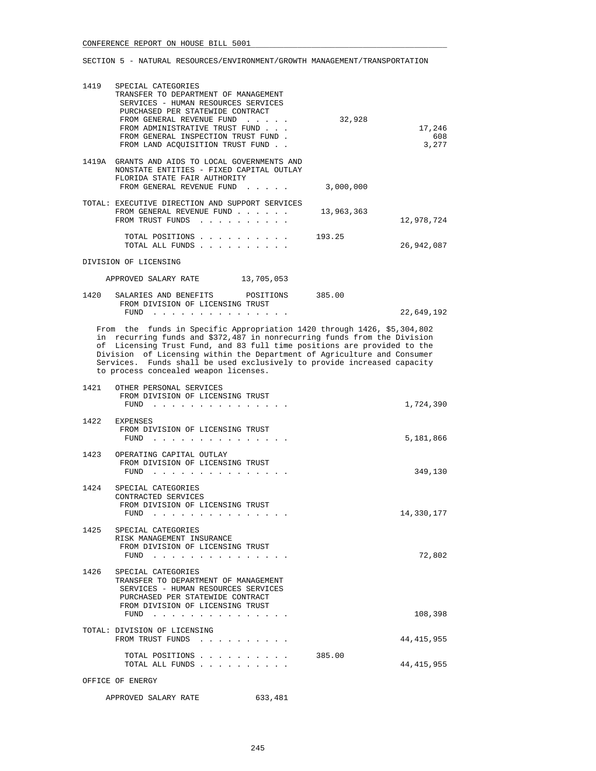| 1419 | SPECIAL CATEGORIES<br>TRANSFER TO DEPARTMENT OF MANAGEMENT<br>SERVICES - HUMAN RESOURCES SERVICES<br>PURCHASED PER STATEWIDE CONTRACT<br>FROM GENERAL REVENUE FUND<br>FROM ADMINISTRATIVE TRUST FUND<br>FROM GENERAL INSPECTION TRUST FUND.<br>FROM LAND ACOUISITION TRUST FUND. | 32,928    | 17,246<br>608<br>3,277 |
|------|----------------------------------------------------------------------------------------------------------------------------------------------------------------------------------------------------------------------------------------------------------------------------------|-----------|------------------------|
|      | 1419A GRANTS AND AIDS TO LOCAL GOVERNMENTS AND<br>NONSTATE ENTITIES - FIXED CAPITAL OUTLAY<br>FLORIDA STATE FAIR AUTHORITY<br>FROM GENERAL REVENUE FUND                                                                                                                          | 3,000,000 |                        |
|      | TOTAL: EXECUTIVE DIRECTION AND SUPPORT SERVICES<br>FROM GENERAL REVENUE FUND $\ldots$ $\ldots$ $\ldots$ 13,963,363<br>FROM TRUST FUNDS                                                                                                                                           |           | 12,978,724             |
|      | TOTAL POSITIONS<br>TOTAL ALL FUNDS                                                                                                                                                                                                                                               | 193.25    | 26,942,087             |
|      | DIVISION OF LICENSING                                                                                                                                                                                                                                                            |           |                        |
|      | 13,705,053<br>APPROVED SALARY RATE                                                                                                                                                                                                                                               |           |                        |
|      | 1420 SALARIES AND BENEFITS POSITIONS<br>FROM DIVISION OF LICENSING TRUST                                                                                                                                                                                                         | 385.00    |                        |
|      | FUND<br>.                                                                                                                                                                                                                                                                        |           | 22,649,192             |
|      | From the funds in Specific Appropriation 1420 through 1426, \$5,304,802<br>in requiring funds and \$272,497 in personance funds from the Division                                                                                                                                |           |                        |

 in recurring funds and \$372,487 in nonrecurring funds from the Division of Licensing Trust Fund, and 83 full time positions are provided to the Division of Licensing within the Department of Agriculture and Consumer Services. Funds shall be used exclusively to provide increased capacity to process concealed weapon licenses.

|      | 1421 OTHER PERSONAL SERVICES<br>FROM DIVISION OF LICENSING TRUST<br>FUND                                                                                                               | 1,724,390    |
|------|----------------------------------------------------------------------------------------------------------------------------------------------------------------------------------------|--------------|
|      | 1422 EXPENSES<br>FROM DIVISION OF LICENSING TRUST<br>FUND                                                                                                                              | 5,181,866    |
|      | 1423 OPERATING CAPITAL OUTLAY<br>FROM DIVISION OF LICENSING TRUST<br>FUND                                                                                                              | 349,130      |
| 1424 | SPECIAL CATEGORIES<br>CONTRACTED SERVICES<br>FROM DIVISION OF LICENSING TRUST<br>FUND<br>$\mathbf{r}$ , $\mathbf{r}$ , $\mathbf{r}$ , $\mathbf{r}$ , $\mathbf{r}$ , $\mathbf{r}$       | 14,330,177   |
|      | 1425 SPECIAL CATEGORIES<br>RISK MANAGEMENT INSURANCE<br>FROM DIVISION OF LICENSING TRUST<br>FUND                                                                                       | 72,802       |
|      | 1426 SPECIAL CATEGORIES<br>TRANSFER TO DEPARTMENT OF MANAGEMENT<br>SERVICES - HUMAN RESOURCES SERVICES<br>PURCHASED PER STATEWIDE CONTRACT<br>FROM DIVISION OF LICENSING TRUST<br>FUND | 108,398      |
|      | TOTAL: DIVISION OF LICENSING                                                                                                                                                           |              |
|      | FROM TRUST FUNDS                                                                                                                                                                       | 44, 415, 955 |
|      | 385.00<br>TOTAL POSITIONS.<br>TOTAL ALL FUNDS.                                                                                                                                         | 44, 415, 955 |

OFFICE OF ENERGY

## APPROVED SALARY RATE 633,481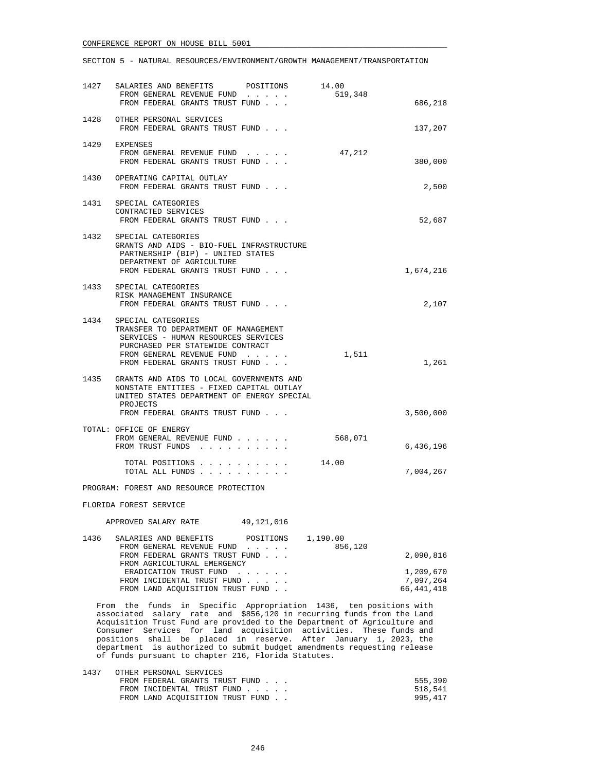|                                                                                                                                                                                                                                                                                                                                                                                                                                                                                                    | 1427 SALARIES AND BENEFITS POSITIONS 14.00<br>FROM GENERAL REVENUE FUND<br>FROM FEDERAL GRANTS TRUST FUND                                                                                                 |                                                                    | 519,348             | 686,218                             |
|----------------------------------------------------------------------------------------------------------------------------------------------------------------------------------------------------------------------------------------------------------------------------------------------------------------------------------------------------------------------------------------------------------------------------------------------------------------------------------------------------|-----------------------------------------------------------------------------------------------------------------------------------------------------------------------------------------------------------|--------------------------------------------------------------------|---------------------|-------------------------------------|
|                                                                                                                                                                                                                                                                                                                                                                                                                                                                                                    | 1428 OTHER PERSONAL SERVICES<br>FROM FEDERAL GRANTS TRUST FUND                                                                                                                                            |                                                                    |                     | 137,207                             |
|                                                                                                                                                                                                                                                                                                                                                                                                                                                                                                    | 1429 EXPENSES<br>FROM GENERAL REVENUE FUND<br>FROM FEDERAL GRANTS TRUST FUND                                                                                                                              |                                                                    | 47,212              | 380,000                             |
| 1430                                                                                                                                                                                                                                                                                                                                                                                                                                                                                               | OPERATING CAPITAL OUTLAY<br>FROM FEDERAL GRANTS TRUST FUND                                                                                                                                                |                                                                    |                     | 2,500                               |
|                                                                                                                                                                                                                                                                                                                                                                                                                                                                                                    | 1431 SPECIAL CATEGORIES<br>CONTRACTED SERVICES<br>FROM FEDERAL GRANTS TRUST FUND                                                                                                                          |                                                                    |                     | 52,687                              |
|                                                                                                                                                                                                                                                                                                                                                                                                                                                                                                    | 1432 SPECIAL CATEGORIES<br>GRANTS AND AIDS - BIO-FUEL INFRASTRUCTURE<br>PARTNERSHIP (BIP) - UNITED STATES<br>DEPARTMENT OF AGRICULTURE<br>FROM FEDERAL GRANTS TRUST FUND                                  |                                                                    |                     | 1,674,216                           |
|                                                                                                                                                                                                                                                                                                                                                                                                                                                                                                    | 1433 SPECIAL CATEGORIES<br>RISK MANAGEMENT INSURANCE<br>FROM FEDERAL GRANTS TRUST FUND                                                                                                                    |                                                                    |                     | 2,107                               |
|                                                                                                                                                                                                                                                                                                                                                                                                                                                                                                    | 1434 SPECIAL CATEGORIES<br>TRANSFER TO DEPARTMENT OF MANAGEMENT<br>SERVICES - HUMAN RESOURCES SERVICES<br>PURCHASED PER STATEWIDE CONTRACT<br>FROM GENERAL REVENUE FUND<br>FROM FEDERAL GRANTS TRUST FUND |                                                                    | 1,511               | 1,261                               |
|                                                                                                                                                                                                                                                                                                                                                                                                                                                                                                    | 1435 GRANTS AND AIDS TO LOCAL GOVERNMENTS AND<br>NONSTATE ENTITIES - FIXED CAPITAL OUTLAY<br>UNITED STATES DEPARTMENT OF ENERGY SPECIAL<br>PROJECTS<br>FROM FEDERAL GRANTS TRUST FUND                     |                                                                    |                     | 3,500,000                           |
|                                                                                                                                                                                                                                                                                                                                                                                                                                                                                                    | TOTAL: OFFICE OF ENERGY<br>FROM GENERAL REVENUE FUND<br>FROM TRUST FUNDS                                                                                                                                  |                                                                    | 568,071             | 6,436,196                           |
|                                                                                                                                                                                                                                                                                                                                                                                                                                                                                                    | TOTAL POSITIONS<br>TOTAL ALL FUNDS                                                                                                                                                                        |                                                                    | 14.00               | 7,004,267                           |
|                                                                                                                                                                                                                                                                                                                                                                                                                                                                                                    | PROGRAM: FOREST AND RESOURCE PROTECTION                                                                                                                                                                   |                                                                    |                     |                                     |
|                                                                                                                                                                                                                                                                                                                                                                                                                                                                                                    | FLORIDA FOREST SERVICE                                                                                                                                                                                    |                                                                    |                     |                                     |
|                                                                                                                                                                                                                                                                                                                                                                                                                                                                                                    | APPROVED SALARY RATE                                                                                                                                                                                      | 49,121,016                                                         |                     |                                     |
| 1436                                                                                                                                                                                                                                                                                                                                                                                                                                                                                               | SALARIES AND BENEFITS<br>FROM GENERAL REVENUE FUND<br>FROM FEDERAL GRANTS TRUST FUND<br>FROM AGRICULTURAL EMERGENCY<br>ERADICATION TRUST FUND<br>FROM INCIDENTAL TRUST FUND                               | POSITIONS<br>$\mathcal{A}$ , and $\mathcal{A}$ , and $\mathcal{A}$ | 1,190.00<br>856,120 | 2,090,816<br>1,209,670<br>7,097,264 |
|                                                                                                                                                                                                                                                                                                                                                                                                                                                                                                    | FROM LAND ACQUISITION TRUST FUND                                                                                                                                                                          |                                                                    |                     | 66, 441, 418                        |
| From the funds in Specific Appropriation 1436, ten positions with<br>associated salary rate and \$856,120 in recurring funds from the Land<br>Acquisition Trust Fund are provided to the Department of Agriculture and<br>Consumer Services for land acquisition activities. These funds and<br>positions shall be placed in reserve. After January 1, 2023, the<br>department is authorized to submit budget amendments requesting release<br>of funds pursuant to chapter 216, Florida Statutes. |                                                                                                                                                                                                           |                                                                    |                     |                                     |

| 1437 | OTHER PERSONAL SERVICES           |         |
|------|-----------------------------------|---------|
|      | FROM FEDERAL GRANTS TRUST FUND    | 555,390 |
|      | FROM INCIDENTAL TRUST FUND        | 518,541 |
|      | FROM LAND ACOUISITION TRUST FUND. | 995.417 |
|      |                                   |         |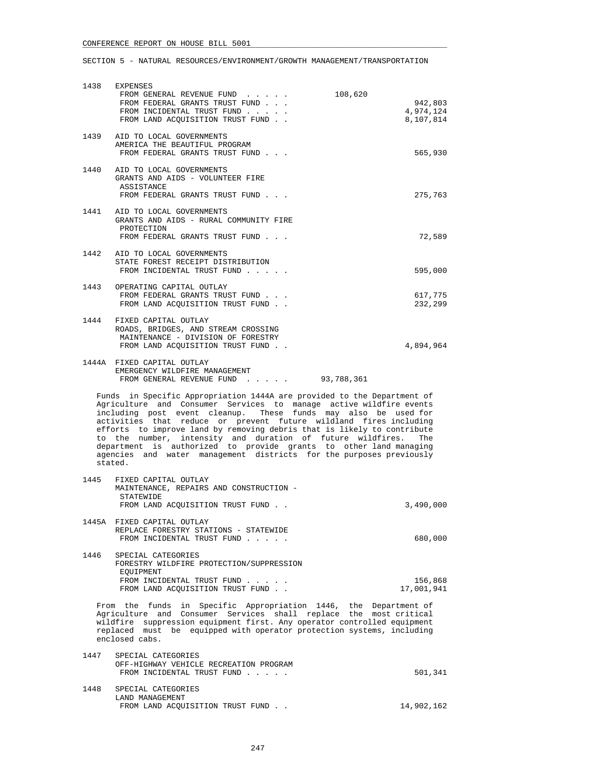| 1438                                                                                                                                                                                                                                                                                                                                                                                                                                                                                                                                                                                     | EXPENSES<br>FROM GENERAL REVENUE FUND<br>108,620<br>FROM FEDERAL GRANTS TRUST FUND<br>FROM INCIDENTAL TRUST FUND<br>FROM LAND ACQUISITION TRUST FUND | 942,803<br>4,974,124<br>8,107,814 |  |
|------------------------------------------------------------------------------------------------------------------------------------------------------------------------------------------------------------------------------------------------------------------------------------------------------------------------------------------------------------------------------------------------------------------------------------------------------------------------------------------------------------------------------------------------------------------------------------------|------------------------------------------------------------------------------------------------------------------------------------------------------|-----------------------------------|--|
|                                                                                                                                                                                                                                                                                                                                                                                                                                                                                                                                                                                          | 1439 AID TO LOCAL GOVERNMENTS<br>AMERICA THE BEAUTIFUL PROGRAM<br>FROM FEDERAL GRANTS TRUST FUND                                                     | 565,930                           |  |
| 1440                                                                                                                                                                                                                                                                                                                                                                                                                                                                                                                                                                                     | AID TO LOCAL GOVERNMENTS<br>GRANTS AND AIDS - VOLUNTEER FIRE<br>ASSISTANCE<br>FROM FEDERAL GRANTS TRUST FUND                                         | 275,763                           |  |
|                                                                                                                                                                                                                                                                                                                                                                                                                                                                                                                                                                                          | 1441 AID TO LOCAL GOVERNMENTS<br>GRANTS AND AIDS - RURAL COMMUNITY FIRE<br>PROTECTION<br>FROM FEDERAL GRANTS TRUST FUND                              | 72,589                            |  |
|                                                                                                                                                                                                                                                                                                                                                                                                                                                                                                                                                                                          | 1442 AID TO LOCAL GOVERNMENTS<br>STATE FOREST RECEIPT DISTRIBUTION<br>FROM INCIDENTAL TRUST FUND                                                     | 595,000                           |  |
|                                                                                                                                                                                                                                                                                                                                                                                                                                                                                                                                                                                          | 1443 OPERATING CAPITAL OUTLAY<br>FROM FEDERAL GRANTS TRUST FUND<br>FROM LAND ACOUISITION TRUST FUND.                                                 | 617,775<br>232,299                |  |
| 1444                                                                                                                                                                                                                                                                                                                                                                                                                                                                                                                                                                                     | FIXED CAPITAL OUTLAY<br>ROADS, BRIDGES, AND STREAM CROSSING<br>MAINTENANCE - DIVISION OF FORESTRY<br>FROM LAND ACQUISITION TRUST FUND                | 4,894,964                         |  |
|                                                                                                                                                                                                                                                                                                                                                                                                                                                                                                                                                                                          | 1444A FIXED CAPITAL OUTLAY<br>EMERGENCY WILDFIRE MANAGEMENT<br>FROM GENERAL REVENUE FUND 93,788,361                                                  |                                   |  |
| Funds in Specific Appropriation 1444A are provided to the Department of<br>Agriculture and Consumer Services to manage active wildfire events<br>including post event cleanup. These funds may also be used for<br>activities that reduce or prevent future wildland fires including<br>efforts to improve land by removing debris that is likely to contribute<br>to the number, intensity and duration of future wildfires. The<br>department is authorized to provide grants to other land managing<br>agencies and water management districts for the purposes previously<br>stated. |                                                                                                                                                      |                                   |  |
| 1445                                                                                                                                                                                                                                                                                                                                                                                                                                                                                                                                                                                     | FIXED CAPITAL OUTLAY<br>MAINTENANCE, REPAIRS AND CONSTRUCTION -<br>STATEWIDE<br>FROM LAND ACQUISITION TRUST FUND.                                    | 3,490,000                         |  |
|                                                                                                                                                                                                                                                                                                                                                                                                                                                                                                                                                                                          | 1445A FIXED CAPITAL OUTLAY<br>REPLACE FORESTRY STATIONS - STATEWIDE<br>FROM INCIDENTAL TRUST FUND                                                    | 680,000                           |  |
| 1446                                                                                                                                                                                                                                                                                                                                                                                                                                                                                                                                                                                     | SPECIAL CATEGORIES<br>FORESTRY WILDFIRE PROTECTION/SUPPRESSION<br>EQUIPMENT<br>FROM INCIDENTAL TRUST FUND<br>FROM LAND ACQUISITION TRUST FUND        | 156,868<br>17,001,941             |  |
| From the funds<br>in Specific Appropriation 1446, the Department of<br>Agriculture and Consumer Services shall replace the most critical<br>wildfire suppression equipment first. Any operator controlled equipment<br>replaced must be equipped with operator protection systems, including<br>enclosed cabs.                                                                                                                                                                                                                                                                           |                                                                                                                                                      |                                   |  |
| 1447                                                                                                                                                                                                                                                                                                                                                                                                                                                                                                                                                                                     | SPECIAL CATEGORIES<br>OFF-HIGHWAY VEHICLE RECREATION PROGRAM<br>FROM INCIDENTAL TRUST FUND                                                           | 501,341                           |  |

 1448 SPECIAL CATEGORIES LAND MANAGEMENT FROM LAND ACQUISITION TRUST FUND . . 14,902,162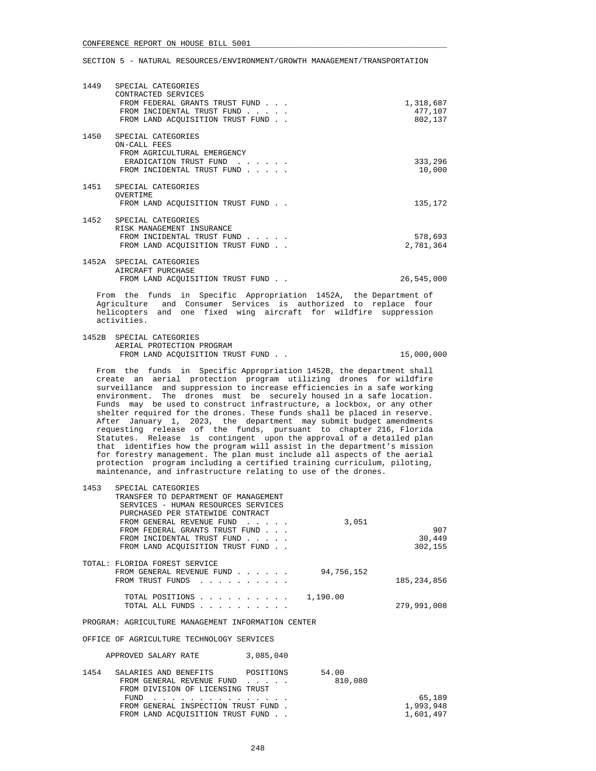| 1449 | SPECIAL CATEGORIES<br>CONTRACTED SERVICES<br>FROM FEDERAL GRANTS TRUST FUND<br>FROM INCIDENTAL TRUST FUND<br>FROM LAND ACOUISITION TRUST FUND.                               | 1,318,687<br>477,107<br>802,137 |
|------|------------------------------------------------------------------------------------------------------------------------------------------------------------------------------|---------------------------------|
|      | 1450 SPECIAL CATEGORIES<br>ON-CALL FEES<br>FROM AGRICULTURAL EMERGENCY<br>ERADICATION TRUST FUND<br>and the state of the state of the state of<br>FROM INCIDENTAL TRUST FUND | 333,296<br>10,000               |
|      | 1451 SPECIAL CATEGORIES<br>OVERTIME<br>FROM LAND ACOUISITION TRUST FUND.                                                                                                     | 135,172                         |
|      | 1452 SPECIAL CATEGORIES<br>RISK MANAGEMENT INSURANCE<br>FROM INCIDENTAL TRUST FUND<br>FROM LAND ACOUISITION TRUST FUND.                                                      | 578,693<br>2,781,364            |
|      | 1452A SPECIAL CATEGORIES<br>AIRCRAFT PURCHASE<br>FROM LAND ACOUISITION TRUST FUND.                                                                                           | 26,545,000                      |

 From the funds in Specific Appropriation 1452A, the Department of Agriculture and Consumer Services is authorized to replace four helicopters and one fixed wing aircraft for wildfire suppression activities.

 1452B SPECIAL CATEGORIES AERIAL PROTECTION PROGRAM FROM LAND ACOUISITION TRUST FUND . .  $15,000,000$ 

 From the funds in Specific Appropriation 1452B, the department shall create an aerial protection program utilizing drones for wildfire surveillance and suppression to increase efficiencies in a safe working environment. The drones must be securely housed in a safe location. Funds may be used to construct infrastructure, a lockbox, or any other shelter required for the drones. These funds shall be placed in reserve. After January 1, 2023, the department may submit budget amendments requesting release of the funds, pursuant to chapter 216, Florida Statutes. Release is contingent upon the approval of a detailed plan that identifies how the program will assist in the department's mission for forestry management. The plan must include all aspects of the aerial protection program including a certified training curriculum, piloting, maintenance, and infrastructure relating to use of the drones.

| 1453 | SPECIAL CATEGORIES                   |               |
|------|--------------------------------------|---------------|
|      | TRANSFER TO DEPARTMENT OF MANAGEMENT |               |
|      | SERVICES - HUMAN RESOURCES SERVICES  |               |
|      | PURCHASED PER STATEWIDE CONTRACT     |               |
|      | FROM GENERAL REVENUE FUND            | 3,051         |
|      | FROM FEDERAL GRANTS TRUST FUND       | 907           |
|      | FROM INCIDENTAL TRUST FUND           | 30,449        |
|      | FROM LAND ACOUISITION TRUST FUND     | 302,155       |
|      |                                      |               |
|      | TOTAL: FLORIDA FOREST SERVICE        |               |
|      | FROM GENERAL REVENUE FUND            | 94,756,152    |
|      | FROM TRUST FUNDS                     | 185, 234, 856 |
|      |                                      |               |
|      | TOTAL POSITIONS                      | 1,190.00      |
|      | TOTAL ALL FUNDS                      | 279,991,008   |
|      |                                      |               |

PROGRAM: AGRICULTURE MANAGEMENT INFORMATION CENTER

OFFICE OF AGRICULTURE TECHNOLOGY SERVICES

|      | APPROVED SALARY RATE                | 3,085,040 |         |           |
|------|-------------------------------------|-----------|---------|-----------|
| 1454 | SALARIES AND BENEFITS               | POSITIONS | 54.00   |           |
|      | FROM GENERAL REVENUE FUND           |           | 810,080 |           |
|      | FROM DIVISION OF LICENSING TRUST    |           |         |           |
|      | $FUND$                              |           |         | 65,189    |
|      | FROM GENERAL INSPECTION TRUST FUND. |           |         | 1,993,948 |
|      | FROM LAND ACOUISITION TRUST FUND    |           |         | 1,601,497 |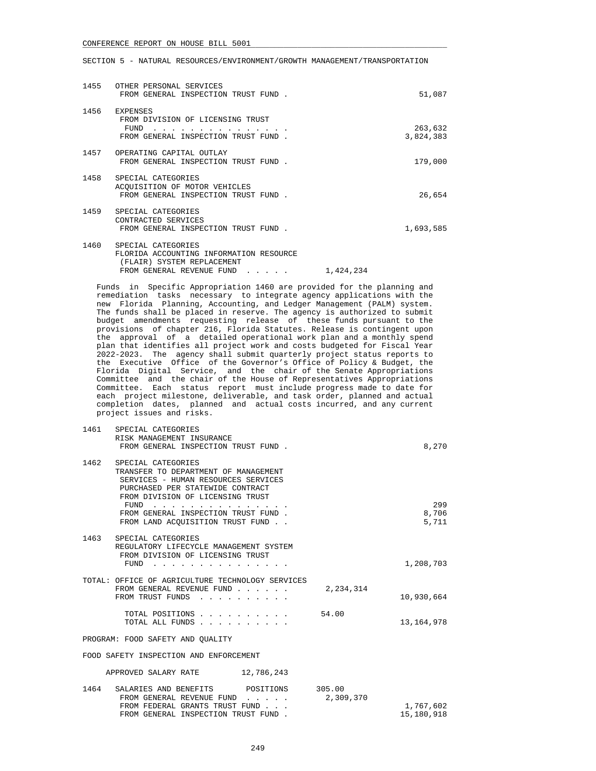#### SECTION 5 - NATURAL RESOURCES/ENVIRONMENT/GROWTH MANAGEMENT/TRANSPORTATION

| 1455 | OTHER PERSONAL SERVICES<br>FROM GENERAL INSPECTION TRUST FUND.                                     | 51,087               |
|------|----------------------------------------------------------------------------------------------------|----------------------|
| 1456 | <b>EXPENSES</b><br>FROM DIVISION OF LICENSING TRUST<br>FUND<br>FROM GENERAL INSPECTION TRUST FUND. | 263,632<br>3,824,383 |
| 1457 | OPERATING CAPITAL OUTLAY<br>FROM GENERAL INSPECTION TRUST FUND.                                    | 179,000              |
| 1458 | SPECIAL CATEGORIES<br>ACOUISITION OF MOTOR VEHICLES<br>FROM GENERAL INSPECTION TRUST FUND.         | 26,654               |
| 1459 | SPECIAL CATEGORIES<br>CONTRACTED SERVICES<br>FROM GENERAL INSPECTION TRUST FUND.                   | 1,693,585            |
| 1460 | SPECIAL CATEGORIES<br>FLORIDA ACCOUNTING INFORMATION RESOURCE<br>FLAIR)<br>SYSTEM REPLACEMENT      |                      |

 Funds in Specific Appropriation 1460 are provided for the planning and remediation tasks necessary to integrate agency applications with the new Florida Planning, Accounting, and Ledger Management (PALM) system. The funds shall be placed in reserve. The agency is authorized to submit budget amendments requesting release of these funds pursuant to the provisions of chapter 216, Florida Statutes. Release is contingent upon the approval of a detailed operational work plan and a monthly spend plan that identifies all project work and costs budgeted for Fiscal Year 2022-2023. The agency shall submit quarterly project status reports to the Executive Office of the Governor's Office of Policy & Budget, the Florida Digital Service, and the chair of the Senate Appropriations Committee and the chair of the House of Representatives Appropriations Committee. Each status report must include progress made to date for each project milestone, deliverable, and task order, planned and actual completion dates, planned and actual costs incurred, and any current project issues and risks.

FROM GENERAL REVENUE FUND . . . . . 1,424,234

|                                           |                                                                                                                                                                                                                                                                                                                                                               | 8,270              |
|-------------------------------------------|---------------------------------------------------------------------------------------------------------------------------------------------------------------------------------------------------------------------------------------------------------------------------------------------------------------------------------------------------------------|--------------------|
| SPECIAL CATEGORIES                        |                                                                                                                                                                                                                                                                                                                                                               |                    |
| TRANSFER TO DEPARTMENT OF MANAGEMENT      |                                                                                                                                                                                                                                                                                                                                                               |                    |
| SERVICES - HUMAN RESOURCES SERVICES       |                                                                                                                                                                                                                                                                                                                                                               |                    |
| PURCHASED PER STATEWIDE CONTRACT          |                                                                                                                                                                                                                                                                                                                                                               |                    |
|                                           |                                                                                                                                                                                                                                                                                                                                                               |                    |
|                                           |                                                                                                                                                                                                                                                                                                                                                               | 299                |
|                                           |                                                                                                                                                                                                                                                                                                                                                               | 8,706<br>5,711     |
|                                           |                                                                                                                                                                                                                                                                                                                                                               |                    |
| 1463 SPECIAL CATEGORIES                   |                                                                                                                                                                                                                                                                                                                                                               |                    |
| REGULATORY LIFECYCLE MANAGEMENT SYSTEM    |                                                                                                                                                                                                                                                                                                                                                               |                    |
| FROM DIVISION OF LICENSING TRUST          |                                                                                                                                                                                                                                                                                                                                                               |                    |
| FUND $\cdots$                             |                                                                                                                                                                                                                                                                                                                                                               | 1,208,703          |
|                                           |                                                                                                                                                                                                                                                                                                                                                               |                    |
|                                           |                                                                                                                                                                                                                                                                                                                                                               |                    |
|                                           |                                                                                                                                                                                                                                                                                                                                                               | 10,930,664         |
|                                           |                                                                                                                                                                                                                                                                                                                                                               |                    |
| TOTAL POSITIONS                           |                                                                                                                                                                                                                                                                                                                                                               |                    |
| TOTAL ALL FUNDS                           |                                                                                                                                                                                                                                                                                                                                                               | 13, 164, 978       |
| PROGRAM: FOOD SAFETY AND OUALITY          |                                                                                                                                                                                                                                                                                                                                                               |                    |
|                                           |                                                                                                                                                                                                                                                                                                                                                               |                    |
|                                           |                                                                                                                                                                                                                                                                                                                                                               |                    |
| APPROVED SALARY RATE<br>12,786,243        |                                                                                                                                                                                                                                                                                                                                                               |                    |
| CALARIRS AND RENERITS<br><b>DOSTTTONS</b> | 305 DD                                                                                                                                                                                                                                                                                                                                                        |                    |
|                                           | SPECIAL CATEGORIES<br>RISK MANAGEMENT INSURANCE<br>FROM GENERAL INSPECTION TRUST FUND.<br>FROM DIVISION OF LICENSING TRUST<br>FUND<br>FROM GENERAL INSPECTION TRUST FUND.<br>FROM LAND ACOUISITION TRUST FUND.<br>TOTAL: OFFICE OF AGRICULTURE TECHNOLOGY SERVICES<br>FROM GENERAL REVENUE FUND<br>FROM TRUST FUNDS<br>FOOD SAFETY INSPECTION AND ENFORCEMENT | 2,234,314<br>54.00 |

| 1464 | SALARIES AND BENEFITS              | POSITIONS | 305.00    |            |
|------|------------------------------------|-----------|-----------|------------|
|      | FROM GENERAL REVENUE FUND          |           | 2,309,370 |            |
|      | FROM FEDERAL GRANTS TRUST FUND     |           |           | 1,767,602  |
|      | FROM GENERAL INSPECTION TRUST FUND |           |           | 15,180,918 |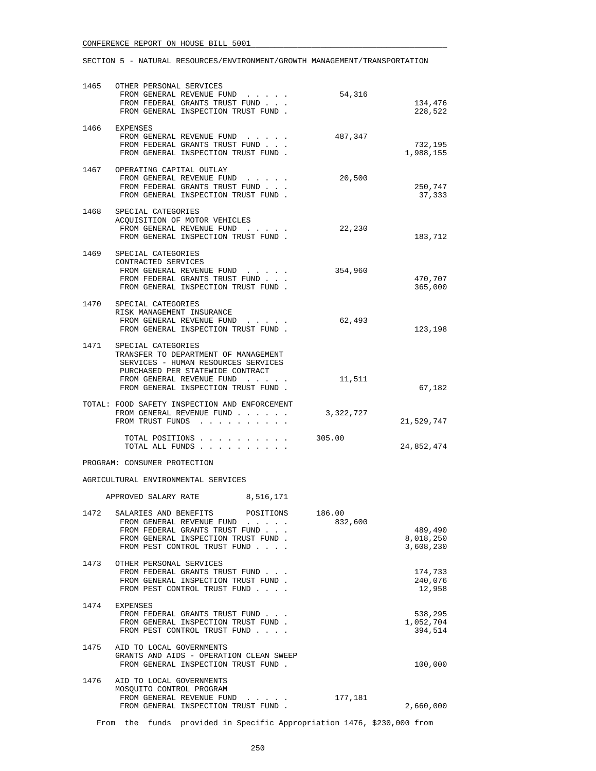| 1465 | OTHER PERSONAL SERVICES<br>FROM GENERAL REVENUE FUND<br>FROM FEDERAL GRANTS TRUST FUND<br>FROM GENERAL INSPECTION TRUST FUND.                                                                                  | 54,316            | 134,476<br>228,522                |
|------|----------------------------------------------------------------------------------------------------------------------------------------------------------------------------------------------------------------|-------------------|-----------------------------------|
|      | 1466 EXPENSES<br>FROM GENERAL REVENUE FUND<br>FROM FEDERAL GRANTS TRUST FUND<br>FROM GENERAL INSPECTION TRUST FUND.                                                                                            | 487,347           | 732,195<br>1,988,155              |
|      | 1467 OPERATING CAPITAL OUTLAY<br>FROM GENERAL REVENUE FUND<br>FROM FEDERAL GRANTS TRUST FUND<br>FROM GENERAL INSPECTION TRUST FUND.                                                                            | 20,500            | 250,747<br>37,333                 |
|      | 1468 SPECIAL CATEGORIES<br>ACQUISITION OF MOTOR VEHICLES<br>FROM GENERAL REVENUE FUND<br>FROM GENERAL INSPECTION TRUST FUND.                                                                                   | 22,230            | 183,712                           |
| 1469 | SPECIAL CATEGORIES<br>CONTRACTED SERVICES<br>FROM GENERAL REVENUE FUND<br>FROM FEDERAL GRANTS TRUST FUND<br>FROM GENERAL INSPECTION TRUST FUND.                                                                | 354,960           | 470,707<br>365,000                |
|      | 1470 SPECIAL CATEGORIES<br>RISK MANAGEMENT INSURANCE<br>FROM GENERAL REVENUE FUND<br>FROM GENERAL INSPECTION TRUST FUND.                                                                                       | 62,493            | 123,198                           |
|      | 1471 SPECIAL CATEGORIES<br>TRANSFER TO DEPARTMENT OF MANAGEMENT<br>SERVICES - HUMAN RESOURCES SERVICES<br>PURCHASED PER STATEWIDE CONTRACT<br>FROM GENERAL REVENUE FUND<br>FROM GENERAL INSPECTION TRUST FUND. | 11,511            | 67,182                            |
|      | TOTAL: FOOD SAFETY INSPECTION AND ENFORCEMENT<br>FROM GENERAL REVENUE FUND<br>FROM TRUST FUNDS                                                                                                                 | 3,322,727         | 21,529,747                        |
|      | TOTAL POSITIONS<br>TOTAL ALL FUNDS                                                                                                                                                                             | 305.00            | 24,852,474                        |
|      | PROGRAM: CONSUMER PROTECTION                                                                                                                                                                                   |                   |                                   |
|      | AGRICULTURAL ENVIRONMENTAL SERVICES                                                                                                                                                                            |                   |                                   |
|      | APPROVED SALARY RATE<br>8,516,171                                                                                                                                                                              |                   |                                   |
| 1472 |                                                                                                                                                                                                                |                   |                                   |
|      | SALARIES AND BENEFITS<br>POSITIONS<br>FROM GENERAL REVENUE FUND<br>FROM FEDERAL GRANTS TRUST FUND<br>FROM GENERAL INSPECTION TRUST FUND.<br>FROM PEST CONTROL TRUST FUND                                       | 186.00<br>832,600 | 489,490<br>8,018,250<br>3,608,230 |
| 1473 | OTHER PERSONAL SERVICES<br>FROM FEDERAL GRANTS TRUST FUND<br>FROM GENERAL INSPECTION TRUST FUND.<br>FROM PEST CONTROL TRUST FUND                                                                               |                   | 174,733<br>240,076<br>12,958      |
| 1474 | EXPENSES<br>FROM FEDERAL GRANTS TRUST FUND<br>FROM GENERAL INSPECTION TRUST FUND.<br>FROM PEST CONTROL TRUST FUND                                                                                              |                   | 538,295<br>1,052,704<br>394,514   |
| 1475 | AID TO LOCAL GOVERNMENTS<br>GRANTS AND AIDS - OPERATION CLEAN SWEEP<br>FROM GENERAL INSPECTION TRUST FUND.                                                                                                     |                   | 100,000                           |

From the funds provided in Specific Appropriation 1476, \$230,000 from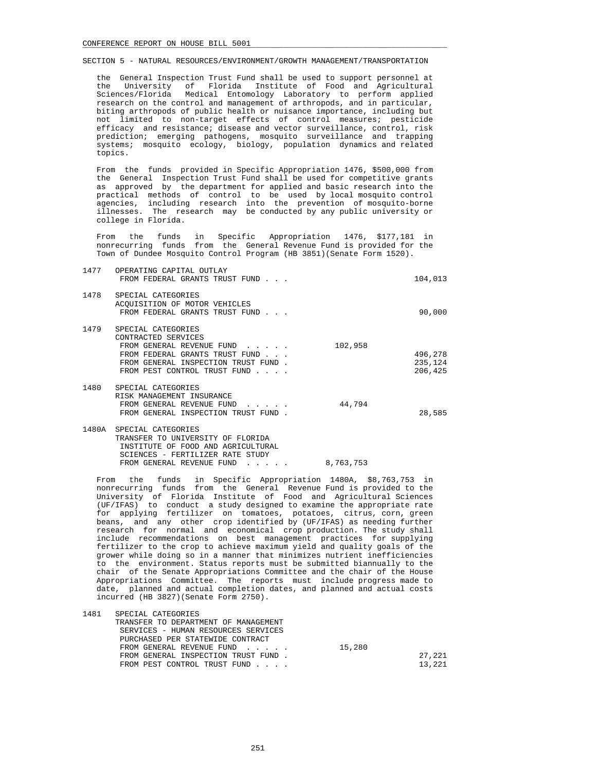the General Inspection Trust Fund shall be used to support personnel at the University of Florida Institute of Food and Agricultural Sciences/Florida Medical Entomology Laboratory to perform applied research on the control and management of arthropods, and in particular, biting arthropods of public health or nuisance importance, including but not limited to non-target effects of control measures; pesticide efficacy and resistance; disease and vector surveillance, control, risk prediction; emerging pathogens, mosquito surveillance and trapping systems; mosquito ecology, biology, population dynamics and related topics.

 From the funds provided in Specific Appropriation 1476, \$500,000 from the General Inspection Trust Fund shall be used for competitive grants as approved by the department for applied and basic research into the practical methods of control to be used by local mosquito control agencies, including research into the prevention of mosquito-borne illnesses. The research may be conducted by any public university or college in Florida.

 From the funds in Specific Appropriation 1476, \$177,181 in nonrecurring funds from the General Revenue Fund is provided for the Town of Dundee Mosquito Control Program (HB 3851)(Senate Form 1520).

| 1477  | OPERATING CAPITAL OUTLAY<br>FROM FEDERAL GRANTS TRUST FUND                                                                                                                      |         | 104,013                       |
|-------|---------------------------------------------------------------------------------------------------------------------------------------------------------------------------------|---------|-------------------------------|
| 1478  | SPECIAL CATEGORIES<br>ACOUISITION OF MOTOR VEHICLES<br>FROM FEDERAL GRANTS TRUST FUND                                                                                           |         | 90,000                        |
| 1479  | SPECIAL CATEGORIES<br>CONTRACTED SERVICES<br>FROM GENERAL REVENUE FUND<br>FROM FEDERAL GRANTS TRUST FUND<br>FROM GENERAL INSPECTION TRUST FUND.<br>FROM PEST CONTROL TRUST FUND | 102,958 | 496,278<br>235,124<br>206,425 |
| 1480  | SPECIAL CATEGORIES<br>RISK MANAGEMENT INSURANCE<br>FROM GENERAL REVENUE FUND<br>FROM GENERAL INSPECTION TRUST FUND.                                                             | 44,794  | 28,585                        |
| 1480A | SPECIAL CATEGORIES<br>TRANSFER TO UNIVERSITY OF FLORIDA<br>INSTITUTE OF FOOD AND AGRICULTURAL<br>SCIENCES - FERTILIZER RATE STUDY                                               |         |                               |

FROM GENERAL REVENUE FUND . . . . . 8,763,753

 From the funds in Specific Appropriation 1480A, \$8,763,753 in nonrecurring funds from the General Revenue Fund is provided to the University of Florida Institute of Food and Agricultural Sciences (UF/IFAS) to conduct a study designed to examine the appropriate rate for applying fertilizer on tomatoes, potatoes, citrus, corn, green beans, and any other crop identified by (UF/IFAS) as needing further research for normal and economical crop production. The study shall include recommendations on best management practices for supplying fertilizer to the crop to achieve maximum yield and quality goals of the grower while doing so in a manner that minimizes nutrient inefficiencies to the environment. Status reports must be submitted biannually to the chair of the Senate Appropriations Committee and the chair of the House Appropriations Committee. The reports must include progress made to date, planned and actual completion dates, and planned and actual costs incurred (HB 3827)(Senate Form 2750).

| 1481 | SPECIAL CATEGORIES                   |        |        |
|------|--------------------------------------|--------|--------|
|      | TRANSFER TO DEPARTMENT OF MANAGEMENT |        |        |
|      | SERVICES - HUMAN RESOURCES SERVICES  |        |        |
|      | PURCHASED PER STATEWIDE CONTRACT     |        |        |
|      | FROM GENERAL REVENUE FUND            | 15,280 |        |
|      | FROM GENERAL INSPECTION TRUST FUND.  |        | 27,221 |
|      | FROM PEST CONTROL TRUST FUND         |        | 13,221 |
|      |                                      |        |        |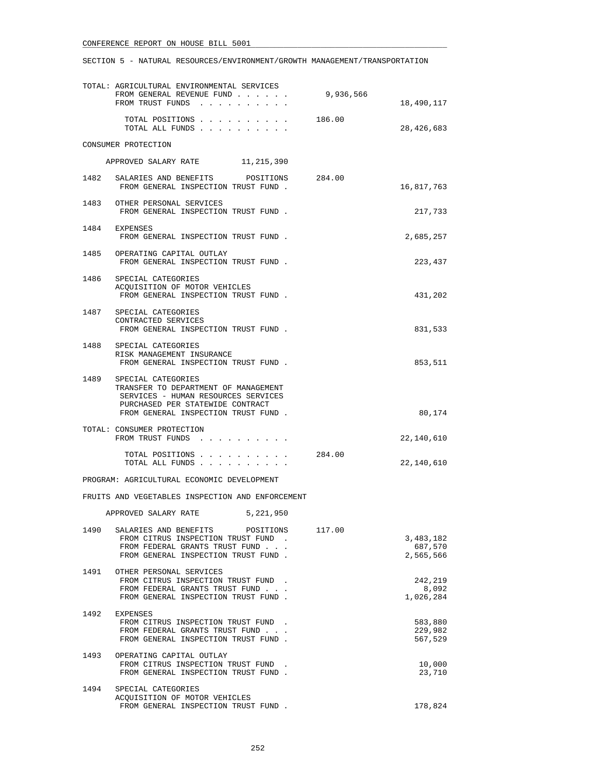|      | TOTAL: AGRICULTURAL ENVIRONMENTAL SERVICES<br>FROM GENERAL REVENUE FUND                                                                                                           | 9,936,566 |                                   |
|------|-----------------------------------------------------------------------------------------------------------------------------------------------------------------------------------|-----------|-----------------------------------|
|      | FROM TRUST FUNDS                                                                                                                                                                  |           | 18,490,117                        |
|      | TOTAL POSITIONS<br>TOTAL ALL FUNDS                                                                                                                                                | 186.00    | 28,426,683                        |
|      | CONSUMER PROTECTION                                                                                                                                                               |           |                                   |
|      | APPROVED SALARY RATE 11, 215, 390                                                                                                                                                 |           |                                   |
|      | 1482 SALARIES AND BENEFITS<br>POSITIONS 284.00<br>FROM GENERAL INSPECTION TRUST FUND.                                                                                             |           | 16,817,763                        |
| 1483 | OTHER PERSONAL SERVICES<br>FROM GENERAL INSPECTION TRUST FUND.                                                                                                                    |           | 217,733                           |
|      | 1484 EXPENSES<br>FROM GENERAL INSPECTION TRUST FUND.                                                                                                                              |           | 2,685,257                         |
|      | 1485 OPERATING CAPITAL OUTLAY<br>FROM GENERAL INSPECTION TRUST FUND.                                                                                                              |           | 223,437                           |
|      | 1486 SPECIAL CATEGORIES<br>ACOUISITION OF MOTOR VEHICLES<br>FROM GENERAL INSPECTION TRUST FUND.                                                                                   |           | 431,202                           |
|      | 1487 SPECIAL CATEGORIES<br>CONTRACTED SERVICES<br>FROM GENERAL INSPECTION TRUST FUND.                                                                                             |           | 831,533                           |
|      | 1488 SPECIAL CATEGORIES<br>RISK MANAGEMENT INSURANCE<br>FROM GENERAL INSPECTION TRUST FUND.                                                                                       |           | 853,511                           |
|      | 1489 SPECIAL CATEGORIES<br>TRANSFER TO DEPARTMENT OF MANAGEMENT<br>SERVICES - HUMAN RESOURCES SERVICES<br>PURCHASED PER STATEWIDE CONTRACT<br>FROM GENERAL INSPECTION TRUST FUND. |           | 80,174                            |
|      | TOTAL: CONSUMER PROTECTION<br>FROM TRUST FUNDS                                                                                                                                    |           | 22,140,610                        |
|      | TOTAL POSITIONS<br>TOTAL ALL FUNDS                                                                                                                                                | 284.00    | 22,140,610                        |
|      | PROGRAM: AGRICULTURAL ECONOMIC DEVELOPMENT                                                                                                                                        |           |                                   |
|      | FRUITS AND VEGETABLES INSPECTION AND ENFORCEMENT                                                                                                                                  |           |                                   |
|      | APPROVED SALARY RATE<br>5,221,950                                                                                                                                                 |           |                                   |
|      | 1490 SALARIES AND BENEFITS POSITIONS 117.00<br>FROM CITRUS INSPECTION TRUST FUND.<br>FROM FEDERAL GRANTS TRUST FUND<br>FROM GENERAL INSPECTION TRUST FUND.                        |           | 3,483,182<br>687,570<br>2,565,566 |
|      | 1491 OTHER PERSONAL SERVICES<br>FROM CITRUS INSPECTION TRUST FUND.<br>FROM FEDERAL GRANTS TRUST FUND<br>FROM GENERAL INSPECTION TRUST FUND.                                       |           | 242,219<br>8,092<br>1,026,284     |
|      | 1492 EXPENSES<br>FROM CITRUS INSPECTION TRUST FUND<br>FROM FEDERAL GRANTS TRUST FUND<br>FROM GENERAL INSPECTION TRUST FUND.                                                       |           | 583,880<br>229,982<br>567,529     |
| 1493 | OPERATING CAPITAL OUTLAY<br>FROM CITRUS INSPECTION TRUST FUND<br>FROM GENERAL INSPECTION TRUST FUND.                                                                              |           | 10,000<br>23,710                  |
| 1494 | SPECIAL CATEGORIES<br>ACQUISITION OF MOTOR VEHICLES<br>FROM GENERAL INSPECTION TRUST FUND.                                                                                        |           | 178,824                           |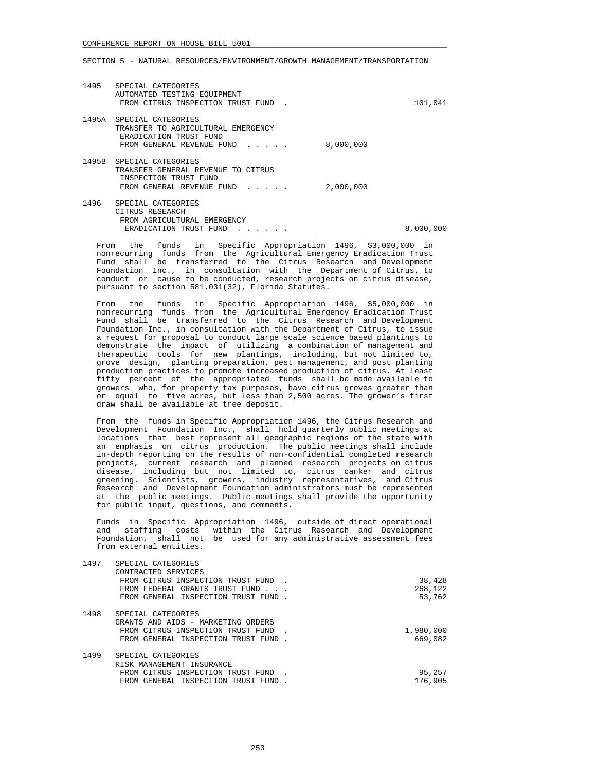| 1495  | SPECIAL CATEGORIES<br>AUTOMATED TESTING EQUIPMENT<br>FROM CITRUS INSPECTION TRUST FUND                                                   | 101,041   |
|-------|------------------------------------------------------------------------------------------------------------------------------------------|-----------|
| 1495A | SPECIAL CATEGORIES<br>TRANSFER TO AGRICULTURAL EMERGENCY<br>ERADICATION TRUST FUND<br>8,000,000<br>FROM GENERAL REVENUE FUND<br>$\cdots$ |           |
| 1495B | SPECIAL CATEGORIES<br>TRANSFER GENERAL REVENUE TO CITRUS<br>INSPECTION TRUST FUND<br>2,000,000<br>FROM GENERAL REVENUE FUND              |           |
| 1496  | SPECIAL CATEGORIES<br>CITRUS RESEARCH<br>FROM AGRICULTURAL EMERGENCY<br>ERADICATION TRUST FUND<br>$\cdots$                               | 8,000,000 |

 From the funds in Specific Appropriation 1496, \$3,000,000 in nonrecurring funds from the Agricultural Emergency Eradication Trust Fund shall be transferred to the Citrus Research and Development Foundation Inc., in consultation with the Department of Citrus, to conduct or cause to be conducted, research projects on citrus disease, pursuant to section 581.031(32), Florida Statutes.

 From the funds in Specific Appropriation 1496, \$5,000,000 in nonrecurring funds from the Agricultural Emergency Eradication Trust Fund shall be transferred to the Citrus Research and Development Foundation Inc., in consultation with the Department of Citrus, to issue a request for proposal to conduct large scale science based plantings to demonstrate the impact of utilizing a combination of management and therapeutic tools for new plantings, including, but not limited to, grove design, planting preparation, pest management, and post planting production practices to promote increased production of citrus. At least fifty percent of the appropriated funds shall be made available to growers who, for property tax purposes, have citrus groves greater than or equal to five acres, but less than 2,500 acres. The grower's first draw shall be available at tree deposit.

 From the funds in Specific Appropriation 1496, the Citrus Research and Development Foundation Inc., shall hold quarterly public meetings at locations that best represent all geographic regions of the state with an emphasis on citrus production. The public meetings shall include in-depth reporting on the results of non-confidential completed research projects, current research and planned research projects on citrus disease, including but not limited to, citrus canker and citrus greening. Scientists, growers, industry representatives, and Citrus Research and Development Foundation administrators must be represented at the public meetings. Public meetings shall provide the opportunity for public input, questions, and comments.

 Funds in Specific Appropriation 1496, outside of direct operational and staffing costs within the Citrus Research and Development Foundation, shall not be used for any administrative assessment fees from external entities.

| SPECIAL CATEGORIES                 |                                                                                                                                                    |
|------------------------------------|----------------------------------------------------------------------------------------------------------------------------------------------------|
| CONTRACTED SERVICES                |                                                                                                                                                    |
|                                    | 38,428                                                                                                                                             |
|                                    | 268,122                                                                                                                                            |
|                                    | 53,762                                                                                                                                             |
| SPECIAL CATEGORIES                 |                                                                                                                                                    |
| GRANTS AND AIDS - MARKETING ORDERS |                                                                                                                                                    |
| FROM CITRUS INSPECTION TRUST FUND  | 1,980,000                                                                                                                                          |
|                                    | 669,082                                                                                                                                            |
| SPECIAL CATEGORIES                 |                                                                                                                                                    |
| RISK MANAGEMENT INSURANCE          |                                                                                                                                                    |
| FROM CITRUS INSPECTION TRUST FUND  | 95,257                                                                                                                                             |
| FROM GENERAL INSPECTION TRUST FUND | 176,905                                                                                                                                            |
|                                    | FROM CITRUS INSPECTION TRUST FUND.<br>FROM FEDERAL GRANTS TRUST FUND<br>FROM GENERAL INSPECTION TRUST FUND.<br>FROM GENERAL INSPECTION TRUST FUND. |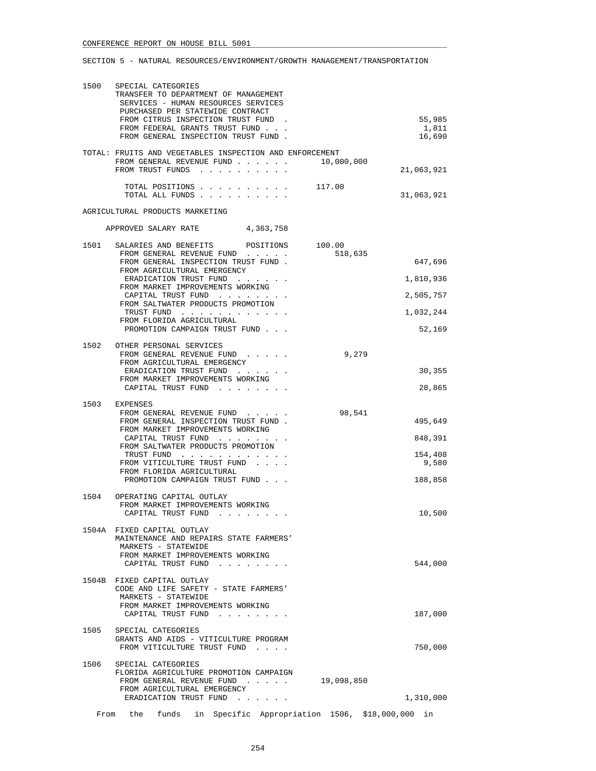|      | 1500 SPECIAL CATEGORIES<br>TRANSFER TO DEPARTMENT OF MANAGEMENT<br>SERVICES - HUMAN RESOURCES SERVICES<br>PURCHASED PER STATEWIDE CONTRACT<br>FROM CITRUS INSPECTION TRUST FUND.<br>FROM FEDERAL GRANTS TRUST FUND<br>FROM GENERAL INSPECTION TRUST FUND.                                                                     | 55,985<br>1,811<br>16,690                                                               |
|------|-------------------------------------------------------------------------------------------------------------------------------------------------------------------------------------------------------------------------------------------------------------------------------------------------------------------------------|-----------------------------------------------------------------------------------------|
|      | TOTAL: FRUITS AND VEGETABLES INSPECTION AND ENFORCEMENT<br>FROM GENERAL REVENUE FUND 10,000,000<br>FROM TRUST FUNDS                                                                                                                                                                                                           | 21,063,921                                                                              |
|      | TOTAL POSITIONS 117.00<br>TOTAL ALL FUNDS                                                                                                                                                                                                                                                                                     | 31,063,921                                                                              |
|      | AGRICULTURAL PRODUCTS MARKETING                                                                                                                                                                                                                                                                                               |                                                                                         |
|      | APPROVED SALARY RATE<br>4,363,758                                                                                                                                                                                                                                                                                             |                                                                                         |
| 1501 | SALARIES AND BENEFITS<br>FROM GENERAL REVENUE FUND<br>FROM GENERAL INSPECTION TRUST FUND.<br>FROM AGRICULTURAL EMERGENCY<br>ERADICATION TRUST FUND<br>FROM MARKET IMPROVEMENTS WORKING<br>CAPITAL TRUST FUND<br>FROM SALTWATER PRODUCTS PROMOTION<br>TRUST FUND<br>FROM FLORIDA AGRICULTURAL<br>PROMOTION CAMPAIGN TRUST FUND | POSITIONS 100.00<br>518,635<br>647,696<br>1,810,936<br>2,505,757<br>1,032,244<br>52,169 |
|      | 1502 OTHER PERSONAL SERVICES<br>FROM GENERAL REVENUE FUND<br>FROM AGRICULTURAL EMERGENCY<br>ERADICATION TRUST FUND<br>FROM MARKET IMPROVEMENTS WORKING<br>CAPITAL TRUST FUND                                                                                                                                                  | 9,279<br>30,355<br>28,865                                                               |
|      | 1503 EXPENSES<br>FROM GENERAL REVENUE FUND<br>FROM GENERAL INSPECTION TRUST FUND.<br>FROM MARKET IMPROVEMENTS WORKING<br>CAPITAL TRUST FUND<br>FROM SALTWATER PRODUCTS PROMOTION<br>TRUST FUND<br>FROM VITICULTURE TRUST FUND<br>FROM FLORIDA AGRICULTURAL<br>PROMOTION CAMPAIGN TRUST FUND                                   | 98,541<br>495,649<br>848,391<br>154,408<br>9,580<br>188,858                             |
| 1504 | OPERATING CAPITAL OUTLAY<br>FROM MARKET IMPROVEMENTS WORKING<br>CAPITAL TRUST FUND                                                                                                                                                                                                                                            | 10,500                                                                                  |
|      | 1504A FIXED CAPITAL OUTLAY<br>MAINTENANCE AND REPAIRS STATE FARMERS'<br>MARKETS - STATEWIDE<br>FROM MARKET IMPROVEMENTS WORKING<br>CAPITAL TRUST FUND                                                                                                                                                                         | 544,000                                                                                 |
|      | 1504B FIXED CAPITAL OUTLAY<br>CODE AND LIFE SAFETY - STATE FARMERS'<br>MARKETS - STATEWIDE<br>FROM MARKET IMPROVEMENTS WORKING<br>CAPITAL TRUST FUND                                                                                                                                                                          | 187,000                                                                                 |
| 1505 | SPECIAL CATEGORIES<br>GRANTS AND AIDS - VITICULTURE PROGRAM<br>FROM VITICULTURE TRUST FUND                                                                                                                                                                                                                                    | 750,000                                                                                 |
| 1506 | SPECIAL CATEGORIES<br>FLORIDA AGRICULTURE PROMOTION CAMPAIGN<br>FROM GENERAL REVENUE FUND<br>FROM AGRICULTURAL EMERGENCY<br>ERADICATION TRUST FUND                                                                                                                                                                            | 19,098,850<br>1,310,000                                                                 |
|      | From the funds in Specific Appropriation 1506, \$18,000,000 in                                                                                                                                                                                                                                                                |                                                                                         |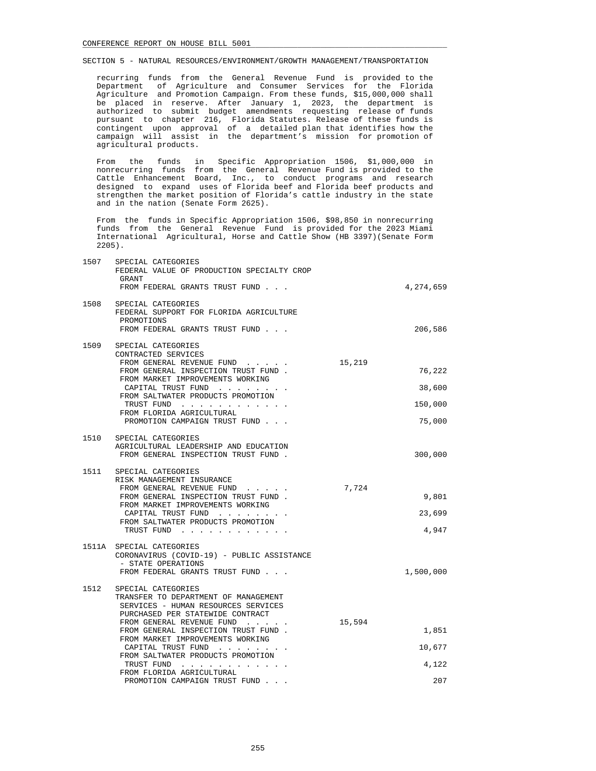recurring funds from the General Revenue Fund is provided to the Department of Agriculture and Consumer Services for the Florida Agriculture and Promotion Campaign. From these funds, \$15,000,000 shall be placed in reserve. After January 1, 2023, the department is authorized to submit budget amendments requesting release of funds pursuant to chapter 216, Florida Statutes. Release of these funds is contingent upon approval of a detailed plan that identifies how the campaign will assist in the department's mission for promotion of agricultural products.

 From the funds in Specific Appropriation 1506, \$1,000,000 in nonrecurring funds from the General Revenue Fund is provided to the Cattle Enhancement Board, Inc., to conduct programs and research designed to expand uses of Florida beef and Florida beef products and strengthen the market position of Florida's cattle industry in the state and in the nation (Senate Form 2625).

 From the funds in Specific Appropriation 1506, \$98,850 in nonrecurring funds from the General Revenue Fund is provided for the 2023 Miami International Agricultural, Horse and Cattle Show (HB 3397)(Senate Form 2205).

| 1507 | SPECIAL CATEGORIES<br>FEDERAL VALUE OF PRODUCTION SPECIALTY CROP                                                                                                                                                                                                                         |        |                                       |
|------|------------------------------------------------------------------------------------------------------------------------------------------------------------------------------------------------------------------------------------------------------------------------------------------|--------|---------------------------------------|
|      | GRANT<br>FROM FEDERAL GRANTS TRUST FUND                                                                                                                                                                                                                                                  |        | 4,274,659                             |
| 1508 | SPECIAL CATEGORIES<br>FEDERAL SUPPORT FOR FLORIDA AGRICULTURE<br>PROMOTIONS<br>FROM FEDERAL GRANTS TRUST FUND                                                                                                                                                                            |        | 206,586                               |
| 1509 | SPECIAL CATEGORIES<br>CONTRACTED SERVICES<br>FROM GENERAL REVENUE FUND<br>FROM GENERAL INSPECTION TRUST FUND.<br>FROM MARKET IMPROVEMENTS WORKING<br>CAPITAL TRUST FUND<br>FROM SALTWATER PRODUCTS PROMOTION<br>TRUST FUND<br>FROM FLORIDA AGRICULTURAL<br>PROMOTION CAMPAIGN TRUST FUND | 15,219 | 76,222<br>38,600<br>150,000<br>75,000 |
| 1510 | SPECIAL CATEGORIES<br>AGRICULTURAL LEADERSHIP AND EDUCATION<br>FROM GENERAL INSPECTION TRUST FUND.                                                                                                                                                                                       |        | 300,000                               |
| 1511 | SPECIAL CATEGORIES<br>RISK MANAGEMENT INSURANCE<br>FROM GENERAL REVENUE FUND<br>FROM GENERAL INSPECTION TRUST FUND.<br>FROM MARKET IMPROVEMENTS WORKING<br>CAPITAL TRUST FUND<br>FROM SALTWATER PRODUCTS PROMOTION<br>TRUST FUND                                                         | 7,724  | 9,801<br>23,699<br>4,947              |
|      | 1511A SPECIAL CATEGORIES<br>CORONAVIRUS (COVID-19) - PUBLIC ASSISTANCE<br>- STATE OPERATIONS<br>FROM FEDERAL GRANTS TRUST FUND                                                                                                                                                           |        | 1,500,000                             |
| 1512 | SPECIAL CATEGORIES<br>TRANSFER TO DEPARTMENT OF MANAGEMENT<br>SERVICES - HUMAN RESOURCES SERVICES<br>PURCHASED PER STATEWIDE CONTRACT<br>FROM GENERAL REVENUE FUND                                                                                                                       | 15,594 |                                       |
|      | FROM GENERAL INSPECTION TRUST FUND.<br>FROM MARKET IMPROVEMENTS WORKING                                                                                                                                                                                                                  |        | 1,851                                 |
|      | CAPITAL TRUST FUND<br>FROM SALTWATER PRODUCTS PROMOTION                                                                                                                                                                                                                                  |        | 10,677                                |
|      | TRUST FUND<br>FROM FLORIDA AGRICULTURAL<br>PROMOTION CAMPAIGN TRUST FUND                                                                                                                                                                                                                 |        | 4,122<br>207                          |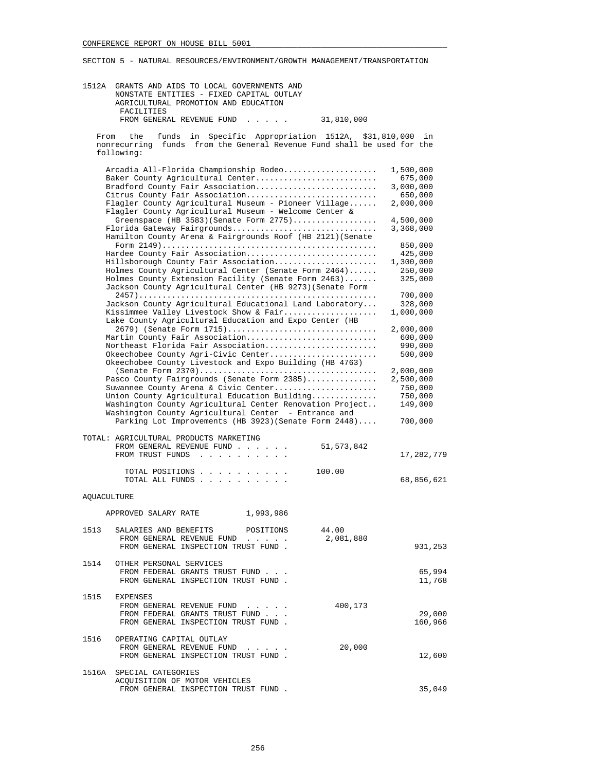| 1512A       | GRANTS AND AIDS TO LOCAL GOVERNMENTS AND<br>NONSTATE ENTITIES - FIXED CAPITAL OUTLAY<br>AGRICULTURAL PROMOTION AND EDUCATION<br>FACILITIES                                                                                                                                                                                                                                                                                                  |                                                                                                           |
|-------------|---------------------------------------------------------------------------------------------------------------------------------------------------------------------------------------------------------------------------------------------------------------------------------------------------------------------------------------------------------------------------------------------------------------------------------------------|-----------------------------------------------------------------------------------------------------------|
|             | FROM GENERAL REVENUE FUND<br>31,810,000<br>$\cdots$                                                                                                                                                                                                                                                                                                                                                                                         |                                                                                                           |
| From        | funds in<br>Specific Appropriation 1512A,<br>the<br>funds from the General Revenue Fund shall be used for the<br>nonrecurring<br>following:                                                                                                                                                                                                                                                                                                 | \$31,810,000 in                                                                                           |
|             | Arcadia All-Florida Championship Rodeo<br>Baker County Agricultural Center<br>Bradford County Fair Association<br>Citrus County Fair Association<br>Flagler County Agricultural Museum - Pioneer Village<br>Flagler County Agricultural Museum - Welcome Center &<br>Greenspace (HB 3583) (Senate Form 2775)<br>Florida Gateway Fairgrounds<br>Hamilton County Arena & Fairgrounds Roof (HB 2121) (Senate<br>Hardee County Fair Association | 1,500,000<br>675,000<br>3,000,000<br>650,000<br>2,000,000<br>4,500,000<br>3,368,000<br>850,000<br>425,000 |
|             | Hillsborough County Fair Association<br>Holmes County Agricultural Center (Senate Form 2464)<br>Holmes County Extension Facility (Senate Form 2463)<br>Jackson County Agricultural Center (HB 9273) (Senate Form                                                                                                                                                                                                                            | 1,300,000<br>250,000<br>325,000                                                                           |
|             | Jackson County Agricultural Educational Land Laboratory<br>Kissimmee Valley Livestock Show & Fair<br>Lake County Agricultural Education and Expo Center (HB                                                                                                                                                                                                                                                                                 | 700,000<br>328,000<br>1,000,000                                                                           |
|             | 2679) (Senate Form 1715)<br>Martin County Fair Association<br>Northeast Florida Fair Association<br>Okeechobee County Agri-Civic Center<br>Okeechobee County Livestock and Expo Building (HB 4763)                                                                                                                                                                                                                                          | 2,000,000<br>600,000<br>990,000<br>500,000                                                                |
|             | Pasco County Fairgrounds (Senate Form 2385)<br>Suwannee County Arena & Civic Center<br>Union County Agricultural Education Building<br>Washington County Agricultural Center Renovation Project<br>Washington County Agricultural Center - Entrance and<br>Parking Lot Improvements (HB 3923) (Senate Form 2448)                                                                                                                            | 2,000,000<br>2,500,000<br>750,000<br>750,000<br>149,000<br>700,000                                        |
|             | TOTAL: AGRICULTURAL PRODUCTS MARKETING<br>FROM GENERAL REVENUE FUND<br>51, 573, 842<br>FROM TRUST FUNDS                                                                                                                                                                                                                                                                                                                                     | 17,282,779                                                                                                |
|             | TOTAL POSITIONS<br>100.00<br>TOTAL ALL FUNDS                                                                                                                                                                                                                                                                                                                                                                                                | 68,856,621                                                                                                |
| AQUACULTURE |                                                                                                                                                                                                                                                                                                                                                                                                                                             |                                                                                                           |
|             | 1,993,986<br>APPROVED SALARY RATE                                                                                                                                                                                                                                                                                                                                                                                                           |                                                                                                           |
|             | 1513 SALARIES AND BENEFITS POSITIONS 44.00<br>2,081,880<br>FROM GENERAL REVENUE FUND<br>FROM GENERAL INSPECTION TRUST FUND.                                                                                                                                                                                                                                                                                                                 | 931,253                                                                                                   |
|             | 1514 OTHER PERSONAL SERVICES<br>FROM FEDERAL GRANTS TRUST FUND<br>FROM GENERAL INSPECTION TRUST FUND.                                                                                                                                                                                                                                                                                                                                       | 65,994<br>11,768                                                                                          |
|             | 1515 EXPENSES<br>400,173<br>FROM GENERAL REVENUE FUND<br>FROM FEDERAL GRANTS TRUST FUND<br>FROM GENERAL INSPECTION TRUST FUND.                                                                                                                                                                                                                                                                                                              | 29,000<br>160,966                                                                                         |
|             | 1516 OPERATING CAPITAL OUTLAY<br>FROM GENERAL REVENUE FUND<br>20,000<br>FROM GENERAL INSPECTION TRUST FUND.                                                                                                                                                                                                                                                                                                                                 | 12,600                                                                                                    |
|             | 1516A SPECIAL CATEGORIES<br>ACQUISITION OF MOTOR VEHICLES                                                                                                                                                                                                                                                                                                                                                                                   |                                                                                                           |

FROM GENERAL INSPECTION TRUST FUND .  $35,049$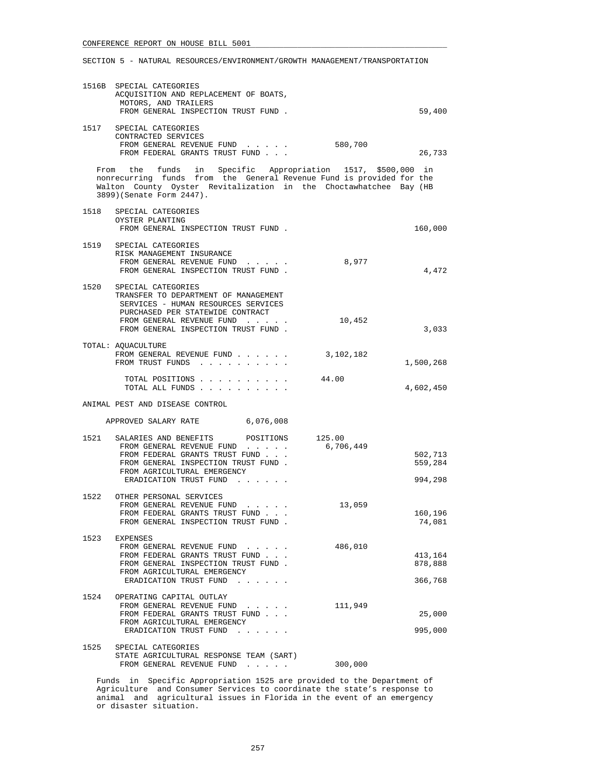## SECTION 5 - NATURAL RESOURCES/ENVIRONMENT/GROWTH MANAGEMENT/TRANSPORTATION

|      | 1516B SPECIAL CATEGORIES<br>ACQUISITION AND REPLACEMENT OF BOATS,<br>MOTORS, AND TRAILERS<br>FROM GENERAL INSPECTION TRUST FUND.                                                                                                      |           | 59,400                        |
|------|---------------------------------------------------------------------------------------------------------------------------------------------------------------------------------------------------------------------------------------|-----------|-------------------------------|
|      | 1517 SPECIAL CATEGORIES<br>CONTRACTED SERVICES<br>FROM GENERAL REVENUE FUND<br>FROM FEDERAL GRANTS TRUST FUND                                                                                                                         | 580,700   | 26,733                        |
|      | From the funds in Specific Appropriation 1517, \$500,000 in<br>nonrecurring funds from the General Revenue Fund is provided for the<br>Walton County Oyster Revitalization in the Choctawhatchee Bay (HB<br>3899) (Senate Form 2447). |           |                               |
|      | 1518 SPECIAL CATEGORIES<br>OYSTER PLANTING<br>FROM GENERAL INSPECTION TRUST FUND.                                                                                                                                                     |           | 160,000                       |
|      | 1519 SPECIAL CATEGORIES<br>RISK MANAGEMENT INSURANCE<br>FROM GENERAL REVENUE FUND<br>FROM GENERAL INSPECTION TRUST FUND.                                                                                                              | 8,977     | 4,472                         |
| 1520 | SPECIAL CATEGORIES<br>TRANSFER TO DEPARTMENT OF MANAGEMENT<br>SERVICES - HUMAN RESOURCES SERVICES<br>PURCHASED PER STATEWIDE CONTRACT<br>FROM GENERAL REVENUE FUND<br>FROM GENERAL INSPECTION TRUST FUND.                             | 10,452    | 3,033                         |
|      | TOTAL: AQUACULTURE<br>FROM GENERAL REVENUE FUND<br>FROM TRUST FUNDS                                                                                                                                                                   | 3,102,182 | 1,500,268                     |
|      | TOTAL POSITIONS                                                                                                                                                                                                                       | 44.00     | 4,602,450                     |
|      | ANIMAL PEST AND DISEASE CONTROL                                                                                                                                                                                                       |           |                               |
|      | APPROVED SALARY RATE 6,076,008                                                                                                                                                                                                        |           |                               |
| 1521 | SALARIES AND BENEFITS POSITIONS 125.00<br>FROM GENERAL REVENUE FUND<br>FROM FEDERAL GRANTS TRUST FUND<br>FROM GENERAL INSPECTION TRUST FUND.<br>FROM AGRICULTURAL EMERGENCY<br>ERADICATION TRUST FUND                                 | 6,706,449 | 502,713<br>559,284<br>994,298 |
|      | 1522 OTHER PERSONAL SERVICES<br>FROM GENERAL REVENUE FUND 13,059<br>FROM FEDERAL GRANTS TRUST FUND<br>FROM GENERAL INSPECTION TRUST FUND.                                                                                             |           | 160,196<br>74,081             |
|      | 1523 EXPENSES<br>FROM GENERAL REVENUE FUND<br>FROM FEDERAL GRANTS TRUST FUND<br>FROM GENERAL INSPECTION TRUST FUND.<br>FROM AGRICULTURAL EMERGENCY<br>ERADICATION TRUST FUND                                                          | 486,010   | 413,164<br>878,888<br>366,768 |
|      | 1524 OPERATING CAPITAL OUTLAY<br>FROM GENERAL REVENUE FUND<br>FROM FEDERAL GRANTS TRUST FUND<br>FROM AGRICULTURAL EMERGENCY<br>ERADICATION TRUST FUND                                                                                 | 111,949   | 25,000<br>995,000             |
| 1525 | SPECIAL CATEGORIES<br>STATE AGRICULTURAL RESPONSE TEAM (SART)<br>FROM GENERAL REVENUE FUND                                                                                                                                            | 300,000   |                               |

 Funds in Specific Appropriation 1525 are provided to the Department of Agriculture and Consumer Services to coordinate the state's response to animal and agricultural issues in Florida in the event of an emergency or disaster situation.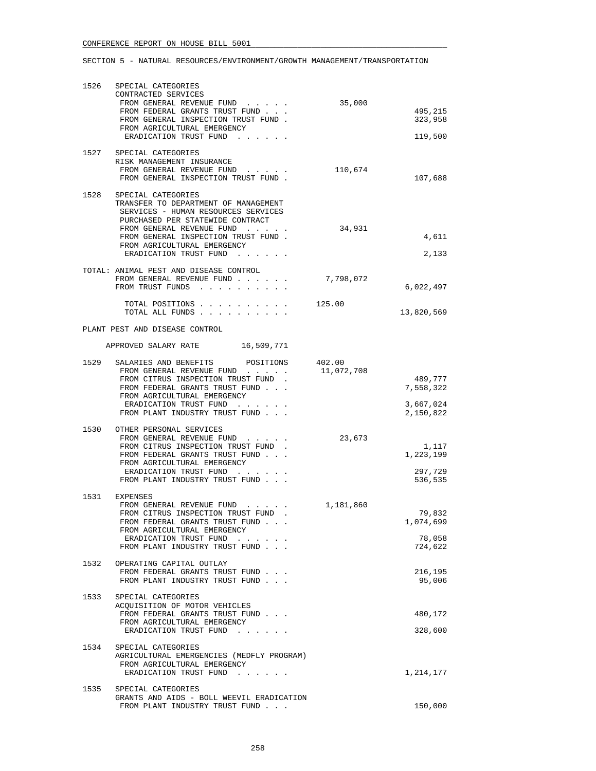| 1526 | SPECIAL CATEGORIES<br>CONTRACTED SERVICES<br>FROM GENERAL REVENUE FUND<br>FROM FEDERAL GRANTS TRUST FUND<br>FROM GENERAL INSPECTION TRUST FUND.<br>FROM AGRICULTURAL EMERGENCY<br>ERADICATION TRUST FUND                                                           | 35,000     | 495,215<br>323,958<br>119,500            |
|------|--------------------------------------------------------------------------------------------------------------------------------------------------------------------------------------------------------------------------------------------------------------------|------------|------------------------------------------|
|      | 1527 SPECIAL CATEGORIES<br>RISK MANAGEMENT INSURANCE<br>FROM GENERAL REVENUE FUND<br>and a state of the state<br>FROM GENERAL INSPECTION TRUST FUND.                                                                                                               | 110,674    | 107,688                                  |
| 1528 | SPECIAL CATEGORIES<br>TRANSFER TO DEPARTMENT OF MANAGEMENT<br>SERVICES - HUMAN RESOURCES SERVICES<br>PURCHASED PER STATEWIDE CONTRACT<br>FROM GENERAL REVENUE FUND<br>FROM GENERAL INSPECTION TRUST FUND.<br>FROM AGRICULTURAL EMERGENCY<br>ERADICATION TRUST FUND | 34,931     | 4,611<br>2,133                           |
|      | TOTAL: ANIMAL PEST AND DISEASE CONTROL<br>FROM GENERAL REVENUE FUND<br>FROM TRUST FUNDS                                                                                                                                                                            | 7,798,072  | 6,022,497                                |
|      | TOTAL POSITIONS<br>TOTAL ALL FUNDS                                                                                                                                                                                                                                 | 125.00     | 13,820,569                               |
|      | PLANT PEST AND DISEASE CONTROL                                                                                                                                                                                                                                     |            |                                          |
|      | APPROVED SALARY RATE 16,509,771                                                                                                                                                                                                                                    |            |                                          |
|      | 1529 SALARIES AND BENEFITS POSITIONS 402.00<br>FROM GENERAL REVENUE FUND<br>FROM CITRUS INSPECTION TRUST FUND.<br>FROM FEDERAL GRANTS TRUST FUND<br>FROM AGRICULTURAL EMERGENCY                                                                                    | 11,072,708 | 489,777<br>7,558,322                     |
|      | ERADICATION TRUST FUND<br>FROM PLANT INDUSTRY TRUST FUND                                                                                                                                                                                                           |            | 3,667,024<br>2,150,822                   |
|      | 1530 OTHER PERSONAL SERVICES<br>FROM GENERAL REVENUE FUND<br>FROM CITRUS INSPECTION TRUST FUND.<br>FROM FEDERAL GRANTS TRUST FUND<br>FROM AGRICULTURAL EMERGENCY<br>ERADICATION TRUST FUND<br>FROM PLANT INDUSTRY TRUST FUND                                       | 23,673     | 1,117<br>1,223,199<br>297,729<br>536,535 |
|      | 1531 EXPENSES<br>FROM GENERAL REVENUE FUND<br>FROM CITRUS INSPECTION TRUST FUND<br>$\sim$ $\sim$<br>FROM FEDERAL GRANTS TRUST FUND<br>FROM AGRICULTURAL EMERGENCY<br>ERADICATION TRUST FUND<br>and the state of the state of<br>FROM PLANT INDUSTRY TRUST FUND     | 1,181,860  | 79,832<br>1,074,699<br>78,058<br>724,622 |
| 1532 | OPERATING CAPITAL OUTLAY<br>FROM FEDERAL GRANTS TRUST FUND<br>FROM PLANT INDUSTRY TRUST FUND                                                                                                                                                                       |            | 216,195<br>95,006                        |
| 1533 | SPECIAL CATEGORIES<br>ACQUISITION OF MOTOR VEHICLES<br>FROM FEDERAL GRANTS TRUST FUND<br>FROM AGRICULTURAL EMERGENCY<br>ERADICATION TRUST FUND                                                                                                                     |            | 480,172<br>328,600                       |
|      | 1534 SPECIAL CATEGORIES<br>AGRICULTURAL EMERGENCIES (MEDFLY PROGRAM)<br>FROM AGRICULTURAL EMERGENCY<br>ERADICATION TRUST FUND                                                                                                                                      |            | 1,214,177                                |
| 1535 | SPECIAL CATEGORIES<br>GRANTS AND AIDS - BOLL WEEVIL ERADICATION<br>FROM PLANT INDUSTRY TRUST FUND                                                                                                                                                                  |            | 150,000                                  |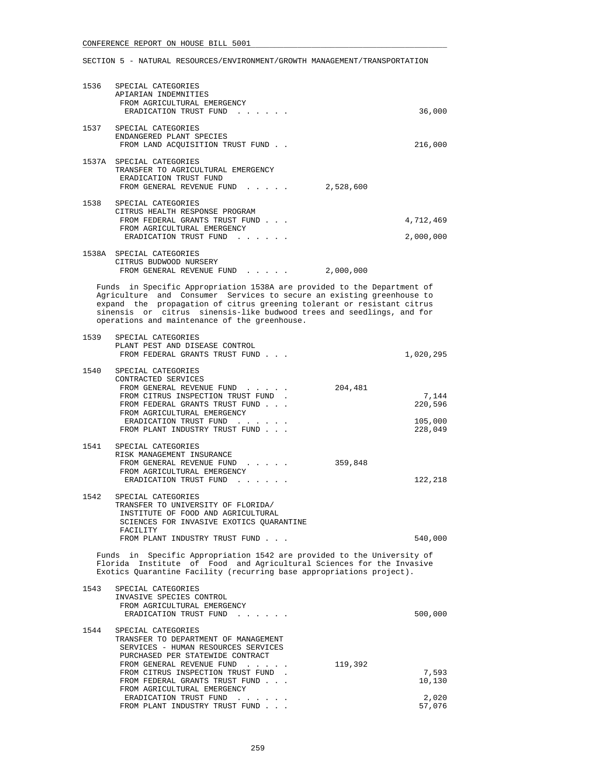|      | 1536 SPECIAL CATEGORIES<br>APIARIAN INDEMNITIES<br>FROM AGRICULTURAL EMERGENCY<br>ERADICATION TRUST FUND                                                                                                                                                                                                                                             | 36,000                                            |
|------|------------------------------------------------------------------------------------------------------------------------------------------------------------------------------------------------------------------------------------------------------------------------------------------------------------------------------------------------------|---------------------------------------------------|
|      | 1537 SPECIAL CATEGORIES<br>ENDANGERED PLANT SPECIES<br>FROM LAND ACQUISITION TRUST FUND                                                                                                                                                                                                                                                              | 216,000                                           |
|      | 1537A SPECIAL CATEGORIES<br>TRANSFER TO AGRICULTURAL EMERGENCY<br>ERADICATION TRUST FUND<br>FROM GENERAL REVENUE FUND                                                                                                                                                                                                                                | 2,528,600                                         |
|      | 1538 SPECIAL CATEGORIES<br>CITRUS HEALTH RESPONSE PROGRAM<br>FROM FEDERAL GRANTS TRUST FUND<br>FROM AGRICULTURAL EMERGENCY<br>ERADICATION TRUST FUND                                                                                                                                                                                                 | 4,712,469<br>2,000,000                            |
|      | 1538A SPECIAL CATEGORIES<br>CITRUS BUDWOOD NURSERY<br>FROM GENERAL REVENUE FUND                                                                                                                                                                                                                                                                      | 2,000,000                                         |
|      | Funds in Specific Appropriation 1538A are provided to the Department of<br>Agriculture and Consumer Services to secure an existing greenhouse to<br>expand the propagation of citrus greening tolerant or resistant citrus<br>sinensis or citrus sinensis-like budwood trees and seedlings, and for<br>operations and maintenance of the greenhouse. |                                                   |
|      | 1539 SPECIAL CATEGORIES<br>PLANT PEST AND DISEASE CONTROL<br>FROM FEDERAL GRANTS TRUST FUND                                                                                                                                                                                                                                                          | 1,020,295                                         |
| 1540 | SPECIAL CATEGORIES<br>CONTRACTED SERVICES<br>FROM GENERAL REVENUE FUND<br>FROM CITRUS INSPECTION TRUST FUND.<br>FROM FEDERAL GRANTS TRUST FUND<br>FROM AGRICULTURAL EMERGENCY<br>ERADICATION TRUST FUND<br>FROM PLANT INDUSTRY TRUST FUND                                                                                                            | 204,481<br>7,144<br>220,596<br>105,000<br>228,049 |
| 1541 | SPECIAL CATEGORIES<br>RISK MANAGEMENT INSURANCE<br>FROM GENERAL REVENUE FUND<br>FROM AGRICULTURAL EMERGENCY<br>ERADICATION TRUST FUND                                                                                                                                                                                                                | 359,848<br>122,218                                |
| 1542 | SPECIAL CATEGORIES<br>TRANSFER TO UNIVERSITY OF FLORIDA/<br>INSTITUTE OF FOOD AND AGRICULTURAL<br>SCIENCES FOR INVASIVE EXOTICS OUARANTINE<br>FACILITY<br>FROM PLANT INDUSTRY TRUST FUND                                                                                                                                                             | 540,000                                           |
|      | Funds in Specific Appropriation 1542 are provided to the University of<br>Florida Institute of Food and Agricultural Sciences for the Invasive<br>Exotics Quarantine Facility (recurring base appropriations project).                                                                                                                               |                                                   |
| 1543 | SPECIAL CATEGORIES<br>INVASIVE SPECIES CONTROL<br>FROM AGRICULTURAL EMERGENCY<br>ERADICATION TRUST FUND<br>$\sim$ $\sim$ $\sim$                                                                                                                                                                                                                      | 500,000                                           |
| 1544 | SPECIAL CATEGORIES<br>TRANSFER TO DEPARTMENT OF MANAGEMENT<br>SERVICES - HUMAN RESOURCES SERVICES<br>PURCHASED PER STATEWIDE CONTRACT<br>FROM GENERAL REVENUE FUND                                                                                                                                                                                   | 119,392                                           |
|      | FROM CITRUS INSPECTION TRUST FUND.<br>FROM FEDERAL GRANTS TRUST FUND<br>FROM AGRICULTURAL EMERGENCY                                                                                                                                                                                                                                                  | 7,593<br>10,130                                   |
|      | ERADICATION TRUST FUND<br>FROM PLANT INDUSTRY TRUST FUND                                                                                                                                                                                                                                                                                             | 2,020<br>57,076                                   |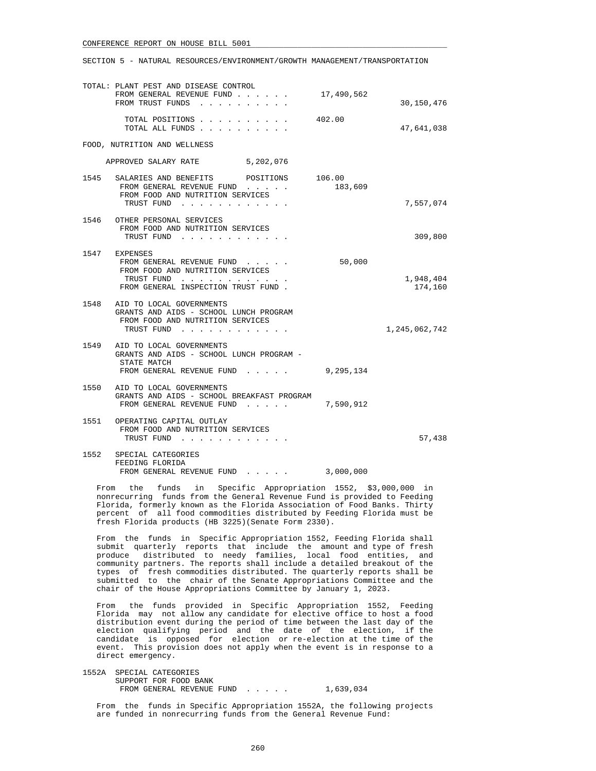#### SECTION 5 - NATURAL RESOURCES/ENVIRONMENT/GROWTH MANAGEMENT/TRANSPORTATION

|      | TOTAL: PLANT PEST AND DISEASE CONTROL<br>FROM GENERAL REVENUE FUND                                                                                                          | 17,490,562 |                      |
|------|-----------------------------------------------------------------------------------------------------------------------------------------------------------------------------|------------|----------------------|
|      | FROM TRUST FUNDS                                                                                                                                                            |            | 30,150,476           |
|      | TOTAL POSITIONS<br>TOTAL ALL FUNDS                                                                                                                                          | 402.00     | 47,641,038           |
|      | FOOD, NUTRITION AND WELLNESS                                                                                                                                                |            |                      |
|      | APPROVED SALARY RATE 5,202,076                                                                                                                                              |            |                      |
|      | 1545 SALARIES AND BENEFITS POSITIONS 106.00<br>FROM GENERAL REVENUE FUND<br>FROM FOOD AND NUTRITION SERVICES                                                                | 183,609    |                      |
|      | TRUST FUND                                                                                                                                                                  |            | 7,557,074            |
|      | 1546 OTHER PERSONAL SERVICES<br>FROM FOOD AND NUTRITION SERVICES<br>TRUST FUND                                                                                              |            | 309,800              |
|      | 1547 EXPENSES<br>FROM GENERAL REVENUE FUND.<br>FROM FOOD AND NUTRITION SERVICES<br>TRUST FUND<br>the contract of the contract of the<br>FROM GENERAL INSPECTION TRUST FUND. | 50,000     | 1,948,404<br>174,160 |
|      | 1548 AID TO LOCAL GOVERNMENTS<br>GRANTS AND AIDS - SCHOOL LUNCH PROGRAM<br>FROM FOOD AND NUTRITION SERVICES<br>TRUST FUND                                                   |            | 1,245,062,742        |
|      | 1549 AID TO LOCAL GOVERNMENTS<br>GRANTS AND AIDS - SCHOOL LUNCH PROGRAM -<br>STATE MATCH<br>FROM GENERAL REVENUE FUND                                                       | 9,295,134  |                      |
|      | 1550 AID TO LOCAL GOVERNMENTS<br>GRANTS AND AIDS - SCHOOL BREAKFAST PROGRAM<br>FROM GENERAL REVENUE FUND                                                                    | 7,590,912  |                      |
|      | 1551 OPERATING CAPITAL OUTLAY<br>FROM FOOD AND NUTRITION SERVICES<br>TRUST FUND                                                                                             |            | 57,438               |
| 1552 | SPECIAL CATEGORIES<br>FEEDING FLORIDA<br>FROM GENERAL REVENUE FUND                                                                                                          | 3,000,000  |                      |

 From the funds in Specific Appropriation 1552, \$3,000,000 in nonrecurring funds from the General Revenue Fund is provided to Feeding Florida, formerly known as the Florida Association of Food Banks. Thirty percent of all food commodities distributed by Feeding Florida must be fresh Florida products (HB 3225)(Senate Form 2330).

 From the funds in Specific Appropriation 1552, Feeding Florida shall submit quarterly reports that include the amount and type of fresh produce distributed to needy families, local food entities, and community partners. The reports shall include a detailed breakout of the types of fresh commodities distributed. The quarterly reports shall be submitted to the chair of the Senate Appropriations Committee and the chair of the House Appropriations Committee by January 1, 2023.

 From the funds provided in Specific Appropriation 1552, Feeding Florida may not allow any candidate for elective office to host a food distribution event during the period of time between the last day of the election qualifying period and the date of the election, if the candidate is opposed for election or re-election at the time of the event. This provision does not apply when the event is in response to a direct emergency.

 1552A SPECIAL CATEGORIES SUPPORT FOR FOOD BANK FROM GENERAL REVENUE FUND . . . . . 1,639,034

 From the funds in Specific Appropriation 1552A, the following projects are funded in nonrecurring funds from the General Revenue Fund: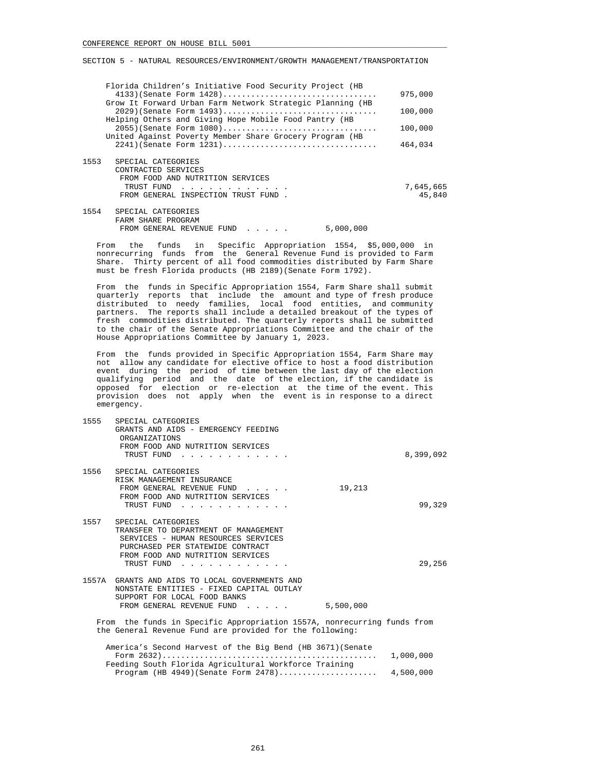|      | Florida Children's Initiative Food Security Project (HB                                                                            | 975,000             |
|------|------------------------------------------------------------------------------------------------------------------------------------|---------------------|
|      | Grow It Forward Urban Farm Network Strategic Planning (HB                                                                          |                     |
|      | $2029$ (Senate Form $1493$ )<br>Helping Others and Giving Hope Mobile Food Pantry (HB                                              | 100,000             |
|      | $2055$ ) (Senate Form $1080)$                                                                                                      | 100,000             |
|      | United Against Poverty Member Share Grocery Program (HB                                                                            | 464,034             |
| 1553 | SPECIAL CATEGORIES<br>CONTRACTED SERVICES<br>FROM FOOD AND NUTRITION SERVICES<br>TRUST FUND<br>FROM GENERAL INSPECTION TRUST FUND. | 7,645,665<br>45,840 |
| 1554 | SPECIAL CATEGORIES<br>FARM SHARE PROGRAM<br>5,000,000<br>FROM GENERAL REVENUE FUND<br>.                                            |                     |

 From the funds in Specific Appropriation 1554, \$5,000,000 in nonrecurring funds from the General Revenue Fund is provided to Farm Share. Thirty percent of all food commodities distributed by Farm Share must be fresh Florida products (HB 2189)(Senate Form 1792).

 From the funds in Specific Appropriation 1554, Farm Share shall submit quarterly reports that include the amount and type of fresh produce distributed to needy families, local food entities, and community partners. The reports shall include a detailed breakout of the types of fresh commodities distributed. The quarterly reports shall be submitted to the chair of the Senate Appropriations Committee and the chair of the House Appropriations Committee by January 1, 2023.

 From the funds provided in Specific Appropriation 1554, Farm Share may not allow any candidate for elective office to host a food distribution event during the period of time between the last day of the election qualifying period and the date of the election, if the candidate is opposed for election or re-election at the time of the event. This provision does not apply when the event is in response to a direct emergency.

| 1555 | SPECIAL CATEGORIES<br>GRANTS AND AIDS - EMERGENCY FEEDING<br><b>ORGANIZATIONS</b><br>FROM FOOD AND NUTRITION SERVICES<br>TRUST FUND                                                          |           |           | 8,399,092 |
|------|----------------------------------------------------------------------------------------------------------------------------------------------------------------------------------------------|-----------|-----------|-----------|
|      | 1556 SPECIAL CATEGORIES<br>RISK MANAGEMENT INSURANCE<br>FROM GENERAL REVENUE FUND<br>FROM FOOD AND NUTRITION SERVICES<br>TRUST FUND<br>.                                                     | 19,213    |           | 99,329    |
|      | 1557 SPECIAL CATEGORIES<br>TRANSFER TO DEPARTMENT OF MANAGEMENT<br>SERVICES - HUMAN RESOURCES SERVICES<br>PURCHASED PER STATEWIDE CONTRACT<br>FROM FOOD AND NUTRITION SERVICES<br>TRUST FUND |           |           | 29,256    |
|      | 1557A GRANTS AND AIDS TO LOCAL GOVERNMENTS AND<br>NONSTATE ENTITIES - FIXED CAPITAL OUTLAY<br>SUPPORT FOR LOCAL FOOD BANKS<br>FROM GENERAL REVENUE FUND                                      | 5,500,000 |           |           |
|      | From the funds in Specific Appropriation 1557A, nonrecurring funds from<br>the General Revenue Fund are provided for the following:                                                          |           |           |           |
|      | America's Second Harvest of the Big Bend (HB 3671) (Senate<br>Feeding South Florida Agricultural Workforce Training                                                                          |           | 1,000,000 |           |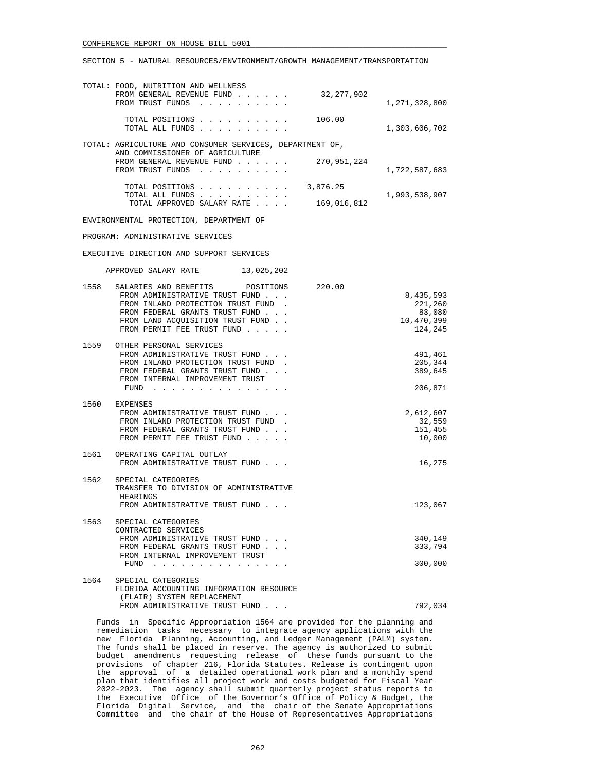|  |  |  | SECTION 5 - NATURAL RESOURCES/ENVIRONMENT/GROWTH MANAGEMENT/TRANSPORTATION |
|--|--|--|----------------------------------------------------------------------------|
|  |  |  |                                                                            |

|      | TOTAL: FOOD, NUTRITION AND WELLNESS<br>32,277,902<br>FROM GENERAL REVENUE FUND<br>FROM TRUST FUNDS                                                                                                                      | 1,271,328,800                                           |
|------|-------------------------------------------------------------------------------------------------------------------------------------------------------------------------------------------------------------------------|---------------------------------------------------------|
|      | TOTAL POSITIONS<br>106.00<br>TOTAL ALL FUNDS                                                                                                                                                                            | 1,303,606,702                                           |
|      | TOTAL: AGRICULTURE AND CONSUMER SERVICES, DEPARTMENT OF,                                                                                                                                                                |                                                         |
|      | AND COMMISSIONER OF AGRICULTURE<br>FROM GENERAL REVENUE FUND<br>270,951,224<br>FROM TRUST FUNDS                                                                                                                         | 1,722,587,683                                           |
|      | TOTAL POSITIONS 3,876.25                                                                                                                                                                                                |                                                         |
|      | TOTAL ALL FUNDS<br>169,016,812<br>TOTAL APPROVED SALARY RATE                                                                                                                                                            | 1,993,538,907                                           |
|      | ENVIRONMENTAL PROTECTION, DEPARTMENT OF                                                                                                                                                                                 |                                                         |
|      | PROGRAM: ADMINISTRATIVE SERVICES                                                                                                                                                                                        |                                                         |
|      | EXECUTIVE DIRECTION AND SUPPORT SERVICES                                                                                                                                                                                |                                                         |
|      | 13,025,202<br>APPROVED SALARY RATE                                                                                                                                                                                      |                                                         |
| 1558 | SALARIES AND BENEFITS<br>POSITIONS<br>220.00<br>FROM ADMINISTRATIVE TRUST FUND<br>FROM INLAND PROTECTION TRUST FUND<br>FROM FEDERAL GRANTS TRUST FUND<br>FROM LAND ACQUISITION TRUST FUND<br>FROM PERMIT FEE TRUST FUND | 8,435,593<br>221,260<br>83,080<br>10,470,399<br>124,245 |
|      | 1559 OTHER PERSONAL SERVICES<br>FROM ADMINISTRATIVE TRUST FUND<br>FROM INLAND PROTECTION TRUST FUND.<br>FROM FEDERAL GRANTS TRUST FUND<br>FROM INTERNAL IMPROVEMENT TRUST<br>FUND $\cdots$                              | 491,461<br>205,344<br>389,645<br>206,871                |
|      | 1560 EXPENSES<br>FROM ADMINISTRATIVE TRUST FUND<br>FROM INLAND PROTECTION TRUST FUND<br>FROM FEDERAL GRANTS TRUST FUND<br>FROM PERMIT FEE TRUST FUND                                                                    | 2,612,607<br>32,559<br>151,455<br>10,000                |
|      | 1561 OPERATING CAPITAL OUTLAY<br>FROM ADMINISTRATIVE TRUST FUND                                                                                                                                                         | 16,275                                                  |
| 1562 | SPECIAL CATEGORIES<br>TRANSFER TO DIVISION OF ADMINISTRATIVE<br>HEARINGS<br>FROM ADMINISTRATIVE TRUST FUND                                                                                                              | 123,067                                                 |
| 1563 | SPECIAL CATEGORIES<br>CONTRACTED SERVICES                                                                                                                                                                               |                                                         |

FROM ADMINISTRATIVE TRUST FUND . . .  $\qquad \qquad 340,149$ FROM FEDERAL GRANTS TRUST FUND . . .  $333,794$  FROM INTERNAL IMPROVEMENT TRUST FUND . . . . . . . . . . . . . . . 300,000 1564 SPECIAL CATEGORIES FLORIDA ACCOUNTING INFORMATION RESOURCE

 (FLAIR) SYSTEM REPLACEMENT FROM ADMINISTRATIVE TRUST FUND . . .  $\hspace{2cm} 792,034$ 

 Funds in Specific Appropriation 1564 are provided for the planning and remediation tasks necessary to integrate agency applications with the new Florida Planning, Accounting, and Ledger Management (PALM) system. The funds shall be placed in reserve. The agency is authorized to submit budget amendments requesting release of these funds pursuant to the provisions of chapter 216, Florida Statutes. Release is contingent upon the approval of a detailed operational work plan and a monthly spend plan that identifies all project work and costs budgeted for Fiscal Year 2022-2023. The agency shall submit quarterly project status reports to the Executive Office of the Governor's Office of Policy & Budget, the Florida Digital Service, and the chair of the Senate Appropriations Committee and the chair of the House of Representatives Appropriations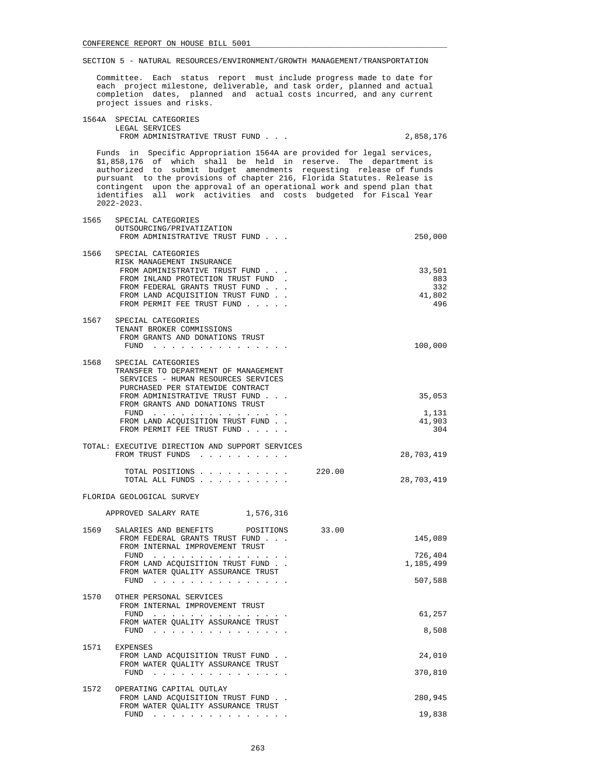Committee. Each status report must include progress made to date for each project milestone, deliverable, and task order, planned and actual completion dates, planned and actual costs incurred, and any current project issues and risks.

| 1564A SPECIAL CATEGORIES       |           |
|--------------------------------|-----------|
| LEGAL SERVICES                 |           |
| FROM ADMINISTRATIVE TRUST FUND | 2,858,176 |

 Funds in Specific Appropriation 1564A are provided for legal services, \$1,858,176 of which shall be held in reserve. The department is authorized to submit budget amendments requesting release of funds pursuant to the provisions of chapter 216, Florida Statutes. Release is contingent upon the approval of an operational work and spend plan that identifies all work activities and costs budgeted for Fiscal Year 2022-2023.

| 1565 | SPECIAL CATEGORIES<br>OUTSOURCING/PRIVATIZATION<br>FROM ADMINISTRATIVE TRUST FUND                                                                                                                                                                                                             |        | 250,000                               |
|------|-----------------------------------------------------------------------------------------------------------------------------------------------------------------------------------------------------------------------------------------------------------------------------------------------|--------|---------------------------------------|
| 1566 | SPECIAL CATEGORIES<br>RISK MANAGEMENT INSURANCE<br>FROM ADMINISTRATIVE TRUST FUND<br>FROM INLAND PROTECTION TRUST FUND.<br>FROM FEDERAL GRANTS TRUST FUND<br>FROM LAND ACQUISITION TRUST FUND<br>FROM PERMIT FEE TRUST FUND                                                                   |        | 33,501<br>883<br>332<br>41,802<br>496 |
| 1567 | SPECIAL CATEGORIES<br>TENANT BROKER COMMISSIONS<br>FROM GRANTS AND DONATIONS TRUST<br>FUND $\cdots$                                                                                                                                                                                           |        | 100,000                               |
| 1568 | SPECIAL CATEGORIES<br>TRANSFER TO DEPARTMENT OF MANAGEMENT<br>SERVICES - HUMAN RESOURCES SERVICES<br>PURCHASED PER STATEWIDE CONTRACT<br>FROM ADMINISTRATIVE TRUST FUND<br>FROM GRANTS AND DONATIONS TRUST<br>FUND $\cdots$<br>FROM LAND ACQUISITION TRUST FUND<br>FROM PERMIT FEE TRUST FUND |        | 35,053<br>1,131<br>41,903<br>304      |
|      | TOTAL: EXECUTIVE DIRECTION AND SUPPORT SERVICES<br>FROM TRUST FUNDS                                                                                                                                                                                                                           |        | 28,703,419                            |
|      | TOTAL POSITIONS<br>TOTAL ALL FUNDS                                                                                                                                                                                                                                                            | 220.00 | 28,703,419                            |
|      | FLORIDA GEOLOGICAL SURVEY                                                                                                                                                                                                                                                                     |        |                                       |
|      | APPROVED SALARY RATE 1,576,316                                                                                                                                                                                                                                                                |        |                                       |
| 1569 | SALARIES AND BENEFITS POSITIONS<br>FROM FEDERAL GRANTS TRUST FUND<br>FROM INTERNAL IMPROVEMENT TRUST<br>$FUND$<br>FROM LAND ACQUISITION TRUST FUND<br>FROM WATER QUALITY ASSURANCE TRUST                                                                                                      | 33.00  | 145,089<br>726,404<br>1,185,499       |
|      | FUND<br>a construction of the construction of the construction of the construction of the construction of the construction of the construction of the construction of the construction of the construction of the construction of the                                                         |        | 507,588                               |
| 1570 | OTHER PERSONAL SERVICES<br>FROM INTERNAL IMPROVEMENT TRUST<br>FUND $\cdots$<br>FROM WATER QUALITY ASSURANCE TRUST                                                                                                                                                                             |        | 61,257<br>8,508                       |
|      | 1571 EXPENSES<br>FROM LAND ACQUISITION TRUST FUND<br>FROM WATER QUALITY ASSURANCE TRUST<br>$FUND$                                                                                                                                                                                             |        | 24,010<br>370,810                     |
| 1572 | OPERATING CAPITAL OUTLAY<br>FROM LAND ACQUISITION TRUST FUND<br>FROM WATER QUALITY ASSURANCE TRUST<br>FUND $\cdots$                                                                                                                                                                           |        | 280,945<br>19,838                     |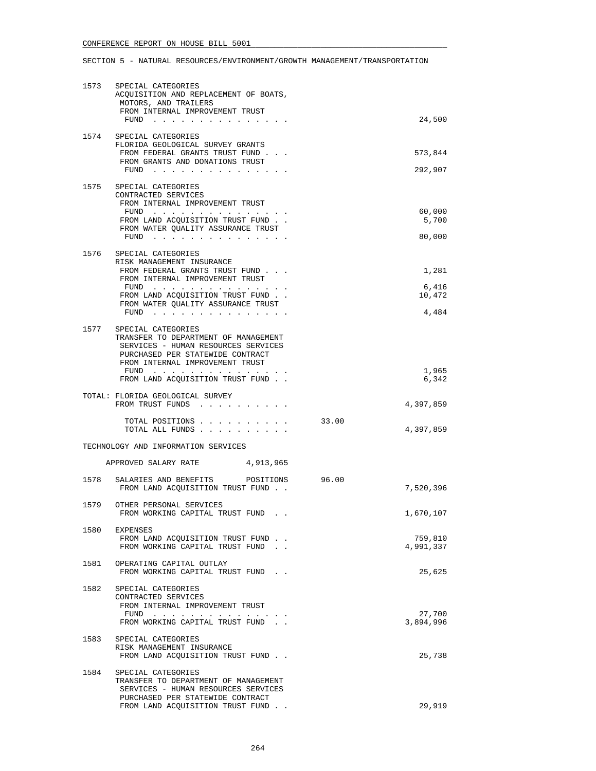|      | 1573 SPECIAL CATEGORIES<br>ACQUISITION AND REPLACEMENT OF BOATS,<br>MOTORS, AND TRAILERS<br>FROM INTERNAL IMPROVEMENT TRUST                                              |       |                    |
|------|--------------------------------------------------------------------------------------------------------------------------------------------------------------------------|-------|--------------------|
|      | FUND $\cdots$ $\cdots$ $\cdots$ $\cdots$ $\cdots$ $\cdots$                                                                                                               |       | 24,500             |
|      | 1574 SPECIAL CATEGORIES<br>FLORIDA GEOLOGICAL SURVEY GRANTS<br>FROM FEDERAL GRANTS TRUST FUND<br>FROM GRANTS AND DONATIONS TRUST<br>FUND                                 |       | 573,844<br>292,907 |
| 1575 | SPECIAL CATEGORIES                                                                                                                                                       |       |                    |
|      | CONTRACTED SERVICES                                                                                                                                                      |       |                    |
|      | FROM INTERNAL IMPROVEMENT TRUST<br>FUND                                                                                                                                  |       | 60,000             |
|      | FROM LAND ACQUISITION TRUST FUND.                                                                                                                                        |       | 5,700              |
|      | FROM WATER QUALITY ASSURANCE TRUST<br>FUND $\cdots$                                                                                                                      |       | 80,000             |
|      |                                                                                                                                                                          |       |                    |
|      | 1576 SPECIAL CATEGORIES<br>RISK MANAGEMENT INSURANCE                                                                                                                     |       |                    |
|      | FROM FEDERAL GRANTS TRUST FUND                                                                                                                                           |       | 1,281              |
|      | FROM INTERNAL IMPROVEMENT TRUST<br>FUND                                                                                                                                  |       | 6,416              |
|      | FROM LAND ACQUISITION TRUST FUND.                                                                                                                                        |       | 10,472             |
|      | FROM WATER QUALITY ASSURANCE TRUST<br>FUND $\ldots$                                                                                                                      |       | 4,484              |
|      |                                                                                                                                                                          |       |                    |
| 1577 | SPECIAL CATEGORIES<br>TRANSFER TO DEPARTMENT OF MANAGEMENT<br>SERVICES - HUMAN RESOURCES SERVICES<br>PURCHASED PER STATEWIDE CONTRACT<br>FROM INTERNAL IMPROVEMENT TRUST |       |                    |
|      | FUND $\cdots$<br>FROM LAND ACQUISITION TRUST FUND                                                                                                                        |       | 1,965<br>6,342     |
|      |                                                                                                                                                                          |       |                    |
|      | TOTAL: FLORIDA GEOLOGICAL SURVEY<br>FROM TRUST FUNDS                                                                                                                     |       | 4,397,859          |
|      | TOTAL POSITIONS                                                                                                                                                          | 33.00 |                    |
|      | TOTAL ALL FUNDS                                                                                                                                                          |       | 4,397,859          |
|      | TECHNOLOGY AND INFORMATION SERVICES                                                                                                                                      |       |                    |
|      | APPROVED SALARY RATE 4,913,965                                                                                                                                           |       |                    |
| 1578 | SALARIES AND BENEFITS<br>POSITIONS<br>FROM LAND ACOUISITION TRUST FUND.                                                                                                  | 96.00 | 7,520,396          |
|      | 1579 OTHER PERSONAL SERVICES<br>FROM WORKING CAPITAL TRUST FUND                                                                                                          |       | 1,670,107          |
|      | 1580 EXPENSES                                                                                                                                                            |       |                    |
|      | FROM LAND ACQUISITION TRUST FUND.                                                                                                                                        |       | 759,810            |
|      | FROM WORKING CAPITAL TRUST FUND.                                                                                                                                         |       | 4,991,337          |
| 1581 | OPERATING CAPITAL OUTLAY<br>FROM WORKING CAPITAL TRUST FUND.                                                                                                             |       | 25,625             |
| 1582 | SPECIAL CATEGORIES<br>CONTRACTED SERVICES<br>FROM INTERNAL IMPROVEMENT TRUST                                                                                             |       |                    |
|      | $FUND$                                                                                                                                                                   |       | 27,700             |
|      | FROM WORKING CAPITAL TRUST FUND.                                                                                                                                         |       | 3,894,996          |
| 1583 | SPECIAL CATEGORIES                                                                                                                                                       |       |                    |
|      | RISK MANAGEMENT INSURANCE                                                                                                                                                |       |                    |
|      | FROM LAND ACQUISITION TRUST FUND                                                                                                                                         |       | 25,738             |
| 1584 | SPECIAL CATEGORIES<br>TRANSFER TO DEPARTMENT OF MANAGEMENT<br>SERVICES - HUMAN RESOURCES SERVICES<br>PURCHASED PER STATEWIDE CONTRACT                                    |       |                    |
|      | FROM LAND ACQUISITION TRUST FUND                                                                                                                                         |       | 29,919             |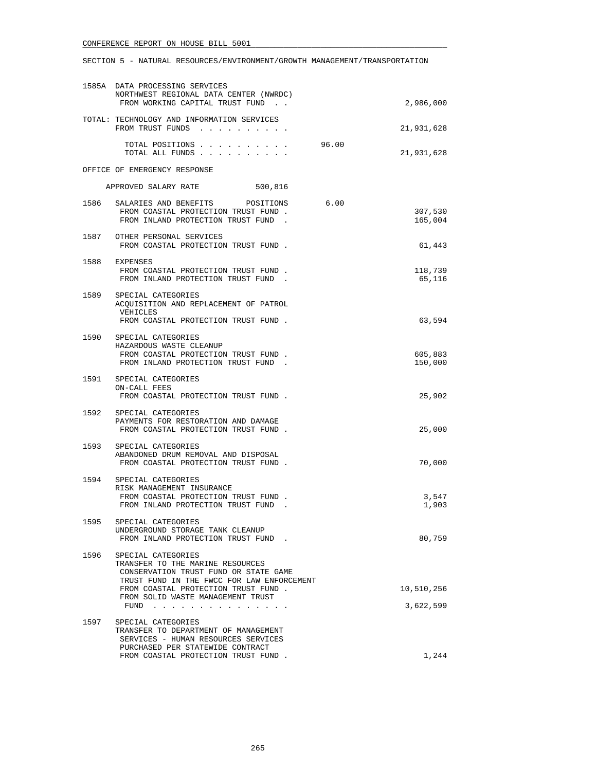|      | 1585A DATA PROCESSING SERVICES<br>NORTHWEST REGIONAL DATA CENTER (NWRDC)<br>FROM WORKING CAPITAL TRUST FUND.                                                                         | 2,986,000          |
|------|--------------------------------------------------------------------------------------------------------------------------------------------------------------------------------------|--------------------|
|      | TOTAL: TECHNOLOGY AND INFORMATION SERVICES<br>FROM TRUST FUNDS                                                                                                                       | 21,931,628         |
|      | TOTAL POSITIONS<br>96.00<br>TOTAL ALL FUNDS                                                                                                                                          | 21,931,628         |
|      | OFFICE OF EMERGENCY RESPONSE                                                                                                                                                         |                    |
|      | APPROVED SALARY RATE<br>500,816                                                                                                                                                      |                    |
|      | 1586 SALARIES AND BENEFITS POSITIONS<br>6.00<br>FROM COASTAL PROTECTION TRUST FUND.<br>FROM INLAND PROTECTION TRUST FUND.                                                            | 307,530<br>165,004 |
|      | 1587 OTHER PERSONAL SERVICES<br>FROM COASTAL PROTECTION TRUST FUND.                                                                                                                  | 61,443             |
|      | 1588 EXPENSES<br>FROM COASTAL PROTECTION TRUST FUND.<br>FROM INLAND PROTECTION TRUST FUND.                                                                                           | 118,739<br>65,116  |
| 1589 | SPECIAL CATEGORIES<br>ACQUISITION AND REPLACEMENT OF PATROL<br>VEHICLES<br>FROM COASTAL PROTECTION TRUST FUND.                                                                       | 63,594             |
|      | 1590 SPECIAL CATEGORIES<br>HAZARDOUS WASTE CLEANUP<br>FROM COASTAL PROTECTION TRUST FUND.<br>FROM INLAND PROTECTION TRUST FUND.                                                      | 605,883<br>150,000 |
|      | 1591 SPECIAL CATEGORIES<br>ON-CALL FEES<br>FROM COASTAL PROTECTION TRUST FUND.                                                                                                       | 25,902             |
|      | 1592 SPECIAL CATEGORIES<br>PAYMENTS FOR RESTORATION AND DAMAGE<br>FROM COASTAL PROTECTION TRUST FUND.                                                                                | 25,000             |
| 1593 | SPECIAL CATEGORIES<br>ABANDONED DRUM REMOVAL AND DISPOSAL<br>FROM COASTAL PROTECTION TRUST FUND.                                                                                     | 70,000             |
| 1594 | SPECIAL CATEGORIES<br>RISK MANAGEMENT INSURANCE<br>FROM COASTAL PROTECTION TRUST FUND.<br>FROM INLAND PROTECTION TRUST FUND.                                                         | 3,547<br>1,903     |
| 1595 | SPECIAL CATEGORIES<br>UNDERGROUND STORAGE TANK CLEANUP<br>FROM INLAND PROTECTION TRUST FUND.                                                                                         | 80,759             |
| 1596 | SPECIAL CATEGORIES<br>TRANSFER TO THE MARINE RESOURCES<br>CONSERVATION TRUST FUND OR STATE GAME<br>TRUST FUND IN THE FWCC FOR LAW ENFORCEMENT<br>FROM COASTAL PROTECTION TRUST FUND. | 10,510,256         |
|      | FROM SOLID WASTE MANAGEMENT TRUST<br>FUND $\cdots$ $\cdots$ $\cdots$ $\cdots$ $\cdots$ $\cdots$                                                                                      | 3,622,599          |
| 1597 | SPECIAL CATEGORIES<br>TRANSFER TO DEPARTMENT OF MANAGEMENT<br>SERVICES - HUMAN RESOURCES SERVICES<br>PURCHASED PER STATEWIDE CONTRACT                                                |                    |
|      | FROM COASTAL PROTECTION TRUST FUND.                                                                                                                                                  | 1,244              |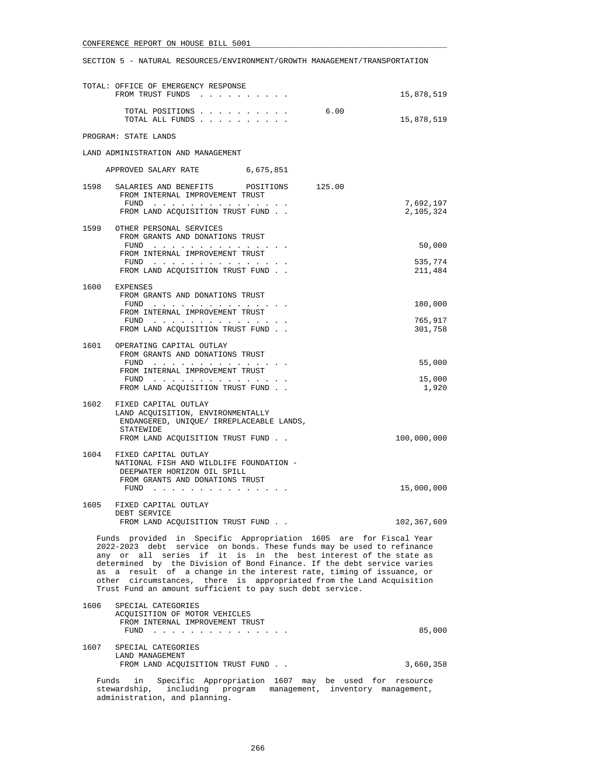SECTION 5 - NATURAL RESOURCES/ENVIRONMENT/GROWTH MANAGEMENT/TRANSPORTATION

|       | TOTAL: OFFICE OF EMERGENCY RESPONSE<br>FROM TRUST FUNDS                                                                                                                                                                                                                                                                                                                                                                                                                                              | 15,878,519             |
|-------|------------------------------------------------------------------------------------------------------------------------------------------------------------------------------------------------------------------------------------------------------------------------------------------------------------------------------------------------------------------------------------------------------------------------------------------------------------------------------------------------------|------------------------|
|       | 6.00<br>TOTAL POSITIONS<br>TOTAL ALL FUNDS                                                                                                                                                                                                                                                                                                                                                                                                                                                           | 15,878,519             |
|       | PROGRAM: STATE LANDS                                                                                                                                                                                                                                                                                                                                                                                                                                                                                 |                        |
|       | LAND ADMINISTRATION AND MANAGEMENT                                                                                                                                                                                                                                                                                                                                                                                                                                                                   |                        |
|       | APPROVED SALARY RATE<br>6,675,851                                                                                                                                                                                                                                                                                                                                                                                                                                                                    |                        |
|       | 1598 SALARIES AND BENEFITS POSITIONS<br>125.00<br>FROM INTERNAL IMPROVEMENT TRUST                                                                                                                                                                                                                                                                                                                                                                                                                    |                        |
|       | FUND<br>FROM LAND ACQUISITION TRUST FUND                                                                                                                                                                                                                                                                                                                                                                                                                                                             | 7,692,197<br>2,105,324 |
|       | 1599 OTHER PERSONAL SERVICES<br>FROM GRANTS AND DONATIONS TRUST                                                                                                                                                                                                                                                                                                                                                                                                                                      |                        |
|       | FUND<br>FROM INTERNAL IMPROVEMENT TRUST                                                                                                                                                                                                                                                                                                                                                                                                                                                              | 50,000                 |
|       | FUND<br>FROM LAND ACQUISITION TRUST FUND                                                                                                                                                                                                                                                                                                                                                                                                                                                             | 535,774<br>211,484     |
|       | 1600 EXPENSES<br>FROM GRANTS AND DONATIONS TRUST                                                                                                                                                                                                                                                                                                                                                                                                                                                     |                        |
|       | FUND $\cdots$<br>FROM INTERNAL IMPROVEMENT TRUST                                                                                                                                                                                                                                                                                                                                                                                                                                                     | 180,000                |
|       | $FUND$<br>FROM LAND ACQUISITION TRUST FUND.                                                                                                                                                                                                                                                                                                                                                                                                                                                          | 765,917<br>301,758     |
|       | 1601 OPERATING CAPITAL OUTLAY                                                                                                                                                                                                                                                                                                                                                                                                                                                                        |                        |
|       | FROM GRANTS AND DONATIONS TRUST<br>FUND                                                                                                                                                                                                                                                                                                                                                                                                                                                              | 55,000                 |
|       | FROM INTERNAL IMPROVEMENT TRUST<br>FUND $\cdots$                                                                                                                                                                                                                                                                                                                                                                                                                                                     | 15,000                 |
|       | FROM LAND ACQUISITION TRUST FUND.                                                                                                                                                                                                                                                                                                                                                                                                                                                                    | 1,920                  |
| 1602  | FIXED CAPITAL OUTLAY<br>LAND ACQUISITION, ENVIRONMENTALLY<br>ENDANGERED, UNIQUE/ IRREPLACEABLE LANDS,<br>STATEWIDE<br>FROM LAND ACQUISITION TRUST FUND.                                                                                                                                                                                                                                                                                                                                              | 100,000,000            |
|       | 1604 FIXED CAPITAL OUTLAY                                                                                                                                                                                                                                                                                                                                                                                                                                                                            |                        |
|       | NATIONAL FISH AND WILDLIFE FOUNDATION -<br>DEEPWATER HORIZON OIL SPILL<br>FROM GRANTS AND DONATIONS TRUST                                                                                                                                                                                                                                                                                                                                                                                            |                        |
|       | FUND $\cdots$                                                                                                                                                                                                                                                                                                                                                                                                                                                                                        | 15,000,000             |
|       | 1605 FIXED CAPITAL OUTLAY<br>DEBT SERVICE                                                                                                                                                                                                                                                                                                                                                                                                                                                            |                        |
|       | FROM LAND ACQUISITION TRUST FUND.                                                                                                                                                                                                                                                                                                                                                                                                                                                                    | 102,367,609            |
|       | Funds provided in Specific Appropriation 1605 are for Fiscal Year<br>2022-2023 debt service on bonds. These funds may be used to refinance<br>any or all series if it is in the best interest of the state as<br>determined by the Division of Bond Finance. If the debt service varies<br>as a result of a change in the interest rate, timing of issuance, or<br>other circumstances, there is appropriated from the Land Acquisition<br>Trust Fund an amount sufficient to pay such debt service. |                        |
| 1606  | SPECIAL CATEGORIES<br>ACQUISITION OF MOTOR VEHICLES                                                                                                                                                                                                                                                                                                                                                                                                                                                  |                        |
|       | FROM INTERNAL IMPROVEMENT TRUST<br>FUND $\cdots$ , $\cdots$ , $\cdots$ , $\cdots$                                                                                                                                                                                                                                                                                                                                                                                                                    | 85,000                 |
| 1607  | SPECIAL CATEGORIES                                                                                                                                                                                                                                                                                                                                                                                                                                                                                   |                        |
|       | LAND MANAGEMENT<br>FROM LAND ACQUISITION TRUST FUND                                                                                                                                                                                                                                                                                                                                                                                                                                                  | 3,660,358              |
| Funds | Specific Appropriation 1607 may be used for resource<br>in<br>stewardship, including program management, inventory management,                                                                                                                                                                                                                                                                                                                                                                       |                        |

administration, and planning.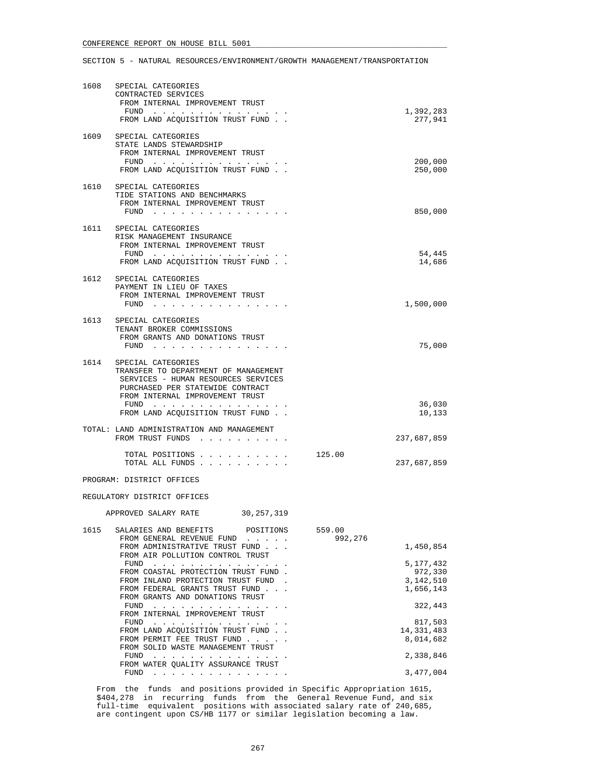| 1608 | SPECIAL CATEGORIES<br>CONTRACTED SERVICES<br>FROM INTERNAL IMPROVEMENT TRUST<br>FUND<br>FROM LAND ACQUISITION TRUST FUND.                                                                                                           |                   | 1,392,283<br>277,941                           |
|------|-------------------------------------------------------------------------------------------------------------------------------------------------------------------------------------------------------------------------------------|-------------------|------------------------------------------------|
| 1609 | SPECIAL CATEGORIES<br>STATE LANDS STEWARDSHIP<br>FROM INTERNAL IMPROVEMENT TRUST<br>FUND<br>FROM LAND ACQUISITION TRUST FUND.                                                                                                       |                   | 200,000<br>250,000                             |
|      | 1610 SPECIAL CATEGORIES<br>TIDE STATIONS AND BENCHMARKS<br>FROM INTERNAL IMPROVEMENT TRUST<br>FUND                                                                                                                                  |                   | 850,000                                        |
|      | 1611 SPECIAL CATEGORIES<br>RISK MANAGEMENT INSURANCE<br>FROM INTERNAL IMPROVEMENT TRUST<br>FUND $\cdots$<br>FROM LAND ACQUISITION TRUST FUND.                                                                                       |                   | 54,445<br>14,686                               |
| 1612 | SPECIAL CATEGORIES<br>PAYMENT IN LIEU OF TAXES<br>FROM INTERNAL IMPROVEMENT TRUST<br>FUND                                                                                                                                           |                   | 1,500,000                                      |
|      | 1613 SPECIAL CATEGORIES<br>TENANT BROKER COMMISSIONS<br>FROM GRANTS AND DONATIONS TRUST<br>$FUND$                                                                                                                                   |                   | 75,000                                         |
|      | 1614 SPECIAL CATEGORIES<br>TRANSFER TO DEPARTMENT OF MANAGEMENT<br>SERVICES - HUMAN RESOURCES SERVICES<br>PURCHASED PER STATEWIDE CONTRACT<br>FROM INTERNAL IMPROVEMENT TRUST<br>FUND $\cdots$<br>FROM LAND ACQUISITION TRUST FUND. |                   | 36,030<br>10,133                               |
|      | TOTAL: LAND ADMINISTRATION AND MANAGEMENT<br>FROM TRUST FUNDS                                                                                                                                                                       |                   | 237,687,859                                    |
|      | TOTAL POSITIONS<br>TOTAL ALL FUNDS                                                                                                                                                                                                  | 125.00            | 237,687,859                                    |
|      | PROGRAM: DISTRICT OFFICES                                                                                                                                                                                                           |                   |                                                |
|      | REGULATORY DISTRICT OFFICES                                                                                                                                                                                                         |                   |                                                |
|      | 30,257,319<br>APPROVED SALARY RATE                                                                                                                                                                                                  |                   |                                                |
| 1615 | SALARIES AND BENEFITS POSITIONS<br>FROM GENERAL REVENUE FUND<br>FROM ADMINISTRATIVE TRUST FUND<br>FROM AIR POLLUTION CONTROL TRUST                                                                                                  | 559.00<br>992,276 | 1,450,854                                      |
|      | FUND<br>FROM COASTAL PROTECTION TRUST FUND.<br>FROM INLAND PROTECTION TRUST FUND<br>FROM FEDERAL GRANTS TRUST FUND<br>FROM GRANTS AND DONATIONS TRUST                                                                               |                   | 5,177,432<br>972,330<br>3,142,510<br>1,656,143 |
|      | FUND<br>FROM INTERNAL IMPROVEMENT TRUST                                                                                                                                                                                             |                   | 322,443                                        |
|      | $FUND$<br>FROM LAND ACQUISITION TRUST FUND.<br>FROM PERMIT FEE TRUST FUND<br>FROM SOLID WASTE MANAGEMENT TRUST                                                                                                                      |                   | 817,503<br>14, 331, 483<br>8,014,682           |
|      | the contract of the contract of the contract of the contract of the contract of the contract of the contract of<br>FUND<br>FROM WATER QUALITY ASSURANCE TRUST                                                                       |                   | 2,338,846                                      |
|      | $FUND$                                                                                                                                                                                                                              |                   | 3,477,004                                      |

 From the funds and positions provided in Specific Appropriation 1615, \$404,278 in recurring funds from the General Revenue Fund, and six full-time equivalent positions with associated salary rate of 240,685, are contingent upon CS/HB 1177 or similar legislation becoming a law.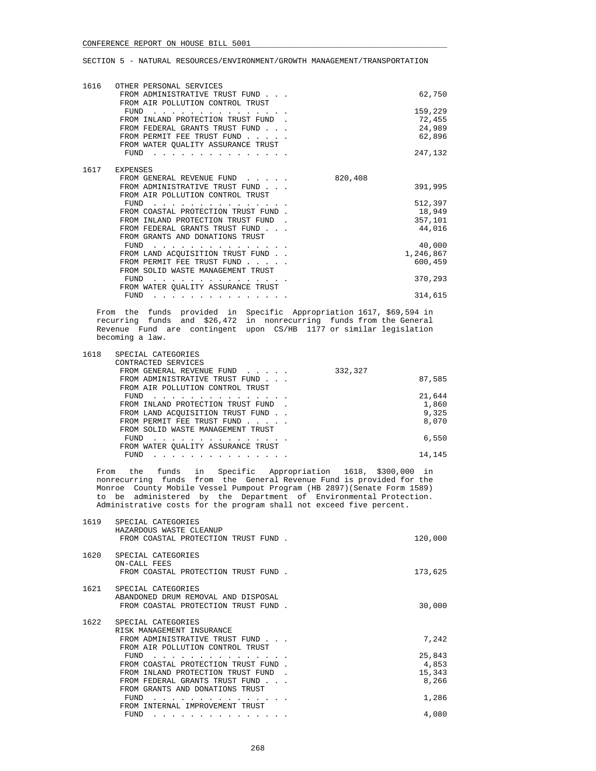| 1616 | OTHER PERSONAL SERVICES                                            |         |           |
|------|--------------------------------------------------------------------|---------|-----------|
|      | FROM ADMINISTRATIVE TRUST FUND<br>FROM AIR POLLUTION CONTROL TRUST |         | 62,750    |
|      | FUND                                                               |         | 159,229   |
|      | FROM INLAND PROTECTION TRUST FUND                                  |         | 72,455    |
|      | FROM FEDERAL GRANTS TRUST FUND.                                    |         | 24,989    |
|      | FROM PERMIT FEE TRUST FUND                                         |         | 62,896    |
|      | FROM WATER QUALITY ASSURANCE TRUST                                 |         |           |
|      | FUND                                                               |         | 247,132   |
|      |                                                                    |         |           |
| 1617 | <b>EXPENSES</b>                                                    |         |           |
|      | FROM GENERAL REVENUE FUND                                          | 820,408 |           |
|      | FROM ADMINISTRATIVE TRUST FUND.                                    |         | 391,995   |
|      | FROM AIR POLLUTION CONTROL TRUST                                   |         |           |
|      | FUND                                                               |         | 512,397   |
|      | FROM COASTAL PROTECTION TRUST FUND.                                |         | 18,949    |
|      | FROM INLAND PROTECTION TRUST FUND                                  |         | 357,101   |
|      | FROM FEDERAL GRANTS TRUST FUND                                     |         | 44,016    |
|      | FROM GRANTS AND DONATIONS TRUST                                    |         |           |
|      | FUND                                                               |         | 40,000    |
|      | FROM LAND ACQUISITION TRUST FUND.                                  |         | 1,246,867 |
|      | FROM PERMIT FEE TRUST FUND                                         |         | 600,459   |
|      | FROM SOLID WASTE MANAGEMENT TRUST                                  |         |           |
|      | FUND                                                               |         | 370,293   |
|      | FROM WATER OUALITY ASSURANCE TRUST                                 |         |           |
|      | FUND                                                               |         | 314,615   |

 From the funds provided in Specific Appropriation 1617, \$69,594 in recurring funds and \$26,472 in nonrecurring funds from the General Revenue Fund are contingent upon CS/HB 1177 or similar legislation becoming a law.

| 1618 | SPECIAL CATEGORIES                 |         |        |
|------|------------------------------------|---------|--------|
|      | CONTRACTED SERVICES                |         |        |
|      | FROM GENERAL REVENUE FUND          | 332,327 |        |
|      | FROM ADMINISTRATIVE TRUST FUND     |         | 87,585 |
|      | FROM AIR POLLUTION CONTROL TRUST   |         |        |
|      | FUND                               |         | 21,644 |
|      | FROM INLAND PROTECTION TRUST FUND. |         | 1,860  |
|      | FROM LAND ACQUISITION TRUST FUND   |         | 9,325  |
|      | FROM PERMIT FEE TRUST FUND         |         | 8,070  |
|      | FROM SOLID WASTE MANAGEMENT TRUST  |         |        |
|      | FUND                               |         | 6,550  |
|      | FROM WATER OUALITY ASSURANCE TRUST |         |        |
|      | <b>FUND</b><br>.                   |         | 14,145 |

 From the funds in Specific Appropriation 1618, \$300,000 in nonrecurring funds from the General Revenue Fund is provided for the Monroe County Mobile Vessel Pumpout Program (HB 2897)(Senate Form 1589) to be administered by the Department of Environmental Protection. Administrative costs for the program shall not exceed five percent.

| 1619 | SPECIAL CATEGORIES<br>HAZARDOUS WASTE CLEANUP<br>FROM COASTAL PROTECTION TRUST FUND.                                  | 120,000                   |
|------|-----------------------------------------------------------------------------------------------------------------------|---------------------------|
| 1620 | SPECIAL CATEGORIES<br>ON-CALL FEES<br>FROM COASTAL PROTECTION TRUST FUND.                                             | 173,625                   |
| 1621 | SPECIAL CATEGORIES<br>ABANDONED DRUM REMOVAL AND DISPOSAL<br>FROM COASTAL PROTECTION TRUST FUND.                      | 30,000                    |
| 1622 | SPECIAL CATEGORIES<br>RISK MANAGEMENT INSURANCE<br>FROM ADMINISTRATIVE TRUST FUND<br>FROM AIR POLLUTION CONTROL TRUST | 7,242                     |
|      | FUND<br>FROM COASTAL PROTECTION TRUST FUND.<br>FROM INLAND PROTECTION TRUST FUND                                      | 25,843<br>4,853<br>15,343 |
|      | FROM FEDERAL GRANTS TRUST FUND<br>FROM GRANTS AND DONATIONS TRUST                                                     | 8,266                     |
|      | FUND<br>FROM INTERNAL IMPROVEMENT TRUST                                                                               | 1,286                     |
|      | FUND                                                                                                                  | 4,080                     |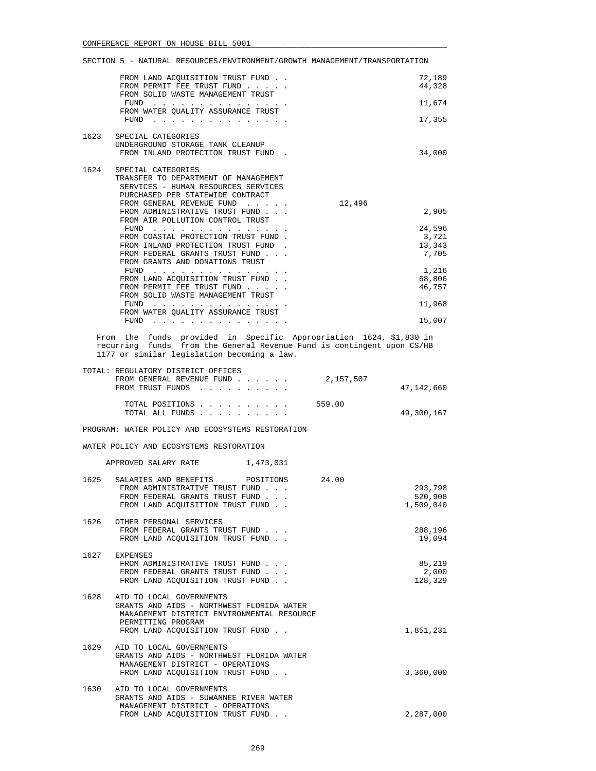|      | SECTION 5 - NATURAL RESOURCES/ENVIRONMENT/GROWTH MANAGEMENT/TRANSPORTATION                                                                                                                  |           |                                    |
|------|---------------------------------------------------------------------------------------------------------------------------------------------------------------------------------------------|-----------|------------------------------------|
|      | FROM LAND ACQUISITION TRUST FUND.<br>FROM PERMIT FEE TRUST FUND<br>FROM SOLID WASTE MANAGEMENT TRUST<br>FUND                                                                                |           | 72,189<br>44,328<br>11,674         |
|      | FROM WATER QUALITY ASSURANCE TRUST                                                                                                                                                          |           |                                    |
|      | FUND $\cdots$                                                                                                                                                                               |           | 17,355                             |
| 1623 | SPECIAL CATEGORIES<br>UNDERGROUND STORAGE TANK CLEANUP<br>FROM INLAND PROTECTION TRUST FUND.                                                                                                |           | 34,000                             |
| 1624 | SPECIAL CATEGORIES<br>TRANSFER TO DEPARTMENT OF MANAGEMENT<br>SERVICES - HUMAN RESOURCES SERVICES<br>PURCHASED PER STATEWIDE CONTRACT<br>FROM GENERAL REVENUE FUND                          | 12,496    |                                    |
|      | FROM ADMINISTRATIVE TRUST FUND<br>FROM AIR POLLUTION CONTROL TRUST                                                                                                                          |           | 2,905                              |
|      | FUND $\cdots$<br>FROM COASTAL PROTECTION TRUST FUND.<br>FROM INLAND PROTECTION TRUST FUND.<br>FROM FEDERAL GRANTS TRUST FUND                                                                |           | 24,596<br>3,721<br>13,343<br>7,705 |
|      | FROM GRANTS AND DONATIONS TRUST<br>FUND $\cdots$<br>FROM LAND ACQUISITION TRUST FUND<br>FROM PERMIT FEE TRUST FUND<br>FROM SOLID WASTE MANAGEMENT TRUST                                     |           | 1,216<br>68,806<br>46,757          |
|      | FUND                                                                                                                                                                                        |           | 11,968                             |
|      | FROM WATER QUALITY ASSURANCE TRUST<br>${\tt FUND} \quad . \quad . \quad . \quad . \quad . \quad . \quad . \quad . \quad . \quad . \quad . \quad . \quad .$                                  |           | 15,007                             |
|      | From the funds provided in Specific Appropriation 1624, \$1,830 in<br>recurring funds from the General Revenue Fund is contingent upon CS/HB<br>1177 or similar legislation becoming a law. |           |                                    |
|      | TOTAL: REGULATORY DISTRICT OFFICES<br>FROM GENERAL REVENUE FUND<br>FROM TRUST FUNDS                                                                                                         | 2,157,507 | 47,142,660                         |
|      | TOTAL POSITIONS<br>TOTAL ALL FUNDS                                                                                                                                                          | 559.00    | 49,300,167                         |
|      | PROGRAM: WATER POLICY AND ECOSYSTEMS RESTORATION                                                                                                                                            |           |                                    |
|      | WATER POLICY AND ECOSYSTEMS RESTORATION                                                                                                                                                     |           |                                    |
|      | APPROVED SALARY RATE 1,473,031                                                                                                                                                              |           |                                    |
| 1625 | SALARIES AND BENEFITS<br>POSITIONS<br>FROM ADMINISTRATIVE TRUST FUND<br>FROM FEDERAL GRANTS TRUST FUND.<br>FROM LAND ACQUISITION TRUST FUND                                                 | 24.00     | 293,798<br>520,908<br>1,509,040    |
| 1626 | OTHER PERSONAL SERVICES<br>FROM FEDERAL GRANTS TRUST FUND<br>FROM LAND ACQUISITION TRUST FUND                                                                                               |           | 288,196<br>19,094                  |
| 1627 | EXPENSES<br>FROM ADMINISTRATIVE TRUST FUND<br>FROM FEDERAL GRANTS TRUST FUND<br>FROM LAND ACQUISITION TRUST FUND                                                                            |           | 85,219<br>2,000<br>128,329         |
|      |                                                                                                                                                                                             |           |                                    |

|      | GRANTS AND AIDS - NORTHWEST FLORIDA WATER<br>MANAGEMENT DISTRICT ENVIRONMENTAL RESOURCE                                                       |           |
|------|-----------------------------------------------------------------------------------------------------------------------------------------------|-----------|
|      | PERMITTING PROGRAM                                                                                                                            |           |
|      | FROM LAND ACOUISITION TRUST FUND.                                                                                                             | 1,851,231 |
| 1629 | AID TO LOCAL GOVERNMENTS<br>GRANTS AND AIDS - NORTHWEST FLORIDA WATER<br>MANAGEMENT DISTRICT - OPERATIONS<br>FROM LAND ACOUISITION TRUST FUND | 3,360,000 |
|      |                                                                                                                                               |           |
| 1630 | AID TO LOCAL GOVERNMENTS                                                                                                                      |           |
|      | GRANTS AND AIDS - SUWANNEE RIVER WATER                                                                                                        |           |
|      | MANAGEMENT DISTRICT - OPERATIONS                                                                                                              |           |
|      | FROM LAND ACOUISITION TRUST FUND.                                                                                                             | 2,287,000 |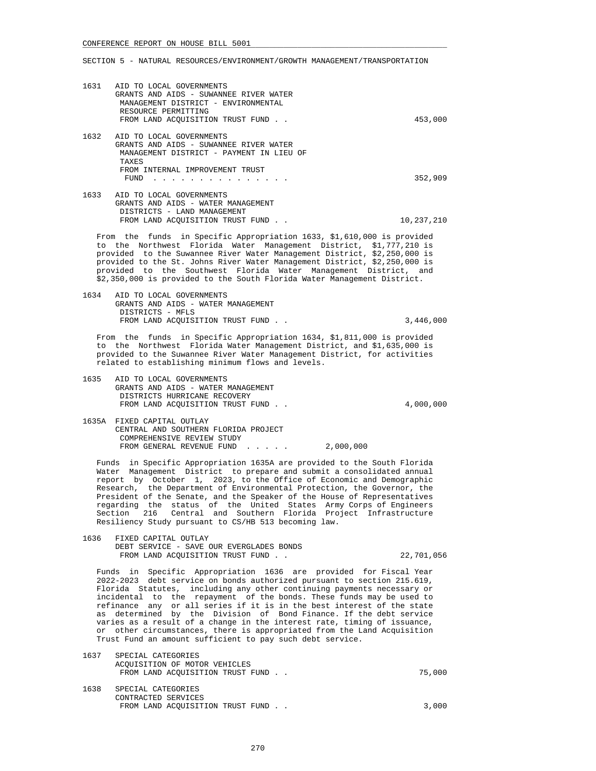1631 AID TO LOCAL GOVERNMENTS GRANTS AND AIDS - SUWANNEE RIVER WATER MANAGEMENT DISTRICT - ENVIRONMENTAL RESOURCE PERMITTING FROM LAND ACQUISITION TRUST FUND . . 453,000 1632 AID TO LOCAL GOVERNMENTS GRANTS AND AIDS - SUWANNEE RIVER WATER MANAGEMENT DISTRICT - PAYMENT IN LIEU OF TAXES FROM INTERNAL IMPROVEMENT TRUST FUND . . . . . . . . . . . . . . . 352,909 1633 AID TO LOCAL GOVERNMENTS GRANTS AND AIDS - WATER MANAGEMENT DISTRICTS - LAND MANAGEMENT FROM LAND ACQUISITION TRUST FUND . . 10,237,210

 From the funds in Specific Appropriation 1633, \$1,610,000 is provided to the Northwest Florida Water Management District, \$1,777,210 is provided to the Suwannee River Water Management District, \$2,250,000 is provided to the St. Johns River Water Management District, \$2,250,000 is provided to the Southwest Florida Water Management District, and \$2,350,000 is provided to the South Florida Water Management District.

 1634 AID TO LOCAL GOVERNMENTS GRANTS AND AIDS - WATER MANAGEMENT DISTRICTS - MFLS FROM LAND ACOUISITION TRUST FUND . . 3,446,000

 From the funds in Specific Appropriation 1634, \$1,811,000 is provided to the Northwest Florida Water Management District, and \$1,635,000 is provided to the Suwannee River Water Management District, for activities related to establishing minimum flows and levels.

- 1635 AID TO LOCAL GOVERNMENTS GRANTS AND AIDS - WATER MANAGEMENT DISTRICTS HURRICANE RECOVERY FROM LAND ACOUISITION TRUST FUND . . 4,000,000
- 1635A FIXED CAPITAL OUTLAY CENTRAL AND SOUTHERN FLORIDA PROJECT COMPREHENSIVE REVIEW STUDY FROM GENERAL REVENUE FUND . . . . . 2,000,000

 Funds in Specific Appropriation 1635A are provided to the South Florida Water Management District to prepare and submit a consolidated annual report by October 1, 2023, to the Office of Economic and Demographic Research, the Department of Environmental Protection, the Governor, the President of the Senate, and the Speaker of the House of Representatives regarding the status of the United States Army Corps of Engineers Section 216 Central and Southern Florida Project Infrastructure Resiliency Study pursuant to CS/HB 513 becoming law.

 1636 FIXED CAPITAL OUTLAY DEBT SERVICE - SAVE OUR EVERGLADES BONDS FROM LAND ACQUISITION TRUST FUND . . 22,701,056

 Funds in Specific Appropriation 1636 are provided for Fiscal Year 2022-2023 debt service on bonds authorized pursuant to section 215.619, Florida Statutes, including any other continuing payments necessary or incidental to the repayment of the bonds. These funds may be used to refinance any or all series if it is in the best interest of the state as determined by the Division of Bond Finance. If the debt service varies as a result of a change in the interest rate, timing of issuance, or other circumstances, there is appropriated from the Land Acquisition Trust Fund an amount sufficient to pay such debt service.

| 1637 | SPECIAL CATEGORIES<br>ACOUISITION OF MOTOR VEHICLES<br>FROM LAND ACOUISITION TRUST FUND. | 75,000 |
|------|------------------------------------------------------------------------------------------|--------|
| 1638 | SPECIAL CATEGORIES<br>CONTRACTED SERVICES<br>FROM LAND ACOUISITION TRUST FUND.           | 3,000  |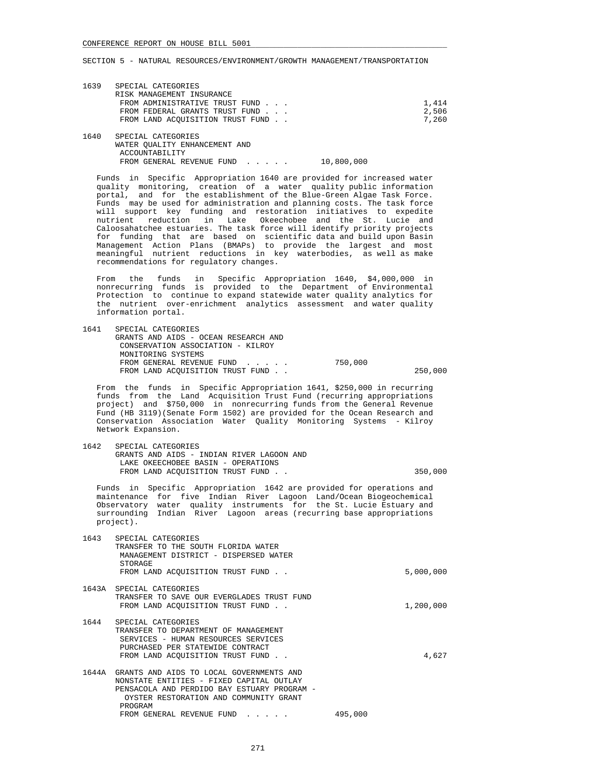| 1639 | SPECIAL CATEGORIES<br>RISK MANAGEMENT INSURANCE |            |       |
|------|-------------------------------------------------|------------|-------|
|      | FROM ADMINISTRATIVE TRUST FUND                  |            | 1,414 |
|      | FROM FEDERAL GRANTS TRUST FUND                  |            | 2,506 |
|      | FROM LAND ACOUISITION TRUST FUND.               |            | 7,260 |
| 1640 | SPECIAL CATEGORIES                              |            |       |
|      | WATER OUALITY ENHANCEMENT AND                   |            |       |
|      | ACCOUNTABILITY                                  |            |       |
|      | FROM GENERAL REVENUE FUND                       | 10.800.000 |       |

 Funds in Specific Appropriation 1640 are provided for increased water quality monitoring, creation of a water quality public information portal, and for the establishment of the Blue-Green Algae Task Force. Funds may be used for administration and planning costs. The task force will support key funding and restoration initiatives to expedite nutrient reduction in Lake Okeechobee and the St. Lucie and Caloosahatchee estuaries. The task force will identify priority projects for funding that are based on scientific data and build upon Basin Management Action Plans (BMAPs) to provide the largest and most meaningful nutrient reductions in key waterbodies, as well as make recommendations for regulatory changes.

 From the funds in Specific Appropriation 1640, \$4,000,000 in nonrecurring funds is provided to the Department of Environmental Protection to continue to expand statewide water quality analytics for the nutrient over-enrichment analytics assessment and water quality information portal.

| 1641 SPECIAL CATEGORIES              |         |         |
|--------------------------------------|---------|---------|
| GRANTS AND AIDS - OCEAN RESEARCH AND |         |         |
| CONSERVATION ASSOCIATION - KILROY    |         |         |
| MONITORING SYSTEMS                   |         |         |
| FROM GENERAL REVENUE FUND            | 750,000 |         |
| FROM LAND ACOUISITION TRUST FUND     |         | 250,000 |

 From the funds in Specific Appropriation 1641, \$250,000 in recurring funds from the Land Acquisition Trust Fund (recurring appropriations project) and \$750,000 in nonrecurring funds from the General Revenue Fund (HB 3119)(Senate Form 1502) are provided for the Ocean Research and Conservation Association Water Quality Monitoring Systems - Kilroy Network Expansion.

| 1642 | SPECIAL CATEGORIES                        |         |
|------|-------------------------------------------|---------|
|      | GRANTS AND AIDS - INDIAN RIVER LAGOON AND |         |
|      | LAKE OKEECHOBEE BASIN - OPERATIONS        |         |
|      | FROM LAND ACOUISITION TRUST FUND.         | 350,000 |

 Funds in Specific Appropriation 1642 are provided for operations and maintenance for five Indian River Lagoon Land/Ocean Biogeochemical Observatory water quality instruments for the St. Lucie Estuary and surrounding Indian River Lagoon areas (recurring base appropriations project).

| 1643 | SPECIAL CATEGORIES<br>TRANSFER TO THE SOUTH FLORIDA WATER<br>MANAGEMENT DISTRICT - DISPERSED WATER<br>STORAGE                                                                                                                    |         |           |
|------|----------------------------------------------------------------------------------------------------------------------------------------------------------------------------------------------------------------------------------|---------|-----------|
|      | FROM LAND ACOUISITION TRUST FUND.                                                                                                                                                                                                |         | 5,000,000 |
|      | 1643A SPECIAL CATEGORIES<br>TRANSFER TO SAVE OUR EVERGLADES TRUST FUND                                                                                                                                                           |         |           |
|      | FROM LAND ACOUISITION TRUST FUND.                                                                                                                                                                                                |         | 1,200,000 |
| 1644 | SPECIAL CATEGORIES<br>TRANSFER TO DEPARTMENT OF MANAGEMENT<br>SERVICES - HUMAN RESOURCES SERVICES<br>PURCHASED PER STATEWIDE CONTRACT<br>FROM LAND ACOUISITION TRUST FUND.                                                       |         | 4,627     |
|      | 1644A GRANTS AND AIDS TO LOCAL GOVERNMENTS AND<br>NONSTATE ENTITIES - FIXED CAPITAL OUTLAY<br>PENSACOLA AND PERDIDO BAY ESTUARY PROGRAM -<br>OYSTER RESTORATION AND COMMUNITY GRANT<br>PROGRAM<br>FROM GENERAL REVENUE FUND<br>. | 495,000 |           |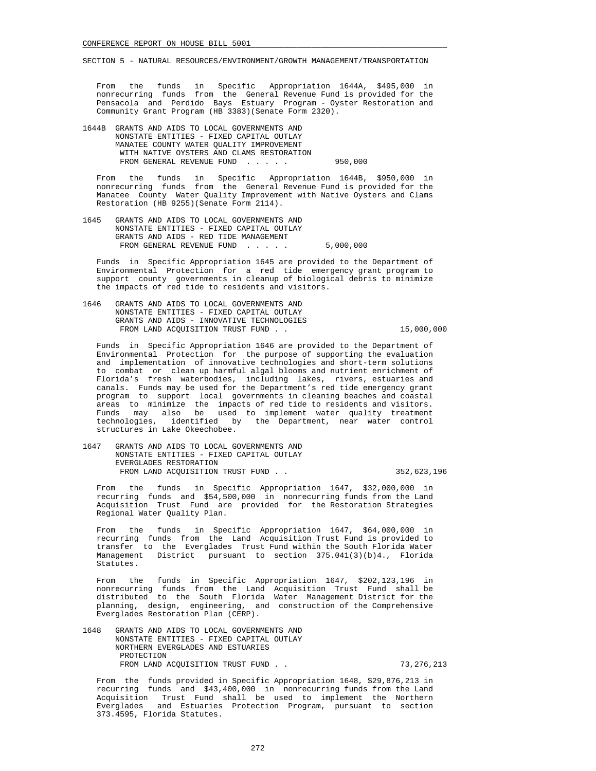From the funds in Specific Appropriation 1644A, \$495,000 in nonrecurring funds from the General Revenue Fund is provided for the Pensacola and Perdido Bays Estuary Program - Oyster Restoration and Community Grant Program (HB 3383)(Senate Form 2320).

 1644B GRANTS AND AIDS TO LOCAL GOVERNMENTS AND NONSTATE ENTITIES - FIXED CAPITAL OUTLAY MANATEE COUNTY WATER QUALITY IMPROVEMENT WITH NATIVE OYSTERS AND CLAMS RESTORATION FROM GENERAL REVENUE FUND . . . . . 950,000

 From the funds in Specific Appropriation 1644B, \$950,000 in nonrecurring funds from the General Revenue Fund is provided for the Manatee County Water Quality Improvement with Native Oysters and Clams Restoration (HB 9255)(Senate Form 2114).

 1645 GRANTS AND AIDS TO LOCAL GOVERNMENTS AND NONSTATE ENTITIES - FIXED CAPITAL OUTLAY GRANTS AND AIDS - RED TIDE MANAGEMENT FROM GENERAL REVENUE FUND . . . . . 5,000,000

 Funds in Specific Appropriation 1645 are provided to the Department of Environmental Protection for a red tide emergency grant program to support county governments in cleanup of biological debris to minimize the impacts of red tide to residents and visitors.

 1646 GRANTS AND AIDS TO LOCAL GOVERNMENTS AND NONSTATE ENTITIES - FIXED CAPITAL OUTLAY GRANTS AND AIDS - INNOVATIVE TECHNOLOGIES FROM LAND ACQUISITION TRUST FUND . . 15,000,000

 Funds in Specific Appropriation 1646 are provided to the Department of Environmental Protection for the purpose of supporting the evaluation and implementation of innovative technologies and short-term solutions to combat or clean up harmful algal blooms and nutrient enrichment of Florida's fresh waterbodies, including lakes, rivers, estuaries and canals. Funds may be used for the Department's red tide emergency grant program to support local governments in cleaning beaches and coastal areas to minimize the impacts of red tide to residents and visitors. Funds may also be used to implement water quality treatment technologies, identified by the Department, near water control structures in Lake Okeechobee.

 1647 GRANTS AND AIDS TO LOCAL GOVERNMENTS AND NONSTATE ENTITIES - FIXED CAPITAL OUTLAY EVERGLADES RESTORATION FROM LAND ACQUISITION TRUST FUND . . 352,623,196

 From the funds in Specific Appropriation 1647, \$32,000,000 in recurring funds and \$54,500,000 in nonrecurring funds from the Land Acquisition Trust Fund are provided for the Restoration Strategies Regional Water Quality Plan.

 From the funds in Specific Appropriation 1647, \$64,000,000 in recurring funds from the Land Acquisition Trust Fund is provided to transfer to the Everglades Trust Fund within the South Florida Water Management District pursuant to section 375.041(3)(b)4., Florida Statutes.

 From the funds in Specific Appropriation 1647, \$202,123,196 in nonrecurring funds from the Land Acquisition Trust Fund shall be distributed to the South Florida Water Management District for the planning, design, engineering, and construction of the Comprehensive Everglades Restoration Plan (CERP).

 1648 GRANTS AND AIDS TO LOCAL GOVERNMENTS AND NONSTATE ENTITIES - FIXED CAPITAL OUTLAY NORTHERN EVERGLADES AND ESTUARIES PROTECTION FROM LAND ACQUISITION TRUST FUND . . 73,276,213

 From the funds provided in Specific Appropriation 1648, \$29,876,213 in recurring funds and \$43,400,000 in nonrecurring funds from the Land Acquisition Trust Fund shall be used to implement the Northern Everglades and Estuaries Protection Program, pursuant to section 373.4595, Florida Statutes.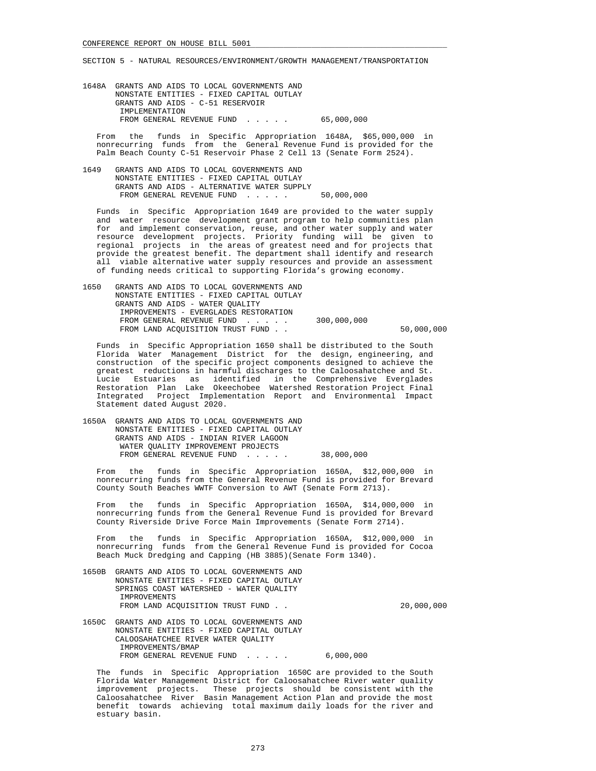1648A GRANTS AND AIDS TO LOCAL GOVERNMENTS AND NONSTATE ENTITIES - FIXED CAPITAL OUTLAY GRANTS AND AIDS - C-51 RESERVOIR IMPLEMENTATION FROM GENERAL REVENUE FUND . . . . . 65,000,000

 From the funds in Specific Appropriation 1648A, \$65,000,000 in nonrecurring funds from the General Revenue Fund is provided for the Palm Beach County C-51 Reservoir Phase 2 Cell 13 (Senate Form 2524).

 1649 GRANTS AND AIDS TO LOCAL GOVERNMENTS AND NONSTATE ENTITIES - FIXED CAPITAL OUTLAY GRANTS AND AIDS - ALTERNATIVE WATER SUPPLY FROM GENERAL REVENUE FUND . . . . . 50,000,000

 Funds in Specific Appropriation 1649 are provided to the water supply and water resource development grant program to help communities plan for and implement conservation, reuse, and other water supply and water resource development projects. Priority funding will be given to regional projects in the areas of greatest need and for projects that provide the greatest benefit. The department shall identify and research all viable alternative water supply resources and provide an assessment of funding needs critical to supporting Florida's growing economy.

| 1650<br>GRANTS AND AIDS TO LOCAL GOVERNMENTS AND |            |
|--------------------------------------------------|------------|
| NONSTATE ENTITIES - FIXED CAPITAL OUTLAY         |            |
| GRANTS AND AIDS - WATER OUALITY                  |            |
| IMPROVEMENTS - EVERGLADES RESTORATION            |            |
| 300,000,000<br>FROM GENERAL REVENUE FUND         |            |
| FROM LAND ACOUISITION TRUST FUND                 | 50,000,000 |

 Funds in Specific Appropriation 1650 shall be distributed to the South Florida Water Management District for the design, engineering, and construction of the specific project components designed to achieve the greatest reductions in harmful discharges to the Caloosahatchee and St. Lucie Estuaries as identified in the Comprehensive Everglades Restoration Plan Lake Okeechobee Watershed Restoration Project Final Integrated Project Implementation Report and Environmental Impact Statement dated August 2020.

 1650A GRANTS AND AIDS TO LOCAL GOVERNMENTS AND NONSTATE ENTITIES - FIXED CAPITAL OUTLAY GRANTS AND AIDS - INDIAN RIVER LAGOON WATER QUALITY IMPROVEMENT PROJECTS FROM GENERAL REVENUE FUND . . . . . 38,000,000

 From the funds in Specific Appropriation 1650A, \$12,000,000 in nonrecurring funds from the General Revenue Fund is provided for Brevard County South Beaches WWTF Conversion to AWT (Senate Form 2713).

 From the funds in Specific Appropriation 1650A, \$14,000,000 in nonrecurring funds from the General Revenue Fund is provided for Brevard County Riverside Drive Force Main Improvements (Senate Form 2714).

 From the funds in Specific Appropriation 1650A, \$12,000,000 in nonrecurring funds from the General Revenue Fund is provided for Cocoa Beach Muck Dredging and Capping (HB 3885)(Senate Form 1340).

- 1650B GRANTS AND AIDS TO LOCAL GOVERNMENTS AND NONSTATE ENTITIES - FIXED CAPITAL OUTLAY SPRINGS COAST WATERSHED - WATER QUALITY IMPROVEMENTS FROM LAND ACQUISITION TRUST FUND . . 20,000,000
- 1650C GRANTS AND AIDS TO LOCAL GOVERNMENTS AND NONSTATE ENTITIES - FIXED CAPITAL OUTLAY CALOOSAHATCHEE RIVER WATER QUALITY IMPROVEMENTS/BMAP FROM GENERAL REVENUE FUND . . . . . 6,000,000

 The funds in Specific Appropriation 1650C are provided to the South Florida Water Management District for Caloosahatchee River water quality improvement projects. These projects should be consistent with the Caloosahatchee River Basin Management Action Plan and provide the most benefit towards achieving total maximum daily loads for the river and estuary basin.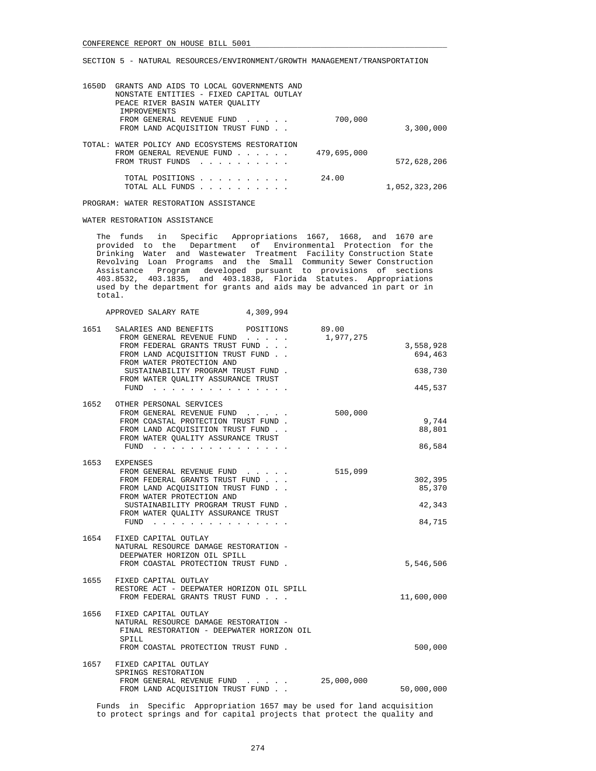|               |             | GRANTS AND AIDS TO LOCAL GOVERNMENTS AND<br>NONSTATE ENTITIES - FIXED CAPITAL OUTLAY<br>PEACE RIVER BASIN WATER OUALITY | 1650D |
|---------------|-------------|-------------------------------------------------------------------------------------------------------------------------|-------|
| 3,300,000     | 700,000     | IMPROVEMENTS<br>FROM GENERAL REVENUE FUND<br>FROM LAND ACOUISITION TRUST FUND.                                          |       |
| 572,628,206   | 479,695,000 | TOTAL: WATER POLICY AND ECOSYSTEMS RESTORATION<br>FROM GENERAL REVENUE FUND<br>FROM TRUST FUNDS                         |       |
| 1,052,323,206 | 24.00       | TOTAL POSITIONS<br>TOTAL ALL FUNDS<br>and a series and a series of                                                      |       |

PROGRAM: WATER RESTORATION ASSISTANCE

APPROVED SALARY RATE 4,309,994

## WATER RESTORATION ASSISTANCE

 The funds in Specific Appropriations 1667, 1668, and 1670 are provided to the Department of Environmental Protection for the Drinking Water and Wastewater Treatment Facility Construction State Revolving Loan Programs and the Small Community Sewer Construction Assistance Program developed pursuant to provisions of sections 403.8532, 403.1835, and 403.1838, Florida Statutes. Appropriations used by the department for grants and aids may be advanced in part or in total.

| 1651 SALARIES AND BENEFITS POSITIONS<br>FROM GENERAL REVENUE FUND<br>FROM FEDERAL GRANTS TRUST FUND<br>FROM LAND ACQUISITION TRUST FUND<br>FROM WATER PROTECTION AND<br>SUSTAINABILITY PROGRAM TRUST FUND.<br>FROM WATER QUALITY ASSURANCE TRUST<br>$FUND$ | 89.00<br>1,977,275 | 3,558,928<br>694,463<br>638,730<br>445,537 |
|------------------------------------------------------------------------------------------------------------------------------------------------------------------------------------------------------------------------------------------------------------|--------------------|--------------------------------------------|
| 1652 OTHER PERSONAL SERVICES<br>FROM GENERAL REVENUE FUND<br>FROM COASTAL PROTECTION TRUST FUND.<br>FROM LAND ACQUISITION TRUST FUND<br>FROM WATER QUALITY ASSURANCE TRUST<br>FUND                                                                         | 500,000            | 9,744<br>88,801<br>86,584                  |
| 1653 EXPENSES<br>FROM GENERAL REVENUE FUND<br>FROM FEDERAL GRANTS TRUST FUND<br>FROM LAND ACOUISITION TRUST FUND<br>FROM WATER PROTECTION AND<br>SUSTAINABILITY PROGRAM TRUST FUND.<br>FROM WATER QUALITY ASSURANCE TRUST<br>FUND                          | 515,099            | 302,395<br>85,370<br>42,343<br>84,715      |
| 1654 FIXED CAPITAL OUTLAY<br>NATURAL RESOURCE DAMAGE RESTORATION -<br>DEEPWATER HORIZON OIL SPILL<br>FROM COASTAL PROTECTION TRUST FUND.                                                                                                                   |                    | 5,546,506                                  |
| 1655 FIXED CAPITAL OUTLAY<br>RESTORE ACT - DEEPWATER HORIZON OIL SPILL<br>FROM FEDERAL GRANTS TRUST FUND                                                                                                                                                   |                    | 11,600,000                                 |
| 1656 FIXED CAPITAL OUTLAY<br>NATURAL RESOURCE DAMAGE RESTORATION -<br>FINAL RESTORATION - DEEPWATER HORIZON OIL<br>SPILL<br>FROM COASTAL PROTECTION TRUST FUND.                                                                                            |                    | 500,000                                    |
| 1657 FIXED CAPITAL OUTLAY<br>SPRINGS RESTORATION<br>FROM GENERAL REVENUE FUND<br>FROM LAND ACQUISITION TRUST FUND                                                                                                                                          | 25,000,000         | 50,000,000                                 |

 Funds in Specific Appropriation 1657 may be used for land acquisition to protect springs and for capital projects that protect the quality and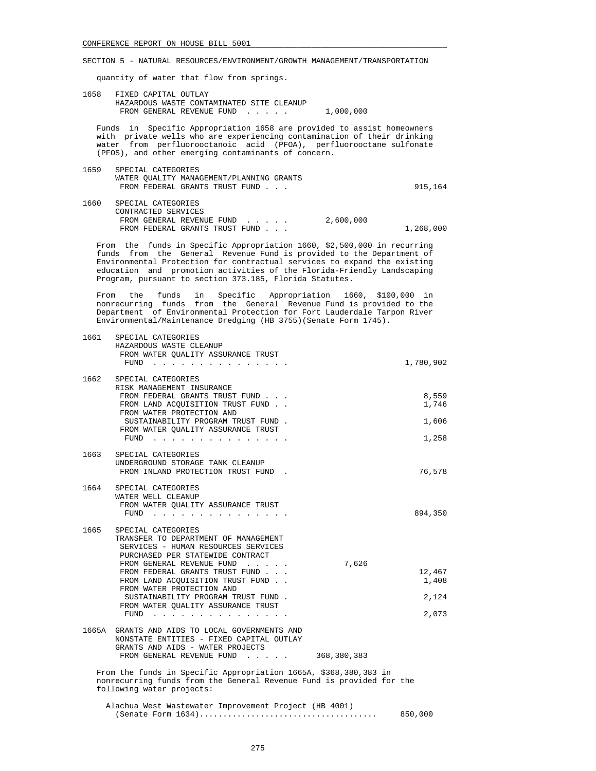quantity of water that flow from springs.

 1658 FIXED CAPITAL OUTLAY HAZARDOUS WASTE CONTAMINATED SITE CLEANUP FROM GENERAL REVENUE FUND . . . . . 1,000,000

 Funds in Specific Appropriation 1658 are provided to assist homeowners with private wells who are experiencing contamination of their drinking water from perfluorooctanoic acid (PFOA), perfluorooctane sulfonate (PFOS), and other emerging contaminants of concern.

- 1659 SPECIAL CATEGORIES WATER QUALITY MANAGEMENT/PLANNING GRANTS FROM FEDERAL GRANTS TRUST FUND . . . 915,164 1660 SPECIAL CATEGORIES
- CONTRACTED SERVICES FROM GENERAL REVENUE FUND . . . . . 2,600,000 FROM FEDERAL GRANTS TRUST FUND . . . 1,268,000

 From the funds in Specific Appropriation 1660, \$2,500,000 in recurring funds from the General Revenue Fund is provided to the Department of Environmental Protection for contractual services to expand the existing education and promotion activities of the Florida-Friendly Landscaping Program, pursuant to section 373.185, Florida Statutes.

 From the funds in Specific Appropriation 1660, \$100,000 in nonrecurring funds from the General Revenue Fund is provided to the Department of Environmental Protection for Fort Lauderdale Tarpon River Environmental/Maintenance Dredging (HB 3755)(Senate Form 1745).

| 1661 | SPECIAL CATEGORIES<br>HAZARDOUS WASTE CLEANUP<br>FROM WATER QUALITY ASSURANCE TRUST<br>FUND                                                                                                                                                                                                                                                                         | 1,780,902                         |
|------|---------------------------------------------------------------------------------------------------------------------------------------------------------------------------------------------------------------------------------------------------------------------------------------------------------------------------------------------------------------------|-----------------------------------|
| 1662 | SPECIAL CATEGORIES<br>RISK MANAGEMENT INSURANCE<br>FROM FEDERAL GRANTS TRUST FUND<br>FROM LAND ACOUISITION TRUST FUND.<br>FROM WATER PROTECTION AND                                                                                                                                                                                                                 | 8,559<br>1,746                    |
|      | SUSTAINABILITY PROGRAM TRUST FUND.<br>FROM WATER QUALITY ASSURANCE TRUST<br>FUND                                                                                                                                                                                                                                                                                    | 1,606<br>1,258                    |
| 1663 | SPECIAL CATEGORIES<br>UNDERGROUND STORAGE TANK CLEANUP<br>FROM INLAND PROTECTION TRUST FUND.                                                                                                                                                                                                                                                                        | 76,578                            |
| 1664 | SPECIAL CATEGORIES<br>WATER WELL CLEANUP<br>FROM WATER QUALITY ASSURANCE TRUST<br>FUND $\cdots$                                                                                                                                                                                                                                                                     | 894,350                           |
| 1665 | SPECIAL CATEGORIES<br>TRANSFER TO DEPARTMENT OF MANAGEMENT<br>SERVICES - HUMAN RESOURCES SERVICES<br>PURCHASED PER STATEWIDE CONTRACT<br>7,626<br>FROM GENERAL REVENUE FUND<br>FROM FEDERAL GRANTS TRUST FUND<br>FROM LAND ACOUISITION TRUST FUND.<br>FROM WATER PROTECTION AND<br>SUSTAINABILITY PROGRAM TRUST FUND.<br>FROM WATER QUALITY ASSURANCE TRUST<br>FUND | 12,467<br>1,408<br>2,124<br>2,073 |
|      | 1665A GRANTS AND AIDS TO LOCAL GOVERNMENTS AND<br>NONSTATE ENTITIES - FIXED CAPITAL OUTLAY<br>GRANTS AND AIDS - WATER PROJECTS<br>FROM GENERAL REVENUE FUND<br>368,380,383                                                                                                                                                                                          |                                   |
|      | From the funds in Specific Appropriation 1665A, \$368,380,383 in<br>nonrecurring funds from the General Revenue Fund is provided for the<br>following water projects:                                                                                                                                                                                               |                                   |
|      | Alachua West Wastewater Improvement Project (HB 4001)                                                                                                                                                                                                                                                                                                               | 850,000                           |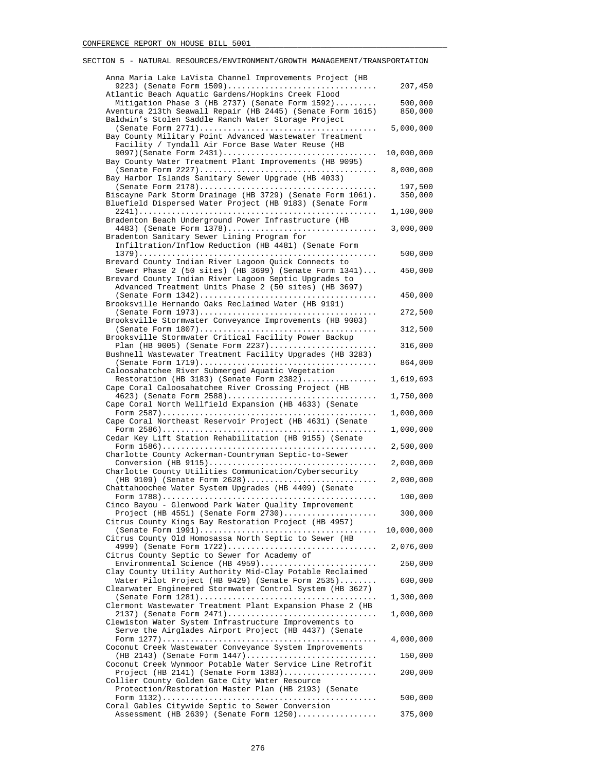| Anna Maria Lake LaVista Channel Improvements Project (HB                                                               |            |
|------------------------------------------------------------------------------------------------------------------------|------------|
| 9223) (Senate Form 1509)                                                                                               | 207,450    |
| Atlantic Beach Aquatic Gardens/Hopkins Creek Flood<br>Mitigation Phase 3 (HB 2737) (Senate Form 1592)                  | 500,000    |
| Aventura 213th Seawall Repair (HB 2445) (Senate Form 1615)                                                             | 850,000    |
| Baldwin's Stolen Saddle Ranch Water Storage Project                                                                    | 5,000,000  |
| Bay County Military Point Advanced Wastewater Treatment                                                                |            |
| Facility / Tyndall Air Force Base Water Reuse (HB<br>9097) (Senate Form 2431)                                          | 10,000,000 |
| Bay County Water Treatment Plant Improvements (HB 9095)                                                                |            |
| Bay Harbor Islands Sanitary Sewer Upgrade (HB 4033)                                                                    | 8,000,000  |
|                                                                                                                        | 197,500    |
| Biscayne Park Storm Drainage (HB 3729) (Senate Form 1061).<br>Bluefield Dispersed Water Project (HB 9183) (Senate Form | 350,000    |
|                                                                                                                        | 1,100,000  |
| Bradenton Beach Underground Power Infrastructure (HB<br>4483) (Senate Form 1378)                                       | 3,000,000  |
| Bradenton Sanitary Sewer Lining Program for                                                                            |            |
| Infiltration/Inflow Reduction (HB 4481) (Senate Form                                                                   | 500,000    |
| Brevard County Indian River Lagoon Quick Connects to                                                                   |            |
| Sewer Phase 2 (50 sites) (HB 3699) (Senate Form $1341$ )<br>Brevard County Indian River Lagoon Septic Upgrades to      | 450,000    |
| Advanced Treatment Units Phase 2 (50 sites) (HB 3697)                                                                  |            |
| Brooksville Hernando Oaks Reclaimed Water (HB 9191)                                                                    | 450,000    |
|                                                                                                                        | 272,500    |
| Brooksville Stormwater Conveyance Improvements (HB 9003)                                                               | 312,500    |
| Brooksville Stormwater Critical Facility Power Backup                                                                  |            |
| Plan (HB 9005) (Senate Form $2237)$<br>Bushnell Wastewater Treatment Facility Upgrades (HB 3283)                       | 316,000    |
| Caloosahatchee River Submerged Aquatic Vegetation                                                                      | 864,000    |
| Restoration (HB 3183) (Senate Form 2382)                                                                               | 1,619,693  |
| Cape Coral Caloosahatchee River Crossing Project (HB<br>4623) (Senate Form 2588)                                       | 1,750,000  |
| Cape Coral North Wellfield Expansion (HB 4633) (Senate                                                                 |            |
| Cape Coral Northeast Reservoir Project (HB 4631) (Senate                                                               | 1,000,000  |
|                                                                                                                        | 1,000,000  |
| Cedar Key Lift Station Rehabilitation (HB 9155) (Senate                                                                | 2,500,000  |
| Charlotte County Ackerman-Countryman Septic-to-Sewer                                                                   | 2,000,000  |
| Charlotte County Utilities Communication/Cybersecurity                                                                 |            |
| (HB 9109) (Senate Form 2628)<br>Chattahoochee Water System Upgrades (HB 4409) (Senate                                  | 2,000,000  |
|                                                                                                                        | 100,000    |
| Cinco Bayou - Glenwood Park Water Quality Improvement<br>Project (HB 4551) (Senate Form 2730)                          | 300,000    |
| Citrus County Kings Bay Restoration Project (HB 4957)                                                                  |            |
| Citrus County Old Homosassa North Septic to Sewer (HB                                                                  | 10,000,000 |
| 4999) (Senate Form 1722)                                                                                               | 2,076,000  |
| Citrus County Septic to Sewer for Academy of<br>Environmental Science (HB 4959)                                        | 250,000    |
| Clay County Utility Authority Mid-Clay Potable Reclaimed<br>Water Pilot Project (HB 9429) (Senate Form 2535)           | 600,000    |
| Clearwater Engineered Stormwater Control System (HB 3627)                                                              |            |
| Clermont Wastewater Treatment Plant Expansion Phase 2 (HB                                                              | 1,300,000  |
| 2137) (Senate Form 2471)                                                                                               | 1,000,000  |
| Clewiston Water System Infrastructure Improvements to<br>Serve the Airglades Airport Project (HB 4437) (Senate         |            |
|                                                                                                                        | 4,000,000  |
| Coconut Creek Wastewater Conveyance System Improvements<br>$(HB 2143)$ (Senate Form $1447)$                            | 150,000    |
| Coconut Creek Wynmoor Potable Water Service Line Retrofit                                                              |            |
| Project (HB 2141) (Senate Form 1383)<br>Collier County Golden Gate City Water Resource                                 | 200,000    |
| Protection/Restoration Master Plan (HB 2193) (Senate                                                                   |            |
| Coral Gables Citywide Septic to Sewer Conversion                                                                       | 500,000    |
| Assessment (HB 2639) (Senate Form 1250)                                                                                | 375,000    |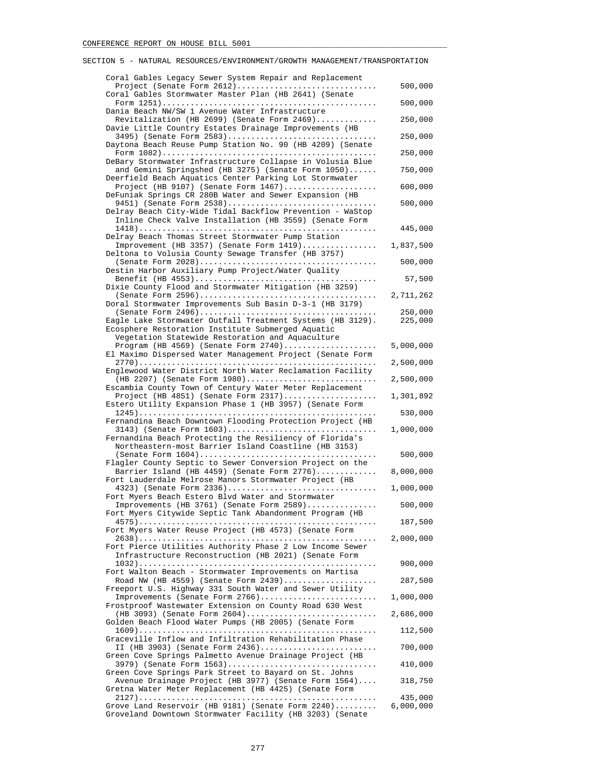#### Coral Gables Legacy Sewer System Repair and Replacement Project (Senate Form 2612).............................. 500,000 Coral Gables Stormwater Master Plan (HB 2641) (Senate Form 1251).............................................. 500,000 Dania Beach NW/SW 1 Avenue Water Infrastructure Revitalization (HB 2699) (Senate Form 2469)............. 250,000 Davie Little Country Estates Drainage Improvements (HB 3495) (Senate Form 2583)................................ 250,000 Daytona Beach Reuse Pump Station No. 90 (HB 4209) (Senate Form 1082).............................................. 250,000 DeBary Stormwater Infrastructure Collapse in Volusia Blue and Gemini Springshed (HB 3275) (Senate Form 1050)...... 750,000 Deerfield Beach Aquatics Center Parking Lot Stormwater Project (HB 9107) (Senate Form 1467).................... 600,000 DeFuniak Springs CR 280B Water and Sewer Expansion (HB 9451) (Senate Form 2538)................................ 500,000 Delray Beach City-Wide Tidal Backflow Prevention - WaStop Inline Check Valve Installation (HB 3559) (Senate Form 1418)................................................... 445,000 Delray Beach Thomas Street Stormwater Pump Station Improvement (HB 3357) (Senate Form 1419)................ 1,837,500 Deltona to Volusia County Sewage Transfer (HB 3757) (Senate Form 2028)...................................... 500,000 Destin Harbor Auxiliary Pump Project/Water Quality Benefit (HB 4553)....................................... 57,500 Dixie County Flood and Stormwater Mitigation (HB 3259) (Senate Form 2596)...................................... 2,711,262 Doral Stormwater Improvements Sub Basin D-3-1 (HB 3179) (Senate Form 2496)...................................... 250,000 Eagle Lake Stormwater Outfall Treatment Systems (HB 3129). Ecosphere Restoration Institute Submerged Aquatic Vegetation Statewide Restoration and Aquaculture Program (HB 4569) (Senate Form 2740).................... 5,000,000 El Maximo Dispersed Water Management Project (Senate Form 2770)................................................... 2,500,000 Englewood Water District North Water Reclamation Facility (HB 2207) (Senate Form 1980)............................ 2,500,000 Escambia County Town of Century Water Meter Replacement Project (HB 4851) (Senate Form 2317).................... 1,301,892 Estero Utility Expansion Phase 1 (HB 3957) (Senate Form 1245)................................................... 530,000 Fernandina Beach Downtown Flooding Protection Project (HB 3143) (Senate Form 1603)................................ 1,000,000 Fernandina Beach Protecting the Resiliency of Florida's Northeastern-most Barrier Island Coastline (HB 3153) (Senate Form 1604)...................................... 500,000 Flagler County Septic to Sewer Conversion Project on the Barrier Island (HB 4459) (Senate Form 2776)............. 8,000,000 Fort Lauderdale Melrose Manors Stormwater Project (HB 4323) (Senate Form 2336)................................ 1,000,000 Fort Myers Beach Estero Blvd Water and Stormwater Improvements (HB 3761) (Senate Form 2589)............... 500,000 Fort Myers Citywide Septic Tank Abandonment Program (HB 4575)................................................... 187,500 Fort Myers Water Reuse Project (HB 4573) (Senate Form 2638)................................................... 2,000,000 Fort Pierce Utilities Authority Phase 2 Low Income Sewer Infrastructure Reconstruction (HB 2021) (Senate Form  $1032) \dots \dots \dots \dots \dots \dots \dots \dots \dots \dots \dots \dots \dots \dots \dots \dots \dots \dots \qquad 900,000$  Fort Walton Beach - Stormwater Improvements on Martisa Road NW (HB 4559) (Senate Form 2439).................... 287,500 Freeport U.S. Highway 331 South Water and Sewer Utility Improvements (Senate Form 2766)......................... 1,000,000 Frostproof Wastewater Extension on County Road 630 West (HB 3093) (Senate Form 2604)............................ 2,686,000 Golden Beach Flood Water Pumps (HB 2005) (Senate Form 1609)................................................... 112,500 Graceville Inflow and Infiltration Rehabilitation Phase II (HB 3903) (Senate Form 2436)......................... 700,000 Green Cove Springs Palmetto Avenue Drainage Project (HB 3979) (Senate Form 1563)................................ 410,000 Green Cove Springs Park Street to Bayard on St. Johns Avenue Drainage Project (HB 3977) (Senate Form 1564).... 318,750 Gretna Water Meter Replacement (HB 4425) (Senate Form 2127)................................................... 435,000

SECTION 5 - NATURAL RESOURCES/ENVIRONMENT/GROWTH MANAGEMENT/TRANSPORTATION

Grove Land Reservoir (HB 9181) (Senate Form 2240)......... Groveland Downtown Stormwater Facility (HB 3203) (Senate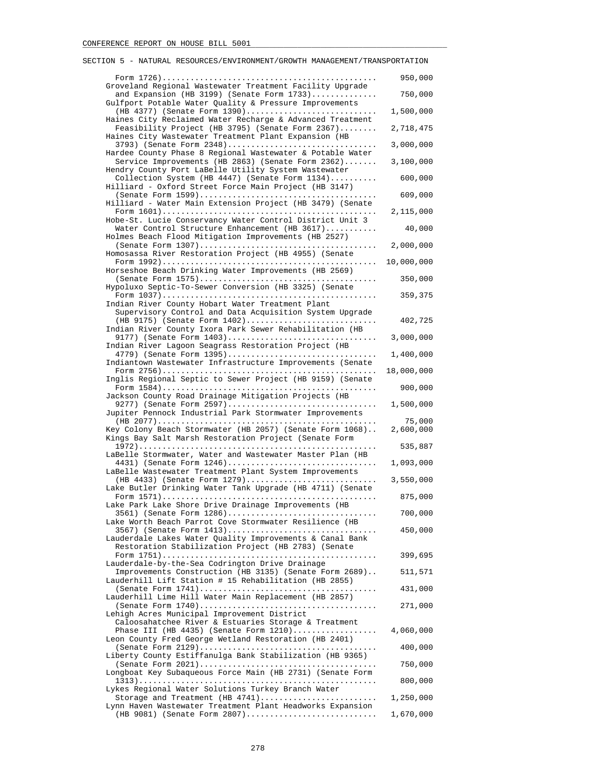| SECTION 5 - NATURAL RESOURCES/ENVIRONMENT/GROWTH MANAGEMENT/TRANSPORTATION                                                                                             |                     |
|------------------------------------------------------------------------------------------------------------------------------------------------------------------------|---------------------|
|                                                                                                                                                                        | 950,000             |
| Groveland Regional Wastewater Treatment Facility Upgrade<br>and Expansion (HB 3199) (Senate Form $1733$ )<br>Gulfport Potable Water Quality & Pressure Improvements    | 750,000             |
| (HB 4377) (Senate Form 1390)                                                                                                                                           | 1,500,000           |
| Haines City Reclaimed Water Recharge & Advanced Treatment<br>Feasibility Project (HB 3795) (Senate Form 2367)<br>Haines City Wastewater Treatment Plant Expansion (HB  | 2,718,475           |
| 3793) (Senate Form 2348)                                                                                                                                               | 3,000,000           |
| Hardee County Phase 8 Regional Wastewater & Potable Water<br>Service Improvements (HB 2863) (Senate Form 2362)<br>Hendry County Port LaBelle Utility System Wastewater | 3,100,000           |
| Collection System (HB 4447) (Senate Form 1134)<br>Hilliard - Oxford Street Force Main Project (HB 3147)                                                                | 600,000             |
| Hilliard - Water Main Extension Project (HB 3479) (Senate                                                                                                              | 609,000             |
| Hobe-St. Lucie Conservancy Water Control District Unit 3                                                                                                               | 2,115,000           |
| Water Control Structure Enhancement (HB 3617)<br>Holmes Beach Flood Mitigation Improvements (HB 2527)                                                                  | 40,000              |
| Homosassa River Restoration Project (HB 4955) (Senate                                                                                                                  | 2,000,000           |
| Horseshoe Beach Drinking Water Improvements (HB 2569)                                                                                                                  | 10,000,000          |
|                                                                                                                                                                        | 350,000             |
| Hypoluxo Septic-To-Sewer Conversion (HB 3325) (Senate<br>Indian River County Hobart Water Treatment Plant                                                              | 359,375             |
| Supervisory Control and Data Acquisition System Upgrade<br>(HB 9175) (Senate Form 1402)                                                                                | 402,725             |
| Indian River County Ixora Park Sewer Rehabilitation (HB<br>9177) (Senate Form 1403)                                                                                    | 3,000,000           |
| Indian River Lagoon Seagrass Restoration Project (HB<br>4779) (Senate Form 1395)                                                                                       | 1,400,000           |
| Indiantown Wastewater Infrastructure Improvements (Senate                                                                                                              | 18,000,000          |
| Inglis Regional Septic to Sewer Project (HB 9159) (Senate                                                                                                              | 900,000             |
| Jackson County Road Drainage Mitigation Projects (HB                                                                                                                   |                     |
| 9277) (Senate Form 2597)<br>Jupiter Pennock Industrial Park Stormwater Improvements                                                                                    | 1,500,000<br>75,000 |
| Key Colony Beach Stormwater (HB 2057) (Senate Form 1068)<br>Kings Bay Salt Marsh Restoration Project (Senate Form                                                      | 2,600,000           |
| LaBelle Stormwater, Water and Wastewater Master Plan (HB                                                                                                               | 535,887             |
| 4431) (Senate Form 1246)<br>LaBelle Wastewater Treatment Plant System Improvements                                                                                     | 1,093,000           |
| $(HB 4433)$ (Senate Form 1279)<br>Lake Butler Drinking Water Tank Upgrade (HB 4711) (Senate                                                                            | 3,550,000           |
| Lake Park Lake Shore Drive Drainage Improvements (HB                                                                                                                   | 875,000             |
| 3561) (Senate Form 1286)<br>Lake Worth Beach Parrot Cove Stormwater Resilience (HB                                                                                     | 700,000             |
| 3567) (Senate Form 1413)<br>Lauderdale Lakes Water Quality Improvements & Canal Bank                                                                                   | 450,000             |
| Restoration Stabilization Project (HB 2783) (Senate                                                                                                                    | 399,695             |
| Lauderdale-by-the-Sea Codrington Drive Drainage<br>Improvements Construction (HB 3135) (Senate Form 2689)                                                              | 511,571             |
| Lauderhill Lift Station # 15 Rehabilitation (HB 2855)                                                                                                                  |                     |
| Lauderhill Lime Hill Water Main Replacement (HB 2857)                                                                                                                  | 431,000<br>271,000  |
| Lehigh Acres Municipal Improvement District                                                                                                                            |                     |
| Caloosahatchee River & Estuaries Storage & Treatment<br>Phase III (HB $4435$ ) (Senate Form $1210)$                                                                    | 4,060,000           |
| Leon County Fred George Wetland Restoration (HB 2401)                                                                                                                  | 400,000             |
| Liberty County Estiffanulga Bank Stabilization (HB 9365)                                                                                                               | 750,000             |
| Longboat Key Subaqueous Force Main (HB 2731) (Senate Form                                                                                                              | 800,000             |
| Lykes Regional Water Solutions Turkey Branch Water<br>Storage and Treatment (HB 4741)                                                                                  | 1,250,000           |
| Lynn Haven Wastewater Treatment Plant Headworks Expansion<br>(HB 9081) (Senate Form 2807)                                                                              | 1,670,000           |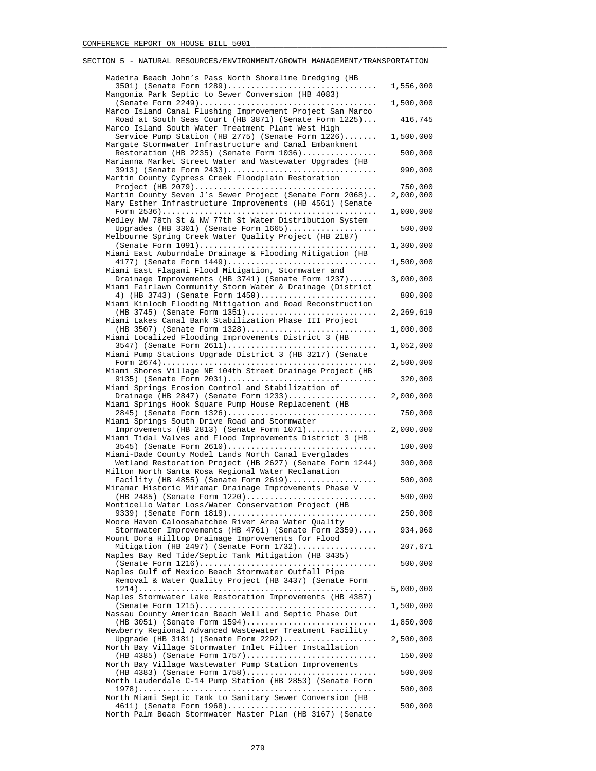| Madeira Beach John's Pass North Shoreline Dredging (HB                                                             |                      |
|--------------------------------------------------------------------------------------------------------------------|----------------------|
| 3501) (Senate Form 1289)<br>Mangonia Park Septic to Sewer Conversion (HB 4083)                                     | 1,556,000            |
|                                                                                                                    | 1,500,000            |
| Marco Island Canal Flushing Improvement Project San Marco<br>Road at South Seas Court (HB 3871) (Senate Form 1225) | 416,745              |
| Marco Island South Water Treatment Plant West High<br>Service Pump Station (HB 2775) (Senate Form 1226)            | 1,500,000            |
| Margate Stormwater Infrastructure and Canal Embankment<br>Restoration (HB 2235) (Senate Form $1036)$               | 500,000              |
| Marianna Market Street Water and Wastewater Upgrades (HB<br>3913) (Senate Form 2433)                               | 990,000              |
| Martin County Cypress Creek Floodplain Restoration                                                                 |                      |
| Martin County Seven J's Sewer Project (Senate Form 2068)                                                           | 750,000<br>2,000,000 |
| Mary Esther Infrastructure Improvements (HB 4561) (Senate                                                          | 1,000,000            |
| Medley NW 78th St & NW 77th St Water Distribution System<br>Upgrades (HB 3301) (Senate Form $1665)$                | 500,000              |
| Melbourne Spring Creek Water Quality Project (HB 2187)                                                             |                      |
| Miami East Auburndale Drainage & Flooding Mitigation (HB                                                           | 1,300,000            |
| 4177) (Senate Form 1449)<br>Miami East Flagami Flood Mitigation, Stormwater and                                    | 1,500,000            |
| Drainage Improvements (HB 3741) (Senate Form 1237)                                                                 | 3,000,000            |
| Miami Fairlawn Community Storm Water & Drainage (District<br>4) (HB 3743) (Senate Form 1450)                       | 800,000              |
| Miami Kinloch Flooding Mitigation and Road Reconstruction<br>$(HB 3745)$ (Senate Form 1351)                        | 2,269,619            |
| Miami Lakes Canal Bank Stabilization Phase III Project<br>$(HB 3507)$ (Senate Form 1328)                           | 1,000,000            |
| Miami Localized Flooding Improvements District 3 (HB<br>3547) (Senate Form 2611)                                   |                      |
| Miami Pump Stations Upgrade District 3 (HB 3217) (Senate                                                           | 1,052,000            |
| Miami Shores Village NE 104th Street Drainage Project (HB                                                          | 2,500,000            |
| 9135) (Senate Form 2031)<br>Miami Springs Erosion Control and Stabilization of                                     | 320,000              |
| Drainage (HB 2847) (Senate Form $1233)$<br>Miami Springs Hook Square Pump House Replacement (HB                    | 2,000,000            |
| 2845) (Senate Form 1326)                                                                                           | 750,000              |
| Miami Springs South Drive Road and Stormwater<br>Improvements (HB 2813) (Senate Form $1071$ )                      | 2,000,000            |
| Miami Tidal Valves and Flood Improvements District 3 (HB<br>3545) (Senate Form 2610)                               | 100,000              |
| Miami-Dade County Model Lands North Canal Everglades<br>Wetland Restoration Project (HB 2627) (Senate Form 1244)   | 300,000              |
| Milton North Santa Rosa Regional Water Reclamation                                                                 |                      |
| Facility (HB 4855) (Senate Form $2619)$<br>Miramar Historic Miramar Drainage Improvements Phase V                  | 500,000              |
| (HB 2485) (Senate Form 1220)<br>Monticello Water Loss/Water Conservation Project (HB                               | 500,000              |
| 9339) (Senate Form 1819)<br>Moore Haven Caloosahatchee River Area Water Quality                                    | 250,000              |
| Stormwater Improvements (HB 4761) (Senate Form 2359)                                                               | 934,960              |
| Mount Dora Hilltop Drainage Improvements for Flood<br>Mitigation (HB 2497) (Senate Form 1732)                      | 207,671              |
| Naples Bay Red Tide/Septic Tank Mitigation (HB 3435)                                                               | 500,000              |
| Naples Gulf of Mexico Beach Stormwater Outfall Pipe<br>Removal & Water Quality Project (HB 3437) (Senate Form      |                      |
|                                                                                                                    | 5,000,000            |
| Naples Stormwater Lake Restoration Improvements (HB 4387)                                                          | 1,500,000            |
| Nassau County American Beach Well and Septic Phase Out<br>$(HB 3051)$ (Senate Form 1594)                           | 1,850,000            |
| Newberry Regional Advanced Wastewater Treatment Facility<br>Upgrade (HB 3181) (Senate Form $2292)$                 | 2,500,000            |
| North Bay Village Stormwater Inlet Filter Installation<br>$(HB 4385)$ (Senate Form 1757)                           | 150,000              |
| North Bay Village Wastewater Pump Station Improvements                                                             |                      |
| (HB 4383) (Senate Form 1758)<br>North Lauderdale C-14 Pump Station (HB 2853) (Senate Form                          | 500,000              |
| North Miami Septic Tank to Sanitary Sewer Conversion (HB                                                           | 500,000              |
| 4611) (Senate Form 1968)<br>North Palm Beach Stormwater Master Plan (HB 3167) (Senate                              | 500,000              |
|                                                                                                                    |                      |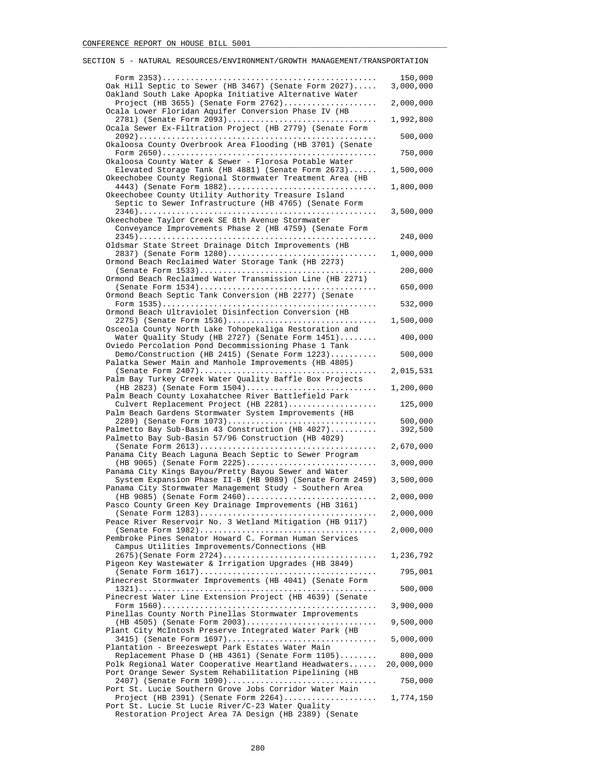#### Form 2353).............................................. 150,000 Oak Hill Septic to Sewer (HB 3467) (Senate Form 2027)..... Oakland South Lake Apopka Initiative Alternative Water Project (HB 3655) (Senate Form 2762).................... 2,000,000 Ocala Lower Floridan Aquifer Conversion Phase IV (HB 2781) (Senate Form 2093)................................ 1,992,800 Ocala Sewer Ex-Filtration Project (HB 2779) (Senate Form 2092)................................................... 500,000 Okaloosa County Overbrook Area Flooding (HB 3701) (Senate Form 2650).............................................. 750,000 Okaloosa County Water & Sewer - Florosa Potable Water Elevated Storage Tank (HB 4881) (Senate Form 2673)...... 1,500,000 Okeechobee County Regional Stormwater Treatment Area (HB 4443) (Senate Form 1882)................................ 1,800,000 Okeechobee County Utility Authority Treasure Island Septic to Sewer Infrastructure (HB 4765) (Senate Form 2346)................................................... 3,500,000 Okeechobee Taylor Creek SE 8th Avenue Stormwater Conveyance Improvements Phase 2 (HB 4759) (Senate Form 2345)................................................... 240,000 Oldsmar State Street Drainage Ditch Improvements (HB 2837) (Senate Form 1280)................................ 1,000,000 Ormond Beach Reclaimed Water Storage Tank (HB 2273) (Senate Form 1533)...................................... 200,000 Ormond Beach Reclaimed Water Transmission Line (HB 2271) (Senate Form 1534)...................................... 650,000 Ormond Beach Septic Tank Conversion (HB 2277) (Senate Form 1535).............................................. 532,000 Ormond Beach Ultraviolet Disinfection Conversion (HB 2275) (Senate Form 1536)................................ 1,500,000 Osceola County North Lake Tohopekaliga Restoration and Water Quality Study (HB 2727) (Senate Form 1451)........ 400,000 Oviedo Percolation Pond Decommissioning Phase 1 Tank Demo/Construction (HB 2415) (Senate Form 1223).......... 500,000 Palatka Sewer Main and Manhole Improvements (HB 4805) (Senate Form 2407)...................................... 2,015,531 Palm Bay Turkey Creek Water Quality Baffle Box Projects (HB 2823) (Senate Form 1504)............................ 1,200,000 Palm Beach County Loxahatchee River Battlefield Park Culvert Replacement Project (HB 2281)................... 125,000 Palm Beach Gardens Stormwater System Improvements (HB 2289) (Senate Form 1073)................................ 500,000 Palmetto Bay Sub-Basin 43 Construction (HB  $4027)$ ......... Palmetto Bay Sub-Basin 57/96 Construction (HB 4029) (Senate Form 2613)...................................... 2,670,000 Panama City Beach Laguna Beach Septic to Sewer Program (HB 9065) (Senate Form 2225)............................ 3,000,000 Panama City Kings Bayou/Pretty Bayou Sewer and Water System Expansion Phase II-B (HB 9089) (Senate Form 2459) 3,500,000 Panama City Stormwater Management Study - Southern Area (HB 9085) (Senate Form 2460)............................ 2,000,000 Pasco County Green Key Drainage Improvements (HB 3161) (Senate Form 1283)...................................... 2,000,000 Peace River Reservoir No. 3 Wetland Mitigation (HB 9117) (Senate Form 1982)...................................... 2,000,000 Pembroke Pines Senator Howard C. Forman Human Services Campus Utilities Improvements/Connections (HB 2675)(Senate Form 2724)................................. 1,236,792 Pigeon Key Wastewater & Irrigation Upgrades (HB 3849) (Senate Form 1617)...................................... 795,001 Pinecrest Stormwater Improvements (HB 4041) (Senate Form 1321)................................................... 500,000 Pinecrest Water Line Extension Project (HB 4639) (Senate Form 1560).............................................. 3,900,000 Pinellas County North Pinellas Stormwater Improvements (HB 4505) (Senate Form 2003)............................ 9,500,000 Plant City McIntosh Preserve Integrated Water Park (HB 3415) (Senate Form 1697)................................ 5,000,000 Plantation - Breezeswept Park Estates Water Main Replacement Phase D (HB 4361) (Senate Form 1105)........ 800,000<br>blk Regional Water Cooperative Heartland Headwaters...... 20,000,000 Polk Regional Water Cooperative Heartland Headwaters...... Port Orange Sewer System Rehabilitation Pipelining (HB 2407) (Senate Form 1090)................................ 750,000 Port St. Lucie Southern Grove Jobs Corridor Water Main Project (HB 2391) (Senate Form 2264).................... 1,774,150 Port St. Lucie St Lucie River/C-23 Water Quality

SECTION 5 - NATURAL RESOURCES/ENVIRONMENT/GROWTH MANAGEMENT/TRANSPORTATION

Restoration Project Area 7A Design (HB 2389) (Senate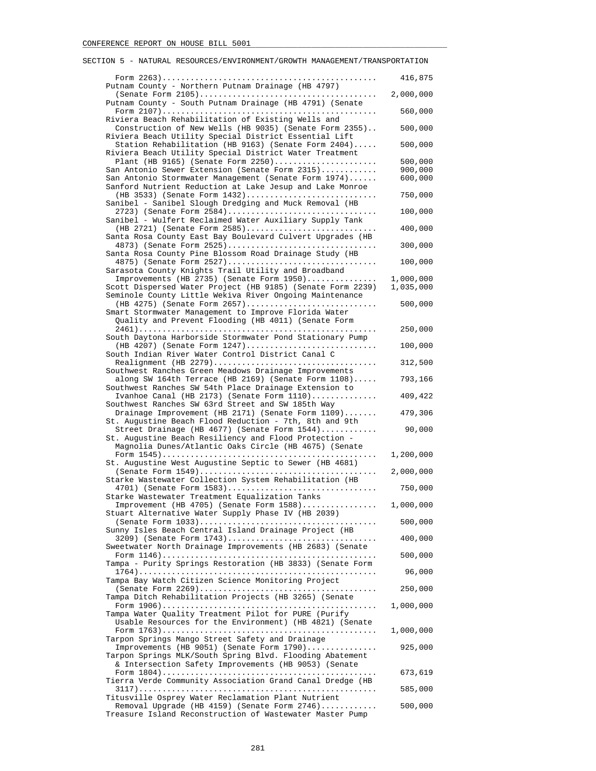#### Form 2263).............................................. 416,875 Putnam County - Northern Putnam Drainage (HB 4797) (Senate Form 2105)...................................... 2,000,000 Putnam County - South Putnam Drainage (HB 4791) (Senate Form 2107).............................................. 560,000 Riviera Beach Rehabilitation of Existing Wells and Construction of New Wells (HB 9035) (Senate Form 2355).. 500,000 Riviera Beach Utility Special District Essential Lift Station Rehabilitation (HB 9163) (Senate Form 2404)..... 500,000 Riviera Beach Utility Special District Water Treatment Plant (HB 9165) (Senate Form 2250)...................... 500,000 San Antonio Sewer Extension (Senate Form  $2315)$ ........... San Antonio Stormwater Management (Senate Form 1974)...... 600,000 Sanford Nutrient Reduction at Lake Jesup and Lake Monroe (HB 3533) (Senate Form 1432)............................ 750,000 Sanibel - Sanibel Slough Dredging and Muck Removal (HB 2723) (Senate Form 2584)................................ 100,000 Sanibel - Wulfert Reclaimed Water Auxiliary Supply Tank (HB 2721) (Senate Form 2585)............................ 400,000 Santa Rosa County East Bay Boulevard Culvert Upgrades (HB 4873) (Senate Form 2525)................................ 300,000 Santa Rosa County Pine Blossom Road Drainage Study (HB 4875) (Senate Form 2527)................................ 100,000 Sarasota County Knights Trail Utility and Broadband Improvements (HB 2735) (Senate Form 1950)................. 1,000,000<br>:ott Dispersed Water Project (HB 9185) (Senate Form 2239) 1,035,000 Scott Dispersed Water Project (HB 9185) (Senate Form 2239) Seminole County Little Wekiva River Ongoing Maintenance (HB 4275) (Senate Form 2657)............................ 500,000 Smart Stormwater Management to Improve Florida Water Quality and Prevent Flooding (HB 4011) (Senate Form 2461)................................................... 250,000 South Daytona Harborside Stormwater Pond Stationary Pump (HB 4207) (Senate Form 1247)............................ 100,000 South Indian River Water Control District Canal C Realignment (HB 2279)................................... 312,500 Southwest Ranches Green Meadows Drainage Improvements along SW 164th Terrace (HB 2169) (Senate Form 1108)..... 793,166 Southwest Ranches SW 54th Place Drainage Extension to Ivanhoe Canal (HB 2173) (Senate Form 1110).............. 409,422 Southwest Ranches SW 63rd Street and SW 185th Way Drainage Improvement (HB 2171) (Senate Form 1109)....... 479,306 St. Augustine Beach Flood Reduction - 7th, 8th and 9th Street Drainage (HB 4677) (Senate Form 1544)............ 90,000 St. Augustine Beach Resiliency and Flood Protection - Magnolia Dunes/Atlantic Oaks Circle (HB 4675) (Senate Form 1545).............................................. 1,200,000 St. Augustine West Augustine Septic to Sewer (HB 4681) (Senate Form 1549)...................................... 2,000,000 Starke Wastewater Collection System Rehabilitation (HB 4701) (Senate Form 1583)................................ 750,000 Starke Wastewater Treatment Equalization Tanks Improvement (HB 4705) (Senate Form 1588)................ 1,000,000 Stuart Alternative Water Supply Phase IV (HB 2039) (Senate Form 1033)...................................... 500,000 Sunny Isles Beach Central Island Drainage Project (HB 3209) (Senate Form 1743)................................ 400,000 Sweetwater North Drainage Improvements (HB 2683) (Senate Form 1146).............................................. 500,000 Tampa - Purity Springs Restoration (HB 3833) (Senate Form 1764)................................................... 96,000 Tampa Bay Watch Citizen Science Monitoring Project (Senate Form 2269)...................................... 250,000 Tampa Ditch Rehabilitation Projects (HB 3265) (Senate Form 1906).............................................. 1,000,000 Tampa Water Quality Treatment Pilot for PURE (Purify Usable Resources for the Environment) (HB 4821) (Senate Form 1763).............................................. 1,000,000 Tarpon Springs Mango Street Safety and Drainage Improvements (HB 9051) (Senate Form 1790)............... 925,000 Tarpon Springs MLK/South Spring Blvd. Flooding Abatement & Intersection Safety Improvements (HB 9053) (Senate Form 1804).............................................. 673,619 Tierra Verde Community Association Grand Canal Dredge (HB 3117)................................................... 585,000 Titusville Osprey Water Reclamation Plant Nutrient Removal Upgrade (HB 4159) (Senate Form 2746)............ 500,000

SECTION 5 - NATURAL RESOURCES/ENVIRONMENT/GROWTH MANAGEMENT/TRANSPORTATION

Treasure Island Reconstruction of Wastewater Master Pump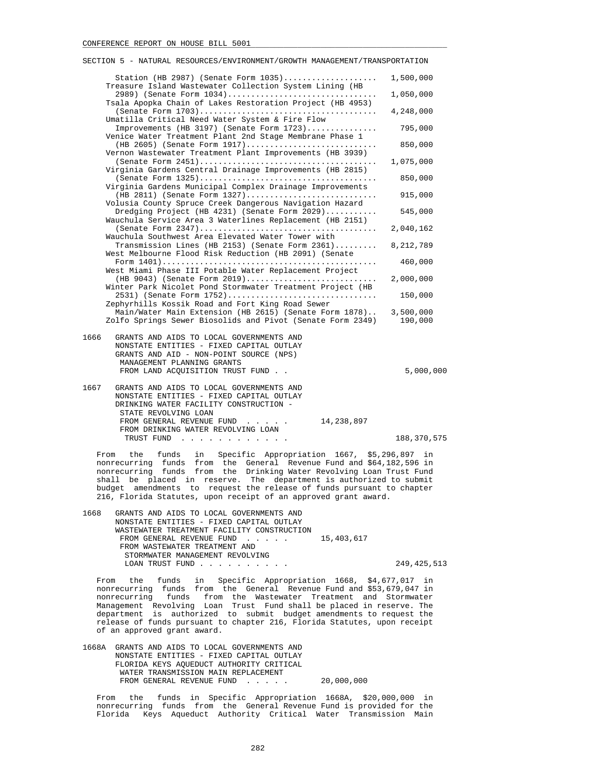| SECTION 5 - NATURAL RESOURCES/ENVIRONMENT/GROWTH MANAGEMENT/TRANSPORTATION                                                                                                                                                            |               |
|---------------------------------------------------------------------------------------------------------------------------------------------------------------------------------------------------------------------------------------|---------------|
| Station (HB 2987) (Senate Form $1035)$<br>Treasure Island Wastewater Collection System Lining (HB                                                                                                                                     | 1,500,000     |
| 2989) (Senate Form 1034)<br>Tsala Apopka Chain of Lakes Restoration Project (HB 4953)                                                                                                                                                 | 1,050,000     |
|                                                                                                                                                                                                                                       | 4,248,000     |
| Umatilla Critical Need Water System & Fire Flow<br>Improvements (HB 3197) (Senate Form 1723)                                                                                                                                          | 795,000       |
| Venice Water Treatment Plant 2nd Stage Membrane Phase 1<br>(HB 2605) (Senate Form 1917)<br>Vernon Wastewater Treatment Plant Improvements (HB 3939)                                                                                   | 850,000       |
| Virginia Gardens Central Drainage Improvements (HB 2815)                                                                                                                                                                              | 1,075,000     |
| Virginia Gardens Municipal Complex Drainage Improvements                                                                                                                                                                              | 850,000       |
| $(HB 2811)$ (Senate Form 1327)<br>Volusia County Spruce Creek Dangerous Navigation Hazard                                                                                                                                             | 915,000       |
| Dredging Project (HB 4231) (Senate Form 2029)<br>Wauchula Service Area 3 Waterlines Replacement (HB 2151)                                                                                                                             | 545,000       |
| Wauchula Southwest Area Elevated Water Tower with                                                                                                                                                                                     | 2,040,162     |
| Transmission Lines (HB 2153) (Senate Form 2361)<br>West Melbourne Flood Risk Reduction (HB 2091) (Senate                                                                                                                              | 8,212,789     |
| West Miami Phase III Potable Water Replacement Project<br>$(HB 9043)$ (Senate Form 2019)<br>Winter Park Nicolet Pond Stormwater Treatment Project (HB<br>2531) (Senate Form 1752)<br>Zephyrhills Kossik Road and Fort King Road Sewer | 460,000       |
|                                                                                                                                                                                                                                       | 2,000,000     |
|                                                                                                                                                                                                                                       | 150,000       |
| Main/Water Main Extension (HB 2615) (Senate Form 1878) 3,500,000<br>Zolfo Springs Sewer Biosolids and Pivot (Senate Form 2349)                                                                                                        | 190,000       |
| 1666<br>GRANTS AND AIDS TO LOCAL GOVERNMENTS AND<br>NONSTATE ENTITIES - FIXED CAPITAL OUTLAY<br>GRANTS AND AID - NON-POINT SOURCE (NPS)<br>MANAGEMENT PLANNING GRANTS<br>FROM LAND ACQUISITION TRUST FUND                             | 5,000,000     |
| 1667<br>GRANTS AND AIDS TO LOCAL GOVERNMENTS AND                                                                                                                                                                                      |               |
| NONSTATE ENTITIES - FIXED CAPITAL OUTLAY<br>DRINKING WATER FACILITY CONSTRUCTION -                                                                                                                                                    |               |
| STATE REVOLVING LOAN<br>FROM GENERAL REVENUE FUND<br>14,238,897<br>FROM DRINKING WATER REVOLVING LOAN                                                                                                                                 |               |
| TRUST FUND<br>the contract of the contract of the contract of                                                                                                                                                                         | 188, 370, 575 |

 From the funds in Specific Appropriation 1667, \$5,296,897 in nonrecurring funds from the General Revenue Fund and \$64,182,596 in nonrecurring funds from the Drinking Water Revolving Loan Trust Fund shall be placed in reserve. The department is authorized to submit budget amendments to request the release of funds pursuant to chapter 216, Florida Statutes, upon receipt of an approved grant award.

| 1668 | GRANTS AND AIDS TO LOCAL GOVERNMENTS AND   |            |             |
|------|--------------------------------------------|------------|-------------|
|      | NONSTATE ENTITIES - FIXED CAPITAL OUTLAY   |            |             |
|      | WASTEWATER TREATMENT FACILITY CONSTRUCTION |            |             |
|      | FROM GENERAL REVENUE FUND                  | 15,403,617 |             |
|      | FROM WASTEWATER TREATMENT AND              |            |             |
|      | STORMWATER MANAGEMENT REVOLVING            |            |             |
|      | LOAN TRUST FUND                            |            | 249,425,513 |
|      |                                            |            |             |

 From the funds in Specific Appropriation 1668, \$4,677,017 in nonrecurring funds from the General Revenue Fund and \$53,679,047 in nonrecurring funds from the Wastewater Treatment and Stormwater Management Revolving Loan Trust Fund shall be placed in reserve. The department is authorized to submit budget amendments to request the release of funds pursuant to chapter 216, Florida Statutes, upon receipt of an approved grant award.

 1668A GRANTS AND AIDS TO LOCAL GOVERNMENTS AND NONSTATE ENTITIES - FIXED CAPITAL OUTLAY FLORIDA KEYS AQUEDUCT AUTHORITY CRITICAL WATER TRANSMISSION MAIN REPLACEMENT FROM GENERAL REVENUE FUND . . . . . 20,000,000

 From the funds in Specific Appropriation 1668A, \$20,000,000 in nonrecurring funds from the General Revenue Fund is provided for the Florida Keys Aqueduct Authority Critical Water Transmission Main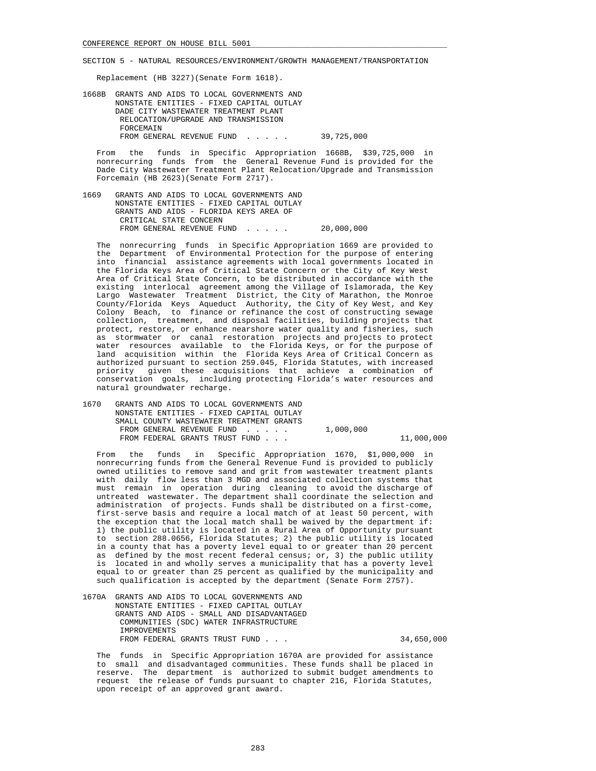Replacement (HB 3227)(Senate Form 1618).

 1668B GRANTS AND AIDS TO LOCAL GOVERNMENTS AND NONSTATE ENTITIES - FIXED CAPITAL OUTLAY DADE CITY WASTEWATER TREATMENT PLANT RELOCATION/UPGRADE AND TRANSMISSION **FORCEMAIN** FROM GENERAL REVENUE FUND . . . . . 39,725,000

 From the funds in Specific Appropriation 1668B, \$39,725,000 in nonrecurring funds from the General Revenue Fund is provided for the Dade City Wastewater Treatment Plant Relocation/Upgrade and Transmission Forcemain (HB 2623)(Senate Form 2717).

 1669 GRANTS AND AIDS TO LOCAL GOVERNMENTS AND NONSTATE ENTITIES - FIXED CAPITAL OUTLAY GRANTS AND AIDS - FLORIDA KEYS AREA OF CRITICAL STATE CONCERN FROM GENERAL REVENUE FUND . . . . . 20,000,000

 The nonrecurring funds in Specific Appropriation 1669 are provided to the Department of Environmental Protection for the purpose of entering into financial assistance agreements with local governments located in the Florida Keys Area of Critical State Concern or the City of Key West Area of Critical State Concern, to be distributed in accordance with the existing interlocal agreement among the Village of Islamorada, the Key Largo Wastewater Treatment District, the City of Marathon, the Monroe County/Florida Keys Aqueduct Authority, the City of Key West, and Key Colony Beach, to finance or refinance the cost of constructing sewage collection, treatment, and disposal facilities, building projects that protect, restore, or enhance nearshore water quality and fisheries, such as stormwater or canal restoration projects and projects to protect water resources available to the Florida Keys, or for the purpose of land acquisition within the Florida Keys Area of Critical Concern as authorized pursuant to section 259.045, Florida Statutes, with increased priority given these acquisitions that achieve a combination of conservation goals, including protecting Florida's water resources and natural groundwater recharge.

 1670 GRANTS AND AIDS TO LOCAL GOVERNMENTS AND NONSTATE ENTITIES - FIXED CAPITAL OUTLAY SMALL COUNTY WASTEWATER TREATMENT GRANTS FROM GENERAL REVENUE FUND . . . . . 1,000,000 FROM FEDERAL GRANTS TRUST FUND . . . 11,000,000

 From the funds in Specific Appropriation 1670, \$1,000,000 in nonrecurring funds from the General Revenue Fund is provided to publicly owned utilities to remove sand and grit from wastewater treatment plants with daily flow less than 3 MGD and associated collection systems that must remain in operation during cleaning to avoid the discharge of untreated wastewater. The department shall coordinate the selection and administration of projects. Funds shall be distributed on a first-come, first-serve basis and require a local match of at least 50 percent, with the exception that the local match shall be waived by the department if: 1) the public utility is located in a Rural Area of Opportunity pursuant to section 288.0656, Florida Statutes; 2) the public utility is located in a county that has a poverty level equal to or greater than 20 percent as defined by the most recent federal census; or, 3) the public utility is located in and wholly serves a municipality that has a poverty level equal to or greater than 25 percent as qualified by the municipality and such qualification is accepted by the department (Senate Form 2757).

 1670A GRANTS AND AIDS TO LOCAL GOVERNMENTS AND NONSTATE ENTITIES - FIXED CAPITAL OUTLAY GRANTS AND AIDS - SMALL AND DISADVANTAGED COMMUNITIES (SDC) WATER INFRASTRUCTURE IMPROVEMENTS FROM FEDERAL GRANTS TRUST FUND . . .  $34,650,000$ 

 The funds in Specific Appropriation 1670A are provided for assistance to small and disadvantaged communities. These funds shall be placed in reserve. The department is authorized to submit budget amendments to request the release of funds pursuant to chapter 216, Florida Statutes, upon receipt of an approved grant award.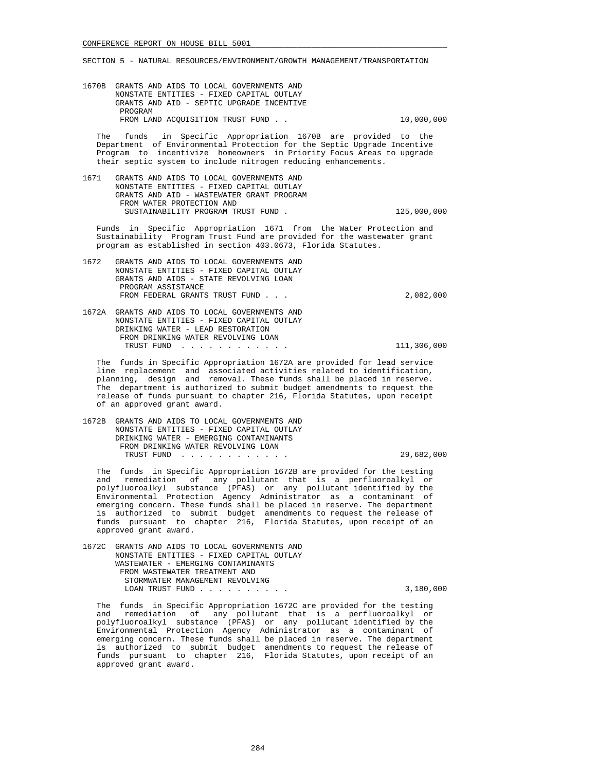1670B GRANTS AND AIDS TO LOCAL GOVERNMENTS AND NONSTATE ENTITIES - FIXED CAPITAL OUTLAY GRANTS AND AID - SEPTIC UPGRADE INCENTIVE PROGRAM FROM LAND ACQUISITION TRUST FUND . .  $10,000,000$ 

 The funds in Specific Appropriation 1670B are provided to the Department of Environmental Protection for the Septic Upgrade Incentive Program to incentivize homeowners in Priority Focus Areas to upgrade their septic system to include nitrogen reducing enhancements.

 1671 GRANTS AND AIDS TO LOCAL GOVERNMENTS AND NONSTATE ENTITIES - FIXED CAPITAL OUTLAY GRANTS AND AID - WASTEWATER GRANT PROGRAM FROM WATER PROTECTION AND SUSTAINABILITY PROGRAM TRUST FUND . 125,000,000

 Funds in Specific Appropriation 1671 from the Water Protection and Sustainability Program Trust Fund are provided for the wastewater grant program as established in section 403.0673, Florida Statutes.

 1672 GRANTS AND AIDS TO LOCAL GOVERNMENTS AND NONSTATE ENTITIES - FIXED CAPITAL OUTLAY GRANTS AND AIDS - STATE REVOLVING LOAN PROGRAM ASSISTANCE FROM FEDERAL GRANTS TRUST FUND . . . 2,082,000

 1672A GRANTS AND AIDS TO LOCAL GOVERNMENTS AND NONSTATE ENTITIES - FIXED CAPITAL OUTLAY DRINKING WATER - LEAD RESTORATION FROM DRINKING WATER REVOLVING LOAN TRUST FUND . . . . . . . . . . . . 111,306,000

 The funds in Specific Appropriation 1672A are provided for lead service line replacement and associated activities related to identification, planning, design and removal. These funds shall be placed in reserve. The department is authorized to submit budget amendments to request the release of funds pursuant to chapter 216, Florida Statutes, upon receipt of an approved grant award.

 1672B GRANTS AND AIDS TO LOCAL GOVERNMENTS AND NONSTATE ENTITIES - FIXED CAPITAL OUTLAY DRINKING WATER - EMERGING CONTAMINANTS FROM DRINKING WATER REVOLVING LOAN TRUST FUND . . . . . . . . . . . . 29,682,000

 The funds in Specific Appropriation 1672B are provided for the testing and remediation of any pollutant that is a perfluoroalkyl or polyfluoroalkyl substance (PFAS) or any pollutant identified by the Environmental Protection Agency Administrator as a contaminant of emerging concern. These funds shall be placed in reserve. The department is authorized to submit budget amendments to request the release of funds pursuant to chapter 216, Florida Statutes, upon receipt of an approved grant award.

 1672C GRANTS AND AIDS TO LOCAL GOVERNMENTS AND NONSTATE ENTITIES - FIXED CAPITAL OUTLAY WASTEWATER - EMERGING CONTAMINANTS FROM WASTEWATER TREATMENT AND STORMWATER MANAGEMENT REVOLVING LOAN TRUST FUND . . . . . . . . . . 3,180,000

 The funds in Specific Appropriation 1672C are provided for the testing and remediation of any pollutant that is a perfluoroalkyl or polyfluoroalkyl substance (PFAS) or any pollutant identified by the Environmental Protection Agency Administrator as a contaminant of emerging concern. These funds shall be placed in reserve. The department is authorized to submit budget amendments to request the release of funds pursuant to chapter 216, Florida Statutes, upon receipt of an approved grant award.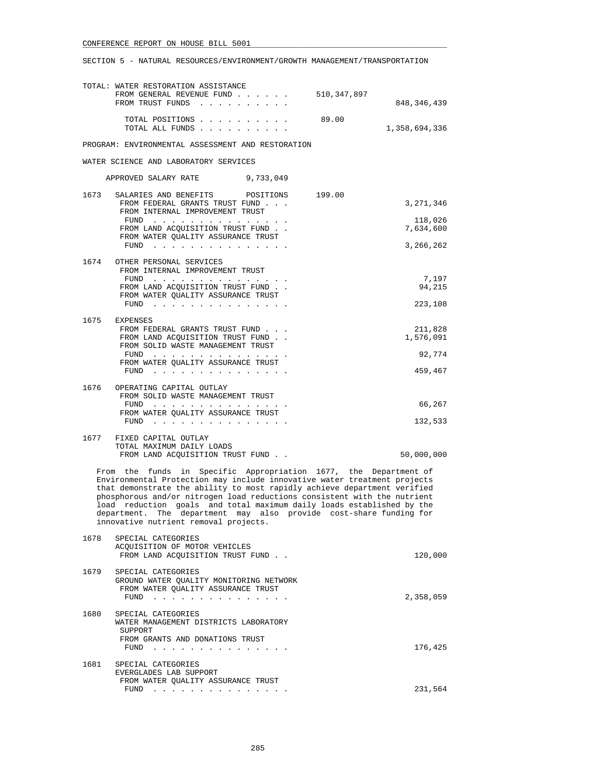|                                                                                                                                                                                                                                                                                                                                                                                                                                                                                              | TOTAL: WATER RESTORATION ASSISTANCE<br>FROM GENERAL REVENUE FUND<br>FROM TRUST FUNDS                                                       | 510,347,897 | 848, 346, 439        |
|----------------------------------------------------------------------------------------------------------------------------------------------------------------------------------------------------------------------------------------------------------------------------------------------------------------------------------------------------------------------------------------------------------------------------------------------------------------------------------------------|--------------------------------------------------------------------------------------------------------------------------------------------|-------------|----------------------|
|                                                                                                                                                                                                                                                                                                                                                                                                                                                                                              | TOTAL POSITIONS<br>TOTAL ALL FUNDS                                                                                                         | 89.00       | 1,358,694,336        |
|                                                                                                                                                                                                                                                                                                                                                                                                                                                                                              | PROGRAM: ENVIRONMENTAL ASSESSMENT AND RESTORATION                                                                                          |             |                      |
|                                                                                                                                                                                                                                                                                                                                                                                                                                                                                              | WATER SCIENCE AND LABORATORY SERVICES                                                                                                      |             |                      |
|                                                                                                                                                                                                                                                                                                                                                                                                                                                                                              | APPROVED SALARY RATE<br>9,733,049                                                                                                          |             |                      |
| 1673                                                                                                                                                                                                                                                                                                                                                                                                                                                                                         | SALARIES AND BENEFITS POSITIONS<br>FROM FEDERAL GRANTS TRUST FUND<br>FROM INTERNAL IMPROVEMENT TRUST                                       | 199.00      | 3,271,346            |
|                                                                                                                                                                                                                                                                                                                                                                                                                                                                                              | FUND<br>FROM LAND ACQUISITION TRUST FUND<br>FROM WATER QUALITY ASSURANCE TRUST                                                             |             | 118,026<br>7,634,600 |
|                                                                                                                                                                                                                                                                                                                                                                                                                                                                                              |                                                                                                                                            |             | 3,266,262            |
| 1674                                                                                                                                                                                                                                                                                                                                                                                                                                                                                         | OTHER PERSONAL SERVICES<br>FROM INTERNAL IMPROVEMENT TRUST<br>FUND $\cdots$                                                                |             | 7,197                |
|                                                                                                                                                                                                                                                                                                                                                                                                                                                                                              | FROM LAND ACQUISITION TRUST FUND<br>FROM WATER QUALITY ASSURANCE TRUST                                                                     |             | 94,215               |
|                                                                                                                                                                                                                                                                                                                                                                                                                                                                                              |                                                                                                                                            |             | 223,108              |
| 1675                                                                                                                                                                                                                                                                                                                                                                                                                                                                                         | EXPENSES<br>FROM FEDERAL GRANTS TRUST FUND                                                                                                 |             | 211,828              |
|                                                                                                                                                                                                                                                                                                                                                                                                                                                                                              | FROM LAND ACOUISITION TRUST FUND.<br>FROM SOLID WASTE MANAGEMENT TRUST                                                                     |             | 1,576,091            |
|                                                                                                                                                                                                                                                                                                                                                                                                                                                                                              | $FUND$<br>FROM WATER QUALITY ASSURANCE TRUST                                                                                               |             | 92,774               |
|                                                                                                                                                                                                                                                                                                                                                                                                                                                                                              | FUND $\cdots$                                                                                                                              |             | 459,467              |
| 1676                                                                                                                                                                                                                                                                                                                                                                                                                                                                                         | OPERATING CAPITAL OUTLAY<br>FROM SOLID WASTE MANAGEMENT TRUST                                                                              |             |                      |
|                                                                                                                                                                                                                                                                                                                                                                                                                                                                                              | FUND<br>FROM WATER QUALITY ASSURANCE TRUST<br>FUND $\cdots$                                                                                |             | 66,267<br>132,533    |
|                                                                                                                                                                                                                                                                                                                                                                                                                                                                                              | 1677 FIXED CAPITAL OUTLAY                                                                                                                  |             |                      |
|                                                                                                                                                                                                                                                                                                                                                                                                                                                                                              | TOTAL MAXIMUM DAILY LOADS<br>FROM LAND ACQUISITION TRUST FUND                                                                              |             | 50,000,000           |
| From the funds in Specific Appropriation 1677, the Department of<br>Environmental Protection may include innovative water treatment projects<br>that demonstrate the ability to most rapidly achieve department verified<br>phosphorous and/or nitrogen load reductions consistent with the nutrient<br>load reduction goals and total maximum daily loads established by the<br>department. The department may also provide cost-share funding for<br>innovative nutrient removal projects. |                                                                                                                                            |             |                      |
| 1678                                                                                                                                                                                                                                                                                                                                                                                                                                                                                         | SPECIAL CATEGORIES<br>ACQUISITION OF MOTOR VEHICLES<br>FROM LAND ACQUISITION TRUST FUND                                                    |             | 120,000              |
| 1679                                                                                                                                                                                                                                                                                                                                                                                                                                                                                         | SPECIAL CATEGORIES<br>GROUND WATER QUALITY MONITORING NETWORK<br>FROM WATER QUALITY ASSURANCE TRUST                                        |             | 2,358,059            |
| 1680                                                                                                                                                                                                                                                                                                                                                                                                                                                                                         | ${\tt FUND} \quad . \quad . \quad . \quad . \quad . \quad . \quad . \quad . \quad . \quad . \quad . \quad . \quad .$<br>SPECIAL CATEGORIES |             |                      |
|                                                                                                                                                                                                                                                                                                                                                                                                                                                                                              | WATER MANAGEMENT DISTRICTS LABORATORY<br>SUPPORT<br>FROM GRANTS AND DONATIONS TRUST                                                        |             |                      |
|                                                                                                                                                                                                                                                                                                                                                                                                                                                                                              | FUND $\cdots$                                                                                                                              |             | 176,425              |
| 1681                                                                                                                                                                                                                                                                                                                                                                                                                                                                                         | SPECIAL CATEGORIES<br>EVERGLADES LAB SUPPORT                                                                                               |             |                      |
|                                                                                                                                                                                                                                                                                                                                                                                                                                                                                              | FROM WATER QUALITY ASSURANCE TRUST                                                                                                         |             | 231,564              |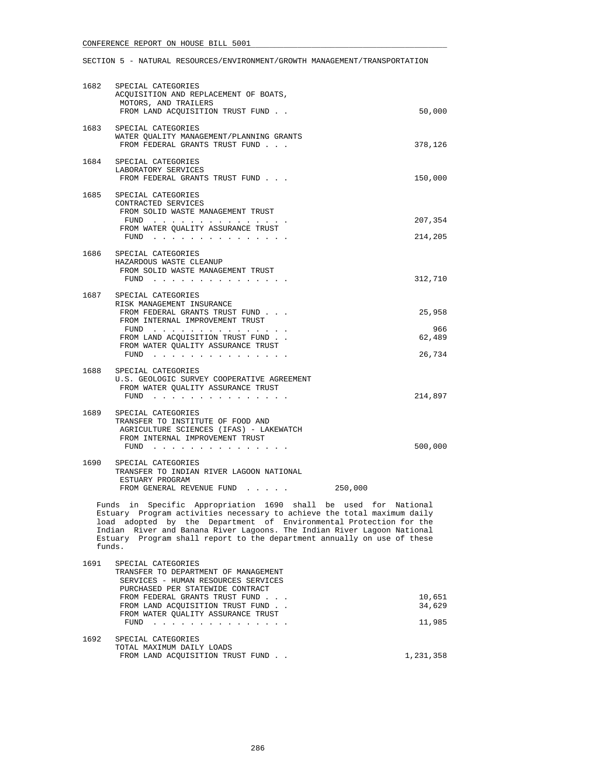| 1682 | SPECIAL CATEGORIES<br>ACQUISITION AND REPLACEMENT OF BOATS,<br>MOTORS, AND TRAILERS                                                                                                                                                                                                                                                                                              |               |
|------|----------------------------------------------------------------------------------------------------------------------------------------------------------------------------------------------------------------------------------------------------------------------------------------------------------------------------------------------------------------------------------|---------------|
|      | FROM LAND ACQUISITION TRUST FUND                                                                                                                                                                                                                                                                                                                                                 | 50,000        |
| 1683 | SPECIAL CATEGORIES<br>WATER QUALITY MANAGEMENT/PLANNING GRANTS<br>FROM FEDERAL GRANTS TRUST FUND                                                                                                                                                                                                                                                                                 | 378,126       |
|      | 1684 SPECIAL CATEGORIES<br>LABORATORY SERVICES<br>FROM FEDERAL GRANTS TRUST FUND                                                                                                                                                                                                                                                                                                 | 150,000       |
|      | 1685 SPECIAL CATEGORIES<br>CONTRACTED SERVICES<br>FROM SOLID WASTE MANAGEMENT TRUST<br>FUND $\cdots$<br>FROM WATER QUALITY ASSURANCE TRUST                                                                                                                                                                                                                                       | 207,354       |
|      | FUND $\cdots$                                                                                                                                                                                                                                                                                                                                                                    | 214,205       |
|      | 1686 SPECIAL CATEGORIES<br>HAZARDOUS WASTE CLEANUP<br>FROM SOLID WASTE MANAGEMENT TRUST                                                                                                                                                                                                                                                                                          | 312,710       |
|      | 1687 SPECIAL CATEGORIES                                                                                                                                                                                                                                                                                                                                                          |               |
|      | RISK MANAGEMENT INSURANCE<br>FROM FEDERAL GRANTS TRUST FUND<br>FROM INTERNAL IMPROVEMENT TRUST                                                                                                                                                                                                                                                                                   | 25,958        |
|      | FUND $\cdots$<br>FROM LAND ACQUISITION TRUST FUND<br>FROM WATER QUALITY ASSURANCE TRUST                                                                                                                                                                                                                                                                                          | 966<br>62,489 |
|      |                                                                                                                                                                                                                                                                                                                                                                                  | 26,734        |
| 1688 | SPECIAL CATEGORIES<br>U.S. GEOLOGIC SURVEY COOPERATIVE AGREEMENT<br>FROM WATER QUALITY ASSURANCE TRUST<br>${\tt FUND} \quad . \quad . \quad . \quad . \quad . \quad . \quad . \quad . \quad . \quad . \quad . \quad . \quad .$                                                                                                                                                   | 214,897       |
|      | 1689 SPECIAL CATEGORIES<br>TRANSFER TO INSTITUTE OF FOOD AND<br>AGRICULTURE SCIENCES (IFAS) - LAKEWATCH<br>FROM INTERNAL IMPROVEMENT TRUST                                                                                                                                                                                                                                       | 500,000       |
| 1690 | SPECIAL CATEGORIES<br>TRANSFER TO INDIAN RIVER LAGOON NATIONAL<br>ESTUARY PROGRAM                                                                                                                                                                                                                                                                                                |               |
|      | 250,000<br>FROM GENERAL REVENUE FUND                                                                                                                                                                                                                                                                                                                                             |               |
|      | Funds in Specific Appropriation 1690 shall be used for National<br>Estuary Program activities necessary to achieve the total maximum daily<br>load adopted by the Department of Environmental Protection for the<br>Indian River and Banana River Lagoons. The Indian River Lagoon National<br>Estuary Program shall report to the department annually on use of these<br>funds. |               |
| 1691 | SPECIAL CATEGORIES                                                                                                                                                                                                                                                                                                                                                               |               |

|      | TRANSFER TO DEPARTMENT OF MANAGEMENT                                                                                                                                                                                                   |           |
|------|----------------------------------------------------------------------------------------------------------------------------------------------------------------------------------------------------------------------------------------|-----------|
|      | SERVICES - HUMAN RESOURCES SERVICES                                                                                                                                                                                                    |           |
|      | PURCHASED PER STATEWIDE CONTRACT                                                                                                                                                                                                       |           |
|      | FROM FEDERAL GRANTS TRUST FUND                                                                                                                                                                                                         | 10,651    |
|      | FROM LAND ACOUISITION TRUST FUND.                                                                                                                                                                                                      | 34,629    |
|      | FROM WATER OUALITY ASSURANCE TRUST                                                                                                                                                                                                     |           |
|      | FUND<br>and the company of the company of the company of the company of the company of the company of the company of the company of the company of the company of the company of the company of the company of the company of the comp | 11,985    |
|      |                                                                                                                                                                                                                                        |           |
| 1692 | SPECIAL CATEGORIES                                                                                                                                                                                                                     |           |
|      | TOTAL MAXIMUM DAILY LOADS                                                                                                                                                                                                              |           |
|      | FROM LAND ACOUISITION TRUST FUND.                                                                                                                                                                                                      | 1,231,358 |
|      |                                                                                                                                                                                                                                        |           |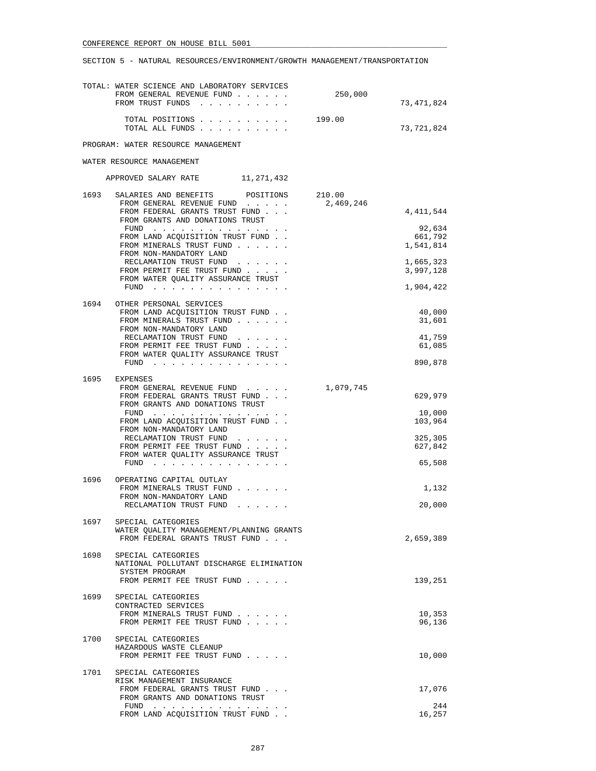|      | TOTAL: WATER SCIENCE AND LABORATORY SERVICES<br>FROM GENERAL REVENUE FUND<br>FROM TRUST FUNDS                                                            | 250,000             | 73,471,824                     |
|------|----------------------------------------------------------------------------------------------------------------------------------------------------------|---------------------|--------------------------------|
|      | TOTAL POSITIONS<br>TOTAL ALL FUNDS                                                                                                                       | 199.00              | 73,721,824                     |
|      | PROGRAM: WATER RESOURCE MANAGEMENT                                                                                                                       |                     |                                |
|      | WATER RESOURCE MANAGEMENT                                                                                                                                |                     |                                |
|      | APPROVED SALARY RATE 11, 271, 432                                                                                                                        |                     |                                |
| 1693 | SALARIES AND BENEFITS POSITIONS<br>FROM GENERAL REVENUE FUND<br>FROM FEDERAL GRANTS TRUST FUND                                                           | 210.00<br>2,469,246 | 4,411,544                      |
|      | FROM GRANTS AND DONATIONS TRUST<br>FUND<br>FROM LAND ACQUISITION TRUST FUND.                                                                             |                     | 92,634<br>661,792<br>1,541,814 |
|      | FROM MINERALS TRUST FUND<br>FROM NON-MANDATORY LAND<br>RECLAMATION TRUST FUND<br>FROM PERMIT FEE TRUST FUND                                              |                     | 1,665,323                      |
|      | FROM WATER QUALITY ASSURANCE TRUST<br>FUND $\cdots$                                                                                                      |                     | 3,997,128<br>1,904,422         |
|      | 1694 OTHER PERSONAL SERVICES<br>FROM LAND ACQUISITION TRUST FUND<br>FROM MINERALS TRUST FUND                                                             |                     | 40,000<br>31,601               |
|      | FROM NON-MANDATORY LAND<br>RECLAMATION TRUST FUND<br>FROM PERMIT FEE TRUST FUND                                                                          |                     | 41,759<br>61,085               |
|      | FROM WATER QUALITY ASSURANCE TRUST<br>$FUND$                                                                                                             |                     | 890,878                        |
| 1695 | EXPENSES<br>FROM GENERAL REVENUE FUND<br>FROM FEDERAL GRANTS TRUST FUND<br>FROM GRANTS AND DONATIONS TRUST                                               | 1,079,745           | 629,979                        |
|      | FROM LAND ACQUISITION TRUST FUND.<br>FROM NON-MANDATORY LAND                                                                                             |                     | 10,000<br>103,964              |
|      | RECLAMATION TRUST FUND<br>FROM PERMIT FEE TRUST FUND<br>FROM WATER QUALITY ASSURANCE TRUST<br>FUND                                                       |                     | 325,305<br>627,842<br>65,508   |
|      | 1696 OPERATING CAPITAL OUTLAY                                                                                                                            |                     |                                |
|      | FROM MINERALS TRUST FUND<br>FROM NON-MANDATORY LAND<br>RECLAMATION TRUST FUND                                                                            |                     | 1,132<br>20,000                |
| 1697 | SPECIAL CATEGORIES<br>WATER QUALITY MANAGEMENT/PLANNING GRANTS<br>FROM FEDERAL GRANTS TRUST FUND                                                         |                     | 2,659,389                      |
| 1698 | SPECIAL CATEGORIES<br>NATIONAL POLLUTANT DISCHARGE ELIMINATION<br>SYSTEM PROGRAM<br>FROM PERMIT FEE TRUST FUND                                           |                     | 139,251                        |
| 1699 | SPECIAL CATEGORIES<br>CONTRACTED SERVICES<br>FROM MINERALS TRUST FUND<br>FROM PERMIT FEE TRUST FUND                                                      |                     | 10,353<br>96,136               |
| 1700 | SPECIAL CATEGORIES<br>HAZARDOUS WASTE CLEANUP<br>FROM PERMIT FEE TRUST FUND                                                                              |                     | 10,000                         |
|      | 1701 SPECIAL CATEGORIES<br>RISK MANAGEMENT INSURANCE                                                                                                     |                     |                                |
|      | FROM FEDERAL GRANTS TRUST FUND<br>FROM GRANTS AND DONATIONS TRUST                                                                                        |                     | 17,076<br>244                  |
|      | ${\tt FUND} \quad . \quad . \quad . \quad . \quad . \quad . \quad . \quad . \quad . \quad . \quad . \quad . \quad .$<br>FROM LAND ACQUISITION TRUST FUND |                     | 16,257                         |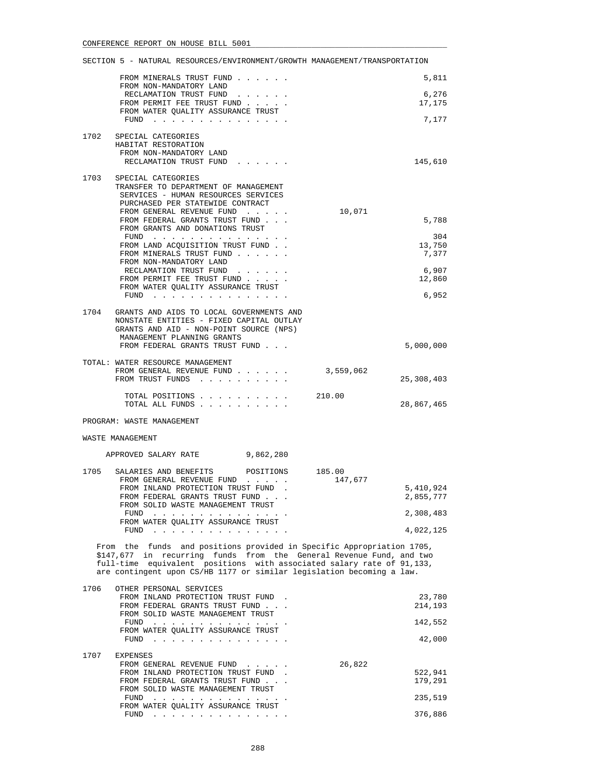|      | FROM MINERALS TRUST FUND<br>FROM NON-MANDATORY LAND                                                                                          |                   | 5,811                  |
|------|----------------------------------------------------------------------------------------------------------------------------------------------|-------------------|------------------------|
|      | RECLAMATION TRUST FUND                                                                                                                       |                   | 6,276                  |
|      | FROM PERMIT FEE TRUST FUND<br>FROM WATER QUALITY ASSURANCE TRUST                                                                             |                   | 17,175                 |
|      | FUND                                                                                                                                         |                   | 7,177                  |
| 1702 | SPECIAL CATEGORIES<br>HABITAT RESTORATION                                                                                                    |                   |                        |
|      | FROM NON-MANDATORY LAND                                                                                                                      |                   |                        |
|      | RECLAMATION TRUST FUND                                                                                                                       |                   | 145,610                |
| 1703 | SPECIAL CATEGORIES                                                                                                                           |                   |                        |
|      | TRANSFER TO DEPARTMENT OF MANAGEMENT<br>SERVICES - HUMAN RESOURCES SERVICES                                                                  |                   |                        |
|      | PURCHASED PER STATEWIDE CONTRACT<br>FROM GENERAL REVENUE FUND                                                                                | 10,071            |                        |
|      | FROM FEDERAL GRANTS TRUST FUND                                                                                                               |                   | 5,788                  |
|      | FROM GRANTS AND DONATIONS TRUST<br>FUND $\cdots$                                                                                             |                   | 304                    |
|      | FROM LAND ACQUISITION TRUST FUND.                                                                                                            |                   | 13,750                 |
|      | FROM MINERALS TRUST FUND<br>FROM NON-MANDATORY LAND                                                                                          |                   | 7,377                  |
|      | RECLAMATION TRUST FUND<br>FROM PERMIT FEE TRUST FUND                                                                                         |                   | 6,907                  |
|      | FROM WATER QUALITY ASSURANCE TRUST                                                                                                           |                   | 12,860                 |
|      | FUND $\cdots$                                                                                                                                |                   | 6,952                  |
|      | 1704 GRANTS AND AIDS TO LOCAL GOVERNMENTS AND                                                                                                |                   |                        |
|      | NONSTATE ENTITIES - FIXED CAPITAL OUTLAY<br>GRANTS AND AID - NON-POINT SOURCE (NPS)                                                          |                   |                        |
|      | MANAGEMENT PLANNING GRANTS                                                                                                                   |                   |                        |
|      | FROM FEDERAL GRANTS TRUST FUND                                                                                                               |                   | 5,000,000              |
|      | TOTAL: WATER RESOURCE MANAGEMENT<br>FROM GENERAL REVENUE FUND                                                                                | 3,559,062         |                        |
|      | FROM TRUST FUNDS                                                                                                                             |                   | 25,308,403             |
|      | TOTAL POSITIONS                                                                                                                              | 210.00            |                        |
|      | TOTAL ALL FUNDS                                                                                                                              |                   | 28,867,465             |
|      | PROGRAM: WASTE MANAGEMENT                                                                                                                    |                   |                        |
|      | WASTE MANAGEMENT                                                                                                                             |                   |                        |
|      | APPROVED SALARY RATE<br>9,862,280                                                                                                            |                   |                        |
|      |                                                                                                                                              |                   |                        |
| 1705 | SALARIES AND BENEFITS POSITIONS<br>FROM GENERAL REVENUE FUND                                                                                 | 185.00<br>147,677 |                        |
|      | FROM INLAND PROTECTION TRUST FUND.<br>FROM FEDERAL GRANTS TRUST FUND.                                                                        |                   | 5,410,924<br>2,855,777 |
|      | FROM SOLID WASTE MANAGEMENT TRUST                                                                                                            |                   |                        |
|      | FUND $\cdots$<br>FROM WATER QUALITY ASSURANCE TRUST                                                                                          |                   | 2,308,483              |
|      | FUND $\cdots$                                                                                                                                |                   | 4,022,125              |
|      | From the funds and positions provided in Specific Appropriation 1705,                                                                        |                   |                        |
|      | \$147,677 in recurring funds from the General Revenue Fund, and two<br>full-time equivalent positions with associated salary rate of 91,133, |                   |                        |
|      | are contingent upon CS/HB 1177 or similar legislation becoming a law.                                                                        |                   |                        |
| 1706 | OTHER PERSONAL SERVICES                                                                                                                      |                   |                        |
|      | FROM INLAND PROTECTION TRUST FUND.<br>FROM FEDERAL GRANTS TRUST FUND                                                                         |                   | 23,780<br>214,193      |
|      | FROM SOLID WASTE MANAGEMENT TRUST                                                                                                            |                   |                        |
|      | FUND $\cdots$<br>FROM WATER QUALITY ASSURANCE TRUST                                                                                          |                   | 142,552                |
|      | FUND $\cdots$                                                                                                                                |                   | 42,000                 |
| 1707 | EXPENSES                                                                                                                                     |                   |                        |
|      | FROM GENERAL REVENUE FUND<br>FROM INLAND PROTECTION TRUST FUND.                                                                              | 26,822            | 522,941                |
|      | FROM FEDERAL GRANTS TRUST FUND                                                                                                               |                   | 179,291                |
|      | FROM SOLID WASTE MANAGEMENT TRUST<br>FUND                                                                                                    |                   | 235,519                |
|      | FROM WATER QUALITY ASSURANCE TRUST                                                                                                           |                   |                        |
|      | FUND $\cdots$                                                                                                                                |                   | 376,886                |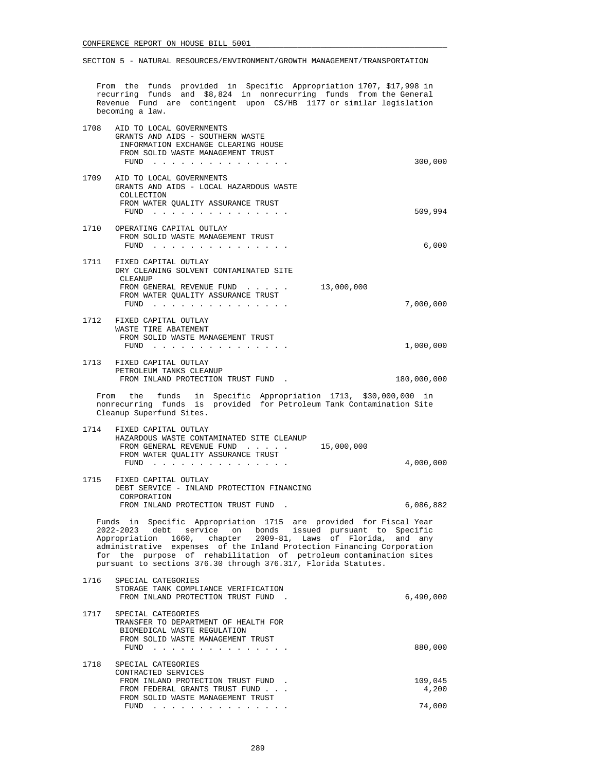From the funds provided in Specific Appropriation 1707, \$17,998 in recurring funds and \$8,824 in nonrecurring funds from the General Revenue Fund are contingent upon CS/HB 1177 or similar legislation becoming a law.

| 1708                                                                                                                                                                                                                                                                                                                                                                                                                         | AID TO LOCAL GOVERNMENTS<br>GRANTS AND AIDS - SOUTHERN WASTE<br>INFORMATION EXCHANGE CLEARING HOUSE<br>FROM SOLID WASTE MANAGEMENT TRUST<br>$FUND$                                               | 300,000                    |
|------------------------------------------------------------------------------------------------------------------------------------------------------------------------------------------------------------------------------------------------------------------------------------------------------------------------------------------------------------------------------------------------------------------------------|--------------------------------------------------------------------------------------------------------------------------------------------------------------------------------------------------|----------------------------|
| 1709                                                                                                                                                                                                                                                                                                                                                                                                                         | AID TO LOCAL GOVERNMENTS<br>GRANTS AND AIDS - LOCAL HAZARDOUS WASTE<br>COLLECTION<br>FROM WATER QUALITY ASSURANCE TRUST                                                                          | 509,994                    |
| 1710                                                                                                                                                                                                                                                                                                                                                                                                                         | OPERATING CAPITAL OUTLAY<br>FROM SOLID WASTE MANAGEMENT TRUST                                                                                                                                    | 6,000                      |
| 1711                                                                                                                                                                                                                                                                                                                                                                                                                         | FIXED CAPITAL OUTLAY<br>DRY CLEANING SOLVENT CONTAMINATED SITE<br><b>CLEANUP</b><br>FROM GENERAL REVENUE FUND<br>13,000,000<br>FROM WATER QUALITY ASSURANCE TRUST<br>FUND $\cdots$               | 7,000,000                  |
| 1712                                                                                                                                                                                                                                                                                                                                                                                                                         | FIXED CAPITAL OUTLAY<br>WASTE TIRE ABATEMENT<br>FROM SOLID WASTE MANAGEMENT TRUST<br>FUND<br>. The contract of the contract of the contract of the contract of the contract of the $\mathcal{A}$ | 1,000,000                  |
| 1713                                                                                                                                                                                                                                                                                                                                                                                                                         | FIXED CAPITAL OUTLAY<br>PETROLEUM TANKS CLEANUP<br>FROM INLAND PROTECTION TRUST FUND.                                                                                                            | 180,000,000                |
|                                                                                                                                                                                                                                                                                                                                                                                                                              | From the funds in Specific Appropriation 1713, \$30,000,000 in<br>nonrecurring funds is provided for Petroleum Tank Contamination Site<br>Cleanup Superfund Sites.                               |                            |
| 1714                                                                                                                                                                                                                                                                                                                                                                                                                         | FIXED CAPITAL OUTLAY<br>HAZARDOUS WASTE CONTAMINATED SITE CLEANUP<br>15,000,000<br>FROM GENERAL REVENUE FUND<br>FROM WATER QUALITY ASSURANCE TRUST<br>FUND $\cdots$                              | 4,000,000                  |
| 1715                                                                                                                                                                                                                                                                                                                                                                                                                         | FIXED CAPITAL OUTLAY<br>DEBT SERVICE - INLAND PROTECTION FINANCING<br>CORPORATION<br>FROM INLAND PROTECTION TRUST FUND.                                                                          | 6,086,882                  |
| Funds in Specific Appropriation 1715 are provided for Fiscal Year<br>2022-2023 debt<br>service on bonds issued pursuant to Specific<br>Appropriation 1660, chapter 2009-81, Laws of Florida,<br>and any<br>administrative expenses of the Inland Protection Financing Corporation<br>the purpose of rehabilitation of petroleum contamination sites<br>for<br>pursuant to sections 376.30 through 376.317, Florida Statutes. |                                                                                                                                                                                                  |                            |
| 1716                                                                                                                                                                                                                                                                                                                                                                                                                         | SPECIAL CATEGORIES<br>STORAGE TANK COMPLIANCE VERIFICATION<br>FROM INLAND PROTECTION TRUST FUND.                                                                                                 | 6,490,000                  |
| 1717                                                                                                                                                                                                                                                                                                                                                                                                                         | SPECIAL CATEGORIES<br>TRANSFER TO DEPARTMENT OF HEALTH FOR<br>BIOMEDICAL WASTE REGULATION<br>FROM SOLID WASTE MANAGEMENT TRUST<br>FUND $\cdots$                                                  | 880,000                    |
| 1718                                                                                                                                                                                                                                                                                                                                                                                                                         | SPECIAL CATEGORIES<br>CONTRACTED SERVICES<br>FROM INLAND PROTECTION TRUST FUND.<br>FROM FEDERAL GRANTS TRUST FUND<br>FROM SOLID WASTE MANAGEMENT TRUST<br>FUND $\cdots$                          | 109,045<br>4,200<br>74,000 |
|                                                                                                                                                                                                                                                                                                                                                                                                                              |                                                                                                                                                                                                  |                            |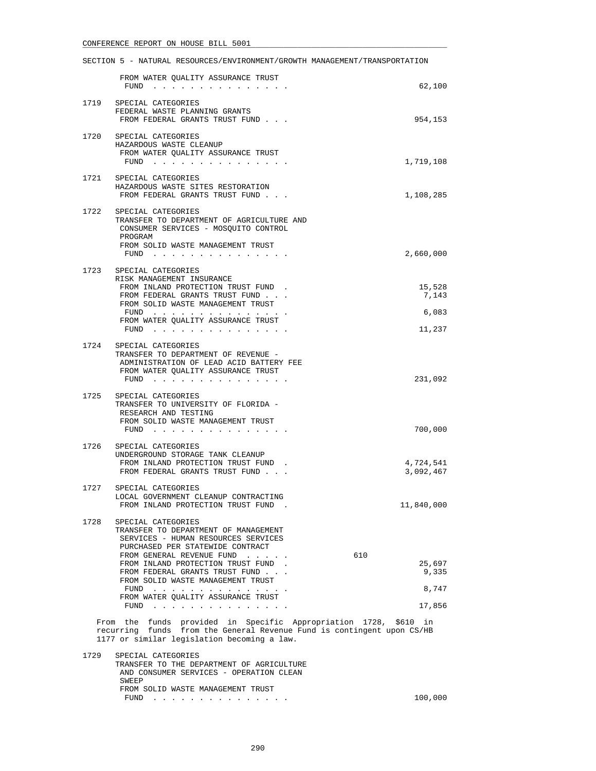|      | FROM WATER QUALITY ASSURANCE TRUST<br>FUND $\cdots$ $\cdots$ $\cdots$                                                                                                                                                                                                                                                                       | 62,100                                    |
|------|---------------------------------------------------------------------------------------------------------------------------------------------------------------------------------------------------------------------------------------------------------------------------------------------------------------------------------------------|-------------------------------------------|
| 1719 | SPECIAL CATEGORIES<br>FEDERAL WASTE PLANNING GRANTS<br>FROM FEDERAL GRANTS TRUST FUND                                                                                                                                                                                                                                                       | 954,153                                   |
|      | 1720 SPECIAL CATEGORIES<br>HAZARDOUS WASTE CLEANUP<br>FROM WATER QUALITY ASSURANCE TRUST<br>FUND $\cdots$                                                                                                                                                                                                                                   | 1,719,108                                 |
|      | 1721 SPECIAL CATEGORIES<br>HAZARDOUS WASTE SITES RESTORATION<br>FROM FEDERAL GRANTS TRUST FUND                                                                                                                                                                                                                                              | 1,108,285                                 |
| 1722 | SPECIAL CATEGORIES<br>TRANSFER TO DEPARTMENT OF AGRICULTURE AND<br>CONSUMER SERVICES - MOSQUITO CONTROL<br>PROGRAM<br>FROM SOLID WASTE MANAGEMENT TRUST<br>FUND $\cdots$                                                                                                                                                                    | 2,660,000                                 |
|      | 1723 SPECIAL CATEGORIES<br>RISK MANAGEMENT INSURANCE<br>FROM INLAND PROTECTION TRUST FUND.<br>FROM FEDERAL GRANTS TRUST FUND<br>FROM SOLID WASTE MANAGEMENT TRUST<br>FUND $\cdots$<br>FROM WATER QUALITY ASSURANCE TRUST<br>FUND $\cdots$                                                                                                   | 15,528<br>7,143<br>6,083<br>11,237        |
| 1724 | SPECIAL CATEGORIES<br>TRANSFER TO DEPARTMENT OF REVENUE -<br>ADMINISTRATION OF LEAD ACID BATTERY FEE<br>FROM WATER QUALITY ASSURANCE TRUST<br>FUND $\cdots$                                                                                                                                                                                 | 231,092                                   |
| 1725 | SPECIAL CATEGORIES<br>TRANSFER TO UNIVERSITY OF FLORIDA -<br>RESEARCH AND TESTING<br>FROM SOLID WASTE MANAGEMENT TRUST<br>$FUND$                                                                                                                                                                                                            | 700,000                                   |
| 1726 | SPECIAL CATEGORIES<br>UNDERGROUND STORAGE TANK CLEANUP<br>FROM INLAND PROTECTION TRUST FUND.<br>FROM FEDERAL GRANTS TRUST FUND                                                                                                                                                                                                              | 4,724,541<br>3,092,467                    |
| 1727 | SPECIAL CATEGORIES<br>LOCAL GOVERNMENT CLEANUP CONTRACTING<br>FROM INLAND PROTECTION TRUST FUND                                                                                                                                                                                                                                             | 11,840,000                                |
|      | 1728 SPECIAL CATEGORIES<br>TRANSFER TO DEPARTMENT OF MANAGEMENT<br>SERVICES - HUMAN RESOURCES SERVICES<br>PURCHASED PER STATEWIDE CONTRACT<br>FROM GENERAL REVENUE FUND<br>FROM INLAND PROTECTION TRUST FUND.<br>FROM FEDERAL GRANTS TRUST FUND<br>FROM SOLID WASTE MANAGEMENT TRUST<br>FUND $\cdots$<br>FROM WATER QUALITY ASSURANCE TRUST | 610<br>25,697<br>9,335<br>8,747<br>17,856 |
|      | From the funds provided in Specific Appropriation 1728, \$610 in<br>recurring funds from the General Revenue Fund is contingent upon CS/HB<br>1177 or similar legislation becoming a law.                                                                                                                                                   |                                           |
| 1729 | SPECIAL CATEGORIES<br>TRANSFER TO THE DEPARTMENT OF AGRICULTURE<br>AND CONSUMER SERVICES - OPERATION CLEAN                                                                                                                                                                                                                                  |                                           |

NSUMER SERVICES - OPERATION CI SWEEP FROM SOLID WASTE MANAGEMENT TRUST FUND . . . . . . . . . . . . . . . 100,000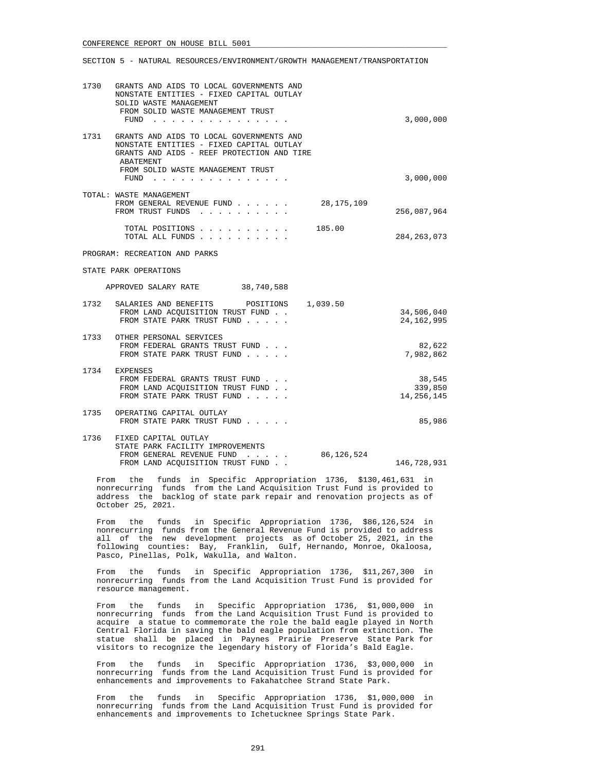#### SECTION 5 - NATURAL RESOURCES/ENVIRONMENT/GROWTH MANAGEMENT/TRANSPORTATION

|      | 1730 GRANTS AND AIDS TO LOCAL GOVERNMENTS AND<br>NONSTATE ENTITIES - FIXED CAPITAL OUTLAY<br>SOLID WASTE MANAGEMENT<br>FROM SOLID WASTE MANAGEMENT TRUST<br>$FUND$ | 3,000,000                         |
|------|--------------------------------------------------------------------------------------------------------------------------------------------------------------------|-----------------------------------|
| 1731 | GRANTS AND AIDS TO LOCAL GOVERNMENTS AND<br>NONSTATE ENTITIES - FIXED CAPITAL OUTLAY<br>GRANTS AND AIDS - REEF PROTECTION AND TIRE<br>ABATEMENT                    |                                   |
|      | FROM SOLID WASTE MANAGEMENT TRUST<br>$FUND$                                                                                                                        | 3,000,000                         |
|      | TOTAL: WASTE MANAGEMENT<br>FROM GENERAL REVENUE FUND<br>28,175,109<br>FROM TRUST FUNDS                                                                             | 256,087,964                       |
|      | TOTAL POSITIONS<br>185.00<br>TOTAL ALL FUNDS                                                                                                                       | 284, 263, 073                     |
|      | PROGRAM: RECREATION AND PARKS                                                                                                                                      |                                   |
|      | STATE PARK OPERATIONS                                                                                                                                              |                                   |
|      | APPROVED SALARY RATE 38,740,588                                                                                                                                    |                                   |
| 1732 | SALARIES AND BENEFITS POSITIONS 1,039.50<br>FROM LAND ACOUISITION TRUST FUND.<br>FROM STATE PARK TRUST FUND                                                        | 34,506,040<br>24, 162, 995        |
|      | 1733 OTHER PERSONAL SERVICES<br>FROM FEDERAL GRANTS TRUST FUND<br>FROM STATE PARK TRUST FUND                                                                       | 82,622<br>7,982,862               |
|      | 1734 EXPENSES<br>FROM FEDERAL GRANTS TRUST FUND<br>FROM LAND ACOUISITION TRUST FUND.<br>FROM STATE PARK TRUST FUND                                                 | 38,545<br>339,850<br>14, 256, 145 |
|      | 1735 OPERATING CAPITAL OUTLAY<br>FROM STATE PARK TRUST FUND                                                                                                        | 85,986                            |
|      | 1736 FIXED CAPITAL OUTLAY<br>STATE PARK FACILITY IMPROVEMENTS<br>FROM GENERAL REVENUE FUND<br>86,126,524                                                           |                                   |

FROM LAND ACOUISITION TRUST FUND . . 146,728,931 From the funds in Specific Appropriation 1736, \$130,461,631 in

 nonrecurring funds from the Land Acquisition Trust Fund is provided to address the backlog of state park repair and renovation projects as of October 25, 2021.

 From the funds in Specific Appropriation 1736, \$86,126,524 in nonrecurring funds from the General Revenue Fund is provided to address all of the new development projects as of October 25, 2021, in the following counties: Bay, Franklin, Gulf, Hernando, Monroe, Okaloosa, Pasco, Pinellas, Polk, Wakulla, and Walton.

 From the funds in Specific Appropriation 1736, \$11,267,300 in nonrecurring funds from the Land Acquisition Trust Fund is provided for resource management.

 From the funds in Specific Appropriation 1736, \$1,000,000 in nonrecurring funds from the Land Acquisition Trust Fund is provided to acquire a statue to commemorate the role the bald eagle played in North Central Florida in saving the bald eagle population from extinction. The statue shall be placed in Paynes Prairie Preserve State Park for visitors to recognize the legendary history of Florida's Bald Eagle.

 From the funds in Specific Appropriation 1736, \$3,000,000 in nonrecurring funds from the Land Acquisition Trust Fund is provided for enhancements and improvements to Fakahatchee Strand State Park.

 From the funds in Specific Appropriation 1736, \$1,000,000 in nonrecurring funds from the Land Acquisition Trust Fund is provided for enhancements and improvements to Ichetucknee Springs State Park.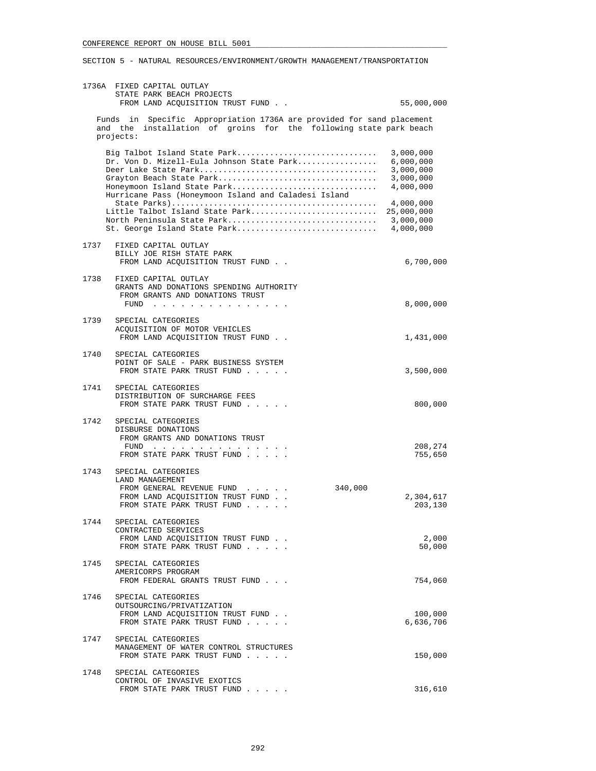| 1736A FIXED CAPITAL OUTLAY<br>STATE PARK BEACH PROJECTS<br>FROM LAND ACQUISITION TRUST FUND                                                                                                  | 55,000,000                                                    |
|----------------------------------------------------------------------------------------------------------------------------------------------------------------------------------------------|---------------------------------------------------------------|
| Funds in Specific Appropriation 1736A are provided for sand placement<br>and the installation of groins for the following state park beach                                                   |                                                               |
| projects:                                                                                                                                                                                    |                                                               |
| Big Talbot Island State Park<br>Dr. Von D. Mizell-Eula Johnson State Park<br>Grayton Beach State Park<br>Honeymoon Island State Park<br>Hurricane Pass (Honeymoon Island and Caladesi Island | 3,000,000<br>6,000,000<br>3,000,000<br>3,000,000<br>4,000,000 |
| Little Talbot Island State Park<br>North Peninsula State Park<br>St. George Island State Park                                                                                                | 4,000,000<br>25,000,000<br>3,000,000<br>4,000,000             |
| 1737<br>FIXED CAPITAL OUTLAY<br>BILLY JOE RISH STATE PARK<br>FROM LAND ACQUISITION TRUST FUND.                                                                                               | 6,700,000                                                     |
| 1738<br>FIXED CAPITAL OUTLAY<br>GRANTS AND DONATIONS SPENDING AUTHORITY<br>FROM GRANTS AND DONATIONS TRUST                                                                                   | 8,000,000                                                     |
| 1739<br>SPECIAL CATEGORIES<br>ACQUISITION OF MOTOR VEHICLES<br>FROM LAND ACQUISITION TRUST FUND.                                                                                             | 1,431,000                                                     |
| 1740<br>SPECIAL CATEGORIES<br>POINT OF SALE - PARK BUSINESS SYSTEM<br>FROM STATE PARK TRUST FUND                                                                                             | 3,500,000                                                     |
| 1741<br>SPECIAL CATEGORIES<br>DISTRIBUTION OF SURCHARGE FEES<br>FROM STATE PARK TRUST FUND                                                                                                   | 800,000                                                       |
| 1742<br>SPECIAL CATEGORIES<br>DISBURSE DONATIONS<br>FROM GRANTS AND DONATIONS TRUST<br>FUND $\cdots$<br>FROM STATE PARK TRUST FUND                                                           | 208,274<br>755,650                                            |
| 1743<br>SPECIAL CATEGORIES<br>LAND MANAGEMENT<br>340,000<br>FROM GENERAL REVENUE FUND<br>FROM LAND ACQUISITION TRUST FUND.<br>FROM STATE PARK TRUST FUND                                     | 2,304,617<br>203,130                                          |
| 1744<br>SPECIAL CATEGORIES<br>CONTRACTED SERVICES<br>FROM LAND ACQUISITION TRUST FUND<br>FROM STATE PARK TRUST FUND                                                                          | 2,000<br>50,000                                               |
| 1745<br>SPECIAL CATEGORIES<br>AMERICORPS PROGRAM<br>FROM FEDERAL GRANTS TRUST FUND                                                                                                           | 754,060                                                       |
| 1746<br>SPECIAL CATEGORIES<br>OUTSOURCING/PRIVATIZATION<br>FROM LAND ACOUISITION TRUST FUND.<br>FROM STATE PARK TRUST FUND                                                                   | 100,000<br>6,636,706                                          |
| 1747<br>SPECIAL CATEGORIES<br>MANAGEMENT OF WATER CONTROL STRUCTURES<br>FROM STATE PARK TRUST FUND                                                                                           | 150,000                                                       |
| 1748<br>SPECIAL CATEGORIES<br>CONTROL OF INVASIVE EXOTICS<br>FROM STATE PARK TRUST FUND                                                                                                      | 316,610                                                       |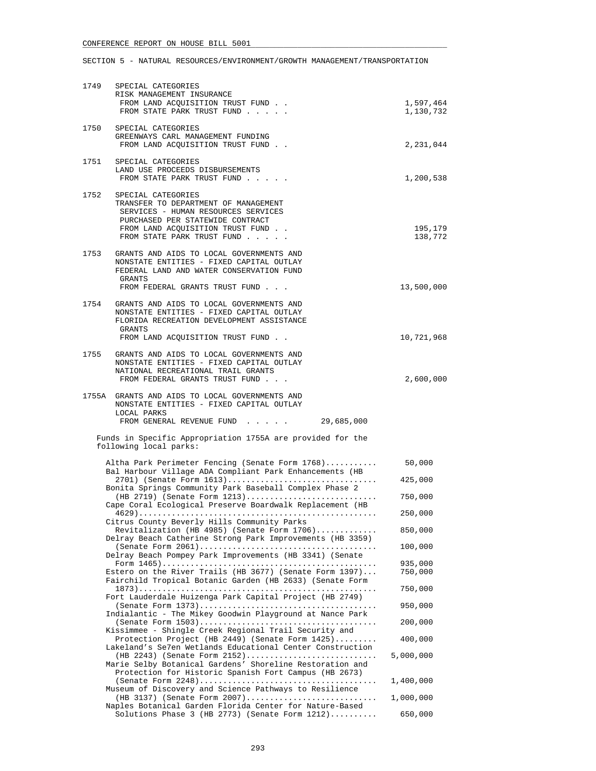| 1749 | SPECIAL CATEGORIES<br>RISK MANAGEMENT INSURANCE<br>FROM LAND ACQUISITION TRUST FUND<br>FROM STATE PARK TRUST FUND                                                                                                | 1,597,464<br>1,130,732 |
|------|------------------------------------------------------------------------------------------------------------------------------------------------------------------------------------------------------------------|------------------------|
| 1750 | SPECIAL CATEGORIES<br>GREENWAYS CARL MANAGEMENT FUNDING<br>FROM LAND ACQUISITION TRUST FUND                                                                                                                      | 2,231,044              |
| 1751 | SPECIAL CATEGORIES<br>LAND USE PROCEEDS DISBURSEMENTS<br>FROM STATE PARK TRUST FUND                                                                                                                              | 1,200,538              |
| 1752 | SPECIAL CATEGORIES<br>TRANSFER TO DEPARTMENT OF MANAGEMENT<br>SERVICES - HUMAN RESOURCES SERVICES<br>PURCHASED PER STATEWIDE CONTRACT<br>FROM LAND ACQUISITION TRUST FUND<br>FROM STATE PARK TRUST FUND          | 195,179<br>138,772     |
| 1753 | GRANTS AND AIDS TO LOCAL GOVERNMENTS AND<br>NONSTATE ENTITIES - FIXED CAPITAL OUTLAY<br>FEDERAL LAND AND WATER CONSERVATION FUND<br>GRANTS                                                                       |                        |
|      | FROM FEDERAL GRANTS TRUST FUND                                                                                                                                                                                   | 13,500,000             |
| 1754 | GRANTS AND AIDS TO LOCAL GOVERNMENTS AND<br>NONSTATE ENTITIES - FIXED CAPITAL OUTLAY<br>FLORIDA RECREATION DEVELOPMENT ASSISTANCE<br>GRANTS                                                                      |                        |
|      | FROM LAND ACQUISITION TRUST FUND.                                                                                                                                                                                | 10,721,968             |
| 1755 | GRANTS AND AIDS TO LOCAL GOVERNMENTS AND<br>NONSTATE ENTITIES - FIXED CAPITAL OUTLAY<br>NATIONAL RECREATIONAL TRAIL GRANTS<br>FROM FEDERAL GRANTS TRUST FUND                                                     | 2,600,000              |
|      | 1755A GRANTS AND AIDS TO LOCAL GOVERNMENTS AND<br>NONSTATE ENTITIES - FIXED CAPITAL OUTLAY<br>LOCAL PARKS<br>FROM GENERAL REVENUE FUND<br>29,685,000                                                             |                        |
|      | Funds in Specific Appropriation 1755A are provided for the<br>following local parks:                                                                                                                             |                        |
|      | Altha Park Perimeter Fencing (Senate Form 1768)                                                                                                                                                                  | 50,000                 |
|      | Bal Harbour Village ADA Compliant Park Enhancements (HB<br>2701) (Senate Form 1613)                                                                                                                              | 425,000                |
|      | Bonita Springs Community Park Baseball Complex Phase 2<br>$(HB 2719)$ (Senate Form 1213)                                                                                                                         | 750,000                |
|      | Cape Coral Ecological Preserve Boardwalk Replacement (HB<br>$4629) \ldots \ldots$                                                                                                                                | 250,000                |
|      | Citrus County Beverly Hills Community Parks                                                                                                                                                                      |                        |
|      | Revitalization (HB 4985) (Senate Form $1706)$<br>Delray Beach Catherine Strong Park Improvements (HB 3359)                                                                                                       | 850,000                |
|      | Delray Beach Pompey Park Improvements (HB 3341) (Senate                                                                                                                                                          | 100,000                |
|      | Estero on the River Trails (HB 3677) (Senate Form $1397) \ldots$<br>Fairchild Tropical Botanic Garden (HB 2633) (Senate Form                                                                                     | 935,000<br>750,000     |
|      | Fort Lauderdale Huizenga Park Capital Project (HB 2749)                                                                                                                                                          | 750,000                |
|      | Indialantic - The Mikey Goodwin Playground at Nance Park                                                                                                                                                         | 950,000                |
|      |                                                                                                                                                                                                                  | 200,000                |
|      | Kissimmee - Shingle Creek Regional Trail Security and<br>Protection Project (HB 2449) (Senate Form 1425)                                                                                                         | 400,000                |
|      | Lakeland's Se7en Wetlands Educational Center Construction<br>(HB 2243) (Senate Form $2152)$<br>Marie Selby Botanical Gardens' Shoreline Restoration and<br>Protection for Historic Spanish Fort Campus (HB 2673) | 5,000,000              |
|      |                                                                                                                                                                                                                  | 1,400,000              |
|      | Museum of Discovery and Science Pathways to Resilience<br>(HB 3137) (Senate Form 2007)<br>Naples Botanical Garden Florida Center for Nature-Based                                                                | 1,000,000              |
|      | Solutions Phase 3 (HB 2773) (Senate Form $1212)$                                                                                                                                                                 | 650,000                |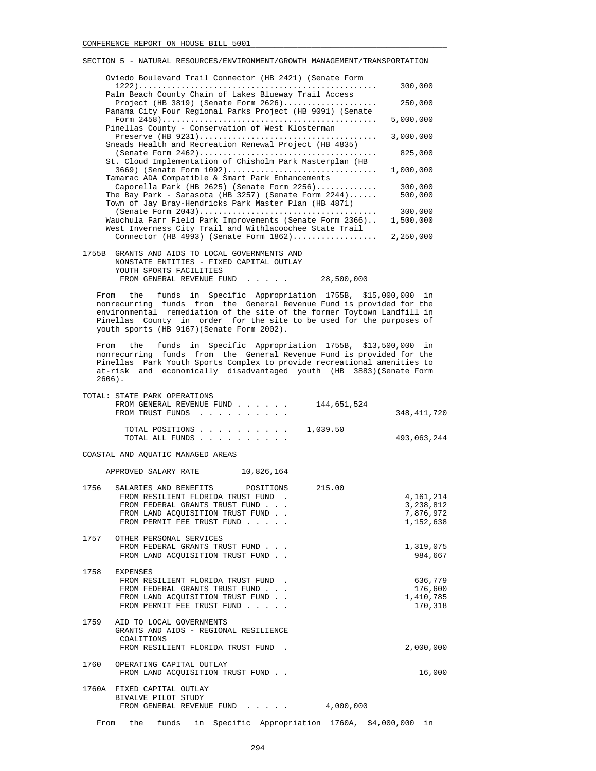| Oviedo Boulevard Trail Connector (HB 2421) (Senate Form   |           |
|-----------------------------------------------------------|-----------|
|                                                           | 300,000   |
| Palm Beach County Chain of Lakes Blueway Trail Access     |           |
| Project (HB 3819) (Senate Form $2626)$                    | 250,000   |
| Panama City Four Regional Parks Project (HB 9091) (Senate |           |
|                                                           | 5,000,000 |
| Pinellas County - Conservation of West Klosterman         |           |
|                                                           | 3,000,000 |
| Sneads Health and Recreation Renewal Project (HB 4835)    |           |
|                                                           | 825,000   |
| St. Cloud Implementation of Chisholm Park Masterplan (HB  |           |
| 3669) (Senate Form 1092)                                  | 1,000,000 |
| Tamarac ADA Compatible & Smart Park Enhancements          |           |
| Caporella Park (HB 2625) (Senate Form $2256)$             | 300,000   |
| The Bay Park - Sarasota (HB 3257) (Senate Form $2244$ )   | 500,000   |
| Town of Jay Bray-Hendricks Park Master Plan (HB 4871)     |           |
|                                                           | 300,000   |
| Wauchula Farr Field Park Improvements (Senate Form 2366)  | 1,500,000 |
| West Inverness City Trail and Withlacoochee State Trail   |           |
| Connector (HB 4993) (Senate Form $1862)$                  | 2,250,000 |
|                                                           |           |
| 1755 ODANTO AND ATDO TO LOGAL COMPONIUNTO AND             |           |

 1755B GRANTS AND AIDS TO LOCAL GOVERNMENTS AND NONSTATE ENTITIES - FIXED CAPITAL OUTLAY YOUTH SPORTS FACILITIES FROM GENERAL REVENUE FUND . . . . . 28,500,000

 From the funds in Specific Appropriation 1755B, \$15,000,000 in nonrecurring funds from the General Revenue Fund is provided for the environmental remediation of the site of the former Toytown Landfill in Pinellas County in order for the site to be used for the purposes of youth sports (HB 9167)(Senate Form 2002).

 From the funds in Specific Appropriation 1755B, \$13,500,000 in nonrecurring funds from the General Revenue Fund is provided for the Pinellas Park Youth Sports Complex to provide recreational amenities to at-risk and economically disadvantaged youth (HB 3883)(Senate Form 2606).

|      | TOTAL: STATE PARK OPERATIONS<br>FROM GENERAL REVENUE FUND 144,651,524<br>FROM TRUST FUNDS                                                                                                                                                                                                                                                                                                                                                                                                                      |           | 348,411,720                                      |
|------|----------------------------------------------------------------------------------------------------------------------------------------------------------------------------------------------------------------------------------------------------------------------------------------------------------------------------------------------------------------------------------------------------------------------------------------------------------------------------------------------------------------|-----------|--------------------------------------------------|
|      | TOTAL POSITIONS 1,039.50<br>TOTAL ALL FUNDS                                                                                                                                                                                                                                                                                                                                                                                                                                                                    |           | 493,063,244                                      |
|      | COASTAL AND AQUATIC MANAGED AREAS                                                                                                                                                                                                                                                                                                                                                                                                                                                                              |           |                                                  |
|      | APPROVED SALARY RATE 10,826,164                                                                                                                                                                                                                                                                                                                                                                                                                                                                                |           |                                                  |
| 1756 | SALARIES AND BENEFITS POSITIONS 215.00<br>FROM RESILIENT FLORIDA TRUST FUND.<br>FROM FEDERAL GRANTS TRUST FUND<br>FROM LAND ACOUISITION TRUST FUND<br>FROM PERMIT FEE TRUST FUND                                                                                                                                                                                                                                                                                                                               |           | 4,161,214<br>3,238,812<br>7,876,972<br>1,152,638 |
|      | 1757 OTHER PERSONAL SERVICES<br>FROM FEDERAL GRANTS TRUST FUND<br>FROM LAND ACQUISITION TRUST FUND                                                                                                                                                                                                                                                                                                                                                                                                             |           | 1,319,075<br>984,667                             |
|      | 1758 EXPENSES<br>FROM RESILIENT FLORIDA TRUST FUND.<br>FROM FEDERAL GRANTS TRUST FUND<br>FROM LAND ACOUISITION TRUST FUND<br>FROM PERMIT FEE TRUST FUND                                                                                                                                                                                                                                                                                                                                                        |           | 636,779<br>176,600<br>1,410,785<br>170,318       |
|      | 1759 AID TO LOCAL GOVERNMENTS<br>GRANTS AND AIDS - REGIONAL RESILIENCE<br>COALITIONS<br>FROM RESILIENT FLORIDA TRUST FUND.                                                                                                                                                                                                                                                                                                                                                                                     |           | 2,000,000                                        |
|      | 1760 OPERATING CAPITAL OUTLAY<br>FROM LAND ACOUISITION TRUST FUND.                                                                                                                                                                                                                                                                                                                                                                                                                                             |           | 16,000                                           |
|      | 1760A FIXED CAPITAL OUTLAY<br>BIVALVE PILOT STUDY<br>FROM GENERAL REVENUE FUND<br>$\mathbf{r} = \mathbf{r} + \mathbf{r} + \mathbf{r} + \mathbf{r} + \mathbf{r} + \mathbf{r} + \mathbf{r} + \mathbf{r} + \mathbf{r} + \mathbf{r} + \mathbf{r} + \mathbf{r} + \mathbf{r} + \mathbf{r} + \mathbf{r} + \mathbf{r} + \mathbf{r} + \mathbf{r} + \mathbf{r} + \mathbf{r} + \mathbf{r} + \mathbf{r} + \mathbf{r} + \mathbf{r} + \mathbf{r} + \mathbf{r} + \mathbf{r} + \mathbf{r} + \mathbf{r} + \mathbf{r} + \mathbf$ | 4,000,000 |                                                  |

From the funds in Specific Appropriation 1760A, \$4,000,000 in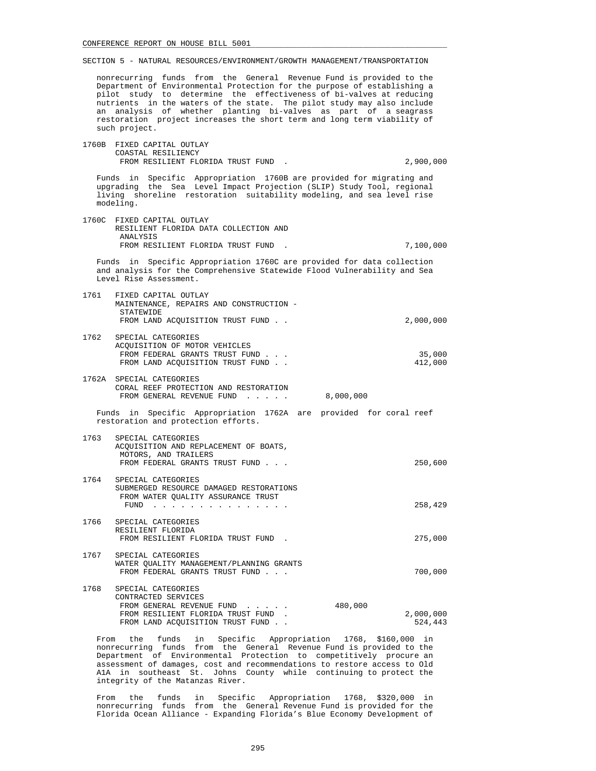nonrecurring funds from the General Revenue Fund is provided to the Department of Environmental Protection for the purpose of establishing a pilot study to determine the effectiveness of bi-valves at reducing nutrients in the waters of the state. The pilot study may also include an analysis of whether planting bi-valves as part of a seagrass restoration project increases the short term and long term viability of such project.

# 1760B FIXED CAPITAL OUTLAY COASTAL RESILIENCY FROM RESILIENT FLORIDA TRUST FUND . 2,900,000 Funds in Specific Appropriation 1760B are provided for migrating and upgrading the Sea Level Impact Projection (SLIP) Study Tool, regional living shoreline restoration suitability modeling, and sea level rise modeling. 1760C FIXED CAPITAL OUTLAY RESILIENT FLORIDA DATA COLLECTION AND ANALYSIS FROM RESILIENT FLORIDA TRUST FUND . 7,100,000 Funds in Specific Appropriation 1760C are provided for data collection and analysis for the Comprehensive Statewide Flood Vulnerability and Sea Level Rise Assessment. 1761 FIXED CAPITAL OUTLAY MAINTENANCE, REPAIRS AND CONSTRUCTION - STATEWIDE FROM LAND ACOUISITION TRUST FUND . . 2,000,000 1762 SPECIAL CATEGORIES ACQUISITION OF MOTOR VEHICLES FROM FEDERAL GRANTS TRUST FUND . . . 35,000 FROM LAND ACQUISITION TRUST FUND . . 1762A SPECIAL CATEGORIES CORAL REEF PROTECTION AND RESTORATION FROM GENERAL REVENUE FUND . . . . . 8,000,000 Funds in Specific Appropriation 1762A are provided for coral reef restoration and protection efforts. 1763 SPECIAL CATEGORIES ACQUISITION AND REPLACEMENT OF BOATS, MOTORS, AND TRAILERS FROM FEDERAL GRANTS TRUST FUND . . . 250,600 1764 SPECIAL CATEGORIES SUBMERGED RESOURCE DAMAGED RESTORATIONS FROM WATER QUALITY ASSURANCE TRUST FUND . . . . . . . . . . . . . . . 258,429 1766 SPECIAL CATEGORIES RESILIENT FLORIDA FROM RESILIENT FLORIDA TRUST FUND . 275,000 1767 SPECIAL CATEGORIES WATER QUALITY MANAGEMENT/PLANNING GRANTS FROM FEDERAL GRANTS TRUST FUND . . .  $\qquad \qquad$  700,000 1768 SPECIAL CATEGORIES CONTRACTED SERVICES FROM GENERAL REVENUE FUND . . . . . 480,000 FROM RESILIENT FLORIDA TRUST FUND . <br>FROM LAND ACOUISITION TRUST FUND . . 24,443 FROM LAND ACQUISITION TRUST FUND . . From the funds in Specific Appropriation 1768, \$160,000 in

 nonrecurring funds from the General Revenue Fund is provided to the Department of Environmental Protection to competitively procure an assessment of damages, cost and recommendations to restore access to Old A1A in southeast St. Johns County while continuing to protect the integrity of the Matanzas River.

 From the funds in Specific Appropriation 1768, \$320,000 in nonrecurring funds from the General Revenue Fund is provided for the Florida Ocean Alliance - Expanding Florida's Blue Economy Development of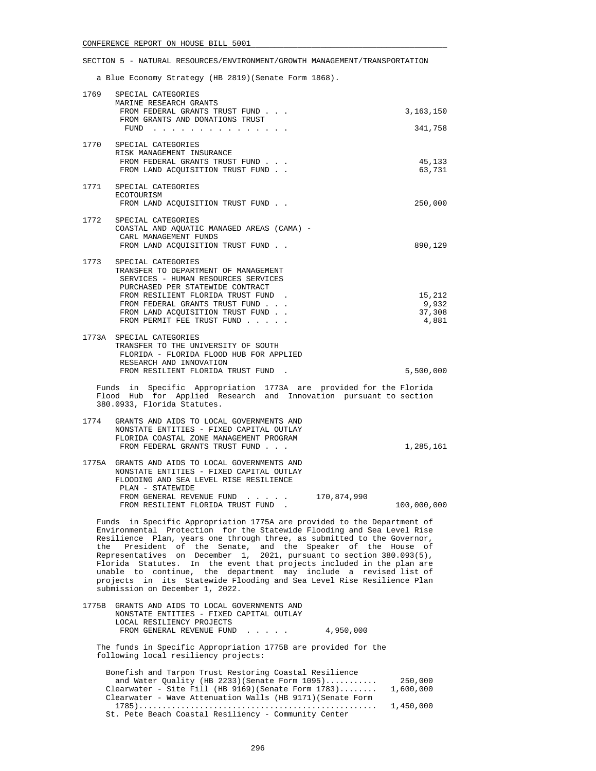a Blue Economy Strategy (HB 2819)(Senate Form 1868).

| 1769                                                                                                                                                                                                                                                                                                                                                                                                                                                                                                                                                                                                                             | SPECIAL CATEGORIES<br>MARINE RESEARCH GRANTS                                                                                                                           |                  |
|----------------------------------------------------------------------------------------------------------------------------------------------------------------------------------------------------------------------------------------------------------------------------------------------------------------------------------------------------------------------------------------------------------------------------------------------------------------------------------------------------------------------------------------------------------------------------------------------------------------------------------|------------------------------------------------------------------------------------------------------------------------------------------------------------------------|------------------|
|                                                                                                                                                                                                                                                                                                                                                                                                                                                                                                                                                                                                                                  | FROM FEDERAL GRANTS TRUST FUND<br>FROM GRANTS AND DONATIONS TRUST                                                                                                      | 3,163,150        |
|                                                                                                                                                                                                                                                                                                                                                                                                                                                                                                                                                                                                                                  | FUND $\cdots$                                                                                                                                                          | 341,758          |
| 1770                                                                                                                                                                                                                                                                                                                                                                                                                                                                                                                                                                                                                             | SPECIAL CATEGORIES<br>RISK MANAGEMENT INSURANCE                                                                                                                        |                  |
|                                                                                                                                                                                                                                                                                                                                                                                                                                                                                                                                                                                                                                  | FROM FEDERAL GRANTS TRUST FUND<br>FROM LAND ACQUISITION TRUST FUND                                                                                                     | 45,133<br>63,731 |
| 1771                                                                                                                                                                                                                                                                                                                                                                                                                                                                                                                                                                                                                             | SPECIAL CATEGORIES<br>ECOTOURISM<br>FROM LAND ACQUISITION TRUST FUND                                                                                                   | 250,000          |
| 1772                                                                                                                                                                                                                                                                                                                                                                                                                                                                                                                                                                                                                             | SPECIAL CATEGORIES<br>COASTAL AND AQUATIC MANAGED AREAS (CAMA) -<br>CARL MANAGEMENT FUNDS<br>FROM LAND ACQUISITION TRUST FUND                                          | 890,129          |
|                                                                                                                                                                                                                                                                                                                                                                                                                                                                                                                                                                                                                                  |                                                                                                                                                                        |                  |
| 1773                                                                                                                                                                                                                                                                                                                                                                                                                                                                                                                                                                                                                             | SPECIAL CATEGORIES<br>TRANSFER TO DEPARTMENT OF MANAGEMENT<br>SERVICES - HUMAN RESOURCES SERVICES<br>PURCHASED PER STATEWIDE CONTRACT                                  |                  |
|                                                                                                                                                                                                                                                                                                                                                                                                                                                                                                                                                                                                                                  | FROM RESILIENT FLORIDA TRUST FUND.                                                                                                                                     | 15,212           |
|                                                                                                                                                                                                                                                                                                                                                                                                                                                                                                                                                                                                                                  | FROM FEDERAL GRANTS TRUST FUND<br>FROM LAND ACOUISITION TRUST FUND                                                                                                     | 9,932<br>37,308  |
|                                                                                                                                                                                                                                                                                                                                                                                                                                                                                                                                                                                                                                  | FROM PERMIT FEE TRUST FUND                                                                                                                                             | 4,881            |
|                                                                                                                                                                                                                                                                                                                                                                                                                                                                                                                                                                                                                                  | 1773A SPECIAL CATEGORIES<br>TRANSFER TO THE UNIVERSITY OF SOUTH<br>FLORIDA - FLORIDA FLOOD HUB FOR APPLIED<br>RESEARCH AND INNOVATION                                  |                  |
|                                                                                                                                                                                                                                                                                                                                                                                                                                                                                                                                                                                                                                  | FROM RESILIENT FLORIDA TRUST FUND.                                                                                                                                     | 5,500,000        |
|                                                                                                                                                                                                                                                                                                                                                                                                                                                                                                                                                                                                                                  | Funds in Specific Appropriation 1773A are provided for the Florida<br>Flood Hub for Applied Research and Innovation pursuant to section<br>380.0933, Florida Statutes. |                  |
| 1774                                                                                                                                                                                                                                                                                                                                                                                                                                                                                                                                                                                                                             | GRANTS AND AIDS TO LOCAL GOVERNMENTS AND<br>NONSTATE ENTITIES - FIXED CAPITAL OUTLAY<br>FLORIDA COASTAL ZONE MANAGEMENT PROGRAM<br>FROM FEDERAL GRANTS TRUST FUND      | 1,285,161        |
|                                                                                                                                                                                                                                                                                                                                                                                                                                                                                                                                                                                                                                  | 1775A GRANTS AND AIDS TO LOCAL GOVERNMENTS AND<br>NONSTATE ENTITIES - FIXED CAPITAL OUTLAY                                                                             |                  |
|                                                                                                                                                                                                                                                                                                                                                                                                                                                                                                                                                                                                                                  | FLOODING AND SEA LEVEL RISE RESILIENCE                                                                                                                                 |                  |
|                                                                                                                                                                                                                                                                                                                                                                                                                                                                                                                                                                                                                                  | PLAN - STATEWIDE<br>170,874,990<br>FROM GENERAL REVENUE FUND<br>FROM RESILIENT FLORIDA TRUST FUND                                                                      | 100,000,000      |
| Funds in Specific Appropriation 1775A are provided to the Department of<br>Environmental Protection for the Statewide Flooding and Sea Level Rise<br>Resilience Plan, years one through three, as submitted to the Governor,<br>President of the Senate, and the Speaker of the House of<br>the<br>Representatives on December 1, 2021, pursuant to section 380.093(5),<br>Florida Statutes. In the event that projects included in the plan are<br>unable to continue, the department may include a revised list of<br>projects in its Statewide Flooding and Sea Level Rise Resilience Plan<br>submission on December 1, 2022. |                                                                                                                                                                        |                  |
| 1775B                                                                                                                                                                                                                                                                                                                                                                                                                                                                                                                                                                                                                            | GRANTS AND AIDS TO LOCAL GOVERNMENTS AND<br>NONSTATE ENTITIES - FIXED CAPITAL OUTLAY<br>LOCAL RESILIENCY PROJECTS<br>FROM GENERAL REVENUE FUND<br>4,950,000            |                  |
|                                                                                                                                                                                                                                                                                                                                                                                                                                                                                                                                                                                                                                  | The funds in Specific Appropriation 1775B are provided for the<br>following local resiliency projects:                                                                 |                  |
|                                                                                                                                                                                                                                                                                                                                                                                                                                                                                                                                                                                                                                  | Bonefish and Tarpon Trust Restoring Coastal Resilience<br>and Water Quality (HB 2233) (Senate Form $1095)$                                                             | 250,000          |
|                                                                                                                                                                                                                                                                                                                                                                                                                                                                                                                                                                                                                                  |                                                                                                                                                                        |                  |

 Clearwater - Site Fill (HB 9169)(Senate Form 1783)........ 1,600,000 Clearwater - Wave Attenuation Walls (HB 9171)(Senate Form 1785)................................................... 1,450,000 St. Pete Beach Coastal Resiliency - Community Center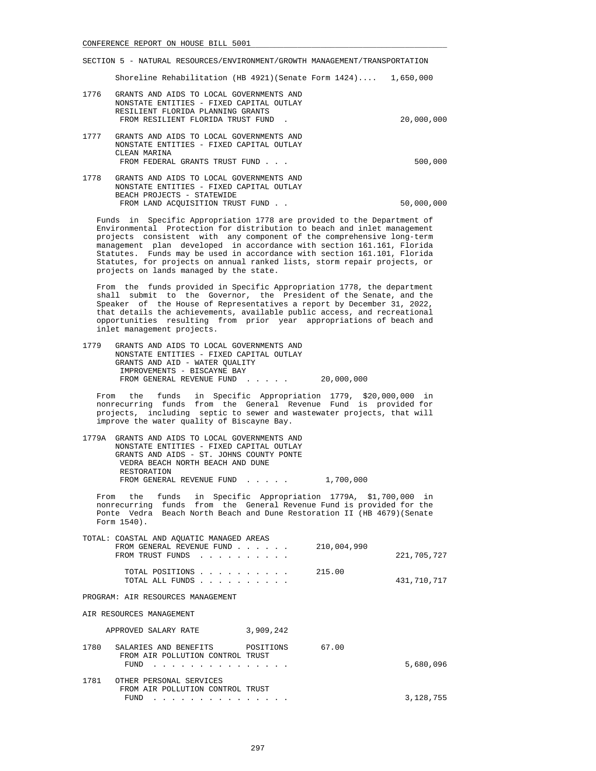|      | Shoreline Rehabilitation (HB 4921) (Senate Form $1424$ ) $1.650.000$                                                                                            |            |
|------|-----------------------------------------------------------------------------------------------------------------------------------------------------------------|------------|
| 1776 | GRANTS AND AIDS TO LOCAL GOVERNMENTS AND<br>NONSTATE ENTITIES - FIXED CAPITAL OUTLAY<br>RESILIENT FLORIDA PLANNING GRANTS<br>FROM RESILIENT FLORIDA TRUST FUND. | 20,000,000 |
| 1777 | GRANTS AND AIDS TO LOCAL GOVERNMENTS AND<br>NONSTATE ENTITIES - FIXED CAPITAL OUTLAY<br>CLEAN MARINA<br>FROM FEDERAL GRANTS TRUST FUND                          | 500,000    |
| 1778 | GRANTS AND AIDS TO LOCAL GOVERNMENTS AND<br>NONSTATE ENTITIES - FIXED CAPITAL OUTLAY<br>BEACH PROJECTS - STATEWIDE                                              |            |

 Funds in Specific Appropriation 1778 are provided to the Department of Environmental Protection for distribution to beach and inlet management projects consistent with any component of the comprehensive long-term management plan developed in accordance with section 161.161, Florida Statutes. Funds may be used in accordance with section 161.101, Florida Statutes, for projects on annual ranked lists, storm repair projects, or projects on lands managed by the state.

FROM LAND ACQUISITION TRUST FUND . .  $50,000,000$ 

 From the funds provided in Specific Appropriation 1778, the department shall submit to the Governor, the President of the Senate, and the Speaker of the House of Representatives a report by December 31, 2022, that details the achievements, available public access, and recreational opportunities resulting from prior year appropriations of beach and inlet management projects.

 1779 GRANTS AND AIDS TO LOCAL GOVERNMENTS AND NONSTATE ENTITIES - FIXED CAPITAL OUTLAY GRANTS AND AID - WATER QUALITY IMPROVEMENTS - BISCAYNE BAY FROM GENERAL REVENUE FUND . . . . . 20,000,000

 From the funds in Specific Appropriation 1779, \$20,000,000 in nonrecurring funds from the General Revenue Fund is provided for projects, including septic to sewer and wastewater projects, that will improve the water quality of Biscayne Bay.

| 1779A GRANTS AND AIDS TO LOCAL GOVERNMENTS AND |           |
|------------------------------------------------|-----------|
| NONSTATE ENTITIES - FIXED CAPITAL OUTLAY       |           |
| GRANTS AND AIDS - ST. JOHNS COUNTY PONTE       |           |
| VEDRA BEACH NORTH BEACH AND DUNE               |           |
| RESTORATION                                    |           |
| FROM GENERAL REVENUE FUND                      | 1,700,000 |

 From the funds in Specific Appropriation 1779A, \$1,700,000 in nonrecurring funds from the General Revenue Fund is provided for the Ponte Vedra Beach North Beach and Dune Restoration II (HB 4679)(Senate Form 1540).

| TOTAL: COASTAL AND AQUATIC MANAGED AREAS                                                                                                  |             |
|-------------------------------------------------------------------------------------------------------------------------------------------|-------------|
| FROM GENERAL REVENUE FUND                                                                                                                 | 210,004,990 |
| FROM TRUST FUNDS<br>$\mathbf{r}$ , $\mathbf{r}$ , $\mathbf{r}$ , $\mathbf{r}$ , $\mathbf{r}$ , $\mathbf{r}$ , $\mathbf{r}$ , $\mathbf{r}$ | 221,705,727 |
| TOTAL POSITIONS                                                                                                                           | 215.00      |
| TOTAL ALL FUNDS                                                                                                                           | 431,710,717 |
| PROGRAM: AIR RESOURCES MANAGEMENT                                                                                                         |             |
| AIR RESOURCES MANAGEMENT                                                                                                                  |             |
| 3,909,242<br>APPROVED SALARY RATE                                                                                                         |             |
| 1780<br>SALARIES AND BENEFITS<br>POSITIONS                                                                                                | 67.00       |
| FROM AIR POLLUTION CONTROL TRUST<br>FUND                                                                                                  | 5,680,096   |
|                                                                                                                                           |             |
| 1781<br>OTHER PERSONAL SERVICES                                                                                                           |             |
| FROM AIR POLLUTION CONTROL TRUST<br>FUND                                                                                                  |             |
|                                                                                                                                           | 3,128,755   |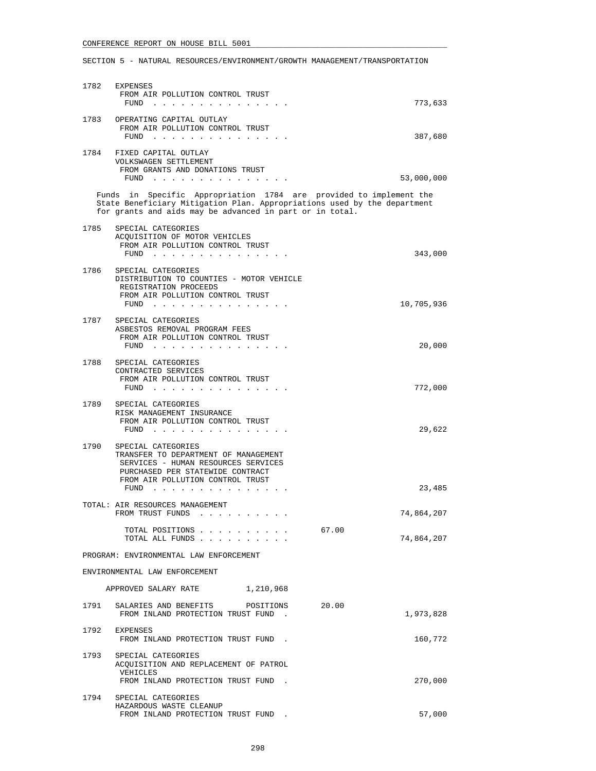| 1782 | EXPENSES<br>FROM AIR POLLUTION CONTROL TRUST<br>FUND<br>and the contract of the second                                                                                                                     | 773,633             |
|------|------------------------------------------------------------------------------------------------------------------------------------------------------------------------------------------------------------|---------------------|
|      | 1783 OPERATING CAPITAL OUTLAY<br>FROM AIR POLLUTION CONTROL TRUST<br>FUND<br>and the contract of the state of the                                                                                          | 387,680             |
| 1784 | FIXED CAPITAL OUTLAY<br>VOLKSWAGEN SETTLEMENT<br>FROM GRANTS AND DONATIONS TRUST                                                                                                                           |                     |
|      | FUND                                                                                                                                                                                                       | 53,000,000          |
|      | Funds in Specific Appropriation 1784 are provided to implement the<br>State Beneficiary Mitigation Plan. Appropriations used by the department<br>for grants and aids may be advanced in part or in total. |                     |
| 1785 | SPECIAL CATEGORIES<br>ACQUISITION OF MOTOR VEHICLES<br>FROM AIR POLLUTION CONTROL TRUST                                                                                                                    |                     |
| 1786 | FUND<br>and the contract of the contract of<br>SPECIAL CATEGORIES<br>DISTRIBUTION TO COUNTIES - MOTOR VEHICLE                                                                                              | 343,000             |
|      | REGISTRATION PROCEEDS<br>FROM AIR POLLUTION CONTROL TRUST<br>FUND $\cdots$                                                                                                                                 | 10,705,936          |
| 1787 | SPECIAL CATEGORIES<br>ASBESTOS REMOVAL PROGRAM FEES<br>FROM AIR POLLUTION CONTROL TRUST                                                                                                                    |                     |
|      | FUND<br>the contract of the contract of the                                                                                                                                                                | 20,000              |
| 1788 | SPECIAL CATEGORIES<br>CONTRACTED SERVICES<br>FROM AIR POLLUTION CONTROL TRUST<br>FUND $\cdots$                                                                                                             | 772,000             |
| 1789 | SPECIAL CATEGORIES<br>RISK MANAGEMENT INSURANCE<br>FROM AIR POLLUTION CONTROL TRUST<br>$FUND$                                                                                                              | 29,622              |
| 1790 | SPECIAL CATEGORIES<br>TRANSFER TO DEPARTMENT OF MANAGEMENT<br>SERVICES - HUMAN RESOURCES SERVICES<br>PURCHASED PER STATEWIDE CONTRACT<br>FROM AIR POLLUTION CONTROL TRUST<br>$FUND$                        | 23,485              |
|      | TOTAL: AIR RESOURCES MANAGEMENT<br>FROM TRUST FUNDS                                                                                                                                                        | 74,864,207          |
|      | TOTAL POSITIONS<br>TOTAL ALL FUNDS                                                                                                                                                                         | 67.00<br>74,864,207 |
|      | PROGRAM: ENVIRONMENTAL LAW ENFORCEMENT                                                                                                                                                                     |                     |
|      | ENVIRONMENTAL LAW ENFORCEMENT                                                                                                                                                                              |                     |
|      | 1,210,968<br>APPROVED SALARY RATE                                                                                                                                                                          |                     |
| 1791 | SALARIES AND BENEFITS<br>POSITIONS<br>FROM INLAND PROTECTION TRUST FUND.                                                                                                                                   | 20.00<br>1,973,828  |
| 1792 | EXPENSES<br>FROM INLAND PROTECTION TRUST FUND.                                                                                                                                                             | 160,772             |
| 1793 | SPECIAL CATEGORIES<br>ACQUISITION AND REPLACEMENT OF PATROL<br>VEHICLES<br>FROM INLAND PROTECTION TRUST FUND.                                                                                              | 270,000             |
| 1794 | SPECIAL CATEGORIES<br>HAZARDOUS WASTE CLEANUP<br>FROM INLAND PROTECTION TRUST FUND                                                                                                                         | 57,000              |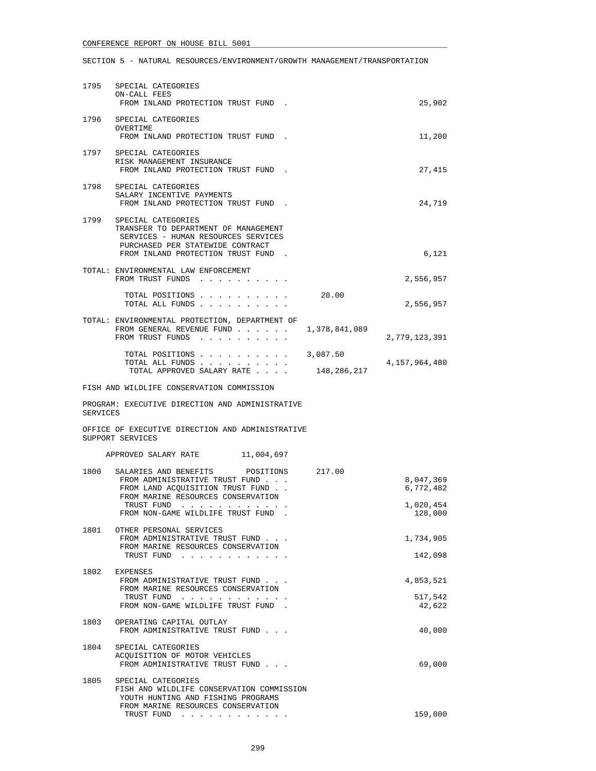| 1795     | SPECIAL CATEGORIES<br>ON-CALL FEES<br>FROM INLAND PROTECTION TRUST FUND.                                                                                                                                    | 25,902                                         |
|----------|-------------------------------------------------------------------------------------------------------------------------------------------------------------------------------------------------------------|------------------------------------------------|
|          | 1796 SPECIAL CATEGORIES<br>OVERTIME<br>FROM INLAND PROTECTION TRUST FUND.                                                                                                                                   | 11,200                                         |
|          | 1797 SPECIAL CATEGORIES<br>RISK MANAGEMENT INSURANCE<br>FROM INLAND PROTECTION TRUST FUND.                                                                                                                  | 27,415                                         |
|          | 1798 SPECIAL CATEGORIES<br>SALARY INCENTIVE PAYMENTS<br>FROM INLAND PROTECTION TRUST FUND.                                                                                                                  | 24,719                                         |
| 1799     | SPECIAL CATEGORIES<br>TRANSFER TO DEPARTMENT OF MANAGEMENT<br>SERVICES - HUMAN RESOURCES SERVICES<br>PURCHASED PER STATEWIDE CONTRACT<br>FROM INLAND PROTECTION TRUST FUND.                                 | 6,121                                          |
|          | TOTAL: ENVIRONMENTAL LAW ENFORCEMENT<br>FROM TRUST FUNDS                                                                                                                                                    | 2,556,957                                      |
|          | 20.00<br>TOTAL POSITIONS<br>TOTAL ALL FUNDS                                                                                                                                                                 | 2,556,957                                      |
|          | TOTAL: ENVIRONMENTAL PROTECTION, DEPARTMENT OF<br>1,378,841,089<br>FROM GENERAL REVENUE FUND<br>FROM TRUST FUNDS                                                                                            | 2,779,123,391                                  |
|          | TOTAL POSITIONS 3,087.50<br>TOTAL ALL FUNDS<br>148,286,217<br>TOTAL APPROVED SALARY RATE                                                                                                                    | 4,157,964,480                                  |
|          | FISH AND WILDLIFE CONSERVATION COMMISSION                                                                                                                                                                   |                                                |
| SERVICES | PROGRAM: EXECUTIVE DIRECTION AND ADMINISTRATIVE                                                                                                                                                             |                                                |
|          | OFFICE OF EXECUTIVE DIRECTION AND ADMINISTRATIVE<br>SUPPORT SERVICES                                                                                                                                        |                                                |
|          | APPROVED SALARY RATE 11,004,697                                                                                                                                                                             |                                                |
| 1800     | SALARIES AND BENEFITS<br>217.00<br>POSITIONS<br>FROM ADMINISTRATIVE TRUST FUND<br>FROM LAND ACQUISITION TRUST FUND<br>FROM MARINE RESOURCES CONSERVATION<br>TRUST FUND<br>FROM NON-GAME WILDLIFE TRUST FUND | 8,047,369<br>6,772,482<br>1,020,454<br>128,000 |
| 1801     | OTHER PERSONAL SERVICES<br>FROM ADMINISTRATIVE TRUST FUND<br>FROM MARINE RESOURCES CONSERVATION<br>TRUST FUND                                                                                               | 1,734,905<br>142,098                           |
| 1802     | EXPENSES<br>FROM ADMINISTRATIVE TRUST FUND<br>FROM MARINE RESOURCES CONSERVATION<br>TRUST FUND<br>FROM NON-GAME WILDLIFE TRUST FUND.                                                                        | 4,853,521<br>517,542<br>42,622                 |
| 1803     | OPERATING CAPITAL OUTLAY<br>FROM ADMINISTRATIVE TRUST FUND                                                                                                                                                  | 40,000                                         |
| 1804     | SPECIAL CATEGORIES<br>ACOUISITION OF MOTOR VEHICLES<br>FROM ADMINISTRATIVE TRUST FUND                                                                                                                       | 69,000                                         |
| 1805     | SPECIAL CATEGORIES<br>FISH AND WILDLIFE CONSERVATION COMMISSION<br>YOUTH HUNTING AND FISHING PROGRAMS<br>FROM MARINE RESOURCES CONSERVATION<br>TRUST FUND                                                   | 159,000                                        |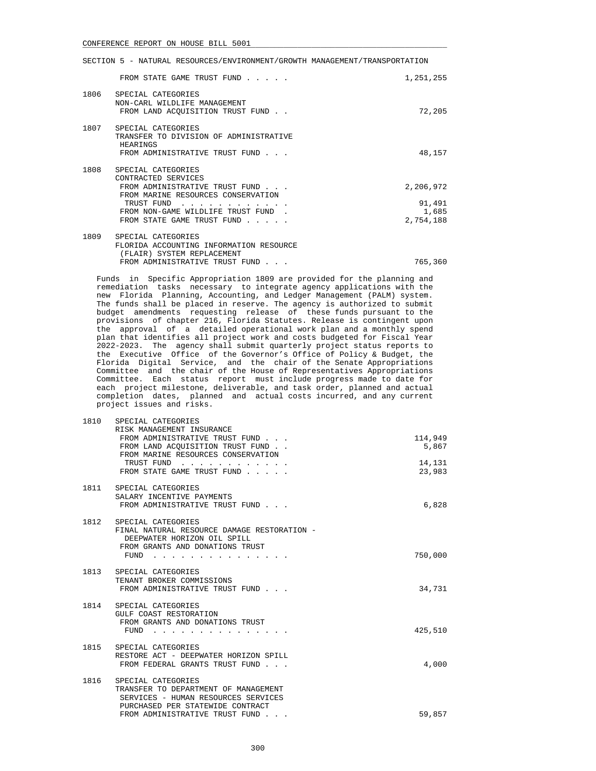|      | FROM STATE GAME TRUST FUND                                                                                                                                                                         | 1,251,255                                 |
|------|----------------------------------------------------------------------------------------------------------------------------------------------------------------------------------------------------|-------------------------------------------|
| 1806 | SPECIAL CATEGORIES<br>NON-CARL WILDLIFE MANAGEMENT<br>FROM LAND ACQUISITION TRUST FUND                                                                                                             | 72,205                                    |
| 1807 | SPECIAL CATEGORIES<br>TRANSFER TO DIVISION OF ADMINISTRATIVE<br>HEARINGS<br>FROM ADMINISTRATIVE TRUST FUND                                                                                         | 48,157                                    |
| 1808 | SPECIAL CATEGORIES<br>CONTRACTED SERVICES<br>FROM ADMINISTRATIVE TRUST FUND<br>FROM MARINE RESOURCES CONSERVATION<br>TRUST FUND<br>FROM NON-GAME WILDLIFE TRUST FUND<br>FROM STATE GAME TRUST FUND | 2,206,972<br>91,491<br>1,685<br>2,754,188 |
| 1809 | SPECIAL CATEGORIES<br>FLORIDA ACCOUNTING INFORMATION RESOURCE<br>(FLAIR) SYSTEM REPLACEMENT<br>FROM ADMINISTRATIVE TRUST FUND                                                                      | 765,360                                   |

 Funds in Specific Appropriation 1809 are provided for the planning and remediation tasks necessary to integrate agency applications with the new Florida Planning, Accounting, and Ledger Management (PALM) system. The funds shall be placed in reserve. The agency is authorized to submit budget amendments requesting release of these funds pursuant to the provisions of chapter 216, Florida Statutes. Release is contingent upon the approval of a detailed operational work plan and a monthly spend plan that identifies all project work and costs budgeted for Fiscal Year 2022-2023. The agency shall submit quarterly project status reports to the Executive Office of the Governor's Office of Policy & Budget, the Florida Digital Service, and the chair of the Senate Appropriations Committee and the chair of the House of Representatives Appropriations Committee. Each status report must include progress made to date for each project milestone, deliverable, and task order, planned and actual completion dates, planned and actual costs incurred, and any current project issues and risks.

| 1810 | SPECIAL CATEGORIES<br>RISK MANAGEMENT INSURANCE                                                                                                                                                                                                                                                                           |                  |
|------|---------------------------------------------------------------------------------------------------------------------------------------------------------------------------------------------------------------------------------------------------------------------------------------------------------------------------|------------------|
|      | FROM ADMINISTRATIVE TRUST FUND<br>FROM LAND ACQUISITION TRUST FUND<br>FROM MARINE RESOURCES CONSERVATION                                                                                                                                                                                                                  | 114,949<br>5,867 |
|      | TRUST FUND<br>and the contract of the state of<br>FROM STATE GAME TRUST FUND                                                                                                                                                                                                                                              | 14,131<br>23,983 |
|      | 1811 SPECIAL CATEGORIES<br>SALARY INCENTIVE PAYMENTS<br>FROM ADMINISTRATIVE TRUST FUND                                                                                                                                                                                                                                    | 6,828            |
|      | 1812 SPECIAL CATEGORIES<br>FINAL NATURAL RESOURCE DAMAGE RESTORATION -<br>DEEPWATER HORIZON OIL SPILL<br>FROM GRANTS AND DONATIONS TRUST<br>FUND                                                                                                                                                                          | 750,000          |
|      | 1813 SPECIAL CATEGORIES<br>TENANT BROKER COMMISSIONS<br>FROM ADMINISTRATIVE TRUST FUND                                                                                                                                                                                                                                    | 34,731           |
| 1814 | SPECIAL CATEGORIES<br>GULF COAST RESTORATION<br>FROM GRANTS AND DONATIONS TRUST<br>FUND<br>the contract of the contract of the contract of the contract of the contract of the contract of the contract of the contract of the contract of the contract of the contract of the contract of the contract of the contract o | 425,510          |
| 1815 | SPECIAL CATEGORIES<br>RESTORE ACT - DEEPWATER HORIZON SPILL<br>FROM FEDERAL GRANTS TRUST FUND                                                                                                                                                                                                                             | 4,000            |
| 1816 | SPECIAL CATEGORIES<br>TRANSFER TO DEPARTMENT OF MANAGEMENT<br>SERVICES - HUMAN RESOURCES SERVICES<br>PURCHASED PER STATEWIDE CONTRACT<br>FROM ADMINISTRATIVE TRUST FUND<br>$\sim$ $\sim$ $\sim$                                                                                                                           | 59,857           |
|      |                                                                                                                                                                                                                                                                                                                           |                  |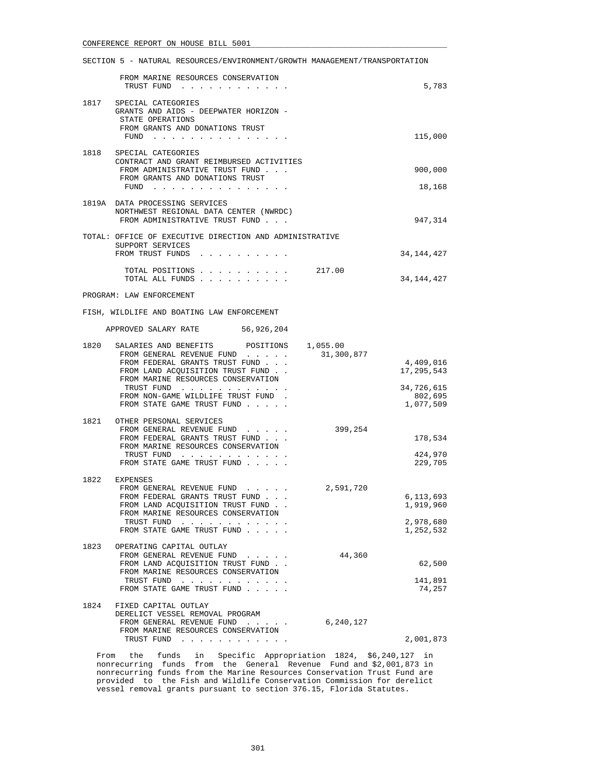|      | FROM MARINE RESOURCES CONSERVATION<br>TRUST FUND                                                                                         | 5,783                              |
|------|------------------------------------------------------------------------------------------------------------------------------------------|------------------------------------|
| 1817 | SPECIAL CATEGORIES<br>GRANTS AND AIDS - DEEPWATER HORIZON -<br>STATE OPERATIONS<br>FROM GRANTS AND DONATIONS TRUST                       |                                    |
|      | $FUND$                                                                                                                                   | 115,000                            |
|      | 1818 SPECIAL CATEGORIES<br>CONTRACT AND GRANT REIMBURSED ACTIVITIES<br>FROM ADMINISTRATIVE TRUST FUND<br>FROM GRANTS AND DONATIONS TRUST | 900,000                            |
|      | FUND $\cdots$                                                                                                                            | 18,168                             |
|      | 1819A DATA PROCESSING SERVICES<br>NORTHWEST REGIONAL DATA CENTER (NWRDC)<br>FROM ADMINISTRATIVE TRUST FUND                               | 947,314                            |
|      | TOTAL: OFFICE OF EXECUTIVE DIRECTION AND ADMINISTRATIVE<br>SUPPORT SERVICES<br>FROM TRUST FUNDS                                          | 34, 144, 427                       |
|      | TOTAL POSITIONS<br>217.00<br>TOTAL ALL FUNDS                                                                                             | 34, 144, 427                       |
|      | PROGRAM: LAW ENFORCEMENT                                                                                                                 |                                    |
|      | FISH, WILDLIFE AND BOATING LAW ENFORCEMENT                                                                                               |                                    |
|      | APPROVED SALARY RATE 56,926,204                                                                                                          |                                    |
| 1820 | SALARIES AND BENEFITS POSITIONS 1,055.00<br>31,300,877<br>FROM GENERAL REVENUE FUND                                                      |                                    |
|      | FROM FEDERAL GRANTS TRUST FUND<br>FROM LAND ACQUISITION TRUST FUND.<br>FROM MARINE RESOURCES CONSERVATION                                | 4,409,016<br>17,295,543            |
|      | TRUST FUND<br>FROM NON-GAME WILDLIFE TRUST FUND.<br>FROM STATE GAME TRUST FUND                                                           | 34,726,615<br>802,695<br>1,077,509 |
|      | 1821 OTHER PERSONAL SERVICES                                                                                                             |                                    |
|      | FROM GENERAL REVENUE FUND<br>399,254<br>FROM FEDERAL GRANTS TRUST FUND<br>FROM MARINE RESOURCES CONSERVATION                             | 178,534                            |
|      | TRUST FUND<br>FROM STATE GAME TRUST FUND                                                                                                 | 424,970<br>229,705                 |
| 1822 | EXPENSES                                                                                                                                 |                                    |
|      | 2,591,720<br>FROM GENERAL REVENUE FUND                                                                                                   |                                    |
|      | FROM FEDERAL GRANTS TRUST FUND<br>FROM LAND ACQUISITION TRUST FUND<br>FROM MARINE RESOURCES CONSERVATION                                 | 6,113,693<br>1,919,960             |
|      | TRUST FUND<br>FROM STATE GAME TRUST FUND                                                                                                 | 2,978,680<br>1,252,532             |
| 1823 | OPERATING CAPITAL OUTLAY                                                                                                                 |                                    |
|      | 44,360<br>FROM GENERAL REVENUE FUND<br>FROM LAND ACQUISITION TRUST FUND.                                                                 | 62,500                             |
|      | FROM MARINE RESOURCES CONSERVATION<br>TRUST FUND                                                                                         | 141,891                            |
|      | FROM STATE GAME TRUST FUND                                                                                                               | 74,257                             |
| 1824 | FIXED CAPITAL OUTLAY<br>DERELICT VESSEL REMOVAL PROGRAM                                                                                  |                                    |
|      | 6,240,127<br>FROM GENERAL REVENUE FUND<br>$\sim$ $\sim$ $\sim$ $\sim$ $\sim$ $\sim$<br>FROM MARINE RESOURCES CONSERVATION                |                                    |
|      | TRUST FUND                                                                                                                               | 2,001,873                          |

 From the funds in Specific Appropriation 1824, \$6,240,127 in nonrecurring funds from the General Revenue Fund and \$2,001,873 in nonrecurring funds from the Marine Resources Conservation Trust Fund are provided to the Fish and Wildlife Conservation Commission for derelict vessel removal grants pursuant to section 376.15, Florida Statutes.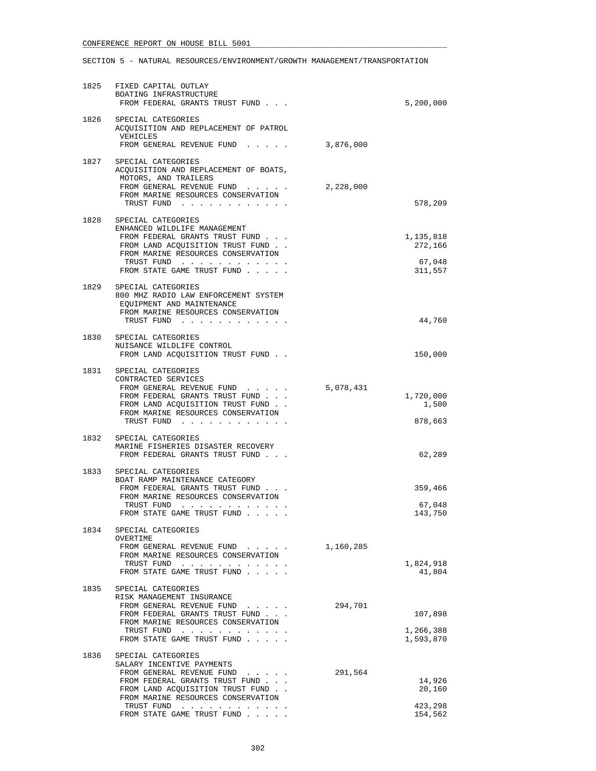| 1825 | FIXED CAPITAL OUTLAY<br>BOATING INFRASTRUCTURE<br>FROM FEDERAL GRANTS TRUST FUND                                                                                                                                                      |           | 5,200,000                                 |
|------|---------------------------------------------------------------------------------------------------------------------------------------------------------------------------------------------------------------------------------------|-----------|-------------------------------------------|
|      | 1826 SPECIAL CATEGORIES<br>ACQUISITION AND REPLACEMENT OF PATROL<br>VEHICLES<br>FROM GENERAL REVENUE FUND                                                                                                                             | 3,876,000 |                                           |
| 1827 | SPECIAL CATEGORIES<br>ACQUISITION AND REPLACEMENT OF BOATS,<br>MOTORS, AND TRAILERS<br>FROM GENERAL REVENUE FUND<br>FROM MARINE RESOURCES CONSERVATION<br>TRUST FUND                                                                  | 2,228,000 | 578,209                                   |
| 1828 | SPECIAL CATEGORIES<br>ENHANCED WILDLIFE MANAGEMENT<br>FROM FEDERAL GRANTS TRUST FUND<br>FROM LAND ACQUISITION TRUST FUND<br>FROM MARINE RESOURCES CONSERVATION<br>TRUST FUND<br>FROM STATE GAME TRUST FUND                            |           | 1,135,818<br>272,166<br>67,048<br>311,557 |
| 1829 | SPECIAL CATEGORIES<br>800 MHZ RADIO LAW ENFORCEMENT SYSTEM<br>EQUIPMENT AND MAINTENANCE<br>FROM MARINE RESOURCES CONSERVATION<br>TRUST FUND                                                                                           |           | 44,760                                    |
|      | 1830 SPECIAL CATEGORIES<br>NUISANCE WILDLIFE CONTROL<br>FROM LAND ACQUISITION TRUST FUND.                                                                                                                                             |           | 150,000                                   |
| 1831 | SPECIAL CATEGORIES<br>CONTRACTED SERVICES<br>FROM GENERAL REVENUE FUND<br>FROM FEDERAL GRANTS TRUST FUND<br>FROM LAND ACQUISITION TRUST FUND<br>FROM MARINE RESOURCES CONSERVATION<br>TRUST FUND                                      | 5,078,431 | 1,720,000<br>1,500<br>878,663             |
|      | 1832 SPECIAL CATEGORIES<br>MARINE FISHERIES DISASTER RECOVERY<br>FROM FEDERAL GRANTS TRUST FUND                                                                                                                                       |           | 62,289                                    |
| 1833 | SPECIAL CATEGORIES<br>BOAT RAMP MAINTENANCE CATEGORY<br>FROM FEDERAL GRANTS TRUST FUND<br>FROM MARINE RESOURCES CONSERVATION<br>TRUST FUND<br>FROM STATE GAME TRUST FUND                                                              |           | 359,466<br>67,048<br>143,750              |
| 1834 | SPECIAL CATEGORIES<br>OVERTIME<br>FROM GENERAL REVENUE FUND<br>FROM MARINE RESOURCES CONSERVATION<br>TRUST FUND<br>FROM STATE GAME TRUST FUND                                                                                         | 1,160,285 | 1,824,918<br>41,804                       |
| 1835 | SPECIAL CATEGORIES<br>RISK MANAGEMENT INSURANCE<br>FROM GENERAL REVENUE FUND<br>FROM FEDERAL GRANTS TRUST FUND<br>FROM MARINE RESOURCES CONSERVATION<br>TRUST FUND<br>FROM STATE GAME TRUST FUND                                      | 294,701   | 107,898<br>1,266,388<br>1,593,870         |
| 1836 | SPECIAL CATEGORIES<br>SALARY INCENTIVE PAYMENTS<br>FROM GENERAL REVENUE FUND<br>FROM FEDERAL GRANTS TRUST FUND<br>FROM LAND ACQUISITION TRUST FUND.<br>FROM MARINE RESOURCES CONSERVATION<br>TRUST FUND<br>FROM STATE GAME TRUST FUND | 291,564   | 14,926<br>20,160<br>423,298<br>154,562    |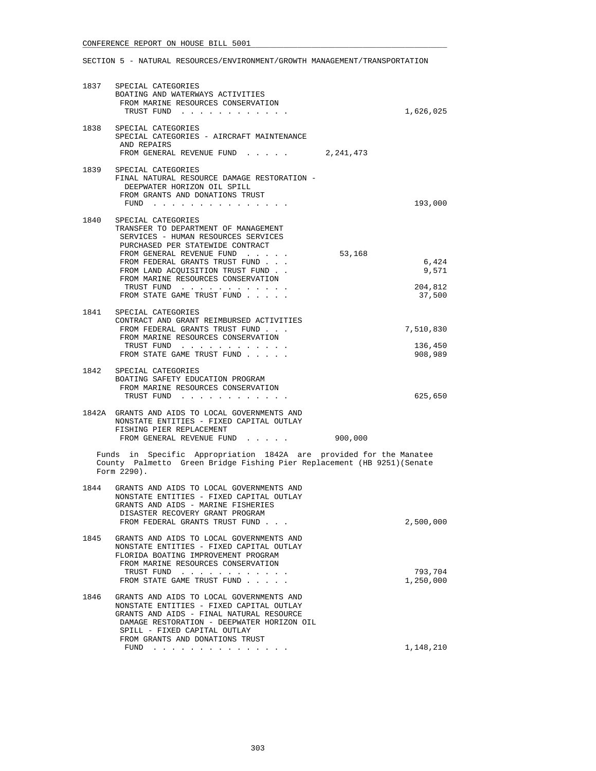|      | 1837 SPECIAL CATEGORIES<br>BOATING AND WATERWAYS ACTIVITIES<br>FROM MARINE RESOURCES CONSERVATION<br>TRUST FUND                                                                                                                                                                                                                                                                                                                                                                            | 1,626,025                                     |
|------|--------------------------------------------------------------------------------------------------------------------------------------------------------------------------------------------------------------------------------------------------------------------------------------------------------------------------------------------------------------------------------------------------------------------------------------------------------------------------------------------|-----------------------------------------------|
|      | 1838 SPECIAL CATEGORIES<br>SPECIAL CATEGORIES - AIRCRAFT MAINTENANCE<br>AND REPAIRS<br>FROM GENERAL REVENUE FUND<br>2,241,473                                                                                                                                                                                                                                                                                                                                                              |                                               |
|      | 1839 SPECIAL CATEGORIES<br>FINAL NATURAL RESOURCE DAMAGE RESTORATION -<br>DEEPWATER HORIZON OIL SPILL<br>FROM GRANTS AND DONATIONS TRUST<br>$FUND$                                                                                                                                                                                                                                                                                                                                         | 193,000                                       |
| 1840 | SPECIAL CATEGORIES<br>TRANSFER TO DEPARTMENT OF MANAGEMENT<br>SERVICES - HUMAN RESOURCES SERVICES<br>PURCHASED PER STATEWIDE CONTRACT<br>FROM GENERAL REVENUE FUND<br>FROM FEDERAL GRANTS TRUST FUND<br>FROM LAND ACQUISITION TRUST FUND.<br>FROM MARINE RESOURCES CONSERVATION<br>TRUST FUND<br>FROM STATE GAME TRUST FUND                                                                                                                                                                | 53,168<br>6,424<br>9,571<br>204,812<br>37,500 |
| 1841 | SPECIAL CATEGORIES<br>CONTRACT AND GRANT REIMBURSED ACTIVITIES<br>FROM FEDERAL GRANTS TRUST FUND<br>FROM MARINE RESOURCES CONSERVATION<br>TRUST FUND<br>FROM STATE GAME TRUST FUND                                                                                                                                                                                                                                                                                                         | 7,510,830<br>136,450<br>908,989               |
| 1842 | SPECIAL CATEGORIES<br>BOATING SAFETY EDUCATION PROGRAM<br>FROM MARINE RESOURCES CONSERVATION<br>TRUST FUND                                                                                                                                                                                                                                                                                                                                                                                 | 625,650                                       |
|      | 1842A GRANTS AND AIDS TO LOCAL GOVERNMENTS AND<br>NONSTATE ENTITIES - FIXED CAPITAL OUTLAY<br>FISHING PIER REPLACEMENT<br>FROM GENERAL REVENUE FUND                                                                                                                                                                                                                                                                                                                                        | 900,000                                       |
|      | Funds in Specific Appropriation 1842A are provided for the Manatee<br>County Palmetto Green Bridge Fishing Pier Replacement (HB 9251) (Senate<br>Form 2290).                                                                                                                                                                                                                                                                                                                               |                                               |
| 1844 | GRANTS AND AIDS TO LOCAL GOVERNMENTS AND<br>NONSTATE ENTITIES - FIXED CAPITAL OUTLAY<br>GRANTS AND AIDS - MARINE FISHERIES<br>DISASTER RECOVERY GRANT PROGRAM<br>FROM FEDERAL GRANTS TRUST FUND                                                                                                                                                                                                                                                                                            | 2,500,000                                     |
| 1845 | GRANTS AND AIDS TO LOCAL GOVERNMENTS AND<br>NONSTATE ENTITIES - FIXED CAPITAL OUTLAY<br>FLORIDA BOATING IMPROVEMENT PROGRAM<br>FROM MARINE RESOURCES CONSERVATION<br>TRUST FUND<br>FROM STATE GAME TRUST FUND                                                                                                                                                                                                                                                                              | 793,704<br>1,250,000                          |
| 1846 | GRANTS AND AIDS TO LOCAL GOVERNMENTS AND<br>NONSTATE ENTITIES - FIXED CAPITAL OUTLAY<br>GRANTS AND AIDS - FINAL NATURAL RESOURCE<br>DAMAGE RESTORATION - DEEPWATER HORIZON OIL<br>SPILL - FIXED CAPITAL OUTLAY<br>FROM GRANTS AND DONATIONS TRUST<br>FUND<br>a construction of the construction of the construction of the construction of the construction of the construction of the construction of the construction of the construction of the construction of the construction of the | 1,148,210                                     |
|      |                                                                                                                                                                                                                                                                                                                                                                                                                                                                                            |                                               |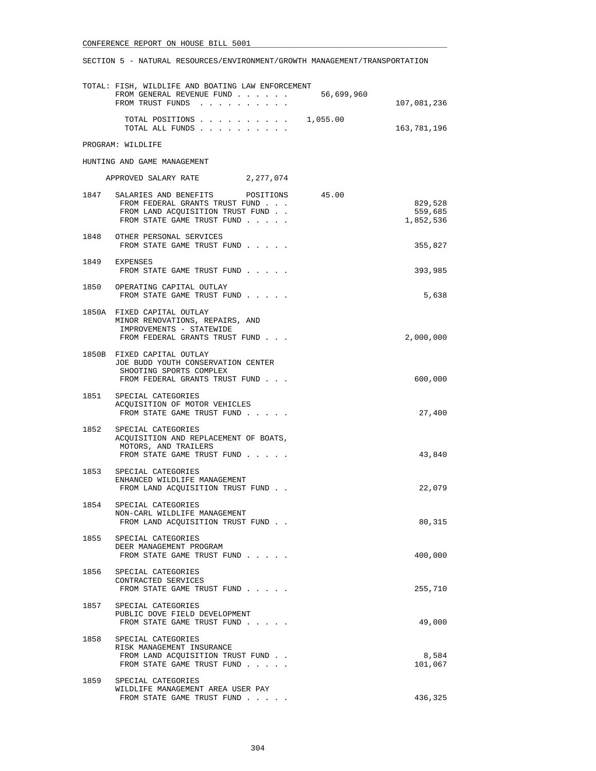|      | TOTAL: FISH, WILDLIFE AND BOATING LAW ENFORCEMENT<br>FROM GENERAL REVENUE FUND 56,699,960<br>FROM TRUST FUNDS                                  | 107,081,236                     |
|------|------------------------------------------------------------------------------------------------------------------------------------------------|---------------------------------|
|      | TOTAL POSITIONS $\ldots$ , 1,055.00                                                                                                            |                                 |
|      | TOTAL ALL FUNDS                                                                                                                                | 163,781,196                     |
|      | PROGRAM: WILDLIFE                                                                                                                              |                                 |
|      | HUNTING AND GAME MANAGEMENT                                                                                                                    |                                 |
|      | APPROVED SALARY RATE 2, 277, 074                                                                                                               |                                 |
|      | 1847 SALARIES AND BENEFITS POSITIONS 45.00<br>FROM FEDERAL GRANTS TRUST FUND<br>FROM LAND ACQUISITION TRUST FUND<br>FROM STATE GAME TRUST FUND | 829,528<br>559,685<br>1,852,536 |
|      | 1848 OTHER PERSONAL SERVICES<br>FROM STATE GAME TRUST FUND                                                                                     | 355,827                         |
|      | 1849 EXPENSES<br>FROM STATE GAME TRUST FUND                                                                                                    | 393,985                         |
|      | 1850 OPERATING CAPITAL OUTLAY<br>FROM STATE GAME TRUST FUND                                                                                    | 5,638                           |
|      | 1850A FIXED CAPITAL OUTLAY<br>MINOR RENOVATIONS, REPAIRS, AND<br>IMPROVEMENTS - STATEWIDE<br>FROM FEDERAL GRANTS TRUST FUND                    | 2,000,000                       |
|      | 1850B FIXED CAPITAL OUTLAY<br>JOE BUDD YOUTH CONSERVATION CENTER<br>SHOOTING SPORTS COMPLEX<br>FROM FEDERAL GRANTS TRUST FUND                  | 600,000                         |
|      | 1851 SPECIAL CATEGORIES<br>ACQUISITION OF MOTOR VEHICLES<br>FROM STATE GAME TRUST FUND                                                         | 27,400                          |
|      | 1852 SPECIAL CATEGORIES<br>ACQUISITION AND REPLACEMENT OF BOATS,<br>MOTORS, AND TRAILERS<br>FROM STATE GAME TRUST FUND                         | 43,840                          |
|      | 1853 SPECIAL CATEGORIES<br>ENHANCED WILDLIFE MANAGEMENT<br>FROM LAND ACQUISITION TRUST FUND                                                    | 22,079                          |
|      | 1854 SPECIAL CATEGORIES<br>NON-CARL WILDLIFE MANAGEMENT<br>FROM LAND ACQUISITION TRUST FUND                                                    | 80,315                          |
| 1855 | SPECIAL CATEGORIES<br>DEER MANAGEMENT PROGRAM<br>FROM STATE GAME TRUST FUND                                                                    | 400,000                         |
| 1856 | SPECIAL CATEGORIES<br>CONTRACTED SERVICES<br>FROM STATE GAME TRUST FUND                                                                        | 255,710                         |
| 1857 | SPECIAL CATEGORIES<br>PUBLIC DOVE FIELD DEVELOPMENT<br>FROM STATE GAME TRUST FUND                                                              | 49,000                          |
| 1858 | SPECIAL CATEGORIES<br>RISK MANAGEMENT INSURANCE<br>FROM LAND ACQUISITION TRUST FUND<br>FROM STATE GAME TRUST FUND                              | 8,584<br>101,067                |
|      | 1859 SPECIAL CATEGORIES<br>WILDLIFE MANAGEMENT AREA USER PAY<br>FROM STATE GAME TRUST FUND                                                     | 436,325                         |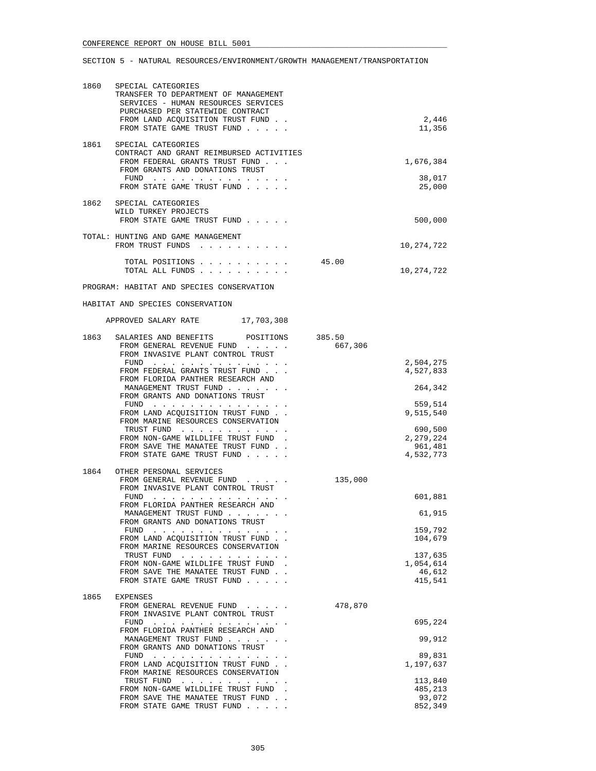| 1860 | SPECIAL CATEGORIES<br>TRANSFER TO DEPARTMENT OF MANAGEMENT<br>SERVICES - HUMAN RESOURCES SERVICES<br>PURCHASED PER STATEWIDE CONTRACT<br>FROM LAND ACQUISITION TRUST FUND. |         | 2,446                                        |
|------|----------------------------------------------------------------------------------------------------------------------------------------------------------------------------|---------|----------------------------------------------|
|      | FROM STATE GAME TRUST FUND                                                                                                                                                 |         | 11,356                                       |
| 1861 | SPECIAL CATEGORIES<br>CONTRACT AND GRANT REIMBURSED ACTIVITIES<br>FROM FEDERAL GRANTS TRUST FUND<br>FROM GRANTS AND DONATIONS TRUST<br>FUND<br>FROM STATE GAME TRUST FUND  |         | 1,676,384<br>38,017<br>25,000                |
| 1862 | SPECIAL CATEGORIES<br>WILD TURKEY PROJECTS<br>FROM STATE GAME TRUST FUND                                                                                                   |         | 500,000                                      |
|      | TOTAL: HUNTING AND GAME MANAGEMENT<br>FROM TRUST FUNDS                                                                                                                     |         | 10,274,722                                   |
|      | TOTAL POSITIONS<br>TOTAL ALL FUNDS                                                                                                                                         | 45.00   | 10,274,722                                   |
|      | PROGRAM: HABITAT AND SPECIES CONSERVATION                                                                                                                                  |         |                                              |
|      | HABITAT AND SPECIES CONSERVATION                                                                                                                                           |         |                                              |
|      | APPROVED SALARY RATE 17,703,308                                                                                                                                            |         |                                              |
| 1863 | SALARIES AND BENEFITS POSITIONS 385.50<br>FROM GENERAL REVENUE FUND                                                                                                        | 667,306 |                                              |
|      | FROM INVASIVE PLANT CONTROL TRUST<br>FUND<br>FROM FEDERAL GRANTS TRUST FUND                                                                                                |         | 2,504,275<br>4,527,833                       |
|      | FROM FLORIDA PANTHER RESEARCH AND<br>MANAGEMENT TRUST FUND<br>FROM GRANTS AND DONATIONS TRUST                                                                              |         | 264,342                                      |
|      | FUND $\cdots$<br>FROM LAND ACQUISITION TRUST FUND                                                                                                                          |         | 559,514<br>9,515,540                         |
|      | FROM MARINE RESOURCES CONSERVATION<br>TRUST FUND<br>FROM NON-GAME WILDLIFE TRUST FUND.<br>FROM SAVE THE MANATEE TRUST FUND.<br>FROM STATE GAME TRUST FUND                  |         | 690,500<br>2,279,224<br>961,481<br>4,532,773 |
| 1864 | OTHER PERSONAL SERVICES                                                                                                                                                    |         |                                              |
|      | FROM GENERAL REVENUE FUND<br>FROM INVASIVE PLANT CONTROL TRUST                                                                                                             | 135,000 |                                              |
|      | $FUND$<br>FROM FLORIDA PANTHER RESEARCH AND                                                                                                                                |         | 601,881                                      |
|      | MANAGEMENT TRUST FUND<br>FROM GRANTS AND DONATIONS TRUST                                                                                                                   |         | 61,915                                       |
|      | FUND<br>FROM LAND ACQUISITION TRUST FUND<br>FROM MARINE RESOURCES CONSERVATION                                                                                             |         | 159,792<br>104,679                           |
|      | TRUST FUND<br>FROM NON-GAME WILDLIFE TRUST FUND.<br>FROM SAVE THE MANATEE TRUST FUND<br>FROM STATE GAME TRUST FUND                                                         |         | 137,635<br>1,054,614<br>46,612<br>415,541    |
| 1865 | <b>EXPENSES</b>                                                                                                                                                            |         |                                              |
|      | FROM GENERAL REVENUE FUND<br>FROM INVASIVE PLANT CONTROL TRUST                                                                                                             | 478,870 |                                              |
|      | FUND<br>FROM FLORIDA PANTHER RESEARCH AND                                                                                                                                  |         | 695,224                                      |
|      | MANAGEMENT TRUST FUND<br>FROM GRANTS AND DONATIONS TRUST                                                                                                                   |         | 99,912                                       |
|      | FUND $\cdots$<br>FROM LAND ACQUISITION TRUST FUND<br>FROM MARINE RESOURCES CONSERVATION                                                                                    |         | 89,831<br>1,197,637                          |
|      | TRUST FUND<br>FROM NON-GAME WILDLIFE TRUST FUND                                                                                                                            |         | 113,840<br>485,213                           |
|      | FROM SAVE THE MANATEE TRUST FUND                                                                                                                                           |         | 93,072                                       |
|      | FROM STATE GAME TRUST FUND                                                                                                                                                 |         | 852,349                                      |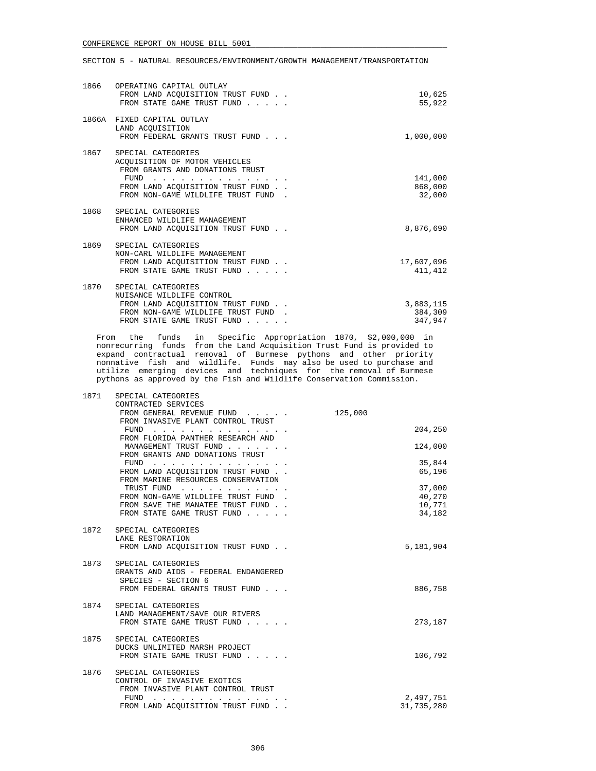| 1866 | OPERATING CAPITAL OUTLAY<br>FROM LAND ACOUISITION TRUST FUND.<br>FROM STATE GAME TRUST FUND                                                                                                                                                                                                                                                                                                                         | 10,625<br>55,922                |
|------|---------------------------------------------------------------------------------------------------------------------------------------------------------------------------------------------------------------------------------------------------------------------------------------------------------------------------------------------------------------------------------------------------------------------|---------------------------------|
|      | 1866A FIXED CAPITAL OUTLAY<br>LAND ACOUISITION<br>FROM FEDERAL GRANTS TRUST FUND                                                                                                                                                                                                                                                                                                                                    | 1,000,000                       |
|      | 1867 SPECIAL CATEGORIES<br>ACOUISITION OF MOTOR VEHICLES<br>FROM GRANTS AND DONATIONS TRUST<br>FUND<br>$\mathcal{A}$ . The set of the set of the set of the set of the set of the set of the set of the set of the set of the set of the set of the set of the set of the set of the set of the set of the set of the set of the set of t<br>FROM LAND ACQUISITION TRUST FUND<br>FROM NON-GAME WILDLIFE TRUST FUND. | 141,000<br>868,000<br>32,000    |
|      | 1868 SPECIAL CATEGORIES<br>ENHANCED WILDLIFE MANAGEMENT<br>FROM LAND ACOUISITION TRUST FUND.                                                                                                                                                                                                                                                                                                                        | 8,876,690                       |
| 1869 | SPECIAL CATEGORIES<br>NON-CARL WILDLIFE MANAGEMENT<br>FROM LAND ACOUISITION TRUST FUND.<br>FROM STATE GAME TRUST FUND                                                                                                                                                                                                                                                                                               | 17,607,096<br>411,412           |
| 1870 | SPECIAL CATEGORIES<br>NUISANCE WILDLIFE CONTROL<br>FROM LAND ACOUISITION TRUST FUND.<br>FROM NON-GAME WILDLIFE TRUST FUND.<br>FROM STATE GAME TRUST FUND                                                                                                                                                                                                                                                            | 3,883,115<br>384,309<br>347,947 |

 From the funds in Specific Appropriation 1870, \$2,000,000 in nonrecurring funds from the Land Acquisition Trust Fund is provided to expand contractual removal of Burmese pythons and other priority nonnative fish and wildlife. Funds may also be used to purchase and utilize emerging devices and techniques for the removal of Burmese pythons as approved by the Fish and Wildlife Conservation Commission.

| 1871 | SPECIAL CATEGORIES                                    |            |
|------|-------------------------------------------------------|------------|
|      | CONTRACTED SERVICES                                   |            |
|      | FROM GENERAL REVENUE FUND                             | 125,000    |
|      | FROM INVASIVE PLANT CONTROL TRUST                     |            |
|      |                                                       | 204,250    |
|      | FROM FLORIDA PANTHER RESEARCH AND                     |            |
|      | MANAGEMENT TRUST FUND                                 | 124,000    |
|      | FROM GRANTS AND DONATIONS TRUST                       |            |
|      |                                                       |            |
|      | FUND $\cdots$                                         | 35,844     |
|      | FROM LAND ACQUISITION TRUST FUND                      | 65,196     |
|      | FROM MARINE RESOURCES CONSERVATION                    |            |
|      | TRUST FUND                                            | 37,000     |
|      | FROM NON-GAME WILDLIFE TRUST FUND.                    | 40,270     |
|      | FROM SAVE THE MANATEE TRUST FUND                      | 10,771     |
|      | FROM STATE GAME TRUST FUND                            | 34,182     |
|      |                                                       |            |
|      | 1872 SPECIAL CATEGORIES                               |            |
|      | LAKE RESTORATION                                      |            |
|      | FROM LAND ACOUISITION TRUST FUND.                     | 5,181,904  |
|      |                                                       |            |
|      | 1873 SPECIAL CATEGORIES                               |            |
|      |                                                       |            |
|      | GRANTS AND AIDS - FEDERAL ENDANGERED                  |            |
|      | SPECIES - SECTION 6                                   |            |
|      | FROM FEDERAL GRANTS TRUST FUND                        | 886,758    |
|      |                                                       |            |
|      | 1874 SPECIAL CATEGORIES                               |            |
|      | LAND MANAGEMENT/SAVE OUR RIVERS                       |            |
|      | FROM STATE GAME TRUST FUND                            | 273,187    |
|      |                                                       |            |
|      | 1875 SPECIAL CATEGORIES                               |            |
|      | DUCKS UNLIMITED MARSH PROJECT                         |            |
|      | FROM STATE GAME TRUST FUND                            | 106,792    |
|      |                                                       |            |
| 1876 | SPECIAL CATEGORIES                                    |            |
|      | CONTROL OF INVASIVE EXOTICS                           |            |
|      | FROM INVASIVE PLANT CONTROL TRUST                     |            |
|      | FUND                                                  | 2,497,751  |
|      | والمناول والمناول والمناول والمناول والمناول والمناول | 31,735,280 |
|      | FROM LAND ACQUISITION TRUST FUND.                     |            |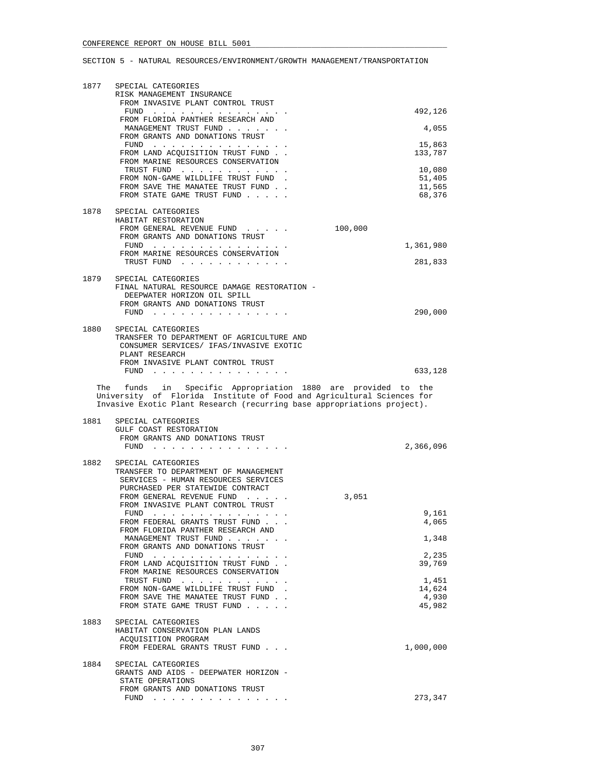| 1877 | SPECIAL CATEGORIES<br>RISK MANAGEMENT INSURANCE<br>FROM INVASIVE PLANT CONTROL TRUST                                                                                                                             |                   |
|------|------------------------------------------------------------------------------------------------------------------------------------------------------------------------------------------------------------------|-------------------|
|      | FUND<br>FROM FLORIDA PANTHER RESEARCH AND                                                                                                                                                                        | 492,126           |
|      | MANAGEMENT TRUST FUND<br>FROM GRANTS AND DONATIONS TRUST                                                                                                                                                         | 4,055             |
|      | FUND $\cdots$<br>FROM LAND ACQUISITION TRUST FUND.<br>FROM MARINE RESOURCES CONSERVATION                                                                                                                         | 15,863<br>133,787 |
|      | TRUST FUND                                                                                                                                                                                                       | 10,080            |
|      | FROM NON-GAME WILDLIFE TRUST FUND<br>FROM SAVE THE MANATEE TRUST FUND.                                                                                                                                           | 51,405<br>11,565  |
|      | FROM STATE GAME TRUST FUND                                                                                                                                                                                       | 68,376            |
| 1878 | SPECIAL CATEGORIES<br>HABITAT RESTORATION                                                                                                                                                                        |                   |
|      | FROM GENERAL REVENUE FUND                                                                                                                                                                                        | 100,000           |
|      | FROM GRANTS AND DONATIONS TRUST<br>FUND $\cdots$                                                                                                                                                                 | 1,361,980         |
|      | FROM MARINE RESOURCES CONSERVATION<br>TRUST FUND                                                                                                                                                                 | 281,833           |
|      |                                                                                                                                                                                                                  |                   |
|      | 1879 SPECIAL CATEGORIES<br>FINAL NATURAL RESOURCE DAMAGE RESTORATION -                                                                                                                                           |                   |
|      | DEEPWATER HORIZON OIL SPILL<br>FROM GRANTS AND DONATIONS TRUST                                                                                                                                                   |                   |
|      | FUND $\cdots$                                                                                                                                                                                                    | 290,000           |
| 1880 | SPECIAL CATEGORIES                                                                                                                                                                                               |                   |
|      | TRANSFER TO DEPARTMENT OF AGRICULTURE AND<br>CONSUMER SERVICES/ IFAS/INVASIVE EXOTIC<br>PLANT RESEARCH                                                                                                           |                   |
|      | FROM INVASIVE PLANT CONTROL TRUST                                                                                                                                                                                | 633,128           |
|      |                                                                                                                                                                                                                  |                   |
|      | The funds in Specific Appropriation 1880 are provided to the<br>University of Florida Institute of Food and Agricultural Sciences for<br>Invasive Exotic Plant Research (recurring base appropriations project). |                   |
| 1881 | SPECIAL CATEGORIES                                                                                                                                                                                               |                   |
|      | GULF COAST RESTORATION<br>FROM GRANTS AND DONATIONS TRUST                                                                                                                                                        |                   |
|      | FUND $\cdots$                                                                                                                                                                                                    | 2,366,096         |
| 1882 | SPECIAL CATEGORIES                                                                                                                                                                                               |                   |
|      | TRANSFER TO DEPARTMENT OF MANAGEMENT<br>SERVICES - HUMAN RESOURCES SERVICES                                                                                                                                      |                   |
|      | PURCHASED PER STATEWIDE CONTRACT<br>FROM GENERAL REVENUE FUND<br>$\cdot$ $\cdot$                                                                                                                                 | 3,051             |
|      | FROM INVASIVE PLANT CONTROL TRUST                                                                                                                                                                                |                   |
|      | $FUND$<br>FROM FEDERAL GRANTS TRUST FUND                                                                                                                                                                         | 9,161<br>4,065    |
|      | FROM FLORIDA PANTHER RESEARCH AND<br>MANAGEMENT TRUST FUND                                                                                                                                                       | 1,348             |
|      | FROM GRANTS AND DONATIONS TRUST                                                                                                                                                                                  |                   |
|      | FUND $\cdots$<br>FROM LAND ACQUISITION TRUST FUND                                                                                                                                                                | 2,235<br>39,769   |
|      | FROM MARINE RESOURCES CONSERVATION<br>TRUST FUND                                                                                                                                                                 | 1,451             |
|      | FROM NON-GAME WILDLIFE TRUST FUND                                                                                                                                                                                | 14,624            |
|      | FROM SAVE THE MANATEE TRUST FUND.<br>FROM STATE GAME TRUST FUND                                                                                                                                                  | 4,930<br>45,982   |
| 1883 | SPECIAL CATEGORIES                                                                                                                                                                                               |                   |
|      | HABITAT CONSERVATION PLAN LANDS                                                                                                                                                                                  |                   |
|      | ACQUISITION PROGRAM<br>FROM FEDERAL GRANTS TRUST FUND                                                                                                                                                            | 1,000,000         |
| 1884 | SPECIAL CATEGORIES                                                                                                                                                                                               |                   |
|      | GRANTS AND AIDS - DEEPWATER HORIZON -<br>STATE OPERATIONS                                                                                                                                                        |                   |
|      |                                                                                                                                                                                                                  |                   |
|      | FROM GRANTS AND DONATIONS TRUST<br>FUND $\cdots$                                                                                                                                                                 | 273,347           |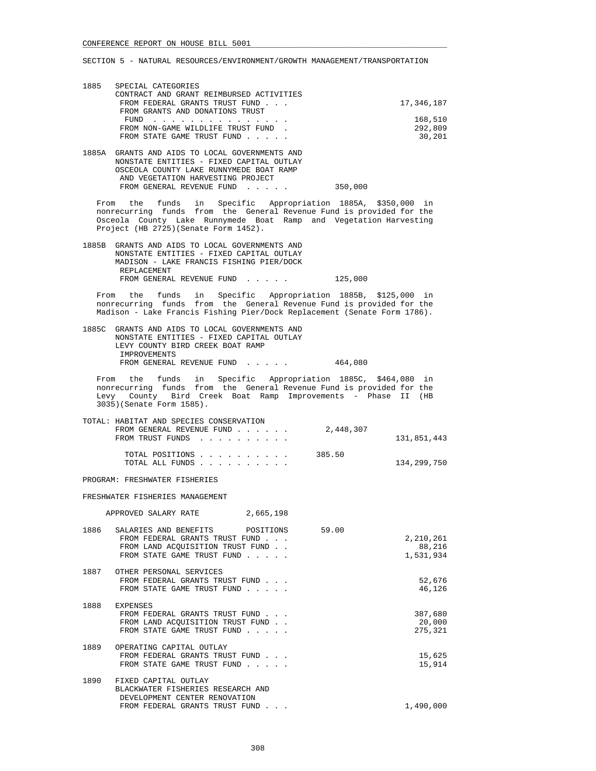| 1885 | SPECIAL CATEGORIES                       |            |
|------|------------------------------------------|------------|
|      | CONTRACT AND GRANT REIMBURSED ACTIVITIES |            |
|      | FROM FEDERAL GRANTS TRUST FUND           | 17,346,187 |
|      | FROM GRANTS AND DONATIONS TRUST          |            |
|      | FUND                                     | 168,510    |
|      | FROM NON-GAME WILDLIFE TRUST FUND.       | 292,809    |
|      | FROM STATE GAME TRUST FUND               | 30,201     |
|      |                                          |            |

 1885A GRANTS AND AIDS TO LOCAL GOVERNMENTS AND NONSTATE ENTITIES - FIXED CAPITAL OUTLAY OSCEOLA COUNTY LAKE RUNNYMEDE BOAT RAMP AND VEGETATION HARVESTING PROJECT FROM GENERAL REVENUE FUND . . . . . 350,000

 From the funds in Specific Appropriation 1885A, \$350,000 in nonrecurring funds from the General Revenue Fund is provided for the Osceola County Lake Runnymede Boat Ramp and Vegetation Harvesting Project (HB 2725)(Senate Form 1452).

 1885B GRANTS AND AIDS TO LOCAL GOVERNMENTS AND NONSTATE ENTITIES - FIXED CAPITAL OUTLAY MADISON - LAKE FRANCIS FISHING PIER/DOCK REPLACEMENT FROM GENERAL REVENUE FUND . . . . . 125,000

 From the funds in Specific Appropriation 1885B, \$125,000 in nonrecurring funds from the General Revenue Fund is provided for the Madison - Lake Francis Fishing Pier/Dock Replacement (Senate Form 1786).

 1885C GRANTS AND AIDS TO LOCAL GOVERNMENTS AND NONSTATE ENTITIES - FIXED CAPITAL OUTLAY LEVY COUNTY BIRD CREEK BOAT RAMP IMPROVEMENTS FROM GENERAL REVENUE FUND . . . . . 464,080

 From the funds in Specific Appropriation 1885C, \$464,080 in nonrecurring funds from the General Revenue Fund is provided for the Levy County Bird Creek Boat Ramp Improvements - Phase II (HB 3035)(Senate Form 1585).

|             |           |  |  |  |  | TOTAL: HABITAT AND SPECIES CONSERVATION |  |
|-------------|-----------|--|--|--|--|-----------------------------------------|--|
|             | 2,448,307 |  |  |  |  | FROM GENERAL REVENUE FUND               |  |
| 131,851,443 |           |  |  |  |  | FROM TRUST FUNDS                        |  |
|             |           |  |  |  |  |                                         |  |
|             | 385.50    |  |  |  |  | TOTAL POSITIONS                         |  |
| 134,299,750 |           |  |  |  |  | TOTAL ALL FUNDS                         |  |

PROGRAM: FRESHWATER FISHERIES

FRESHWATER FISHERIES MANAGEMENT

APPROVED SALARY RATE 2,665,198

| 1886 | SALARIES AND BENEFITS<br>POSITIONS<br>FROM FEDERAL GRANTS TRUST FUND<br>FROM LAND ACOUISITION TRUST FUND.<br>FROM STATE GAME TRUST FUND | 59.00 | 2,210,261<br>88,216<br>1,531,934 |
|------|-----------------------------------------------------------------------------------------------------------------------------------------|-------|----------------------------------|
| 1887 | OTHER PERSONAL SERVICES<br>FROM FEDERAL GRANTS TRUST FUND<br>FROM STATE GAME TRUST FUND                                                 |       | 52,676<br>46,126                 |
| 1888 | <b>EXPENSES</b><br>FROM FEDERAL GRANTS TRUST FUND<br>FROM LAND ACOUISITION TRUST FUND.<br>FROM STATE GAME TRUST FUND                    |       | 387,680<br>20,000<br>275,321     |
| 1889 | OPERATING CAPITAL OUTLAY<br>FROM FEDERAL GRANTS TRUST FUND<br>FROM STATE GAME TRUST FUND                                                |       | 15,625<br>15,914                 |
| 1890 | FIXED CAPITAL OUTLAY<br>BLACKWATER FISHERIES RESEARCH AND<br>DEVELOPMENT CENTER RENOVATION<br>FROM FEDERAL GRANTS TRUST FUND            |       | 1,490,000                        |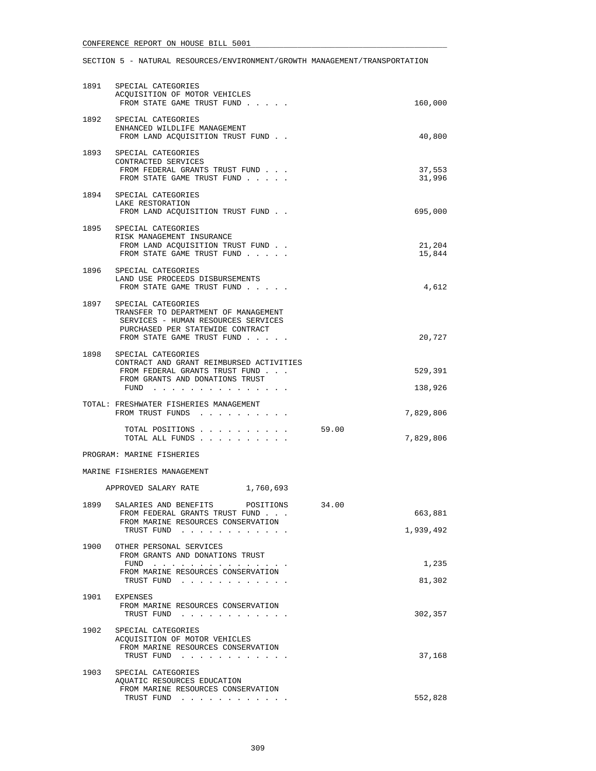| 1891 | SPECIAL CATEGORIES<br>ACQUISITION OF MOTOR VEHICLES<br>FROM STATE GAME TRUST FUND                                                                                        |       | 160,000              |
|------|--------------------------------------------------------------------------------------------------------------------------------------------------------------------------|-------|----------------------|
| 1892 | SPECIAL CATEGORIES<br>ENHANCED WILDLIFE MANAGEMENT<br>FROM LAND ACQUISITION TRUST FUND.                                                                                  |       | 40,800               |
|      | 1893 SPECIAL CATEGORIES<br>CONTRACTED SERVICES<br>FROM FEDERAL GRANTS TRUST FUND<br>FROM STATE GAME TRUST FUND                                                           |       | 37,553<br>31,996     |
| 1894 | SPECIAL CATEGORIES<br>LAKE RESTORATION<br>FROM LAND ACQUISITION TRUST FUND                                                                                               |       | 695,000              |
| 1895 | SPECIAL CATEGORIES<br>RISK MANAGEMENT INSURANCE<br>FROM LAND ACQUISITION TRUST FUND.<br>FROM STATE GAME TRUST FUND                                                       |       | 21,204<br>15,844     |
| 1896 | SPECIAL CATEGORIES<br>LAND USE PROCEEDS DISBURSEMENTS<br>FROM STATE GAME TRUST FUND                                                                                      |       | 4,612                |
|      | 1897 SPECIAL CATEGORIES<br>TRANSFER TO DEPARTMENT OF MANAGEMENT<br>SERVICES - HUMAN RESOURCES SERVICES<br>PURCHASED PER STATEWIDE CONTRACT<br>FROM STATE GAME TRUST FUND |       | 20,727               |
| 1898 | SPECIAL CATEGORIES<br>CONTRACT AND GRANT REIMBURSED ACTIVITIES<br>FROM FEDERAL GRANTS TRUST FUND<br>FROM GRANTS AND DONATIONS TRUST<br>$FUND$                            |       | 529,391<br>138,926   |
|      | TOTAL: FRESHWATER FISHERIES MANAGEMENT<br>FROM TRUST FUNDS                                                                                                               |       | 7,829,806            |
|      | TOTAL POSITIONS<br>TOTAL ALL FUNDS                                                                                                                                       | 59.00 | 7,829,806            |
|      | PROGRAM: MARINE FISHERIES                                                                                                                                                |       |                      |
|      | MARINE FISHERIES MANAGEMENT                                                                                                                                              |       |                      |
|      | APPROVED SALARY RATE 1,760,693                                                                                                                                           |       |                      |
| 1899 | SALARIES AND BENEFITS<br>POSITIONS<br>FROM FEDERAL GRANTS TRUST FUND<br>FROM MARINE RESOURCES CONSERVATION<br>TRUST FUND                                                 | 34.00 | 663,881<br>1,939,492 |
| 1900 | OTHER PERSONAL SERVICES<br>FROM GRANTS AND DONATIONS TRUST<br>FUND $\cdots$<br>FROM MARINE RESOURCES CONSERVATION<br>TRUST FUND                                          |       | 1,235<br>81,302      |
| 1901 | EXPENSES<br>FROM MARINE RESOURCES CONSERVATION<br>TRUST FUND                                                                                                             |       | 302,357              |
| 1902 | SPECIAL CATEGORIES<br>ACQUISITION OF MOTOR VEHICLES<br>FROM MARINE RESOURCES CONSERVATION<br>TRUST FUND                                                                  |       | 37,168               |
| 1903 | SPECIAL CATEGORIES<br>AQUATIC RESOURCES EDUCATION<br>FROM MARINE RESOURCES CONSERVATION<br>TRUST FUND                                                                    |       | 552,828              |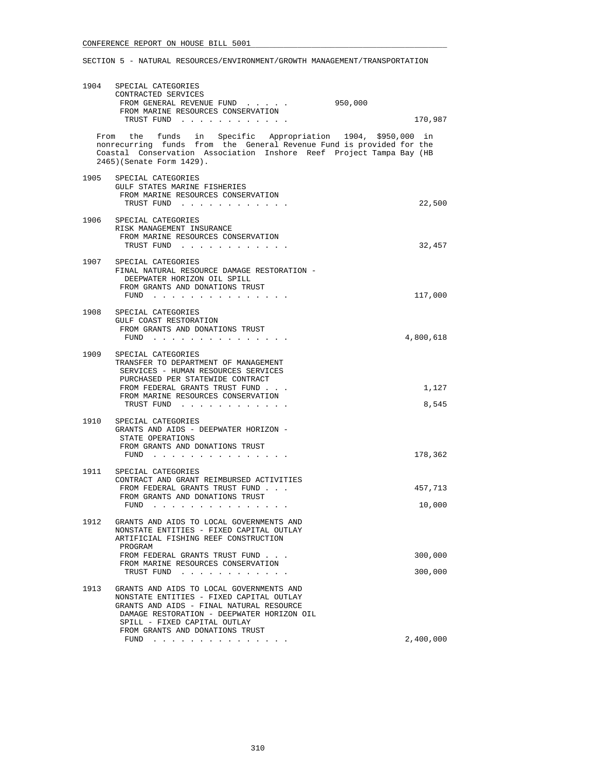| 1904 | SPECIAL CATEGORIES<br>CONTRACTED SERVICES<br>FROM GENERAL REVENUE FUND<br>FROM MARINE RESOURCES CONSERVATION                                                                                                                                              | 950,000            |
|------|-----------------------------------------------------------------------------------------------------------------------------------------------------------------------------------------------------------------------------------------------------------|--------------------|
|      | TRUST FUND                                                                                                                                                                                                                                                | 170,987            |
|      | From the funds in Specific Appropriation 1904, \$950,000 in<br>nonrecurring funds from the General Revenue Fund is provided for the<br>Coastal Conservation Association Inshore Reef Project Tampa Bay (HB<br>2465) (Senate Form 1429).                   |                    |
|      | 1905 SPECIAL CATEGORIES<br>GULF STATES MARINE FISHERIES<br>FROM MARINE RESOURCES CONSERVATION<br>TRUST FUND                                                                                                                                               | 22,500             |
| 1906 | SPECIAL CATEGORIES<br>RISK MANAGEMENT INSURANCE<br>FROM MARINE RESOURCES CONSERVATION<br>TRUST FUND                                                                                                                                                       | 32,457             |
|      | 1907 SPECIAL CATEGORIES<br>FINAL NATURAL RESOURCE DAMAGE RESTORATION -<br>DEEPWATER HORIZON OIL SPILL<br>FROM GRANTS AND DONATIONS TRUST<br>FUND $\cdots$                                                                                                 | 117,000            |
| 1908 | SPECIAL CATEGORIES<br>GULF COAST RESTORATION<br>FROM GRANTS AND DONATIONS TRUST<br>FUND                                                                                                                                                                   | 4,800,618          |
| 1909 | SPECIAL CATEGORIES<br>TRANSFER TO DEPARTMENT OF MANAGEMENT<br>SERVICES - HUMAN RESOURCES SERVICES<br>PURCHASED PER STATEWIDE CONTRACT<br>FROM FEDERAL GRANTS TRUST FUND<br>FROM MARINE RESOURCES CONSERVATION<br>TRUST FUND                               | 1,127<br>8,545     |
| 1910 | SPECIAL CATEGORIES<br>GRANTS AND AIDS - DEEPWATER HORIZON -<br>STATE OPERATIONS<br>FROM GRANTS AND DONATIONS TRUST<br>FUND $\cdots$ $\cdots$ $\cdots$                                                                                                     | 178,362            |
| 1911 | SPECIAL CATEGORIES<br>CONTRACT AND GRANT REIMBURSED ACTIVITIES<br>FROM FEDERAL GRANTS TRUST FUND<br>FROM GRANTS AND DONATIONS TRUST<br>FUND                                                                                                               | 457,713<br>10,000  |
| 1912 | GRANTS AND AIDS TO LOCAL GOVERNMENTS AND<br>NONSTATE ENTITIES - FIXED CAPITAL OUTLAY<br>ARTIFICIAL FISHING REEF CONSTRUCTION<br>PROGRAM<br>FROM FEDERAL GRANTS TRUST FUND<br>FROM MARINE RESOURCES CONSERVATION<br>TRUST FUND                             | 300,000<br>300,000 |
| 1913 | GRANTS AND AIDS TO LOCAL GOVERNMENTS AND<br>NONSTATE ENTITIES - FIXED CAPITAL OUTLAY<br>GRANTS AND AIDS - FINAL NATURAL RESOURCE<br>DAMAGE RESTORATION - DEEPWATER HORIZON OIL<br>SPILL - FIXED CAPITAL OUTLAY<br>FROM GRANTS AND DONATIONS TRUST<br>FUND | 2,400,000          |
|      | the contract of the contract of the contract of the contract of the contract of the contract of the contract of                                                                                                                                           |                    |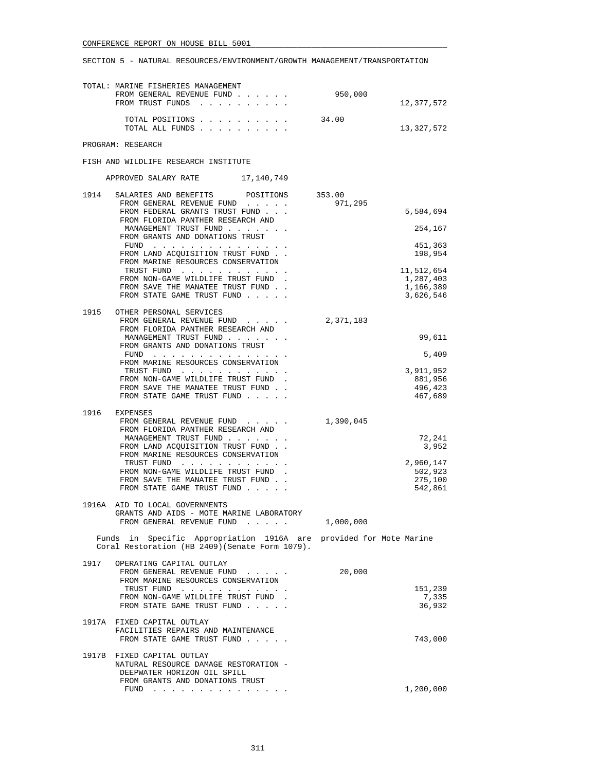|      | TOTAL: MARINE FISHERIES MANAGEMENT<br>FROM GENERAL REVENUE FUND<br>FROM TRUST FUNDS                                   | 950,000           | 12,377,572             |
|------|-----------------------------------------------------------------------------------------------------------------------|-------------------|------------------------|
|      | TOTAL POSITIONS<br>TOTAL ALL FUNDS                                                                                    | 34.00             | 13,327,572             |
|      | PROGRAM: RESEARCH                                                                                                     |                   |                        |
|      | FISH AND WILDLIFE RESEARCH INSTITUTE                                                                                  |                   |                        |
|      | APPROVED SALARY RATE 17,140,749                                                                                       |                   |                        |
| 1914 | SALARIES AND BENEFITS<br>POSITIONS<br>FROM GENERAL REVENUE FUND                                                       | 353.00<br>971,295 |                        |
|      | FROM FEDERAL GRANTS TRUST FUND<br>FROM FLORIDA PANTHER RESEARCH AND                                                   |                   | 5,584,694              |
|      | MANAGEMENT TRUST FUND<br>FROM GRANTS AND DONATIONS TRUST                                                              |                   | 254,167                |
|      | FUND<br>FROM LAND ACQUISITION TRUST FUND.                                                                             |                   | 451,363<br>198,954     |
|      | FROM MARINE RESOURCES CONSERVATION                                                                                    |                   | 11,512,654             |
|      | TRUST FUND<br>FROM NON-GAME WILDLIFE TRUST FUND.                                                                      |                   | 1,287,403              |
|      | FROM SAVE THE MANATEE TRUST FUND.<br>FROM STATE GAME TRUST FUND                                                       |                   | 1,166,389<br>3,626,546 |
| 1915 | OTHER PERSONAL SERVICES                                                                                               |                   |                        |
|      | FROM GENERAL REVENUE FUND<br>FROM FLORIDA PANTHER RESEARCH AND                                                        | 2,371,183         |                        |
|      | MANAGEMENT TRUST FUND<br>FROM GRANTS AND DONATIONS TRUST                                                              |                   | 99,611                 |
|      | FUND<br>FROM MARINE RESOURCES CONSERVATION                                                                            |                   | 5,409                  |
|      | TRUST FUND<br>FROM NON-GAME WILDLIFE TRUST FUND                                                                       |                   | 3,911,952<br>881,956   |
|      | FROM SAVE THE MANATEE TRUST FUND.<br>FROM STATE GAME TRUST FUND                                                       |                   | 496,423<br>467,689     |
| 1916 | <b>EXPENSES</b>                                                                                                       |                   |                        |
|      | FROM GENERAL REVENUE FUND<br>FROM FLORIDA PANTHER RESEARCH AND                                                        | 1,390,045         |                        |
|      | MANAGEMENT TRUST FUND<br>FROM LAND ACQUISITION TRUST FUND.                                                            |                   | 72,241<br>3,952        |
|      | FROM MARINE RESOURCES CONSERVATION<br>TRUST FUND                                                                      |                   | 2,960,147              |
|      | FROM NON-GAME WILDLIFE TRUST FUND<br>FROM SAVE THE MANATEE TRUST FUND.                                                |                   | 502,923<br>275,100     |
|      | FROM STATE GAME TRUST FUND                                                                                            |                   | 542,861                |
|      | 1916A AID TO LOCAL GOVERNMENTS<br>GRANTS AND AIDS - MOTE MARINE LABORATORY                                            |                   |                        |
|      | FROM GENERAL REVENUE FUND                                                                                             | 1,000,000         |                        |
|      | Funds in Specific Appropriation 1916A are provided for Mote Marine<br>Coral Restoration (HB 2409) (Senate Form 1079). |                   |                        |
| 1917 | OPERATING CAPITAL OUTLAY<br>FROM GENERAL REVENUE FUND                                                                 | 20,000            |                        |
|      | FROM MARINE RESOURCES CONSERVATION<br>TRUST FUND                                                                      |                   | 151,239                |
|      | FROM NON-GAME WILDLIFE TRUST FUND<br>FROM STATE GAME TRUST FUND                                                       |                   | 7,335<br>36,932        |
|      | 1917A FIXED CAPITAL OUTLAY<br>FACILITIES REPAIRS AND MAINTENANCE                                                      |                   |                        |
|      | FROM STATE GAME TRUST FUND                                                                                            |                   | 743,000                |
|      | 1917B FIXED CAPITAL OUTLAY<br>NATURAL RESOURCE DAMAGE RESTORATION -                                                   |                   |                        |
|      | DEEPWATER HORIZON OIL SPILL<br>FROM GRANTS AND DONATIONS TRUST                                                        |                   |                        |
|      |                                                                                                                       |                   | 1,200,000              |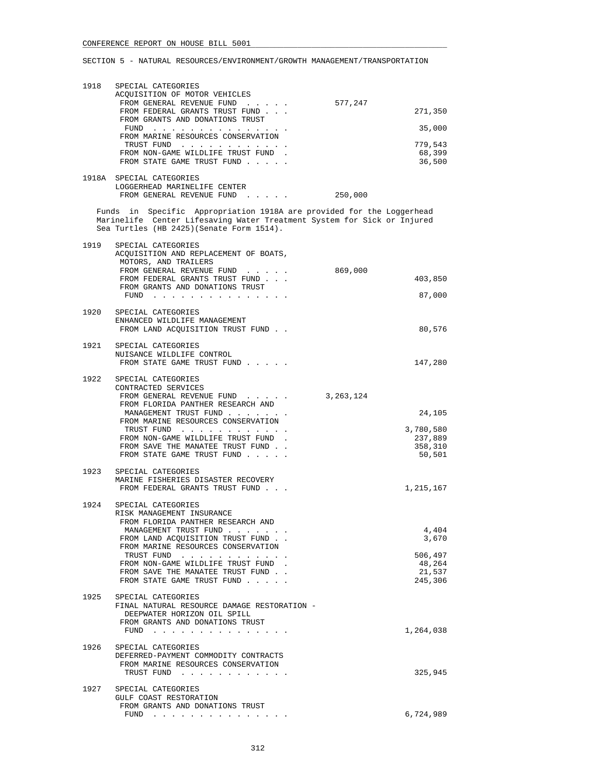| 1918 | SPECIAL CATEGORIES<br>ACQUISITION OF MOTOR VEHICLES<br>FROM GENERAL REVENUE FUND<br>FROM FEDERAL GRANTS TRUST FUND<br>FROM GRANTS AND DONATIONS TRUST<br>$FUND$ ,,,,,,,,,,,,,,,,,<br>FROM MARINE RESOURCES CONSERVATION<br>TRUST FUND<br>FROM NON-GAME WILDLIFE TRUST FUND.<br>FROM STATE GAME TRUST FUND    | 577,247<br>271,350<br>35,000<br>779,543<br>68,399<br>36,500        |
|------|--------------------------------------------------------------------------------------------------------------------------------------------------------------------------------------------------------------------------------------------------------------------------------------------------------------|--------------------------------------------------------------------|
|      | 1918A SPECIAL CATEGORIES<br>LOGGERHEAD MARINELIFE CENTER<br>FROM GENERAL REVENUE FUND                                                                                                                                                                                                                        | 250,000                                                            |
|      | Funds in Specific Appropriation 1918A are provided for the Loggerhead<br>Marinelife Center Lifesaving Water Treatment System for Sick or Injured<br>Sea Turtles (HB 2425) (Senate Form 1514).                                                                                                                |                                                                    |
| 1919 | SPECIAL CATEGORIES<br>ACQUISITION AND REPLACEMENT OF BOATS,<br>MOTORS, AND TRAILERS<br>FROM GENERAL REVENUE FUND<br>FROM FEDERAL GRANTS TRUST FUND<br>FROM GRANTS AND DONATIONS TRUST<br>FUND $\cdots$                                                                                                       | 869,000<br>403,850<br>87,000                                       |
| 1920 | SPECIAL CATEGORIES<br>ENHANCED WILDLIFE MANAGEMENT<br>FROM LAND ACQUISITION TRUST FUND                                                                                                                                                                                                                       | 80,576                                                             |
|      | 1921 SPECIAL CATEGORIES<br>NUISANCE WILDLIFE CONTROL<br>FROM STATE GAME TRUST FUND                                                                                                                                                                                                                           | 147,280                                                            |
| 1922 | SPECIAL CATEGORIES<br>CONTRACTED SERVICES<br>FROM GENERAL REVENUE FUND<br>FROM FLORIDA PANTHER RESEARCH AND<br>MANAGEMENT TRUST FUND<br>FROM MARINE RESOURCES CONSERVATION<br>TRUST FUND<br>FROM NON-GAME WILDLIFE TRUST FUND.<br>FROM SAVE THE MANATEE TRUST FUND.<br>FROM STATE GAME TRUST FUND            | 3, 263, 124<br>24,105<br>3,780,580<br>237,889<br>358,310<br>50,501 |
|      | 1923 SPECIAL CATEGORIES<br>MARINE FISHERIES DISASTER RECOVERY<br>FROM FEDERAL GRANTS TRUST FUND                                                                                                                                                                                                              | 1,215,167                                                          |
| 1924 | SPECIAL CATEGORIES<br>RISK MANAGEMENT INSURANCE<br>FROM FLORIDA PANTHER RESEARCH AND<br>MANAGEMENT TRUST FUND<br>FROM LAND ACQUISITION TRUST FUND<br>FROM MARINE RESOURCES CONSERVATION<br>TRUST FUND<br>FROM NON-GAME WILDLIFE TRUST FUND<br>FROM SAVE THE MANATEE TRUST FUND<br>FROM STATE GAME TRUST FUND | 4,404<br>3,670<br>506,497<br>48,264<br>21,537<br>245,306           |
| 1925 | SPECIAL CATEGORIES<br>FINAL NATURAL RESOURCE DAMAGE RESTORATION -<br>DEEPWATER HORIZON OIL SPILL<br>FROM GRANTS AND DONATIONS TRUST<br>FUND<br>والمناور والمناور والمناور والمناور والمناور والمناور                                                                                                         | 1,264,038                                                          |
| 1926 | SPECIAL CATEGORIES<br>DEFERRED-PAYMENT COMMODITY CONTRACTS<br>FROM MARINE RESOURCES CONSERVATION<br>TRUST FUND                                                                                                                                                                                               | 325,945                                                            |
| 1927 | SPECIAL CATEGORIES<br>GULF COAST RESTORATION<br>FROM GRANTS AND DONATIONS TRUST<br>FUND $\cdots$                                                                                                                                                                                                             | 6,724,989                                                          |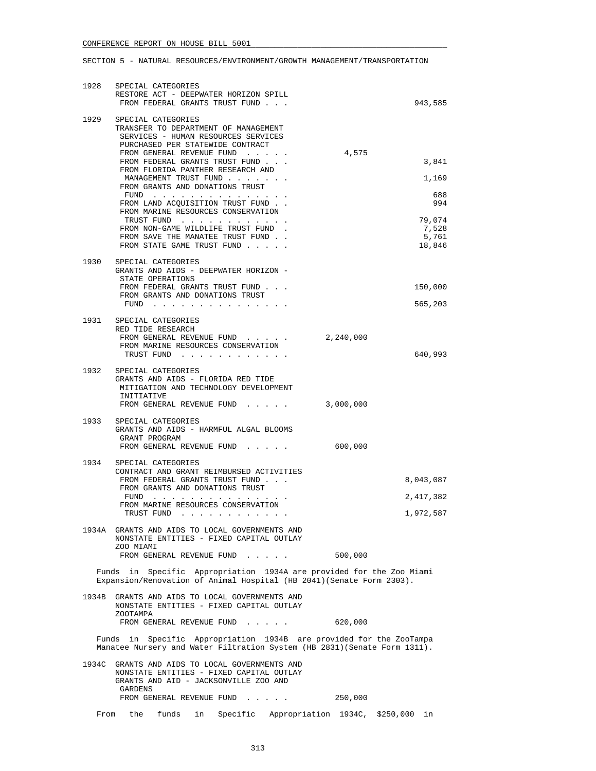| 1928  | SPECIAL CATEGORIES<br>RESTORE ACT - DEEPWATER HORIZON SPILL                                                                                                                                                                                                               |                          |
|-------|---------------------------------------------------------------------------------------------------------------------------------------------------------------------------------------------------------------------------------------------------------------------------|--------------------------|
|       | FROM FEDERAL GRANTS TRUST FUND<br>1929 SPECIAL CATEGORIES                                                                                                                                                                                                                 | 943,585                  |
|       | TRANSFER TO DEPARTMENT OF MANAGEMENT<br>SERVICES - HUMAN RESOURCES SERVICES<br>PURCHASED PER STATEWIDE CONTRACT                                                                                                                                                           |                          |
|       | FROM GENERAL REVENUE FUND<br>FROM FEDERAL GRANTS TRUST FUND<br>FROM FLORIDA PANTHER RESEARCH AND                                                                                                                                                                          | 4,575<br>3,841           |
|       | MANAGEMENT TRUST FUND<br>FROM GRANTS AND DONATIONS TRUST                                                                                                                                                                                                                  | 1,169                    |
|       | FUND<br>FROM LAND ACQUISITION TRUST FUND.<br>FROM MARINE RESOURCES CONSERVATION                                                                                                                                                                                           | 688<br>994               |
|       | TRUST FUND<br>FROM NON-GAME WILDLIFE TRUST FUND.<br>FROM SAVE THE MANATEE TRUST FUND.                                                                                                                                                                                     | 79,074<br>7,528<br>5,761 |
|       | FROM STATE GAME TRUST FUND                                                                                                                                                                                                                                                | 18,846                   |
| 1930  | SPECIAL CATEGORIES<br>GRANTS AND AIDS - DEEPWATER HORIZON -<br>STATE OPERATIONS                                                                                                                                                                                           |                          |
|       | FROM FEDERAL GRANTS TRUST FUND<br>FROM GRANTS AND DONATIONS TRUST<br>FUND $\cdots$                                                                                                                                                                                        | 150,000<br>565,203       |
| 1931  | SPECIAL CATEGORIES<br>RED TIDE RESEARCH                                                                                                                                                                                                                                   |                          |
|       | FROM GENERAL REVENUE FUND<br>2,240,000<br>FROM MARINE RESOURCES CONSERVATION<br>TRUST FUND                                                                                                                                                                                | 640,993                  |
| 1932  | SPECIAL CATEGORIES                                                                                                                                                                                                                                                        |                          |
|       | GRANTS AND AIDS - FLORIDA RED TIDE<br>MITIGATION AND TECHNOLOGY DEVELOPMENT<br>INITIATIVE                                                                                                                                                                                 |                          |
|       | FROM GENERAL REVENUE FUND<br>3,000,000                                                                                                                                                                                                                                    |                          |
|       | 1933 SPECIAL CATEGORIES<br>GRANTS AND AIDS - HARMFUL ALGAL BLOOMS<br>GRANT PROGRAM                                                                                                                                                                                        |                          |
|       | FROM GENERAL REVENUE FUND                                                                                                                                                                                                                                                 | 600,000                  |
| 1934  | SPECIAL CATEGORIES<br>CONTRACT AND GRANT REIMBURSED ACTIVITIES<br>FROM FEDERAL GRANTS TRUST FUND                                                                                                                                                                          | 8,043,087                |
|       | FROM GRANTS AND DONATIONS TRUST<br>FUND<br>the contract of the contract of the contract of the contract of the contract of the contract of the contract of the contract of the contract of the contract of the contract of the contract of the contract of the contract o | 2,417,382                |
|       | FROM MARINE RESOURCES CONSERVATION<br>TRUST FUND                                                                                                                                                                                                                          | 1,972,587                |
|       | 1934A GRANTS AND AIDS TO LOCAL GOVERNMENTS AND<br>NONSTATE ENTITIES - FIXED CAPITAL OUTLAY<br>ZOO MIAMI                                                                                                                                                                   |                          |
|       | FROM GENERAL REVENUE FUND                                                                                                                                                                                                                                                 | 500,000                  |
|       | Specific Appropriation 1934A are provided for the Zoo Miami<br>Funds in<br>Expansion/Renovation of Animal Hospital (HB 2041) (Senate Form 2303).                                                                                                                          |                          |
| 1934B | GRANTS AND AIDS TO LOCAL GOVERNMENTS AND<br>NONSTATE ENTITIES - FIXED CAPITAL OUTLAY<br>ZOOTAMPA                                                                                                                                                                          |                          |
|       | FROM GENERAL REVENUE FUND                                                                                                                                                                                                                                                 | 620,000                  |
|       | Specific Appropriation 1934B are provided for the ZooTampa<br>Funds in<br>Manatee Nursery and Water Filtration System (HB 2831) (Senate Form 1311).                                                                                                                       |                          |
| 1934C | GRANTS AND AIDS TO LOCAL GOVERNMENTS AND<br>NONSTATE ENTITIES - FIXED CAPITAL OUTLAY<br>GRANTS AND AID - JACKSONVILLE ZOO AND<br>GARDENS                                                                                                                                  |                          |
|       | FROM GENERAL REVENUE FUND                                                                                                                                                                                                                                                 | 250,000                  |
| From  | funds in<br>Specific Appropriation 1934C, \$250,000<br>the                                                                                                                                                                                                                | in                       |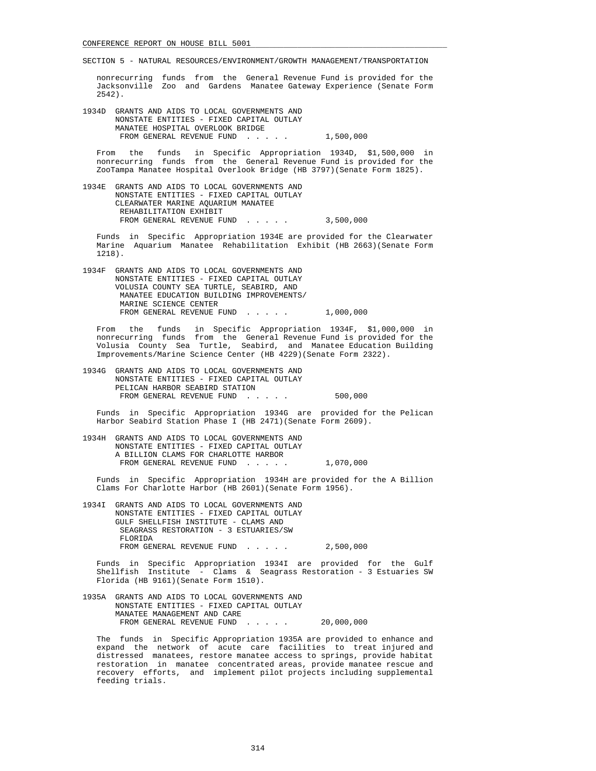nonrecurring funds from the General Revenue Fund is provided for the Jacksonville Zoo and Gardens Manatee Gateway Experience (Senate Form 2542).

 1934D GRANTS AND AIDS TO LOCAL GOVERNMENTS AND NONSTATE ENTITIES - FIXED CAPITAL OUTLAY MANATEE HOSPITAL OVERLOOK BRIDGE FROM GENERAL REVENUE FUND . . . . . 1,500,000

 From the funds in Specific Appropriation 1934D, \$1,500,000 in nonrecurring funds from the General Revenue Fund is provided for the ZooTampa Manatee Hospital Overlook Bridge (HB 3797)(Senate Form 1825).

 1934E GRANTS AND AIDS TO LOCAL GOVERNMENTS AND NONSTATE ENTITIES - FIXED CAPITAL OUTLAY CLEARWATER MARINE AQUARIUM MANATEE REHABILITATION EXHIBIT FROM GENERAL REVENUE FUND . . . . . 3,500,000

 Funds in Specific Appropriation 1934E are provided for the Clearwater Marine Aquarium Manatee Rehabilitation Exhibit (HB 2663)(Senate Form 1218).

 1934F GRANTS AND AIDS TO LOCAL GOVERNMENTS AND NONSTATE ENTITIES - FIXED CAPITAL OUTLAY VOLUSIA COUNTY SEA TURTLE, SEABIRD, AND MANATEE EDUCATION BUILDING IMPROVEMENTS/ MARINE SCIENCE CENTER FROM GENERAL REVENUE FUND . . . . . 1,000,000

 From the funds in Specific Appropriation 1934F, \$1,000,000 in nonrecurring funds from the General Revenue Fund is provided for the Volusia County Sea Turtle, Seabird, and Manatee Education Building Improvements/Marine Science Center (HB 4229)(Senate Form 2322).

 1934G GRANTS AND AIDS TO LOCAL GOVERNMENTS AND NONSTATE ENTITIES - FIXED CAPITAL OUTLAY PELICAN HARBOR SEABIRD STATION FROM GENERAL REVENUE FUND . . . . . 500,000

 Funds in Specific Appropriation 1934G are provided for the Pelican Harbor Seabird Station Phase I (HB 2471)(Senate Form 2609).

 1934H GRANTS AND AIDS TO LOCAL GOVERNMENTS AND NONSTATE ENTITIES - FIXED CAPITAL OUTLAY A BILLION CLAMS FOR CHARLOTTE HARBOR FROM GENERAL REVENUE FUND . . . . . 1,070,000

 Funds in Specific Appropriation 1934H are provided for the A Billion Clams For Charlotte Harbor (HB 2601)(Senate Form 1956).

 1934I GRANTS AND AIDS TO LOCAL GOVERNMENTS AND NONSTATE ENTITIES - FIXED CAPITAL OUTLAY GULF SHELLFISH INSTITUTE - CLAMS AND SEAGRASS RESTORATION - 3 ESTUARIES/SW FLORIDA FROM GENERAL REVENUE FUND . . . . . 2,500,000

 Funds in Specific Appropriation 1934I are provided for the Gulf Shellfish Institute - Clams & Seagrass Restoration - 3 Estuaries SW Florida (HB 9161)(Senate Form 1510).

 1935A GRANTS AND AIDS TO LOCAL GOVERNMENTS AND NONSTATE ENTITIES - FIXED CAPITAL OUTLAY MANATEE MANAGEMENT AND CARE FROM GENERAL REVENUE FUND . . . . . 20,000,000

 The funds in Specific Appropriation 1935A are provided to enhance and expand the network of acute care facilities to treat injured and distressed manatees, restore manatee access to springs, provide habitat restoration in manatee concentrated areas, provide manatee rescue and recovery efforts, and implement pilot projects including supplemental feeding trials.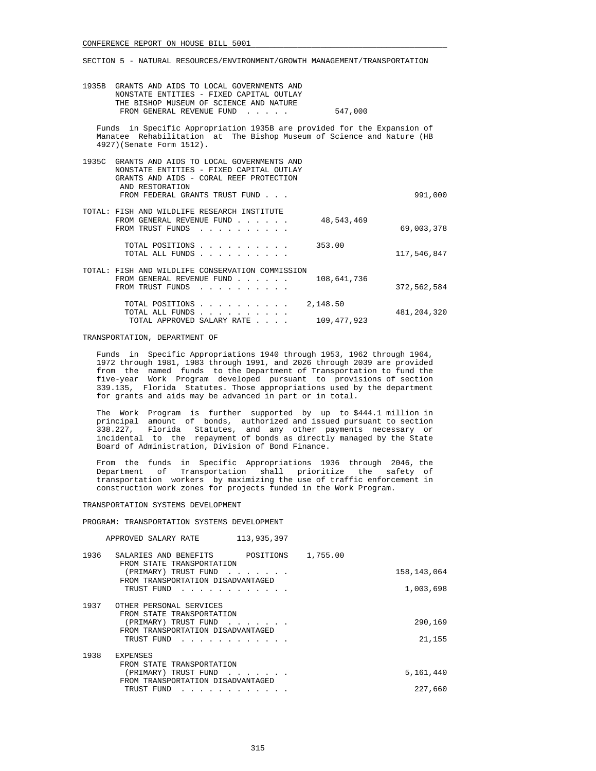| 1935B GRANTS AND AIDS TO LOCAL GOVERNMENTS AND<br>NONSTATE ENTITIES - FIXED CAPITAL OUTLAY<br>THE BISHOP MUSEUM OF SCIENCE AND NATURE<br>FROM GENERAL REVENUE FUND<br>$\mathbf{r}$ . The set of the set of the set of the set of the set of the set of the set of the set of the set of the set of the set of the set of the set of the set of the set of the set of the set of the set of the set of t | 547,000                 |               |
|---------------------------------------------------------------------------------------------------------------------------------------------------------------------------------------------------------------------------------------------------------------------------------------------------------------------------------------------------------------------------------------------------------|-------------------------|---------------|
| Funds in Specific Appropriation 1935B are provided for the Expansion of<br>Manatee Rehabilitation at The Bishop Museum of Science and Nature (HB<br>4927) (Senate Form 1512).                                                                                                                                                                                                                           |                         |               |
| 1935C GRANTS AND AIDS TO LOCAL GOVERNMENTS AND<br>NONSTATE ENTITIES - FIXED CAPITAL OUTLAY<br>GRANTS AND AIDS - CORAL REEF PROTECTION<br>AND RESTORATION<br>FROM FEDERAL GRANTS TRUST FUND                                                                                                                                                                                                              |                         | 991,000       |
| TOTAL: FISH AND WILDLIFE RESEARCH INSTITUTE<br>FROM GENERAL REVENUE FUND<br>FROM TRUST FUNDS                                                                                                                                                                                                                                                                                                            | 48,543,469              | 69,003,378    |
| TOTAL POSITIONS<br>TOTAL ALL FUNDS                                                                                                                                                                                                                                                                                                                                                                      | 353.00                  | 117,546,847   |
| TOTAL: FISH AND WILDLIFE CONSERVATION COMMISSION<br>FROM GENERAL REVENUE FUND<br>FROM TRUST FUNDS                                                                                                                                                                                                                                                                                                       | 108,641,736             | 372,562,584   |
| TOTAL POSITIONS<br>TOTAL ALL FUNDS<br>and a series and a series of the<br>TOTAL APPROVED SALARY RATE                                                                                                                                                                                                                                                                                                    | 2,148.50<br>109,477,923 | 481, 204, 320 |

#### TRANSPORTATION, DEPARTMENT OF

 Funds in Specific Appropriations 1940 through 1953, 1962 through 1964, 1972 through 1981, 1983 through 1991, and 2026 through 2039 are provided from the named funds to the Department of Transportation to fund the five-year Work Program developed pursuant to provisions of section 339.135, Florida Statutes. Those appropriations used by the department for grants and aids may be advanced in part or in total.

 The Work Program is further supported by up to \$444.1 million in principal amount of bonds, authorized and issued pursuant to section 338.227, Florida Statutes, and any other payments necessary or incidental to the repayment of bonds as directly managed by the State Board of Administration, Division of Bond Finance.

 From the funds in Specific Appropriations 1936 through 2046, the Department of Transportation shall prioritize the safety of transportation workers by maximizing the use of traffic enforcement in construction work zones for projects funded in the Work Program.

#### TRANSPORTATION SYSTEMS DEVELOPMENT

PROGRAM: TRANSPORTATION SYSTEMS DEVELOPMENT

|      | 113,935,397<br>APPROVED SALARY RATE                                                                                                                                                                                                                                                         |          |               |
|------|---------------------------------------------------------------------------------------------------------------------------------------------------------------------------------------------------------------------------------------------------------------------------------------------|----------|---------------|
| 1936 | POSITIONS<br>SALARIES AND BENEFITS<br>FROM STATE TRANSPORTATION                                                                                                                                                                                                                             | 1,755.00 |               |
|      | (PRIMARY) TRUST FUND<br>.<br>FROM TRANSPORTATION DISADVANTAGED                                                                                                                                                                                                                              |          | 158, 143, 064 |
|      | TRUST FUND<br>and a series and a series and a                                                                                                                                                                                                                                               |          | 1,003,698     |
| 1937 | OTHER PERSONAL SERVICES<br>FROM STATE TRANSPORTATION                                                                                                                                                                                                                                        |          |               |
|      | (PRIMARY) TRUST FUND<br>$\cdot$ $\cdot$ $\cdot$ $\cdot$ $\cdot$ $\cdot$ $\cdot$ $\cdot$<br>FROM TRANSPORTATION DISADVANTAGED                                                                                                                                                                |          | 290,169       |
|      | TRUST FUND                                                                                                                                                                                                                                                                                  |          | 21,155        |
| 1938 | EXPENSES<br>FROM STATE TRANSPORTATION                                                                                                                                                                                                                                                       |          |               |
|      | (PRIMARY) TRUST FUND<br>and the contract of the contract of the contract of the contract of the contract of the contract of the contract of the contract of the contract of the contract of the contract of the contract of the contract of the contra<br>FROM TRANSPORTATION DISADVANTAGED |          | 5,161,440     |
|      | TRUST FUND                                                                                                                                                                                                                                                                                  |          | 227,660       |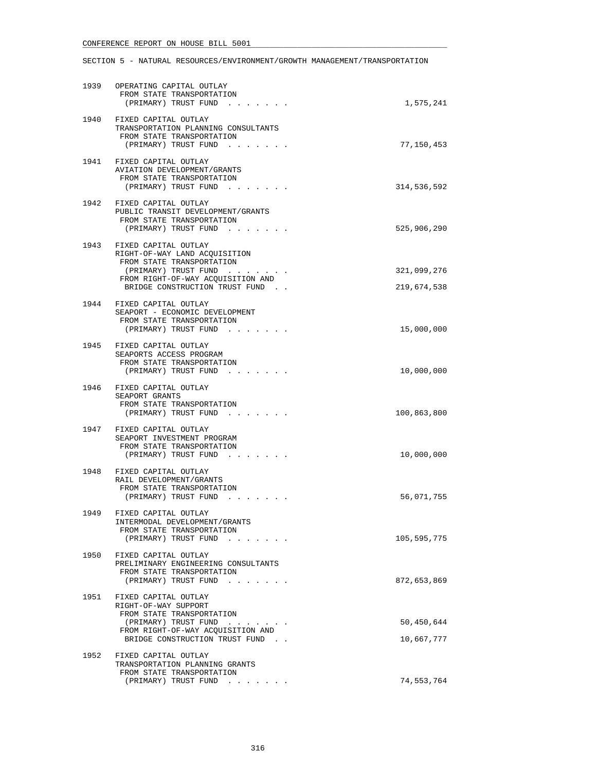|      | 1939 OPERATING CAPITAL OUTLAY<br>FROM STATE TRANSPORTATION<br>(PRIMARY) TRUST FUND                                                                                                 | 1,575,241                  |
|------|------------------------------------------------------------------------------------------------------------------------------------------------------------------------------------|----------------------------|
|      | 1940 FIXED CAPITAL OUTLAY<br>TRANSPORTATION PLANNING CONSULTANTS<br>FROM STATE TRANSPORTATION<br>(PRIMARY) TRUST FUND                                                              | 77,150,453                 |
|      | 1941 FIXED CAPITAL OUTLAY<br><b>AVIATION DEVELOPMENT/GRANTS</b><br>FROM STATE TRANSPORTATION<br>(PRIMARY) TRUST FUND                                                               | 314,536,592                |
| 1942 | FIXED CAPITAL OUTLAY<br>PUBLIC TRANSIT DEVELOPMENT/GRANTS<br>FROM STATE TRANSPORTATION<br>(PRIMARY) TRUST FUND                                                                     | 525,906,290                |
| 1943 | FIXED CAPITAL OUTLAY<br>RIGHT-OF-WAY LAND ACQUISITION<br>FROM STATE TRANSPORTATION<br>(PRIMARY) TRUST FUND<br>FROM RIGHT-OF-WAY ACQUISITION AND<br>BRIDGE CONSTRUCTION TRUST FUND. | 321,099,276<br>219,674,538 |
| 1944 | FIXED CAPITAL OUTLAY<br>SEAPORT - ECONOMIC DEVELOPMENT<br>FROM STATE TRANSPORTATION<br>(PRIMARY) TRUST FUND                                                                        | 15,000,000                 |
|      | 1945 FIXED CAPITAL OUTLAY<br>SEAPORTS ACCESS PROGRAM<br>FROM STATE TRANSPORTATION<br>(PRIMARY) TRUST FUND                                                                          | 10,000,000                 |
|      | 1946 FIXED CAPITAL OUTLAY<br>SEAPORT GRANTS<br>FROM STATE TRANSPORTATION<br>(PRIMARY) TRUST FUND                                                                                   | 100,863,800                |
|      | 1947 FIXED CAPITAL OUTLAY<br>SEAPORT INVESTMENT PROGRAM<br>FROM STATE TRANSPORTATION<br>(PRIMARY) TRUST FUND                                                                       | 10,000,000                 |
|      | 1948 FIXED CAPITAL OUTLAY<br>RAIL DEVELOPMENT/GRANTS<br>FROM STATE TRANSPORTATION<br>(PRIMARY) TRUST FUND                                                                          | 56,071,755                 |
| 1949 | FIXED CAPITAL OUTLAY<br>INTERMODAL DEVELOPMENT/GRANTS<br>FROM STATE TRANSPORTATION<br>(PRIMARY) TRUST FUND                                                                         | 105,595,775                |
| 1950 | FIXED CAPITAL OUTLAY<br>PRELIMINARY ENGINEERING CONSULTANTS<br>FROM STATE TRANSPORTATION<br>(PRIMARY) TRUST FUND                                                                   | 872,653,869                |
| 1951 | FIXED CAPITAL OUTLAY<br>RIGHT-OF-WAY SUPPORT<br>FROM STATE TRANSPORTATION<br>(PRIMARY) TRUST FUND                                                                                  | 50,450,644                 |
|      | FROM RIGHT-OF-WAY ACQUISITION AND<br>BRIDGE CONSTRUCTION TRUST FUND.                                                                                                               | 10,667,777                 |
| 1952 | FIXED CAPITAL OUTLAY<br>TRANSPORTATION PLANNING GRANTS<br>FROM STATE TRANSPORTATION                                                                                                |                            |
|      | (PRIMARY) TRUST FUND                                                                                                                                                               | 74,553,764                 |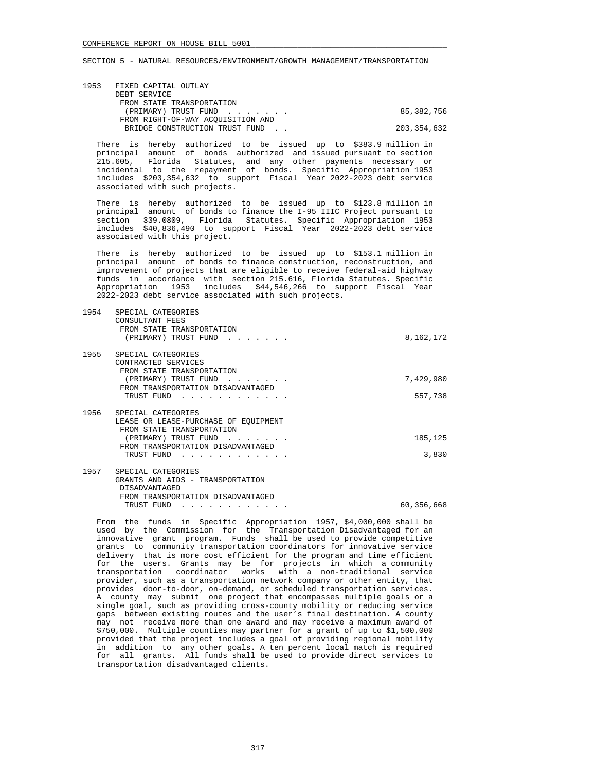| 1953 FIXED CAPITAL OUTLAY         |             |
|-----------------------------------|-------------|
| DEBT SERVICE                      |             |
| FROM STATE TRANSPORTATION         |             |
| (PRIMARY) TRUST FUND              | 85,382,756  |
| FROM RIGHT-OF-WAY ACOUISITION AND |             |
| BRIDGE CONSTRUCTION TRUST FUND.   | 203,354,632 |

 There is hereby authorized to be issued up to \$383.9 million in principal amount of bonds authorized and issued pursuant to section 215.605, Florida Statutes, and any other payments necessary or incidental to the repayment of bonds. Specific Appropriation 1953 includes \$203,354,632 to support Fiscal Year 2022-2023 debt service associated with such projects.

 There is hereby authorized to be issued up to \$123.8 million in principal amount of bonds to finance the I-95 IIIC Project pursuant to section 339.0809, Florida Statutes. Specific Appropriation 1953 includes \$40,836,490 to support Fiscal Year 2022-2023 debt service associated with this project.

 There is hereby authorized to be issued up to \$153.1 million in principal amount of bonds to finance construction, reconstruction, and improvement of projects that are eligible to receive federal-aid highway funds in accordance with section 215.616, Florida Statutes. Specific Appropriation 1953 includes \$44,546,266 to support Fiscal Year 2022-2023 debt service associated with such projects.

| 1954 | SPECIAL CATEGORIES<br>CONSULTANT FEES<br>FROM STATE TRANSPORTATION<br>(PRIMARY) TRUST FUND                                          | 8,162,172  |
|------|-------------------------------------------------------------------------------------------------------------------------------------|------------|
| 1955 | SPECIAL CATEGORIES<br>CONTRACTED SERVICES<br>FROM STATE TRANSPORTATION<br>(PRIMARY) TRUST FUND<br>FROM TRANSPORTATION DISADVANTAGED | 7,429,980  |
|      | TRUST FUND                                                                                                                          | 557,738    |
| 1956 | SPECIAL CATEGORIES<br>LEASE OR LEASE-PURCHASE OF EOUIPMENT<br>FROM STATE TRANSPORTATION                                             |            |
|      | (PRIMARY) TRUST FUND<br>FROM TRANSPORTATION DISADVANTAGED                                                                           | 185,125    |
|      | TRUST FUND                                                                                                                          | 3,830      |
| 1957 | SPECIAL CATEGORIES<br>GRANTS AND AIDS - TRANSPORTATION<br>DISADVANTAGED<br>FROM TRANSPORTATION DISADVANTAGED                        |            |
|      | TRUST FUND<br>.                                                                                                                     | 60,356,668 |

 From the funds in Specific Appropriation 1957, \$4,000,000 shall be used by the Commission for the Transportation Disadvantaged for an innovative grant program. Funds shall be used to provide competitive grants to community transportation coordinators for innovative service delivery that is more cost efficient for the program and time efficient for the users. Grants may be for projects in which a community transportation coordinator works with a non-traditional service provider, such as a transportation network company or other entity, that provides door-to-door, on-demand, or scheduled transportation services. A county may submit one project that encompasses multiple goals or a single goal, such as providing cross-county mobility or reducing service gaps between existing routes and the user's final destination. A county may not receive more than one award and may receive a maximum award of \$750,000. Multiple counties may partner for a grant of up to \$1,500,000 provided that the project includes a goal of providing regional mobility in addition to any other goals. A ten percent local match is required for all grants. All funds shall be used to provide direct services to transportation disadvantaged clients.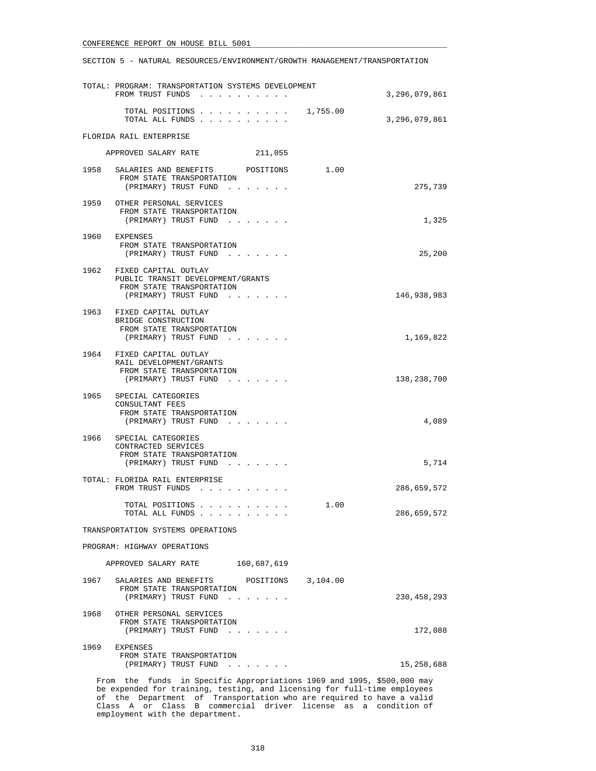SECTION 5 - NATURAL RESOURCES/ENVIRONMENT/GROWTH MANAGEMENT/TRANSPORTATION

| TOTAL: PROGRAM: TRANSPORTATION SYSTEMS DEVELOPMENT<br>FROM TRUST FUNDS                                              | 3,296,079,861             |
|---------------------------------------------------------------------------------------------------------------------|---------------------------|
| TOTAL POSITIONS<br>TOTAL ALL FUNDS                                                                                  | 1,755.00<br>3,296,079,861 |
| FLORIDA RAIL ENTERPRISE                                                                                             |                           |
| APPROVED SALARY RATE<br>211,055                                                                                     |                           |
| 1958<br>SALARIES AND BENEFITS POSITIONS                                                                             | 1.00                      |
| FROM STATE TRANSPORTATION<br>(PRIMARY) TRUST FUND                                                                   | 275,739                   |
| 1959<br>OTHER PERSONAL SERVICES<br>FROM STATE TRANSPORTATION<br>(PRIMARY) TRUST FUND                                | 1,325                     |
| 1960 EXPENSES<br>FROM STATE TRANSPORTATION<br>(PRIMARY) TRUST FUND                                                  | 25,200                    |
| 1962 FIXED CAPITAL OUTLAY<br>PUBLIC TRANSIT DEVELOPMENT/GRANTS<br>FROM STATE TRANSPORTATION<br>(PRIMARY) TRUST FUND | 146,938,983               |
| 1963 FIXED CAPITAL OUTLAY<br>BRIDGE CONSTRUCTION<br>FROM STATE TRANSPORTATION<br>(PRIMARY) TRUST FUND               | 1,169,822                 |
| 1964 FIXED CAPITAL OUTLAY<br>RAIL DEVELOPMENT/GRANTS<br>FROM STATE TRANSPORTATION<br>(PRIMARY) TRUST FUND           | 138,238,700               |
| 1965<br>SPECIAL CATEGORIES<br>CONSULTANT FEES<br>FROM STATE TRANSPORTATION<br>(PRIMARY) TRUST FUND                  | 4,089                     |
| 1966<br>SPECIAL CATEGORIES<br>CONTRACTED SERVICES<br>FROM STATE TRANSPORTATION<br>(PRIMARY) TRUST FUND              | 5,714                     |
| TOTAL: FLORIDA RAIL ENTERPRISE<br>FROM TRUST FUNDS                                                                  | 286,659,572               |
| TOTAL POSITIONS<br>TOTAL ALL FUNDS                                                                                  | 1.00<br>286,659,572       |
| TRANSPORTATION SYSTEMS OPERATIONS                                                                                   |                           |
| PROGRAM: HIGHWAY OPERATIONS                                                                                         |                           |
| APPROVED SALARY RATE 160,687,619                                                                                    |                           |
| 1967 SALARIES AND BENEFITS POSITIONS 3,104.00<br>FROM STATE TRANSPORTATION<br>(PRIMARY) TRUST FUND                  | 230, 458, 293             |
| 1968<br>OTHER PERSONAL SERVICES<br>FROM STATE TRANSPORTATION<br>(PRIMARY) TRUST FUND                                | 172,088                   |
| 1969<br>EXPENSES<br>FROM STATE TRANSPORTATION<br>(PRIMARY) TRUST FUND                                               | 15,258,688                |
| From the funds in Specific Appropriations 1969 and 1995, \$500,000 may                                              |                           |

 be expended for training, testing, and licensing for full-time employees of the Department of Transportation who are required to have a valid Class A or Class B commercial driver license as a condition of employment with the department.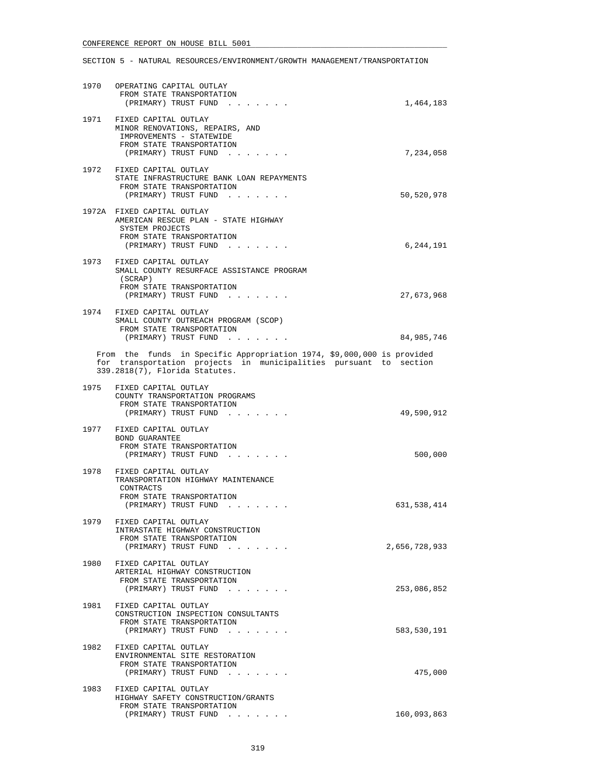| 1970 | OPERATING CAPITAL OUTLAY<br>FROM STATE TRANSPORTATION<br>(PRIMARY) TRUST FUND                                                                                                 | 1,464,183     |
|------|-------------------------------------------------------------------------------------------------------------------------------------------------------------------------------|---------------|
|      | 1971 FIXED CAPITAL OUTLAY<br>MINOR RENOVATIONS, REPAIRS, AND<br>IMPROVEMENTS - STATEWIDE<br>FROM STATE TRANSPORTATION<br>(PRIMARY) TRUST FUND                                 | 7,234,058     |
|      | 1972 FIXED CAPITAL OUTLAY<br>STATE INFRASTRUCTURE BANK LOAN REPAYMENTS<br>FROM STATE TRANSPORTATION<br>(PRIMARY) TRUST FUND                                                   | 50,520,978    |
|      | 1972A FIXED CAPITAL OUTLAY<br>AMERICAN RESCUE PLAN - STATE HIGHWAY<br>SYSTEM PROJECTS<br>FROM STATE TRANSPORTATION<br>(PRIMARY) TRUST FUND                                    | 6,244,191     |
|      | 1973 FIXED CAPITAL OUTLAY<br>SMALL COUNTY RESURFACE ASSISTANCE PROGRAM<br>(SCRAP)<br>FROM STATE TRANSPORTATION<br>(PRIMARY) TRUST FUND                                        | 27,673,968    |
|      | 1974 FIXED CAPITAL OUTLAY<br>SMALL COUNTY OUTREACH PROGRAM (SCOP)<br>FROM STATE TRANSPORTATION<br>(PRIMARY) TRUST FUND                                                        | 84,985,746    |
|      | From the funds in Specific Appropriation 1974, \$9,000,000 is provided<br>for transportation projects in municipalities pursuant to section<br>339.2818(7), Florida Statutes. |               |
| 1975 | FIXED CAPITAL OUTLAY<br>COUNTY TRANSPORTATION PROGRAMS<br>FROM STATE TRANSPORTATION<br>(PRIMARY) TRUST FUND                                                                   | 49,590,912    |
|      | 1977 FIXED CAPITAL OUTLAY<br>BOND GUARANTEE<br>FROM STATE TRANSPORTATION<br>(PRIMARY) TRUST FUND                                                                              | 500,000       |
|      | 1978 FIXED CAPITAL OUTLAY<br>TRANSPORTATION HIGHWAY MAINTENANCE<br>CONTRACTS<br>FROM STATE TRANSPORTATION<br>(PRIMARY) TRUST FUND                                             | 631,538,414   |
| 1979 | FIXED CAPITAL OUTLAY<br>INTRASTATE HIGHWAY CONSTRUCTION<br>FROM STATE TRANSPORTATION<br>(PRIMARY) TRUST FUND                                                                  | 2,656,728,933 |
| 1980 | FIXED CAPITAL OUTLAY<br>ARTERIAL HIGHWAY CONSTRUCTION<br>FROM STATE TRANSPORTATION<br>(PRIMARY) TRUST FUND                                                                    | 253,086,852   |
| 1981 | FIXED CAPITAL OUTLAY<br>CONSTRUCTION INSPECTION CONSULTANTS<br>FROM STATE TRANSPORTATION<br>(PRIMARY) TRUST FUND<br>$\cdot$ $\cdot$ $\cdot$ $\cdot$                           | 583,530,191   |
|      | 1982 FIXED CAPITAL OUTLAY<br>ENVIRONMENTAL SITE RESTORATION<br>FROM STATE TRANSPORTATION<br>(PRIMARY) TRUST FUND                                                              | 475,000       |
| 1983 | FIXED CAPITAL OUTLAY<br>HIGHWAY SAFETY CONSTRUCTION/GRANTS<br>FROM STATE TRANSPORTATION<br>(PRIMARY) TRUST FUND                                                               | 160,093,863   |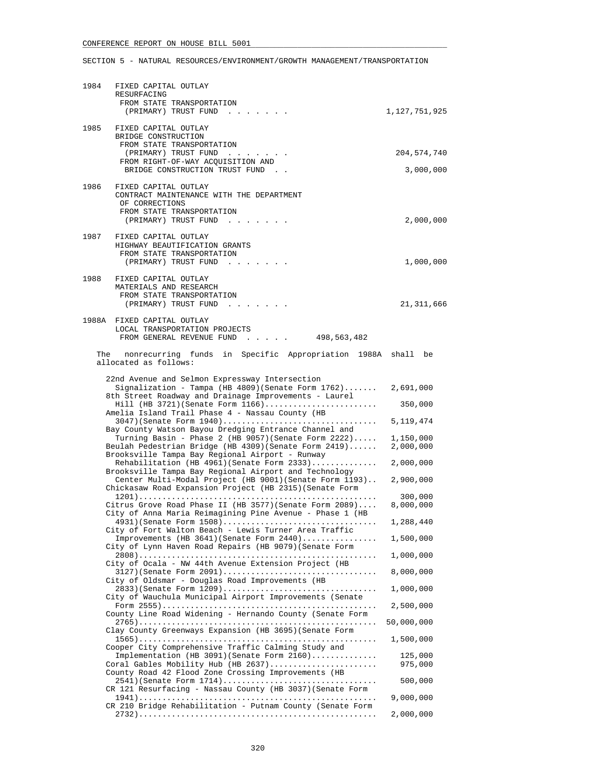| 1984 | FIXED CAPITAL OUTLAY<br>RESURFACING<br>FROM STATE TRANSPORTATION                                                                        |                      |
|------|-----------------------------------------------------------------------------------------------------------------------------------------|----------------------|
| 1985 | (PRIMARY) TRUST FUND<br>FIXED CAPITAL OUTLAY<br>BRIDGE CONSTRUCTION                                                                     | 1,127,751,925        |
|      | FROM STATE TRANSPORTATION<br>(PRIMARY) TRUST FUND                                                                                       | 204,574,740          |
|      | FROM RIGHT-OF-WAY ACQUISITION AND<br>BRIDGE CONSTRUCTION TRUST FUND.                                                                    | 3,000,000            |
| 1986 | FIXED CAPITAL OUTLAY<br>CONTRACT MAINTENANCE WITH THE DEPARTMENT<br>OF CORRECTIONS<br>FROM STATE TRANSPORTATION<br>(PRIMARY) TRUST FUND | 2,000,000            |
| 1987 | FIXED CAPITAL OUTLAY<br>HIGHWAY BEAUTIFICATION GRANTS<br>FROM STATE TRANSPORTATION<br>(PRIMARY) TRUST FUND                              | 1,000,000            |
| 1988 | FIXED CAPITAL OUTLAY<br>MATERIALS AND RESEARCH<br>FROM STATE TRANSPORTATION<br>(PRIMARY) TRUST FUND                                     | 21,311,666           |
|      | 1988A FIXED CAPITAL OUTLAY<br>LOCAL TRANSPORTATION PROJECTS<br>FROM GENERAL REVENUE FUND<br>498,563,482                                 |                      |
|      | The nonrecurring funds in Specific Appropriation 1988A shall be<br>allocated as follows:                                                |                      |
|      | 22nd Avenue and Selmon Expressway Intersection<br>Signalization - Tampa (HB 4809) (Senate Form $1762$ )                                 | 2,691,000            |
|      | 8th Street Roadway and Drainage Improvements - Laurel<br>$Hill$ (HB 3721) (Senate Form $1166)$                                          | 350,000              |
|      | Amelia Island Trail Phase 4 - Nassau County (HB<br>3047) (Senate Form 1940)                                                             | 5, 119, 474          |
|      | Bay County Watson Bayou Dredging Entrance Channel and<br>Turning Basin - Phase 2 (HB 9057) (Senate Form 2222)                           | 1,150,000            |
|      | Beulah Pedestrian Bridge (HB 4309) (Senate Form 2419)<br>Brooksville Tampa Bay Regional Airport - Runway                                | 2,000,000            |
|      | Rehabilitation (HB $4961$ ) (Senate Form $2333)$<br>Brooksville Tampa Bay Regional Airport and Technology                               | 2,000,000            |
|      | Center Multi-Modal Project (HB 9001) (Senate Form 1193)<br>Chickasaw Road Expansion Project (HB 2315) (Senate Form                      | 2,900,000            |
|      | Citrus Grove Road Phase II (HB 3577) (Senate Form 2089)                                                                                 | 300,000<br>8,000,000 |
|      | City of Anna Maria Reimagining Pine Avenue - Phase 1 (HB                                                                                | 1,288,440            |
|      | City of Fort Walton Beach - Lewis Turner Area Traffic                                                                                   |                      |
|      | Improvements (HB 3641) (Senate Form 2440)<br>City of Lynn Haven Road Repairs (HB 9079) (Senate Form                                     | 1,500,000            |
|      | City of Ocala - NW 44th Avenue Extension Project (HB                                                                                    | 1,000,000            |
|      | $3127$ ) (Senate Form $2091)$<br>City of Oldsmar - Douglas Road Improvements (HB                                                        | 8,000,000            |
|      | 2833) (Senate Form 1209)<br>City of Wauchula Municipal Airport Improvements (Senate                                                     | 1,000,000            |
|      | County Line Road Widening - Hernando County (Senate Form                                                                                | 2,500,000            |
|      | Clay County Greenways Expansion (HB 3695) (Senate Form                                                                                  | 50,000,000           |
|      |                                                                                                                                         | 1,500,000            |
|      | Cooper City Comprehensive Traffic Calming Study and<br>Implementation (HB 3091) (Senate Form 2160)                                      | 125,000              |
|      | Coral Gables Mobility Hub (HB 2637)<br>County Road 42 Flood Zone Crossing Improvements (HB                                              | 975,000              |
|      | 2541) (Senate Form 1714)<br>CR 121 Resurfacing - Nassau County (HB 3037) (Senate Form                                                   | 500,000              |
|      | CR 210 Bridge Rehabilitation - Putnam County (Senate Form                                                                               | 9,000,000            |
|      |                                                                                                                                         | 2,000,000            |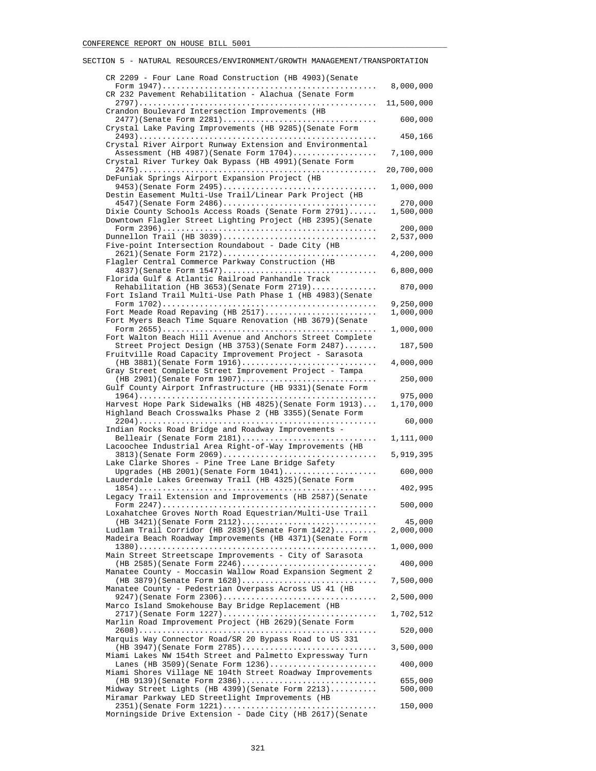| CR 2209 - Four Lane Road Construction (HB 4903) (Senate                                                            |                        |
|--------------------------------------------------------------------------------------------------------------------|------------------------|
| CR 232 Pavement Rehabilitation - Alachua (Senate Form                                                              | 8,000,000              |
| Crandon Boulevard Intersection Improvements (HB                                                                    | 11,500,000             |
| 2477)(Senate Form 2281)<br>Crystal Lake Paving Improvements (HB 9285) (Senate Form                                 | 600,000                |
| Crystal River Airport Runway Extension and Environmental                                                           | 450,166                |
| Assessment (HB 4987) (Senate Form 1704)<br>Crystal River Turkey Oak Bypass (HB 4991) (Senate Form                  | 7,100,000              |
|                                                                                                                    | 20,700,000             |
| DeFuniak Springs Airport Expansion Project (HB<br>9453) (Senate Form 2495)                                         | 1,000,000              |
| Destin Easement Multi-Use Trail/Linear Park Project (HB<br>4547)(Senate Form 2486)                                 | 270,000                |
| Dixie County Schools Access Roads (Senate Form 2791)<br>Downtown Flagler Street Lighting Project (HB 2395) (Senate | 1,500,000              |
| Dunnellon Trail (HB 3039)                                                                                          | 200,000<br>2,537,000   |
| Five-point Intersection Roundabout - Dade City (HB<br>2621)(Senate Form 2172)                                      | 4,200,000              |
| Flagler Central Commerce Parkway Construction (HB<br>4837) (Senate Form 1547)                                      | 6,800,000              |
| Florida Gulf & Atlantic Railroad Panhandle Track                                                                   |                        |
| Rehabilitation (HB 3653) (Senate Form $2719$ )<br>Fort Island Trail Multi-Use Path Phase 1 (HB 4983) (Senate       | 870,000                |
| Fort Meade Road Repaving (HB 2517)                                                                                 | 9,250,000<br>1,000,000 |
| Fort Myers Beach Time Square Renovation (HB 3679) (Senate                                                          | 1,000,000              |
| Fort Walton Beach Hill Avenue and Anchors Street Complete<br>Street Project Design (HB 3753) (Senate Form 2487)    | 187,500                |
| Fruitville Road Capacity Improvement Project - Sarasota                                                            |                        |
| (HB 3881) (Senate Form 1916)<br>Gray Street Complete Street Improvement Project - Tampa                            | 4,000,000              |
| (HB 2901) (Senate Form 1907)<br>Gulf County Airport Infrastructure (HB 9331) (Senate Form                          | 250,000                |
| Harvest Hope Park Sidewalks (HB 4825) (Senate Form 1913)                                                           | 975,000<br>1,170,000   |
| Highland Beach Crosswalks Phase 2 (HB 3355) (Senate Form                                                           | 60,000                 |
| Indian Rocks Road Bridge and Roadway Improvements -<br>Belleair (Senate Form 2181)                                 | 1,111,000              |
| Lacoochee Industrial Area Right-of-Way Improvements (HB<br>$3813$ (Senate Form $2069)$                             | 5,919,395              |
| Lake Clarke Shores - Pine Tree Lane Bridge Safety                                                                  |                        |
| Upgrades (HB 2001) (Senate Form $1041)$<br>Lauderdale Lakes Greenway Trail (HB 4325) (Senate Form                  | 600,000                |
| Legacy Trail Extension and Improvements (HB 2587) (Senate                                                          | 402,995                |
| Loxahatchee Groves North Road Equestrian/Multi-Use Trail                                                           | 500,000                |
| $(HB 3421)$ (Senate Form $2112)$<br>Ludlam Trail Corridor (HB 2839) (Senate Form 1422)                             | 45,000<br>2,000,000    |
| Madeira Beach Roadway Improvements (HB 4371) (Senate Form                                                          |                        |
| Main Street Streetscape Improvements - City of Sarasota                                                            | 1,000,000              |
| $(HB 2585)$ (Senate Form 2246)<br>Manatee County - Moccasin Wallow Road Expansion Segment 2                        | 400,000                |
| (HB 3879) (Senate Form 1628)<br>Manatee County - Pedestrian Overpass Across US 41 (HB                              | 7,500,000              |
| $9247$ ) (Senate Form 2306)<br>Marco Island Smokehouse Bay Bridge Replacement (HB                                  | 2,500,000              |
| 2717) (Senate Form 1227)                                                                                           | 1,702,512              |
| Marlin Road Improvement Project (HB 2629) (Senate Form                                                             | 520,000                |
| Marquis Way Connector Road/SR 20 Bypass Road to US 331<br>(HB 3947) (Senate Form 2785)                             | 3,500,000              |
| Miami Lakes NW 154th Street and Palmetto Expressway Turn<br>Lanes (HB 3509) (Senate Form $1236)$                   | 400,000                |
| Miami Shores Village NE 104th Street Roadway Improvements<br>(HB 9139) (Senate Form 2386)                          | 655,000                |
| Midway Street Lights (HB 4399) (Senate Form 2213)                                                                  | 500,000                |
| Miramar Parkway LED Streetlight Improvements (HB                                                                   | 150,000                |
| Morningside Drive Extension - Dade City (HB 2617) (Senate                                                          |                        |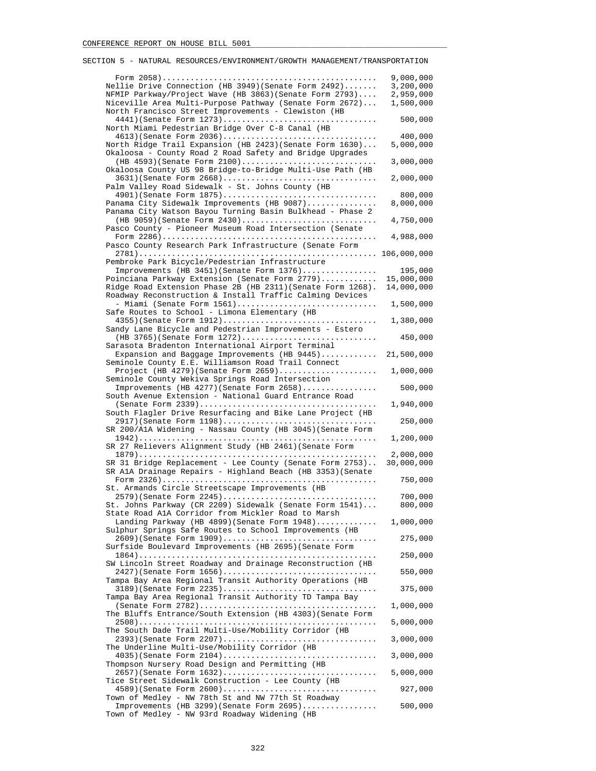| Nellie Drive Connection (HB 3949) (Senate Form 2492)<br>NFMIP Parkway/Project Wave (HB 3863) (Senate Form 2793)<br>Niceville Area Multi-Purpose Pathway (Senate Form 2672) | 9,000,000<br>3,200,000<br>2,959,000<br>1,500,000 |
|----------------------------------------------------------------------------------------------------------------------------------------------------------------------------|--------------------------------------------------|
| North Francisco Street Improvements - Clewiston (HB<br>4441)(Senate Form 1273)<br>North Miami Pedestrian Bridge Over C-8 Canal (HB                                         | 500,000                                          |
| $4613$ (Senate Form 2036)<br>North Ridge Trail Expansion (HB 2423) (Senate Form 1630)<br>Okaloosa - County Road 2 Road Safety and Bridge Upgrades                          | 400,000<br>5,000,000                             |
| (HB 4593) (Senate Form 2100)<br>Okaloosa County US 98 Bridge-to-Bridge Multi-Use Path (HB                                                                                  | 3,000,000                                        |
| 3631)(Senate Form 2668)<br>Palm Valley Road Sidewalk - St. Johns County (HB                                                                                                | 2,000,000                                        |
| 4901) (Senate Form 1875)<br>Panama City Sidewalk Improvements (HB 9087)<br>Panama City Watson Bayou Turning Basin Bulkhead - Phase 2                                       | 800,000<br>8,000,000                             |
| (HB 9059) (Senate Form 2430)<br>Pasco County - Pioneer Museum Road Intersection (Senate                                                                                    | 4,750,000                                        |
| Pasco County Research Park Infrastructure (Senate Form                                                                                                                     | 4,988,000                                        |
| Pembroke Park Bicycle/Pedestrian Infrastructure                                                                                                                            |                                                  |
| Improvements (HB 3451) (Senate Form 1376)                                                                                                                                  | 195,000                                          |
| Poinciana Parkway Extension (Senate Form 2779)<br>Ridge Road Extension Phase 2B (HB 2311) (Senate Form 1268).<br>Roadway Reconstruction & Install Traffic Calming Devices  | 15,000,000<br>14,000,000                         |
| - Miami (Senate Form 1561)<br>Safe Routes to School - Limona Elementary (HB                                                                                                | 1,500,000                                        |
| 4355)(Senate Form 1912)<br>Sandy Lane Bicycle and Pedestrian Improvements - Estero                                                                                         | 1,380,000                                        |
| (HB 3765) (Senate Form 1272)<br>Sarasota Bradenton International Airport Terminal                                                                                          | 450,000                                          |
| Expansion and Baggage Improvements (HB 9445)<br>Seminole County E.E. Williamson Road Trail Connect                                                                         | 21,500,000                                       |
| Project (HB 4279) (Senate Form 2659)<br>Seminole County Wekiva Springs Road Intersection                                                                                   | 1,000,000                                        |
| Improvements (HB 4277) (Senate Form 2658)<br>South Avenue Extension - National Guard Entrance Road                                                                         | 500,000                                          |
| South Flagler Drive Resurfacing and Bike Lane Project (HB                                                                                                                  | 1,940,000                                        |
| 2917) (Senate Form 1198)<br>SR 200/AlA Widening - Nassau County (HB 3045) (Senate Form                                                                                     | 250,000                                          |
| SR 27 Relievers Alignment Study (HB 2461) (Senate Form                                                                                                                     | 1,200,000                                        |
| SR 31 Bridge Replacement - Lee County (Senate Form 2753)<br>SR AlA Drainage Repairs - Highland Beach (HB 3353) (Senate                                                     | 2,000,000<br>30,000,000                          |
| St. Armands Circle Streetscape Improvements (HB                                                                                                                            | 750,000                                          |
| 2579)(Senate Form 2245)<br>St. Johns Parkway (CR 2209) Sidewalk (Senate Form 1541)                                                                                         | 700,000<br>800,000                               |
| State Road AlA Corridor from Mickler Road to Marsh<br>Landing Parkway (HB 4899) (Senate Form 1948)                                                                         | 1,000,000                                        |
| Sulphur Springs Safe Routes to School Improvements (HB<br>2609) (Senate Form 1909)<br>Surfside Boulevard Improvements (HB 2695) (Senate Form                               | 275,000                                          |
| SW Lincoln Street Roadway and Drainage Reconstruction (HB                                                                                                                  | 250,000                                          |
| 2427) (Senate Form 1656)<br>Tampa Bay Area Regional Transit Authority Operations (HB                                                                                       | 550,000                                          |
| $3189$ (Senate Form 2235)<br>Tampa Bay Area Regional Transit Authority TD Tampa Bay                                                                                        | 375,000                                          |
| The Bluffs Entrance/South Extension (HB 4303) (Senate Form                                                                                                                 | 1,000,000                                        |
| The South Dade Trail Multi-Use/Mobility Corridor (HB                                                                                                                       | 5,000,000                                        |
| 2393)(Senate Form 2207)<br>The Underline Multi-Use/Mobility Corridor (HB                                                                                                   | 3,000,000                                        |
| 4035)(Senate Form 2104)<br>Thompson Nursery Road Design and Permitting (HB                                                                                                 | 3,000,000                                        |
| 2657)(Senate Form 1632)<br>Tice Street Sidewalk Construction - Lee County (HB                                                                                              | 5,000,000                                        |
| 4589)(Senate Form 2600)<br>Town of Medley - NW 78th St and NW 77th St Roadway                                                                                              | 927,000                                          |
| Improvements (HB 3299) (Senate Form 2695)<br>Town of Medley - NW 93rd Roadway Widening (HB                                                                                 | 500,000                                          |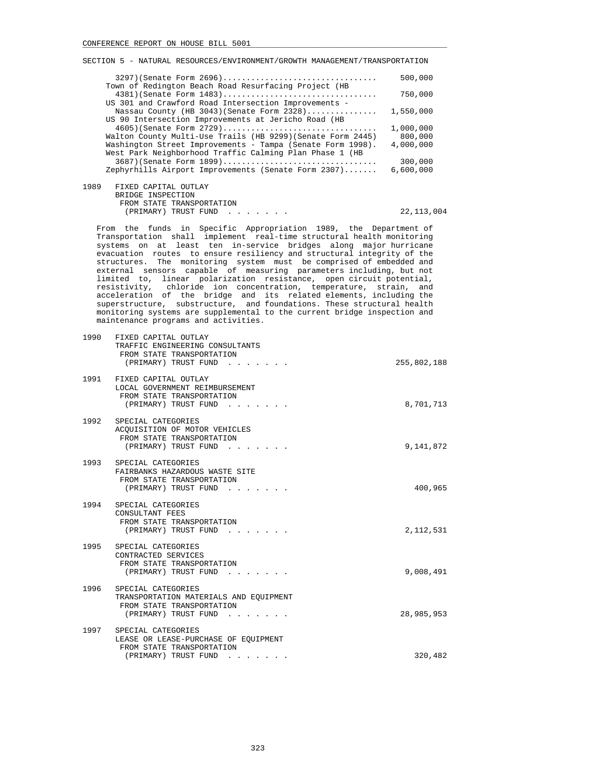| $3297$ (Senate Form $2696)$                                                      | 500,000   |
|----------------------------------------------------------------------------------|-----------|
| Town of Redington Beach Road Resurfacing Project (HB<br>4381) (Senate Form 1483) | 750,000   |
| US 301 and Crawford Road Intersection Improvements -                             |           |
| Nassau County (HB 3043) (Senate Form $2328)$                                     | 1,550,000 |
| US 90 Intersection Improvements at Jericho Road (HB                              |           |
| $4605$ (Senate Form 2729)                                                        | 1,000,000 |
| Walton County Multi-Use Trails (HB 9299) (Senate Form 2445)                      | 800,000   |
| Washington Street Improvements - Tampa (Senate Form 1998).                       | 4,000,000 |
| West Park Neighborhood Traffic Calming Plan Phase 1 (HB                          |           |
| 3687) (Senate Form 1899)                                                         | 300,000   |
| Zephyrhills Airport Improvements (Senate Form 2307)                              | 6,600,000 |
| 1989<br>FIXED CAPITAL OUTLAY                                                     |           |
| BRIDGE INSPECTION                                                                |           |
|                                                                                  |           |
| FROM STATE TRANSPORTATION                                                        |           |

 From the funds in Specific Appropriation 1989, the Department of Transportation shall implement real-time structural health monitoring systems on at least ten in-service bridges along major hurricane evacuation routes to ensure resiliency and structural integrity of the structures. The monitoring system must be comprised of embedded and external sensors capable of measuring parameters including, but not limited to, linear polarization resistance, open circuit potential, resistivity, chloride ion concentration, temperature, strain, and acceleration of the bridge and its related elements, including the superstructure, substructure, and foundations. These structural health monitoring systems are supplemental to the current bridge inspection and maintenance programs and activities.

(PRIMARY) TRUST FUND . . . . . . . 22,113,004

| 1990 | FIXED CAPITAL OUTLAY<br>TRAFFIC ENGINEERING CONSULTANTS<br>FROM STATE TRANSPORTATION<br>(PRIMARY) TRUST FUND         | 255,802,188 |
|------|----------------------------------------------------------------------------------------------------------------------|-------------|
|      | 1991 FIXED CAPITAL OUTLAY<br>LOCAL GOVERNMENT REIMBURSEMENT<br>FROM STATE TRANSPORTATION<br>(PRIMARY) TRUST FUND     | 8,701,713   |
|      | 1992 SPECIAL CATEGORIES<br>ACOUISITION OF MOTOR VEHICLES<br>FROM STATE TRANSPORTATION<br>(PRIMARY) TRUST FUND        | 9,141,872   |
|      | 1993 SPECIAL CATEGORIES<br>FAIRBANKS HAZARDOUS WASTE SITE<br>FROM STATE TRANSPORTATION<br>(PRIMARY) TRUST FUND       | 400,965     |
| 1994 | SPECIAL CATEGORIES<br>CONSULTANT FEES<br>FROM STATE TRANSPORTATION<br>(PRIMARY) TRUST FUND                           | 2,112,531   |
|      | 1995 SPECIAL CATEGORIES<br>CONTRACTED SERVICES<br>FROM STATE TRANSPORTATION<br>(PRIMARY) TRUST FUND                  | 9,008,491   |
| 1996 | SPECIAL CATEGORIES<br>TRANSPORTATION MATERIALS AND EOUIPMENT<br>FROM STATE TRANSPORTATION<br>(PRIMARY) TRUST FUND    | 28,985,953  |
|      | 1997 SPECIAL CATEGORIES<br>LEASE OR LEASE-PURCHASE OF EQUIPMENT<br>FROM STATE TRANSPORTATION<br>(PRIMARY) TRUST FUND | 320,482     |
|      |                                                                                                                      |             |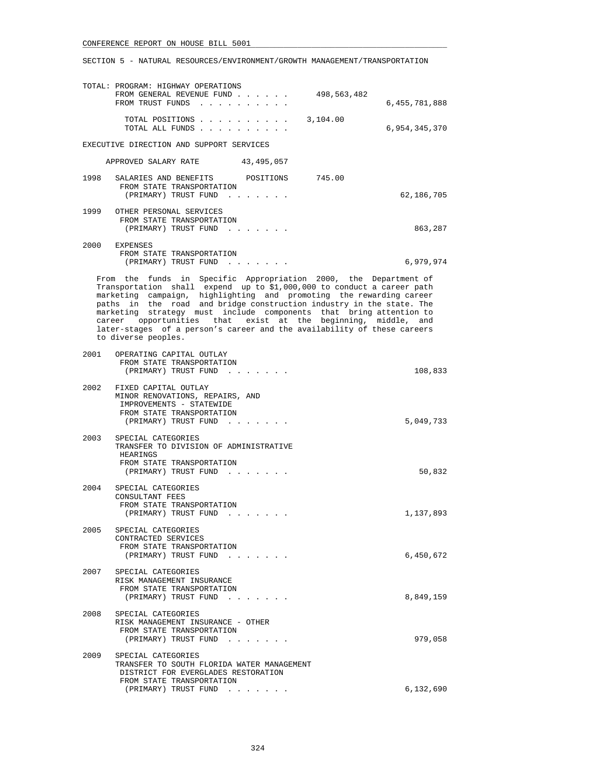SECTION 5 - NATURAL RESOURCES/ENVIRONMENT/GROWTH MANAGEMENT/TRANSPORTATION

|      | TOTAL: PROGRAM: HIGHWAY OPERATIONS<br>FROM GENERAL REVENUE FUND<br>498,563,482<br>FROM TRUST FUNDS                                                                                                                                                                                                                                                                                                                                                                                                                                 | 6,455,781,888 |
|------|------------------------------------------------------------------------------------------------------------------------------------------------------------------------------------------------------------------------------------------------------------------------------------------------------------------------------------------------------------------------------------------------------------------------------------------------------------------------------------------------------------------------------------|---------------|
|      | TOTAL POSITIONS<br>3,104.00                                                                                                                                                                                                                                                                                                                                                                                                                                                                                                        |               |
|      | TOTAL ALL FUNDS                                                                                                                                                                                                                                                                                                                                                                                                                                                                                                                    | 6,954,345,370 |
|      | EXECUTIVE DIRECTION AND SUPPORT SERVICES                                                                                                                                                                                                                                                                                                                                                                                                                                                                                           |               |
|      | APPROVED SALARY RATE 43,495,057                                                                                                                                                                                                                                                                                                                                                                                                                                                                                                    |               |
| 1998 | SALARIES AND BENEFITS POSITIONS 745.00<br>FROM STATE TRANSPORTATION<br>(PRIMARY) TRUST FUND                                                                                                                                                                                                                                                                                                                                                                                                                                        | 62,186,705    |
| 1999 | OTHER PERSONAL SERVICES<br>FROM STATE TRANSPORTATION<br>(PRIMARY) TRUST FUND                                                                                                                                                                                                                                                                                                                                                                                                                                                       | 863,287       |
| 2000 | EXPENSES<br>FROM STATE TRANSPORTATION<br>(PRIMARY) TRUST FUND                                                                                                                                                                                                                                                                                                                                                                                                                                                                      | 6,979,974     |
|      | From the funds in Specific Appropriation 2000, the Department of<br>Transportation shall expend up to \$1,000,000 to conduct a career path<br>marketing campaign, highlighting and promoting the rewarding career<br>paths in the road and bridge construction industry in the state. The<br>marketing strategy must include components that bring attention to<br>career opportunities that exist at the beginning, middle, and<br>later-stages of a person's career and the availability of these careers<br>to diverse peoples. |               |
| 2001 | OPERATING CAPITAL OUTLAY<br>FROM STATE TRANSPORTATION<br>(PRIMARY) TRUST FUND                                                                                                                                                                                                                                                                                                                                                                                                                                                      | 108,833       |
| 2002 | FIXED CAPITAL OUTLAY<br>MINOR RENOVATIONS, REPAIRS, AND<br>IMPROVEMENTS - STATEWIDE<br>FROM STATE TRANSPORTATION<br>(PRIMARY) TRUST FUND                                                                                                                                                                                                                                                                                                                                                                                           | 5,049,733     |
| 2003 | SPECIAL CATEGORIES<br>TRANSFER TO DIVISION OF ADMINISTRATIVE<br>HEARINGS<br>FROM STATE TRANSPORTATION<br>(PRIMARY) TRUST FUND                                                                                                                                                                                                                                                                                                                                                                                                      | 50,832        |
| 2004 | SPECIAL CATEGORIES<br>CONSULTANT FEES<br>FROM STATE TRANSPORTATION<br>(PRIMARY) TRUST FUND                                                                                                                                                                                                                                                                                                                                                                                                                                         | 1,137,893     |
| 2005 | SPECIAL CATEGORIES<br>CONTRACTED SERVICES<br>FROM STATE TRANSPORTATION<br>(PRIMARY) TRUST FUND                                                                                                                                                                                                                                                                                                                                                                                                                                     | 6,450,672     |
| 2007 | SPECIAL CATEGORIES<br>RISK MANAGEMENT INSURANCE<br>FROM STATE TRANSPORTATION<br>(PRIMARY) TRUST FUND                                                                                                                                                                                                                                                                                                                                                                                                                               | 8,849,159     |
| 2008 | SPECIAL CATEGORIES<br>RISK MANAGEMENT INSURANCE - OTHER<br>FROM STATE TRANSPORTATION<br>(PRIMARY) TRUST FUND                                                                                                                                                                                                                                                                                                                                                                                                                       | 979,058       |
|      | 2009 SPECIAL CATEGORIES<br>TRANSFER TO SOUTH FLORIDA WATER MANAGEMENT<br>DISTRICT FOR EVERGLADES RESTORATION<br>FROM STATE TRANSPORTATION<br>(PRIMARY) TRUST FUND                                                                                                                                                                                                                                                                                                                                                                  | 6,132,690     |
|      |                                                                                                                                                                                                                                                                                                                                                                                                                                                                                                                                    |               |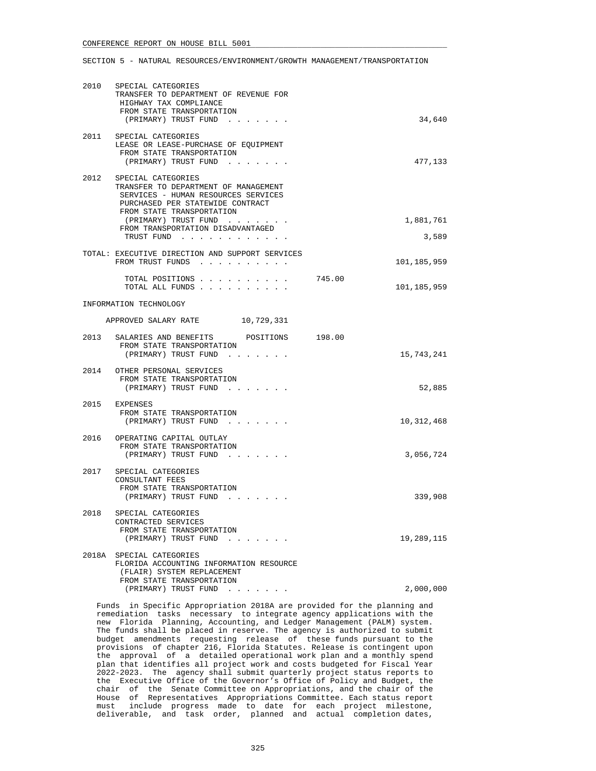### SECTION 5 - NATURAL RESOURCES/ENVIRONMENT/GROWTH MANAGEMENT/TRANSPORTATION

| 2010 | SPECIAL CATEGORIES<br>TRANSFER TO DEPARTMENT OF REVENUE FOR<br>HIGHWAY TAX COMPLIANCE<br>FROM STATE TRANSPORTATION<br>(PRIMARY) TRUST FUND                         | 34,640                |
|------|--------------------------------------------------------------------------------------------------------------------------------------------------------------------|-----------------------|
| 2011 | SPECIAL CATEGORIES<br>LEASE OR LEASE-PURCHASE OF EQUIPMENT<br>FROM STATE TRANSPORTATION<br>(PRIMARY) TRUST FUND                                                    | 477,133               |
| 2012 | SPECIAL CATEGORIES<br>TRANSFER TO DEPARTMENT OF MANAGEMENT<br>SERVICES - HUMAN RESOURCES SERVICES<br>PURCHASED PER STATEWIDE CONTRACT<br>FROM STATE TRANSPORTATION |                       |
|      | (PRIMARY) TRUST FUND<br>FROM TRANSPORTATION DISADVANTAGED<br>TRUST FUND                                                                                            | 1,881,761<br>3,589    |
|      | TOTAL: EXECUTIVE DIRECTION AND SUPPORT SERVICES<br>FROM TRUST FUNDS                                                                                                | 101,185,959           |
|      | TOTAL POSITIONS<br>TOTAL ALL FUNDS                                                                                                                                 | 745.00<br>101,185,959 |
|      | INFORMATION TECHNOLOGY                                                                                                                                             |                       |
|      | APPROVED SALARY RATE 10,729,331                                                                                                                                    |                       |
|      | 2013 SALARIES AND BENEFITS POSITIONS 198.00<br>FROM STATE TRANSPORTATION<br>(PRIMARY) TRUST FUND                                                                   | 15,743,241            |
|      | 2014 OTHER PERSONAL SERVICES<br>FROM STATE TRANSPORTATION<br>(PRIMARY) TRUST FUND                                                                                  | 52,885                |
|      | 2015 EXPENSES<br>FROM STATE TRANSPORTATION<br>(PRIMARY) TRUST FUND                                                                                                 | 10, 312, 468          |
| 2016 | OPERATING CAPITAL OUTLAY<br>FROM STATE TRANSPORTATION<br>(PRIMARY) TRUST FUND                                                                                      | 3,056,724             |
|      | 2017 SPECIAL CATEGORIES<br>CONSULTANT FEES<br>FROM STATE TRANSPORTATION<br>(PRIMARY) TRUST FUND<br>and the state of the state                                      | 339,908               |
| 2018 | SPECIAL CATEGORIES<br>CONTRACTED SERVICES<br>FROM STATE TRANSPORTATION<br>(PRIMARY) TRUST FUND                                                                     | 19,289,115            |
|      | 2018A SPECIAL CATEGORIES<br>FLORIDA ACCOUNTING INFORMATION RESOURCE<br>(FLAIR) SYSTEM REPLACEMENT<br>FROM STATE TRANSPORTATION                                     |                       |
|      | (PRIMARY) TRUST FUND                                                                                                                                               | 2,000,000             |

 Funds in Specific Appropriation 2018A are provided for the planning and remediation tasks necessary to integrate agency applications with the new Florida Planning, Accounting, and Ledger Management (PALM) system. The funds shall be placed in reserve. The agency is authorized to submit budget amendments requesting release of these funds pursuant to the provisions of chapter 216, Florida Statutes. Release is contingent upon the approval of a detailed operational work plan and a monthly spend plan that identifies all project work and costs budgeted for Fiscal Year 2022-2023. The agency shall submit quarterly project status reports to the Executive Office of the Governor's Office of Policy and Budget, the chair of the Senate Committee on Appropriations, and the chair of the House of Representatives Appropriations Committee. Each status report must include progress made to date for each project milestone, deliverable, and task order, planned and actual completion dates,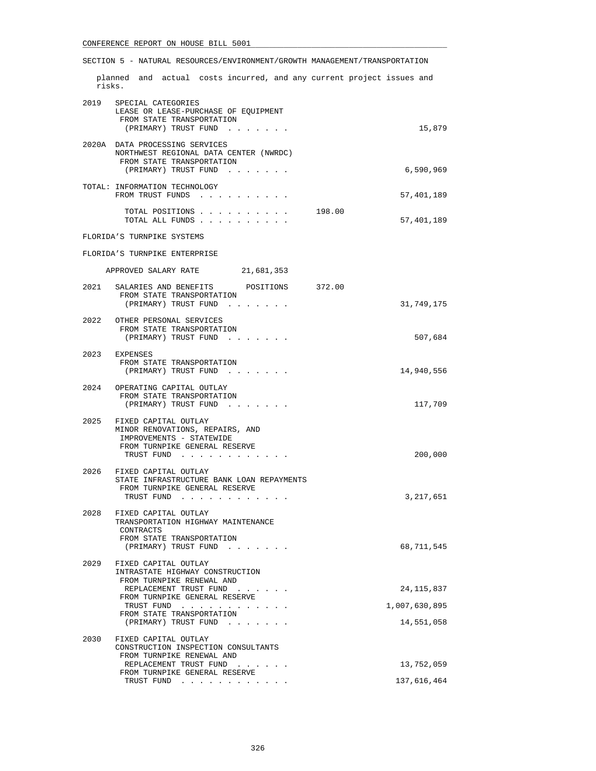# SECTION 5 - NATURAL RESOURCES/ENVIRONMENT/GROWTH MANAGEMENT/TRANSPORTATION

 planned and actual costs incurred, and any current project issues and risks.

|      | 2019 SPECIAL CATEGORIES<br>LEASE OR LEASE-PURCHASE OF EQUIPMENT<br>FROM STATE TRANSPORTATION<br>(PRIMARY) TRUST FUND          | 15,879               |
|------|-------------------------------------------------------------------------------------------------------------------------------|----------------------|
|      | 2020A DATA PROCESSING SERVICES<br>NORTHWEST REGIONAL DATA CENTER (NWRDC)<br>FROM STATE TRANSPORTATION<br>(PRIMARY) TRUST FUND | 6,590,969            |
|      | TOTAL: INFORMATION TECHNOLOGY<br>FROM TRUST FUNDS                                                                             | 57,401,189           |
|      | TOTAL POSITIONS<br>TOTAL ALL FUNDS                                                                                            | 198.00<br>57,401,189 |
|      | FLORIDA'S TURNPIKE SYSTEMS                                                                                                    |                      |
|      | FLORIDA'S TURNPIKE ENTERPRISE                                                                                                 |                      |
|      | APPROVED SALARY RATE 21,681,353                                                                                               |                      |
| 2021 | SALARIES AND BENEFITS<br>POSITIONS 372.00                                                                                     |                      |
|      | FROM STATE TRANSPORTATION<br>(PRIMARY) TRUST FUND                                                                             | 31,749,175           |
|      | 2022 OTHER PERSONAL SERVICES                                                                                                  |                      |
|      | FROM STATE TRANSPORTATION<br>(PRIMARY) TRUST FUND                                                                             | 507,684              |
|      | 2023 EXPENSES                                                                                                                 |                      |
|      | FROM STATE TRANSPORTATION<br>(PRIMARY) TRUST FUND                                                                             | 14,940,556           |
|      | 2024 OPERATING CAPITAL OUTLAY                                                                                                 |                      |
|      | FROM STATE TRANSPORTATION<br>(PRIMARY) TRUST FUND                                                                             | 117,709              |
|      | 2025 FIXED CAPITAL OUTLAY<br>MINOR RENOVATIONS, REPAIRS, AND<br>IMPROVEMENTS - STATEWIDE<br>FROM TURNPIKE GENERAL RESERVE     |                      |
|      | TRUST FUND                                                                                                                    | 200,000              |
|      | 2026 FIXED CAPITAL OUTLAY<br>STATE INFRASTRUCTURE BANK LOAN REPAYMENTS<br>FROM TURNPIKE GENERAL RESERVE                       |                      |
|      | TRUST FUND                                                                                                                    | 3,217,651            |
| 2028 | FIXED CAPITAL OUTLAY<br>TRANSPORTATION HIGHWAY MAINTENANCE<br>CONTRACTS<br>FROM STATE TRANSPORTATION                          |                      |
|      | (PRIMARY) TRUST FUND<br>and a series and a                                                                                    | 68,711,545           |
| 2029 | FIXED CAPITAL OUTLAY<br>INTRASTATE HIGHWAY CONSTRUCTION<br>FROM TURNPIKE RENEWAL AND                                          |                      |
|      | REPLACEMENT TRUST FUND<br>FROM TURNPIKE GENERAL RESERVE                                                                       | 24, 115, 837         |
|      | TRUST FUND<br>FROM STATE TRANSPORTATION                                                                                       | 1,007,630,895        |
|      | (PRIMARY) TRUST FUND                                                                                                          | 14,551,058           |
| 2030 | FIXED CAPITAL OUTLAY<br>CONSTRUCTION INSPECTION CONSULTANTS<br>FROM TURNPIKE RENEWAL AND                                      |                      |
|      | REPLACEMENT TRUST FUND<br>$\cdots$<br>$\cdots$<br>FROM TURNPIKE GENERAL RESERVE                                               | 13,752,059           |
|      | TRUST FUND                                                                                                                    | 137,616,464          |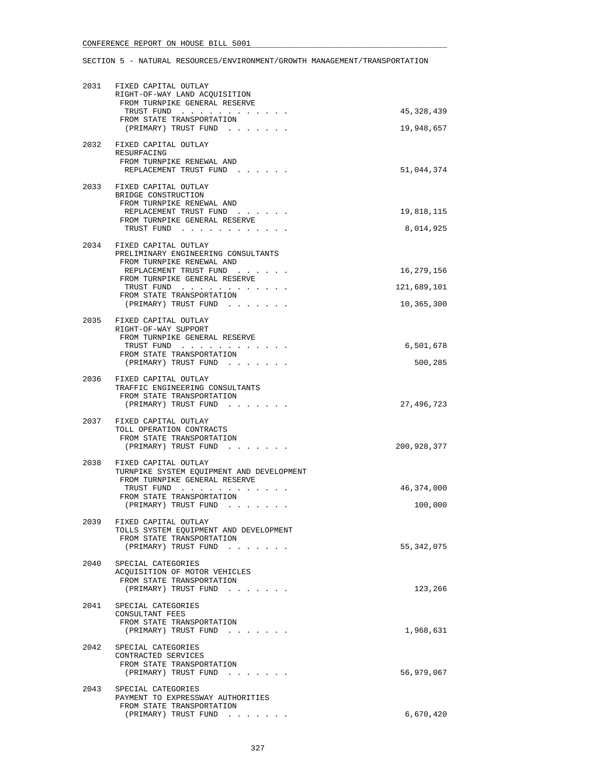# SECTION 5 - NATURAL RESOURCES/ENVIRONMENT/GROWTH MANAGEMENT/TRANSPORTATION

| 2031 | FIXED CAPITAL OUTLAY<br>RIGHT-OF-WAY LAND ACQUISITION<br>FROM TURNPIKE GENERAL RESERVE             |              |
|------|----------------------------------------------------------------------------------------------------|--------------|
|      | TRUST FUND<br>FROM STATE TRANSPORTATION                                                            | 45, 328, 439 |
|      | (PRIMARY) TRUST FUND                                                                               | 19,948,657   |
|      | 2032 FIXED CAPITAL OUTLAY<br>RESURFACING                                                           |              |
|      | FROM TURNPIKE RENEWAL AND<br>REPLACEMENT TRUST FUND                                                | 51,044,374   |
|      |                                                                                                    |              |
|      | 2033 FIXED CAPITAL OUTLAY<br>BRIDGE CONSTRUCTION                                                   |              |
|      | FROM TURNPIKE RENEWAL AND<br>REPLACEMENT TRUST FUND                                                | 19,818,115   |
|      | FROM TURNPIKE GENERAL RESERVE<br>TRUST FUND                                                        | 8,014,925    |
|      |                                                                                                    |              |
|      | 2034 FIXED CAPITAL OUTLAY<br>PRELIMINARY ENGINEERING CONSULTANTS<br>FROM TURNPIKE RENEWAL AND      |              |
|      | REPLACEMENT TRUST FUND<br>FROM TURNPIKE GENERAL RESERVE                                            | 16,279,156   |
|      | TRUST FUND                                                                                         | 121,689,101  |
|      | FROM STATE TRANSPORTATION<br>(PRIMARY) TRUST FUND                                                  | 10,365,300   |
| 2035 | FIXED CAPITAL OUTLAY                                                                               |              |
|      | RIGHT-OF-WAY SUPPORT                                                                               |              |
|      | FROM TURNPIKE GENERAL RESERVE<br>TRUST FUND                                                        | 6,501,678    |
|      | FROM STATE TRANSPORTATION<br>(PRIMARY) TRUST FUND                                                  | 500,285      |
|      | 2036 FIXED CAPITAL OUTLAY<br>TRAFFIC ENGINEERING CONSULTANTS<br>FROM STATE TRANSPORTATION          |              |
|      | (PRIMARY) TRUST FUND                                                                               | 27,496,723   |
| 2037 | FIXED CAPITAL OUTLAY<br>TOLL OPERATION CONTRACTS<br>FROM STATE TRANSPORTATION                      |              |
|      | (PRIMARY) TRUST FUND                                                                               | 200,928,377  |
| 2038 | FIXED CAPITAL OUTLAY<br>TURNPIKE SYSTEM EQUIPMENT AND DEVELOPMENT<br>FROM TURNPIKE GENERAL RESERVE |              |
|      | TRUST FUND<br>FROM STATE TRANSPORTATION                                                            | 46,374,000   |
|      | (PRIMARY) TRUST FUND                                                                               | 100,000      |
| 2039 | FIXED CAPITAL OUTLAY                                                                               |              |
|      | TOLLS SYSTEM EQUIPMENT AND DEVELOPMENT<br>FROM STATE TRANSPORTATION                                |              |
|      | (PRIMARY) TRUST FUND                                                                               | 55,342,075   |
| 2040 | SPECIAL CATEGORIES<br>ACOUISITION OF MOTOR VEHICLES                                                |              |
|      | FROM STATE TRANSPORTATION                                                                          |              |
|      | (PRIMARY) TRUST FUND                                                                               | 123,266      |
|      | 2041 SPECIAL CATEGORIES<br>CONSULTANT FEES                                                         |              |
|      | FROM STATE TRANSPORTATION                                                                          | 1,968,631    |
|      | (PRIMARY) TRUST FUND<br>$\mathcal{L}(\mathcal{A})$ and $\mathcal{L}(\mathcal{A})$ . Then           |              |
|      | 2042 SPECIAL CATEGORIES<br>CONTRACTED SERVICES                                                     |              |
|      | FROM STATE TRANSPORTATION<br>(PRIMARY) TRUST FUND                                                  | 56,979,067   |
| 2043 | SPECIAL CATEGORIES                                                                                 |              |
|      | PAYMENT TO EXPRESSWAY AUTHORITIES<br>FROM STATE TRANSPORTATION                                     |              |
|      | (PRIMARY) TRUST FUND                                                                               | 6,670,420    |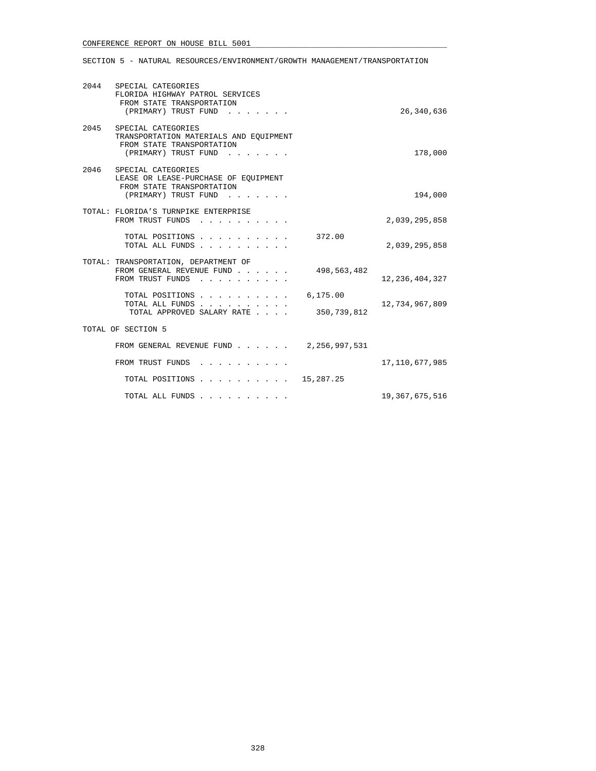SECTION 5 - NATURAL RESOURCES/ENVIRONMENT/GROWTH MANAGEMENT/TRANSPORTATION

| 2044 SPECIAL CATEGORIES<br>FLORIDA HIGHWAY PATROL SERVICES<br>FROM STATE TRANSPORTATION<br>(PRIMARY) TRUST FUND        |                         | 26,340,636        |
|------------------------------------------------------------------------------------------------------------------------|-------------------------|-------------------|
| 2045 SPECIAL CATEGORIES<br>TRANSPORTATION MATERIALS AND EQUIPMENT<br>FROM STATE TRANSPORTATION<br>(PRIMARY) TRUST FUND |                         | 178,000           |
| 2046 SPECIAL CATEGORIES<br>LEASE OR LEASE-PURCHASE OF EOUIPMENT<br>FROM STATE TRANSPORTATION<br>(PRIMARY) TRUST FUND   |                         | 194,000           |
| TOTAL: FLORIDA'S TURNPIKE ENTERPRISE<br>FROM TRUST FUNDS                                                               |                         | 2,039,295,858     |
| TOTAL POSITIONS<br>TOTAL ALL FUNDS                                                                                     | 372.00                  | 2,039,295,858     |
| TOTAL: TRANSPORTATION, DEPARTMENT OF<br>FROM GENERAL REVENUE FUND<br>FROM TRUST FUNDS                                  | 498,563,482             | 12, 236, 404, 327 |
| TOTAL POSITIONS<br>TOTAL ALL FUNDS<br>TOTAL APPROVED SALARY RATE                                                       | 6,175.00<br>350,739,812 | 12,734,967,809    |
| TOTAL OF SECTION 5                                                                                                     |                         |                   |
| FROM GENERAL REVENUE FUND 2,256,997,531                                                                                |                         |                   |
| FROM TRUST FUNDS                                                                                                       |                         | 17, 110, 677, 985 |
| TOTAL POSITIONS 15,287.25                                                                                              |                         |                   |
|                                                                                                                        |                         | 19,367,675,516    |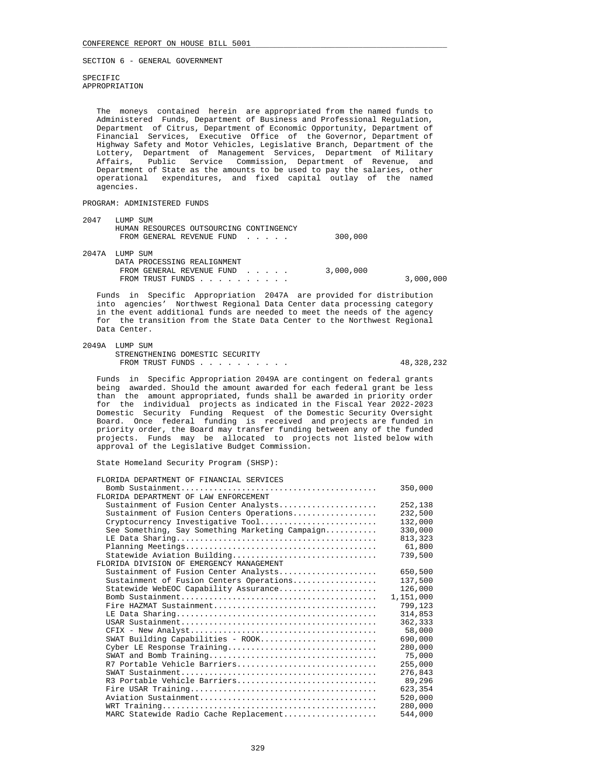SPECIFIC APPROPRIATION

 The moneys contained herein are appropriated from the named funds to Administered Funds, Department of Business and Professional Regulation, Department of Citrus, Department of Economic Opportunity, Department of Financial Services, Executive Office of the Governor, Department of Highway Safety and Motor Vehicles, Legislative Branch, Department of the Lottery, Department of Management Services, Department of Military Affairs, Public Service Commission, Department of Revenue, and Department of State as the amounts to be used to pay the salaries, other operational expenditures, and fixed capital outlay of the named agencies.

## PROGRAM: ADMINISTERED FUNDS

| 2047  | LUMP SUM                                |           |           |
|-------|-----------------------------------------|-----------|-----------|
|       | HUMAN RESOURCES OUTSOURCING CONTINGENCY |           |           |
|       | FROM GENERAL REVENUE FUND               | 300,000   |           |
| 2047A | LUMP SUM                                |           |           |
|       | DATA PROCESSING REALIGNMENT             |           |           |
|       | FROM GENERAL REVENUE FUND               | 3,000,000 |           |
|       | FROM TRUST FUNDS                        |           | 3,000,000 |
|       |                                         |           |           |

 Funds in Specific Appropriation 2047A are provided for distribution into agencies' Northwest Regional Data Center data processing category in the event additional funds are needed to meet the needs of the agency for the transition from the State Data Center to the Northwest Regional Data Center.

### 2049A LUMP SUM

 STRENGTHENING DOMESTIC SECURITY FROM TRUST FUNDS . . . . . . . . . . . . . . 48,328,232

 Funds in Specific Appropriation 2049A are contingent on federal grants being awarded. Should the amount awarded for each federal grant be less than the amount appropriated, funds shall be awarded in priority order for the individual projects as indicated in the Fiscal Year 2022-2023 Domestic Security Funding Request of the Domestic Security Oversight Board. Once federal funding is received and projects are funded in priority order, the Board may transfer funding between any of the funded projects. Funds may be allocated to projects not listed below with approval of the Legislative Budget Commission.

State Homeland Security Program (SHSP):

|  | FLORIDA DEPARTMENT OF FINANCIAL SERVICES |  |  |
|--|------------------------------------------|--|--|
|  |                                          |  |  |

|                                                 | 350,000   |
|-------------------------------------------------|-----------|
| FLORIDA DEPARTMENT OF LAW ENFORCEMENT           |           |
| Sustainment of Fusion Center Analysts           | 252,138   |
| Sustainment of Fusion Centers Operations        | 232,500   |
| Cryptocurrency Investigative Tool               | 132,000   |
| See Something, Say Something Marketing Campaign | 330,000   |
|                                                 | 813,323   |
|                                                 | 61,800    |
| Statewide Aviation Building                     | 739,500   |
| FLORIDA DIVISION OF EMERGENCY MANAGEMENT        |           |
| Sustainment of Fusion Center Analysts           | 650,500   |
| Sustainment of Fusion Centers Operations        | 137,500   |
| Statewide WebEOC Capability Assurance           | 126,000   |
|                                                 | 1,151,000 |
|                                                 | 799,123   |
|                                                 | 314,853   |
|                                                 | 362,333   |
|                                                 | 58,000    |
| SWAT Building Capabilities - ROOK               | 690,000   |
| Cyber LE Response Training                      | 280,000   |
|                                                 | 75,000    |
| R7 Portable Vehicle Barriers                    | 255,000   |
|                                                 | 276,843   |
| R3 Portable Vehicle Barriers                    | 89,296    |
|                                                 | 623,354   |
|                                                 | 520,000   |
|                                                 | 280,000   |
| MARC Statewide Radio Cache Replacement          | 544,000   |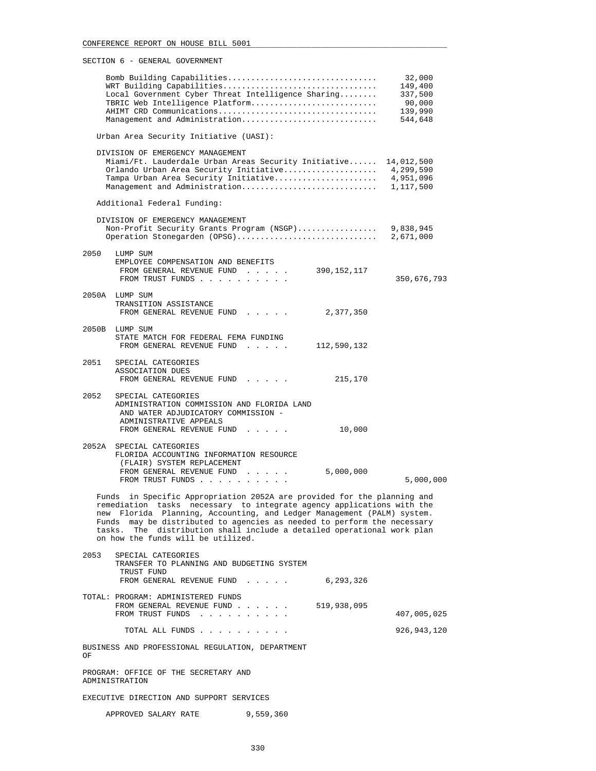|      | Bomb Building Capabilities<br>WRT Building Capabilities<br>Local Government Cyber Threat Intelligence Sharing<br>TBRIC Web Intelligence Platform<br>AHIMT CRD Communications<br>Management and Administration                                                                                                                                                                                                         | 32,000<br>149,400<br>337,500<br>90,000<br>139,990<br>544,648 |
|------|-----------------------------------------------------------------------------------------------------------------------------------------------------------------------------------------------------------------------------------------------------------------------------------------------------------------------------------------------------------------------------------------------------------------------|--------------------------------------------------------------|
|      | Urban Area Security Initiative (UASI):                                                                                                                                                                                                                                                                                                                                                                                |                                                              |
|      | DIVISION OF EMERGENCY MANAGEMENT<br>Miami/Ft. Lauderdale Urban Areas Security Initiative 14,012,500<br>Orlando Urban Area Security Initiative 4,299,590<br>Tampa Urban Area Security Initiative                                                                                                                                                                                                                       | 4,951,096                                                    |
|      | Additional Federal Funding:                                                                                                                                                                                                                                                                                                                                                                                           |                                                              |
|      | DIVISION OF EMERGENCY MANAGEMENT<br>Non-Profit Security Grants Program (NSGP) 9,838,945<br>Operation Stonegarden (OPSG)                                                                                                                                                                                                                                                                                               | 2,671,000                                                    |
| 2050 | LUMP SUM<br>EMPLOYEE COMPENSATION AND BENEFITS<br>FROM GENERAL REVENUE FUND 390, 152, 117<br>FROM TRUST FUNDS                                                                                                                                                                                                                                                                                                         | 350,676,793                                                  |
|      | 2050A LUMP SUM<br>TRANSITION ASSISTANCE<br>FROM GENERAL REVENUE FUND<br>2,377,350                                                                                                                                                                                                                                                                                                                                     |                                                              |
|      | 2050B LUMP SUM<br>STATE MATCH FOR FEDERAL FEMA FUNDING<br>FROM GENERAL REVENUE FUND<br>112,590,132                                                                                                                                                                                                                                                                                                                    |                                                              |
| 2051 | SPECIAL CATEGORIES<br>ASSOCIATION DUES<br>FROM GENERAL REVENUE FUND<br>215,170                                                                                                                                                                                                                                                                                                                                        |                                                              |
| 2052 | SPECIAL CATEGORIES<br>ADMINISTRATION COMMISSION AND FLORIDA LAND<br>AND WATER ADJUDICATORY COMMISSION -<br>ADMINISTRATIVE APPEALS<br>10,000<br>FROM GENERAL REVENUE FUND                                                                                                                                                                                                                                              |                                                              |
|      | 2052A SPECIAL CATEGORIES<br>FLORIDA ACCOUNTING INFORMATION RESOURCE<br>(FLAIR) SYSTEM REPLACEMENT<br>FROM GENERAL REVENUE FUND<br>5,000,000<br>FROM TRUST FUNDS                                                                                                                                                                                                                                                       | 5,000,000                                                    |
|      | Funds in Specific Appropriation 2052A are provided for the planning and<br>remediation tasks necessary to integrate agency applications with the<br>new Florida Planning, Accounting, and Ledger Management (PALM) system.<br>Funds may be distributed to agencies as needed to perform the necessary<br>tasks. The distribution shall include a detailed operational work plan<br>on how the funds will be utilized. |                                                              |
| 2053 | SPECIAL CATEGORIES<br>TRANSFER TO PLANNING AND BUDGETING SYSTEM<br>TRUST FUND                                                                                                                                                                                                                                                                                                                                         |                                                              |
|      | FROM GENERAL REVENUE FUND<br>6,293,326                                                                                                                                                                                                                                                                                                                                                                                |                                                              |
|      | TOTAL: PROGRAM: ADMINISTERED FUNDS<br>519,938,095<br>FROM GENERAL REVENUE FUND<br>FROM TRUST FUNDS<br>the contract of the contract of the contract of the contract of the contract of the contract of the contract of the contract of the contract of the contract of the contract of the contract of the contract of the contract o                                                                                  | 407,005,025                                                  |
|      | TOTAL ALL FUNDS                                                                                                                                                                                                                                                                                                                                                                                                       | 926, 943, 120                                                |
| ΟF   | BUSINESS AND PROFESSIONAL REGULATION, DEPARTMENT                                                                                                                                                                                                                                                                                                                                                                      |                                                              |
|      | PROGRAM: OFFICE OF THE SECRETARY AND<br>ADMINISTRATION                                                                                                                                                                                                                                                                                                                                                                |                                                              |
|      | EXECUTIVE DIRECTION AND SUPPORT SERVICES                                                                                                                                                                                                                                                                                                                                                                              |                                                              |

APPROVED SALARY RATE 9,559,360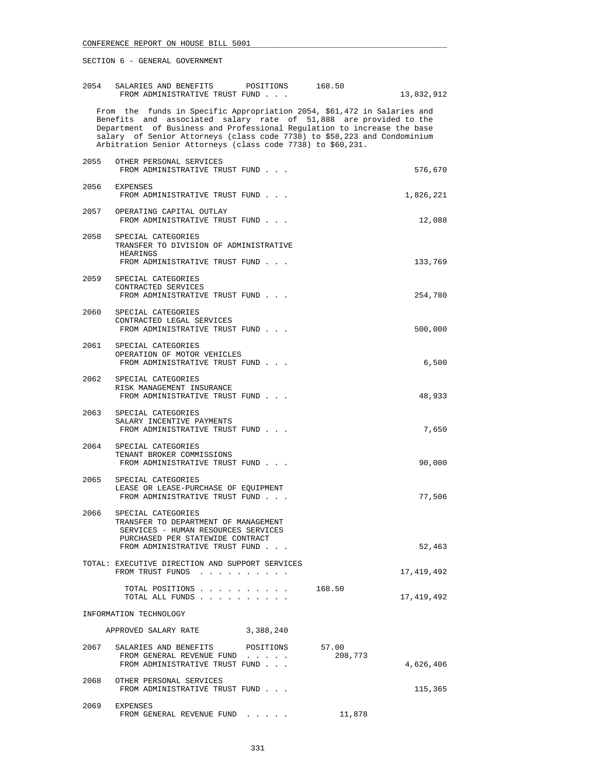| 2054 | SALARIES AND BENEFITS POSITIONS<br>FROM ADMINISTRATIVE TRUST FUND                                                                                                                                                                                                                                                                                                  |           | 168.50           | 13,832,912 |
|------|--------------------------------------------------------------------------------------------------------------------------------------------------------------------------------------------------------------------------------------------------------------------------------------------------------------------------------------------------------------------|-----------|------------------|------------|
|      | From the funds in Specific Appropriation 2054, \$61,472 in Salaries and<br>Benefits and associated salary rate of 51,888 are provided to the<br>Department of Business and Professional Regulation to increase the base<br>salary of Senior Attorneys (class code 7738) to \$58,223 and Condominium<br>Arbitration Senior Attorneys (class code 7738) to \$60,231. |           |                  |            |
| 2055 | OTHER PERSONAL SERVICES<br>FROM ADMINISTRATIVE TRUST FUND                                                                                                                                                                                                                                                                                                          |           |                  | 576,670    |
|      | 2056 EXPENSES<br>FROM ADMINISTRATIVE TRUST FUND                                                                                                                                                                                                                                                                                                                    |           |                  | 1,826,221  |
|      | 2057 OPERATING CAPITAL OUTLAY<br>FROM ADMINISTRATIVE TRUST FUND                                                                                                                                                                                                                                                                                                    |           |                  | 12,088     |
| 2058 | SPECIAL CATEGORIES<br>TRANSFER TO DIVISION OF ADMINISTRATIVE<br>HEARINGS<br>FROM ADMINISTRATIVE TRUST FUND                                                                                                                                                                                                                                                         |           |                  | 133,769    |
| 2059 | SPECIAL CATEGORIES<br>CONTRACTED SERVICES<br>FROM ADMINISTRATIVE TRUST FUND                                                                                                                                                                                                                                                                                        |           |                  | 254,780    |
| 2060 | SPECIAL CATEGORIES<br>CONTRACTED LEGAL SERVICES<br>FROM ADMINISTRATIVE TRUST FUND                                                                                                                                                                                                                                                                                  |           |                  | 500,000    |
| 2061 | SPECIAL CATEGORIES<br>OPERATION OF MOTOR VEHICLES<br>FROM ADMINISTRATIVE TRUST FUND                                                                                                                                                                                                                                                                                |           |                  | 6,500      |
|      | 2062 SPECIAL CATEGORIES<br>RISK MANAGEMENT INSURANCE<br>FROM ADMINISTRATIVE TRUST FUND                                                                                                                                                                                                                                                                             |           |                  | 48,933     |
| 2063 | SPECIAL CATEGORIES<br>SALARY INCENTIVE PAYMENTS<br>FROM ADMINISTRATIVE TRUST FUND                                                                                                                                                                                                                                                                                  |           |                  | 7,650      |
| 2064 | SPECIAL CATEGORIES<br>TENANT BROKER COMMISSIONS<br>FROM ADMINISTRATIVE TRUST FUND                                                                                                                                                                                                                                                                                  |           |                  | 90,000     |
| 2065 | SPECIAL CATEGORIES<br>LEASE OR LEASE-PURCHASE OF EQUIPMENT<br>FROM ADMINISTRATIVE TRUST FUND                                                                                                                                                                                                                                                                       |           |                  | 77,506     |
|      | 2066 SPECIAL CATEGORIES<br>TRANSFER TO DEPARTMENT OF MANAGEMENT<br>SERVICES - HUMAN RESOURCES SERVICES<br>PURCHASED PER STATEWIDE CONTRACT                                                                                                                                                                                                                         |           |                  |            |
|      | FROM ADMINISTRATIVE TRUST FUND<br>TOTAL: EXECUTIVE DIRECTION AND SUPPORT SERVICES                                                                                                                                                                                                                                                                                  |           |                  | 52,463     |
|      | FROM TRUST FUNDS<br>TOTAL POSITIONS                                                                                                                                                                                                                                                                                                                                |           | 168.50           | 17,419,492 |
|      | TOTAL ALL FUNDS<br>INFORMATION TECHNOLOGY                                                                                                                                                                                                                                                                                                                          |           |                  | 17,419,492 |
|      | APPROVED SALARY RATE                                                                                                                                                                                                                                                                                                                                               | 3,388,240 |                  |            |
|      | 2067 SALARIES AND BENEFITS POSITIONS<br>FROM GENERAL REVENUE FUND<br>FROM ADMINISTRATIVE TRUST FUND                                                                                                                                                                                                                                                                |           | 57.00<br>208,773 | 4,626,406  |
| 2068 | OTHER PERSONAL SERVICES<br>FROM ADMINISTRATIVE TRUST FUND                                                                                                                                                                                                                                                                                                          |           |                  | 115,365    |
|      | 2069 EXPENSES<br>FROM GENERAL REVENUE FUND                                                                                                                                                                                                                                                                                                                         |           | 11,878           |            |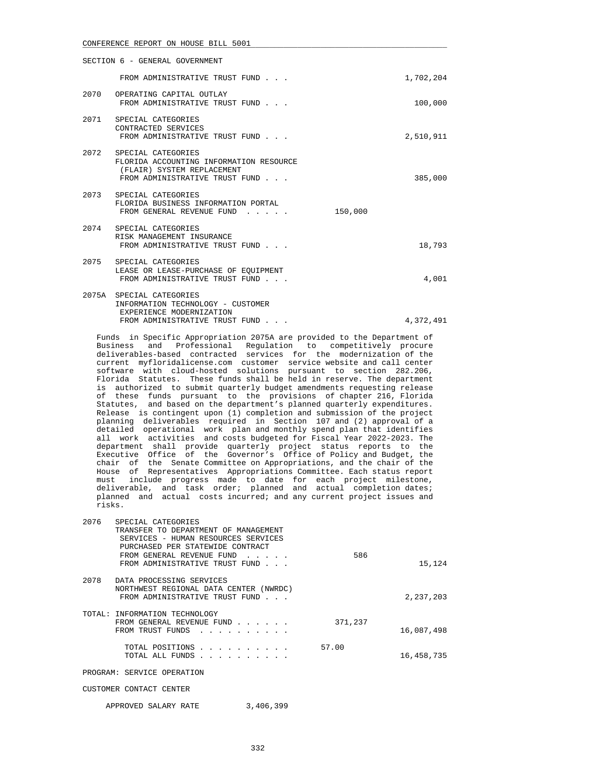| SECTION 6 - GENERAL GOVERNMENT |                                                                                                                                    |           |  |
|--------------------------------|------------------------------------------------------------------------------------------------------------------------------------|-----------|--|
|                                | FROM ADMINISTRATIVE TRUST FUND                                                                                                     | 1,702,204 |  |
|                                | 2070 OPERATING CAPITAL OUTLAY<br>FROM ADMINISTRATIVE TRUST FUND                                                                    | 100,000   |  |
|                                | 2071 SPECIAL CATEGORIES<br>CONTRACTED SERVICES<br>FROM ADMINISTRATIVE TRUST FUND                                                   | 2,510,911 |  |
|                                | 2072 SPECIAL CATEGORIES<br>FLORIDA ACCOUNTING INFORMATION RESOURCE<br>(FLAIR) SYSTEM REPLACEMENT<br>FROM ADMINISTRATIVE TRUST FUND | 385,000   |  |
|                                | 2073 SPECIAL CATEGORIES<br>FLORIDA BUSINESS INFORMATION PORTAL<br>FROM GENERAL REVENUE FUND<br>150,000                             |           |  |
|                                | 2074 SPECIAL CATEGORIES<br>RISK MANAGEMENT INSURANCE<br>FROM ADMINISTRATIVE TRUST FUND                                             | 18,793    |  |
|                                | 2075 SPECIAL CATEGORIES<br>LEASE OR LEASE-PURCHASE OF EOUIPMENT<br>FROM ADMINISTRATIVE TRUST FUND                                  | 4,001     |  |
|                                | 2075A SPECIAL CATEGORIES<br>INFORMATION TECHNOLOGY - CUSTOMER<br>EXPERIENCE MODERNIZATION                                          |           |  |

 Funds in Specific Appropriation 2075A are provided to the Department of Business and Professional Regulation to competitively procure deliverables-based contracted services for the modernization of the current myfloridalicense.com customer service website and call center software with cloud-hosted solutions pursuant to section 282.206, Florida Statutes. These funds shall be held in reserve. The department is authorized to submit quarterly budget amendments requesting release of these funds pursuant to the provisions of chapter 216, Florida Statutes, and based on the department's planned quarterly expenditures. Release is contingent upon (1) completion and submission of the project planning deliverables required in Section 107 and (2) approval of a detailed operational work plan and monthly spend plan that identifies all work activities and costs budgeted for Fiscal Year 2022-2023. The department shall provide quarterly project status reports to the Executive Office of the Governor's Office of Policy and Budget, the chair of the Senate Committee on Appropriations, and the chair of the House of Representatives Appropriations Committee. Each status report must include progress made to date for each project milestone, deliverable, and task order; planned and actual completion dates; planned and actual costs incurred; and any current project issues and risks.

FROM ADMINISTRATIVE TRUST FUND . . .  $\qquad \qquad 4,372,491$ 

| 2076 | SPECIAL CATEGORIES<br>TRANSFER TO DEPARTMENT OF MANAGEMENT<br>SERVICES - HUMAN RESOURCES SERVICES<br>PURCHASED PER STATEWIDE CONTRACT |         |            |
|------|---------------------------------------------------------------------------------------------------------------------------------------|---------|------------|
|      | FROM GENERAL REVENUE FUND<br>FROM ADMINISTRATIVE TRUST FUND                                                                           | 586     | 15,124     |
| 2078 | DATA PROCESSING SERVICES<br>NORTHWEST REGIONAL DATA CENTER (NWRDC)<br>FROM ADMINISTRATIVE TRUST FUND                                  |         | 2,237,203  |
|      | TOTAL: INFORMATION TECHNOLOGY<br>FROM GENERAL REVENUE FUND<br>FROM TRUST FUNDS<br>.                                                   | 371,237 | 16,087,498 |
|      | TOTAL POSITIONS<br>TOTAL ALL FUNDS                                                                                                    | 57.00   | 16,458,735 |
|      | PROGRAM: SERVICE OPERATION                                                                                                            |         |            |
|      | CUSTOMER CONTACT CENTER                                                                                                               |         |            |

APPROVED SALARY RATE 3,406,399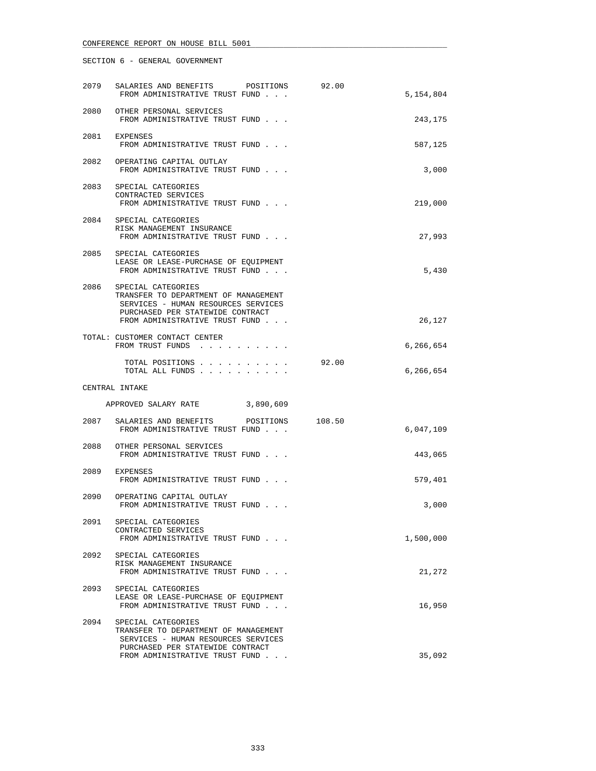| 2079 | SALARIES AND BENEFITS POSITIONS<br>FROM ADMINISTRATIVE TRUST FUND                                                                                                       | 92.00 | 5,154,804 |
|------|-------------------------------------------------------------------------------------------------------------------------------------------------------------------------|-------|-----------|
| 2080 | OTHER PERSONAL SERVICES<br>FROM ADMINISTRATIVE TRUST FUND                                                                                                               |       | 243,175   |
|      | 2081 EXPENSES<br>FROM ADMINISTRATIVE TRUST FUND                                                                                                                         |       | 587,125   |
|      | 2082 OPERATING CAPITAL OUTLAY<br>FROM ADMINISTRATIVE TRUST FUND                                                                                                         |       | 3,000     |
| 2083 | SPECIAL CATEGORIES<br>CONTRACTED SERVICES<br>FROM ADMINISTRATIVE TRUST FUND                                                                                             |       | 219,000   |
|      | 2084 SPECIAL CATEGORIES<br>RISK MANAGEMENT INSURANCE<br>FROM ADMINISTRATIVE TRUST FUND                                                                                  |       | 27,993    |
|      | 2085 SPECIAL CATEGORIES<br>LEASE OR LEASE-PURCHASE OF EQUIPMENT<br>FROM ADMINISTRATIVE TRUST FUND                                                                       |       | 5,430     |
|      | 2086 SPECIAL CATEGORIES<br>TRANSFER TO DEPARTMENT OF MANAGEMENT<br>SERVICES - HUMAN RESOURCES SERVICES<br>PURCHASED PER STATEWIDE CONTRACT                              |       |           |
|      | FROM ADMINISTRATIVE TRUST FUND<br>TOTAL: CUSTOMER CONTACT CENTER                                                                                                        |       | 26,127    |
|      | FROM TRUST FUNDS                                                                                                                                                        |       | 6,266,654 |
|      | TOTAL POSITIONS<br>TOTAL ALL FUNDS                                                                                                                                      | 92.00 | 6,266,654 |
|      | CENTRAL INTAKE                                                                                                                                                          |       |           |
|      | APPROVED SALARY RATE 3,890,609                                                                                                                                          |       |           |
| 2087 | SALARIES AND BENEFITS POSITIONS 108.50<br>FROM ADMINISTRATIVE TRUST FUND                                                                                                |       | 6,047,109 |
| 2088 | OTHER PERSONAL SERVICES<br>FROM ADMINISTRATIVE TRUST FUND                                                                                                               |       | 443,065   |
| 2089 | EXPENSES<br>FROM ADMINISTRATIVE TRUST FUND                                                                                                                              |       | 579,401   |
| 2090 | OPERATING CAPITAL OUTLAY<br>FROM ADMINISTRATIVE TRUST FUND                                                                                                              |       | 3,000     |
| 2091 | SPECIAL CATEGORIES<br>CONTRACTED SERVICES<br>FROM ADMINISTRATIVE TRUST FUND                                                                                             |       | 1,500,000 |
| 2092 | SPECIAL CATEGORIES<br>RISK MANAGEMENT INSURANCE<br>FROM ADMINISTRATIVE TRUST FUND                                                                                       |       | 21,272    |
| 2093 | SPECIAL CATEGORIES<br>LEASE OR LEASE-PURCHASE OF EQUIPMENT<br>FROM ADMINISTRATIVE TRUST FUND                                                                            |       | 16,950    |
| 2094 | SPECIAL CATEGORIES<br>TRANSFER TO DEPARTMENT OF MANAGEMENT<br>SERVICES - HUMAN RESOURCES SERVICES<br>PURCHASED PER STATEWIDE CONTRACT<br>FROM ADMINISTRATIVE TRUST FUND |       | 35,092    |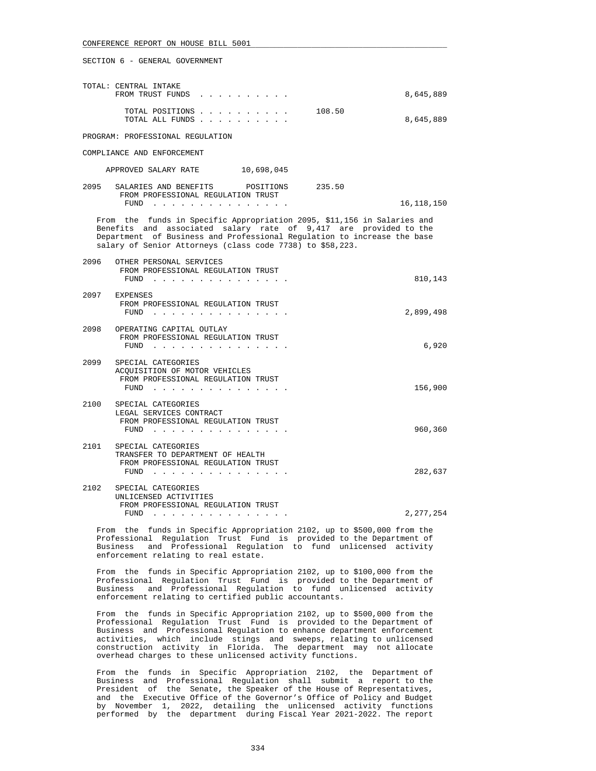| TOTAL: CENTRAL INTAKE<br>FROM TRUST FUNDS |  |  |  |  |  |        | 8,645,889 |
|-------------------------------------------|--|--|--|--|--|--------|-----------|
| TOTAL POSITIONS<br>TOTAL ALL FUNDS        |  |  |  |  |  | 108.50 | 8,645,889 |

PROGRAM: PROFESSIONAL REGULATION

COMPLIANCE AND ENFORCEMENT

| APPROVED SALARY RATE | 10,698,045 |
|----------------------|------------|
|                      |            |

| 2095 | SALARIES AND BENEFITS              | POSITIONS | 235.50 |            |
|------|------------------------------------|-----------|--------|------------|
|      | FROM PROFESSIONAL REGULATION TRUST |           |        |            |
|      | FUND                               |           |        | 16,118,150 |

 From the funds in Specific Appropriation 2095, \$11,156 in Salaries and Benefits and associated salary rate of 9,417 are provided to the Department of Business and Professional Regulation to increase the base salary of Senior Attorneys (class code 7738) to \$58,223.

| 2096 | OTHER PERSONAL SERVICES<br>FROM PROFESSIONAL REGULATION TRUST<br>FUND                                | 810,143   |
|------|------------------------------------------------------------------------------------------------------|-----------|
| 2097 | EXPENSES<br>FROM PROFESSIONAL REGULATION TRUST<br>FUND                                               | 2,899,498 |
| 2098 | OPERATING CAPITAL OUTLAY<br>FROM PROFESSIONAL REGULATION TRUST<br>FUND                               | 6,920     |
| 2099 | SPECIAL CATEGORIES<br>ACOUISITION OF MOTOR VEHICLES<br>FROM PROFESSIONAL REGULATION TRUST<br>FUND    | 156,900   |
| 2100 | SPECIAL CATEGORIES<br>LEGAL SERVICES CONTRACT<br>FROM PROFESSIONAL REGULATION TRUST<br>FUND          | 960,360   |
| 2101 | SPECIAL CATEGORIES<br>TRANSFER TO DEPARTMENT OF HEALTH<br>FROM PROFESSIONAL REGULATION TRUST<br>FUND | 282,637   |
| 2102 | SPECIAL CATEGORIES<br>UNLICENSED ACTIVITIES<br>FROM PROFFSSIONAL PRCHILATION TRIET                   |           |

 FROM PROFESSIONAL REGULATION TRUST FUND . . . . . . . . . . . . . . . 2,277,254

 From the funds in Specific Appropriation 2102, up to \$500,000 from the Professional Regulation Trust Fund is provided to the Department of Business and Professional Regulation to fund unlicensed activity enforcement relating to real estate.

 From the funds in Specific Appropriation 2102, up to \$100,000 from the Professional Regulation Trust Fund is provided to the Department of Business and Professional Regulation to fund unlicensed activity enforcement relating to certified public accountants.

 From the funds in Specific Appropriation 2102, up to \$500,000 from the Professional Regulation Trust Fund is provided to the Department of Business and Professional Regulation to enhance department enforcement activities, which include stings and sweeps, relating to unlicensed construction activity in Florida. The department may not allocate overhead charges to these unlicensed activity functions.

 From the funds in Specific Appropriation 2102, the Department of Business and Professional Regulation shall submit a report to the President of the Senate, the Speaker of the House of Representatives, and the Executive Office of the Governor's Office of Policy and Budget by November 1, 2022, detailing the unlicensed activity functions performed by the department during Fiscal Year 2021-2022. The report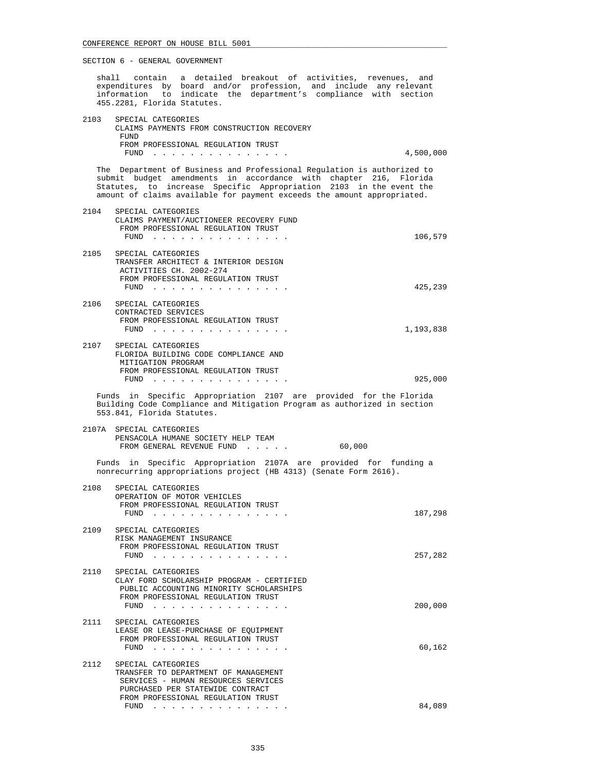shall contain a detailed breakout of activities, revenues, and expenditures by board and/or profession, and include any relevant information to indicate the department's compliance with section 455.2281, Florida Statutes. 2103 SPECIAL CATEGORIES CLAIMS PAYMENTS FROM CONSTRUCTION RECOVERY **FUND** FROM PROFESSIONAL REGULATION TRUST FUND . . . . . . . . . . . . . . . 4,500,000 The Department of Business and Professional Regulation is authorized to submit budget amendments in accordance with chapter 216, Florida Statutes, to increase Specific Appropriation 2103 in the event the amount of claims available for payment exceeds the amount appropriated. 2104 SPECIAL CATEGORIES CLAIMS PAYMENT/AUCTIONEER RECOVERY FUND FROM PROFESSIONAL REGULATION TRUST FUND . . . . . . . . . . . . . . . 106,579 2105 SPECIAL CATEGORIES TRANSFER ARCHITECT & INTERIOR DESIGN ACTIVITIES CH. 2002-274 FROM PROFESSIONAL REGULATION TRUST FUND . . . . . . . . . . . . . . . 425,239 2106 SPECIAL CATEGORIES CONTRACTED SERVICES FROM PROFESSIONAL REGULATION TRUST FUND . . . . . . . . . . . . . . . 1,193,838 2107 SPECIAL CATEGORIES FLORIDA BUILDING CODE COMPLIANCE AND MITIGATION PROGRAM FROM PROFESSIONAL REGULATION TRUST FUND . . . . . . . . . . . . . . . 925,000 Funds in Specific Appropriation 2107 are provided for the Florida Building Code Compliance and Mitigation Program as authorized in section 553.841, Florida Statutes. 2107A SPECIAL CATEGORIES PENSACOLA HUMANE SOCIETY HELP TEAM FROM GENERAL REVENUE FUND . . . . . 60,000 Funds in Specific Appropriation 2107A are provided for funding a nonrecurring appropriations project (HB 4313) (Senate Form 2616). 2108 SPECIAL CATEGORIES OPERATION OF MOTOR VEHICLES FROM PROFESSIONAL REGULATION TRUST FUND . . . . . . . . . . . . . . . 187,298 2109 SPECIAL CATEGORIES RISK MANAGEMENT INSURANCE FROM PROFESSIONAL REGULATION TRUST FUND . . . . . . . . . . . . . . . 257,282 2110 SPECIAL CATEGORIES CLAY FORD SCHOLARSHIP PROGRAM - CERTIFIED PUBLIC ACCOUNTING MINORITY SCHOLARSHIPS FROM PROFESSIONAL REGULATION TRUST FUND . . . . . . . . . . . . . . . 200,000 2111 SPECIAL CATEGORIES LEASE OR LEASE-PURCHASE OF EQUIPMENT FROM PROFESSIONAL REGULATION TRUST FUND . . . . . . . . . . . . . . . 60,162 2112 SPECIAL CATEGORIES TRANSFER TO DEPARTMENT OF MANAGEMENT SERVICES - HUMAN RESOURCES SERVICES PURCHASED PER STATEWIDE CONTRACT FROM PROFESSIONAL REGULATION TRUST

FUND . . . . . . . . . . . . . . . 84,089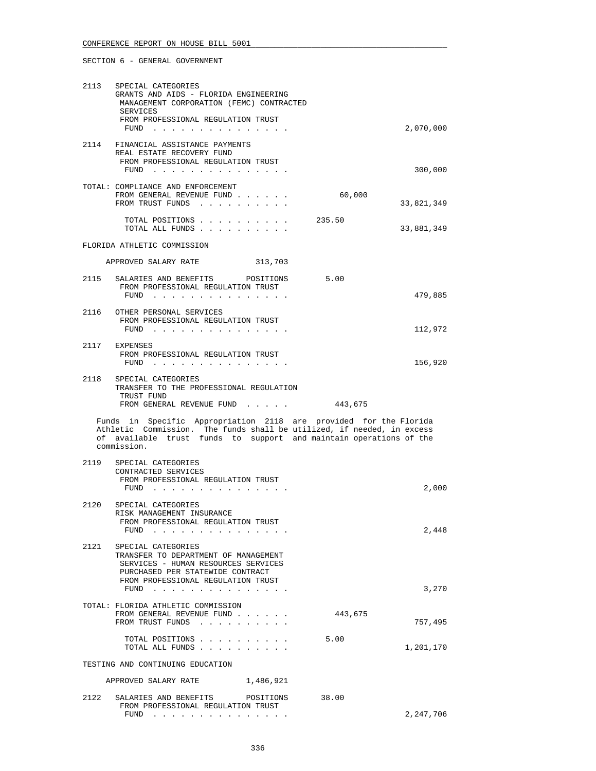| 2113 | SPECIAL CATEGORIES<br>GRANTS AND AIDS - FLORIDA ENGINEERING<br>MANAGEMENT CORPORATION (FEMC) CONTRACTED<br>SERVICES<br>FROM PROFESSIONAL REGULATION TRUST<br>FUND<br>$\sim$ $\sim$ $\sim$ $\sim$<br>the contract of the con-     |         | 2,070,000      |
|------|----------------------------------------------------------------------------------------------------------------------------------------------------------------------------------------------------------------------------------|---------|----------------|
|      | 2114 FINANCIAL ASSISTANCE PAYMENTS<br>REAL ESTATE RECOVERY FUND<br>FROM PROFESSIONAL REGULATION TRUST<br>$FUND$                                                                                                                  |         | 300,000        |
|      | TOTAL: COMPLIANCE AND ENFORCEMENT<br>FROM GENERAL REVENUE FUND<br>FROM TRUST FUNDS                                                                                                                                               | 60,000  | 33,821,349     |
|      | TOTAL POSITIONS<br>$\sim$ $\sim$ $\sim$ $\sim$<br>TOTAL ALL FUNDS                                                                                                                                                                | 235.50  | 33,881,349     |
|      | FLORIDA ATHLETIC COMMISSION                                                                                                                                                                                                      |         |                |
|      | APPROVED SALARY RATE<br>313,703                                                                                                                                                                                                  |         |                |
|      | 2115 SALARIES AND BENEFITS POSITIONS<br>FROM PROFESSIONAL REGULATION TRUST<br>FUND                                                                                                                                               | 5.00    | 479,885        |
|      | 2116 OTHER PERSONAL SERVICES<br>FROM PROFESSIONAL REGULATION TRUST                                                                                                                                                               |         |                |
|      | FUND $\cdots$                                                                                                                                                                                                                    |         | 112,972        |
|      | 2117 EXPENSES<br>FROM PROFESSIONAL REGULATION TRUST<br>FUND $\cdots$                                                                                                                                                             |         | 156,920        |
| 2118 | SPECIAL CATEGORIES<br>TRANSFER TO THE PROFESSIONAL REGULATION                                                                                                                                                                    |         |                |
|      | TRUST FUND<br>FROM GENERAL REVENUE FUND                                                                                                                                                                                          | 443,675 |                |
|      | Funds in Specific Appropriation 2118 are provided for the Florida<br>Athletic Commission. The funds shall be utilized, if needed, in excess<br>of available trust funds to support and maintain operations of the<br>commission. |         |                |
| 2119 | SPECIAL CATEGORIES<br>CONTRACTED SERVICES<br>FROM PROFESSIONAL REGULATION TRUST<br>$FUND$                                                                                                                                        |         | 2,000          |
| 2120 | SPECIAL CATEGORIES<br>RISK MANAGEMENT INSURANCE<br>FROM PROFESSIONAL REGULATION TRUST                                                                                                                                            |         |                |
|      | $FUND$<br>2121 SPECIAL CATEGORIES<br>TRANSFER TO DEPARTMENT OF MANAGEMENT<br>SERVICES - HUMAN RESOURCES SERVICES<br>PURCHASED PER STATEWIDE CONTRACT<br>FROM PROFESSIONAL REGULATION TRUST                                       |         | 2,448<br>3,270 |
|      | FUND $\cdots$                                                                                                                                                                                                                    |         |                |
|      | TOTAL: FLORIDA ATHLETIC COMMISSION<br>FROM GENERAL REVENUE FUND<br>FROM TRUST FUNDS                                                                                                                                              | 443,675 | 757,495        |
|      | TOTAL POSITIONS<br>TOTAL ALL FUNDS                                                                                                                                                                                               | 5.00    | 1,201,170      |
|      | TESTING AND CONTINUING EDUCATION                                                                                                                                                                                                 |         |                |
|      | APPROVED SALARY RATE 1,486,921                                                                                                                                                                                                   |         |                |
| 2122 | SALARIES AND BENEFITS<br>POSITIONS<br>FROM PROFESSIONAL REGULATION TRUST<br>FUND $\cdots$                                                                                                                                        | 38.00   | 2,247,706      |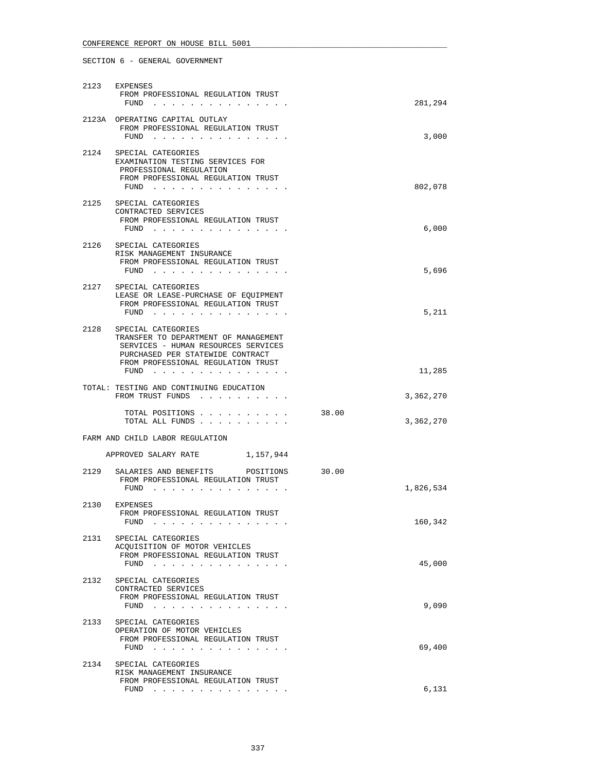|      | 2123 EXPENSES<br>FROM PROFESSIONAL REGULATION TRUST<br>FUND<br>the contract of the contract of the contract of the contract of the contract of the contract of the contract of the contract of the contract of the contract of the contract of the contract of the contract of the contract o                                                                                                                                                                                                                                                                               | 281,294            |  |
|------|-----------------------------------------------------------------------------------------------------------------------------------------------------------------------------------------------------------------------------------------------------------------------------------------------------------------------------------------------------------------------------------------------------------------------------------------------------------------------------------------------------------------------------------------------------------------------------|--------------------|--|
|      | 2123A OPERATING CAPITAL OUTLAY<br>FROM PROFESSIONAL REGULATION TRUST<br>FUND<br>the contract of the contract of the contract of the contract of the contract of the contract of the contract of the contract of the contract of the contract of the contract of the contract of the contract of the contract o                                                                                                                                                                                                                                                              | 3,000              |  |
| 2124 | SPECIAL CATEGORIES<br>EXAMINATION TESTING SERVICES FOR<br>PROFESSIONAL REGULATION<br>FROM PROFESSIONAL REGULATION TRUST<br>$FUND$                                                                                                                                                                                                                                                                                                                                                                                                                                           | 802,078            |  |
|      | 2125 SPECIAL CATEGORIES<br>CONTRACTED SERVICES<br>FROM PROFESSIONAL REGULATION TRUST<br>$FUND$                                                                                                                                                                                                                                                                                                                                                                                                                                                                              | 6,000              |  |
|      | 2126 SPECIAL CATEGORIES<br>RISK MANAGEMENT INSURANCE<br>FROM PROFESSIONAL REGULATION TRUST<br>FUND $\cdots$                                                                                                                                                                                                                                                                                                                                                                                                                                                                 | 5,696              |  |
| 2127 | SPECIAL CATEGORIES<br>LEASE OR LEASE-PURCHASE OF EQUIPMENT<br>FROM PROFESSIONAL REGULATION TRUST<br>FUND $\cdots$                                                                                                                                                                                                                                                                                                                                                                                                                                                           | 5,211              |  |
| 2128 | SPECIAL CATEGORIES<br>TRANSFER TO DEPARTMENT OF MANAGEMENT<br>SERVICES - HUMAN RESOURCES SERVICES<br>PURCHASED PER STATEWIDE CONTRACT<br>FROM PROFESSIONAL REGULATION TRUST<br>FUND $\cdots$                                                                                                                                                                                                                                                                                                                                                                                | 11,285             |  |
|      | TOTAL: TESTING AND CONTINUING EDUCATION<br>FROM TRUST FUNDS                                                                                                                                                                                                                                                                                                                                                                                                                                                                                                                 | 3,362,270          |  |
|      | TOTAL POSITIONS<br>TOTAL ALL FUNDS                                                                                                                                                                                                                                                                                                                                                                                                                                                                                                                                          | 38.00<br>3,362,270 |  |
|      | FARM AND CHILD LABOR REGULATION                                                                                                                                                                                                                                                                                                                                                                                                                                                                                                                                             |                    |  |
|      | APPROVED SALARY RATE 1,157,944                                                                                                                                                                                                                                                                                                                                                                                                                                                                                                                                              |                    |  |
|      | 2129 SALARIES AND BENEFITS POSITIONS<br>FROM PROFESSIONAL REGULATION TRUST<br>FUND<br>$\mathbf{1} \quad \mathbf{1} \quad \mathbf{1} \quad \mathbf{1} \quad \mathbf{1} \quad \mathbf{1} \quad \mathbf{1} \quad \mathbf{1} \quad \mathbf{1} \quad \mathbf{1} \quad \mathbf{1} \quad \mathbf{1} \quad \mathbf{1} \quad \mathbf{1} \quad \mathbf{1} \quad \mathbf{1} \quad \mathbf{1} \quad \mathbf{1} \quad \mathbf{1} \quad \mathbf{1} \quad \mathbf{1} \quad \mathbf{1} \quad \mathbf{1} \quad \mathbf{1} \quad \mathbf{1} \quad \mathbf{1} \quad \mathbf{1} \quad \mathbf{$ | 30.00<br>1,826,534 |  |
|      | 2130 EXPENSES<br>FROM PROFESSIONAL REGULATION TRUST<br>FUND $\cdots$                                                                                                                                                                                                                                                                                                                                                                                                                                                                                                        | 160,342            |  |
| 2131 | SPECIAL CATEGORIES<br>ACQUISITION OF MOTOR VEHICLES<br>FROM PROFESSIONAL REGULATION TRUST<br>FUND                                                                                                                                                                                                                                                                                                                                                                                                                                                                           | 45,000             |  |
| 2132 | SPECIAL CATEGORIES<br>CONTRACTED SERVICES<br>FROM PROFESSIONAL REGULATION TRUST<br>FUND $\ldots$                                                                                                                                                                                                                                                                                                                                                                                                                                                                            | 9,090              |  |
| 2133 | SPECIAL CATEGORIES<br>OPERATION OF MOTOR VEHICLES<br>FROM PROFESSIONAL REGULATION TRUST<br>FUND                                                                                                                                                                                                                                                                                                                                                                                                                                                                             | 69,400             |  |
| 2134 | SPECIAL CATEGORIES<br>RISK MANAGEMENT INSURANCE<br>FROM PROFESSIONAL REGULATION TRUST<br>FUND $\cdots$                                                                                                                                                                                                                                                                                                                                                                                                                                                                      | 6,131              |  |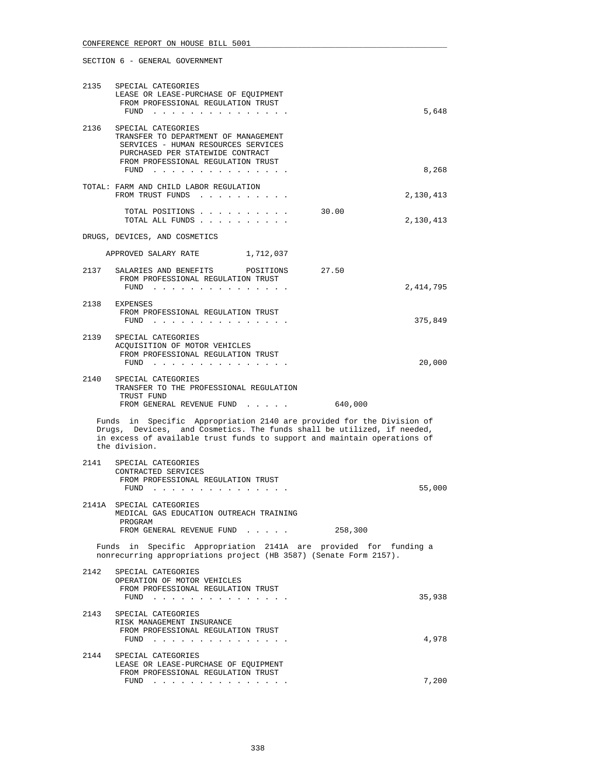# SECTION 6 - GENERAL GOVERNMENT 2135 SPECIAL CATEGORIES LEASE OR LEASE-PURCHASE OF EQUIPMENT FROM PROFESSIONAL REGULATION TRUST FUND . . . . . . . . . . . . . . . 5,648 2136 SPECIAL CATEGORIES TRANSFER TO DEPARTMENT OF MANAGEMENT SERVICES - HUMAN RESOURCES SERVICES PURCHASED PER STATEWIDE CONTRACT FROM PROFESSIONAL REGULATION TRUST FUND . . . . . . . . . . . . . . . 8,268 TOTAL: FARM AND CHILD LABOR REGULATION FROM TRUST FUNDS . . . . . . . . . . . . . . . . . . 2,130,413 TOTAL POSITIONS . . . . . . . . . . 30.00 TOTAL ALL FUNDS . . . . . . . . . . 2,130,413 DRUGS, DEVICES, AND COSMETICS APPROVED SALARY RATE 1,712,037 2137 SALARIES AND BENEFITS POSITIONS 27.50 FROM PROFESSIONAL REGULATION TRUST FUND . . . . . . . . . . . . . . . 2,414,795 2138 EXPENSES FROM PROFESSIONAL REGULATION TRUST FUND . . . . . . . . . . . . . . . 375,849 2139 SPECIAL CATEGORIES ACQUISITION OF MOTOR VEHICLES FROM PROFESSIONAL REGULATION TRUST FUND . . . . . . . . . . . . . . . 20,000 2140 SPECIAL CATEGORIES TRANSFER TO THE PROFESSIONAL REGULATION TRUST FUND FROM GENERAL REVENUE FUND . . . . . 640,000 Funds in Specific Appropriation 2140 are provided for the Division of

 Drugs, Devices, and Cosmetics. The funds shall be utilized, if needed, in excess of available trust funds to support and maintain operations of the division. 2141 SPECIAL CATEGORIES

| $2 + 7 +$ | $\mathcal{L}$                                                                                                                         |        |
|-----------|---------------------------------------------------------------------------------------------------------------------------------------|--------|
|           | CONTRACTED SERVICES                                                                                                                   |        |
|           | FROM PROFESSIONAL REGULATION TRUST                                                                                                    |        |
|           | FUND<br>the contract of the contract of the contract of the contract of the contract of the contract of the contract of               | 55,000 |
| 2141A     | SPECIAL CATEGORIES                                                                                                                    |        |
|           | MEDICAL GAS EDUCATION OUTREACH TRAINING                                                                                               |        |
|           | PROGRAM                                                                                                                               |        |
|           | 258,300<br>FROM GENERAL REVENUE FUND                                                                                                  |        |
|           | Funds in Specific Appropriation 2141A are provided for funding a<br>nonrecurring appropriations project (HB 3587) (Senate Form 2157). |        |
| 2142      | SPECIAL CATEGORIES                                                                                                                    |        |

|      | OPERATION OF MOTOR VEHICLES<br>FROM PROFESSIONAL REGULATION TRUST<br>FUND<br>$\mathbf{1} \quad \mathbf{1} \quad \mathbf{1} \quad \mathbf{1} \quad \mathbf{1} \quad \mathbf{1} \quad \mathbf{1} \quad \mathbf{1} \quad \mathbf{1} \quad \mathbf{1} \quad \mathbf{1} \quad \mathbf{1} \quad \mathbf{1} \quad \mathbf{1} \quad \mathbf{1} \quad \mathbf{1} \quad \mathbf{1} \quad \mathbf{1} \quad \mathbf{1} \quad \mathbf{1} \quad \mathbf{1} \quad \mathbf{1} \quad \mathbf{1} \quad \mathbf{1} \quad \mathbf{1} \quad \mathbf{1} \quad \mathbf{1} \quad \mathbf{$ | 35,938 |
|------|--------------------------------------------------------------------------------------------------------------------------------------------------------------------------------------------------------------------------------------------------------------------------------------------------------------------------------------------------------------------------------------------------------------------------------------------------------------------------------------------------------------------------------------------------------------------|--------|
| 2143 | SPECIAL CATEGORIES<br>RISK MANAGEMENT INSURANCE<br>FROM PROFESSIONAL REGULATION TRUST<br>FUND<br>and the company of the company of the company of                                                                                                                                                                                                                                                                                                                                                                                                                  | 4,978  |
| 2144 | SPECIAL CATEGORIES<br>LEASE OR LEASE-PURCHASE OF EOUIPMENT<br>FROM PROFESSIONAL REGULATION TRUST<br>FUND<br>a construction of the construction of the construction of the construction of the construction of the construction of the construction of the construction of the construction of the construction of the construction of the                                                                                                                                                                                                                          | 7,200  |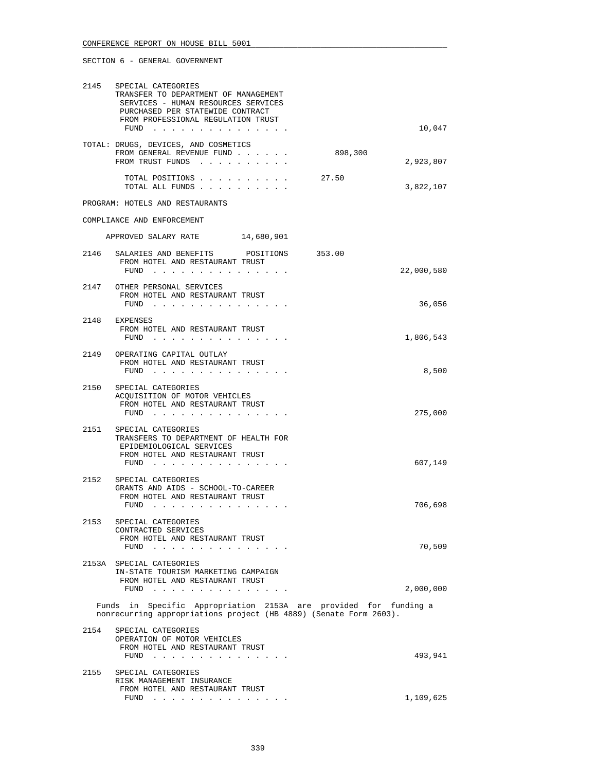|      | 2145 SPECIAL CATEGORIES<br>TRANSFER TO DEPARTMENT OF MANAGEMENT<br>SERVICES - HUMAN RESOURCES SERVICES<br>PURCHASED PER STATEWIDE CONTRACT<br>FROM PROFESSIONAL REGULATION TRUST<br>$FUND$                             |         | 10,047     |
|------|------------------------------------------------------------------------------------------------------------------------------------------------------------------------------------------------------------------------|---------|------------|
|      | TOTAL: DRUGS, DEVICES, AND COSMETICS<br>FROM GENERAL REVENUE FUND<br>FROM TRUST FUNDS                                                                                                                                  | 898,300 | 2,923,807  |
|      | TOTAL POSITIONS<br>TOTAL ALL FUNDS                                                                                                                                                                                     | 27.50   | 3,822,107  |
|      | PROGRAM: HOTELS AND RESTAURANTS                                                                                                                                                                                        |         |            |
|      | COMPLIANCE AND ENFORCEMENT                                                                                                                                                                                             |         |            |
|      | APPROVED SALARY RATE 14,680,901                                                                                                                                                                                        |         |            |
| 2146 | SALARIES AND BENEFITS POSITIONS<br>FROM HOTEL AND RESTAURANT TRUST<br>$FUND$                                                                                                                                           | 353.00  | 22,000,580 |
|      | 2147 OTHER PERSONAL SERVICES<br>FROM HOTEL AND RESTAURANT TRUST<br>FUND $\ldots$                                                                                                                                       |         | 36,056     |
|      | 2148 EXPENSES<br>FROM HOTEL AND RESTAURANT TRUST<br>FUND $\cdots$                                                                                                                                                      |         | 1,806,543  |
|      | 2149 OPERATING CAPITAL OUTLAY<br>FROM HOTEL AND RESTAURANT TRUST<br>FUND $\cdots$                                                                                                                                      |         | 8,500      |
| 2150 | SPECIAL CATEGORIES<br>ACQUISITION OF MOTOR VEHICLES<br>FROM HOTEL AND RESTAURANT TRUST<br>FUND $\cdots$                                                                                                                |         | 275,000    |
|      | 2151 SPECIAL CATEGORIES<br>TRANSFERS TO DEPARTMENT OF HEALTH FOR<br>EPIDEMIOLOGICAL SERVICES<br>FROM HOTEL AND RESTAURANT TRUST<br>FUND $\cdots$                                                                       |         | 607,149    |
| 2152 | SPECIAL CATEGORIES<br>GRANTS AND AIDS - SCHOOL-TO-CAREER<br>FROM HOTEL AND RESTAURANT TRUST<br>FUND<br>the contract of the contract of the contract of the contract of the contract of the contract of the contract of |         | 706,698    |
| 2153 | SPECIAL CATEGORIES<br>CONTRACTED SERVICES<br>FROM HOTEL AND RESTAURANT TRUST<br>FUND $\cdots$                                                                                                                          |         | 70,509     |
|      | 2153A SPECIAL CATEGORIES<br>IN-STATE TOURISM MARKETING CAMPAIGN<br>FROM HOTEL AND RESTAURANT TRUST<br>FUND                                                                                                             |         | 2,000,000  |
|      | Funds in Specific Appropriation 2153A are provided for funding a<br>nonrecurring appropriations project (HB 4889) (Senate Form 2603).                                                                                  |         |            |
| 2154 | SPECIAL CATEGORIES<br>OPERATION OF MOTOR VEHICLES<br>FROM HOTEL AND RESTAURANT TRUST<br>FUND                                                                                                                           |         | 493,941    |
| 2155 | SPECIAL CATEGORIES<br>RISK MANAGEMENT INSURANCE<br>FROM HOTEL AND RESTAURANT TRUST                                                                                                                                     |         |            |
|      | $FUND$                                                                                                                                                                                                                 |         | 1,109,625  |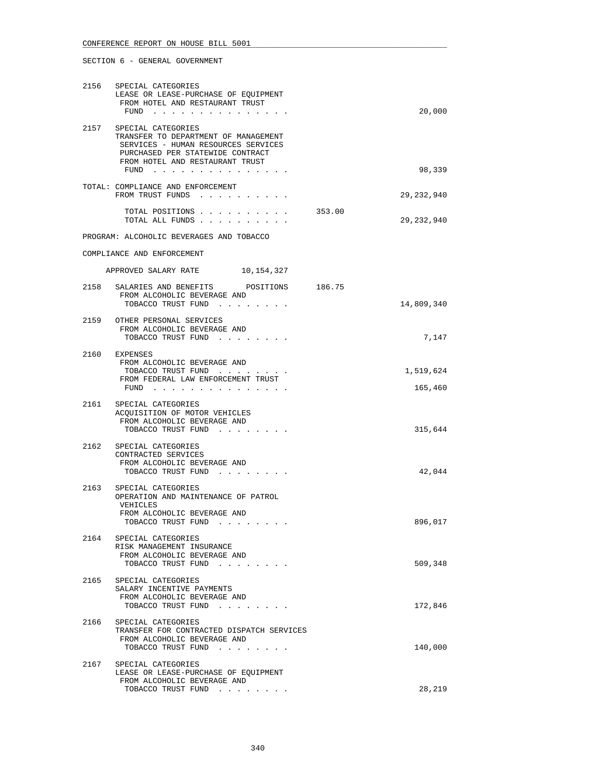# 2156 SPECIAL CATEGORIES LEASE OR LEASE-PURCHASE OF EQUIPMENT FROM HOTEL AND RESTAURANT TRUST FUND . . . . . . . . . . . . . . . 20,000 2157 SPECIAL CATEGORIES TRANSFER TO DEPARTMENT OF MANAGEMENT SERVICES - HUMAN RESOURCES SERVICES PURCHASED PER STATEWIDE CONTRACT FROM HOTEL AND RESTAURANT TRUST FUND . . . . . . . . . . . . . . . 98,339 TOTAL: COMPLIANCE AND ENFORCEMENT FROM TRUST FUNDS . . . . . . . . . . 29,232,940 TOTAL POSITIONS . . . . . . . . . . 353.00 TOTAL ALL FUNDS . . . . . . . . . . 29,232,940 PROGRAM: ALCOHOLIC BEVERAGES AND TOBACCO COMPLIANCE AND ENFORCEMENT APPROVED SALARY RATE 10,154,327 2158 SALARIES AND BENEFITS POSITIONS 186.75 FROM ALCOHOLIC BEVERAGE AND TOBACCO TRUST FUND . . . . . . . . . . . . . . 14,809,340 2159 OTHER PERSONAL SERVICES FROM ALCOHOLIC BEVERAGE AND TOBACCO TRUST FUND . . . . . . . . . . . . . . . . 7,147 2160 EXPENSES FROM ALCOHOLIC BEVERAGE AND TOBACCO TRUST FUND  $\ldots$  . . . . . . . . . . . . . . . . 1,519,624 FROM FEDERAL LAW ENFORCEMENT TRUST FUND . . . . . . . . . . . . . . . 165,460 2161 SPECIAL CATEGORIES ACQUISITION OF MOTOR VEHICLES FROM ALCOHOLIC BEVERAGE AND TOBACCO TRUST FUND . . . . . . . . . . . . 315,644 2162 SPECIAL CATEGORIES CONTRACTED SERVICES FROM ALCOHOLIC BEVERAGE AND TOBACCO TRUST FUND . . . . . . . . . . . 42,044 2163 SPECIAL CATEGORIES OPERATION AND MAINTENANCE OF PATROL VEHICLES FROM ALCOHOLIC BEVERAGE AND TOBACCO TRUST FUND . . . . . . . . . . . 896,017 2164 SPECIAL CATEGORIES RISK MANAGEMENT INSURANCE FROM ALCOHOLIC BEVERAGE AND TOBACCO TRUST FUND . . . . . . . . 509,348 2165 SPECIAL CATEGORIES SALARY INCENTIVE PAYMENTS FROM ALCOHOLIC BEVERAGE AND TOBACCO TRUST FUND . . . . . . . . . . 172,846 2166 SPECIAL CATEGORIES TRANSFER FOR CONTRACTED DISPATCH SERVICES FROM ALCOHOLIC BEVERAGE AND TOBACCO TRUST FUND . . . . . . . . . . 140,000 2167 SPECIAL CATEGORIES LEASE OR LEASE-PURCHASE OF EQUIPMENT FROM ALCOHOLIC BEVERAGE AND TOBACCO TRUST FUND . . . . . . . . . . . . 28,219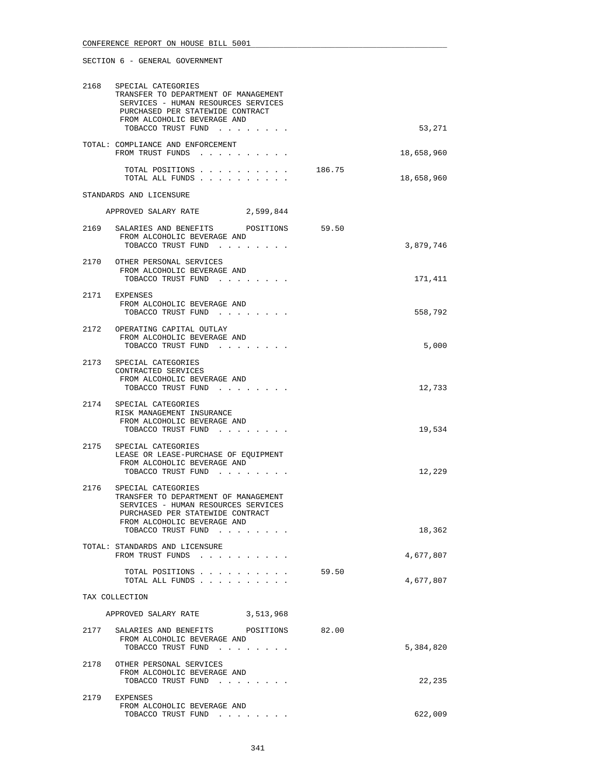| 2168 | SPECIAL CATEGORIES<br>TRANSFER TO DEPARTMENT OF MANAGEMENT<br>SERVICES - HUMAN RESOURCES SERVICES<br>PURCHASED PER STATEWIDE CONTRACT<br>FROM ALCOHOLIC BEVERAGE AND<br>TOBACCO TRUST FUND |        | 53,271     |
|------|--------------------------------------------------------------------------------------------------------------------------------------------------------------------------------------------|--------|------------|
|      | TOTAL: COMPLIANCE AND ENFORCEMENT<br>FROM TRUST FUNDS                                                                                                                                      |        | 18,658,960 |
|      | TOTAL POSITIONS<br>TOTAL ALL FUNDS                                                                                                                                                         | 186.75 | 18,658,960 |
|      | STANDARDS AND LICENSURE                                                                                                                                                                    |        |            |
|      | APPROVED SALARY RATE<br>2,599,844                                                                                                                                                          |        |            |
|      | 2169 SALARIES AND BENEFITS POSITIONS 59.50<br>FROM ALCOHOLIC BEVERAGE AND<br>TOBACCO TRUST FUND                                                                                            |        | 3,879,746  |
|      | 2170 OTHER PERSONAL SERVICES<br>FROM ALCOHOLIC BEVERAGE AND<br>TOBACCO TRUST FUND                                                                                                          |        | 171,411    |
|      | 2171 EXPENSES<br>FROM ALCOHOLIC BEVERAGE AND<br>TOBACCO TRUST FUND                                                                                                                         |        | 558,792    |
|      | 2172 OPERATING CAPITAL OUTLAY<br>FROM ALCOHOLIC BEVERAGE AND<br>TOBACCO TRUST FUND                                                                                                         |        | 5,000      |
|      | 2173 SPECIAL CATEGORIES<br>CONTRACTED SERVICES<br>FROM ALCOHOLIC BEVERAGE AND<br>TOBACCO TRUST FUND                                                                                        |        | 12,733     |
|      | 2174 SPECIAL CATEGORIES<br>RISK MANAGEMENT INSURANCE<br>FROM ALCOHOLIC BEVERAGE AND<br>TOBACCO TRUST FUND                                                                                  |        | 19,534     |
| 2175 | SPECIAL CATEGORIES<br>LEASE OR LEASE-PURCHASE OF EOUIPMENT<br>FROM ALCOHOLIC BEVERAGE AND<br>TOBACCO TRUST FUND                                                                            |        | 12,229     |
| 2176 | SPECIAL CATEGORIES<br>TRANSFER TO DEPARTMENT OF MANAGEMENT<br>SERVICES - HUMAN RESOURCES SERVICES<br>PURCHASED PER STATEWIDE CONTRACT<br>FROM ALCOHOLIC BEVERAGE AND<br>TOBACCO TRUST FUND |        | 18,362     |
|      | TOTAL: STANDARDS AND LICENSURE<br>FROM TRUST FUNDS                                                                                                                                         |        | 4,677,807  |
|      | TOTAL POSITIONS<br>TOTAL ALL FUNDS                                                                                                                                                         | 59.50  | 4,677,807  |
|      | TAX COLLECTION                                                                                                                                                                             |        |            |
|      | APPROVED SALARY RATE<br>3,513,968                                                                                                                                                          |        |            |
| 2177 | SALARIES AND BENEFITS POSITIONS<br>FROM ALCOHOLIC BEVERAGE AND<br>TOBACCO TRUST FUND                                                                                                       | 82.00  | 5,384,820  |
| 2178 | OTHER PERSONAL SERVICES<br>FROM ALCOHOLIC BEVERAGE AND<br>TOBACCO TRUST FUND                                                                                                               |        | 22,235     |
| 2179 | EXPENSES<br>FROM ALCOHOLIC BEVERAGE AND<br>TOBACCO TRUST FUND                                                                                                                              |        | 622,009    |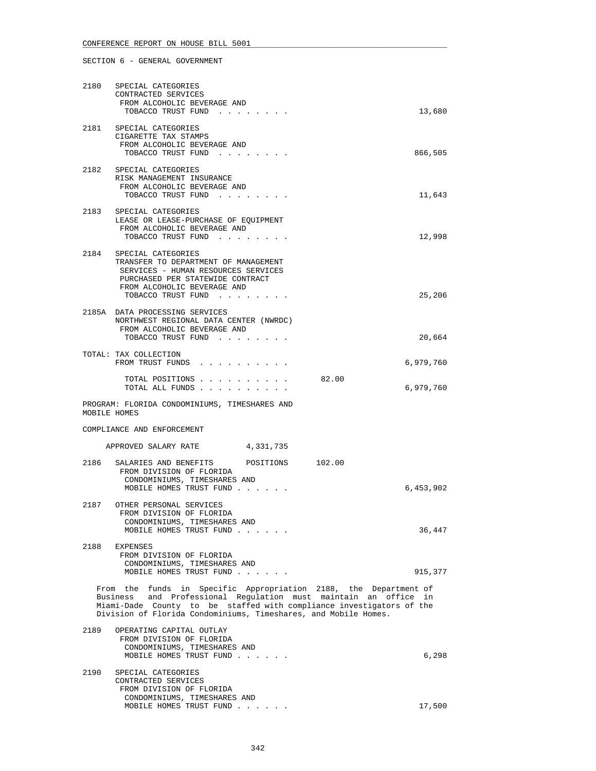|      | 2180 SPECIAL CATEGORIES                                                                                                                                                                                                                                                        |           |
|------|--------------------------------------------------------------------------------------------------------------------------------------------------------------------------------------------------------------------------------------------------------------------------------|-----------|
|      | CONTRACTED SERVICES<br>FROM ALCOHOLIC BEVERAGE AND                                                                                                                                                                                                                             |           |
|      | TOBACCO TRUST FUND                                                                                                                                                                                                                                                             | 13,680    |
|      | 2181 SPECIAL CATEGORIES<br>CIGARETTE TAX STAMPS                                                                                                                                                                                                                                |           |
|      | FROM ALCOHOLIC BEVERAGE AND<br>TOBACCO TRUST FUND                                                                                                                                                                                                                              | 866,505   |
|      | 2182 SPECIAL CATEGORIES                                                                                                                                                                                                                                                        |           |
|      | RISK MANAGEMENT INSURANCE                                                                                                                                                                                                                                                      |           |
|      | FROM ALCOHOLIC BEVERAGE AND<br>TOBACCO TRUST FUND                                                                                                                                                                                                                              | 11,643    |
|      | 2183 SPECIAL CATEGORIES                                                                                                                                                                                                                                                        |           |
|      | LEASE OR LEASE-PURCHASE OF EQUIPMENT<br>FROM ALCOHOLIC BEVERAGE AND                                                                                                                                                                                                            |           |
|      | TOBACCO TRUST FUND                                                                                                                                                                                                                                                             | 12,998    |
|      | 2184 SPECIAL CATEGORIES<br>TRANSFER TO DEPARTMENT OF MANAGEMENT                                                                                                                                                                                                                |           |
|      | SERVICES - HUMAN RESOURCES SERVICES<br>PURCHASED PER STATEWIDE CONTRACT                                                                                                                                                                                                        |           |
|      | FROM ALCOHOLIC BEVERAGE AND                                                                                                                                                                                                                                                    |           |
|      | TOBACCO TRUST FUND                                                                                                                                                                                                                                                             | 25,206    |
|      | 2185A DATA PROCESSING SERVICES<br>NORTHWEST REGIONAL DATA CENTER (NWRDC)                                                                                                                                                                                                       |           |
|      | FROM ALCOHOLIC BEVERAGE AND<br>TOBACCO TRUST FUND                                                                                                                                                                                                                              | 20,664    |
|      | TOTAL: TAX COLLECTION                                                                                                                                                                                                                                                          |           |
|      | FROM TRUST FUNDS                                                                                                                                                                                                                                                               | 6,979,760 |
|      | 82.00<br>TOTAL POSITIONS<br>TOTAL ALL FUNDS                                                                                                                                                                                                                                    | 6,979,760 |
|      | PROGRAM: FLORIDA CONDOMINIUMS, TIMESHARES AND<br>MOBILE HOMES                                                                                                                                                                                                                  |           |
|      | COMPLIANCE AND ENFORCEMENT                                                                                                                                                                                                                                                     |           |
|      | APPROVED SALARY RATE 4,331,735                                                                                                                                                                                                                                                 |           |
| 2186 | SALARIES AND BENEFITS<br>POSITIONS 102.00                                                                                                                                                                                                                                      |           |
|      | FROM DIVISION OF FLORIDA<br>CONDOMINIUMS, TIMESHARES AND                                                                                                                                                                                                                       |           |
|      | MOBILE HOMES TRUST FUND                                                                                                                                                                                                                                                        | 6,453,902 |
|      | 2187 OTHER PERSONAL SERVICES                                                                                                                                                                                                                                                   |           |
|      | FROM DIVISION OF FLORIDA<br>CONDOMINIUMS, TIMESHARES AND                                                                                                                                                                                                                       |           |
|      | MOBILE HOMES TRUST FUND                                                                                                                                                                                                                                                        | 36,447    |
| 2188 | EXPENSES<br>FROM DIVISION OF FLORIDA                                                                                                                                                                                                                                           |           |
|      | CONDOMINIUMS, TIMESHARES AND                                                                                                                                                                                                                                                   | 915,377   |
|      | MOBILE HOMES TRUST FUND                                                                                                                                                                                                                                                        |           |
|      | From the funds in Specific Appropriation 2188, the Department of<br>Business and Professional Regulation must maintain an office in<br>Miami-Dade County to be staffed with compliance investigators of the<br>Division of Florida Condominiums, Timeshares, and Mobile Homes. |           |
| 2189 | OPERATING CAPITAL OUTLAY                                                                                                                                                                                                                                                       |           |
|      | FROM DIVISION OF FLORIDA<br>CONDOMINIUMS, TIMESHARES AND                                                                                                                                                                                                                       |           |
|      | MOBILE HOMES TRUST FUND                                                                                                                                                                                                                                                        | 6,298     |
| 2190 | SPECIAL CATEGORIES                                                                                                                                                                                                                                                             |           |
|      | CONTRACTED SERVICES<br>FROM DIVISION OF FLORIDA                                                                                                                                                                                                                                |           |
|      | CONDOMINIUMS, TIMESHARES AND                                                                                                                                                                                                                                                   |           |

MOBILE HOMES TRUST FUND . . . . . . . . . . . . 17,500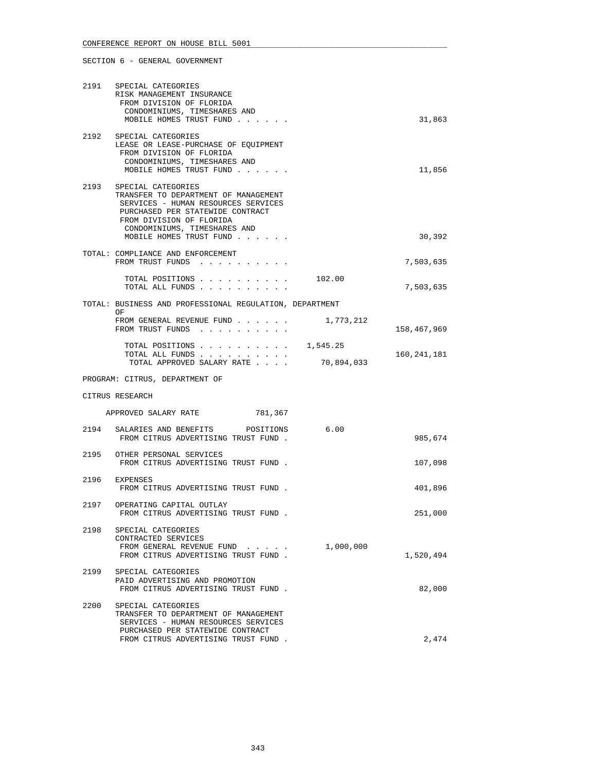|      | 2191 SPECIAL CATEGORIES<br>RISK MANAGEMENT INSURANCE<br>FROM DIVISION OF FLORIDA<br>CONDOMINIUMS, TIMESHARES AND<br>MOBILE HOMES TRUST FUND                                                                                       |            | 31,863      |
|------|-----------------------------------------------------------------------------------------------------------------------------------------------------------------------------------------------------------------------------------|------------|-------------|
|      | 2192 SPECIAL CATEGORIES<br>LEASE OR LEASE-PURCHASE OF EQUIPMENT<br>FROM DIVISION OF FLORIDA<br>CONDOMINIUMS, TIMESHARES AND<br>MOBILE HOMES TRUST FUND                                                                            |            | 11,856      |
|      | 2193 SPECIAL CATEGORIES<br>TRANSFER TO DEPARTMENT OF MANAGEMENT<br>SERVICES - HUMAN RESOURCES SERVICES<br>PURCHASED PER STATEWIDE CONTRACT<br>FROM DIVISION OF FLORIDA<br>CONDOMINIUMS, TIMESHARES AND<br>MOBILE HOMES TRUST FUND |            | 30,392      |
|      | TOTAL: COMPLIANCE AND ENFORCEMENT<br>FROM TRUST FUNDS                                                                                                                                                                             |            | 7,503,635   |
|      | TOTAL POSITIONS<br>TOTAL ALL FUNDS                                                                                                                                                                                                | 102.00     | 7,503,635   |
|      | TOTAL: BUSINESS AND PROFESSIONAL REGULATION, DEPARTMENT                                                                                                                                                                           |            |             |
|      | OF<br>FROM GENERAL REVENUE FUND<br>FROM TRUST FUNDS                                                                                                                                                                               | 1,773,212  | 158,467,969 |
|      | TOTAL POSITIONS $\ldots$ 1,545.25<br>TOTAL ALL FUNDS<br>TOTAL APPROVED SALARY RATE                                                                                                                                                | 70,894,033 | 160,241,181 |
|      | PROGRAM: CITRUS, DEPARTMENT OF                                                                                                                                                                                                    |            |             |
|      | CITRUS RESEARCH                                                                                                                                                                                                                   |            |             |
|      | APPROVED SALARY RATE<br>781,367                                                                                                                                                                                                   |            |             |
| 2194 |                                                                                                                                                                                                                                   |            |             |
|      | SALARIES AND BENEFITS POSITIONS<br>FROM CITRUS ADVERTISING TRUST FUND.                                                                                                                                                            | 6.00       | 985,674     |
|      | 2195 OTHER PERSONAL SERVICES<br>FROM CITRUS ADVERTISING TRUST FUND.                                                                                                                                                               |            | 107,098     |
| 2196 | EXPENSES<br>FROM CITRUS ADVERTISING TRUST FUND.                                                                                                                                                                                   |            | 401,896     |
|      | 2197 OPERATING CAPITAL OUTLAY<br>FROM CITRUS ADVERTISING TRUST FUND                                                                                                                                                               |            | 251,000     |
| 2198 | SPECIAL CATEGORIES<br>CONTRACTED SERVICES<br>FROM GENERAL REVENUE FUND<br>FROM CITRUS ADVERTISING TRUST FUND.                                                                                                                     | 1,000,000  | 1,520,494   |
| 2199 | SPECIAL CATEGORIES<br>PAID ADVERTISING AND PROMOTION<br>FROM CITRUS ADVERTISING TRUST FUND.                                                                                                                                       |            | 82,000      |
| 2200 | SPECIAL CATEGORIES<br>TRANSFER TO DEPARTMENT OF MANAGEMENT<br>SERVICES - HUMAN RESOURCES SERVICES<br>PURCHASED PER STATEWIDE CONTRACT                                                                                             |            |             |
|      | FROM CITRUS ADVERTISING TRUST FUND.                                                                                                                                                                                               |            | 2,474       |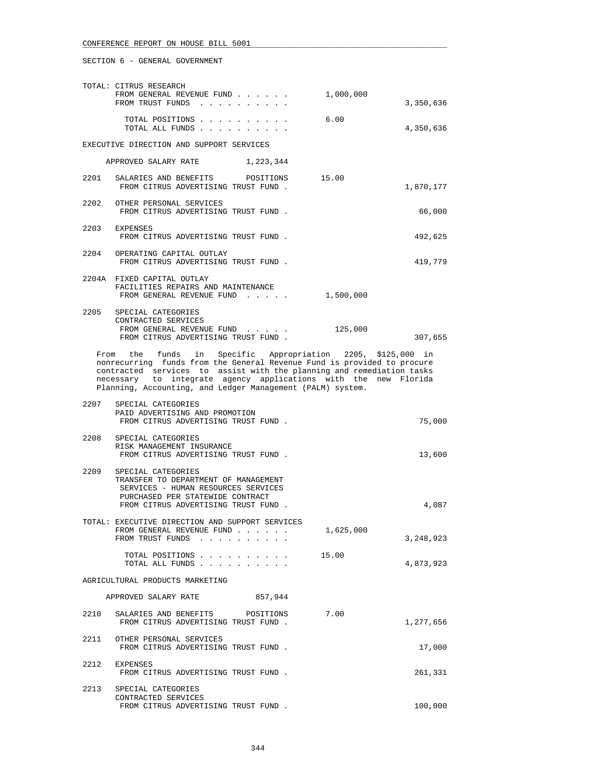|      | TOTAL: CITRUS RESEARCH<br>FROM GENERAL REVENUE FUND<br>FROM TRUST FUNDS                                                                                                                                                                                                                                                                          | 1,000,000 | 3,350,636 |
|------|--------------------------------------------------------------------------------------------------------------------------------------------------------------------------------------------------------------------------------------------------------------------------------------------------------------------------------------------------|-----------|-----------|
|      | TOTAL POSITIONS<br>TOTAL ALL FUNDS                                                                                                                                                                                                                                                                                                               | 6.00      | 4,350,636 |
|      | EXECUTIVE DIRECTION AND SUPPORT SERVICES                                                                                                                                                                                                                                                                                                         |           |           |
|      | APPROVED SALARY RATE 1, 223, 344                                                                                                                                                                                                                                                                                                                 |           |           |
| 2201 | SALARIES AND BENEFITS<br>POSITIONS 15.00<br>FROM CITRUS ADVERTISING TRUST FUND.                                                                                                                                                                                                                                                                  |           | 1,870,177 |
| 2202 | OTHER PERSONAL SERVICES<br>FROM CITRUS ADVERTISING TRUST FUND.                                                                                                                                                                                                                                                                                   |           | 66,000    |
|      | 2203 EXPENSES<br>FROM CITRUS ADVERTISING TRUST FUND.                                                                                                                                                                                                                                                                                             |           | 492,625   |
|      | 2204 OPERATING CAPITAL OUTLAY<br>FROM CITRUS ADVERTISING TRUST FUND.                                                                                                                                                                                                                                                                             |           | 419,779   |
|      | 2204A FIXED CAPITAL OUTLAY<br>FACILITIES REPAIRS AND MAINTENANCE<br>FROM GENERAL REVENUE FUND                                                                                                                                                                                                                                                    | 1,500,000 |           |
| 2205 | SPECIAL CATEGORIES<br>CONTRACTED SERVICES<br>FROM GENERAL REVENUE FUND<br>FROM CITRUS ADVERTISING TRUST FUND.                                                                                                                                                                                                                                    | 125,000   | 307,655   |
|      | From the funds in Specific Appropriation 2205, \$125,000 in<br>nonrecurring funds from the General Revenue Fund is provided to procure<br>contracted services to assist with the planning and remediation tasks<br>necessary to integrate agency applications with the new Florida<br>Planning, Accounting, and Ledger Management (PALM) system. |           |           |
| 2207 | SPECIAL CATEGORIES<br>PAID ADVERTISING AND PROMOTION<br>FROM CITRUS ADVERTISING TRUST FUND.                                                                                                                                                                                                                                                      |           | 75,000    |
| 2208 | SPECIAL CATEGORIES<br>RISK MANAGEMENT INSURANCE<br>FROM CITRUS ADVERTISING TRUST FUND.                                                                                                                                                                                                                                                           |           | 13,600    |
| 2209 | SPECIAL CATEGORIES<br>TRANSFER TO DEPARTMENT OF MANAGEMENT<br>SERVICES - HUMAN RESOURCES SERVICES<br>PURCHASED PER STATEWIDE CONTRACT<br>FROM CITRUS ADVERTISING TRUST FUND.                                                                                                                                                                     |           | 4,087     |
|      | TOTAL: EXECUTIVE DIRECTION AND SUPPORT SERVICES<br>FROM GENERAL REVENUE FUND<br>FROM TRUST FUNDS                                                                                                                                                                                                                                                 | 1,625,000 | 3,248,923 |
|      | TOTAL POSITIONS<br>TOTAL ALL FUNDS                                                                                                                                                                                                                                                                                                               | 15.00     | 4,873,923 |
|      | AGRICULTURAL PRODUCTS MARKETING                                                                                                                                                                                                                                                                                                                  |           |           |
|      | APPROVED SALARY RATE<br>857,944                                                                                                                                                                                                                                                                                                                  |           |           |
| 2210 | SALARIES AND BENEFITS POSITIONS<br>FROM CITRUS ADVERTISING TRUST FUND.                                                                                                                                                                                                                                                                           | 7.00      | 1,277,656 |
| 2211 | OTHER PERSONAL SERVICES<br>FROM CITRUS ADVERTISING TRUST FUND.                                                                                                                                                                                                                                                                                   |           | 17,000    |
| 2212 | EXPENSES<br>FROM CITRUS ADVERTISING TRUST FUND.                                                                                                                                                                                                                                                                                                  |           | 261,331   |
| 2213 | SPECIAL CATEGORIES<br>CONTRACTED SERVICES<br>FROM CITRUS ADVERTISING TRUST FUND.                                                                                                                                                                                                                                                                 |           | 100,000   |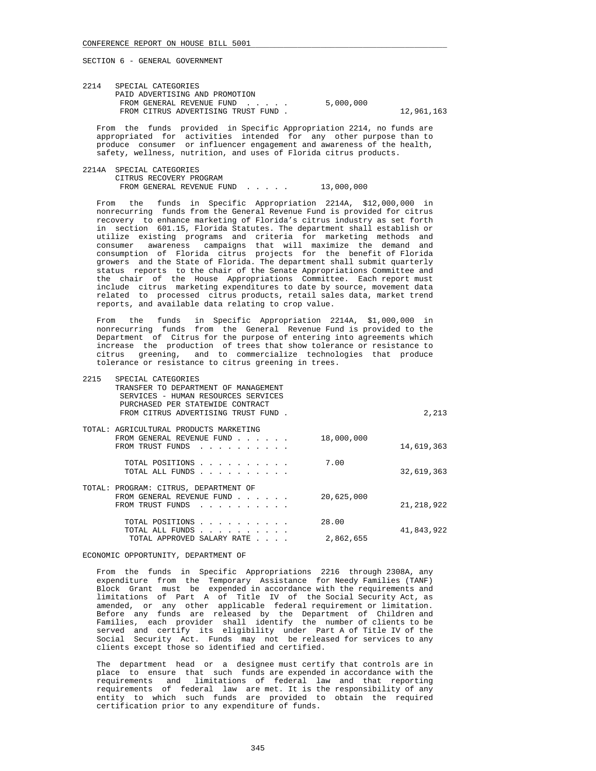| 2214 | SPECIAL CATEGORIES                 |           |            |
|------|------------------------------------|-----------|------------|
|      | PAID ADVERTISING AND PROMOTION     |           |            |
|      | FROM GENERAL REVENUE FUND          | 5,000,000 |            |
|      | FROM CITRUS ADVERTISING TRUST FUND |           | 12,961,163 |
|      |                                    |           |            |

 From the funds provided in Specific Appropriation 2214, no funds are appropriated for activities intended for any other purpose than to produce consumer or influencer engagement and awareness of the health, safety, wellness, nutrition, and uses of Florida citrus products.

 2214A SPECIAL CATEGORIES CITRUS RECOVERY PROGRAM FROM GENERAL REVENUE FUND . . . . . 13,000,000

 From the funds in Specific Appropriation 2214A, \$12,000,000 in nonrecurring funds from the General Revenue Fund is provided for citrus recovery to enhance marketing of Florida's citrus industry as set forth in section 601.15, Florida Statutes. The department shall establish or utilize existing programs and criteria for marketing methods and consumer awareness campaigns that will maximize the demand and consumption of Florida citrus projects for the benefit of Florida growers and the State of Florida. The department shall submit quarterly status reports to the chair of the Senate Appropriations Committee and the chair of the House Appropriations Committee. Each report must include citrus marketing expenditures to date by source, movement data related to processed citrus products, retail sales data, market trend reports, and available data relating to crop value.

 From the funds in Specific Appropriation 2214A, \$1,000,000 in nonrecurring funds from the General Revenue Fund is provided to the Department of Citrus for the purpose of entering into agreements which increase the production of trees that show tolerance or resistance to citrus greening, and to commercialize technologies that produce tolerance or resistance to citrus greening in trees.

| 2215 | SPECIAL CATEGORIES<br>TRANSFER TO DEPARTMENT OF MANAGEMENT<br>SERVICES - HUMAN RESOURCES SERVICES<br>PURCHASED PER STATEWIDE CONTRACT<br>FROM CITRUS ADVERTISING TRUST FUND.       |                    | 2,213        |
|------|------------------------------------------------------------------------------------------------------------------------------------------------------------------------------------|--------------------|--------------|
|      | TOTAL: AGRICULTURAL PRODUCTS MARKETING<br>FROM GENERAL REVENUE FUND<br>$\mathbf{r}$ , $\mathbf{r}$ , $\mathbf{r}$ , $\mathbf{r}$ , $\mathbf{r}$ , $\mathbf{r}$<br>FROM TRUST FUNDS | 18,000,000         | 14,619,363   |
|      | TOTAL POSITIONS<br>$\mathbf{r}$ , and $\mathbf{r}$ , and $\mathbf{r}$ , and $\mathbf{r}$<br>TOTAL ALL FUNDS                                                                        | 7.00               | 32,619,363   |
|      | TOTAL: PROGRAM: CITRUS, DEPARTMENT OF<br>FROM GENERAL REVENUE FUND<br>$\sim$ $\sim$ $\sim$ $\sim$ $\sim$ $\sim$<br>FROM TRUST FUNDS                                                | 20,625,000         | 21, 218, 922 |
|      | TOTAL POSITIONS<br>TOTAL ALL FUNDS<br>TOTAL APPROVED SALARY RATE                                                                                                                   | 28.00<br>2,862,655 | 41,843,922   |

### ECONOMIC OPPORTUNITY, DEPARTMENT OF

 From the funds in Specific Appropriations 2216 through 2308A, any expenditure from the Temporary Assistance for Needy Families (TANF) Block Grant must be expended in accordance with the requirements and limitations of Part A of Title IV of the Social Security Act, as amended, or any other applicable federal requirement or limitation. Before any funds are released by the Department of Children and Families, each provider shall identify the number of clients to be served and certify its eligibility under Part A of Title IV of the Social Security Act. Funds may not be released for services to any clients except those so identified and certified.

 The department head or a designee must certify that controls are in place to ensure that such funds are expended in accordance with the requirements and limitations of federal law and that reporting requirements of federal law are met. It is the responsibility of any entity to which such funds are provided to obtain the required certification prior to any expenditure of funds.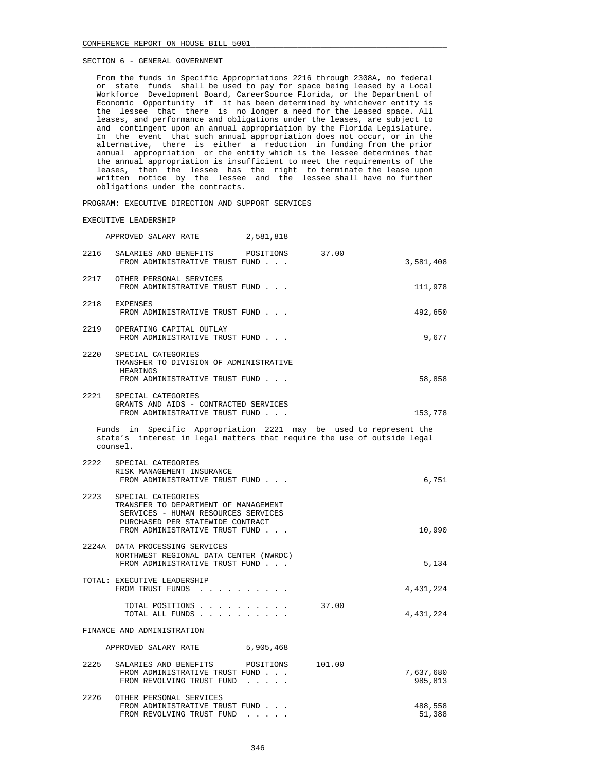From the funds in Specific Appropriations 2216 through 2308A, no federal or state funds shall be used to pay for space being leased by a Local Workforce Development Board, CareerSource Florida, or the Department of Economic Opportunity if it has been determined by whichever entity is the lessee that there is no longer a need for the leased space. All leases, and performance and obligations under the leases, are subject to and contingent upon an annual appropriation by the Florida Legislature. In the event that such annual appropriation does not occur, or in the alternative, there is either a reduction in funding from the prior annual appropriation or the entity which is the lessee determines that the annual appropriation is insufficient to meet the requirements of the leases, then the lessee has the right to terminate the lease upon written notice by the lessee and the lessee shall have no further obligations under the contracts.

PROGRAM: EXECUTIVE DIRECTION AND SUPPORT SERVICES

#### EXECUTIVE LEADERSHIP

|      | APPROVED SALARY RATE                                                                                                                                                    | 2,581,818 |        |                      |  |  |
|------|-------------------------------------------------------------------------------------------------------------------------------------------------------------------------|-----------|--------|----------------------|--|--|
| 2216 | SALARIES AND BENEFITS POSITIONS<br>FROM ADMINISTRATIVE TRUST FUND                                                                                                       |           | 37.00  | 3,581,408            |  |  |
| 2217 | OTHER PERSONAL SERVICES<br>FROM ADMINISTRATIVE TRUST FUND                                                                                                               |           |        | 111,978              |  |  |
| 2218 | EXPENSES<br>FROM ADMINISTRATIVE TRUST FUND                                                                                                                              |           |        | 492,650              |  |  |
|      | 2219 OPERATING CAPITAL OUTLAY<br>FROM ADMINISTRATIVE TRUST FUND                                                                                                         |           |        | 9,677                |  |  |
| 2220 | SPECIAL CATEGORIES<br>TRANSFER TO DIVISION OF ADMINISTRATIVE<br>HEARINGS<br>FROM ADMINISTRATIVE TRUST FUND                                                              |           |        | 58,858               |  |  |
| 2221 | SPECIAL CATEGORIES<br>GRANTS AND AIDS - CONTRACTED SERVICES<br>FROM ADMINISTRATIVE TRUST FUND                                                                           |           |        | 153,778              |  |  |
|      | Funds in Specific Appropriation 2221 may be used to represent the<br>state's interest in legal matters that require the use of outside legal<br>counsel.                |           |        |                      |  |  |
| 2222 | SPECIAL CATEGORIES<br>RISK MANAGEMENT INSURANCE<br>FROM ADMINISTRATIVE TRUST FUND                                                                                       |           |        | 6,751                |  |  |
| 2223 | SPECIAL CATEGORIES<br>TRANSFER TO DEPARTMENT OF MANAGEMENT<br>SERVICES - HUMAN RESOURCES SERVICES<br>PURCHASED PER STATEWIDE CONTRACT<br>FROM ADMINISTRATIVE TRUST FUND |           |        | 10,990               |  |  |
|      | 2224A DATA PROCESSING SERVICES<br>NORTHWEST REGIONAL DATA CENTER (NWRDC)<br>FROM ADMINISTRATIVE TRUST FUND                                                              |           |        | 5,134                |  |  |
|      | TOTAL: EXECUTIVE LEADERSHIP<br>FROM TRUST FUNDS                                                                                                                         |           |        | 4,431,224            |  |  |
|      | TOTAL POSITIONS<br>TOTAL ALL FUNDS                                                                                                                                      |           | 37.00  | 4,431,224            |  |  |
|      | FINANCE AND ADMINISTRATION                                                                                                                                              |           |        |                      |  |  |
|      | APPROVED SALARY RATE                                                                                                                                                    | 5,905,468 |        |                      |  |  |
| 2225 | SALARIES AND BENEFITS POSITIONS<br>FROM ADMINISTRATIVE TRUST FUND<br>FROM REVOLVING TRUST FUND                                                                          |           | 101.00 | 7,637,680<br>985,813 |  |  |
|      | 2226 OTHER PERSONAL SERVICES<br>FROM ADMINISTRATIVE TRUST FUND<br>FROM REVOLVING TRUST FUND                                                                             |           |        | 488,558<br>51,388    |  |  |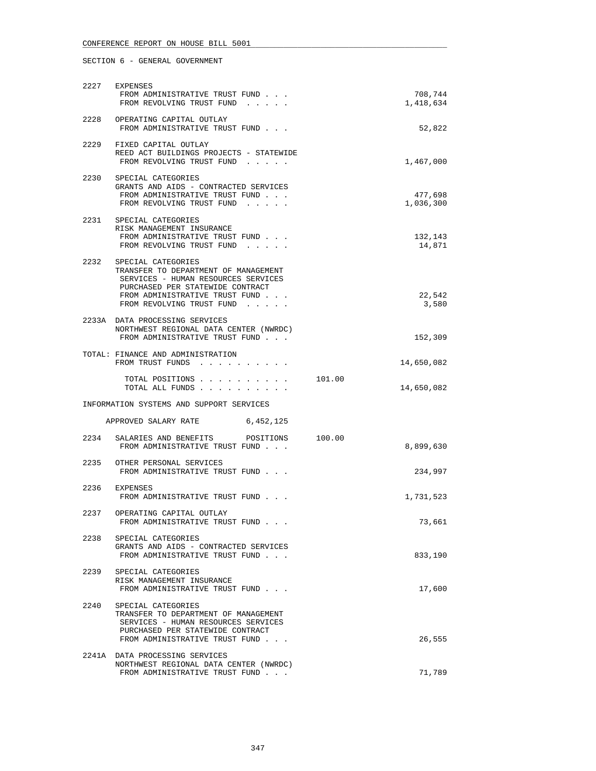|      | 2227 EXPENSES<br>FROM ADMINISTRATIVE TRUST FUND                                                                                                                                                           |        | 708,744              |
|------|-----------------------------------------------------------------------------------------------------------------------------------------------------------------------------------------------------------|--------|----------------------|
|      | FROM REVOLVING TRUST FUND                                                                                                                                                                                 |        | 1,418,634            |
|      | 2228 OPERATING CAPITAL OUTLAY<br>FROM ADMINISTRATIVE TRUST FUND                                                                                                                                           |        | 52,822               |
|      | 2229 FIXED CAPITAL OUTLAY<br>REED ACT BUILDINGS PROJECTS - STATEWIDE<br>FROM REVOLVING TRUST FUND                                                                                                         |        | 1,467,000            |
| 2230 | SPECIAL CATEGORIES<br>GRANTS AND AIDS - CONTRACTED SERVICES<br>FROM ADMINISTRATIVE TRUST FUND<br>FROM REVOLVING TRUST FUND                                                                                |        | 477,698<br>1,036,300 |
|      | 2231 SPECIAL CATEGORIES<br>RISK MANAGEMENT INSURANCE<br>FROM ADMINISTRATIVE TRUST FUND<br>FROM REVOLVING TRUST FUND                                                                                       |        | 132,143<br>14,871    |
|      | 2232 SPECIAL CATEGORIES<br>TRANSFER TO DEPARTMENT OF MANAGEMENT<br>SERVICES - HUMAN RESOURCES SERVICES<br>PURCHASED PER STATEWIDE CONTRACT<br>FROM ADMINISTRATIVE TRUST FUND<br>FROM REVOLVING TRUST FUND |        | 22,542<br>3,580      |
|      | 2233A DATA PROCESSING SERVICES<br>NORTHWEST REGIONAL DATA CENTER (NWRDC)<br>FROM ADMINISTRATIVE TRUST FUND                                                                                                |        | 152,309              |
|      | TOTAL: FINANCE AND ADMINISTRATION<br>FROM TRUST FUNDS                                                                                                                                                     |        | 14,650,082           |
|      | TOTAL POSITIONS 101.00<br>TOTAL ALL FUNDS                                                                                                                                                                 |        | 14,650,082           |
|      | INFORMATION SYSTEMS AND SUPPORT SERVICES                                                                                                                                                                  |        |                      |
|      | APPROVED SALARY RATE<br>6,452,125                                                                                                                                                                         |        |                      |
|      | 2234 SALARIES AND BENEFITS POSITIONS<br>FROM ADMINISTRATIVE TRUST FUND                                                                                                                                    | 100.00 | 8,899,630            |
|      | 2235 OTHER PERSONAL SERVICES<br>FROM ADMINISTRATIVE TRUST FUND                                                                                                                                            |        | 234,997              |
|      | 2236 EXPENSES<br>FROM ADMINISTRATIVE TRUST FUND                                                                                                                                                           |        | 1,731,523            |
|      | 2237 OPERATING CAPITAL OUTLAY<br>FROM ADMINISTRATIVE TRUST FUND                                                                                                                                           |        | 73,661               |
| 2238 | SPECIAL CATEGORIES<br>GRANTS AND AIDS - CONTRACTED SERVICES<br>FROM ADMINISTRATIVE TRUST FUND                                                                                                             |        | 833,190              |
|      | 2239 SPECIAL CATEGORIES<br>RISK MANAGEMENT INSURANCE<br>FROM ADMINISTRATIVE TRUST FUND                                                                                                                    |        | 17,600               |
| 2240 | SPECIAL CATEGORIES<br>TRANSFER TO DEPARTMENT OF MANAGEMENT<br>SERVICES - HUMAN RESOURCES SERVICES<br>PURCHASED PER STATEWIDE CONTRACT<br>FROM ADMINISTRATIVE TRUST FUND                                   |        | 26,555               |
|      | 2241A DATA PROCESSING SERVICES<br>NORTHWEST REGIONAL DATA CENTER (NWRDC)                                                                                                                                  |        |                      |
|      | FROM ADMINISTRATIVE TRUST FUND                                                                                                                                                                            |        | 71,789               |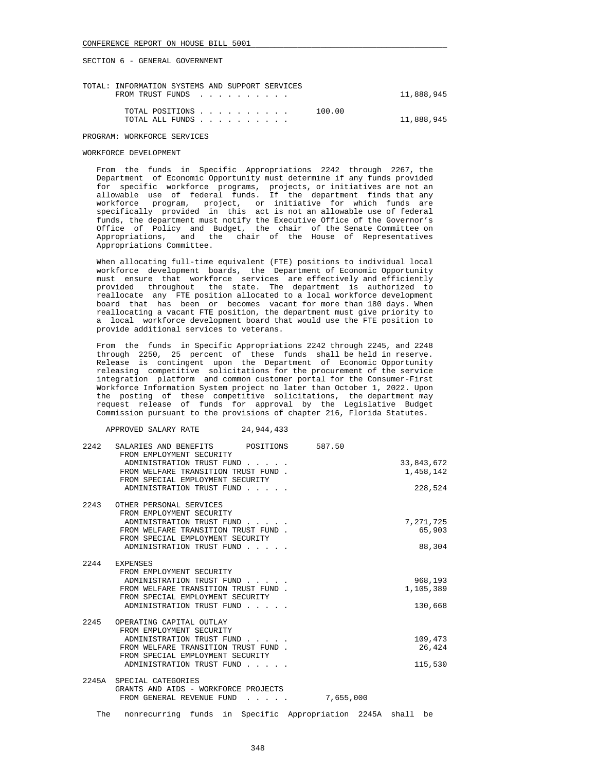| TOTAL: INFORMATION SYSTEMS AND SUPPORT SERVICES |  |        |            |
|-------------------------------------------------|--|--------|------------|
| FROM TRUST FUNDS                                |  |        | 11,888,945 |
|                                                 |  |        |            |
| TOTAL POSITIONS                                 |  | 100.00 |            |
| TOTAL ALL FUNDS                                 |  |        | 11,888,945 |
|                                                 |  |        |            |
| PROGRAM: WORKFORCE SERVICES                     |  |        |            |

### WORKFORCE DEVELOPMENT

 From the funds in Specific Appropriations 2242 through 2267, the Department of Economic Opportunity must determine if any funds provided for specific workforce programs, projects, or initiatives are not an allowable use of federal funds. If the department finds that any workforce program, project, or initiative for which funds are specifically provided in this act is not an allowable use of federal funds, the department must notify the Executive Office of the Governor's Office of Policy and Budget, the chair of the Senate Committee on Appropriations, and the chair of the House of Representatives Appropriations Committee.

 When allocating full-time equivalent (FTE) positions to individual local workforce development boards, the Department of Economic Opportunity must ensure that workforce services are effectively and efficiently provided throughout the state. The department is authorized to reallocate any FTE position allocated to a local workforce development board that has been or becomes vacant for more than 180 days. When reallocating a vacant FTE position, the department must give priority to a local workforce development board that would use the FTE position to provide additional services to veterans.

 From the funds in Specific Appropriations 2242 through 2245, and 2248 through 2250, 25 percent of these funds shall be held in reserve. Release is contingent upon the Department of Economic Opportunity releasing competitive solicitations for the procurement of the service integration platform and common customer portal for the Consumer-First Workforce Information System project no later than October 1, 2022. Upon the posting of these competitive solicitations, the department may request release of funds for approval by the Legislative Budget Commission pursuant to the provisions of chapter 216, Florida Statutes.

APPROVED SALARY RATE 24,944,433

| 2242 | SALARIES AND BENEFITS POSITIONS 587.50<br>FROM EMPLOYMENT SECURITY                                              |                         |
|------|-----------------------------------------------------------------------------------------------------------------|-------------------------|
|      | ADMINISTRATION TRUST FUND<br>FROM WELFARE TRANSITION TRUST FUND.<br>FROM SPECIAL EMPLOYMENT SECURITY            | 33,843,672<br>1,458,142 |
|      | ADMINISTRATION TRUST FUND                                                                                       | 228,524                 |
| 2243 | OTHER PERSONAL SERVICES<br>FROM EMPLOYMENT SECURITY                                                             |                         |
|      | ADMINISTRATION TRUST FUND                                                                                       | 7,271,725               |
|      | FROM WELFARE TRANSITION TRUST FUND.<br>FROM SPECIAL EMPLOYMENT SECURITY                                         | 65,903                  |
|      | ADMINISTRATION TRUST FUND                                                                                       | 88,304                  |
|      | 2244 EXPENSES                                                                                                   |                         |
|      | FROM EMPLOYMENT SECURITY                                                                                        |                         |
|      | ADMINISTRATION TRUST FUND                                                                                       | 968,193                 |
|      | FROM WELFARE TRANSITION TRUST FUND.<br>FROM SPECIAL EMPLOYMENT SECURITY                                         | 1,105,389               |
|      | ADMINISTRATION TRUST FUND                                                                                       | 130,668                 |
|      |                                                                                                                 |                         |
|      | 2245 OPERATING CAPITAL OUTLAY                                                                                   |                         |
|      | FROM EMPLOYMENT SECURITY<br>ADMINISTRATION TRUST FUND                                                           | 109,473                 |
|      | FROM WELFARE TRANSITION TRUST FUND.                                                                             | 26,424                  |
|      | FROM SPECIAL EMPLOYMENT SECURITY                                                                                |                         |
|      | ADMINISTRATION TRUST FUND                                                                                       | 115,530                 |
|      | 2245A SPECIAL CATEGORIES                                                                                        |                         |
|      | GRANTS AND AIDS - WORKFORCE PROJECTS<br>FROM GENERAL REVENUE FUND                                               | 7,655,000               |
|      |                                                                                                                 |                         |
|      | the contract of the contract of the contract of the contract of the contract of the contract of the contract of |                         |

The nonrecurring funds in Specific Appropriation 2245A shall be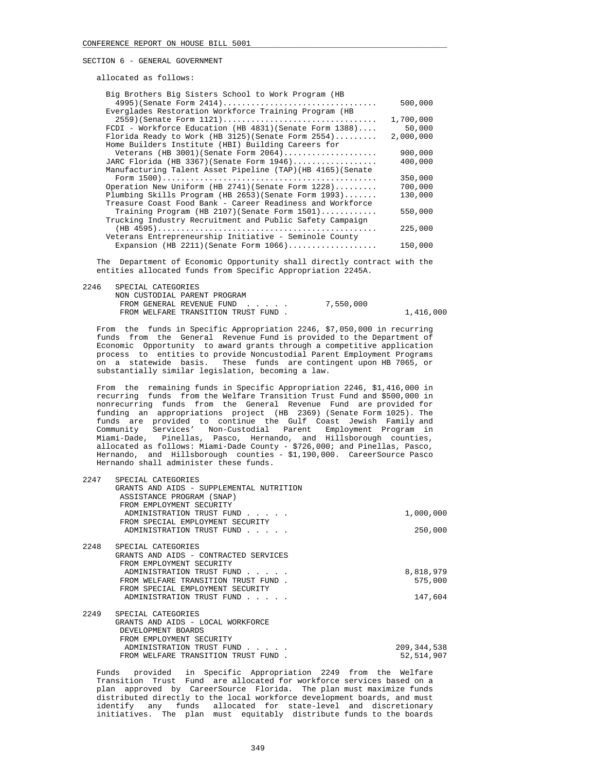allocated as follows:

| Big Brothers Big Sisters School to Work Program (HB         |           |
|-------------------------------------------------------------|-----------|
|                                                             | 500,000   |
| Everglades Restoration Workforce Training Program (HB       |           |
| $2559$ (Senate Form $1121$ )                                | 1,700,000 |
| FCDI - Workforce Education (HB 4831) (Senate Form 1388)     | 50,000    |
| Florida Ready to Work (HB $3125$ ) (Senate Form $2554)$     | 2,000,000 |
| Home Builders Institute (HBI) Building Careers for          |           |
| Veterans (HB 3001) (Senate Form $2064)$                     | 900,000   |
| JARC Florida (HB 3367) (Senate Form 1946)                   | 400,000   |
| Manufacturing Talent Asset Pipeline (TAP) (HB 4165) (Senate |           |
|                                                             | 350,000   |
| Operation New Uniform (HB 2741) (Senate Form 1228)          | 700,000   |
| Plumbing Skills Program (HB $2653$ ) (Senate Form $1993$ )  | 130,000   |
| Treasure Coast Food Bank - Career Readiness and Workforce   |           |
| Training Program (HB 2107) (Senate Form $1501)$             | 550,000   |
| Trucking Industry Recruitment and Public Safety Campaign    |           |
|                                                             | 225,000   |
| Veterans Entrepreneurship Initiative - Seminole County      |           |
| Expansion (HB 2211) (Senate Form $1066)$                    | 150,000   |
|                                                             |           |

 The Department of Economic Opportunity shall directly contract with the entities allocated funds from Specific Appropriation 2245A.

| 2246 | SPECIAL CATEGORIES |
|------|--------------------|
|      |                    |
|      |                    |

| -------- |                                     |           |           |
|----------|-------------------------------------|-----------|-----------|
|          | NON CUSTODIAL PARENT PROGRAM        |           |           |
|          | FROM GENERAL REVENUE FUND           | 7,550,000 |           |
|          | FROM WELFARE TRANSITION TRUST FUND. |           | 1,416,000 |

 From the funds in Specific Appropriation 2246, \$7,050,000 in recurring funds from the General Revenue Fund is provided to the Department of Economic Opportunity to award grants through a competitive application process to entities to provide Noncustodial Parent Employment Programs on a statewide basis. These funds are contingent upon HB 7065, or substantially similar legislation, becoming a law.

 From the remaining funds in Specific Appropriation 2246, \$1,416,000 in recurring funds from the Welfare Transition Trust Fund and \$500,000 in nonrecurring funds from the General Revenue Fund are provided for funding an appropriations project (HB 2369) (Senate Form 1025). The funds are provided to continue the Gulf Coast Jewish Family and Community Services' Non-Custodial Parent Employment Program in Miami-Dade, Pinellas, Pasco, Hernando, and Hillsborough counties, allocated as follows: Miami-Dade County - \$726,000; and Pinellas, Pasco, Hernando, and Hillsborough counties - \$1,190,000. CareerSource Pasco Hernando shall administer these funds.

| 2247 | SPECIAL CATEGORIES                       |               |
|------|------------------------------------------|---------------|
|      | GRANTS AND AIDS - SUPPLEMENTAL NUTRITION |               |
|      | ASSISTANCE PROGRAM (SNAP)                |               |
|      | FROM EMPLOYMENT SECURITY                 |               |
|      | ADMINISTRATION TRUST FUND                | 1,000,000     |
|      | FROM SPECIAL EMPLOYMENT SECURITY         |               |
|      | ADMINISTRATION TRUST FUND                | 250,000       |
| 2248 | SPECIAL CATEGORIES                       |               |
|      | GRANTS AND AIDS - CONTRACTED SERVICES    |               |
|      | FROM EMPLOYMENT SECURITY                 |               |
|      | ADMINISTRATION TRUST FUND                | 8,818,979     |
|      | FROM WELFARE TRANSITION TRUST FUND.      | 575,000       |
|      | FROM SPECIAL EMPLOYMENT SECURITY         |               |
|      | ADMINISTRATION TRUST FUND                | 147,604       |
| 2249 | SPECIAL CATEGORIES                       |               |
|      | GRANTS AND AIDS - LOCAL WORKFORCE        |               |
|      | DEVELOPMENT BOARDS                       |               |
|      | FROM EMPLOYMENT SECURITY                 |               |
|      | ADMINISTRATION TRUST FUND                | 209, 344, 538 |
|      | FROM WELFARE TRANSITION TRUST FUND       | 52,514,907    |

 Funds provided in Specific Appropriation 2249 from the Welfare Transition Trust Fund are allocated for workforce services based on a plan approved by CareerSource Florida. The plan must maximize funds distributed directly to the local workforce development boards, and must identify any funds allocated for state-level and discretionary initiatives. The plan must equitably distribute funds to the boards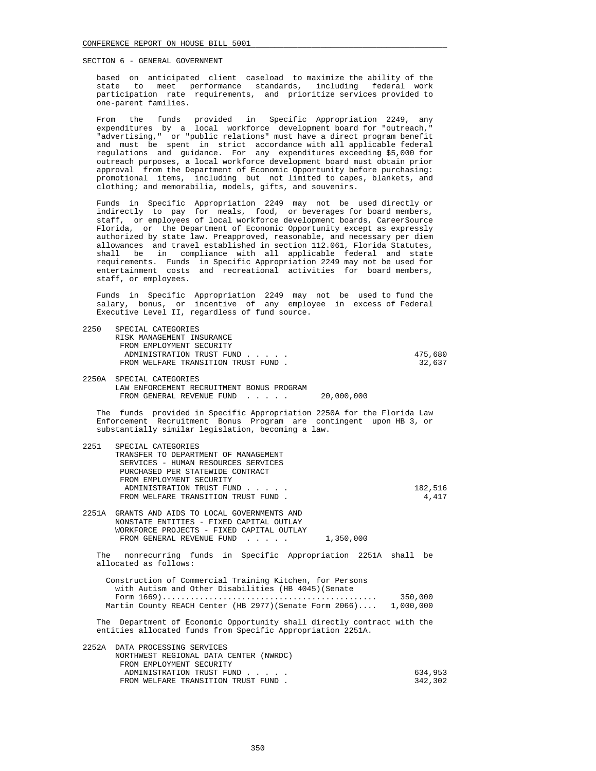based on anticipated client caseload to maximize the ability of the state to meet performance standards, including federal work participation rate requirements, and prioritize services provided to one-parent families.

 From the funds provided in Specific Appropriation 2249, any expenditures by a local workforce development board for "outreach," "advertising," or "public relations" must have a direct program benefit and must be spent in strict accordance with all applicable federal regulations and guidance. For any expenditures exceeding \$5,000 for outreach purposes, a local workforce development board must obtain prior approval from the Department of Economic Opportunity before purchasing: promotional items, including but not limited to capes, blankets, and clothing; and memorabilia, models, gifts, and souvenirs.

 Funds in Specific Appropriation 2249 may not be used directly or indirectly to pay for meals, food, or beverages for board members, staff, or employees of local workforce development boards, CareerSource Florida, or the Department of Economic Opportunity except as expressly authorized by state law. Preapproved, reasonable, and necessary per diem allowances and travel established in section 112.061, Florida Statutes, shall be in compliance with all applicable federal and state requirements. Funds in Specific Appropriation 2249 may not be used for entertainment costs and recreational activities for board members, staff, or employees.

 Funds in Specific Appropriation 2249 may not be used to fund the salary, bonus, or incentive of any employee in excess of Federal Executive Level II, regardless of fund source.

| 2250 | SPECIAL CATEGORIES<br>RISK MANAGEMENT INSURANCE<br>FROM EMPLOYMENT SECURITY<br>ADMINISTRATION TRUST FUND<br>FROM WELFARE TRANSITION TRUST FUND.                                                                                       | 475,680<br>32,637  |
|------|---------------------------------------------------------------------------------------------------------------------------------------------------------------------------------------------------------------------------------------|--------------------|
|      | 2250A SPECIAL CATEGORIES<br>LAW ENFORCEMENT RECRUITMENT BONUS PROGRAM<br>FROM GENERAL REVENUE FUND<br>20,000,000                                                                                                                      |                    |
|      | The funds provided in Specific Appropriation 2250A for the Florida Law<br>Enforcement Recruitment Bonus Program are contingent upon HB 3, or<br>substantially similar legislation, becoming a law.                                    |                    |
| 2251 | SPECIAL CATEGORIES<br>TRANSFER TO DEPARTMENT OF MANAGEMENT<br>SERVICES - HUMAN RESOURCES SERVICES<br>PURCHASED PER STATEWIDE CONTRACT<br>FROM EMPLOYMENT SECURITY<br>ADMINISTRATION TRUST FUND<br>FROM WELFARE TRANSITION TRUST FUND. | 182,516<br>4,417   |
|      | 2251A GRANTS AND AIDS TO LOCAL GOVERNMENTS AND<br>NONSTATE ENTITIES - FIXED CAPITAL OUTLAY<br>WORKFORCE PROJECTS - FIXED CAPITAL OUTLAY<br>FROM GENERAL REVENUE FUND<br>1,350,000                                                     |                    |
|      | The nonrecurring funds in Specific Appropriation 2251A shall be<br>allocated as follows:                                                                                                                                              |                    |
|      | Construction of Commercial Training Kitchen, for Persons<br>with Autism and Other Disabilities (HB 4045) (Senate<br>Martin County REACH Center (HB 2977) (Senate Form 2066) 1,000,000                                                 | 350,000            |
|      | The Department of Economic Opportunity shall directly contract with the<br>entities allocated funds from Specific Appropriation 2251A.                                                                                                |                    |
|      | 2252A DATA PROCESSING SERVICES<br>NORTHWEST REGIONAL DATA CENTER (NWRDC)<br>FROM EMPLOYMENT SECURITY                                                                                                                                  |                    |
|      | ADMINISTRATION TRUST FUND<br>FROM WELFARE TRANSITION TRUST FUND.                                                                                                                                                                      | 634,953<br>342,302 |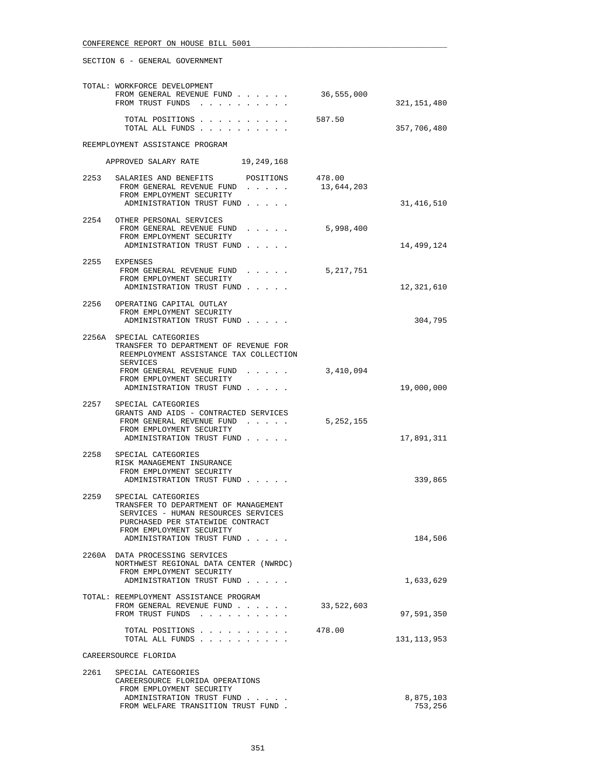|                      | TOTAL: WORKFORCE DEVELOPMENT<br>FROM GENERAL REVENUE FUND<br>FROM TRUST FUNDS                                                                                                                  | 36,555,000           | 321,151,480              |  |
|----------------------|------------------------------------------------------------------------------------------------------------------------------------------------------------------------------------------------|----------------------|--------------------------|--|
|                      | TOTAL POSITIONS<br>TOTAL ALL FUNDS                                                                                                                                                             | 587.50               | 357,706,480              |  |
|                      | REEMPLOYMENT ASSISTANCE PROGRAM                                                                                                                                                                |                      |                          |  |
|                      | APPROVED SALARY RATE 19,249,168                                                                                                                                                                |                      |                          |  |
| 2253                 | SALARIES AND BENEFITS<br>POSITIONS<br>FROM GENERAL REVENUE FUND<br>FROM EMPLOYMENT SECURITY<br>ADMINISTRATION TRUST FUND                                                                       | 478.00<br>13,644,203 | 31,416,510               |  |
|                      | 2254 OTHER PERSONAL SERVICES<br>FROM GENERAL REVENUE FUND<br>.<br>FROM EMPLOYMENT SECURITY<br>ADMINISTRATION TRUST FUND                                                                        | 5,998,400            | 14,499,124               |  |
|                      | 2255 EXPENSES<br>FROM GENERAL REVENUE FUND<br>FROM EMPLOYMENT SECURITY<br>ADMINISTRATION TRUST FUND                                                                                            | 5,217,751            | 12,321,610               |  |
|                      | 2256 OPERATING CAPITAL OUTLAY<br>FROM EMPLOYMENT SECURITY<br>ADMINISTRATION TRUST FUND                                                                                                         |                      | 304,795                  |  |
|                      | 2256A SPECIAL CATEGORIES<br>TRANSFER TO DEPARTMENT OF REVENUE FOR<br>REEMPLOYMENT ASSISTANCE TAX COLLECTION<br>SERVICES<br>FROM GENERAL REVENUE FUND<br>FROM EMPLOYMENT SECURITY               | 3,410,094            |                          |  |
|                      | ADMINISTRATION TRUST FUND<br>2257 SPECIAL CATEGORIES<br>GRANTS AND AIDS - CONTRACTED SERVICES<br>FROM GENERAL REVENUE FUND<br>FROM EMPLOYMENT SECURITY<br>ADMINISTRATION TRUST FUND            | 5, 252, 155          | 19,000,000<br>17,891,311 |  |
|                      | 2258 SPECIAL CATEGORIES<br>RISK MANAGEMENT INSURANCE<br>FROM EMPLOYMENT SECURITY<br>ADMINISTRATION TRUST FUND                                                                                  |                      | 339,865                  |  |
| 2259                 | SPECIAL CATEGORIES<br>TRANSFER TO DEPARTMENT OF MANAGEMENT<br>SERVICES - HUMAN RESOURCES SERVICES<br>PURCHASED PER STATEWIDE CONTRACT<br>FROM EMPLOYMENT SECURITY<br>ADMINISTRATION TRUST FUND |                      | 184,506                  |  |
|                      | 2260A DATA PROCESSING SERVICES<br>NORTHWEST REGIONAL DATA CENTER (NWRDC)<br>FROM EMPLOYMENT SECURITY<br>ADMINISTRATION TRUST FUND.                                                             |                      | 1,633,629                |  |
|                      | TOTAL: REEMPLOYMENT ASSISTANCE PROGRAM<br>FROM GENERAL REVENUE FUND<br>FROM TRUST FUNDS                                                                                                        | 33,522,603           | 97,591,350               |  |
|                      | TOTAL POSITIONS<br>TOTAL ALL FUNDS                                                                                                                                                             | 478.00               | 131, 113, 953            |  |
| CAREERSOURCE FLORIDA |                                                                                                                                                                                                |                      |                          |  |
| 2261                 | SPECIAL CATEGORIES<br>CAREERSOURCE FLORIDA OPERATIONS<br>FROM EMPLOYMENT SECURITY<br>ADMINISTRATION TRUST FUND<br>FROM WELFARE TRANSITION TRUST FUND.                                          |                      | 8,875,103<br>753,256     |  |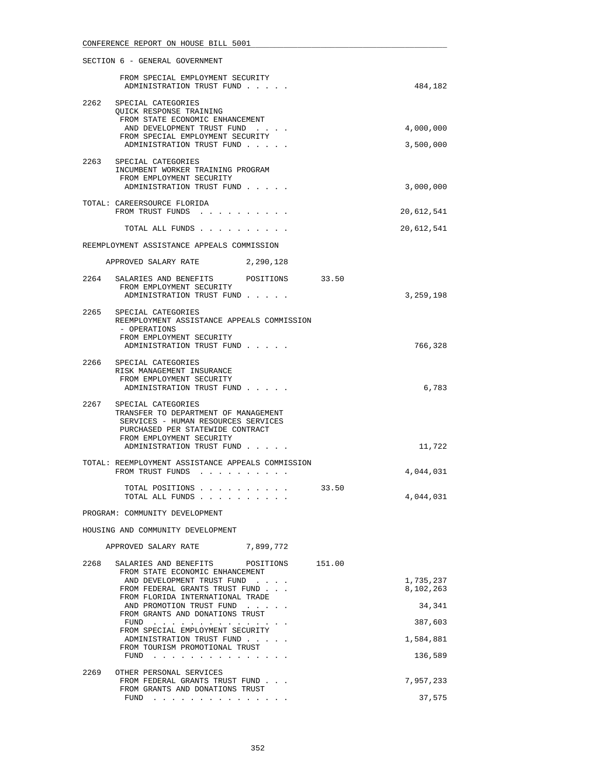|      | SECTION 6 - GENERAL GOVERNMENT                                                                                                                                                                                                                                           |        |                        |
|------|--------------------------------------------------------------------------------------------------------------------------------------------------------------------------------------------------------------------------------------------------------------------------|--------|------------------------|
|      | FROM SPECIAL EMPLOYMENT SECURITY<br>ADMINISTRATION TRUST FUND                                                                                                                                                                                                            |        | 484,182                |
| 2262 | SPECIAL CATEGORIES<br>QUICK RESPONSE TRAINING<br>FROM STATE ECONOMIC ENHANCEMENT<br>AND DEVELOPMENT TRUST FUND<br>FROM SPECIAL EMPLOYMENT SECURITY<br>ADMINISTRATION TRUST FUND                                                                                          |        | 4,000,000<br>3,500,000 |
|      | 2263 SPECIAL CATEGORIES<br>INCUMBENT WORKER TRAINING PROGRAM<br>FROM EMPLOYMENT SECURITY<br>ADMINISTRATION TRUST FUND                                                                                                                                                    |        | 3,000,000              |
|      | TOTAL: CAREERSOURCE FLORIDA<br>FROM TRUST FUNDS                                                                                                                                                                                                                          |        | 20,612,541             |
|      | TOTAL ALL FUNDS                                                                                                                                                                                                                                                          |        | 20,612,541             |
|      | REEMPLOYMENT ASSISTANCE APPEALS COMMISSION                                                                                                                                                                                                                               |        |                        |
|      | APPROVED SALARY RATE 2,290,128                                                                                                                                                                                                                                           |        |                        |
|      | 2264 SALARIES AND BENEFITS POSITIONS 33.50<br>FROM EMPLOYMENT SECURITY                                                                                                                                                                                                   |        |                        |
|      | ADMINISTRATION TRUST FUND                                                                                                                                                                                                                                                |        | 3,259,198              |
|      | 2265 SPECIAL CATEGORIES<br>REEMPLOYMENT ASSISTANCE APPEALS COMMISSION<br>- OPERATIONS<br>FROM EMPLOYMENT SECURITY                                                                                                                                                        |        |                        |
|      | ADMINISTRATION TRUST FUND                                                                                                                                                                                                                                                |        | 766,328                |
|      | 2266 SPECIAL CATEGORIES<br>RISK MANAGEMENT INSURANCE<br>FROM EMPLOYMENT SECURITY<br>ADMINISTRATION TRUST FUND                                                                                                                                                            |        | 6,783                  |
| 2267 | SPECIAL CATEGORIES<br>TRANSFER TO DEPARTMENT OF MANAGEMENT<br>SERVICES - HUMAN RESOURCES SERVICES<br>PURCHASED PER STATEWIDE CONTRACT<br>FROM EMPLOYMENT SECURITY<br>ADMINISTRATION TRUST FUND                                                                           |        | 11,722                 |
|      | TOTAL: REEMPLOYMENT ASSISTANCE APPEALS COMMISSION<br>FROM TRUST FUNDS                                                                                                                                                                                                    |        | 4,044,031              |
|      | TOTAL POSITIONS<br>TOTAL ALL FUNDS                                                                                                                                                                                                                                       | 33.50  | 4,044,031              |
|      | PROGRAM: COMMUNITY DEVELOPMENT                                                                                                                                                                                                                                           |        |                        |
|      | HOUSING AND COMMUNITY DEVELOPMENT                                                                                                                                                                                                                                        |        |                        |
|      | 7,899,772<br>APPROVED SALARY RATE                                                                                                                                                                                                                                        |        |                        |
| 2268 | SALARIES AND BENEFITS<br>POSITIONS<br>FROM STATE ECONOMIC ENHANCEMENT                                                                                                                                                                                                    | 151.00 |                        |
|      | AND DEVELOPMENT TRUST FUND<br>FROM FEDERAL GRANTS TRUST FUND                                                                                                                                                                                                             |        | 1,735,237<br>8,102,263 |
|      | FROM FLORIDA INTERNATIONAL TRADE<br>AND PROMOTION TRUST FUND                                                                                                                                                                                                             |        | 34,341                 |
|      | FROM GRANTS AND DONATIONS TRUST<br>FUND                                                                                                                                                                                                                                  |        | 387,603                |
|      | FROM SPECIAL EMPLOYMENT SECURITY<br>ADMINISTRATION TRUST FUND                                                                                                                                                                                                            |        | 1,584,881              |
|      | FROM TOURISM PROMOTIONAL TRUST<br>FUND<br>and the contract of the contract of the contract of the contract of the contract of the contract of the contract of the contract of the contract of the contract of the contract of the contract of the contract of the contra |        | 136,589                |
| 2269 | OTHER PERSONAL SERVICES<br>FROM FEDERAL GRANTS TRUST FUND                                                                                                                                                                                                                |        | 7,957,233              |
|      | FROM GRANTS AND DONATIONS TRUST<br>FUND $\cdots$                                                                                                                                                                                                                         |        | 37,575                 |
|      |                                                                                                                                                                                                                                                                          |        |                        |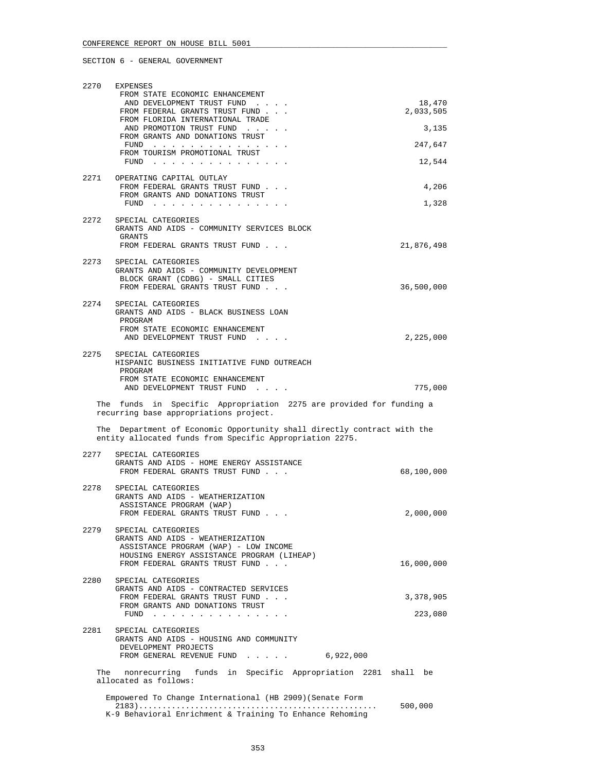| 2270 | EXPENSES                                                                                                                            |            |
|------|-------------------------------------------------------------------------------------------------------------------------------------|------------|
|      | FROM STATE ECONOMIC ENHANCEMENT<br>AND DEVELOPMENT TRUST FUND                                                                       | 18,470     |
|      | FROM FEDERAL GRANTS TRUST FUND<br>FROM FLORIDA INTERNATIONAL TRADE                                                                  | 2,033,505  |
|      | AND PROMOTION TRUST FUND<br>FROM GRANTS AND DONATIONS TRUST                                                                         | 3,135      |
|      |                                                                                                                                     | 247,647    |
|      | FROM TOURISM PROMOTIONAL TRUST<br>FUND $\ldots$                                                                                     | 12,544     |
|      | 2271 OPERATING CAPITAL OUTLAY                                                                                                       |            |
|      | FROM FEDERAL GRANTS TRUST FUND<br>FROM GRANTS AND DONATIONS TRUST                                                                   | 4,206      |
|      | FUND                                                                                                                                | 1,328      |
| 2272 | SPECIAL CATEGORIES<br>GRANTS AND AIDS - COMMUNITY SERVICES BLOCK<br>GRANTS                                                          |            |
|      | FROM FEDERAL GRANTS TRUST FUND                                                                                                      | 21,876,498 |
|      | 2273 SPECIAL CATEGORIES                                                                                                             |            |
|      | GRANTS AND AIDS - COMMUNITY DEVELOPMENT<br>BLOCK GRANT (CDBG) - SMALL CITIES                                                        |            |
|      | FROM FEDERAL GRANTS TRUST FUND                                                                                                      | 36,500,000 |
|      | 2274 SPECIAL CATEGORIES                                                                                                             |            |
|      | GRANTS AND AIDS - BLACK BUSINESS LOAN<br>PROGRAM                                                                                    |            |
|      | FROM STATE ECONOMIC ENHANCEMENT<br>AND DEVELOPMENT TRUST FUND                                                                       | 2,225,000  |
|      |                                                                                                                                     |            |
| 2275 | SPECIAL CATEGORIES<br>HISPANIC BUSINESS INITIATIVE FUND OUTREACH                                                                    |            |
|      | PROGRAM<br>FROM STATE ECONOMIC ENHANCEMENT                                                                                          |            |
|      | AND DEVELOPMENT TRUST FUND                                                                                                          | 775,000    |
|      |                                                                                                                                     |            |
|      | The funds in Specific Appropriation 2275 are provided for funding a                                                                 |            |
|      | recurring base appropriations project.                                                                                              |            |
|      | The Department of Economic Opportunity shall directly contract with the<br>entity allocated funds from Specific Appropriation 2275. |            |
| 2277 | SPECIAL CATEGORIES                                                                                                                  |            |
|      | GRANTS AND AIDS - HOME ENERGY ASSISTANCE<br>FROM FEDERAL GRANTS TRUST FUND                                                          | 68,100,000 |
|      |                                                                                                                                     |            |
| 2278 | SPECIAL CATEGORIES<br>GRANTS AND AIDS - WEATHERIZATION                                                                              |            |
|      | ASSISTANCE PROGRAM (WAP)                                                                                                            |            |
|      | FROM FEDERAL GRANTS TRUST FUND                                                                                                      | 2,000,000  |
|      | 2279 SPECIAL CATEGORIES<br>GRANTS AND AIDS - WEATHERIZATION                                                                         |            |
|      | ASSISTANCE PROGRAM (WAP) - LOW INCOME                                                                                               |            |
|      | HOUSING ENERGY ASSISTANCE PROGRAM (LIHEAP)<br>FROM FEDERAL GRANTS TRUST FUND                                                        | 16,000,000 |
| 2280 | SPECIAL CATEGORIES                                                                                                                  |            |
|      | GRANTS AND AIDS - CONTRACTED SERVICES                                                                                               |            |
|      | FROM FEDERAL GRANTS TRUST FUND<br>FROM GRANTS AND DONATIONS TRUST                                                                   | 3,378,905  |
|      | FUND                                                                                                                                | 223,080    |
|      | 2281 SPECIAL CATEGORIES                                                                                                             |            |
|      | GRANTS AND AIDS - HOUSING AND COMMUNITY<br>DEVELOPMENT PROJECTS                                                                     |            |
|      | FROM GENERAL REVENUE FUND 6,922,000                                                                                                 |            |
|      | The nonrecurring funds in Specific Appropriation 2281 shall be<br>allocated as follows:                                             |            |
|      | Empowered To Change International (HB 2909) (Senate Form                                                                            |            |
|      | K-9 Behavioral Enrichment & Training To Enhance Rehoming                                                                            | 500,000    |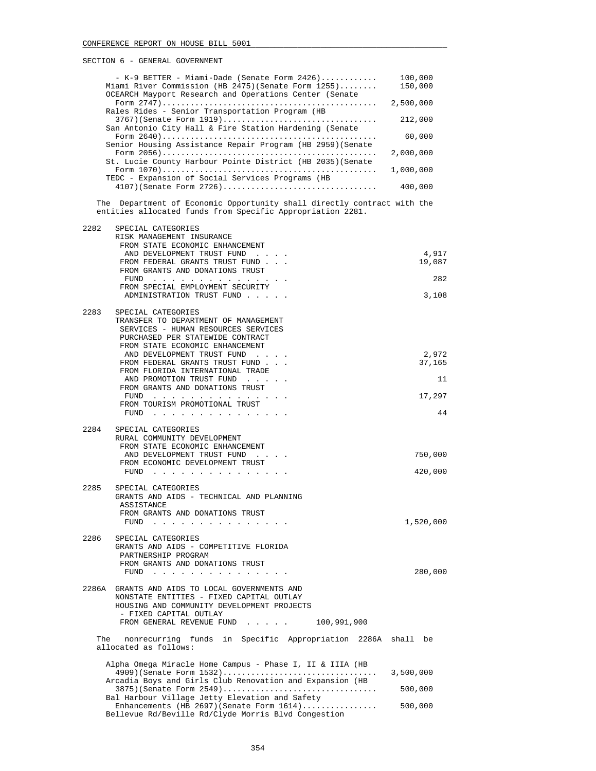|       | $-$ K-9 BETTER - Miami-Dade (Senate Form 2426)<br>Miami River Commission (HB 2475) (Senate Form 1255)<br>OCEARCH Mayport Research and Operations Center (Senate | 100,000<br>150,000 |
|-------|-----------------------------------------------------------------------------------------------------------------------------------------------------------------|--------------------|
|       | Rales Rides - Senior Transportation Program (HB                                                                                                                 | 2,500,000          |
|       | San Antonio City Hall & Fire Station Hardening (Senate                                                                                                          | 212,000            |
|       | Senior Housing Assistance Repair Program (HB 2959) (Senate                                                                                                      | 60,000             |
|       |                                                                                                                                                                 | 2,000,000          |
|       | St. Lucie County Harbour Pointe District (HB 2035) (Senate                                                                                                      | 1,000,000          |
|       | TEDC - Expansion of Social Services Programs (HB                                                                                                                | 400,000            |
|       | The Department of Economic Opportunity shall directly contract with the<br>entities allocated funds from Specific Appropriation 2281.                           |                    |
| 2282  | SPECIAL CATEGORIES                                                                                                                                              |                    |
|       | RISK MANAGEMENT INSURANCE<br>FROM STATE ECONOMIC ENHANCEMENT                                                                                                    |                    |
|       | AND DEVELOPMENT TRUST FUND<br>FROM FEDERAL GRANTS TRUST FUND                                                                                                    | 4,917<br>19,087    |
|       | FROM GRANTS AND DONATIONS TRUST<br>FUND                                                                                                                         | 282                |
|       | FROM SPECIAL EMPLOYMENT SECURITY<br>ADMINISTRATION TRUST FUND                                                                                                   | 3,108              |
| 2283  | SPECIAL CATEGORIES                                                                                                                                              |                    |
|       | TRANSFER TO DEPARTMENT OF MANAGEMENT<br>SERVICES - HUMAN RESOURCES SERVICES                                                                                     |                    |
|       | PURCHASED PER STATEWIDE CONTRACT                                                                                                                                |                    |
|       | FROM STATE ECONOMIC ENHANCEMENT<br>AND DEVELOPMENT TRUST FUND                                                                                                   | 2,972              |
|       | FROM FEDERAL GRANTS TRUST FUND                                                                                                                                  | 37,165             |
|       | FROM FLORIDA INTERNATIONAL TRADE<br>AND PROMOTION TRUST FUND                                                                                                    | 11                 |
|       | FROM GRANTS AND DONATIONS TRUST<br>FUND                                                                                                                         | 17,297             |
|       | FROM TOURISM PROMOTIONAL TRUST                                                                                                                                  | 44                 |
|       | FUND $\cdots$                                                                                                                                                   |                    |
| 2284  | SPECIAL CATEGORIES<br>RURAL COMMUNITY DEVELOPMENT                                                                                                               |                    |
|       | FROM STATE ECONOMIC ENHANCEMENT                                                                                                                                 |                    |
|       | AND DEVELOPMENT TRUST FUND<br>FROM ECONOMIC DEVELOPMENT TRUST                                                                                                   | 750,000            |
|       | FUND<br>the contract of the contract of the contract of the contract of the contract of the contract of the contract of                                         | 420,000            |
| 2285  | SPECIAL CATEGORIES                                                                                                                                              |                    |
|       | GRANTS AND AIDS - TECHNICAL AND PLANNING<br>ASSISTANCE                                                                                                          |                    |
|       | FROM GRANTS AND DONATIONS TRUST                                                                                                                                 |                    |
|       | <b>FUND</b>                                                                                                                                                     | 1,520,000          |
| 2286  | SPECIAL CATEGORIES<br>GRANTS AND AIDS - COMPETITIVE FLORIDA                                                                                                     |                    |
|       | PARTNERSHIP PROGRAM                                                                                                                                             |                    |
|       | FROM GRANTS AND DONATIONS TRUST<br>FUND<br>the contract of the contract of the contract of                                                                      | 280,000            |
| 2286A | GRANTS AND AIDS TO LOCAL GOVERNMENTS AND                                                                                                                        |                    |
|       | NONSTATE ENTITIES - FIXED CAPITAL OUTLAY                                                                                                                        |                    |
|       | HOUSING AND COMMUNITY DEVELOPMENT PROJECTS<br>- FIXED CAPITAL OUTLAY                                                                                            |                    |
|       | FROM GENERAL REVENUE FUND<br>100,991,900                                                                                                                        |                    |
| The   | nonrecurring funds in Specific Appropriation 2286A<br>allocated as follows:                                                                                     | shall be           |
|       | Alpha Omega Miracle Home Campus - Phase I, II & IIIA (HB                                                                                                        |                    |
|       | $4909$ (Senate Form $1532$ )<br>Arcadia Boys and Girls Club Renovation and Expansion (HB                                                                        | 3,500,000          |
|       | $3875$ (Senate Form $2549)$                                                                                                                                     | 500,000            |
|       | Bal Harbour Village Jetty Elevation and Safety<br>Enhancements (HB 2697) (Senate Form $1614)$                                                                   | 500,000            |

Bellevue Rd/Beville Rd/Clyde Morris Blvd Congestion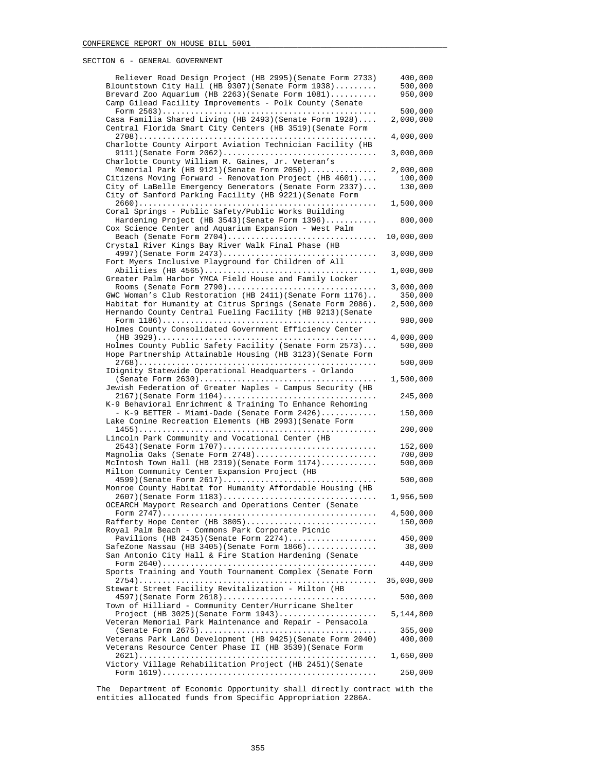| Reliever Road Design Project (HB 2995) (Senate Form 2733)                                                               | 400,000    |
|-------------------------------------------------------------------------------------------------------------------------|------------|
| Blountstown City Hall (HB 9307) (Senate Form 1938)                                                                      | 500,000    |
| Brevard Zoo Aquarium (HB 2263) (Senate Form 1081)<br>Camp Gilead Facility Improvements - Polk County (Senate            | 950,000    |
|                                                                                                                         | 500,000    |
| Casa Familia Shared Living (HB 2493) (Senate Form 1928)                                                                 | 2,000,000  |
| Central Florida Smart City Centers (HB 3519) (Senate Form                                                               |            |
|                                                                                                                         | 4,000,000  |
| Charlotte County Airport Aviation Technician Facility (HB                                                               | 3,000,000  |
| Charlotte County William R. Gaines, Jr. Veteran's                                                                       |            |
| Memorial Park (HB 9121) (Senate Form 2050)                                                                              | 2,000,000  |
| Citizens Moving Forward - Renovation Project (HB 4601)                                                                  | 100,000    |
| City of LaBelle Emergency Generators (Senate Form 2337)<br>City of Sanford Parking Facility (HB 9221) (Senate Form      | 130,000    |
|                                                                                                                         | 1,500,000  |
| Coral Springs - Public Safety/Public Works Building                                                                     |            |
| Hardening Project (HB 3543) (Senate Form 1396)                                                                          | 800,000    |
| Cox Science Center and Aquarium Expansion - West Palm<br>Beach (Senate Form $2704)$                                     | 10,000,000 |
| Crystal River Kings Bay River Walk Final Phase (HB                                                                      |            |
| 4997) (Senate Form 2473)                                                                                                | 3,000,000  |
| Fort Myers Inclusive Playground for Children of All                                                                     |            |
|                                                                                                                         | 1,000,000  |
| Greater Palm Harbor YMCA Field House and Family Locker<br>Rooms (Senate Form 2790)                                      | 3,000,000  |
| GWC Woman's Club Restoration (HB 2411) (Senate Form 1176)                                                               | 350,000    |
| Habitat for Humanity at Citrus Springs (Senate Form 2086).                                                              | 2,500,000  |
| Hernando County Central Fueling Facility (HB 9213) (Senate                                                              |            |
|                                                                                                                         | 980,000    |
| Holmes County Consolidated Government Efficiency Center                                                                 | 4,000,000  |
| Holmes County Public Safety Facility (Senate Form 2573)                                                                 | 500,000    |
| Hope Partnership Attainable Housing (HB 3123) (Senate Form                                                              |            |
|                                                                                                                         | 500,000    |
| IDignity Statewide Operational Headquarters - Orlando                                                                   | 1,500,000  |
| Jewish Federation of Greater Naples - Campus Security (HB                                                               |            |
| 2167)(Senate Form 1104)                                                                                                 | 245,000    |
| K-9 Behavioral Enrichment & Training To Enhance Rehoming                                                                |            |
| - K-9 BETTER - Miami-Dade (Senate Form 2426)<br>Lake Conine Recreation Elements (HB 2993) (Senate Form                  | 150,000    |
|                                                                                                                         | 200,000    |
| Lincoln Park Community and Vocational Center (HB                                                                        |            |
| 2543) (Senate Form 1707)                                                                                                | 152,600    |
| Magnolia Oaks (Senate Form 2748)                                                                                        | 700,000    |
| McIntosh Town Hall (HB 2319) (Senate Form $1174$ )<br>Milton Community Center Expansion Project (HB                     | 500,000    |
| 4599)(Senate Form 2617)                                                                                                 | 500,000    |
| Monroe County Habitat for Humanity Affordable Housing (HB                                                               |            |
| 2607) (Senate Form 1183)                                                                                                | 1,956,500  |
| OCEARCH Mayport Research and Operations Center (Senate                                                                  | 4,500,000  |
| Rafferty Hope Center (HB 3805)                                                                                          | 150,000    |
| Royal Palm Beach - Commons Park Corporate Picnic                                                                        |            |
| Pavilions (HB 2435) (Senate Form $2274$ )                                                                               | 450,000    |
| SafeZone Nassau (HB 3405) (Senate Form $1866)$<br>San Antonio City Hall & Fire Station Hardening (Senate                | 38,000     |
|                                                                                                                         | 440,000    |
| Sports Training and Youth Tournament Complex (Senate Form                                                               |            |
|                                                                                                                         | 35,000,000 |
| Stewart Street Facility Revitalization - Milton (HB                                                                     |            |
| $4597$ (Senate Form $2618$ )<br>Town of Hilliard - Community Center/Hurricane Shelter                                   | 500,000    |
| Project (HB 3025) (Senate Form $1943)$                                                                                  | 5,144,800  |
| Veteran Memorial Park Maintenance and Repair - Pensacola                                                                |            |
|                                                                                                                         | 355,000    |
| Veterans Park Land Development (HB 9425) (Senate Form 2040)<br>Veterans Resource Center Phase II (HB 3539) (Senate Form | 400,000    |
|                                                                                                                         | 1,650,000  |
| Victory Village Rehabilitation Project (HB 2451) (Senate                                                                |            |
|                                                                                                                         | 250,000    |
|                                                                                                                         |            |

 The Department of Economic Opportunity shall directly contract with the entities allocated funds from Specific Appropriation 2286A.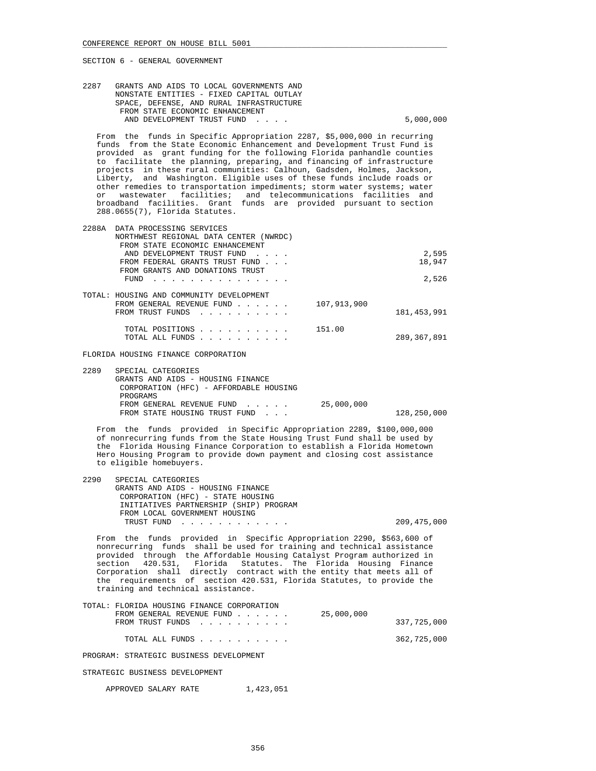| 2287 | GRANTS AND AIDS TO LOCAL GOVERNMENTS AND |           |
|------|------------------------------------------|-----------|
|      | NONSTATE ENTITIES - FIXED CAPITAL OUTLAY |           |
|      | SPACE, DEFENSE, AND RURAL INFRASTRUCTURE |           |
|      | FROM STATE ECONOMIC ENHANCEMENT          |           |
|      | AND DEVELOPMENT TRUST FUND               | 5,000,000 |
|      |                                          |           |

 From the funds in Specific Appropriation 2287, \$5,000,000 in recurring funds from the State Economic Enhancement and Development Trust Fund is provided as grant funding for the following Florida panhandle counties to facilitate the planning, preparing, and financing of infrastructure projects in these rural communities: Calhoun, Gadsden, Holmes, Jackson, Liberty, and Washington. Eligible uses of these funds include roads or other remedies to transportation impediments; storm water systems; water or wastewater facilities; and telecommunications facilities and broadband facilities. Grant funds are provided pursuant to section 288.0655(7), Florida Statutes.

| 2288A | DATA PROCESSING SERVICES                 |               |
|-------|------------------------------------------|---------------|
|       | NORTHWEST REGIONAL DATA CENTER (NWRDC)   |               |
|       | FROM STATE ECONOMIC ENHANCEMENT          |               |
|       | AND DEVELOPMENT TRUST FUND               | 2,595         |
|       | FROM FEDERAL GRANTS TRUST FUND           | 18,947        |
|       | FROM GRANTS AND DONATIONS TRUST          |               |
|       | FUND                                     | 2,526         |
|       |                                          |               |
|       | TOTAL: HOUSING AND COMMUNITY DEVELOPMENT |               |
|       | 107,913,900<br>FROM GENERAL REVENUE FUND |               |
|       | FROM TRUST FUNDS                         | 181, 453, 991 |
|       |                                          |               |
|       | 151.00<br>TOTAL POSITIONS                |               |
|       | TOTAL ALL FUNDS                          | 289,367,891   |
|       |                                          |               |

FLORIDA HOUSING FINANCE CORPORATION

| 2289 | SPECIAL CATEGORIES                     |            |             |
|------|----------------------------------------|------------|-------------|
|      | GRANTS AND AIDS - HOUSING FINANCE      |            |             |
|      | CORPORATION (HFC) - AFFORDABLE HOUSING |            |             |
|      | PROGRAMS                               |            |             |
|      | FROM GENERAL REVENUE FUND              | 25,000,000 |             |
|      | FROM STATE HOUSING TRUST FUND          |            | 128,250,000 |
|      |                                        |            |             |

 From the funds provided in Specific Appropriation 2289, \$100,000,000 of nonrecurring funds from the State Housing Trust Fund shall be used by the Florida Housing Finance Corporation to establish a Florida Hometown Hero Housing Program to provide down payment and closing cost assistance to eligible homebuyers.

| 2290 | SPECIAL CATEGORIES                     |             |
|------|----------------------------------------|-------------|
|      | GRANTS AND AIDS - HOUSING FINANCE      |             |
|      | CORPORATION (HFC) - STATE HOUSING      |             |
|      | INITIATIVES PARTNERSHIP (SHIP) PROGRAM |             |
|      | FROM LOCAL GOVERNMENT HOUSING          |             |
|      | TRUST FUND                             | 209,475,000 |
|      |                                        |             |

 From the funds provided in Specific Appropriation 2290, \$563,600 of nonrecurring funds shall be used for training and technical assistance provided through the Affordable Housing Catalyst Program authorized in section 420.531, Florida Statutes. The Florida Housing Finance Corporation shall directly contract with the entity that meets all of the requirements of section 420.531, Florida Statutes, to provide the training and technical assistance.

| TOTAL: FLORIDA HOUSING FINANCE CORPORATION |             |
|--------------------------------------------|-------------|
| 25,000,000<br>FROM GENERAL REVENUE FUND    |             |
| FROM TRUST FUNDS                           | 337,725,000 |
|                                            |             |
| TOTAL ALL FUNDS                            | 362,725,000 |
|                                            |             |

PROGRAM: STRATEGIC BUSINESS DEVELOPMENT

STRATEGIC BUSINESS DEVELOPMENT

APPROVED SALARY RATE 1,423,051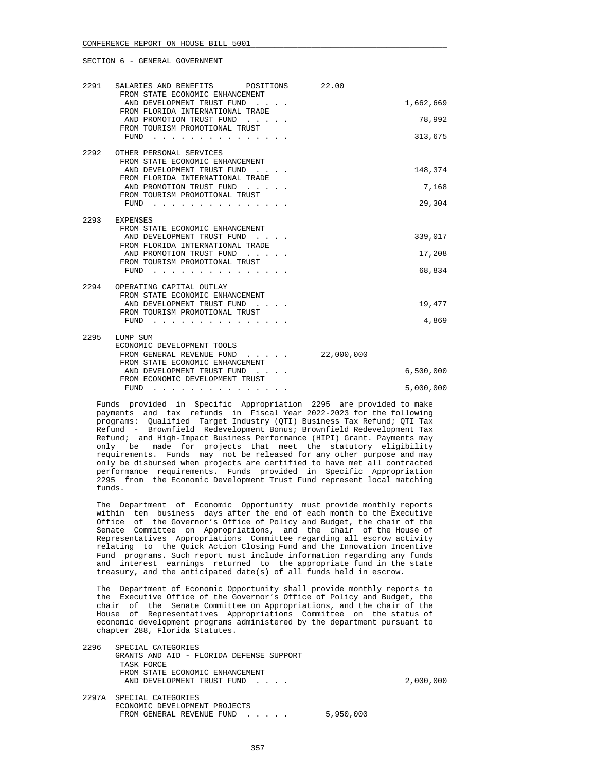| 2291 | SALARIES AND BENEFITS POSITIONS<br>FROM STATE ECONOMIC ENHANCEMENT | 22.00      |           |
|------|--------------------------------------------------------------------|------------|-----------|
|      | AND DEVELOPMENT TRUST FUND<br>FROM FLORIDA INTERNATIONAL TRADE     |            | 1,662,669 |
|      | AND PROMOTION TRUST FUND<br>FROM TOURISM PROMOTIONAL TRUST         |            | 78,992    |
|      | FUND                                                               |            | 313,675   |
| 2292 | OTHER PERSONAL SERVICES<br>FROM STATE ECONOMIC ENHANCEMENT         |            |           |
|      | AND DEVELOPMENT TRUST FUND<br>FROM FLORIDA INTERNATIONAL TRADE     |            | 148,374   |
|      | AND PROMOTION TRUST FUND<br>FROM TOURISM PROMOTIONAL TRUST         |            | 7,168     |
|      | FUND                                                               |            | 29,304    |
| 2293 | EXPENSES                                                           |            |           |
|      | FROM STATE ECONOMIC ENHANCEMENT<br>AND DEVELOPMENT TRUST FUND      |            | 339,017   |
|      | FROM FLORIDA INTERNATIONAL TRADE<br>AND PROMOTION TRUST FUND       |            | 17,208    |
|      | FROM TOURISM PROMOTIONAL TRUST<br>FUND                             |            | 68,834    |
| 2294 | OPERATING CAPITAL OUTLAY                                           |            |           |
|      | FROM STATE ECONOMIC ENHANCEMENT<br>AND DEVELOPMENT TRUST FUND      |            | 19,477    |
|      | FROM TOURISM PROMOTIONAL TRUST<br>FUND                             |            | 4,869     |
| 2295 | LUMP SUM                                                           |            |           |
|      | ECONOMIC DEVELOPMENT TOOLS<br>FROM GENERAL REVENUE FUND            | 22,000,000 |           |
|      | FROM STATE ECONOMIC ENHANCEMENT<br>AND DEVELOPMENT TRUST FUND      |            | 6,500,000 |
|      | FROM ECONOMIC DEVELOPMENT TRUST<br>FUND                            |            | 5,000,000 |

 Funds provided in Specific Appropriation 2295 are provided to make payments and tax refunds in Fiscal Year 2022-2023 for the following programs: Qualified Target Industry (QTI) Business Tax Refund; QTI Tax Refund - Brownfield Redevelopment Bonus; Brownfield Redevelopment Tax Refund; and High-Impact Business Performance (HIPI) Grant. Payments may only be made for projects that meet the statutory eligibility requirements. Funds may not be released for any other purpose and may only be disbursed when projects are certified to have met all contracted performance requirements. Funds provided in Specific Appropriation 2295 from the Economic Development Trust Fund represent local matching funds.

 The Department of Economic Opportunity must provide monthly reports within ten business days after the end of each month to the Executive Office of the Governor's Office of Policy and Budget, the chair of the Senate Committee on Appropriations, and the chair of the House of Representatives Appropriations Committee regarding all escrow activity relating to the Quick Action Closing Fund and the Innovation Incentive Fund programs. Such report must include information regarding any funds and interest earnings returned to the appropriate fund in the state treasury, and the anticipated date(s) of all funds held in escrow.

 The Department of Economic Opportunity shall provide monthly reports to the Executive Office of the Governor's Office of Policy and Budget, the chair of the Senate Committee on Appropriations, and the chair of the House of Representatives Appropriations Committee on the status of economic development programs administered by the department pursuant to chapter 288, Florida Statutes.

 2296 SPECIAL CATEGORIES GRANTS AND AID - FLORIDA DEFENSE SUPPORT TASK FORCE FROM STATE ECONOMIC ENHANCEMENT AND DEVELOPMENT TRUST FUND . . . . . . . . . . . . . . . . . 2,000,000 2297A SPECIAL CATEGORIES ECONOMIC DEVELOPMENT PROJECTS FROM GENERAL REVENUE FUND . . . . . 5,950,000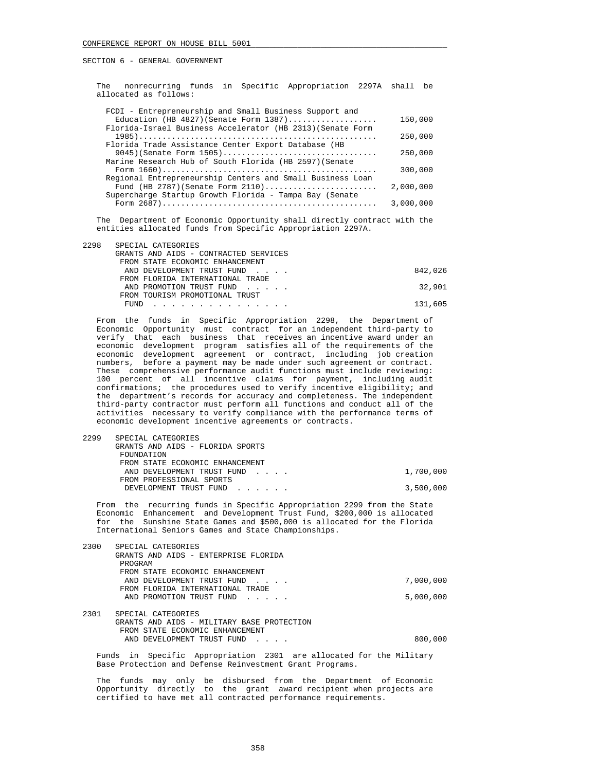The nonrecurring funds in Specific Appropriation 2297A shall be allocated as follows:

| FCDI - Entrepreneurship and Small Business Support and     |           |
|------------------------------------------------------------|-----------|
| Education (HB $4827$ ) (Senate Form $1387)$                | 150,000   |
| Florida-Israel Business Accelerator (HB 2313) (Senate Form |           |
|                                                            | 250,000   |
| Florida Trade Assistance Center Export Database (HB        |           |
| $9045$ (Senate Form 1505)                                  | 250,000   |
| Marine Research Hub of South Florida (HB 2597) (Senate     |           |
|                                                            | 300,000   |
| Regional Entrepreneurship Centers and Small Business Loan  |           |
| Fund (HB 2787) (Senate Form $2110)$                        | 2,000,000 |
| Supercharge Startup Growth Florida - Tampa Bay (Senate     |           |
|                                                            | 3,000,000 |
|                                                            |           |

 The Department of Economic Opportunity shall directly contract with the entities allocated funds from Specific Appropriation 2297A.

| 2298 | SPECIAL CATEGORIES                    |         |
|------|---------------------------------------|---------|
|      | GRANTS AND AIDS - CONTRACTED SERVICES |         |
|      | FROM STATE ECONOMIC ENHANCEMENT       |         |
|      | AND DEVELOPMENT TRUST FUND            | 842,026 |
|      | FROM FLORIDA INTERNATIONAL TRADE      |         |
|      | AND PROMOTION TRUST FUND              | 32,901  |
|      | FROM TOURISM PROMOTIONAL TRUST        |         |
|      | FUND<br>.                             | 131,605 |
|      |                                       |         |

 From the funds in Specific Appropriation 2298, the Department of Economic Opportunity must contract for an independent third-party to verify that each business that receives an incentive award under an economic development program satisfies all of the requirements of the economic development agreement or contract, including job creation numbers, before a payment may be made under such agreement or contract. These comprehensive performance audit functions must include reviewing: 100 percent of all incentive claims for payment, including audit confirmations; the procedures used to verify incentive eligibility; and the department's records for accuracy and completeness. The independent third-party contractor must perform all functions and conduct all of the activities necessary to verify compliance with the performance terms of economic development incentive agreements or contracts.

| 2299 | SPECIAL CATEGORIES               |           |
|------|----------------------------------|-----------|
|      | GRANTS AND AIDS - FLORIDA SPORTS |           |
|      | FOUNDATION                       |           |
|      | FROM STATE ECONOMIC ENHANCEMENT  |           |
|      | AND DEVELOPMENT TRUST FUND       | 1,700,000 |
|      | FROM PROFESSIONAL SPORTS         |           |
|      | DEVELOPMENT TRUST FUND           | 3,500,000 |
|      |                                  |           |

 From the recurring funds in Specific Appropriation 2299 from the State Economic Enhancement and Development Trust Fund, \$200,000 is allocated for the Sunshine State Games and \$500,000 is allocated for the Florida International Seniors Games and State Championships.

| 2300 | SPECIAL CATEGORIES                                                |           |
|------|-------------------------------------------------------------------|-----------|
|      | GRANTS AND AIDS - ENTERPRISE FLORIDA                              |           |
|      | PROGRAM                                                           |           |
|      | FROM STATE ECONOMIC ENHANCEMENT                                   |           |
|      | AND DEVELOPMENT TRUST FUND<br>and the contract of the contract of | 7,000,000 |
|      | FROM FLORIDA INTERNATIONAL TRADE                                  |           |
|      | AND PROMOTION TRUST FUND                                          | 5,000,000 |
|      |                                                                   |           |
| 2301 | SPECIAL CATEGORIES                                                |           |
|      | GRANTS AND AIDS - MILITARY BASE PROTECTION                        |           |
|      | FROM STATE ECONOMIC ENHANCEMENT                                   |           |
|      | AND DEVELOPMENT TRUST FUND                                        | 800,000   |

 Funds in Specific Appropriation 2301 are allocated for the Military Base Protection and Defense Reinvestment Grant Programs.

 The funds may only be disbursed from the Department of Economic Opportunity directly to the grant award recipient when projects are certified to have met all contracted performance requirements.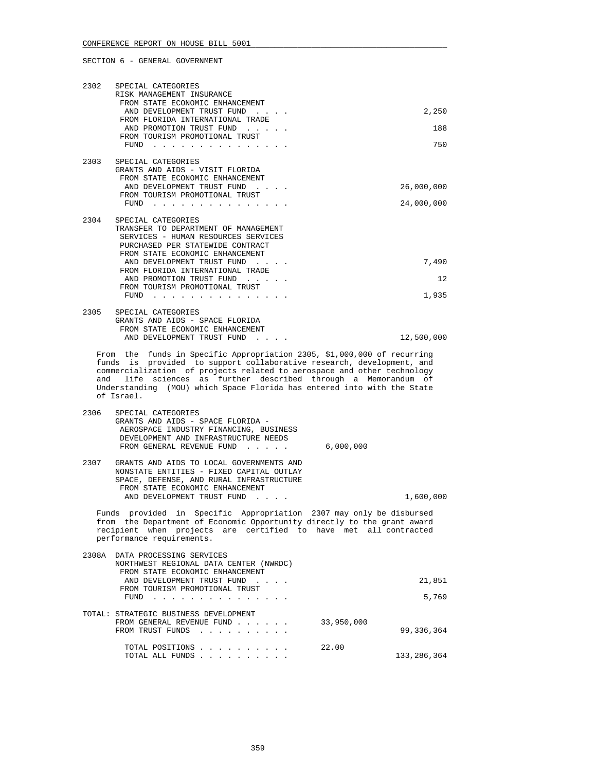| 2302                                                                                                                                                                                                                                                                                                                                                                                      | SPECIAL CATEGORIES<br>RISK MANAGEMENT INSURANCE<br>FROM STATE ECONOMIC ENHANCEMENT<br>AND DEVELOPMENT TRUST FUND<br>FROM FLORIDA INTERNATIONAL TRADE                                                              | 2,250                      |  |  |
|-------------------------------------------------------------------------------------------------------------------------------------------------------------------------------------------------------------------------------------------------------------------------------------------------------------------------------------------------------------------------------------------|-------------------------------------------------------------------------------------------------------------------------------------------------------------------------------------------------------------------|----------------------------|--|--|
|                                                                                                                                                                                                                                                                                                                                                                                           | AND PROMOTION TRUST FUND<br>FROM TOURISM PROMOTIONAL TRUST                                                                                                                                                        | 188                        |  |  |
|                                                                                                                                                                                                                                                                                                                                                                                           | FUND                                                                                                                                                                                                              | 750                        |  |  |
| 2303                                                                                                                                                                                                                                                                                                                                                                                      | SPECIAL CATEGORIES<br>GRANTS AND AIDS - VISIT FLORIDA<br>FROM STATE ECONOMIC ENHANCEMENT<br>AND DEVELOPMENT TRUST FUND                                                                                            | 26,000,000                 |  |  |
|                                                                                                                                                                                                                                                                                                                                                                                           | FROM TOURISM PROMOTIONAL TRUST<br>$FUND$                                                                                                                                                                          | 24,000,000                 |  |  |
| 2304                                                                                                                                                                                                                                                                                                                                                                                      | SPECIAL CATEGORIES<br>TRANSFER TO DEPARTMENT OF MANAGEMENT<br>SERVICES - HUMAN RESOURCES SERVICES<br>PURCHASED PER STATEWIDE CONTRACT<br>FROM STATE ECONOMIC ENHANCEMENT                                          |                            |  |  |
|                                                                                                                                                                                                                                                                                                                                                                                           | AND DEVELOPMENT TRUST FUND<br>FROM FLORIDA INTERNATIONAL TRADE                                                                                                                                                    | 7,490                      |  |  |
|                                                                                                                                                                                                                                                                                                                                                                                           | AND PROMOTION TRUST FUND<br>FROM TOURISM PROMOTIONAL TRUST                                                                                                                                                        | 12                         |  |  |
|                                                                                                                                                                                                                                                                                                                                                                                           | $FUND$                                                                                                                                                                                                            | 1,935                      |  |  |
| 2305                                                                                                                                                                                                                                                                                                                                                                                      | SPECIAL CATEGORIES<br>GRANTS AND AIDS - SPACE FLORIDA<br>FROM STATE ECONOMIC ENHANCEMENT<br>AND DEVELOPMENT TRUST FUND<br>$\mathcal{L}^{\text{max}}$ and $\mathcal{L}^{\text{max}}$                               | 12,500,000                 |  |  |
| From the funds in Specific Appropriation 2305, \$1,000,000 of recurring<br>is provided to support collaborative research, development, and<br>funds<br>commercialization of projects related to aerospace and other technology<br>and life sciences as further described through a Memorandum of<br>Understanding (MOU) which Space Florida has entered into with the State<br>of Israel. |                                                                                                                                                                                                                   |                            |  |  |
| 2306                                                                                                                                                                                                                                                                                                                                                                                      | SPECIAL CATEGORIES<br>GRANTS AND AIDS - SPACE FLORIDA -<br>AEROSPACE INDUSTRY FINANCING, BUSINESS<br>DEVELOPMENT AND INFRASTRUCTURE NEEDS<br>FROM GENERAL REVENUE FUND                                            | 6,000,000                  |  |  |
| 2307                                                                                                                                                                                                                                                                                                                                                                                      | GRANTS AND AIDS TO LOCAL GOVERNMENTS AND<br>NONSTATE ENTITIES - FIXED CAPITAL OUTLAY<br>SPACE, DEFENSE, AND RURAL INFRASTRUCTURE<br>FROM STATE ECONOMIC ENHANCEMENT<br>AND DEVELOPMENT TRUST FUND                 | 1,600,000                  |  |  |
| Funds provided in Specific Appropriation 2307 may only be disbursed<br>from the Department of Economic Opportunity directly to the grant award<br>recipient when projects are certified to have met all contracted<br>performance requirements.                                                                                                                                           |                                                                                                                                                                                                                   |                            |  |  |
|                                                                                                                                                                                                                                                                                                                                                                                           | 2308A DATA PROCESSING SERVICES<br>NORTHWEST REGIONAL DATA CENTER (NWRDC)<br>FROM STATE ECONOMIC ENHANCEMENT<br>AND DEVELOPMENT TRUST FUND<br>$\sim$ $\sim$ $\sim$ $\sim$ $\sim$<br>FROM TOURISM PROMOTIONAL TRUST | 21,851                     |  |  |
|                                                                                                                                                                                                                                                                                                                                                                                           | FUND<br>. The second contract is a second contract of the $\mathcal{A}$                                                                                                                                           | 5,769                      |  |  |
|                                                                                                                                                                                                                                                                                                                                                                                           | TOTAL: STRATEGIC BUSINESS DEVELOPMENT<br>FROM GENERAL REVENUE FUND<br>FROM TRUST FUNDS<br>the contract of the contract of the                                                                                     | 33,950,000<br>99, 336, 364 |  |  |
|                                                                                                                                                                                                                                                                                                                                                                                           | TOTAL POSITIONS<br>TOTAL ALL FUNDS                                                                                                                                                                                | 22.00<br>133,286,364       |  |  |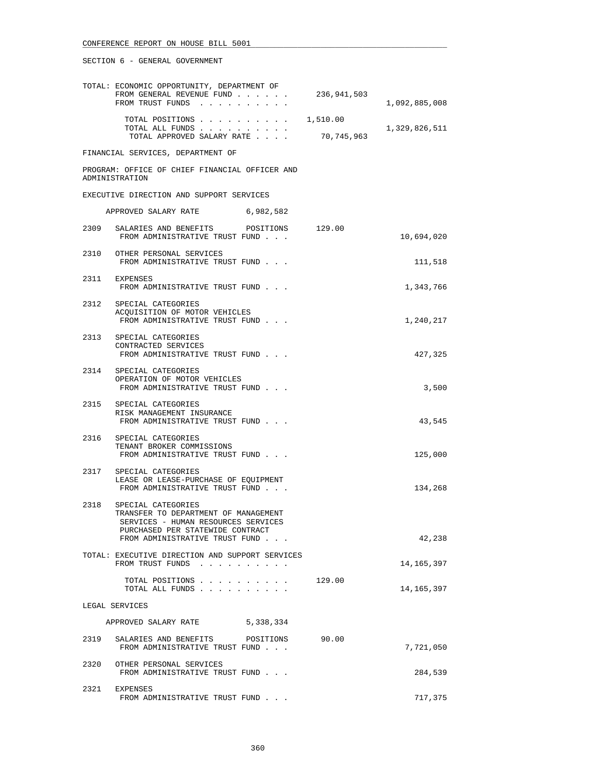|      | TOTAL: ECONOMIC OPPORTUNITY, DEPARTMENT OF<br>FROM GENERAL REVENUE FUND<br>FROM TRUST FUNDS                                                | 236,941,503 | 1,092,885,008 |
|------|--------------------------------------------------------------------------------------------------------------------------------------------|-------------|---------------|
|      | TOTAL POSITIONS $\ldots$ , $\ldots$ , $\ldots$ , $\qquad1,510.00$                                                                          |             |               |
|      | TOTAL ALL FUNDS<br>TOTAL APPROVED SALARY RATE                                                                                              | 70,745,963  | 1,329,826,511 |
|      | FINANCIAL SERVICES, DEPARTMENT OF                                                                                                          |             |               |
|      | PROGRAM: OFFICE OF CHIEF FINANCIAL OFFICER AND<br>ADMINISTRATION                                                                           |             |               |
|      | EXECUTIVE DIRECTION AND SUPPORT SERVICES                                                                                                   |             |               |
|      | APPROVED SALARY RATE 6,982,582                                                                                                             |             |               |
| 2309 | SALARIES AND BENEFITS<br>POSITIONS 129.00<br>FROM ADMINISTRATIVE TRUST FUND                                                                |             | 10,694,020    |
|      | 2310 OTHER PERSONAL SERVICES<br>FROM ADMINISTRATIVE TRUST FUND                                                                             |             | 111,518       |
|      | 2311 EXPENSES<br>FROM ADMINISTRATIVE TRUST FUND                                                                                            |             | 1,343,766     |
|      | 2312 SPECIAL CATEGORIES<br>ACOUISITION OF MOTOR VEHICLES<br>FROM ADMINISTRATIVE TRUST FUND                                                 |             | 1,240,217     |
|      | 2313 SPECIAL CATEGORIES<br>CONTRACTED SERVICES<br>FROM ADMINISTRATIVE TRUST FUND                                                           |             | 427,325       |
|      | 2314 SPECIAL CATEGORIES<br>OPERATION OF MOTOR VEHICLES<br>FROM ADMINISTRATIVE TRUST FUND                                                   |             | 3,500         |
|      | 2315 SPECIAL CATEGORIES<br>RISK MANAGEMENT INSURANCE<br>FROM ADMINISTRATIVE TRUST FUND                                                     |             | 43,545        |
| 2316 | SPECIAL CATEGORIES<br>TENANT BROKER COMMISSIONS<br>FROM ADMINISTRATIVE TRUST FUND                                                          |             | 125,000       |
|      | 2317 SPECIAL CATEGORIES<br>LEASE OR LEASE-PURCHASE OF EQUIPMENT<br>FROM ADMINISTRATIVE TRUST FUND                                          |             | 134,268       |
|      | 2318 SPECIAL CATEGORIES<br>TRANSFER TO DEPARTMENT OF MANAGEMENT<br>SERVICES - HUMAN RESOURCES SERVICES<br>PURCHASED PER STATEWIDE CONTRACT |             |               |
|      | FROM ADMINISTRATIVE TRUST FUND                                                                                                             |             | 42,238        |
|      | TOTAL: EXECUTIVE DIRECTION AND SUPPORT SERVICES<br>FROM TRUST FUNDS                                                                        |             | 14,165,397    |
|      | TOTAL POSITIONS<br>TOTAL ALL FUNDS                                                                                                         | 129.00      | 14,165,397    |
|      | LEGAL SERVICES                                                                                                                             |             |               |
|      | 5,338,334<br>APPROVED SALARY RATE                                                                                                          |             |               |
| 2319 | SALARIES AND BENEFITS POSITIONS<br>FROM ADMINISTRATIVE TRUST FUND                                                                          | 90.00       | 7,721,050     |
|      | 2320 OTHER PERSONAL SERVICES<br>FROM ADMINISTRATIVE TRUST FUND                                                                             |             | 284,539       |
| 2321 | EXPENSES<br>FROM ADMINISTRATIVE TRUST FUND                                                                                                 |             | 717,375       |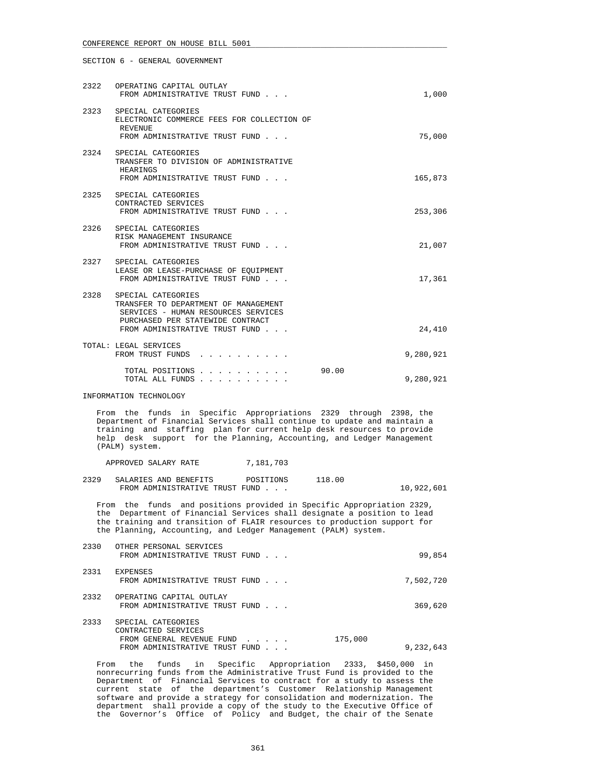|      | 2322 OPERATING CAPITAL OUTLAY<br>FROM ADMINISTRATIVE TRUST FUND                                                                                                         | 1,000     |
|------|-------------------------------------------------------------------------------------------------------------------------------------------------------------------------|-----------|
| 2323 | SPECIAL CATEGORIES<br>ELECTRONIC COMMERCE FEES FOR COLLECTION OF<br><b>REVENUE</b><br>FROM ADMINISTRATIVE TRUST FUND                                                    | 75,000    |
| 2324 | SPECIAL CATEGORIES<br>TRANSFER TO DIVISION OF ADMINISTRATIVE<br>HEARINGS<br>FROM ADMINISTRATIVE TRUST FUND                                                              | 165,873   |
| 2325 | SPECIAL CATEGORIES<br>CONTRACTED SERVICES<br>FROM ADMINISTRATIVE TRUST FUND                                                                                             | 253,306   |
| 2326 | SPECIAL CATEGORIES<br>RISK MANAGEMENT INSURANCE<br>FROM ADMINISTRATIVE TRUST FUND                                                                                       | 21,007    |
|      | 2327 SPECIAL CATEGORIES<br>LEASE OR LEASE-PURCHASE OF EQUIPMENT<br>FROM ADMINISTRATIVE TRUST FUND                                                                       | 17,361    |
| 2328 | SPECIAL CATEGORIES<br>TRANSFER TO DEPARTMENT OF MANAGEMENT<br>SERVICES - HUMAN RESOURCES SERVICES<br>PURCHASED PER STATEWIDE CONTRACT<br>FROM ADMINISTRATIVE TRUST FUND | 24,410    |
|      | TOTAL: LEGAL SERVICES<br>FROM TRUST FUNDS                                                                                                                               | 9,280,921 |
|      | 90.00<br>TOTAL POSITIONS<br>TOTAL ALL FUNDS                                                                                                                             | 9,280,921 |

INFORMATION TECHNOLOGY

 From the funds in Specific Appropriations 2329 through 2398, the Department of Financial Services shall continue to update and maintain a training and staffing plan for current help desk resources to provide help desk support for the Planning, Accounting, and Ledger Management (PALM) system.

APPROVED SALARY RATE 7,181,703

 2329 SALARIES AND BENEFITS POSITIONS 118.00 FROM ADMINISTRATIVE TRUST FUND . . . 10,922,601

 From the funds and positions provided in Specific Appropriation 2329, the Department of Financial Services shall designate a position to lead the training and transition of FLAIR resources to production support for the Planning, Accounting, and Ledger Management (PALM) system.

| 2330 | OTHER PERSONAL SERVICES<br>FROM ADMINISTRATIVE TRUST FUND                                                |                                                | 99,854               |
|------|----------------------------------------------------------------------------------------------------------|------------------------------------------------|----------------------|
| 2331 | <b>EXPENSES</b><br>FROM ADMINISTRATIVE TRUST FUND                                                        |                                                | 7,502,720            |
| 2332 | OPERATING CAPITAL OUTLAY<br>FROM ADMINISTRATIVE TRUST FUND                                               |                                                | 369,620              |
| 2333 | SPECIAL CATEGORIES<br>CONTRACTED SERVICES<br>FROM GENERAL REVENUE FUND<br>FROM ADMINISTRATIVE TRUST FUND | $\mathbf{r}$ and $\mathbf{r}$ and $\mathbf{r}$ | 175,000<br>9,232,643 |

 From the funds in Specific Appropriation 2333, \$450,000 in nonrecurring funds from the Administrative Trust Fund is provided to the Department of Financial Services to contract for a study to assess the current state of the department's Customer Relationship Management software and provide a strategy for consolidation and modernization. The department shall provide a copy of the study to the Executive Office of the Governor's Office of Policy and Budget, the chair of the Senate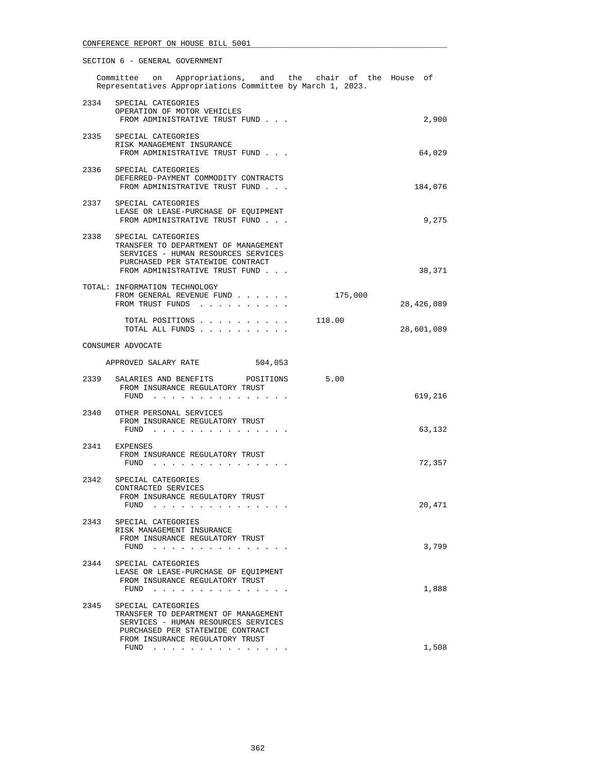| SECTION 6 - GENERAL GOVERNMENT                                                                                                                                               |            |
|------------------------------------------------------------------------------------------------------------------------------------------------------------------------------|------------|
| Committee on Appropriations, and the chair of the House of<br>Representatives Appropriations Committee by March 1, 2023.                                                     |            |
| 2334 SPECIAL CATEGORIES<br>OPERATION OF MOTOR VEHICLES<br>FROM ADMINISTRATIVE TRUST FUND                                                                                     | 2,900      |
| 2335 SPECIAL CATEGORIES<br>RISK MANAGEMENT INSURANCE<br>FROM ADMINISTRATIVE TRUST FUND                                                                                       | 64,029     |
| 2336 SPECIAL CATEGORIES<br>DEFERRED-PAYMENT COMMODITY CONTRACTS<br>FROM ADMINISTRATIVE TRUST FUND                                                                            | 184,076    |
| 2337<br>SPECIAL CATEGORIES<br>LEASE OR LEASE-PURCHASE OF EQUIPMENT<br>FROM ADMINISTRATIVE TRUST FUND                                                                         | 9,275      |
| 2338 SPECIAL CATEGORIES<br>TRANSFER TO DEPARTMENT OF MANAGEMENT<br>SERVICES - HUMAN RESOURCES SERVICES<br>PURCHASED PER STATEWIDE CONTRACT<br>FROM ADMINISTRATIVE TRUST FUND | 38,371     |
| TOTAL: INFORMATION TECHNOLOGY<br>175,000<br>FROM GENERAL REVENUE FUND<br>FROM TRUST FUNDS                                                                                    | 28,426,089 |
| 118.00<br>TOTAL POSITIONS<br>TOTAL ALL FUNDS                                                                                                                                 | 28,601,089 |
| CONSUMER ADVOCATE                                                                                                                                                            |            |

| 2339 | SALARIES AND BENEFITS<br>POSITIONS<br>FROM INSURANCE REGULATORY TRUST<br>FUND        | 5.00<br>619,216 |
|------|--------------------------------------------------------------------------------------|-----------------|
| 2340 | OTHER PERSONAL SERVICES<br>FROM INSURANCE REGULATORY TRUST<br>FUND                   | 63,132          |
| 2341 | <b>EXPENSES</b><br>FROM INSURANCE REGULATORY TRUST<br>FUND                           | 72,357          |
| 2342 | SPECIAL CATEGORIES<br>CONTRACTED SERVICES<br>FROM INSURANCE REGULATORY TRUST<br>FUND | 20,471          |
| 2343 | SPECIAL CATEGORIES                                                                   |                 |

APPROVED SALARY RATE 504,053

RISK MANAGEMENT INSURANCE

## FROM INSURANCE REGULATORY TRUST FUND . . . . . . . . . . . . . . . 3,799 2344 SPECIAL CATEGORIES LEASE OR LEASE-PURCHASE OF EQUIPMENT FROM INSURANCE REGULATORY TRUST FUND . . . . . . . . . . . . . . . 1,888 2345 SPECIAL CATEGORIES TRANSFER TO DEPARTMENT OF MANAGEMENT SERVICES - HUMAN RESOURCES SERVICES PURCHASED PER STATEWIDE CONTRACT FROM INSURANCE REGULATORY TRUST FUND . . . . . . . . . . . . . . . 1,508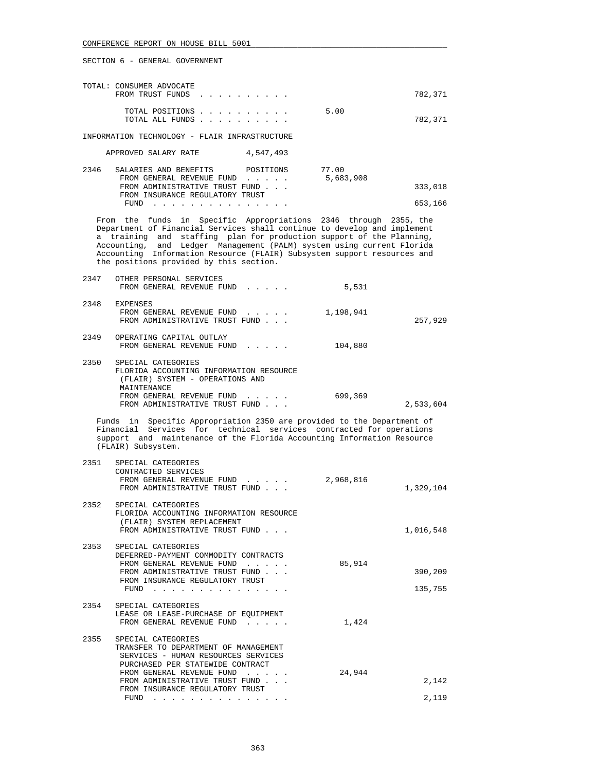| TOTAL: CONSUMER ADVOCATE<br>FROM TRUST FUNDS  |                         | 782,371 |
|-----------------------------------------------|-------------------------|---------|
| TOTAL ALL FUNDS                               | 5.00<br>TOTAL POSITIONS | 782,371 |
| INFORMATION TECHNOLOGY - FLAIR INFRASTRUCTURE |                         |         |

| APPROVED SALARY RATE |  | 4,547,493 |
|----------------------|--|-----------|

| 2346 | SALARIES AND BENEFITS           | POSITIONS | 77.00     |         |
|------|---------------------------------|-----------|-----------|---------|
|      | FROM GENERAL REVENUE FUND       |           | 5,683,908 |         |
|      | FROM ADMINISTRATIVE TRUST FUND  |           |           | 333,018 |
|      | FROM INSURANCE REGULATORY TRUST |           |           |         |
|      | FUND                            |           |           | 653,166 |

 From the funds in Specific Appropriations 2346 through 2355, the Department of Financial Services shall continue to develop and implement a training and staffing plan for production support of the Planning, Accounting, and Ledger Management (PALM) system using current Florida Accounting Information Resource (FLAIR) Subsystem support resources and the positions provided by this section.

| 2347 | OTHER PERSONAL SERVICES<br>FROM GENERAL REVENUE FUND                                                            | 5,531     |           |
|------|-----------------------------------------------------------------------------------------------------------------|-----------|-----------|
| 2348 | <b>EXPENSES</b><br>FROM GENERAL REVENUE FUND<br>FROM ADMINISTRATIVE TRUST FUND                                  | 1,198,941 | 257,929   |
| 2349 | OPERATING CAPITAL OUTLAY<br>FROM GENERAL REVENUE FUND                                                           | 104,880   |           |
| 2350 | SPECIAL CATEGORIES<br>FLORIDA ACCOUNTING INFORMATION RESOURCE<br>(FLAIR) SYSTEM - OPERATIONS AND<br>MAINTENANCE |           |           |
|      | FROM GENERAL REVENUE FUND<br>$\sim$ $\sim$ $\sim$ $\sim$ $\sim$<br>FROM ADMINISTRATIVE TRUST FUND               | 699,369   | 2,533,604 |

 Funds in Specific Appropriation 2350 are provided to the Department of Financial Services for technical services contracted for operations support and maintenance of the Florida Accounting Information Resource (FLAIR) Subsystem.

|      | 2351 SPECIAL CATEGORIES<br>CONTRACTED SERVICES<br>FROM GENERAL REVENUE FUND<br>FROM ADMINISTRATIVE TRUST FUND                                                                                                                         | 2,968,816 | 1,329,104          |
|------|---------------------------------------------------------------------------------------------------------------------------------------------------------------------------------------------------------------------------------------|-----------|--------------------|
|      | 2352 SPECIAL CATEGORIES<br>FLORIDA ACCOUNTING INFORMATION RESOURCE<br>(FLAIR) SYSTEM REPLACEMENT<br>FROM ADMINISTRATIVE TRUST FUND                                                                                                    |           | 1,016,548          |
|      | 2353 SPECIAL CATEGORIES<br>DEFERRED-PAYMENT COMMODITY CONTRACTS<br>FROM GENERAL REVENUE FUND<br>FROM ADMINISTRATIVE TRUST FUND<br>FROM INSURANCE REGULATORY TRUST<br>FUND                                                             | 85,914    | 390,209<br>135,755 |
|      | 2354 SPECIAL CATEGORIES<br>LEASE OR LEASE-PURCHASE OF EQUIPMENT<br>FROM GENERAL REVENUE FUND                                                                                                                                          | 1,424     |                    |
| 2355 | SPECIAL CATEGORIES<br>TRANSFER TO DEPARTMENT OF MANAGEMENT<br>SERVICES - HUMAN RESOURCES SERVICES<br>PURCHASED PER STATEWIDE CONTRACT                                                                                                 |           |                    |
|      | FROM GENERAL REVENUE FUND<br>FROM ADMINISTRATIVE TRUST FUND<br>FROM INSURANCE REGULATORY TRUST                                                                                                                                        | 24,944    | 2,142              |
|      | FUND<br>the company of the company of the company of the company of the company of the company of the company of the company of the company of the company of the company of the company of the company of the company of the company |           | 2,119              |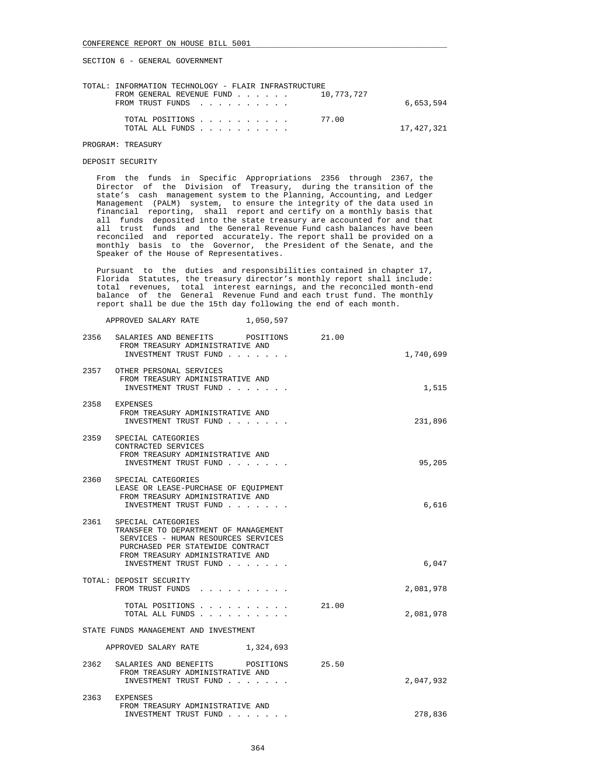| TOTAL: INFORMATION TECHNOLOGY - FLAIR INFRASTRUCTURE            |            |
|-----------------------------------------------------------------|------------|
| FROM GENERAL REVENUE FUND $\ldots$ $\ldots$ $\ldots$ 10.773.727 |            |
| FROM TRUST FUNDS                                                | 6,653,594  |
|                                                                 |            |
| TOTAL POSITIONS 77.00                                           |            |
| TOTAL ALL FUNDS                                                 | 17,427,321 |
|                                                                 |            |

#### PROGRAM: TREASURY

#### DEPOSIT SECURITY

 From the funds in Specific Appropriations 2356 through 2367, the Director of the Division of Treasury, during the transition of the state's cash management system to the Planning, Accounting, and Ledger Management (PALM) system, to ensure the integrity of the data used in financial reporting, shall report and certify on a monthly basis that all funds deposited into the state treasury are accounted for and that all trust funds and the General Revenue Fund cash balances have been reconciled and reported accurately. The report shall be provided on a monthly basis to the Governor, the President of the Senate, and the Speaker of the House of Representatives.

 Pursuant to the duties and responsibilities contained in chapter 17, Florida Statutes, the treasury director's monthly report shall include: total revenues, total interest earnings, and the reconciled month-end balance of the General Revenue Fund and each trust fund. The monthly report shall be due the 15th day following the end of each month.

APPROVED SALARY RATE 1,050,597

| 2356 | SALARIES AND BENEFITS POSITIONS<br>FROM TREASURY ADMINISTRATIVE AND<br>INVESTMENT TRUST FUND                                                                                                       | 21.00 | 1,740,699 |
|------|----------------------------------------------------------------------------------------------------------------------------------------------------------------------------------------------------|-------|-----------|
|      | 2357 OTHER PERSONAL SERVICES<br>FROM TREASURY ADMINISTRATIVE AND<br>INVESTMENT TRUST FUND                                                                                                          |       | 1,515     |
|      | 2358 EXPENSES<br>FROM TREASURY ADMINISTRATIVE AND<br>INVESTMENT TRUST FUND                                                                                                                         |       | 231,896   |
| 2359 | SPECIAL CATEGORIES<br>CONTRACTED SERVICES<br>FROM TREASURY ADMINISTRATIVE AND<br>INVESTMENT TRUST FUND                                                                                             |       | 95,205    |
| 2360 | SPECIAL CATEGORIES<br>LEASE OR LEASE-PURCHASE OF EOUIPMENT<br>FROM TREASURY ADMINISTRATIVE AND<br>INVESTMENT TRUST FUND                                                                            |       | 6,616     |
| 2361 | SPECIAL CATEGORIES<br>TRANSFER TO DEPARTMENT OF MANAGEMENT<br>SERVICES - HUMAN RESOURCES SERVICES<br>PURCHASED PER STATEWIDE CONTRACT<br>FROM TREASURY ADMINISTRATIVE AND<br>INVESTMENT TRUST FUND |       | 6,047     |
|      | TOTAL: DEPOSIT SECURITY<br>FROM TRUST FUNDS                                                                                                                                                        |       | 2,081,978 |
|      | TOTAL POSITIONS<br>TOTAL ALL FUNDS                                                                                                                                                                 | 21.00 | 2,081,978 |
|      | STATE FUNDS MANAGEMENT AND INVESTMENT                                                                                                                                                              |       |           |
|      | APPROVED SALARY RATE<br>1,324,693                                                                                                                                                                  |       |           |
| 2362 | SALARIES AND BENEFITS POSITIONS<br>FROM TREASURY ADMINISTRATIVE AND<br>INVESTMENT TRUST FUND                                                                                                       | 25.50 | 2,047,932 |
| 2363 | <b>EXPENSES</b><br>FROM TREASURY ADMINISTRATIVE AND<br>INVESTMENT TRUST FUND                                                                                                                       |       | 278,836   |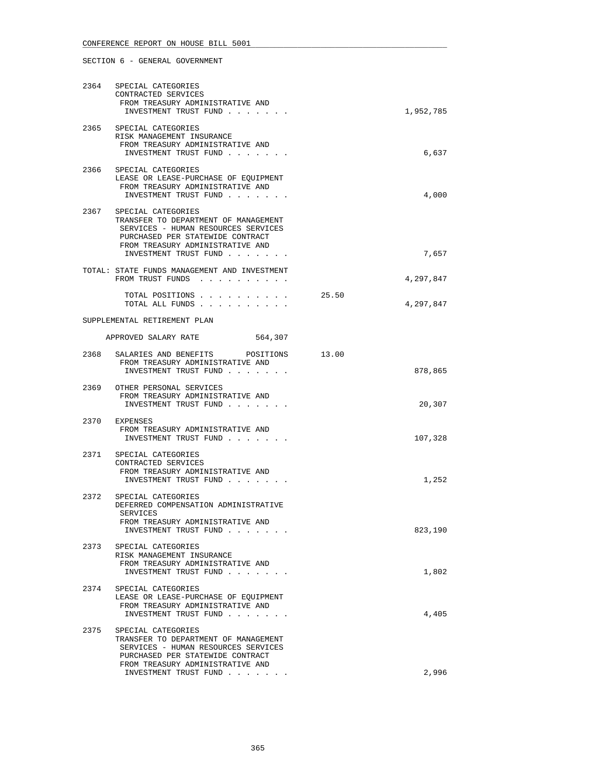|      | 2364 SPECIAL CATEGORIES<br>CONTRACTED SERVICES<br>FROM TREASURY ADMINISTRATIVE AND<br>INVESTMENT TRUST FUND                                                                                             | 1,952,785          |
|------|---------------------------------------------------------------------------------------------------------------------------------------------------------------------------------------------------------|--------------------|
|      | 2365 SPECIAL CATEGORIES<br>RISK MANAGEMENT INSURANCE<br>FROM TREASURY ADMINISTRATIVE AND<br>INVESTMENT TRUST FUND                                                                                       | 6,637              |
|      | 2366 SPECIAL CATEGORIES<br>LEASE OR LEASE-PURCHASE OF EQUIPMENT<br>FROM TREASURY ADMINISTRATIVE AND<br>INVESTMENT TRUST FUND                                                                            | 4,000              |
|      | 2367 SPECIAL CATEGORIES<br>TRANSFER TO DEPARTMENT OF MANAGEMENT<br>SERVICES - HUMAN RESOURCES SERVICES<br>PURCHASED PER STATEWIDE CONTRACT<br>FROM TREASURY ADMINISTRATIVE AND<br>INVESTMENT TRUST FUND | 7,657              |
|      | TOTAL: STATE FUNDS MANAGEMENT AND INVESTMENT<br>FROM TRUST FUNDS                                                                                                                                        | 4,297,847          |
|      | TOTAL POSITIONS<br>TOTAL ALL FUNDS                                                                                                                                                                      | 25.50<br>4,297,847 |
|      | SUPPLEMENTAL RETIREMENT PLAN                                                                                                                                                                            |                    |
|      | APPROVED SALARY RATE<br>564,307                                                                                                                                                                         |                    |
|      | 2368 SALARIES AND BENEFITS POSITIONS 13.00<br>FROM TREASURY ADMINISTRATIVE AND<br>INVESTMENT TRUST FUND                                                                                                 | 878,865            |
|      | 2369 OTHER PERSONAL SERVICES<br>FROM TREASURY ADMINISTRATIVE AND<br>INVESTMENT TRUST FUND                                                                                                               | 20,307             |
|      | 2370 EXPENSES<br>FROM TREASURY ADMINISTRATIVE AND<br>INVESTMENT TRUST FUND                                                                                                                              | 107,328            |
| 2371 | SPECIAL CATEGORIES<br>CONTRACTED SERVICES<br>FROM TREASURY ADMINISTRATIVE AND<br>INVESTMENT TRUST FUND                                                                                                  | 1,252              |
|      | 2372 SPECIAL CATEGORIES<br>DEFERRED COMPENSATION ADMINISTRATIVE<br>SERVICES                                                                                                                             |                    |
|      | FROM TREASURY ADMINISTRATIVE AND<br>INVESTMENT TRUST FUND                                                                                                                                               | 823,190            |
| 2373 | SPECIAL CATEGORIES<br>RISK MANAGEMENT INSURANCE<br>FROM TREASURY ADMINISTRATIVE AND<br>INVESTMENT TRUST FUND                                                                                            | 1,802              |
| 2374 | SPECIAL CATEGORIES<br>LEASE OR LEASE-PURCHASE OF EQUIPMENT<br>FROM TREASURY ADMINISTRATIVE AND<br>INVESTMENT TRUST FUND                                                                                 | 4,405              |
| 2375 | SPECIAL CATEGORIES<br>TRANSFER TO DEPARTMENT OF MANAGEMENT<br>SERVICES - HUMAN RESOURCES SERVICES<br>PURCHASED PER STATEWIDE CONTRACT<br>FROM TREASURY ADMINISTRATIVE AND                               |                    |
|      | INVESTMENT TRUST FUND                                                                                                                                                                                   | 2,996              |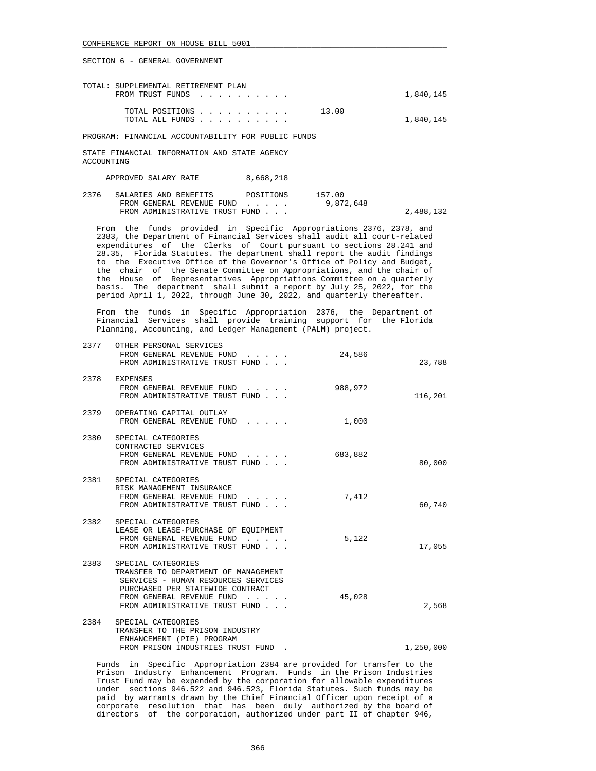| TOTAL: SUPPLEMENTAL RETIREMENT PLAN | 1,840,145 |  |
|-------------------------------------|-----------|--|
| FROM TRUST FUNDS                    |           |  |
| 13.00<br>TOTAL POSITIONS            |           |  |
| TOTAL ALL FUNDS                     | 1,840,145 |  |

PROGRAM: FINANCIAL ACCOUNTABILITY FOR PUBLIC FUNDS

STATE FINANCIAL INFORMATION AND STATE AGENCY ACCOUNTING

APPROVED SALARY RATE 8,668,218

2376 SALARIES AND BENEFITS POSITIONS 157.00<br>FROM GENERAL REVENUE FUND . . . . . 9,872,648 FROM GENERAL REVENUE FUND . . . . . FROM ADMINISTRATIVE TRUST FUND . . . 2,488,132

 From the funds provided in Specific Appropriations 2376, 2378, and 2383, the Department of Financial Services shall audit all court-related expenditures of the Clerks of Court pursuant to sections 28.241 and 28.35, Florida Statutes. The department shall report the audit findings to the Executive Office of the Governor's Office of Policy and Budget, the chair of the Senate Committee on Appropriations, and the chair of the House of Representatives Appropriations Committee on a quarterly basis. The department shall submit a report by July 25, 2022, for the period April 1, 2022, through June 30, 2022, and quarterly thereafter.

 From the funds in Specific Appropriation 2376, the Department of Financial Services shall provide training support for the Florida Planning, Accounting, and Ledger Management (PALM) project.

| 2377 | OTHER PERSONAL SERVICES<br>FROM GENERAL REVENUE FUND<br>FROM ADMINISTRATIVE TRUST FUND                                                                                                                                                                 | 24,586  | 23,788    |
|------|--------------------------------------------------------------------------------------------------------------------------------------------------------------------------------------------------------------------------------------------------------|---------|-----------|
|      | 2378 EXPENSES<br>FROM GENERAL REVENUE FUND<br>FROM ADMINISTRATIVE TRUST FUND                                                                                                                                                                           | 988,972 | 116,201   |
|      | 2379 OPERATING CAPITAL OUTLAY<br>FROM GENERAL REVENUE FUND                                                                                                                                                                                             | 1,000   |           |
| 2380 | SPECIAL CATEGORIES<br>CONTRACTED SERVICES<br>FROM GENERAL REVENUE FUND<br>FROM ADMINISTRATIVE TRUST FUND                                                                                                                                               | 683,882 | 80,000    |
|      | 2381 SPECIAL CATEGORIES<br>RISK MANAGEMENT INSURANCE<br>FROM GENERAL REVENUE FUND<br>FROM ADMINISTRATIVE TRUST FUND                                                                                                                                    | 7,412   | 60,740    |
| 2382 | SPECIAL CATEGORIES<br>LEASE OR LEASE-PURCHASE OF EQUIPMENT<br>FROM GENERAL REVENUE FUND<br>FROM ADMINISTRATIVE TRUST FUND                                                                                                                              | 5,122   | 17,055    |
| 2383 | SPECIAL CATEGORIES<br>TRANSFER TO DEPARTMENT OF MANAGEMENT<br>SERVICES - HUMAN RESOURCES SERVICES<br>PURCHASED PER STATEWIDE CONTRACT<br>FROM GENERAL REVENUE FUND<br>$\mathbf{r}$ and $\mathbf{r}$ and $\mathbf{r}$<br>FROM ADMINISTRATIVE TRUST FUND | 45,028  | 2,568     |
|      | 2384 SPECIAL CATEGORIES<br>TRANSFER TO THE PRISON INDUSTRY<br>ENHANCEMENT (PIE) PROGRAM<br>FROM PRISON INDUSTRIES TRUST FUND                                                                                                                           |         | 1,250,000 |

 Funds in Specific Appropriation 2384 are provided for transfer to the Prison Industry Enhancement Program. Funds in the Prison Industries Trust Fund may be expended by the corporation for allowable expenditures under sections 946.522 and 946.523, Florida Statutes. Such funds may be paid by warrants drawn by the Chief Financial Officer upon receipt of a corporate resolution that has been duly authorized by the board of directors of the corporation, authorized under part II of chapter 946,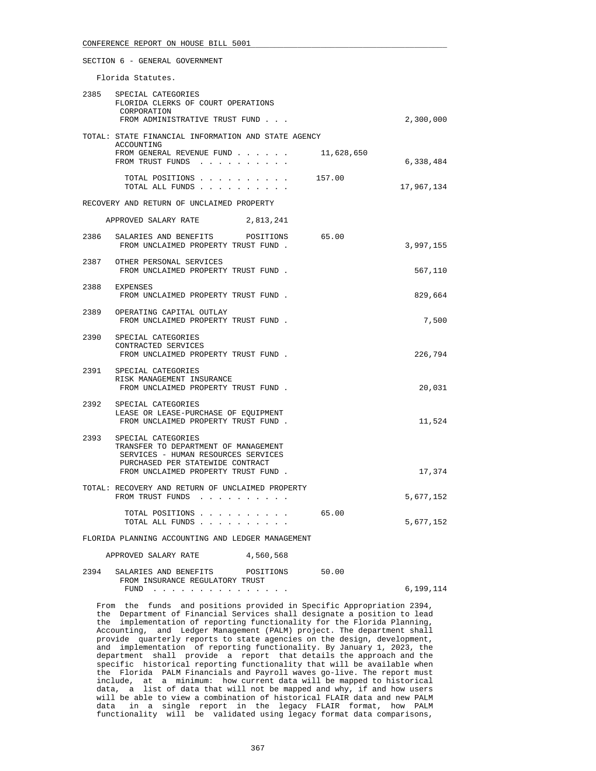Florida Statutes.

|      | 2385 SPECIAL CATEGORIES<br>FLORIDA CLERKS OF COURT OPERATIONS<br>CORPORATION<br>FROM ADMINISTRATIVE TRUST FUND                             |            | 2,300,000  |
|------|--------------------------------------------------------------------------------------------------------------------------------------------|------------|------------|
|      | TOTAL: STATE FINANCIAL INFORMATION AND STATE AGENCY<br>ACCOUNTING                                                                          |            |            |
|      | FROM GENERAL REVENUE FUND<br>FROM TRUST FUNDS                                                                                              | 11,628,650 | 6,338,484  |
|      | TOTAL POSITIONS<br>TOTAL ALL FUNDS                                                                                                         | 157.00     | 17,967,134 |
|      | RECOVERY AND RETURN OF UNCLAIMED PROPERTY                                                                                                  |            |            |
|      | APPROVED SALARY RATE<br>2,813,241                                                                                                          |            |            |
|      | 2386 SALARIES AND BENEFITS POSITIONS<br>FROM UNCLAIMED PROPERTY TRUST FUND.                                                                | 65.00      | 3,997,155  |
|      | 2387 OTHER PERSONAL SERVICES<br>FROM UNCLAIMED PROPERTY TRUST FUND.                                                                        |            | 567,110    |
|      | 2388 EXPENSES<br>FROM UNCLAIMED PROPERTY TRUST FUND.                                                                                       |            | 829,664    |
|      | 2389 OPERATING CAPITAL OUTLAY<br>FROM UNCLAIMED PROPERTY TRUST FUND.                                                                       |            | 7,500      |
| 2390 | SPECIAL CATEGORIES<br>CONTRACTED SERVICES<br>FROM UNCLAIMED PROPERTY TRUST FUND.                                                           |            | 226,794    |
|      | 2391 SPECIAL CATEGORIES<br>RISK MANAGEMENT INSURANCE<br>FROM UNCLAIMED PROPERTY TRUST FUND.                                                |            | 20,031     |
|      | 2392 SPECIAL CATEGORIES<br>LEASE OR LEASE-PURCHASE OF EOUIPMENT<br>FROM UNCLAIMED PROPERTY TRUST FUND.                                     |            | 11,524     |
|      | 2393 SPECIAL CATEGORIES<br>TRANSFER TO DEPARTMENT OF MANAGEMENT<br>SERVICES - HUMAN RESOURCES SERVICES<br>PURCHASED PER STATEWIDE CONTRACT |            |            |
|      | FROM UNCLAIMED PROPERTY TRUST FUND.                                                                                                        |            | 17,374     |
|      | TOTAL: RECOVERY AND RETURN OF UNCLAIMED PROPERTY<br>FROM TRUST FUNDS                                                                       |            | 5,677,152  |
|      | TOTAL POSITIONS<br>TOTAL ALL FUNDS                                                                                                         | 65.00      | 5,677,152  |

FLORIDA PLANNING ACCOUNTING AND LEDGER MANAGEMENT

| APPROVED SALARY RATE | 4,560,568 |
|----------------------|-----------|
|----------------------|-----------|

| 2394 SALARIES AND BENEFITS      | POSITIONS | 50.00 |           |
|---------------------------------|-----------|-------|-----------|
| FROM INSURANCE REGULATORY TRUST |           |       |           |
| FUND                            |           |       | 6,199,114 |

 From the funds and positions provided in Specific Appropriation 2394, the Department of Financial Services shall designate a position to lead the implementation of reporting functionality for the Florida Planning, Accounting, and Ledger Management (PALM) project. The department shall provide quarterly reports to state agencies on the design, development, and implementation of reporting functionality. By January 1, 2023, the department shall provide a report that details the approach and the specific historical reporting functionality that will be available when the Florida PALM Financials and Payroll waves go-live. The report must include, at a minimum: how current data will be mapped to historical data, a list of data that will not be mapped and why, if and how users will be able to view a combination of historical FLAIR data and new PALM data in a single report in the legacy FLAIR format, how PALM functionality will be validated using legacy format data comparisons,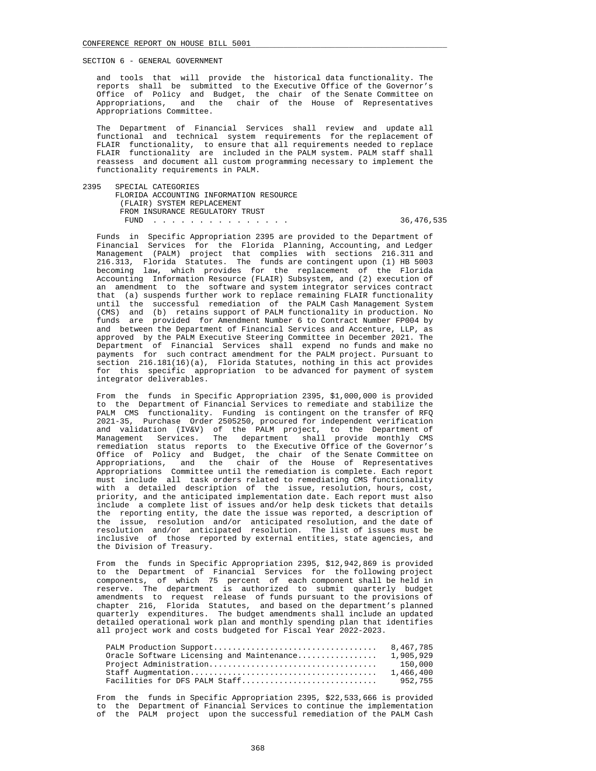and tools that will provide the historical data functionality. The reports shall be submitted to the Executive Office of the Governor's Office of Policy and Budget, the chair of the Senate Committee on Appropriations, and the chair of the House of Representatives Appropriations Committee.

 The Department of Financial Services shall review and update all functional and technical system requirements for the replacement of FLAIR functionality, to ensure that all requirements needed to replace FLAIR functionality are included in the PALM system. PALM staff shall reassess and document all custom programming necessary to implement the functionality requirements in PALM.

2395 SPECIAL CATEGORIES

#### FLORIDA ACCOUNTING INFORMATION RESOURCE (FLAIR) SYSTEM REPLACEMENT FROM INSURANCE REGULATORY TRUST

FUND . . . . . . . . . . . . . . . 36,476,535

 Funds in Specific Appropriation 2395 are provided to the Department of Financial Services for the Florida Planning, Accounting, and Ledger Management (PALM) project that complies with sections 216.311 and 216.313, Florida Statutes. The funds are contingent upon (1) HB 5003 becoming law, which provides for the replacement of the Florida Accounting Information Resource (FLAIR) Subsystem, and (2) execution of an amendment to the software and system integrator services contract that (a) suspends further work to replace remaining FLAIR functionality until the successful remediation of the PALM Cash Management System (CMS) and (b) retains support of PALM functionality in production. No funds are provided for Amendment Number 6 to Contract Number FP004 by and between the Department of Financial Services and Accenture, LLP, as approved by the PALM Executive Steering Committee in December 2021. The Department of Financial Services shall expend no funds and make no payments for such contract amendment for the PALM project. Pursuant to section 216.181(16)(a), Florida Statutes, nothing in this act provides for this specific appropriation to be advanced for payment of system integrator deliverables.

 From the funds in Specific Appropriation 2395, \$1,000,000 is provided to the Department of Financial Services to remediate and stabilize the PALM CMS functionality. Funding is contingent on the transfer of RFQ 2021-35, Purchase Order 2505250, procured for independent verification and validation (IV&V) of the PALM project, to the Department of Management Services. The department shall provide monthly CMS remediation status reports to the Executive Office of the Governor's Office of Policy and Budget, the chair of the Senate Committee on Appropriations, and the chair of the House of Representatives Appropriations Committee until the remediation is complete. Each report must include all task orders related to remediating CMS functionality with a detailed description of the issue, resolution, hours, cost, priority, and the anticipated implementation date. Each report must also include a complete list of issues and/or help desk tickets that details the reporting entity, the date the issue was reported, a description of the issue, resolution and/or anticipated resolution, and the date of resolution and/or anticipated resolution. The list of issues must be inclusive of those reported by external entities, state agencies, and the Division of Treasury.

 From the funds in Specific Appropriation 2395, \$12,942,869 is provided to the Department of Financial Services for the following project components, of which 75 percent of each component shall be held in reserve. The department is authorized to submit quarterly budget amendments to request release of funds pursuant to the provisions of chapter 216, Florida Statutes, and based on the department's planned quarterly expenditures. The budget amendments shall include an updated detailed operational work plan and monthly spending plan that identifies all project work and costs budgeted for Fiscal Year 2022-2023.

|                                           | 8.467.785 |
|-------------------------------------------|-----------|
| Oracle Software Licensing and Maintenance | 1,905,929 |
|                                           | 150,000   |
|                                           | 1,466,400 |
| Facilities for DFS PALM Staff             | 952.755   |

 From the funds in Specific Appropriation 2395, \$22,533,666 is provided to the Department of Financial Services to continue the implementation of the PALM project upon the successful remediation of the PALM Cash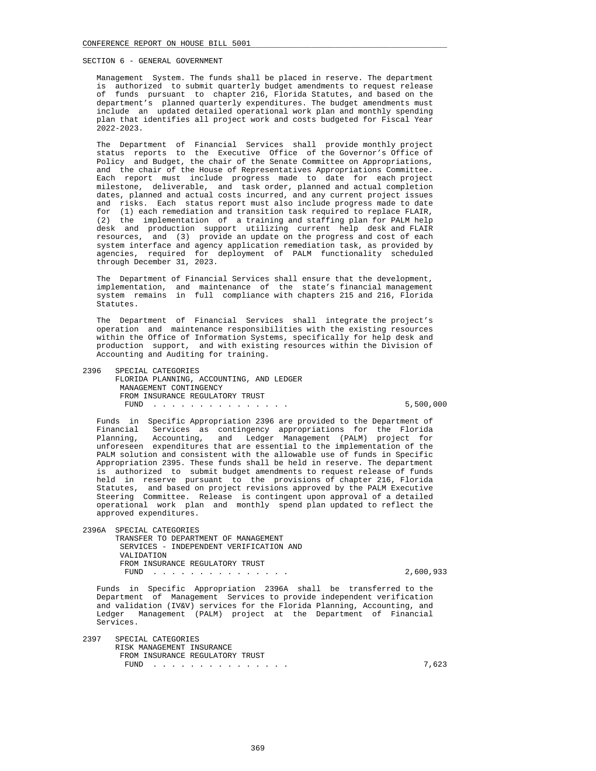Management System. The funds shall be placed in reserve. The department is authorized to submit quarterly budget amendments to request release of funds pursuant to chapter 216, Florida Statutes, and based on the department's planned quarterly expenditures. The budget amendments must include an updated detailed operational work plan and monthly spending plan that identifies all project work and costs budgeted for Fiscal Year 2022-2023.

 The Department of Financial Services shall provide monthly project status reports to the Executive Office of the Governor's Office of Policy and Budget, the chair of the Senate Committee on Appropriations, and the chair of the House of Representatives Appropriations Committee. Each report must include progress made to date for each project milestone, deliverable, and task order, planned and actual completion dates, planned and actual costs incurred, and any current project issues and risks. Each status report must also include progress made to date for (1) each remediation and transition task required to replace FLAIR, (2) the implementation of a training and staffing plan for PALM help desk and production support utilizing current help desk and FLAIR resources, and (3) provide an update on the progress and cost of each system interface and agency application remediation task, as provided by agencies, required for deployment of PALM functionality scheduled through December 31, 2023.

 The Department of Financial Services shall ensure that the development, implementation, and maintenance of the state's financial management system remains in full compliance with chapters 215 and 216, Florida Statutes.

 The Department of Financial Services shall integrate the project's operation and maintenance responsibilities with the existing resources within the Office of Information Systems, specifically for help desk and production support, and with existing resources within the Division of Accounting and Auditing for training.

 2396 SPECIAL CATEGORIES FLORIDA PLANNING, ACCOUNTING, AND LEDGER MANAGEMENT CONTINGENCY FROM INSURANCE REGULATORY TRUST FUND . . . . . . . . . . . . . . . 5,500,000

 Funds in Specific Appropriation 2396 are provided to the Department of Financial Services as contingency appropriations for the Florida Planning, Accounting, and Ledger Management (PALM) project for unforeseen expenditures that are essential to the implementation of the PALM solution and consistent with the allowable use of funds in Specific Appropriation 2395. These funds shall be held in reserve. The department is authorized to submit budget amendments to request release of funds held in reserve pursuant to the provisions of chapter 216, Florida Statutes, and based on project revisions approved by the PALM Executive Steering Committee. Release is contingent upon approval of a detailed operational work plan and monthly spend plan updated to reflect the approved expenditures.

 2396A SPECIAL CATEGORIES TRANSFER TO DEPARTMENT OF MANAGEMENT SERVICES - INDEPENDENT VERIFICATION AND VALIDATION FROM INSURANCE REGULATORY TRUST FUND . . . . . . . . . . . . . . . 2,600,933

 Funds in Specific Appropriation 2396A shall be transferred to the Department of Management Services to provide independent verification and validation (IV&V) services for the Florida Planning, Accounting, and Ledger Management (PALM) project at the Department of Financial Services.

 2397 SPECIAL CATEGORIES RISK MANAGEMENT INSURANCE FROM INSURANCE REGULATORY TRUST FUND . . . . . . . . . . . . . . . 7,623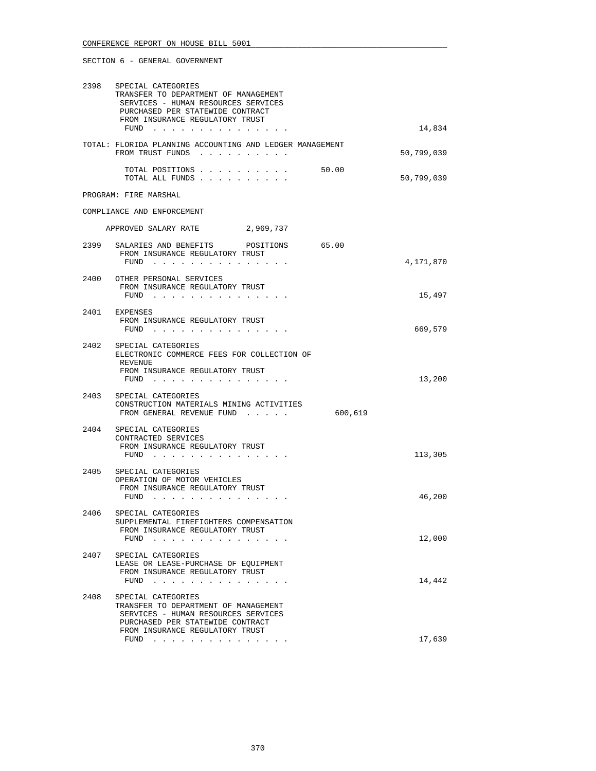| 2398 | SPECIAL CATEGORIES<br>TRANSFER TO DEPARTMENT OF MANAGEMENT<br>SERVICES - HUMAN RESOURCES SERVICES<br>PURCHASED PER STATEWIDE CONTRACT<br>FROM INSURANCE REGULATORY TRUST<br>FUND | 14,834              |
|------|----------------------------------------------------------------------------------------------------------------------------------------------------------------------------------|---------------------|
|      | TOTAL: FLORIDA PLANNING ACCOUNTING AND LEDGER MANAGEMENT<br>FROM TRUST FUNDS                                                                                                     | 50,799,039          |
|      | TOTAL POSITIONS<br>TOTAL ALL FUNDS                                                                                                                                               | 50.00<br>50,799,039 |
|      | PROGRAM: FIRE MARSHAL                                                                                                                                                            |                     |
|      | COMPLIANCE AND ENFORCEMENT                                                                                                                                                       |                     |
|      | APPROVED SALARY RATE<br>2,969,737                                                                                                                                                |                     |
|      | 2399 SALARIES AND BENEFITS POSITIONS 65.00<br>FROM INSURANCE REGULATORY TRUST<br>FUND $\cdots$                                                                                   | 4,171,870           |
|      |                                                                                                                                                                                  |                     |
|      | 2400 OTHER PERSONAL SERVICES<br>FROM INSURANCE REGULATORY TRUST<br>FUND $\cdots$                                                                                                 | 15,497              |
|      | 2401 EXPENSES<br>FROM INSURANCE REGULATORY TRUST<br>FUND                                                                                                                         | 669,579             |
| 2402 | SPECIAL CATEGORIES<br>ELECTRONIC COMMERCE FEES FOR COLLECTION OF<br>REVENUE<br>FROM INSURANCE REGULATORY TRUST<br>FUND $\cdots$                                                  | 13,200              |
| 2403 | SPECIAL CATEGORIES<br>CONSTRUCTION MATERIALS MINING ACTIVITIES<br>FROM GENERAL REVENUE FUND                                                                                      | 600,619             |
| 2404 | SPECIAL CATEGORIES<br>CONTRACTED SERVICES<br>FROM INSURANCE REGULATORY TRUST<br>FUND $\cdots$                                                                                    | 113,305             |
| 2405 | SPECIAL CATEGORIES<br>OPERATION OF MOTOR VEHICLES<br>FROM INSURANCE REGULATORY TRUST<br>FUND                                                                                     | 46,200              |
| 2406 | SPECIAL CATEGORIES<br>SUPPLEMENTAL FIREFIGHTERS COMPENSATION<br>FROM INSURANCE REGULATORY TRUST<br>FUND $\ldots$ $\ldots$ $\ldots$ $\ldots$ $\ldots$ $\ldots$                    | 12,000              |
| 2407 | SPECIAL CATEGORIES<br>LEASE OR LEASE-PURCHASE OF EOUIPMENT<br>FROM INSURANCE REGULATORY TRUST<br>FUND $\cdots$                                                                   | 14,442              |
| 2408 | SPECIAL CATEGORIES<br>TRANSFER TO DEPARTMENT OF MANAGEMENT<br>SERVICES - HUMAN RESOURCES SERVICES<br>PURCHASED PER STATEWIDE CONTRACT<br>FROM INSURANCE REGULATORY TRUST         |                     |
|      | FUND $\cdots$                                                                                                                                                                    | 17,639              |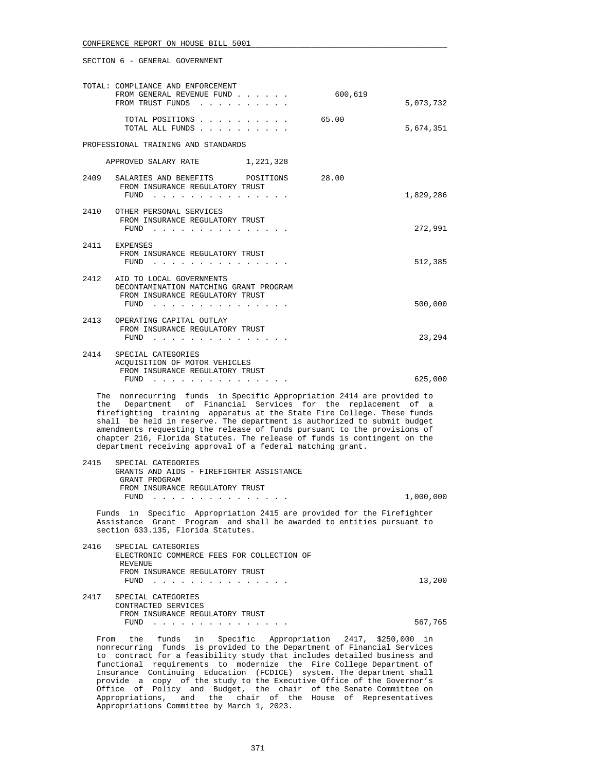|      | TOTAL: COMPLIANCE AND ENFORCEMENT<br>FROM GENERAL REVENUE FUND                                                                                                                                                                                                                                                                                                                                                                                                                                                    | 600,619 |           |
|------|-------------------------------------------------------------------------------------------------------------------------------------------------------------------------------------------------------------------------------------------------------------------------------------------------------------------------------------------------------------------------------------------------------------------------------------------------------------------------------------------------------------------|---------|-----------|
|      | FROM TRUST FUNDS                                                                                                                                                                                                                                                                                                                                                                                                                                                                                                  | 65.00   | 5,073,732 |
|      | TOTAL POSITIONS<br>TOTAL ALL FUNDS                                                                                                                                                                                                                                                                                                                                                                                                                                                                                |         | 5,674,351 |
|      | PROFESSIONAL TRAINING AND STANDARDS                                                                                                                                                                                                                                                                                                                                                                                                                                                                               |         |           |
|      | APPROVED SALARY RATE 1,221,328                                                                                                                                                                                                                                                                                                                                                                                                                                                                                    |         |           |
| 2409 | SALARIES AND BENEFITS<br>POSITIONS<br>FROM INSURANCE REGULATORY TRUST<br>FUND $\cdots$                                                                                                                                                                                                                                                                                                                                                                                                                            | 28.00   | 1,829,286 |
| 2410 | OTHER PERSONAL SERVICES<br>FROM INSURANCE REGULATORY TRUST<br>FUND $\cdots$                                                                                                                                                                                                                                                                                                                                                                                                                                       |         | 272,991   |
| 2411 | EXPENSES<br>FROM INSURANCE REGULATORY TRUST<br>FUND $\cdots$                                                                                                                                                                                                                                                                                                                                                                                                                                                      |         | 512,385   |
| 2412 | AID TO LOCAL GOVERNMENTS<br>DECONTAMINATION MATCHING GRANT PROGRAM<br>FROM INSURANCE REGULATORY TRUST<br>FUND $\cdots$                                                                                                                                                                                                                                                                                                                                                                                            |         | 500,000   |
| 2413 | OPERATING CAPITAL OUTLAY<br>FROM INSURANCE REGULATORY TRUST<br>FUND $\cdots$                                                                                                                                                                                                                                                                                                                                                                                                                                      |         | 23,294    |
| 2414 | SPECIAL CATEGORIES<br>ACQUISITION OF MOTOR VEHICLES<br>FROM INSURANCE REGULATORY TRUST<br>FUND $\cdots$                                                                                                                                                                                                                                                                                                                                                                                                           |         | 625,000   |
|      | The nonrecurring funds in Specific Appropriation 2414 are provided to<br>the Department of Financial Services for the replacement of a<br>firefighting training apparatus at the State Fire College. These funds<br>shall be held in reserve. The department is authorized to submit budget<br>amendments requesting the release of funds pursuant to the provisions of<br>chapter 216, Florida Statutes. The release of funds is contingent on the<br>department receiving approval of a federal matching grant. |         |           |
| 2415 | SPECIAL CATEGORIES<br>GRANTS AND AIDS - FIREFIGHTER ASSISTANCE<br>GRANT PROGRAM<br>FROM INSURANCE REGULATORY TRUST                                                                                                                                                                                                                                                                                                                                                                                                |         |           |
|      | FUND<br>the contract of the contract of the contract of                                                                                                                                                                                                                                                                                                                                                                                                                                                           |         | 1,000,000 |
|      | Funds in Specific Appropriation 2415 are provided for the Firefighter<br>Assistance Grant Program and shall be awarded to entities pursuant to<br>section 633.135, Florida Statutes.                                                                                                                                                                                                                                                                                                                              |         |           |
| 2416 | SPECIAL CATEGORIES<br>ELECTRONIC COMMERCE FEES FOR COLLECTION OF<br>REVENUE<br>FROM INSURANCE REGULATORY TRUST                                                                                                                                                                                                                                                                                                                                                                                                    |         |           |
|      | FUND $\cdots$                                                                                                                                                                                                                                                                                                                                                                                                                                                                                                     |         | 13,200    |
| 2417 | SPECIAL CATEGORIES<br>CONTRACTED SERVICES                                                                                                                                                                                                                                                                                                                                                                                                                                                                         |         |           |
|      | FROM INSURANCE REGULATORY TRUST<br>FUND $\cdots$                                                                                                                                                                                                                                                                                                                                                                                                                                                                  |         | 567,765   |
| From | Specific Appropriation 2417, \$250,000 in<br>the funds in<br>nonrecurring funds is provided to the Department of Financial Services<br>to contract for a feasibility study that includes detailed business and                                                                                                                                                                                                                                                                                                    |         |           |

 to contract for a feasibility study that includes detailed business and functional requirements to modernize the Fire College Department of Insurance Continuing Education (FCDICE) system. The department shall provide a copy of the study to the Executive Office of the Governor's Office of Policy and Budget, the chair of the Senate Committee on Appropriations, and the chair of the House of Representatives Appropriations Committee by March 1, 2023.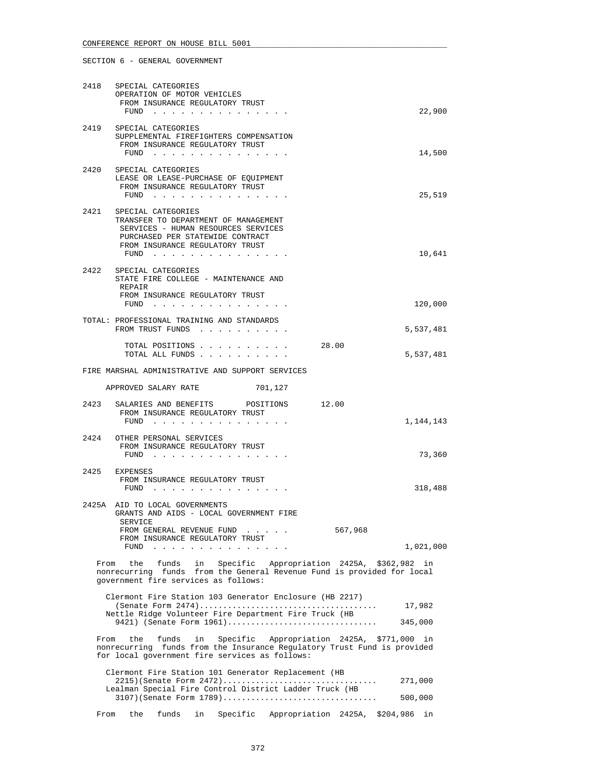# 2418 SPECIAL CATEGORIES OPERATION OF MOTOR VEHICLES FROM INSURANCE REGULATORY TRUST FUND . . . . . . . . . . . . . . . 22,900 2419 SPECIAL CATEGORIES SUPPLEMENTAL FIREFIGHTERS COMPENSATION FROM INSURANCE REGULATORY TRUST FUND . . . . . . . . . . . . . . . 14,500 2420 SPECIAL CATEGORIES LEASE OR LEASE-PURCHASE OF EQUIPMENT FROM INSURANCE REGULATORY TRUST FUND . . . . . . . . . . . . . . . 25,519 2421 SPECIAL CATEGORIES TRANSFER TO DEPARTMENT OF MANAGEMENT SERVICES - HUMAN RESOURCES SERVICES PURCHASED PER STATEWIDE CONTRACT FROM INSURANCE REGULATORY TRUST FUND . . . . . . . . . . . . . . . 10,641 2422 SPECIAL CATEGORIES STATE FIRE COLLEGE - MAINTENANCE AND REPAIR FROM INSURANCE REGULATORY TRUST FUND . . . . . . . . . . . . . . . 120,000 TOTAL: PROFESSIONAL TRAINING AND STANDARDS FROM TRUST FUNDS . . . . . . . . . . 5,537,481 TOTAL POSITIONS . . . . . . . . . . 28.00 TOTAL ALL FUNDS . . . . . . . . . . 5,537,481 FIRE MARSHAL ADMINISTRATIVE AND SUPPORT SERVICES APPROVED SALARY RATE 701,127 2423 SALARIES AND BENEFITS POSITIONS 12.00 FROM INSURANCE REGULATORY TRUST

|       | FUND                                                                                                                                                |         | 1,144,143 |
|-------|-----------------------------------------------------------------------------------------------------------------------------------------------------|---------|-----------|
| 2424  | OTHER PERSONAL SERVICES<br>FROM INSURANCE REGULATORY TRUST<br>FUND                                                                                  |         | 73,360    |
| 2425  | <b>EXPENSES</b><br>FROM INSURANCE REGULATORY TRUST<br>FUND                                                                                          |         | 318,488   |
| 2425A | AID TO LOCAL GOVERNMENTS<br>GRANTS AND AIDS - LOCAL GOVERNMENT FIRE<br>SERVICE<br>FROM GENERAL REVENUE FUND<br>.<br>FROM INSURANCE REGULATORY TRUST | 567,968 |           |

 From the funds in Specific Appropriation 2425A, \$362,982 in nonrecurring funds from the General Revenue Fund is provided for local government fire services as follows:

FUND . . . . . . . . . . . . . . . 1,021,000

| Clermont Fire Station 103 Generator Enclosure (HB 2217) |         |
|---------------------------------------------------------|---------|
|                                                         | 17,982  |
| Nettle Ridge Volunteer Fire Department Fire Truck (HB   |         |
|                                                         | 345,000 |

 From the funds in Specific Appropriation 2425A, \$771,000 in nonrecurring funds from the Insurance Regulatory Trust Fund is provided for local government fire services as follows:

|      |  |  | Clermont Fire Station 101 Generator Replacement (HB     |         |  |
|------|--|--|---------------------------------------------------------|---------|--|
|      |  |  | $2215$ (Senate Form $2472$ )                            | 271,000 |  |
|      |  |  | Lealman Special Fire Control District Ladder Truck (HB  |         |  |
|      |  |  | $3107$ (Senate Form $1789$ )                            | 500,000 |  |
|      |  |  |                                                         |         |  |
| From |  |  | the funds in Specific Appropriation 2425A, \$204,986 in |         |  |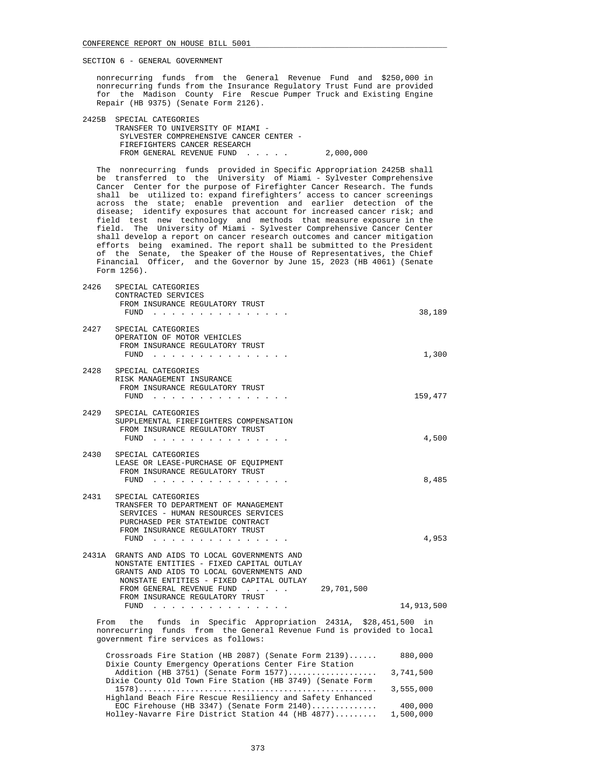nonrecurring funds from the General Revenue Fund and \$250,000 in nonrecurring funds from the Insurance Regulatory Trust Fund are provided for the Madison County Fire Rescue Pumper Truck and Existing Engine Repair (HB 9375) (Senate Form 2126).

| 2425B SPECIAL CATEGORIES                |           |
|-----------------------------------------|-----------|
| TRANSFER TO UNIVERSITY OF MIAMI -       |           |
| SYLVESTER COMPREHENSIVE CANCER CENTER - |           |
| FIREFIGHTERS CANCER RESEARCH            |           |
| FROM GENERAL REVENUE FUND               | 2,000,000 |

 The nonrecurring funds provided in Specific Appropriation 2425B shall be transferred to the University of Miami - Sylvester Comprehensive Cancer Center for the purpose of Firefighter Cancer Research. The funds shall be utilized to: expand firefighters' access to cancer screenings across the state; enable prevention and earlier detection of the disease; identify exposures that account for increased cancer risk; and field test new technology and methods that measure exposure in the field. The University of Miami - Sylvester Comprehensive Cancer Center shall develop a report on cancer research outcomes and cancer mitigation efforts being examined. The report shall be submitted to the President of the Senate, the Speaker of the House of Representatives, the Chief Financial Officer, and the Governor by June 15, 2023 (HB 4061) (Senate Form 1256).

| 2426 | SPECIAL CATEGORIES<br>CONTRACTED SERVICES<br>FROM INSURANCE REGULATORY TRUST<br>FUND<br>the contract of the contract of the contract of the contract of the contract of the contract of the contract of                                                                        | 38,189     |
|------|--------------------------------------------------------------------------------------------------------------------------------------------------------------------------------------------------------------------------------------------------------------------------------|------------|
|      | 2427 SPECIAL CATEGORIES<br>OPERATION OF MOTOR VEHICLES<br>FROM INSURANCE REGULATORY TRUST<br>$FUND$                                                                                                                                                                            | 1,300      |
|      | 2428 SPECIAL CATEGORIES<br>RISK MANAGEMENT INSURANCE<br>FROM INSURANCE REGULATORY TRUST<br>$FUND$                                                                                                                                                                              | 159,477    |
| 2429 | SPECIAL CATEGORIES<br>SUPPLEMENTAL FIREFIGHTERS COMPENSATION<br>FROM INSURANCE REGULATORY TRUST<br>FUND $\cdots$                                                                                                                                                               | 4,500      |
|      | 2430 SPECIAL CATEGORIES<br>LEASE OR LEASE-PURCHASE OF EQUIPMENT<br>FROM INSURANCE REGULATORY TRUST<br>FUND $\cdots$                                                                                                                                                            | 8,485      |
|      | 2431 SPECIAL CATEGORIES<br>TRANSFER TO DEPARTMENT OF MANAGEMENT<br>SERVICES - HUMAN RESOURCES SERVICES<br>PURCHASED PER STATEWIDE CONTRACT<br>FROM INSURANCE REGULATORY TRUST<br>FUND                                                                                          | 4,953      |
|      | 2431A GRANTS AND AIDS TO LOCAL GOVERNMENTS AND<br>NONSTATE ENTITIES - FIXED CAPITAL OUTLAY<br>GRANTS AND AIDS TO LOCAL GOVERNMENTS AND<br>NONSTATE ENTITIES - FIXED CAPITAL OUTLAY<br>FROM GENERAL REVENUE FUND 29,701,500<br>FROM INSURANCE REGULATORY TRUST<br>FUND $\cdots$ | 14,913,500 |
| From | the funds in Specific Appropriation 2431A, \$28,451,500 in<br>nonrecurring funds from the General Revenue Fund is provided to local<br>government fire services as follows:                                                                                                    |            |
|      | Crossroads Fire Station (HB 2087) (Senate Form 2139)                                                                                                                                                                                                                           | 880,000    |

| CLOSSICAUS FILE SCACION (ND 2007) (SENACE FOINT 21337     | 000,000   |
|-----------------------------------------------------------|-----------|
| Dixie County Emergency Operations Center Fire Station     |           |
| Addition (HB 3751) (Senate Form 1577)                     | 3,741,500 |
| Dixie County Old Town Fire Station (HB 3749) (Senate Form |           |
|                                                           | 3,555,000 |
| Highland Beach Fire Rescue Resiliency and Safety Enhanced |           |
| EOC Firehouse (HB 3347) (Senate Form $2140)$              | 400,000   |
| Holley-Navarre Fire District Station 44 (HB 4877)         | 1,500,000 |
|                                                           |           |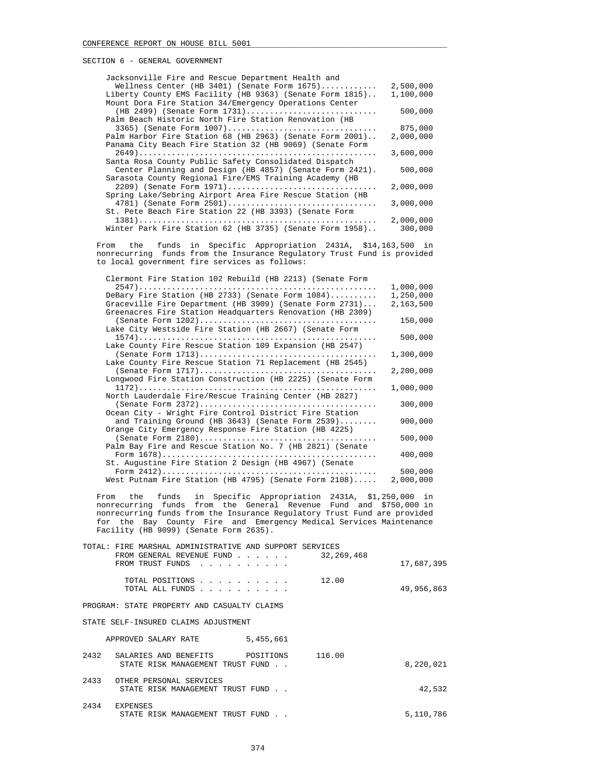| Jacksonville Fire and Rescue Department Health and       |           |
|----------------------------------------------------------|-----------|
| Wellness Center (HB 3401) (Senate Form 1675)             | 2,500,000 |
| Liberty County EMS Facility (HB 9363) (Senate Form 1815) | 1,100,000 |
| Mount Dora Fire Station 34/Emergency Operations Center   |           |
| (HB 2499) (Senate Form 1731)                             | 500,000   |
| Palm Beach Historic North Fire Station Renovation (HB    |           |
| 3365) (Senate Form 1007)                                 | 875,000   |
| Palm Harbor Fire Station 68 (HB 2963) (Senate Form 2001) | 2,000,000 |
| Panama City Beach Fire Station 32 (HB 9069) (Senate Form |           |
|                                                          | 3,600,000 |
| Santa Rosa County Public Safety Consolidated Dispatch    |           |
| Center Planning and Design (HB 4857) (Senate Form 2421). | 500,000   |
| Sarasota County Regional Fire/EMS Training Academy (HB   |           |
| 2209) (Senate Form 1971)                                 | 2,000,000 |
| Spring Lake/Sebring Airport Area Fire Rescue Station (HB |           |
| 4781) (Senate Form 2501)                                 | 3,000,000 |
| St. Pete Beach Fire Station 22 (HB 3393) (Senate Form    |           |
|                                                          | 2,000,000 |
| Winter Park Fire Station 62 (HB 3735) (Senate Form 1958) | 300,000   |

 From the funds in Specific Appropriation 2431A, \$14,163,500 in nonrecurring funds from the Insurance Regulatory Trust Fund is provided to local government fire services as follows:

| Clermont Fire Station 102 Rebuild (HB 2213) (Senate Form  |           |
|-----------------------------------------------------------|-----------|
|                                                           | 1,000,000 |
| DeBary Fire Station (HB 2733) (Senate Form 1084)          | 1,250,000 |
| Graceville Fire Department (HB 3909) (Senate Form 2731)   | 2,163,500 |
| Greenacres Fire Station Headquarters Renovation (HB 2309) |           |
|                                                           | 150,000   |
| Lake City Westside Fire Station (HB 2667) (Senate Form    |           |
|                                                           | 500,000   |
| Lake County Fire Rescue Station 109 Expansion (HB 2547)   |           |
|                                                           | 1,300,000 |
| Lake County Fire Rescue Station 71 Replacement (HB 2545)  |           |
|                                                           | 2,200,000 |
| Longwood Fire Station Construction (HB 2225) (Senate Form | 1,000,000 |
| North Lauderdale Fire/Rescue Training Center (HB 2827)    |           |
|                                                           | 300,000   |
| Ocean City - Wright Fire Control District Fire Station    |           |
| and Training Ground (HB 3643) (Senate Form $2539)$        | 900,000   |
| Orange City Emergency Response Fire Station (HB 4225)     |           |
|                                                           | 500,000   |
| Palm Bay Fire and Rescue Station No. 7 (HB 2821) (Senate  |           |
|                                                           | 400,000   |
| St. Augustine Fire Station 2 Design (HB 4967) (Senate     |           |
|                                                           | 500,000   |
| West Putnam Fire Station (HB 4795) (Senate Form 2108)     | 2,000,000 |

 From the funds in Specific Appropriation 2431A, \$1,250,000 in nonrecurring funds from the General Revenue Fund and \$750,000 in nonrecurring funds from the Insurance Regulatory Trust Fund are provided for the Bay County Fire and Emergency Medical Services Maintenance Facility (HB 9099) (Senate Form 2635).

|      | TOTAL: FIRE MARSHAL ADMINISTRATIVE AND SUPPORT SERVICES                                             |            |
|------|-----------------------------------------------------------------------------------------------------|------------|
|      | 32, 269, 468<br>FROM GENERAL REVENUE FUND<br>$\sim$ $\sim$ $\sim$ $\sim$ $\sim$<br>FROM TRUST FUNDS | 17,687,395 |
|      | 12.00<br>TOTAL POSITIONS<br>and a series and a series of<br>TOTAL ALL FUNDS                         | 49,956,863 |
|      | PROGRAM: STATE PROPERTY AND CASUALTY CLAIMS                                                         |            |
|      | STATE SELF-INSURED CLAIMS ADJUSTMENT                                                                |            |
|      | 5,455,661<br>APPROVED SALARY RATE                                                                   |            |
| 2432 | 116.00<br>SALARIES AND BENEFITS<br>POSITIONS<br>STATE RISK MANAGEMENT TRUST FUND                    | 8,220,021  |
| 2433 | OTHER PERSONAL SERVICES<br>STATE RISK MANAGEMENT TRUST FUND                                         | 42,532     |
| 2434 | <b>EXPENSES</b><br>STATE RISK MANAGEMENT TRUST FUND                                                 | 5,110,786  |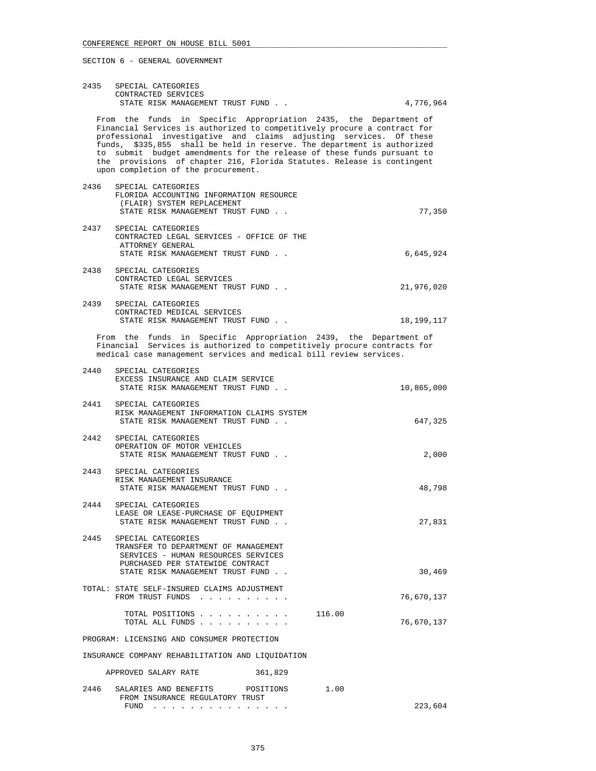|      | 2435 SPECIAL CATEGORIES<br>CONTRACTED SERVICES                                                                                                                                                                                                                                                                                                                                                                                                                                           |                      |
|------|------------------------------------------------------------------------------------------------------------------------------------------------------------------------------------------------------------------------------------------------------------------------------------------------------------------------------------------------------------------------------------------------------------------------------------------------------------------------------------------|----------------------|
|      | STATE RISK MANAGEMENT TRUST FUND                                                                                                                                                                                                                                                                                                                                                                                                                                                         | 4,776,964            |
|      | From the funds in Specific Appropriation 2435, the Department of<br>Financial Services is authorized to competitively procure a contract for<br>professional investigative and claims adjusting services. Of these<br>funds, \$335,855 shall be held in reserve. The department is authorized<br>to submit budget amendments for the release of these funds pursuant to<br>the provisions of chapter 216, Florida Statutes. Release is contingent<br>upon completion of the procurement. |                      |
| 2436 | SPECIAL CATEGORIES                                                                                                                                                                                                                                                                                                                                                                                                                                                                       |                      |
|      | FLORIDA ACCOUNTING INFORMATION RESOURCE<br>(FLAIR) SYSTEM REPLACEMENT                                                                                                                                                                                                                                                                                                                                                                                                                    |                      |
|      | STATE RISK MANAGEMENT TRUST FUND.                                                                                                                                                                                                                                                                                                                                                                                                                                                        | 77,350               |
| 2437 | SPECIAL CATEGORIES<br>CONTRACTED LEGAL SERVICES - OFFICE OF THE<br>ATTORNEY GENERAL<br>STATE RISK MANAGEMENT TRUST FUND.                                                                                                                                                                                                                                                                                                                                                                 | 6,645,924            |
|      | 2438 SPECIAL CATEGORIES                                                                                                                                                                                                                                                                                                                                                                                                                                                                  |                      |
|      | CONTRACTED LEGAL SERVICES<br>STATE RISK MANAGEMENT TRUST FUND                                                                                                                                                                                                                                                                                                                                                                                                                            | 21,976,020           |
| 2439 | SPECIAL CATEGORIES                                                                                                                                                                                                                                                                                                                                                                                                                                                                       |                      |
|      | CONTRACTED MEDICAL SERVICES                                                                                                                                                                                                                                                                                                                                                                                                                                                              |                      |
|      | STATE RISK MANAGEMENT TRUST FUND                                                                                                                                                                                                                                                                                                                                                                                                                                                         | 18,199,117           |
|      | From the funds in Specific Appropriation 2439, the Department of<br>Financial Services is authorized to competitively procure contracts for<br>medical case management services and medical bill review services.                                                                                                                                                                                                                                                                        |                      |
| 2440 | SPECIAL CATEGORIES                                                                                                                                                                                                                                                                                                                                                                                                                                                                       |                      |
|      | EXCESS INSURANCE AND CLAIM SERVICE<br>STATE RISK MANAGEMENT TRUST FUND.                                                                                                                                                                                                                                                                                                                                                                                                                  | 10,865,000           |
|      | 2441 SPECIAL CATEGORIES<br>RISK MANAGEMENT INFORMATION CLAIMS SYSTEM<br>STATE RISK MANAGEMENT TRUST FUND                                                                                                                                                                                                                                                                                                                                                                                 | 647,325              |
| 2442 | SPECIAL CATEGORIES<br>OPERATION OF MOTOR VEHICLES<br>STATE RISK MANAGEMENT TRUST FUND                                                                                                                                                                                                                                                                                                                                                                                                    | 2,000                |
| 2443 | SPECIAL CATEGORIES<br>RISK MANAGEMENT INSURANCE<br>STATE RISK MANAGEMENT TRUST FUND                                                                                                                                                                                                                                                                                                                                                                                                      | 48,798               |
| 2444 | SPECIAL CATEGORIES                                                                                                                                                                                                                                                                                                                                                                                                                                                                       |                      |
|      | LEASE OR LEASE-PURCHASE OF EQUIPMENT<br>STATE RISK MANAGEMENT TRUST FUND                                                                                                                                                                                                                                                                                                                                                                                                                 | 27,831               |
| 2445 | SPECIAL CATEGORIES<br>TRANSFER TO DEPARTMENT OF MANAGEMENT<br>SERVICES - HUMAN RESOURCES SERVICES<br>PURCHASED PER STATEWIDE CONTRACT                                                                                                                                                                                                                                                                                                                                                    |                      |
|      | STATE RISK MANAGEMENT TRUST FUND.                                                                                                                                                                                                                                                                                                                                                                                                                                                        | 30,469               |
|      | TOTAL: STATE SELF-INSURED CLAIMS ADJUSTMENT<br>FROM TRUST FUNDS                                                                                                                                                                                                                                                                                                                                                                                                                          | 76,670,137           |
|      | TOTAL POSITIONS<br>TOTAL ALL FUNDS                                                                                                                                                                                                                                                                                                                                                                                                                                                       | 116.00<br>76,670,137 |
|      | PROGRAM: LICENSING AND CONSUMER PROTECTION                                                                                                                                                                                                                                                                                                                                                                                                                                               |                      |
|      | INSURANCE COMPANY REHABILITATION AND LIQUIDATION                                                                                                                                                                                                                                                                                                                                                                                                                                         |                      |
|      | APPROVED SALARY RATE<br>361,829                                                                                                                                                                                                                                                                                                                                                                                                                                                          |                      |
| 2446 | SALARIES AND BENEFITS<br>POSITIONS<br>FROM INSURANCE REGULATORY TRUST                                                                                                                                                                                                                                                                                                                                                                                                                    | 1.00                 |
|      | FUND $\cdots$ $\cdots$ $\cdots$ $\cdots$ $\cdots$ $\cdots$ $\cdots$                                                                                                                                                                                                                                                                                                                                                                                                                      | 223,604              |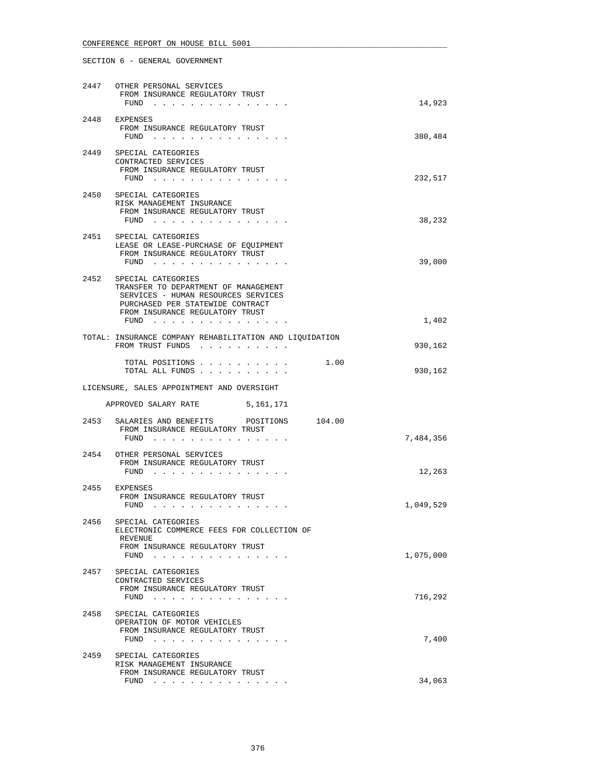|      | 2447 OTHER PERSONAL SERVICES<br>FROM INSURANCE REGULATORY TRUST<br>FUND $\cdots$ $\cdots$ $\cdots$ $\cdots$ $\cdots$ $\cdots$                                                    | 14,923    |
|------|----------------------------------------------------------------------------------------------------------------------------------------------------------------------------------|-----------|
|      | 2448 EXPENSES<br>FROM INSURANCE REGULATORY TRUST<br>FUND $\cdots$                                                                                                                | 380,484   |
|      | 2449 SPECIAL CATEGORIES<br>CONTRACTED SERVICES<br>FROM INSURANCE REGULATORY TRUST<br>FUND                                                                                        | 232,517   |
|      | 2450 SPECIAL CATEGORIES<br>RISK MANAGEMENT INSURANCE<br>FROM INSURANCE REGULATORY TRUST<br>FUND $\cdots$                                                                         | 38,232    |
|      | 2451 SPECIAL CATEGORIES<br>LEASE OR LEASE-PURCHASE OF EQUIPMENT<br>FROM INSURANCE REGULATORY TRUST<br>FUND                                                                       | 39,000    |
| 2452 | SPECIAL CATEGORIES<br>TRANSFER TO DEPARTMENT OF MANAGEMENT<br>SERVICES - HUMAN RESOURCES SERVICES<br>PURCHASED PER STATEWIDE CONTRACT<br>FROM INSURANCE REGULATORY TRUST<br>FUND | 1,402     |
|      | TOTAL: INSURANCE COMPANY REHABILITATION AND LIQUIDATION<br>FROM TRUST FUNDS                                                                                                      | 930,162   |
|      | TOTAL POSITIONS<br>1.00<br>TOTAL ALL FUNDS                                                                                                                                       | 930,162   |
|      | LICENSURE, SALES APPOINTMENT AND OVERSIGHT                                                                                                                                       |           |
|      | APPROVED SALARY RATE 5,161,171                                                                                                                                                   |           |
|      | 2453 SALARIES AND BENEFITS POSITIONS 104.00<br>FROM INSURANCE REGULATORY TRUST<br>FUND $\cdots$                                                                                  | 7,484,356 |
|      | 2454 OTHER PERSONAL SERVICES<br>FROM INSURANCE REGULATORY TRUST<br>FUND                                                                                                          | 12,263    |
| 2455 | EXPENSES<br>FROM INSURANCE REGULATORY TRUST<br>FUND<br>. The second contract is a second contract of the $\mathcal{A}_1$                                                         | 1,049,529 |
| 2456 | SPECIAL CATEGORIES<br>ELECTRONIC COMMERCE FEES FOR COLLECTION OF<br>REVENUE<br>FROM INSURANCE REGULATORY TRUST<br>FUND $\cdots$                                                  | 1,075,000 |
| 2457 | SPECIAL CATEGORIES<br>CONTRACTED SERVICES<br>FROM INSURANCE REGULATORY TRUST<br>FUND $\cdots$                                                                                    | 716,292   |
| 2458 | SPECIAL CATEGORIES<br>OPERATION OF MOTOR VEHICLES<br>FROM INSURANCE REGULATORY TRUST<br>FUND $\cdots$                                                                            | 7,400     |
|      | 2459 SPECIAL CATEGORIES<br>RISK MANAGEMENT INSURANCE<br>FROM INSURANCE REGULATORY TRUST                                                                                          | 34,063    |
|      | FUND $\cdots$ $\cdots$ $\cdots$ $\cdots$ $\cdots$ $\cdots$                                                                                                                       |           |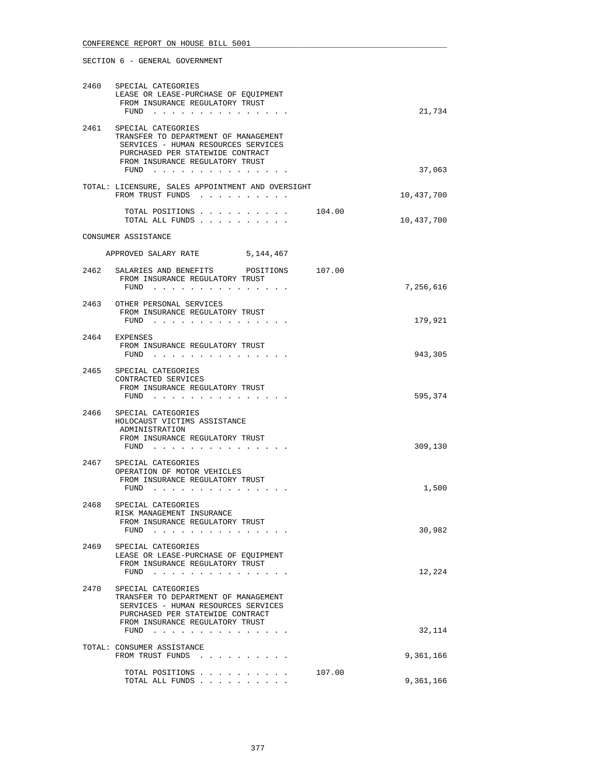| 2461 | 2460 SPECIAL CATEGORIES<br>LEASE OR LEASE-PURCHASE OF EQUIPMENT<br>FROM INSURANCE REGULATORY TRUST<br>FUND $\cdots$<br>SPECIAL CATEGORIES<br>TRANSFER TO DEPARTMENT OF MANAGEMENT |        | 21,734     |
|------|-----------------------------------------------------------------------------------------------------------------------------------------------------------------------------------|--------|------------|
|      | SERVICES - HUMAN RESOURCES SERVICES<br>PURCHASED PER STATEWIDE CONTRACT<br>FROM INSURANCE REGULATORY TRUST<br>FUND                                                                |        | 37,063     |
|      | TOTAL: LICENSURE, SALES APPOINTMENT AND OVERSIGHT<br>FROM TRUST FUNDS                                                                                                             |        | 10,437,700 |
|      | TOTAL POSITIONS 104.00<br>TOTAL ALL FUNDS                                                                                                                                         |        | 10,437,700 |
|      | CONSUMER ASSISTANCE                                                                                                                                                               |        |            |
|      | APPROVED SALARY RATE 5,144,467                                                                                                                                                    |        |            |
|      | 2462 SALARIES AND BENEFITS POSITIONS 107.00<br>FROM INSURANCE REGULATORY TRUST<br>FUND $\cdots$                                                                                   |        | 7,256,616  |
|      | 2463 OTHER PERSONAL SERVICES<br>FROM INSURANCE REGULATORY TRUST<br>FUND                                                                                                           |        | 179,921    |
|      | 2464 EXPENSES<br>FROM INSURANCE REGULATORY TRUST<br>FUND $\cdots$                                                                                                                 |        | 943,305    |
|      | 2465 SPECIAL CATEGORIES<br>CONTRACTED SERVICES<br>FROM INSURANCE REGULATORY TRUST<br>$FUND$                                                                                       |        | 595,374    |
| 2466 | SPECIAL CATEGORIES<br>HOLOCAUST VICTIMS ASSISTANCE<br>ADMINISTRATION<br>FROM INSURANCE REGULATORY TRUST<br>FUND                                                                   |        | 309,130    |
| 2467 | SPECIAL CATEGORIES<br>OPERATION OF MOTOR VEHICLES<br>FROM INSURANCE REGULATORY TRUST<br>FUND                                                                                      |        | 1,500      |
| 2468 | SPECIAL CATEGORIES<br>RISK MANAGEMENT INSURANCE<br>FROM INSURANCE REGULATORY TRUST<br>$FUND$                                                                                      |        | 30,982     |
| 2469 | SPECIAL CATEGORIES<br>LEASE OR LEASE-PURCHASE OF EQUIPMENT<br>FROM INSURANCE REGULATORY TRUST<br>FUND $\cdots$                                                                    |        | 12,224     |
| 2470 | SPECIAL CATEGORIES<br>TRANSFER TO DEPARTMENT OF MANAGEMENT<br>SERVICES - HUMAN RESOURCES SERVICES<br>PURCHASED PER STATEWIDE CONTRACT<br>FROM INSURANCE REGULATORY TRUST          |        |            |
|      | FUND                                                                                                                                                                              |        | 32,114     |
|      | TOTAL: CONSUMER ASSISTANCE<br>FROM TRUST FUNDS                                                                                                                                    |        | 9,361,166  |
|      | TOTAL POSITIONS<br>TOTAL ALL FUNDS                                                                                                                                                | 107.00 | 9,361,166  |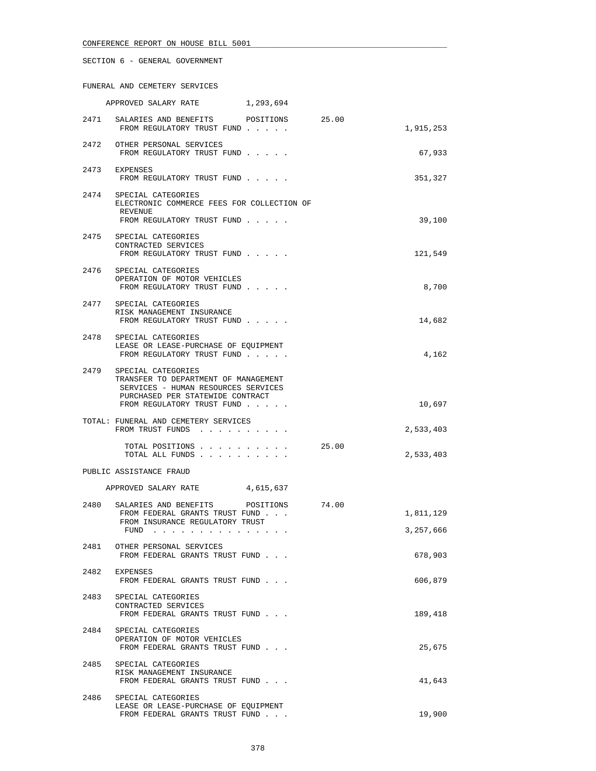FUNERAL AND CEMETERY SERVICES

|      | APPROVED SALARY RATE<br>1,293,694                                                                                                                                                                                                                                                                                                                    |       |                        |
|------|------------------------------------------------------------------------------------------------------------------------------------------------------------------------------------------------------------------------------------------------------------------------------------------------------------------------------------------------------|-------|------------------------|
|      | 2471 SALARIES AND BENEFITS POSITIONS<br>FROM REGULATORY TRUST FUND                                                                                                                                                                                                                                                                                   | 25.00 | 1,915,253              |
|      | 2472 OTHER PERSONAL SERVICES<br>FROM REGULATORY TRUST FUND                                                                                                                                                                                                                                                                                           |       | 67,933                 |
|      | 2473 EXPENSES<br>FROM REGULATORY TRUST FUND                                                                                                                                                                                                                                                                                                          |       | 351,327                |
| 2474 | SPECIAL CATEGORIES<br>ELECTRONIC COMMERCE FEES FOR COLLECTION OF<br>REVENUE<br>FROM REGULATORY TRUST FUND                                                                                                                                                                                                                                            |       | 39,100                 |
|      | 2475 SPECIAL CATEGORIES<br>CONTRACTED SERVICES<br>FROM REGULATORY TRUST FUND                                                                                                                                                                                                                                                                         |       | 121,549                |
| 2476 | SPECIAL CATEGORIES<br>OPERATION OF MOTOR VEHICLES<br>FROM REGULATORY TRUST FUND                                                                                                                                                                                                                                                                      |       | 8,700                  |
|      | 2477 SPECIAL CATEGORIES<br>RISK MANAGEMENT INSURANCE<br>FROM REGULATORY TRUST FUND                                                                                                                                                                                                                                                                   |       | 14,682                 |
|      | 2478 SPECIAL CATEGORIES<br>LEASE OR LEASE-PURCHASE OF EQUIPMENT<br>FROM REGULATORY TRUST FUND                                                                                                                                                                                                                                                        |       | 4,162                  |
| 2479 | SPECIAL CATEGORIES<br>TRANSFER TO DEPARTMENT OF MANAGEMENT<br>SERVICES - HUMAN RESOURCES SERVICES<br>PURCHASED PER STATEWIDE CONTRACT<br>FROM REGULATORY TRUST FUND                                                                                                                                                                                  |       | 10,697                 |
|      | TOTAL: FUNERAL AND CEMETERY SERVICES<br>FROM TRUST FUNDS                                                                                                                                                                                                                                                                                             |       | 2,533,403              |
|      | TOTAL POSITIONS<br>TOTAL ALL FUNDS                                                                                                                                                                                                                                                                                                                   | 25.00 | 2,533,403              |
|      | PUBLIC ASSISTANCE FRAUD                                                                                                                                                                                                                                                                                                                              |       |                        |
|      | APPROVED SALARY RATE 4,615,637                                                                                                                                                                                                                                                                                                                       |       |                        |
| 2480 | SALARIES AND BENEFITS POSITIONS 74.00<br>FROM FEDERAL GRANTS TRUST FUND<br>FROM INSURANCE REGULATORY TRUST<br>FUND<br>the companion of the companion of the companion of the companion of the companion of the companion of the companion of the companion of the companion of the companion of the companion of the companion of the companion of t |       | 1,811,129<br>3,257,666 |
|      | 2481 OTHER PERSONAL SERVICES<br>FROM FEDERAL GRANTS TRUST FUND                                                                                                                                                                                                                                                                                       |       | 678,903                |
|      | 2482 EXPENSES<br>FROM FEDERAL GRANTS TRUST FUND                                                                                                                                                                                                                                                                                                      |       | 606,879                |
| 2483 | SPECIAL CATEGORIES<br>CONTRACTED SERVICES<br>FROM FEDERAL GRANTS TRUST FUND                                                                                                                                                                                                                                                                          |       | 189,418                |
|      | 2484 SPECIAL CATEGORIES<br>OPERATION OF MOTOR VEHICLES<br>FROM FEDERAL GRANTS TRUST FUND                                                                                                                                                                                                                                                             |       | 25,675                 |
|      | 2485 SPECIAL CATEGORIES<br>RISK MANAGEMENT INSURANCE<br>FROM FEDERAL GRANTS TRUST FUND                                                                                                                                                                                                                                                               |       | 41,643                 |
| 2486 | SPECIAL CATEGORIES<br>LEASE OR LEASE-PURCHASE OF EQUIPMENT<br>FROM FEDERAL GRANTS TRUST FUND                                                                                                                                                                                                                                                         |       | 19,900                 |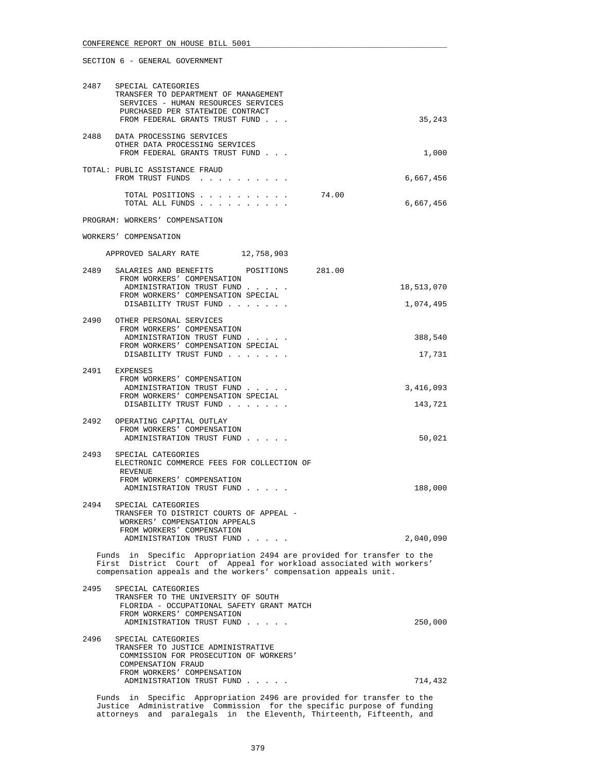|      | 2487 SPECIAL CATEGORIES<br>TRANSFER TO DEPARTMENT OF MANAGEMENT<br>SERVICES - HUMAN RESOURCES SERVICES<br>PURCHASED PER STATEWIDE CONTRACT<br>FROM FEDERAL GRANTS TRUST FUND                                      |                  |       | 35,243     |
|------|-------------------------------------------------------------------------------------------------------------------------------------------------------------------------------------------------------------------|------------------|-------|------------|
|      | 2488 DATA PROCESSING SERVICES<br>OTHER DATA PROCESSING SERVICES<br>FROM FEDERAL GRANTS TRUST FUND                                                                                                                 |                  |       | 1,000      |
|      | TOTAL: PUBLIC ASSISTANCE FRAUD<br>FROM TRUST FUNDS                                                                                                                                                                |                  |       | 6,667,456  |
|      | TOTAL POSITIONS<br>TOTAL ALL FUNDS                                                                                                                                                                                |                  | 74.00 | 6,667,456  |
|      | PROGRAM: WORKERS' COMPENSATION                                                                                                                                                                                    |                  |       |            |
|      | WORKERS' COMPENSATION                                                                                                                                                                                             |                  |       |            |
|      | APPROVED SALARY RATE 12,758,903                                                                                                                                                                                   |                  |       |            |
| 2489 | SALARIES AND BENEFITS                                                                                                                                                                                             | POSITIONS 281.00 |       |            |
|      | FROM WORKERS' COMPENSATION<br>ADMINISTRATION TRUST FUND                                                                                                                                                           |                  |       | 18,513,070 |
|      | FROM WORKERS' COMPENSATION SPECIAL<br>DISABILITY TRUST FUND                                                                                                                                                       |                  |       | 1,074,495  |
|      | 2490 OTHER PERSONAL SERVICES                                                                                                                                                                                      |                  |       |            |
|      | FROM WORKERS' COMPENSATION<br>ADMINISTRATION TRUST FUND                                                                                                                                                           |                  |       | 388,540    |
|      | FROM WORKERS' COMPENSATION SPECIAL<br>DISABILITY TRUST FUND                                                                                                                                                       |                  |       | 17,731     |
| 2491 | EXPENSES                                                                                                                                                                                                          |                  |       |            |
|      | FROM WORKERS' COMPENSATION<br>ADMINISTRATION TRUST FUND                                                                                                                                                           |                  |       | 3,416,093  |
|      | FROM WORKERS' COMPENSATION SPECIAL<br>DISABILITY TRUST FUND                                                                                                                                                       |                  |       | 143,721    |
|      | 2492 OPERATING CAPITAL OUTLAY                                                                                                                                                                                     |                  |       |            |
|      | FROM WORKERS' COMPENSATION<br>ADMINISTRATION TRUST FUND                                                                                                                                                           |                  |       | 50,021     |
| 2493 | SPECIAL CATEGORIES<br>ELECTRONIC COMMERCE FEES FOR COLLECTION OF<br>REVENUE<br>FROM WORKERS' COMPENSATION                                                                                                         |                  |       |            |
|      | ADMINISTRATION TRUST FUND                                                                                                                                                                                         |                  |       | 188,000    |
| 2494 | SPECIAL CATEGORIES<br>TRANSFER TO DISTRICT COURTS OF APPEAL -<br>WORKERS' COMPENSATION APPEALS<br>FROM WORKERS' COMPENSATION                                                                                      |                  |       | 2,040,090  |
|      | ADMINISTRATION TRUST FUND                                                                                                                                                                                         |                  |       |            |
|      | Funds in Specific Appropriation 2494 are provided for transfer to the<br>First District Court of Appeal for workload associated with workers'<br>compensation appeals and the workers' compensation appeals unit. |                  |       |            |
| 2495 | SPECIAL CATEGORIES<br>TRANSFER TO THE UNIVERSITY OF SOUTH<br>FLORIDA - OCCUPATIONAL SAFETY GRANT MATCH<br>FROM WORKERS' COMPENSATION<br>ADMINISTRATION TRUST FUND                                                 |                  |       | 250,000    |
| 2496 | SPECIAL CATEGORIES<br>TRANSFER TO JUSTICE ADMINISTRATIVE<br>COMMISSION FOR PROSECUTION OF WORKERS'<br>COMPENSATION FRAUD<br>FROM WORKERS' COMPENSATION                                                            |                  |       |            |
|      | ADMINISTRATION TRUST FUND                                                                                                                                                                                         |                  |       | 714,432    |

 Funds in Specific Appropriation 2496 are provided for transfer to the Justice Administrative Commission for the specific purpose of funding attorneys and paralegals in the Eleventh, Thirteenth, Fifteenth, and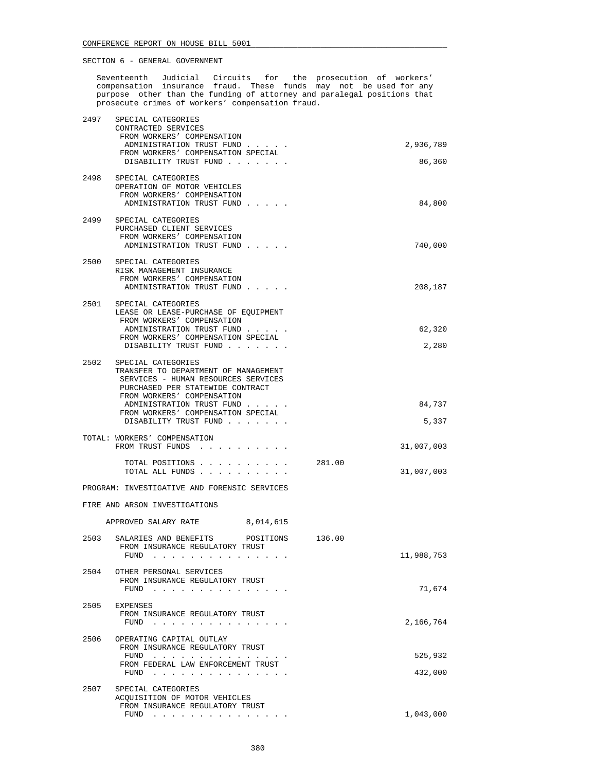Seventeenth Judicial Circuits for the prosecution of workers' compensation insurance fraud. These funds may not be used for any purpose other than the funding of attorney and paralegal positions that prosecute crimes of workers' compensation fraud.

| 2497 | SPECIAL CATEGORIES<br>CONTRACTED SERVICES<br>FROM WORKERS' COMPENSATION                                                                                                                                                               |        |                     |
|------|---------------------------------------------------------------------------------------------------------------------------------------------------------------------------------------------------------------------------------------|--------|---------------------|
|      | ADMINISTRATION TRUST FUND<br>FROM WORKERS' COMPENSATION SPECIAL<br>DISABILITY TRUST FUND                                                                                                                                              |        | 2,936,789<br>86,360 |
| 2498 | SPECIAL CATEGORIES                                                                                                                                                                                                                    |        |                     |
|      | OPERATION OF MOTOR VEHICLES<br>FROM WORKERS' COMPENSATION                                                                                                                                                                             |        |                     |
|      | ADMINISTRATION TRUST FUND                                                                                                                                                                                                             |        | 84,800              |
| 2499 | SPECIAL CATEGORIES<br>PURCHASED CLIENT SERVICES                                                                                                                                                                                       |        |                     |
|      | FROM WORKERS' COMPENSATION<br>ADMINISTRATION TRUST FUND                                                                                                                                                                               |        | 740,000             |
| 2500 | SPECIAL CATEGORIES                                                                                                                                                                                                                    |        |                     |
|      | RISK MANAGEMENT INSURANCE<br>FROM WORKERS' COMPENSATION<br>ADMINISTRATION TRUST FUND                                                                                                                                                  |        | 208,187             |
| 2501 | SPECIAL CATEGORIES                                                                                                                                                                                                                    |        |                     |
|      | LEASE OR LEASE-PURCHASE OF EQUIPMENT<br>FROM WORKERS' COMPENSATION                                                                                                                                                                    |        |                     |
|      | ADMINISTRATION TRUST FUND<br>FROM WORKERS' COMPENSATION SPECIAL                                                                                                                                                                       |        | 62,320              |
|      | DISABILITY TRUST FUND                                                                                                                                                                                                                 |        | 2,280               |
| 2502 | SPECIAL CATEGORIES<br>TRANSFER TO DEPARTMENT OF MANAGEMENT<br>SERVICES - HUMAN RESOURCES SERVICES<br>PURCHASED PER STATEWIDE CONTRACT                                                                                                 |        |                     |
|      | FROM WORKERS' COMPENSATION<br>ADMINISTRATION TRUST FUND                                                                                                                                                                               |        | 84,737              |
|      | FROM WORKERS' COMPENSATION SPECIAL<br>DISABILITY TRUST FUND                                                                                                                                                                           |        | 5,337               |
|      | TOTAL: WORKERS' COMPENSATION<br>FROM TRUST FUNDS                                                                                                                                                                                      |        | 31,007,003          |
|      | TOTAL POSITIONS                                                                                                                                                                                                                       | 281.00 |                     |
|      | TOTAL ALL FUNDS                                                                                                                                                                                                                       |        | 31,007,003          |
|      | PROGRAM: INVESTIGATIVE AND FORENSIC SERVICES                                                                                                                                                                                          |        |                     |
|      | FIRE AND ARSON INVESTIGATIONS                                                                                                                                                                                                         |        |                     |
|      | APPROVED SALARY RATE 8,014,615                                                                                                                                                                                                        |        |                     |
| 2503 | SALARIES AND BENEFITS POSITIONS<br>FROM INSURANCE REGULATORY TRUST                                                                                                                                                                    | 136.00 |                     |
|      | FUND<br>. The contract of the contract of the contract of the contract of the contract of the contract of the contract of the contract of the contract of the contract of the contract of the contract of the contract of the contrac |        | 11,988,753          |
| 2504 | OTHER PERSONAL SERVICES<br>FROM INSURANCE REGULATORY TRUST<br>FUND                                                                                                                                                                    |        | 71,674              |
| 2505 | EXPENSES                                                                                                                                                                                                                              |        |                     |
|      | FROM INSURANCE REGULATORY TRUST<br>FUND<br>the contract of the contract of the contract of                                                                                                                                            |        | 2,166,764           |
| 2506 | OPERATING CAPITAL OUTLAY<br>FROM INSURANCE REGULATORY TRUST                                                                                                                                                                           |        | 525,932             |
|      | FUND<br>FROM FEDERAL LAW ENFORCEMENT TRUST<br>FUND<br>the contract of the contract of the contract of the                                                                                                                             |        | 432,000             |
| 2507 | SPECIAL CATEGORIES                                                                                                                                                                                                                    |        |                     |
|      | ACQUISITION OF MOTOR VEHICLES<br>FROM INSURANCE REGULATORY TRUST                                                                                                                                                                      |        |                     |
|      | FUND<br>the contract of the contract of the contract of the contract of the contract of the contract of the contract of                                                                                                               |        | 1,043,000           |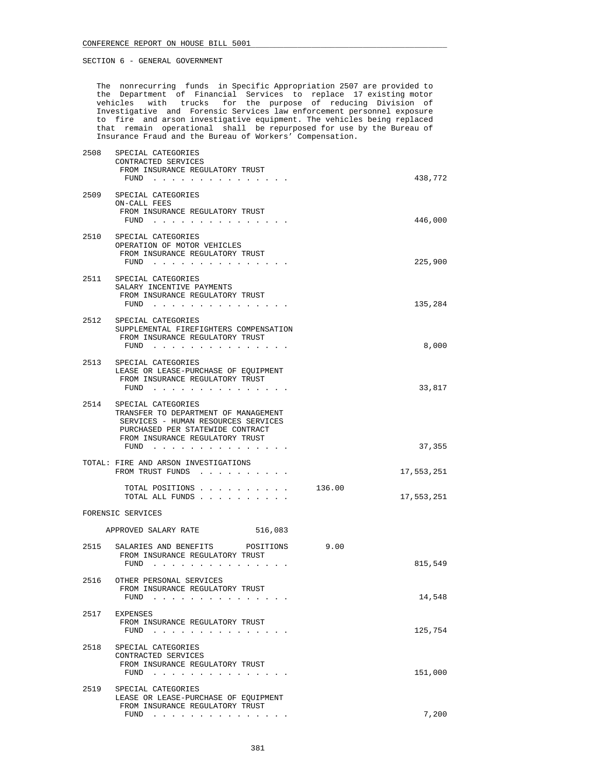The nonrecurring funds in Specific Appropriation 2507 are provided to the Department of Financial Services to replace 17 existing motor vehicles with trucks for the purpose of reducing Division of Investigative and Forensic Services law enforcement personnel exposure to fire and arson investigative equipment. The vehicles being replaced that remain operational shall be repurposed for use by the Bureau of Insurance Fraud and the Bureau of Workers' Compensation.

| 2508 | SPECIAL CATEGORIES<br>CONTRACTED SERVICES<br>FROM INSURANCE REGULATORY TRUST<br>FUND $\cdots$                                                                                             |        | 438,772    |
|------|-------------------------------------------------------------------------------------------------------------------------------------------------------------------------------------------|--------|------------|
| 2509 | SPECIAL CATEGORIES<br>ON-CALL FEES<br>FROM INSURANCE REGULATORY TRUST<br>FUND $\cdots$                                                                                                    |        | 446,000    |
| 2510 | SPECIAL CATEGORIES<br>OPERATION OF MOTOR VEHICLES<br>FROM INSURANCE REGULATORY TRUST<br>FUND                                                                                              |        | 225,900    |
|      | 2511 SPECIAL CATEGORIES<br>SALARY INCENTIVE PAYMENTS<br>FROM INSURANCE REGULATORY TRUST<br>FUND $\cdots$                                                                                  |        | 135,284    |
|      | 2512 SPECIAL CATEGORIES<br>SUPPLEMENTAL FIREFIGHTERS COMPENSATION<br>FROM INSURANCE REGULATORY TRUST<br>FUND                                                                              |        | 8,000      |
| 2513 | SPECIAL CATEGORIES<br>LEASE OR LEASE-PURCHASE OF EQUIPMENT<br>FROM INSURANCE REGULATORY TRUST<br>FUND $\cdots$                                                                            |        | 33,817     |
| 2514 | SPECIAL CATEGORIES<br>TRANSFER TO DEPARTMENT OF MANAGEMENT<br>SERVICES - HUMAN RESOURCES SERVICES<br>PURCHASED PER STATEWIDE CONTRACT<br>FROM INSURANCE REGULATORY TRUST<br>FUND $\cdots$ |        | 37,355     |
|      | TOTAL: FIRE AND ARSON INVESTIGATIONS<br>FROM TRUST FUNDS                                                                                                                                  |        | 17,553,251 |
|      | TOTAL POSITIONS<br>TOTAL ALL FUNDS                                                                                                                                                        | 136.00 | 17,553,251 |
|      | FORENSIC SERVICES                                                                                                                                                                         |        |            |
|      | APPROVED SALARY RATE<br>516,083                                                                                                                                                           |        |            |
| 2515 | SALARIES AND BENEFITS POSITIONS<br>FROM INSURANCE REGULATORY TRUST<br>$FUND$                                                                                                              | 9.00   | 815,549    |
| 2516 | OTHER PERSONAL SERVICES<br>FROM INSURANCE REGULATORY TRUST<br>FUND<br>and a series of the contract of                                                                                     |        | 14,548     |
| 2517 | EXPENSES<br>FROM INSURANCE REGULATORY TRUST<br>FUND $\cdots$                                                                                                                              |        | 125,754    |
| 2518 | SPECIAL CATEGORIES<br>CONTRACTED SERVICES<br>FROM INSURANCE REGULATORY TRUST<br>FUND $\cdots$                                                                                             |        | 151,000    |
| 2519 | SPECIAL CATEGORIES<br>LEASE OR LEASE-PURCHASE OF EQUIPMENT<br>FROM INSURANCE REGULATORY TRUST                                                                                             |        |            |
|      | FUND $\cdots$                                                                                                                                                                             |        | 7,200      |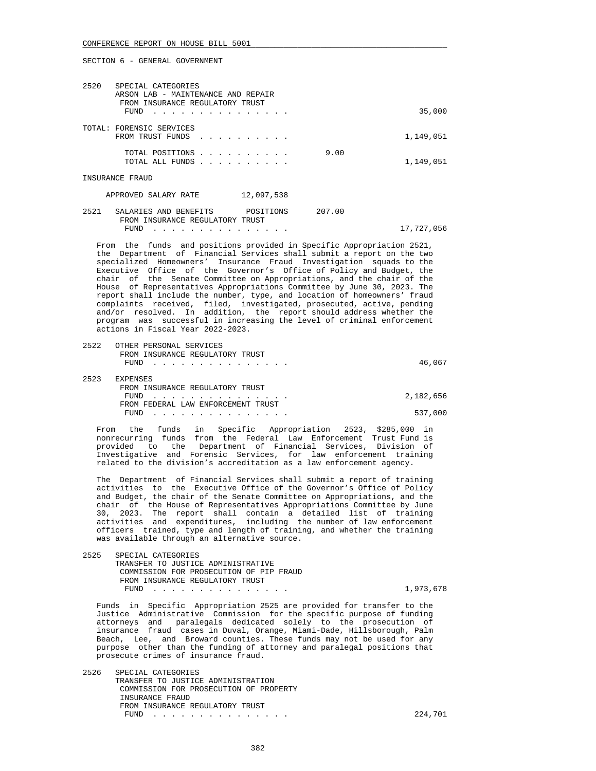#### CONFERENCE REPORT ON HOUSE BILL 5001

SECTION 6 - GENERAL GOVERNMENT

| 2520<br>SPECIAL CATEGORIES<br>ARSON LAB - MAINTENANCE AND REPAIR<br>FROM INSURANCE REGULATORY TRUST<br>FUND |                                                                                                                 |        | 35,000     |
|-------------------------------------------------------------------------------------------------------------|-----------------------------------------------------------------------------------------------------------------|--------|------------|
| TOTAL: FORENSIC SERVICES<br>FROM TRUST FUNDS                                                                | the contract of the contract of the contract of the contract of the contract of the contract of the contract of |        | 1,149,051  |
| TOTAL POSITIONS<br>TOTAL ALL FUNDS                                                                          |                                                                                                                 | 9.00   | 1,149,051  |
| INSURANCE FRAUD                                                                                             |                                                                                                                 |        |            |
| APPROVED SALARY RATE                                                                                        | 12,097,538                                                                                                      |        |            |
| 2521<br>SALARIES AND BENEFITS<br>FROM INSURANCE REGULATORY TRUST                                            | POSITIONS                                                                                                       | 207.00 |            |
| FUND                                                                                                        |                                                                                                                 |        | 17,727,056 |

 From the funds and positions provided in Specific Appropriation 2521, the Department of Financial Services shall submit a report on the two specialized Homeowners' Insurance Fraud Investigation squads to the Executive Office of the Governor's Office of Policy and Budget, the chair of the Senate Committee on Appropriations, and the chair of the House of Representatives Appropriations Committee by June 30, 2023. The report shall include the number, type, and location of homeowners' fraud complaints received, filed, investigated, prosecuted, active, pending and/or resolved. In addition, the report should address whether the program was successful in increasing the level of criminal enforcement actions in Fiscal Year 2022-2023.

2522 OTHER PERSONAL SERVICES

|      | FROM INSURANCE REGULATORY TRUST    |           |
|------|------------------------------------|-----------|
|      | $FUND$                             | 46,067    |
| 2523 | EXPENSES                           |           |
|      | FROM INSURANCE REGULATORY TRUST    |           |
|      | FUND                               | 2,182,656 |
|      | FROM FEDERAL LAW ENFORCEMENT TRUST |           |
|      | FUND                               | 537,000   |

 From the funds in Specific Appropriation 2523, \$285,000 in nonrecurring funds from the Federal Law Enforcement Trust Fund is provided to the Department of Financial Services, Division of Investigative and Forensic Services, for law enforcement training related to the division's accreditation as a law enforcement agency.

 The Department of Financial Services shall submit a report of training activities to the Executive Office of the Governor's Office of Policy and Budget, the chair of the Senate Committee on Appropriations, and the chair of the House of Representatives Appropriations Committee by June 30, 2023. The report shall contain a detailed list of training activities and expenditures, including the number of law enforcement officers trained, type and length of training, and whether the training was available through an alternative source.

 2525 SPECIAL CATEGORIES TRANSFER TO JUSTICE ADMINISTRATIVE COMMISSION FOR PROSECUTION OF PIP FRAUD FROM INSURANCE REGULATORY TRUST FUND . . . . . . . . . . . . . . . 1,973,678

 Funds in Specific Appropriation 2525 are provided for transfer to the Justice Administrative Commission for the specific purpose of funding attorneys and paralegals dedicated solely to the prosecution of insurance fraud cases in Duval, Orange, Miami-Dade, Hillsborough, Palm Beach, Lee, and Broward counties. These funds may not be used for any purpose other than the funding of attorney and paralegal positions that prosecute crimes of insurance fraud.

 2526 SPECIAL CATEGORIES TRANSFER TO JUSTICE ADMINISTRATION COMMISSION FOR PROSECUTION OF PROPERTY INSURANCE FRAUD FROM INSURANCE REGULATORY TRUST FUND . . . . . . . . . . . . . . . 224,701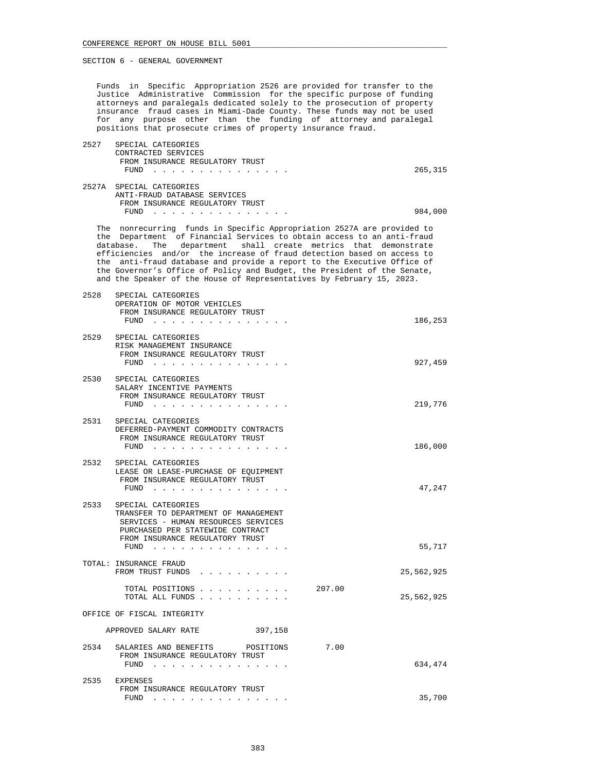Funds in Specific Appropriation 2526 are provided for transfer to the Justice Administrative Commission for the specific purpose of funding attorneys and paralegals dedicated solely to the prosecution of property insurance fraud cases in Miami-Dade County. These funds may not be used for any purpose other than the funding of attorney and paralegal positions that prosecute crimes of property insurance fraud.

| 2527  | SPECIAL CATEGORIES                                                 |         |
|-------|--------------------------------------------------------------------|---------|
|       | CONTRACTED SERVICES                                                |         |
|       | FROM INSURANCE REGULATORY TRUST                                    |         |
|       | FUND                                                               | 265,315 |
| 2527A | SPECIAL CATEGORIES                                                 |         |
|       | ANTI-FRAUD DATABASE SERVICES                                       |         |
|       | FROM INSURANCE REGULATORY TRUST                                    |         |
|       | FUND                                                               | 984,000 |
| The   | nonrecurring funds in Specific Appropriation 2527A are provided to |         |

 the Department of Financial Services to obtain access to an anti-fraud database. The department shall create metrics that demonstrate efficiencies and/or the increase of fraud detection based on access to the anti-fraud database and provide a report to the Executive Office of the Governor's Office of Policy and Budget, the President of the Senate, and the Speaker of the House of Representatives by February 15, 2023.

| 2528 | SPECIAL CATEGORIES<br>OPERATION OF MOTOR VEHICLES<br>FROM INSURANCE REGULATORY TRUST<br>FUND $\cdots$                                                                              |        | 186,253    |
|------|------------------------------------------------------------------------------------------------------------------------------------------------------------------------------------|--------|------------|
| 2529 | SPECIAL CATEGORIES<br>RISK MANAGEMENT INSURANCE<br>FROM INSURANCE REGULATORY TRUST<br>$FUND$                                                                                       |        | 927,459    |
| 2530 | SPECIAL CATEGORIES<br>SALARY INCENTIVE PAYMENTS<br>FROM INSURANCE REGULATORY TRUST<br>$FUND$                                                                                       |        | 219,776    |
| 2531 | SPECIAL CATEGORIES<br>DEFERRED-PAYMENT COMMODITY CONTRACTS<br>FROM INSURANCE REGULATORY TRUST<br>FUND                                                                              |        | 186,000    |
| 2532 | SPECIAL CATEGORIES<br>LEASE OR LEASE-PURCHASE OF EQUIPMENT<br>FROM INSURANCE REGULATORY TRUST<br>FUND                                                                              |        | 47,247     |
| 2533 | SPECIAL CATEGORIES<br>TRANSFER TO DEPARTMENT OF MANAGEMENT<br>SERVICES - HUMAN RESOURCES SERVICES<br>PURCHASED PER STATEWIDE CONTRACT<br>FROM INSURANCE REGULATORY TRUST<br>$FUND$ |        | 55,717     |
|      | TOTAL: INSURANCE FRAUD<br>FROM TRUST FUNDS                                                                                                                                         |        | 25,562,925 |
|      | TOTAL POSITIONS<br>TOTAL ALL FUNDS                                                                                                                                                 | 207.00 | 25,562,925 |
|      | OFFICE OF FISCAL INTEGRITY                                                                                                                                                         |        |            |
|      | APPROVED SALARY RATE<br>397,158                                                                                                                                                    |        |            |
| 2534 | SALARIES AND BENEFITS<br>POSITIONS<br>FROM INSURANCE REGULATORY TRUST<br>FUND                                                                                                      | 7.00   | 634,474    |
| 2535 | EXPENSES<br>FROM INSURANCE REGULATORY TRUST<br>FUND<br>.                                                                                                                           |        | 35,700     |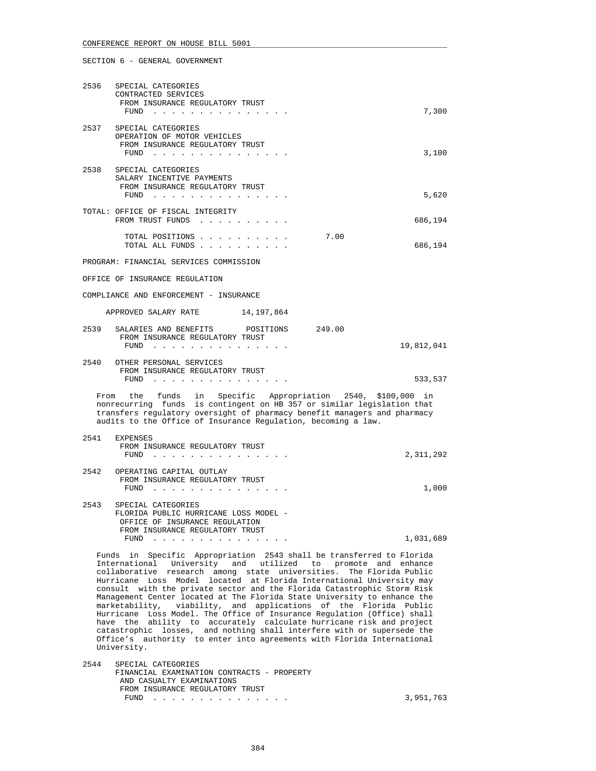| 2536   | SPECIAL CATEGORIES<br>CONTRACTED SERVICES<br>FROM INSURANCE REGULATORY TRUST<br>FUND         | 7,300   |
|--------|----------------------------------------------------------------------------------------------|---------|
| 2537   | SPECIAL CATEGORIES<br>OPERATION OF MOTOR VEHICLES<br>FROM INSURANCE REGULATORY TRUST<br>FUND | 3,100   |
| 2538   | SPECIAL CATEGORIES<br>SALARY INCENTIVE PAYMENTS<br>FROM INSURANCE REGULATORY TRUST<br>FUND   | 5,620   |
| TOTAL: | OFFICE OF FISCAL INTEGRITY<br>FROM TRUST FUNDS                                               | 686,194 |
|        | 7.00<br>TOTAL POSITIONS<br>TOTAL ALL FUNDS<br>$\sim$ $\sim$ $\sim$ $\sim$<br>$\sim$          | 686,194 |

PROGRAM: FINANCIAL SERVICES COMMISSION

OFFICE OF INSURANCE REGULATION

COMPLIANCE AND ENFORCEMENT - INSURANCE

| 14,197,864 |  | APPROVED SALARY RATE |  |
|------------|--|----------------------|--|
|            |  |                      |  |

| 2539 | SALARIES AND BENEFITS POSITIONS<br>FROM INSURANCE REGULATORY TRUST<br>FUND | 249.00 | 19,812,041 |
|------|----------------------------------------------------------------------------|--------|------------|
| 2540 | OTHER PERSONAL SERVICES                                                    |        |            |

 FROM INSURANCE REGULATORY TRUST FUND . . . . . . . . . . . . . . . 533,537

 From the funds in Specific Appropriation 2540, \$100,000 in nonrecurring funds is contingent on HB 357 or similar legislation that transfers regulatory oversight of pharmacy benefit managers and pharmacy audits to the Office of Insurance Regulation, becoming a law.

| 2541 | <b>EXPENSES</b><br>FROM INSURANCE REGULATORY TRUST<br>FUND                                                                               | 2,311,292 |
|------|------------------------------------------------------------------------------------------------------------------------------------------|-----------|
| 2542 | OPERATING CAPITAL OUTLAY<br>FROM INSURANCE REGULATORY TRUST<br>FUND                                                                      | 1,000     |
| 2543 | SPECIAL CATEGORIES<br>FLORIDA PUBLIC HURRICANE LOSS MODEL -<br>OFFICE OF INSURANCE REGULATION<br>FROM INSURANCE REGULATORY TRUST<br>FUND | 1,031,689 |
|      |                                                                                                                                          |           |

 Funds in Specific Appropriation 2543 shall be transferred to Florida International University and utilized to promote and enhance collaborative research among state universities. The Florida Public Hurricane Loss Model located at Florida International University may consult with the private sector and the Florida Catastrophic Storm Risk Management Center located at The Florida State University to enhance the marketability, viability, and applications of the Florida Public Hurricane Loss Model. The Office of Insurance Regulation (Office) shall have the ability to accurately calculate hurricane risk and project catastrophic losses, and nothing shall interfere with or supersede the Office's authority to enter into agreements with Florida International University.

 2544 SPECIAL CATEGORIES FINANCIAL EXAMINATION CONTRACTS - PROPERTY AND CASUALTY EXAMINATIONS FROM INSURANCE REGULATORY TRUST<br>FUND  $\cdots$ FUND . . . . . . . . . . . . . . . 3,951,763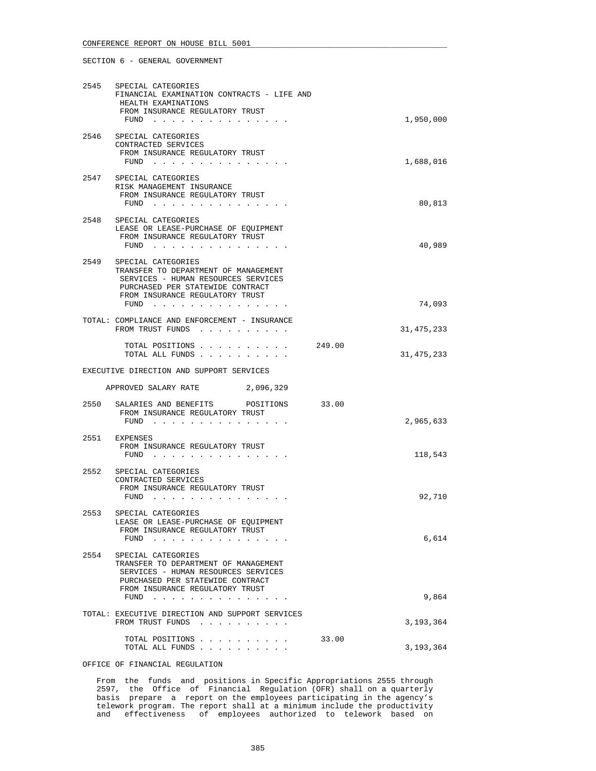## CONFERENCE REPORT ON HOUSE BILL 5001

SECTION 6 - GENERAL GOVERNMENT

| 2545 | SPECIAL CATEGORIES<br>FINANCIAL EXAMINATION CONTRACTS - LIFE AND<br>HEALTH EXAMINATIONS<br>FROM INSURANCE REGULATORY TRUST<br>FUND $\cdots$                                      | 1,950,000          |
|------|----------------------------------------------------------------------------------------------------------------------------------------------------------------------------------|--------------------|
|      | 2546 SPECIAL CATEGORIES<br>CONTRACTED SERVICES<br>FROM INSURANCE REGULATORY TRUST<br>FUND $\cdots$                                                                               | 1,688,016          |
| 2547 | SPECIAL CATEGORIES<br>RISK MANAGEMENT INSURANCE<br>FROM INSURANCE REGULATORY TRUST<br>FUND                                                                                       | 80,813             |
| 2548 | SPECIAL CATEGORIES<br>LEASE OR LEASE-PURCHASE OF EQUIPMENT<br>FROM INSURANCE REGULATORY TRUST<br>FUND                                                                            | 40,989             |
| 2549 | SPECIAL CATEGORIES<br>TRANSFER TO DEPARTMENT OF MANAGEMENT<br>SERVICES - HUMAN RESOURCES SERVICES<br>PURCHASED PER STATEWIDE CONTRACT<br>FROM INSURANCE REGULATORY TRUST<br>FUND | 74,093             |
|      | TOTAL: COMPLIANCE AND ENFORCEMENT - INSURANCE<br>FROM TRUST FUNDS                                                                                                                | 31, 475, 233       |
|      | TOTAL POSITIONS 249.00<br>TOTAL ALL FUNDS                                                                                                                                        | 31, 475, 233       |
|      |                                                                                                                                                                                  |                    |
|      | EXECUTIVE DIRECTION AND SUPPORT SERVICES                                                                                                                                         |                    |
|      | APPROVED SALARY RATE<br>2,096,329                                                                                                                                                |                    |
|      | 2550 SALARIES AND BENEFITS POSITIONS<br>FROM INSURANCE REGULATORY TRUST<br>FUND $\cdots$                                                                                         | 33.00<br>2,965,633 |
|      | 2551 EXPENSES<br>FROM INSURANCE REGULATORY TRUST<br>FUND                                                                                                                         | 118,543            |
| 2552 | SPECIAL CATEGORIES<br>CONTRACTED SERVICES<br>FROM INSURANCE REGULATORY TRUST<br>$FUND$                                                                                           | 92,710             |
| 2553 | SPECIAL CATEGORIES<br>LEASE OR LEASE-PURCHASE OF EQUIPMENT<br>FROM INSURANCE REGULATORY TRUST<br>FUND<br>المناطر المناطر المناطر المناطر المناطر المناطر                         | 6,614              |
| 2554 | SPECIAL CATEGORIES<br>TRANSFER TO DEPARTMENT OF MANAGEMENT<br>SERVICES - HUMAN RESOURCES SERVICES<br>PURCHASED PER STATEWIDE CONTRACT<br>FROM INSURANCE REGULATORY TRUST         |                    |
|      | FUND<br>and the contract of the contract of                                                                                                                                      | 9,864              |
|      | TOTAL: EXECUTIVE DIRECTION AND SUPPORT SERVICES<br>FROM TRUST FUNDS<br>TOTAL POSITIONS                                                                                           | 3,193,364<br>33.00 |

OFFICE OF FINANCIAL REGULATION

 From the funds and positions in Specific Appropriations 2555 through 2597, the Office of Financial Regulation (OFR) shall on a quarterly basis prepare a report on the employees participating in the agency's telework program. The report shall at a minimum include the productivity and effectiveness of employees authorized to telework based on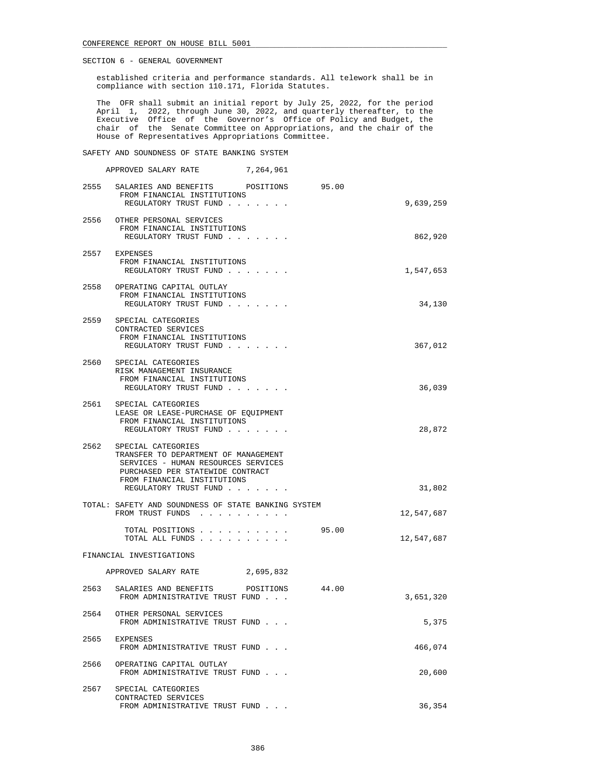established criteria and performance standards. All telework shall be in compliance with section 110.171, Florida Statutes.

 The OFR shall submit an initial report by July 25, 2022, for the period April 1, 2022, through June 30, 2022, and quarterly thereafter, to the Executive Office of the Governor's Office of Policy and Budget, the chair of the Senate Committee on Appropriations, and the chair of the House of Representatives Appropriations Committee.

SAFETY AND SOUNDNESS OF STATE BANKING SYSTEM

|      | APPROVED SALARY RATE                                                                                                                                                                          | 7,264,961 |       |            |
|------|-----------------------------------------------------------------------------------------------------------------------------------------------------------------------------------------------|-----------|-------|------------|
|      | 2555 SALARIES AND BENEFITS POSITIONS 95.00<br>FROM FINANCIAL INSTITUTIONS<br>REGULATORY TRUST FUND                                                                                            |           |       | 9,639,259  |
|      | 2556 OTHER PERSONAL SERVICES<br>FROM FINANCIAL INSTITUTIONS<br>REGULATORY TRUST FUND                                                                                                          |           |       | 862,920    |
|      | 2557 EXPENSES<br>FROM FINANCIAL INSTITUTIONS<br>REGULATORY TRUST FUND                                                                                                                         |           |       | 1,547,653  |
|      | 2558 OPERATING CAPITAL OUTLAY<br>FROM FINANCIAL INSTITUTIONS<br>REGULATORY TRUST FUND                                                                                                         |           |       | 34,130     |
|      | 2559 SPECIAL CATEGORIES<br>CONTRACTED SERVICES<br>FROM FINANCIAL INSTITUTIONS<br>REGULATORY TRUST FUND                                                                                        |           |       | 367,012    |
|      | 2560 SPECIAL CATEGORIES<br>RISK MANAGEMENT INSURANCE<br>FROM FINANCIAL INSTITUTIONS<br>REGULATORY TRUST FUND                                                                                  |           |       | 36,039     |
|      | 2561 SPECIAL CATEGORIES<br>LEASE OR LEASE-PURCHASE OF EOUIPMENT<br>FROM FINANCIAL INSTITUTIONS<br>REGULATORY TRUST FUND                                                                       |           |       | 28,872     |
| 2562 | SPECIAL CATEGORIES<br>TRANSFER TO DEPARTMENT OF MANAGEMENT<br>SERVICES - HUMAN RESOURCES SERVICES<br>PURCHASED PER STATEWIDE CONTRACT<br>FROM FINANCIAL INSTITUTIONS<br>REGULATORY TRUST FUND |           |       | 31,802     |
|      | TOTAL: SAFETY AND SOUNDNESS OF STATE BANKING SYSTEM<br>FROM TRUST FUNDS                                                                                                                       |           |       | 12,547,687 |
|      | TOTAL POSITIONS<br>TOTAL ALL FUNDS                                                                                                                                                            |           | 95.00 | 12,547,687 |
|      | FINANCIAL INVESTIGATIONS                                                                                                                                                                      |           |       |            |
|      | APPROVED SALARY RATE 2,695,832                                                                                                                                                                |           |       |            |
| 2563 | SALARIES AND BENEFITS POSITIONS<br>FROM ADMINISTRATIVE TRUST FUND                                                                                                                             |           | 44.00 | 3,651,320  |
| 2564 | OTHER PERSONAL SERVICES<br>FROM ADMINISTRATIVE TRUST FUND                                                                                                                                     |           |       | 5,375      |
| 2565 | EXPENSES<br>FROM ADMINISTRATIVE TRUST FUND                                                                                                                                                    |           |       | 466,074    |
| 2566 | OPERATING CAPITAL OUTLAY<br>FROM ADMINISTRATIVE TRUST FUND                                                                                                                                    |           |       | 20,600     |
| 2567 | SPECIAL CATEGORIES<br>CONTRACTED SERVICES<br>FROM ADMINISTRATIVE TRUST FUND                                                                                                                   |           |       | 36,354     |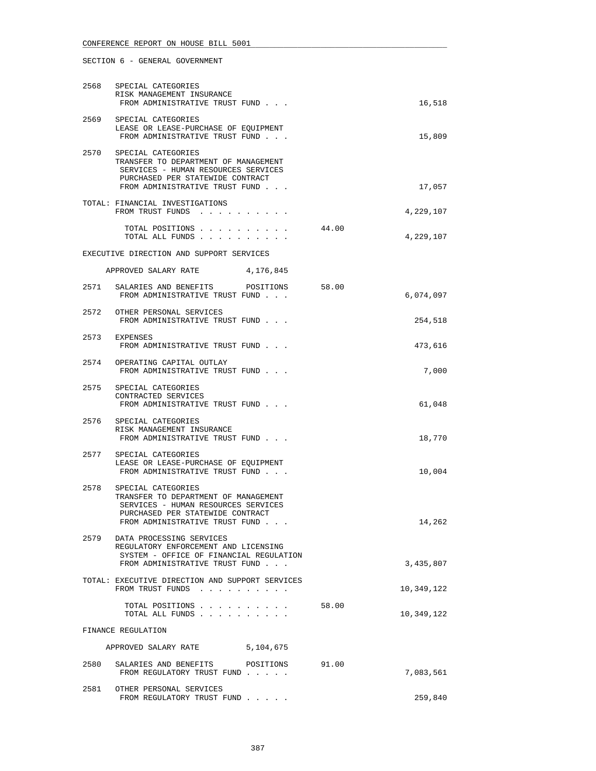| 2568 | SPECIAL CATEGORIES<br>RISK MANAGEMENT INSURANCE<br>FROM ADMINISTRATIVE TRUST FUND                                                                                       | 16,518    |
|------|-------------------------------------------------------------------------------------------------------------------------------------------------------------------------|-----------|
| 2569 | SPECIAL CATEGORIES<br>LEASE OR LEASE-PURCHASE OF EQUIPMENT<br>FROM ADMINISTRATIVE TRUST FUND                                                                            | 15,809    |
| 2570 | SPECIAL CATEGORIES<br>TRANSFER TO DEPARTMENT OF MANAGEMENT<br>SERVICES - HUMAN RESOURCES SERVICES<br>PURCHASED PER STATEWIDE CONTRACT<br>FROM ADMINISTRATIVE TRUST FUND | 17,057    |
|      | TOTAL: FINANCIAL INVESTIGATIONS<br>FROM TRUST FUNDS<br>.                                                                                                                | 4,229,107 |
|      | 44.00<br>TOTAL POSITIONS<br>and a series of the contract of<br>TOTAL ALL FUNDS                                                                                          | 4,229,107 |

## EXECUTIVE DIRECTION AND SUPPORT SERVICES

| 4,176,845<br>APPROVED SALARY RATE |  |
|-----------------------------------|--|
|-----------------------------------|--|

| 2571 | SALARIES AND BENEFITS<br>FROM ADMINISTRATIVE TRUST FUND                     | POSITIONS | 58.00 | 6,074,097 |
|------|-----------------------------------------------------------------------------|-----------|-------|-----------|
| 2572 | OTHER PERSONAL SERVICES<br>FROM ADMINISTRATIVE TRUST FUND                   |           |       | 254,518   |
| 2573 | <b>EXPENSES</b><br>FROM ADMINISTRATIVE TRUST FUND                           |           |       | 473,616   |
| 2574 | OPERATING CAPITAL OUTLAY<br>FROM ADMINISTRATIVE TRUST FUND                  |           |       | 7,000     |
| 2575 | SPECIAL CATEGORIES<br>CONTRACTED SERVICES<br>FROM ADMINISTRATIVE TRUST FUND |           |       | 61,048    |
| 2576 | SPECIAL CATEGORIES                                                          |           |       |           |

|      | RISK MANAGEMENT INSURANCE<br>FROM ADMINISTRATIVE TRUST FUND | 18,770 |
|------|-------------------------------------------------------------|--------|
| 2577 | SPECIAL CATEGORIES                                          |        |

|      | LEASE OR LEASE-PURCHASE OF EOUIPMENT<br>FROM ADMINISTRATIVE TRUST FUND                                                                | 10,004    |
|------|---------------------------------------------------------------------------------------------------------------------------------------|-----------|
| 2578 | SPECIAL CATEGORIES<br>TRANSFER TO DEPARTMENT OF MANAGEMENT<br>SERVICES - HUMAN RESOURCES SERVICES<br>PURCHASED PER STATEWIDE CONTRACT |           |
|      | FROM ADMINISTRATIVE TRUST FUND                                                                                                        | 14,262    |
| 2579 | DATA PROCESSING SERVICES<br>REGULATORY ENFORCEMENT AND LICENSING<br>SYSTEM - OFFICE OF FINANCIAL REGULATION                           |           |
|      | FROM ADMINISTRATIVE TRUST FUND                                                                                                        | 3,435,807 |
|      |                                                                                                                                       |           |

# TOTAL: EXECUTIVE DIRECTION AND SUPPORT SERVICES FROM TRUST FUNDS . . . . . . . . . . . . . . . . . . 10,349,122 TOTAL POSITIONS . . . . . . . . . . 58.00 TOTAL ALL FUNDS . . . . . . . . . . 10,349,122 FINANCE REGULATION APPROVED SALARY RATE 5,104,675 2580 SALARIES AND BENEFITS POSITIONS 91.00

| 2.7001 | publication of the contraction of the contraction of the contraction of the contraction of the contraction of<br>FROM REGULATORY TRUST FUND |  | 7,083,561 |
|--------|---------------------------------------------------------------------------------------------------------------------------------------------|--|-----------|
| 2581   | OTHER PERSONAL SERVICES<br>FROM REGULATORY TRUST FUND                                                                                       |  | 259,840   |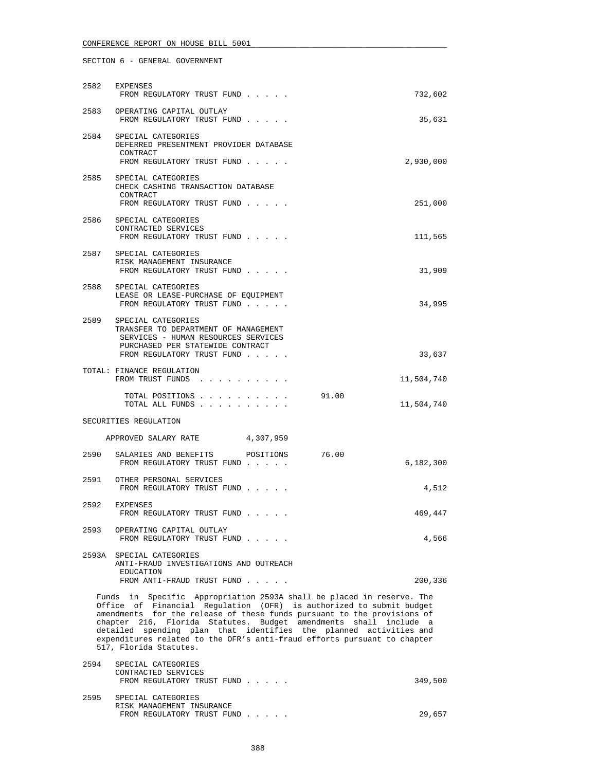# CONFERENCE REPORT ON HOUSE BILL 5001

|                                                                                                                                                                                                                                                                                                                                                                                                                                                                        | 2582 EXPENSES<br>FROM REGULATORY TRUST FUND                                                                                                                              | 732,602    |  |
|------------------------------------------------------------------------------------------------------------------------------------------------------------------------------------------------------------------------------------------------------------------------------------------------------------------------------------------------------------------------------------------------------------------------------------------------------------------------|--------------------------------------------------------------------------------------------------------------------------------------------------------------------------|------------|--|
|                                                                                                                                                                                                                                                                                                                                                                                                                                                                        | 2583 OPERATING CAPITAL OUTLAY<br>FROM REGULATORY TRUST FUND                                                                                                              | 35,631     |  |
|                                                                                                                                                                                                                                                                                                                                                                                                                                                                        | 2584 SPECIAL CATEGORIES<br>DEFERRED PRESENTMENT PROVIDER DATABASE<br>CONTRACT<br>FROM REGULATORY TRUST FUND                                                              | 2,930,000  |  |
| 2585                                                                                                                                                                                                                                                                                                                                                                                                                                                                   | SPECIAL CATEGORIES<br>CHECK CASHING TRANSACTION DATABASE<br>CONTRACT<br>FROM REGULATORY TRUST FUND                                                                       | 251,000    |  |
|                                                                                                                                                                                                                                                                                                                                                                                                                                                                        | 2586 SPECIAL CATEGORIES<br>CONTRACTED SERVICES<br>FROM REGULATORY TRUST FUND                                                                                             | 111,565    |  |
|                                                                                                                                                                                                                                                                                                                                                                                                                                                                        | 2587 SPECIAL CATEGORIES<br>RISK MANAGEMENT INSURANCE<br>FROM REGULATORY TRUST FUND                                                                                       | 31,909     |  |
|                                                                                                                                                                                                                                                                                                                                                                                                                                                                        | 2588 SPECIAL CATEGORIES<br>LEASE OR LEASE-PURCHASE OF EQUIPMENT<br>FROM REGULATORY TRUST FUND                                                                            | 34,995     |  |
|                                                                                                                                                                                                                                                                                                                                                                                                                                                                        | 2589 SPECIAL CATEGORIES<br>TRANSFER TO DEPARTMENT OF MANAGEMENT<br>SERVICES - HUMAN RESOURCES SERVICES<br>PURCHASED PER STATEWIDE CONTRACT<br>FROM REGULATORY TRUST FUND | 33,637     |  |
|                                                                                                                                                                                                                                                                                                                                                                                                                                                                        | TOTAL: FINANCE REGULATION<br>FROM TRUST FUNDS                                                                                                                            | 11,504,740 |  |
|                                                                                                                                                                                                                                                                                                                                                                                                                                                                        | TOTAL POSITIONS<br>91.00<br>TOTAL ALL FUNDS                                                                                                                              | 11,504,740 |  |
|                                                                                                                                                                                                                                                                                                                                                                                                                                                                        | SECURITIES REGULATION                                                                                                                                                    |            |  |
|                                                                                                                                                                                                                                                                                                                                                                                                                                                                        | APPROVED SALARY RATE 4,307,959                                                                                                                                           |            |  |
| 2590                                                                                                                                                                                                                                                                                                                                                                                                                                                                   | SALARIES AND BENEFITS<br>76.00<br>POSITIONS<br>FROM REGULATORY TRUST FUND                                                                                                | 6,182,300  |  |
|                                                                                                                                                                                                                                                                                                                                                                                                                                                                        | 2591 OTHER PERSONAL SERVICES<br>FROM REGULATORY TRUST FUND                                                                                                               | 4,512      |  |
|                                                                                                                                                                                                                                                                                                                                                                                                                                                                        | 2592 EXPENSES<br>FROM REGULATORY TRUST FUND                                                                                                                              | 469,447    |  |
| 2593                                                                                                                                                                                                                                                                                                                                                                                                                                                                   | OPERATING CAPITAL OUTLAY<br>FROM REGULATORY TRUST FUND                                                                                                                   | 4,566      |  |
|                                                                                                                                                                                                                                                                                                                                                                                                                                                                        | 2593A SPECIAL CATEGORIES<br>ANTI-FRAUD INVESTIGATIONS AND OUTREACH<br>EDUCATION<br>FROM ANTI-FRAUD TRUST FUND                                                            | 200,336    |  |
| Funds in Specific Appropriation 2593A shall be placed in reserve. The<br>Office of Financial Regulation (OFR) is authorized to submit budget<br>amendments for the release of these funds pursuant to the provisions of<br>chapter 216, Florida Statutes. Budget amendments shall include a<br>detailed spending plan that identifies the planned activities and<br>expenditures related to the OFR's anti-fraud efforts pursuant to chapter<br>517, Florida Statutes. |                                                                                                                                                                          |            |  |

| 2594 | SPECIAL CATEGORIES<br>CONTRACTED SERVICES<br>FROM REGULATORY TRUST FUND       | 349,500 |
|------|-------------------------------------------------------------------------------|---------|
| 2595 | SPECIAL CATEGORIES<br>RISK MANAGEMENT INSURANCE<br>FROM REGULATORY TRUST FUND | 29,657  |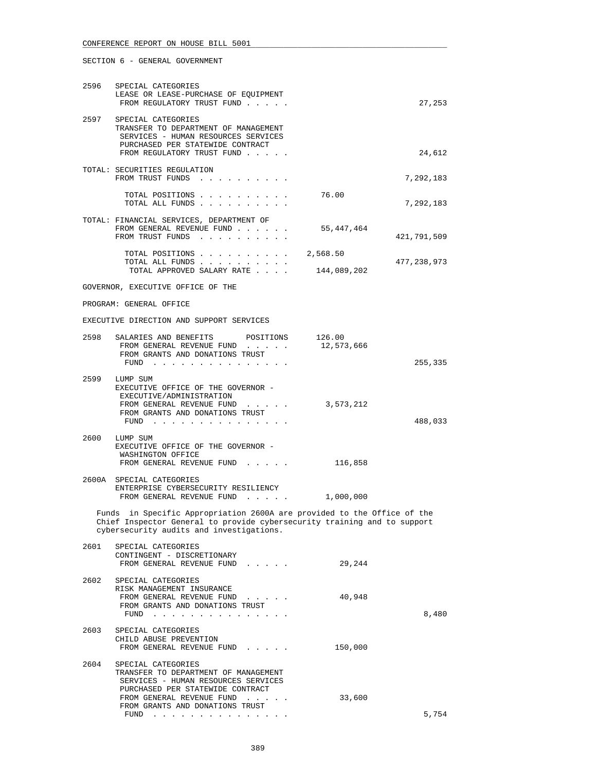|      | 2596 SPECIAL CATEGORIES<br>LEASE OR LEASE-PURCHASE OF EQUIPMENT<br>FROM REGULATORY TRUST FUND                                                                                                   |                      | 27,253      |
|------|-------------------------------------------------------------------------------------------------------------------------------------------------------------------------------------------------|----------------------|-------------|
| 2597 | SPECIAL CATEGORIES<br>TRANSFER TO DEPARTMENT OF MANAGEMENT<br>SERVICES - HUMAN RESOURCES SERVICES<br>PURCHASED PER STATEWIDE CONTRACT<br>FROM REGULATORY TRUST FUND                             |                      | 24,612      |
|      | TOTAL: SECURITIES REGULATION<br>FROM TRUST FUNDS                                                                                                                                                |                      | 7,292,183   |
|      | TOTAL POSITIONS<br>TOTAL ALL FUNDS                                                                                                                                                              | 76.00                | 7,292,183   |
|      | TOTAL: FINANCIAL SERVICES, DEPARTMENT OF<br>FROM GENERAL REVENUE FUND<br>FROM TRUST FUNDS                                                                                                       | 55,447,464           | 421,791,509 |
|      | TOTAL POSITIONS $\ldots$ , 2,568.50<br>TOTAL ALL FUNDS<br>TOTAL APPROVED SALARY RATE                                                                                                            | 144,089,202          | 477,238,973 |
|      | GOVERNOR, EXECUTIVE OFFICE OF THE                                                                                                                                                               |                      |             |
|      | PROGRAM: GENERAL OFFICE                                                                                                                                                                         |                      |             |
|      | EXECUTIVE DIRECTION AND SUPPORT SERVICES                                                                                                                                                        |                      |             |
| 2598 | SALARIES AND BENEFITS POSITIONS<br>FROM GENERAL REVENUE FUND<br>FROM GRANTS AND DONATIONS TRUST<br>FUND $\cdots$                                                                                | 126.00<br>12,573,666 | 255,335     |
|      | 2599 LUMP SUM<br>EXECUTIVE OFFICE OF THE GOVERNOR -<br>EXECUTIVE/ADMINISTRATION<br>FROM GENERAL REVENUE FUND<br>FROM GRANTS AND DONATIONS TRUST<br>FUND                                         | 3,573,212            | 488,033     |
|      | 2600 LUMP SUM<br>EXECUTIVE OFFICE OF THE GOVERNOR -<br>WASHINGTON OFFICE<br>FROM GENERAL REVENUE FUND                                                                                           | 116,858              |             |
|      | 2600A SPECIAL CATEGORIES<br>ENTERPRISE CYBERSECURITY RESILIENCY<br>FROM GENERAL REVENUE FUND                                                                                                    | 1,000,000            |             |
|      | Funds in Specific Appropriation 2600A are provided to the Office of the<br>Chief Inspector General to provide cybersecurity training and to support<br>cybersecurity audits and investigations. |                      |             |
| 2601 | SPECIAL CATEGORIES<br>CONTINGENT - DISCRETIONARY<br>FROM GENERAL REVENUE FUND                                                                                                                   | 29,244               |             |
| 2602 | SPECIAL CATEGORIES<br>RISK MANAGEMENT INSURANCE<br>FROM GENERAL REVENUE FUND<br>FROM GRANTS AND DONATIONS TRUST<br>FUND $\cdots$                                                                | 40,948               | 8,480       |
| 2603 | SPECIAL CATEGORIES<br>CHILD ABUSE PREVENTION<br>FROM GENERAL REVENUE FUND                                                                                                                       | 150,000              |             |
| 2604 | SPECIAL CATEGORIES<br>TRANSFER TO DEPARTMENT OF MANAGEMENT<br>SERVICES - HUMAN RESOURCES SERVICES                                                                                               |                      |             |

FUND . . . . . . . . . . . . . . . 5,754

FROM GENERAL REVENUE FUND . . . . . . 33,600

PURCHASED PER STATEWIDE CONTRACT

FROM GRANTS AND DONATIONS TRUST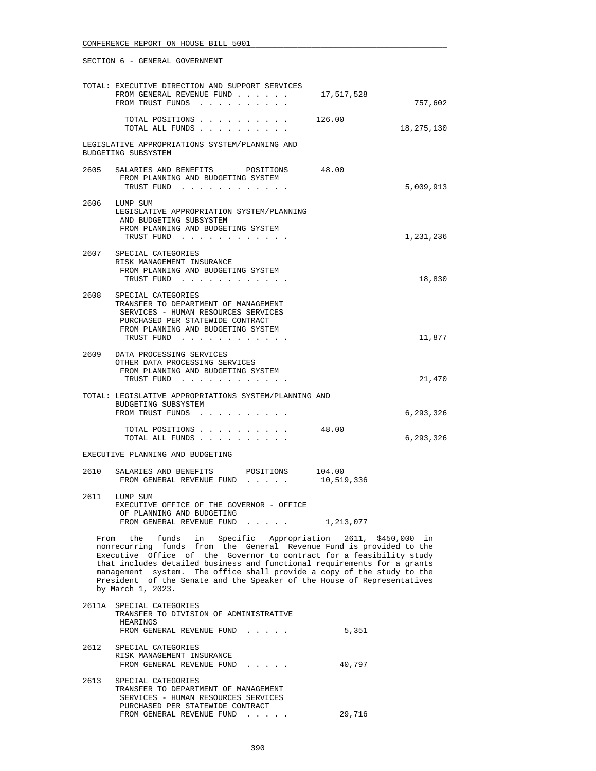|      | TOTAL: EXECUTIVE DIRECTION AND SUPPORT SERVICES<br>FROM GENERAL REVENUE FUND<br>FROM TRUST FUNDS                                                                                                                                                                                                                                                                                                                                                                 | 17,517,528 | 757,602    |
|------|------------------------------------------------------------------------------------------------------------------------------------------------------------------------------------------------------------------------------------------------------------------------------------------------------------------------------------------------------------------------------------------------------------------------------------------------------------------|------------|------------|
|      | TOTAL POSITIONS 126.00<br>TOTAL ALL FUNDS                                                                                                                                                                                                                                                                                                                                                                                                                        |            | 18,275,130 |
|      | LEGISLATIVE APPROPRIATIONS SYSTEM/PLANNING AND<br>BUDGETING SUBSYSTEM                                                                                                                                                                                                                                                                                                                                                                                            |            |            |
| 2605 | SALARIES AND BENEFITS POSITIONS<br>FROM PLANNING AND BUDGETING SYSTEM<br>TRUST FUND                                                                                                                                                                                                                                                                                                                                                                              | 48.00      | 5,009,913  |
|      | 2606 LUMP SUM<br>LEGISLATIVE APPROPRIATION SYSTEM/PLANNING<br>AND BUDGETING SUBSYSTEM<br>FROM PLANNING AND BUDGETING SYSTEM<br>TRUST FUND                                                                                                                                                                                                                                                                                                                        |            | 1,231,236  |
|      | 2607 SPECIAL CATEGORIES<br>RISK MANAGEMENT INSURANCE<br>FROM PLANNING AND BUDGETING SYSTEM<br>TRUST FUND                                                                                                                                                                                                                                                                                                                                                         |            | 18,830     |
| 2608 | SPECIAL CATEGORIES<br>TRANSFER TO DEPARTMENT OF MANAGEMENT<br>SERVICES - HUMAN RESOURCES SERVICES<br>PURCHASED PER STATEWIDE CONTRACT<br>FROM PLANNING AND BUDGETING SYSTEM<br>TRUST FUND                                                                                                                                                                                                                                                                        |            | 11,877     |
|      | 2609 DATA PROCESSING SERVICES<br>OTHER DATA PROCESSING SERVICES<br>FROM PLANNING AND BUDGETING SYSTEM<br>TRUST FUND                                                                                                                                                                                                                                                                                                                                              |            | 21,470     |
|      | TOTAL: LEGISLATIVE APPROPRIATIONS SYSTEM/PLANNING AND<br>BUDGETING SUBSYSTEM<br>FROM TRUST FUNDS                                                                                                                                                                                                                                                                                                                                                                 |            | 6,293,326  |
|      | TOTAL POSITIONS<br>TOTAL ALL FUNDS                                                                                                                                                                                                                                                                                                                                                                                                                               | 48.00      | 6,293,326  |
|      | EXECUTIVE PLANNING AND BUDGETING                                                                                                                                                                                                                                                                                                                                                                                                                                 |            |            |
| 2610 | SALARIES AND BENEFITS POSITIONS 104.00<br>FROM GENERAL REVENUE FUND 10,519,336                                                                                                                                                                                                                                                                                                                                                                                   |            |            |
| 2611 | LUMP SUM<br>EXECUTIVE OFFICE OF THE GOVERNOR - OFFICE<br>OF PLANNING AND BUDGETING<br>FROM GENERAL REVENUE FUND                                                                                                                                                                                                                                                                                                                                                  | 1,213,077  |            |
|      | From the funds in Specific Appropriation 2611, \$450,000 in<br>nonrecurring funds from the General Revenue Fund is provided to the<br>Executive Office of the Governor to contract for a feasibility study<br>that includes detailed business and functional requirements for a grants<br>management system. The office shall provide a copy of the study to the<br>President of the Senate and the Speaker of the House of Representatives<br>by March 1, 2023. |            |            |
|      | 2611A SPECIAL CATEGORIES<br>TRANSFER TO DIVISION OF ADMINISTRATIVE<br>HEARINGS<br>FROM GENERAL REVENUE FUND                                                                                                                                                                                                                                                                                                                                                      | 5,351      |            |
| 2612 | SPECIAL CATEGORIES<br>RISK MANAGEMENT INSURANCE<br>FROM GENERAL REVENUE FUND                                                                                                                                                                                                                                                                                                                                                                                     | 40,797     |            |
| 2613 | SPECIAL CATEGORIES<br>TRANSFER TO DEPARTMENT OF MANAGEMENT<br>SERVICES - HUMAN RESOURCES SERVICES<br>PURCHASED PER STATEWIDE CONTRACT                                                                                                                                                                                                                                                                                                                            |            |            |

FROM GENERAL REVENUE FUND . . . . . 29,716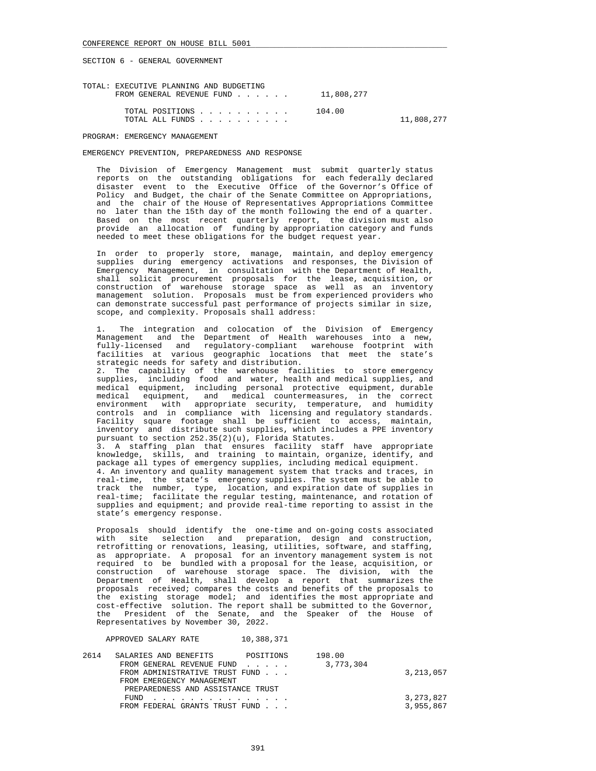| TOTAL: EXECUTIVE PLANNING AND BUDGETING<br>FROM GENERAL REVENUE FUND $\ldots$ $\ldots$ 11,808,277 |            |
|---------------------------------------------------------------------------------------------------|------------|
| 104.00<br>TOTAL POSITIONS<br>TOTAL ALL FUNDS                                                      | 11,808,277 |

PROGRAM: EMERGENCY MANAGEMENT

#### EMERGENCY PREVENTION, PREPAREDNESS AND RESPONSE

 The Division of Emergency Management must submit quarterly status reports on the outstanding obligations for each federally declared disaster event to the Executive Office of the Governor's Office of Policy and Budget, the chair of the Senate Committee on Appropriations, and the chair of the House of Representatives Appropriations Committee no later than the 15th day of the month following the end of a quarter. Based on the most recent quarterly report, the division must also provide an allocation of funding by appropriation category and funds needed to meet these obligations for the budget request year.

 In order to properly store, manage, maintain, and deploy emergency supplies during emergency activations and responses, the Division of Emergency Management, in consultation with the Department of Health, shall solicit procurement proposals for the lease, acquisition, or construction of warehouse storage space as well as an inventory management solution. Proposals must be from experienced providers who can demonstrate successful past performance of projects similar in size, scope, and complexity. Proposals shall address:

 1. The integration and colocation of the Division of Emergency Management and the Department of Health warehouses into a new, fully-licensed and regulatory-compliant warehouse footprint with facilities at various geographic locations that meet the state's strategic needs for safety and distribution.

 2. The capability of the warehouse facilities to store emergency supplies, including food and water, health and medical supplies, and medical equipment, including personal protective equipment, durable medical equipment, and medical countermeasures, in the correct environment with appropriate security, temperature, and humidity controls and in compliance with licensing and regulatory standards. Facility square footage shall be sufficient to access, maintain, inventory and distribute such supplies, which includes a PPE inventory pursuant to section 252.35(2)(u), Florida Statutes.

 3. A staffing plan that ensures facility staff have appropriate knowledge, skills, and training to maintain, organize, identify, and package all types of emergency supplies, including medical equipment. 4. An inventory and quality management system that tracks and traces, in real-time, the state's emergency supplies. The system must be able to track the number, type, location, and expiration date of supplies in real-time; facilitate the regular testing, maintenance, and rotation of supplies and equipment; and provide real-time reporting to assist in the state's emergency response.

 Proposals should identify the one-time and on-going costs associated with site selection and preparation, design and construction, retrofitting or renovations, leasing, utilities, software, and staffing, as appropriate. A proposal for an inventory management system is not required to be bundled with a proposal for the lease, acquisition, or construction of warehouse storage space. The division, with the Department of Health, shall develop a report that summarizes the proposals received; compares the costs and benefits of the proposals to the existing storage model; and identifies the most appropriate and cost-effective solution. The report shall be submitted to the Governor, the President of the Senate, and the Speaker of the House of Representatives by November 30, 2022.

APPROVED SALARY RATE 10,388,371

| 2614 | SALARIES AND BENEFITS             | POSITIONS | 198.00    |             |
|------|-----------------------------------|-----------|-----------|-------------|
|      | FROM GENERAL REVENUE FUND         |           | 3,773,304 |             |
|      | FROM ADMINISTRATIVE TRUST FUND    |           |           | 3, 213, 057 |
|      | FROM EMERGENCY MANAGEMENT         |           |           |             |
|      | PREPAREDNESS AND ASSISTANCE TRUST |           |           |             |
|      | FUND.<br><u>.</u>                 |           |           | 3,273,827   |
|      | FROM FEDERAL GRANTS TRUST FUND    |           |           | 3,955,867   |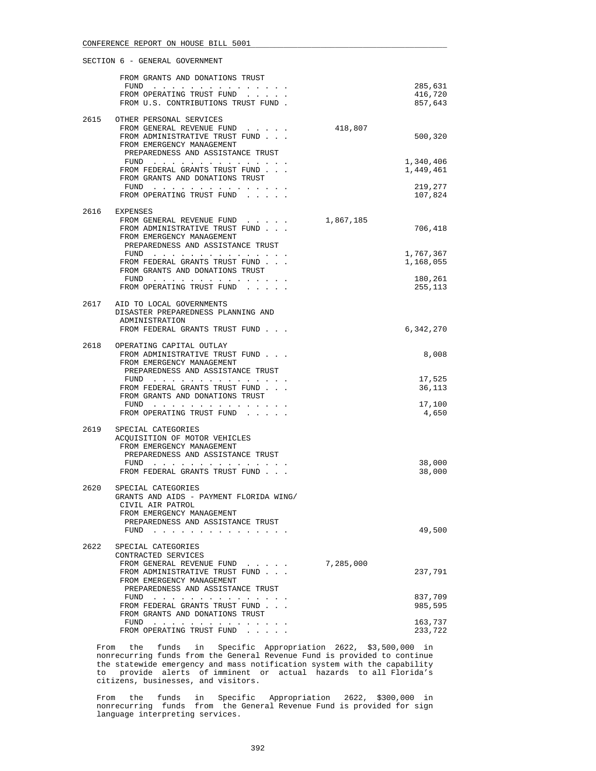|      | FROM GRANTS AND DONATIONS TRUST                                                                                                                        |           |                    |
|------|--------------------------------------------------------------------------------------------------------------------------------------------------------|-----------|--------------------|
|      | FUND                                                                                                                                                   |           | 285,631            |
|      | FROM OPERATING TRUST FUND<br>FROM U.S. CONTRIBUTIONS TRUST FUND.                                                                                       |           | 416,720<br>857,643 |
|      |                                                                                                                                                        |           |                    |
|      | 2615 OTHER PERSONAL SERVICES                                                                                                                           |           |                    |
|      | FROM GENERAL REVENUE FUND<br>FROM ADMINISTRATIVE TRUST FUND                                                                                            | 418,807   | 500,320            |
|      | FROM EMERGENCY MANAGEMENT                                                                                                                              |           |                    |
|      | PREPAREDNESS AND ASSISTANCE TRUST                                                                                                                      |           |                    |
|      | FUND                                                                                                                                                   |           | 1,340,406          |
|      | FROM FEDERAL GRANTS TRUST FUND<br>FROM GRANTS AND DONATIONS TRUST                                                                                      |           | 1,449,461          |
|      |                                                                                                                                                        |           | 219,277            |
|      | FROM OPERATING TRUST FUND<br>$\mathbf{r}$ , $\mathbf{r}$ , $\mathbf{r}$ , $\mathbf{r}$                                                                 |           | 107,824            |
| 2616 | EXPENSES                                                                                                                                               |           |                    |
|      | FROM GENERAL REVENUE FUND<br>the contract of the contract of                                                                                           | 1,867,185 |                    |
|      | FROM ADMINISTRATIVE TRUST FUND                                                                                                                         |           | 706,418            |
|      | FROM EMERGENCY MANAGEMENT                                                                                                                              |           |                    |
|      | PREPAREDNESS AND ASSISTANCE TRUST<br>FUND                                                                                                              |           | 1,767,367          |
|      | FROM FEDERAL GRANTS TRUST FUND                                                                                                                         |           | 1,168,055          |
|      | FROM GRANTS AND DONATIONS TRUST                                                                                                                        |           |                    |
|      | FUND $\cdots$                                                                                                                                          |           | 180,261            |
|      | FROM OPERATING TRUST FUND                                                                                                                              |           | 255,113            |
| 2617 | AID TO LOCAL GOVERNMENTS                                                                                                                               |           |                    |
|      | DISASTER PREPAREDNESS PLANNING AND                                                                                                                     |           |                    |
|      | ADMINISTRATION<br>FROM FEDERAL GRANTS TRUST FUND                                                                                                       |           | 6,342,270          |
|      |                                                                                                                                                        |           |                    |
| 2618 | OPERATING CAPITAL OUTLAY                                                                                                                               |           |                    |
|      | FROM ADMINISTRATIVE TRUST FUND                                                                                                                         |           | 8,008              |
|      | FROM EMERGENCY MANAGEMENT<br>PREPAREDNESS AND ASSISTANCE TRUST                                                                                         |           |                    |
|      | FUND $\cdots$                                                                                                                                          |           | 17,525             |
|      | FROM FEDERAL GRANTS TRUST FUND                                                                                                                         |           | 36,113             |
|      | FROM GRANTS AND DONATIONS TRUST                                                                                                                        |           | 17,100             |
|      | FROM OPERATING TRUST FUND                                                                                                                              |           | 4,650              |
|      |                                                                                                                                                        |           |                    |
| 2619 | SPECIAL CATEGORIES                                                                                                                                     |           |                    |
|      | ACQUISITION OF MOTOR VEHICLES<br>FROM EMERGENCY MANAGEMENT                                                                                             |           |                    |
|      | PREPAREDNESS AND ASSISTANCE TRUST                                                                                                                      |           |                    |
|      | FUND                                                                                                                                                   |           | 38,000             |
|      | FROM FEDERAL GRANTS TRUST FUND                                                                                                                         |           | 38,000             |
| 2620 | SPECIAL CATEGORIES                                                                                                                                     |           |                    |
|      | GRANTS AND AIDS - PAYMENT FLORIDA WING/                                                                                                                |           |                    |
|      | CIVIL AIR PATROL                                                                                                                                       |           |                    |
|      | FROM EMERGENCY MANAGEMENT<br>PREPAREDNESS AND ASSISTANCE TRUST                                                                                         |           |                    |
|      | FUND<br>.                                                                                                                                              |           | 49,500             |
|      |                                                                                                                                                        |           |                    |
| 2622 | SPECIAL CATEGORIES<br>CONTRACTED SERVICES                                                                                                              |           |                    |
|      | FROM GENERAL REVENUE FUND<br>$\begin{array}{cccccccccccccc} \bullet & \bullet & \bullet & \bullet & \bullet & \bullet & \bullet & \bullet \end{array}$ | 7,285,000 |                    |
|      | FROM ADMINISTRATIVE TRUST FUND                                                                                                                         |           | 237,791            |
|      | FROM EMERGENCY MANAGEMENT                                                                                                                              |           |                    |
|      | PREPAREDNESS AND ASSISTANCE TRUST<br>FUND                                                                                                              |           | 837,709            |
|      | FROM FEDERAL GRANTS TRUST FUND                                                                                                                         |           | 985,595            |
|      | FROM GRANTS AND DONATIONS TRUST                                                                                                                        |           |                    |
|      | FUND<br>a construction of the construction of the<br>FROM OPERATING TRUST FUND                                                                         |           | 163,737<br>233,722 |
|      |                                                                                                                                                        |           |                    |

 From the funds in Specific Appropriation 2622, \$3,500,000 in nonrecurring funds from the General Revenue Fund is provided to continue the statewide emergency and mass notification system with the capability to provide alerts of imminent or actual hazards to all Florida's citizens, businesses, and visitors.

 From the funds in Specific Appropriation 2622, \$300,000 in nonrecurring funds from the General Revenue Fund is provided for sign language interpreting services.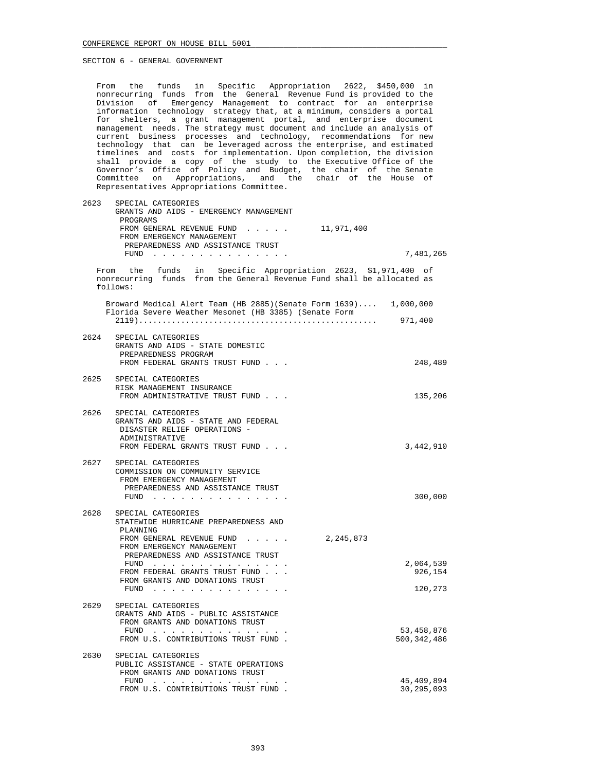From the funds in Specific Appropriation 2622, \$450,000 in nonrecurring funds from the General Revenue Fund is provided to the Division of Emergency Management to contract for an enterprise information technology strategy that, at a minimum, considers a portal for shelters, a grant management portal, and enterprise document management needs. The strategy must document and include an analysis of current business processes and technology, recommendations for new technology that can be leveraged across the enterprise, and estimated timelines and costs for implementation. Upon completion, the division shall provide a copy of the study to the Executive Office of the Governor's Office of Policy and Budget, the chair of the Senate Committee on Appropriations, and the chair of the House of Representatives Appropriations Committee.

 2623 SPECIAL CATEGORIES GRANTS AND AIDS - EMERGENCY MANAGEMENT PROGRAMS FROM GENERAL REVENUE FUND . . . . . 11,971,400 FROM EMERGENCY MANAGEMENT PREPAREDNESS AND ASSISTANCE TRUST FUND . . . . . . . . . . . . . . . 7,481,265 From the funds in Specific Appropriation 2623, \$1,971,400 of nonrecurring funds from the General Revenue Fund shall be allocated as follows: Broward Medical Alert Team (HB 2885)(Senate Form 1639).... 1,000,000 Florida Severe Weather Mesonet (HB 3385) (Senate Form 2119)................................................... 971,400 2624 SPECIAL CATEGORIES GRANTS AND AIDS - STATE DOMESTIC PREPAREDNESS PROGRAM FROM FEDERAL GRANTS TRUST FUND . . .  $248,489$  2625 SPECIAL CATEGORIES RISK MANAGEMENT INSURANCE FROM ADMINISTRATIVE TRUST FUND . . . 135,206 2626 SPECIAL CATEGORIES GRANTS AND AIDS - STATE AND FEDERAL DISASTER RELIEF OPERATIONS - ADMINISTRATIVE FROM FEDERAL GRANTS TRUST FUND . . .  $\qquad \qquad 3,442,910$  2627 SPECIAL CATEGORIES COMMISSION ON COMMUNITY SERVICE FROM EMERGENCY MANAGEMENT PREPAREDNESS AND ASSISTANCE TRUST FUND . . . . . . . . . . . . . . . 300,000 2628 SPECIAL CATEGORIES STATEWIDE HURRICANE PREPAREDNESS AND PLANNING FROM GENERAL REVENUE FUND . . . . . 2,245,873 FROM EMERGENCY MANAGEMENT PREPAREDNESS AND ASSISTANCE TRUST FUND . . . . . . . . . . . . . . . 2,064,539 FROM FEDERAL GRANTS TRUST FUND . . . 926,154 FROM GRANTS AND DONATIONS TRUST FUND . . . . . . . . . . . . . . . 120,273 2629 SPECIAL CATEGORIES GRANTS AND AIDS - PUBLIC ASSISTANCE FROM GRANTS AND DONATIONS TRUST FUND . . . . . . . . . . . . . . . 53,458,876 FROM U.S. CONTRIBUTIONS TRUST FUND.  $500,342,486$  2630 SPECIAL CATEGORIES PUBLIC ASSISTANCE - STATE OPERATIONS FROM GRANTS AND DONATIONS TRUST FUND . . . . . . . . . . . . . . . 45,409,894

FROM U.S. CONTRIBUTIONS TRUST FUND.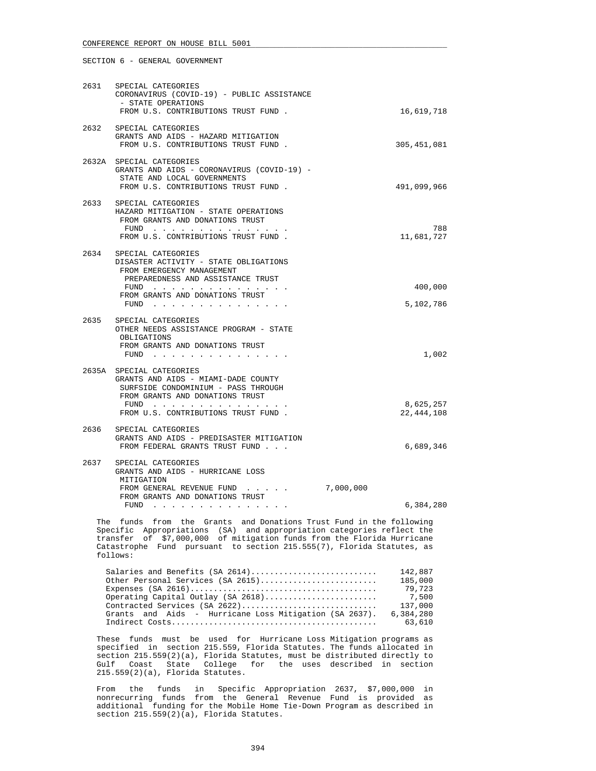| 2631 | SPECIAL CATEGORIES<br>CORONAVIRUS (COVID-19) - PUBLIC ASSISTANCE<br>- STATE OPERATIONS                                                                                                      |                           |
|------|---------------------------------------------------------------------------------------------------------------------------------------------------------------------------------------------|---------------------------|
|      | FROM U.S. CONTRIBUTIONS TRUST FUND.                                                                                                                                                         | 16,619,718                |
|      | 2632 SPECIAL CATEGORIES<br>GRANTS AND AIDS - HAZARD MITIGATION<br>FROM U.S. CONTRIBUTIONS TRUST FUND.                                                                                       | 305,451,081               |
|      | 2632A SPECIAL CATEGORIES<br>GRANTS AND AIDS - CORONAVIRUS (COVID-19) -<br>STATE AND LOCAL GOVERNMENTS<br>FROM U.S. CONTRIBUTIONS TRUST FUND.                                                | 491,099,966               |
| 2633 | SPECIAL CATEGORIES<br>HAZARD MITIGATION - STATE OPERATIONS<br>FROM GRANTS AND DONATIONS TRUST<br>$FUND$<br>FROM U.S. CONTRIBUTIONS TRUST FUND.                                              | 788<br>11,681,727         |
| 2634 | SPECIAL CATEGORIES<br>DISASTER ACTIVITY - STATE OBLIGATIONS<br>FROM EMERGENCY MANAGEMENT<br>PREPAREDNESS AND ASSISTANCE TRUST<br>$FUND$<br>FROM GRANTS AND DONATIONS TRUST<br>FUND $\cdots$ | 400,000<br>5,102,786      |
| 2635 | SPECIAL CATEGORIES<br>OTHER NEEDS ASSISTANCE PROGRAM - STATE<br>OBLIGATIONS<br>FROM GRANTS AND DONATIONS TRUST                                                                              | 1,002                     |
|      | 2635A SPECIAL CATEGORIES<br>GRANTS AND AIDS - MIAMI-DADE COUNTY<br>SURFSIDE CONDOMINIUM - PASS THROUGH<br>FROM GRANTS AND DONATIONS TRUST<br>FUND<br>FROM U.S. CONTRIBUTIONS TRUST FUND.    | 8,625,257<br>22, 444, 108 |
| 2636 | SPECIAL CATEGORIES<br>GRANTS AND AIDS - PREDISASTER MITIGATION<br>FROM FEDERAL GRANTS TRUST FUND                                                                                            | 6,689,346                 |
| 2637 | SPECIAL CATEGORIES<br>GRANTS AND AIDS - HURRICANE LOSS<br>MITIGATION<br>7,000,000<br>FROM GENERAL REVENUE FUND<br>FROM GRANTS AND DONATIONS TRUST                                           | 6,384,280                 |

 The funds from the Grants and Donations Trust Fund in the following Specific Appropriations (SA) and appropriation categories reflect the transfer of \$7,000,000 of mitigation funds from the Florida Hurricane Catastrophe Fund pursuant to section 215.555(7), Florida Statutes, as follows:

| Salaries and Benefits (SA 2614)                                                                            | 142,887   |
|------------------------------------------------------------------------------------------------------------|-----------|
| Other Personal Services (SA 2615)                                                                          | 185,000   |
| Expenses $(SA \ 2616) \ldots \ldots \ldots \ldots \ldots \ldots \ldots \ldots \ldots \ldots \ldots \ldots$ | 79,723    |
|                                                                                                            | 7,500     |
| Contracted Services (SA 2622)                                                                              | 137,000   |
| Grants and Aids - Hurricane Loss Mitigation (SA 2637).                                                     | 6,384,280 |
|                                                                                                            | 63,610    |

 These funds must be used for Hurricane Loss Mitigation programs as specified in section 215.559, Florida Statutes. The funds allocated in section 215.559(2)(a), Florida Statutes, must be distributed directly to Gulf Coast State College for the uses described in section 215.559(2)(a), Florida Statutes.

 From the funds in Specific Appropriation 2637, \$7,000,000 in nonrecurring funds from the General Revenue Fund is provided as additional funding for the Mobile Home Tie-Down Program as described in section 215.559(2)(a), Florida Statutes.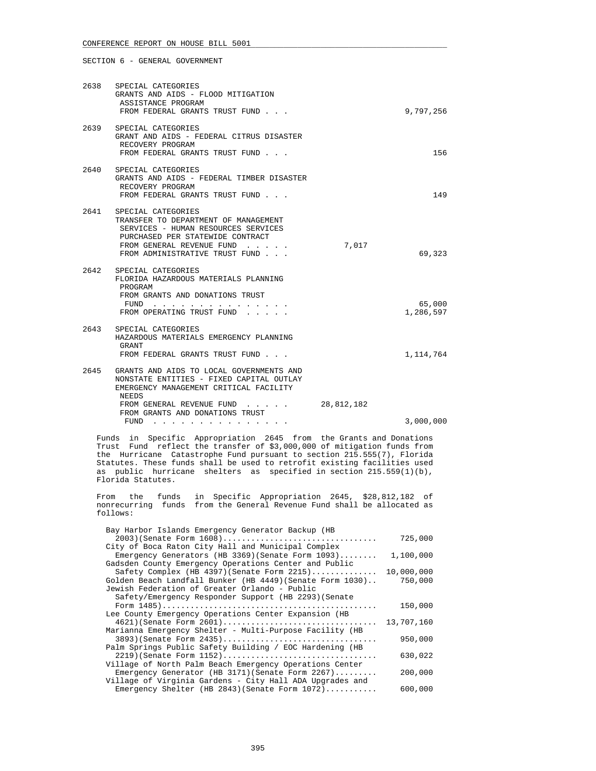| 2638 | SPECIAL CATEGORIES<br>GRANTS AND AIDS - FLOOD MITIGATION<br>ASSISTANCE PROGRAM<br>FROM FEDERAL GRANTS TRUST FUND                                                                                                |            | 9,797,256           |
|------|-----------------------------------------------------------------------------------------------------------------------------------------------------------------------------------------------------------------|------------|---------------------|
| 2639 | SPECIAL CATEGORIES<br>GRANT AND AIDS - FEDERAL CITRUS DISASTER<br>RECOVERY PROGRAM<br>FROM FEDERAL GRANTS TRUST FUND                                                                                            |            | 156                 |
| 2640 | SPECIAL CATEGORIES<br>GRANTS AND AIDS - FEDERAL TIMBER DISASTER<br>RECOVERY PROGRAM<br>FROM FEDERAL GRANTS TRUST FUND                                                                                           |            | 149                 |
| 2641 | SPECIAL CATEGORIES<br>TRANSFER TO DEPARTMENT OF MANAGEMENT<br>SERVICES - HUMAN RESOURCES SERVICES<br>PURCHASED PER STATEWIDE CONTRACT<br>FROM GENERAL REVENUE FUND<br>FROM ADMINISTRATIVE TRUST FUND            | 7,017      | 69,323              |
| 2642 | SPECIAL CATEGORIES<br>FLORIDA HAZARDOUS MATERIALS PLANNING<br>PROGRAM<br>FROM GRANTS AND DONATIONS TRUST<br>FUND $\cdots$<br>FROM OPERATING TRUST FUND                                                          |            | 65,000<br>1,286,597 |
| 2643 | SPECIAL CATEGORIES<br>HAZARDOUS MATERIALS EMERGENCY PLANNING<br>GRANT<br>FROM FEDERAL GRANTS TRUST FUND                                                                                                         |            | 1, 114, 764         |
| 2645 | GRANTS AND AIDS TO LOCAL GOVERNMENTS AND<br>NONSTATE ENTITIES - FIXED CAPITAL OUTLAY<br>EMERGENCY MANAGEMENT CRITICAL FACILITY<br>NEEDS<br>FROM GENERAL REVENUE FUND<br>FROM GRANTS AND DONATIONS TRUST<br>FUND | 28,812,182 | 3,000,000           |

 Funds in Specific Appropriation 2645 from the Grants and Donations Trust Fund reflect the transfer of \$3,000,000 of mitigation funds from the Hurricane Catastrophe Fund pursuant to section 215.555(7), Florida Statutes. These funds shall be used to retrofit existing facilities used as public hurricane shelters as specified in section 215.559(1)(b), Florida Statutes.

 From the funds in Specific Appropriation 2645, \$28,812,182 of nonrecurring funds from the General Revenue Fund shall be allocated as follows:

| Bay Harbor Islands Emergency Generator Backup (HB         |            |
|-----------------------------------------------------------|------------|
| 2003) (Senate Form 1608)                                  | 725,000    |
| City of Boca Raton City Hall and Municipal Complex        |            |
| Emergency Generators (HB 3369) (Senate Form $1093)$       | 1,100,000  |
| Gadsden County Emergency Operations Center and Public     |            |
| Safety Complex (HB 4397) (Senate Form $2215)$             | 10,000,000 |
| Golden Beach Landfall Bunker (HB 4449) (Senate Form 1030) | 750,000    |
| Jewish Federation of Greater Orlando - Public             |            |
| Safety/Emergency Responder Support (HB 2293) (Senate      |            |
|                                                           | 150,000    |
| Lee County Emergency Operations Center Expansion (HB      |            |
| $4621$ (Senate Form $2601)$                               | 13,707,160 |
| Marianna Emergency Shelter - Multi-Purpose Facility (HB   |            |
| 3893) (Senate Form 2435)                                  | 950,000    |
| Palm Springs Public Safety Building / EOC Hardening (HB   |            |
| 2219) (Senate Form 1152)                                  | 630,022    |
| Village of North Palm Beach Emergency Operations Center   |            |
| Emergency Generator (HB 3171) (Senate Form $2267)$        | 200,000    |
| Village of Virginia Gardens - City Hall ADA Upgrades and  |            |
| Emergency Shelter (HB 2843) (Senate Form $1072$ )         | 600,000    |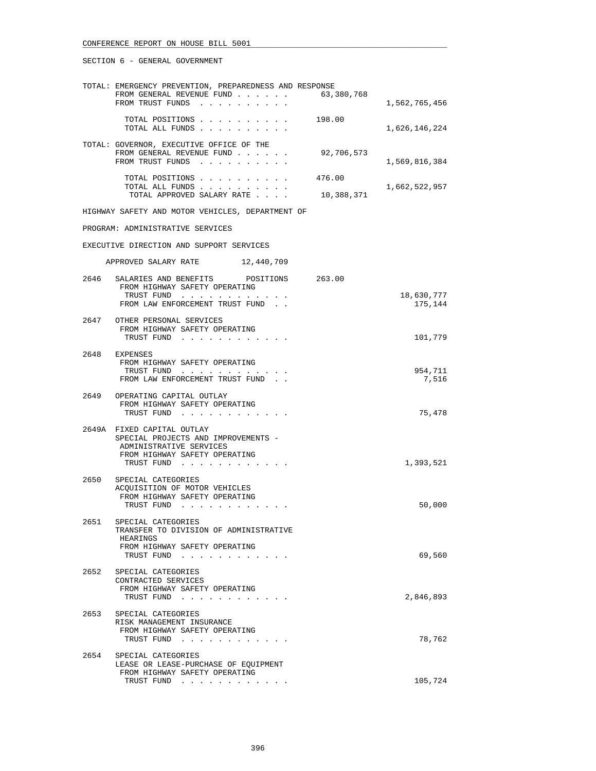|      | TOTAL: EMERGENCY PREVENTION, PREPAREDNESS AND RESPONSE<br>FROM GENERAL REVENUE FUND<br>FROM TRUST FUNDS                                     | 63,380,768           | 1,562,765,456    |
|------|---------------------------------------------------------------------------------------------------------------------------------------------|----------------------|------------------|
|      | TOTAL POSITIONS 198.00<br>TOTAL ALL FUNDS                                                                                                   |                      | 1,626,146,224    |
|      | TOTAL: GOVERNOR, EXECUTIVE OFFICE OF THE<br>FROM GENERAL REVENUE FUND<br>FROM TRUST FUNDS                                                   | 92,706,573           | 1,569,816,384    |
|      | TOTAL POSITIONS<br>TOTAL ALL FUNDS<br>TOTAL APPROVED SALARY RATE                                                                            | 476.00<br>10,388,371 | 1,662,522,957    |
|      | HIGHWAY SAFETY AND MOTOR VEHICLES, DEPARTMENT OF                                                                                            |                      |                  |
|      | PROGRAM: ADMINISTRATIVE SERVICES                                                                                                            |                      |                  |
|      | EXECUTIVE DIRECTION AND SUPPORT SERVICES                                                                                                    |                      |                  |
|      | APPROVED SALARY RATE 12,440,709                                                                                                             |                      |                  |
| 2646 | SALARIES AND BENEFITS POSITIONS 263.00<br>FROM HIGHWAY SAFETY OPERATING<br>TRUST FUND                                                       |                      | 18,630,777       |
|      | FROM LAW ENFORCEMENT TRUST FUND                                                                                                             |                      | 175,144          |
|      | 2647 OTHER PERSONAL SERVICES<br>FROM HIGHWAY SAFETY OPERATING<br>TRUST FUND                                                                 |                      | 101,779          |
| 2648 | EXPENSES<br>FROM HIGHWAY SAFETY OPERATING<br>TRUST FUND<br>FROM LAW ENFORCEMENT TRUST FUND.                                                 |                      | 954,711<br>7,516 |
|      | 2649 OPERATING CAPITAL OUTLAY<br>FROM HIGHWAY SAFETY OPERATING<br>TRUST FUND                                                                |                      | 75,478           |
|      | 2649A FIXED CAPITAL OUTLAY<br>SPECIAL PROJECTS AND IMPROVEMENTS -<br>ADMINISTRATIVE SERVICES<br>FROM HIGHWAY SAFETY OPERATING<br>TRUST FUND |                      | 1,393,521        |
|      | 2650 SPECIAL CATEGORIES<br>ACOUISITION OF MOTOR VEHICLES<br>FROM HIGHWAY SAFETY OPERATING<br>TRUST FUND                                     |                      | 50,000           |
| 2651 | SPECIAL CATEGORIES<br>TRANSFER TO DIVISION OF ADMINISTRATIVE<br>HEARINGS<br>FROM HIGHWAY SAFETY OPERATING<br>TRUST FUND                     |                      | 69,560           |
| 2652 | SPECIAL CATEGORIES<br>CONTRACTED SERVICES<br>FROM HIGHWAY SAFETY OPERATING<br>TRUST FUND                                                    |                      | 2,846,893        |
|      | 2653 SPECIAL CATEGORIES<br>RISK MANAGEMENT INSURANCE<br>FROM HIGHWAY SAFETY OPERATING<br>TRUST FUND                                         |                      | 78,762           |
| 2654 | SPECIAL CATEGORIES<br>LEASE OR LEASE-PURCHASE OF EQUIPMENT<br>FROM HIGHWAY SAFETY OPERATING                                                 |                      | 105,724          |
|      | TRUST FUND                                                                                                                                  |                      |                  |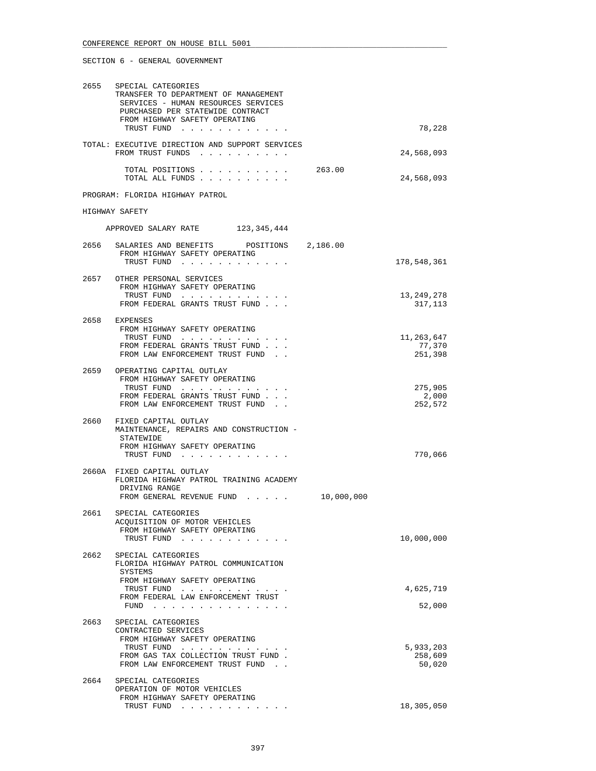| 2655 | SPECIAL CATEGORIES<br>TRANSFER TO DEPARTMENT OF MANAGEMENT<br>SERVICES - HUMAN RESOURCES SERVICES<br>PURCHASED PER STATEWIDE CONTRACT<br>FROM HIGHWAY SAFETY OPERATING<br>TRUST FUND | 78,228                         |
|------|--------------------------------------------------------------------------------------------------------------------------------------------------------------------------------------|--------------------------------|
|      | TOTAL: EXECUTIVE DIRECTION AND SUPPORT SERVICES<br>FROM TRUST FUNDS                                                                                                                  | 24,568,093                     |
|      | TOTAL POSITIONS<br>263.00<br>TOTAL ALL FUNDS                                                                                                                                         | 24,568,093                     |
|      | PROGRAM: FLORIDA HIGHWAY PATROL                                                                                                                                                      |                                |
|      | HIGHWAY SAFETY                                                                                                                                                                       |                                |
|      | APPROVED SALARY RATE 123, 345, 444                                                                                                                                                   |                                |
|      | 2656 SALARIES AND BENEFITS POSITIONS 2,186.00<br>FROM HIGHWAY SAFETY OPERATING<br>TRUST FUND                                                                                         | 178,548,361                    |
|      | 2657 OTHER PERSONAL SERVICES<br>FROM HIGHWAY SAFETY OPERATING<br>TRUST FUND<br>FROM FEDERAL GRANTS TRUST FUND                                                                        | 13, 249, 278<br>317,113        |
|      | 2658 EXPENSES<br>FROM HIGHWAY SAFETY OPERATING<br>TRUST FUND                                                                                                                         | 11,263,647                     |
|      | FROM FEDERAL GRANTS TRUST FUND<br>FROM LAW ENFORCEMENT TRUST FUND                                                                                                                    | 77,370<br>251,398              |
|      | 2659 OPERATING CAPITAL OUTLAY<br>FROM HIGHWAY SAFETY OPERATING<br>TRUST FUND<br>FROM FEDERAL GRANTS TRUST FUND<br>FROM LAW ENFORCEMENT TRUST FUND                                    | 275,905<br>2,000<br>252,572    |
| 2660 | FIXED CAPITAL OUTLAY<br>MAINTENANCE, REPAIRS AND CONSTRUCTION -<br>STATEWIDE<br>FROM HIGHWAY SAFETY OPERATING<br>TRUST FUND                                                          | 770,066                        |
|      | 2660A FIXED CAPITAL OUTLAY<br>FLORIDA HIGHWAY PATROL TRAINING ACADEMY<br>DRIVING RANGE<br>10,000,000<br>FROM GENERAL REVENUE FUND                                                    |                                |
| 2661 | SPECIAL CATEGORIES<br>ACQUISITION OF MOTOR VEHICLES<br>FROM HIGHWAY SAFETY OPERATING<br>TRUST FUND<br>and the state of the state of                                                  | 10,000,000                     |
| 2662 | SPECIAL CATEGORIES<br>FLORIDA HIGHWAY PATROL COMMUNICATION<br>SYSTEMS<br>FROM HIGHWAY SAFETY OPERATING                                                                               |                                |
|      | TRUST FUND<br>FROM FEDERAL LAW ENFORCEMENT TRUST<br>FUND<br>and a series of the contract of the                                                                                      | 4,625,719<br>52,000            |
| 2663 | SPECIAL CATEGORIES<br>CONTRACTED SERVICES<br>FROM HIGHWAY SAFETY OPERATING<br>TRUST FUND<br>FROM GAS TAX COLLECTION TRUST FUND.<br>FROM LAW ENFORCEMENT TRUST FUND.                  | 5,933,203<br>258,609<br>50,020 |
| 2664 | SPECIAL CATEGORIES<br>OPERATION OF MOTOR VEHICLES<br>FROM HIGHWAY SAFETY OPERATING<br>TRUST FUND                                                                                     | 18,305,050                     |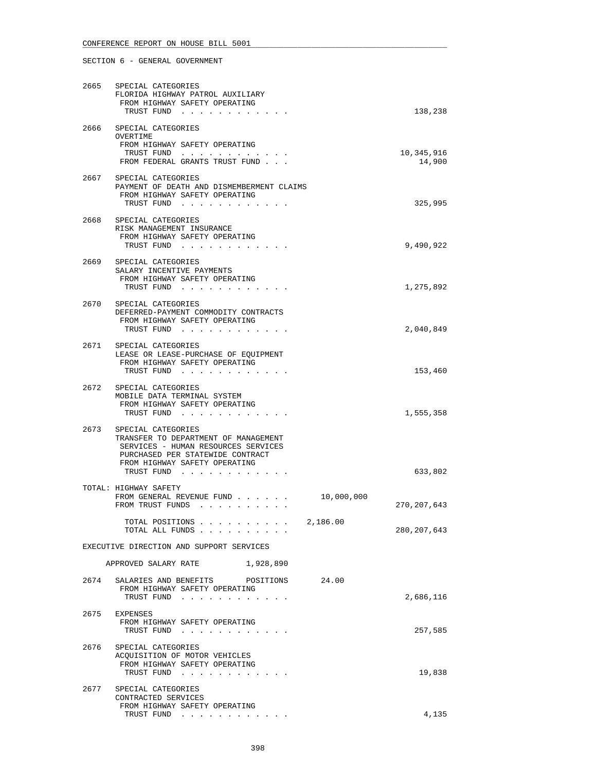# 2665 SPECIAL CATEGORIES FLORIDA HIGHWAY PATROL AUXILIARY FROM HIGHWAY SAFETY OPERATING TRUST FUND . . . . . . . . . . . . 138,238 2666 SPECIAL CATEGORIES OVERTIME FROM HIGHWAY SAFETY OPERATING TRUST FUND . . . . . . . . . . . . 10,345,916 FROM FEDERAL GRANTS TRUST FUND . . . 2667 SPECIAL CATEGORIES PAYMENT OF DEATH AND DISMEMBERMENT CLAIMS FROM HIGHWAY SAFETY OPERATING TRUST FUND . . . . . . . . . . . . 325,995 2668 SPECIAL CATEGORIES RISK MANAGEMENT INSURANCE FROM HIGHWAY SAFETY OPERATING<br>TRUST FUND . . . . . . . . . TRUST FUND . . . . . . . . . . . . 9,490,922 2669 SPECIAL CATEGORIES SALARY INCENTIVE PAYMENTS FROM HIGHWAY SAFETY OPERATING TRUST FUND . . . . . . . . . . . . . . . . . . 1,275,892 2670 SPECIAL CATEGORIES DEFERRED-PAYMENT COMMODITY CONTRACTS FROM HIGHWAY SAFETY OPERATING TRUST FUND . . . . . . . . . . . . 2,040,849 2671 SPECIAL CATEGORIES LEASE OR LEASE-PURCHASE OF EQUIPMENT FROM HIGHWAY SAFETY OPERATING TRUST FUND . . . . . . . . . . . . 153,460 2672 SPECIAL CATEGORIES MOBILE DATA TERMINAL SYSTEM FROM HIGHWAY SAFETY OPERATING TRUST FUND . . . . . . . . . . . . 1,555,358 2673 SPECIAL CATEGORIES TRANSFER TO DEPARTMENT OF MANAGEMENT SERVICES - HUMAN RESOURCES SERVICES PURCHASED PER STATEWIDE CONTRACT FROM HIGHWAY SAFETY OPERATING TRUST FUND . . . . . . . . . . . . 633,802 TOTAL: HIGHWAY SAFETY FROM GENERAL REVENUE FUND . . . . . . 10,000,000 FROM TRUST FUNDS . . . . . . . . . . . . 270,207,643 TOTAL POSITIONS . . . . . . . . . . 2,186.00 TOTAL ALL FUNDS . . . . . . . . . . 280,207,643 EXECUTIVE DIRECTION AND SUPPORT SERVICES APPROVED SALARY RATE 1,928,890 2674 SALARIES AND BENEFITS POSITIONS 24.00 FROM HIGHWAY SAFETY OPERATING TRUST FUND . . . . . . . . . . . . 2,686,116 2675 EXPENSES FROM HIGHWAY SAFETY OPERATING TRUST FUND . . . . . . . . . . . . 257,585 2676 SPECIAL CATEGORIES ACQUISITION OF MOTOR VEHICLES

 FROM HIGHWAY SAFETY OPERATING TRUST FUND . . . . . . . . . . . . . . . . . 19,838 2677 SPECIAL CATEGORIES CONTRACTED SERVICES FROM HIGHWAY SAFETY OPERATING TRUST FUND . . . . . . . . . . . . 4,135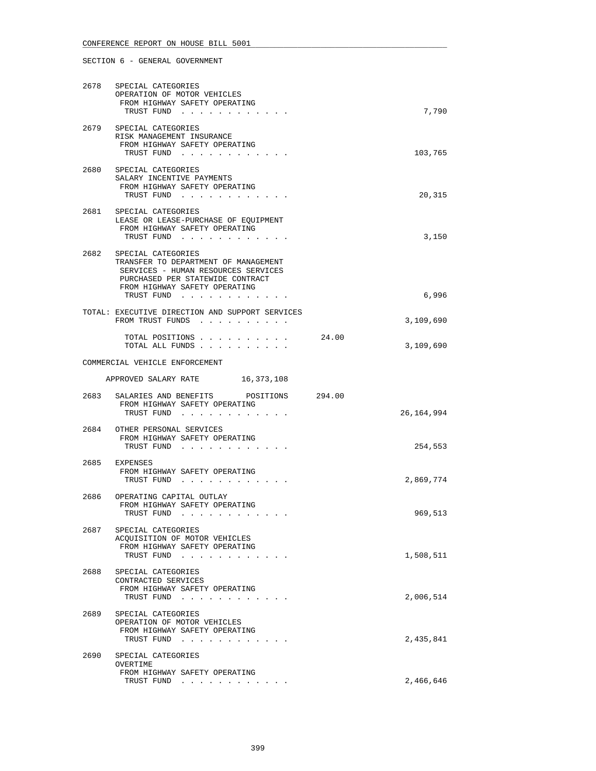# 2678 SPECIAL CATEGORIES OPERATION OF MOTOR VEHICLES FROM HIGHWAY SAFETY OPERATING TRUST FUND . . . . . . . . . . . . . . . . . 7,790 2679 SPECIAL CATEGORIES RISK MANAGEMENT INSURANCE FROM HIGHWAY SAFETY OPERATING TRUST FUND . . . . . . . . . . . . 103,765 2680 SPECIAL CATEGORIES SALARY INCENTIVE PAYMENTS FROM HIGHWAY SAFETY OPERATING TRUST FUND . . . . . . . . . . . . 20,315 2681 SPECIAL CATEGORIES LEASE OR LEASE-PURCHASE OF EQUIPMENT FROM HIGHWAY SAFETY OPERATING TRUST FUND . . . . . . . . . . . . 3,150 2682 SPECIAL CATEGORIES TRANSFER TO DEPARTMENT OF MANAGEMENT SERVICES - HUMAN RESOURCES SERVICES PURCHASED PER STATEWIDE CONTRACT FROM HIGHWAY SAFETY OPERATING<br>TRUST FUND . . . . . . . . . TRUST FUND . . . . . . . . . . . . 6,996 TOTAL: EXECUTIVE DIRECTION AND SUPPORT SERVICES FROM TRUST FUNDS . . . . . . . . . . . . . . . . . 3,109,690 TOTAL POSITIONS . . . . . . . . . . 24.00 TOTAL ALL FUNDS . . . . . . . . . . 3,109,690 COMMERCIAL VEHICLE ENFORCEMENT APPROVED SALARY RATE 16,373,108 2683 SALARIES AND BENEFITS POSITIONS 294.00

| 2003 | SALARIES AND BENEFIIS FUSIIIUNS<br>22 T. UU<br>FROM HIGHWAY SAFETY OPERATING<br>TRUST FUND                                                                                                                                                                                                                   | 26, 164, 994 |
|------|--------------------------------------------------------------------------------------------------------------------------------------------------------------------------------------------------------------------------------------------------------------------------------------------------------------|--------------|
|      | 2684 OTHER PERSONAL SERVICES<br>FROM HIGHWAY SAFETY OPERATING<br>TRUST FUND<br>a construction of the construction of the construction of the construction of the construction of the construction of the construction of the construction of the construction of the construction of the construction of the | 254,553      |
|      | 2685 EXPENSES<br>FROM HIGHWAY SAFETY OPERATING<br>TRUST FUND                                                                                                                                                                                                                                                 | 2,869,774    |
|      | 2686 OPERATING CAPITAL OUTLAY<br>FROM HIGHWAY SAFETY OPERATING<br>TRUST FUND<br>$\mathbf{r}$ , $\mathbf{r}$ , $\mathbf{r}$ , $\mathbf{r}$ , $\mathbf{r}$ , $\mathbf{r}$                                                                                                                                      | 969,513      |
|      | 2687 SPECIAL CATEGORIES<br>ACQUISITION OF MOTOR VEHICLES<br>FROM HIGHWAY SAFETY OPERATING<br>TRUST FUND                                                                                                                                                                                                      | 1,508,511    |
|      | 2688 SPECIAL CATEGORIES<br>CONTRACTED SERVICES<br>FROM HIGHWAY SAFETY OPERATING<br>TRUST FUND<br>$\mathbf{r}$ , $\mathbf{r}$ , $\mathbf{r}$ , $\mathbf{r}$                                                                                                                                                   | 2,006,514    |
|      | 2689 SPECIAL CATEGORIES<br>OPERATION OF MOTOR VEHICLES<br>FROM HIGHWAY SAFETY OPERATING<br>TRUST FUND                                                                                                                                                                                                        | 2,435,841    |
| 2690 | SPECIAL CATEGORIES<br>OVERTIME<br>FROM HIGHWAY SAFETY OPERATING<br>TRUST FUND<br>.                                                                                                                                                                                                                           | 2,466,646    |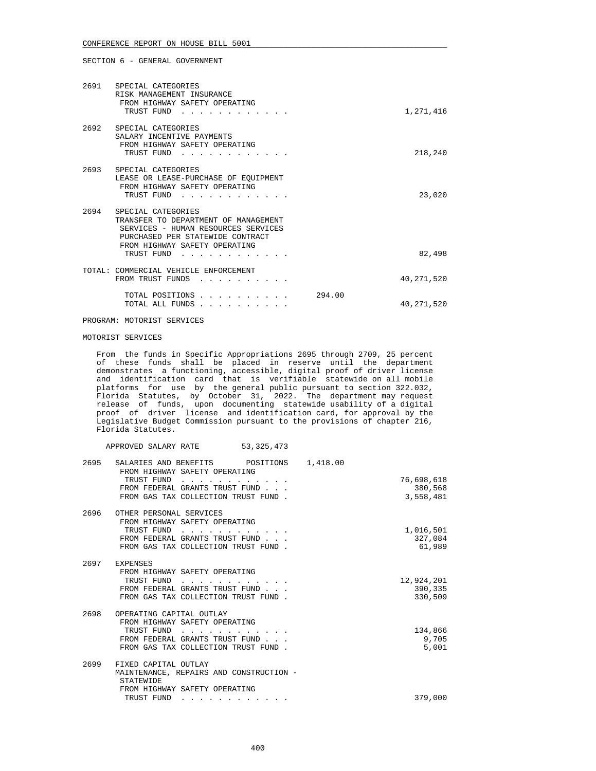| 2691 SPECIAL CATEGORIES<br>RISK MANAGEMENT INSURANCE<br>FROM HIGHWAY SAFETY OPERATING<br>TRUST FUND                                                                                                                                                                                               |        | 1,271,416    |
|---------------------------------------------------------------------------------------------------------------------------------------------------------------------------------------------------------------------------------------------------------------------------------------------------|--------|--------------|
| 2692 SPECIAL CATEGORIES<br>SALARY INCENTIVE PAYMENTS<br>FROM HIGHWAY SAFETY OPERATING<br>TRUST FUND<br><u>.</u>                                                                                                                                                                                   |        | 218,240      |
| 2693 SPECIAL CATEGORIES<br>LEASE OR LEASE-PURCHASE OF EQUIPMENT<br>FROM HIGHWAY SAFETY OPERATING<br>TRUST FUND                                                                                                                                                                                    |        | 23,020       |
| 2694 SPECIAL CATEGORIES<br>TRANSFER TO DEPARTMENT OF MANAGEMENT<br>SERVICES - HUMAN RESOURCES SERVICES<br>PURCHASED PER STATEWIDE CONTRACT<br>FROM HIGHWAY SAFETY OPERATING<br>TRUST FUND                                                                                                         |        | 82,498       |
| TOTAL: COMMERCIAL VEHICLE ENFORCEMENT<br>FROM TRUST FUNDS<br><u>in the series of the series of the series of the series of the series of the series of the series of the series of the series of the series of the series of the series of the series of the series of the series of the seri</u> |        | 40, 271, 520 |
| TOTAL POSITIONS<br>TOTAL ALL FUNDS                                                                                                                                                                                                                                                                | 294.00 | 40, 271, 520 |

PROGRAM: MOTORIST SERVICES

APPROVED SALARY RATE 53,325,473

## MOTORIST SERVICES

 From the funds in Specific Appropriations 2695 through 2709, 25 percent of these funds shall be placed in reserve until the department demonstrates a functioning, accessible, digital proof of driver license and identification card that is verifiable statewide on all mobile platforms for use by the general public pursuant to section 322.032, Florida Statutes, by October 31, 2022. The department may request release of funds, upon documenting statewide usability of a digital proof of driver license and identification card, for approval by the Legislative Budget Commission pursuant to the provisions of chapter 216, Florida Statutes.

| 2695 | SALARIES AND BENEFITS POSITIONS<br>FROM HIGHWAY SAFETY OPERATING<br>TRUST FUND<br>FROM FEDERAL GRANTS TRUST FUND<br>FROM GAS TAX COLLECTION TRUST FUND. | 1,418.00<br>76,698,618<br>380,568<br>3,558,481 |
|------|---------------------------------------------------------------------------------------------------------------------------------------------------------|------------------------------------------------|
| 2696 | OTHER PERSONAL SERVICES<br>FROM HIGHWAY SAFETY OPERATING<br>TRUST FUND<br>FROM FEDERAL GRANTS TRUST FUND<br>FROM GAS TAX COLLECTION TRUST FUND.         | 1,016,501<br>327,084<br>61,989                 |
|      | 2697 EXPENSES<br>FROM HIGHWAY SAFETY OPERATING<br>TRUST FUND<br>FROM FEDERAL GRANTS TRUST FUND<br>FROM GAS TAX COLLECTION TRUST FUND.                   | 12,924,201<br>390,335<br>330,509               |
| 2698 | OPERATING CAPITAL OUTLAY<br>FROM HIGHWAY SAFETY OPERATING<br>TRUST FUND<br>.<br>FROM FEDERAL GRANTS TRUST FUND<br>FROM GAS TAX COLLECTION TRUST FUND.   | 134,866<br>9,705<br>5,001                      |
| 2699 | FIXED CAPITAL OUTLAY<br>MAINTENANCE, REPAIRS AND CONSTRUCTION -<br>STATEWIDE<br>FROM HIGHWAY SAFETY OPERATING<br>TRUST FUND<br>.                        | 379,000                                        |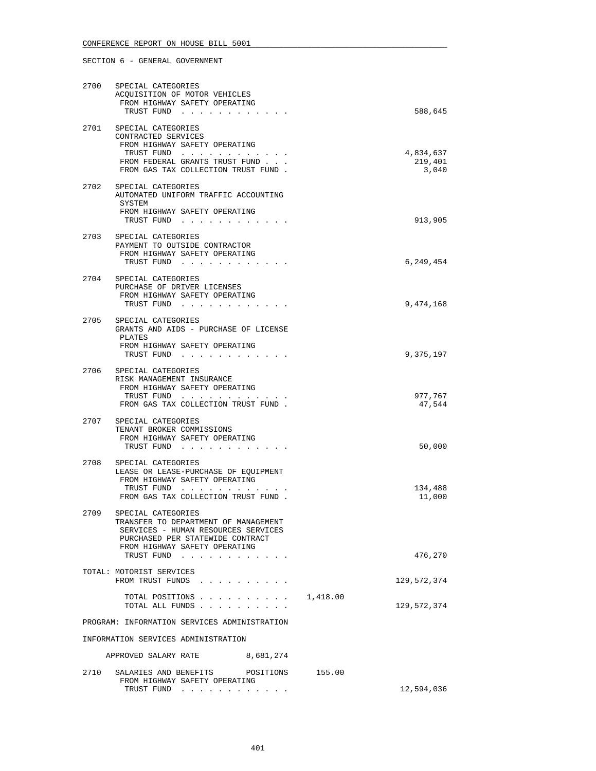| 2700 | SPECIAL CATEGORIES<br>ACOUISITION OF MOTOR VEHICLES<br>FROM HIGHWAY SAFETY OPERATING                                                                                   |        |                                 |
|------|------------------------------------------------------------------------------------------------------------------------------------------------------------------------|--------|---------------------------------|
| 2701 | TRUST FUND<br>SPECIAL CATEGORIES<br>CONTRACTED SERVICES<br>FROM HIGHWAY SAFETY OPERATING<br>TRUST FUND<br>FROM FEDERAL GRANTS TRUST FUND                               |        | 588,645<br>4,834,637<br>219,401 |
|      | FROM GAS TAX COLLECTION TRUST FUND.                                                                                                                                    |        | 3,040                           |
| 2702 | SPECIAL CATEGORIES<br>AUTOMATED UNIFORM TRAFFIC ACCOUNTING<br>SYSTEM<br>FROM HIGHWAY SAFETY OPERATING<br>TRUST FUND                                                    |        | 913,905                         |
| 2703 | SPECIAL CATEGORIES<br>PAYMENT TO OUTSIDE CONTRACTOR<br>FROM HIGHWAY SAFETY OPERATING<br>TRUST FUND                                                                     |        | 6,249,454                       |
| 2704 | SPECIAL CATEGORIES<br>PURCHASE OF DRIVER LICENSES<br>FROM HIGHWAY SAFETY OPERATING<br>TRUST FUND                                                                       |        | 9,474,168                       |
| 2705 | SPECIAL CATEGORIES<br>GRANTS AND AIDS - PURCHASE OF LICENSE<br>PLATES<br>FROM HIGHWAY SAFETY OPERATING<br>TRUST FUND                                                   |        | 9,375,197                       |
| 2706 | SPECIAL CATEGORIES<br>RISK MANAGEMENT INSURANCE<br>FROM HIGHWAY SAFETY OPERATING<br>TRUST FUND<br>FROM GAS TAX COLLECTION TRUST FUND.                                  |        | 977,767<br>47,544               |
| 2707 | SPECIAL CATEGORIES<br>TENANT BROKER COMMISSIONS<br>FROM HIGHWAY SAFETY OPERATING<br>TRUST FUND                                                                         |        | 50,000                          |
| 2708 | SPECIAL CATEGORIES<br>LEASE OR LEASE-PURCHASE OF EQUIPMENT<br>FROM HIGHWAY SAFETY OPERATING<br>TRUST FUND<br>FROM GAS TAX COLLECTION TRUST FUND.                       |        | 134,488<br>11,000               |
| 2709 | SPECIAL CATEGORIES<br>TRANSFER TO DEPARTMENT OF MANAGEMENT<br>SERVICES - HUMAN RESOURCES SERVICES<br>PURCHASED PER STATEWIDE CONTRACT<br>FROM HIGHWAY SAFETY OPERATING |        |                                 |
|      | TRUST FUND<br>TOTAL: MOTORIST SERVICES                                                                                                                                 |        | 476,270                         |
|      | FROM TRUST FUNDS                                                                                                                                                       |        | 129,572,374                     |
|      | TOTAL POSITIONS 1,418.00<br>TOTAL ALL FUNDS                                                                                                                            |        | 129,572,374                     |
|      | PROGRAM: INFORMATION SERVICES ADMINISTRATION                                                                                                                           |        |                                 |
|      | INFORMATION SERVICES ADMINISTRATION<br>8,681,274<br>APPROVED SALARY RATE                                                                                               |        |                                 |
| 2710 | SALARIES AND BENEFITS<br>POSITIONS                                                                                                                                     | 155.00 |                                 |
|      | FROM HIGHWAY SAFETY OPERATING<br>TRUST FUND                                                                                                                            |        | 12,594,036                      |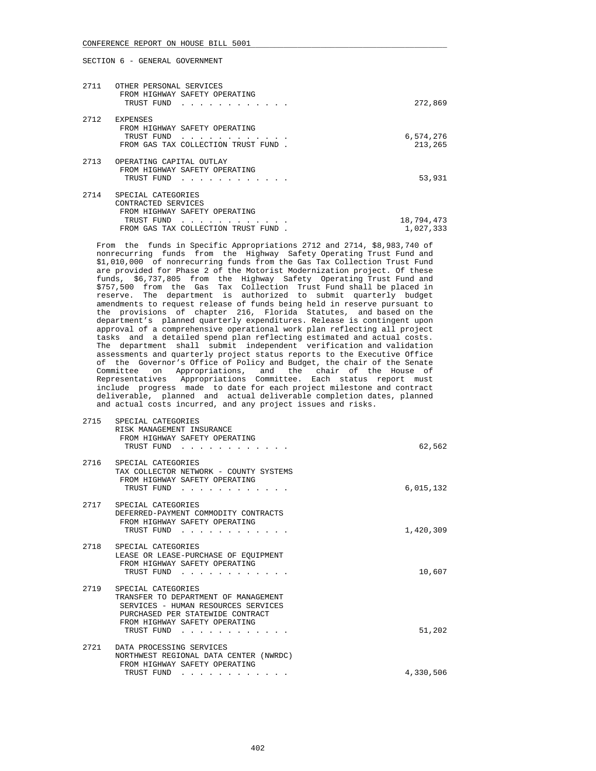| 2711 | OTHER PERSONAL SERVICES<br>FROM HIGHWAY SAFETY OPERATING<br>TRUST FUND                                                         | 272,869                 |
|------|--------------------------------------------------------------------------------------------------------------------------------|-------------------------|
| 2712 | <b>EXPENSES</b><br>FROM HIGHWAY SAFETY OPERATING<br>TRUST FUND<br>FROM GAS TAX COLLECTION TRUST FUND                           | 6,574,276<br>213,265    |
| 2713 | OPERATING CAPITAL OUTLAY<br>FROM HIGHWAY SAFETY OPERATING<br>TRUST FUND                                                        | 53,931                  |
| 2714 | SPECIAL CATEGORIES<br>CONTRACTED SERVICES<br>FROM HIGHWAY SAFETY OPERATING<br>TRUST FUND<br>FROM GAS TAX COLLECTION TRUST FUND | 18,794,473<br>1,027,333 |

 From the funds in Specific Appropriations 2712 and 2714, \$8,983,740 of nonrecurring funds from the Highway Safety Operating Trust Fund and \$1,010,000 of nonrecurring funds from the Gas Tax Collection Trust Fund are provided for Phase 2 of the Motorist Modernization project. Of these funds, \$6,737,805 from the Highway Safety Operating Trust Fund and \$757,500 from the Gas Tax Collection Trust Fund shall be placed in reserve. The department is authorized to submit quarterly budget amendments to request release of funds being held in reserve pursuant to the provisions of chapter 216, Florida Statutes, and based on the department's planned quarterly expenditures. Release is contingent upon approval of a comprehensive operational work plan reflecting all project tasks and a detailed spend plan reflecting estimated and actual costs. The department shall submit independent verification and validation assessments and quarterly project status reports to the Executive Office of the Governor's Office of Policy and Budget, the chair of the Senate Committee on Appropriations, and the chair of the House of Representatives Appropriations Committee. Each status report must include progress made to date for each project milestone and contract deliverable, planned and actual deliverable completion dates, planned and actual costs incurred, and any project issues and risks.

| 2715 | SPECIAL CATEGORIES<br>RISK MANAGEMENT INSURANCE<br>FROM HIGHWAY SAFETY OPERATING<br>TRUST FUND                                                                                            | 62,562    |
|------|-------------------------------------------------------------------------------------------------------------------------------------------------------------------------------------------|-----------|
| 2716 | SPECIAL CATEGORIES<br>TAX COLLECTOR NETWORK - COUNTY SYSTEMS<br>FROM HIGHWAY SAFETY OPERATING<br>TRUST FUND                                                                               | 6,015,132 |
| 2717 | SPECIAL CATEGORIES<br>DEFERRED-PAYMENT COMMODITY CONTRACTS<br>FROM HIGHWAY SAFETY OPERATING<br>TRUST FUND                                                                                 | 1,420,309 |
|      | 2718 SPECIAL CATEGORIES<br>LEASE OR LEASE-PURCHASE OF EQUIPMENT<br>FROM HIGHWAY SAFETY OPERATING<br>TRUST FUND                                                                            | 10,607    |
|      | 2719 SPECIAL CATEGORIES<br>TRANSFER TO DEPARTMENT OF MANAGEMENT<br>SERVICES - HUMAN RESOURCES SERVICES<br>PURCHASED PER STATEWIDE CONTRACT<br>FROM HIGHWAY SAFETY OPERATING<br>TRUST FUND | 51,202    |
| 2721 | DATA PROCESSING SERVICES<br>NORTHWEST REGIONAL DATA CENTER (NWRDC)<br>FROM HIGHWAY SAFETY OPERATING                                                                                       |           |
|      | TRUST FUND                                                                                                                                                                                | 4,330,506 |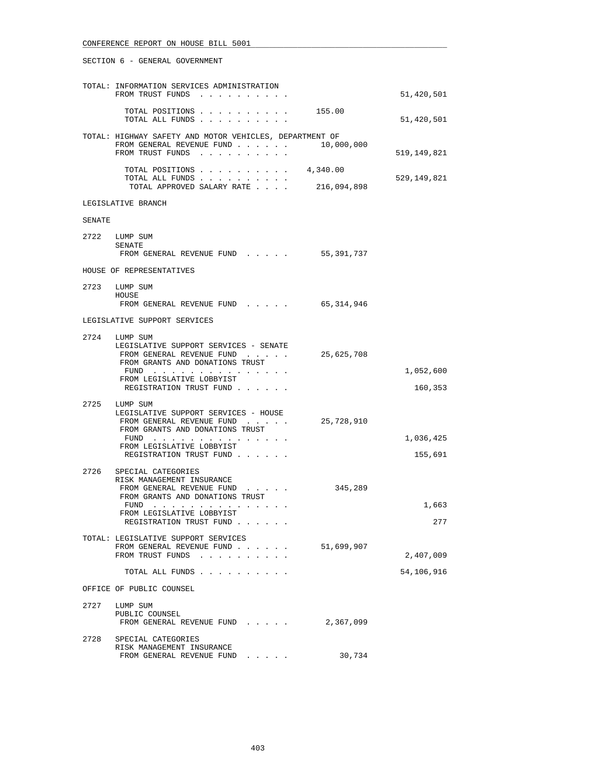|        | TOTAL: INFORMATION SERVICES ADMINISTRATION<br>FROM TRUST FUNDS                                                                                                                                 |                         | 51,420,501              |
|--------|------------------------------------------------------------------------------------------------------------------------------------------------------------------------------------------------|-------------------------|-------------------------|
|        | TOTAL POSITIONS<br>TOTAL ALL FUNDS                                                                                                                                                             | 155.00                  | 51,420,501              |
|        | TOTAL: HIGHWAY SAFETY AND MOTOR VEHICLES, DEPARTMENT OF<br>FROM GENERAL REVENUE FUND<br>FROM TRUST FUNDS                                                                                       | 10,000,000              | 519,149,821             |
|        | TOTAL POSITIONS<br>TOTAL ALL FUNDS<br>TOTAL APPROVED SALARY RATE                                                                                                                               | 4,340.00<br>216,094,898 | 529,149,821             |
|        | LEGISLATIVE BRANCH                                                                                                                                                                             |                         |                         |
| SENATE |                                                                                                                                                                                                |                         |                         |
|        | 2722 LUMP SUM<br>SENATE                                                                                                                                                                        |                         |                         |
|        | FROM GENERAL REVENUE FUND                                                                                                                                                                      | 55,391,737              |                         |
|        | HOUSE OF REPRESENTATIVES                                                                                                                                                                       |                         |                         |
|        | 2723 LUMP SUM<br>HOUSE<br>FROM GENERAL REVENUE FUND                                                                                                                                            | 65,314,946              |                         |
|        | LEGISLATIVE SUPPORT SERVICES                                                                                                                                                                   |                         |                         |
|        | 2724 LUMP SUM<br>LEGISLATIVE SUPPORT SERVICES - SENATE<br>FROM GENERAL REVENUE FUND<br>FROM GRANTS AND DONATIONS TRUST                                                                         | 25,625,708              | 1,052,600               |
|        | FUND<br>FROM LEGISLATIVE LOBBYIST<br>REGISTRATION TRUST FUND                                                                                                                                   |                         | 160,353                 |
|        | 2725 LUMP SUM<br>LEGISLATIVE SUPPORT SERVICES - HOUSE<br>FROM GENERAL REVENUE FUND<br>FROM GRANTS AND DONATIONS TRUST<br>FUND $\cdots$<br>FROM LEGISLATIVE LOBBYIST<br>REGISTRATION TRUST FUND | 25,728,910              | 1,036,425<br>155,691    |
| 2726   | SPECIAL CATEGORIES<br>RISK MANAGEMENT INSURANCE<br>FROM GENERAL REVENUE FUND<br>FROM GRANTS AND DONATIONS TRUST<br>FUND<br>FROM LEGISLATIVE LOBBYIST<br>REGISTRATION TRUST FUND                | 345,289                 | 1,663<br>277            |
|        | TOTAL: LEGISLATIVE SUPPORT SERVICES<br>FROM GENERAL REVENUE FUND<br>FROM TRUST FUNDS<br>TOTAL ALL FUNDS                                                                                        | 51,699,907              | 2,407,009<br>54,106,916 |
|        | OFFICE OF PUBLIC COUNSEL                                                                                                                                                                       |                         |                         |
| 2727   | LUMP SUM<br>PUBLIC COUNSEL<br>FROM GENERAL REVENUE FUND                                                                                                                                        | 2,367,099               |                         |
| 2728   | SPECIAL CATEGORIES<br>RISK MANAGEMENT INSURANCE<br>FROM GENERAL REVENUE FUND                                                                                                                   | 30,734                  |                         |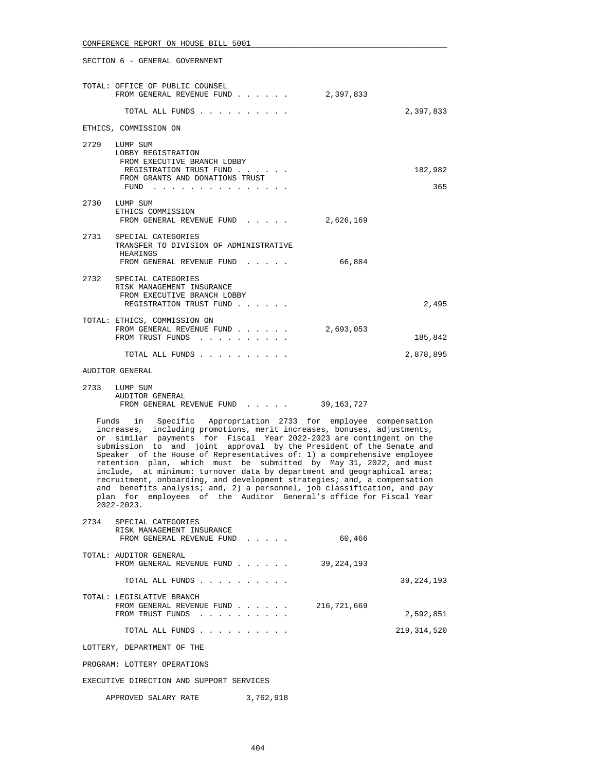| TOTAL: OFFICE OF PUBLIC COUNSEL<br>FROM GENERAL REVENUE FUND                                                   | 2,397,833 |           |
|----------------------------------------------------------------------------------------------------------------|-----------|-----------|
| TOTAL ALL FUNDS                                                                                                |           | 2,397,833 |
| ETHICS, COMMISSION ON                                                                                          |           |           |
| 2729 LUMP SUM<br>LOBBY REGISTRATION<br>FROM EXECUTIVE BRANCH LOBBY<br>REGISTRATION TRUST FUND                  |           | 182,982   |
| FROM GRANTS AND DONATIONS TRUST<br>FUND                                                                        |           | 365       |
| 2730 LUMP SUM<br>ETHICS COMMISSION<br>FROM GENERAL REVENUE FUND                                                | 2,626,169 |           |
| 2731 SPECIAL CATEGORIES<br>TRANSFER TO DIVISION OF ADMINISTRATIVE<br>HEARINGS<br>FROM GENERAL REVENUE FUND     | 66,884    |           |
| 2732 SPECIAL CATEGORIES<br>RISK MANAGEMENT INSURANCE<br>FROM EXECUTIVE BRANCH LOBBY<br>REGISTRATION TRUST FUND |           | 2,495     |
| TOTAL: ETHICS, COMMISSION ON<br>FROM GENERAL REVENUE FUND<br>FROM TRUST FUNDS                                  | 2,693,053 | 185,842   |
| TOTAL ALL FUNDS                                                                                                |           | 2,878,895 |

### AUDITOR GENERAL

### 2733 LUMP SUM AUDITOR GENERAL FROM GENERAL REVENUE FUND . . . . . 39,163,727

 Funds in Specific Appropriation 2733 for employee compensation increases, including promotions, merit increases, bonuses, adjustments, or similar payments for Fiscal Year 2022-2023 are contingent on the submission to and joint approval by the President of the Senate and Speaker of the House of Representatives of: 1) a comprehensive employee retention plan, which must be submitted by May 31, 2022, and must include, at minimum: turnover data by department and geographical area; recruitment, onboarding, and development strategies; and, a compensation and benefits analysis; and, 2) a personnel, job classification, and pay plan for employees of the Auditor General's office for Fiscal Year  $2022 - 2023$ .

| 2734 | SPECIAL CATEGORIES<br>RISK MANAGEMENT INSURANCE                            |           |             |               |
|------|----------------------------------------------------------------------------|-----------|-------------|---------------|
|      | FROM GENERAL REVENUE FUND                                                  |           | 60,466      |               |
|      | TOTAL: AUDITOR GENERAL<br>FROM GENERAL REVENUE FUND                        |           | 39,224,193  |               |
|      | TOTAL ALL FUNDS                                                            |           |             | 39, 224, 193  |
|      | TOTAL: LEGISLATIVE BRANCH<br>FROM GENERAL REVENUE FUND<br>FROM TRUST FUNDS |           | 216,721,669 | 2,592,851     |
|      | TOTAL ALL FUNDS                                                            |           |             | 219, 314, 520 |
|      | LOTTERY, DEPARTMENT OF THE                                                 |           |             |               |
|      | PROGRAM: LOTTERY OPERATIONS                                                |           |             |               |
|      | EXECUTIVE DIRECTION AND SUPPORT SERVICES                                   |           |             |               |
|      | APPROVED SALARY RATE                                                       | 3,762,918 |             |               |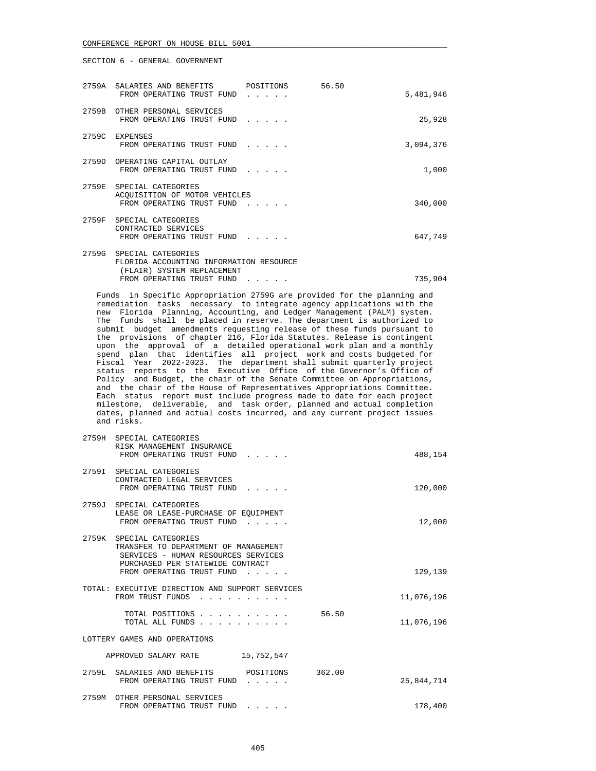SECTION 6 - GENERAL GOVERNMENT

 $2759$ 

| 2759A SALARIES AND BENEFITS POSITIONS 56.50<br>FROM OPERATING TRUST FUND                          |  | 5,481,946 |
|---------------------------------------------------------------------------------------------------|--|-----------|
| 2759B OTHER PERSONAL SERVICES<br>FROM OPERATING TRUST FUND                                        |  | 25,928    |
| 2759C EXPENSES<br>FROM OPERATING TRUST FUND                                                       |  | 3,094,376 |
| 2759D OPERATING CAPITAL OUTLAY<br>FROM OPERATING TRUST FUND                                       |  | 1,000     |
| 2759E SPECIAL CATEGORIES<br>ACQUISITION OF MOTOR VEHICLES<br>FROM OPERATING TRUST FUND            |  | 340,000   |
| 2759F SPECIAL CATEGORIES<br>CONTRACTED SERVICES<br>FROM OPERATING TRUST FUND                      |  | 647,749   |
| 2759G SPECIAL CATEGORIES<br>FLORIDA ACCOUNTING INFORMATION RESOURCE<br>(FLAIR) SYSTEM REPLACEMENT |  |           |
| FROM OPERATING TRUST FUND                                                                         |  | 735,904   |

 Funds in Specific Appropriation 2759G are provided for the planning and remediation tasks necessary to integrate agency applications with the new Florida Planning, Accounting, and Ledger Management (PALM) system. The funds shall be placed in reserve. The department is authorized to submit budget amendments requesting release of these funds pursuant to the provisions of chapter 216, Florida Statutes. Release is contingent upon the approval of a detailed operational work plan and a monthly spend plan that identifies all project work and costs budgeted for Fiscal Year 2022-2023. The department shall submit quarterly project status reports to the Executive Office of the Governor's Office of Policy and Budget, the chair of the Senate Committee on Appropriations, and the chair of the House of Representatives Appropriations Committee. Each status report must include progress made to date for each project milestone, deliverable, and task order, planned and actual completion dates, planned and actual costs incurred, and any current project issues and risks.

| 21 D Y H | SPECIAL CAILGORILS<br>RISK MANAGEMENT INSURANCE<br>FROM OPERATING TRUST FUND<br>$\mathcal{L}^{\pm}$ , and $\mathcal{L}^{\pm}$ , and $\mathcal{L}^{\pm}$                           |        | 488,154    |
|----------|-----------------------------------------------------------------------------------------------------------------------------------------------------------------------------------|--------|------------|
|          | 2759I SPECIAL CATEGORIES<br>CONTRACTED LEGAL SERVICES<br>FROM OPERATING TRUST FUND                                                                                                |        | 120,000    |
|          | 2759J SPECIAL CATEGORIES<br>LEASE OR LEASE-PURCHASE OF EOUIPMENT<br>FROM OPERATING TRUST FUND                                                                                     |        | 12,000     |
| 2759K    | SPECIAL CATEGORIES<br>TRANSFER TO DEPARTMENT OF MANAGEMENT<br>SERVICES - HUMAN RESOURCES SERVICES<br>PURCHASED PER STATEWIDE CONTRACT<br>FROM OPERATING TRUST FUND                |        | 129,139    |
|          | TOTAL: EXECUTIVE DIRECTION AND SUPPORT SERVICES<br>FROM TRUST FUNDS                                                                                                               |        | 11,076,196 |
|          | TOTAL POSITIONS<br>TOTAL ALL FUNDS                                                                                                                                                | 56.50  | 11,076,196 |
|          | LOTTERY GAMES AND OPERATIONS                                                                                                                                                      |        |            |
|          | 15,752,547<br>APPROVED SALARY RATE                                                                                                                                                |        |            |
|          | 2759L SALARIES AND BENEFITS POSITIONS<br>FROM OPERATING TRUST FUND                                                                                                                | 362.00 | 25,844,714 |
| 2759M    | OTHER PERSONAL SERVICES<br>FROM OPERATING TRUST FUND<br>$\begin{array}{cccccccccccccc} \bullet & \bullet & \bullet & \bullet & \bullet & \bullet & \bullet & \bullet \end{array}$ |        | 178,400    |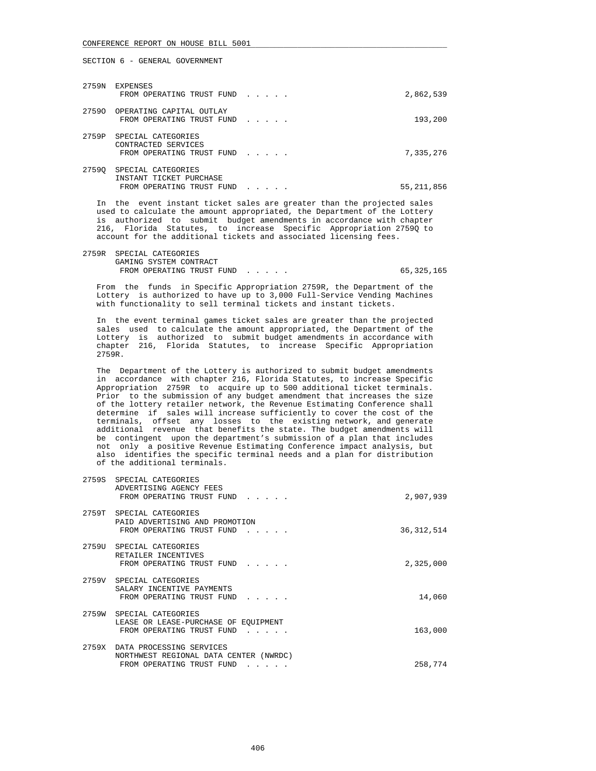SECTION 6 - GENERAL GOVERNMENT

|       | 2759N EXPENSES<br>FROM OPERATING TRUST FUND                                | 2,862,539    |
|-------|----------------------------------------------------------------------------|--------------|
|       | 27590 OPERATING CAPITAL OUTLAY<br>FROM OPERATING TRUST FUND                | 193,200      |
| 2759P | SPECIAL CATEGORIES<br>CONTRACTED SERVICES<br>FROM OPERATING TRUST FUND     | 7,335,276    |
| 27590 | SPECIAL CATEGORIES<br>INSTANT TICKET PURCHASE<br>FROM OPERATING TRUST FUND | 55, 211, 856 |

 In the event instant ticket sales are greater than the projected sales used to calculate the amount appropriated, the Department of the Lottery is authorized to submit budget amendments in accordance with chapter 216, Florida Statutes, to increase Specific Appropriation 2759Q to account for the additional tickets and associated licensing fees.

 2759R SPECIAL CATEGORIES GAMING SYSTEM CONTRACT FROM OPERATING TRUST FUND . . . . . . . . . . . . . . . . 65,325,165

 From the funds in Specific Appropriation 2759R, the Department of the Lottery is authorized to have up to 3,000 Full-Service Vending Machines with functionality to sell terminal tickets and instant tickets.

 In the event terminal games ticket sales are greater than the projected sales used to calculate the amount appropriated, the Department of the Lottery is authorized to submit budget amendments in accordance with chapter 216, Florida Statutes, to increase Specific Appropriation 2759R.

 The Department of the Lottery is authorized to submit budget amendments in accordance with chapter 216, Florida Statutes, to increase Specific Appropriation 2759R to acquire up to 500 additional ticket terminals. Prior to the submission of any budget amendment that increases the size of the lottery retailer network, the Revenue Estimating Conference shall determine if sales will increase sufficiently to cover the cost of the terminals, offset any losses to the existing network, and generate additional revenue that benefits the state. The budget amendments will be contingent upon the department's submission of a plan that includes not only a positive Revenue Estimating Conference impact analysis, but also identifies the specific terminal needs and a plan for distribution of the additional terminals.

|       | 2759S SPECIAL CATEGORIES<br>ADVERTISING AGENCY FEES<br>FROM OPERATING TRUST FUND<br>$\mathbf{r}$ , $\mathbf{r}$ , $\mathbf{r}$ , $\mathbf{r}$  | 2,907,939    |
|-------|------------------------------------------------------------------------------------------------------------------------------------------------|--------------|
| 2759T | SPECIAL CATEGORIES<br>PAID ADVERTISING AND PROMOTION<br>FROM OPERATING TRUST FUND<br>$\mathbf{r}$ , $\mathbf{r}$ , $\mathbf{r}$ , $\mathbf{r}$ | 36, 312, 514 |
|       | 2759U SPECIAL CATEGORIES<br>RETAILER INCENTIVES<br>FROM OPERATING TRUST FUND                                                                   | 2,325,000    |
| 2759V | SPECIAL CATEGORIES<br>SALARY INCENTIVE PAYMENTS<br>FROM OPERATING TRUST FUND<br>$\sim$ $\sim$ $\sim$ $\sim$ $\sim$                             | 14,060       |
| 2759W | SPECIAL CATEGORIES<br>LEASE OR LEASE-PURCHASE OF EOUIPMENT<br>FROM OPERATING TRUST FUND<br>$\cdots$                                            | 163,000      |
| 2759X | DATA PROCESSING SERVICES<br>NORTHWEST REGIONAL DATA CENTER (NWRDC)<br>FROM OPERATING TRUST FUND<br>$\cdot$ $\cdot$ $\cdot$ $\cdot$ $\cdot$     | 258,774      |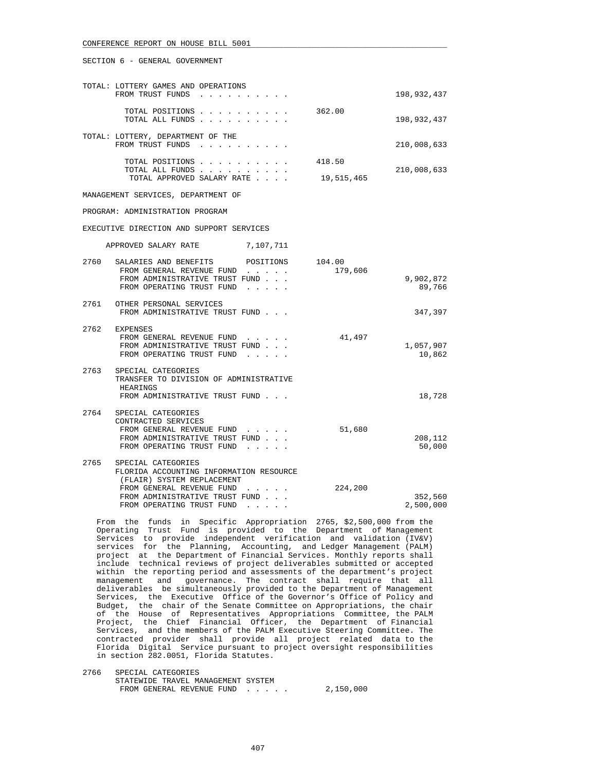#### SECTION 6 - GENERAL GOVERNMENT

| TOTAL: LOTTERY GAMES AND OPERATIONS<br>FROM TRUST FUNDS<br>$\mathbf{r}$ , $\mathbf{r}$ , $\mathbf{r}$ , $\mathbf{r}$                                                                                                                                                                                                                                                                                                                 |                      | 198,932,437          |
|--------------------------------------------------------------------------------------------------------------------------------------------------------------------------------------------------------------------------------------------------------------------------------------------------------------------------------------------------------------------------------------------------------------------------------------|----------------------|----------------------|
| TOTAL POSITIONS<br>TOTAL ALL FUNDS                                                                                                                                                                                                                                                                                                                                                                                                   | 362.00               | 198,932,437          |
| TOTAL: LOTTERY, DEPARTMENT OF THE<br>FROM TRUST FUNDS                                                                                                                                                                                                                                                                                                                                                                                |                      | 210,008,633          |
| TOTAL POSITIONS<br>TOTAL ALL FUNDS<br>TOTAL APPROVED SALARY RATE                                                                                                                                                                                                                                                                                                                                                                     | 418.50<br>19,515,465 | 210,008,633          |
| MANAGEMENT SERVICES, DEPARTMENT OF                                                                                                                                                                                                                                                                                                                                                                                                   |                      |                      |
| PROGRAM: ADMINISTRATION PROGRAM                                                                                                                                                                                                                                                                                                                                                                                                      |                      |                      |
| EXECUTIVE DIRECTION AND SUPPORT SERVICES                                                                                                                                                                                                                                                                                                                                                                                             |                      |                      |
| 7,107,711<br>APPROVED SALARY RATE                                                                                                                                                                                                                                                                                                                                                                                                    |                      |                      |
| 2760<br>SALARIES AND BENEFITS<br>POSITIONS<br>FROM GENERAL REVENUE FUND<br>FROM ADMINISTRATIVE TRUST FUND<br>FROM OPERATING TRUST FUND<br>$\mathbf{r}$ , $\mathbf{r}$ , $\mathbf{r}$ , $\mathbf{r}$                                                                                                                                                                                                                                  | 104.00<br>179,606    | 9,902,872<br>89,766  |
| 2761 OTHER PERSONAL SERVICES<br>FROM ADMINISTRATIVE TRUST FUND                                                                                                                                                                                                                                                                                                                                                                       |                      | 347,397              |
| 2762 EXPENSES<br>FROM GENERAL REVENUE FUND<br>FROM ADMINISTRATIVE TRUST FUND<br>FROM OPERATING TRUST FUND                                                                                                                                                                                                                                                                                                                            | 41,497               | 1,057,907<br>10,862  |
| 2763<br>SPECIAL CATEGORIES<br>TRANSFER TO DIVISION OF ADMINISTRATIVE<br>HEARINGS<br>FROM ADMINISTRATIVE TRUST FUND                                                                                                                                                                                                                                                                                                                   |                      | 18,728               |
| 2764<br>SPECIAL CATEGORIES<br>CONTRACTED SERVICES<br>FROM GENERAL REVENUE FUND<br>and a state of the state<br>FROM ADMINISTRATIVE TRUST FUND<br>FROM OPERATING TRUST FUND                                                                                                                                                                                                                                                            | 51,680               | 208,112<br>50,000    |
| 2765<br>SPECIAL CATEGORIES<br>FLORIDA ACCOUNTING INFORMATION RESOURCE<br>(FLAIR) SYSTEM REPLACEMENT<br>FROM GENERAL REVENUE FUND<br>$\mathbf{r}$ . The set of the set of the set of the set of the set of the set of the set of the set of the set of the set of the set of the set of the set of the set of the set of the set of the set of the set of the set of t<br>FROM ADMINISTRATIVE TRUST FUND<br>FROM OPERATING TRUST FUND | 224,200              | 352,560<br>2,500,000 |

 From the funds in Specific Appropriation 2765, \$2,500,000 from the Operating Trust Fund is provided to the Department of Management Services to provide independent verification and validation (IV&V) services for the Planning, Accounting, and Ledger Management (PALM) project at the Department of Financial Services. Monthly reports shall include technical reviews of project deliverables submitted or accepted within the reporting period and assessments of the department's project management and governance. The contract shall require that all deliverables be simultaneously provided to the Department of Management Services, the Executive Office of the Governor's Office of Policy and Budget, the chair of the Senate Committee on Appropriations, the chair of the House of Representatives Appropriations Committee, the PALM Project, the Chief Financial Officer, the Department of Financial Services, and the members of the PALM Executive Steering Committee. The contracted provider shall provide all project related data to the Florida Digital Service pursuant to project oversight responsibilities in section 282.0051, Florida Statutes.

 2766 SPECIAL CATEGORIES STATEWIDE TRAVEL MANAGEMENT SYSTEM FROM GENERAL REVENUE FUND . . . . . 2,150,000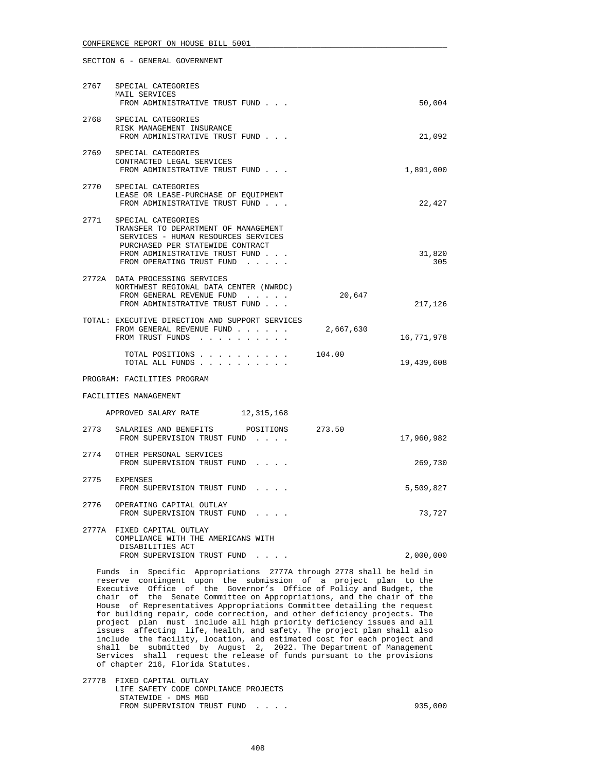|                       | 2767 SPECIAL CATEGORIES<br>MAIL SERVICES<br>FROM ADMINISTRATIVE TRUST FUND                                                                                                                                |           | 50,004        |  |
|-----------------------|-----------------------------------------------------------------------------------------------------------------------------------------------------------------------------------------------------------|-----------|---------------|--|
|                       | 2768 SPECIAL CATEGORIES<br>RISK MANAGEMENT INSURANCE<br>FROM ADMINISTRATIVE TRUST FUND                                                                                                                    |           | 21,092        |  |
| 2769                  | SPECIAL CATEGORIES<br>CONTRACTED LEGAL SERVICES<br>FROM ADMINISTRATIVE TRUST FUND                                                                                                                         |           | 1,891,000     |  |
| 2770                  | SPECIAL CATEGORIES<br>LEASE OR LEASE-PURCHASE OF EQUIPMENT<br>FROM ADMINISTRATIVE TRUST FUND                                                                                                              |           | 22,427        |  |
|                       | 2771 SPECIAL CATEGORIES<br>TRANSFER TO DEPARTMENT OF MANAGEMENT<br>SERVICES - HUMAN RESOURCES SERVICES<br>PURCHASED PER STATEWIDE CONTRACT<br>FROM ADMINISTRATIVE TRUST FUND<br>FROM OPERATING TRUST FUND |           | 31,820<br>305 |  |
|                       | 2772A DATA PROCESSING SERVICES<br>NORTHWEST REGIONAL DATA CENTER (NWRDC)<br>FROM GENERAL REVENUE FUND<br>FROM ADMINISTRATIVE TRUST FUND                                                                   | 20,647    | 217,126       |  |
|                       | TOTAL: EXECUTIVE DIRECTION AND SUPPORT SERVICES<br>FROM GENERAL REVENUE FUND<br>FROM TRUST FUNDS                                                                                                          | 2,667,630 | 16,771,978    |  |
|                       | TOTAL POSITIONS<br>TOTAL ALL FUNDS                                                                                                                                                                        | 104.00    | 19,439,608    |  |
|                       | PROGRAM: FACILITIES PROGRAM                                                                                                                                                                               |           |               |  |
| FACILITIES MANAGEMENT |                                                                                                                                                                                                           |           |               |  |
|                       | APPROVED SALARY RATE 12,315,168                                                                                                                                                                           |           |               |  |
|                       | 2773 SALARIES AND BENEFITS POSITIONS 273.50<br>FROM SUPERVISION TRUST FUND                                                                                                                                |           | 17,960,982    |  |
|                       | 2774 OTHER PERSONAL SERVICES<br>FROM SUPERVISION TRUST FUND                                                                                                                                               |           | 269,730       |  |
|                       | 2775 EXPENSES<br>FROM SUPERVISION TRUST FUND                                                                                                                                                              |           | 5,509,827     |  |

 2776 OPERATING CAPITAL OUTLAY FROM SUPERVISION TRUST FUND . . . . 73,727 2777A FIXED CAPITAL OUTLAY COMPLIANCE WITH THE AMERICANS WITH DISABILITIES ACT

FROM SUPERVISION TRUST FUND . . . . . 2,000,000

 Funds in Specific Appropriations 2777A through 2778 shall be held in reserve contingent upon the submission of a project plan to the Executive Office of the Governor's Office of Policy and Budget, the chair of the Senate Committee on Appropriations, and the chair of the House of Representatives Appropriations Committee detailing the request for building repair, code correction, and other deficiency projects. The project plan must include all high priority deficiency issues and all issues affecting life, health, and safety. The project plan shall also include the facility, location, and estimated cost for each project and shall be submitted by August 2, 2022. The Department of Management Services shall request the release of funds pursuant to the provisions of chapter 216, Florida Statutes.

 2777B FIXED CAPITAL OUTLAY LIFE SAFETY CODE COMPLIANCE PROJECTS STATEWIDE - DMS MGD FROM SUPERVISION TRUST FUND . . . . . . . . . . . . . . . . . . 935,000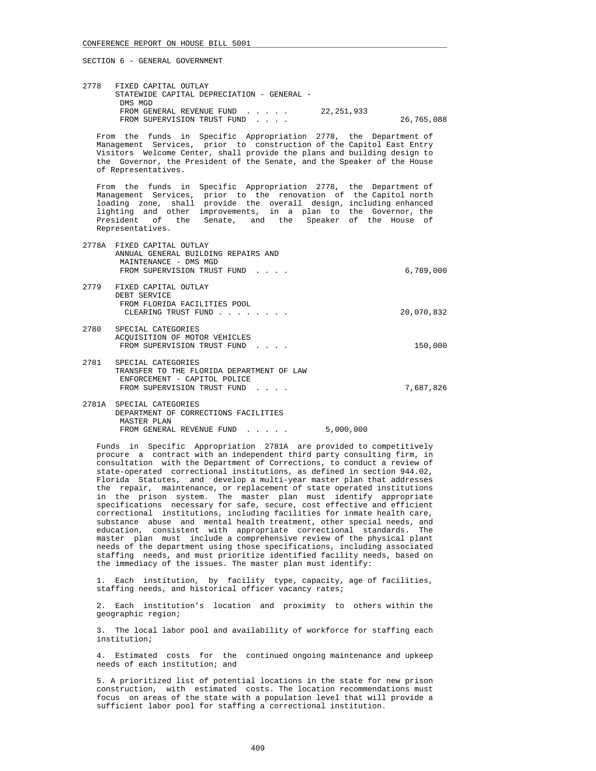2778 FIXED CAPITAL OUTLAY STATEWIDE CAPITAL DEPRECIATION - GENERAL - DMS MGD FROM GENERAL REVENUE FUND . . . . . 22,251,933 FROM SUPERVISION TRUST FUND . . . . . 26,765,088

 From the funds in Specific Appropriation 2778, the Department of Management Services, prior to construction of the Capitol East Entry Visitors Welcome Center, shall provide the plans and building design to the Governor, the President of the Senate, and the Speaker of the House of Representatives.

 From the funds in Specific Appropriation 2778, the Department of Management Services, prior to the renovation of the Capitol north loading zone, shall provide the overall design, including enhanced lighting and other improvements, in a plan to the Governor, the President of the Senate, and the Speaker of the House of Representatives.

- 2778A FIXED CAPITAL OUTLAY ANNUAL GENERAL BUILDING REPAIRS AND MAINTENANCE - DMS MGD FROM SUPERVISION TRUST FUND . . . . CONTROL 2000 6,789,000
- 2779 FIXED CAPITAL OUTLAY DEBT SERVICE FROM FLORIDA FACILITIES POOL CLEARING TRUST FUND . . . . . . . . . . . . . . . 20,070,832
- 2780 SPECIAL CATEGORIES ACQUISITION OF MOTOR VEHICLES FROM SUPERVISION TRUST FUND . . . . 150,000
- 2781 SPECIAL CATEGORIES TRANSFER TO THE FLORIDA DEPARTMENT OF LAW ENFORCEMENT - CAPITOL POLICE FROM SUPERVISION TRUST FUND . . . . . . . . . . . 7,687,826
- 2781A SPECIAL CATEGORIES DEPARTMENT OF CORRECTIONS FACILITIES MASTER PLAN FROM GENERAL REVENUE FUND . . . . . 5,000,000

 Funds in Specific Appropriation 2781A are provided to competitively procure a contract with an independent third party consulting firm, in consultation with the Department of Corrections, to conduct a review of state-operated correctional institutions, as defined in section 944.02, Florida Statutes, and develop a multi-year master plan that addresses the repair, maintenance, or replacement of state operated institutions in the prison system. The master plan must identify appropriate specifications necessary for safe, secure, cost effective and efficient correctional institutions, including facilities for inmate health care, substance abuse and mental health treatment, other special needs, and education, consistent with appropriate correctional standards. The master plan must include a comprehensive review of the physical plant needs of the department using those specifications, including associated staffing needs, and must prioritize identified facility needs, based on the immediacy of the issues. The master plan must identify:

 1. Each institution, by facility type, capacity, age of facilities, staffing needs, and historical officer vacancy rates;

 2. Each institution's location and proximity to others within the geographic region;

 3. The local labor pool and availability of workforce for staffing each institution;

 4. Estimated costs for the continued ongoing maintenance and upkeep needs of each institution; and

 5. A prioritized list of potential locations in the state for new prison construction, with estimated costs. The location recommendations must focus on areas of the state with a population level that will provide a sufficient labor pool for staffing a correctional institution.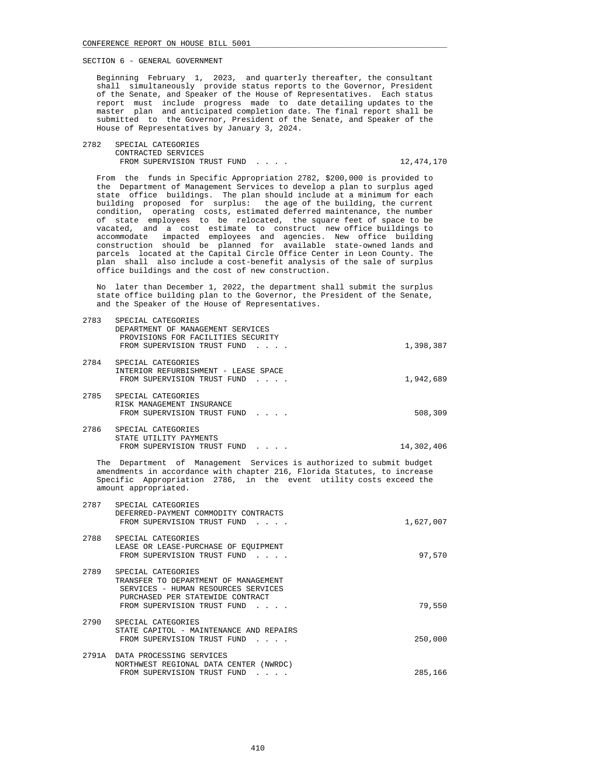Beginning February 1, 2023, and quarterly thereafter, the consultant shall simultaneously provide status reports to the Governor, President of the Senate, and Speaker of the House of Representatives. Each status report must include progress made to date detailing updates to the master plan and anticipated completion date. The final report shall be submitted to the Governor, President of the Senate, and Speaker of the House of Representatives by January 3, 2024.

 2782 SPECIAL CATEGORIES CONTRACTED SERVICES FROM SUPERVISION TRUST FUND . . . . . . . . . 12,474,170

 From the funds in Specific Appropriation 2782, \$200,000 is provided to the Department of Management Services to develop a plan to surplus aged state office buildings. The plan should include at a minimum for each building proposed for surplus: the age of the building, the current condition, operating costs, estimated deferred maintenance, the number of state employees to be relocated, the square feet of space to be vacated, and a cost estimate to construct new office buildings to accommodate impacted employees and agencies. New office building construction should be planned for available state-owned lands and parcels located at the Capital Circle Office Center in Leon County. The plan shall also include a cost-benefit analysis of the sale of surplus office buildings and the cost of new construction.

 No later than December 1, 2022, the department shall submit the surplus state office building plan to the Governor, the President of the Senate, and the Speaker of the House of Representatives.

| 2783 | SPECIAL CATEGORIES                                                                                     |           |
|------|--------------------------------------------------------------------------------------------------------|-----------|
|      | DEPARTMENT OF MANAGEMENT SERVICES<br>PROVISIONS FOR FACILITIES SECURITY<br>FROM SUPERVISION TRUST FUND | 1,398,387 |
| 2784 | SPECIAL CATEGORIES<br>INTERIOR REFURBISHMENT - LEASE SPACE<br>FROM SUPERVISION TRUST FUND              | 1,942,689 |
| 2785 | SPECIAL CATEGORIES<br>RISK MANAGEMENT INSURANCE<br>FROM SUPERVISION TRUST FUND                         | 508,309   |
| 2786 | SPECIAL CATEGORIES<br>STATE UTILITY PAYMENTS                                                           |           |

FROM SUPERVISION TRUST FUND . . . . . . . . 14,302,406

 The Department of Management Services is authorized to submit budget amendments in accordance with chapter 216, Florida Statutes, to increase Specific Appropriation 2786, in the event utility costs exceed the amount appropriated.

| 2787  | SPECIAL CATEGORIES<br>DEFERRED-PAYMENT COMMODITY CONTRACTS<br>FROM SUPERVISION TRUST FUND                                                                            | 1,627,007 |
|-------|----------------------------------------------------------------------------------------------------------------------------------------------------------------------|-----------|
| 2788  | SPECIAL CATEGORIES<br>LEASE OR LEASE-PURCHASE OF EQUIPMENT<br>FROM SUPERVISION TRUST FUND                                                                            | 97,570    |
| 2789  | SPECIAL CATEGORIES<br>TRANSFER TO DEPARTMENT OF MANAGEMENT<br>SERVICES - HUMAN RESOURCES SERVICES<br>PURCHASED PER STATEWIDE CONTRACT<br>FROM SUPERVISION TRUST FUND | 79,550    |
| 2790  | SPECIAL CATEGORIES<br>STATE CAPITOL - MAINTENANCE AND REPAIRS<br>FROM SUPERVISION TRUST FUND<br>$\sim$ $\sim$ $\sim$ $\sim$                                          | 250,000   |
| 2791A | DATA PROCESSING SERVICES<br>NORTHWEST REGIONAL DATA CENTER<br>(NWRDC)<br>FROM SUPERVISION TRUST FUND<br>$\alpha$ , $\alpha$ , $\alpha$ , $\alpha$ , $\alpha$         | 285,166   |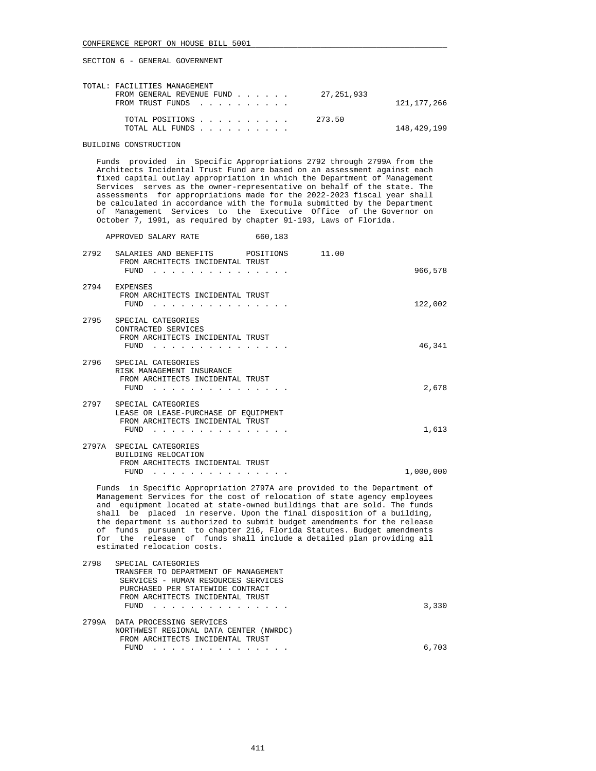APPROVED SALARY RATE 660,183

SECTION 6 - GENERAL GOVERNMENT

| TOTAL: FACILITIES MANAGEMENT                    |               |
|-------------------------------------------------|---------------|
| FROM GENERAL REVENUE FUND 27, 251, 933          |               |
| FROM TRUST FUNDS                                | 121, 177, 266 |
| TOTAL POSITIONS $\ldots$ , , , , , , , , 273.50 |               |
| TOTAL ALL FUNDS                                 | 148,429,199   |

### BUILDING CONSTRUCTION

 Funds provided in Specific Appropriations 2792 through 2799A from the Architects Incidental Trust Fund are based on an assessment against each fixed capital outlay appropriation in which the Department of Management Services serves as the owner-representative on behalf of the state. The assessments for appropriations made for the 2022-2023 fiscal year shall be calculated in accordance with the formula submitted by the Department of Management Services to the Executive Office of the Governor on October 7, 1991, as required by chapter 91-193, Laws of Florida.

 2792 SALARIES AND BENEFITS POSITIONS 11.00 FROM ARCHITECTS INCIDENTAL TRUST FUND . . . . . . . . . . . . . . . 966,578 2794 EXPENSES FROM ARCHITECTS INCIDENTAL TRUST FUND . . . . . . . . . . . . . . . 122,002 2795 SPECIAL CATEGORIES CONTRACTED SERVICES FROM ARCHITECTS INCIDENTAL TRUST FUND . . . . . . . . . . . . . . . 46,341 2796 SPECIAL CATEGORIES RISK MANAGEMENT INSURANCE FROM ARCHITECTS INCIDENTAL TRUST FUND . . . . . . . . . . . . . . . 2,678 2797 SPECIAL CATEGORIES LEASE OR LEASE-PURCHASE OF EQUIPMENT FROM ARCHITECTS INCIDENTAL TRUST FUND . . . . . . . . . . . . . . . 1,613 2797A SPECIAL CATEGORIES BUILDING RELOCATION FROM ARCHITECTS INCIDENTAL TRUST FUND . . . . . . . . . . . . . . . 1,000,000

 Funds in Specific Appropriation 2797A are provided to the Department of Management Services for the cost of relocation of state agency employees and equipment located at state-owned buildings that are sold. The funds shall be placed in reserve. Upon the final disposition of a building, the department is authorized to submit budget amendments for the release of funds pursuant to chapter 216, Florida Statutes. Budget amendments for the release of funds shall include a detailed plan providing all estimated relocation costs.

| 2798 | SPECIAL CATEGORIES                     |       |
|------|----------------------------------------|-------|
|      | TRANSFER TO DEPARTMENT OF MANAGEMENT   |       |
|      | SERVICES - HUMAN RESOURCES SERVICES    |       |
|      | PURCHASED PER STATEWIDE CONTRACT       |       |
|      | FROM ARCHITECTS INCIDENTAL TRUST       |       |
|      | FUND                                   | 3,330 |
|      |                                        |       |
|      | 2799A DATA PROCESSING SERVICES         |       |
|      | NORTHWEST REGIONAL DATA CENTER (NWRDC) |       |
|      | FROM ARCHITECTS INCIDENTAL TRUST       |       |
|      | FUND                                   | 6,703 |
|      |                                        |       |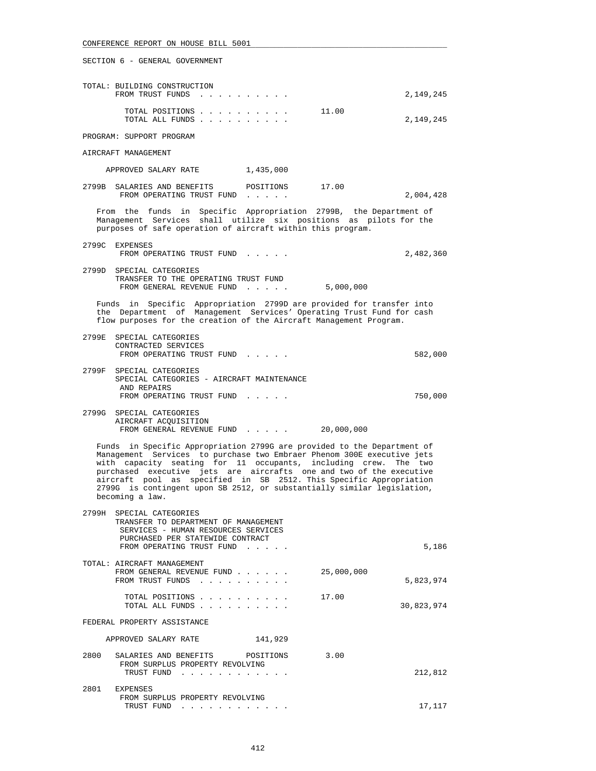| TOTAL: BUILDING CONSTRUCTION<br>FROM TRUST FUNDS                                  | 2,149,245 |
|-----------------------------------------------------------------------------------|-----------|
| 11.00<br>TOTAL POSITIONS<br>TOTAL ALL FUNDS                                       | 2,149,245 |
| PROGRAM: SUPPORT PROGRAM                                                          |           |
| AIRCRAFT MANAGEMENT                                                               |           |
| 1,435,000<br>APPROVED SALARY RATE                                                 |           |
| 17.00<br>2799B<br>POSITIONS<br>SALARIES AND BENEFITS<br>FROM OPERATING TRUST FUND | 2,004,428 |

 From the funds in Specific Appropriation 2799B, the Department of Management Services shall utilize six positions as pilots for the purposes of safe operation of aircraft within this program.

 2799C EXPENSES FROM OPERATING TRUST FUND . . . . . . . 2,482,360 2799D SPECIAL CATEGORIES TRANSFER TO THE OPERATING TRUST FUND

 Funds in Specific Appropriation 2799D are provided for transfer into the Department of Management Services' Operating Trust Fund for cash flow purposes for the creation of the Aircraft Management Program.

FROM GENERAL REVENUE FUND . . . . . 5,000,000

| 2799E SPECIAL CATEGORIES<br>CONTRACTED SERVICES<br>FROM OPERATING TRUST FUND | 582,000 |
|------------------------------------------------------------------------------|---------|
| 2799F SPECIAL CATEGORIES<br>SPECIAL CATEGORIES - AIRCRAFT MAINTENANCE        |         |
| AND REPAIRS<br>FROM OPERATING TRUST FUND                                     | 750,000 |

 2799G SPECIAL CATEGORIES AIRCRAFT ACQUISITION FROM GENERAL REVENUE FUND . . . . . 20,000,000

 Funds in Specific Appropriation 2799G are provided to the Department of Management Services to purchase two Embraer Phenom 300E executive jets with capacity seating for 11 occupants, including crew. The two purchased executive jets are aircrafts one and two of the executive aircraft pool as specified in SB 2512. This Specific Appropriation 2799G is contingent upon SB 2512, or substantially similar legislation, becoming a law.

| 2799H<br>SPECIAL CATEGORIES<br>TRANSFER TO DEPARTMENT OF MANAGEMENT<br>SERVICES - HUMAN RESOURCES SERVICES<br>PURCHASED PER STATEWIDE CONTRACT<br>FROM OPERATING TRUST FUND |            | 5,186      |
|-----------------------------------------------------------------------------------------------------------------------------------------------------------------------------|------------|------------|
| TOTAL: AIRCRAFT MANAGEMENT<br>FROM GENERAL REVENUE FUND<br>FROM TRUST FUNDS                                                                                                 | 25,000,000 | 5,823,974  |
| TOTAL POSITIONS<br>TOTAL ALL FUNDS                                                                                                                                          | 17.00      | 30,823,974 |
| FEDERAL PROPERTY ASSISTANCE                                                                                                                                                 |            |            |
| 141,929<br>APPROVED SALARY RATE                                                                                                                                             |            |            |
| 2800<br>SALARIES AND BENEFITS POSITIONS<br>FROM SURPLUS PROPERTY REVOLVING<br>TRUST FUND                                                                                    | 3.00       | 212,812    |
|                                                                                                                                                                             |            |            |
| 2801<br><b>EXPENSES</b><br>FROM SURPLUS PROPERTY REVOLVING                                                                                                                  |            |            |
| TRUST FUND                                                                                                                                                                  |            | 17,117     |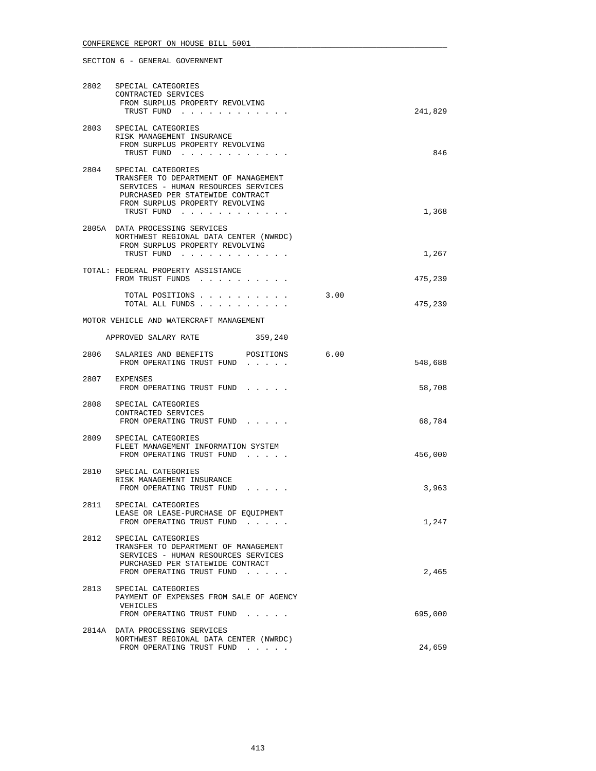# 2802 SPECIAL CATEGORIES CONTRACTED SERVICES FROM SURPLUS PROPERTY REVOLVING TRUST FUND . . . . . . . . . . . . 241,829 2803 SPECIAL CATEGORIES RISK MANAGEMENT INSURANCE FROM SURPLUS PROPERTY REVOLVING TRUST FUND . . . . . . . . . . . . 846 2804 SPECIAL CATEGORIES TRANSFER TO DEPARTMENT OF MANAGEMENT SERVICES - HUMAN RESOURCES SERVICES PURCHASED PER STATEWIDE CONTRACT FROM SURPLUS PROPERTY REVOLVING TRUST FUND . . . . . . . . . . . . 1,368 2805A DATA PROCESSING SERVICES NORTHWEST REGIONAL DATA CENTER (NWRDC) FROM SURPLUS PROPERTY REVOLVING TRUST FUND . . . . . . . . . . . . . . . . . . 1,267 TOTAL: FEDERAL PROPERTY ASSISTANCE FROM TRUST FUNDS . . . . . . . . . . . . . . 475,239 TOTAL POSITIONS . . . . . . . . . . 3.00 TOTAL ALL FUNDS . . . . . . . . . . 475,239 MOTOR VEHICLE AND WATERCRAFT MANAGEMENT APPROVED SALARY RATE 359,240 2806 SALARIES AND BENEFITS POSITIONS 6.00 FROM OPERATING TRUST FUND . . . . . 548,688 2807 EXPENSES FROM OPERATING TRUST FUND . . . . . 58,708 2808 SPECIAL CATEGORIES CONTRACTED SERVICES FROM OPERATING TRUST FUND . . . . . 68,784 2809 SPECIAL CATEGORIES FLEET MANAGEMENT INFORMATION SYSTEM FROM OPERATING TRUST FUND . . . . . . . 456,000 2810 SPECIAL CATEGORIES RISK MANAGEMENT INSURANCE FROM OPERATING TRUST FUND . . . . . . . . . . . 3,963 2811 SPECIAL CATEGORIES LEASE OR LEASE-PURCHASE OF EQUIPMENT FROM OPERATING TRUST FUND . . . . . 1,247 2812 SPECIAL CATEGORIES TRANSFER TO DEPARTMENT OF MANAGEMENT SERVICES - HUMAN RESOURCES SERVICES PURCHASED PER STATEWIDE CONTRACT FROM OPERATING TRUST FUND . . . . . 2,465 2813 SPECIAL CATEGORIES PAYMENT OF EXPENSES FROM SALE OF AGENCY VEHICLES FROM OPERATING TRUST FUND . . . . . 695,000 2814A DATA PROCESSING SERVICES NORTHWEST REGIONAL DATA CENTER (NWRDC) FROM OPERATING TRUST FUND . . . . . 24,659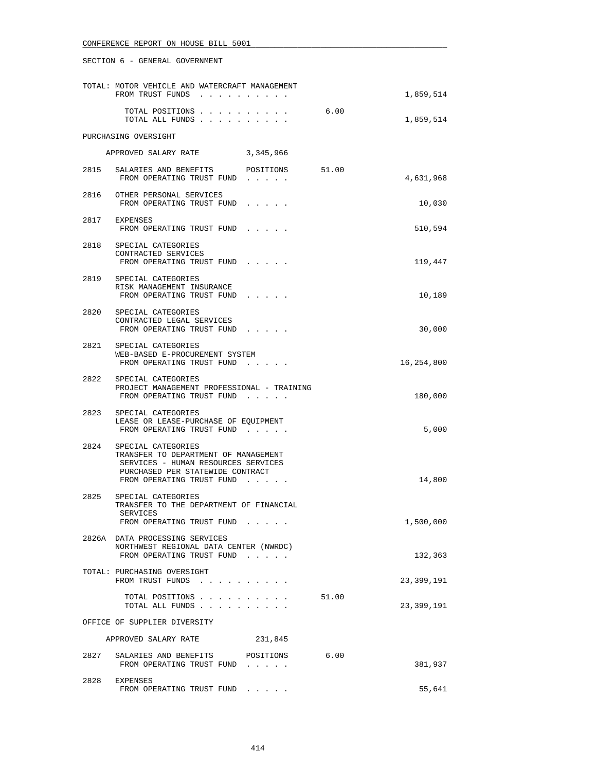|      | TOTAL: MOTOR VEHICLE AND WATERCRAFT MANAGEMENT<br>FROM TRUST FUNDS                                                                                                      |       | 1,859,514  |
|------|-------------------------------------------------------------------------------------------------------------------------------------------------------------------------|-------|------------|
|      | TOTAL POSITIONS<br>TOTAL ALL FUNDS                                                                                                                                      | 6.00  | 1,859,514  |
|      | PURCHASING OVERSIGHT                                                                                                                                                    |       |            |
|      | APPROVED SALARY RATE 3,345,966                                                                                                                                          |       |            |
|      | 2815 SALARIES AND BENEFITS POSITIONS<br>FROM OPERATING TRUST FUND                                                                                                       | 51.00 | 4,631,968  |
|      | 2816 OTHER PERSONAL SERVICES<br>FROM OPERATING TRUST FUND                                                                                                               |       | 10,030     |
|      | 2817 EXPENSES<br>FROM OPERATING TRUST FUND                                                                                                                              |       | 510,594    |
|      | 2818 SPECIAL CATEGORIES<br>CONTRACTED SERVICES<br>FROM OPERATING TRUST FUND                                                                                             |       | 119,447    |
|      | 2819 SPECIAL CATEGORIES<br>RISK MANAGEMENT INSURANCE<br>FROM OPERATING TRUST FUND                                                                                       |       | 10,189     |
|      | 2820 SPECIAL CATEGORIES<br>CONTRACTED LEGAL SERVICES<br>FROM OPERATING TRUST FUND                                                                                       |       | 30,000     |
|      | 2821 SPECIAL CATEGORIES<br>WEB-BASED E-PROCUREMENT SYSTEM<br>FROM OPERATING TRUST FUND                                                                                  |       | 16,254,800 |
|      | 2822 SPECIAL CATEGORIES<br>PROJECT MANAGEMENT PROFESSIONAL - TRAINING<br>FROM OPERATING TRUST FUND                                                                      |       | 180,000    |
|      | 2823 SPECIAL CATEGORIES<br>LEASE OR LEASE-PURCHASE OF EQUIPMENT<br>FROM OPERATING TRUST FUND                                                                            |       | 5,000      |
|      | 2824 SPECIAL CATEGORIES<br>TRANSFER TO DEPARTMENT OF MANAGEMENT<br>SERVICES - HUMAN RESOURCES SERVICES<br>PURCHASED PER STATEWIDE CONTRACT<br>FROM OPERATING TRUST FUND |       | 14,800     |
| 2825 | SPECIAL CATEGORIES<br>TRANSFER TO THE DEPARTMENT OF FINANCIAL<br>SERVICES<br>FROM OPERATING TRUST FUND                                                                  |       | 1,500,000  |
|      | 2826A DATA PROCESSING SERVICES<br>NORTHWEST REGIONAL DATA CENTER (NWRDC)<br>FROM OPERATING TRUST FUND                                                                   |       | 132,363    |
|      | TOTAL: PURCHASING OVERSIGHT<br>FROM TRUST FUNDS                                                                                                                         |       | 23,399,191 |
|      | TOTAL POSITIONS<br>TOTAL ALL FUNDS                                                                                                                                      | 51.00 | 23,399,191 |
|      | OFFICE OF SUPPLIER DIVERSITY                                                                                                                                            |       |            |
|      | APPROVED SALARY RATE<br>231,845                                                                                                                                         |       |            |
|      | 2827 SALARIES AND BENEFITS POSITIONS<br>FROM OPERATING TRUST FUND                                                                                                       | 6.00  | 381,937    |
|      | 2828 EXPENSES<br>FROM OPERATING TRUST FUND                                                                                                                              |       | 55,641     |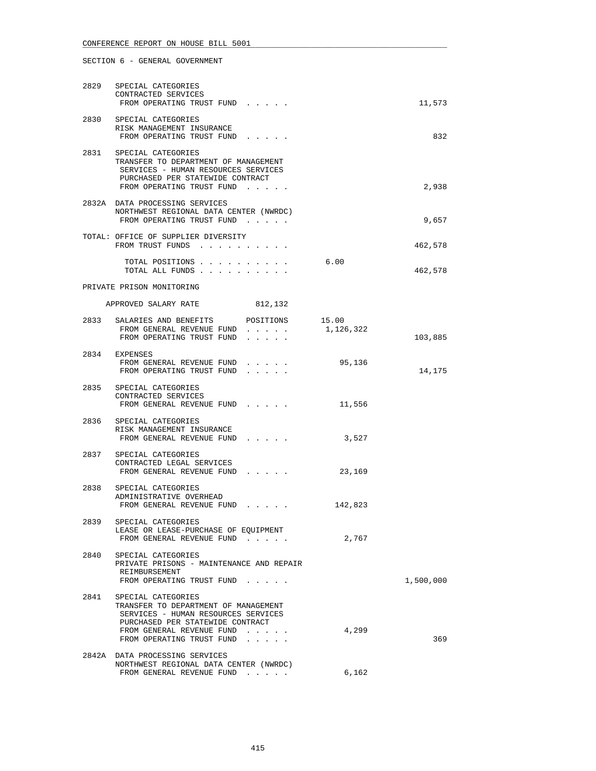|      | 2829 SPECIAL CATEGORIES<br>CONTRACTED SERVICES<br>FROM OPERATING TRUST FUND                                                                                                                     |                    | 11,573    |
|------|-------------------------------------------------------------------------------------------------------------------------------------------------------------------------------------------------|--------------------|-----------|
|      | 2830 SPECIAL CATEGORIES<br>RISK MANAGEMENT INSURANCE<br>FROM OPERATING TRUST FUND                                                                                                               |                    | 832       |
|      | 2831 SPECIAL CATEGORIES<br>TRANSFER TO DEPARTMENT OF MANAGEMENT<br>SERVICES - HUMAN RESOURCES SERVICES<br>PURCHASED PER STATEWIDE CONTRACT<br>FROM OPERATING TRUST FUND                         |                    | 2,938     |
|      | 2832A DATA PROCESSING SERVICES<br>NORTHWEST REGIONAL DATA CENTER (NWRDC)<br>FROM OPERATING TRUST FUND                                                                                           |                    | 9,657     |
|      | TOTAL: OFFICE OF SUPPLIER DIVERSITY<br>FROM TRUST FUNDS                                                                                                                                         |                    | 462,578   |
|      | TOTAL POSITIONS<br>TOTAL ALL FUNDS                                                                                                                                                              | 6.00               | 462,578   |
|      | PRIVATE PRISON MONITORING                                                                                                                                                                       |                    |           |
|      | APPROVED SALARY RATE<br>812,132                                                                                                                                                                 |                    |           |
|      | 2833 SALARIES AND BENEFITS POSITIONS<br>FROM GENERAL REVENUE FUND<br>FROM OPERATING TRUST FUND<br>.                                                                                             | 15.00<br>1,126,322 | 103,885   |
|      | 2834 EXPENSES<br>FROM GENERAL REVENUE FUND<br>FROM OPERATING TRUST FUND                                                                                                                         | 95,136             | 14,175    |
|      | 2835 SPECIAL CATEGORIES<br>CONTRACTED SERVICES<br>FROM GENERAL REVENUE FUND                                                                                                                     | 11,556             |           |
| 2836 | SPECIAL CATEGORIES<br>RISK MANAGEMENT INSURANCE<br>FROM GENERAL REVENUE FUND                                                                                                                    | 3,527              |           |
|      | 2837 SPECIAL CATEGORIES<br>CONTRACTED LEGAL SERVICES<br>FROM GENERAL REVENUE FUND                                                                                                               | 23,169             |           |
|      | 2838 SPECIAL CATEGORIES<br>ADMINISTRATIVE OVERHEAD<br>FROM GENERAL REVENUE FUND                                                                                                                 | 142,823            |           |
| 2839 | SPECIAL CATEGORIES<br>LEASE OR LEASE-PURCHASE OF EQUIPMENT<br>FROM GENERAL REVENUE FUND                                                                                                         | 2,767              |           |
| 2840 | SPECIAL CATEGORIES<br>PRIVATE PRISONS - MAINTENANCE AND REPAIR<br>REIMBURSEMENT<br>FROM OPERATING TRUST FUND                                                                                    |                    | 1,500,000 |
| 2841 | SPECIAL CATEGORIES<br>TRANSFER TO DEPARTMENT OF MANAGEMENT<br>SERVICES - HUMAN RESOURCES SERVICES<br>PURCHASED PER STATEWIDE CONTRACT<br>FROM GENERAL REVENUE FUND<br>FROM OPERATING TRUST FUND | 4,299              | 369       |
|      | 2842A DATA PROCESSING SERVICES<br>NORTHWEST REGIONAL DATA CENTER (NWRDC)<br>FROM GENERAL REVENUE FUND                                                                                           | 6,162              |           |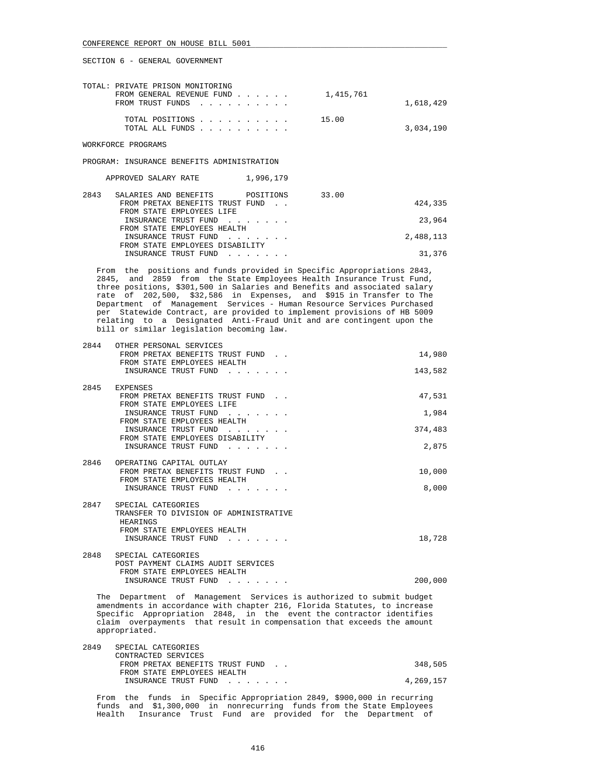| TOTAL: PRIVATE PRISON MONITORING                                                                                                      |           |
|---------------------------------------------------------------------------------------------------------------------------------------|-----------|
| FROM GENERAL REVENUE FUND $\ldots$ $\ldots$ $\ldots$ $\ldots$ $\ldots$ $\ldots$ $\ldots$ $\ldots$ $\ldots$ $\ldots$ $\ldots$ $\ldots$ |           |
| FROM TRUST FUNDS                                                                                                                      | 1,618,429 |
| 15.00<br>TOTAL POSITIONS                                                                                                              |           |
| TOTAL ALL FUNDS                                                                                                                       | 3,034,190 |

WORKFORCE PROGRAMS

PROGRAM: INSURANCE BENEFITS ADMINISTRATION

| APPROVED SALARY RATE | 1,996,179 |
|----------------------|-----------|
|----------------------|-----------|

| 2843 | SALARIES AND BENEFITS POSITIONS  |  | 33.00 |           |
|------|----------------------------------|--|-------|-----------|
|      | FROM PRETAX BENEFITS TRUST FUND. |  |       | 424,335   |
|      | FROM STATE EMPLOYEES LIFE        |  |       |           |
|      | INSURANCE TRUST FUND             |  |       | 23,964    |
|      | FROM STATE EMPLOYEES HEALTH      |  |       |           |
|      | INSURANCE TRUST FUND             |  |       | 2,488,113 |
|      | FROM STATE EMPLOYEES DISABILITY  |  |       |           |
|      | INSURANCE TRUST FUND             |  |       | 31,376    |

 From the positions and funds provided in Specific Appropriations 2843, 2845, and 2859 from the State Employees Health Insurance Trust Fund, three positions, \$301,500 in Salaries and Benefits and associated salary rate of 202,500, \$32,586 in Expenses, and \$915 in Transfer to The Department of Management Services - Human Resource Services Purchased per Statewide Contract, are provided to implement provisions of HB 5009 relating to a Designated Anti-Fraud Unit and are contingent upon the bill or similar legislation becoming law.

| 2844 | OTHER PERSONAL SERVICES                                                  |         |
|------|--------------------------------------------------------------------------|---------|
|      | FROM PRETAX BENEFITS TRUST FUND.                                         | 14,980  |
|      | FROM STATE EMPLOYEES HEALTH                                              |         |
|      | INSURANCE TRUST FUND                                                     | 143,582 |
|      |                                                                          |         |
| 2845 | EXPENSES                                                                 |         |
|      | FROM PRETAX BENEFITS TRUST FUND.                                         | 47,531  |
|      | FROM STATE EMPLOYEES LIFE                                                |         |
|      | INSURANCE TRUST FUND                                                     | 1,984   |
|      | FROM STATE EMPLOYEES HEALTH                                              |         |
|      | INSURANCE TRUST FUND                                                     | 374,483 |
|      | FROM STATE EMPLOYEES DISABILITY                                          |         |
|      | INSURANCE TRUST FUND                                                     | 2,875   |
|      |                                                                          |         |
| 2846 | OPERATING CAPITAL OUTLAY                                                 |         |
|      | FROM PRETAX BENEFITS TRUST FUND.                                         | 10,000  |
|      | FROM STATE EMPLOYEES HEALTH                                              |         |
|      | INSURANCE TRUST FUND                                                     | 8,000   |
| 2847 | SPECIAL CATEGORIES                                                       |         |
|      | TRANSFER TO DIVISION OF ADMINISTRATIVE                                   |         |
|      | HEARINGS                                                                 |         |
|      | FROM STATE EMPLOYEES HEALTH                                              |         |
|      | INSURANCE TRUST FUND                                                     | 18,728  |
|      |                                                                          |         |
| 2848 | SPECIAL CATEGORIES                                                       |         |
|      | POST PAYMENT CLAIMS AUDIT SERVICES                                       |         |
|      | FROM STATE EMPLOYEES HEALTH                                              |         |
|      | INSURANCE TRUST FUND<br>and the company of the company of the company of | 200,000 |

 The Department of Management Services is authorized to submit budget amendments in accordance with chapter 216, Florida Statutes, to increase Specific Appropriation 2848, in the event the contractor identifies claim overpayments that result in compensation that exceeds the amount appropriated.

| 2849 | SPECIAL CATEGORIES              |           |
|------|---------------------------------|-----------|
|      | CONTRACTED SERVICES             |           |
|      | FROM PRETAX BENEFITS TRUST FUND | 348,505   |
|      | FROM STATE EMPLOYEES HEALTH     |           |
|      | INSURANCE TRUST FUND            | 4,269,157 |
|      |                                 |           |

 From the funds in Specific Appropriation 2849, \$900,000 in recurring funds and \$1,300,000 in nonrecurring funds from the State Employees Health Insurance Trust Fund are provided for the Department of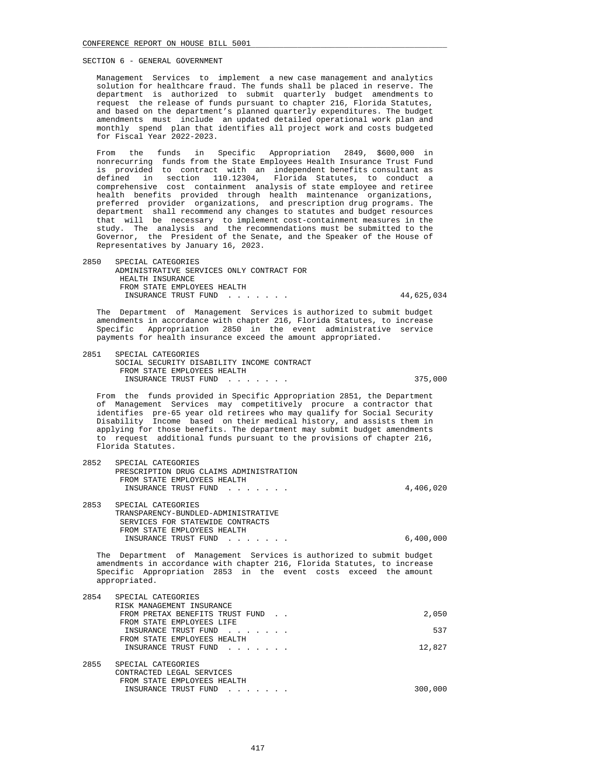Management Services to implement a new case management and analytics solution for healthcare fraud. The funds shall be placed in reserve. The department is authorized to submit quarterly budget amendments to request the release of funds pursuant to chapter 216, Florida Statutes, and based on the department's planned quarterly expenditures. The budget amendments must include an updated detailed operational work plan and monthly spend plan that identifies all project work and costs budgeted for Fiscal Year 2022-2023.

 From the funds in Specific Appropriation 2849, \$600,000 in nonrecurring funds from the State Employees Health Insurance Trust Fund is provided to contract with an independent benefits consultant as defined in section 110.12304, Florida Statutes, to conduct a comprehensive cost containment analysis of state employee and retiree health benefits provided through health maintenance organizations, preferred provider organizations, and prescription drug programs. The department shall recommend any changes to statutes and budget resources that will be necessary to implement cost-containment measures in the study. The analysis and the recommendations must be submitted to the Governor, the President of the Senate, and the Speaker of the House of Representatives by January 16, 2023.

 2850 SPECIAL CATEGORIES ADMINISTRATIVE SERVICES ONLY CONTRACT FOR HEALTH INSURANCE FROM STATE EMPLOYEES HEALTH INSURANCE TRUST FUND . . . . . . . 44,625,034

 The Department of Management Services is authorized to submit budget amendments in accordance with chapter 216, Florida Statutes, to increase Specific Appropriation 2850 in the event administrative service payments for health insurance exceed the amount appropriated.

 2851 SPECIAL CATEGORIES SOCIAL SECURITY DISABILITY INCOME CONTRACT FROM STATE EMPLOYEES HEALTH INSURANCE TRUST FUND . . . . . . . . . . . . 375,000

 From the funds provided in Specific Appropriation 2851, the Department of Management Services may competitively procure a contractor that identifies pre-65 year old retirees who may qualify for Social Security Disability Income based on their medical history, and assists them in applying for those benefits. The department may submit budget amendments to request additional funds pursuant to the provisions of chapter 216, Florida Statutes.

| 2852 | SPECIAL CATEGORIES                      |           |
|------|-----------------------------------------|-----------|
|      | PRESCRIPTION DRUG CLAIMS ADMINISTRATION |           |
|      | FROM STATE EMPLOYEES HEALTH             |           |
|      | INSURANCE TRUST FUND                    | 4,406,020 |
| 2853 | SPECIAL CATEGORIES                      |           |
|      | TRANSPARENCY-BUNDLED-ADMINISTRATIVE     |           |
|      | SERVICES FOR STATEWIDE CONTRACTS        |           |
|      | FROM STATE EMPLOYEES HEALTH             |           |
|      | INSURANCE TRUST FUND                    | 6,400,000 |
|      |                                         |           |

 The Department of Management Services is authorized to submit budget amendments in accordance with chapter 216, Florida Statutes, to increase Specific Appropriation 2853 in the event costs exceed the amount appropriated.

| 2854 | SPECIAL CATEGORIES               |         |
|------|----------------------------------|---------|
|      | RISK MANAGEMENT INSURANCE        |         |
|      | FROM PRETAX BENEFITS TRUST FUND. | 2,050   |
|      | FROM STATE EMPLOYEES LIFE        |         |
|      | INSURANCE TRUST FUND             | 537     |
|      | FROM STATE EMPLOYEES HEALTH      |         |
|      | INSURANCE TRUST FUND             | 12,827  |
|      |                                  |         |
| 2855 | SPECIAL CATEGORIES               |         |
|      | CONTRACTED LEGAL SERVICES        |         |
|      | FROM STATE EMPLOYEES HEALTH      |         |
|      | INSURANCE TRUST FUND             | 300,000 |
|      |                                  |         |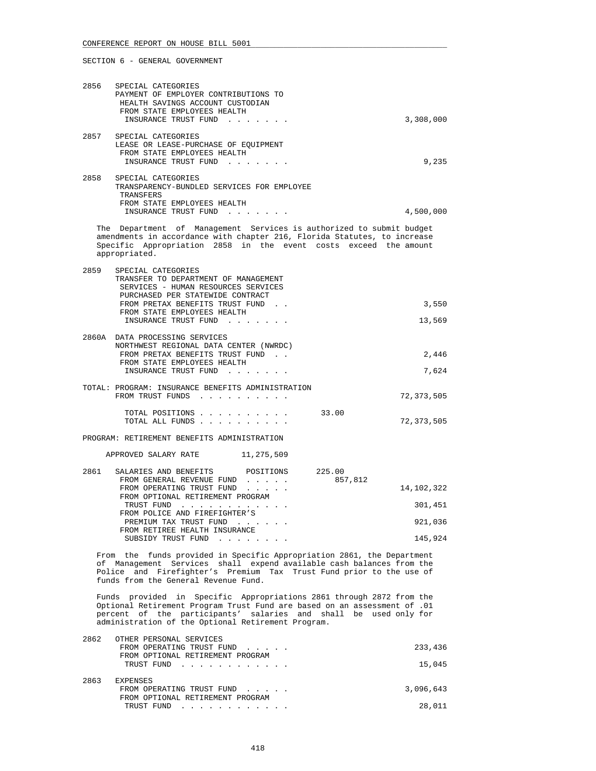| 2856 | SPECIAL CATEGORIES<br>PAYMENT OF EMPLOYER CONTRIBUTIONS TO<br>HEALTH SAVINGS ACCOUNT CUSTODIAN<br>FROM STATE EMPLOYEES HEALTH<br>INSURANCE TRUST FUND                                                                                                                      | 3,308,000             |
|------|----------------------------------------------------------------------------------------------------------------------------------------------------------------------------------------------------------------------------------------------------------------------------|-----------------------|
|      | 2857 SPECIAL CATEGORIES<br>LEASE OR LEASE-PURCHASE OF EQUIPMENT<br>FROM STATE EMPLOYEES HEALTH<br>INSURANCE TRUST FUND                                                                                                                                                     | 9,235                 |
| 2858 | SPECIAL CATEGORIES<br>TRANSPARENCY-BUNDLED SERVICES FOR EMPLOYEE<br>TRANSFERS<br>FROM STATE EMPLOYEES HEALTH<br>INSURANCE TRUST FUND                                                                                                                                       | 4,500,000             |
|      | The Department of Management Services is authorized to submit budget<br>amendments in accordance with chapter 216, Florida Statutes, to increase<br>Specific Appropriation 2858 in the event costs exceed the amount<br>appropriated.                                      |                       |
| 2859 | SPECIAL CATEGORIES<br>TRANSFER TO DEPARTMENT OF MANAGEMENT<br>SERVICES - HUMAN RESOURCES SERVICES<br>PURCHASED PER STATEWIDE CONTRACT<br>FROM PRETAX BENEFITS TRUST FUND.                                                                                                  | 3,550                 |
|      | FROM STATE EMPLOYEES HEALTH<br>INSURANCE TRUST FUND                                                                                                                                                                                                                        | 13,569                |
|      | 2860A DATA PROCESSING SERVICES<br>NORTHWEST REGIONAL DATA CENTER (NWRDC)                                                                                                                                                                                                   |                       |
|      | FROM PRETAX BENEFITS TRUST FUND.<br>FROM STATE EMPLOYEES HEALTH<br>INSURANCE TRUST FUND                                                                                                                                                                                    | 2,446<br>7,624        |
|      | TOTAL: PROGRAM: INSURANCE BENEFITS ADMINISTRATION<br>FROM TRUST FUNDS                                                                                                                                                                                                      | 72,373,505            |
|      | TOTAL POSITIONS<br>TOTAL ALL FUNDS                                                                                                                                                                                                                                         | 33.00<br>72,373,505   |
|      | PROGRAM: RETIREMENT BENEFITS ADMINISTRATION                                                                                                                                                                                                                                |                       |
|      | APPROVED SALARY RATE 11,275,509                                                                                                                                                                                                                                            |                       |
| 2861 | SALARIES AND BENEFITS POSITIONS 225.00<br>FROM GENERAL REVENUE FUND<br>FROM OPERATING TRUST FUND<br>FROM OPTIONAL RETIREMENT PROGRAM                                                                                                                                       | 857,812<br>14,102,322 |
|      | TRUST FUND<br>the contract of the contract of the contract of the contract of the contract of the contract of the contract of<br>FROM POLICE AND FIREFIGHTER'S                                                                                                             | 301,451               |
|      | PREMIUM TAX TRUST FUND<br>FROM RETIREE HEALTH INSURANCE                                                                                                                                                                                                                    | 921,036               |
|      | SUBSIDY TRUST FUND                                                                                                                                                                                                                                                         | 145,924               |
|      | From the funds provided in Specific Appropriation 2861, the Department<br>of Management Services shall expend available cash balances from the<br>Police and Firefighter's Premium Tax Trust Fund prior to the use of<br>funds from the General Revenue Fund.              |                       |
|      | Funds provided in Specific Appropriations 2861 through 2872 from the<br>Optional Retirement Program Trust Fund are based on an assessment of .01<br>percent of the participants' salaries and shall be used only for<br>administration of the Optional Retirement Program. |                       |
| 2862 | OTHER PERSONAL SERVICES<br>FROM OPERATING TRUST FUND                                                                                                                                                                                                                       | 233,436               |
|      | FROM OPTIONAL RETIREMENT PROGRAM<br>TRUST FUND                                                                                                                                                                                                                             | 15,045                |
| 2863 | EXPENSES<br>FROM OPERATING TRUST FUND<br>FROM OPTIONAL RETIREMENT PROGRAM<br>TRUST FUND                                                                                                                                                                                    | 3,096,643<br>28,011   |
|      |                                                                                                                                                                                                                                                                            |                       |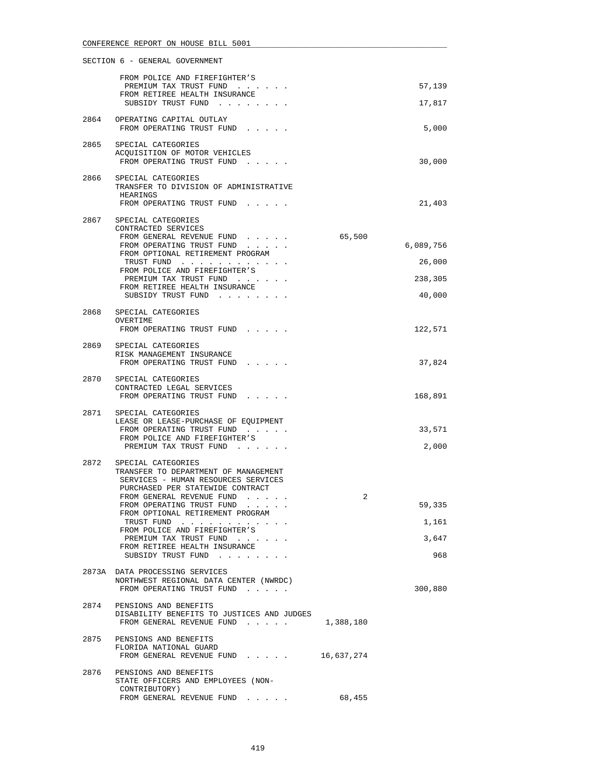|      | FROM POLICE AND FIREFIGHTER'S<br>PREMIUM TAX TRUST FUND                                                                                                                                                                                                                                                                                                             |            | 57,139                          |
|------|---------------------------------------------------------------------------------------------------------------------------------------------------------------------------------------------------------------------------------------------------------------------------------------------------------------------------------------------------------------------|------------|---------------------------------|
|      | FROM RETIREE HEALTH INSURANCE<br>SUBSIDY TRUST FUND                                                                                                                                                                                                                                                                                                                 |            | 17,817                          |
| 2864 | OPERATING CAPITAL OUTLAY<br>FROM OPERATING TRUST FUND                                                                                                                                                                                                                                                                                                               |            | 5,000                           |
| 2865 | SPECIAL CATEGORIES<br>ACQUISITION OF MOTOR VEHICLES<br>FROM OPERATING TRUST FUND                                                                                                                                                                                                                                                                                    |            | 30,000                          |
| 2866 | SPECIAL CATEGORIES<br>TRANSFER TO DIVISION OF ADMINISTRATIVE<br>HEARINGS<br>FROM OPERATING TRUST FUND                                                                                                                                                                                                                                                               |            | 21,403                          |
|      | 2867 SPECIAL CATEGORIES<br>CONTRACTED SERVICES<br>FROM GENERAL REVENUE FUND<br>FROM OPERATING TRUST FUND<br>FROM OPTIONAL RETIREMENT PROGRAM<br>TRUST FUND                                                                                                                                                                                                          | 65,500     | 6,089,756<br>26,000             |
|      | FROM POLICE AND FIREFIGHTER'S<br>PREMIUM TAX TRUST FUND                                                                                                                                                                                                                                                                                                             |            | 238,305                         |
|      | FROM RETIREE HEALTH INSURANCE<br>SUBSIDY TRUST FUND                                                                                                                                                                                                                                                                                                                 |            | 40,000                          |
| 2868 | SPECIAL CATEGORIES                                                                                                                                                                                                                                                                                                                                                  |            |                                 |
|      | OVERTIME<br>FROM OPERATING TRUST FUND                                                                                                                                                                                                                                                                                                                               |            | 122,571                         |
|      | 2869 SPECIAL CATEGORIES<br>RISK MANAGEMENT INSURANCE<br>FROM OPERATING TRUST FUND                                                                                                                                                                                                                                                                                   |            | 37,824                          |
|      | 2870 SPECIAL CATEGORIES<br>CONTRACTED LEGAL SERVICES<br>FROM OPERATING TRUST FUND                                                                                                                                                                                                                                                                                   |            | 168,891                         |
|      | 2871 SPECIAL CATEGORIES<br>LEASE OR LEASE-PURCHASE OF EQUIPMENT<br>FROM OPERATING TRUST FUND<br>FROM POLICE AND FIREFIGHTER'S<br>PREMIUM TAX TRUST FUND                                                                                                                                                                                                             |            | 33,571<br>2,000                 |
| 2872 | SPECIAL CATEGORIES<br>TRANSFER TO DEPARTMENT OF MANAGEMENT<br>SERVICES - HUMAN RESOURCES SERVICES<br>PURCHASED PER STATEWIDE CONTRACT<br>FROM GENERAL REVENUE FUND<br>FROM OPERATING TRUST FUND<br>FROM OPTIONAL RETIREMENT PROGRAM<br>TRUST FUND<br>FROM POLICE AND FIREFIGHTER'S<br>PREMIUM TAX TRUST FUND<br>FROM RETIREE HEALTH INSURANCE<br>SUBSIDY TRUST FUND | 2          | 59,335<br>1,161<br>3,647<br>968 |
|      | 2873A DATA PROCESSING SERVICES<br>NORTHWEST REGIONAL DATA CENTER (NWRDC)<br>FROM OPERATING TRUST FUND                                                                                                                                                                                                                                                               |            | 300,880                         |
|      | 2874 PENSIONS AND BENEFITS<br>DISABILITY BENEFITS TO JUSTICES AND JUDGES<br>FROM GENERAL REVENUE FUND                                                                                                                                                                                                                                                               | 1,388,180  |                                 |
| 2875 | PENSIONS AND BENEFITS<br>FLORIDA NATIONAL GUARD<br>FROM GENERAL REVENUE FUND                                                                                                                                                                                                                                                                                        | 16,637,274 |                                 |
| 2876 | PENSIONS AND BENEFITS<br>STATE OFFICERS AND EMPLOYEES (NON-<br>CONTRIBUTORY)<br>FROM GENERAL REVENUE FUND                                                                                                                                                                                                                                                           | 68,455     |                                 |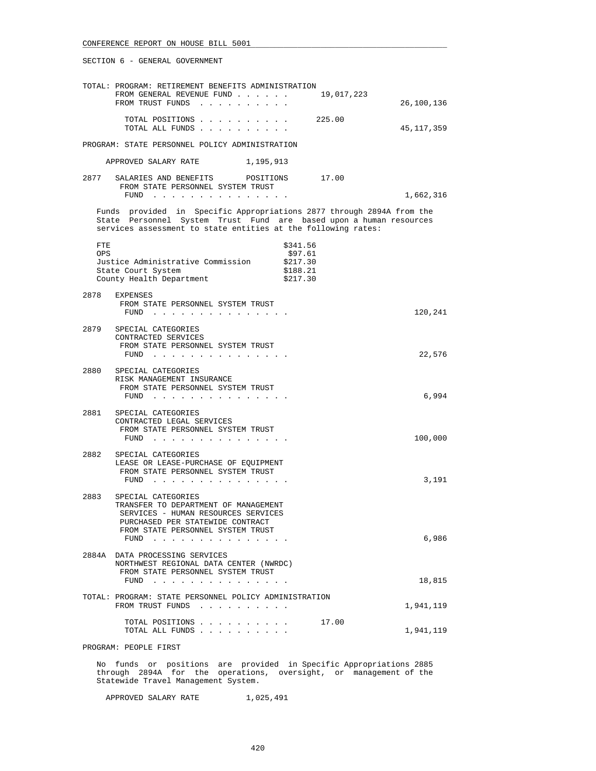|                   | TOTAL: PROGRAM: RETIREMENT BENEFITS ADMINISTRATION<br>FROM GENERAL REVENUE FUND<br>FROM TRUST FUNDS                                                                                                          | 19,017,223                                              | 26,100,136 |
|-------------------|--------------------------------------------------------------------------------------------------------------------------------------------------------------------------------------------------------------|---------------------------------------------------------|------------|
|                   | TOTAL POSITIONS 225.00<br>TOTAL ALL FUNDS                                                                                                                                                                    |                                                         | 45,117,359 |
|                   | PROGRAM: STATE PERSONNEL POLICY ADMINISTRATION                                                                                                                                                               |                                                         |            |
|                   | APPROVED SALARY RATE 1,195,913                                                                                                                                                                               |                                                         |            |
|                   | 2877 SALARIES AND BENEFITS POSITIONS 17.00<br>FROM STATE PERSONNEL SYSTEM TRUST<br>FUND                                                                                                                      |                                                         | 1,662,316  |
|                   | Funds provided in Specific Appropriations 2877 through 2894A from the<br>State Personnel System Trust Fund are based upon a human resources<br>services assessment to state entities at the following rates: |                                                         |            |
| FTE<br><b>OPS</b> | Justice Administrative Commission<br>State Court System<br>County Health Department                                                                                                                          | \$341.56<br>\$97.61<br>\$217.30<br>\$188.21<br>\$217.30 |            |
| 2878              | EXPENSES<br>FROM STATE PERSONNEL SYSTEM TRUST<br>FUND $\cdots$                                                                                                                                               |                                                         | 120,241    |
| 2879              | SPECIAL CATEGORIES<br>CONTRACTED SERVICES<br>FROM STATE PERSONNEL SYSTEM TRUST<br>FUND $\cdots$                                                                                                              |                                                         | 22,576     |
|                   | 2880 SPECIAL CATEGORIES<br>RISK MANAGEMENT INSURANCE<br>FROM STATE PERSONNEL SYSTEM TRUST<br>FUND $\cdots$                                                                                                   |                                                         | 6,994      |
|                   | 2881 SPECIAL CATEGORIES<br>CONTRACTED LEGAL SERVICES<br>FROM STATE PERSONNEL SYSTEM TRUST<br>$FUND$                                                                                                          |                                                         | 100,000    |
| 2882              | SPECIAL CATEGORIES<br>LEASE OR LEASE-PURCHASE OF EQUIPMENT<br>FROM STATE PERSONNEL SYSTEM TRUST<br>$FUND$ ,,,,,,,,,,,,                                                                                       |                                                         | 3,191      |
| 2883              | SPECIAL CATEGORIES<br>TRANSFER TO DEPARTMENT OF MANAGEMENT<br>SERVICES - HUMAN RESOURCES SERVICES<br>PURCHASED PER STATEWIDE CONTRACT<br>FROM STATE PERSONNEL SYSTEM TRUST<br>FUND $\cdots$                  |                                                         | 6,986      |
|                   | 2884A DATA PROCESSING SERVICES<br>NORTHWEST REGIONAL DATA CENTER (NWRDC)<br>FROM STATE PERSONNEL SYSTEM TRUST<br>FUND $\cdots$                                                                               |                                                         | 18,815     |
|                   | TOTAL: PROGRAM: STATE PERSONNEL POLICY ADMINISTRATION<br>FROM TRUST FUNDS                                                                                                                                    |                                                         | 1,941,119  |
|                   | TOTAL POSITIONS<br>TOTAL ALL FUNDS                                                                                                                                                                           | 17.00                                                   | 1,941,119  |

PROGRAM: PEOPLE FIRST

 No funds or positions are provided in Specific Appropriations 2885 through 2894A for the operations, oversight, or management of the Statewide Travel Management System.

APPROVED SALARY RATE 1,025,491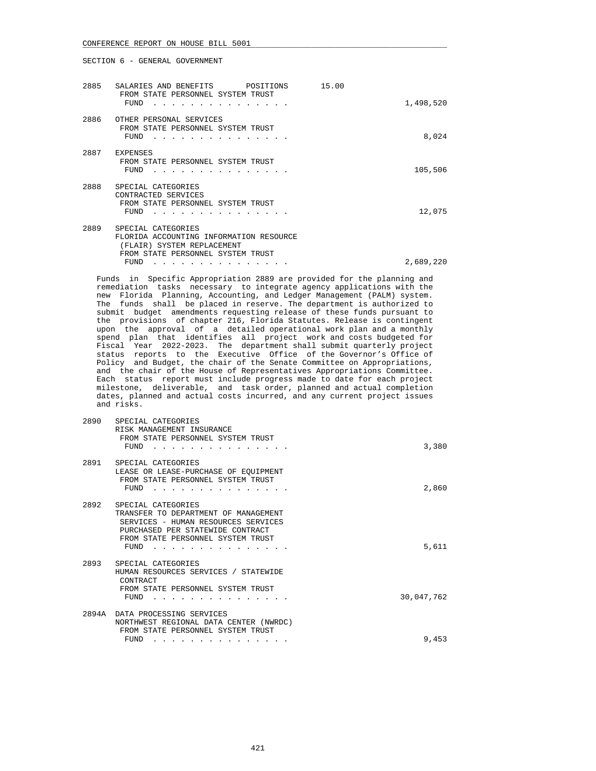| 2885 | SALARIES AND BENEFITS<br>POSITIONS<br>FROM STATE PERSONNEL SYSTEM TRUST<br>FUND                                                  | 15.00 | 1,498,520 |
|------|----------------------------------------------------------------------------------------------------------------------------------|-------|-----------|
| 2886 | OTHER PERSONAL SERVICES<br>FROM STATE PERSONNEL SYSTEM TRUST<br>FUND                                                             |       | 8,024     |
| 2887 | <b>EXPENSES</b><br>FROM STATE PERSONNEL SYSTEM TRUST<br>FUND                                                                     |       | 105,506   |
| 2888 | SPECIAL CATEGORIES<br>CONTRACTED SERVICES<br>FROM STATE PERSONNEL SYSTEM TRUST<br>FUND                                           |       | 12,075    |
| 2889 | SPECIAL CATEGORIES<br>FLORIDA ACCOUNTING INFORMATION RESOURCE<br>(FLAIR) SYSTEM REPLACEMENT<br>FROM STATE PERSONNEL SYSTEM TRUST |       |           |
|      | <b>FUND</b>                                                                                                                      |       | 2,689,220 |

 Funds in Specific Appropriation 2889 are provided for the planning and remediation tasks necessary to integrate agency applications with the new Florida Planning, Accounting, and Ledger Management (PALM) system. The funds shall be placed in reserve. The department is authorized to submit budget amendments requesting release of these funds pursuant to the provisions of chapter 216, Florida Statutes. Release is contingent upon the approval of a detailed operational work plan and a monthly spend plan that identifies all project work and costs budgeted for Fiscal Year 2022-2023. The department shall submit quarterly project status reports to the Executive Office of the Governor's Office of Policy and Budget, the chair of the Senate Committee on Appropriations, and the chair of the House of Representatives Appropriations Committee. Each status report must include progress made to date for each project milestone, deliverable, and task order, planned and actual completion dates, planned and actual costs incurred, and any current project issues and risks.

| 2890  | SPECIAL CATEGORIES<br>RISK MANAGEMENT INSURANCE<br>FROM STATE PERSONNEL SYSTEM TRUST<br>FUND                                                                                       | 3,380      |
|-------|------------------------------------------------------------------------------------------------------------------------------------------------------------------------------------|------------|
| 2891  | SPECIAL CATEGORIES<br>LEASE OR LEASE-PURCHASE OF EQUIPMENT<br>FROM STATE PERSONNEL SYSTEM TRUST<br>FUND                                                                            | 2,860      |
| 2892  | SPECIAL CATEGORIES<br>TRANSFER TO DEPARTMENT OF MANAGEMENT<br>SERVICES - HUMAN RESOURCES SERVICES<br>PURCHASED PER STATEWIDE CONTRACT<br>FROM STATE PERSONNEL SYSTEM TRUST<br>FUND | 5,611      |
| 2893  | SPECIAL CATEGORIES<br>HUMAN RESOURCES SERVICES / STATEWIDE<br>CONTRACT<br>FROM STATE PERSONNEL SYSTEM TRUST<br>FUND                                                                | 30,047,762 |
| 2894A | DATA PROCESSING SERVICES<br>NORTHWEST REGIONAL DATA CENTER (NWRDC)<br>FROM STATE PERSONNEL SYSTEM TRUST<br>FUND                                                                    | 9,453      |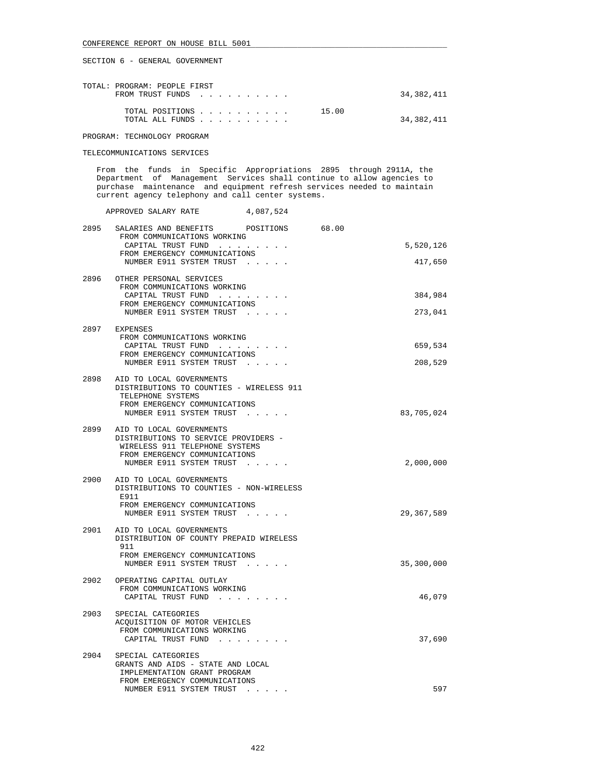| TOTAL: PROGRAM: PEOPLE FIRST<br>FROM TRUST FUNDS |  |  |  |       | 34,382,411 |
|--------------------------------------------------|--|--|--|-------|------------|
| TOTAL POSITIONS<br>TOTAL ALL FUNDS               |  |  |  | 15.00 | 34,382,411 |

PROGRAM: TECHNOLOGY PROGRAM

TELECOMMUNICATIONS SERVICES

 From the funds in Specific Appropriations 2895 through 2911A, the Department of Management Services shall continue to allow agencies to purchase maintenance and equipment refresh services needed to maintain current agency telephony and call center systems.

|      | APPROVED SALARY RATE                                                                                                                                            | 4,087,524 |       |                      |
|------|-----------------------------------------------------------------------------------------------------------------------------------------------------------------|-----------|-------|----------------------|
| 2895 | SALARIES AND BENEFITS POSITIONS<br>FROM COMMUNICATIONS WORKING<br>CAPITAL TRUST FUND<br>FROM EMERGENCY COMMUNICATIONS<br>NUMBER E911 SYSTEM TRUST               |           | 68.00 | 5,520,126<br>417,650 |
| 2896 | OTHER PERSONAL SERVICES<br>FROM COMMUNICATIONS WORKING<br>CAPITAL TRUST FUND<br>FROM EMERGENCY COMMUNICATIONS<br>NUMBER E911 SYSTEM TRUST                       |           |       | 384,984<br>273,041   |
| 2897 | EXPENSES<br>FROM COMMUNICATIONS WORKING<br>CAPITAL TRUST FUND<br>FROM EMERGENCY COMMUNICATIONS<br>NUMBER E911 SYSTEM TRUST                                      |           |       | 659,534<br>208,529   |
|      | 2898 AID TO LOCAL GOVERNMENTS<br>DISTRIBUTIONS TO COUNTIES - WIRELESS 911<br>TELEPHONE SYSTEMS<br>FROM EMERGENCY COMMUNICATIONS<br>NUMBER E911 SYSTEM TRUST     |           |       | 83,705,024           |
| 2899 | AID TO LOCAL GOVERNMENTS<br>DISTRIBUTIONS TO SERVICE PROVIDERS -<br>WIRELESS 911 TELEPHONE SYSTEMS<br>FROM EMERGENCY COMMUNICATIONS<br>NUMBER E911 SYSTEM TRUST |           |       | 2,000,000            |
| 2900 | AID TO LOCAL GOVERNMENTS<br>DISTRIBUTIONS TO COUNTIES - NON-WIRELESS<br>E911<br>FROM EMERGENCY COMMUNICATIONS<br>NUMBER E911 SYSTEM TRUST                       |           |       | 29, 367, 589         |
| 2901 | AID TO LOCAL GOVERNMENTS<br>DISTRIBUTION OF COUNTY PREPAID WIRELESS<br>911<br>FROM EMERGENCY COMMUNICATIONS<br>NUMBER E911 SYSTEM TRUST                         |           |       | 35,300,000           |
| 2902 | OPERATING CAPITAL OUTLAY<br>FROM COMMUNICATIONS WORKING<br>CAPITAL TRUST FUND                                                                                   |           |       | 46,079               |
| 2903 | SPECIAL CATEGORIES<br>ACQUISITION OF MOTOR VEHICLES<br>FROM COMMUNICATIONS WORKING<br>CAPITAL TRUST FUND                                                        |           |       | 37,690               |
| 2904 | SPECIAL CATEGORIES<br>GRANTS AND AIDS - STATE AND LOCAL<br>IMPLEMENTATION GRANT PROGRAM<br>FROM EMERGENCY COMMUNICATIONS<br>NUMBER E911 SYSTEM TRUST            |           |       | 597                  |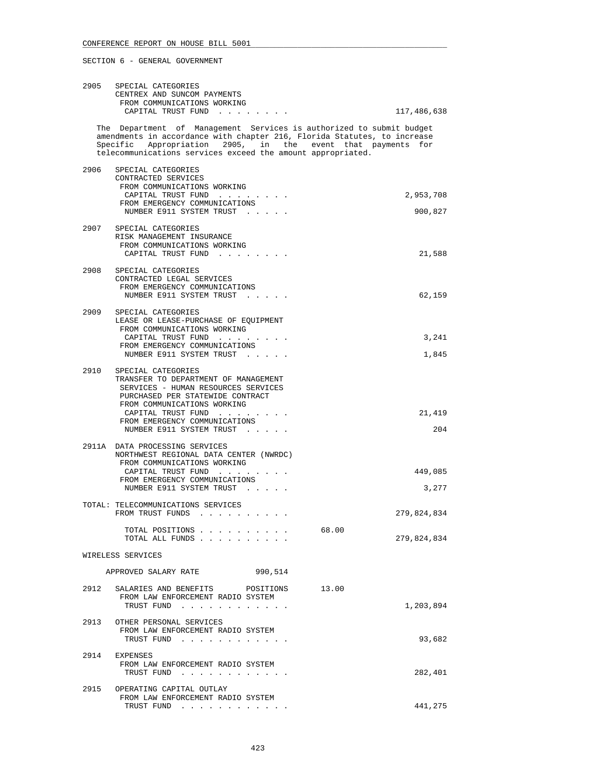|      | 2905 SPECIAL CATEGORIES<br>CENTREX AND SUNCOM PAYMENTS<br>FROM COMMUNICATIONS WORKING<br>CAPITAL TRUST FUND                                                                                                                                                                    | 117,486,638          |
|------|--------------------------------------------------------------------------------------------------------------------------------------------------------------------------------------------------------------------------------------------------------------------------------|----------------------|
|      | The Department of Management Services is authorized to submit budget<br>amendments in accordance with chapter 216, Florida Statutes, to increase<br>Specific Appropriation 2905, in the event that payments for<br>telecommunications services exceed the amount appropriated. |                      |
| 2906 | SPECIAL CATEGORIES<br>CONTRACTED SERVICES<br>FROM COMMUNICATIONS WORKING<br>CAPITAL TRUST FUND<br>FROM EMERGENCY COMMUNICATIONS                                                                                                                                                | 2,953,708            |
|      | NUMBER E911 SYSTEM TRUST<br>2907 SPECIAL CATEGORIES<br>RISK MANAGEMENT INSURANCE<br>FROM COMMUNICATIONS WORKING<br>CAPITAL TRUST FUND                                                                                                                                          | 900,827<br>21,588    |
| 2908 | SPECIAL CATEGORIES<br>CONTRACTED LEGAL SERVICES<br>FROM EMERGENCY COMMUNICATIONS<br>NUMBER E911 SYSTEM TRUST                                                                                                                                                                   | 62,159               |
| 2909 | SPECIAL CATEGORIES<br>LEASE OR LEASE-PURCHASE OF EQUIPMENT<br>FROM COMMUNICATIONS WORKING<br>CAPITAL TRUST FUND<br>FROM EMERGENCY COMMUNICATIONS<br>NUMBER E911 SYSTEM TRUST                                                                                                   | 3,241<br>1,845       |
| 2910 | SPECIAL CATEGORIES<br>TRANSFER TO DEPARTMENT OF MANAGEMENT<br>SERVICES - HUMAN RESOURCES SERVICES<br>PURCHASED PER STATEWIDE CONTRACT<br>FROM COMMUNICATIONS WORKING<br>CAPITAL TRUST FUND<br>FROM EMERGENCY COMMUNICATIONS<br>NUMBER E911 SYSTEM TRUST                        | 21,419<br>204        |
|      | 2911A DATA PROCESSING SERVICES<br>NORTHWEST REGIONAL DATA CENTER (NWRDC)<br>FROM COMMUNICATIONS WORKING<br>CAPITAL TRUST FUND<br>FROM EMERGENCY COMMUNICATIONS<br>NUMBER E911 SYSTEM TRUST                                                                                     | 449,085<br>3,277     |
|      | TOTAL: TELECOMMUNICATIONS SERVICES<br>FROM TRUST FUNDS                                                                                                                                                                                                                         | 279,824,834          |
|      | TOTAL POSITIONS<br>TOTAL ALL FUNDS                                                                                                                                                                                                                                             | 68.00<br>279,824,834 |
|      | WIRELESS SERVICES                                                                                                                                                                                                                                                              |                      |
|      | 990,514<br>APPROVED SALARY RATE<br>2912 SALARIES AND BENEFITS POSITIONS 13.00<br>FROM LAW ENFORCEMENT RADIO SYSTEM<br>TRUST FUND                                                                                                                                               | 1,203,894            |
|      | 2913 OTHER PERSONAL SERVICES<br>FROM LAW ENFORCEMENT RADIO SYSTEM<br>TRUST FUND                                                                                                                                                                                                | 93,682               |
|      | 2914 EXPENSES<br>FROM LAW ENFORCEMENT RADIO SYSTEM<br>TRUST FUND                                                                                                                                                                                                               | 282,401              |
| 2915 | OPERATING CAPITAL OUTLAY<br>FROM LAW ENFORCEMENT RADIO SYSTEM<br>TRUST FUND                                                                                                                                                                                                    | 441,275              |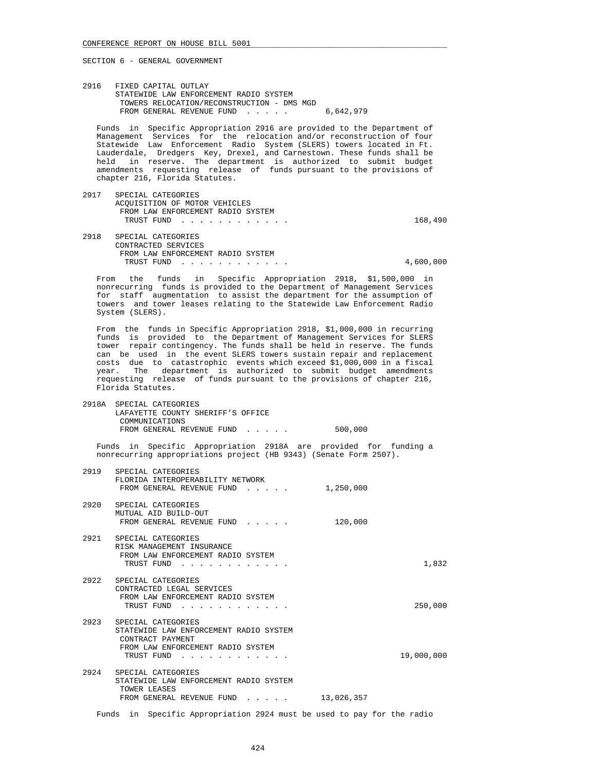2916 FIXED CAPITAL OUTLAY STATEWIDE LAW ENFORCEMENT RADIO SYSTEM TOWERS RELOCATION/RECONSTRUCTION - DMS MGD FROM GENERAL REVENUE FUND . . . . . 6,642,979

 Funds in Specific Appropriation 2916 are provided to the Department of Management Services for the relocation and/or reconstruction of four Statewide Law Enforcement Radio System (SLERS) towers located in Ft. Lauderdale, Dredgers Key, Drexel, and Carnestown. These funds shall be held in reserve. The department is authorized to submit budget amendments requesting release of funds pursuant to the provisions of chapter 216, Florida Statutes.

 2917 SPECIAL CATEGORIES ACQUISITION OF MOTOR VEHICLES FROM LAW ENFORCEMENT RADIO SYSTEM TRUST FUND . . . . . . . . . . . . . . . . . . 168,490 2918 SPECIAL CATEGORIES CONTRACTED SERVICES FROM LAW ENFORCEMENT RADIO SYSTEM

 TRUST FUND . . . . . . . . . . . . 4,600,000 From the funds in Specific Appropriation 2918, \$1,500,000 in

 nonrecurring funds is provided to the Department of Management Services for staff augmentation to assist the department for the assumption of towers and tower leases relating to the Statewide Law Enforcement Radio System (SLERS).

 From the funds in Specific Appropriation 2918, \$1,000,000 in recurring funds is provided to the Department of Management Services for SLERS tower repair contingency. The funds shall be held in reserve. The funds can be used in the event SLERS towers sustain repair and replacement costs due to catastrophic events which exceed \$1,000,000 in a fiscal year. The department is authorized to submit budget amendments requesting release of funds pursuant to the provisions of chapter 216, Florida Statutes.

| 2918A SPECIAL CATEGORIES          |         |
|-----------------------------------|---------|
| LAFAYETTE COUNTY SHERIFF'S OFFICE |         |
| COMMUNICATIONS                    |         |
| FROM GENERAL REVENUE FUND         | 500,000 |
|                                   |         |

 Funds in Specific Appropriation 2918A are provided for funding a nonrecurring appropriations project (HB 9343) (Senate Form 2507).

| 2919 | SPECIAL CATEGORIES<br>FLORIDA INTEROPERABILITY NETWORK<br>FROM GENERAL REVENUE FUND                                                 | 1,250,000  |            |
|------|-------------------------------------------------------------------------------------------------------------------------------------|------------|------------|
| 2920 | SPECIAL CATEGORIES<br>MUTUAL AID BUILD-OUT<br>FROM GENERAL REVENUE FUND                                                             | 120,000    |            |
| 2921 | SPECIAL CATEGORIES<br>RISK MANAGEMENT INSURANCE<br>FROM LAW ENFORCEMENT RADIO SYSTEM<br>TRUST FUND                                  |            | 1,832      |
| 2922 | SPECIAL CATEGORIES<br>CONTRACTED LEGAL SERVICES<br>FROM LAW ENFORCEMENT RADIO SYSTEM<br>TRUST FUND                                  |            | 250,000    |
| 2923 | SPECIAL CATEGORIES<br>STATEWIDE LAW ENFORCEMENT RADIO SYSTEM<br>CONTRACT PAYMENT<br>FROM LAW ENFORCEMENT RADIO SYSTEM<br>TRUST FUND |            | 19,000,000 |
| 2924 | SPECIAL CATEGORIES<br>STATEWIDE LAW ENFORCEMENT RADIO SYSTEM<br>TOWER LEASES<br>FROM GENERAL REVENUE FUND                           | 13,026,357 |            |

Funds in Specific Appropriation 2924 must be used to pay for the radio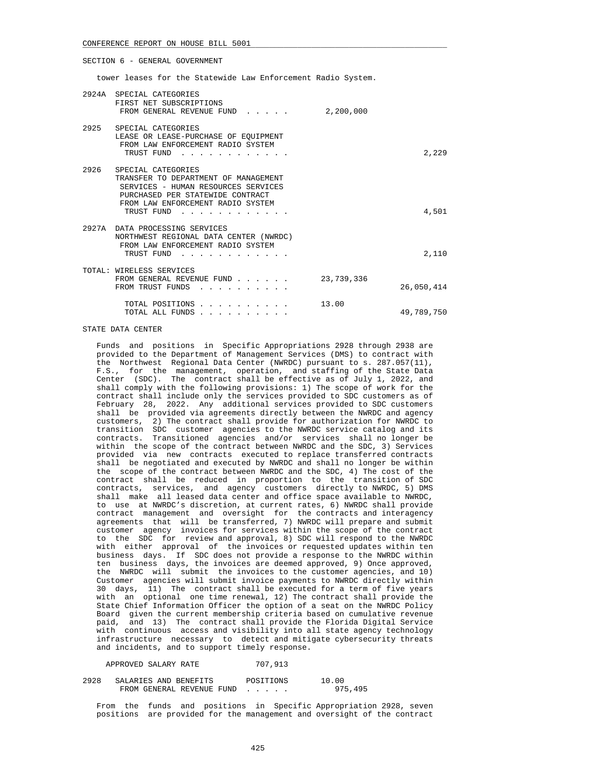tower leases for the Statewide Law Enforcement Radio System.

|      | 2924A SPECIAL CATEGORIES<br>FIRST NET SUBSCRIPTIONS<br>FROM GENERAL REVENUE FUND                                                                                                                                                                                                                            | 2,200,000  |            |
|------|-------------------------------------------------------------------------------------------------------------------------------------------------------------------------------------------------------------------------------------------------------------------------------------------------------------|------------|------------|
|      | 2925 SPECIAL CATEGORIES<br>LEASE OR LEASE-PURCHASE OF EOUIPMENT<br>FROM LAW ENFORCEMENT RADIO SYSTEM<br>TRUST FUND                                                                                                                                                                                          |            | 2,229      |
| 2926 | SPECIAL CATEGORIES<br>TRANSFER TO DEPARTMENT OF MANAGEMENT<br>SERVICES - HUMAN RESOURCES SERVICES<br>PURCHASED PER STATEWIDE CONTRACT<br>FROM LAW ENFORCEMENT RADIO SYSTEM<br>TRUST FUND                                                                                                                    |            | 4,501      |
|      | 2927A DATA PROCESSING SERVICES<br>NORTHWEST REGIONAL DATA CENTER (NWRDC)<br>FROM LAW ENFORCEMENT RADIO SYSTEM<br>TRUST FUND                                                                                                                                                                                 |            | 2,110      |
|      | TOTAL: WIRELESS SERVICES<br>FROM GENERAL REVENUE FUND<br>FROM TRUST FUNDS<br>and the contract of the contract of the contract of the contract of the contract of the contract of the contract of the contract of the contract of the contract of the contract of the contract of the contract of the contra | 23,739,336 | 26,050,414 |
|      | TOTAL POSITIONS<br>TOTAL ALL FUNDS                                                                                                                                                                                                                                                                          | 13.00      | 49,789,750 |

STATE DATA CENTER

 Funds and positions in Specific Appropriations 2928 through 2938 are provided to the Department of Management Services (DMS) to contract with the Northwest Regional Data Center (NWRDC) pursuant to s. 287.057(11), F.S., for the management, operation, and staffing of the State Data Center (SDC). The contract shall be effective as of July 1, 2022, and shall comply with the following provisions: 1) The scope of work for the contract shall include only the services provided to SDC customers as of February 28, 2022. Any additional services provided to SDC customers shall be provided via agreements directly between the NWRDC and agency customers, 2) The contract shall provide for authorization for NWRDC to transition SDC customer agencies to the NWRDC service catalog and its contracts. Transitioned agencies and/or services shall no longer be within the scope of the contract between NWRDC and the SDC, 3) Services provided via new contracts executed to replace transferred contracts shall be negotiated and executed by NWRDC and shall no longer be within the scope of the contract between NWRDC and the SDC, 4) The cost of the contract shall be reduced in proportion to the transition of SDC contracts, services, and agency customers directly to NWRDC, 5) DMS shall make all leased data center and office space available to NWRDC, to use at NWRDC's discretion, at current rates, 6) NWRDC shall provide contract management and oversight for the contracts and interagency agreements that will be transferred, 7) NWRDC will prepare and submit customer agency invoices for services within the scope of the contract to the SDC for review and approval, 8) SDC will respond to the NWRDC with either approval of the invoices or requested updates within ten business days. If SDC does not provide a response to the NWRDC within ten business days, the invoices are deemed approved, 9) Once approved, the NWRDC will submit the invoices to the customer agencies, and 10) Customer agencies will submit invoice payments to NWRDC directly within 30 days, 11) The contract shall be executed for a term of five years with an optional one time renewal, 12) The contract shall provide the State Chief Information Officer the option of a seat on the NWRDC Policy Board given the current membership criteria based on cumulative revenue paid, and 13) The contract shall provide the Florida Digital Service with continuous access and visibility into all state agency technology infrastructure necessary to detect and mitigate cybersecurity threats and incidents, and to support timely response.

APPROVED SALARY RATE 707,913

2928 SALARIES AND BENEFITS POSITIONS 10.00<br>FROM GENERAL REVENIJE FIND 975 495 FROM GENERAL REVENUE FUND . . . . .

 From the funds and positions in Specific Appropriation 2928, seven positions are provided for the management and oversight of the contract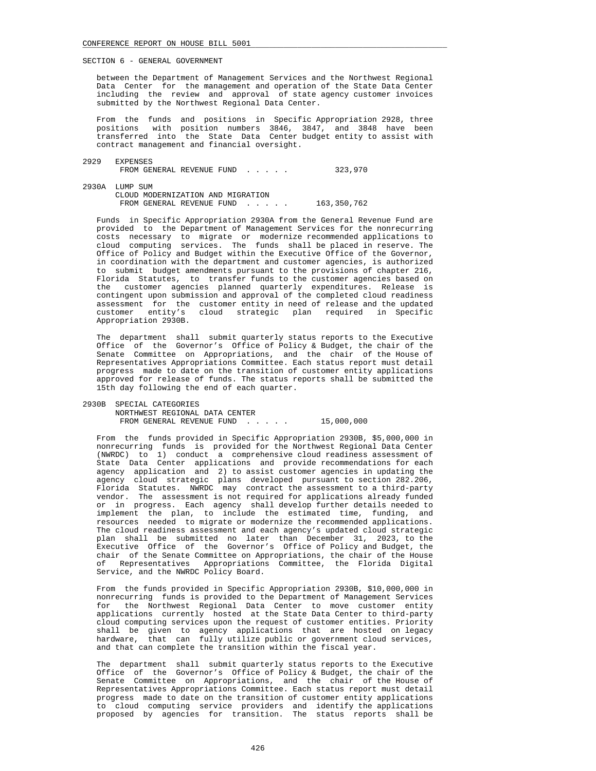between the Department of Management Services and the Northwest Regional Data Center for the management and operation of the State Data Center including the review and approval of state agency customer invoices submitted by the Northwest Regional Data Center.

From the funds and positions in Specific Appropriation 2928, three<br>positions with position numbers 3846, 3847, and 3848 have been with position numbers 3846, 3847, and 3848 have been transferred into the State Data Center budget entity to assist with contract management and financial oversight.

- 2929 EXPENSES FROM GENERAL REVENUE FUND . . . . . 323,970
- 2930A LUMP SUM CLOUD MODERNIZATION AND MIGRATION FROM GENERAL REVENUE FUND . . . . . 163,350,762

 Funds in Specific Appropriation 2930A from the General Revenue Fund are provided to the Department of Management Services for the nonrecurring costs necessary to migrate or modernize recommended applications to cloud computing services. The funds shall be placed in reserve. The Office of Policy and Budget within the Executive Office of the Governor, in coordination with the department and customer agencies, is authorized to submit budget amendments pursuant to the provisions of chapter 216, Florida Statutes, to transfer funds to the customer agencies based on the customer agencies planned quarterly expenditures. Release is contingent upon submission and approval of the completed cloud readiness assessment for the customer entity in need of release and the updated customer entity's cloud strategic plan required in Specific Appropriation 2930B.

 The department shall submit quarterly status reports to the Executive Office of the Governor's Office of Policy & Budget, the chair of the Senate Committee on Appropriations, and the chair of the House of Representatives Appropriations Committee. Each status report must detail progress made to date on the transition of customer entity applications approved for release of funds. The status reports shall be submitted the 15th day following the end of each quarter.

 2930B SPECIAL CATEGORIES NORTHWEST REGIONAL DATA CENTER FROM GENERAL REVENUE FUND . . . . . 15,000,000

 From the funds provided in Specific Appropriation 2930B, \$5,000,000 in nonrecurring funds is provided for the Northwest Regional Data Center (NWRDC) to 1) conduct a comprehensive cloud readiness assessment of State Data Center applications and provide recommendations for each agency application and 2) to assist customer agencies in updating the agency cloud strategic plans developed pursuant to section 282.206, Florida Statutes. NWRDC may contract the assessment to a third-party vendor. The assessment is not required for applications already funded or in progress. Each agency shall develop further details needed to implement the plan, to include the estimated time, funding, and resources needed to migrate or modernize the recommended applications. The cloud readiness assessment and each agency's updated cloud strategic plan shall be submitted no later than December 31, 2023, to the Executive Office of the Governor's Office of Policy and Budget, the chair of the Senate Committee on Appropriations, the chair of the House of Representatives Appropriations Committee, the Florida Digital Service, and the NWRDC Policy Board.

 From the funds provided in Specific Appropriation 2930B, \$10,000,000 in nonrecurring funds is provided to the Department of Management Services for the Northwest Regional Data Center to move customer entity applications currently hosted at the State Data Center to third-party cloud computing services upon the request of customer entities. Priority shall be given to agency applications that are hosted on legacy hardware, that can fully utilize public or government cloud services, and that can complete the transition within the fiscal year.

 The department shall submit quarterly status reports to the Executive Office of the Governor's Office of Policy & Budget, the chair of the Senate Committee on Appropriations, and the chair of the House of Representatives Appropriations Committee. Each status report must detail progress made to date on the transition of customer entity applications to cloud computing service providers and identify the applications proposed by agencies for transition. The status reports shall be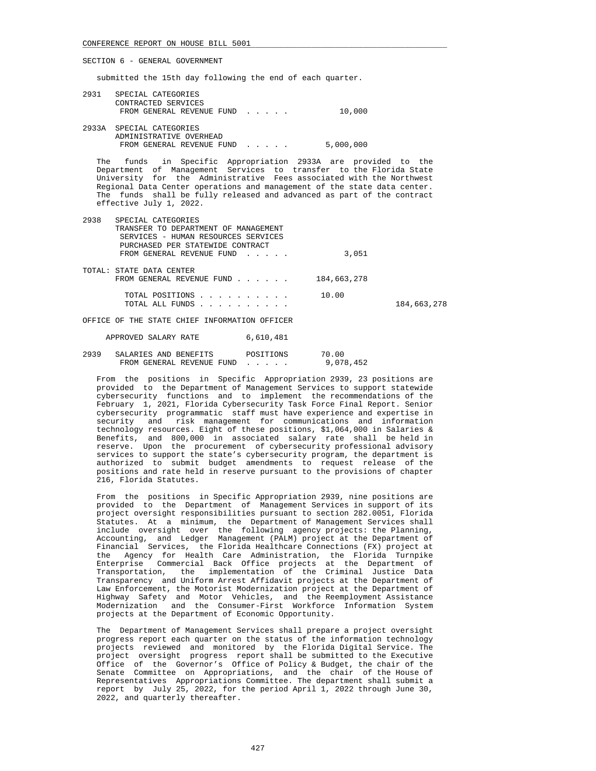submitted the 15th day following the end of each quarter.

| 2931 | SPECIAL CATEGORIES        |           |
|------|---------------------------|-----------|
|      | CONTRACTED SERVICES       |           |
|      | FROM GENERAL REVENUE FUND | 10,000    |
|      |                           |           |
|      | 2933A SPECIAL CATEGORIES  |           |
|      | ADMINISTRATIVE OVERHEAD   |           |
|      | FROM GENERAL REVENUE FUND | 5,000,000 |

 The funds in Specific Appropriation 2933A are provided to the Department of Management Services to transfer to the Florida State University for the Administrative Fees associated with the Northwest Regional Data Center operations and management of the state data center. The funds shall be fully released and advanced as part of the contract effective July 1, 2022.

| 2938 | SPECIAL CATEGORIES                   |             |             |
|------|--------------------------------------|-------------|-------------|
|      | TRANSFER TO DEPARTMENT OF MANAGEMENT |             |             |
|      | SERVICES - HUMAN RESOURCES SERVICES  |             |             |
|      | PURCHASED PER STATEWIDE CONTRACT     |             |             |
|      | FROM GENERAL REVENUE FUND            | 3,051       |             |
|      |                                      |             |             |
|      | TOTAL: STATE DATA CENTER             |             |             |
|      | FROM GENERAL REVENUE FUND            | 184,663,278 |             |
|      |                                      |             |             |
|      | TOTAL POSITIONS                      | 10.00       |             |
|      | TOTAL ALL FUNDS                      |             | 184,663,278 |
|      |                                      |             |             |

OFFICE OF THE STATE CHIEF INFORMATION OFFICER

APPROVED SALARY RATE 6,610,481

## 2939 SALARIES AND BENEFITS POSITIONS 70.00<br>FROM GENERAL REVENUE FUND . . . . . 9.078.452 FROM GENERAL REVENUE FUND . . . . .

 From the positions in Specific Appropriation 2939, 23 positions are provided to the Department of Management Services to support statewide cybersecurity functions and to implement the recommendations of the February 1, 2021, Florida Cybersecurity Task Force Final Report. Senior cybersecurity programmatic staff must have experience and expertise in security and risk management for communications and information technology resources. Eight of these positions, \$1,064,000 in Salaries & Benefits, and 800,000 in associated salary rate shall be held in reserve. Upon the procurement of cybersecurity professional advisory services to support the state's cybersecurity program, the department is authorized to submit budget amendments to request release of the positions and rate held in reserve pursuant to the provisions of chapter 216, Florida Statutes.

 From the positions in Specific Appropriation 2939, nine positions are provided to the Department of Management Services in support of its project oversight responsibilities pursuant to section 282.0051, Florida Statutes. At a minimum, the Department of Management Services shall include oversight over the following agency projects: the Planning, Accounting, and Ledger Management (PALM) project at the Department of Financial Services, the Florida Healthcare Connections (FX) project at the Agency for Health Care Administration, the Florida Turnpike Enterprise Commercial Back Office projects at the Department of Transportation, the implementation of the Criminal Justice Data Transparency and Uniform Arrest Affidavit projects at the Department of Law Enforcement, the Motorist Modernization project at the Department of Highway Safety and Motor Vehicles, and the Reemployment Assistance Modernization and the Consumer-First Workforce Information System projects at the Department of Economic Opportunity.

 The Department of Management Services shall prepare a project oversight progress report each quarter on the status of the information technology projects reviewed and monitored by the Florida Digital Service. The project oversight progress report shall be submitted to the Executive Office of the Governor's Office of Policy & Budget, the chair of the Senate Committee on Appropriations, and the chair of the House of Representatives Appropriations Committee. The department shall submit a report by July 25, 2022, for the period April 1, 2022 through June 30, 2022, and quarterly thereafter.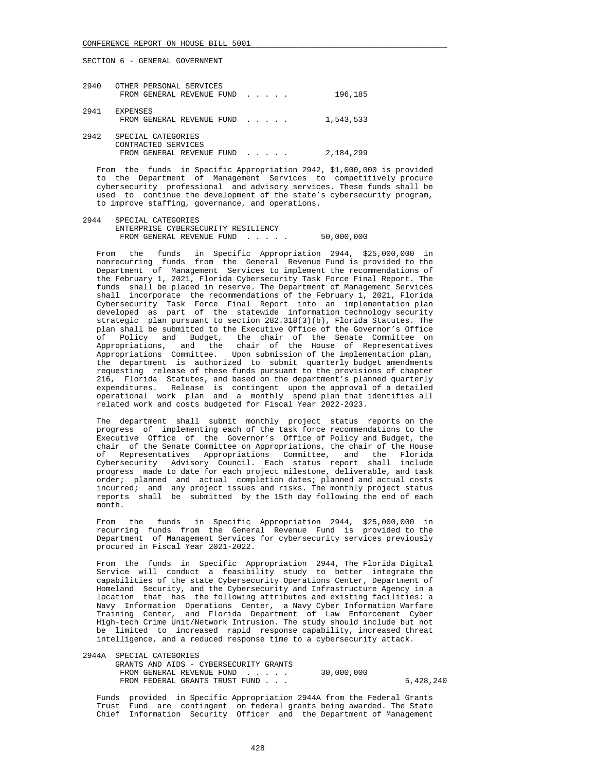| SECTION 6 - |  |  |  | GENERAL GOVERNMENT |
|-------------|--|--|--|--------------------|
|-------------|--|--|--|--------------------|

| 2940 | OTHER PERSONAL SERVICES<br>FROM GENERAL REVENUE FUND                   | 196,185   |
|------|------------------------------------------------------------------------|-----------|
| 2941 | <b>EXPENSES</b><br>FROM GENERAL REVENUE FUND                           | 1,543,533 |
| 2942 | SPECIAL CATEGORIES<br>CONTRACTED SERVICES<br>FROM GENERAL REVENUE FUND | 2,184,299 |

 From the funds in Specific Appropriation 2942, \$1,000,000 is provided to the Department of Management Services to competitively procure cybersecurity professional and advisory services. These funds shall be used to continue the development of the state's cybersecurity program, to improve staffing, governance, and operations.

 2944 SPECIAL CATEGORIES ENTERPRISE CYBERSECURITY RESILIENCY FROM GENERAL REVENUE FUND . . . . . 50,000,000

 From the funds in Specific Appropriation 2944, \$25,000,000 in nonrecurring funds from the General Revenue Fund is provided to the Department of Management Services to implement the recommendations of the February 1, 2021, Florida Cybersecurity Task Force Final Report. The funds shall be placed in reserve. The Department of Management Services shall incorporate the recommendations of the February 1, 2021, Florida Cybersecurity Task Force Final Report into an implementation plan developed as part of the statewide information technology security strategic plan pursuant to section 282.318(3)(b), Florida Statutes. The plan shall be submitted to the Executive Office of the Governor's Office of Policy and Budget, the chair of the Senate Committee on Appropriations, and the chair of the House of Representatives Appropriations Committee. Upon submission of the implementation plan, the department is authorized to submit quarterly budget amendments requesting release of these funds pursuant to the provisions of chapter 216, Florida Statutes, and based on the department's planned quarterly expenditures. Release is contingent upon the approval of a detailed operational work plan and a monthly spend plan that identifies all related work and costs budgeted for Fiscal Year 2022-2023.

 The department shall submit monthly project status reports on the progress of implementing each of the task force recommendations to the Executive Office of the Governor's Office of Policy and Budget, the chair of the Senate Committee on Appropriations, the chair of the House of Representatives Appropriations Committee, and the Florida Cybersecurity Advisory Council. Each status report shall include progress made to date for each project milestone, deliverable, and task order; planned and actual completion dates; planned and actual costs incurred; and any project issues and risks. The monthly project status reports shall be submitted by the 15th day following the end of each month.

 From the funds in Specific Appropriation 2944, \$25,000,000 in recurring funds from the General Revenue Fund is provided to the Department of Management Services for cybersecurity services previously procured in Fiscal Year 2021-2022.

 From the funds in Specific Appropriation 2944, The Florida Digital Service will conduct a feasibility study to better integrate the capabilities of the state Cybersecurity Operations Center, Department of Homeland Security, and the Cybersecurity and Infrastructure Agency in a location that has the following attributes and existing facilities: a Navy Information Operations Center, a Navy Cyber Information Warfare Training Center, and Florida Department of Law Enforcement Cyber High-tech Crime Unit/Network Intrusion. The study should include but not be limited to increased rapid response capability, increased threat intelligence, and a reduced response time to a cybersecurity attack.

| 2944A SPECIAL CATEGORIES               |            |           |
|----------------------------------------|------------|-----------|
| GRANTS AND AIDS - CYBERSECURITY GRANTS |            |           |
| FROM GENERAL REVENUE FUND              | 30,000,000 |           |
| FROM FEDERAL GRANTS TRUST FUND         |            | 5,428,240 |

 Funds provided in Specific Appropriation 2944A from the Federal Grants Trust Fund are contingent on federal grants being awarded. The State Chief Information Security Officer and the Department of Management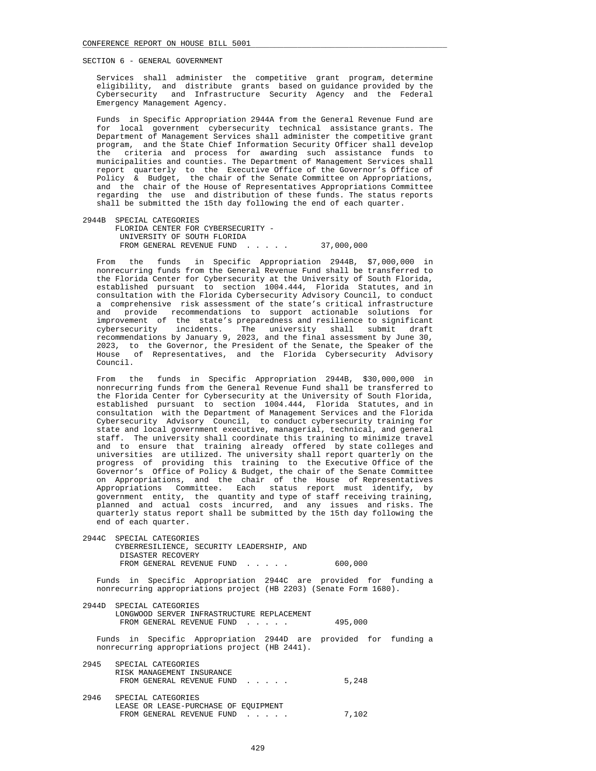Services shall administer the competitive grant program, determine eligibility, and distribute grants based on guidance provided by the Cybersecurity and Infrastructure Security Agency and the Federal Emergency Management Agency.

 Funds in Specific Appropriation 2944A from the General Revenue Fund are for local government cybersecurity technical assistance grants. The Department of Management Services shall administer the competitive grant program, and the State Chief Information Security Officer shall develop the criteria and process for awarding such assistance funds to municipalities and counties. The Department of Management Services shall report quarterly to the Executive Office of the Governor's Office of Policy & Budget, the chair of the Senate Committee on Appropriations, and the chair of the House of Representatives Appropriations Committee regarding the use and distribution of these funds. The status reports shall be submitted the 15th day following the end of each quarter.

 2944B SPECIAL CATEGORIES FLORIDA CENTER FOR CYBERSECURITY - UNIVERSITY OF SOUTH FLORIDA FROM GENERAL REVENUE FUND . . . . . 37,000,000

 From the funds in Specific Appropriation 2944B, \$7,000,000 in nonrecurring funds from the General Revenue Fund shall be transferred to the Florida Center for Cybersecurity at the University of South Florida, established pursuant to section 1004.444, Florida Statutes, and in consultation with the Florida Cybersecurity Advisory Council, to conduct a comprehensive risk assessment of the state's critical infrastructure and provide recommendations to support actionable solutions for improvement of the state's preparedness and resilience to significant cybersecurity incidents. The university shall submit draft recommendations by January 9, 2023, and the final assessment by June 30, 2023, to the Governor, the President of the Senate, the Speaker of the House of Representatives, and the Florida Cybersecurity Advisory of Representatives, and the Florida Cybersecurity Advisory Council.

 From the funds in Specific Appropriation 2944B, \$30,000,000 in nonrecurring funds from the General Revenue Fund shall be transferred to the Florida Center for Cybersecurity at the University of South Florida, established pursuant to section 1004.444, Florida Statutes, and in consultation with the Department of Management Services and the Florida Cybersecurity Advisory Council, to conduct cybersecurity training for state and local government executive, managerial, technical, and general staff. The university shall coordinate this training to minimize travel and to ensure that training already offered by state colleges and universities are utilized. The university shall report quarterly on the progress of providing this training to the Executive Office of the Governor's Office of Policy & Budget, the chair of the Senate Committee on Appropriations, and the chair of the House of Representatives Appropriations Committee. Each status report must identify, by government entity, the quantity and type of staff receiving training, planned and actual costs incurred, and any issues and risks. The quarterly status report shall be submitted by the 15th day following the end of each quarter.

 2944C SPECIAL CATEGORIES CYBERRESILIENCE, SECURITY LEADERSHIP, AND DISASTER RECOVERY FROM GENERAL REVENUE FUND . . . . . 600.000

 Funds in Specific Appropriation 2944C are provided for funding a nonrecurring appropriations project (HB 2203) (Senate Form 1680).

 2944D SPECIAL CATEGORIES LONGWOOD SERVER INFRASTRUCTURE REPLACEMENT FROM GENERAL REVENUE FUND . . . . . 495,000

 Funds in Specific Appropriation 2944D are provided for funding a nonrecurring appropriations project (HB 2441).

| 2945 | SPECIAL CATEGORIES<br>RISK MANAGEMENT INSURANCE<br>FROM GENERAL REVENUE FUND            | 5,248 |
|------|-----------------------------------------------------------------------------------------|-------|
| 2946 | SPECIAL CATEGORIES<br>LEASE OR LEASE-PURCHASE OF EOUIPMENT<br>FROM GENERAL REVENUE FUND | 7,102 |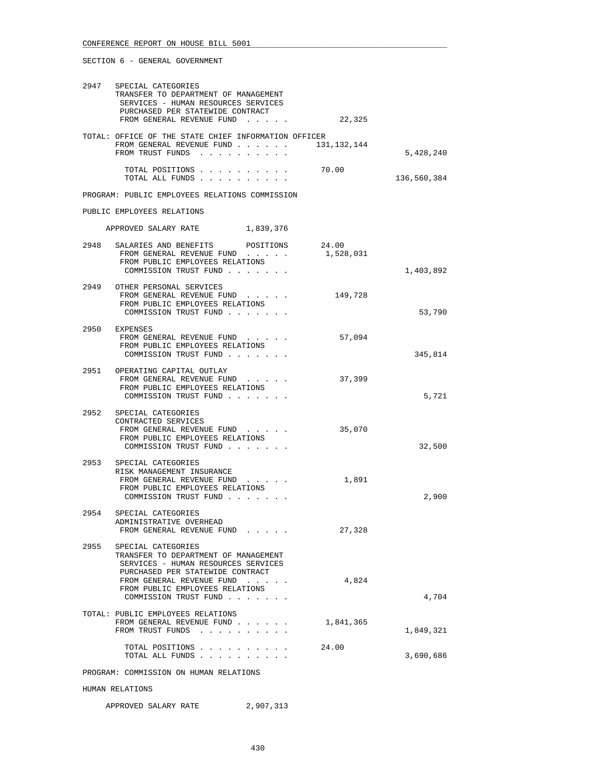| 2947 | SPECIAL CATEGORIES<br>TRANSFER TO DEPARTMENT OF MANAGEMENT<br>SERVICES - HUMAN RESOURCES SERVICES<br>PURCHASED PER STATEWIDE CONTRACT |                    |             |
|------|---------------------------------------------------------------------------------------------------------------------------------------|--------------------|-------------|
|      | FROM GENERAL REVENUE FUND                                                                                                             | 22,325             |             |
|      | TOTAL: OFFICE OF THE STATE CHIEF INFORMATION OFFICER<br>FROM GENERAL REVENUE FUND<br>FROM TRUST FUNDS                                 | 131,132,144        | 5,428,240   |
|      | TOTAL POSITIONS 70.00<br>TOTAL ALL FUNDS                                                                                              |                    | 136,560,384 |
|      | PROGRAM: PUBLIC EMPLOYEES RELATIONS COMMISSION                                                                                        |                    |             |
|      | PUBLIC EMPLOYEES RELATIONS                                                                                                            |                    |             |
|      | APPROVED SALARY RATE 1,839,376                                                                                                        |                    |             |
|      |                                                                                                                                       |                    |             |
|      | 2948 SALARIES AND BENEFITS POSITIONS<br>FROM GENERAL REVENUE FUND<br>FROM PUBLIC EMPLOYEES RELATIONS<br>COMMISSION TRUST FUND         | 24.00<br>1,528,031 | 1,403,892   |
|      | 2949 OTHER PERSONAL SERVICES                                                                                                          |                    |             |
|      | FROM GENERAL REVENUE FUND<br>FROM PUBLIC EMPLOYEES RELATIONS<br>COMMISSION TRUST FUND                                                 | 149,728            | 53,790      |
|      |                                                                                                                                       |                    |             |
|      | 2950 EXPENSES<br>FROM GENERAL REVENUE FUND<br>FROM PUBLIC EMPLOYEES RELATIONS<br>COMMISSION TRUST FUND                                | 57,094             | 345,814     |
|      |                                                                                                                                       |                    |             |
|      | 2951 OPERATING CAPITAL OUTLAY<br>FROM GENERAL REVENUE FUND<br>FROM PUBLIC EMPLOYEES RELATIONS<br>COMMISSION TRUST FUND                | 37,399             | 5,721       |
| 2952 | SPECIAL CATEGORIES<br>CONTRACTED SERVICES<br>FROM GENERAL REVENUE FUND<br>FROM PUBLIC EMPLOYEES RELATIONS                             | 35,070             |             |
|      | COMMISSION TRUST FUND                                                                                                                 |                    | 32,500      |
|      | 2953 SPECIAL CATEGORIES<br>RISK MANAGEMENT INSURANCE<br>FROM GENERAL REVENUE FUND                                                     | 1,891              |             |
|      | FROM PUBLIC EMPLOYEES RELATIONS<br>COMMISSION TRUST FUND                                                                              |                    | 2,900       |
| 2954 | SPECIAL CATEGORIES<br>ADMINISTRATIVE OVERHEAD<br>FROM GENERAL REVENUE FUND                                                            | 27,328             |             |
| 2955 | SPECIAL CATEGORIES<br>TRANSFER TO DEPARTMENT OF MANAGEMENT<br>SERVICES - HUMAN RESOURCES SERVICES                                     |                    |             |
|      | PURCHASED PER STATEWIDE CONTRACT<br>FROM GENERAL REVENUE FUND<br>FROM PUBLIC EMPLOYEES RELATIONS<br>COMMISSION TRUST FUND             | 4,824              | 4,704       |
|      | TOTAL: PUBLIC EMPLOYEES RELATIONS<br>FROM GENERAL REVENUE FUND<br>FROM TRUST FUNDS                                                    | 1,841,365          | 1,849,321   |
|      | TOTAL POSITIONS<br>TOTAL ALL FUNDS                                                                                                    | 24.00              | 3,690,686   |
|      | PROGRAM: COMMISSION ON HUMAN RELATIONS                                                                                                |                    |             |

## HUMAN RELATIONS

| APPROVED SALARY RATE | 2,907,313 |
|----------------------|-----------|
|----------------------|-----------|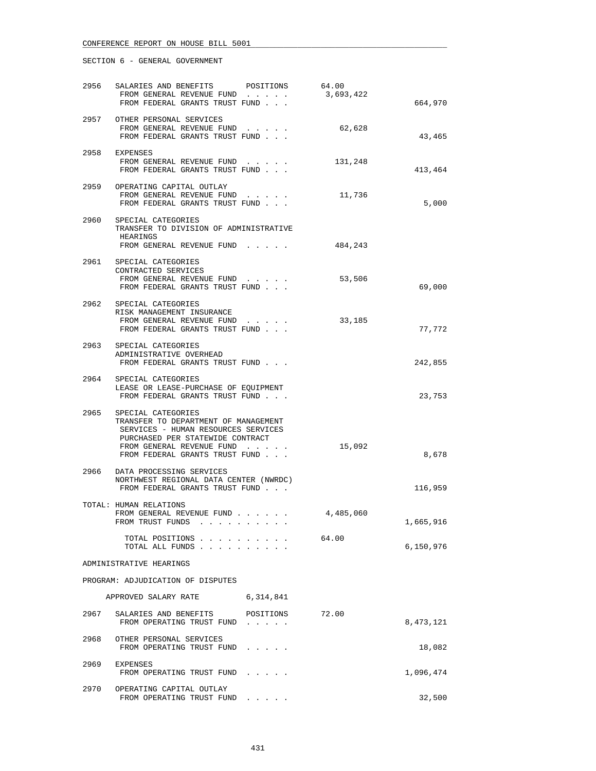|      | 2956 SALARIES AND BENEFITS                                                                                                                                                                                | POSITIONS | 64.00     |           |
|------|-----------------------------------------------------------------------------------------------------------------------------------------------------------------------------------------------------------|-----------|-----------|-----------|
|      | FROM GENERAL REVENUE FUND<br>FROM FEDERAL GRANTS TRUST FUND                                                                                                                                               |           | 3,693,422 | 664,970   |
|      | 2957 OTHER PERSONAL SERVICES<br>FROM GENERAL REVENUE FUND<br>FROM FEDERAL GRANTS TRUST FUND                                                                                                               | $\cdots$  | 62,628    | 43,465    |
|      | 2958 EXPENSES<br>FROM GENERAL REVENUE FUND<br>FROM FEDERAL GRANTS TRUST FUND                                                                                                                              |           | 131,248   | 413,464   |
|      | 2959 OPERATING CAPITAL OUTLAY<br>FROM GENERAL REVENUE FUND<br>FROM FEDERAL GRANTS TRUST FUND                                                                                                              |           | 11,736    | 5,000     |
|      | 2960 SPECIAL CATEGORIES<br>TRANSFER TO DIVISION OF ADMINISTRATIVE<br>HEARINGS<br>FROM GENERAL REVENUE FUND                                                                                                |           | 484,243   |           |
|      | 2961 SPECIAL CATEGORIES<br>CONTRACTED SERVICES                                                                                                                                                            |           |           |           |
|      | FROM GENERAL REVENUE FUND<br>FROM FEDERAL GRANTS TRUST FUND                                                                                                                                               |           | 53,506    | 69,000    |
|      | 2962 SPECIAL CATEGORIES<br>RISK MANAGEMENT INSURANCE<br>FROM GENERAL REVENUE FUND<br>FROM FEDERAL GRANTS TRUST FUND                                                                                       |           | 33,185    | 77,772    |
|      | 2963 SPECIAL CATEGORIES<br>ADMINISTRATIVE OVERHEAD<br>FROM FEDERAL GRANTS TRUST FUND                                                                                                                      |           |           | 242,855   |
|      | 2964 SPECIAL CATEGORIES<br>LEASE OR LEASE-PURCHASE OF EQUIPMENT<br>FROM FEDERAL GRANTS TRUST FUND                                                                                                         |           |           | 23,753    |
|      | 2965 SPECIAL CATEGORIES<br>TRANSFER TO DEPARTMENT OF MANAGEMENT<br>SERVICES - HUMAN RESOURCES SERVICES<br>PURCHASED PER STATEWIDE CONTRACT<br>FROM GENERAL REVENUE FUND<br>FROM FEDERAL GRANTS TRUST FUND |           | 15,092    | 8,678     |
|      | 2966 DATA PROCESSING SERVICES<br>NORTHWEST REGIONAL DATA CENTER (NWRDC)<br>FROM FEDERAL GRANTS TRUST FUND                                                                                                 |           |           | 116,959   |
|      | TOTAL: HUMAN RELATIONS<br>FROM GENERAL REVENUE FUND<br>FROM TRUST FUNDS<br>. The second contract is a second contract of the $\alpha$                                                                     |           | 4,485,060 | 1,665,916 |
|      | TOTAL POSITIONS<br>TOTAL ALL FUNDS                                                                                                                                                                        |           | 64.00     | 6,150,976 |
|      | ADMINISTRATIVE HEARINGS                                                                                                                                                                                   |           |           |           |
|      | PROGRAM: ADJUDICATION OF DISPUTES                                                                                                                                                                         |           |           |           |
|      | APPROVED SALARY RATE                                                                                                                                                                                      | 6,314,841 |           |           |
| 2967 | SALARIES AND BENEFITS<br>FROM OPERATING TRUST FUND                                                                                                                                                        | POSITIONS | 72.00     | 8,473,121 |
|      | 2968 OTHER PERSONAL SERVICES<br>FROM OPERATING TRUST FUND                                                                                                                                                 |           |           | 18,082    |
| 2969 | EXPENSES<br>FROM OPERATING TRUST FUND                                                                                                                                                                     |           |           | 1,096,474 |
| 2970 | OPERATING CAPITAL OUTLAY<br>FROM OPERATING TRUST FUND                                                                                                                                                     |           |           | 32,500    |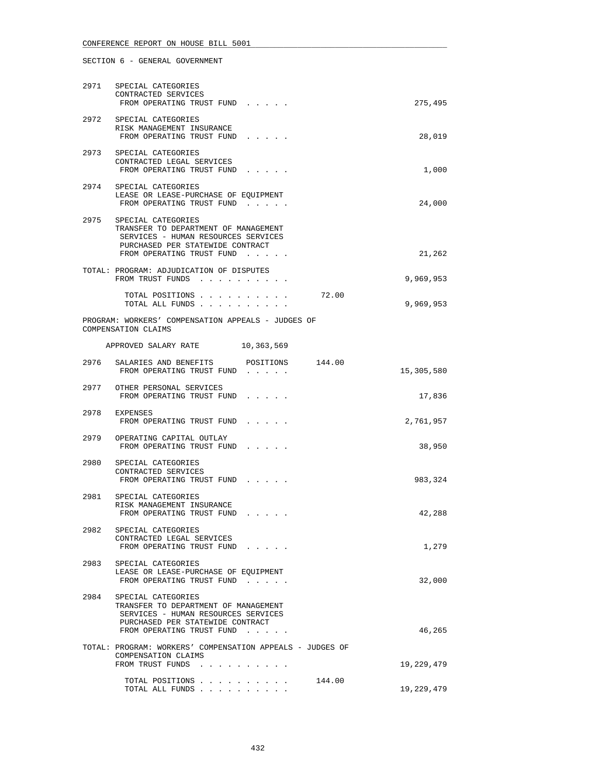| 2971 | SPECIAL CATEGORIES<br>CONTRACTED SERVICES<br>FROM OPERATING TRUST FUND                                                                                                  | 275,495    |
|------|-------------------------------------------------------------------------------------------------------------------------------------------------------------------------|------------|
| 2972 | SPECIAL CATEGORIES<br>RISK MANAGEMENT INSURANCE<br>FROM OPERATING TRUST FUND                                                                                            | 28,019     |
|      | 2973 SPECIAL CATEGORIES<br>CONTRACTED LEGAL SERVICES<br>FROM OPERATING TRUST FUND                                                                                       | 1,000      |
|      | 2974 SPECIAL CATEGORIES<br>LEASE OR LEASE-PURCHASE OF EQUIPMENT<br>FROM OPERATING TRUST FUND                                                                            | 24,000     |
|      | 2975 SPECIAL CATEGORIES<br>TRANSFER TO DEPARTMENT OF MANAGEMENT<br>SERVICES - HUMAN RESOURCES SERVICES<br>PURCHASED PER STATEWIDE CONTRACT<br>FROM OPERATING TRUST FUND | 21,262     |
|      | TOTAL: PROGRAM: ADJUDICATION OF DISPUTES<br>FROM TRUST FUNDS                                                                                                            | 9,969,953  |
|      | TOTAL POSITIONS<br>72.00<br>TOTAL ALL FUNDS                                                                                                                             | 9,969,953  |
|      | PROGRAM: WORKERS' COMPENSATION APPEALS - JUDGES OF<br>COMPENSATION CLAIMS                                                                                               |            |
|      | APPROVED SALARY RATE 10,363,569                                                                                                                                         |            |
|      | 2976 SALARIES AND BENEFITS<br>POSITIONS 144.00<br>FROM OPERATING TRUST FUND                                                                                             | 15,305,580 |
|      | 2977 OTHER PERSONAL SERVICES<br>FROM OPERATING TRUST FUND                                                                                                               | 17,836     |
|      | 2978 EXPENSES<br>FROM OPERATING TRUST FUND                                                                                                                              | 2,761,957  |
|      | 2979 OPERATING CAPITAL OUTLAY<br>FROM OPERATING TRUST FUND                                                                                                              | 38,950     |
| 2980 | SPECIAL CATEGORIES<br>CONTRACTED SERVICES<br>FROM OPERATING TRUST FUND                                                                                                  | 983,324    |
|      | 2981 SPECIAL CATEGORIES<br>RISK MANAGEMENT INSURANCE<br>FROM OPERATING TRUST FUND                                                                                       | 42,288     |
|      | 2982 SPECIAL CATEGORIES<br>CONTRACTED LEGAL SERVICES<br>FROM OPERATING TRUST FUND                                                                                       | 1,279      |
| 2983 | SPECIAL CATEGORIES<br>LEASE OR LEASE-PURCHASE OF EQUIPMENT<br>FROM OPERATING TRUST FUND                                                                                 | 32,000     |
| 2984 | SPECIAL CATEGORIES<br>TRANSFER TO DEPARTMENT OF MANAGEMENT<br>SERVICES - HUMAN RESOURCES SERVICES<br>PURCHASED PER STATEWIDE CONTRACT<br>FROM OPERATING TRUST FUND      | 46,265     |
|      | TOTAL: PROGRAM: WORKERS' COMPENSATION APPEALS - JUDGES OF<br>COMPENSATION CLAIMS                                                                                        |            |
|      | FROM TRUST FUNDS                                                                                                                                                        | 19,229,479 |
|      | 144.00<br>TOTAL POSITIONS<br>TOTAL ALL FUNDS                                                                                                                            | 19,229,479 |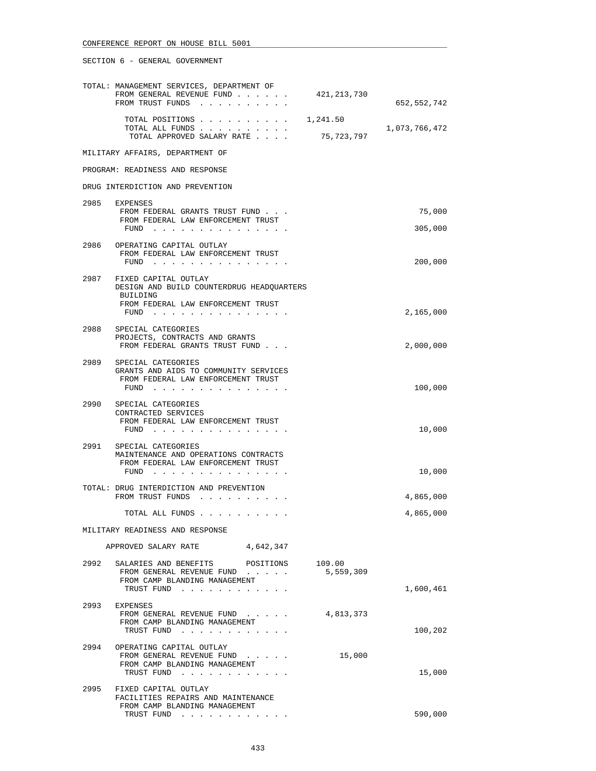|      | TOTAL: MANAGEMENT SERVICES, DEPARTMENT OF<br>FROM GENERAL REVENUE FUND<br>FROM TRUST FUNDS                                                                               | 421,213,730            | 652,552,742   |
|------|--------------------------------------------------------------------------------------------------------------------------------------------------------------------------|------------------------|---------------|
|      | TOTAL POSITIONS<br>TOTAL ALL FUNDS<br>TOTAL APPROVED SALARY RATE                                                                                                         | 1,241.50<br>75,723,797 | 1,073,766,472 |
|      | MILITARY AFFAIRS, DEPARTMENT OF                                                                                                                                          |                        |               |
|      | PROGRAM: READINESS AND RESPONSE                                                                                                                                          |                        |               |
|      | DRUG INTERDICTION AND PREVENTION                                                                                                                                         |                        |               |
|      | 2985 EXPENSES                                                                                                                                                            |                        |               |
|      | FROM FEDERAL GRANTS TRUST FUND<br>FROM FEDERAL LAW ENFORCEMENT TRUST                                                                                                     |                        | 75,000        |
|      | FUND $\cdots$                                                                                                                                                            |                        | 305,000       |
| 2986 | OPERATING CAPITAL OUTLAY<br>FROM FEDERAL LAW ENFORCEMENT TRUST<br>FUND $\cdots$                                                                                          |                        | 200,000       |
|      | 2987 FIXED CAPITAL OUTLAY<br>DESIGN AND BUILD COUNTERDRUG HEADQUARTERS                                                                                                   |                        |               |
|      | BUILDING<br>FROM FEDERAL LAW ENFORCEMENT TRUST                                                                                                                           |                        |               |
|      | FUND $\cdots$ $\cdots$ $\cdots$ $\cdots$ $\cdots$ $\cdots$ $\cdots$                                                                                                      |                        | 2,165,000     |
| 2988 | SPECIAL CATEGORIES<br>PROJECTS, CONTRACTS AND GRANTS                                                                                                                     |                        |               |
|      | FROM FEDERAL GRANTS TRUST FUND                                                                                                                                           |                        | 2,000,000     |
| 2989 | SPECIAL CATEGORIES<br>GRANTS AND AIDS TO COMMUNITY SERVICES<br>FROM FEDERAL LAW ENFORCEMENT TRUST<br>FUND $\cdots$ $\cdots$ $\cdots$ $\cdots$ $\cdots$ $\cdots$ $\cdots$ |                        | 100,000       |
| 2990 | SPECIAL CATEGORIES                                                                                                                                                       |                        |               |
|      | CONTRACTED SERVICES<br>FROM FEDERAL LAW ENFORCEMENT TRUST                                                                                                                |                        |               |
|      | FUND $\cdots$                                                                                                                                                            |                        | 10,000        |
|      | 2991 SPECIAL CATEGORIES<br>MAINTENANCE AND OPERATIONS CONTRACTS<br>FROM FEDERAL LAW ENFORCEMENT TRUST                                                                    |                        |               |
|      | $FUND$                                                                                                                                                                   |                        | 10,000        |
|      | TOTAL: DRUG INTERDICTION AND PREVENTION<br>FROM TRUST FUNDS                                                                                                              |                        | 4,865,000     |
|      | TOTAL ALL FUNDS                                                                                                                                                          |                        | 4,865,000     |
|      | MILITARY READINESS AND RESPONSE                                                                                                                                          |                        |               |
|      | APPROVED SALARY RATE<br>4,642,347                                                                                                                                        |                        |               |
| 2992 | SALARIES AND BENEFITS POSITIONS<br>FROM GENERAL REVENUE FUND<br>FROM CAMP BLANDING MANAGEMENT                                                                            | 109.00<br>5,559,309    |               |
|      | TRUST FUND                                                                                                                                                               |                        | 1,600,461     |
|      | 2993 EXPENSES<br>FROM GENERAL REVENUE FUND<br>FROM CAMP BLANDING MANAGEMENT                                                                                              | 4,813,373              |               |
|      | TRUST FUND                                                                                                                                                               |                        | 100,202       |
| 2994 | OPERATING CAPITAL OUTLAY<br>FROM GENERAL REVENUE FUND<br>FROM CAMP BLANDING MANAGEMENT<br>TRUST FUND                                                                     | 15,000                 | 15,000        |
| 2995 | FIXED CAPITAL OUTLAY<br>FACILITIES REPAIRS AND MAINTENANCE                                                                                                               |                        |               |
|      | FROM CAMP BLANDING MANAGEMENT<br>TRUST FUND                                                                                                                              |                        | 590,000       |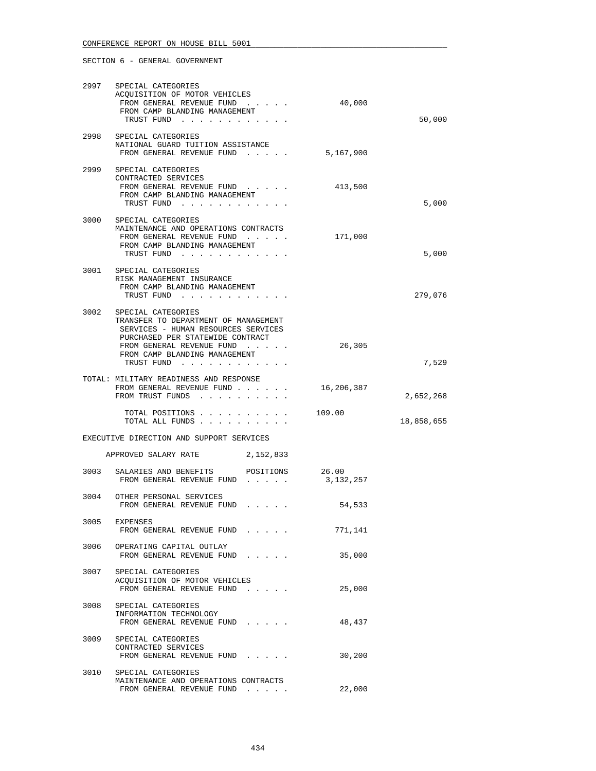| 2997 | SPECIAL CATEGORIES<br>ACQUISITION OF MOTOR VEHICLES<br>FROM GENERAL REVENUE FUND<br>FROM CAMP BLANDING MANAGEMENT<br>TRUST FUND                                                                                   | 40,000     | 50,000     |
|------|-------------------------------------------------------------------------------------------------------------------------------------------------------------------------------------------------------------------|------------|------------|
| 2998 | SPECIAL CATEGORIES<br>NATIONAL GUARD TUITION ASSISTANCE<br>FROM GENERAL REVENUE FUND 5,167,900                                                                                                                    |            |            |
|      | 2999 SPECIAL CATEGORIES<br>CONTRACTED SERVICES<br>FROM GENERAL REVENUE FUND<br>FROM CAMP BLANDING MANAGEMENT<br>TRUST FUND                                                                                        | 413,500    | 5,000      |
| 3000 | SPECIAL CATEGORIES<br>MAINTENANCE AND OPERATIONS CONTRACTS<br>FROM GENERAL REVENUE FUND<br>FROM CAMP BLANDING MANAGEMENT<br>TRUST FUND                                                                            | 171,000    | 5,000      |
|      | 3001 SPECIAL CATEGORIES<br>RISK MANAGEMENT INSURANCE<br>FROM CAMP BLANDING MANAGEMENT<br>TRUST FUND                                                                                                               |            | 279,076    |
| 3002 | SPECIAL CATEGORIES<br>TRANSFER TO DEPARTMENT OF MANAGEMENT<br>SERVICES - HUMAN RESOURCES SERVICES<br>PURCHASED PER STATEWIDE CONTRACT<br>FROM GENERAL REVENUE FUND<br>FROM CAMP BLANDING MANAGEMENT<br>TRUST FUND | 26,305     | 7,529      |
|      | TOTAL: MILITARY READINESS AND RESPONSE<br>FROM GENERAL REVENUE FUND<br>FROM TRUST FUNDS                                                                                                                           | 16,206,387 | 2,652,268  |
|      | TOTAL POSITIONS 109.00<br>TOTAL ALL FUNDS                                                                                                                                                                         |            | 18,858,655 |
|      | EXECUTIVE DIRECTION AND SUPPORT SERVICES                                                                                                                                                                          |            |            |
|      | APPROVED SALARY RATE 2,152,833                                                                                                                                                                                    |            |            |
| 3003 | SALARIES AND BENEFITS POSITIONS 26.00<br>FROM GENERAL REVENUE FUND                                                                                                                                                | 3,132,257  |            |
|      | 3004 OTHER PERSONAL SERVICES<br>FROM GENERAL REVENUE FUND                                                                                                                                                         | 54,533     |            |
| 3005 | EXPENSES<br>FROM GENERAL REVENUE FUND                                                                                                                                                                             | 771,141    |            |
| 3006 | OPERATING CAPITAL OUTLAY<br>FROM GENERAL REVENUE FUND                                                                                                                                                             | 35,000     |            |
| 3007 | SPECIAL CATEGORIES<br>ACOUISITION OF MOTOR VEHICLES<br>FROM GENERAL REVENUE FUND                                                                                                                                  | 25,000     |            |
| 3008 | SPECIAL CATEGORIES<br>INFORMATION TECHNOLOGY<br>FROM GENERAL REVENUE FUND                                                                                                                                         | 48,437     |            |
| 3009 | SPECIAL CATEGORIES<br>CONTRACTED SERVICES<br>FROM GENERAL REVENUE FUND                                                                                                                                            | 30,200     |            |
| 3010 | SPECIAL CATEGORIES<br>MAINTENANCE AND OPERATIONS CONTRACTS<br>FROM GENERAL REVENUE FUND                                                                                                                           | 22,000     |            |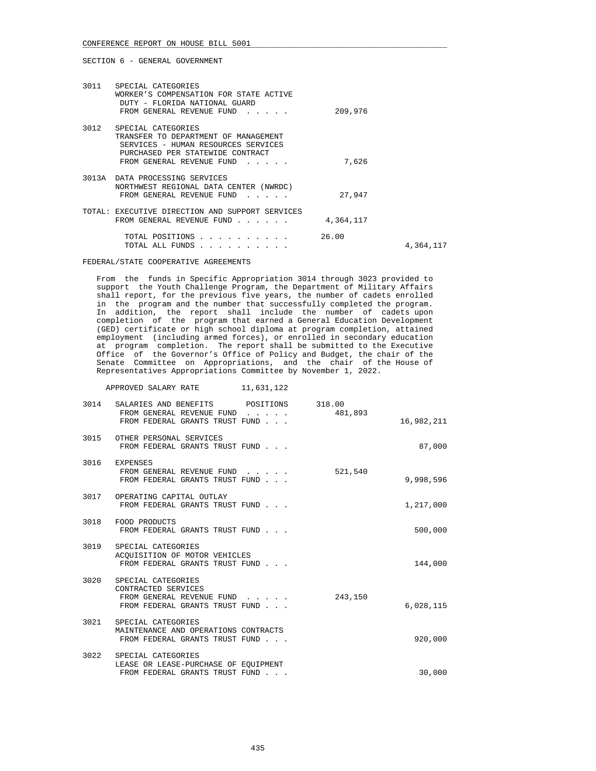| 3011 | SPECIAL CATEGORIES<br>WORKER'S COMPENSATION FOR STATE ACTIVE<br>DUTY - FLORIDA NATIONAL GUARD<br>FROM GENERAL REVENUE FUND                                         | 209,976   |           |
|------|--------------------------------------------------------------------------------------------------------------------------------------------------------------------|-----------|-----------|
| 3012 | SPECIAL CATEGORIES<br>TRANSFER TO DEPARTMENT OF MANAGEMENT<br>SERVICES - HUMAN RESOURCES SERVICES<br>PURCHASED PER STATEWIDE CONTRACT<br>FROM GENERAL REVENUE FUND | 7,626     |           |
|      | 3013A DATA PROCESSING SERVICES<br>NORTHWEST REGIONAL DATA CENTER (NWRDC)<br>FROM GENERAL REVENUE FUND<br>$\mathbf{r}$ , $\mathbf{r}$ , $\mathbf{r}$ , $\mathbf{r}$ | 27,947    |           |
|      | TOTAL: EXECUTIVE DIRECTION AND SUPPORT SERVICES<br>FROM GENERAL REVENUE FUND                                                                                       | 4,364,117 |           |
|      | TOTAL POSITIONS<br>TOTAL ALL FUNDS                                                                                                                                 | 26.00     | 4,364,117 |

FEDERAL/STATE COOPERATIVE AGREEMENTS

 From the funds in Specific Appropriation 3014 through 3023 provided to support the Youth Challenge Program, the Department of Military Affairs shall report, for the previous five years, the number of cadets enrolled in the program and the number that successfully completed the program. In addition, the report shall include the number of cadets upon completion of the program that earned a General Education Development (GED) certificate or high school diploma at program completion, attained employment (including armed forces), or enrolled in secondary education at program completion. The report shall be submitted to the Executive Office of the Governor's Office of Policy and Budget, the chair of the Senate Committee on Appropriations, and the chair of the House of Representatives Appropriations Committee by November 1, 2022.

APPROVED SALARY RATE 11,631,122

| 3014 | SALARIES AND BENEFITS POSITIONS 318.00                                                                        |         |            |
|------|---------------------------------------------------------------------------------------------------------------|---------|------------|
|      | FROM GENERAL REVENUE FUND 481,893<br>FROM FEDERAL GRANTS TRUST FUND                                           |         | 16,982,211 |
|      | 3015 OTHER PERSONAL SERVICES<br>FROM FEDERAL GRANTS TRUST FUND                                                |         | 87,000     |
|      | 3016 EXPENSES<br>FROM GENERAL REVENUE FUND 521,540<br>FROM FEDERAL GRANTS TRUST FUND                          |         | 9,998,596  |
|      | 3017 OPERATING CAPITAL OUTLAY<br>FROM FEDERAL GRANTS TRUST FUND                                               |         | 1,217,000  |
|      | 3018 FOOD PRODUCTS<br>FROM FEDERAL GRANTS TRUST FUND                                                          |         | 500,000    |
|      | 3019 SPECIAL CATEGORIES<br>ACQUISITION OF MOTOR VEHICLES<br>FROM FEDERAL GRANTS TRUST FUND                    |         | 144,000    |
|      | 3020 SPECIAL CATEGORIES<br>CONTRACTED SERVICES<br>FROM GENERAL REVENUE FUND<br>FROM FEDERAL GRANTS TRUST FUND | 243,150 | 6,028,115  |
|      | 3021 SPECIAL CATEGORIES<br>MAINTENANCE AND OPERATIONS CONTRACTS<br>FROM FEDERAL GRANTS TRUST FUND             |         | 920,000    |
|      | 3022 SPECIAL CATEGORIES<br>LEASE OR LEASE-PURCHASE OF EOUIPMENT<br>FROM FEDERAL GRANTS TRUST FUND             |         | 30,000     |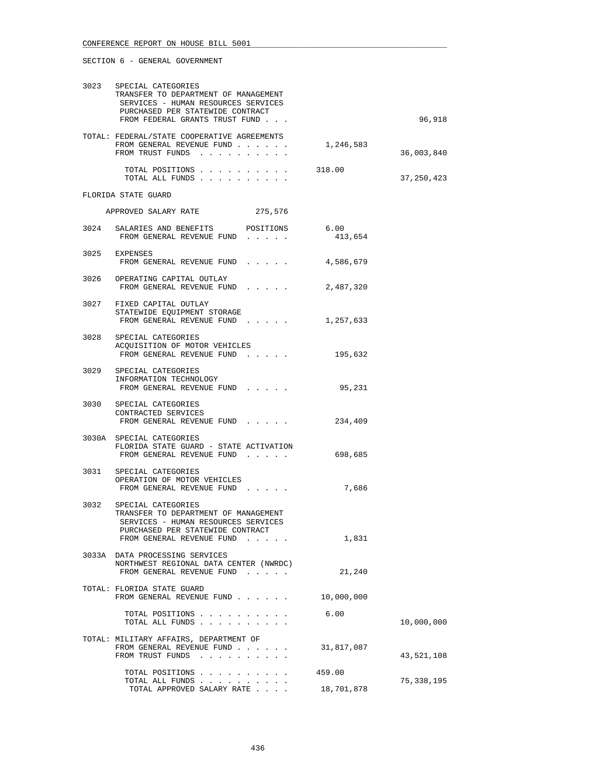|      | 3023 SPECIAL CATEGORIES<br>TRANSFER TO DEPARTMENT OF MANAGEMENT<br>SERVICES - HUMAN RESOURCES SERVICES<br>PURCHASED PER STATEWIDE CONTRACT<br>FROM FEDERAL GRANTS TRUST FUND |                      | 96,918       |
|------|------------------------------------------------------------------------------------------------------------------------------------------------------------------------------|----------------------|--------------|
|      | TOTAL: FEDERAL/STATE COOPERATIVE AGREEMENTS<br>FROM GENERAL REVENUE FUND<br>FROM TRUST FUNDS                                                                                 | 1,246,583            | 36,003,840   |
|      | TOTAL POSITIONS<br>TOTAL ALL FUNDS                                                                                                                                           | 318.00               | 37, 250, 423 |
|      | FLORIDA STATE GUARD                                                                                                                                                          |                      |              |
|      | APPROVED SALARY RATE<br>275,576                                                                                                                                              |                      |              |
|      | 3024 SALARIES AND BENEFITS POSITIONS<br>FROM GENERAL REVENUE FUND                                                                                                            | 6.00<br>413,654      |              |
|      | 3025 EXPENSES<br>FROM GENERAL REVENUE FUND                                                                                                                                   | 4,586,679            |              |
|      | 3026 OPERATING CAPITAL OUTLAY<br>FROM GENERAL REVENUE FUND                                                                                                                   | 2,487,320            |              |
|      | 3027 FIXED CAPITAL OUTLAY<br>STATEWIDE EQUIPMENT STORAGE<br>FROM GENERAL REVENUE FUND 1,257,633                                                                              |                      |              |
|      | 3028 SPECIAL CATEGORIES<br>ACQUISITION OF MOTOR VEHICLES<br>FROM GENERAL REVENUE FUND                                                                                        | 195,632              |              |
|      | 3029 SPECIAL CATEGORIES<br>INFORMATION TECHNOLOGY<br>FROM GENERAL REVENUE FUND                                                                                               | 95,231               |              |
|      | 3030 SPECIAL CATEGORIES<br>CONTRACTED SERVICES<br>FROM GENERAL REVENUE FUND                                                                                                  | 234,409              |              |
|      | 3030A SPECIAL CATEGORIES<br>FLORIDA STATE GUARD - STATE ACTIVATION<br>FROM GENERAL REVENUE FUND                                                                              | 698,685              |              |
|      | 3031 SPECIAL CATEGORIES<br>OPERATION OF MOTOR VEHICLES<br>FROM GENERAL REVENUE FUND                                                                                          | 7,686                |              |
| 3032 | SPECIAL CATEGORIES<br>TRANSFER TO DEPARTMENT OF MANAGEMENT<br>SERVICES - HUMAN RESOURCES SERVICES<br>PURCHASED PER STATEWIDE CONTRACT<br>FROM GENERAL REVENUE FUND           | 1,831                |              |
|      | 3033A DATA PROCESSING SERVICES<br>NORTHWEST REGIONAL DATA CENTER (NWRDC)<br>FROM GENERAL REVENUE FUND                                                                        | 21,240               |              |
|      | TOTAL: FLORIDA STATE GUARD<br>FROM GENERAL REVENUE FUND                                                                                                                      | 10,000,000           |              |
|      | TOTAL POSITIONS<br>TOTAL ALL FUNDS                                                                                                                                           | 6.00                 | 10,000,000   |
|      | TOTAL: MILITARY AFFAIRS, DEPARTMENT OF<br>FROM GENERAL REVENUE FUND<br>FROM TRUST FUNDS                                                                                      | 31,817,087           | 43,521,108   |
|      | TOTAL POSITIONS<br>TOTAL ALL FUNDS<br>TOTAL APPROVED SALARY RATE                                                                                                             | 459.00<br>18,701,878 | 75,338,195   |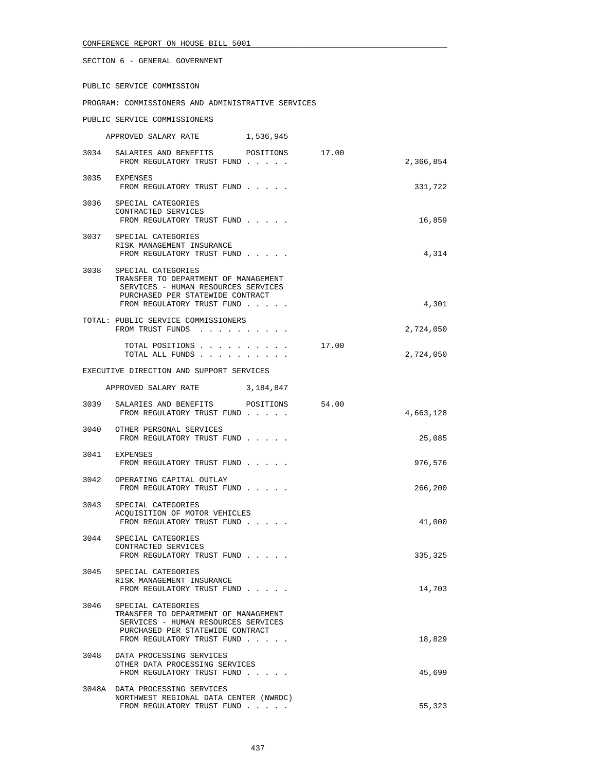SECTION 6 - GENERAL GOVERNMENT

PUBLIC SERVICE COMMISSION

PROGRAM: COMMISSIONERS AND ADMINISTRATIVE SERVICES

PUBLIC SERVICE COMMISSIONERS

| 1,536,945<br>APPROVED SALARY RATE |
|-----------------------------------|
|-----------------------------------|

|      | 3034 SALARIES AND BENEFITS POSITIONS 17.00<br>FROM REGULATORY TRUST FUND                                                                                            |       | 2,366,854 |
|------|---------------------------------------------------------------------------------------------------------------------------------------------------------------------|-------|-----------|
|      | 3035 EXPENSES<br>FROM REGULATORY TRUST FUND                                                                                                                         |       | 331,722   |
|      | 3036 SPECIAL CATEGORIES<br>CONTRACTED SERVICES<br>FROM REGULATORY TRUST FUND                                                                                        |       | 16,859    |
|      | 3037 SPECIAL CATEGORIES<br>RISK MANAGEMENT INSURANCE<br>FROM REGULATORY TRUST FUND                                                                                  |       | 4,314     |
| 3038 | SPECIAL CATEGORIES<br>TRANSFER TO DEPARTMENT OF MANAGEMENT<br>SERVICES - HUMAN RESOURCES SERVICES<br>PURCHASED PER STATEWIDE CONTRACT<br>FROM REGULATORY TRUST FUND |       | 4,301     |
|      | TOTAL: PUBLIC SERVICE COMMISSIONERS<br>FROM TRUST FUNDS                                                                                                             |       | 2,724,050 |
|      | TOTAL POSITIONS<br>TOTAL ALL FUNDS                                                                                                                                  | 17.00 | 2,724,050 |
|      | EXECUTIVE DIRECTION AND SUPPORT SERVICES                                                                                                                            |       |           |
|      | APPROVED SALARY RATE 3,184,847                                                                                                                                      |       |           |
| 3039 | SALARIES AND BENEFITS POSITIONS<br>FROM REGULATORY TRUST FUND                                                                                                       | 54.00 | 4,663,128 |
|      | 3040 OTHER PERSONAL SERVICES<br>FROM REGULATORY TRUST FUND                                                                                                          |       | 25,085    |
|      | 3041 EXPENSES<br>FROM REGULATORY TRUST FUND                                                                                                                         |       | 976,576   |
|      | 3042 OPERATING CAPITAL OUTLAY<br>FROM REGULATORY TRUST FUND                                                                                                         |       | 266,200   |
| 3043 | SPECIAL CATEGORIES<br>ACQUISITION OF MOTOR VEHICLES<br>FROM REGULATORY TRUST FUND                                                                                   |       | 41,000    |
| 3044 | SPECIAL CATEGORIES<br>CONTRACTED SERVICES<br>FROM REGULATORY TRUST FUND                                                                                             |       | 335,325   |
| 3045 | SPECIAL CATEGORIES<br>RISK MANAGEMENT INSURANCE<br>FROM REGULATORY TRUST FUND                                                                                       |       | 14,703    |
| 3046 | SPECIAL CATEGORIES<br>TRANSFER TO DEPARTMENT OF MANAGEMENT<br>SERVICES - HUMAN RESOURCES SERVICES<br>PURCHASED PER STATEWIDE CONTRACT<br>FROM REGULATORY TRUST FUND |       | 18,829    |
| 3048 | DATA PROCESSING SERVICES<br>OTHER DATA PROCESSING SERVICES<br>FROM REGULATORY TRUST FUND                                                                            |       | 45,699    |
|      | 3048A DATA PROCESSING SERVICES<br>NORTHWEST REGIONAL DATA CENTER (NWRDC)<br>FROM REGULATORY TRUST FUND                                                              |       | 55,323    |
|      |                                                                                                                                                                     |       |           |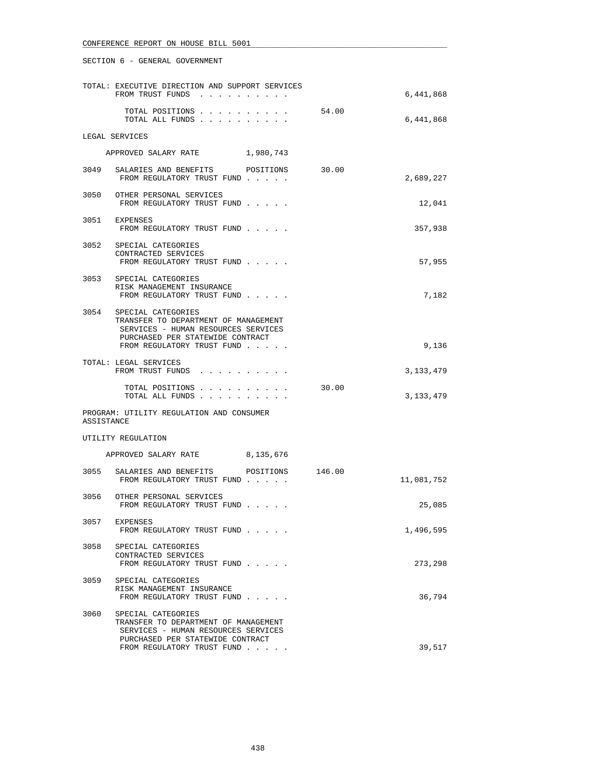|            | TOTAL: EXECUTIVE DIRECTION AND SUPPORT SERVICES<br>FROM TRUST FUNDS                                                                                                      |       | 6,441,868   |
|------------|--------------------------------------------------------------------------------------------------------------------------------------------------------------------------|-------|-------------|
|            | TOTAL POSITIONS<br>TOTAL ALL FUNDS                                                                                                                                       | 54.00 | 6,441,868   |
|            | LEGAL SERVICES                                                                                                                                                           |       |             |
|            | APPROVED SALARY RATE 1,980,743                                                                                                                                           |       |             |
|            | 3049 SALARIES AND BENEFITS POSITIONS<br>FROM REGULATORY TRUST FUND                                                                                                       | 30.00 | 2,689,227   |
|            | 3050 OTHER PERSONAL SERVICES<br>FROM REGULATORY TRUST FUND                                                                                                               |       | 12,041      |
|            | 3051 EXPENSES<br>FROM REGULATORY TRUST FUND                                                                                                                              |       | 357,938     |
|            | 3052 SPECIAL CATEGORIES<br>CONTRACTED SERVICES<br>FROM REGULATORY TRUST FUND                                                                                             |       | 57,955      |
|            | 3053 SPECIAL CATEGORIES<br>RISK MANAGEMENT INSURANCE<br>FROM REGULATORY TRUST FUND                                                                                       |       | 7,182       |
|            | 3054 SPECIAL CATEGORIES<br>TRANSFER TO DEPARTMENT OF MANAGEMENT<br>SERVICES - HUMAN RESOURCES SERVICES<br>PURCHASED PER STATEWIDE CONTRACT<br>FROM REGULATORY TRUST FUND |       | 9,136       |
|            | TOTAL: LEGAL SERVICES<br>FROM TRUST FUNDS                                                                                                                                |       | 3, 133, 479 |
|            | TOTAL POSITIONS<br>TOTAL ALL FUNDS                                                                                                                                       | 30.00 | 3,133,479   |
| ASSISTANCE | PROGRAM: UTILITY REGULATION AND CONSUMER                                                                                                                                 |       |             |
|            | UTILITY REGULATION                                                                                                                                                       |       |             |
|            | APPROVED SALARY RATE 8,135,676                                                                                                                                           |       |             |
| 3055       | SALARIES AND BENEFITS POSITIONS 146.00<br>FROM REGULATORY TRUST FUND                                                                                                     |       | 11,081,752  |
|            | 3056 OTHER PERSONAL SERVICES<br>FROM REGULATORY TRUST FUND                                                                                                               |       | 25,085      |
| 3057       | EXPENSES<br>FROM REGULATORY TRUST FUND                                                                                                                                   |       | 1,496,595   |
| 3058       | SPECIAL CATEGORIES<br>CONTRACTED SERVICES<br>FROM REGULATORY TRUST FUND                                                                                                  |       | 273,298     |
| 3059       | SPECIAL CATEGORIES<br>RISK MANAGEMENT INSURANCE<br>FROM REGULATORY TRUST FUND                                                                                            |       | 36,794      |
| 3060       | SPECIAL CATEGORIES<br>TRANSFER TO DEPARTMENT OF MANAGEMENT<br>SERVICES - HUMAN RESOURCES SERVICES<br>PURCHASED PER STATEWIDE CONTRACT                                    |       |             |
|            | FROM REGULATORY TRUST FUND                                                                                                                                               |       | 39,517      |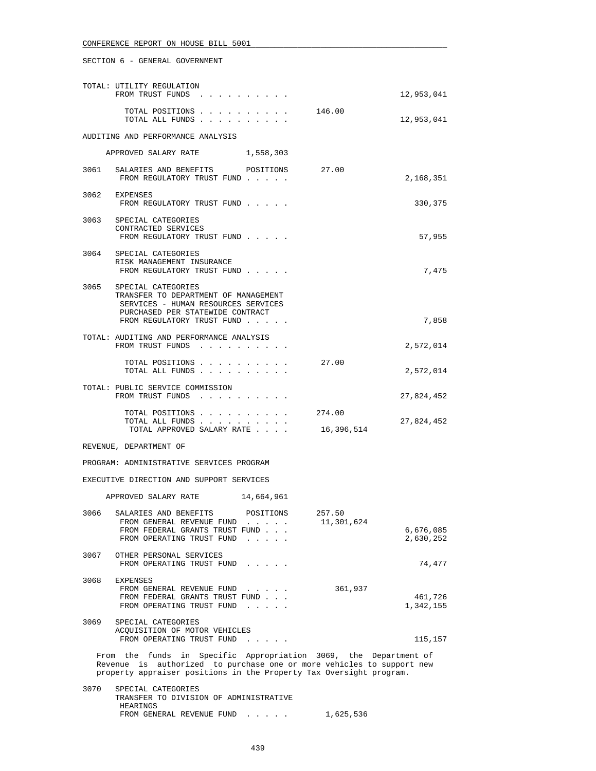## SECTION 6 - GENERAL GOVERNMENT

|      | TOTAL: UTILITY REGULATION<br>FROM TRUST FUNDS                                                                                                                                                                    |                                                                                                              |                      | 12,953,041             |
|------|------------------------------------------------------------------------------------------------------------------------------------------------------------------------------------------------------------------|--------------------------------------------------------------------------------------------------------------|----------------------|------------------------|
|      | TOTAL POSITIONS<br>TOTAL ALL FUNDS                                                                                                                                                                               |                                                                                                              | 146.00               | 12,953,041             |
|      | AUDITING AND PERFORMANCE ANALYSIS                                                                                                                                                                                |                                                                                                              |                      |                        |
|      | APPROVED SALARY RATE 1,558,303                                                                                                                                                                                   |                                                                                                              |                      |                        |
| 3061 | SALARIES AND BENEFITS POSITIONS<br>FROM REGULATORY TRUST FUND                                                                                                                                                    |                                                                                                              | 27.00                | 2,168,351              |
|      | 3062 EXPENSES<br>FROM REGULATORY TRUST FUND                                                                                                                                                                      |                                                                                                              |                      | 330,375                |
|      | 3063 SPECIAL CATEGORIES<br>CONTRACTED SERVICES<br>FROM REGULATORY TRUST FUND                                                                                                                                     |                                                                                                              |                      | 57,955                 |
|      | 3064 SPECIAL CATEGORIES<br>RISK MANAGEMENT INSURANCE<br>FROM REGULATORY TRUST FUND                                                                                                                               |                                                                                                              |                      | 7,475                  |
| 3065 | SPECIAL CATEGORIES<br>TRANSFER TO DEPARTMENT OF MANAGEMENT<br>SERVICES - HUMAN RESOURCES SERVICES<br>PURCHASED PER STATEWIDE CONTRACT<br>FROM REGULATORY TRUST FUND                                              |                                                                                                              |                      | 7,858                  |
|      | TOTAL: AUDITING AND PERFORMANCE ANALYSIS<br>FROM TRUST FUNDS                                                                                                                                                     |                                                                                                              |                      | 2,572,014              |
|      | TOTAL POSITIONS<br>TOTAL ALL FUNDS                                                                                                                                                                               |                                                                                                              | 27.00                | 2,572,014              |
|      | TOTAL: PUBLIC SERVICE COMMISSION<br>FROM TRUST FUNDS                                                                                                                                                             |                                                                                                              |                      | 27,824,452             |
|      | TOTAL POSITIONS<br>TOTAL ALL FUNDS<br>TOTAL APPROVED SALARY RATE                                                                                                                                                 |                                                                                                              | 274.00<br>16,396,514 | 27,824,452             |
|      | REVENUE, DEPARTMENT OF                                                                                                                                                                                           |                                                                                                              |                      |                        |
|      | PROGRAM: ADMINISTRATIVE SERVICES PROGRAM                                                                                                                                                                         |                                                                                                              |                      |                        |
|      | EXECUTIVE DIRECTION AND SUPPORT SERVICES                                                                                                                                                                         |                                                                                                              |                      |                        |
|      | APPROVED SALARY RATE                                                                                                                                                                                             | 14,664,961                                                                                                   |                      |                        |
|      | 3066 SALARIES AND BENEFITS<br>FROM GENERAL REVENUE FUND<br>FROM FEDERAL GRANTS TRUST FUND<br>FROM OPERATING TRUST FUND                                                                                           | POSITIONS<br>$\mathcal{L}^{\mathcal{A}}$ , and $\mathcal{L}^{\mathcal{A}}$ , and $\mathcal{L}^{\mathcal{A}}$ | 257.50<br>11,301,624 | 6,676,085<br>2,630,252 |
| 3067 | OTHER PERSONAL SERVICES<br>FROM OPERATING TRUST FUND                                                                                                                                                             | $\cdots$                                                                                                     |                      | 74,477                 |
| 3068 | EXPENSES<br>FROM GENERAL REVENUE FUND<br>FROM FEDERAL GRANTS TRUST FUND<br>FROM OPERATING TRUST FUND                                                                                                             | $\cdots$ $\cdots$                                                                                            | 361,937              | 461,726<br>1,342,155   |
| 3069 | SPECIAL CATEGORIES<br>ACQUISITION OF MOTOR VEHICLES<br>FROM OPERATING TRUST FUND                                                                                                                                 |                                                                                                              |                      | 115,157                |
|      | From the funds in Specific Appropriation 3069, the Department of<br>Revenue is authorized to purchase one or more vehicles to support new<br>property appraiser positions in the Property Tax Oversight program. |                                                                                                              |                      |                        |

 3070 SPECIAL CATEGORIES TRANSFER TO DIVISION OF ADMINISTRATIVE HEARINGS FROM GENERAL REVENUE FUND . . . . . 1,625,536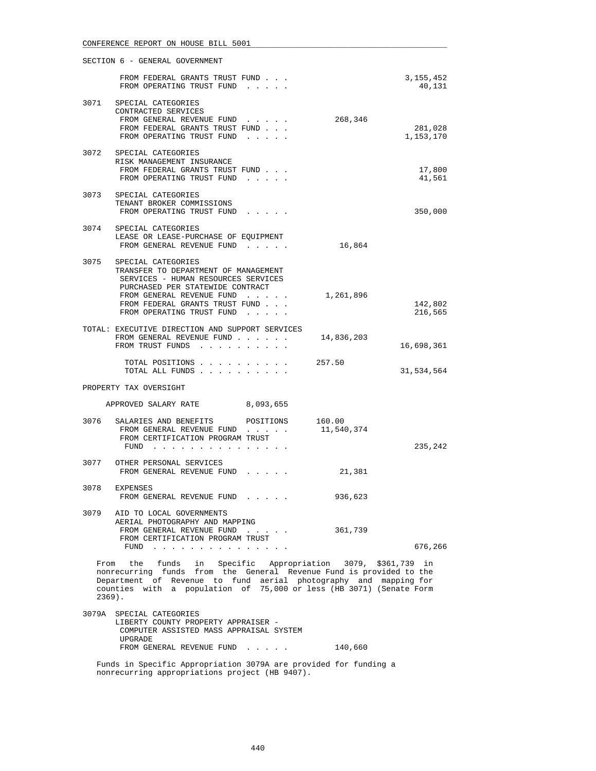|                                                                                                                                                                                                                                                                                           | SECTION 6 - GENERAL GOVERNMENT                                                                                                                                                                                                    |            |                       |
|-------------------------------------------------------------------------------------------------------------------------------------------------------------------------------------------------------------------------------------------------------------------------------------------|-----------------------------------------------------------------------------------------------------------------------------------------------------------------------------------------------------------------------------------|------------|-----------------------|
|                                                                                                                                                                                                                                                                                           | FROM FEDERAL GRANTS TRUST FUND<br>FROM OPERATING TRUST FUND                                                                                                                                                                       |            | 3, 155, 452<br>40,131 |
| 3071                                                                                                                                                                                                                                                                                      | SPECIAL CATEGORIES<br>CONTRACTED SERVICES<br>FROM GENERAL REVENUE FUND<br>FROM FEDERAL GRANTS TRUST FUND<br>FROM OPERATING TRUST FUND                                                                                             | 268,346    | 281,028<br>1,153,170  |
|                                                                                                                                                                                                                                                                                           | 3072 SPECIAL CATEGORIES<br>RISK MANAGEMENT INSURANCE<br>FROM FEDERAL GRANTS TRUST FUND<br>FROM OPERATING TRUST FUND                                                                                                               |            | 17,800<br>41,561      |
|                                                                                                                                                                                                                                                                                           | 3073 SPECIAL CATEGORIES<br>TENANT BROKER COMMISSIONS<br>FROM OPERATING TRUST FUND                                                                                                                                                 |            | 350,000               |
|                                                                                                                                                                                                                                                                                           | 3074 SPECIAL CATEGORIES<br>LEASE OR LEASE-PURCHASE OF EQUIPMENT<br>FROM GENERAL REVENUE FUND                                                                                                                                      | 16,864     |                       |
| 3075                                                                                                                                                                                                                                                                                      | SPECIAL CATEGORIES<br>TRANSFER TO DEPARTMENT OF MANAGEMENT<br>SERVICES - HUMAN RESOURCES SERVICES<br>PURCHASED PER STATEWIDE CONTRACT<br>FROM GENERAL REVENUE FUND<br>FROM FEDERAL GRANTS TRUST FUND<br>FROM OPERATING TRUST FUND | 1,261,896  | 142,802<br>216,565    |
|                                                                                                                                                                                                                                                                                           | TOTAL: EXECUTIVE DIRECTION AND SUPPORT SERVICES<br>FROM GENERAL REVENUE FUND<br>FROM TRUST FUNDS                                                                                                                                  | 14,836,203 | 16,698,361            |
|                                                                                                                                                                                                                                                                                           | TOTAL POSITIONS 257.50<br>TOTAL ALL FUNDS                                                                                                                                                                                         |            | 31,534,564            |
|                                                                                                                                                                                                                                                                                           | PROPERTY TAX OVERSIGHT                                                                                                                                                                                                            |            |                       |
|                                                                                                                                                                                                                                                                                           | APPROVED SALARY RATE 8,093,655                                                                                                                                                                                                    |            |                       |
| 3076                                                                                                                                                                                                                                                                                      | SALARIES AND BENEFITS POSITIONS 160.00<br>FROM GENERAL REVENUE FUND<br>FROM CERTIFICATION PROGRAM TRUST<br>FUND $\cdots$                                                                                                          | 11,540,374 | 235,242               |
|                                                                                                                                                                                                                                                                                           | 3077 OTHER PERSONAL SERVICES<br>FROM GENERAL REVENUE FUND                                                                                                                                                                         | 21,381     |                       |
| 3078                                                                                                                                                                                                                                                                                      | EXPENSES<br>FROM GENERAL REVENUE FUND                                                                                                                                                                                             | 936,623    |                       |
| 3079                                                                                                                                                                                                                                                                                      | AID TO LOCAL GOVERNMENTS<br>AERIAL PHOTOGRAPHY AND MAPPING<br>FROM GENERAL REVENUE FUND<br>FROM CERTIFICATION PROGRAM TRUST<br>FUND                                                                                               | 361,739    | 676,266               |
| From the funds in Specific Appropriation 3079, \$361,739 in<br>nonrecurring funds from the General Revenue Fund is provided to the<br>Department of Revenue to fund aerial photography and mapping for<br>counties with a population of 75,000 or less (HB 3071) (Senate Form<br>$2369$ . |                                                                                                                                                                                                                                   |            |                       |
|                                                                                                                                                                                                                                                                                           | 3079A SPECIAL CATEGORIES<br>LIBERTY COUNTY PROPERTY APPRAISER -                                                                                                                                                                   |            |                       |

FROM GENERAL REVENUE FUND . . . . . 140,660 Funds in Specific Appropriation 3079A are provided for funding a nonrecurring appropriations project (HB 9407).

COMPUTER ASSISTED MASS APPRAISAL SYSTEM

UPGRADE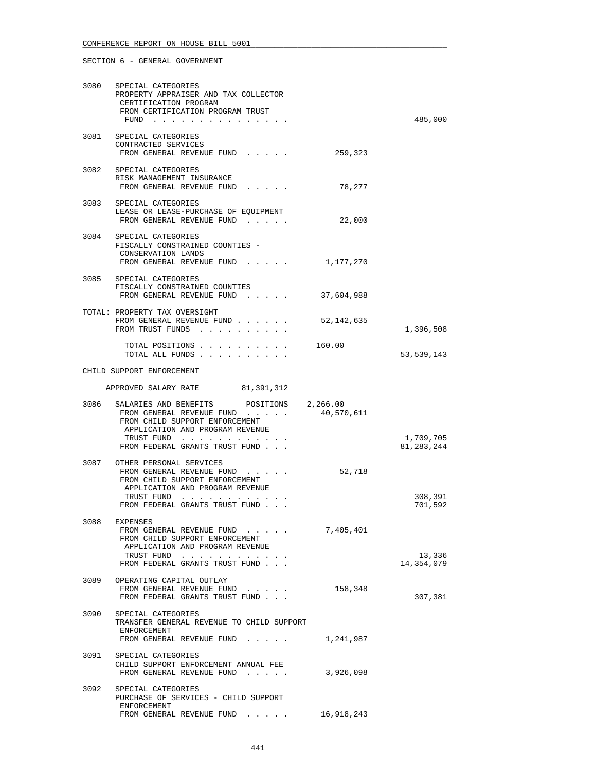| 3080 | SPECIAL CATEGORIES<br>PROPERTY APPRAISER AND TAX COLLECTOR<br>CERTIFICATION PROGRAM<br>FROM CERTIFICATION PROGRAM TRUST<br>FUND                                                |            | 485,000              |
|------|--------------------------------------------------------------------------------------------------------------------------------------------------------------------------------|------------|----------------------|
| 3081 | SPECIAL CATEGORIES<br>CONTRACTED SERVICES<br>FROM GENERAL REVENUE FUND                                                                                                         | 259,323    |                      |
|      | 3082 SPECIAL CATEGORIES<br>RISK MANAGEMENT INSURANCE<br>FROM GENERAL REVENUE FUND                                                                                              | 78,277     |                      |
|      | 3083 SPECIAL CATEGORIES<br>LEASE OR LEASE-PURCHASE OF EQUIPMENT<br>FROM GENERAL REVENUE FUND                                                                                   | 22,000     |                      |
|      | 3084 SPECIAL CATEGORIES<br>FISCALLY CONSTRAINED COUNTIES -<br>CONSERVATION LANDS<br>FROM GENERAL REVENUE FUND                                                                  | 1,177,270  |                      |
|      | 3085 SPECIAL CATEGORIES<br>FISCALLY CONSTRAINED COUNTIES<br>FROM GENERAL REVENUE FUND                                                                                          | 37,604,988 |                      |
|      | TOTAL: PROPERTY TAX OVERSIGHT<br>FROM GENERAL REVENUE FUND<br>FROM TRUST FUNDS                                                                                                 | 52,142,635 | 1,396,508            |
|      | TOTAL POSITIONS<br>TOTAL ALL FUNDS                                                                                                                                             | 160.00     | 53,539,143           |
|      | CHILD SUPPORT ENFORCEMENT                                                                                                                                                      |            |                      |
|      | APPROVED SALARY RATE 81,391,312                                                                                                                                                |            |                      |
| 3086 | SALARIES AND BENEFITS POSITIONS 2,266.00<br>FROM GENERAL REVENUE FUND<br>FROM CHILD SUPPORT ENFORCEMENT<br>APPLICATION AND PROGRAM REVENUE<br>TRUST FUND                       | 40,570,611 | 1,709,705            |
|      | FROM FEDERAL GRANTS TRUST FUND                                                                                                                                                 |            | 81, 283, 244         |
|      | 3087 OTHER PERSONAL SERVICES<br>FROM GENERAL REVENUE FUND<br>FROM CHILD SUPPORT ENFORCEMENT<br>APPLICATION AND PROGRAM REVENUE<br>TRUST FUND<br>FROM FEDERAL GRANTS TRUST FUND | 52,718     | 308,391<br>701,592   |
| 3088 | EXPENSES<br>FROM GENERAL REVENUE FUND<br>FROM CHILD SUPPORT ENFORCEMENT<br>APPLICATION AND PROGRAM REVENUE<br>TRUST FUND<br>FROM FEDERAL GRANTS TRUST FUND                     | 7,405,401  | 13,336<br>14,354,079 |
| 3089 | OPERATING CAPITAL OUTLAY<br>FROM GENERAL REVENUE FUND<br>FROM FEDERAL GRANTS TRUST FUND                                                                                        | 158,348    | 307,381              |
| 3090 | SPECIAL CATEGORIES<br>TRANSFER GENERAL REVENUE TO CHILD SUPPORT<br>ENFORCEMENT<br>FROM GENERAL REVENUE FUND 1,241,987                                                          |            |                      |
| 3091 | SPECIAL CATEGORIES<br>CHILD SUPPORT ENFORCEMENT ANNUAL FEE<br>FROM GENERAL REVENUE FUND                                                                                        | 3,926,098  |                      |
| 3092 | SPECIAL CATEGORIES<br>PURCHASE OF SERVICES - CHILD SUPPORT<br>ENFORCEMENT<br>FROM GENERAL REVENUE FUND                                                                         | 16,918,243 |                      |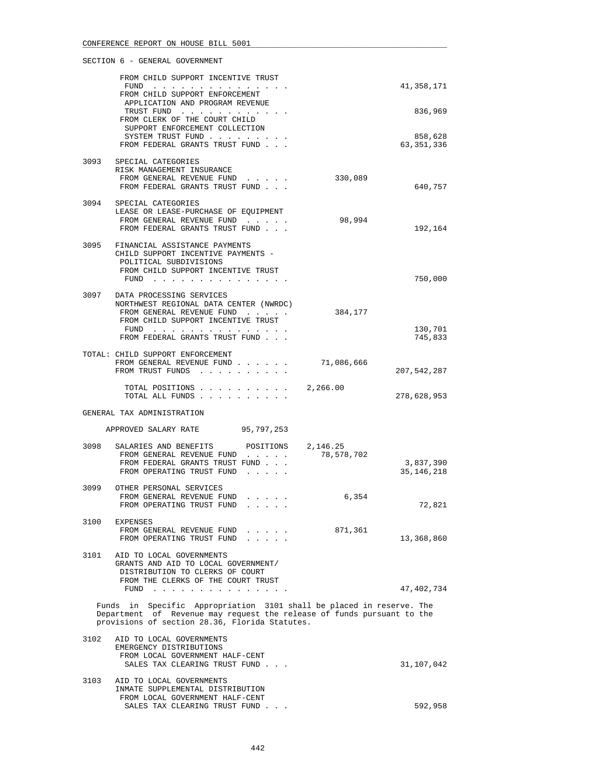|      | FROM CHILD SUPPORT INCENTIVE TRUST<br>FUND                                                                                                                                                       |            | 41,358,171              |
|------|--------------------------------------------------------------------------------------------------------------------------------------------------------------------------------------------------|------------|-------------------------|
|      | FROM CHILD SUPPORT ENFORCEMENT<br>APPLICATION AND PROGRAM REVENUE<br>TRUST FUND                                                                                                                  |            | 836,969                 |
|      | FROM CLERK OF THE COURT CHILD<br>SUPPORT ENFORCEMENT COLLECTION<br>SYSTEM TRUST FUND                                                                                                             |            | 858,628                 |
|      | FROM FEDERAL GRANTS TRUST FUND                                                                                                                                                                   |            | 63,351,336              |
| 3093 | SPECIAL CATEGORIES<br>RISK MANAGEMENT INSURANCE<br>FROM GENERAL REVENUE FUND                                                                                                                     | 330,089    |                         |
|      | FROM FEDERAL GRANTS TRUST FUND                                                                                                                                                                   |            | 640,757                 |
|      | 3094 SPECIAL CATEGORIES<br>LEASE OR LEASE-PURCHASE OF EQUIPMENT<br>FROM GENERAL REVENUE FUND<br>FROM FEDERAL GRANTS TRUST FUND                                                                   | 98,994     | 192,164                 |
| 3095 | FINANCIAL ASSISTANCE PAYMENTS<br>CHILD SUPPORT INCENTIVE PAYMENTS -<br>POLITICAL SUBDIVISIONS                                                                                                    |            |                         |
|      | FROM CHILD SUPPORT INCENTIVE TRUST<br>FUND $\cdots$                                                                                                                                              |            | 750,000                 |
|      | 3097 DATA PROCESSING SERVICES<br>NORTHWEST REGIONAL DATA CENTER (NWRDC)                                                                                                                          |            |                         |
|      | FROM GENERAL REVENUE FUND<br>FROM CHILD SUPPORT INCENTIVE TRUST                                                                                                                                  | 384,177    |                         |
|      | FUND $\cdots$<br>FROM FEDERAL GRANTS TRUST FUND                                                                                                                                                  |            | 130,701<br>745,833      |
|      | TOTAL: CHILD SUPPORT ENFORCEMENT<br>FROM GENERAL REVENUE FUND<br>FROM TRUST FUNDS                                                                                                                | 71,086,666 | 207,542,287             |
|      | TOTAL POSITIONS                                                                                                                                                                                  | 2,266.00   |                         |
|      | TOTAL ALL FUNDS                                                                                                                                                                                  |            | 278,628,953             |
|      | GENERAL TAX ADMINISTRATION<br>APPROVED SALARY RATE<br>95,797,253                                                                                                                                 |            |                         |
| 3098 | SALARIES AND BENEFITS<br>POSITIONS 2,146.25                                                                                                                                                      |            |                         |
|      | FROM GENERAL REVENUE FUND<br>FROM FEDERAL GRANTS TRUST FUND<br>FROM OPERATING TRUST FUND                                                                                                         | 78,578,702 | 3,837,390<br>35,146,218 |
| 3099 | OTHER PERSONAL SERVICES<br>FROM GENERAL REVENUE FUND<br>.<br>FROM OPERATING TRUST FUND<br>the contract of the contract of                                                                        | 6,354      | 72,821                  |
| 3100 | EXPENSES                                                                                                                                                                                         |            |                         |
|      | FROM GENERAL REVENUE FUND<br>FROM OPERATING TRUST FUND                                                                                                                                           | 871,361    | 13,368,860              |
| 3101 | AID TO LOCAL GOVERNMENTS<br>GRANTS AND AID TO LOCAL GOVERNMENT/<br>DISTRIBUTION TO CLERKS OF COURT                                                                                               |            |                         |
|      | FROM THE CLERKS OF THE COURT TRUST<br>FUND                                                                                                                                                       |            | 47,402,734              |
|      | Funds in Specific Appropriation 3101 shall be placed in reserve. The<br>Department of Revenue may request the release of funds pursuant to the<br>provisions of section 28.36, Florida Statutes. |            |                         |
| 3102 | AID TO LOCAL GOVERNMENTS<br>EMERGENCY DISTRIBUTIONS<br>FROM LOCAL GOVERNMENT HALF-CENT<br>SALES TAX CLEARING TRUST FUND                                                                          |            | 31,107,042              |
| 3103 | AID TO LOCAL GOVERNMENTS<br>INMATE SUPPLEMENTAL DISTRIBUTION                                                                                                                                     |            |                         |
|      | FROM LOCAL GOVERNMENT HALF-CENT<br>SALES TAX CLEARING TRUST FUND                                                                                                                                 |            | 592,958                 |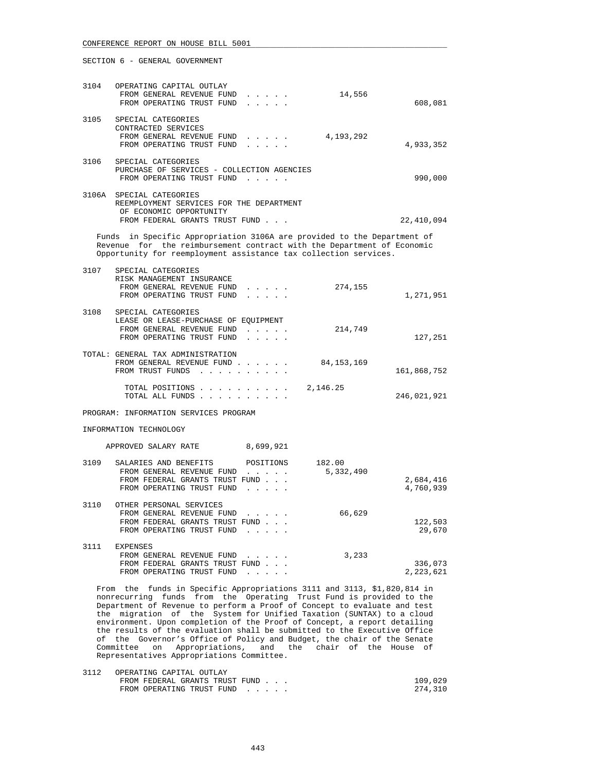|      | SECTION 6 - GENERAL GOVERNMENT                                                                                                                                                                                        |            |             |
|------|-----------------------------------------------------------------------------------------------------------------------------------------------------------------------------------------------------------------------|------------|-------------|
|      | 3104 OPERATING CAPITAL OUTLAY<br>FROM GENERAL REVENUE FUND<br>FROM OPERATING TRUST FUND                                                                                                                               | 14,556     | 608,081     |
| 3105 | SPECIAL CATEGORIES<br>CONTRACTED SERVICES<br>FROM GENERAL REVENUE FUND<br>FROM OPERATING TRUST FUND                                                                                                                   | 4,193,292  | 4,933,352   |
| 3106 | SPECIAL CATEGORIES<br>PURCHASE OF SERVICES - COLLECTION AGENCIES<br>FROM OPERATING TRUST FUND                                                                                                                         |            | 990,000     |
|      | 3106A SPECIAL CATEGORIES<br>REEMPLOYMENT SERVICES FOR THE DEPARTMENT<br>OF ECONOMIC OPPORTUNITY<br>FROM FEDERAL GRANTS TRUST FUND                                                                                     |            | 22,410,094  |
|      | Funds in Specific Appropriation 3106A are provided to the Department of<br>Revenue for the reimbursement contract with the Department of Economic<br>Opportunity for reemployment assistance tax collection services. |            |             |
|      | 3107 SPECIAL CATEGORIES<br>RISK MANAGEMENT INSURANCE<br>FROM GENERAL REVENUE FUND<br>FROM OPERATING TRUST FUND<br>.                                                                                                   | 274,155    | 1,271,951   |
| 3108 | SPECIAL CATEGORIES<br>LEASE OR LEASE-PURCHASE OF EOUIPMENT<br>FROM GENERAL REVENUE FUND<br>FROM OPERATING TRUST FUND<br>$\mathbf{r}$ and $\mathbf{r}$ and $\mathbf{r}$                                                | 214,749    | 127,251     |
|      | TOTAL: GENERAL TAX ADMINISTRATION<br>FROM GENERAL REVENUE FUND<br>FROM TRUST FUNDS                                                                                                                                    | 84,153,169 | 161,868,752 |
|      | TOTAL POSITIONS $\ldots$ , $\ldots$ , $\ldots$ , 2,146.25<br>TOTAL ALL FUNDS                                                                                                                                          |            | 246,021,921 |
|      | PROGRAM: INFORMATION SERVICES PROGRAM                                                                                                                                                                                 |            |             |

INFORMATION TECHNOLOGY

| APPROVED SALARY RATE |  | 8,699,921 |  |
|----------------------|--|-----------|--|
|----------------------|--|-----------|--|

| 3109 | SALARIES AND BENEFITS          | POSITIONS                                                                | 182.00    |           |
|------|--------------------------------|--------------------------------------------------------------------------|-----------|-----------|
|      | FROM GENERAL REVENUE FUND      | $\cdots$ . The set of $\cdots$                                           | 5,332,490 |           |
|      | FROM FEDERAL GRANTS TRUST FUND |                                                                          |           | 2,684,416 |
|      | FROM OPERATING TRUST FUND      | .                                                                        |           | 4,760,939 |
| 3110 | OTHER PERSONAL SERVICES        |                                                                          |           |           |
|      |                                |                                                                          |           |           |
|      | FROM GENERAL REVENUE FUND      | $\mathbf{r}$ , $\mathbf{r}$ , $\mathbf{r}$ , $\mathbf{r}$ , $\mathbf{r}$ | 66,629    |           |
|      | FROM FEDERAL GRANTS TRUST FUND |                                                                          |           | 122,503   |
|      | FROM OPERATING TRUST FUND      |                                                                          |           | 29,670    |
| 3111 | <b>EXPENSES</b>                |                                                                          |           |           |
|      |                                |                                                                          |           |           |
|      | FROM GENERAL REVENUE FUND      | $\mathbf{r}$ and $\mathbf{r}$ and $\mathbf{r}$                           | 3,233     |           |
|      | FROM FEDERAL GRANTS TRUST FUND |                                                                          |           | 336,073   |
|      | FROM OPERATING TRUST FUND      |                                                                          |           | 2,223,621 |

 From the funds in Specific Appropriations 3111 and 3113, \$1,820,814 in nonrecurring funds from the Operating Trust Fund is provided to the Department of Revenue to perform a Proof of Concept to evaluate and test the migration of the System for Unified Taxation (SUNTAX) to a cloud environment. Upon completion of the Proof of Concept, a report detailing the results of the evaluation shall be submitted to the Executive Office of the Governor's Office of Policy and Budget, the chair of the Senate Committee on Appropriations, and the chair of the House of Representatives Appropriations Committee.

| 3112 | OPERATING CAPITAL OUTLAY       |         |
|------|--------------------------------|---------|
|      | FROM FEDERAL GRANTS TRUST FUND | 109,029 |
|      | FROM OPERATING TRUST FUND      | 274,310 |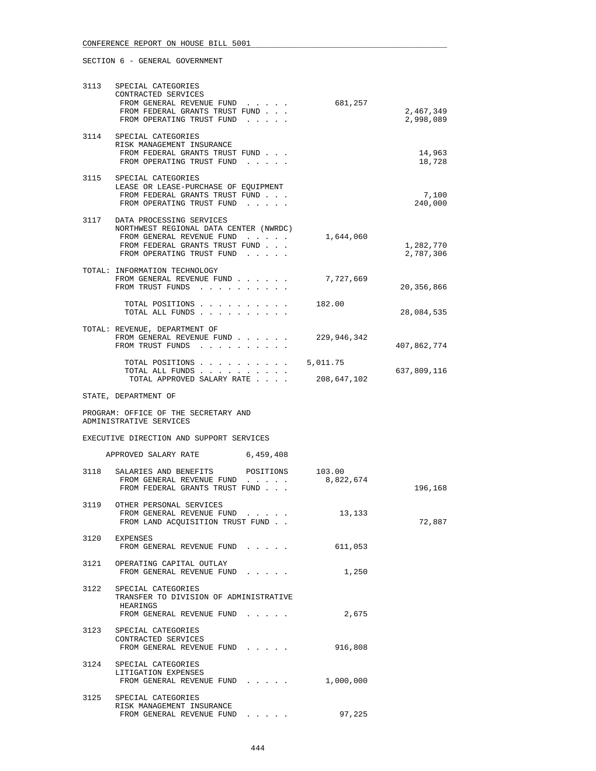| 3113 | SPECIAL CATEGORIES                                                                                                                                                  |                     |                        |
|------|---------------------------------------------------------------------------------------------------------------------------------------------------------------------|---------------------|------------------------|
|      | CONTRACTED SERVICES<br>FROM GENERAL REVENUE FUND<br>FROM FEDERAL GRANTS TRUST FUND<br>FROM OPERATING TRUST FUND                                                     | 681,257             | 2,467,349<br>2,998,089 |
|      | 3114 SPECIAL CATEGORIES<br>RISK MANAGEMENT INSURANCE<br>FROM FEDERAL GRANTS TRUST FUND<br>FROM OPERATING TRUST FUND                                                 |                     | 14,963<br>18,728       |
|      | 3115 SPECIAL CATEGORIES<br>LEASE OR LEASE-PURCHASE OF EOUIPMENT<br>FROM FEDERAL GRANTS TRUST FUND<br>FROM OPERATING TRUST FUND                                      |                     | 7,100<br>240,000       |
|      | 3117 DATA PROCESSING SERVICES<br>NORTHWEST REGIONAL DATA CENTER (NWRDC)<br>FROM GENERAL REVENUE FUND<br>FROM FEDERAL GRANTS TRUST FUND<br>FROM OPERATING TRUST FUND | 1,644,060           | 1,282,770<br>2,787,306 |
|      | TOTAL: INFORMATION TECHNOLOGY<br>FROM GENERAL REVENUE FUND<br>FROM TRUST FUNDS                                                                                      | 7,727,669           | 20,356,866             |
|      | TOTAL POSITIONS<br>TOTAL ALL FUNDS                                                                                                                                  | 182.00              | 28,084,535             |
|      | TOTAL: REVENUE, DEPARTMENT OF<br>FROM GENERAL REVENUE FUND<br>FROM TRUST FUNDS                                                                                      | 229,946,342         | 407,862,774            |
|      | TOTAL POSITIONS $\ldots$ , $\ldots$ , $\ldots$ , 5,011.75<br>TOTAL ALL FUNDS<br>TOTAL APPROVED SALARY RATE                                                          | 208,647,102         | 637,809,116            |
|      | STATE, DEPARTMENT OF                                                                                                                                                |                     |                        |
|      | PROGRAM: OFFICE OF THE SECRETARY AND<br>ADMINISTRATIVE SERVICES                                                                                                     |                     |                        |
|      | EXECUTIVE DIRECTION AND SUPPORT SERVICES                                                                                                                            |                     |                        |
|      | APPROVED SALARY RATE 6,459,408                                                                                                                                      |                     |                        |
| 3118 | SALARIES AND BENEFITS<br>POSITIONS<br>FROM GENERAL REVENUE FUND<br>FROM FEDERAL GRANTS TRUST FUND                                                                   | 103.00<br>8,822,674 | 196,168                |
| 3119 | OTHER PERSONAL SERVICES<br>FROM GENERAL REVENUE FUND<br>FROM LAND ACQUISITION TRUST FUND.                                                                           | 13,133              | 72,887                 |
|      | 3120 EXPENSES<br>FROM GENERAL REVENUE FUND                                                                                                                          | 611,053             |                        |
|      | 3121 OPERATING CAPITAL OUTLAY<br>FROM GENERAL REVENUE FUND                                                                                                          | 1,250               |                        |
| 3122 | SPECIAL CATEGORIES<br>TRANSFER TO DIVISION OF ADMINISTRATIVE<br>HEARINGS<br>FROM GENERAL REVENUE FUND                                                               | 2,675               |                        |
| 3123 | SPECIAL CATEGORIES<br>CONTRACTED SERVICES<br>FROM GENERAL REVENUE FUND                                                                                              | 916,808             |                        |
| 3124 | SPECIAL CATEGORIES<br>LITIGATION EXPENSES<br>FROM GENERAL REVENUE FUND                                                                                              | 1,000,000           |                        |
|      | 3125 SPECIAL CATEGORIES<br>RISK MANAGEMENT INSURANCE<br>FROM GENERAL REVENUE FUND                                                                                   | 97,225              |                        |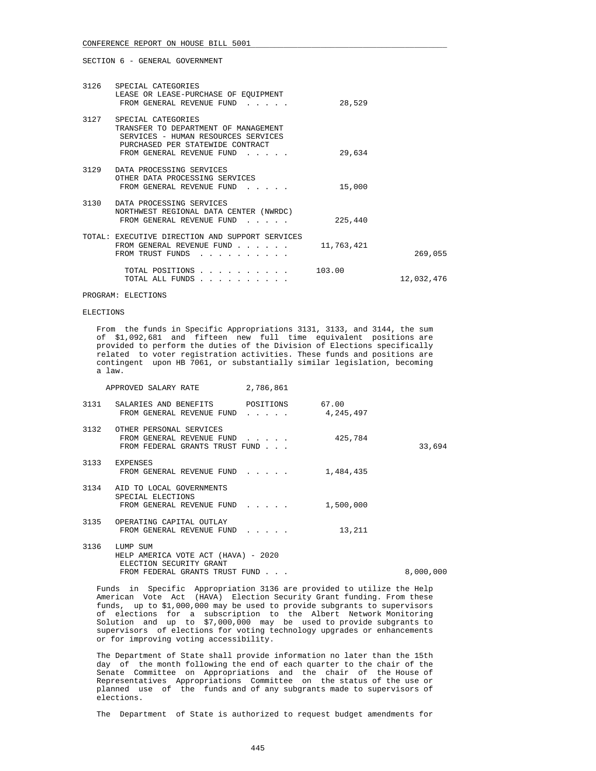| 3126 SPECIAL CATEGORIES<br>LEASE OR LEASE-PURCHASE OF EQUIPMENT<br>FROM GENERAL REVENUE FUND                                                                            | 28,529     |            |
|-------------------------------------------------------------------------------------------------------------------------------------------------------------------------|------------|------------|
| 3127 SPECIAL CATEGORIES<br>TRANSFER TO DEPARTMENT OF MANAGEMENT<br>SERVICES - HUMAN RESOURCES SERVICES<br>PURCHASED PER STATEWIDE CONTRACT<br>FROM GENERAL REVENUE FUND | 29,634     |            |
| 3129 DATA PROCESSING SERVICES<br>OTHER DATA PROCESSING SERVICES<br>FROM GENERAL REVENUE FUND                                                                            | 15,000     |            |
| 3130 DATA PROCESSING SERVICES<br>NORTHWEST REGIONAL DATA CENTER (NWRDC)<br>FROM GENERAL REVENUE FUND                                                                    | 225,440    |            |
| TOTAL: EXECUTIVE DIRECTION AND SUPPORT SERVICES<br>FROM GENERAL REVENUE FUND<br>FROM TRUST FUNDS<br><u>.</u>                                                            | 11,763,421 | 269,055    |
| TOTAL POSITIONS<br>TOTAL ALL FUNDS                                                                                                                                      | 103.00     | 12,032,476 |

PROGRAM: ELECTIONS

### ELECTIONS

 From the funds in Specific Appropriations 3131, 3133, and 3144, the sum of \$1,092,681 and fifteen new full time equivalent positions are provided to perform the duties of the Division of Elections specifically related to voter registration activities. These funds and positions are contingent upon HB 7061, or substantially similar legislation, becoming a law.

|      | APPROVED SALARY RATE                                                                        | 2,786,861                                          |           |           |
|------|---------------------------------------------------------------------------------------------|----------------------------------------------------|-----------|-----------|
|      | 3131 SALARIES AND BENEFITS POSITIONS 67.00<br>FROM GENERAL REVENUE FUND                     | $\mathbf{r}$ , and $\mathbf{r}$ , and $\mathbf{r}$ | 4,245,497 |           |
|      | 3132 OTHER PERSONAL SERVICES<br>FROM GENERAL REVENUE FUND<br>FROM FEDERAL GRANTS TRUST FUND |                                                    | 425,784   | 33,694    |
| 3133 | EXPENSES<br>FROM GENERAL REVENUE FUND                                                       |                                                    | 1,484,435 |           |
|      | 3134 AID TO LOCAL GOVERNMENTS<br>SPECIAL ELECTIONS<br>FROM GENERAL REVENUE FUND             |                                                    | 1,500,000 |           |
|      | 3135 OPERATING CAPITAL OUTLAY<br>FROM GENERAL REVENUE FUND                                  |                                                    | 13,211    |           |
| 3136 | LUMP SUM<br>HELP AMERICA VOTE ACT (HAVA) - 2020<br>ELECTION SECURITY GRANT                  |                                                    |           |           |
|      | FROM FEDERAL GRANTS TRUST FUND                                                              |                                                    |           | 8,000,000 |

 Funds in Specific Appropriation 3136 are provided to utilize the Help American Vote Act (HAVA) Election Security Grant funding. From these funds, up to \$1,000,000 may be used to provide subgrants to supervisors of elections for a subscription to the Albert Network Monitoring Solution and up to \$7,000,000 may be used to provide subgrants to supervisors of elections for voting technology upgrades or enhancements or for improving voting accessibility.

 The Department of State shall provide information no later than the 15th day of the month following the end of each quarter to the chair of the Senate Committee on Appropriations and the chair of the House of Representatives Appropriations Committee on the status of the use or planned use of the funds and of any subgrants made to supervisors of elections.

The Department of State is authorized to request budget amendments for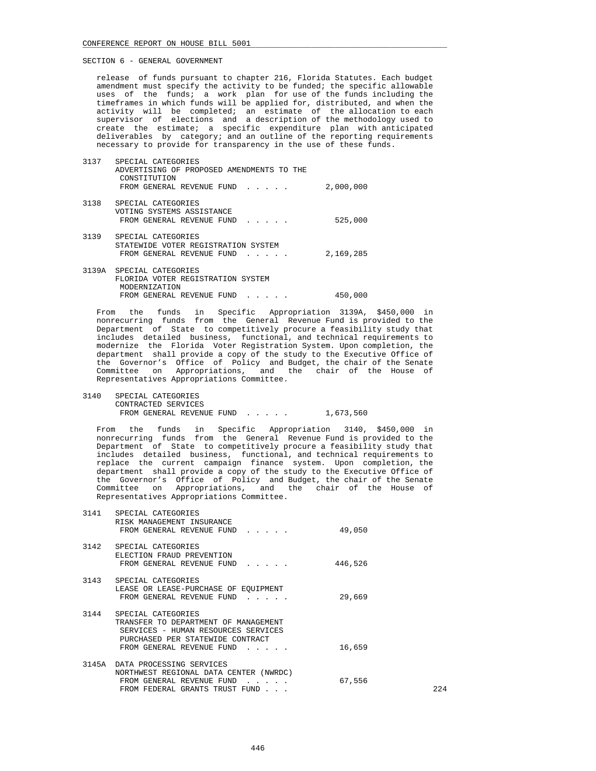release of funds pursuant to chapter 216, Florida Statutes. Each budget amendment must specify the activity to be funded; the specific allowable uses of the funds; a work plan for use of the funds including the timeframes in which funds will be applied for, distributed, and when the activity will be completed; an estimate of the allocation to each supervisor of elections and a description of the methodology used to create the estimate; a specific expenditure plan with anticipated deliverables by category; and an outline of the reporting requirements necessary to provide for transparency in the use of these funds.

| 3137 | SPECIAL CATEGORIES<br>ADVERTISING OF PROPOSED AMENDMENTS TO THE<br>CONSTITUTION                                              |           |
|------|------------------------------------------------------------------------------------------------------------------------------|-----------|
|      | FROM GENERAL REVENUE FUND                                                                                                    | 2,000,000 |
| 3138 | SPECIAL CATEGORIES<br>VOTING SYSTEMS ASSISTANCE                                                                              |           |
|      | FROM GENERAL REVENUE FUND<br>$\mathcal{L}^{\mathcal{A}}$ , and $\mathcal{L}^{\mathcal{A}}$ , and $\mathcal{L}^{\mathcal{A}}$ | 525,000   |
| 3139 | SPECIAL CATEGORIES                                                                                                           |           |
|      | STATEWIDE VOTER REGISTRATION SYSTEM<br>FROM GENERAL REVENUE FUND<br>$\mathbf{r}$ and $\mathbf{r}$ and $\mathbf{r}$           | 2,169,285 |
|      | 3139A SPECIAL CATEGORIES                                                                                                     |           |
|      | FLORIDA VOTER REGISTRATION SYSTEM<br>MODERNIZATION                                                                           |           |
|      | FROM GENERAL REVENUE FUND                                                                                                    | 450,000   |

 From the funds in Specific Appropriation 3139A, \$450,000 in nonrecurring funds from the General Revenue Fund is provided to the Department of State to competitively procure a feasibility study that includes detailed business, functional, and technical requirements to modernize the Florida Voter Registration System. Upon completion, the department shall provide a copy of the study to the Executive Office of the Governor's Office of Policy and Budget, the chair of the Senate Committee on Appropriations, and the chair of the House of Representatives Appropriations Committee.

 3140 SPECIAL CATEGORIES CONTRACTED SERVICES FROM GENERAL REVENUE FUND . . . . . 1,673,560

 From the funds in Specific Appropriation 3140, \$450,000 in nonrecurring funds from the General Revenue Fund is provided to the Department of State to competitively procure a feasibility study that includes detailed business, functional, and technical requirements to replace the current campaign finance system. Upon completion, the department shall provide a copy of the study to the Executive Office of the Governor's Office of Policy and Budget, the chair of the Senate Committee on Appropriations, and the chair of the House of Representatives Appropriations Committee.

|      | 3141 SPECIAL CATEGORIES<br>RISK MANAGEMENT INSURANCE<br>FROM GENERAL REVENUE FUND                                                                                                                                    | 49,050  |       |
|------|----------------------------------------------------------------------------------------------------------------------------------------------------------------------------------------------------------------------|---------|-------|
|      | 3142 SPECIAL CATEGORIES<br>ELECTION FRAUD PREVENTION<br>FROM GENERAL REVENUE FUND                                                                                                                                    | 446,526 |       |
|      | 3143 SPECIAL CATEGORIES<br>LEASE OR LEASE-PURCHASE OF EOUIPMENT<br>FROM GENERAL REVENUE FUND                                                                                                                         | 29,669  |       |
| 3144 | SPECIAL CATEGORIES<br>TRANSFER TO DEPARTMENT OF MANAGEMENT<br>SERVICES - HUMAN RESOURCES SERVICES<br>PURCHASED PER STATEWIDE CONTRACT<br>FROM GENERAL REVENUE FUND<br>$\mathbf{r}$ and $\mathbf{r}$ and $\mathbf{r}$ | 16,659  |       |
|      | 3145A DATA PROCESSING SERVICES<br>NORTHWEST REGIONAL DATA CENTER (NWRDC)<br>FROM GENERAL REVENUE FUND<br>and the contract of<br>FROM FEDERAL GRANTS TRUST FUND                                                       | 67,556  | 2.2.4 |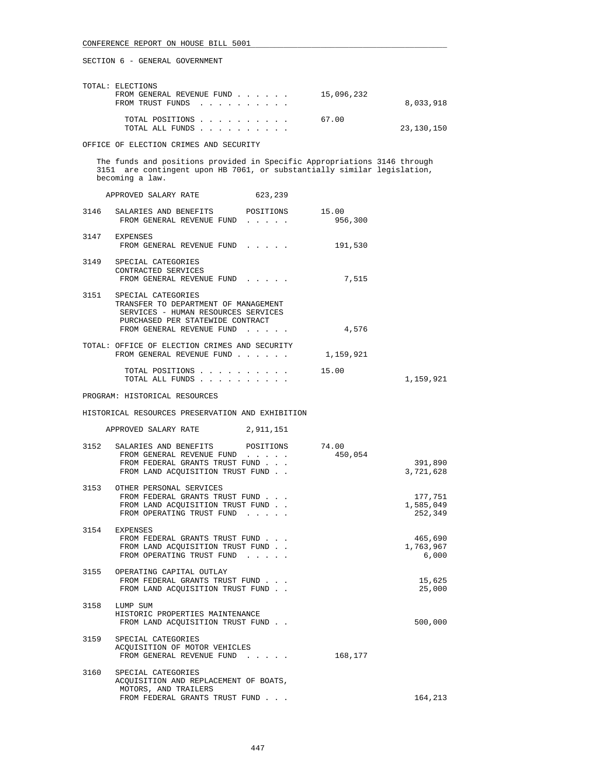| TOTAL: ELECTIONS<br>FROM GENERAL REVENUE FUND<br>FROM TRUST FUNDS | 15,096,232 | 8,033,918  |
|-------------------------------------------------------------------|------------|------------|
| TOTAL POSITIONS<br>TOTAL ALL FUNDS                                | 67.00      | 23,130,150 |

OFFICE OF ELECTION CRIMES AND SECURITY

 The funds and positions provided in Specific Appropriations 3146 through 3151 are contingent upon HB 7061, or substantially similar legislation, becoming a law.

|      | APPROVED SALARY RATE                                                                                                                                               | 623,239                                 |           |           |
|------|--------------------------------------------------------------------------------------------------------------------------------------------------------------------|-----------------------------------------|-----------|-----------|
|      | 3146 SALARIES AND BENEFITS POSITIONS 15.00<br>FROM GENERAL REVENUE FUND                                                                                            | $\cdots$                                | 956,300   |           |
|      | 3147 EXPENSES<br>FROM GENERAL REVENUE FUND                                                                                                                         |                                         | 191,530   |           |
| 3149 | SPECIAL CATEGORIES<br>CONTRACTED SERVICES<br>FROM GENERAL REVENUE FUND                                                                                             |                                         | 7,515     |           |
| 3151 | SPECIAL CATEGORIES<br>TRANSFER TO DEPARTMENT OF MANAGEMENT<br>SERVICES - HUMAN RESOURCES SERVICES<br>PURCHASED PER STATEWIDE CONTRACT<br>FROM GENERAL REVENUE FUND | $\cdot$ $\cdot$ $\cdot$ $\cdot$ $\cdot$ | 4,576     |           |
|      | TOTAL: OFFICE OF ELECTION CRIMES AND SECURITY<br>FROM GENERAL REVENUE FUND                                                                                         |                                         | 1,159,921 |           |
|      | TOTAL POSITIONS<br>TOTAL ALL FUNDS                                                                                                                                 |                                         | 15.00     | 1,159,921 |

PROGRAM: HISTORICAL RESOURCES

# HISTORICAL RESOURCES PRESERVATION AND EXHIBITION

| 2,911,151<br>APPROVED SALARY RATE |  |  |  |  |  |  |  |  |  |  |  |  |  |  |  |  |  |  |  |  |  |  |  |  |  |  |  |  |  |  |  |  |  |  |  |  |  |  |  |  |  |  |  |  |  |  |  |  |  |  |  |  |  |  |  |  |  |  |  |  |  |  |  |  |  |  |  |  |  |  |  |  |  |  |  |  |  |  |  |  |  |  |  |  |  |  |  |  |  |  |  |  |  |  |  |  |  |  |  |  |  |  |  |  |  |  |  |  |  |  |  |  |  |  |  |  |  |  |  |  |  |  |  |  |  |  |  |  |  |  |  |  |  |  |  |  |  |  |  |  |  |  |  |  |  |  |
|-----------------------------------|--|--|--|--|--|--|--|--|--|--|--|--|--|--|--|--|--|--|--|--|--|--|--|--|--|--|--|--|--|--|--|--|--|--|--|--|--|--|--|--|--|--|--|--|--|--|--|--|--|--|--|--|--|--|--|--|--|--|--|--|--|--|--|--|--|--|--|--|--|--|--|--|--|--|--|--|--|--|--|--|--|--|--|--|--|--|--|--|--|--|--|--|--|--|--|--|--|--|--|--|--|--|--|--|--|--|--|--|--|--|--|--|--|--|--|--|--|--|--|--|--|--|--|--|--|--|--|--|--|--|--|--|--|--|--|--|--|--|--|--|--|--|--|--|--|--|
|-----------------------------------|--|--|--|--|--|--|--|--|--|--|--|--|--|--|--|--|--|--|--|--|--|--|--|--|--|--|--|--|--|--|--|--|--|--|--|--|--|--|--|--|--|--|--|--|--|--|--|--|--|--|--|--|--|--|--|--|--|--|--|--|--|--|--|--|--|--|--|--|--|--|--|--|--|--|--|--|--|--|--|--|--|--|--|--|--|--|--|--|--|--|--|--|--|--|--|--|--|--|--|--|--|--|--|--|--|--|--|--|--|--|--|--|--|--|--|--|--|--|--|--|--|--|--|--|--|--|--|--|--|--|--|--|--|--|--|--|--|--|--|--|--|--|--|--|--|--|

| 3152 SALARIES AND BENEFITS POSITIONS 74.00<br>FROM GENERAL REVENUE FUND<br>FROM FEDERAL GRANTS TRUST FUND<br>FROM LAND ACOUISITION TRUST FUND. | 450,054 | 391,890<br>3,721,628            |
|------------------------------------------------------------------------------------------------------------------------------------------------|---------|---------------------------------|
| 3153 OTHER PERSONAL SERVICES<br>FROM FEDERAL GRANTS TRUST FUND<br>FROM LAND ACOUISITION TRUST FUND.<br>FROM OPERATING TRUST FUND               |         | 177,751<br>1,585,049<br>252,349 |
| 3154 EXPENSES<br>FROM FEDERAL GRANTS TRUST FUND<br>FROM LAND ACQUISITION TRUST FUND<br>FROM OPERATING TRUST FUND                               |         | 465,690<br>1,763,967<br>6,000   |
| 3155 OPERATING CAPITAL OUTLAY<br>FROM FEDERAL GRANTS TRUST FUND<br>FROM LAND ACOUISITION TRUST FUND.                                           |         | 15,625<br>25,000                |
| 3158 LUMP SUM<br>HISTORIC PROPERTIES MAINTENANCE<br>FROM LAND ACOUISITION TRUST FUND.                                                          |         | 500,000                         |
| 3159 SPECIAL CATEGORIES<br>ACOUISITION OF MOTOR VEHICLES<br>FROM GENERAL REVENUE FUND                                                          | 168,177 |                                 |
| 3160 SPECIAL CATEGORIES<br>ACQUISITION AND REPLACEMENT OF BOATS,<br>MOTORS, AND TRAILERS                                                       |         |                                 |
| FROM FEDERAL GRANTS TRUST FUND                                                                                                                 |         | 164,213                         |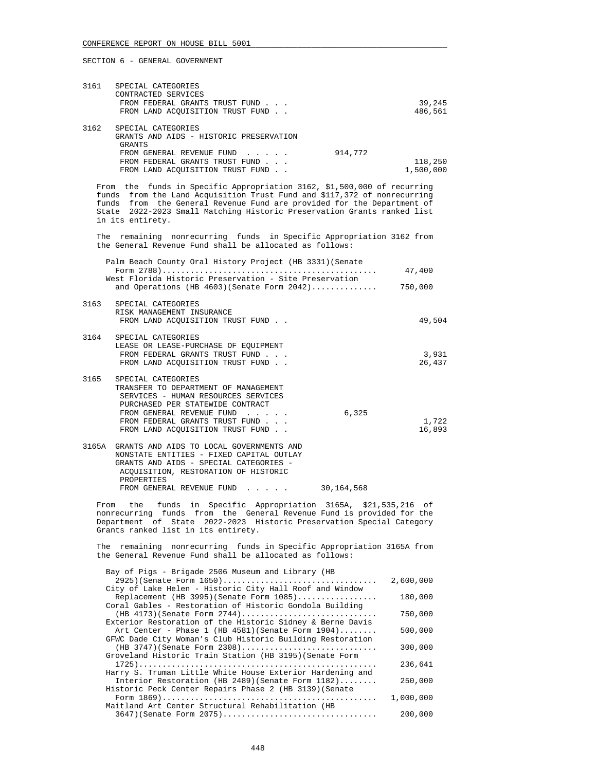| 3161 | SPECIAL CATEGORIES<br>CONTRACTED SERVICES<br>FROM FEDERAL GRANTS TRUST FUND<br>FROM LAND ACOUISITION TRUST FUND.                                                            |         | 39,245<br>486,561    |
|------|-----------------------------------------------------------------------------------------------------------------------------------------------------------------------------|---------|----------------------|
| 3162 | SPECIAL CATEGORIES<br>GRANTS AND AIDS - HISTORIC PRESERVATION<br>GRANTS<br>FROM GENERAL REVENUE FUND<br>FROM FEDERAL GRANTS TRUST FUND<br>FROM LAND ACOUISITION TRUST FUND. | 914,772 | 118,250<br>1,500,000 |

 From the funds in Specific Appropriation 3162, \$1,500,000 of recurring funds from the Land Acquisition Trust Fund and \$117,372 of nonrecurring funds from the General Revenue Fund are provided for the Department of State 2022-2023 Small Matching Historic Preservation Grants ranked list in its entirety.

 The remaining nonrecurring funds in Specific Appropriation 3162 from the General Revenue Fund shall be allocated as follows:

|      | Palm Beach County Oral History Project (HB 3331) (Senate                                                                                                                                                                                  |       | 47,400          |
|------|-------------------------------------------------------------------------------------------------------------------------------------------------------------------------------------------------------------------------------------------|-------|-----------------|
|      | West Florida Historic Preservation - Site Preservation<br>and Operations (HB $4603$ )(Senate Form $2042$ )                                                                                                                                |       | 750,000         |
| 3163 | SPECIAL CATEGORIES<br>RISK MANAGEMENT INSURANCE<br>FROM LAND ACOUISITION TRUST FUND.                                                                                                                                                      |       | 49,504          |
| 3164 | SPECIAL CATEGORIES<br>LEASE OR LEASE-PURCHASE OF EQUIPMENT<br>FROM FEDERAL GRANTS TRUST FUND<br>FROM LAND ACOUISITION TRUST FUND.                                                                                                         |       | 3,931<br>26,437 |
| 3165 | SPECIAL CATEGORIES<br>TRANSFER TO DEPARTMENT OF MANAGEMENT<br>SERVICES - HUMAN RESOURCES SERVICES<br>PURCHASED PER STATEWIDE CONTRACT<br>FROM GENERAL REVENUE FUND<br>FROM FEDERAL GRANTS TRUST FUND<br>FROM LAND ACOUISITION TRUST FUND. | 6,325 | 1,722<br>16,893 |
|      | 3165A GRANTS AND AIDS TO LOCAL GOVERNMENTS AND                                                                                                                                                                                            |       |                 |

| NONSTATE ENTITIES - FIXED CAPITAL OUTLAY |                                                 |
|------------------------------------------|-------------------------------------------------|
| GRANTS AND AIDS - SPECIAL CATEGORIES -   |                                                 |
| ACOUISITION, RESTORATION OF HISTORIC     |                                                 |
| PROPERTIES                               |                                                 |
| FROM GENERAL REVENUE FUND                | 30,164,568                                      |
|                                          | OLOJA GRANIS AND AIDS IO DOCALI GOVERNMENIS AND |

 From the funds in Specific Appropriation 3165A, \$21,535,216 of nonrecurring funds from the General Revenue Fund is provided for the Department of State 2022-2023 Historic Preservation Special Category Grants ranked list in its entirety.

 The remaining nonrecurring funds in Specific Appropriation 3165A from the General Revenue Fund shall be allocated as follows:

| Bay of Pigs - Brigade 2506 Museum and Library (HB         |           |
|-----------------------------------------------------------|-----------|
| $2925$ (Senate Form $1650)$                               | 2,600,000 |
| City of Lake Helen - Historic City Hall Roof and Window   |           |
| Replacement (HB 3995) (Senate Form 1085)                  | 180,000   |
| Coral Gables - Restoration of Historic Gondola Building   |           |
| (HB 4173) (Senate Form 2744)                              | 750,000   |
| Exterior Restoration of the Historic Sidney & Berne Davis |           |
| Art Center - Phase $1$ (HB 4581) (Senate Form $1904)$     | 500,000   |
| GFWC Dade City Woman's Club Historic Building Restoration |           |
| (HB 3747) (Senate Form 2308)                              | 300,000   |
| Groveland Historic Train Station (HB 3195) (Senate Form   |           |
|                                                           | 236,641   |
| Harry S. Truman Little White House Exterior Hardening and |           |
| Interior Restoration (HB 2489) (Senate Form 1182)         | 250,000   |
| Historic Peck Center Repairs Phase 2 (HB 3139) (Senate    |           |
|                                                           | 1,000,000 |
| Maitland Art Center Structural Rehabilitation (HB         |           |
| 3647) (Senate Form 2075)                                  | 200,000   |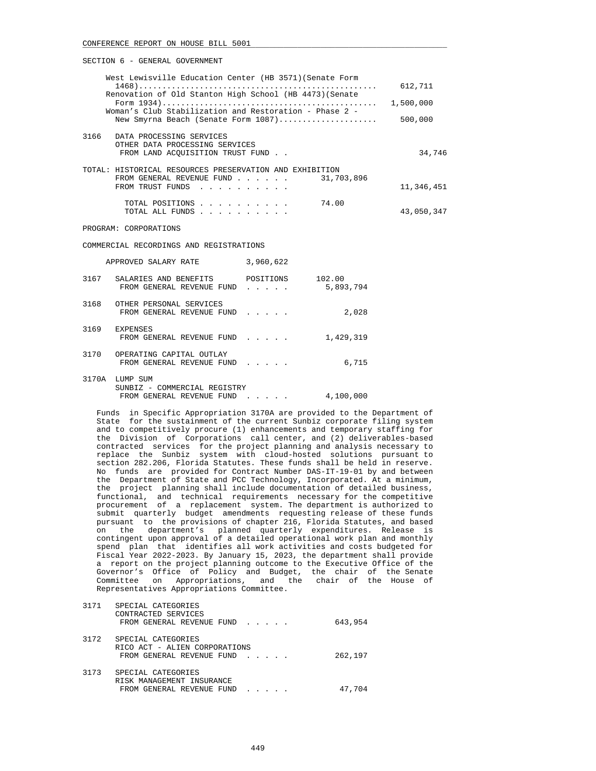| West Lewisville Education Center (HB 3571) (Senate Form<br>Renovation of Old Stanton High School (HB 4473) (Senate     | 612,711    |
|------------------------------------------------------------------------------------------------------------------------|------------|
| Woman's Club Stabilization and Restoration - Phase 2 -                                                                 | 1,500,000  |
| New Smyrna Beach (Senate Form 1087)                                                                                    | 500,000    |
| 3166<br>DATA PROCESSING SERVICES<br>OTHER DATA PROCESSING SERVICES<br>FROM LAND ACOUISITION TRUST FUND.                | 34,746     |
| TOTAL: HISTORICAL RESOURCES PRESERVATION AND EXHIBITION<br>31,703,896<br>FROM GENERAL REVENUE FUND<br>FROM TRUST FUNDS | 11,346,451 |
| 74.00<br>TOTAL POSITIONS<br>TOTAL ALL FUNDS                                                                            | 43,050,347 |
| PROGRAM: CORPORATIONS                                                                                                  |            |

COMMERCIAL RECORDINGS AND REGISTRATIONS

|       | APPROVED SALARY RATE                                                  | 3,960,622      |                     |
|-------|-----------------------------------------------------------------------|----------------|---------------------|
| 3167  | SALARIES AND BENEFITS<br>FROM GENERAL REVENUE FUND                    | POSITIONS<br>. | 102.00<br>5,893,794 |
| 3168  | OTHER PERSONAL SERVICES<br>FROM GENERAL REVENUE FUND                  | .              | 2,028               |
| 3169  | <b>EXPENSES</b><br>FROM GENERAL REVENUE FUND                          | .              | 1,429,319           |
| 3170  | OPERATING CAPITAL OUTLAY<br>FROM GENERAL REVENUE FUND                 |                | 6,715               |
| 3170A | LUMP SUM<br>SUNBIZ - COMMERCIAL REGISTRY<br>FROM GENERAL REVENUE FUND |                | 4,100,000           |

 Funds in Specific Appropriation 3170A are provided to the Department of State for the sustainment of the current Sunbiz corporate filing system and to competitively procure (1) enhancements and temporary staffing for the Division of Corporations call center, and (2) deliverables-based contracted services for the project planning and analysis necessary to replace the Sunbiz system with cloud-hosted solutions pursuant to section 282.206, Florida Statutes. These funds shall be held in reserve. No funds are provided for Contract Number DAS-IT-19-01 by and between the Department of State and PCC Technology, Incorporated. At a minimum, the project planning shall include documentation of detailed business, functional, and technical requirements necessary for the competitive procurement of a replacement system. The department is authorized to submit quarterly budget amendments requesting release of these funds pursuant to the provisions of chapter 216, Florida Statutes, and based on the department's planned quarterly expenditures. Release is contingent upon approval of a detailed operational work plan and monthly spend plan that identifies all work activities and costs budgeted for Fiscal Year 2022-2023. By January 15, 2023, the department shall provide a report on the project planning outcome to the Executive Office of the Governor's Office of Policy and Budget, the chair of the Senate Committee on Appropriations, and the chair of the House of Representatives Appropriations Committee.

| 3171 | SPECIAL CATEGORIES<br>CONTRACTED SERVICES<br>FROM GENERAL REVENUE FUND           | 643,954 |
|------|----------------------------------------------------------------------------------|---------|
| 3172 | SPECIAL CATEGORIES<br>RICO ACT - ALIEN CORPORATIONS<br>FROM GENERAL REVENUE FUND | 262,197 |
| 3173 | SPECIAL CATEGORIES<br>RISK MANAGEMENT INSURANCE<br>FROM GENERAL REVENUE FUND     | 47,704  |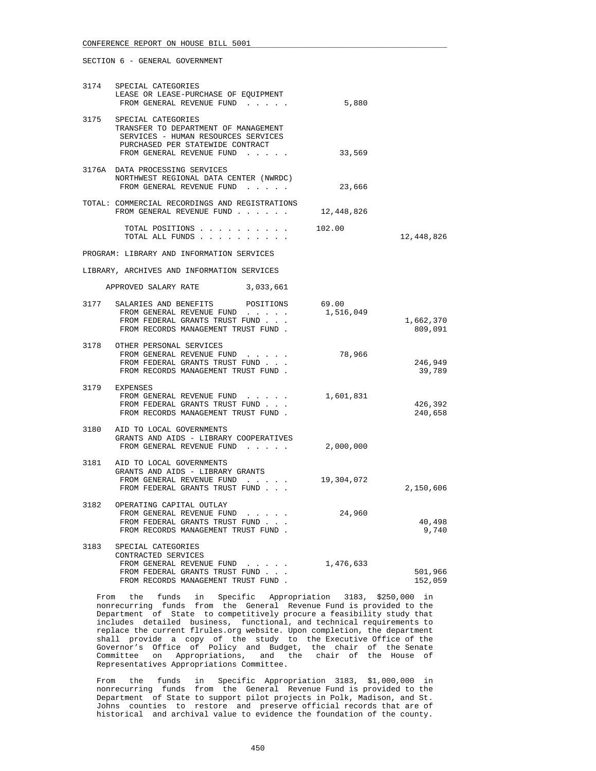|      | 3174 SPECIAL CATEGORIES<br>LEASE OR LEASE-PURCHASE OF EQUIPMENT<br>FROM GENERAL REVENUE FUND                                                                       | 5,880      |                      |
|------|--------------------------------------------------------------------------------------------------------------------------------------------------------------------|------------|----------------------|
| 3175 | SPECIAL CATEGORIES<br>TRANSFER TO DEPARTMENT OF MANAGEMENT<br>SERVICES - HUMAN RESOURCES SERVICES<br>PURCHASED PER STATEWIDE CONTRACT<br>FROM GENERAL REVENUE FUND | 33,569     |                      |
|      | 3176A DATA PROCESSING SERVICES<br>NORTHWEST REGIONAL DATA CENTER (NWRDC)<br>FROM GENERAL REVENUE FUND                                                              | 23,666     |                      |
|      | TOTAL: COMMERCIAL RECORDINGS AND REGISTRATIONS<br>FROM GENERAL REVENUE FUND                                                                                        | 12,448,826 |                      |
|      | TOTAL POSITIONS $\ldots$ , $\ldots$ , $\ldots$ , 102.00<br>TOTAL ALL FUNDS                                                                                         |            | 12,448,826           |
|      | PROGRAM: LIBRARY AND INFORMATION SERVICES                                                                                                                          |            |                      |
|      | LIBRARY, ARCHIVES AND INFORMATION SERVICES                                                                                                                         |            |                      |
|      | APPROVED SALARY RATE 3,033,661                                                                                                                                     |            |                      |
|      | 3177 SALARIES AND BENEFITS POSITIONS 69.00<br>FROM GENERAL REVENUE FUND<br>FROM FEDERAL GRANTS TRUST FUND<br>FROM RECORDS MANAGEMENT TRUST FUND.                   | 1,516,049  | 1,662,370<br>809,091 |
|      | 3178 OTHER PERSONAL SERVICES<br>FROM GENERAL REVENUE FUND<br>FROM FEDERAL GRANTS TRUST FUND<br>FROM RECORDS MANAGEMENT TRUST FUND.                                 | 78,966     | 246,949<br>39,789    |
|      | 3179 EXPENSES<br>FROM GENERAL REVENUE FUND<br>FROM FEDERAL GRANTS TRUST FUND<br>FROM RECORDS MANAGEMENT TRUST FUND.                                                | 1,601,831  | 426,392<br>240,658   |
|      | 3180 AID TO LOCAL GOVERNMENTS<br>GRANTS AND AIDS - LIBRARY COOPERATIVES<br>FROM GENERAL REVENUE FUND                                                               | 2,000,000  |                      |
|      | 3181 AID TO LOCAL GOVERNMENTS<br>GRANTS AND AIDS - LIBRARY GRANTS<br>FROM GENERAL REVENUE FUND<br>FROM FEDERAL GRANTS TRUST FUND                                   | 19,304,072 | 2,150,606            |
|      | 3182 OPERATING CAPITAL OUTLAY<br>FROM GENERAL REVENUE FUND<br>FROM FEDERAL GRANTS TRUST FUND<br>FROM RECORDS MANAGEMENT TRUST FUND.                                | 24,960     | 40,498<br>9,740      |
| 3183 | SPECIAL CATEGORIES<br>CONTRACTED SERVICES<br>FROM GENERAL REVENUE FUND<br>FROM FEDERAL GRANTS TRUST FUND<br>FROM RECORDS MANAGEMENT TRUST FUND                     | 1,476,633  | 501,966<br>152,059   |

 From the funds in Specific Appropriation 3183, \$250,000 in nonrecurring funds from the General Revenue Fund is provided to the Department of State to competitively procure a feasibility study that includes detailed business, functional, and technical requirements to replace the current flrules.org website. Upon completion, the department shall provide a copy of the study to the Executive Office of the Governor's Office of Policy and Budget, the chair of the Senate Committee on Appropriations, and the chair of the House of Representatives Appropriations Committee.

 From the funds in Specific Appropriation 3183, \$1,000,000 in nonrecurring funds from the General Revenue Fund is provided to the Department of State to support pilot projects in Polk, Madison, and St. Johns counties to restore and preserve official records that are of historical and archival value to evidence the foundation of the county.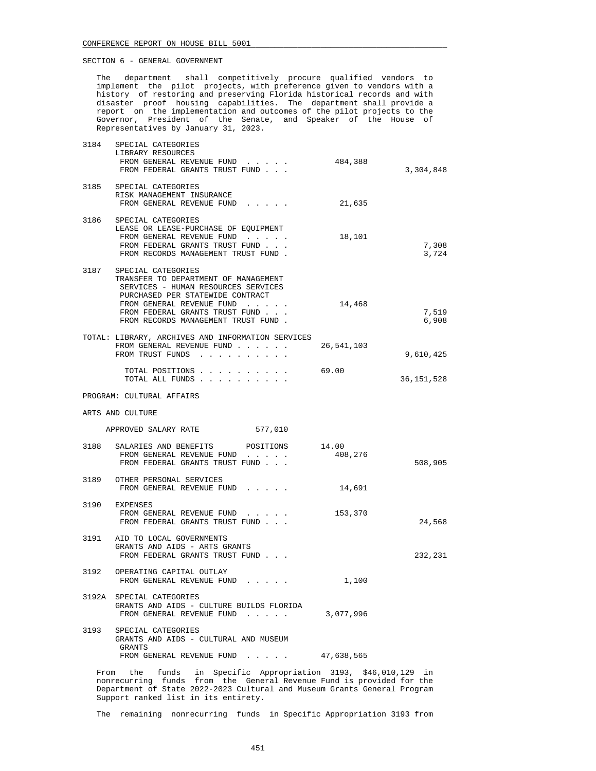The department shall competitively procure qualified vendors to implement the pilot projects, with preference given to vendors with a history of restoring and preserving Florida historical records and with disaster proof housing capabilities. The department shall provide a report on the implementation and outcomes of the pilot projects to the Governor, President of the Senate, and Speaker of the House of Representatives by January 31, 2023.

| 3184 | SPECIAL CATEGORIES<br>LIBRARY RESOURCES<br>FROM GENERAL REVENUE FUND 484,388<br>FROM FEDERAL GRANTS TRUST FUND                                                                                                                              |            | 3,304,848      |
|------|---------------------------------------------------------------------------------------------------------------------------------------------------------------------------------------------------------------------------------------------|------------|----------------|
|      | 3185 SPECIAL CATEGORIES<br>RISK MANAGEMENT INSURANCE<br>FROM GENERAL REVENUE FUND                                                                                                                                                           | 21,635     |                |
|      | 3186 SPECIAL CATEGORIES<br>LEASE OR LEASE-PURCHASE OF EQUIPMENT<br>FROM GENERAL REVENUE FUND<br>FROM FEDERAL GRANTS TRUST FUND<br>FROM RECORDS MANAGEMENT TRUST FUND.                                                                       | 18,101     | 7,308<br>3,724 |
| 3187 | SPECIAL CATEGORIES<br>TRANSFER TO DEPARTMENT OF MANAGEMENT<br>SERVICES - HUMAN RESOURCES SERVICES<br>PURCHASED PER STATEWIDE CONTRACT<br>FROM GENERAL REVENUE FUND<br>FROM FEDERAL GRANTS TRUST FUND<br>FROM RECORDS MANAGEMENT TRUST FUND. | 14,468     | 7,519<br>6,908 |
|      | TOTAL: LIBRARY, ARCHIVES AND INFORMATION SERVICES<br>FROM GENERAL REVENUE FUND<br>FROM TRUST FUNDS                                                                                                                                          | 26,541,103 | 9,610,425      |
|      | TOTAL POSITIONS<br>TOTAL ALL FUNDS                                                                                                                                                                                                          | 69.00      | 36, 151, 528   |
|      | PROGRAM: CULTURAL AFFAIRS                                                                                                                                                                                                                   |            |                |
|      | ARTS AND CULTURE                                                                                                                                                                                                                            |            |                |
|      | APPROVED SALARY RATE 577,010                                                                                                                                                                                                                |            |                |
|      | 3188 SALARIES AND BENEFITS POSITIONS 14.00<br>FROM GENERAL REVENUE FUND<br>FROM FEDERAL GRANTS TRUST FUND                                                                                                                                   | 408,276    | 508,905        |
|      | 3189 OTHER PERSONAL SERVICES<br>FROM GENERAL REVENUE FUND                                                                                                                                                                                   | 14,691     |                |
|      | 3190 EXPENSES<br>FROM GENERAL REVENUE FUND<br>FROM FEDERAL GRANTS TRUST FUND                                                                                                                                                                | 153,370    | 24,568         |
|      | 3191 AID TO LOCAL GOVERNMENTS<br>GRANTS AND AIDS - ARTS GRANTS<br>FROM FEDERAL GRANTS TRUST FUND                                                                                                                                            |            | 232,231        |
|      | 3192 OPERATING CAPITAL OUTLAY<br>FROM GENERAL REVENUE FUND                                                                                                                                                                                  | 1,100      |                |
|      | 3192A SPECIAL CATEGORIES<br>GRANTS AND AIDS - CULTURE BUILDS FLORIDA<br>FROM GENERAL REVENUE FUND                                                                                                                                           | 3,077,996  |                |
|      | 3193 SPECIAL CATEGORIES<br>GRANTS AND AIDS - CULTURAL AND MUSEUM<br>GRANTS<br>FROM GENERAL REVENUE FUND 47,638,565                                                                                                                          |            |                |
|      | From the funds in Specific Appropriation 3193, \$46,010,129 in                                                                                                                                                                              |            |                |

 nonrecurring funds from the General Revenue Fund is provided for the Department of State 2022-2023 Cultural and Museum Grants General Program Support ranked list in its entirety.

The remaining nonrecurring funds in Specific Appropriation 3193 from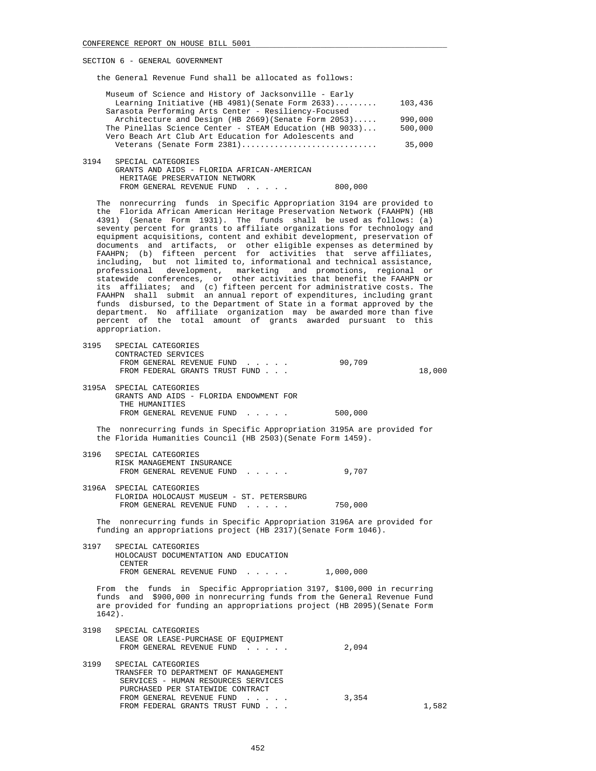|      | the General Revenue Fund shall be allocated as follows:                                                                                                                                                                                                                                                                                                                                                                                                                                                                                                                                                                                                                                                                                                                                                                                                                                                                                                                                                                                                                                                                               |           |                                         |
|------|---------------------------------------------------------------------------------------------------------------------------------------------------------------------------------------------------------------------------------------------------------------------------------------------------------------------------------------------------------------------------------------------------------------------------------------------------------------------------------------------------------------------------------------------------------------------------------------------------------------------------------------------------------------------------------------------------------------------------------------------------------------------------------------------------------------------------------------------------------------------------------------------------------------------------------------------------------------------------------------------------------------------------------------------------------------------------------------------------------------------------------------|-----------|-----------------------------------------|
|      | Museum of Science and History of Jacksonville - Early<br>Learning Initiative (HB 4981) (Senate Form 2633)<br>Sarasota Performing Arts Center - Resiliency-Focused<br>Architecture and Design (HB 2669) (Senate Form 2053)<br>The Pinellas Science Center - STEAM Education (HB 9033)<br>Vero Beach Art Club Art Education for Adolescents and<br>Veterans (Senate Form 2381)                                                                                                                                                                                                                                                                                                                                                                                                                                                                                                                                                                                                                                                                                                                                                          |           | 103,436<br>990,000<br>500,000<br>35,000 |
| 3194 | SPECIAL CATEGORIES<br>GRANTS AND AIDS - FLORIDA AFRICAN-AMERICAN<br>HERITAGE PRESERVATION NETWORK<br>FROM GENERAL REVENUE FUND 800,000                                                                                                                                                                                                                                                                                                                                                                                                                                                                                                                                                                                                                                                                                                                                                                                                                                                                                                                                                                                                |           |                                         |
|      | The nonrecurring funds in Specific Appropriation 3194 are provided to<br>the Florida African American Heritage Preservation Network (FAAHPN) (HB<br>4391) (Senate Form 1931). The funds shall be used as follows: (a)<br>seventy percent for grants to affiliate organizations for technology and<br>equipment acquisitions, content and exhibit development, preservation of<br>documents and artifacts, or other eligible expenses as determined by<br>FAAHPN; (b) fifteen percent for activities that serve affiliates,<br>including, but not limited to, informational and technical assistance,<br>professional development, marketing and promotions, regional<br>statewide conferences, or other activities that benefit the FAAHPN or<br>its affiliates; and (c) fifteen percent for administrative costs. The<br>FAAHPN shall submit an annual report of expenditures, including grant<br>funds disbursed, to the Department of State in a format approved by the<br>department. No affiliate organization may be awarded more than five<br>percent of the total amount of grants awarded pursuant to this<br>appropriation. |           |                                         |
|      | 3195 SPECIAL CATEGORIES<br>CONTRACTED SERVICES<br>FROM GENERAL REVENUE FUND<br>FROM FEDERAL GRANTS TRUST FUND                                                                                                                                                                                                                                                                                                                                                                                                                                                                                                                                                                                                                                                                                                                                                                                                                                                                                                                                                                                                                         | 90,709    | 18,000                                  |
|      | 3195A SPECIAL CATEGORIES<br>GRANTS AND AIDS - FLORIDA ENDOWMENT FOR<br>THE HUMANITIES<br>FROM GENERAL REVENUE FUND                                                                                                                                                                                                                                                                                                                                                                                                                                                                                                                                                                                                                                                                                                                                                                                                                                                                                                                                                                                                                    | 500,000   |                                         |
|      | The nonrecurring funds in Specific Appropriation 3195A are provided for<br>the Florida Humanities Council (HB 2503) (Senate Form 1459).                                                                                                                                                                                                                                                                                                                                                                                                                                                                                                                                                                                                                                                                                                                                                                                                                                                                                                                                                                                               |           |                                         |
| 3196 | SPECIAL CATEGORIES<br>RISK MANAGEMENT INSURANCE<br>FROM GENERAL REVENUE FUND                                                                                                                                                                                                                                                                                                                                                                                                                                                                                                                                                                                                                                                                                                                                                                                                                                                                                                                                                                                                                                                          | 9,707     |                                         |
|      | 3196A SPECIAL CATEGORIES<br>FLORIDA HOLOCAUST MUSEUM - ST. PETERSBURG<br>FROM GENERAL REVENUE FUND                                                                                                                                                                                                                                                                                                                                                                                                                                                                                                                                                                                                                                                                                                                                                                                                                                                                                                                                                                                                                                    | 750,000   |                                         |
|      | The nonrecurring funds in Specific Appropriation 3196A are provided for<br>funding an appropriations project (HB 2317) (Senate Form 1046).                                                                                                                                                                                                                                                                                                                                                                                                                                                                                                                                                                                                                                                                                                                                                                                                                                                                                                                                                                                            |           |                                         |
| 3197 | SPECIAL CATEGORIES<br>HOLOCAUST DOCUMENTATION AND EDUCATION<br>CENTER<br>FROM GENERAL REVENUE FUND                                                                                                                                                                                                                                                                                                                                                                                                                                                                                                                                                                                                                                                                                                                                                                                                                                                                                                                                                                                                                                    | 1,000,000 |                                         |
|      | From the funds in Specific Appropriation 3197, \$100,000 in recurring<br>funds and \$900,000 in nonrecurring funds from the General Revenue Fund<br>are provided for funding an appropriations project (HB 2095) (Senate Form<br>$1642$ .                                                                                                                                                                                                                                                                                                                                                                                                                                                                                                                                                                                                                                                                                                                                                                                                                                                                                             |           |                                         |
| 3198 | SPECIAL CATEGORIES<br>LEASE OR LEASE-PURCHASE OF EQUIPMENT<br>FROM GENERAL REVENUE FUND                                                                                                                                                                                                                                                                                                                                                                                                                                                                                                                                                                                                                                                                                                                                                                                                                                                                                                                                                                                                                                               | 2,094     |                                         |
| 3199 | SPECIAL CATEGORIES<br>TRANSFER TO DEPARTMENT OF MANAGEMENT                                                                                                                                                                                                                                                                                                                                                                                                                                                                                                                                                                                                                                                                                                                                                                                                                                                                                                                                                                                                                                                                            |           |                                         |

| . | UL DULAD UNIDUONIDU                  |       |       |
|---|--------------------------------------|-------|-------|
|   | TRANSFER TO DEPARTMENT OF MANAGEMENT |       |       |
|   | SERVICES - HUMAN RESOURCES SERVICES  |       |       |
|   | PURCHASED PER STATEWIDE CONTRACT     |       |       |
|   | FROM GENERAL REVENUE FUND            | 3.354 |       |
|   | FROM FEDERAL GRANTS TRUST FUND       |       | 1,582 |
|   |                                      |       |       |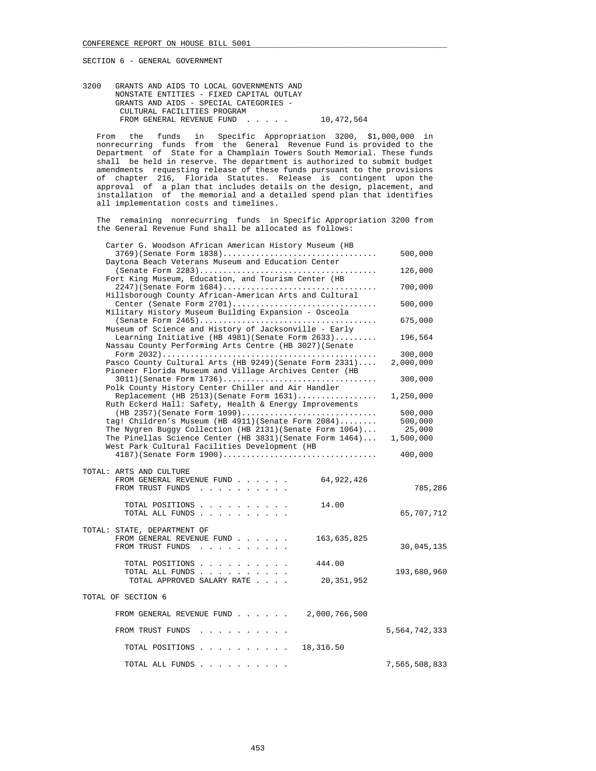3200 GRANTS AND AIDS TO LOCAL GOVERNMENTS AND NONSTATE ENTITIES - FIXED CAPITAL OUTLAY GRANTS AND AIDS - SPECIAL CATEGORIES - CULTURAL FACILITIES PROGRAM FROM GENERAL REVENUE FUND . . . . . 10,472,564

 From the funds in Specific Appropriation 3200, \$1,000,000 in nonrecurring funds from the General Revenue Fund is provided to the Department of State for a Champlain Towers South Memorial. These funds shall be held in reserve. The department is authorized to submit budget amendments requesting release of these funds pursuant to the provisions of chapter 216, Florida Statutes. Release is contingent upon the approval of a plan that includes details on the design, placement, and installation of the memorial and a detailed spend plan that identifies all implementation costs and timelines.

 The remaining nonrecurring funds in Specific Appropriation 3200 from the General Revenue Fund shall be allocated as follows:

| Carter G. Woodson African American History Museum (HB                                                             |               |
|-------------------------------------------------------------------------------------------------------------------|---------------|
| $3769$ (Senate Form $1838)$                                                                                       | 500,000       |
| Daytona Beach Veterans Museum and Education Center                                                                |               |
| Fort King Museum, Education, and Tourism Center (HB                                                               | 126,000       |
| 2247)(Senate Form 1684)                                                                                           | 700,000       |
| Hillsborough County African-American Arts and Cultural                                                            |               |
| Center (Senate Form 2701)                                                                                         | 500,000       |
| Military History Museum Building Expansion - Osceola                                                              |               |
|                                                                                                                   | 675,000       |
| Museum of Science and History of Jacksonville - Early                                                             |               |
| Learning Initiative (HB 4981) (Senate Form $2633)$                                                                | 196,564       |
| Nassau County Performing Arts Centre (HB 3027) (Senate                                                            |               |
|                                                                                                                   | 300,000       |
| Pasco County Cultural Arts (HB 9249) (Senate Form 2331)<br>Pioneer Florida Museum and Village Archives Center (HB | 2,000,000     |
| $3011$ ) (Senate Form $1736)$                                                                                     | 300,000       |
| Polk County History Center Chiller and Air Handler                                                                |               |
| Replacement (HB $2513$ ) (Senate Form $1631)$                                                                     | 1,250,000     |
| Ruth Eckerd Hall: Safety, Health & Energy Improvements                                                            |               |
| $(HB 2357)$ (Senate Form 1099)                                                                                    | 500,000       |
| tag! Children's Museum (HB 4911) (Senate Form 2084)                                                               | 500,000       |
| The Nygren Buggy Collection (HB 2131) (Senate Form 1064)                                                          | 25,000        |
| The Pinellas Science Center (HB 3831) (Senate Form 1464)                                                          | 1,500,000     |
| West Park Cultural Facilities Development (HB                                                                     |               |
| $4187$ ) (Senate Form $1900)$                                                                                     | 400,000       |
| TOTAL: ARTS AND CULTURE                                                                                           |               |
| FROM GENERAL REVENUE FUND<br>64,922,426                                                                           |               |
| FROM TRUST FUNDS                                                                                                  | 785,286       |
|                                                                                                                   |               |
| 14.00<br>TOTAL POSITIONS                                                                                          |               |
| TOTAL ALL FUNDS                                                                                                   | 65,707,712    |
|                                                                                                                   |               |
| TOTAL: STATE, DEPARTMENT OF<br>FROM GENERAL REVENUE FUND<br>163,635,825                                           |               |
| FROM TRUST FUNDS                                                                                                  | 30,045,135    |
|                                                                                                                   |               |
| TOTAL POSITIONS<br>444.00                                                                                         |               |
| TOTAL ALL FUNDS                                                                                                   | 193,680,960   |
| TOTAL APPROVED SALARY RATE<br>20,351,952                                                                          |               |
|                                                                                                                   |               |
| TOTAL OF SECTION 6                                                                                                |               |
| FROM GENERAL REVENUE FUND 2,000,766,500                                                                           |               |
|                                                                                                                   |               |
| FROM TRUST FUNDS                                                                                                  | 5,564,742,333 |
| 18,316.50<br>TOTAL POSITIONS                                                                                      |               |
|                                                                                                                   |               |
| TOTAL ALL FUNDS                                                                                                   | 7,565,508,833 |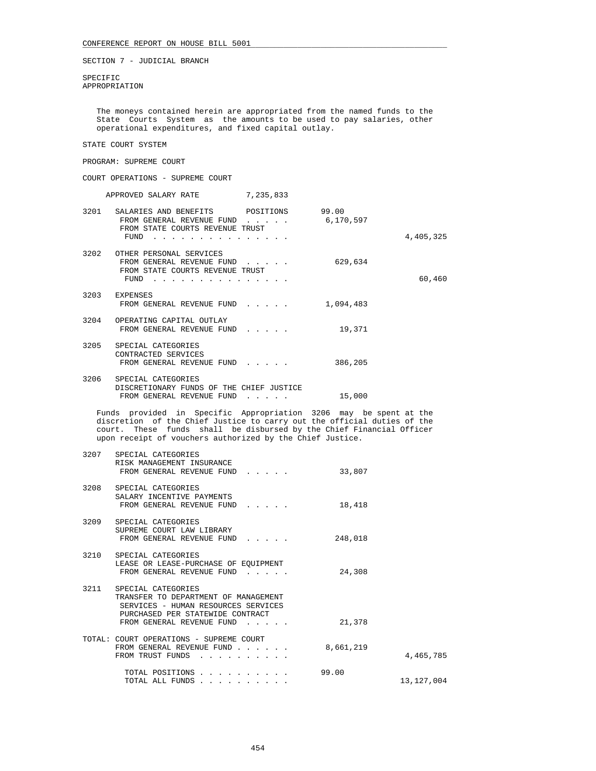SPECIFIC APPROPRIATION

 The moneys contained herein are appropriated from the named funds to the State Courts System as the amounts to be used to pay salaries, other operational expenditures, and fixed capital outlay.

## STATE COURT SYSTEM

## PROGRAM: SUPREME COURT

COURT OPERATIONS - SUPREME COURT

|      | APPROVED SALARY RATE                                                                                         | 7,235,833                                                        |                    |           |
|------|--------------------------------------------------------------------------------------------------------------|------------------------------------------------------------------|--------------------|-----------|
|      | 3201 SALARIES AND BENEFITS POSITIONS<br>FROM GENERAL REVENUE FUND<br>FROM STATE COURTS REVENUE TRUST<br>FUND | $\mathbf{r}$ and $\mathbf{r}$ and $\mathbf{r}$                   | 99.00<br>6,170,597 | 4,405,325 |
| 3202 | OTHER PERSONAL SERVICES<br>FROM GENERAL REVENUE FUND<br>FROM STATE COURTS REVENUE TRUST<br>FUND              |                                                                  | 629,634            | 60,460    |
|      | 3203 EXPENSES<br>FROM GENERAL REVENUE FUND                                                                   |                                                                  | 1,094,483          |           |
| 3204 | OPERATING CAPITAL OUTLAY<br>FROM GENERAL REVENUE FUND                                                        | $\mathbf{1}$ and $\mathbf{1}$ and $\mathbf{1}$ and $\mathbf{1}$  | 19,371             |           |
| 3205 | SPECIAL CATEGORIES<br>CONTRACTED SERVICES<br>FROM GENERAL REVENUE FUND                                       |                                                                  | 386,205            |           |
| 3206 | SPECIAL CATEGORIES<br>DISCRETIONARY FUNDS OF THE CHIEF JUSTICE<br>FROM GENERAL REVENUE FUND                  | $\mathbf{r} = \mathbf{r} \times \mathbf{r}$ , where $\mathbf{r}$ | 15,000             |           |

 Funds provided in Specific Appropriation 3206 may be spent at the discretion of the Chief Justice to carry out the official duties of the court. These funds shall be disbursed by the Chief Financial Officer upon receipt of vouchers authorized by the Chief Justice.

| 3208 SPECIAL CATEGORIES<br>SALARY INCENTIVE PAYMENTS<br>18,418<br>FROM GENERAL REVENUE FUND<br>3209 SPECIAL CATEGORIES<br>SUPREME COURT LAW LIBRARY<br>FROM GENERAL REVENUE FUND<br>248,018<br>3210 SPECIAL CATEGORIES<br>LEASE OR LEASE-PURCHASE OF EQUIPMENT<br>24,308<br>FROM GENERAL REVENUE FUND<br>3211 SPECIAL CATEGORIES<br>TRANSFER TO DEPARTMENT OF MANAGEMENT<br>SERVICES - HUMAN RESOURCES SERVICES<br>PURCHASED PER STATEWIDE CONTRACT<br>21,378<br>FROM GENERAL REVENUE FUND<br>TOTAL: COURT OPERATIONS - SUPREME COURT<br>8,661,219<br>FROM GENERAL REVENUE FUND<br>FROM TRUST FUNDS<br>.<br>99.00<br>TOTAL POSITIONS<br>TOTAL ALL FUNDS | 3207 | SPECIAL CATEGORIES<br>RISK MANAGEMENT INSURANCE<br>FROM GENERAL REVENUE FUND | 33,807 |            |
|---------------------------------------------------------------------------------------------------------------------------------------------------------------------------------------------------------------------------------------------------------------------------------------------------------------------------------------------------------------------------------------------------------------------------------------------------------------------------------------------------------------------------------------------------------------------------------------------------------------------------------------------------------|------|------------------------------------------------------------------------------|--------|------------|
|                                                                                                                                                                                                                                                                                                                                                                                                                                                                                                                                                                                                                                                         |      |                                                                              |        |            |
|                                                                                                                                                                                                                                                                                                                                                                                                                                                                                                                                                                                                                                                         |      |                                                                              |        |            |
|                                                                                                                                                                                                                                                                                                                                                                                                                                                                                                                                                                                                                                                         |      |                                                                              |        |            |
|                                                                                                                                                                                                                                                                                                                                                                                                                                                                                                                                                                                                                                                         |      |                                                                              |        |            |
|                                                                                                                                                                                                                                                                                                                                                                                                                                                                                                                                                                                                                                                         |      |                                                                              |        | 4,465,785  |
|                                                                                                                                                                                                                                                                                                                                                                                                                                                                                                                                                                                                                                                         |      |                                                                              |        | 13,127,004 |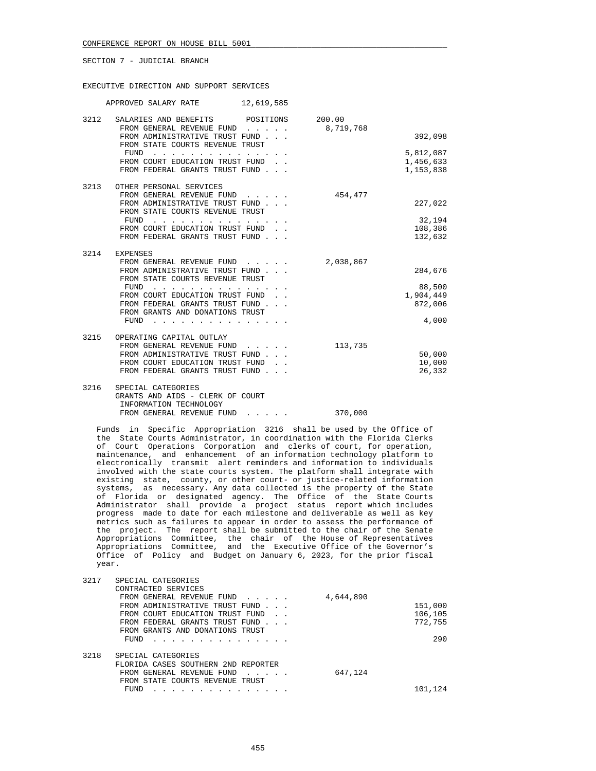## EXECUTIVE DIRECTION AND SUPPORT SERVICES

|      | 12,619,585<br>APPROVED SALARY RATE                                                                                                                                                                                                                                                                                                                                                                                                            |                     |                                                    |
|------|-----------------------------------------------------------------------------------------------------------------------------------------------------------------------------------------------------------------------------------------------------------------------------------------------------------------------------------------------------------------------------------------------------------------------------------------------|---------------------|----------------------------------------------------|
| 3212 | SALARIES AND BENEFITS POSITIONS<br>FROM GENERAL REVENUE FUND<br>$\mathbf{r}$ . The set of $\mathbf{r}$<br>FROM ADMINISTRATIVE TRUST FUND<br>FROM STATE COURTS REVENUE TRUST                                                                                                                                                                                                                                                                   | 200.00<br>8,719,768 | 392,098                                            |
|      | FUND<br>$\sim$ $\sim$ $\sim$ $\sim$<br>FROM COURT EDUCATION TRUST FUND.<br>FROM FEDERAL GRANTS TRUST FUND                                                                                                                                                                                                                                                                                                                                     |                     | 5,812,087<br>1,456,633<br>1,153,838                |
| 3213 | OTHER PERSONAL SERVICES<br>FROM GENERAL REVENUE FUND<br>FROM ADMINISTRATIVE TRUST FUND<br>FROM STATE COURTS REVENUE TRUST<br>FUND<br>$\mathcal{A}$ . The set of the set of the set of the set of the set of the set of the set of the set of the set of the set of the set of the set of the set of the set of the set of the set of the set of the set of the set of t<br>FROM COURT EDUCATION TRUST FUND.<br>FROM FEDERAL GRANTS TRUST FUND | 454,477             | 227,022<br>32,194<br>108,386<br>132,632            |
| 3214 | EXPENSES<br>FROM GENERAL REVENUE FUND<br>$\mathbf{r}$ . The set of the set of $\mathbf{r}$<br>FROM ADMINISTRATIVE TRUST FUND<br>FROM STATE COURTS REVENUE TRUST<br>FUND<br>FROM COURT EDUCATION TRUST FUND.<br>FROM FEDERAL GRANTS TRUST FUND<br>FROM GRANTS AND DONATIONS TRUST<br>FUND                                                                                                                                                      | 2,038,867           | 284,676<br>88,500<br>1,904,449<br>872,006<br>4,000 |
| 3215 | OPERATING CAPITAL OUTLAY<br>FROM GENERAL REVENUE FUND<br>$\mathbf{r}$ , $\mathbf{r}$ , $\mathbf{r}$ , $\mathbf{r}$<br>FROM ADMINISTRATIVE TRUST FUND<br>FROM COURT EDUCATION TRUST FUND<br>FROM FEDERAL GRANTS TRUST FUND                                                                                                                                                                                                                     | 113,735             | 50,000<br>10,000<br>26,332                         |
| 3216 | SPECIAL CATEGORIES<br>GRANTS AND AIDS - CLERK OF COURT<br>INFORMATION TECHNOLOGY                                                                                                                                                                                                                                                                                                                                                              |                     |                                                    |

FROM GENERAL REVENUE FUND . . . . . 370,000

 Funds in Specific Appropriation 3216 shall be used by the Office of the State Courts Administrator, in coordination with the Florida Clerks of Court Operations Corporation and clerks of court, for operation, maintenance, and enhancement of an information technology platform to electronically transmit alert reminders and information to individuals involved with the state courts system. The platform shall integrate with existing state, county, or other court- or justice-related information systems, as necessary. Any data collected is the property of the State of Florida or designated agency. The Office of the State Courts Administrator shall provide a project status report which includes progress made to date for each milestone and deliverable as well as key metrics such as failures to appear in order to assess the performance of the project. The report shall be submitted to the chair of the Senate Appropriations Committee, the chair of the House of Representatives Appropriations Committee, and the Executive Office of the Governor's Office of Policy and Budget on January 6, 2023, for the prior fiscal year.

| SPECIAL CATEGORIES<br>CONTRACTED SERVICES |           |         |
|-------------------------------------------|-----------|---------|
| FROM GENERAL REVENUE FUND                 | 4,644,890 |         |
| FROM ADMINISTRATIVE TRUST FUND            |           | 151,000 |
| FROM COURT EDUCATION TRUST FUND           |           | 106,105 |
| FROM FEDERAL GRANTS TRUST FUND            |           | 772,755 |
| FROM GRANTS AND DONATIONS TRUST           |           |         |
| FUND                                      |           | 290     |
| SPECIAL CATEGORIES                        |           |         |
| FLORIDA CASES SOUTHERN 2ND REPORTER       |           |         |
| FROM GENERAL REVENUE FUND                 | 647,124   |         |
| FROM STATE COURTS REVENUE TRUST           |           |         |
| FUND                                      |           | 101,124 |
|                                           |           |         |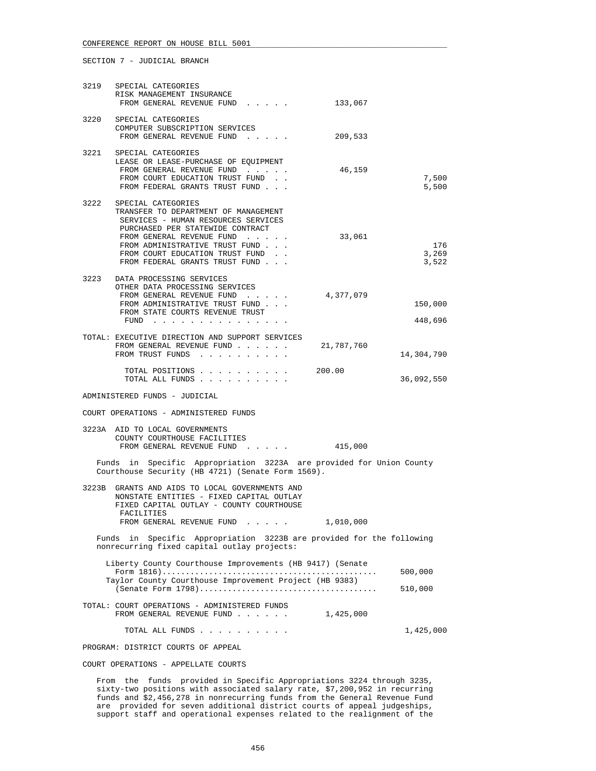|      | 3219 SPECIAL CATEGORIES<br>RISK MANAGEMENT INSURANCE<br>FROM GENERAL REVENUE FUND                                                                                                                                                                                          | 133,067    |                       |
|------|----------------------------------------------------------------------------------------------------------------------------------------------------------------------------------------------------------------------------------------------------------------------------|------------|-----------------------|
| 3220 | SPECIAL CATEGORIES<br>COMPUTER SUBSCRIPTION SERVICES<br>FROM GENERAL REVENUE FUND                                                                                                                                                                                          | 209,533    |                       |
| 3221 | SPECIAL CATEGORIES<br>LEASE OR LEASE-PURCHASE OF EQUIPMENT<br>FROM GENERAL REVENUE FUND<br>FROM COURT EDUCATION TRUST FUND.<br>FROM FEDERAL GRANTS TRUST FUND                                                                                                              | 46,159     | 7,500<br>5,500        |
| 3222 | SPECIAL CATEGORIES<br>TRANSFER TO DEPARTMENT OF MANAGEMENT<br>SERVICES - HUMAN RESOURCES SERVICES<br>PURCHASED PER STATEWIDE CONTRACT<br>FROM GENERAL REVENUE FUND<br>FROM ADMINISTRATIVE TRUST FUND<br>FROM COURT EDUCATION TRUST FUND.<br>FROM FEDERAL GRANTS TRUST FUND | 33,061     | 176<br>3,269<br>3,522 |
|      | 3223 DATA PROCESSING SERVICES<br>OTHER DATA PROCESSING SERVICES<br>FROM GENERAL REVENUE FUND<br>FROM ADMINISTRATIVE TRUST FUND<br>FROM STATE COURTS REVENUE TRUST<br>FUND                                                                                                  | 4,377,079  | 150,000<br>448,696    |
|      | TOTAL: EXECUTIVE DIRECTION AND SUPPORT SERVICES<br>FROM GENERAL REVENUE FUND<br>FROM TRUST FUNDS                                                                                                                                                                           | 21,787,760 | 14,304,790            |
|      | TOTAL POSITIONS<br>TOTAL ALL FUNDS                                                                                                                                                                                                                                         | 200.00     | 36,092,550            |
|      | ADMINISTERED FUNDS - JUDICIAL                                                                                                                                                                                                                                              |            |                       |
|      | COURT OPERATIONS - ADMINISTERED FUNDS                                                                                                                                                                                                                                      |            |                       |
|      | 3223A AID TO LOCAL GOVERNMENTS<br>COUNTY COURTHOUSE FACILITIES<br>FROM GENERAL REVENUE FUND 415,000                                                                                                                                                                        |            |                       |
|      | Funds in Specific Appropriation 3223A are provided for Union County<br>Courthouse Security (HB 4721) (Senate Form 1569).                                                                                                                                                   |            |                       |
|      | 3223B GRANTS AND AIDS TO LOCAL GOVERNMENTS AND<br>NONSTATE ENTITIES - FIXED CAPITAL OUTLAY<br>FIXED CAPITAL OUTLAY - COUNTY COURTHOUSE<br>FACILITIES                                                                                                                       |            |                       |
|      | FROM GENERAL REVENUE FUND                                                                                                                                                                                                                                                  | 1,010,000  |                       |
|      | Funds in Specific Appropriation 3223B are provided for the following<br>nonrecurring fixed capital outlay projects:                                                                                                                                                        |            |                       |
|      | Liberty County Courthouse Improvements (HB 9417) (Senate<br>Taylor County Courthouse Improvement Project (HB 9383)                                                                                                                                                         |            | 500,000<br>510,000    |
|      | TOTAL: COURT OPERATIONS - ADMINISTERED FUNDS<br>FROM GENERAL REVENUE FUND                                                                                                                                                                                                  | 1,425,000  |                       |
|      | TOTAL ALL FUNDS                                                                                                                                                                                                                                                            |            | 1,425,000             |
|      | PROGRAM: DISTRICT COURTS OF APPEAL                                                                                                                                                                                                                                         |            |                       |
|      | COURT OPERATIONS - APPELLATE COURTS                                                                                                                                                                                                                                        |            |                       |

 From the funds provided in Specific Appropriations 3224 through 3235, sixty-two positions with associated salary rate, \$7,200,952 in recurring funds and \$2,456,278 in nonrecurring funds from the General Revenue Fund are provided for seven additional district courts of appeal judgeships, support staff and operational expenses related to the realignment of the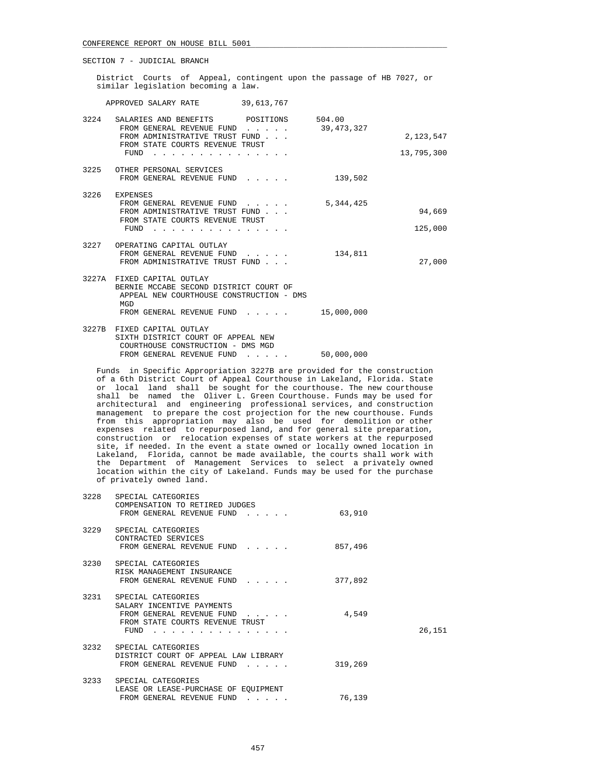District Courts of Appeal, contingent upon the passage of HB 7027, or similar legislation becoming a law.

APPROVED SALARY RATE 39,613,767

| 3224 | SALARIES AND BENEFITS POSITIONS<br>FROM GENERAL REVENUE FUND                                                            | $\cdot$ $\cdot$ $\cdot$ $\cdot$ $\cdot$        | 504.00<br>39,473,327 |            |
|------|-------------------------------------------------------------------------------------------------------------------------|------------------------------------------------|----------------------|------------|
|      | FROM ADMINISTRATIVE TRUST FUND<br>FROM STATE COURTS REVENUE TRUST                                                       |                                                |                      | 2,123,547  |
|      | FUND                                                                                                                    |                                                |                      | 13,795,300 |
| 3225 | OTHER PERSONAL SERVICES<br>FROM GENERAL REVENUE FUND                                                                    |                                                | 139,502              |            |
| 3226 | EXPENSES                                                                                                                |                                                |                      |            |
|      | FROM GENERAL REVENUE FUND<br>FROM ADMINISTRATIVE TRUST FUND                                                             | $\mathbf{r}$ and $\mathbf{r}$ and $\mathbf{r}$ | 5,344,425            | 94,669     |
|      | FROM STATE COURTS REVENUE TRUST<br>FUND                                                                                 |                                                |                      | 125,000    |
| 3227 | OPERATING CAPITAL OUTLAY<br>FROM GENERAL REVENUE FUND<br>FROM ADMINISTRATIVE TRUST FUND                                 |                                                | 134,811              | 27,000     |
|      |                                                                                                                         |                                                |                      |            |
|      | 3227A FIXED CAPITAL OUTLAY<br>BERNIE MCCABE SECOND DISTRICT COURT OF<br>APPEAL NEW COURTHOUSE CONSTRUCTION - DMS<br>MGD |                                                |                      |            |
|      | FROM GENERAL REVENUE FUND                                                                                               |                                                | 15,000,000           |            |
|      | 3227B FIXED CAPITAL OUTLAY<br>SIXTH DISTRICT COURT OF APPEAL NEW<br>COURTHOUSE CONSTRUCTION - DMS MGD                   |                                                |                      |            |
|      | FROM GENERAL REVENUE FUND                                                                                               | .                                              | 50,000,000           |            |

 Funds in Specific Appropriation 3227B are provided for the construction of a 6th District Court of Appeal Courthouse in Lakeland, Florida. State or local land shall be sought for the courthouse. The new courthouse shall be named the Oliver L. Green Courthouse. Funds may be used for architectural and engineering professional services, and construction management to prepare the cost projection for the new courthouse. Funds from this appropriation may also be used for demolition or other expenses related to repurposed land, and for general site preparation, construction or relocation expenses of state workers at the repurposed site, if needed. In the event a state owned or locally owned location in Lakeland, Florida, cannot be made available, the courts shall work with the Department of Management Services to select a privately owned location within the city of Lakeland. Funds may be used for the purchase of privately owned land.

| 3228 | SPECIAL CATEGORIES<br>COMPENSATION TO RETIRED JUDGES<br>FROM GENERAL REVENUE FUND                                                                                | 63,910  |        |
|------|------------------------------------------------------------------------------------------------------------------------------------------------------------------|---------|--------|
|      | 3229 SPECIAL CATEGORIES<br>CONTRACTED SERVICES<br>FROM GENERAL REVENUE FUND                                                                                      | 857,496 |        |
|      | 3230 SPECIAL CATEGORIES<br>RISK MANAGEMENT INSURANCE<br>FROM GENERAL REVENUE FUND                                                                                | 377,892 |        |
|      | 3231 SPECIAL CATEGORIES<br>SALARY INCENTIVE PAYMENTS<br>FROM GENERAL REVENUE FUND<br>FROM STATE COURTS REVENUE TRUST<br>FUND                                     | 4,549   | 26,151 |
|      | 3232 SPECIAL CATEGORIES<br>DISTRICT COURT OF APPEAL LAW LIBRARY<br>FROM GENERAL REVENUE FUND                                                                     | 319,269 |        |
|      | 3233 SPECIAL CATEGORIES<br>LEASE OR LEASE-PURCHASE OF EOUIPMENT<br>FROM GENERAL REVENUE FUND<br>$\mathbf{z} = \mathbf{z} + \mathbf{z} + \mathbf{z} + \mathbf{z}$ | 76,139  |        |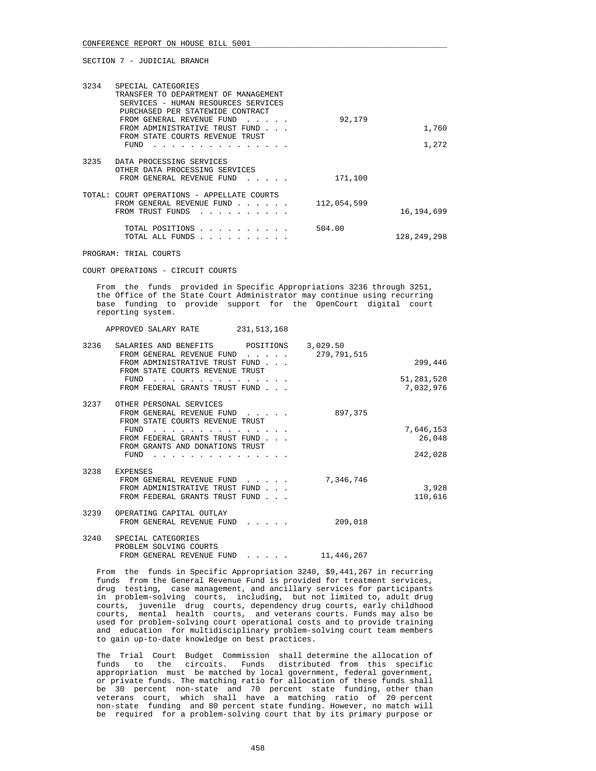| 3234   | SPECIAL CATEGORIES<br>TRANSFER TO DEPARTMENT OF MANAGEMENT<br>SERVICES - HUMAN RESOURCES SERVICES<br>PURCHASED PER STATEWIDE CONTRACT<br>FROM GENERAL REVENUE FUND<br>FROM ADMINISTRATIVE TRUST FUND<br>FROM STATE COURTS REVENUE TRUST<br>FUND | 92,179      | 1,760<br>1,272 |
|--------|-------------------------------------------------------------------------------------------------------------------------------------------------------------------------------------------------------------------------------------------------|-------------|----------------|
| 3235   | DATA PROCESSING SERVICES<br>OTHER DATA PROCESSING SERVICES<br>FROM GENERAL REVENUE FUND                                                                                                                                                         | 171,100     |                |
| TOTAL: | COURT OPERATIONS - APPELLATE COURTS<br>FROM GENERAL REVENUE FUND<br>FROM TRUST FUNDS                                                                                                                                                            | 112,054,599 | 16,194,699     |
|        | TOTAL POSITIONS<br>.<br>TOTAL ALL FUNDS<br>$\sim$ $\sim$ $\sim$ $\sim$ $\sim$ $\sim$                                                                                                                                                            | 504.00      | 128,249,298    |

PROGRAM: TRIAL COURTS

COURT OPERATIONS - CIRCUIT COURTS

 From the funds provided in Specific Appropriations 3236 through 3251, the Office of the State Court Administrator may continue using recurring base funding to provide support for the OpenCourt digital court reporting system.

APPROVED SALARY RATE 231,513,168

| 3236 | SALARIES AND BENEFITS           | POSITIONS | 3,029.50    |            |
|------|---------------------------------|-----------|-------------|------------|
|      | FROM GENERAL REVENUE FUND       |           | 279,791,515 |            |
|      | FROM ADMINISTRATIVE TRUST FUND  |           |             | 299,446    |
|      | FROM STATE COURTS REVENUE TRUST |           |             |            |
|      | FUND                            |           |             | 51,281,528 |
|      | FROM FEDERAL GRANTS TRUST FUND  |           |             | 7,032,976  |
|      |                                 |           |             |            |
| 3237 | OTHER PERSONAL SERVICES         |           |             |            |
|      | FROM GENERAL REVENUE FUND       |           | 897,375     |            |
|      | FROM STATE COURTS REVENUE TRUST |           |             |            |
|      | FUND                            |           |             | 7,646,153  |
|      | FROM FEDERAL GRANTS TRUST FUND  |           |             | 26,048     |
|      | FROM GRANTS AND DONATIONS TRUST |           |             |            |
|      | FUND                            |           |             | 242,028    |
|      |                                 |           |             |            |
| 3238 | <b>EXPENSES</b>                 |           |             |            |
|      | FROM GENERAL REVENUE FUND       |           | 7,346,746   |            |
|      | FROM ADMINISTRATIVE TRUST FUND  |           |             | 3,928      |
|      | FROM FEDERAL GRANTS TRUST FUND  |           |             | 110,616    |
|      |                                 |           |             |            |
| 3239 | OPERATING CAPITAL OUTLAY        |           |             |            |
|      | FROM GENERAL REVENUE FUND       |           | 209,018     |            |
|      |                                 |           |             |            |
| 3240 | SPECIAL CATEGORIES              |           |             |            |
|      | PROBLEM SOLVING COURTS          |           |             |            |
|      | FROM GENERAL REVENUE FUND       |           | 11,446,267  |            |
|      |                                 |           |             |            |

 From the funds in Specific Appropriation 3240, \$9,441,267 in recurring funds from the General Revenue Fund is provided for treatment services, drug testing, case management, and ancillary services for participants in problem-solving courts, including, but not limited to, adult drug courts, juvenile drug courts, dependency drug courts, early childhood courts, mental health courts, and veterans courts. Funds may also be used for problem-solving court operational costs and to provide training and education for multidisciplinary problem-solving court team members to gain up-to-date knowledge on best practices.

 The Trial Court Budget Commission shall determine the allocation of funds to the circuits. Funds distributed from this specific appropriation must be matched by local government, federal government, or private funds. The matching ratio for allocation of these funds shall be 30 percent non-state and 70 percent state funding, other than veterans court, which shall have a matching ratio of 20 percent non-state funding and 80 percent state funding. However, no match will be required for a problem-solving court that by its primary purpose or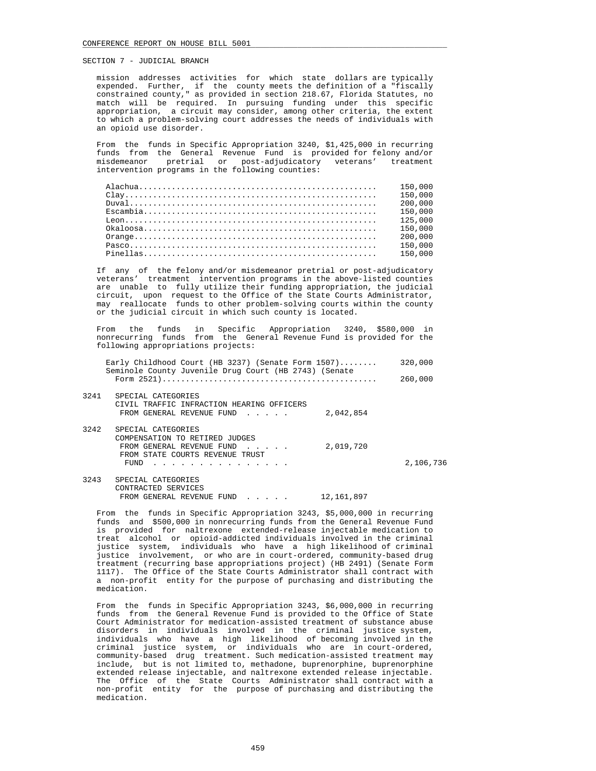mission addresses activities for which state dollars are typically expended. Further, if the county meets the definition of a "fiscally constrained county," as provided in section 218.67, Florida Statutes, no match will be required. In pursuing funding under this specific appropriation, a circuit may consider, among other criteria, the extent to which a problem-solving court addresses the needs of individuals with an opioid use disorder.

 From the funds in Specific Appropriation 3240, \$1,425,000 in recurring funds from the General Revenue Fund is provided for felony and/or misdemeanor pretrial or post-adjudicatory veterans' treatment intervention programs in the following counties:

|            | 150,000 |
|------------|---------|
|            | 150,000 |
|            | 200.000 |
|            | 150.000 |
|            | 125,000 |
|            | 150,000 |
|            | 200,000 |
|            | 150,000 |
| $Pinellas$ | 150.000 |
|            |         |

 If any of the felony and/or misdemeanor pretrial or post-adjudicatory veterans' treatment intervention programs in the above-listed counties are unable to fully utilize their funding appropriation, the judicial circuit, upon request to the Office of the State Courts Administrator, may reallocate funds to other problem-solving courts within the county or the judicial circuit in which such county is located.

 From the funds in Specific Appropriation 3240, \$580,000 in nonrecurring funds from the General Revenue Fund is provided for the following appropriations projects:

|      | Early Childhood Court (HB 3237) (Senate Form 1507)<br>Seminole County Juvenile Drug Court (HB 2743) (Senate                           |            | 320,000   |
|------|---------------------------------------------------------------------------------------------------------------------------------------|------------|-----------|
|      |                                                                                                                                       |            | 260,000   |
| 3241 | SPECIAL CATEGORIES                                                                                                                    |            |           |
|      | CIVIL TRAFFIC INFRACTION HEARING OFFICERS                                                                                             |            |           |
|      | FROM GENERAL REVENUE FUND                                                                                                             | 2,042,854  |           |
| 3242 | SPECIAL CATEGORIES                                                                                                                    |            |           |
|      | COMPENSATION TO RETIRED JUDGES                                                                                                        |            |           |
|      | FROM GENERAL REVENUE FUND                                                                                                             | 2,019,720  |           |
|      | FROM STATE COURTS REVENUE TRUST                                                                                                       |            |           |
|      | FUND                                                                                                                                  |            | 2,106,736 |
| 3243 | SPECIAL CATEGORIES                                                                                                                    |            |           |
|      | CONTRACTED SERVICES                                                                                                                   |            |           |
|      | FROM GENERAL REVENUE FUND<br>$\mathcal{L}^{\mathcal{A}}$ and $\mathcal{L}^{\mathcal{A}}$ are $\mathcal{L}^{\mathcal{A}}$ . Then, then | 12,161,897 |           |
|      |                                                                                                                                       |            |           |

 From the funds in Specific Appropriation 3243, \$5,000,000 in recurring funds and \$500,000 in nonrecurring funds from the General Revenue Fund is provided for naltrexone extended-release injectable medication to treat alcohol or opioid-addicted individuals involved in the criminal justice system, individuals who have a high likelihood of criminal justice involvement, or who are in court-ordered, community-based drug treatment (recurring base appropriations project) (HB 2491) (Senate Form 1117). The Office of the State Courts Administrator shall contract with a non-profit entity for the purpose of purchasing and distributing the medication.

 From the funds in Specific Appropriation 3243, \$6,000,000 in recurring funds from the General Revenue Fund is provided to the Office of State Court Administrator for medication-assisted treatment of substance abuse disorders in individuals involved in the criminal justice system, individuals who have a high likelihood of becoming involved in the criminal justice system, or individuals who are in court-ordered, community-based drug treatment. Such medication-assisted treatment may include, but is not limited to, methadone, buprenorphine, buprenorphine extended release injectable, and naltrexone extended release injectable. The Office of the State Courts Administrator shall contract with a non-profit entity for the purpose of purchasing and distributing the medication.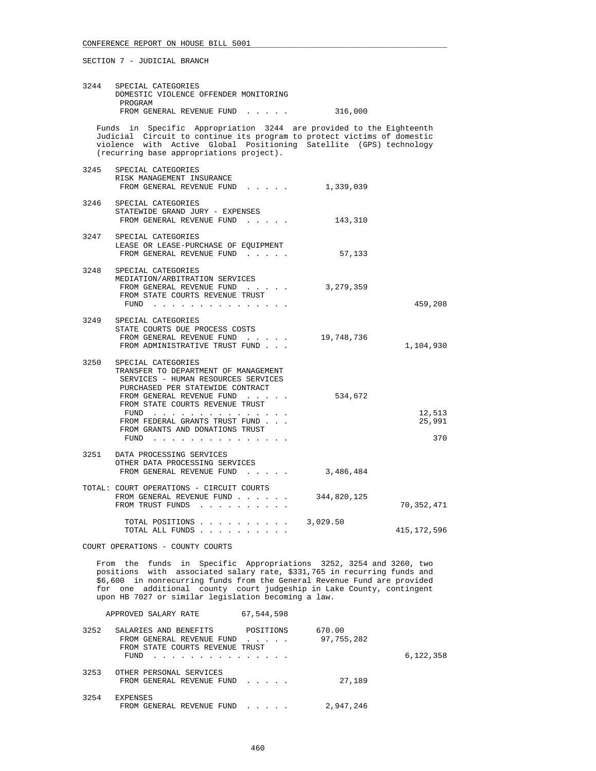| 3244 | SPECIAL CATEGORIES<br>DOMESTIC VIOLENCE OFFENDER MONITORING<br>PROGRAM                                                                                                                                                                                                                                                                                |                           |                         |
|------|-------------------------------------------------------------------------------------------------------------------------------------------------------------------------------------------------------------------------------------------------------------------------------------------------------------------------------------------------------|---------------------------|-------------------------|
|      | FROM GENERAL REVENUE FUND 316,000                                                                                                                                                                                                                                                                                                                     |                           |                         |
|      | Funds in Specific Appropriation 3244 are provided to the Eighteenth<br>Judicial Circuit to continue its program to protect victims of domestic<br>violence with Active Global Positioning Satellite (GPS) technology<br>(recurring base appropriations project).                                                                                      |                           |                         |
|      | 3245 SPECIAL CATEGORIES<br>RISK MANAGEMENT INSURANCE<br>FROM GENERAL REVENUE FUND 1,339,039                                                                                                                                                                                                                                                           |                           |                         |
| 3246 | SPECIAL CATEGORIES<br>STATEWIDE GRAND JURY - EXPENSES<br>FROM GENERAL REVENUE FUND 143,310                                                                                                                                                                                                                                                            |                           |                         |
|      | 3247 SPECIAL CATEGORIES<br>LEASE OR LEASE-PURCHASE OF EOUIPMENT<br>FROM GENERAL REVENUE FUND                                                                                                                                                                                                                                                          | 57,133                    |                         |
| 3248 | SPECIAL CATEGORIES<br>MEDIATION/ARBITRATION SERVICES<br>FROM GENERAL REVENUE FUND<br>FROM STATE COURTS REVENUE TRUST                                                                                                                                                                                                                                  | 3,279,359<br>459,208      |                         |
| 3249 | SPECIAL CATEGORIES<br>STATE COURTS DUE PROCESS COSTS<br>FROM GENERAL REVENUE FUND<br>FROM ADMINISTRATIVE TRUST FUND                                                                                                                                                                                                                                   | 19,748,736<br>1,104,930   |                         |
|      | 3250 SPECIAL CATEGORIES<br>TRANSFER TO DEPARTMENT OF MANAGEMENT<br>SERVICES - HUMAN RESOURCES SERVICES<br>PURCHASED PER STATEWIDE CONTRACT<br>FROM GENERAL REVENUE FUND<br>FROM STATE COURTS REVENUE TRUST<br>FUND<br>FROM FEDERAL GRANTS TRUST FUND<br>FROM GRANTS AND DONATIONS TRUST<br>FUND $\cdots$ $\cdots$ $\cdots$ $\cdots$ $\cdots$ $\cdots$ | 534,672                   | 12,513<br>25,991<br>370 |
|      | 3251 DATA PROCESSING SERVICES<br>OTHER DATA PROCESSING SERVICES<br>FROM GENERAL REVENUE FUND                                                                                                                                                                                                                                                          | 3,486,484                 |                         |
|      | TOTAL: COURT OPERATIONS - CIRCUIT COURTS<br>FROM GENERAL REVENUE FUND<br>FROM TRUST FUNDS                                                                                                                                                                                                                                                             | 344,820,125<br>70,352,471 |                         |
|      | TOTAL POSITIONS $\ldots$ , $\ldots$ , $\ldots$ , 3,029.50<br>TOTAL ALL FUNDS                                                                                                                                                                                                                                                                          | 415, 172, 596             |                         |

COURT OPERATIONS - COUNTY COURTS

 From the funds in Specific Appropriations 3252, 3254 and 3260, two positions with associated salary rate, \$331,765 in recurring funds and \$6,600 in nonrecurring funds from the General Revenue Fund are provided for one additional county court judgeship in Lake County, contingent upon HB 7027 or similar legislation becoming a law.

|      | APPROVED SALARY RATE                                                                               | 67,544,598                                                               |                      |           |
|------|----------------------------------------------------------------------------------------------------|--------------------------------------------------------------------------|----------------------|-----------|
| 3252 | SALARIES AND BENEFITS<br>FROM GENERAL REVENUE FUND<br>FROM STATE COURTS REVENUE TRUST<br>FUND<br>. | POSITIONS<br>$\mathbf{r}$ , $\mathbf{r}$ , $\mathbf{r}$ , $\mathbf{r}$   | 670.00<br>97,755,282 | 6,122,358 |
| 3253 | OTHER PERSONAL SERVICES<br>FROM GENERAL REVENUE FUND                                               | $\mathbf{r}$ , $\mathbf{r}$ , $\mathbf{r}$ , $\mathbf{r}$                | 27,189               |           |
| 3254 | <b>EXPENSES</b><br>FROM GENERAL REVENUE FUND                                                       | $\mathbf{r}$ , $\mathbf{r}$ , $\mathbf{r}$ , $\mathbf{r}$ , $\mathbf{r}$ | 2,947,246            |           |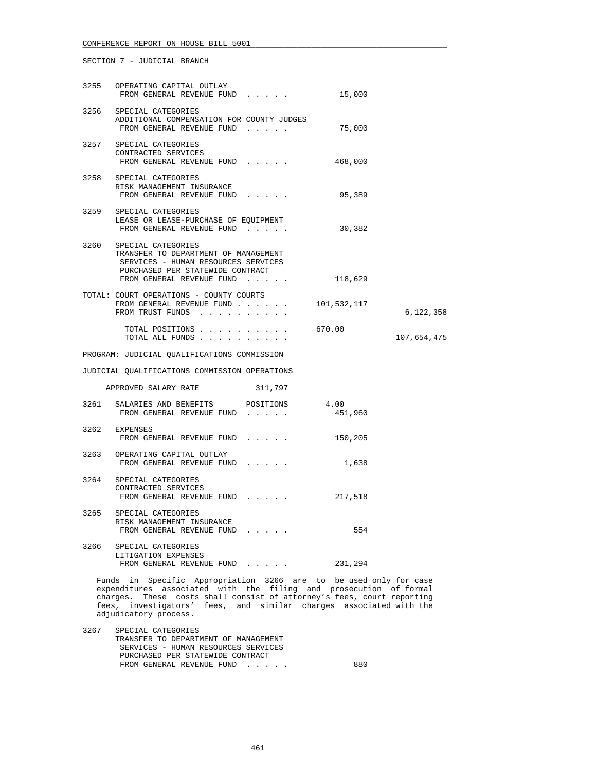|      | 3255 OPERATING CAPITAL OUTLAY<br>FROM GENERAL REVENUE FUND                                                                                                                                                                                | 15,000          |             |
|------|-------------------------------------------------------------------------------------------------------------------------------------------------------------------------------------------------------------------------------------------|-----------------|-------------|
|      | 3256 SPECIAL CATEGORIES<br>${\small \bf ADDITIONAL \ \textrm{COMPENSATION \ \tFOR \ \textrm{COUNTY \ \tJUDGES}}\begin{tabular}{lcccccc} \textbf{ADDITION} & \textbf{FOR} & \textbf{COUNTY \ \tJUDGES} & \textbf{75,000} \\ \end{tabular}$ |                 |             |
|      | 3257 SPECIAL CATEGORIES<br>CONTRACTED SERVICES<br>FROM GENERAL REVENUE FUND                                                                                                                                                               | 468,000         |             |
|      | 3258 SPECIAL CATEGORIES<br>RISK MANAGEMENT INSURANCE<br>FROM GENERAL REVENUE FUND 95,389                                                                                                                                                  |                 |             |
|      | 3259 SPECIAL CATEGORIES<br>LEASE OR LEASE-PURCHASE OF EQUIPMENT<br>FROM GENERAL REVENUE FUND                                                                                                                                              | 30,382          |             |
| 3260 | SPECIAL CATEGORIES<br>TRANSFER TO DEPARTMENT OF MANAGEMENT<br>SERVICES - HUMAN RESOURCES SERVICES<br>PURCHASED PER STATEWIDE CONTRACT<br>FROM GENERAL REVENUE FUND                                                                        | 118,629         |             |
|      | TOTAL: COURT OPERATIONS - COUNTY COURTS<br>FROM GENERAL REVENUE FUND<br>FROM TRUST FUNDS                                                                                                                                                  | 101,532,117     | 6,122,358   |
|      | TOTAL POSITIONS                                                                                                                                                                                                                           | 670.00          | 107,654,475 |
|      | PROGRAM: JUDICIAL QUALIFICATIONS COMMISSION                                                                                                                                                                                               |                 |             |
|      | JUDICIAL QUALIFICATIONS COMMISSION OPERATIONS                                                                                                                                                                                             |                 |             |
|      | APPROVED SALARY RATE<br>311,797                                                                                                                                                                                                           |                 |             |
|      | 3261 SALARIES AND BENEFITS POSITIONS<br>FROM GENERAL REVENUE FUND                                                                                                                                                                         | 4.00<br>451,960 |             |
|      | 3262 EXPENSES<br>FROM GENERAL REVENUE FUND                                                                                                                                                                                                | 150,205         |             |
|      | 3263 OPERATING CAPITAL OUTLAY<br>FROM GENERAL REVENUE FUND                                                                                                                                                                                | 1,638           |             |
|      | 3264 SPECIAL CATEGORIES<br>CONTRACTED SERVICES<br>FROM GENERAL REVENUE FUND                                                                                                                                                               | 217,518         |             |
|      | 3265 SPECIAL CATEGORIES<br>RISK MANAGEMENT INSURANCE<br>FROM GENERAL REVENUE FUND                                                                                                                                                         | 554             |             |
| 3266 | SPECIAL CATEGORIES<br>LITIGATION EXPENSES                                                                                                                                                                                                 |                 |             |
|      | FROM GENERAL REVENUE FUND 231,294                                                                                                                                                                                                         |                 |             |

 Funds in Specific Appropriation 3266 are to be used only for case expenditures associated with the filing and prosecution of formal charges. These costs shall consist of attorney's fees, court reporting fees, investigators' fees, and similar charges associated with the adjudicatory process.

| 3267 | SPECIAL CATEGORIES                   |     |
|------|--------------------------------------|-----|
|      | TRANSFER TO DEPARTMENT OF MANAGEMENT |     |
|      | SERVICES - HUMAN RESOURCES SERVICES  |     |
|      | PURCHASED PER STATEWIDE CONTRACT     |     |
|      | FROM GENERAL REVENUE FUND            | 880 |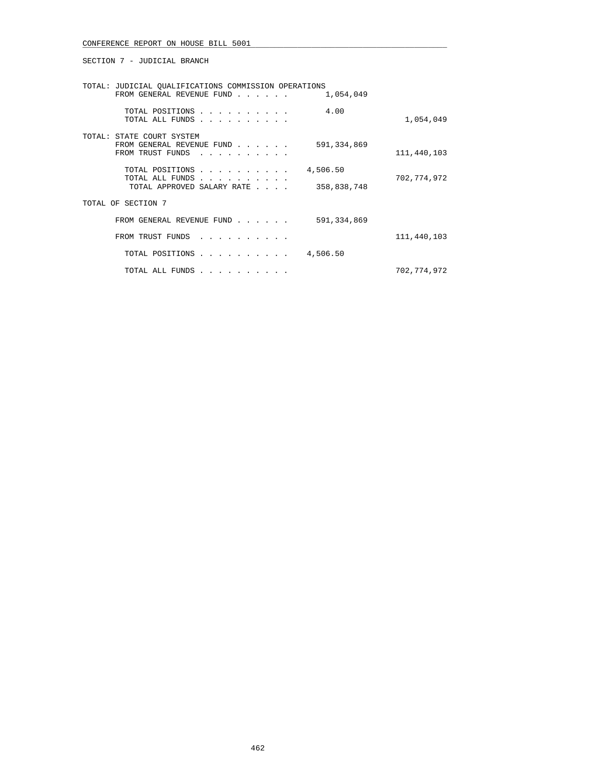SECTION 7 - JUDICIAL BRANCH

| TOTAL: JUDICIAL OUALIFICATIONS COMMISSION OPERATIONS                                        |             |
|---------------------------------------------------------------------------------------------|-------------|
| 1,054,049<br>FROM GENERAL REVENUE FUND<br>$\sim$ $\sim$ $\sim$ $\sim$ $\sim$                |             |
| 4.00<br>TOTAL POSITIONS<br>TOTAL ALL FUNDS                                                  | 1,054,049   |
| TOTAL: STATE COURT SYSTEM<br>FROM GENERAL REVENUE FUND<br>591,334,869<br>FROM TRUST FUNDS   | 111,440,103 |
| 4,506.50<br>TOTAL POSITIONS<br>TOTAL ALL FUNDS<br>TOTAL APPROVED SALARY RATE<br>358,838,748 | 702,774,972 |
| TOTAL OF SECTION 7                                                                          |             |
| 591,334,869<br>FROM GENERAL REVENUE FUND                                                    |             |
| FROM TRUST FUNDS<br>and a series and a series of                                            | 111,440,103 |
| 4,506.50<br>TOTAL POSITIONS                                                                 |             |
| TOTAL ALL FUNDS                                                                             | 702,774,972 |
|                                                                                             |             |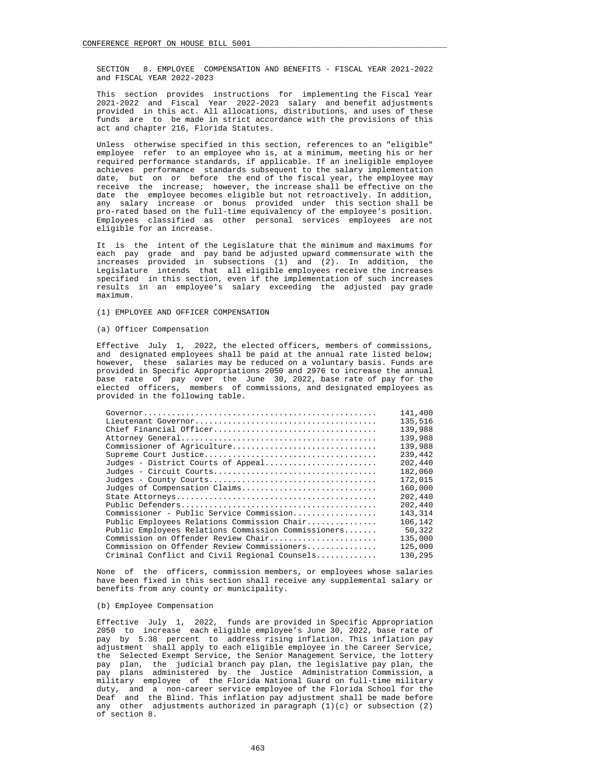SECTION 8. EMPLOYEE COMPENSATION AND BENEFITS - FISCAL YEAR 2021-2022 and FISCAL YEAR 2022-2023

 This section provides instructions for implementing the Fiscal Year 2021-2022 and Fiscal Year 2022-2023 salary and benefit adjustments provided in this act. All allocations, distributions, and uses of these funds are to be made in strict accordance with the provisions of this act and chapter 216, Florida Statutes.

 Unless otherwise specified in this section, references to an "eligible" employee refer to an employee who is, at a minimum, meeting his or her required performance standards, if applicable. If an ineligible employee achieves performance standards subsequent to the salary implementation date, but on or before the end of the fiscal year, the employee may receive the increase; however, the increase shall be effective on the date the employee becomes eligible but not retroactively. In addition, any salary increase or bonus provided under this section shall be pro-rated based on the full-time equivalency of the employee's position. Employees classified as other personal services employees are not eligible for an increase.

 It is the intent of the Legislature that the minimum and maximums for each pay grade and pay band be adjusted upward commensurate with the increases provided in subsections (1) and (2). In addition, the Legislature intends that all eligible employees receive the increases specified in this section, even if the implementation of such increases results in an employee's salary exceeding the adjusted pay grade maximum.

- (1) EMPLOYEE AND OFFICER COMPENSATION
- (a) Officer Compensation

 Effective July 1, 2022, the elected officers, members of commissions, and designated employees shall be paid at the annual rate listed below; however, these salaries may be reduced on a voluntary basis. Funds are provided in Specific Appropriations 2050 and 2976 to increase the annual base rate of pay over the June 30, 2022, base rate of pay for the elected officers, members of commissions, and designated employees as provided in the following table.

|                                                     | 141,400 |
|-----------------------------------------------------|---------|
|                                                     | 135,516 |
| Chief Financial Officer                             | 139,988 |
|                                                     | 139,988 |
| Commissioner of Agriculture                         | 139,988 |
|                                                     | 239,442 |
| Judges - District Courts of Appeal                  | 202,440 |
|                                                     | 182,060 |
|                                                     | 172,015 |
| Judges of Compensation Claims                       | 160,000 |
|                                                     | 202,440 |
|                                                     | 202,440 |
| Commissioner - Public Service Commission            | 143,314 |
| Public Employees Relations Commission Chair         | 106,142 |
| Public Employees Relations Commission Commissioners | 50,322  |
| Commission on Offender Review Chair                 | 135,000 |
| Commission on Offender Review Commissioners         | 125,000 |
| Criminal Conflict and Civil Regional Counsels       | 130,295 |
|                                                     |         |

 None of the officers, commission members, or employees whose salaries have been fixed in this section shall receive any supplemental salary or benefits from any county or municipality.

### (b) Employee Compensation

 Effective July 1, 2022, funds are provided in Specific Appropriation 2050 to increase each eligible employee's June 30, 2022, base rate of pay by 5.38 percent to address rising inflation. This inflation pay adjustment shall apply to each eligible employee in the Career Service, the Selected Exempt Service, the Senior Management Service, the lottery pay plan, the judicial branch pay plan, the legislative pay plan, the pay plans administered by the Justice Administration Commission, a military employee of the Florida National Guard on full-time military duty, and a non-career service employee of the Florida School for the Deaf and the Blind. This inflation pay adjustment shall be made before any other adjustments authorized in paragraph  $(1)(c)$  or subsection  $(2)$ of section 8.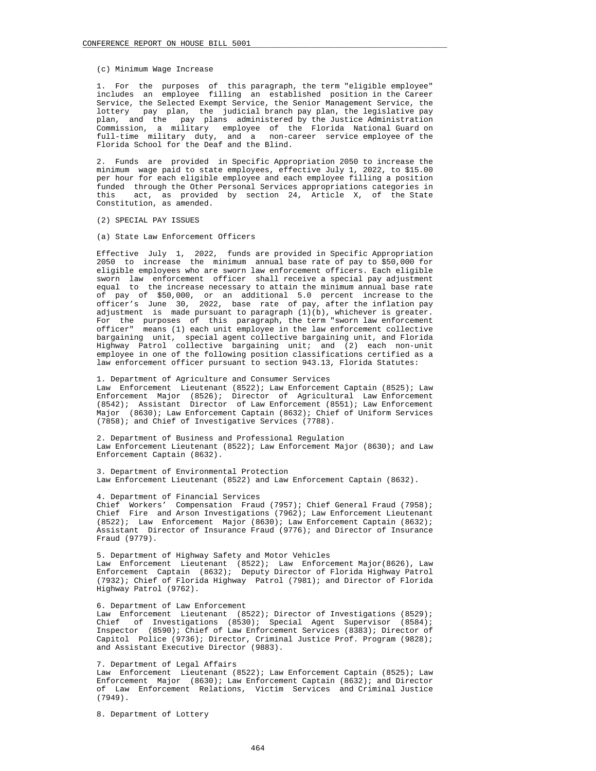### (c) Minimum Wage Increase

 1. For the purposes of this paragraph, the term "eligible employee" includes an employee filling an established position in the Career Service, the Selected Exempt Service, the Senior Management Service, the lottery pay plan, the judicial branch pay plan, the legislative pay plan, and the pay plans administered by the Justice Administration Commission, a military employee of the Florida National Guard on full-time military duty, and a non-career service employee of the Florida School for the Deaf and the Blind.

 2. Funds are provided in Specific Appropriation 2050 to increase the minimum wage paid to state employees, effective July 1, 2022, to \$15.00 per hour for each eligible employee and each employee filling a position funded through the Other Personal Services appropriations categories in this act, as provided by section 24, Article X, of the State Constitution, as amended.

- (2) SPECIAL PAY ISSUES
- (a) State Law Enforcement Officers

 Effective July 1, 2022, funds are provided in Specific Appropriation 2050 to increase the minimum annual base rate of pay to \$50,000 for eligible employees who are sworn law enforcement officers. Each eligible sworn law enforcement officer shall receive a special pay adjustment equal to the increase necessary to attain the minimum annual base rate of pay of \$50,000, or an additional 5.0 percent increase to the officer's June 30, 2022, base rate of pay, after the inflation pay adjustment is made pursuant to paragraph (1)(b), whichever is greater. For the purposes of this paragraph, the term "sworn law enforcement officer" means (1) each unit employee in the law enforcement collective bargaining unit, special agent collective bargaining unit, and Florida Highway Patrol collective bargaining unit; and (2) each non-unit employee in one of the following position classifications certified as a law enforcement officer pursuant to section 943.13, Florida Statutes:

 1. Department of Agriculture and Consumer Services Law Enforcement Lieutenant (8522); Law Enforcement Captain (8525); Law Enforcement Major (8526); Director of Agricultural Law Enforcement (8542); Assistant Director of Law Enforcement (8551); Law Enforcement Major (8630); Law Enforcement Captain (8632); Chief of Uniform Services (7858); and Chief of Investigative Services (7788).

 2. Department of Business and Professional Regulation Law Enforcement Lieutenant (8522); Law Enforcement Major (8630); and Law Enforcement Captain (8632).

 3. Department of Environmental Protection Law Enforcement Lieutenant (8522) and Law Enforcement Captain (8632).

 4. Department of Financial Services Chief Workers' Compensation Fraud (7957); Chief General Fraud (7958); Chief Fire and Arson Investigations (7962); Law Enforcement Lieutenant (8522); Law Enforcement Major (8630); Law Enforcement Captain (8632); Assistant Director of Insurance Fraud (9776); and Director of Insurance Fraud (9779).

 5. Department of Highway Safety and Motor Vehicles Law Enforcement Lieutenant (8522); Law Enforcement Major(8626), Law Enforcement Captain (8632); Deputy Director of Florida Highway Patrol (7932); Chief of Florida Highway Patrol (7981); and Director of Florida Highway Patrol (9762).

### 6. Department of Law Enforcement

 Law Enforcement Lieutenant (8522); Director of Investigations (8529); Chief of Investigations (8530); Special Agent Supervisor (8584); Inspector (8590); Chief of Law Enforcement Services (8383); Director of Capitol Police (9736); Director, Criminal Justice Prof. Program (9828); and Assistant Executive Director (9883).

7. Department of Legal Affairs

 Law Enforcement Lieutenant (8522); Law Enforcement Captain (8525); Law Enforcement Major (8630); Law Enforcement Captain (8632); and Director of Law Enforcement Relations, Victim Services and Criminal Justice (7949).

8. Department of Lottery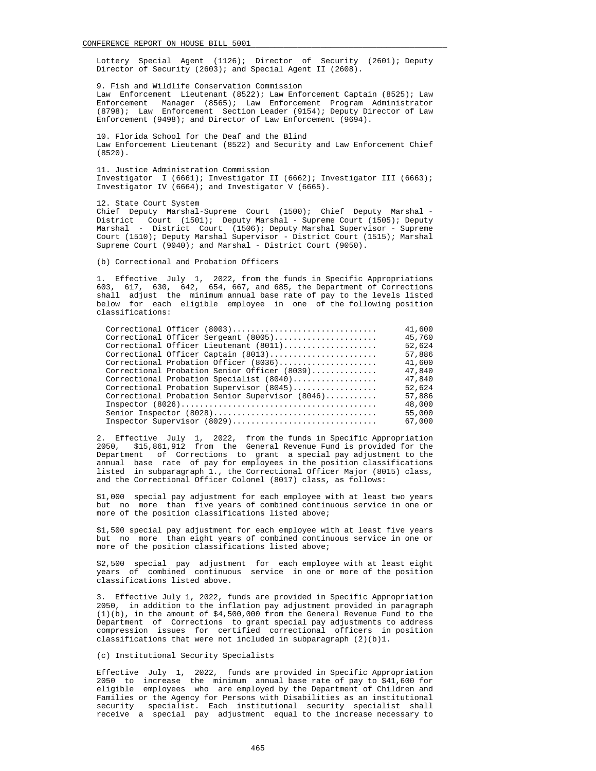Lottery Special Agent (1126); Director of Security (2601); Deputy Director of Security (2603); and Special Agent II (2608).

 9. Fish and Wildlife Conservation Commission Law Enforcement Lieutenant (8522); Law Enforcement Captain (8525); Law Enforcement Manager (8565); Law Enforcement Program Administrator (8798); Law Enforcement Section Leader (9154); Deputy Director of Law Enforcement (9498); and Director of Law Enforcement (9694).

 10. Florida School for the Deaf and the Blind Law Enforcement Lieutenant (8522) and Security and Law Enforcement Chief (8520).

 11. Justice Administration Commission Investigator I (6661); Investigator II (6662); Investigator III (6663); Investigator IV (6664); and Investigator V (6665).

 12. State Court System Chief Deputy Marshal-Supreme Court (1500); Chief Deputy Marshal - District Court (1501); Deputy Marshal - Supreme Court (1505); Deputy Marshal - District Court (1506); Deputy Marshal Supervisor - Supreme Court (1510); Deputy Marshal Supervisor - District Court (1515); Marshal Supreme Court (9040); and Marshal - District Court (9050).

(b) Correctional and Probation Officers

 1. Effective July 1, 2022, from the funds in Specific Appropriations 603, 617, 630, 642, 654, 667, and 685, the Department of Corrections shall adjust the minimum annual base rate of pay to the levels listed below for each eligible employee in one of the following position classifications:

| Correctional Officer (8003)                     | 41,600 |
|-------------------------------------------------|--------|
| Correctional Officer Sergeant (8005)            | 45,760 |
| Correctional Officer Lieutenant (8011)          | 52,624 |
| Correctional Officer Captain (8013)             | 57,886 |
| Correctional Probation Officer (8036)           | 41,600 |
| Correctional Probation Senior Officer (8039)    | 47,840 |
| Correctional Probation Specialist (8040)        | 47,840 |
| Correctional Probation Supervisor (8045)        | 52,624 |
| Correctional Probation Senior Supervisor (8046) | 57,886 |
|                                                 | 48,000 |
|                                                 | 55,000 |
| Inspector Supervisor (8029)                     | 67,000 |
|                                                 |        |

 2. Effective July 1, 2022, from the funds in Specific Appropriation 2050, \$15,861,912 from the General Revenue Fund is provided for the Department of Corrections to grant a special pay adjustment to the annual base rate of pay for employees in the position classifications listed in subparagraph 1., the Correctional Officer Major (8015) class, and the Correctional Officer Colonel (8017) class, as follows:

 \$1,000 special pay adjustment for each employee with at least two years but no more than five years of combined continuous service in one or more of the position classifications listed above;

 \$1,500 special pay adjustment for each employee with at least five years but no more than eight years of combined continuous service in one or more of the position classifications listed above;

 \$2,500 special pay adjustment for each employee with at least eight years of combined continuous service in one or more of the position classifications listed above.

 3. Effective July 1, 2022, funds are provided in Specific Appropriation 2050, in addition to the inflation pay adjustment provided in paragraph (1)(b), in the amount of \$4,500,000 from the General Revenue Fund to the Department of Corrections to grant special pay adjustments to address compression issues for certified correctional officers in position classifications that were not included in subparagraph  $(2)(b)1$ .

(c) Institutional Security Specialists

 Effective July 1, 2022, funds are provided in Specific Appropriation 2050 to increase the minimum annual base rate of pay to \$41,600 for eligible employees who are employed by the Department of Children and Families or the Agency for Persons with Disabilities as an institutional security specialist. Each institutional security specialist shall receive a special pay adjustment equal to the increase necessary to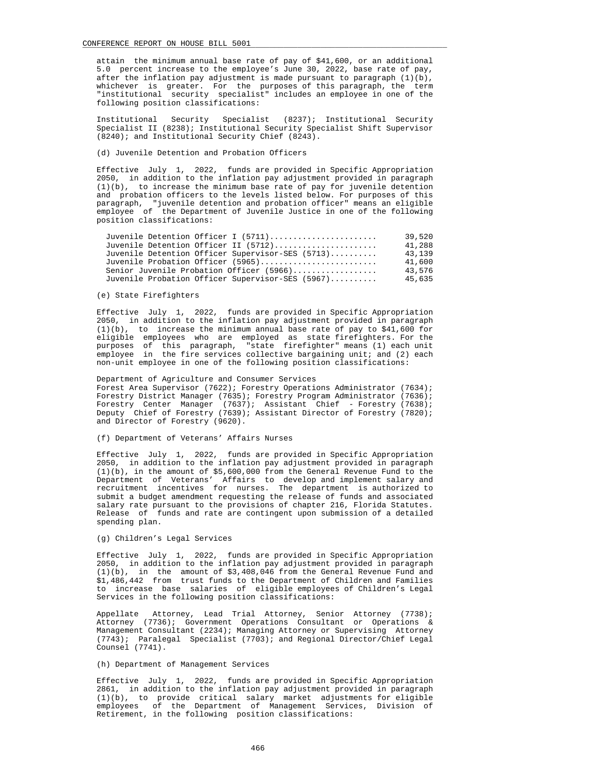attain the minimum annual base rate of pay of \$41,600, or an additional 5.0 percent increase to the employee's June 30, 2022, base rate of pay, after the inflation pay adjustment is made pursuant to paragraph (1)(b), whichever is greater. For the purposes of this paragraph, the term "institutional security specialist" includes an employee in one of the following position classifications:

 Institutional Security Specialist (8237); Institutional Security Specialist II (8238); Institutional Security Specialist Shift Supervisor (8240); and Institutional Security Chief (8243).

(d) Juvenile Detention and Probation Officers

 Effective July 1, 2022, funds are provided in Specific Appropriation 2050, in addition to the inflation pay adjustment provided in paragraph (1)(b), to increase the minimum base rate of pay for juvenile detention and probation officers to the levels listed below. For purposes of this paragraph, "juvenile detention and probation officer" means an eligible employee of the Department of Juvenile Justice in one of the following position classifications:

| Juvenile Detention Officer I (5711)              | 39,520 |
|--------------------------------------------------|--------|
| Juvenile Detention Officer II (5712)             | 41,288 |
| Juvenile Detention Officer Supervisor-SES (5713) | 43,139 |
| Juvenile Probation Officer (5965)                | 41,600 |
| Senior Juvenile Probation Officer (5966)         | 43,576 |
| Juvenile Probation Officer Supervisor-SES (5967) | 45,635 |

## (e) State Firefighters

 Effective July 1, 2022, funds are provided in Specific Appropriation 2050, in addition to the inflation pay adjustment provided in paragraph  $(1)(b)$ , to increase the minimum annual base rate of pay to \$41,600 for eligible employees who are employed as state firefighters. For the purposes of this paragraph, "state firefighter" means (1) each unit employee in the fire services collective bargaining unit; and (2) each non-unit employee in one of the following position classifications:

## Department of Agriculture and Consumer Services

 Forest Area Supervisor (7622); Forestry Operations Administrator (7634); Forestry District Manager (7635); Forestry Program Administrator (7636); Forestry Center Manager (7637); Assistant Chief - Forestry (7638); Deputy Chief of Forestry (7639); Assistant Director of Forestry (7820); and Director of Forestry (9620).

### (f) Department of Veterans' Affairs Nurses

 Effective July 1, 2022, funds are provided in Specific Appropriation 2050, in addition to the inflation pay adjustment provided in paragraph (1)(b), in the amount of \$5,600,000 from the General Revenue Fund to the Department of Veterans' Affairs to develop and implement salary and recruitment incentives for nurses. The department is authorized to submit a budget amendment requesting the release of funds and associated salary rate pursuant to the provisions of chapter 216, Florida Statutes. Release of funds and rate are contingent upon submission of a detailed spending plan.

### (g) Children's Legal Services

 Effective July 1, 2022, funds are provided in Specific Appropriation 2050, in addition to the inflation pay adjustment provided in paragraph (1)(b), in the amount of \$3,408,046 from the General Revenue Fund and \$1,486,442 from trust funds to the Department of Children and Families to increase base salaries of eligible employees of Children's Legal Services in the following position classifications:

 Appellate Attorney, Lead Trial Attorney, Senior Attorney (7738); Attorney (7736); Government Operations Consultant or Operations & Management Consultant (2234); Managing Attorney or Supervising Attorney (7743); Paralegal Specialist (7703); and Regional Director/Chief Legal Counsel (7741).

## (h) Department of Management Services

 Effective July 1, 2022, funds are provided in Specific Appropriation 2861, in addition to the inflation pay adjustment provided in paragraph (1)(b), to provide critical salary market adjustments for eligible employees of the Department of Management Services, Division of Retirement, in the following position classifications: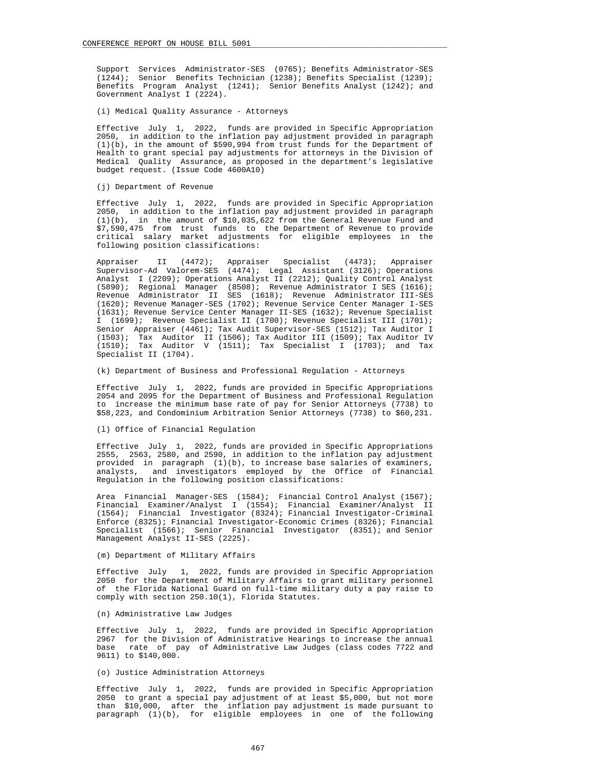Support Services Administrator-SES (0765); Benefits Administrator-SES (1244); Senior Benefits Technician (1238); Benefits Specialist (1239); Benefits Program Analyst (1241); Senior Benefits Analyst (1242); and Government Analyst I (2224).

(i) Medical Quality Assurance - Attorneys

 Effective July 1, 2022, funds are provided in Specific Appropriation 2050, in addition to the inflation pay adjustment provided in paragraph (1)(b), in the amount of \$590,994 from trust funds for the Department of Health to grant special pay adjustments for attorneys in the Division of Medical Quality Assurance, as proposed in the department's legislative budget request. (Issue Code 4600A10)

(i) Department of Revenue

 Effective July 1, 2022, funds are provided in Specific Appropriation 2050, in addition to the inflation pay adjustment provided in paragraph (1)(b), in the amount of \$10,035,622 from the General Revenue Fund and \$7,590,475 from trust funds to the Department of Revenue to provide critical salary market adjustments for eligible employees in the following position classifications:

 Appraiser II (4472); Appraiser Specialist (4473); Appraiser Supervisor-Ad Valorem-SES (4474); Legal Assistant (3126); Operations Analyst I (2209); Operations Analyst II (2212); Quality Control Analyst (5890); Regional Manager (8508); Revenue Administrator I SES (1616); Revenue Administrator II SES (1618); Revenue Administrator III-SES (1620); Revenue Manager-SES (1702); Revenue Service Center Manager I-SES (1631); Revenue Service Center Manager II-SES (1632); Revenue Specialist I (1699); Revenue Specialist II (1700); Revenue Specialist III (1701); Senior Appraiser (4461); Tax Audit Supervisor-SES (1512); Tax Auditor I (1503); Tax Auditor II (1506); Tax Auditor III (1509); Tax Auditor IV  $(1510)$ ; Tax Auditor V  $(1511)$ ; Tax Specialist I  $(1703)$ ; and Tax Specialist II (1704).

(k) Department of Business and Professional Regulation - Attorneys

 Effective July 1, 2022, funds are provided in Specific Appropriations 2054 and 2095 for the Department of Business and Professional Regulation to increase the minimum base rate of pay for Senior Attorneys (7738) to \$58,223, and Condominium Arbitration Senior Attorneys (7738) to \$60,231.

(l) Office of Financial Regulation

 Effective July 1, 2022, funds are provided in Specific Appropriations 2555, 2563, 2580, and 2590, in addition to the inflation pay adjustment provided in paragraph  $(1)(b)$ , to increase base salaries of examiners, analysts, and investigators employed by the Office of Financial Regulation in the following position classifications:

 Area Financial Manager-SES (1584); Financial Control Analyst (1567); Financial Examiner/Analyst I (1554); Financial Examiner/Analyst II (1564); Financial Investigator (8324); Financial Investigator-Criminal Enforce (8325); Financial Investigator-Economic Crimes (8326); Financial Specialist (1566); Senior Financial Investigator (8351); and Senior Management Analyst II-SES (2225).

### (m) Department of Military Affairs

 Effective July 1, 2022, funds are provided in Specific Appropriation 2050 for the Department of Military Affairs to grant military personnel of the Florida National Guard on full-time military duty a pay raise to comply with section 250.10(1), Florida Statutes.

## (n) Administrative Law Judges

 Effective July 1, 2022, funds are provided in Specific Appropriation 2967 for the Division of Administrative Hearings to increase the annual<br>base rate of pay of Administrative Law Judges (class codes 7722 and rate of pay of Administrative Law Judges (class codes 7722 and 9611) to \$140,000.

## (o) Justice Administration Attorneys

 Effective July 1, 2022, funds are provided in Specific Appropriation 2050 to grant a special pay adjustment of at least \$5,000, but not more than \$10,000, after the inflation pay adjustment is made pursuant to paragraph (1)(b), for eligible employees in one of the following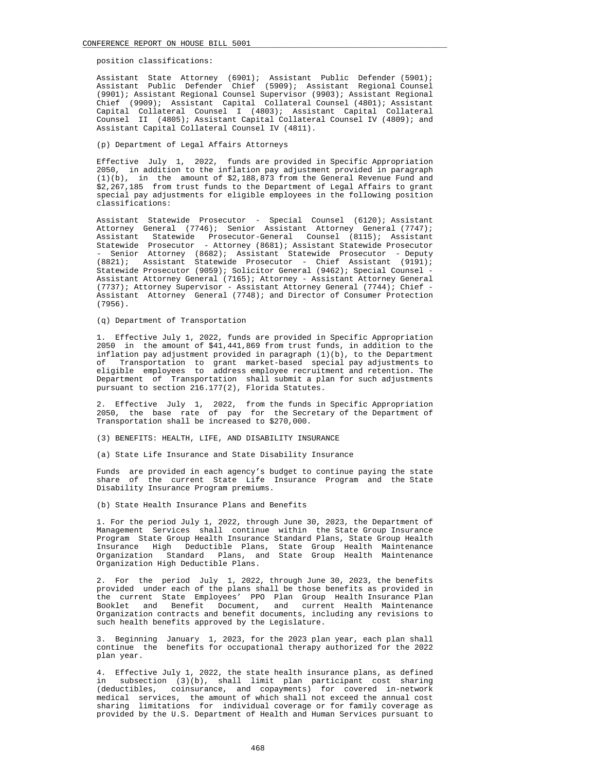position classifications:

 Assistant State Attorney (6901); Assistant Public Defender (5901); Assistant Public Defender Chief (5909); Assistant Regional Counsel (9901); Assistant Regional Counsel Supervisor (9903); Assistant Regional Chief (9909); Assistant Capital Collateral Counsel (4801); Assistant Capital Collateral Counsel I (4803); Assistant Capital Collateral Counsel II (4805); Assistant Capital Collateral Counsel IV (4809); and Assistant Capital Collateral Counsel IV (4811).

(p) Department of Legal Affairs Attorneys

 Effective July 1, 2022, funds are provided in Specific Appropriation 2050, in addition to the inflation pay adjustment provided in paragraph  $(1)(b)$ , in the amount of  $$2,188,873$  from the General Revenue Fund and \$2,267,185 from trust funds to the Department of Legal Affairs to grant special pay adjustments for eligible employees in the following position classifications:

 Assistant Statewide Prosecutor - Special Counsel (6120); Assistant Attorney General (7746); Senior Assistant Attorney General (7747); Assistant Statewide Prosecutor-General Counsel (8115); Assistant Statewide Prosecutor - Attorney (8681); Assistant Statewide Prosecutor - Senior Attorney (8682); Assistant Statewide Prosecutor - Deputy (8821); Assistant Statewide Prosecutor - Chief Assistant (9191); Statewide Prosecutor (9059); Solicitor General (9462); Special Counsel - Assistant Attorney General (7165); Attorney - Assistant Attorney General (7737); Attorney Supervisor - Assistant Attorney General (7744); Chief - Assistant Attorney General (7748); and Director of Consumer Protection (7956).

(q) Department of Transportation

 1. Effective July 1, 2022, funds are provided in Specific Appropriation 2050 in the amount of \$41,441,869 from trust funds, in addition to the inflation pay adjustment provided in paragraph  $(1)(b)$ , to the Department of Transportation to grant market-based special pay adjustments to eligible employees to address employee recruitment and retention. The Department of Transportation shall submit a plan for such adjustments pursuant to section 216.177(2), Florida Statutes.

 2. Effective July 1, 2022, from the funds in Specific Appropriation 2050, the base rate of pay for the Secretary of the Department of Transportation shall be increased to \$270,000.

(3) BENEFITS: HEALTH, LIFE, AND DISABILITY INSURANCE

(a) State Life Insurance and State Disability Insurance

 Funds are provided in each agency's budget to continue paying the state share of the current State Life Insurance Program and the State Disability Insurance Program premiums.

(b) State Health Insurance Plans and Benefits

 1. For the period July 1, 2022, through June 30, 2023, the Department of Management Services shall continue within the State Group Insurance Program State Group Health Insurance Standard Plans, State Group Health Insurance High Deductible Plans, State Group Health Maintenance Organization Standard Plans, and State Group Health Maintenance Organization High Deductible Plans.

 2. For the period July 1, 2022, through June 30, 2023, the benefits provided under each of the plans shall be those benefits as provided in the current State Employees' PPO Plan Group Health Insurance Plan Booklet and Benefit Document, and current Health Maintenance Organization contracts and benefit documents, including any revisions to such health benefits approved by the Legislature.

 3. Beginning January 1, 2023, for the 2023 plan year, each plan shall continue the benefits for occupational therapy authorized for the 2022 plan year.

 4. Effective July 1, 2022, the state health insurance plans, as defined in subsection (3)(b), shall limit plan participant cost sharing (deductibles, coinsurance, and copayments) for covered in-network medical services, the amount of which shall not exceed the annual cost sharing limitations for individual coverage or for family coverage as provided by the U.S. Department of Health and Human Services pursuant to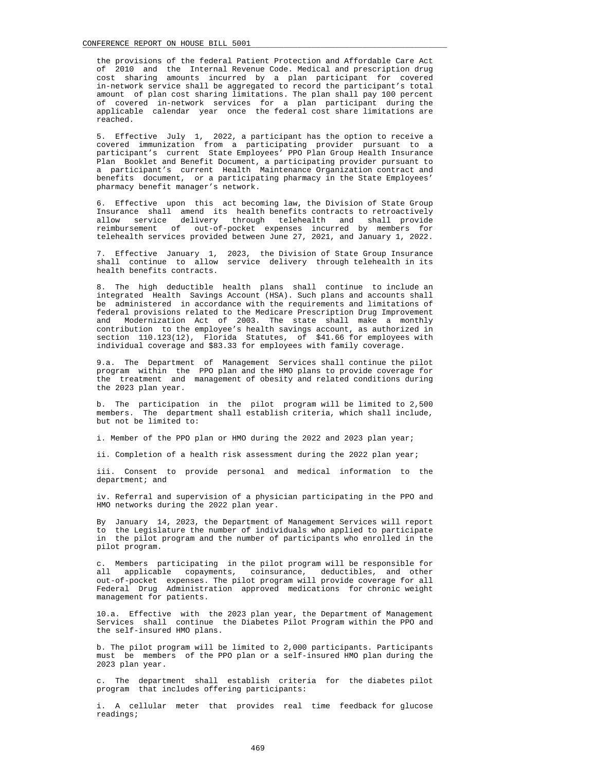the provisions of the federal Patient Protection and Affordable Care Act of 2010 and the Internal Revenue Code. Medical and prescription drug cost sharing amounts incurred by a plan participant for covered in-network service shall be aggregated to record the participant's total amount of plan cost sharing limitations. The plan shall pay 100 percent of covered in-network services for a plan participant during the applicable calendar year once the federal cost share limitations are reached.

 5. Effective July 1, 2022, a participant has the option to receive a covered immunization from a participating provider pursuant to a participant's current State Employees' PPO Plan Group Health Insurance Plan Booklet and Benefit Document, a participating provider pursuant to a participant's current Health Maintenance Organization contract and benefits document, or a participating pharmacy in the State Employees' pharmacy benefit manager's network.

 6. Effective upon this act becoming law, the Division of State Group Insurance shall amend its health benefits contracts to retroactively allow service delivery through telehealth and shall provide reimbursement of out-of-pocket expenses incurred by members for telehealth services provided between June 27, 2021, and January 1, 2022.

 7. Effective January 1, 2023, the Division of State Group Insurance shall continue to allow service delivery through telehealth in its health benefits contracts.

 8. The high deductible health plans shall continue to include an integrated Health Savings Account (HSA). Such plans and accounts shall be administered in accordance with the requirements and limitations of federal provisions related to the Medicare Prescription Drug Improvement and Modernization Act of 2003. The state shall make a monthly contribution to the employee's health savings account, as authorized in section 110.123(12), Florida Statutes, of \$41.66 for employees with individual coverage and \$83.33 for employees with family coverage.

 9.a. The Department of Management Services shall continue the pilot program within the PPO plan and the HMO plans to provide coverage for the treatment and management of obesity and related conditions during the 2023 plan year.

 b. The participation in the pilot program will be limited to 2,500 members. The department shall establish criteria, which shall include, but not be limited to:

i. Member of the PPO plan or HMO during the 2022 and 2023 plan year;

ii. Completion of a health risk assessment during the 2022 plan year;

 iii. Consent to provide personal and medical information to the department; and

 iv. Referral and supervision of a physician participating in the PPO and HMO networks during the 2022 plan year.

 By January 14, 2023, the Department of Management Services will report to the Legislature the number of individuals who applied to participate in the pilot program and the number of participants who enrolled in the pilot program.

 c. Members participating in the pilot program will be responsible for all applicable copayments, coinsurance, deductibles, and other out-of-pocket expenses. The pilot program will provide coverage for all Federal Drug Administration approved medications for chronic weight management for patients.

 10.a. Effective with the 2023 plan year, the Department of Management Services shall continue the Diabetes Pilot Program within the PPO and the self-insured HMO plans.

 b. The pilot program will be limited to 2,000 participants. Participants must be members of the PPO plan or a self-insured HMO plan during the 2023 plan year.

 c. The department shall establish criteria for the diabetes pilot program that includes offering participants:

 i. A cellular meter that provides real time feedback for glucose readings;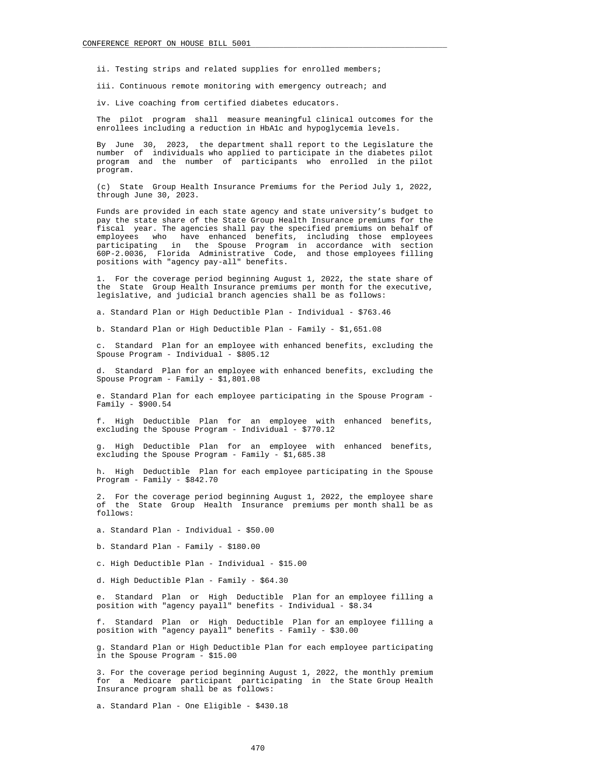ii. Testing strips and related supplies for enrolled members;

iii. Continuous remote monitoring with emergency outreach; and

iv. Live coaching from certified diabetes educators.

 The pilot program shall measure meaningful clinical outcomes for the enrollees including a reduction in HbA1c and hypoglycemia levels.

 By June 30, 2023, the department shall report to the Legislature the number of individuals who applied to participate in the diabetes pilot program and the number of participants who enrolled in the pilot program.

 (c) State Group Health Insurance Premiums for the Period July 1, 2022, through June 30, 2023.

 Funds are provided in each state agency and state university's budget to pay the state share of the State Group Health Insurance premiums for the fiscal year. The agencies shall pay the specified premiums on behalf of employees who have enhanced benefits, including those employees participating in the Spouse Program in accordance with section 60P-2.0036, Florida Administrative Code, and those employees filling positions with "agency pay-all" benefits.

 1. For the coverage period beginning August 1, 2022, the state share of the State Group Health Insurance premiums per month for the executive, legislative, and judicial branch agencies shall be as follows:

a. Standard Plan or High Deductible Plan - Individual - \$763.46

b. Standard Plan or High Deductible Plan - Family - \$1,651.08

 c. Standard Plan for an employee with enhanced benefits, excluding the Spouse Program - Individual - \$805.12

 d. Standard Plan for an employee with enhanced benefits, excluding the Spouse Program - Family - \$1,801.08

 e. Standard Plan for each employee participating in the Spouse Program - Family - \$900.54

 f. High Deductible Plan for an employee with enhanced benefits, excluding the Spouse Program - Individual - \$770.12

 g. High Deductible Plan for an employee with enhanced benefits, excluding the Spouse Program - Family - \$1,685.38

 h. High Deductible Plan for each employee participating in the Spouse Program - Family - \$842.70

 2. For the coverage period beginning August 1, 2022, the employee share of the State Group Health Insurance premiums per month shall be as follows:

a. Standard Plan - Individual - \$50.00

b. Standard Plan - Family - \$180.00

c. High Deductible Plan - Individual - \$15.00

d. High Deductible Plan - Family - \$64.30

 e. Standard Plan or High Deductible Plan for an employee filling a position with "agency payall" benefits - Individual - \$8.34

 f. Standard Plan or High Deductible Plan for an employee filling a position with "agency payall" benefits - Family - \$30.00

 g. Standard Plan or High Deductible Plan for each employee participating in the Spouse Program - \$15.00

 3. For the coverage period beginning August 1, 2022, the monthly premium for a Medicare participant participating in the State Group Health Insurance program shall be as follows:

a. Standard Plan - One Eligible - \$430.18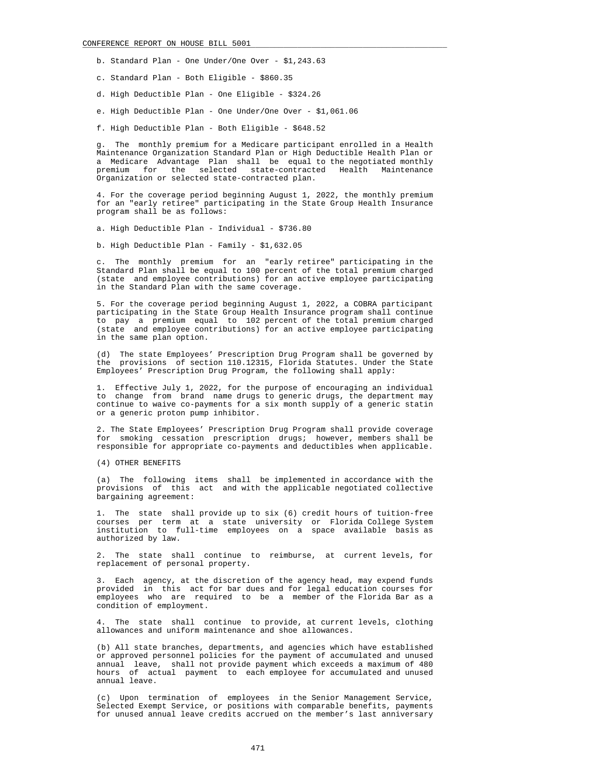# CONFERENCE REPORT ON HOUSE BILL 5001

- b. Standard Plan One Under/One Over \$1,243.63
- c. Standard Plan Both Eligible \$860.35
- d. High Deductible Plan One Eligible \$324.26
- e. High Deductible Plan One Under/One Over \$1,061.06
- f. High Deductible Plan Both Eligible \$648.52

 g. The monthly premium for a Medicare participant enrolled in a Health Maintenance Organization Standard Plan or High Deductible Health Plan or a Medicare Advantage Plan shall be equal to the negotiated monthly premium for the selected state-contracted Health Maintenance Organization or selected state-contracted plan.

 4. For the coverage period beginning August 1, 2022, the monthly premium for an "early retiree" participating in the State Group Health Insurance program shall be as follows:

a. High Deductible Plan - Individual - \$736.80

b. High Deductible Plan - Family - \$1,632.05

 c. The monthly premium for an "early retiree" participating in the Standard Plan shall be equal to 100 percent of the total premium charged (state and employee contributions) for an active employee participating in the Standard Plan with the same coverage.

 5. For the coverage period beginning August 1, 2022, a COBRA participant participating in the State Group Health Insurance program shall continue to pay a premium equal to 102 percent of the total premium charged (state and employee contributions) for an active employee participating in the same plan option.

 (d) The state Employees' Prescription Drug Program shall be governed by the provisions of section 110.12315, Florida Statutes. Under the State Employees' Prescription Drug Program, the following shall apply:

 1. Effective July 1, 2022, for the purpose of encouraging an individual to change from brand name drugs to generic drugs, the department may continue to waive co-payments for a six month supply of a generic statin or a generic proton pump inhibitor.

 2. The State Employees' Prescription Drug Program shall provide coverage for smoking cessation prescription drugs; however, members shall be responsible for appropriate co-payments and deductibles when applicable.

(4) OTHER BENEFITS

 (a) The following items shall be implemented in accordance with the provisions of this act and with the applicable negotiated collective bargaining agreement:

 1. The state shall provide up to six (6) credit hours of tuition-free courses per term at a state university or Florida College System institution to full-time employees on a space available basis as authorized by law.

 2. The state shall continue to reimburse, at current levels, for replacement of personal property.

 3. Each agency, at the discretion of the agency head, may expend funds provided in this act for bar dues and for legal education courses for employees who are required to be a member of the Florida Bar as a condition of employment.

 4. The state shall continue to provide, at current levels, clothing allowances and uniform maintenance and shoe allowances.

 (b) All state branches, departments, and agencies which have established or approved personnel policies for the payment of accumulated and unused annual leave, shall not provide payment which exceeds a maximum of 480 hours of actual payment to each employee for accumulated and unused annual leave.

 (c) Upon termination of employees in the Senior Management Service, Selected Exempt Service, or positions with comparable benefits, payments for unused annual leave credits accrued on the member's last anniversary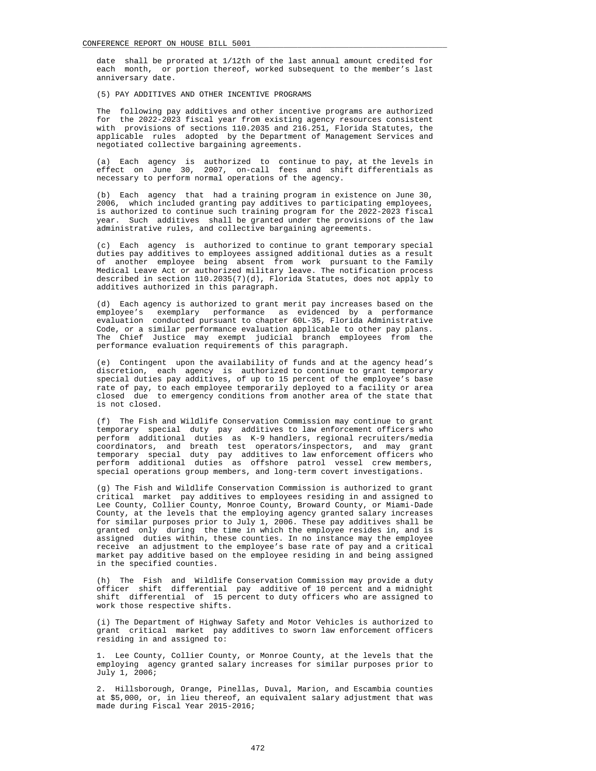date shall be prorated at 1/12th of the last annual amount credited for each month, or portion thereof, worked subsequent to the member's last anniversary date.

(5) PAY ADDITIVES AND OTHER INCENTIVE PROGRAMS

 The following pay additives and other incentive programs are authorized for the 2022-2023 fiscal year from existing agency resources consistent with provisions of sections 110.2035 and 216.251, Florida Statutes, the applicable rules adopted by the Department of Management Services and negotiated collective bargaining agreements.

 (a) Each agency is authorized to continue to pay, at the levels in effect on June 30, 2007, on-call fees and shift differentials as necessary to perform normal operations of the agency.

 (b) Each agency that had a training program in existence on June 30, 2006, which included granting pay additives to participating employees, is authorized to continue such training program for the 2022-2023 fiscal year. Such additives shall be granted under the provisions of the law administrative rules, and collective bargaining agreements.

 (c) Each agency is authorized to continue to grant temporary special duties pay additives to employees assigned additional duties as a result of another employee being absent from work pursuant to the Family Medical Leave Act or authorized military leave. The notification process described in section 110.2035(7)(d), Florida Statutes, does not apply to additives authorized in this paragraph.

 (d) Each agency is authorized to grant merit pay increases based on the employee's exemplary performance as evidenced by a performance evaluation conducted pursuant to chapter 60L-35, Florida Administrative Code, or a similar performance evaluation applicable to other pay plans. The Chief Justice may exempt judicial branch employees from the performance evaluation requirements of this paragraph.

 (e) Contingent upon the availability of funds and at the agency head's discretion, each agency is authorized to continue to grant temporary special duties pay additives, of up to 15 percent of the employee's base rate of pay, to each employee temporarily deployed to a facility or area closed due to emergency conditions from another area of the state that is not closed.

 (f) The Fish and Wildlife Conservation Commission may continue to grant temporary special duty pay additives to law enforcement officers who perform additional duties as K-9 handlers, regional recruiters/media coordinators, and breath test operators/inspectors, and may grant temporary special duty pay additives to law enforcement officers who perform additional duties as offshore patrol vessel crew members, special operations group members, and long-term covert investigations.

 (g) The Fish and Wildlife Conservation Commission is authorized to grant critical market pay additives to employees residing in and assigned to Lee County, Collier County, Monroe County, Broward County, or Miami-Dade County, at the levels that the employing agency granted salary increases for similar purposes prior to July 1, 2006. These pay additives shall be granted only during the time in which the employee resides in, and is assigned duties within, these counties. In no instance may the employee receive an adjustment to the employee's base rate of pay and a critical market pay additive based on the employee residing in and being assigned in the specified counties.

 (h) The Fish and Wildlife Conservation Commission may provide a duty officer shift differential pay additive of 10 percent and a midnight shift differential of 15 percent to duty officers who are assigned to work those respective shifts.

 (i) The Department of Highway Safety and Motor Vehicles is authorized to grant critical market pay additives to sworn law enforcement officers residing in and assigned to:

 1. Lee County, Collier County, or Monroe County, at the levels that the employing agency granted salary increases for similar purposes prior to July 1, 2006;

 2. Hillsborough, Orange, Pinellas, Duval, Marion, and Escambia counties at \$5,000, or, in lieu thereof, an equivalent salary adjustment that was made during Fiscal Year 2015-2016;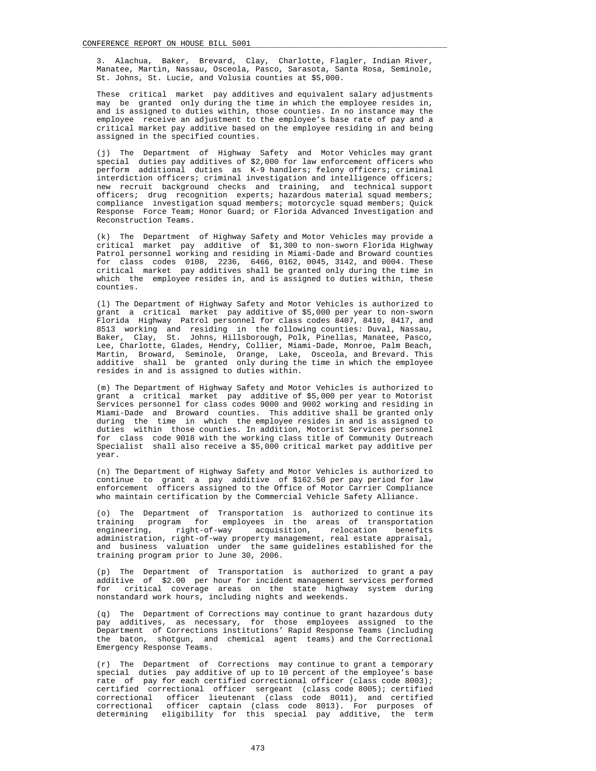3. Alachua, Baker, Brevard, Clay, Charlotte, Flagler, Indian River, Manatee, Martin, Nassau, Osceola, Pasco, Sarasota, Santa Rosa, Seminole, St. Johns, St. Lucie, and Volusia counties at \$5,000.

 These critical market pay additives and equivalent salary adjustments may be granted only during the time in which the employee resides in, and is assigned to duties within, those counties. In no instance may the employee receive an adjustment to the employee's base rate of pay and a critical market pay additive based on the employee residing in and being assigned in the specified counties.

 (j) The Department of Highway Safety and Motor Vehicles may grant special duties pay additives of \$2,000 for law enforcement officers who perform additional duties as K-9 handlers; felony officers; criminal interdiction officers; criminal investigation and intelligence officers; new recruit background checks and training, and technical support officers; drug recognition experts; hazardous material squad members; compliance investigation squad members; motorcycle squad members; Quick Response Force Team; Honor Guard; or Florida Advanced Investigation and Reconstruction Teams.

 (k) The Department of Highway Safety and Motor Vehicles may provide a critical market pay additive of \$1,300 to non-sworn Florida Highway Patrol personnel working and residing in Miami-Dade and Broward counties for class codes 0108, 2236, 6466, 0162, 0045, 3142, and 0004. These critical market pay additives shall be granted only during the time in which the employee resides in, and is assigned to duties within, these counties.

 (l) The Department of Highway Safety and Motor Vehicles is authorized to grant a critical market pay additive of \$5,000 per year to non-sworn Florida Highway Patrol personnel for class codes 8407, 8410, 8417, and 8513 working and residing in the following counties: Duval, Nassau, Baker, Clay, St. Johns, Hillsborough, Polk, Pinellas, Manatee, Pasco, Lee, Charlotte, Glades, Hendry, Collier, Miami-Dade, Monroe, Palm Beach, Martin, Broward, Seminole, Orange, Lake, Osceola, and Brevard. This additive shall be granted only during the time in which the employee resides in and is assigned to duties within.

 (m) The Department of Highway Safety and Motor Vehicles is authorized to grant a critical market pay additive of \$5,000 per year to Motorist Services personnel for class codes 9000 and 9002 working and residing in Miami-Dade and Broward counties. This additive shall be granted only during the time in which the employee resides in and is assigned to duties within those counties. In addition, Motorist Services personnel for class code 9018 with the working class title of Community Outreach Specialist shall also receive a \$5,000 critical market pay additive per year.

 (n) The Department of Highway Safety and Motor Vehicles is authorized to continue to grant a pay additive of \$162.50 per pay period for law enforcement officers assigned to the Office of Motor Carrier Compliance who maintain certification by the Commercial Vehicle Safety Alliance.

 (o) The Department of Transportation is authorized to continue its training program for employees in the areas of transportation engineering, right-of-way acquisition, relocation benefits administration, right-of-way property management, real estate appraisal, and business valuation under the same guidelines established for the training program prior to June 30, 2006.

 (p) The Department of Transportation is authorized to grant a pay additive of \$2.00 per hour for incident management services performed for critical coverage areas on the state highway system during nonstandard work hours, including nights and weekends.

 (q) The Department of Corrections may continue to grant hazardous duty pay additives, as necessary, for those employees assigned to the Department of Corrections institutions' Rapid Response Teams (including the baton, shotgun, and chemical agent teams) and the Correctional Emergency Response Teams.

 (r) The Department of Corrections may continue to grant a temporary special duties pay additive of up to 10 percent of the employee's base rate of pay for each certified correctional officer (class code 8003); certified correctional officer sergeant (class code 8005); certified correctional officer lieutenant (class code 8011), and certified correctional officer captain (class code 8013). For purposes of determining eligibility for this special pay additive, the term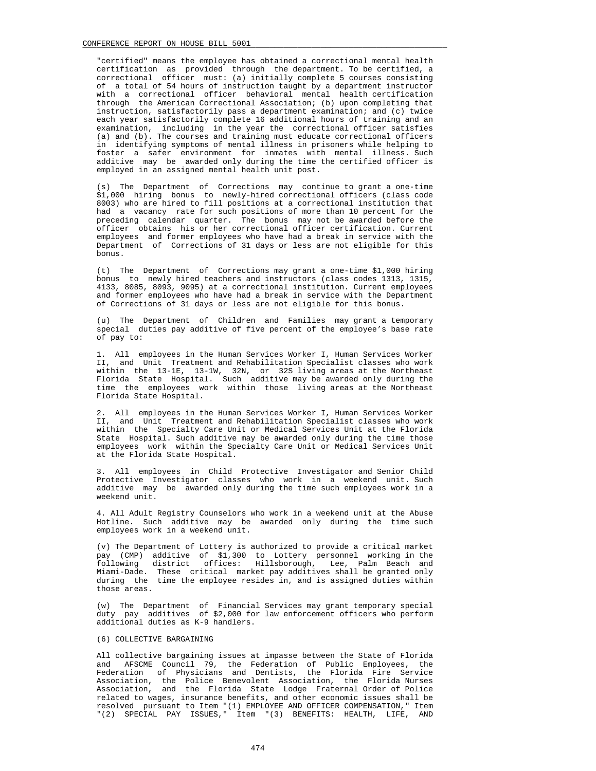"certified" means the employee has obtained a correctional mental health certification as provided through the department. To be certified, a correctional officer must: (a) initially complete 5 courses consisting of a total of 54 hours of instruction taught by a department instructor with a correctional officer behavioral mental health certification through the American Correctional Association; (b) upon completing that instruction, satisfactorily pass a department examination; and (c) twice each year satisfactorily complete 16 additional hours of training and an examination, including in the year the correctional officer satisfies (a) and (b). The courses and training must educate correctional officers in identifying symptoms of mental illness in prisoners while helping to foster a safer environment for inmates with mental illness. Such additive may be awarded only during the time the certified officer is employed in an assigned mental health unit post.

 (s) The Department of Corrections may continue to grant a one-time \$1,000 hiring bonus to newly-hired correctional officers (class code 8003) who are hired to fill positions at a correctional institution that had a vacancy rate for such positions of more than 10 percent for the preceding calendar quarter. The bonus may not be awarded before the officer obtains his or her correctional officer certification. Current employees and former employees who have had a break in service with the Department of Corrections of 31 days or less are not eligible for this bonus.

 (t) The Department of Corrections may grant a one-time \$1,000 hiring bonus to newly hired teachers and instructors (class codes 1313, 1315, 4133, 8085, 8093, 9095) at a correctional institution. Current employees and former employees who have had a break in service with the Department of Corrections of 31 days or less are not eligible for this bonus.

 (u) The Department of Children and Families may grant a temporary special duties pay additive of five percent of the employee's base rate of pay to:

 1. All employees in the Human Services Worker I, Human Services Worker II, and Unit Treatment and Rehabilitation Specialist classes who work within the 13-1E, 13-1W, 32N, or 32S living areas at the Northeast Florida State Hospital. Such additive may be awarded only during the time the employees work within those living areas at the Northeast Florida State Hospital.

2. All employees in the Human Services Worker I, Human Services Worker II. and Unit Treatment and Rehabilitation Specialist classes who work and Unit Treatment and Rehabilitation Specialist classes who work within the Specialty Care Unit or Medical Services Unit at the Florida State Hospital. Such additive may be awarded only during the time those employees work within the Specialty Care Unit or Medical Services Unit at the Florida State Hospital.

 3. All employees in Child Protective Investigator and Senior Child Protective Investigator classes who work in a weekend unit. Such additive may be awarded only during the time such employees work in a weekend unit.

 4. All Adult Registry Counselors who work in a weekend unit at the Abuse Hotline. Such additive may be awarded only during the time such employees work in a weekend unit.

 (v) The Department of Lottery is authorized to provide a critical market pay (CMP) additive of \$1,300 to Lottery personnel working in the following district offices: Hillsborough, Lee, Palm Beach and Miami-Dade. These critical market pay additives shall be granted only during the time the employee resides in, and is assigned duties within those areas.

 (w) The Department of Financial Services may grant temporary special duty pay additives of \$2,000 for law enforcement officers who perform additional duties as K-9 handlers.

# (6) COLLECTIVE BARGAINING

 All collective bargaining issues at impasse between the State of Florida and AFSCME Council 79, the Federation of Public Employees, the Federation of Physicians and Dentists, the Florida Fire Service Association, the Police Benevolent Association, the Florida Nurses Association, and the Florida State Lodge Fraternal Order of Police related to wages, insurance benefits, and other economic issues shall be resolved pursuant to Item "(1) EMPLOYEE AND OFFICER COMPENSATION," Item "(2) SPECIAL PAY ISSUES," Item "(3) BENEFITS: HEALTH, LIFE, AND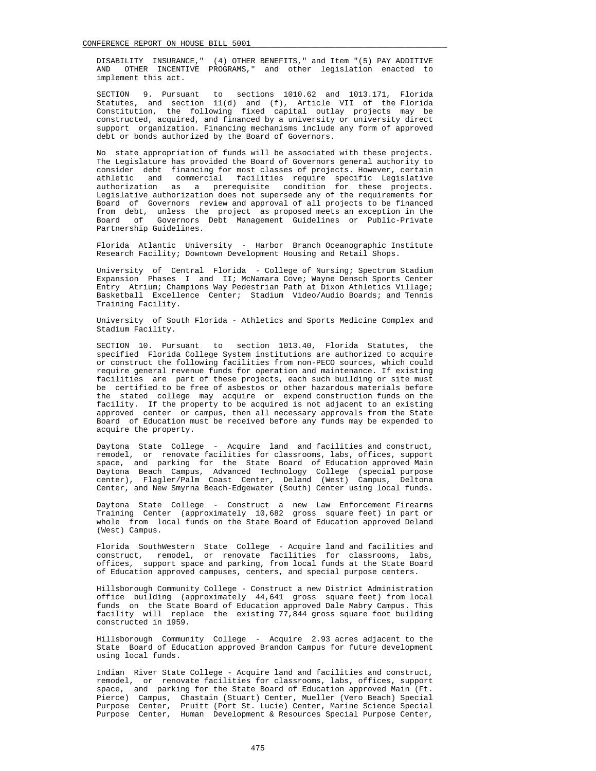DISABILITY INSURANCE," (4) OTHER BENEFITS," and Item "(5) PAY ADDITIVE AND OTHER INCENTIVE PROGRAMS," and other legislation enacted to implement this act.

 SECTION 9. Pursuant to sections 1010.62 and 1013.171, Florida Statutes, and section 11(d) and (f), Article VII of the Florida Constitution, the following fixed capital outlay projects may be constructed, acquired, and financed by a university or university direct support organization. Financing mechanisms include any form of approved debt or bonds authorized by the Board of Governors.

 No state appropriation of funds will be associated with these projects. The Legislature has provided the Board of Governors general authority to consider debt financing for most classes of projects. However, certain athletic and commercial facilities require specific Legislative authorization as a prerequisite condition for these projects. Legislative authorization does not supersede any of the requirements for Board of Governors review and approval of all projects to be financed from debt, unless the project as proposed meets an exception in the Board of Governors Debt Management Guidelines or Public-Private Partnership Guidelines.

 Florida Atlantic University - Harbor Branch Oceanographic Institute Research Facility; Downtown Development Housing and Retail Shops.

 University of Central Florida - College of Nursing; Spectrum Stadium Expansion Phases I and II; McNamara Cove; Wayne Densch Sports Center Entry Atrium; Champions Way Pedestrian Path at Dixon Athletics Village; Basketball Excellence Center; Stadium Video/Audio Boards; and Tennis Training Facility.

 University of South Florida - Athletics and Sports Medicine Complex and Stadium Facility.

 SECTION 10. Pursuant to section 1013.40, Florida Statutes, the specified Florida College System institutions are authorized to acquire or construct the following facilities from non-PECO sources, which could require general revenue funds for operation and maintenance. If existing facilities are part of these projects, each such building or site must be certified to be free of asbestos or other hazardous materials before the stated college may acquire or expend construction funds on the facility. If the property to be acquired is not adjacent to an existing approved center or campus, then all necessary approvals from the State Board of Education must be received before any funds may be expended to acquire the property.

 Daytona State College - Acquire land and facilities and construct, remodel, or renovate facilities for classrooms, labs, offices, support space, and parking for the State Board of Education approved Main Daytona Beach Campus, Advanced Technology College (special purpose center), Flagler/Palm Coast Center, Deland (West) Campus, Deltona Center, and New Smyrna Beach-Edgewater (South) Center using local funds.

 Daytona State College - Construct a new Law Enforcement Firearms Training Center (approximately 10,682 gross square feet) in part or whole from local funds on the State Board of Education approved Deland (West) Campus.

 Florida SouthWestern State College - Acquire land and facilities and construct, remodel, or renovate facilities for classrooms, labs, offices, support space and parking, from local funds at the State Board of Education approved campuses, centers, and special purpose centers.

 Hillsborough Community College - Construct a new District Administration office building (approximately 44,641 gross square feet) from local funds on the State Board of Education approved Dale Mabry Campus. This facility will replace the existing 77,844 gross square foot building constructed in 1959.

 Hillsborough Community College - Acquire 2.93 acres adjacent to the State Board of Education approved Brandon Campus for future development using local funds.

 Indian River State College - Acquire land and facilities and construct, remodel, or renovate facilities for classrooms, labs, offices, support space, and parking for the State Board of Education approved Main (Ft. Pierce) Campus, Chastain (Stuart) Center, Mueller (Vero Beach) Special Purpose Center, Pruitt (Port St. Lucie) Center, Marine Science Special Purpose Center, Human Development & Resources Special Purpose Center,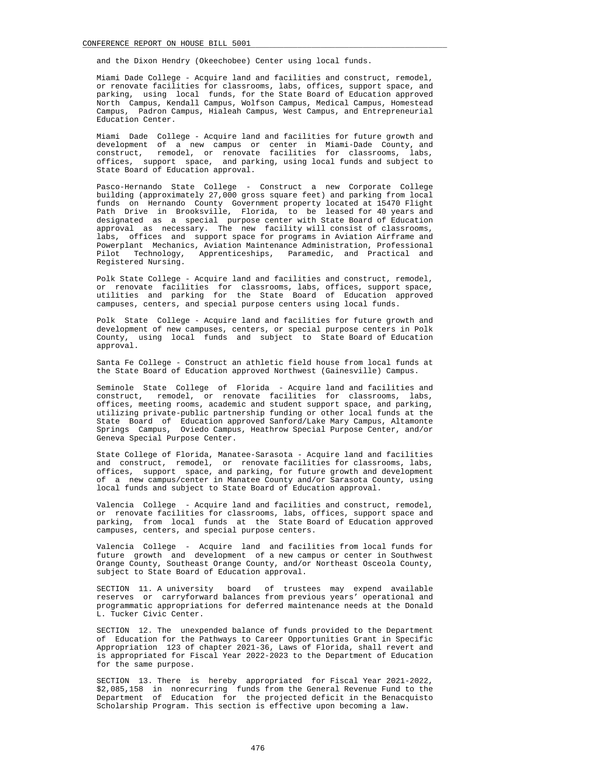and the Dixon Hendry (Okeechobee) Center using local funds.

 Miami Dade College - Acquire land and facilities and construct, remodel, or renovate facilities for classrooms, labs, offices, support space, and parking, using local funds, for the State Board of Education approved North Campus, Kendall Campus, Wolfson Campus, Medical Campus, Homestead Campus, Padron Campus, Hialeah Campus, West Campus, and Entrepreneurial Education Center.

 Miami Dade College - Acquire land and facilities for future growth and development of a new campus or center in Miami-Dade County, and construct, remodel, or renovate facilities for classrooms, labs, offices, support space, and parking, using local funds and subject to State Board of Education approval.

 Pasco-Hernando State College - Construct a new Corporate College building (approximately 27,000 gross square feet) and parking from local funds on Hernando County Government property located at 15470 Flight Path Drive in Brooksville, Florida, to be leased for 40 years and designated as a special purpose center with State Board of Education approval as necessary. The new facility will consist of classrooms, labs, offices and support space for programs in Aviation Airframe and Powerplant Mechanics, Aviation Maintenance Administration, Professional Pilot Technology, Apprenticeships, Paramedic, and Practical and Registered Nursing.

 Polk State College - Acquire land and facilities and construct, remodel, or renovate facilities for classrooms, labs, offices, support space, utilities and parking for the State Board of Education approved campuses, centers, and special purpose centers using local funds.

 Polk State College - Acquire land and facilities for future growth and development of new campuses, centers, or special purpose centers in Polk County, using local funds and subject to State Board of Education approval.

 Santa Fe College - Construct an athletic field house from local funds at the State Board of Education approved Northwest (Gainesville) Campus.

 Seminole State College of Florida - Acquire land and facilities and construct, remodel, or renovate facilities for classrooms, labs, offices, meeting rooms, academic and student support space, and parking, utilizing private-public partnership funding or other local funds at the State Board of Education approved Sanford/Lake Mary Campus, Altamonte Springs Campus, Oviedo Campus, Heathrow Special Purpose Center, and/or Geneva Special Purpose Center.

 State College of Florida, Manatee-Sarasota - Acquire land and facilities and construct, remodel, or renovate facilities for classrooms, labs, offices, support space, and parking, for future growth and development of a new campus/center in Manatee County and/or Sarasota County, using local funds and subject to State Board of Education approval.

 Valencia College - Acquire land and facilities and construct, remodel, or renovate facilities for classrooms, labs, offices, support space and parking, from local funds at the State Board of Education approved campuses, centers, and special purpose centers.

 Valencia College - Acquire land and facilities from local funds for future growth and development of a new campus or center in Southwest Orange County, Southeast Orange County, and/or Northeast Osceola County, subject to State Board of Education approval.

 SECTION 11. A university board of trustees may expend available reserves or carryforward balances from previous years' operational and programmatic appropriations for deferred maintenance needs at the Donald L. Tucker Civic Center.

 SECTION 12. The unexpended balance of funds provided to the Department of Education for the Pathways to Career Opportunities Grant in Specific Appropriation 123 of chapter 2021-36, Laws of Florida, shall revert and is appropriated for Fiscal Year 2022-2023 to the Department of Education for the same purpose.

 SECTION 13. There is hereby appropriated for Fiscal Year 2021-2022, \$2,085,158 in nonrecurring funds from the General Revenue Fund to the Department of Education for the projected deficit in the Benacquisto Scholarship Program. This section is effective upon becoming a law.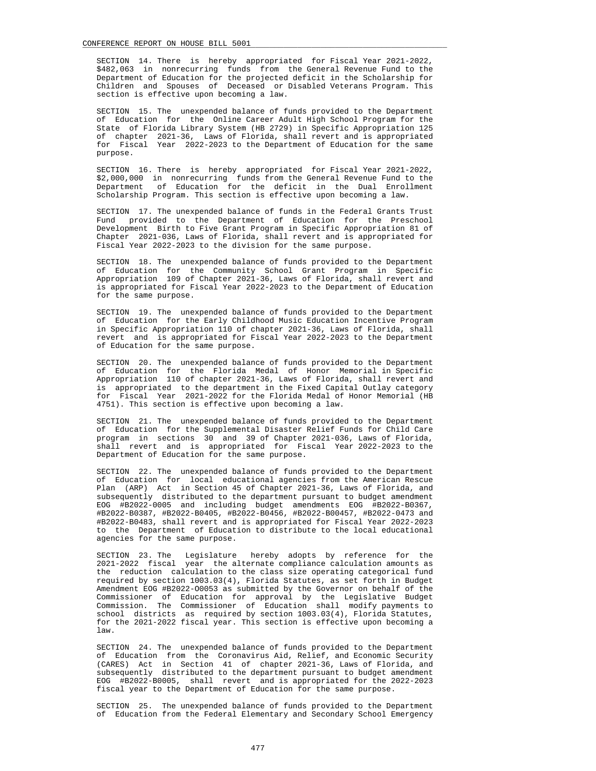SECTION 14. There is hereby appropriated for Fiscal Year 2021-2022, \$482,063 in nonrecurring funds from the General Revenue Fund to the Department of Education for the projected deficit in the Scholarship for Children and Spouses of Deceased or Disabled Veterans Program. This section is effective upon becoming a law.

 SECTION 15. The unexpended balance of funds provided to the Department of Education for the Online Career Adult High School Program for the State of Florida Library System (HB 2729) in Specific Appropriation 125 of chapter 2021-36, Laws of Florida, shall revert and is appropriated for Fiscal Year 2022-2023 to the Department of Education for the same purpose.

 SECTION 16. There is hereby appropriated for Fiscal Year 2021-2022, \$2,000,000 in nonrecurring funds from the General Revenue Fund to the Department of Education for the deficit in the Dual Enrollment Scholarship Program. This section is effective upon becoming a law.

 SECTION 17. The unexpended balance of funds in the Federal Grants Trust Fund provided to the Department of Education for the Preschool Development Birth to Five Grant Program in Specific Appropriation 81 of Chapter 2021-036, Laws of Florida, shall revert and is appropriated for Fiscal Year 2022-2023 to the division for the same purpose.

 SECTION 18. The unexpended balance of funds provided to the Department of Education for the Community School Grant Program in Specific Appropriation 109 of Chapter 2021-36, Laws of Florida, shall revert and is appropriated for Fiscal Year 2022-2023 to the Department of Education for the same purpose.

 SECTION 19. The unexpended balance of funds provided to the Department of Education for the Early Childhood Music Education Incentive Program in Specific Appropriation 110 of chapter 2021-36, Laws of Florida, shall revert and is appropriated for Fiscal Year 2022-2023 to the Department of Education for the same purpose.

 SECTION 20. The unexpended balance of funds provided to the Department of Education for the Florida Medal of Honor Memorial in Specific Appropriation 110 of chapter 2021-36, Laws of Florida, shall revert and is appropriated to the department in the Fixed Capital Outlay category for Fiscal Year 2021-2022 for the Florida Medal of Honor Memorial (HB 4751). This section is effective upon becoming a law.

 SECTION 21. The unexpended balance of funds provided to the Department of Education for the Supplemental Disaster Relief Funds for Child Care program in sections 30 and 39 of Chapter 2021-036, Laws of Florida, shall revert and is appropriated for Fiscal Year 2022-2023 to the Department of Education for the same purpose.

 SECTION 22. The unexpended balance of funds provided to the Department of Education for local educational agencies from the American Rescue Plan (ARP) Act in Section 45 of Chapter 2021-36, Laws of Florida, and subsequently distributed to the department pursuant to budget amendment EOG #B2022-0005 and including budget amendments EOG #B2022-B0367, #B2022-B0387, #B2022-B0405, #B2022-B0456, #B2022-B00457, #B2022-0473 and #B2022-B0483, shall revert and is appropriated for Fiscal Year 2022-2023 to the Department of Education to distribute to the local educational agencies for the same purpose.

 SECTION 23. The Legislature hereby adopts by reference for the 2021-2022 fiscal year the alternate compliance calculation amounts as the reduction calculation to the class size operating categorical fund required by section 1003.03(4), Florida Statutes, as set forth in Budget Amendment EOG #B2022-O0053 as submitted by the Governor on behalf of the Commissioner of Education for approval by the Legislative Budget Commission. The Commissioner of Education shall modify payments to school districts as required by section 1003.03(4), Florida Statutes, for the 2021-2022 fiscal year. This section is effective upon becoming a law.

 SECTION 24. The unexpended balance of funds provided to the Department of Education from the Coronavirus Aid, Relief, and Economic Security (CARES) Act in Section 41 of chapter 2021-36, Laws of Florida, and subsequently distributed to the department pursuant to budget amendment EOG #B2022-B0005, shall revert and is appropriated for the 2022-2023 fiscal year to the Department of Education for the same purpose.

 SECTION 25. The unexpended balance of funds provided to the Department of Education from the Federal Elementary and Secondary School Emergency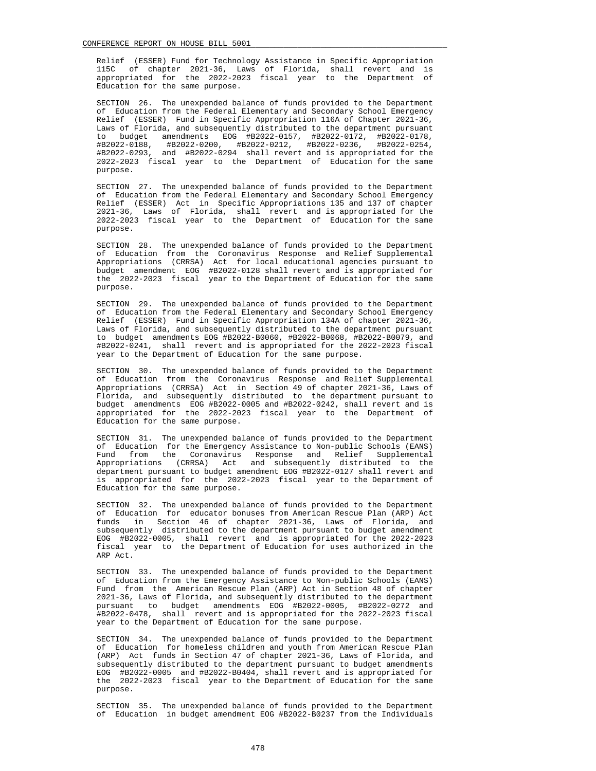Relief (ESSER) Fund for Technology Assistance in Specific Appropriation 115C of chapter 2021-36, Laws of Florida, shall revert and is appropriated for the 2022-2023 fiscal year to the Department of Education for the same purpose.

 SECTION 26. The unexpended balance of funds provided to the Department of Education from the Federal Elementary and Secondary School Emergency Relief (ESSER) Fund in Specific Appropriation 116A of Chapter 2021-36, Laws of Florida, and subsequently distributed to the department pursuant to budget amendments EOG #B2022-0157, #B2022-0172, #B2022-0178, #B2022-0188, #B2022-0200, #B2022-0212, #B2022-0236, #B2022-0254, #B2022-0293, and #B2022-0294 shall revert and is appropriated for the 2022-2023 fiscal year to the Department of Education for the same purpose.

 SECTION 27. The unexpended balance of funds provided to the Department of Education from the Federal Elementary and Secondary School Emergency Relief (ESSER) Act in Specific Appropriations 135 and 137 of chapter 2021-36, Laws of Florida, shall revert and is appropriated for the 2022-2023 fiscal year to the Department of Education for the same purpose.

 SECTION 28. The unexpended balance of funds provided to the Department of Education from the Coronavirus Response and Relief Supplemental Appropriations (CRRSA) Act for local educational agencies pursuant to budget amendment EOG #B2022-0128 shall revert and is appropriated for the 2022-2023 fiscal year to the Department of Education for the same purpose.

 SECTION 29. The unexpended balance of funds provided to the Department of Education from the Federal Elementary and Secondary School Emergency Relief (ESSER) Fund in Specific Appropriation 134A of chapter 2021-36, Laws of Florida, and subsequently distributed to the department pursuant to budget amendments EOG #B2022-B0060, #B2022-B0068, #B2022-B0079, and #B2022-0241, shall revert and is appropriated for the 2022-2023 fiscal year to the Department of Education for the same purpose.

 SECTION 30. The unexpended balance of funds provided to the Department of Education from the Coronavirus Response and Relief Supplemental Appropriations (CRRSA) Act in Section 49 of chapter 2021-36, Laws of Florida, and subsequently distributed to the department pursuant to budget amendments EOG #B2022-0005 and #B2022-0242, shall revert and is appropriated for the 2022-2023 fiscal year to the Department of Education for the same purpose.

 SECTION 31. The unexpended balance of funds provided to the Department of Education for the Emergency Assistance to Non-public Schools (EANS) Fund from the Coronavirus Response and Relief Supplemental Appropriations (CRRSA) Act and subsequently distributed to the department pursuant to budget amendment EOG #B2022-0127 shall revert and is appropriated for the 2022-2023 fiscal year to the Department of Education for the same purpose.

 SECTION 32. The unexpended balance of funds provided to the Department of Education for educator bonuses from American Rescue Plan (ARP) Act funds in Section 46 of chapter 2021-36, Laws of Florida, and subsequently distributed to the department pursuant to budget amendment EOG #B2022-0005, shall revert and is appropriated for the 2022-2023 fiscal year to the Department of Education for uses authorized in the ARP Act.

 SECTION 33. The unexpended balance of funds provided to the Department of Education from the Emergency Assistance to Non-public Schools (EANS) Fund from the American Rescue Plan (ARP) Act in Section 48 of chapter 2021-36, Laws of Florida, and subsequently distributed to the department pursuant to budget amendments EOG #B2022-0005, #B2022-0272 and #B2022-0478, shall revert and is appropriated for the 2022-2023 fiscal year to the Department of Education for the same purpose.

 SECTION 34. The unexpended balance of funds provided to the Department of Education for homeless children and youth from American Rescue Plan (ARP) Act funds in Section 47 of chapter 2021-36, Laws of Florida, and subsequently distributed to the department pursuant to budget amendments EOG #B2022-0005 and #B2022-B0404, shall revert and is appropriated for the 2022-2023 fiscal year to the Department of Education for the same purpose.

 SECTION 35. The unexpended balance of funds provided to the Department of Education in budget amendment EOG #B2022-B0237 from the Individuals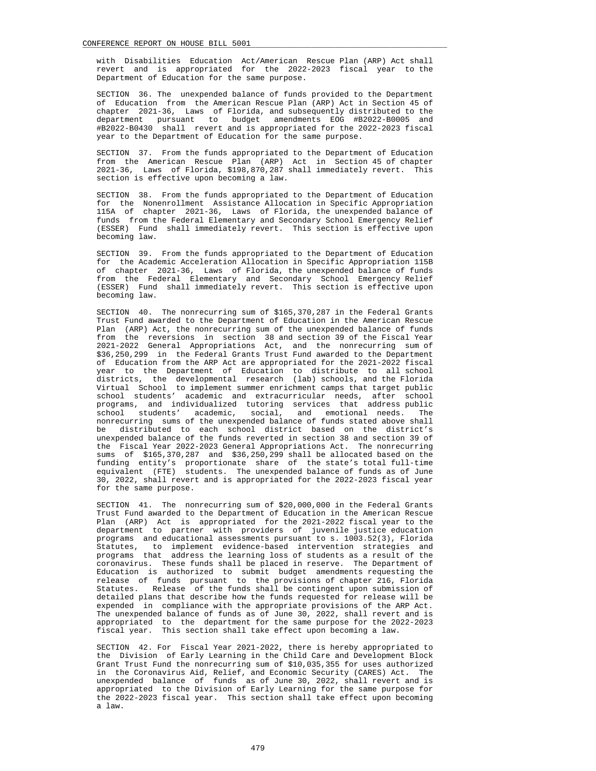with Disabilities Education Act/American Rescue Plan (ARP) Act shall revert and is appropriated for the 2022-2023 fiscal year to the Department of Education for the same purpose.

 SECTION 36. The unexpended balance of funds provided to the Department of Education from the American Rescue Plan (ARP) Act in Section 45 of chapter 2021-36, Laws of Florida, and subsequently distributed to the department pursuant to budget amendments EOG #B2022-B0005 and #B2022-B0430 shall revert and is appropriated for the 2022-2023 fiscal year to the Department of Education for the same purpose.

 SECTION 37. From the funds appropriated to the Department of Education from the American Rescue Plan (ARP) Act in Section 45 of chapter 2021-36, Laws of Florida, \$198,870,287 shall immediately revert. This section is effective upon becoming a law.

 SECTION 38. From the funds appropriated to the Department of Education for the Nonenrollment Assistance Allocation in Specific Appropriation 115A of chapter 2021-36, Laws of Florida, the unexpended balance of funds from the Federal Elementary and Secondary School Emergency Relief (ESSER) Fund shall immediately revert. This section is effective upon becoming law.

 SECTION 39. From the funds appropriated to the Department of Education for the Academic Acceleration Allocation in Specific Appropriation 115B of chapter 2021-36, Laws of Florida, the unexpended balance of funds from the Federal Elementary and Secondary School Emergency Relief (ESSER) Fund shall immediately revert. This section is effective upon becoming law.

 SECTION 40. The nonrecurring sum of \$165,370,287 in the Federal Grants Trust Fund awarded to the Department of Education in the American Rescue Plan (ARP) Act, the nonrecurring sum of the unexpended balance of funds from the reversions in section 38 and section 39 of the Fiscal Year 2021-2022 General Appropriations Act, and the nonrecurring sum of \$36,250,299 in the Federal Grants Trust Fund awarded to the Department of Education from the ARP Act are appropriated for the 2021-2022 fiscal year to the Department of Education to distribute to all school districts, the developmental research (lab) schools, and the Florida Virtual School to implement summer enrichment camps that target public school students' academic and extracurricular needs, after school programs, and individualized tutoring services that address public school students' academic, social, and emotional needs. The nonrecurring sums of the unexpended balance of funds stated above shall be distributed to each school district based on the district's unexpended balance of the funds reverted in section 38 and section 39 of the Fiscal Year 2022-2023 General Appropriations Act. The nonrecurring sums of \$165,370,287 and \$36,250,299 shall be allocated based on the funding entity's proportionate share of the state's total full-time equivalent (FTE) students. The unexpended balance of funds as of June 30, 2022, shall revert and is appropriated for the 2022-2023 fiscal year for the same purpose.

 SECTION 41. The nonrecurring sum of \$20,000,000 in the Federal Grants Trust Fund awarded to the Department of Education in the American Rescue Plan (ARP) Act is appropriated for the 2021-2022 fiscal year to the department to partner with providers of juvenile justice education programs and educational assessments pursuant to s. 1003.52(3), Florida Statutes, to implement evidence-based intervention strategies and programs that address the learning loss of students as a result of the coronavirus. These funds shall be placed in reserve. The Department of Education is authorized to submit budget amendments requesting the release of funds pursuant to the provisions of chapter 216, Florida Statutes. Release of the funds shall be contingent upon submission of detailed plans that describe how the funds requested for release will be expended in compliance with the appropriate provisions of the ARP Act. The unexpended balance of funds as of June 30, 2022, shall revert and is appropriated to the department for the same purpose for the 2022-2023 fiscal year. This section shall take effect upon becoming a law.

 SECTION 42. For Fiscal Year 2021-2022, there is hereby appropriated to the Division of Early Learning in the Child Care and Development Block Grant Trust Fund the nonrecurring sum of \$10,035,355 for uses authorized in the Coronavirus Aid, Relief, and Economic Security (CARES) Act. The unexpended balance of funds as of June 30, 2022, shall revert and is appropriated to the Division of Early Learning for the same purpose for the 2022-2023 fiscal year. This section shall take effect upon becoming a law.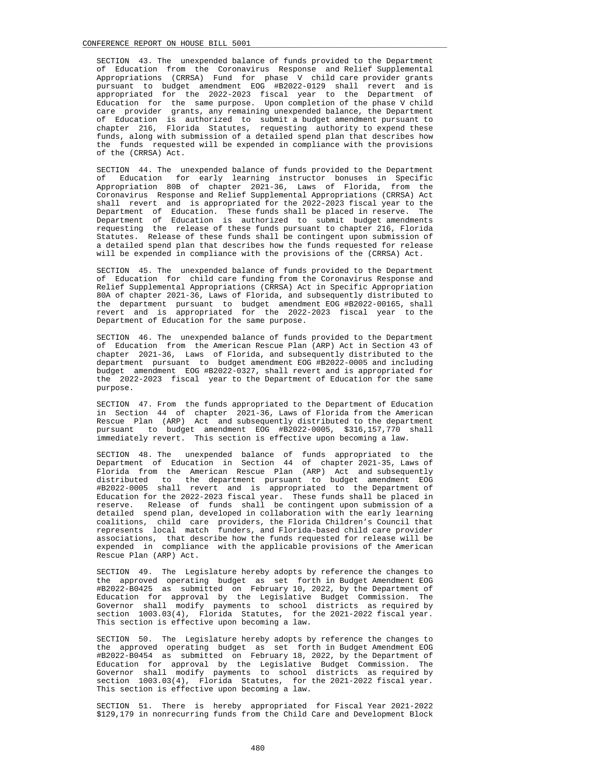SECTION 43. The unexpended balance of funds provided to the Department of Education from the Coronavirus Response and Relief Supplemental Appropriations (CRRSA) Fund for phase V child care provider grants pursuant to budget amendment EOG #B2022-0129 shall revert and is appropriated for the 2022-2023 fiscal year to the Department of Education for the same purpose. Upon completion of the phase V child care provider grants, any remaining unexpended balance, the Department of Education is authorized to submit a budget amendment pursuant to chapter 216, Florida Statutes, requesting authority to expend these funds, along with submission of a detailed spend plan that describes how the funds requested will be expended in compliance with the provisions of the (CRRSA) Act.

 SECTION 44. The unexpended balance of funds provided to the Department of Education for early learning instructor bonuses in Specific Appropriation 80B of chapter 2021-36, Laws of Florida, from the Coronavirus Response and Relief Supplemental Appropriations (CRRSA) Act shall revert and is appropriated for the 2022-2023 fiscal year to the Department of Education. These funds shall be placed in reserve. The Department of Education is authorized to submit budget amendments requesting the release of these funds pursuant to chapter 216, Florida Statutes. Release of these funds shall be contingent upon submission of a detailed spend plan that describes how the funds requested for release will be expended in compliance with the provisions of the (CRRSA) Act.

 SECTION 45. The unexpended balance of funds provided to the Department of Education for child care funding from the Coronavirus Response and Relief Supplemental Appropriations (CRRSA) Act in Specific Appropriation 80A of chapter 2021-36, Laws of Florida, and subsequently distributed to the department pursuant to budget amendment EOG #B2022-00165, shall revert and is appropriated for the 2022-2023 fiscal year to the Department of Education for the same purpose.

 SECTION 46. The unexpended balance of funds provided to the Department of Education from the American Rescue Plan (ARP) Act in Section 43 of chapter 2021-36, Laws of Florida, and subsequently distributed to the department pursuant to budget amendment EOG #B2022-0005 and including budget amendment EOG #B2022-0327, shall revert and is appropriated for the 2022-2023 fiscal year to the Department of Education for the same purpose.

 SECTION 47. From the funds appropriated to the Department of Education in Section 44 of chapter 2021-36, Laws of Florida from the American Rescue Plan (ARP) Act and subsequently distributed to the department pursuant to budget amendment EOG #B2022-0005, \$316,157,770 shall immediately revert. This section is effective upon becoming a law.

 SECTION 48. The unexpended balance of funds appropriated to the Department of Education in Section 44 of chapter 2021-35, Laws of Florida from the American Rescue Plan (ARP) Act and subsequently distributed to the department pursuant to budget amendment EOG #B2022-0005 shall revert and is appropriated to the Department of Education for the 2022-2023 fiscal year. These funds shall be placed in reserve. Release of funds shall be contingent upon submission of a detailed spend plan, developed in collaboration with the early learning coalitions, child care providers, the Florida Children's Council that represents local match funders, and Florida-based child care provider associations, that describe how the funds requested for release will be expended in compliance with the applicable provisions of the American Rescue Plan (ARP) Act.

 SECTION 49. The Legislature hereby adopts by reference the changes to the approved operating budget as set forth in Budget Amendment EOG #B2022-B0425 as submitted on February 10, 2022, by the Department of Education for approval by the Legislative Budget Commission. The Governor shall modify payments to school districts as required by section 1003.03(4), Florida Statutes, for the 2021-2022 fiscal year. This section is effective upon becoming a law.

 SECTION 50. The Legislature hereby adopts by reference the changes to the approved operating budget as set forth in Budget Amendment EOG #B2022-B0454 as submitted on February 18, 2022, by the Department of Education for approval by the Legislative Budget Commission. The Governor shall modify payments to school districts as required by section 1003.03(4), Florida Statutes, for the 2021-2022 fiscal year. This section is effective upon becoming a law.

 SECTION 51. There is hereby appropriated for Fiscal Year 2021-2022 \$129,179 in nonrecurring funds from the Child Care and Development Block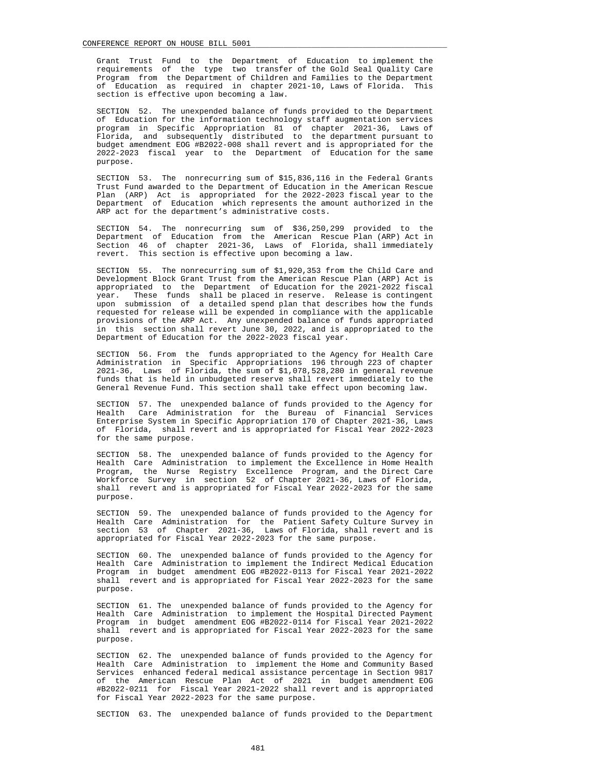Grant Trust Fund to the Department of Education to implement the requirements of the type two transfer of the Gold Seal Quality Care Program from the Department of Children and Families to the Department of Education as required in chapter 2021-10, Laws of Florida. This section is effective upon becoming a law.

 SECTION 52. The unexpended balance of funds provided to the Department of Education for the information technology staff augmentation services program in Specific Appropriation 81 of chapter 2021-36, Laws of Florida, and subsequently distributed to the department pursuant to budget amendment EOG #B2022-008 shall revert and is appropriated for the 2022-2023 fiscal year to the Department of Education for the same purpose.

 SECTION 53. The nonrecurring sum of \$15,836,116 in the Federal Grants Trust Fund awarded to the Department of Education in the American Rescue Plan (ARP) Act is appropriated for the 2022-2023 fiscal year to the Department of Education which represents the amount authorized in the ARP act for the department's administrative costs.

 SECTION 54. The nonrecurring sum of \$36,250,299 provided to the Department of Education from the American Rescue Plan (ARP) Act in Section 46 of chapter 2021-36, Laws of Florida, shall immediately revert. This section is effective upon becoming a law.

 SECTION 55. The nonrecurring sum of \$1,920,353 from the Child Care and Development Block Grant Trust from the American Rescue Plan (ARP) Act is appropriated to the Department of Education for the 2021-2022 fiscal year. These funds shall be placed in reserve. Release is contingent upon submission of a detailed spend plan that describes how the funds requested for release will be expended in compliance with the applicable provisions of the ARP Act. Any unexpended balance of funds appropriated in this section shall revert June 30, 2022, and is appropriated to the Department of Education for the 2022-2023 fiscal year.

 SECTION 56. From the funds appropriated to the Agency for Health Care Administration in Specific Appropriations 196 through 223 of chapter 2021-36, Laws of Florida, the sum of \$1,078,528,280 in general revenue funds that is held in unbudgeted reserve shall revert immediately to the General Revenue Fund. This section shall take effect upon becoming law.

 SECTION 57. The unexpended balance of funds provided to the Agency for Health Care Administration for the Bureau of Financial Services Enterprise System in Specific Appropriation 170 of Chapter 2021-36, Laws of Florida, shall revert and is appropriated for Fiscal Year 2022-2023 for the same purpose.

 SECTION 58. The unexpended balance of funds provided to the Agency for Health Care Administration to implement the Excellence in Home Health Program, the Nurse Registry Excellence Program, and the Direct Care Workforce Survey in section 52 of Chapter 2021-36, Laws of Florida, shall revert and is appropriated for Fiscal Year 2022-2023 for the same purpose.

 SECTION 59. The unexpended balance of funds provided to the Agency for Health Care Administration for the Patient Safety Culture Survey in section 53 of Chapter 2021-36, Laws of Florida, shall revert and is appropriated for Fiscal Year 2022-2023 for the same purpose.

 SECTION 60. The unexpended balance of funds provided to the Agency for Health Care Administration to implement the Indirect Medical Education Program in budget amendment EOG #B2022-0113 for Fiscal Year 2021-2022 shall revert and is appropriated for Fiscal Year 2022-2023 for the same purpose.

 SECTION 61. The unexpended balance of funds provided to the Agency for Health Care Administration to implement the Hospital Directed Payment Program in budget amendment EOG #B2022-0114 for Fiscal Year 2021-2022 shall revert and is appropriated for Fiscal Year 2022-2023 for the same purpose.

 SECTION 62. The unexpended balance of funds provided to the Agency for Health Care Administration to implement the Home and Community Based Services enhanced federal medical assistance percentage in Section 9817 of the American Rescue Plan Act of 2021 in budget amendment EOG #B2022-0211 for Fiscal Year 2021-2022 shall revert and is appropriated for Fiscal Year 2022-2023 for the same purpose.

SECTION 63. The unexpended balance of funds provided to the Department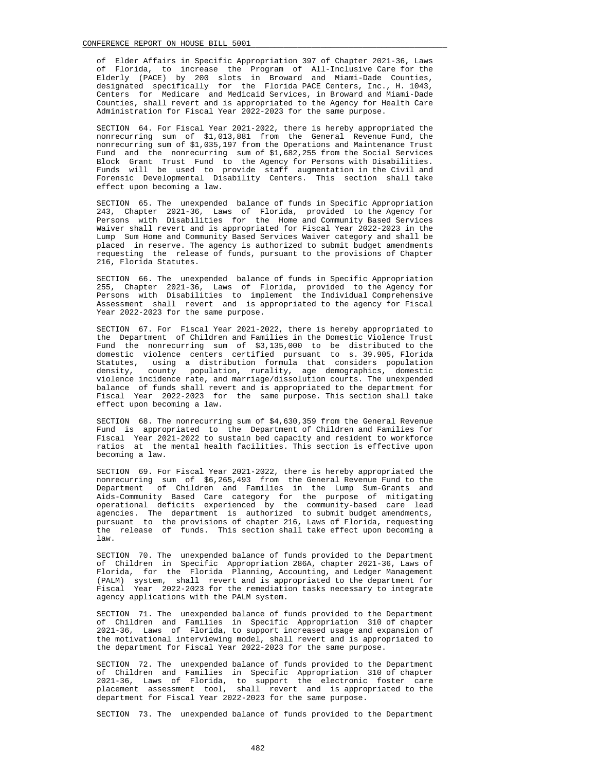of Elder Affairs in Specific Appropriation 397 of Chapter 2021-36, Laws of Florida, to increase the Program of All-Inclusive Care for the Elderly (PACE) by 200 slots in Broward and Miami-Dade Counties, designated specifically for the Florida PACE Centers, Inc., H. 1043, Centers for Medicare and Medicaid Services, in Broward and Miami-Dade Counties, shall revert and is appropriated to the Agency for Health Care Administration for Fiscal Year 2022-2023 for the same purpose.

 SECTION 64. For Fiscal Year 2021-2022, there is hereby appropriated the nonrecurring sum of \$1,013,881 from the General Revenue Fund, the nonrecurring sum of \$1,035,197 from the Operations and Maintenance Trust Fund and the nonrecurring sum of \$1,682,255 from the Social Services Block Grant Trust Fund to the Agency for Persons with Disabilities. Funds will be used to provide staff augmentation in the Civil and Forensic Developmental Disability Centers. This section shall take effect upon becoming a law.

 SECTION 65. The unexpended balance of funds in Specific Appropriation 243, Chapter 2021-36, Laws of Florida, provided to the Agency for Persons with Disabilities for the Home and Community Based Services Waiver shall revert and is appropriated for Fiscal Year 2022-2023 in the Lump Sum Home and Community Based Services Waiver category and shall be placed in reserve. The agency is authorized to submit budget amendments requesting the release of funds, pursuant to the provisions of Chapter 216, Florida Statutes.

 SECTION 66. The unexpended balance of funds in Specific Appropriation 255, Chapter 2021-36, Laws of Florida, provided to the Agency for Persons with Disabilities to implement the Individual Comprehensive Assessment shall revert and is appropriated to the agency for Fiscal Year 2022-2023 for the same purpose.

 SECTION 67. For Fiscal Year 2021-2022, there is hereby appropriated to the Department of Children and Families in the Domestic Violence Trust Fund the nonrecurring sum of \$3,135,000 to be distributed to the domestic violence centers certified pursuant to s. 39.905, Florida Statutes, using a distribution formula that considers population density, county population, rurality, age demographics, domestic violence incidence rate, and marriage/dissolution courts. The unexpended balance of funds shall revert and is appropriated to the department for Fiscal Year 2022-2023 for the same purpose. This section shall take effect upon becoming a law.

 SECTION 68. The nonrecurring sum of \$4,630,359 from the General Revenue Fund is appropriated to the Department of Children and Families for Fiscal Year 2021-2022 to sustain bed capacity and resident to workforce ratios at the mental health facilities. This section is effective upon becoming a law.

 SECTION 69. For Fiscal Year 2021-2022, there is hereby appropriated the nonrecurring sum of \$6,265,493 from the General Revenue Fund to the Department of Children and Families in the Lump Sum-Grants and of Children and Families in the Lump Sum-Grants and Aids-Community Based Care category for the purpose of mitigating operational deficits experienced by the community-based care lead agencies. The department is authorized to submit budget amendments, pursuant to the provisions of chapter 216, Laws of Florida, requesting the release of funds. This section shall take effect upon becoming a law.

 SECTION 70. The unexpended balance of funds provided to the Department of Children in Specific Appropriation 286A, chapter 2021-36, Laws of Florida, for the Florida Planning, Accounting, and Ledger Management (PALM) system, shall revert and is appropriated to the department for Fiscal Year 2022-2023 for the remediation tasks necessary to integrate agency applications with the PALM system.

 SECTION 71. The unexpended balance of funds provided to the Department of Children and Families in Specific Appropriation 310 of chapter 2021-36, Laws of Florida, to support increased usage and expansion of the motivational interviewing model, shall revert and is appropriated to the department for Fiscal Year 2022-2023 for the same purpose.

 SECTION 72. The unexpended balance of funds provided to the Department of Children and Families in Specific Appropriation 310 of chapter 2021-36, Laws of Florida, to support the electronic foster care placement assessment tool, shall revert and is appropriated to the department for Fiscal Year 2022-2023 for the same purpose.

SECTION 73. The unexpended balance of funds provided to the Department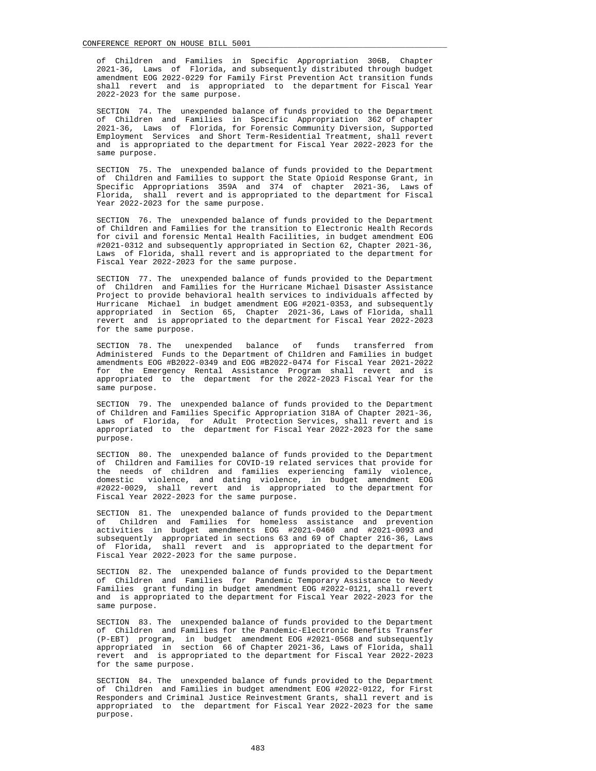of Children and Families in Specific Appropriation 306B, Chapter 2021-36, Laws of Florida, and subsequently distributed through budget amendment EOG 2022-0229 for Family First Prevention Act transition funds shall revert and is appropriated to the department for Fiscal Year 2022-2023 for the same purpose.

 SECTION 74. The unexpended balance of funds provided to the Department of Children and Families in Specific Appropriation 362 of chapter 2021-36, Laws of Florida, for Forensic Community Diversion, Supported Employment Services and Short Term-Residential Treatment, shall revert and is appropriated to the department for Fiscal Year 2022-2023 for the same purpose.

 SECTION 75. The unexpended balance of funds provided to the Department of Children and Families to support the State Opioid Response Grant, in Specific Appropriations 359A and 374 of chapter 2021-36, Laws of Florida, shall revert and is appropriated to the department for Fiscal shall revert and is appropriated to the department for Fiscal Year 2022-2023 for the same purpose.

 SECTION 76. The unexpended balance of funds provided to the Department of Children and Families for the transition to Electronic Health Records for civil and forensic Mental Health Facilities, in budget amendment EOG #2021-0312 and subsequently appropriated in Section 62, Chapter 2021-36, Laws of Florida, shall revert and is appropriated to the department for Fiscal Year 2022-2023 for the same purpose.

 SECTION 77. The unexpended balance of funds provided to the Department of Children and Families for the Hurricane Michael Disaster Assistance Project to provide behavioral health services to individuals affected by Hurricane Michael in budget amendment EOG #2021-0353, and subsequently appropriated in Section 65, Chapter 2021-36, Laws of Florida, shall revert and is appropriated to the department for Fiscal Year 2022-2023 for the same purpose.

 SECTION 78. The unexpended balance of funds transferred from Administered Funds to the Department of Children and Families in budget amendments EOG #B2022-0349 and EOG #B2022-0474 for Fiscal Year 2021-2022 for the Emergency Rental Assistance Program shall revert and is appropriated to the department for the 2022-2023 Fiscal Year for the same purpose.

 SECTION 79. The unexpended balance of funds provided to the Department of Children and Families Specific Appropriation 318A of Chapter 2021-36, Laws of Florida, for Adult Protection Services, shall revert and is appropriated to the department for Fiscal Year 2022-2023 for the same purpose.

 SECTION 80. The unexpended balance of funds provided to the Department of Children and Families for COVID-19 related services that provide for the needs of children and families experiencing family violence, domestic violence, and dating violence, in budget amendment EOG #2022-0029, shall revert and is appropriated to the department for Fiscal Year 2022-2023 for the same purpose.

 SECTION 81. The unexpended balance of funds provided to the Department of Children and Families for homeless assistance and prevention activities in budget amendments EOG #2021-0460 and #2021-0093 and subsequently appropriated in sections 63 and 69 of Chapter 216-36, Laws of Florida, shall revert and is appropriated to the department for Fiscal Year 2022-2023 for the same purpose.

 SECTION 82. The unexpended balance of funds provided to the Department of Children and Families for Pandemic Temporary Assistance to Needy Families grant funding in budget amendment EOG #2022-0121, shall revert and is appropriated to the department for Fiscal Year 2022-2023 for the same purpose.

 SECTION 83. The unexpended balance of funds provided to the Department of Children and Families for the Pandemic-Electronic Benefits Transfer (P-EBT) program, in budget amendment EOG #2021-0568 and subsequently appropriated in section 66 of Chapter 2021-36, Laws of Florida, shall revert and is appropriated to the department for Fiscal Year 2022-2023 for the same purpose.

 SECTION 84. The unexpended balance of funds provided to the Department of Children and Families in budget amendment EOG #2022-0122, for First Responders and Criminal Justice Reinvestment Grants, shall revert and is appropriated to the department for Fiscal Year 2022-2023 for the same purpose.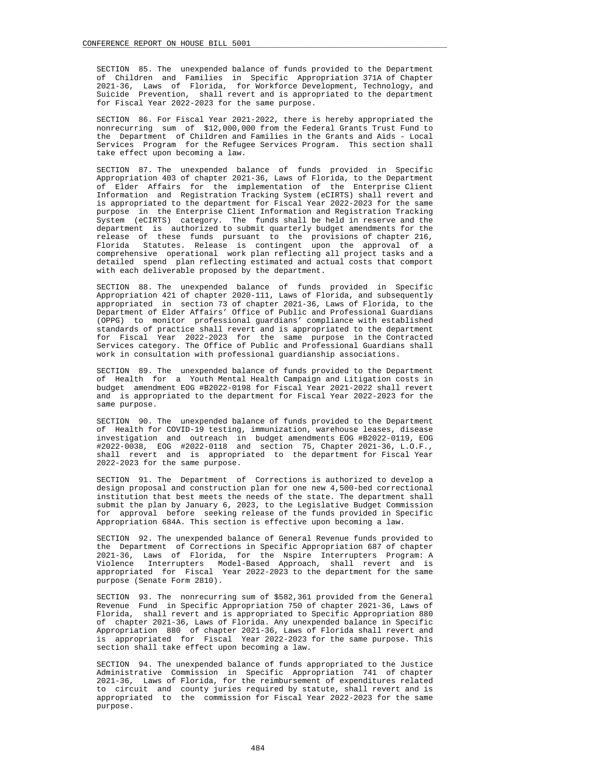SECTION 85. The unexpended balance of funds provided to the Department of Children and Families in Specific Appropriation 371A of Chapter 2021-36, Laws of Florida, for Workforce Development, Technology, and Suicide Prevention, shall revert and is appropriated to the department for Fiscal Year 2022-2023 for the same purpose.

 SECTION 86. For Fiscal Year 2021-2022, there is hereby appropriated the nonrecurring sum of \$12,000,000 from the Federal Grants Trust Fund to the Department of Children and Families in the Grants and Aids - Local Services Program for the Refugee Services Program. This section shall take effect upon becoming a law.

 SECTION 87. The unexpended balance of funds provided in Specific Appropriation 403 of chapter 2021-36, Laws of Florida, to the Department of Elder Affairs for the implementation of the Enterprise Client Information and Registration Tracking System (eCIRTS) shall revert and is appropriated to the department for Fiscal Year 2022-2023 for the same purpose in the Enterprise Client Information and Registration Tracking System (eCIRTS) category. The funds shall be held in reserve and the department is authorized to submit quarterly budget amendments for the release of these funds pursuant to the provisions of chapter 216, Florida Statutes. Release is contingent upon the approval of a comprehensive operational work plan reflecting all project tasks and a detailed spend plan reflecting estimated and actual costs that comport with each deliverable proposed by the department.

 SECTION 88. The unexpended balance of funds provided in Specific Appropriation 421 of chapter 2020-111, Laws of Florida, and subsequently appropriated in section 73 of chapter 2021-36, Laws of Florida, to the Department of Elder Affairs' Office of Public and Professional Guardians (OPPG) to monitor professional guardians' compliance with established standards of practice shall revert and is appropriated to the department for Fiscal Year 2022-2023 for the same purpose in the Contracted Services category. The Office of Public and Professional Guardians shall work in consultation with professional guardianship associations.

 SECTION 89. The unexpended balance of funds provided to the Department of Health for a Youth Mental Health Campaign and Litigation costs in budget amendment EOG #B2022-0198 for Fiscal Year 2021-2022 shall revert and is appropriated to the department for Fiscal Year 2022-2023 for the same purpose.

 SECTION 90. The unexpended balance of funds provided to the Department of Health for COVID-19 testing, immunization, warehouse leases, disease investigation and outreach in budget amendments EOG #B2022-0119, EOG #2022-0038, EOG #2022-0118 and section 75, Chapter 2021-36, L.O.F., shall revert and is appropriated to the department for Fiscal Year 2022-2023 for the same purpose.

 SECTION 91. The Department of Corrections is authorized to develop a design proposal and construction plan for one new 4,500-bed correctional institution that best meets the needs of the state. The department shall submit the plan by January 6, 2023, to the Legislative Budget Commission for approval before seeking release of the funds provided in Specific Appropriation 684A. This section is effective upon becoming a law.

 SECTION 92. The unexpended balance of General Revenue funds provided to the Department of Corrections in Specific Appropriation 687 of chapter 2021-36, Laws of Florida, for the Nspire Interrupters Program: A Violence Interrupters Model-Based Approach, shall revert and is appropriated for Fiscal Year 2022-2023 to the department for the same purpose (Senate Form 2810).

 SECTION 93. The nonrecurring sum of \$582,361 provided from the General Revenue Fund in Specific Appropriation 750 of chapter 2021-36, Laws of Florida, shall revert and is appropriated to Specific Appropriation 880 of chapter 2021-36, Laws of Florida. Any unexpended balance in Specific Appropriation 880 of chapter 2021-36, Laws of Florida shall revert and is appropriated for Fiscal Year 2022-2023 for the same purpose. This section shall take effect upon becoming a law.

 SECTION 94. The unexpended balance of funds appropriated to the Justice Administrative Commission in Specific Appropriation 741 of chapter 2021-36, Laws of Florida, for the reimbursement of expenditures related to circuit and county juries required by statute, shall revert and is appropriated to the commission for Fiscal Year 2022-2023 for the same purpose.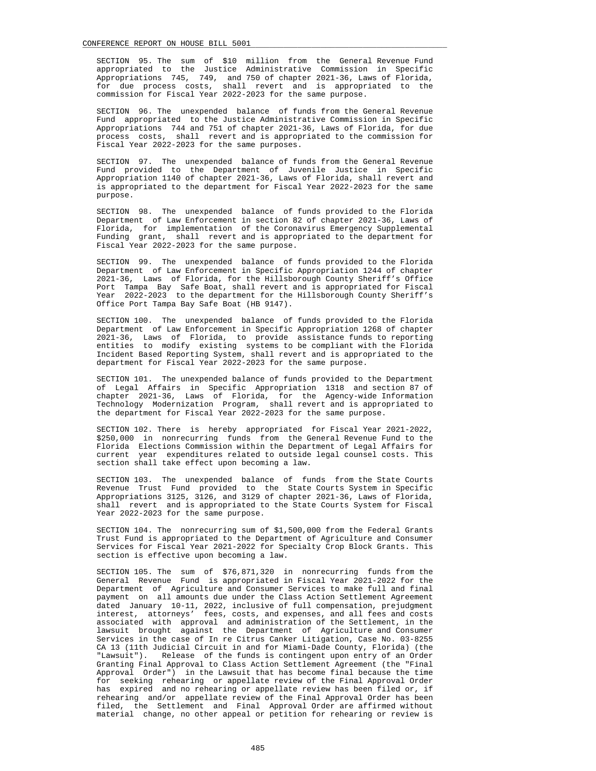SECTION 95. The sum of \$10 million from the General Revenue Fund appropriated to the Justice Administrative Commission in Specific Appropriations 745, 749, and 750 of chapter 2021-36, Laws of Florida, for due process costs, shall revert and is appropriated to the commission for Fiscal Year 2022-2023 for the same purpose.

 SECTION 96. The unexpended balance of funds from the General Revenue Fund appropriated to the Justice Administrative Commission in Specific Appropriations 744 and 751 of chapter 2021-36, Laws of Florida, for due process costs, shall revert and is appropriated to the commission for Fiscal Year 2022-2023 for the same purposes.

 SECTION 97. The unexpended balance of funds from the General Revenue Fund provided to the Department of Juvenile Justice in Specific Appropriation 1140 of chapter 2021-36, Laws of Florida, shall revert and is appropriated to the department for Fiscal Year 2022-2023 for the same purpose.

 SECTION 98. The unexpended balance of funds provided to the Florida Department of Law Enforcement in section 82 of chapter 2021-36, Laws of Florida, for implementation of the Coronavirus Emergency Supplemental Funding grant, shall revert and is appropriated to the department for Fiscal Year 2022-2023 for the same purpose.

 SECTION 99. The unexpended balance of funds provided to the Florida Department of Law Enforcement in Specific Appropriation 1244 of chapter 2021-36, Laws of Florida, for the Hillsborough County Sheriff's Office Port Tampa Bay Safe Boat, shall revert and is appropriated for Fiscal Year 2022-2023 to the department for the Hillsborough County Sheriff's Office Port Tampa Bay Safe Boat (HB 9147).

 SECTION 100. The unexpended balance of funds provided to the Florida Department of Law Enforcement in Specific Appropriation 1268 of chapter 2021-36, Laws of Florida, to provide assistance funds to reporting entities to modify existing systems to be compliant with the Florida Incident Based Reporting System, shall revert and is appropriated to the department for Fiscal Year 2022-2023 for the same purpose.

 SECTION 101. The unexpended balance of funds provided to the Department of Legal Affairs in Specific Appropriation 1318 and section 87 of chapter 2021-36, Laws of Florida, for the Agency-wide Information Technology Modernization Program, shall revert and is appropriated to the department for Fiscal Year 2022-2023 for the same purpose.

 SECTION 102. There is hereby appropriated for Fiscal Year 2021-2022, \$250,000 in nonrecurring funds from the General Revenue Fund to the Florida Elections Commission within the Department of Legal Affairs for current year expenditures related to outside legal counsel costs. This section shall take effect upon becoming a law.

 SECTION 103. The unexpended balance of funds from the State Courts Revenue Trust Fund provided to the State Courts System in Specific Appropriations 3125, 3126, and 3129 of chapter 2021-36, Laws of Florida, shall revert and is appropriated to the State Courts System for Fiscal Year 2022-2023 for the same purpose.

 SECTION 104. The nonrecurring sum of \$1,500,000 from the Federal Grants Trust Fund is appropriated to the Department of Agriculture and Consumer Services for Fiscal Year 2021-2022 for Specialty Crop Block Grants. This section is effective upon becoming a law.

 SECTION 105. The sum of \$76,871,320 in nonrecurring funds from the General Revenue Fund is appropriated in Fiscal Year 2021-2022 for the Department of Agriculture and Consumer Services to make full and final payment on all amounts due under the Class Action Settlement Agreement dated January 10-11, 2022, inclusive of full compensation, prejudgment interest, attorneys' fees, costs, and expenses, and all fees and costs associated with approval and administration of the Settlement, in the lawsuit brought against the Department of Agriculture and Consumer Services in the case of In re Citrus Canker Litigation, Case No. 03-8255 CA 13 (11th Judicial Circuit in and for Miami-Dade County, Florida) (the "Lawsuit"). Release of the funds is contingent upon entry of an Order Granting Final Approval to Class Action Settlement Agreement (the "Final Approval Order") in the Lawsuit that has become final because the time for seeking rehearing or appellate review of the Final Approval Order has expired and no rehearing or appellate review has been filed or, if rehearing and/or appellate review of the Final Approval Order has been filed, the Settlement and Final Approval Order are affirmed without material change, no other appeal or petition for rehearing or review is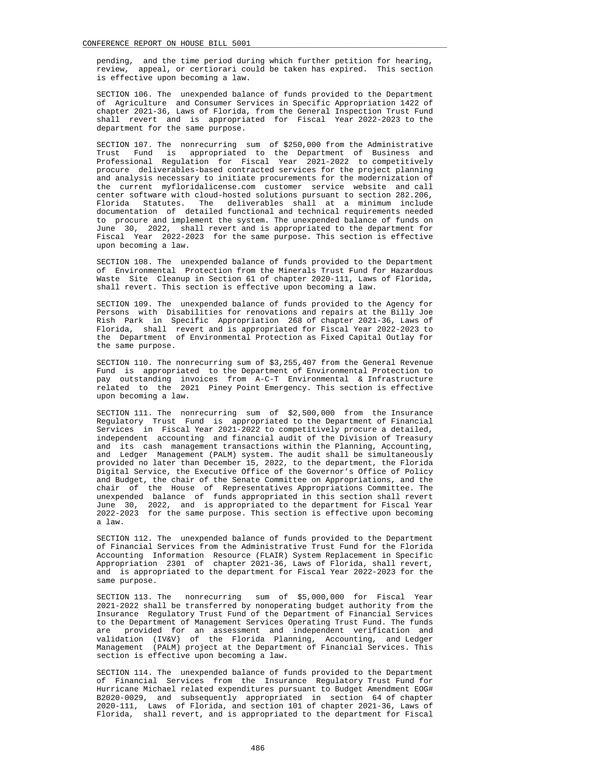pending, and the time period during which further petition for hearing, review, appeal, or certiorari could be taken has expired. This section is effective upon becoming a law.

 SECTION 106. The unexpended balance of funds provided to the Department of Agriculture and Consumer Services in Specific Appropriation 1422 of chapter 2021-36, Laws of Florida, from the General Inspection Trust Fund shall revert and is appropriated for Fiscal Year 2022-2023 to the department for the same purpose.

 SECTION 107. The nonrecurring sum of \$250,000 from the Administrative Trust Fund is appropriated to the Department of Business and Professional Regulation for Fiscal Year 2021-2022 to competitively procure deliverables-based contracted services for the project planning and analysis necessary to initiate procurements for the modernization of the current myfloridalicense.com customer service website and call center software with cloud-hosted solutions pursuant to section 282.206, Florida Statutes. The deliverables shall at a minimum include documentation of detailed functional and technical requirements needed to procure and implement the system. The unexpended balance of funds on June 30, 2022, shall revert and is appropriated to the department for Fiscal Year 2022-2023 for the same purpose. This section is effective upon becoming a law.

 SECTION 108. The unexpended balance of funds provided to the Department of Environmental Protection from the Minerals Trust Fund for Hazardous Waste Site Cleanup in Section 61 of chapter 2020-111, Laws of Florida, shall revert. This section is effective upon becoming a law.

 SECTION 109. The unexpended balance of funds provided to the Agency for Persons with Disabilities for renovations and repairs at the Billy Joe Rish Park in Specific Appropriation 268 of chapter 2021-36, Laws of Florida, shall revert and is appropriated for Fiscal Year 2022-2023 to the Department of Environmental Protection as Fixed Capital Outlay for the same purpose.

 SECTION 110. The nonrecurring sum of \$3,255,407 from the General Revenue Fund is appropriated to the Department of Environmental Protection to pay outstanding invoices from A-C-T Environmental & Infrastructure related to the 2021 Piney Point Emergency. This section is effective upon becoming a law.

 SECTION 111. The nonrecurring sum of \$2,500,000 from the Insurance Regulatory Trust Fund is appropriated to the Department of Financial Services in Fiscal Year 2021-2022 to competitively procure a detailed, independent accounting and financial audit of the Division of Treasury and its cash management transactions within the Planning, Accounting, and Ledger Management (PALM) system. The audit shall be simultaneously provided no later than December 15, 2022, to the department, the Florida Digital Service, the Executive Office of the Governor's Office of Policy and Budget, the chair of the Senate Committee on Appropriations, and the chair of the House of Representatives Appropriations Committee. The unexpended balance of funds appropriated in this section shall revert June 30, 2022, and is appropriated to the department for Fiscal Year 2022-2023 for the same purpose. This section is effective upon becoming a law.

 SECTION 112. The unexpended balance of funds provided to the Department of Financial Services from the Administrative Trust Fund for the Florida Accounting Information Resource (FLAIR) System Replacement in Specific Appropriation 2301 of chapter 2021-36, Laws of Florida, shall revert, and is appropriated to the department for Fiscal Year 2022-2023 for the same purpose.

 SECTION 113. The nonrecurring sum of \$5,000,000 for Fiscal Year 2021-2022 shall be transferred by nonoperating budget authority from the Insurance Regulatory Trust Fund of the Department of Financial Services to the Department of Management Services Operating Trust Fund. The funds are provided for an assessment and independent verification and validation (IV&V) of the Florida Planning, Accounting, and Ledger Management (PALM) project at the Department of Financial Services. This section is effective upon becoming a law.

 SECTION 114. The unexpended balance of funds provided to the Department of Financial Services from the Insurance Regulatory Trust Fund for Hurricane Michael related expenditures pursuant to Budget Amendment EOG# B2020-0029, and subsequently appropriated in section 64 of chapter 2020-111, Laws of Florida, and section 101 of chapter 2021-36, Laws of Florida, shall revert, and is appropriated to the department for Fiscal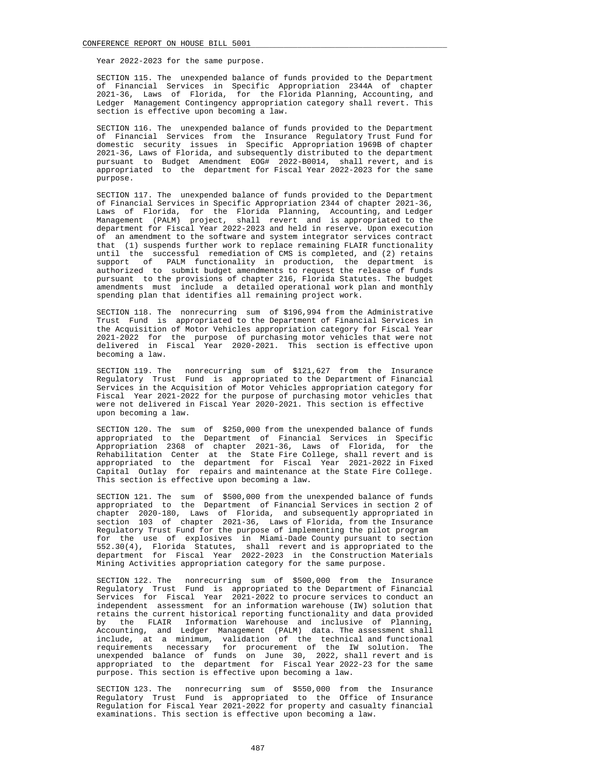Year 2022-2023 for the same purpose.

 SECTION 115. The unexpended balance of funds provided to the Department of Financial Services in Specific Appropriation 2344A of chapter 2021-36, Laws of Florida, for the Florida Planning, Accounting, and Ledger Management Contingency appropriation category shall revert. This section is effective upon becoming a law.

 SECTION 116. The unexpended balance of funds provided to the Department of Financial Services from the Insurance Regulatory Trust Fund for domestic security issues in Specific Appropriation 1969B of chapter 2021-36, Laws of Florida, and subsequently distributed to the department pursuant to Budget Amendment EOG# 2022-B0014, shall revert, and is appropriated to the department for Fiscal Year 2022-2023 for the same purpose.

 SECTION 117. The unexpended balance of funds provided to the Department of Financial Services in Specific Appropriation 2344 of chapter 2021-36, Laws of Florida, for the Florida Planning, Accounting, and Ledger Management (PALM) project, shall revert and is appropriated to the department for Fiscal Year 2022-2023 and held in reserve. Upon execution of an amendment to the software and system integrator services contract that (1) suspends further work to replace remaining FLAIR functionality until the successful remediation of CMS is completed, and (2) retains support of PALM functionality in production, the department is authorized to submit budget amendments to request the release of funds pursuant to the provisions of chapter 216, Florida Statutes. The budget amendments must include a detailed operational work plan and monthly spending plan that identifies all remaining project work.

 SECTION 118. The nonrecurring sum of \$196,994 from the Administrative Trust Fund is appropriated to the Department of Financial Services in the Acquisition of Motor Vehicles appropriation category for Fiscal Year 2021-2022 for the purpose of purchasing motor vehicles that were not delivered in Fiscal Year 2020-2021. This section is effective upon becoming a law.

 SECTION 119. The nonrecurring sum of \$121,627 from the Insurance Regulatory Trust Fund is appropriated to the Department of Financial Services in the Acquisition of Motor Vehicles appropriation category for Fiscal Year 2021-2022 for the purpose of purchasing motor vehicles that were not delivered in Fiscal Year 2020-2021. This section is effective upon becoming a law.

 SECTION 120. The sum of \$250,000 from the unexpended balance of funds appropriated to the Department of Financial Services in Specific Appropriation 2368 of chapter 2021-36, Laws of Florida, for the Rehabilitation Center at the State Fire College, shall revert and is appropriated to the department for Fiscal Year 2021-2022 in Fixed Capital Outlay for repairs and maintenance at the State Fire College. This section is effective upon becoming a law.

 SECTION 121. The sum of \$500,000 from the unexpended balance of funds appropriated to the Department of Financial Services in section 2 of chapter 2020-180, Laws of Florida, and subsequently appropriated in section 103 of chapter 2021-36, Laws of Florida, from the Insurance Regulatory Trust Fund for the purpose of implementing the pilot program for the use of explosives in Miami-Dade County pursuant to section 552.30(4), Florida Statutes, shall revert and is appropriated to the department for Fiscal Year 2022-2023 in the Construction Materials Mining Activities appropriation category for the same purpose.

 SECTION 122. The nonrecurring sum of \$500,000 from the Insurance Regulatory Trust Fund is appropriated to the Department of Financial Services for Fiscal Year 2021-2022 to procure services to conduct an independent assessment for an information warehouse (IW) solution that retains the current historical reporting functionality and data provided by the FLAIR Information Warehouse and inclusive of Planning, Accounting, and Ledger Management (PALM) data. The assessment shall include, at a minimum, validation of the technical and functional requirements necessary for procurement of the IW solution. The unexpended balance of funds on June 30, 2022, shall revert and is appropriated to the department for Fiscal Year 2022-23 for the same purpose. This section is effective upon becoming a law.

 SECTION 123. The nonrecurring sum of \$550,000 from the Insurance Regulatory Trust Fund is appropriated to the Office of Insurance Regulation for Fiscal Year 2021-2022 for property and casualty financial examinations. This section is effective upon becoming a law.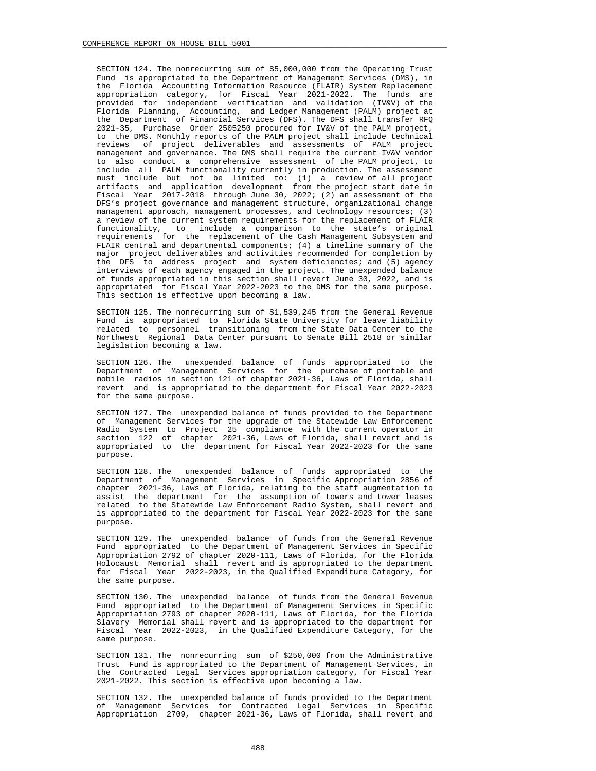SECTION 124. The nonrecurring sum of \$5,000,000 from the Operating Trust Fund is appropriated to the Department of Management Services (DMS), in the Florida Accounting Information Resource (FLAIR) System Replacement appropriation category, for Fiscal Year 2021-2022. The funds are provided for independent verification and validation (IV&V) of the Florida Planning, Accounting, and Ledger Management (PALM) project at the Department of Financial Services (DFS). The DFS shall transfer RFQ 2021-35, Purchase Order 2505250 procured for IV&V of the PALM project, to the DMS. Monthly reports of the PALM project shall include technical reviews of project deliverables and assessments of PALM project management and governance. The DMS shall require the current IV&V vendor to also conduct a comprehensive assessment of the PALM project, to include all PALM functionality currently in production. The assessment must include but not be limited to: (1) a review of all project artifacts and application development from the project start date in Fiscal Year 2017-2018 through June 30, 2022; (2) an assessment of the DFS's project governance and management structure, organizational change management approach, management processes, and technology resources; (3) a review of the current system requirements for the replacement of FLAIR functionality, to include a comparison to the state's original requirements for the replacement of the Cash Management Subsystem and FLAIR central and departmental components; (4) a timeline summary of the major project deliverables and activities recommended for completion by the DFS to address project and system deficiencies; and (5) agency interviews of each agency engaged in the project. The unexpended balance of funds appropriated in this section shall revert June 30, 2022, and is appropriated for Fiscal Year 2022-2023 to the DMS for the same purpose. This section is effective upon becoming a law.

 SECTION 125. The nonrecurring sum of \$1,539,245 from the General Revenue Fund is appropriated to Florida State University for leave liability related to personnel transitioning from the State Data Center to the Northwest Regional Data Center pursuant to Senate Bill 2518 or similar legislation becoming a law.

 SECTION 126. The unexpended balance of funds appropriated to the Department of Management Services for the purchase of portable and mobile radios in section 121 of chapter 2021-36, Laws of Florida, shall revert and is appropriated to the department for Fiscal Year 2022-2023 for the same purpose.

 SECTION 127. The unexpended balance of funds provided to the Department of Management Services for the upgrade of the Statewide Law Enforcement Radio System to Project 25 compliance with the current operator in section 122 of chapter 2021-36, Laws of Florida, shall revert and is appropriated to the department for Fiscal Year 2022-2023 for the same purpose.

 SECTION 128. The unexpended balance of funds appropriated to the Department of Management Services in Specific Appropriation 2856 of chapter 2021-36, Laws of Florida, relating to the staff augmentation to assist the department for the assumption of towers and tower leases related to the Statewide Law Enforcement Radio System, shall revert and is appropriated to the department for Fiscal Year 2022-2023 for the same purpose.

 SECTION 129. The unexpended balance of funds from the General Revenue Fund appropriated to the Department of Management Services in Specific Appropriation 2792 of chapter 2020-111, Laws of Florida, for the Florida Holocaust Memorial shall revert and is appropriated to the department for Fiscal Year 2022-2023, in the Qualified Expenditure Category, for the same purpose.

 SECTION 130. The unexpended balance of funds from the General Revenue Fund appropriated to the Department of Management Services in Specific Appropriation 2793 of chapter 2020-111, Laws of Florida, for the Florida Slavery Memorial shall revert and is appropriated to the department for Fiscal Year 2022-2023, in the Qualified Expenditure Category, for the same purpose.

 SECTION 131. The nonrecurring sum of \$250,000 from the Administrative Trust Fund is appropriated to the Department of Management Services, in the Contracted Legal Services appropriation category, for Fiscal Year 2021-2022. This section is effective upon becoming a law.

 SECTION 132. The unexpended balance of funds provided to the Department of Management Services for Contracted Legal Services in Specific Appropriation 2709, chapter 2021-36, Laws of Florida, shall revert and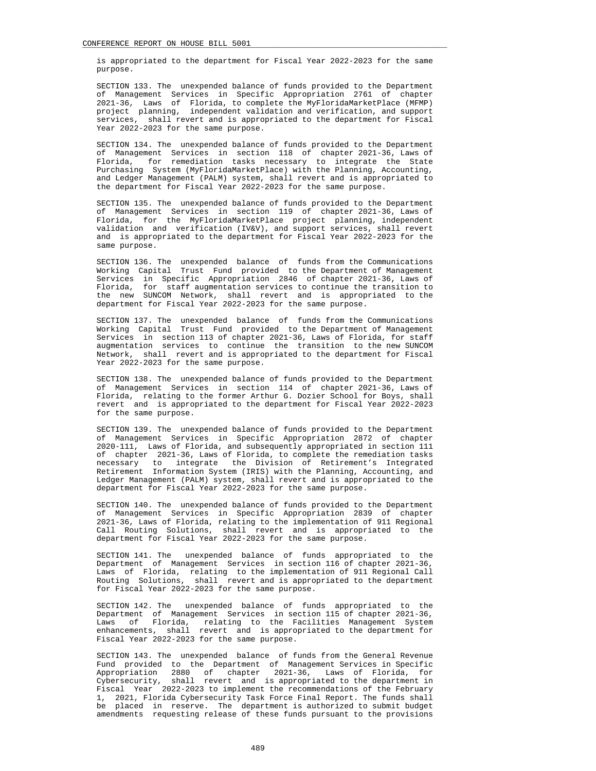is appropriated to the department for Fiscal Year 2022-2023 for the same purpose.

 SECTION 133. The unexpended balance of funds provided to the Department of Management Services in Specific Appropriation 2761 of chapter 2021-36, Laws of Florida, to complete the MyFloridaMarketPlace (MFMP) project planning, independent validation and verification, and support services, shall revert and is appropriated to the department for Fiscal Year 2022-2023 for the same purpose.

 SECTION 134. The unexpended balance of funds provided to the Department of Management Services in section 118 of chapter 2021-36, Laws of Florida, for remediation tasks necessary to integrate the State Purchasing System (MyFloridaMarketPlace) with the Planning, Accounting, and Ledger Management (PALM) system, shall revert and is appropriated to the department for Fiscal Year 2022-2023 for the same purpose.

 SECTION 135. The unexpended balance of funds provided to the Department of Management Services in section 119 of chapter 2021-36, Laws of Florida, for the MyFloridaMarketPlace project planning, independent validation and verification (IV&V), and support services, shall revert and is appropriated to the department for Fiscal Year 2022-2023 for the same purpose.

 SECTION 136. The unexpended balance of funds from the Communications Working Capital Trust Fund provided to the Department of Management Services in Specific Appropriation 2846 of chapter 2021-36, Laws of Florida, for staff augmentation services to continue the transition to the new SUNCOM Network, shall revert and is appropriated to the department for Fiscal Year 2022-2023 for the same purpose.

 SECTION 137. The unexpended balance of funds from the Communications Working Capital Trust Fund provided to the Department of Management Services in section 113 of chapter 2021-36, Laws of Florida, for staff augmentation services to continue the transition to the new SUNCOM Network, shall revert and is appropriated to the department for Fiscal Year 2022-2023 for the same purpose.

 SECTION 138. The unexpended balance of funds provided to the Department of Management Services in section 114 of chapter 2021-36, Laws of Florida, relating to the former Arthur G. Dozier School for Boys, shall revert and is appropriated to the department for Fiscal Year 2022-2023 for the same purpose.

 SECTION 139. The unexpended balance of funds provided to the Department of Management Services in Specific Appropriation 2872 of chapter 2020-111, Laws of Florida, and subsequently appropriated in section 111 of chapter 2021-36, Laws of Florida, to complete the remediation tasks necessary to integrate the Division of Retirement's Integrated Retirement Information System (IRIS) with the Planning, Accounting, and Ledger Management (PALM) system, shall revert and is appropriated to the department for Fiscal Year 2022-2023 for the same purpose.

 SECTION 140. The unexpended balance of funds provided to the Department of Management Services in Specific Appropriation 2839 of chapter 2021-36, Laws of Florida, relating to the implementation of 911 Regional Call Routing Solutions, shall revert and is appropriated to the department for Fiscal Year 2022-2023 for the same purpose.

 SECTION 141. The unexpended balance of funds appropriated to the Department of Management Services in section 116 of chapter 2021-36, Laws of Florida, relating to the implementation of 911 Regional Call Routing Solutions, shall revert and is appropriated to the department for Fiscal Year 2022-2023 for the same purpose.

 SECTION 142. The unexpended balance of funds appropriated to the Department of Management Services in section 115 of chapter 2021-36, Laws of Florida, relating to the Facilities Management System enhancements, shall revert and is appropriated to the department for Fiscal Year 2022-2023 for the same purpose.

 SECTION 143. The unexpended balance of funds from the General Revenue Fund provided to the Department of Management Services in Specific Appropriation 2880 of chapter 2021-36, Laws of Florida, for Cybersecurity, shall revert and is appropriated to the department in Fiscal Year 2022-2023 to implement the recommendations of the February 1, 2021, Florida Cybersecurity Task Force Final Report. The funds shall be placed in reserve. The department is authorized to submit budget amendments requesting release of these funds pursuant to the provisions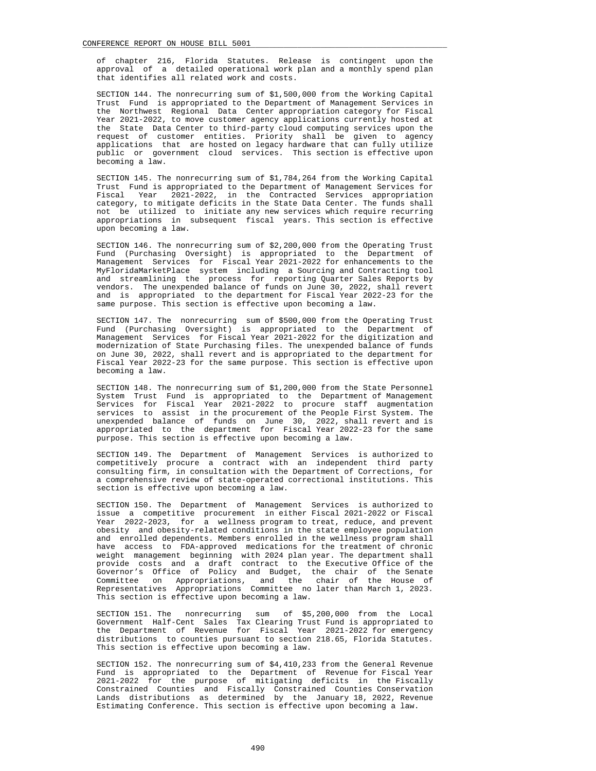of chapter 216, Florida Statutes. Release is contingent upon the approval of a detailed operational work plan and a monthly spend plan that identifies all related work and costs.

 SECTION 144. The nonrecurring sum of \$1,500,000 from the Working Capital Trust Fund is appropriated to the Department of Management Services in the Northwest Regional Data Center appropriation category for Fiscal Year 2021-2022, to move customer agency applications currently hosted at the State Data Center to third-party cloud computing services upon the request of customer entities. Priority shall be given to agency applications that are hosted on legacy hardware that can fully utilize public or government cloud services. This section is effective upon becoming a law.

 SECTION 145. The nonrecurring sum of \$1,784,264 from the Working Capital Trust Fund is appropriated to the Department of Management Services for Fiscal Year 2021-2022, in the Contracted Services appropriation category, to mitigate deficits in the State Data Center. The funds shall not be utilized to initiate any new services which require recurring appropriations in subsequent fiscal years. This section is effective upon becoming a law.

 SECTION 146. The nonrecurring sum of \$2,200,000 from the Operating Trust Fund (Purchasing Oversight) is appropriated to the Department of Management Services for Fiscal Year 2021-2022 for enhancements to the MyFloridaMarketPlace system including a Sourcing and Contracting tool and streamlining the process for reporting Quarter Sales Reports by vendors. The unexpended balance of funds on June 30, 2022, shall revert and is appropriated to the department for Fiscal Year 2022-23 for the same purpose. This section is effective upon becoming a law.

 SECTION 147. The nonrecurring sum of \$500,000 from the Operating Trust Fund (Purchasing Oversight) is appropriated to the Department of Management Services for Fiscal Year 2021-2022 for the digitization and modernization of State Purchasing files. The unexpended balance of funds on June 30, 2022, shall revert and is appropriated to the department for Fiscal Year 2022-23 for the same purpose. This section is effective upon becoming a law.

 SECTION 148. The nonrecurring sum of \$1,200,000 from the State Personnel System Trust Fund is appropriated to the Department of Management Services for Fiscal Year 2021-2022 to procure staff augmentation services to assist in the procurement of the People First System. The unexpended balance of funds on June 30, 2022, shall revert and is appropriated to the department for Fiscal Year 2022-23 for the same purpose. This section is effective upon becoming a law.

 SECTION 149. The Department of Management Services is authorized to competitively procure a contract with an independent third party consulting firm, in consultation with the Department of Corrections, for a comprehensive review of state-operated correctional institutions. This section is effective upon becoming a law.

 SECTION 150. The Department of Management Services is authorized to issue a competitive procurement in either Fiscal 2021-2022 or Fiscal Year 2022-2023, for a wellness program to treat, reduce, and prevent obesity and obesity-related conditions in the state employee population and enrolled dependents. Members enrolled in the wellness program shall have access to FDA-approved medications for the treatment of chronic weight management beginning with 2024 plan year. The department shall provide costs and a draft contract to the Executive Office of the Governor's Office of Policy and Budget, the chair of the Senate Committee on Appropriations, and the chair of the House of Representatives Appropriations Committee no later than March 1, 2023. This section is effective upon becoming a law.

 SECTION 151. The nonrecurring sum of \$5,200,000 from the Local Government Half-Cent Sales Tax Clearing Trust Fund is appropriated to the Department of Revenue for Fiscal Year 2021-2022 for emergency distributions to counties pursuant to section 218.65, Florida Statutes. This section is effective upon becoming a law.

 SECTION 152. The nonrecurring sum of \$4,410,233 from the General Revenue Fund is appropriated to the Department of Revenue for Fiscal Year 2021-2022 for the purpose of mitigating deficits in the Fiscally Constrained Counties and Fiscally Constrained Counties Conservation Lands distributions as determined by the January 18, 2022, Revenue Estimating Conference. This section is effective upon becoming a law.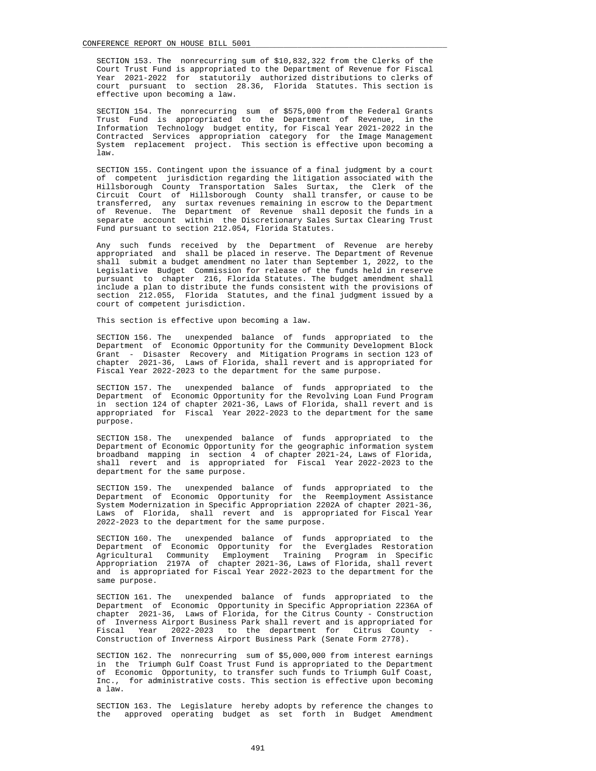SECTION 153. The nonrecurring sum of \$10,832,322 from the Clerks of the Court Trust Fund is appropriated to the Department of Revenue for Fiscal Year 2021-2022 for statutorily authorized distributions to clerks of court pursuant to section 28.36, Florida Statutes. This section is effective upon becoming a law.

 SECTION 154. The nonrecurring sum of \$575,000 from the Federal Grants Trust Fund is appropriated to the Department of Revenue, in the Information Technology budget entity, for Fiscal Year 2021-2022 in the Contracted Services appropriation category for the Image Management System replacement project. This section is effective upon becoming a law.

 SECTION 155. Contingent upon the issuance of a final judgment by a court of competent jurisdiction regarding the litigation associated with the Hillsborough County Transportation Sales Surtax, the Clerk of the Circuit Court of Hillsborough County shall transfer, or cause to be transferred, any surtax revenues remaining in escrow to the Department of Revenue. The Department of Revenue shall deposit the funds in a separate account within the Discretionary Sales Surtax Clearing Trust Fund pursuant to section 212.054, Florida Statutes.

 Any such funds received by the Department of Revenue are hereby appropriated and shall be placed in reserve. The Department of Revenue shall submit a budget amendment no later than September 1, 2022, to the Legislative Budget Commission for release of the funds held in reserve pursuant to chapter 216, Florida Statutes. The budget amendment shall include a plan to distribute the funds consistent with the provisions of section 212.055, Florida Statutes, and the final judgment issued by a court of competent jurisdiction.

This section is effective upon becoming a law.

 SECTION 156. The unexpended balance of funds appropriated to the Department of Economic Opportunity for the Community Development Block Grant - Disaster Recovery and Mitigation Programs in section 123 of chapter 2021-36, Laws of Florida, shall revert and is appropriated for Fiscal Year 2022-2023 to the department for the same purpose.

 SECTION 157. The unexpended balance of funds appropriated to the Department of Economic Opportunity for the Revolving Loan Fund Program in section 124 of chapter 2021-36, Laws of Florida, shall revert and is appropriated for Fiscal Year 2022-2023 to the department for the same purpose.

 SECTION 158. The unexpended balance of funds appropriated to the Department of Economic Opportunity for the geographic information system broadband mapping in section 4 of chapter 2021-24, Laws of Florida, shall revert and is appropriated for Fiscal Year 2022-2023 to the department for the same purpose.

 SECTION 159. The unexpended balance of funds appropriated to the Department of Economic Opportunity for the Reemployment Assistance System Modernization in Specific Appropriation 2202A of chapter 2021-36, Laws of Florida, shall revert and is appropriated for Fiscal Year 2022-2023 to the department for the same purpose.

 SECTION 160. The unexpended balance of funds appropriated to the Department of Economic Opportunity for the Everglades Restoration Agricultural Community Employment Training Program in Specific Appropriation 2197A of chapter 2021-36, Laws of Florida, shall revert and is appropriated for Fiscal Year 2022-2023 to the department for the same purpose.

 SECTION 161. The unexpended balance of funds appropriated to the Department of Economic Opportunity in Specific Appropriation 2236A of chapter 2021-36, Laws of Florida, for the Citrus County - Construction of Inverness Airport Business Park shall revert and is appropriated for Fiscal Year 2022-2023 to the department for Citrus County - Construction of Inverness Airport Business Park (Senate Form 2778).

 SECTION 162. The nonrecurring sum of \$5,000,000 from interest earnings in the Triumph Gulf Coast Trust Fund is appropriated to the Department of Economic Opportunity, to transfer such funds to Triumph Gulf Coast, Inc., for administrative costs. This section is effective upon becoming a law.

 SECTION 163. The Legislature hereby adopts by reference the changes to the approved operating budget as set forth in Budget Amendment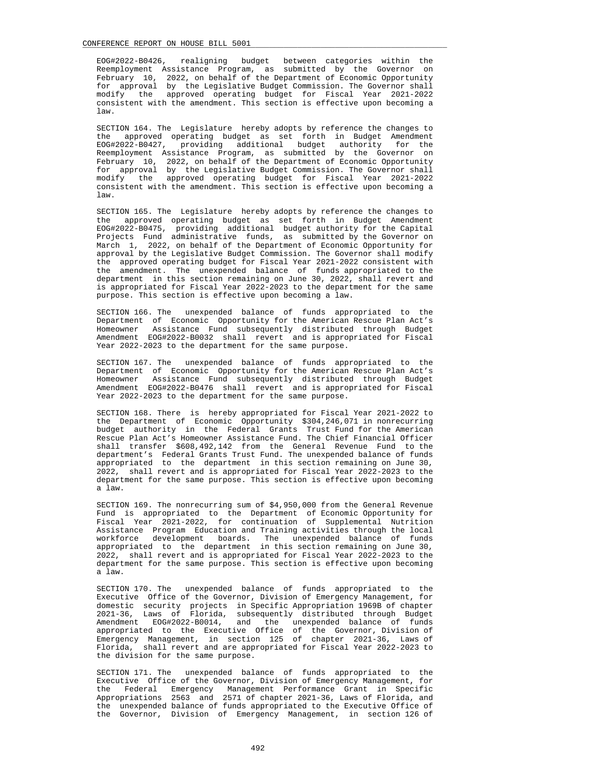EOG#2022-B0426, realigning budget between categories within the Reemployment Assistance Program, as submitted by the Governor on February 10, 2022, on behalf of the Department of Economic Opportunity for approval by the Legislative Budget Commission. The Governor shall modify the approved operating budget for Fiscal Year 2021-2022 consistent with the amendment. This section is effective upon becoming a law.

 SECTION 164. The Legislature hereby adopts by reference the changes to the approved operating budget as set forth in Budget Amendment EOG#2022-B0427, providing additional budget authority for the Reemployment Assistance Program, as submitted by the Governor on February 10, 2022, on behalf of the Department of Economic Opportunity for approval by the Legislative Budget Commission. The Governor shall modify the approved operating budget for Fiscal Year 2021-2022 consistent with the amendment. This section is effective upon becoming a law.

 SECTION 165. The Legislature hereby adopts by reference the changes to the approved operating budget as set forth in Budget Amendment EOG#2022-B0475, providing additional budget authority for the Capital Projects Fund administrative funds, as submitted by the Governor on March 1, 2022, on behalf of the Department of Economic Opportunity for approval by the Legislative Budget Commission. The Governor shall modify the approved operating budget for Fiscal Year 2021-2022 consistent with the amendment. The unexpended balance of funds appropriated to the department in this section remaining on June 30, 2022, shall revert and is appropriated for Fiscal Year 2022-2023 to the department for the same purpose. This section is effective upon becoming a law.

 SECTION 166. The unexpended balance of funds appropriated to the Department of Economic Opportunity for the American Rescue Plan Act's Homeowner Assistance Fund subsequently distributed through Budget Amendment EOG#2022-B0032 shall revert and is appropriated for Fiscal Year 2022-2023 to the department for the same purpose.

 SECTION 167. The unexpended balance of funds appropriated to the Department of Economic Opportunity for the American Rescue Plan Act's Homeowner Assistance Fund subsequently distributed through Budget Amendment EOG#2022-B0476 shall revert and is appropriated for Fiscal Year 2022-2023 to the department for the same purpose.

 SECTION 168. There is hereby appropriated for Fiscal Year 2021-2022 to the Department of Economic Opportunity \$304,246,071 in nonrecurring budget authority in the Federal Grants Trust Fund for the American Rescue Plan Act's Homeowner Assistance Fund. The Chief Financial Officer shall transfer \$608,492,142 from the General Revenue Fund to the department's Federal Grants Trust Fund. The unexpended balance of funds appropriated to the department in this section remaining on June 30, 2022, shall revert and is appropriated for Fiscal Year 2022-2023 to the department for the same purpose. This section is effective upon becoming a law.

 SECTION 169. The nonrecurring sum of \$4,950,000 from the General Revenue Fund is appropriated to the Department of Economic Opportunity for Fiscal Year 2021-2022, for continuation of Supplemental Nutrition Assistance Program Education and Training activities through the local workforce development boards. The unexpended balance of funds appropriated to the department in this section remaining on June 30, 2022, shall revert and is appropriated for Fiscal Year 2022-2023 to the department for the same purpose. This section is effective upon becoming a law.

 SECTION 170. The unexpended balance of funds appropriated to the Executive Office of the Governor, Division of Emergency Management, for domestic security projects in Specific Appropriation 1969B of chapter 2021-36, Laws of Florida, subsequently distributed through Budget Amendment EOG#2022-B0014, and the unexpended balance of funds appropriated to the Executive Office of the Governor, Division of Emergency Management, in section 125 of chapter 2021-36, Laws of Florida, shall revert and are appropriated for Fiscal Year 2022-2023 to the division for the same purpose.

 SECTION 171. The unexpended balance of funds appropriated to the Executive Office of the Governor, Division of Emergency Management, for the Federal Emergency Management Performance Grant in Specific Appropriations 2563 and 2571 of chapter 2021-36, Laws of Florida, and the unexpended balance of funds appropriated to the Executive Office of the Governor, Division of Emergency Management, in section 126 of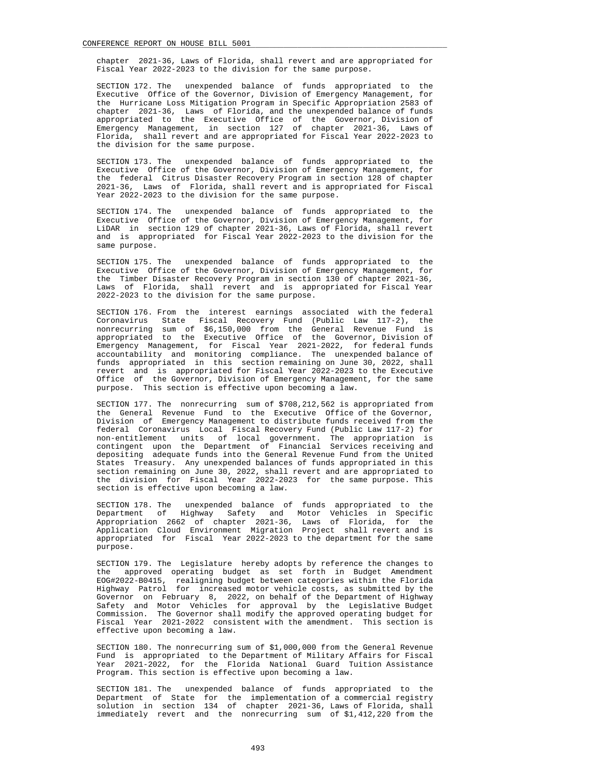chapter 2021-36, Laws of Florida, shall revert and are appropriated for Fiscal Year 2022-2023 to the division for the same purpose.

 SECTION 172. The unexpended balance of funds appropriated to the Executive Office of the Governor, Division of Emergency Management, for the Hurricane Loss Mitigation Program in Specific Appropriation 2583 of chapter 2021-36, Laws of Florida, and the unexpended balance of funds appropriated to the Executive Office of the Governor, Division of Emergency Management, in section 127 of chapter 2021-36, Laws of Florida, shall revert and are appropriated for Fiscal Year 2022-2023 to the division for the same purpose.

 SECTION 173. The unexpended balance of funds appropriated to the Executive Office of the Governor, Division of Emergency Management, for the federal Citrus Disaster Recovery Program in section 128 of chapter 2021-36, Laws of Florida, shall revert and is appropriated for Fiscal Year 2022-2023 to the division for the same purpose.

 SECTION 174. The unexpended balance of funds appropriated to the Executive Office of the Governor, Division of Emergency Management, for LiDAR in section 129 of chapter 2021-36, Laws of Florida, shall revert and is appropriated for Fiscal Year 2022-2023 to the division for the same purpose.

 SECTION 175. The unexpended balance of funds appropriated to the Executive Office of the Governor, Division of Emergency Management, for the Timber Disaster Recovery Program in section 130 of chapter 2021-36, Laws of Florida, shall revert and is appropriated for Fiscal Year 2022-2023 to the division for the same purpose.

 SECTION 176. From the interest earnings associated with the federal Coronavirus State Fiscal Recovery Fund (Public Law 117-2), the nonrecurring sum of \$6,150,000 from the General Revenue Fund is appropriated to the Executive Office of the Governor, Division of Emergency Management, for Fiscal Year 2021-2022, for federal funds accountability and monitoring compliance. The unexpended balance of funds appropriated in this section remaining on June 30, 2022, shall revert and is appropriated for Fiscal Year 2022-2023 to the Executive Office of the Governor, Division of Emergency Management, for the same purpose. This section is effective upon becoming a law.

 SECTION 177. The nonrecurring sum of \$708,212,562 is appropriated from the General Revenue Fund to the Executive Office of the Governor, Division of Emergency Management to distribute funds received from the federal Coronavirus Local Fiscal Recovery Fund (Public Law 117-2) for non-entitlement units of local government. The appropriation is contingent upon the Department of Financial Services receiving and depositing adequate funds into the General Revenue Fund from the United States Treasury. Any unexpended balances of funds appropriated in this section remaining on June 30, 2022, shall revert and are appropriated to the division for Fiscal Year 2022-2023 for the same purpose. This section is effective upon becoming a law.

 SECTION 178. The unexpended balance of funds appropriated to the Department of Highway Safety and Motor Vehicles in Specific Appropriation 2662 of chapter 2021-36, Laws of Florida, for the Application Cloud Environment Migration Project shall revert and is appropriated for Fiscal Year 2022-2023 to the department for the same purpose.

 SECTION 179. The Legislature hereby adopts by reference the changes to the approved operating budget as set forth in Budget Amendment EOG#2022-B0415, realigning budget between categories within the Florida Highway Patrol for increased motor vehicle costs, as submitted by the Governor on February 8, 2022, on behalf of the Department of Highway Safety and Motor Vehicles for approval by the Legislative Budget Commission. The Governor shall modify the approved operating budget for Fiscal Year 2021-2022 consistent with the amendment. This section is effective upon becoming a law.

 SECTION 180. The nonrecurring sum of \$1,000,000 from the General Revenue Fund is appropriated to the Department of Military Affairs for Fiscal Year 2021-2022, for the Florida National Guard Tuition Assistance Program. This section is effective upon becoming a law.

 SECTION 181. The unexpended balance of funds appropriated to the Department of State for the implementation of a commercial registry solution in section 134 of chapter 2021-36, Laws of Florida, shall immediately revert and the nonrecurring sum of \$1,412,220 from the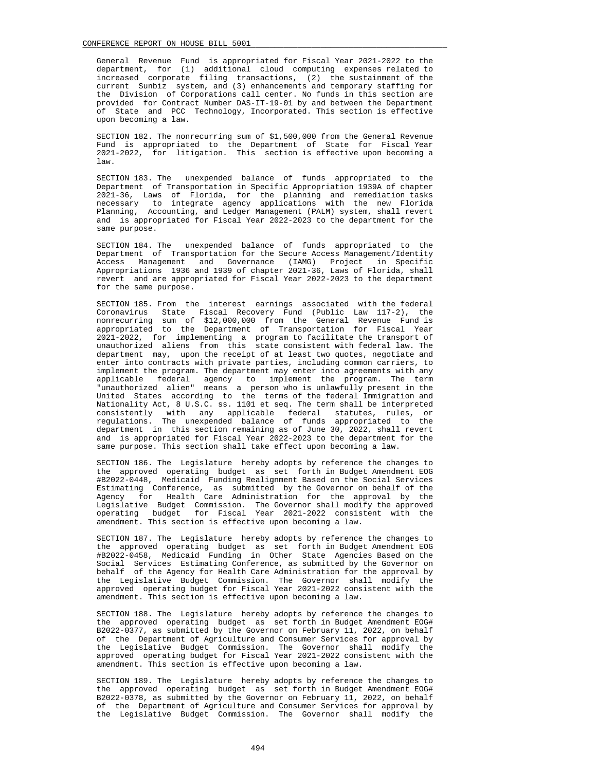General Revenue Fund is appropriated for Fiscal Year 2021-2022 to the department, for (1) additional cloud computing expenses related to increased corporate filing transactions, (2) the sustainment of the current Sunbiz system, and (3) enhancements and temporary staffing for the Division of Corporations call center. No funds in this section are provided for Contract Number DAS-IT-19-01 by and between the Department of State and PCC Technology, Incorporated. This section is effective upon becoming a law.

 SECTION 182. The nonrecurring sum of \$1,500,000 from the General Revenue Fund is appropriated to the Department of State for Fiscal Year 2021-2022, for litigation. This section is effective upon becoming a law.

 SECTION 183. The unexpended balance of funds appropriated to the Department of Transportation in Specific Appropriation 1939A of chapter 2021-36, Laws of Florida, for the planning and remediation tasks necessary to integrate agency applications with the new Florida Planning, Accounting, and Ledger Management (PALM) system, shall revert and is appropriated for Fiscal Year 2022-2023 to the department for the same purpose.

 SECTION 184. The unexpended balance of funds appropriated to the Department of Transportation for the Secure Access Management/Identity Access Management and Governance (IAMG) Project in Specific Appropriations 1936 and 1939 of chapter 2021-36, Laws of Florida, shall revert and are appropriated for Fiscal Year 2022-2023 to the department for the same purpose.

 SECTION 185. From the interest earnings associated with the federal Coronavirus State Fiscal Recovery Fund (Public Law 117-2), the nonrecurring sum of \$12,000,000 from the General Revenue Fund is appropriated to the Department of Transportation for Fiscal Year 2021-2022, for implementing a program to facilitate the transport of unauthorized aliens from this state consistent with federal law. The department may, upon the receipt of at least two quotes, negotiate and enter into contracts with private parties, including common carriers, to implement the program. The department may enter into agreements with any applicable federal agency to implement the program. The term "unauthorized alien" means a person who is unlawfully present in the United States according to the terms of the federal Immigration and Nationality Act, 8 U.S.C. ss. 1101 et seq. The term shall be interpreted consistently with any applicable federal statutes, rules, or regulations. The unexpended balance of funds appropriated to the department in this section remaining as of June 30, 2022, shall revert and is appropriated for Fiscal Year 2022-2023 to the department for the same purpose. This section shall take effect upon becoming a law.

 SECTION 186. The Legislature hereby adopts by reference the changes to the approved operating budget as set forth in Budget Amendment EOG #B2022-0448, Medicaid Funding Realignment Based on the Social Services Estimating Conference, as submitted by the Governor on behalf of the Agency for Health Care Administration for the approval by the Legislative Budget Commission. The Governor shall modify the approved operating budget for Fiscal Year 2021-2022 consistent with the amendment. This section is effective upon becoming a law.

 SECTION 187. The Legislature hereby adopts by reference the changes to the approved operating budget as set forth in Budget Amendment EOG #B2022-0458, Medicaid Funding in Other State Agencies Based on the Social Services Estimating Conference, as submitted by the Governor on behalf of the Agency for Health Care Administration for the approval by the Legislative Budget Commission. The Governor shall modify the approved operating budget for Fiscal Year 2021-2022 consistent with the amendment. This section is effective upon becoming a law.

 SECTION 188. The Legislature hereby adopts by reference the changes to the approved operating budget as set forth in Budget Amendment EOG# B2022-0377, as submitted by the Governor on February 11, 2022, on behalf of the Department of Agriculture and Consumer Services for approval by the Legislative Budget Commission. The Governor shall modify the approved operating budget for Fiscal Year 2021-2022 consistent with the amendment. This section is effective upon becoming a law.

 SECTION 189. The Legislature hereby adopts by reference the changes to the approved operating budget as set forth in Budget Amendment EOG# B2022-0378, as submitted by the Governor on February 11, 2022, on behalf of the Department of Agriculture and Consumer Services for approval by the Legislative Budget Commission. The Governor shall modify the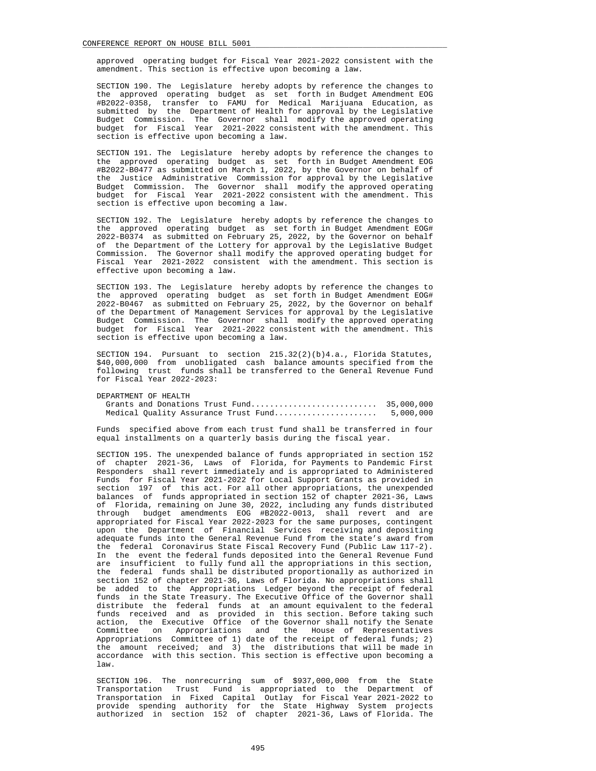approved operating budget for Fiscal Year 2021-2022 consistent with the amendment. This section is effective upon becoming a law.

 SECTION 190. The Legislature hereby adopts by reference the changes to the approved operating budget as set forth in Budget Amendment EOG #B2022-0358, transfer to FAMU for Medical Marijuana Education, as submitted by the Department of Health for approval by the Legislative Budget Commission. The Governor shall modify the approved operating budget for Fiscal Year 2021-2022 consistent with the amendment. This section is effective upon becoming a law.

 SECTION 191. The Legislature hereby adopts by reference the changes to the approved operating budget as set forth in Budget Amendment EOG #B2022-B0477 as submitted on March 1, 2022, by the Governor on behalf of the Justice Administrative Commission for approval by the Legislative Budget Commission. The Governor shall modify the approved operating budget for Fiscal Year 2021-2022 consistent with the amendment. This section is effective upon becoming a law.

 SECTION 192. The Legislature hereby adopts by reference the changes to the approved operating budget as set forth in Budget Amendment EOG# 2022-B0374 as submitted on February 25, 2022, by the Governor on behalf of the Department of the Lottery for approval by the Legislative Budget Commission. The Governor shall modify the approved operating budget for Fiscal Year 2021-2022 consistent with the amendment. This section is effective upon becoming a law.

 SECTION 193. The Legislature hereby adopts by reference the changes to the approved operating budget as set forth in Budget Amendment EOG# 2022-B0467 as submitted on February 25, 2022, by the Governor on behalf of the Department of Management Services for approval by the Legislative Budget Commission. The Governor shall modify the approved operating budget for Fiscal Year 2021-2022 consistent with the amendment. This section is effective upon becoming a law.

SECTION 194. Pursuant to section 215.32(2)(b)4.a., Florida Statutes, \$40,000,000 from unobligated cash balance amounts specified from the following trust funds shall be transferred to the General Revenue Fund for Fiscal Year 2022-2023:

```
 DEPARTMENT OF HEALTH
```

|  |  | Medical Quality Assurance Trust Fund | 5,000,000 |
|--|--|--------------------------------------|-----------|

 Funds specified above from each trust fund shall be transferred in four equal installments on a quarterly basis during the fiscal year.

 SECTION 195. The unexpended balance of funds appropriated in section 152 of chapter 2021-36, Laws of Florida, for Payments to Pandemic First Responders shall revert immediately and is appropriated to Administered Funds for Fiscal Year 2021-2022 for Local Support Grants as provided in section 197 of this act. For all other appropriations, the unexpended balances of funds appropriated in section 152 of chapter 2021-36, Laws of Florida, remaining on June 30, 2022, including any funds distributed through budget amendments EOG #B2022-0013, shall revert and are appropriated for Fiscal Year 2022-2023 for the same purposes, contingent upon the Department of Financial Services receiving and depositing adequate funds into the General Revenue Fund from the state's award from the federal Coronavirus State Fiscal Recovery Fund (Public Law 117-2). In the event the federal funds deposited into the General Revenue Fund are insufficient to fully fund all the appropriations in this section, the federal funds shall be distributed proportionally as authorized in section 152 of chapter 2021-36, Laws of Florida. No appropriations shall be added to the Appropriations Ledger beyond the receipt of federal funds in the State Treasury. The Executive Office of the Governor shall distribute the federal funds at an amount equivalent to the federal funds received and as provided in this section. Before taking such action, the Executive Office of the Governor shall notify the Senate Committee on Appropriations and the House of Representatives Appropriations Committee of 1) date of the receipt of federal funds; 2) the amount received; and 3) the distributions that will be made in accordance with this section. This section is effective upon becoming a law.

 SECTION 196. The nonrecurring sum of \$937,000,000 from the State Transportation Trust Fund is appropriated to the Department of Transportation in Fixed Capital Outlay for Fiscal Year 2021-2022 to provide spending authority for the State Highway System projects authorized in section 152 of chapter 2021-36, Laws of Florida. The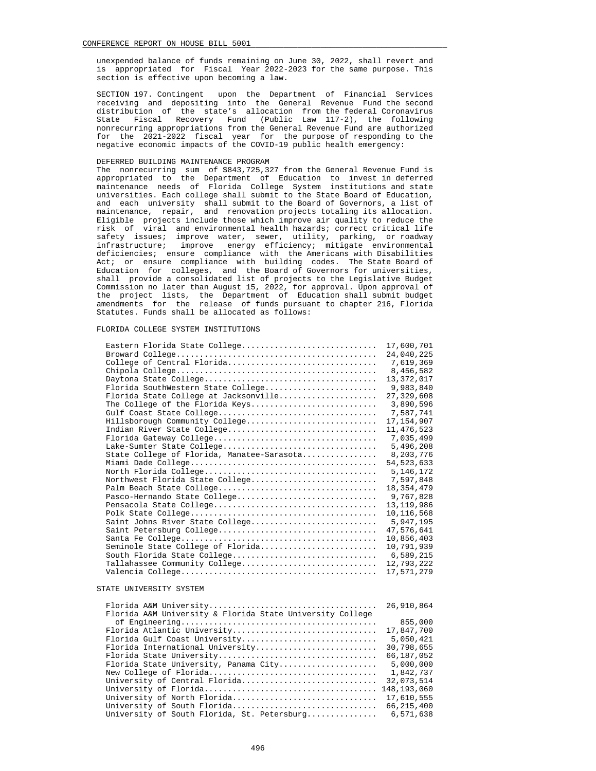unexpended balance of funds remaining on June 30, 2022, shall revert and is appropriated for Fiscal Year 2022-2023 for the same purpose. This section is effective upon becoming a law.

 SECTION 197. Contingent upon the Department of Financial Services receiving and depositing into the General Revenue Fund the second distribution of the state's allocation from the federal Coronavirus State Fiscal Recovery Fund (Public Law 117-2), the following nonrecurring appropriations from the General Revenue Fund are authorized for the 2021-2022 fiscal year for the purpose of responding to the negative economic impacts of the COVID-19 public health emergency:

# DEFERRED BUILDING MAINTENANCE PROGRAM

 The nonrecurring sum of \$843,725,327 from the General Revenue Fund is appropriated to the Department of Education to invest in deferred maintenance needs of Florida College System institutions and state universities. Each college shall submit to the State Board of Education, and each university shall submit to the Board of Governors, a list of maintenance, repair, and renovation projects totaling its allocation. Eligible projects include those which improve air quality to reduce the risk of viral and environmental health hazards; correct critical life safety issues; improve water, sewer, utility, parking, or roadway infrastructure; improve energy efficiency; mitigate environmental deficiencies; ensure compliance with the Americans with Disabilities Act; or ensure compliance with building codes. The State Board of Education for colleges, and the Board of Governors for universities, shall provide a consolidated list of projects to the Legislative Budget Commission no later than August 15, 2022, for approval. Upon approval of the project lists, the Department of Education shall submit budget amendments for the release of funds pursuant to chapter 216, Florida Statutes. Funds shall be allocated as follows:

# FLORIDA COLLEGE SYSTEM INSTITUTIONS

| Eastern Florida State College              | 17,600,701   |
|--------------------------------------------|--------------|
|                                            | 24,040,225   |
| College of Central Florida                 | 7,619,369    |
|                                            | 8,456,582    |
|                                            | 13,372,017   |
| Florida SouthWestern State College         | 9,983,840    |
| Florida State College at Jacksonville      | 27,329,608   |
| The College of the Florida Keys            | 3,890,596    |
|                                            | 7.587.741    |
| Hillsborough Community College             | 17, 154, 907 |
| Indian River State College                 | 11, 476, 523 |
|                                            | 7,035,499    |
| Lake-Sumter State College                  | 5,496,208    |
| State College of Florida, Manatee-Sarasota | 8,203,776    |
|                                            | 54, 523, 633 |
|                                            | 5, 146, 172  |
| Northwest Florida State College            | 7,597,848    |
|                                            | 18, 354, 479 |
| Pasco-Hernando State College               | 9,767,828    |
|                                            | 13, 119, 986 |
|                                            | 10, 116, 568 |
| Saint Johns River State College            | 5,947,195    |
|                                            | 47,576,641   |
|                                            | 10,856,403   |
| Seminole State College of Florida          | 10,791,939   |
| South Florida State College                | 6,589,215    |
| Tallahassee Community College              | 12,793,222   |
|                                            | 17,571,279   |
|                                            |              |

# STATE UNIVERSITY SYSTEM

|                                                           | 26,910,864   |
|-----------------------------------------------------------|--------------|
| Florida A&M University & Florida State University College |              |
|                                                           | 855,000      |
| Florida Atlantic University                               | 17,847,700   |
| Florida Gulf Coast University                             | 5,050,421    |
| Florida International University                          | 30,798,655   |
| Florida State University                                  | 66,187,052   |
| Florida State University, Panama City                     | 5,000,000    |
|                                                           | 1,842,737    |
| University of Central Florida                             | 32,073,514   |
|                                                           |              |
| University of North Florida                               | 17,610,555   |
| University of South Florida                               | 66, 215, 400 |
| University of South Florida, St. Petersburg               | 6,571,638    |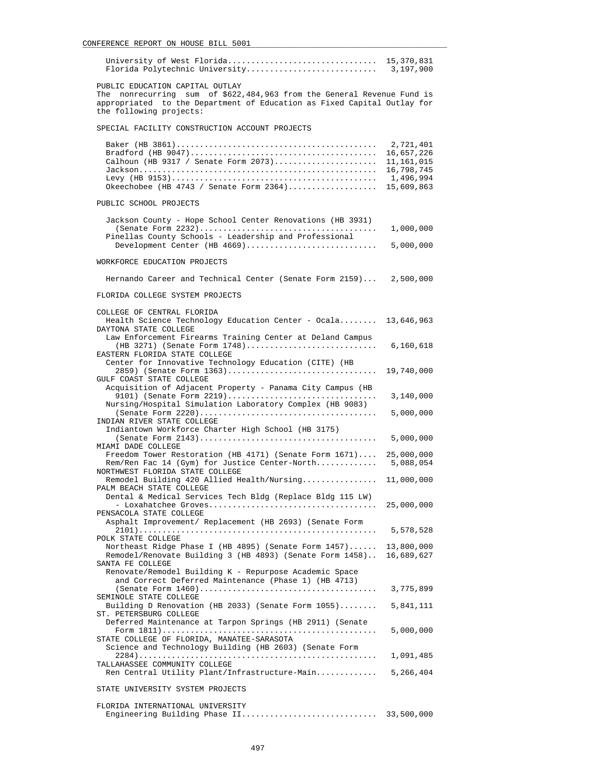| PUBLIC EDUCATION CAPITAL OUTLAY                                                                                                                                              |                                                                                |
|------------------------------------------------------------------------------------------------------------------------------------------------------------------------------|--------------------------------------------------------------------------------|
| The nonrecurring sum of \$622,484,963 from the General Revenue Fund is<br>appropriated to the Department of Education as Fixed Capital Outlay for<br>the following projects: |                                                                                |
| SPECIAL FACILITY CONSTRUCTION ACCOUNT PROJECTS                                                                                                                               |                                                                                |
| Calhoun (HB 9317 / Senate Form 2073)<br>Okeechobee (HB $4743$ / Senate Form $2364)$                                                                                          | 2,721,401<br>16,657,226<br>11,161,015<br>16,798,745<br>1,496,994<br>15,609,863 |
| PUBLIC SCHOOL PROJECTS                                                                                                                                                       |                                                                                |
| Jackson County - Hope School Center Renovations (HB 3931)                                                                                                                    |                                                                                |
| Pinellas County Schools - Leadership and Professional<br>Development Center $(HB 4669)$                                                                                      | 1,000,000<br>5,000,000                                                         |
| WORKFORCE EDUCATION PROJECTS                                                                                                                                                 |                                                                                |
| Hernando Career and Technical Center (Senate Form 2159) 2,500,000                                                                                                            |                                                                                |
| FLORIDA COLLEGE SYSTEM PROJECTS                                                                                                                                              |                                                                                |
| COLLEGE OF CENTRAL FLORIDA<br>Health Science Technology Education Center - Ocala 13,646,963<br>DAYTONA STATE COLLEGE                                                         |                                                                                |
| Law Enforcement Firearms Training Center at Deland Campus<br>$(HB 3271)$ (Senate Form 1748)<br>EASTERN FLORIDA STATE COLLEGE                                                 | 6,160,618                                                                      |
| Center for Innovative Technology Education (CITE) (HB<br>2859) (Senate Form 1363)<br>GULF COAST STATE COLLEGE                                                                | 19,740,000                                                                     |
| Acquisition of Adjacent Property - Panama City Campus (HB<br>9101) (Senate Form $2219)$<br>Nursing/Hospital Simulation Laboratory Complex (HB 9083)                          | 3,140,000                                                                      |
| INDIAN RIVER STATE COLLEGE                                                                                                                                                   | 5,000,000                                                                      |
| Indiantown Workforce Charter High School (HB 3175)                                                                                                                           | 5,000,000                                                                      |
| MIAMI DADE COLLEGE<br>Freedom Tower Restoration (HB 4171) (Senate Form $1671$ )<br>Rem/Ren Fac 14 (Gym) for Justice Center-North                                             | 25,000,000<br>5,088,054                                                        |
| NORTHWEST FLORIDA STATE COLLEGE<br>Remodel Building 420 Allied Health/Nursing 11,000,000                                                                                     |                                                                                |
| PALM BEACH STATE COLLEGE<br>Dental & Medical Services Tech Bldg (Replace Bldg 115 LW)                                                                                        | 25,000,000                                                                     |
| PENSACOLA STATE COLLEGE<br>Asphalt Improvement/ Replacement (HB 2693) (Senate Form                                                                                           | 5,578,528                                                                      |
| POLK STATE COLLEGE<br>Northeast Ridge Phase I (HB $4895$ ) (Senate Form $1457$ )<br>Remodel/Renovate Building 3 (HB 4893) (Senate Form 1458)                                 | 13,800,000<br>16,689,627                                                       |
| SANTA FE COLLEGE<br>Renovate/Remodel Building K - Repurpose Academic Space<br>and Correct Deferred Maintenance (Phase 1) (HB 4713)                                           |                                                                                |
| SEMINOLE STATE COLLEGE                                                                                                                                                       | 3,775,899                                                                      |
| Building D Renovation (HB 2033) (Senate Form 1055)<br>ST. PETERSBURG COLLEGE                                                                                                 | 5,841,111                                                                      |
| Deferred Maintenance at Tarpon Springs (HB 2911) (Senate<br>STATE COLLEGE OF FLORIDA, MANATEE-SARASOTA                                                                       | 5,000,000                                                                      |
| Science and Technology Building (HB 2603) (Senate Form                                                                                                                       | 1,091,485                                                                      |
| TALLAHASSEE COMMUNITY COLLEGE<br>Ren Central Utility Plant/Infrastructure-Main                                                                                               | 5,266,404                                                                      |
| STATE UNIVERSITY SYSTEM PROJECTS                                                                                                                                             |                                                                                |
| FLORIDA INTERNATIONAL UNIVERSITY                                                                                                                                             |                                                                                |
| Engineering Building Phase II                                                                                                                                                | 33,500,000                                                                     |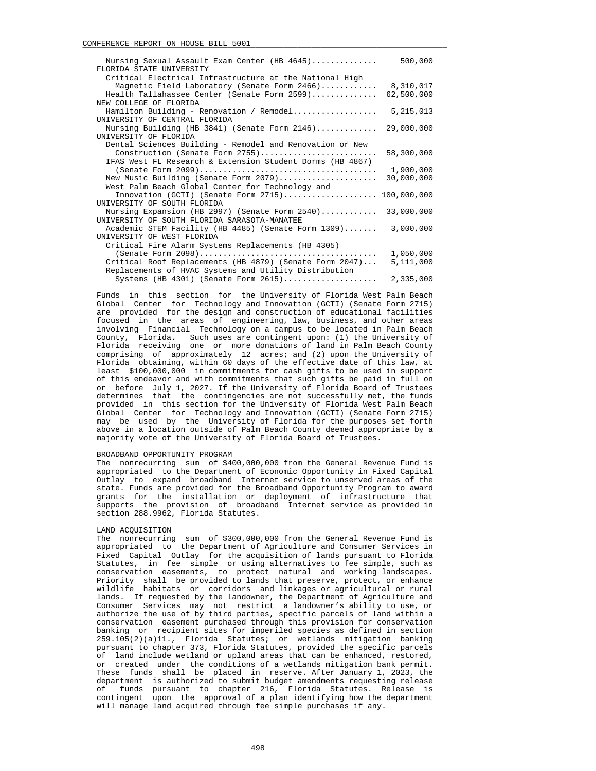| Nursing Sexual Assault Exam Center (HB 4645)<br>FLORIDA STATE UNIVERSITY | 500,000     |
|--------------------------------------------------------------------------|-------------|
| Critical Electrical Infrastructure at the National High                  |             |
| Magnetic Field Laboratory (Senate Form 2466)                             | 8,310,017   |
|                                                                          |             |
| Health Tallahassee Center (Senate Form 2599)                             | 62,500,000  |
| NEW COLLEGE OF FLORIDA                                                   |             |
| Hamilton Building - Renovation / Remodel                                 | 5, 215, 013 |
| UNIVERSITY OF CENTRAL FLORIDA                                            |             |
| Nursing Building (HB 3841) (Senate Form 2146)                            | 29,000,000  |
| UNIVERSITY OF FLORIDA                                                    |             |
| Dental Sciences Building - Remodel and Renovation or New                 |             |
| Construction (Senate Form 2755)                                          | 58,300,000  |
| IFAS West FL Research & Extension Student Dorms (HB 4867)                |             |
|                                                                          | 1,900,000   |
| New Music Building (Senate Form 2079)                                    | 30,000,000  |
| West Palm Beach Global Center for Technology and                         |             |
| Innovation (GCTI) (Senate Form 2715) 100,000,000                         |             |
| UNIVERSITY OF SOUTH FLORIDA                                              |             |
| Nursing Expansion (HB 2997) (Senate Form $2540)$                         | 33,000,000  |
| UNIVERSITY OF SOUTH FLORIDA SARASOTA-MANATEE                             |             |
| Academic STEM Facility (HB 4485) (Senate Form 1309)                      | 3,000,000   |
| UNIVERSITY OF WEST FLORIDA                                               |             |
| Critical Fire Alarm Systems Replacements (HB 4305)                       |             |
|                                                                          | 1,050,000   |
| Critical Roof Replacements (HB 4879) (Senate Form 2047)                  | 5,111,000   |
| Replacements of HVAC Systems and Utility Distribution                    |             |
| Systems (HB 4301) (Senate Form $2615)$                                   | 2,335,000   |

 Funds in this section for the University of Florida West Palm Beach Global Center for Technology and Innovation (GCTI) (Senate Form 2715) are provided for the design and construction of educational facilities focused in the areas of engineering, law, business, and other areas involving Financial Technology on a campus to be located in Palm Beach County, Florida. Such uses are contingent upon: (1) the University of Florida receiving one or more donations of land in Palm Beach County comprising of approximately 12 acres; and (2) upon the University of Florida obtaining, within 60 days of the effective date of this law, at least \$100,000,000 in commitments for cash gifts to be used in support of this endeavor and with commitments that such gifts be paid in full on or before July 1, 2027. If the University of Florida Board of Trustees determines that the contingencies are not successfully met, the funds provided in this section for the University of Florida West Palm Beach Global Center for Technology and Innovation (GCTI) (Senate Form 2715) may be used by the University of Florida for the purposes set forth above in a location outside of Palm Beach County deemed appropriate by a majority vote of the University of Florida Board of Trustees.

## BROADBAND OPPORTUNITY PROGRAM

 The nonrecurring sum of \$400,000,000 from the General Revenue Fund is appropriated to the Department of Economic Opportunity in Fixed Capital Outlay to expand broadband Internet service to unserved areas of the state. Funds are provided for the Broadband Opportunity Program to award grants for the installation or deployment of infrastructure that supports the provision of broadband Internet service as provided in section 288.9962, Florida Statutes.

#### LAND ACQUISITION

 The nonrecurring sum of \$300,000,000 from the General Revenue Fund is appropriated to the Department of Agriculture and Consumer Services in Fixed Capital Outlay for the acquisition of lands pursuant to Florida Statutes, in fee simple or using alternatives to fee simple, such as conservation easements, to protect natural and working landscapes. Priority shall be provided to lands that preserve, protect, or enhance wildlife habitats or corridors and linkages or agricultural or rural lands. If requested by the landowner, the Department of Agriculture and Consumer Services may not restrict a landowner's ability to use, or authorize the use of by third parties, specific parcels of land within a conservation easement purchased through this provision for conservation banking or recipient sites for imperiled species as defined in section 259.105(2)(a)11., Florida Statutes; or wetlands mitigation banking pursuant to chapter 373, Florida Statutes, provided the specific parcels of land include wetland or upland areas that can be enhanced, restored, or created under the conditions of a wetlands mitigation bank permit. These funds shall be placed in reserve. After January 1, 2023, the department is authorized to submit budget amendments requesting release of funds pursuant to chapter 216, Florida Statutes. Release is contingent upon the approval of a plan identifying how the department will manage land acquired through fee simple purchases if any.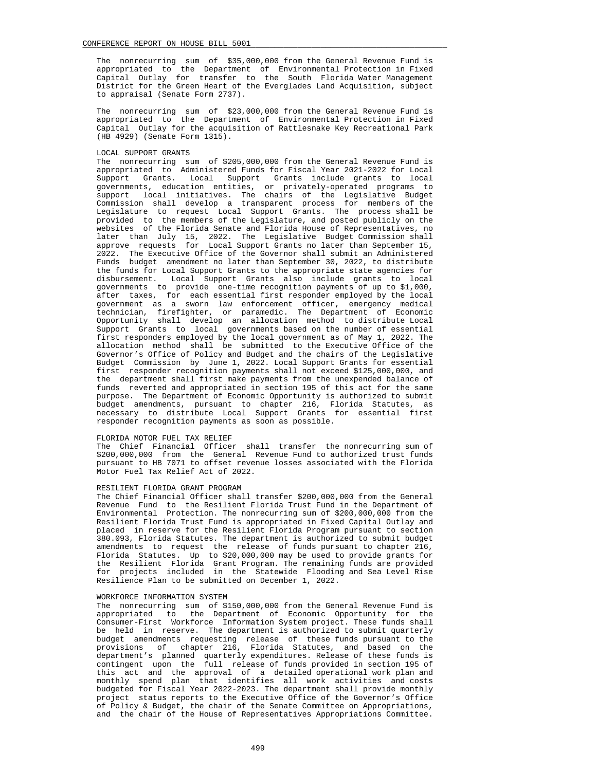The nonrecurring sum of \$35,000,000 from the General Revenue Fund is appropriated to the Department of Environmental Protection in Fixed Capital Outlay for transfer to the South Florida Water Management District for the Green Heart of the Everglades Land Acquisition, subject to appraisal (Senate Form 2737).

 The nonrecurring sum of \$23,000,000 from the General Revenue Fund is appropriated to the Department of Environmental Protection in Fixed Capital Outlay for the acquisition of Rattlesnake Key Recreational Park (HB 4929) (Senate Form 1315).

## LOCAL SUPPORT GRANTS

 The nonrecurring sum of \$205,000,000 from the General Revenue Fund is appropriated to Administered Funds for Fiscal Year 2021-2022 for Local Support Grants. Local Support Grants include grants to local governments, education entities, or privately-operated programs to support local initiatives. The chairs of the Legislative Budget Commission shall develop a transparent process for members of the Legislature to request Local Support Grants. The process shall be provided to the members of the Legislature, and posted publicly on the websites of the Florida Senate and Florida House of Representatives, no later than July 15, 2022. The Legislative Budget Commission shall approve requests for Local Support Grants no later than September 15, 2022. The Executive Office of the Governor shall submit an Administered Funds budget amendment no later than September 30, 2022, to distribute the funds for Local Support Grants to the appropriate state agencies for disbursement. Local Support Grants also include grants to local governments to provide one-time recognition payments of up to \$1,000, after taxes, for each essential first responder employed by the local government as a sworn law enforcement officer, emergency medical technician, firefighter, or paramedic. The Department of Economic Opportunity shall develop an allocation method to distribute Local Support Grants to local governments based on the number of essential first responders employed by the local government as of May 1, 2022. The allocation method shall be submitted to the Executive Office of the Governor's Office of Policy and Budget and the chairs of the Legislative Budget Commission by June 1, 2022. Local Support Grants for essential first responder recognition payments shall not exceed \$125,000,000, and the department shall first make payments from the unexpended balance of funds reverted and appropriated in section 195 of this act for the same purpose. The Department of Economic Opportunity is authorized to submit budget amendments, pursuant to chapter 216, Florida Statutes, as necessary to distribute Local Support Grants for essential first responder recognition payments as soon as possible.

#### FLORIDA MOTOR FUEL TAX RELIEF

 The Chief Financial Officer shall transfer the nonrecurring sum of \$200,000,000 from the General Revenue Fund to authorized trust funds pursuant to HB 7071 to offset revenue losses associated with the Florida Motor Fuel Tax Relief Act of 2022.

### RESILIENT FLORIDA GRANT PROGRAM

 The Chief Financial Officer shall transfer \$200,000,000 from the General Revenue Fund to the Resilient Florida Trust Fund in the Department of Environmental Protection. The nonrecurring sum of \$200,000,000 from the Resilient Florida Trust Fund is appropriated in Fixed Capital Outlay and placed in reserve for the Resilient Florida Program pursuant to section 380.093, Florida Statutes. The department is authorized to submit budget amendments to request the release of funds pursuant to chapter 216, Florida Statutes. Up to \$20,000,000 may be used to provide grants for the Resilient Florida Grant Program. The remaining funds are provided for projects included in the Statewide Flooding and Sea Level Rise Resilience Plan to be submitted on December 1, 2022.

## WORKFORCE INFORMATION SYSTEM

 The nonrecurring sum of \$150,000,000 from the General Revenue Fund is appropriated to the Department of Economic Opportunity for the Consumer-First Workforce Information System project. These funds shall be held in reserve. The department is authorized to submit quarterly budget amendments requesting release of these funds pursuant to the provisions of chapter 216, Florida Statutes, and based on the department's planned quarterly expenditures. Release of these funds is contingent upon the full release of funds provided in section 195 of this act and the approval of a detailed operational work plan and monthly spend plan that identifies all work activities and costs budgeted for Fiscal Year 2022-2023. The department shall provide monthly project status reports to the Executive Office of the Governor's Office of Policy & Budget, the chair of the Senate Committee on Appropriations, and the chair of the House of Representatives Appropriations Committee.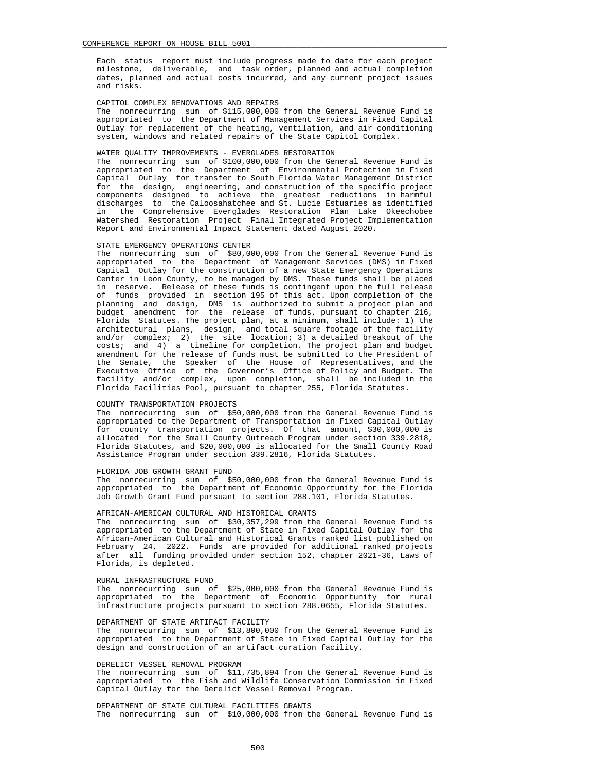Each status report must include progress made to date for each project milestone, deliverable, and task order, planned and actual completion dates, planned and actual costs incurred, and any current project issues and risks.

# CAPITOL COMPLEX RENOVATIONS AND REPAIRS

 The nonrecurring sum of \$115,000,000 from the General Revenue Fund is appropriated to the Department of Management Services in Fixed Capital Outlay for replacement of the heating, ventilation, and air conditioning system, windows and related repairs of the State Capitol Complex.

# WATER QUALITY IMPROVEMENTS - EVERGLADES RESTORATION

 The nonrecurring sum of \$100,000,000 from the General Revenue Fund is appropriated to the Department of Environmental Protection in Fixed Capital Outlay for transfer to South Florida Water Management District for the design, engineering, and construction of the specific project components designed to achieve the greatest reductions in harmful discharges to the Caloosahatchee and St. Lucie Estuaries as identified in the Comprehensive Everglades Restoration Plan Lake Okeechobee Watershed Restoration Project Final Integrated Project Implementation Report and Environmental Impact Statement dated August 2020.

#### STATE EMERGENCY OPERATIONS CENTER

 The nonrecurring sum of \$80,000,000 from the General Revenue Fund is appropriated to the Department of Management Services (DMS) in Fixed Capital Outlay for the construction of a new State Emergency Operations Center in Leon County, to be managed by DMS. These funds shall be placed in reserve. Release of these funds is contingent upon the full release of funds provided in section 195 of this act. Upon completion of the planning and design, DMS is authorized to submit a project plan and budget amendment for the release of funds, pursuant to chapter 216, Florida Statutes. The project plan, at a minimum, shall include: 1) the architectural plans, design, and total square footage of the facility and/or complex; 2) the site location; 3) a detailed breakout of the costs; and 4) a timeline for completion. The project plan and budget amendment for the release of funds must be submitted to the President of the Senate, the Speaker of the House of Representatives, and the Executive Office of the Governor's Office of Policy and Budget. The facility and/or complex, upon completion, shall be included in the Florida Facilities Pool, pursuant to chapter 255, Florida Statutes.

## COUNTY TRANSPORTATION PROJECTS

 The nonrecurring sum of \$50,000,000 from the General Revenue Fund is appropriated to the Department of Transportation in Fixed Capital Outlay for county transportation projects. Of that amount, \$30,000,000 is allocated for the Small County Outreach Program under section 339.2818, Florida Statutes, and \$20,000,000 is allocated for the Small County Road Assistance Program under section 339.2816, Florida Statutes.

#### FLORIDA JOB GROWTH GRANT FUND

 The nonrecurring sum of \$50,000,000 from the General Revenue Fund is appropriated to the Department of Economic Opportunity for the Florida Job Growth Grant Fund pursuant to section 288.101, Florida Statutes.

## AFRICAN-AMERICAN CULTURAL AND HISTORICAL GRANTS

 The nonrecurring sum of \$30,357,299 from the General Revenue Fund is appropriated to the Department of State in Fixed Capital Outlay for the African-American Cultural and Historical Grants ranked list published on February 24, 2022. Funds are provided for additional ranked projects after all funding provided under section 152, chapter 2021-36, Laws of Florida, is depleted.

## RURAL INFRASTRUCTURE FUND

 The nonrecurring sum of \$25,000,000 from the General Revenue Fund is appropriated to the Department of Economic Opportunity for rural infrastructure projects pursuant to section 288.0655, Florida Statutes.

## DEPARTMENT OF STATE ARTIFACT FACILITY

 The nonrecurring sum of \$13,800,000 from the General Revenue Fund is appropriated to the Department of State in Fixed Capital Outlay for the design and construction of an artifact curation facility.

## DERELICT VESSEL REMOVAL PROGRAM

 The nonrecurring sum of \$11,735,894 from the General Revenue Fund is appropriated to the Fish and Wildlife Conservation Commission in Fixed Capital Outlay for the Derelict Vessel Removal Program.

# DEPARTMENT OF STATE CULTURAL FACILITIES GRANTS The nonrecurring sum of \$10,000,000 from the General Revenue Fund is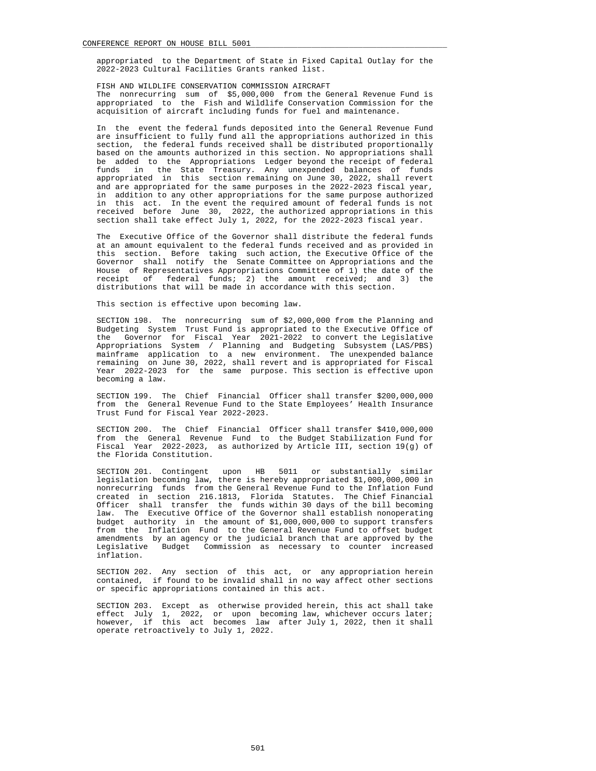appropriated to the Department of State in Fixed Capital Outlay for the 2022-2023 Cultural Facilities Grants ranked list.

 FISH AND WILDLIFE CONSERVATION COMMISSION AIRCRAFT The nonrecurring sum of \$5,000,000 from the General Revenue Fund is appropriated to the Fish and Wildlife Conservation Commission for the acquisition of aircraft including funds for fuel and maintenance.

 In the event the federal funds deposited into the General Revenue Fund are insufficient to fully fund all the appropriations authorized in this section, the federal funds received shall be distributed proportionally based on the amounts authorized in this section. No appropriations shall be added to the Appropriations Ledger beyond the receipt of federal funds in the State Treasury. Any unexpended balances of funds appropriated in this section remaining on June 30, 2022, shall revert and are appropriated for the same purposes in the 2022-2023 fiscal year, in addition to any other appropriations for the same purpose authorized in this act. In the event the required amount of federal funds is not received before June 30, 2022, the authorized appropriations in this section shall take effect July 1, 2022, for the 2022-2023 fiscal year.

 The Executive Office of the Governor shall distribute the federal funds at an amount equivalent to the federal funds received and as provided in this section. Before taking such action, the Executive Office of the Governor shall notify the Senate Committee on Appropriations and the House of Representatives Appropriations Committee of 1) the date of the receipt of federal funds; 2) the amount received; and 3) the distributions that will be made in accordance with this section.

This section is effective upon becoming law.

 SECTION 198. The nonrecurring sum of \$2,000,000 from the Planning and Budgeting System Trust Fund is appropriated to the Executive Office of the Governor for Fiscal Year 2021-2022 to convert the Legislative Appropriations System / Planning and Budgeting Subsystem (LAS/PBS) mainframe application to a new environment. The unexpended balance remaining on June 30, 2022, shall revert and is appropriated for Fiscal Year 2022-2023 for the same purpose. This section is effective upon becoming a law.

 SECTION 199. The Chief Financial Officer shall transfer \$200,000,000 from the General Revenue Fund to the State Employees' Health Insurance Trust Fund for Fiscal Year 2022-2023.

 SECTION 200. The Chief Financial Officer shall transfer \$410,000,000 from the General Revenue Fund to the Budget Stabilization Fund for Fiscal Year 2022-2023, as authorized by Article III, section 19(g) of the Florida Constitution.

 SECTION 201. Contingent upon HB 5011 or substantially similar legislation becoming law, there is hereby appropriated \$1,000,000,000 in nonrecurring funds from the General Revenue Fund to the Inflation Fund created in section 216.1813, Florida Statutes. The Chief Financial Officer shall transfer the funds within 30 days of the bill becoming law. The Executive Office of the Governor shall establish nonoperating budget authority in the amount of \$1,000,000,000 to support transfers from the Inflation Fund to the General Revenue Fund to offset budget amendments by an agency or the judicial branch that are approved by the Legislative Budget Commission as necessary to counter increased inflation.

 SECTION 202. Any section of this act, or any appropriation herein contained, if found to be invalid shall in no way affect other sections or specific appropriations contained in this act.

 SECTION 203. Except as otherwise provided herein, this act shall take effect July 1, 2022, or upon becoming law, whichever occurs later; however, if this act becomes law after July 1, 2022, then it shall operate retroactively to July 1, 2022.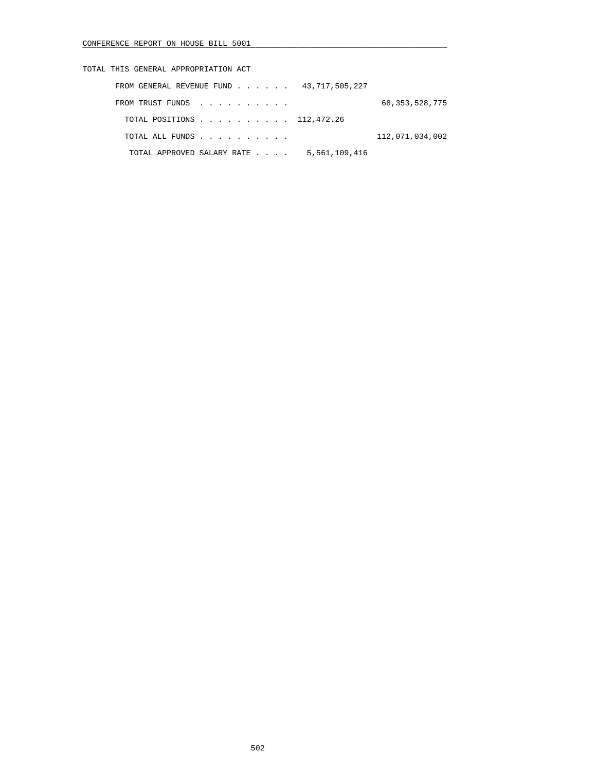| TOTAL THIS GENERAL APPROPRIATION ACT        |                   |
|---------------------------------------------|-------------------|
| FROM GENERAL REVENUE FUND 43,717,505,227    |                   |
| FROM TRUST FUNDS                            | 68, 353, 528, 775 |
| TOTAL POSITIONS 112,472.26                  |                   |
| TOTAL ALL FUNDS                             | 112,071,034,002   |
| 5,561,109,416<br>TOTAL APPROVED SALARY RATE |                   |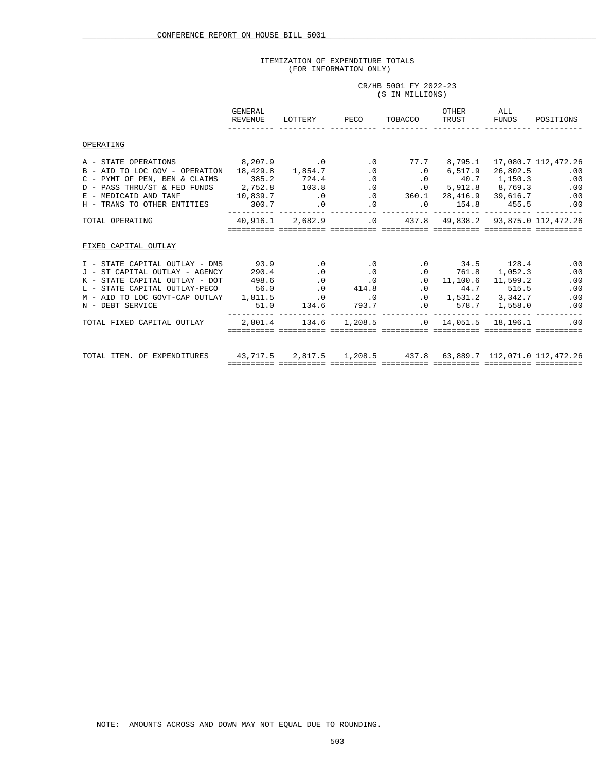# ITEMIZATION OF EXPENDITURE TOTALS (FOR INFORMATION ONLY)

CR/HB 5001 FY 2022-23

|                                                                                                                                                                                                                                                                                                                                                                | (\$ IN MILLIONS) |                                                                               |  |  |  |           |  |
|----------------------------------------------------------------------------------------------------------------------------------------------------------------------------------------------------------------------------------------------------------------------------------------------------------------------------------------------------------------|------------------|-------------------------------------------------------------------------------|--|--|--|-----------|--|
|                                                                                                                                                                                                                                                                                                                                                                | GENERAL          |                                                                               |  |  |  | OTHER ALL |  |
| OPERATING                                                                                                                                                                                                                                                                                                                                                      |                  |                                                                               |  |  |  |           |  |
|                                                                                                                                                                                                                                                                                                                                                                |                  |                                                                               |  |  |  |           |  |
| TOTAL OPERATING 40,916.1 2,682.9 0 437.8 49,838.2 93,875.0 112,472.26                                                                                                                                                                                                                                                                                          |                  | <u>sooocooco oosoocooco sooocooco sooocooco sooocooco sooocooco sooocooco</u> |  |  |  |           |  |
| FIXED CAPITAL OUTLAY                                                                                                                                                                                                                                                                                                                                           |                  |                                                                               |  |  |  |           |  |
| 1 – STATE CAPITAL OUTLAY – DMS<br>1 – ST CAPITAL OUTLAY – AGENCY 290.4 (0 0 0 0 0 11,100.6 11,522.3 (0 0 0 0 0 174.7 (2011)<br>290.4 (0 0 0 0 11,100.6 11,599.2 (0 0 0 11,100.6 11,599.2 (0 0 0 0 11,100.6 11,599.2 (0 0 0 0 0 0<br>M – AID TO LOC GOVT-CAP OUTLAY 1,811.5 (0 1,531.2 3,342.7 (0 0 )<br>N – DEBT SERVICE 51.0 134.6 793.7 (0 578.7 1,558.0 0 0 |                  |                                                                               |  |  |  |           |  |
| TOTAL FIXED CAPITAL OUTLAY $2,801.4$ $134.6$ $1,208.5$ $0.0$ $14,051.5$ $18,196.1$ $0.0$                                                                                                                                                                                                                                                                       |                  | <u>sooocooco oosoocooco sooocooco sooocooco sooocooco sooocooco sooocooco</u> |  |  |  |           |  |
| TOTAL ITEM. OF EXPENDITURES 43,717.5 2,817.5 1,208.5 437.8 63,889.7 112,071.0 112,472.26                                                                                                                                                                                                                                                                       |                  | <u>sooocooco oosoocooco sooocooco sooocooco sooocooco sooocooco sooocooco</u> |  |  |  |           |  |

NOTE: AMOUNTS ACROSS AND DOWN MAY NOT EQUAL DUE TO ROUNDING.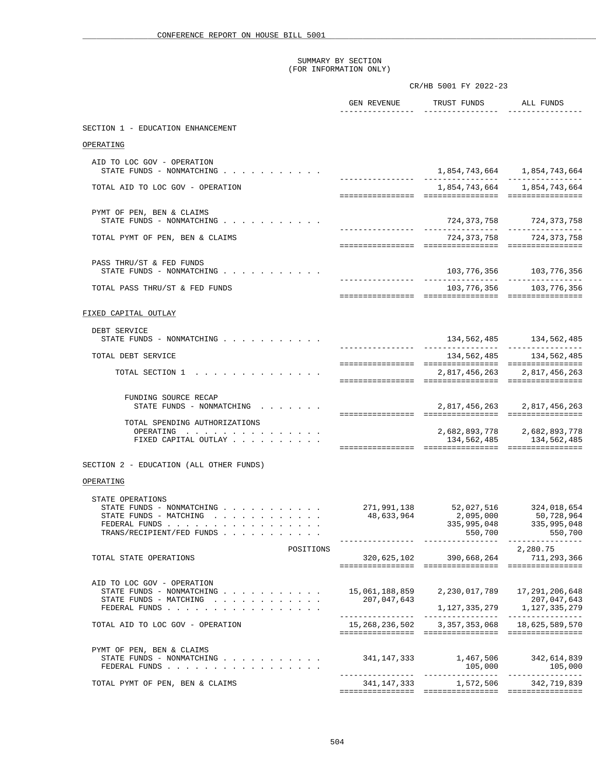|                                                                                                                                                                                                                                                                                                                                                        |                                         | CR/HB 5001 FY 2022-23                                |                                                                    |
|--------------------------------------------------------------------------------------------------------------------------------------------------------------------------------------------------------------------------------------------------------------------------------------------------------------------------------------------------------|-----------------------------------------|------------------------------------------------------|--------------------------------------------------------------------|
|                                                                                                                                                                                                                                                                                                                                                        |                                         | GEN REVENUE TRUST FUNDS ALL FUNDS                    |                                                                    |
| SECTION 1 - EDUCATION ENHANCEMENT                                                                                                                                                                                                                                                                                                                      |                                         |                                                      |                                                                    |
| OPERATING                                                                                                                                                                                                                                                                                                                                              |                                         |                                                      |                                                                    |
| AID TO LOC GOV - OPERATION<br>STATE FUNDS - NONMATCHING                                                                                                                                                                                                                                                                                                |                                         |                                                      |                                                                    |
| TOTAL AID TO LOC GOV - OPERATION                                                                                                                                                                                                                                                                                                                       |                                         |                                                      | 1,854,743,664 1,854,743,664                                        |
|                                                                                                                                                                                                                                                                                                                                                        |                                         |                                                      |                                                                    |
| PYMT OF PEN, BEN & CLAIMS<br>STATE FUNDS - NONMATCHING $\cdot \cdot \cdot \cdot \cdot \cdot \cdot \cdot \cdot \cdot$                                                                                                                                                                                                                                   |                                         |                                                      | 724,373,758 724,373,758                                            |
| TOTAL PYMT OF PEN, BEN & CLAIMS                                                                                                                                                                                                                                                                                                                        |                                         |                                                      | 724,373,758 724,373,758                                            |
| PASS THRU/ST & FED FUNDS                                                                                                                                                                                                                                                                                                                               |                                         |                                                      |                                                                    |
| STATE FUNDS - NONMATCHING                                                                                                                                                                                                                                                                                                                              |                                         |                                                      | 103, 776, 356 103, 776, 356                                        |
| TOTAL PASS THRU/ST & FED FUNDS                                                                                                                                                                                                                                                                                                                         |                                         |                                                      | 103,776,356 103,776,356                                            |
| FIXED CAPITAL OUTLAY                                                                                                                                                                                                                                                                                                                                   |                                         |                                                      |                                                                    |
| DEBT SERVICE                                                                                                                                                                                                                                                                                                                                           |                                         |                                                      |                                                                    |
| STATE FUNDS - NONMATCHING                                                                                                                                                                                                                                                                                                                              |                                         |                                                      | 134, 562, 485 134, 562, 485<br>----------------- ----------------- |
| TOTAL DEBT SERVICE                                                                                                                                                                                                                                                                                                                                     |                                         |                                                      | 134, 562, 485 134, 562, 485                                        |
| TOTAL SECTION 1                                                                                                                                                                                                                                                                                                                                        |                                         | 2,817,456,263 2,817,456,263                          |                                                                    |
| FUNDING SOURCE RECAP<br>STATE FUNDS - NONMATCHING                                                                                                                                                                                                                                                                                                      |                                         |                                                      | 2,817,456,263 2,817,456,263                                        |
| TOTAL SPENDING AUTHORIZATIONS<br>OPERATING<br>FIXED CAPITAL OUTLAY                                                                                                                                                                                                                                                                                     |                                         |                                                      | 2,682,893,778 2,682,893,778<br>134, 562, 485 134, 562, 485         |
| SECTION 2 - EDUCATION (ALL OTHER FUNDS)                                                                                                                                                                                                                                                                                                                |                                         |                                                      |                                                                    |
| OPERATING                                                                                                                                                                                                                                                                                                                                              |                                         |                                                      |                                                                    |
| STATE OPERATIONS<br>STATE FUNDS - NONMATCHING<br>STATE FUNDS - MATCHING<br>. The contract of the contract of the contract of the contract of the contract of the contract of the contract of the contract of the contract of the contract of the contract of the contract of the contract of the contrac<br>FEDERAL FUNDS<br>TRANS/RECIPIENT/FED FUNDS | 48,633,964                              | 271,991,138 52,027,516 324,018,654<br>2,095,000      | 50,728,964<br>335,995,048 335,995,048                              |
| POSITIONS<br>TOTAL STATE OPERATIONS                                                                                                                                                                                                                                                                                                                    |                                         | 320,625,102 390,668,264 711,293,366                  | 2,280.75                                                           |
| AID TO LOC GOV - OPERATION<br>STATE FUNDS - NONMATCHING<br>STATE FUNDS - MATCHING<br>FEDERAL FUNDS                                                                                                                                                                                                                                                     | 207,047,643                             | 15,061,188,859 2,230,017,789 17,291,206,648          | 207,047,643<br>$1, 127, 335, 279$ $1, 127, 335, 279$               |
| TOTAL AID TO LOC GOV - OPERATION                                                                                                                                                                                                                                                                                                                       |                                         | 15, 268, 236, 502 3, 357, 353, 068 18, 625, 589, 570 |                                                                    |
| PYMT OF PEN, BEN & CLAIMS<br>STATE FUNDS - NONMATCHING<br>FEDERAL FUNDS                                                                                                                                                                                                                                                                                | 341, 147, 333 1, 467, 506 342, 614, 839 |                                                      |                                                                    |
| TOTAL PYMT OF PEN, BEN & CLAIMS                                                                                                                                                                                                                                                                                                                        |                                         | 341, 147, 333 1, 572, 506 342, 719, 839              |                                                                    |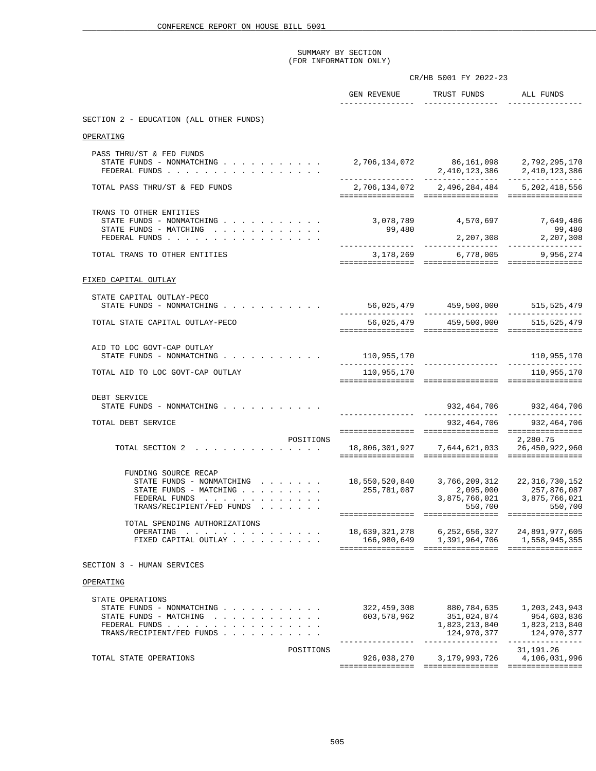|                                                                                                                           | CR/HB 5001 FY 2022-23        |                                                                                             |                                                                                                                         |  |
|---------------------------------------------------------------------------------------------------------------------------|------------------------------|---------------------------------------------------------------------------------------------|-------------------------------------------------------------------------------------------------------------------------|--|
|                                                                                                                           | -----------------            | GEN REVENUE TRUST FUNDS ALL FUNDS<br>_________________                                      | ------------                                                                                                            |  |
| SECTION 2 - EDUCATION (ALL OTHER FUNDS)                                                                                   |                              |                                                                                             |                                                                                                                         |  |
| OPERATING                                                                                                                 |                              |                                                                                             |                                                                                                                         |  |
| PASS THRU/ST & FED FUNDS<br>STATE FUNDS - NONMATCHING<br>FEDERAL FUNDS                                                    |                              | 2,706,134,072 86,161,098 2,792,295,170<br>2,410,123,386 2,410,123,386                       |                                                                                                                         |  |
| TOTAL PASS THRU/ST & FED FUNDS                                                                                            |                              | 2,706,134,072 2,496,284,484 5,202,418,556                                                   |                                                                                                                         |  |
| TRANS TO OTHER ENTITIES<br>STATE FUNDS - NONMATCHING<br>STATE FUNDS - MATCHING<br>FEDERAL FUNDS                           | 99,480                       | 3,078,789      4,570,697      7,649,486                                                     | 99,480<br>2, 207, 308 2, 207, 308                                                                                       |  |
| TOTAL TRANS TO OTHER ENTITIES                                                                                             |                              | 3,178,269 6,778,005 9,956,274                                                               |                                                                                                                         |  |
| FIXED CAPITAL OUTLAY                                                                                                      |                              |                                                                                             |                                                                                                                         |  |
| STATE CAPITAL OUTLAY-PECO<br>STATE FUNDS - NONMATCHING                                                                    |                              | 56,025,479 459,500,000 515,525,479                                                          |                                                                                                                         |  |
| TOTAL STATE CAPITAL OUTLAY-PECO                                                                                           |                              | 56,025,479 459,500,000 515,525,479                                                          |                                                                                                                         |  |
| AID TO LOC GOVT-CAP OUTLAY<br>STATE FUNDS - NONMATCHING                                                                   | 110,955,170                  |                                                                                             | 110,955,170<br>________________                                                                                         |  |
| TOTAL AID TO LOC GOVT-CAP OUTLAY                                                                                          | 110,955,170                  |                                                                                             | 110,955,170                                                                                                             |  |
| DEBT SERVICE<br>STATE FUNDS - NONMATCHING                                                                                 |                              |                                                                                             |                                                                                                                         |  |
| TOTAL DEBT SERVICE                                                                                                        |                              |                                                                                             | 932,464,706 932,464,706                                                                                                 |  |
| POSITIONS<br>TOTAL SECTION 2 18,806,301,927 7,644,621,033 26,450,922,960                                                  |                              |                                                                                             | 2,280.75                                                                                                                |  |
| FUNDING SOURCE RECAP<br>STATE FUNDS - NONMATCHING<br>STATE FUNDS - MATCHING<br>FEDERAL FUNDS<br>TRANS/RECIPIENT/FED FUNDS | - 255,781,087<br>255,781,087 | $18, 550, 520, 840 \qquad \quad 3, 766, 209, 312 \qquad \quad 22, 316, 730, 152$<br>550,700 | 2,095,000 257,876,087<br>3,875,766,021 3,875,766,021<br>550,700                                                         |  |
| TOTAL SPENDING AUTHORIZATIONS<br>OPERATING<br>FIXED CAPITAL OUTLAY                                                        |                              | 166,980,649   1,391,964,706   1,558,945,355                                                 |                                                                                                                         |  |
| SECTION 3 - HUMAN SERVICES                                                                                                |                              |                                                                                             |                                                                                                                         |  |
| OPERATING                                                                                                                 |                              |                                                                                             |                                                                                                                         |  |
| STATE OPERATIONS<br>STATE FUNDS - NONMATCHING<br>STATE FUNDS - MATCHING<br>FEDERAL FUNDS<br>TRANS/RECIPIENT/FED FUNDS     | 322,459,308<br>603,578,962   | 880,784,635                                                                                 | 1,203,243,943<br>$351,024,874$<br>$351,024,874$<br>$1,823,213,840$<br>$1,823,213,840$<br>$124,970,377$<br>$124,970,377$ |  |
| POSITIONS<br>TOTAL STATE OPERATIONS                                                                                       |                              | 926, 038, 270 3, 179, 993, 726 4, 106, 031, 996                                             | 31,191.26                                                                                                               |  |
|                                                                                                                           |                              |                                                                                             |                                                                                                                         |  |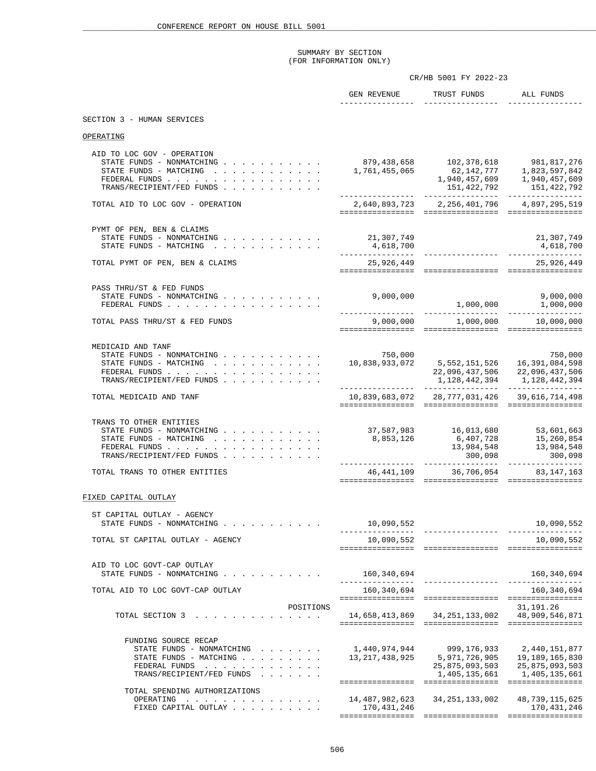|                                                                                                                                                               |                                                                                                                | CR/HB 5001 FY 2022-23                                                                                                                                           |                                                                                           |
|---------------------------------------------------------------------------------------------------------------------------------------------------------------|----------------------------------------------------------------------------------------------------------------|-----------------------------------------------------------------------------------------------------------------------------------------------------------------|-------------------------------------------------------------------------------------------|
|                                                                                                                                                               | ________________                                                                                               | GEN REVENUE TRUST FUNDS ALL FUNDS<br>_________________                                                                                                          |                                                                                           |
| SECTION 3 - HUMAN SERVICES                                                                                                                                    |                                                                                                                |                                                                                                                                                                 |                                                                                           |
| OPERATING                                                                                                                                                     |                                                                                                                |                                                                                                                                                                 |                                                                                           |
| AID TO LOC GOV - OPERATION<br>STATE FUNDS - NONMATCHING<br>STATE FUNDS - MATCHING<br>FEDERAL FUNDS<br>TRANS/RECIPIENT/FED FUNDS                               |                                                                                                                | 879,438,658 102,378,618 981,817,276<br>$1,761,455,065$<br>$62,142,777$<br>$1,823,597,842$<br>$1,940,457,609$<br>$151,422,792$<br>$151,422,792$<br>$151,422,792$ |                                                                                           |
| TOTAL AID TO LOC GOV - OPERATION                                                                                                                              | 2,640,893,723 2,256,401,796 4,897,295,519                                                                      |                                                                                                                                                                 |                                                                                           |
| PYMT OF PEN, BEN & CLAIMS<br>STATE FUNDS - NONMATCHING $\ldots$ , , , , , , , , , , , 21,307,749<br>STATE FUNDS - MATCHING                                    |                                                                                                                |                                                                                                                                                                 | 21,307,749                                                                                |
| TOTAL PYMT OF PEN, BEN & CLAIMS                                                                                                                               | 25,926,449                                                                                                     |                                                                                                                                                                 | 25,926,449                                                                                |
| PASS THRU/ST & FED FUNDS<br>STATE FUNDS - NONMATCHING $\ldots$ , , , , , , , , , , 9,000,000<br>FEDERAL FUNDS                                                 |                                                                                                                |                                                                                                                                                                 |                                                                                           |
| TOTAL PASS THRU/ST & FED FUNDS                                                                                                                                |                                                                                                                |                                                                                                                                                                 |                                                                                           |
| MEDICAID AND TANF<br>STATE FUNDS - NONMATCHING<br>STATE FUNDS - MATCHING<br>FEDERAL FUNDS<br>TRANS/RECIPIENT/FED FUNDS                                        | 750,000 750,000<br>16,391,084,598 5,552,151,526 16,391,084,598<br>22,096,437,506 22,096,437,506 22,096,437,506 |                                                                                                                                                                 |                                                                                           |
| TOTAL MEDICAID AND TANF                                                                                                                                       |                                                                                                                | 10,839,683,072 28,777,031,426 39,616,714,498                                                                                                                    |                                                                                           |
| TRANS TO OTHER ENTITIES<br>STATE FUNDS - NONMATCHING 37,587,983 16,013,680 53,601,663<br>STATE FUNDS - MATCHING<br>FEDERAL FUNDS<br>TRANS/RECIPIENT/FED FUNDS | 8,853,126                                                                                                      | 300,098                                                                                                                                                         | 6,407,728<br>13,984,548<br>13,984,548<br>13,984,548<br>300,098                            |
| TOTAL TRANS TO OTHER ENTITIES                                                                                                                                 |                                                                                                                | 46, 441, 109 36, 706, 054 83, 147, 163                                                                                                                          |                                                                                           |
| FIXED CAPITAL OUTLAY                                                                                                                                          |                                                                                                                |                                                                                                                                                                 |                                                                                           |
| ST CAPITAL OUTLAY - AGENCY<br>STATE FUNDS - NONMATCHING                                                                                                       | 10,090,552                                                                                                     |                                                                                                                                                                 | 10,090,552                                                                                |
| TOTAL ST CAPITAL OUTLAY - AGENCY                                                                                                                              | 10,090,552                                                                                                     |                                                                                                                                                                 | 10,090,552                                                                                |
| AID TO LOC GOVT-CAP OUTLAY<br>STATE FUNDS - NONMATCHING                                                                                                       | 160,340,694                                                                                                    |                                                                                                                                                                 | 160,340,694                                                                               |
| TOTAL AID TO LOC GOVT-CAP OUTLAY                                                                                                                              | 160,340,694                                                                                                    |                                                                                                                                                                 | 160, 340, 694                                                                             |
| POSITIONS<br>TOTAL SECTION 3                                                                                                                                  |                                                                                                                |                                                                                                                                                                 | 31,191.26                                                                                 |
| FUNDING SOURCE RECAP<br>STATE FUNDS - NONMATCHING<br>STATE FUNDS - MATCHING<br>FEDERAL FUNDS<br>TRANS/RECIPIENT/FED FUNDS                                     | 1,440,974,944                                                                                                  | 13, 217, 438, 925 5, 971, 726, 905 19, 189, 165, 830                                                                                                            | 999,176,933 2,440,151,877<br>25,875,093,503 25,875,093,503<br>1,405,135,661 1,405,135,661 |
| TOTAL SPENDING AUTHORIZATIONS<br>OPERATING<br>FIXED CAPITAL OUTLAY                                                                                            | 14,487,982,623   34,251,133,002<br>170,431,246                                                                 |                                                                                                                                                                 | 48,739,115,625<br>170,431,246                                                             |
|                                                                                                                                                               |                                                                                                                |                                                                                                                                                                 |                                                                                           |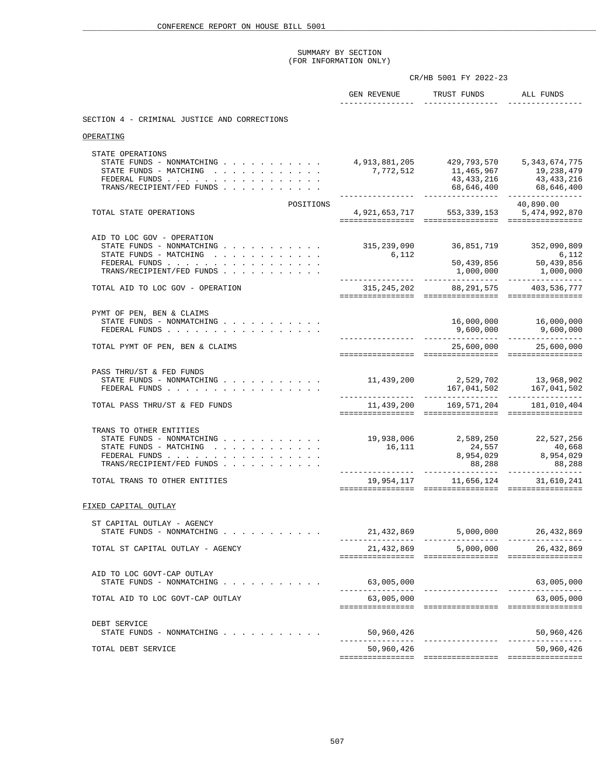|                                                                                                                                                                          |                           | CR/HB 5001 FY 2022-23                                                                                                                                                      |                                                   |
|--------------------------------------------------------------------------------------------------------------------------------------------------------------------------|---------------------------|----------------------------------------------------------------------------------------------------------------------------------------------------------------------------|---------------------------------------------------|
|                                                                                                                                                                          |                           | GEN REVENUE TRUST FUNDS ALL FUNDS                                                                                                                                          |                                                   |
| SECTION 4 - CRIMINAL JUSTICE AND CORRECTIONS                                                                                                                             |                           |                                                                                                                                                                            |                                                   |
| OPERATING                                                                                                                                                                |                           |                                                                                                                                                                            |                                                   |
| STATE OPERATIONS<br>STATE FUNDS - NONMATCHING 4, 913, 881, 205 429, 793, 570 5, 343, 674, 775<br>STATE FUNDS - MATCHING<br>FEDERAL FUNDS<br>TRANS/RECIPIENT/FED FUNDS    |                           | $7,772,512$<br>$7,772,512$<br>$11,465,967$<br>$19,238,479$<br>$19,238,479$<br>$19,338,479$<br>$19,338,479$<br>$19,433,216$<br>$68,646,400$<br>$68,646,400$<br>$68,646,400$ |                                                   |
| POSITIONS<br>TOTAL STATE OPERATIONS                                                                                                                                      |                           | 4,921,653,717 553,339,153 5,474,992,870                                                                                                                                    | 40,890.00                                         |
| AID TO LOC GOV - OPERATION<br>STATE FUNDS - NONMATCHING 315, 239, 090 36, 851, 719 352, 090, 809<br>STATE FUNDS - MATCHING<br>FEDERAL FUNDS<br>TRANS/RECIPIENT/FED FUNDS |                           |                                                                                                                                                                            |                                                   |
| TOTAL AID TO LOC GOV - OPERATION                                                                                                                                         |                           | 315, 245, 202 88, 291, 575 403, 536, 777                                                                                                                                   |                                                   |
| PYMT OF PEN, BEN & CLAIMS<br>STATE FUNDS - NONMATCHING<br>FEDERAL FUNDS<br>TOTAL PYMT OF PEN, BEN & CLAIMS                                                               |                           |                                                                                                                                                                            | 16,000,000    16,000,000<br>25,600,000 25,600,000 |
|                                                                                                                                                                          |                           |                                                                                                                                                                            |                                                   |
| PASS THRU/ST & FED FUNDS<br>STATE FUNDS - NONMATCHING 11,439,200 2,529,702 13,968,902<br>FEDERAL FUNDS                                                                   |                           |                                                                                                                                                                            |                                                   |
| TOTAL PASS THRU/ST & FED FUNDS                                                                                                                                           |                           |                                                                                                                                                                            |                                                   |
| TRANS TO OTHER ENTITIES<br>STATE FUNDS - NONMATCHING 19,938,006 2,589,250 22,527,256                                                                                     |                           |                                                                                                                                                                            |                                                   |
| TOTAL TRANS TO OTHER ENTITIES                                                                                                                                            |                           | $19,954,117$ $11,656,124$ $31,610,241$<br>$11,656,124$ $11,656,124$                                                                                                        |                                                   |
| FIXED CAPITAL OUTLAY                                                                                                                                                     |                           |                                                                                                                                                                            |                                                   |
| ST CAPITAL OUTLAY - AGENCY<br>STATE FUNDS - NONMATCHING                                                                                                                  |                           | 21,432,869 5,000,000 26,432,869                                                                                                                                            |                                                   |
| TOTAL ST CAPITAL OUTLAY - AGENCY                                                                                                                                         |                           | 21,432,869 5,000,000 26,432,869                                                                                                                                            |                                                   |
| AID TO LOC GOVT-CAP OUTLAY<br>STATE FUNDS - NONMATCHING<br>TOTAL AID TO LOC GOVT-CAP OUTLAY                                                                              | 63,005,000<br>63,005,000  |                                                                                                                                                                            | 63,005,000<br>63,005,000                          |
|                                                                                                                                                                          |                           |                                                                                                                                                                            |                                                   |
| DEBT SERVICE<br>STATE FUNDS - NONMATCHING                                                                                                                                | 50,960,426<br>----------- | ________________                                                                                                                                                           | 50,960,426<br>----------------                    |
| TOTAL DEBT SERVICE                                                                                                                                                       | 50,960,426                |                                                                                                                                                                            | 50,960,426                                        |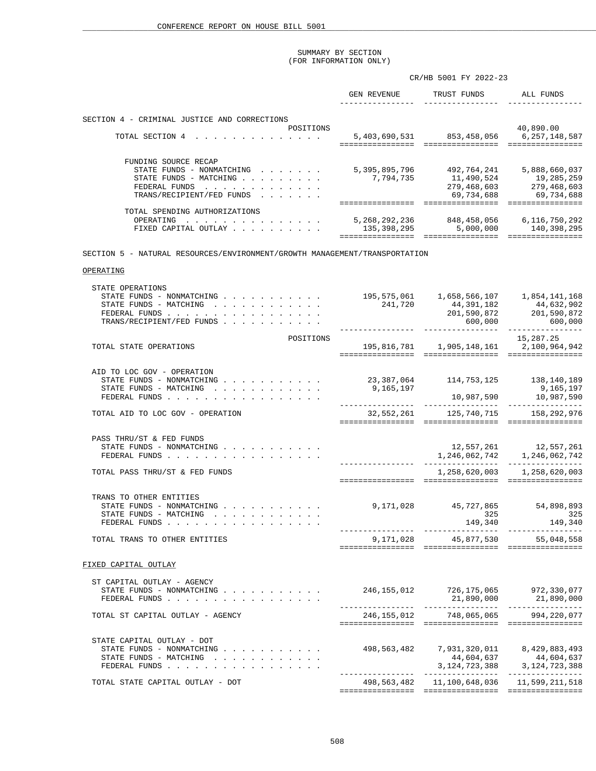|                                                                                                                                                                   | CR/HB 5001 FY 2022-23                                 |                                                                                                                                                                                                            |                                                                                  |  |
|-------------------------------------------------------------------------------------------------------------------------------------------------------------------|-------------------------------------------------------|------------------------------------------------------------------------------------------------------------------------------------------------------------------------------------------------------------|----------------------------------------------------------------------------------|--|
|                                                                                                                                                                   |                                                       |                                                                                                                                                                                                            |                                                                                  |  |
| SECTION 4 - CRIMINAL JUSTICE AND CORRECTIONS                                                                                                                      |                                                       |                                                                                                                                                                                                            |                                                                                  |  |
| POSITIONS<br>TOTAL SECTION 4                                                                                                                                      |                                                       | $5,403,690,531$ $853,458,056$ $6,257,148,587$                                                                                                                                                              | 40,890.00                                                                        |  |
| FUNDING SOURCE RECAP<br>STATE FUNDS - NONMATCHING 5,395,895,796 492,764,241 5,888,660,037<br>STATE FUNDS - MATCHING<br>FEDERAL FUNDS<br>TRANS/RECIPIENT/FED FUNDS | 7,794,735                                             |                                                                                                                                                                                                            | 11,490,524<br>279,468,603<br>279,468,603<br>279,468,603<br>69,734,688 69,734,688 |  |
| TOTAL SPENDING AUTHORIZATIONS<br>OPERATING<br>FIXED CAPITAL OUTLAY                                                                                                |                                                       |                                                                                                                                                                                                            |                                                                                  |  |
| SECTION 5 - NATURAL RESOURCES/ENVIRONMENT/GROWTH MANAGEMENT/TRANSPORTATION                                                                                        |                                                       |                                                                                                                                                                                                            |                                                                                  |  |
| OPERATING                                                                                                                                                         |                                                       |                                                                                                                                                                                                            |                                                                                  |  |
|                                                                                                                                                                   |                                                       |                                                                                                                                                                                                            |                                                                                  |  |
| STATE OPERATIONS<br>STATE FUNDS - NONMATCHING<br>STATE FUNDS - MATCHING $\ldots$ , , , , , , , , , , ,<br>FEDERAL FUNDS<br>TRANS/RECIPIENT/FED FUNDS              |                                                       | $\begin{array}{cccc} 195,575,061 & 1,658,566,107 & 1,854,141,168 \\ 241,720 & 44,391,182 & 44,632,902 \\ 201,590,872 & 201,590,872 \\ 600,000 & 600,000 \end{array}$<br>----------------- ---------------- |                                                                                  |  |
| POSITIONS                                                                                                                                                         |                                                       |                                                                                                                                                                                                            | 15,287.25                                                                        |  |
| TOTAL STATE OPERATIONS                                                                                                                                            |                                                       | 195,816,781 1,905,148,161 2,100,964,942                                                                                                                                                                    |                                                                                  |  |
| AID TO LOC GOV - OPERATION<br>STATE FUNDS - NONMATCHING<br>STATE FUNDS - MATCHING<br>FEDERAL FUNDS                                                                | 23, 387, 064 114, 753, 125 138, 140, 189<br>9,165,197 |                                                                                                                                                                                                            | 9,165,197<br>10,987,590 10,987,590                                               |  |
| TOTAL AID TO LOC GOV - OPERATION                                                                                                                                  |                                                       | 32,552,261 125,740,715 158,292,976                                                                                                                                                                         |                                                                                  |  |
| PASS THRU/ST & FED FUNDS<br>STATE FUNDS - NONMATCHING<br>FEDERAL FUNDS                                                                                            |                                                       | $12,557,261 \qquad 12,557,261$<br>$1,246,062,742 \qquad 1,246,062,742$                                                                                                                                     |                                                                                  |  |
| TOTAL PASS THRU/ST & FED FUNDS                                                                                                                                    |                                                       |                                                                                                                                                                                                            | 1,258,620,003 1,258,620,003                                                      |  |
| TRANS TO OTHER ENTITIES<br>STATE FUNDS - NONMATCHING<br>STATE FUNDS - MATCHING<br>FEDERAL FUNDS                                                                   |                                                       | 9,171,028 45,727,865<br>325<br>149,340                                                                                                                                                                     | 54,898,893<br>325<br>149,340                                                     |  |
| TOTAL TRANS TO OTHER ENTITIES                                                                                                                                     |                                                       | 9,171,028 45,877,530 55,048,558                                                                                                                                                                            |                                                                                  |  |
| FIXED CAPITAL OUTLAY                                                                                                                                              |                                                       |                                                                                                                                                                                                            |                                                                                  |  |
| ST CAPITAL OUTLAY - AGENCY<br>STATE FUNDS - NONMATCHING<br>FEDERAL FUNDS                                                                                          | 246,155,012 726,175,065 972,330,077                   |                                                                                                                                                                                                            | 21,890,000 21,890,000                                                            |  |
| TOTAL ST CAPITAL OUTLAY - AGENCY                                                                                                                                  |                                                       | 246, 155, 012 748, 065, 065 994, 220, 077                                                                                                                                                                  |                                                                                  |  |
| STATE CAPITAL OUTLAY - DOT<br>STATE FUNDS - NONMATCHING<br>STATE FUNDS - MATCHING<br>FEDERAL FUNDS                                                                |                                                       | 498,563,482 7,931,320,011 8,429,883,493                                                                                                                                                                    | $44,604,637$<br>3,124,723,388<br>3,124,723,388                                   |  |
| TOTAL STATE CAPITAL OUTLAY - DOT                                                                                                                                  |                                                       | 498, 563, 482 11, 100, 648, 036 11, 599, 211, 518                                                                                                                                                          |                                                                                  |  |
|                                                                                                                                                                   |                                                       |                                                                                                                                                                                                            |                                                                                  |  |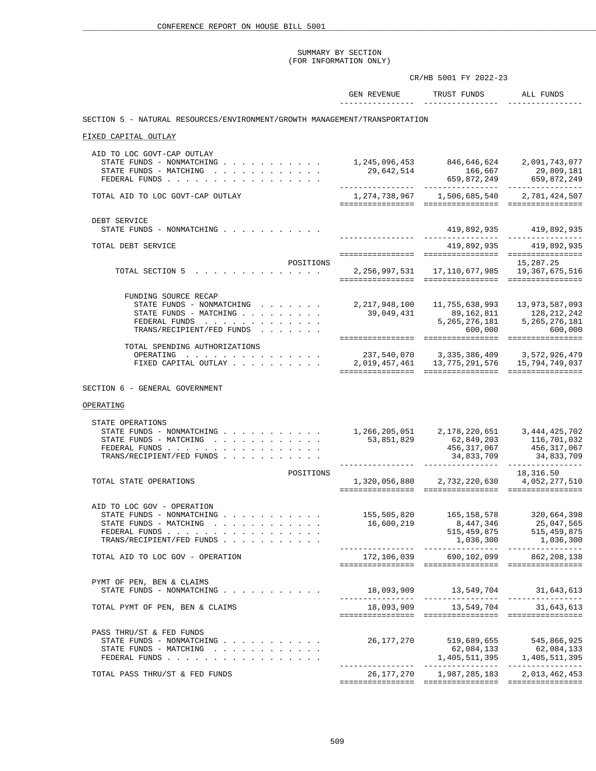|                                                                                                                                                                                       |                                         | CR/HB 5001 FY 2022-23                                                                                                                            |                                                                     |
|---------------------------------------------------------------------------------------------------------------------------------------------------------------------------------------|-----------------------------------------|--------------------------------------------------------------------------------------------------------------------------------------------------|---------------------------------------------------------------------|
|                                                                                                                                                                                       | GEN REVENUE<br>________________         | TRUST FUNDS<br>--------------                                                                                                                    | ALL FUNDS                                                           |
| SECTION 5 - NATURAL RESOURCES/ENVIRONMENT/GROWTH MANAGEMENT/TRANSPORTATION                                                                                                            |                                         |                                                                                                                                                  |                                                                     |
| FIXED CAPITAL OUTLAY                                                                                                                                                                  |                                         |                                                                                                                                                  |                                                                     |
| AID TO LOC GOVT-CAP OUTLAY<br>STATE FUNDS - NONMATCHING 1, 245, 096, 453 846, 646, 624 2, 091, 743, 077<br>STATE FUNDS - MATCHING<br>FEDERAL FUNDS                                    |                                         | 29,642,514 166,667 29,809,181<br>659,872,249 659,872,249 659,872,249                                                                             |                                                                     |
| TOTAL AID TO LOC GOVT-CAP OUTLAY                                                                                                                                                      |                                         |                                                                                                                                                  |                                                                     |
| DEBT SERVICE<br>STATE FUNDS - NONMATCHING                                                                                                                                             |                                         |                                                                                                                                                  | 419,892,935 419,892,935                                             |
| TOTAL DEBT SERVICE                                                                                                                                                                    |                                         |                                                                                                                                                  | 419,892,935 419,892,935                                             |
| POSITIONS<br>TOTAL SECTION 5 2, 256, 997, 531 17, 110, 677, 985 19, 367, 675, 516                                                                                                     |                                         |                                                                                                                                                  | 15,287.25                                                           |
| FUNDING SOURCE RECAP<br>STATE FUNDS - NONMATCHING<br>STATE FUNDS - MATCHING<br>FEDERAL FUNDS<br>TRANS/RECIPIENT/FED FUNDS                                                             |                                         | 2, 217, 948, 100 11, 755, 638, 993 13, 973, 587, 093<br>39,049,431 89,162,811 128,212,242<br>5, 265, 276, 181                                    | 5,265,276,181<br>$600,000$ 600,000                                  |
| TOTAL SPENDING AUTHORIZATIONS<br>OPERATING<br>FIXED CAPITAL OUTLAY                                                                                                                    | 237,540,070 3,335,386,409 3,572,926,479 |                                                                                                                                                  |                                                                     |
| SECTION 6 - GENERAL GOVERNMENT                                                                                                                                                        |                                         |                                                                                                                                                  |                                                                     |
| OPERATING<br>STATE OPERATIONS<br>STATE FUNDS - NONMATCHING 1, 266, 205, 051 2, 178, 220, 651 3, 444, 425, 702<br>STATE FUNDS - MATCHING<br>FEDERAL FUNDS<br>TRANS/RECIPIENT/FED FUNDS | 53,851,829                              | 62,849,203<br>__________________                                                                                                                 | 116,701,032<br>456, 317, 067 456, 317, 067<br>34,833,709 34,833,709 |
| POSITIONS<br>TOTAL STATE OPERATIONS                                                                                                                                                   |                                         | 1,320,056,880 2,732,220,630 4,052,277,510                                                                                                        | 18,316.50                                                           |
| AID TO LOC GOV - OPERATION<br>STATE FUNDS - NONMATCHING<br>STATE FUNDS - MATCHING<br>FEDERAL FUNDS<br>TRANS/RECIPIENT/FED FUNDS                                                       |                                         | 155,505,820 165,158,578 320,664,398<br>$16,600,219$<br>$16,600,219$<br>$515,459,875$<br>$1,036,300$<br>$1,036,300$<br>$1,036,300$<br>$1,036,300$ |                                                                     |
| TOTAL AID TO LOC GOV - OPERATION                                                                                                                                                      |                                         | 172,106,039 690,102,099 862,208,138                                                                                                              |                                                                     |
| PYMT OF PEN, BEN & CLAIMS<br>STATE FUNDS - NONMATCHING                                                                                                                                |                                         |                                                                                                                                                  |                                                                     |
| TOTAL PYMT OF PEN, BEN & CLAIMS                                                                                                                                                       |                                         | 18,093,909 13,549,704 31,643,613                                                                                                                 |                                                                     |
| PASS THRU/ST & FED FUNDS<br>STATE FUNDS - NONMATCHING<br>STATE FUNDS - MATCHING<br>FEDERAL FUNDS                                                                                      |                                         | 26,177,270 519,689,655 545,866,925<br>62,084,133                                                                                                 | 62,084,133                                                          |
| TOTAL PASS THRU/ST & FED FUNDS                                                                                                                                                        |                                         | 26, 177, 270 1, 987, 285, 183 2, 013, 462, 453                                                                                                   |                                                                     |
|                                                                                                                                                                                       |                                         |                                                                                                                                                  |                                                                     |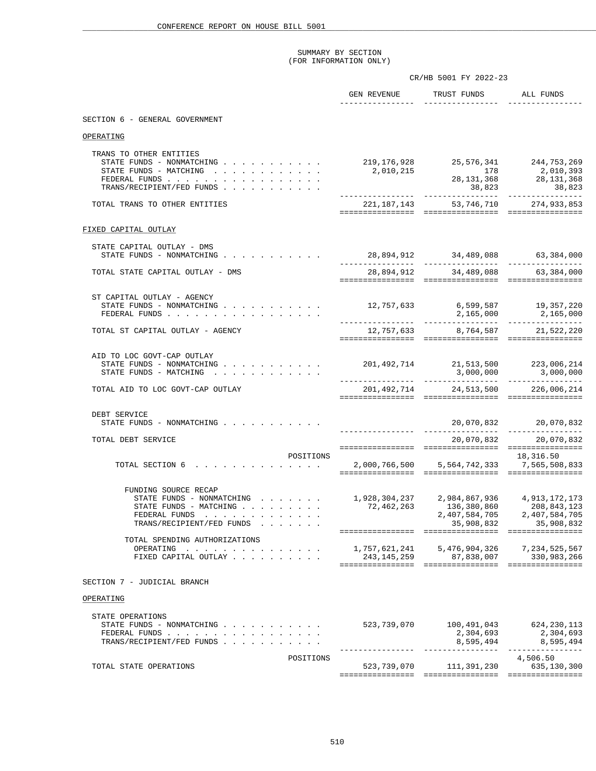|                                                                                                                                                                                                                |                                          | CR/HB 5001 FY 2022-23                                                   |                                                                  |
|----------------------------------------------------------------------------------------------------------------------------------------------------------------------------------------------------------------|------------------------------------------|-------------------------------------------------------------------------|------------------------------------------------------------------|
|                                                                                                                                                                                                                |                                          | GEN REVENUE TRUST FUNDS ALL FUNDS<br>__________________________________ |                                                                  |
| SECTION 6 - GENERAL GOVERNMENT                                                                                                                                                                                 |                                          |                                                                         |                                                                  |
| OPERATING                                                                                                                                                                                                      |                                          |                                                                         |                                                                  |
| TRANS TO OTHER ENTITIES<br>STATE FUNDS - NONMATCHING<br>STATE FUNDS - MATCHING<br>FEDERAL FUNDS<br>TRANS/RECIPIENT/FED FUNDS                                                                                   | 2,010,215                                | 219, 176, 928 25, 576, 341 244, 753, 269                                | $28,131,368$<br>$38,823$<br>$38,823$<br>$38,823$<br>$38,823$     |
| TOTAL TRANS TO OTHER ENTITIES                                                                                                                                                                                  | 221, 187, 143 53, 746, 710 274, 933, 853 |                                                                         |                                                                  |
| FIXED CAPITAL OUTLAY                                                                                                                                                                                           |                                          |                                                                         |                                                                  |
| STATE CAPITAL OUTLAY - DMS                                                                                                                                                                                     |                                          |                                                                         |                                                                  |
| STATE FUNDS - NONMATCHING                                                                                                                                                                                      |                                          | 28,894,912 34,489,088 63,384,000                                        |                                                                  |
| TOTAL STATE CAPITAL OUTLAY - DMS                                                                                                                                                                               |                                          | 28,894,912 34,489,088 63,384,000                                        |                                                                  |
| ST CAPITAL OUTLAY - AGENCY                                                                                                                                                                                     |                                          |                                                                         |                                                                  |
| STATE FUNDS - NONMATCHING<br>FEDERAL FUNDS                                                                                                                                                                     | 12,757,633                               | 6,599,587 19,357,220                                                    |                                                                  |
| TOTAL ST CAPITAL OUTLAY - AGENCY                                                                                                                                                                               |                                          | 12,757,633 8,764,587 21,522,220                                         |                                                                  |
|                                                                                                                                                                                                                |                                          |                                                                         |                                                                  |
| AID TO LOC GOVT-CAP OUTLAY<br>STATE FUNDS - NONMATCHING<br>STATE FUNDS - MATCHING                                                                                                                              | 201,492,714 21,513,500 223,006,214       |                                                                         |                                                                  |
| TOTAL AID TO LOC GOVT-CAP OUTLAY                                                                                                                                                                               |                                          | 201,492,714 24,513,500 226,006,214                                      |                                                                  |
|                                                                                                                                                                                                                |                                          |                                                                         |                                                                  |
| DEBT SERVICE<br>STATE FUNDS - NONMATCHING                                                                                                                                                                      |                                          |                                                                         |                                                                  |
| TOTAL DEBT SERVICE                                                                                                                                                                                             |                                          |                                                                         | 20,070,832 20,070,832                                            |
| POSITIONS<br>TOTAL SECTION 6 2,000,766,500 5,564,742,333 7,565,508,833                                                                                                                                         |                                          |                                                                         | 18,316.50                                                        |
|                                                                                                                                                                                                                |                                          |                                                                         |                                                                  |
| FUNDING SOURCE RECAP<br>STATE FUNDS - NONMATCHING 1,928,304,237 2,984,867,936 4,913,172,173<br>STATE FUNDS - MATCHING<br>FEDERAL FUNDS<br>and the contract of the contract of the<br>TRANS/RECIPIENT/FED FUNDS | 72,462,263                               | 136,380,860<br>2,407,584,705<br>35,908,832                              | 208,843,123<br>2,407,584,705<br>35,908,832                       |
| TOTAL SPENDING AUTHORIZATIONS                                                                                                                                                                                  |                                          |                                                                         |                                                                  |
| OPERATING<br>FIXED CAPITAL OUTLAY                                                                                                                                                                              | 1,757,621,241<br>243,145,259             | 5,476,904,326                                                           | 7, 234, 525, 567<br>$\frac{175,351,325}{87,838,007}$ 330,983,266 |
| SECTION 7 - JUDICIAL BRANCH                                                                                                                                                                                    |                                          |                                                                         |                                                                  |
| OPERATING                                                                                                                                                                                                      |                                          |                                                                         |                                                                  |
| STATE OPERATIONS<br>STATE FUNDS - NONMATCHING<br>FEDERAL FUNDS<br>TRANS/RECIPIENT/FED FUNDS                                                                                                                    | 523,739,070                              | 100,491,043<br>2,304,693<br>8,595,494                                   | 624,230,113<br>2,304,693<br>8,595,494                            |
| POSITIONS<br>TOTAL STATE OPERATIONS                                                                                                                                                                            |                                          | 523,739,070 111,391,230                                                 | 4,506.50<br>635,130,300                                          |
|                                                                                                                                                                                                                |                                          |                                                                         |                                                                  |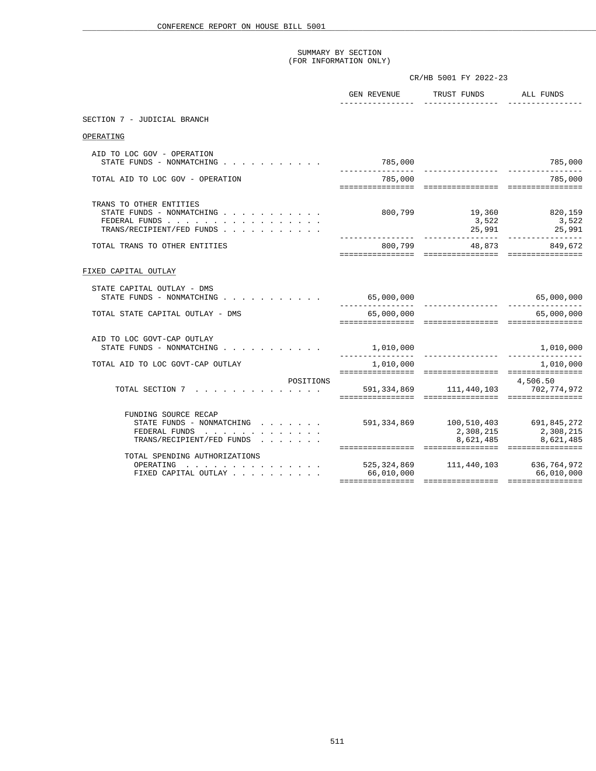|                                                                                                    | CR/HB 5001 FY 2022-23          |                                                       |                                                                          |  |
|----------------------------------------------------------------------------------------------------|--------------------------------|-------------------------------------------------------|--------------------------------------------------------------------------|--|
|                                                                                                    |                                | GEN REVENUE TRUST FUNDS ALL FUNDS<br>________________ |                                                                          |  |
| SECTION 7 - JUDICIAL BRANCH                                                                        |                                |                                                       |                                                                          |  |
| OPERATING                                                                                          |                                |                                                       |                                                                          |  |
| AID TO LOC GOV - OPERATION<br>STATE FUNDS - NONMATCHING $\cdot$ , , , , , , , , , , ,              | 785,000                        |                                                       | 785,000                                                                  |  |
| TOTAL AID TO LOC GOV - OPERATION                                                                   | 785,000                        |                                                       | 785,000                                                                  |  |
| TRANS TO OTHER ENTITIES<br>STATE FUNDS - NONMATCHING<br>FEDERAL FUNDS<br>TRANS/RECIPIENT/FED FUNDS |                                | 800,799 19,360 820,159                                |                                                                          |  |
| TOTAL TRANS TO OTHER ENTITIES                                                                      |                                | 800,799 48,873 849,672                                |                                                                          |  |
| FIXED CAPITAL OUTLAY                                                                               |                                |                                                       |                                                                          |  |
| STATE CAPITAL OUTLAY - DMS<br>STATE FUNDS - NONMATCHING                                            |                                |                                                       |                                                                          |  |
| TOTAL STATE CAPITAL OUTLAY - DMS                                                                   | 65,000,000                     |                                                       | 65,000,000                                                               |  |
| AID TO LOC GOVT-CAP OUTLAY<br>STATE FUNDS - NONMATCHING                                            | 1,010,000<br>_________________ |                                                       |                                                                          |  |
| TOTAL AID TO LOC GOVT-CAP OUTLAY                                                                   |                                | 1,010,000                                             | 1,010,000                                                                |  |
| POSITIONS<br>TOTAL SECTION 7                                                                       |                                | 4,506.50<br>591, 334, 869 111, 440, 103 702, 774, 972 |                                                                          |  |
| FUNDING SOURCE RECAP<br>STATE FUNDS - NONMATCHING<br>FEDERAL FUNDS<br>TRANS/RECIPIENT/FED FUNDS    | ================               | 591,334,869 100,510,403 691,845,272                   | 2,308,215<br>8,621,485 8,621,485<br>==================================== |  |
| TOTAL SPENDING AUTHORIZATIONS<br>OPERATING<br>FIXED CAPITAL OUTLAY                                 | 66,010,000                     | 525,324,869 111,440,103 636,764,972                   | 66,010,000                                                               |  |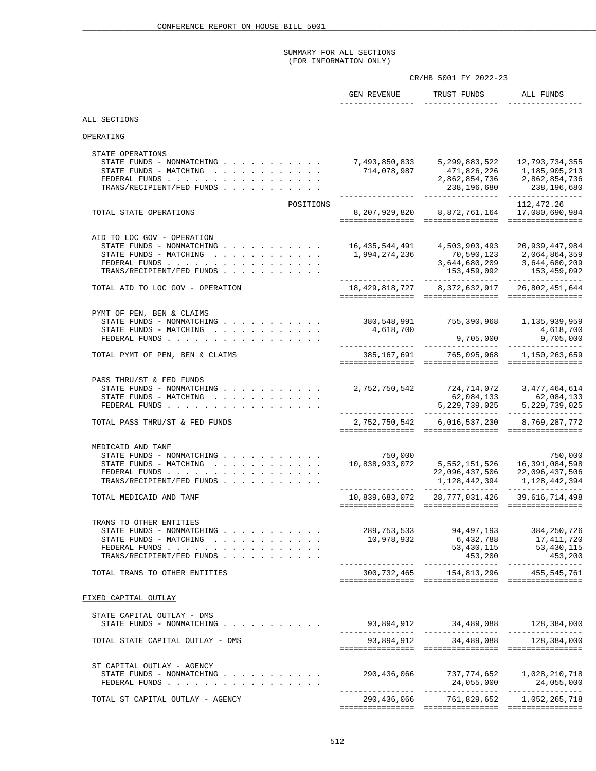# SUMMARY FOR ALL SECTIONS (FOR INFORMATION ONLY)

|                                                                                                                                                            | CR/HB 5001 FY 2022-23                          |                                                                                                                      |                                                                                                                                         |  |
|------------------------------------------------------------------------------------------------------------------------------------------------------------|------------------------------------------------|----------------------------------------------------------------------------------------------------------------------|-----------------------------------------------------------------------------------------------------------------------------------------|--|
|                                                                                                                                                            | GEN REVENUE<br>________________                | TRUST FUNDS<br>________________                                                                                      | ALL FUNDS                                                                                                                               |  |
| ALL SECTIONS                                                                                                                                               |                                                |                                                                                                                      |                                                                                                                                         |  |
| OPERATING                                                                                                                                                  |                                                |                                                                                                                      |                                                                                                                                         |  |
| STATE OPERATIONS<br>STATE FUNDS - NONMATCHING<br>STATE FUNDS - MATCHING<br>FEDERAL FUNDS<br>TRANS/RECIPIENT/FED FUNDS                                      | - - - - , ucð, 293<br>714, 078, 987            | 7,493,850,833 5,299,883,522 12,793,734,355<br>238,196,680                                                            | 471,826,226 1,185,905,213<br>2,862,854,736 2,862,854,736<br>238,196,680                                                                 |  |
| POSITIONS<br>TOTAL STATE OPERATIONS                                                                                                                        |                                                | 8, 207, 929, 820 8, 872, 761, 164 17, 080, 690, 984                                                                  | 112,472.26                                                                                                                              |  |
| AID TO LOC GOV - OPERATION<br>STATE FUNDS - NONMATCHING<br>STATE FUNDS - MATCHING<br>FEDERAL FUNDS<br>TRANS/RECIPIENT/FED FUNDS                            |                                                | 16,435,544,491 4,503,903,493 20,939,447,984<br>1,994,274,236 70,590,123 2,064,864,359<br>3,644,680,209 3,644,680,209 |                                                                                                                                         |  |
| TOTAL AID TO LOC GOV - OPERATION                                                                                                                           |                                                | 18,429,818,727 8,372,632,917 26,802,451,644                                                                          |                                                                                                                                         |  |
| PYMT OF PEN, BEN & CLAIMS<br>STATE FUNDS - NONMATCHING 380,548,991 755,390,968 1,135,939,959<br>STATE FUNDS - MATCHING<br>FEDERAL FUNDS                    | 4,618,700                                      |                                                                                                                      | 4,618,700<br>$9,705,000$ $9,705,000$                                                                                                    |  |
| TOTAL PYMT OF PEN, BEN & CLAIMS                                                                                                                            | _________________                              | -----------------<br>385,167,691 765,095,968 1,150,263,659                                                           | ----------------                                                                                                                        |  |
| PASS THRU/ST & FED FUNDS<br>STATE FUNDS - NONMATCHING<br>STATE FUNDS - MATCHING<br>FEDERAL FUNDS                                                           |                                                | 464,614,614 724,714,072 724,714,072<br>62,084,133 62,084,133<br>5,229,739,025 5,229,739,025                          |                                                                                                                                         |  |
| TOTAL PASS THRU/ST & FED FUNDS                                                                                                                             |                                                | 2, 752, 750, 542 6, 016, 537, 230 8, 769, 287, 772                                                                   |                                                                                                                                         |  |
| MEDICAID AND TANF<br>STATE FUNDS - NONMATCHING<br>STATE FUNDS - MATCHING<br>FEDERAL FUNDS<br>TRANS/RECIPIENT/FED FUNDS                                     | 750,000<br>10,838,933,072<br>_________________ |                                                                                                                      | 750,000<br>750,000<br>5,552,151,526        16,391,084,598<br>22,096,437,506         22,096,437,506<br>1, 128, 442, 394 1, 128, 442, 394 |  |
| TOTAL MEDICAID AND TANF                                                                                                                                    |                                                | 10,839,683,072 28,777,031,426 39,616,714,498                                                                         |                                                                                                                                         |  |
| TRANS TO OTHER ENTITIES<br>STATE FUNDS - NONMATCHING $\cdot$ , , , , , , , , , , ,<br>STATE FUNDS - MATCHING<br>FEDERAL FUNDS<br>TRANS/RECIPIENT/FED FUNDS | 10,978,932                                     | 289, 753, 533 94, 497, 193 384, 250, 726<br>453,200                                                                  | 6,432,788 17,411,720<br>53,430,115 53,430,115<br>453,200                                                                                |  |
| TOTAL TRANS TO OTHER ENTITIES                                                                                                                              |                                                | 300, 732, 465 154, 813, 296 455, 545, 761                                                                            |                                                                                                                                         |  |
| FIXED CAPITAL OUTLAY                                                                                                                                       |                                                |                                                                                                                      |                                                                                                                                         |  |
| STATE CAPITAL OUTLAY - DMS<br>STATE FUNDS - NONMATCHING                                                                                                    |                                                |                                                                                                                      |                                                                                                                                         |  |
| TOTAL STATE CAPITAL OUTLAY - DMS                                                                                                                           |                                                | 93,894,912 34,489,088 128,384,000                                                                                    |                                                                                                                                         |  |
| ST CAPITAL OUTLAY - AGENCY<br>STATE FUNDS - NONMATCHING<br>FEDERAL FUNDS                                                                                   |                                                |                                                                                                                      |                                                                                                                                         |  |
| TOTAL ST CAPITAL OUTLAY - AGENCY                                                                                                                           |                                                | 290,436,066 761,829,652 1,052,265,718                                                                                |                                                                                                                                         |  |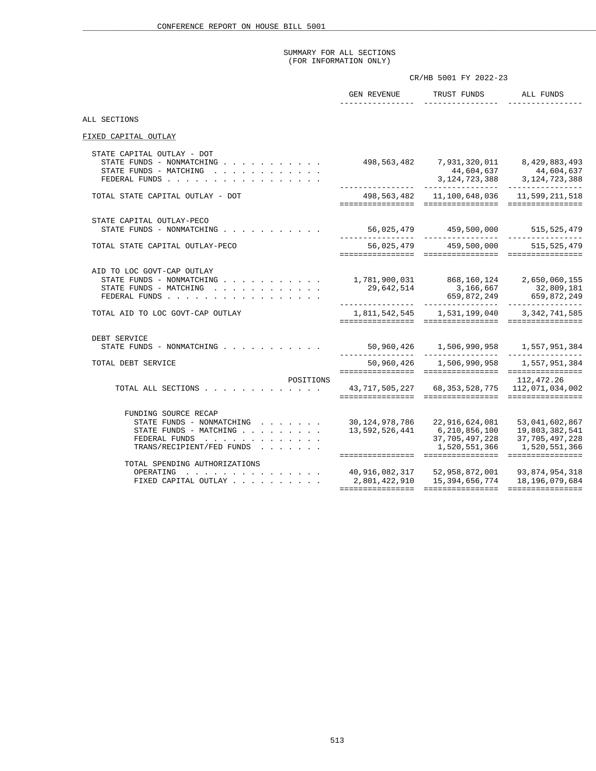### SUMMARY FOR ALL SECTIONS (FOR INFORMATION ONLY)

|                                                                                                                                        | CR/HB 5001 FY 2022-23 |                                                                                                                                                                                                                                                   |                             |  |
|----------------------------------------------------------------------------------------------------------------------------------------|-----------------------|---------------------------------------------------------------------------------------------------------------------------------------------------------------------------------------------------------------------------------------------------|-----------------------------|--|
|                                                                                                                                        | ________________      | GEN REVENUE TRUST FUNDS ALL FUNDS<br>________________                                                                                                                                                                                             | _____________               |  |
| ALL SECTIONS                                                                                                                           |                       |                                                                                                                                                                                                                                                   |                             |  |
| FIXED CAPITAL OUTLAY                                                                                                                   |                       |                                                                                                                                                                                                                                                   |                             |  |
| STATE CAPITAL OUTLAY - DOT<br>STATE FUNDS - NONMATCHING<br>STATE FUNDS - MATCHING<br>FEDERAL FUNDS                                     |                       | $\begin{array}{cccc} 498,563,482 & 7,931,320,011 & 8,429,883,493 \\ 44,604,637 & 44,604,637 \\ 3,124,723,388 & 3,124,723,388 \\ - \end{array}$                                                                                                    |                             |  |
| TOTAL STATE CAPITAL OUTLAY - DOT                                                                                                       |                       | 498,563,482    11,100,648,036    11,599,211,518                                                                                                                                                                                                   |                             |  |
| STATE CAPITAL OUTLAY-PECO<br>STATE FUNDS - NONMATCHING                                                                                 |                       |                                                                                                                                                                                                                                                   |                             |  |
| TOTAL STATE CAPITAL OUTLAY-PECO                                                                                                        |                       | 56,025,479 459,500,000 515,525,479                                                                                                                                                                                                                |                             |  |
| AID TO LOC GOVT-CAP OUTLAY<br>STATE FUNDS - NONMATCHING<br>STATE FUNDS - MATCHING<br>FEDERAL FUNDS<br>TOTAL AID TO LOC GOVT-CAP OUTLAY |                       | 1,781,900,031  868,160,124  2,650,060,155<br>$29,642,514$<br>$3,166,667$<br>$659,872,249$<br>$659,872,249$<br>$559,872,249$<br>$559,872,249$                                                                                                      |                             |  |
|                                                                                                                                        |                       |                                                                                                                                                                                                                                                   |                             |  |
| DEBT SERVICE<br>STATE FUNDS - NONMATCHING                                                                                              |                       |                                                                                                                                                                                                                                                   |                             |  |
| TOTAL DEBT SERVICE                                                                                                                     |                       | 50,960,426   1,506,990,958   1,557,951,384                                                                                                                                                                                                        |                             |  |
| POSITIONS<br>TOTAL ALL SECTIONS 43, 717, 505, 227 68, 353, 528, 775 112, 071, 034, 002                                                 |                       |                                                                                                                                                                                                                                                   | 112,472.26                  |  |
| FUNDING SOURCE RECAP<br>STATE FUNDS - NONMATCHING<br>STATE FUNDS - MATCHING<br>FEDERAL FUNDS<br>TRANS/RECIPIENT/FED FUNDS              |                       | $30, 124, 978, 786$ 22, 916, 624, 081 53, 041, 602, 867<br>$13\,,592\,,526\,,441 \qquad \quad \  \, 6\,,210\,,856\,,100 \qquad \quad \  \, 19\,,803\,,382\,,541 \qquad \qquad \  \, 37\,,705\,,497\,,228 \qquad \quad \  \, 37\,,705\,,497\,,228$ | 1,520,551,366 1,520,551,366 |  |
| TOTAL SPENDING AUTHORIZATIONS<br>OPERATING<br>FIXED CAPITAL OUTLAY                                                                     |                       | 40,916,082,317       52,958,872,001       93,874,954,318<br>2,801,422,910       15,394,656,774      18,196,079,684                                                                                                                                |                             |  |
|                                                                                                                                        |                       |                                                                                                                                                                                                                                                   |                             |  |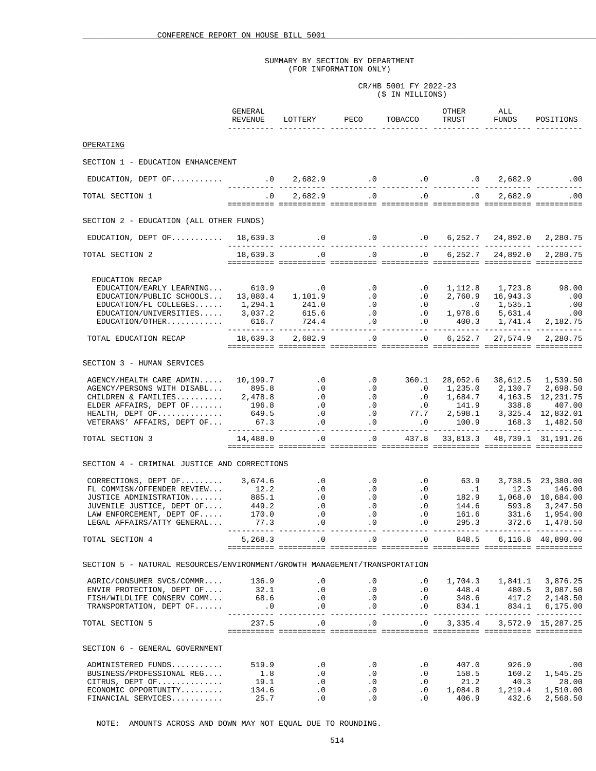CR/HB 5001 FY 2022-23 (\$ IN MILLIONS)

|                                                                                                                                                                                                                          | GENERAL<br>REVENUE | LOTTERY PECO                                                                          |           | TOBACCO                                        | OTHER<br>TRUST | ALL<br>FUNDS | POSITIONS                                                                                                                |
|--------------------------------------------------------------------------------------------------------------------------------------------------------------------------------------------------------------------------|--------------------|---------------------------------------------------------------------------------------|-----------|------------------------------------------------|----------------|--------------|--------------------------------------------------------------------------------------------------------------------------|
| OPERATING                                                                                                                                                                                                                |                    |                                                                                       |           |                                                |                |              |                                                                                                                          |
|                                                                                                                                                                                                                          |                    |                                                                                       |           |                                                |                |              |                                                                                                                          |
| SECTION 1 - EDUCATION ENHANCEMENT                                                                                                                                                                                        |                    |                                                                                       |           |                                                |                |              |                                                                                                                          |
|                                                                                                                                                                                                                          |                    |                                                                                       |           |                                                |                |              |                                                                                                                          |
| TOTAL SECTION 1                                                                                                                                                                                                          | $\overline{0}$ .   |                                                                                       |           | $2,682.9$ .0 .0 .0 .0 2,682.9 .00              |                |              |                                                                                                                          |
|                                                                                                                                                                                                                          |                    |                                                                                       |           |                                                |                |              |                                                                                                                          |
| SECTION 2 - EDUCATION (ALL OTHER FUNDS)                                                                                                                                                                                  |                    |                                                                                       |           |                                                |                |              |                                                                                                                          |
|                                                                                                                                                                                                                          |                    |                                                                                       |           |                                                |                |              |                                                                                                                          |
| TOTAL SECTION 2                                                                                                                                                                                                          |                    |                                                                                       |           |                                                |                |              |                                                                                                                          |
|                                                                                                                                                                                                                          |                    |                                                                                       |           |                                                |                |              |                                                                                                                          |
| EDUCATION RECAP                                                                                                                                                                                                          |                    |                                                                                       |           |                                                |                |              |                                                                                                                          |
| EDUCATION/EARLY LEARNING 610.9 0                                                                                                                                                                                         |                    |                                                                                       |           | $.0$ $.0$ $1,112.8$ $1,723.8$ $98.00$          |                |              |                                                                                                                          |
|                                                                                                                                                                                                                          |                    |                                                                                       |           |                                                |                |              |                                                                                                                          |
|                                                                                                                                                                                                                          |                    |                                                                                       |           |                                                |                |              |                                                                                                                          |
| EDUCATION/EARLI LEARNING<br>EDUCATION/PUBLIC SCHOOLS 13,080.4 1,101.9 .0 .0 2,760.9 16,943.3 .00<br>EDUCATION/TE COLLEGES 1,294.1 241.0 .0 .0 .0 1,535.1 .00<br>EDUCATION/UNIVERSITIES 3,037.2 615.6 .0 .0 1,978.6       |                    |                                                                                       |           |                                                |                |              |                                                                                                                          |
| TOTAL EDUCATION RECAP 18,639.3 2,682.9 0 0 6,252.7 27,574.9 2,280.75                                                                                                                                                     |                    |                                                                                       |           |                                                |                |              |                                                                                                                          |
|                                                                                                                                                                                                                          |                    | <u> sistisist sistisist titisisis titisisis titisisis titisisis titisis titisisis</u> |           |                                                |                |              |                                                                                                                          |
| SECTION 3 - HUMAN SERVICES                                                                                                                                                                                               |                    |                                                                                       |           |                                                |                |              |                                                                                                                          |
| AGENCY/HEALTH CARE ADMIN 10,199.7                                                                                                                                                                                        |                    |                                                                                       |           | $.0$ $.0$ $.360.1$                             | 28,052.6       |              | 38,612.5 1,539.50                                                                                                        |
|                                                                                                                                                                                                                          |                    |                                                                                       |           |                                                |                |              |                                                                                                                          |
|                                                                                                                                                                                                                          |                    |                                                                                       |           |                                                |                |              |                                                                                                                          |
|                                                                                                                                                                                                                          |                    |                                                                                       |           |                                                |                |              |                                                                                                                          |
| AGENCY/PERSONS WITH DISABL 395.8<br>CHILDREN & FAMILIES 395.8<br>CHILDREN & FAMILIES 395.8<br>CHILDREN & FAMILIES 2,478.8<br>CHILDREN & FAMILIES 2,478.8<br>CHILDREN & FAMILIES 2,478.8<br>                              |                    |                                                                                       |           |                                                |                |              |                                                                                                                          |
|                                                                                                                                                                                                                          |                    | _______________________                                                               |           |                                                |                |              |                                                                                                                          |
| TOTAL SECTION 3                                                                                                                                                                                                          |                    | 14,488.0 .0 .0 437.8 33,813.3 48,739.1 31,191.26                                      |           |                                                |                |              |                                                                                                                          |
| SECTION 4 - CRIMINAL JUSTICE AND CORRECTIONS                                                                                                                                                                             |                    |                                                                                       |           |                                                |                |              |                                                                                                                          |
|                                                                                                                                                                                                                          |                    |                                                                                       |           |                                                |                |              |                                                                                                                          |
| CORRECTIONS, DEPT OF 3,674.6 0 .0 .0 .0 63.9                                                                                                                                                                             |                    |                                                                                       |           |                                                |                |              | 3,738.5 23,380.00                                                                                                        |
| FL COMMISM/OFFENDER REVIEW (12.2 0 0 0 0 182.9 1,068.0 10,684.00<br>JUSTICE ADMINISTRATION 885.1 0 0 0 182.9 1,068.0 10,684.00<br>JUVENILE JUSTICE, DEPT OF 449.2 0 0 0 144.6 593.8 3,247.50<br>LAW ENFORCEMENT, DEPT O  |                    |                                                                                       |           |                                                |                |              |                                                                                                                          |
|                                                                                                                                                                                                                          |                    |                                                                                       |           |                                                |                |              |                                                                                                                          |
|                                                                                                                                                                                                                          |                    |                                                                                       |           |                                                |                |              |                                                                                                                          |
| LEGAL AFFAIRS/ATTY GENERAL 77.3                                                                                                                                                                                          |                    | $\cdot$ 0                                                                             | .0        | .0                                             |                |              | $\begin{array}{cccc} 144.6 & & 593.8 & 3,247.50 \\ 161.6 & & 331.6 & 1,954.00 \\ 295.3 & & 372.6 & 1,478.50 \end{array}$ |
| TOTAL SECTION 4                                                                                                                                                                                                          |                    |                                                                                       |           |                                                | 848.5          |              | 6,116.8 40,890.00                                                                                                        |
|                                                                                                                                                                                                                          |                    |                                                                                       |           |                                                |                |              |                                                                                                                          |
| SECTION 5 - NATURAL RESOURCES/ENVIRONMENT/GROWTH MANAGEMENT/TRANSPORTATION                                                                                                                                               |                    |                                                                                       |           |                                                |                |              |                                                                                                                          |
|                                                                                                                                                                                                                          |                    |                                                                                       |           |                                                |                |              |                                                                                                                          |
|                                                                                                                                                                                                                          |                    |                                                                                       |           |                                                |                |              |                                                                                                                          |
|                                                                                                                                                                                                                          |                    |                                                                                       |           |                                                |                |              |                                                                                                                          |
| 4GRIC/CONSUMER SVCS/COMMR 136.9 0 0.0 0.0 1,704.3 1,841.1 3,876.25<br>ENVIR PROTECTION, DEPT OF 32.1 0 0.0 0.0 448.4 480.5 3,087.50<br>FISH/WILDLIFE CONSERV COMM 68.6 0 0.0 0.0 348.6 417.2 2,148.50<br>TRANSPORTATION, |                    |                                                                                       |           |                                                |                |              |                                                                                                                          |
| TOTAL SECTION 5                                                                                                                                                                                                          |                    | 237.5 0 .0 .0 .0 3,335.4 3,572.9 15,287.25                                            |           |                                                |                |              |                                                                                                                          |
|                                                                                                                                                                                                                          |                    | soccososo concertos contecento contecento potentino contecento contecento             |           |                                                |                |              |                                                                                                                          |
| SECTION 6 - GENERAL GOVERNMENT                                                                                                                                                                                           |                    |                                                                                       |           |                                                |                |              |                                                                                                                          |
| ADMINISTERED FUNDS                                                                                                                                                                                                       | 519.9              | $\cdot$ 0                                                                             |           | $0.0$ $0.0$ $0.0$ $0.0$ $0.0$ $0.926.9$ $0.00$ |                |              |                                                                                                                          |
| BUSINESS/PROFESSIONAL REG                                                                                                                                                                                                | 1.8                | $\cdot$ 0                                                                             | $\cdot$ 0 | $\cdot$ 0                                      | 158.5          |              | 160.2 1,545.25                                                                                                           |
| CITRUS, DEPT OF                                                                                                                                                                                                          | $19.1$<br>$134.6$  | $\cdot$ 0                                                                             | $\cdot$ 0 |                                                | $.0$ 21.2      | 40.3         | 28.00                                                                                                                    |
| ECONOMIC OPPORTUNITY                                                                                                                                                                                                     |                    | $\cdot$ 0                                                                             | $\cdot$ 0 |                                                |                |              | $.0$ 1,084.8 1,219.4 1,510.00                                                                                            |
| FINANCIAL SERVICES                                                                                                                                                                                                       | 25.7               | .0                                                                                    | .0        | .0                                             |                |              | 406.9 432.6 2,568.50                                                                                                     |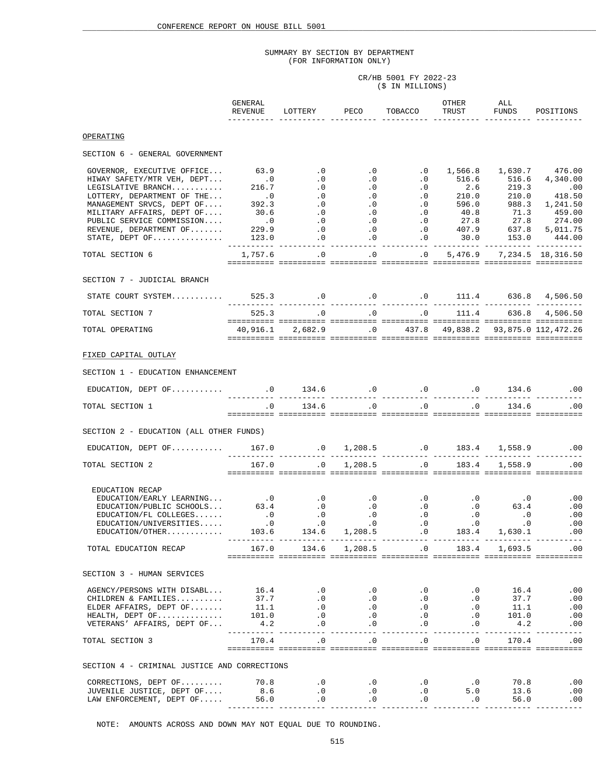CR/HB 5001 FY 2022-23 (\$ IN MILLIONS)

|                                                                                                                                                                                                                                                                                                                                                                                                                                                  | GENERAL<br>REVENUE                        | LOTTERY PECO TOBACCO                                                                                                    |                                           | OTHER<br>TRUST                     | ALL              | FUNDS POSITIONS                                |
|--------------------------------------------------------------------------------------------------------------------------------------------------------------------------------------------------------------------------------------------------------------------------------------------------------------------------------------------------------------------------------------------------------------------------------------------------|-------------------------------------------|-------------------------------------------------------------------------------------------------------------------------|-------------------------------------------|------------------------------------|------------------|------------------------------------------------|
| OPERATING                                                                                                                                                                                                                                                                                                                                                                                                                                        |                                           |                                                                                                                         |                                           |                                    |                  |                                                |
| SECTION 6 - GENERAL GOVERNMENT                                                                                                                                                                                                                                                                                                                                                                                                                   |                                           |                                                                                                                         |                                           |                                    |                  |                                                |
| GOVERNOR, EXECUTIVE OFFICE 63.9                                                                                                                                                                                                                                                                                                                                                                                                                  | $\begin{array}{c} 0 \\ 216.7 \end{array}$ |                                                                                                                         | $0.0$ .0 .0 .0 $1,566.8$ $1,630.7$ 476.00 |                                    |                  |                                                |
|                                                                                                                                                                                                                                                                                                                                                                                                                                                  |                                           |                                                                                                                         |                                           |                                    |                  |                                                |
| TOTAL SECTION 6                                                                                                                                                                                                                                                                                                                                                                                                                                  |                                           | $1,757.6$ .0 .0 .0 .0 5,476.9 7,234.5 18,316.50                                                                         |                                           |                                    |                  |                                                |
| SECTION 7 - JUDICIAL BRANCH                                                                                                                                                                                                                                                                                                                                                                                                                      |                                           |                                                                                                                         |                                           |                                    |                  |                                                |
| STATE COURT SYSTEM 525.3 0 0 0 0 111.4 636.8 4,506.50                                                                                                                                                                                                                                                                                                                                                                                            |                                           |                                                                                                                         |                                           |                                    |                  |                                                |
| TOTAL SECTION 7                                                                                                                                                                                                                                                                                                                                                                                                                                  |                                           | $525.3 \qquad \qquad .0 \qquad \qquad .0 \qquad \qquad .0 \qquad \qquad .111.4 \qquad \qquad 636.8 \qquad 4 \, ,506.50$ |                                           |                                    |                  |                                                |
| TOTAL OPERATING                                                                                                                                                                                                                                                                                                                                                                                                                                  |                                           | 40,916.1  2,682.9  0  437.8  49,838.2  93,875.0  112,472.26                                                             |                                           |                                    |                  |                                                |
| FIXED CAPITAL OUTLAY                                                                                                                                                                                                                                                                                                                                                                                                                             |                                           |                                                                                                                         |                                           |                                    |                  |                                                |
| SECTION 1 - EDUCATION ENHANCEMENT                                                                                                                                                                                                                                                                                                                                                                                                                |                                           |                                                                                                                         |                                           |                                    |                  |                                                |
|                                                                                                                                                                                                                                                                                                                                                                                                                                                  |                                           |                                                                                                                         |                                           |                                    |                  |                                                |
| TOTAL SECTION 1                                                                                                                                                                                                                                                                                                                                                                                                                                  | $\cdot$ 0                                 |                                                                                                                         | $134.6$ .0 .0 .0                          |                                    |                  | 134.6 .00                                      |
| SECTION 2 - EDUCATION (ALL OTHER FUNDS)                                                                                                                                                                                                                                                                                                                                                                                                          |                                           |                                                                                                                         |                                           |                                    |                  |                                                |
| EDUCATION, DEPT OF 167.0 0 1,208.5 0 1,208.5 0 183.4 1,558.9 0 0 EDUCATION, DEPT OF 167.0 0 1,208.5                                                                                                                                                                                                                                                                                                                                              |                                           |                                                                                                                         |                                           |                                    |                  |                                                |
| TOTAL SECTION 2                                                                                                                                                                                                                                                                                                                                                                                                                                  | 167.0                                     | $\overline{0}$                                                                                                          | $1,208.5$ .0 $183.4$ $1,558.9$ .00        |                                    |                  |                                                |
| EDUCATION RECAP<br>EDUCATION/EARLY LEARNING<br>EDUCATION/PUBLIC SCHOOLS 63.4 0 .0 .0 .0 .0 63.4<br>EDUCATION/FL COLLEGES . 0 .0 .0 .0 .0 .0 .0<br>EDUCATION/UNIVERSITIES0 .0 .0 .0 .0 .0 .0<br>EDUCATION/UNIVERSITIES0 .0                                                                                                                                                                                                                        |                                           |                                                                                                                         | 134.6 1,208.5 .0                          |                                    | 183.4 1,630.1    | .00<br>.00<br>.00<br>.00<br>.00<br>___________ |
| TOTAL EDUCATION RECAP                                                                                                                                                                                                                                                                                                                                                                                                                            |                                           | 167.0 134.6 1,208.5 .0 183.4 1,693.5 .00                                                                                |                                           |                                    |                  |                                                |
| SECTION 3 - HUMAN SERVICES                                                                                                                                                                                                                                                                                                                                                                                                                       |                                           |                                                                                                                         |                                           |                                    |                  |                                                |
| $\begin{tabular}{lcccccc} \texttt{AGENCY/PERSONS WITH DISABL} \end{tabular} \begin{tabular}{lcccccc} \texttt{AGENCY/PERSONS WITH DISABL} \end{tabular} \begin{tabular}{lcccccc} \texttt{AGENCY/PERSONS WITH DISABL} \end{tabular} \begin{tabular}{lcccccc} \texttt{16.4} & .0 & .0 & .0 & .0 & .0 & .0 & 16.4 & .00 \\ \texttt{CHILDREN & S} & .0 & .0 & .0 & .0 & .0 & .0 & 37.7 & .00 \\ \texttt{ELDER AFFAIRS, DEPT OF & 101.0 & .0 & .0 & .$ |                                           |                                                                                                                         |                                           |                                    |                  | .00                                            |
| TOTAL SECTION 3                                                                                                                                                                                                                                                                                                                                                                                                                                  |                                           | $170.4$ .0 .0 .0 .0 .0 $170.4$ .00                                                                                      |                                           |                                    |                  |                                                |
| SECTION 4 - CRIMINAL JUSTICE AND CORRECTIONS                                                                                                                                                                                                                                                                                                                                                                                                     |                                           |                                                                                                                         |                                           |                                    |                  |                                                |
|                                                                                                                                                                                                                                                                                                                                                                                                                                                  |                                           |                                                                                                                         | $\overline{\phantom{0}}$ .0               | 5.0<br>$\overline{\phantom{0}}$ .0 | $70.8$<br>$13.6$ | .00<br>.00<br>$56.0$ .00                       |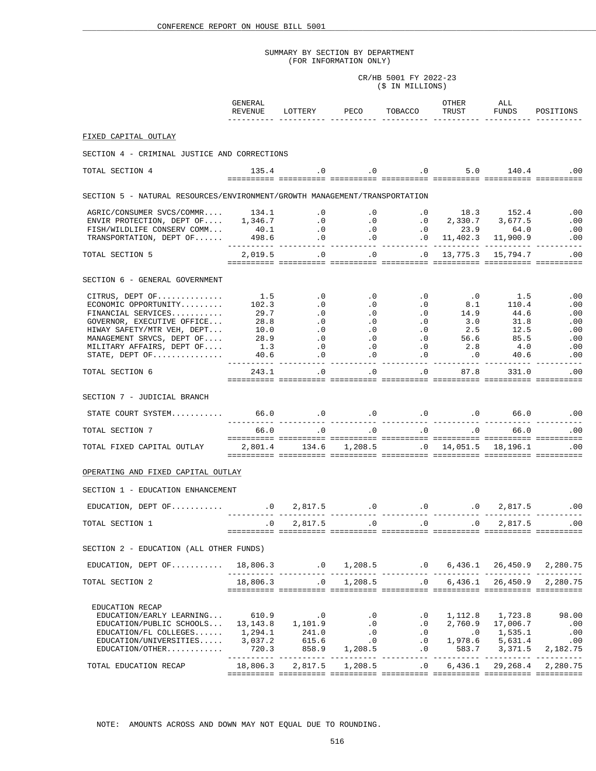CR/HB 5001 FY 2022-23 (\$ IN MILLIONS)

|                                                                                                                                                                                                                                                                                                                                                 | GENERAL<br>REVENUE |                          | LOTTERY PECO                                                                    | TOBACCO             | OTHER<br>TRUST                                                                                                                                                                                                                                                                                                                                                                       | ALL<br>FUNDS | POSITIONS                                                                                             |  |  |  |  |  |
|-------------------------------------------------------------------------------------------------------------------------------------------------------------------------------------------------------------------------------------------------------------------------------------------------------------------------------------------------|--------------------|--------------------------|---------------------------------------------------------------------------------|---------------------|--------------------------------------------------------------------------------------------------------------------------------------------------------------------------------------------------------------------------------------------------------------------------------------------------------------------------------------------------------------------------------------|--------------|-------------------------------------------------------------------------------------------------------|--|--|--|--|--|
| FIXED CAPITAL OUTLAY                                                                                                                                                                                                                                                                                                                            |                    |                          |                                                                                 |                     |                                                                                                                                                                                                                                                                                                                                                                                      |              |                                                                                                       |  |  |  |  |  |
|                                                                                                                                                                                                                                                                                                                                                 |                    |                          |                                                                                 |                     |                                                                                                                                                                                                                                                                                                                                                                                      |              |                                                                                                       |  |  |  |  |  |
| SECTION 4 - CRIMINAL JUSTICE AND CORRECTIONS                                                                                                                                                                                                                                                                                                    |                    |                          |                                                                                 |                     |                                                                                                                                                                                                                                                                                                                                                                                      |              |                                                                                                       |  |  |  |  |  |
| TOTAL SECTION 4                                                                                                                                                                                                                                                                                                                                 |                    |                          | $135.4$ .0 .0 .0 .0 5.0 140.4 .00                                               |                     |                                                                                                                                                                                                                                                                                                                                                                                      |              |                                                                                                       |  |  |  |  |  |
| SECTION 5 - NATURAL RESOURCES/ENVIRONMENT/GROWTH MANAGEMENT/TRANSPORTATION                                                                                                                                                                                                                                                                      |                    |                          |                                                                                 |                     |                                                                                                                                                                                                                                                                                                                                                                                      |              |                                                                                                       |  |  |  |  |  |
|                                                                                                                                                                                                                                                                                                                                                 |                    |                          |                                                                                 |                     |                                                                                                                                                                                                                                                                                                                                                                                      |              |                                                                                                       |  |  |  |  |  |
|                                                                                                                                                                                                                                                                                                                                                 |                    |                          |                                                                                 |                     |                                                                                                                                                                                                                                                                                                                                                                                      |              |                                                                                                       |  |  |  |  |  |
|                                                                                                                                                                                                                                                                                                                                                 |                    |                          |                                                                                 |                     |                                                                                                                                                                                                                                                                                                                                                                                      |              |                                                                                                       |  |  |  |  |  |
| $\begin{tabular}{lllllllllllllllllllll} \begin{tabular}{lcccccc} AGRIC/CONSUMER SVCS/COMMR. & 134.1 & .0 & .0 & .0 & 18.3 & 152.4 & .00 \\ \hline ENVIR PROTECTION, DEPT OF. & 1,346.7 & .0 & .0 & .0 & 2,330.7 & 3,677.5 & .00 \\ \hline FISH/WILDLIFE CONSERV COMM. & 40.1 & .0 & .0 & .0 & 23.9 & 64.0 & .00 \\ \end{tabular} \end{tabular}$ |                    |                          |                                                                                 |                     |                                                                                                                                                                                                                                                                                                                                                                                      |              |                                                                                                       |  |  |  |  |  |
| TOTAL SECTION 5                                                                                                                                                                                                                                                                                                                                 | 2,019.5            |                          | $\overline{0}$                                                                  | $\cdot 0$ $\cdot 0$ | 13,775.3                                                                                                                                                                                                                                                                                                                                                                             |              | 15,794.7 .00                                                                                          |  |  |  |  |  |
| SECTION 6 - GENERAL GOVERNMENT                                                                                                                                                                                                                                                                                                                  |                    |                          |                                                                                 |                     |                                                                                                                                                                                                                                                                                                                                                                                      |              |                                                                                                       |  |  |  |  |  |
|                                                                                                                                                                                                                                                                                                                                                 |                    |                          |                                                                                 |                     |                                                                                                                                                                                                                                                                                                                                                                                      |              | .00                                                                                                   |  |  |  |  |  |
|                                                                                                                                                                                                                                                                                                                                                 |                    |                          |                                                                                 |                     |                                                                                                                                                                                                                                                                                                                                                                                      |              | .00                                                                                                   |  |  |  |  |  |
|                                                                                                                                                                                                                                                                                                                                                 |                    |                          |                                                                                 |                     |                                                                                                                                                                                                                                                                                                                                                                                      |              | .00                                                                                                   |  |  |  |  |  |
|                                                                                                                                                                                                                                                                                                                                                 |                    |                          |                                                                                 |                     |                                                                                                                                                                                                                                                                                                                                                                                      |              | .00                                                                                                   |  |  |  |  |  |
|                                                                                                                                                                                                                                                                                                                                                 |                    |                          |                                                                                 |                     |                                                                                                                                                                                                                                                                                                                                                                                      |              | $\begin{array}{c} 0.00 \\ -0.00 \end{array}$                                                          |  |  |  |  |  |
|                                                                                                                                                                                                                                                                                                                                                 |                    |                          |                                                                                 |                     |                                                                                                                                                                                                                                                                                                                                                                                      |              | $\begin{array}{cccc} 56.6 & & 85.5 & & .00 \\ 2.8 & & 4.0 & & .00 \\ .0 & & 40.6 & & .00 \end{array}$ |  |  |  |  |  |
|                                                                                                                                                                                                                                                                                                                                                 |                    |                          |                                                                                 |                     |                                                                                                                                                                                                                                                                                                                                                                                      |              |                                                                                                       |  |  |  |  |  |
|                                                                                                                                                                                                                                                                                                                                                 |                    |                          |                                                                                 |                     |                                                                                                                                                                                                                                                                                                                                                                                      |              |                                                                                                       |  |  |  |  |  |
|                                                                                                                                                                                                                                                                                                                                                 |                    |                          |                                                                                 |                     |                                                                                                                                                                                                                                                                                                                                                                                      |              | 331.0<br>.00                                                                                          |  |  |  |  |  |
|                                                                                                                                                                                                                                                                                                                                                 |                    |                          |                                                                                 |                     |                                                                                                                                                                                                                                                                                                                                                                                      |              |                                                                                                       |  |  |  |  |  |
| SECTION 7 - JUDICIAL BRANCH                                                                                                                                                                                                                                                                                                                     |                    |                          |                                                                                 |                     |                                                                                                                                                                                                                                                                                                                                                                                      |              |                                                                                                       |  |  |  |  |  |
| STATE COURT SYSTEM 66.0 0 .0 0 .0 0 .0 0 66.0 0 0                                                                                                                                                                                                                                                                                               |                    |                          |                                                                                 |                     |                                                                                                                                                                                                                                                                                                                                                                                      |              | -----------                                                                                           |  |  |  |  |  |
| TOTAL SECTION 7                                                                                                                                                                                                                                                                                                                                 | 66.0               |                          | $\overline{0}$ . $\overline{0}$ . $\overline{0}$ . $\overline{0}$               |                     | $\overline{1}$ $\overline{0}$ $\overline{0}$ $\overline{0}$ $\overline{0}$ $\overline{0}$ $\overline{0}$ $\overline{0}$ $\overline{0}$ $\overline{0}$ $\overline{0}$ $\overline{0}$ $\overline{0}$ $\overline{0}$ $\overline{0}$ $\overline{0}$ $\overline{0}$ $\overline{0}$ $\overline{0}$ $\overline{0}$ $\overline{0}$ $\overline{0}$ $\overline{0}$ $\overline{0}$ $\overline{$ |              | 66.0<br>.00                                                                                           |  |  |  |  |  |
| TOTAL FIXED CAPITAL OUTLAY $2,801.4$ $134.6$ $1,208.5$ $0$ $14,051.5$ $18,196.1$ $00$                                                                                                                                                                                                                                                           |                    |                          | <u> sisiisisi isiisisisi toisiisis tiisiisis tiisiisisi tiisiisis tiisiisis</u> |                     |                                                                                                                                                                                                                                                                                                                                                                                      |              |                                                                                                       |  |  |  |  |  |
| OPERATING AND FIXED CAPITAL OUTLAY                                                                                                                                                                                                                                                                                                              |                    |                          |                                                                                 |                     |                                                                                                                                                                                                                                                                                                                                                                                      |              |                                                                                                       |  |  |  |  |  |
| SECTION 1 - EDUCATION ENHANCEMENT                                                                                                                                                                                                                                                                                                               |                    |                          |                                                                                 |                     |                                                                                                                                                                                                                                                                                                                                                                                      |              |                                                                                                       |  |  |  |  |  |
|                                                                                                                                                                                                                                                                                                                                                 |                    |                          |                                                                                 |                     |                                                                                                                                                                                                                                                                                                                                                                                      |              |                                                                                                       |  |  |  |  |  |
| EDUCATION, DEPT OF  0 2,817.5 0 .0 0 .0 0 2,817.5 .00                                                                                                                                                                                                                                                                                           |                    |                          |                                                                                 |                     |                                                                                                                                                                                                                                                                                                                                                                                      |              |                                                                                                       |  |  |  |  |  |
| TOTAL SECTION 1                                                                                                                                                                                                                                                                                                                                 |                    | $\cdot$ 0                | $2,817.5$ .0 .0 .0 .0                                                           |                     |                                                                                                                                                                                                                                                                                                                                                                                      |              | 2,817.5 .00                                                                                           |  |  |  |  |  |
| SECTION 2 - EDUCATION (ALL OTHER FUNDS)                                                                                                                                                                                                                                                                                                         |                    |                          |                                                                                 |                     |                                                                                                                                                                                                                                                                                                                                                                                      |              |                                                                                                       |  |  |  |  |  |
| EDUCATION, DEPT OF 18,806.3 1,208.5 0 6,436.1 26,450.9 2,280.75                                                                                                                                                                                                                                                                                 |                    |                          |                                                                                 |                     |                                                                                                                                                                                                                                                                                                                                                                                      |              |                                                                                                       |  |  |  |  |  |
| TOTAL SECTION 2                                                                                                                                                                                                                                                                                                                                 |                    |                          |                                                                                 |                     |                                                                                                                                                                                                                                                                                                                                                                                      |              |                                                                                                       |  |  |  |  |  |
|                                                                                                                                                                                                                                                                                                                                                 |                    |                          |                                                                                 |                     |                                                                                                                                                                                                                                                                                                                                                                                      |              |                                                                                                       |  |  |  |  |  |
| EDUCATION RECAP                                                                                                                                                                                                                                                                                                                                 |                    |                          |                                                                                 |                     |                                                                                                                                                                                                                                                                                                                                                                                      |              |                                                                                                       |  |  |  |  |  |
|                                                                                                                                                                                                                                                                                                                                                 |                    |                          | $\ddotsc 0$                                                                     |                     |                                                                                                                                                                                                                                                                                                                                                                                      |              | 0, 1, 112.8, 1, 723.8, 98.00                                                                          |  |  |  |  |  |
|                                                                                                                                                                                                                                                                                                                                                 |                    |                          |                                                                                 |                     | $.0 \qquad 2,760.9 \qquad 17,006.7$                                                                                                                                                                                                                                                                                                                                                  |              | .00                                                                                                   |  |  |  |  |  |
| EDUCATION/EARLY LEARNING 610.9 0 0 0<br>EDUCATION/PUBLIC SCHOOLS 13,143.8 1,101.9 0<br>EDUCATION/FL COLLEGES 1,294.1 241.0 0<br>EDUCATION/UNIVERSITIES 3,037.2 615.6 0 0                                                                                                                                                                        |                    |                          |                                                                                 |                     | $\begin{array}{ccccccccc}\n & 0 & & 0 & & 1,535.1 & & & 00 \\  & 0 & & 1,978.6 & & 5,631.4 & & & 00\n\end{array}$                                                                                                                                                                                                                                                                    |              |                                                                                                       |  |  |  |  |  |
| EDUCATION/OTHER                                                                                                                                                                                                                                                                                                                                 |                    |                          |                                                                                 |                     | $.0$ 583.7                                                                                                                                                                                                                                                                                                                                                                           |              | 3,371.5 2,182.75                                                                                      |  |  |  |  |  |
|                                                                                                                                                                                                                                                                                                                                                 |                    |                          | $720.3$ 858.9 1,208.5<br>---------- ---------- ---------- --                    |                     |                                                                                                                                                                                                                                                                                                                                                                                      |              |                                                                                                       |  |  |  |  |  |
| TOTAL EDUCATION RECAP                                                                                                                                                                                                                                                                                                                           |                    | 18,806.3 2,817.5 1,208.5 |                                                                                 |                     | 0, 6, 436.1, 29, 268.4, 2, 280.75                                                                                                                                                                                                                                                                                                                                                    |              |                                                                                                       |  |  |  |  |  |